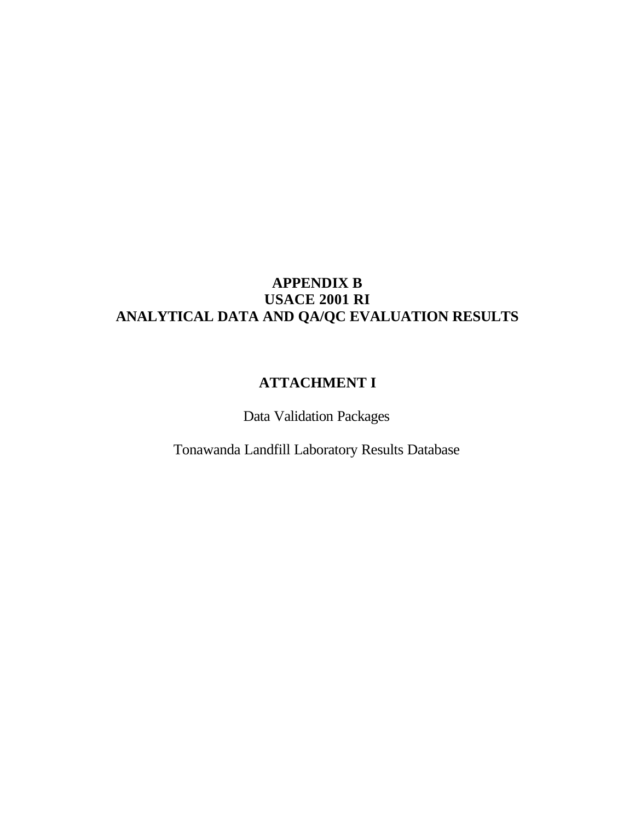# **APPENDIX B USACE 2001 RI ANALYTICAL DATA AND QA/QC EVALUATION RESULTS**

# **ATTACHMENT I**

Data Validation Packages

Tonawanda Landfill Laboratory Results Database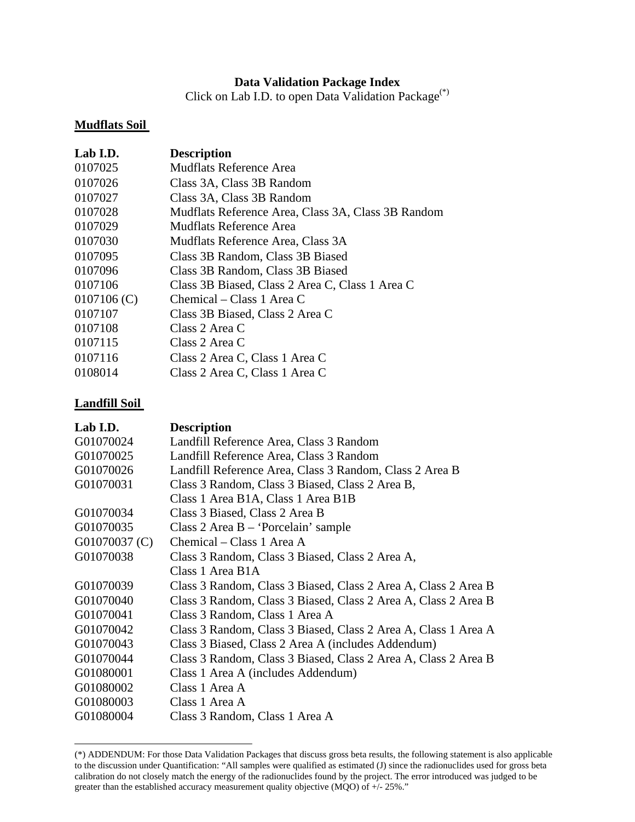# **Data Validation Package Index**

Click on Lab I.D. to open Data Validation Package(\*)

#### **Mudflats Soil**

| <b>Description</b>                                 |
|----------------------------------------------------|
| Mudflats Reference Area                            |
| Class 3A, Class 3B Random                          |
| Class 3A, Class 3B Random                          |
| Mudflats Reference Area, Class 3A, Class 3B Random |
| Mudflats Reference Area                            |
| Mudflats Reference Area, Class 3A                  |
| Class 3B Random, Class 3B Biased                   |
| Class 3B Random, Class 3B Biased                   |
| Class 3B Biased, Class 2 Area C, Class 1 Area C    |
| Chemical – Class 1 Area C                          |
| Class 3B Biased, Class 2 Area C                    |
| Class 2 Area C                                     |
| Class 2 Area C                                     |
| Class 2 Area C, Class 1 Area C                     |
| Class 2 Area C, Class 1 Area C                     |
|                                                    |

#### **Landfill Soil**

| Lab I.D.      | <b>Description</b>                                             |
|---------------|----------------------------------------------------------------|
| G01070024     | Landfill Reference Area, Class 3 Random                        |
| G01070025     | Landfill Reference Area, Class 3 Random                        |
| G01070026     | Landfill Reference Area, Class 3 Random, Class 2 Area B        |
| G01070031     | Class 3 Random, Class 3 Biased, Class 2 Area B,                |
|               | Class 1 Area B1A, Class 1 Area B1B                             |
| G01070034     | Class 3 Biased, Class 2 Area B                                 |
| G01070035     | Class $2$ Area B – 'Porcelain' sample                          |
| G01070037 (C) | Chemical – Class 1 Area A                                      |
| G01070038     | Class 3 Random, Class 3 Biased, Class 2 Area A,                |
|               | Class 1 Area B1A                                               |
| G01070039     | Class 3 Random, Class 3 Biased, Class 2 Area A, Class 2 Area B |
| G01070040     | Class 3 Random, Class 3 Biased, Class 2 Area A, Class 2 Area B |
| G01070041     | Class 3 Random, Class 1 Area A                                 |
| G01070042     | Class 3 Random, Class 3 Biased, Class 2 Area A, Class 1 Area A |
| G01070043     | Class 3 Biased, Class 2 Area A (includes Addendum)             |
| G01070044     | Class 3 Random, Class 3 Biased, Class 2 Area A, Class 2 Area B |
| G01080001     | Class 1 Area A (includes Addendum)                             |
| G01080002     | Class 1 Area A                                                 |
| G01080003     | Class 1 Area A                                                 |
| G01080004     | Class 3 Random, Class 1 Area A                                 |

<sup>(\*)</sup> ADDENDUM: For those Data Validation Packages that discuss gross beta results, the following statement is also applicable to the discussion under Quantification: "All samples were qualified as estimated (J) since the radionuclides used for gross beta calibration do not closely match the energy of the radionuclides found by the project. The error introduced was judged to be greater than the established accuracy measurement quality objective (MQO) of +/- 25%."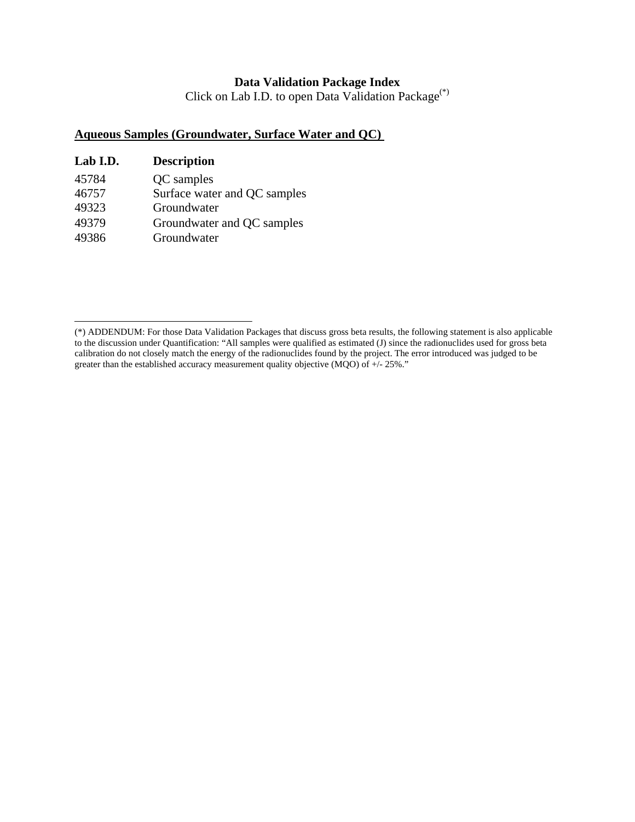### **Data Validation Package Index**

Click on Lab I.D. to open Data Validation Package(\*)

# **Aqueous Samples (Groundwater, Surface Water and QC)**

| Lab I.D. | <b>Description</b>           |
|----------|------------------------------|
| 45784    | QC samples                   |
| 46757    | Surface water and QC samples |
| 49323    | Groundwater                  |
| 49379    | Groundwater and QC samples   |
| 49386    | Groundwater                  |

<sup>(\*)</sup> ADDENDUM: For those Data Validation Packages that discuss gross beta results, the following statement is also applicable to the discussion under Quantification: "All samples were qualified as estimated (J) since the radionuclides used for gross beta calibration do not closely match the energy of the radionuclides found by the project. The error introduced was judged to be greater than the established accuracy measurement quality objective (MQO) of  $+/- 25\%$ ."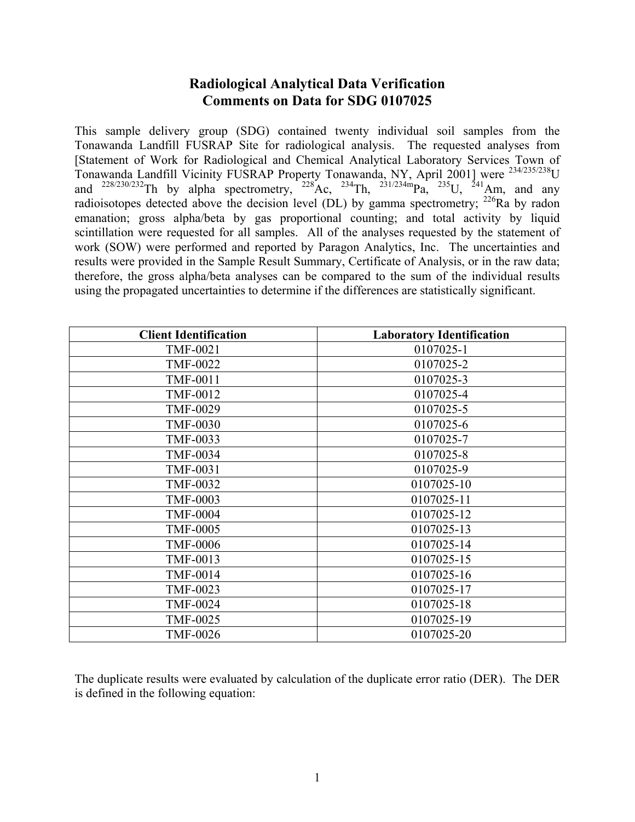# **Radiological Analytical Data Verification Comments on Data for SDG 0107025**

This sample delivery group (SDG) contained twenty individual soil samples from the Tonawanda Landfill FUSRAP Site for radiological analysis. The requested analyses from [Statement of Work for Radiological and Chemical Analytical Laboratory Services Town of Tonawanda Landfill Vicinity FUSRAP Property Tonawanda, NY, April 2001] were 234/235/238U and  $^{228/230/232}$ Th by alpha spectrometry,  $^{228}$ Ac,  $^{234}$ Th,  $^{231/234m}$ Pa,  $^{235}$ U,  $^{241}$ Am, and any radioisotopes detected above the decision level (DL) by gamma spectrometry;  $^{226}$ Ra by radon emanation; gross alpha/beta by gas proportional counting; and total activity by liquid scintillation were requested for all samples. All of the analyses requested by the statement of work (SOW) were performed and reported by Paragon Analytics, Inc. The uncertainties and results were provided in the Sample Result Summary, Certificate of Analysis, or in the raw data; therefore, the gross alpha/beta analyses can be compared to the sum of the individual results using the propagated uncertainties to determine if the differences are statistically significant.

| <b>Client Identification</b> | <b>Laboratory Identification</b> |
|------------------------------|----------------------------------|
| <b>TMF-0021</b>              | 0107025-1                        |
| <b>TMF-0022</b>              | 0107025-2                        |
| <b>TMF-0011</b>              | 0107025-3                        |
| <b>TMF-0012</b>              | 0107025-4                        |
| <b>TMF-0029</b>              | 0107025-5                        |
| <b>TMF-0030</b>              | 0107025-6                        |
| <b>TMF-0033</b>              | 0107025-7                        |
| <b>TMF-0034</b>              | 0107025-8                        |
| <b>TMF-0031</b>              | 0107025-9                        |
| <b>TMF-0032</b>              | 0107025-10                       |
| <b>TMF-0003</b>              | 0107025-11                       |
| <b>TMF-0004</b>              | 0107025-12                       |
| <b>TMF-0005</b>              | 0107025-13                       |
| <b>TMF-0006</b>              | 0107025-14                       |
| <b>TMF-0013</b>              | 0107025-15                       |
| <b>TMF-0014</b>              | 0107025-16                       |
| TMF-0023                     | 0107025-17                       |
| <b>TMF-0024</b>              | 0107025-18                       |
| <b>TMF-0025</b>              | 0107025-19                       |
| <b>TMF-0026</b>              | 0107025-20                       |

The duplicate results were evaluated by calculation of the duplicate error ratio (DER). The DER is defined in the following equation: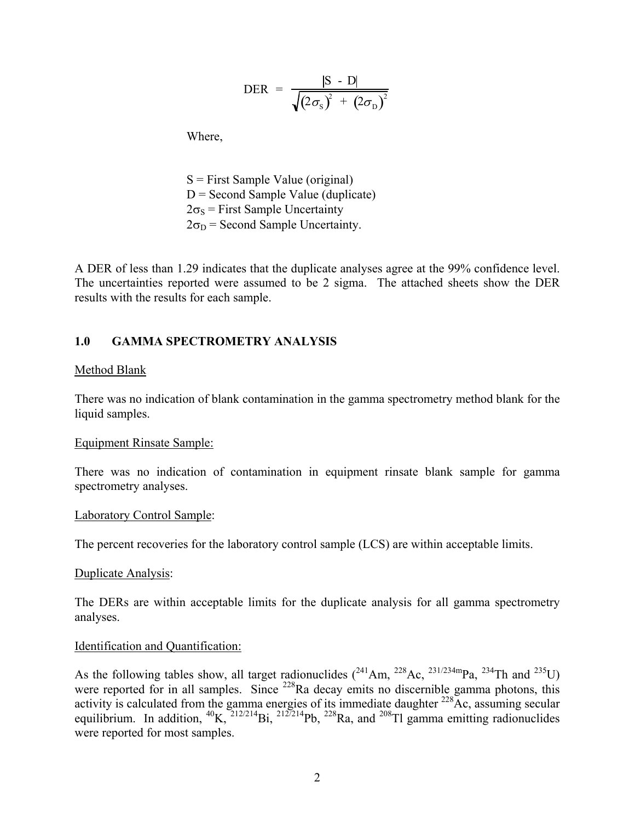$$
\text{DER} = \frac{|\text{S} - \text{D}|}{\sqrt{(2\sigma_{\text{S}})^{2} + (2\sigma_{\text{D}})^{2}}}
$$

Where,

 $S =$  First Sample Value (original)  $D =$  Second Sample Value (duplicate)  $2\sigma_s$  = First Sample Uncertainty  $2\sigma_D$  = Second Sample Uncertainty.

A DER of less than 1.29 indicates that the duplicate analyses agree at the 99% confidence level. The uncertainties reported were assumed to be 2 sigma. The attached sheets show the DER results with the results for each sample.

### **1.0 GAMMA SPECTROMETRY ANALYSIS**

#### Method Blank

There was no indication of blank contamination in the gamma spectrometry method blank for the liquid samples.

#### Equipment Rinsate Sample:

There was no indication of contamination in equipment rinsate blank sample for gamma spectrometry analyses.

#### Laboratory Control Sample:

The percent recoveries for the laboratory control sample (LCS) are within acceptable limits.

#### Duplicate Analysis:

The DERs are within acceptable limits for the duplicate analysis for all gamma spectrometry analyses.

#### Identification and Quantification:

As the following tables show, all target radionuclides  $(^{241}Am, ^{228}Ac, ^{231/234m}Pa, ^{234}Th$  and  $^{235}U)$ were reported for in all samples. Since <sup>228</sup>Ra decay emits no discernible gamma photons, this activity is calculated from the gamma energies of its immediate daughter  $^{228}$ Ac, assuming secular equilibrium. In addition,  ${}^{40}K$ ,  ${}^{212/214}Bi$ ,  ${}^{212/214}Pb$ ,  ${}^{228}Ra$ , and  ${}^{208}Ti$  gamma emitting radionuclides were reported for most samples.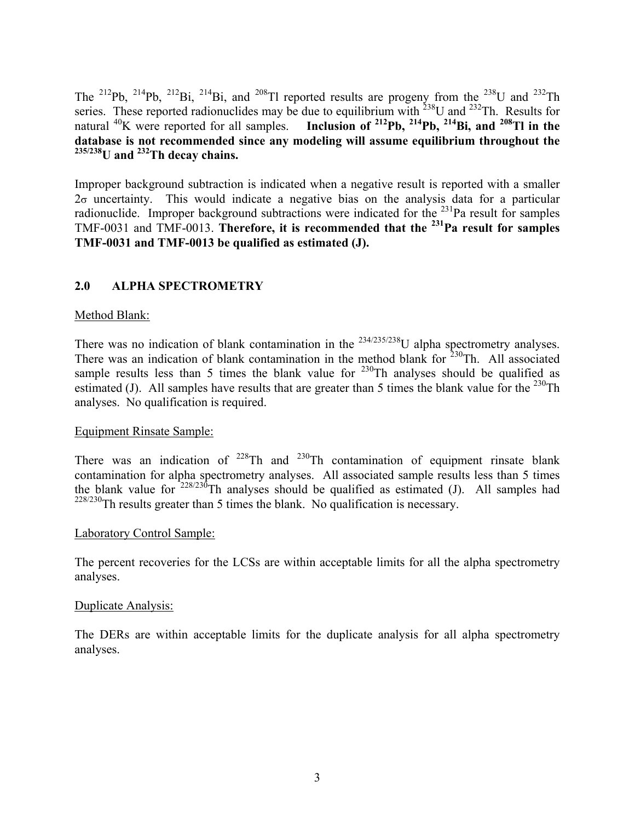The <sup>212</sup>Pb, <sup>214</sup>Pb, <sup>212</sup>Bi, <sup>214</sup>Bi, and <sup>208</sup>Tl reported results are progeny from the <sup>238</sup>U and <sup>232</sup>Th series. These reported radionuclides may be due to equilibrium with  $^{238}$ U and  $^{232}$ Th. Results for natural <sup>40</sup>K were reported for all samples. **Inclusion of** <sup>212</sup>**Pb**, <sup>214</sup>**Pb**, <sup>214</sup>**Bi**, and <sup>208</sup>Tl in the **database is not recommended since any modeling will assume equilibrium throughout the 235/238U and 232Th decay chains.** 

Improper background subtraction is indicated when a negative result is reported with a smaller  $2\sigma$  uncertainty. This would indicate a negative bias on the analysis data for a particular radionuclide. Improper background subtractions were indicated for the  $^{231}$ Pa result for samples TMF-0031 and TMF-0013. **Therefore, it is recommended that the 231Pa result for samples TMF-0031 and TMF-0013 be qualified as estimated (J).**

# **2.0 ALPHA SPECTROMETRY**

### Method Blank:

There was no indication of blank contamination in the  $234/235/238$ U alpha spectrometry analyses. There was an indication of blank contamination in the method blank for  $230$ Th. All associated sample results less than 5 times the blank value for  $230$ Th analyses should be qualified as estimated (J). All samples have results that are greater than 5 times the blank value for the  $^{230}$ Th analyses. No qualification is required.

#### Equipment Rinsate Sample:

There was an indication of  $228$ Th and  $230$ Th contamination of equipment rinsate blank contamination for alpha spectrometry analyses. All associated sample results less than 5 times the blank value for  $228/230$ Th analyses should be qualified as estimated (J). All samples had  $228/230$ Th results greater than 5 times the blank. No qualification is necessary.

#### Laboratory Control Sample:

The percent recoveries for the LCSs are within acceptable limits for all the alpha spectrometry analyses.

#### Duplicate Analysis:

The DERs are within acceptable limits for the duplicate analysis for all alpha spectrometry analyses.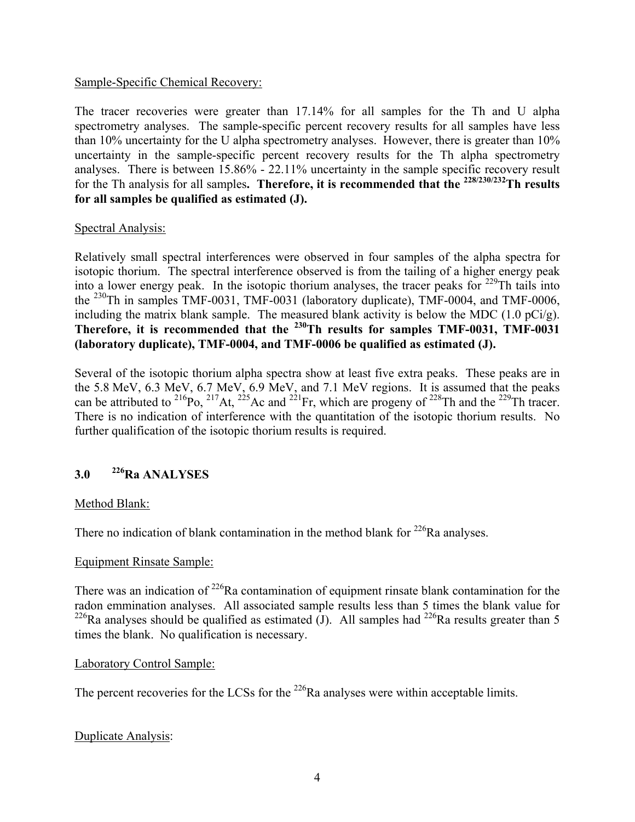### Sample-Specific Chemical Recovery:

The tracer recoveries were greater than 17.14% for all samples for the Th and U alpha spectrometry analyses. The sample-specific percent recovery results for all samples have less than 10% uncertainty for the U alpha spectrometry analyses. However, there is greater than 10% uncertainty in the sample-specific percent recovery results for the Th alpha spectrometry analyses. There is between 15.86% - 22.11% uncertainty in the sample specific recovery result for the Th analysis for all samples**. Therefore, it is recommended that the 228/230/232Th results for all samples be qualified as estimated (J).** 

### Spectral Analysis:

Relatively small spectral interferences were observed in four samples of the alpha spectra for isotopic thorium. The spectral interference observed is from the tailing of a higher energy peak into a lower energy peak. In the isotopic thorium analyses, the tracer peaks for  $229$ Th tails into the <sup>230</sup>Th in samples TMF-0031, TMF-0031 (laboratory duplicate), TMF-0004, and TMF-0006, including the matrix blank sample. The measured blank activity is below the MDC (1.0 pCi/g). Therefore, it is recommended that the <sup>230</sup>Th results for samples TMF-0031, TMF-0031 **(laboratory duplicate), TMF-0004, and TMF-0006 be qualified as estimated (J).**

Several of the isotopic thorium alpha spectra show at least five extra peaks. These peaks are in the 5.8 MeV, 6.3 MeV, 6.7 MeV, 6.9 MeV, and 7.1 MeV regions. It is assumed that the peaks can be attributed to <sup>216</sup>Po, <sup>217</sup>At, <sup>225</sup>Ac and <sup>221</sup>Fr, which are progeny of <sup>228</sup>Th and the <sup>229</sup>Th tracer. There is no indication of interference with the quantitation of the isotopic thorium results. No further qualification of the isotopic thorium results is required.

# **3.0 226Ra ANALYSES**

# Method Blank:

There no indication of blank contamination in the method blank for  $226$ Ra analyses.

#### Equipment Rinsate Sample:

There was an indication of  $^{226}$ Ra contamination of equipment rinsate blank contamination for the radon emmination analyses. All associated sample results less than 5 times the blank value for <sup>226</sup>Ra analyses should be qualified as estimated (J). All samples had <sup>226</sup>Ra results greater than 5 times the blank. No qualification is necessary.

#### Laboratory Control Sample:

The percent recoveries for the LCSs for the  $^{226}$ Ra analyses were within acceptable limits.

# Duplicate Analysis: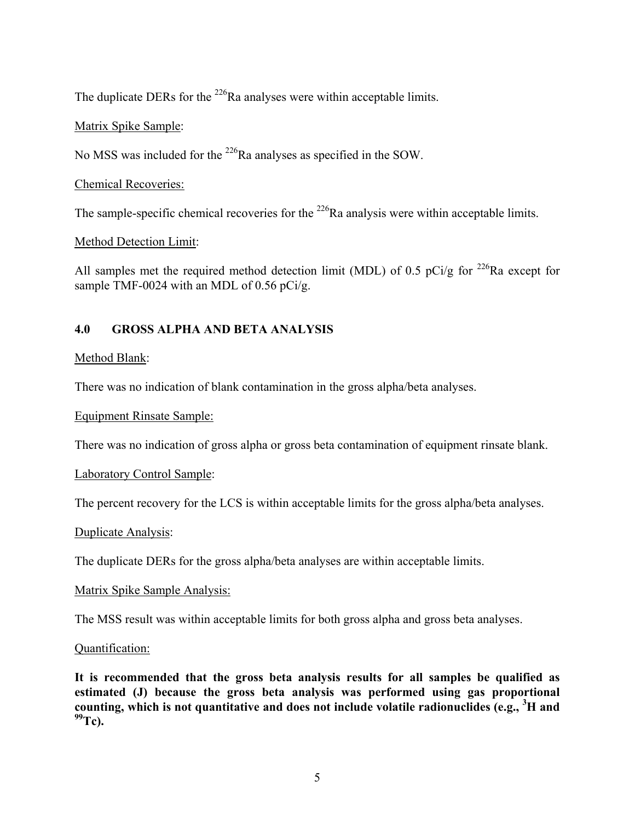The duplicate DERs for the <sup>226</sup>Ra analyses were within acceptable limits.

# Matrix Spike Sample:

No MSS was included for the 226Ra analyses as specified in the SOW.

# Chemical Recoveries:

The sample-specific chemical recoveries for the <sup>226</sup>Ra analysis were within acceptable limits.

# Method Detection Limit:

All samples met the required method detection limit (MDL) of 0.5 pCi/g for <sup>226</sup>Ra except for sample TMF-0024 with an MDL of 0.56 pCi/g.

# **4.0 GROSS ALPHA AND BETA ANALYSIS**

# Method Blank:

There was no indication of blank contamination in the gross alpha/beta analyses.

# Equipment Rinsate Sample:

There was no indication of gross alpha or gross beta contamination of equipment rinsate blank.

# Laboratory Control Sample:

The percent recovery for the LCS is within acceptable limits for the gross alpha/beta analyses.

# Duplicate Analysis:

The duplicate DERs for the gross alpha/beta analyses are within acceptable limits.

# Matrix Spike Sample Analysis:

The MSS result was within acceptable limits for both gross alpha and gross beta analyses.

# Quantification:

**It is recommended that the gross beta analysis results for all samples be qualified as estimated (J) because the gross beta analysis was performed using gas proportional counting, which is not quantitative and does not include volatile radionuclides (e.g., <sup>3</sup> H and 99Tc).**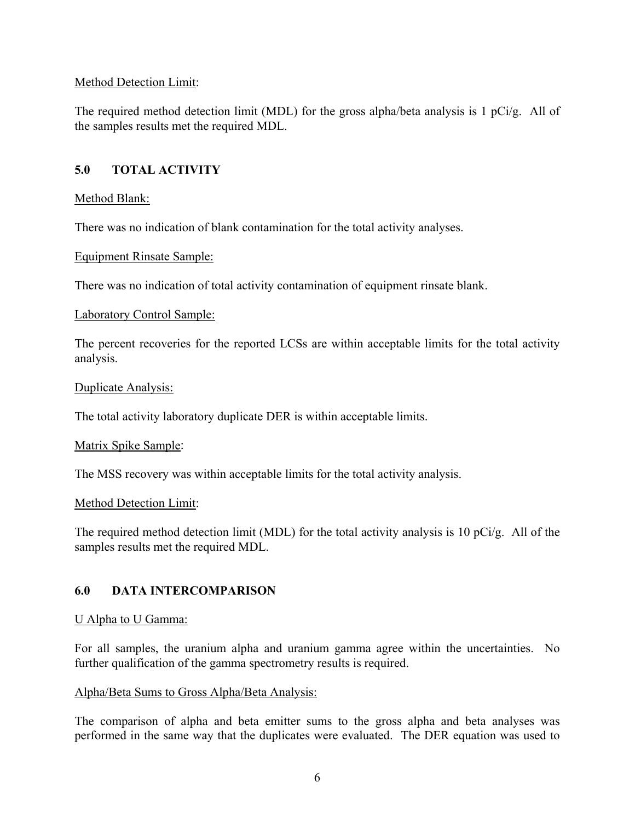### Method Detection Limit:

The required method detection limit (MDL) for the gross alpha/beta analysis is 1 pCi/g. All of the samples results met the required MDL.

# **5.0 TOTAL ACTIVITY**

### Method Blank:

There was no indication of blank contamination for the total activity analyses.

#### Equipment Rinsate Sample:

There was no indication of total activity contamination of equipment rinsate blank.

#### Laboratory Control Sample:

The percent recoveries for the reported LCSs are within acceptable limits for the total activity analysis.

#### Duplicate Analysis:

The total activity laboratory duplicate DER is within acceptable limits.

#### Matrix Spike Sample:

The MSS recovery was within acceptable limits for the total activity analysis.

#### Method Detection Limit:

The required method detection limit (MDL) for the total activity analysis is 10 pCi/g. All of the samples results met the required MDL.

# **6.0 DATA INTERCOMPARISON**

#### U Alpha to U Gamma:

For all samples, the uranium alpha and uranium gamma agree within the uncertainties. No further qualification of the gamma spectrometry results is required.

#### Alpha/Beta Sums to Gross Alpha/Beta Analysis:

The comparison of alpha and beta emitter sums to the gross alpha and beta analyses was performed in the same way that the duplicates were evaluated. The DER equation was used to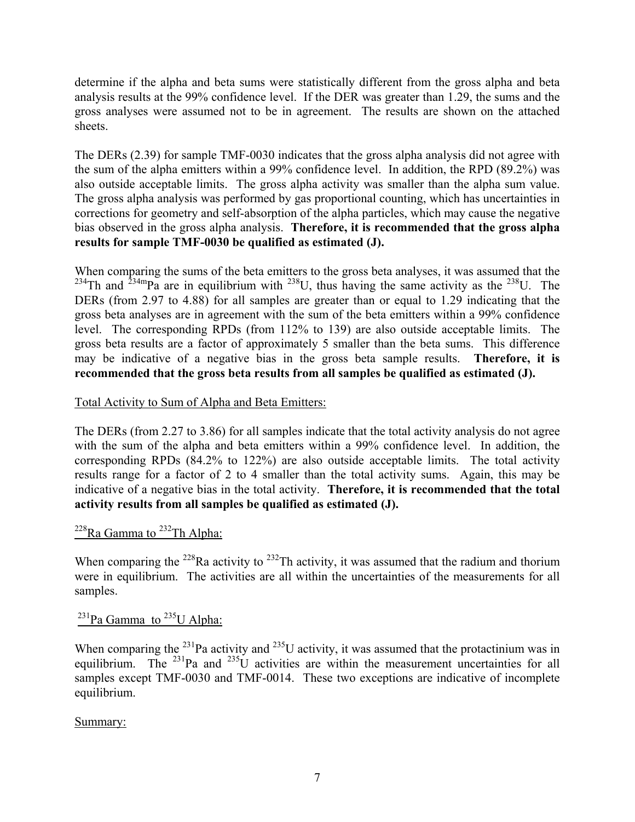determine if the alpha and beta sums were statistically different from the gross alpha and beta analysis results at the 99% confidence level. If the DER was greater than 1.29, the sums and the gross analyses were assumed not to be in agreement. The results are shown on the attached sheets.

The DERs (2.39) for sample TMF-0030 indicates that the gross alpha analysis did not agree with the sum of the alpha emitters within a 99% confidence level. In addition, the RPD (89.2%) was also outside acceptable limits. The gross alpha activity was smaller than the alpha sum value. The gross alpha analysis was performed by gas proportional counting, which has uncertainties in corrections for geometry and self-absorption of the alpha particles, which may cause the negative bias observed in the gross alpha analysis. **Therefore, it is recommended that the gross alpha results for sample TMF-0030 be qualified as estimated (J).** 

When comparing the sums of the beta emitters to the gross beta analyses, it was assumed that the <sup>234</sup>Th and <sup>234m</sup>Pa are in equilibrium with <sup>238</sup>U, thus having the same activity as the <sup>238</sup>U. The DERs (from 2.97 to 4.88) for all samples are greater than or equal to 1.29 indicating that the gross beta analyses are in agreement with the sum of the beta emitters within a 99% confidence level. The corresponding RPDs (from 112% to 139) are also outside acceptable limits. The gross beta results are a factor of approximately 5 smaller than the beta sums. This difference may be indicative of a negative bias in the gross beta sample results. **Therefore, it is recommended that the gross beta results from all samples be qualified as estimated (J).** 

# Total Activity to Sum of Alpha and Beta Emitters:

The DERs (from 2.27 to 3.86) for all samples indicate that the total activity analysis do not agree with the sum of the alpha and beta emitters within a 99% confidence level. In addition, the corresponding RPDs (84.2% to 122%) are also outside acceptable limits. The total activity results range for a factor of 2 to 4 smaller than the total activity sums. Again, this may be indicative of a negative bias in the total activity. **Therefore, it is recommended that the total activity results from all samples be qualified as estimated (J).**

# $^{228}$ Ra Gamma to  $^{232}$ Th Alpha:

When comparing the <sup>228</sup>Ra activity to <sup>232</sup>Th activity, it was assumed that the radium and thorium were in equilibrium. The activities are all within the uncertainties of the measurements for all samples.

 $^{231}$ Pa Gamma to  $^{235}$ U Alpha:

When comparing the  $^{231}$ Pa activity and  $^{235}$ U activity, it was assumed that the protactinium was in equilibrium. The  $^{231}$ Pa and  $^{235}$ U activities are within the measurement uncertainties for all samples except TMF-0030 and TMF-0014. These two exceptions are indicative of incomplete equilibrium.

Summary: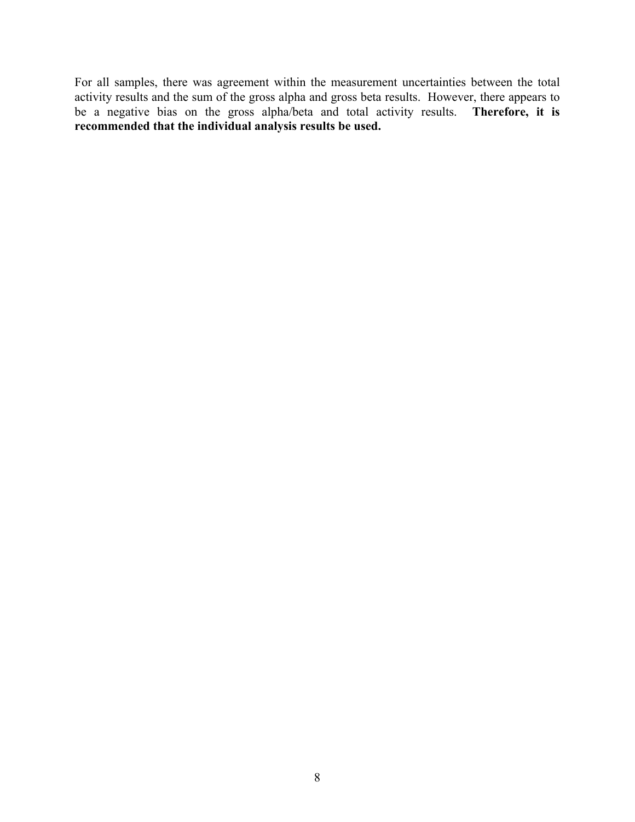For all samples, there was agreement within the measurement uncertainties between the total activity results and the sum of the gross alpha and gross beta results. However, there appears to be a negative bias on the gross alpha/beta and total activity results. **Therefore, it is recommended that the individual analysis results be used.**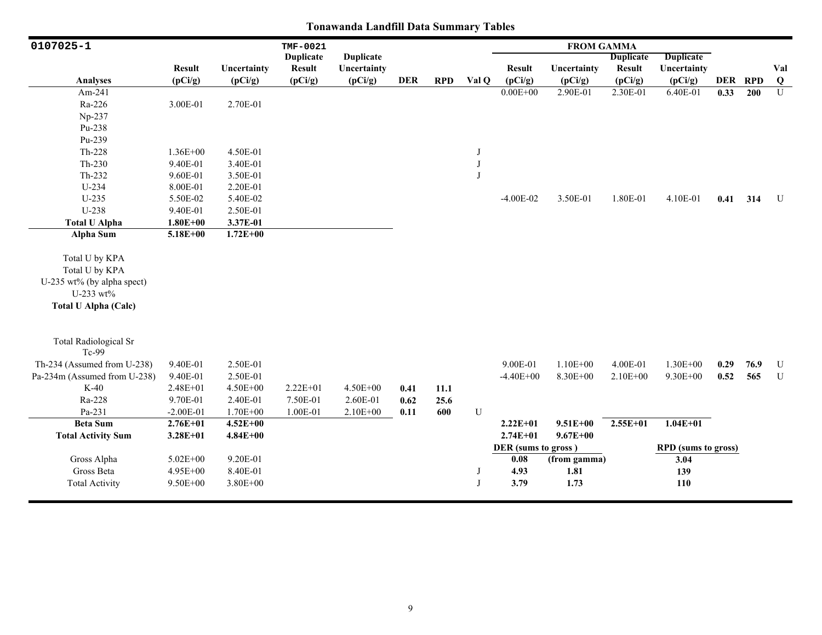| 0107025-1                    |               |              | <b>TMF-0021</b>  |                  |            |            |         |                     | <b>FROM GAMMA</b> |                  |                            |         |      |                |
|------------------------------|---------------|--------------|------------------|------------------|------------|------------|---------|---------------------|-------------------|------------------|----------------------------|---------|------|----------------|
|                              |               |              | <b>Duplicate</b> | <b>Duplicate</b> |            |            |         |                     |                   | <b>Duplicate</b> | <b>Duplicate</b>           |         |      |                |
|                              | <b>Result</b> | Uncertainty  | <b>Result</b>    | Uncertainty      |            |            |         | <b>Result</b>       | Uncertainty       | <b>Result</b>    | Uncertainty                |         |      | Val            |
| <b>Analyses</b>              | (pCi/g)       | (pCi/g)      | (pCi/g)          | (pCi/g)          | <b>DER</b> | <b>RPD</b> | Val Q   | (pCi/g)             | (pCi/g)           | (pCi/g)          | (pCi/g)                    | DER RPD |      | $\bf Q$        |
| Am-241                       |               |              |                  |                  |            |            |         | $0.00E + 00$        | 2.90E-01          | 2.30E-01         | 6.40E-01                   | 0.33    | 200  | $\overline{U}$ |
| Ra-226                       | 3.00E-01      | 2.70E-01     |                  |                  |            |            |         |                     |                   |                  |                            |         |      |                |
| Np-237                       |               |              |                  |                  |            |            |         |                     |                   |                  |                            |         |      |                |
| Pu-238                       |               |              |                  |                  |            |            |         |                     |                   |                  |                            |         |      |                |
| Pu-239                       |               |              |                  |                  |            |            |         |                     |                   |                  |                            |         |      |                |
| Th-228                       | $1.36E + 00$  | 4.50E-01     |                  |                  |            |            | J       |                     |                   |                  |                            |         |      |                |
| $Th-230$                     | 9.40E-01      | 3.40E-01     |                  |                  |            |            | $\bf J$ |                     |                   |                  |                            |         |      |                |
| Th-232                       | 9.60E-01      | 3.50E-01     |                  |                  |            |            | $\bf J$ |                     |                   |                  |                            |         |      |                |
| $U-234$                      | 8.00E-01      | 2.20E-01     |                  |                  |            |            |         |                     |                   |                  |                            |         |      |                |
| $U-235$                      | 5.50E-02      | 5.40E-02     |                  |                  |            |            |         | $-4.00E-02$         | 3.50E-01          | 1.80E-01         | 4.10E-01                   | 0.41    | 314  | U              |
| $U-238$                      | 9.40E-01      | 2.50E-01     |                  |                  |            |            |         |                     |                   |                  |                            |         |      |                |
| <b>Total U Alpha</b>         | $1.80E + 00$  | 3.37E-01     |                  |                  |            |            |         |                     |                   |                  |                            |         |      |                |
| <b>Alpha Sum</b>             | $5.18E + 00$  | $1.72E + 00$ |                  |                  |            |            |         |                     |                   |                  |                            |         |      |                |
|                              |               |              |                  |                  |            |            |         |                     |                   |                  |                            |         |      |                |
| Total U by KPA               |               |              |                  |                  |            |            |         |                     |                   |                  |                            |         |      |                |
| Total U by KPA               |               |              |                  |                  |            |            |         |                     |                   |                  |                            |         |      |                |
| U-235 wt% (by alpha spect)   |               |              |                  |                  |            |            |         |                     |                   |                  |                            |         |      |                |
| U-233 wt%                    |               |              |                  |                  |            |            |         |                     |                   |                  |                            |         |      |                |
| <b>Total U Alpha (Calc)</b>  |               |              |                  |                  |            |            |         |                     |                   |                  |                            |         |      |                |
|                              |               |              |                  |                  |            |            |         |                     |                   |                  |                            |         |      |                |
|                              |               |              |                  |                  |            |            |         |                     |                   |                  |                            |         |      |                |
| <b>Total Radiological Sr</b> |               |              |                  |                  |            |            |         |                     |                   |                  |                            |         |      |                |
| Tc-99                        |               |              |                  |                  |            |            |         |                     |                   |                  |                            |         |      |                |
| Th-234 (Assumed from U-238)  | 9.40E-01      | 2.50E-01     |                  |                  |            |            |         | 9.00E-01            | $1.10E + 00$      | 4.00E-01         | $1.30E + 00$               | 0.29    | 76.9 | $\mathbf U$    |
| Pa-234m (Assumed from U-238) | 9.40E-01      | 2.50E-01     |                  |                  |            |            |         | $-4.40E + 00$       | 8.30E+00          | $2.10E + 00$     | 9.30E+00                   | 0.52    | 565  | $\mathbf U$    |
| $K-40$                       | $2.48E + 01$  | $4.50E + 00$ | $2.22E+01$       | $4.50E + 00$     | 0.41       | 11.1       |         |                     |                   |                  |                            |         |      |                |
| Ra-228                       | 9.70E-01      | 2.40E-01     | 7.50E-01         | 2.60E-01         | 0.62       | 25.6       |         |                     |                   |                  |                            |         |      |                |
| Pa-231                       | $-2.00E-01$   | 1.70E+00     | 1.00E-01         | 2.10E+00         | 0.11       | 600        | U       |                     |                   |                  |                            |         |      |                |
| <b>Beta Sum</b>              | $2.76E + 01$  | $4.52E + 00$ |                  |                  |            |            |         | $2.22E+01$          | $9.51E + 00$      | $2.55E+01$       | $1.04E + 01$               |         |      |                |
| <b>Total Activity Sum</b>    | $3.28E + 01$  | $4.84E + 00$ |                  |                  |            |            |         | $2.74E + 01$        | $9.67E + 00$      |                  |                            |         |      |                |
|                              |               |              |                  |                  |            |            |         | DER (sums to gross) |                   |                  | <b>RPD</b> (sums to gross) |         |      |                |
| Gross Alpha                  | $5.02E + 00$  | 9.20E-01     |                  |                  |            |            |         | 0.08                | (from gamma)      |                  | 3.04                       |         |      |                |
| Gross Beta                   | 4.95E+00      | 8.40E-01     |                  |                  |            |            | J       | 4.93                | 1.81              |                  | 139                        |         |      |                |
| <b>Total Activity</b>        | 9.50E+00      | $3.80E + 00$ |                  |                  |            |            | J       | 3.79                | 1.73              |                  | 110                        |         |      |                |
|                              |               |              |                  |                  |            |            |         |                     |                   |                  |                            |         |      |                |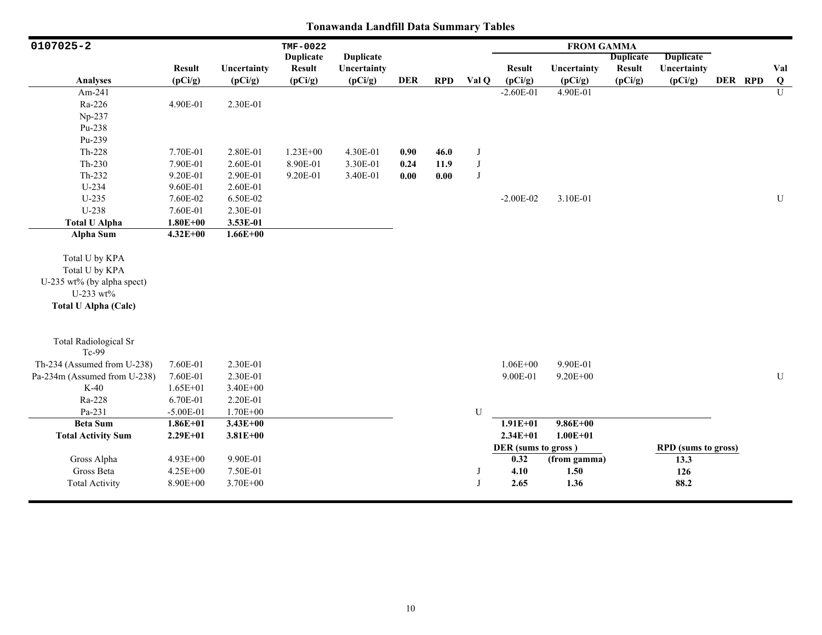| 0107025-2                                                                                                  |               |              | TMF-0022         |                  |            |            |             |                     | <b>FROM GAMMA</b> |                  |                            |         |                |
|------------------------------------------------------------------------------------------------------------|---------------|--------------|------------------|------------------|------------|------------|-------------|---------------------|-------------------|------------------|----------------------------|---------|----------------|
|                                                                                                            |               |              | <b>Duplicate</b> | <b>Duplicate</b> |            |            |             |                     |                   | <b>Duplicate</b> | <b>Duplicate</b>           |         |                |
|                                                                                                            | <b>Result</b> | Uncertainty  | <b>Result</b>    | Uncertainty      |            |            |             | <b>Result</b>       | Uncertainty       | <b>Result</b>    | Uncertainty                |         | Val            |
| Analyses                                                                                                   | (pCi/g)       | (pCi/g)      | (pCi/g)          | (pCi/g)          | <b>DER</b> | <b>RPD</b> | Val Q       | (pCi/g)             | (pCi/g)           | (pCi/g)          | (pCi/g)                    | DER RPD | $\bf{Q}$       |
| Am-241                                                                                                     |               |              |                  |                  |            |            |             | $-2.60E-01$         | 4.90E-01          |                  |                            |         | $\overline{U}$ |
| Ra-226                                                                                                     | 4.90E-01      | 2.30E-01     |                  |                  |            |            |             |                     |                   |                  |                            |         |                |
| Np-237                                                                                                     |               |              |                  |                  |            |            |             |                     |                   |                  |                            |         |                |
| Pu-238                                                                                                     |               |              |                  |                  |            |            |             |                     |                   |                  |                            |         |                |
| Pu-239                                                                                                     |               |              |                  |                  |            |            |             |                     |                   |                  |                            |         |                |
| $Th-228$                                                                                                   | 7.70E-01      | 2.80E-01     | $1.23E + 00$     | 4.30E-01         | 0.90       | 46.0       | J           |                     |                   |                  |                            |         |                |
| $Th-230$                                                                                                   | 7.90E-01      | 2.60E-01     | 8.90E-01         | 3.30E-01         | 0.24       | 11.9       | $_{\rm J}$  |                     |                   |                  |                            |         |                |
| Th-232                                                                                                     | 9.20E-01      | 2.90E-01     | 9.20E-01         | 3.40E-01         | 0.00       | 0.00       | J           |                     |                   |                  |                            |         |                |
| U-234                                                                                                      | 9.60E-01      | 2.60E-01     |                  |                  |            |            |             |                     |                   |                  |                            |         |                |
| $U-235$                                                                                                    | 7.60E-02      | 6.50E-02     |                  |                  |            |            |             | $-2.00E-02$         | 3.10E-01          |                  |                            |         | U              |
| U-238                                                                                                      | 7.60E-01      | 2.30E-01     |                  |                  |            |            |             |                     |                   |                  |                            |         |                |
| <b>Total U Alpha</b>                                                                                       | $1.80E + 00$  | 3.53E-01     |                  |                  |            |            |             |                     |                   |                  |                            |         |                |
| Alpha Sum                                                                                                  | $4.32E + 00$  | $1.66E + 00$ |                  |                  |            |            |             |                     |                   |                  |                            |         |                |
| Total U by KPA<br>Total U by KPA<br>U-235 wt% (by alpha spect)<br>U-233 wt%<br><b>Total U Alpha (Calc)</b> |               |              |                  |                  |            |            |             |                     |                   |                  |                            |         |                |
| <b>Total Radiological Sr</b><br>Tc-99                                                                      |               |              |                  |                  |            |            |             |                     |                   |                  |                            |         |                |
| Th-234 (Assumed from U-238)                                                                                | 7.60E-01      | 2.30E-01     |                  |                  |            |            |             | $1.06E + 00$        | 9.90E-01          |                  |                            |         |                |
| Pa-234m (Assumed from U-238)                                                                               | 7.60E-01      | 2.30E-01     |                  |                  |            |            |             | 9.00E-01            | $9.20E + 00$      |                  |                            |         | ${\bf U}$      |
| $K-40$                                                                                                     | $1.65E + 01$  | 3.40E+00     |                  |                  |            |            |             |                     |                   |                  |                            |         |                |
| Ra-228                                                                                                     | 6.70E-01      | 2.20E-01     |                  |                  |            |            |             |                     |                   |                  |                            |         |                |
| Pa-231                                                                                                     | $-5.00E-01$   | $1.70E + 00$ |                  |                  |            |            | $\mathbf U$ |                     |                   |                  |                            |         |                |
| <b>Beta Sum</b>                                                                                            | $1.86E + 01$  | $3.43E + 00$ |                  |                  |            |            |             | $1.91E + 01$        | $9.86E + 00$      |                  |                            |         |                |
| <b>Total Activity Sum</b>                                                                                  | $2.29E + 01$  | $3.81E + 00$ |                  |                  |            |            |             | $2.34E + 01$        | $1.00E + 01$      |                  |                            |         |                |
|                                                                                                            |               |              |                  |                  |            |            |             | DER (sums to gross) |                   |                  | <b>RPD</b> (sums to gross) |         |                |
| Gross Alpha                                                                                                | $4.93E + 00$  | 9.90E-01     |                  |                  |            |            |             | 0.32                | (from gamma)      |                  | 13.3                       |         |                |
| Gross Beta                                                                                                 | 4.25E+00      | 7.50E-01     |                  |                  |            |            | J           | 4.10                | 1.50              |                  | 126                        |         |                |
| <b>Total Activity</b>                                                                                      | 8.90E+00      | 3.70E+00     |                  |                  |            |            | J           | 2.65                | 1.36              |                  | 88.2                       |         |                |
|                                                                                                            |               |              |                  |                  |            |            |             |                     |                   |                  |                            |         |                |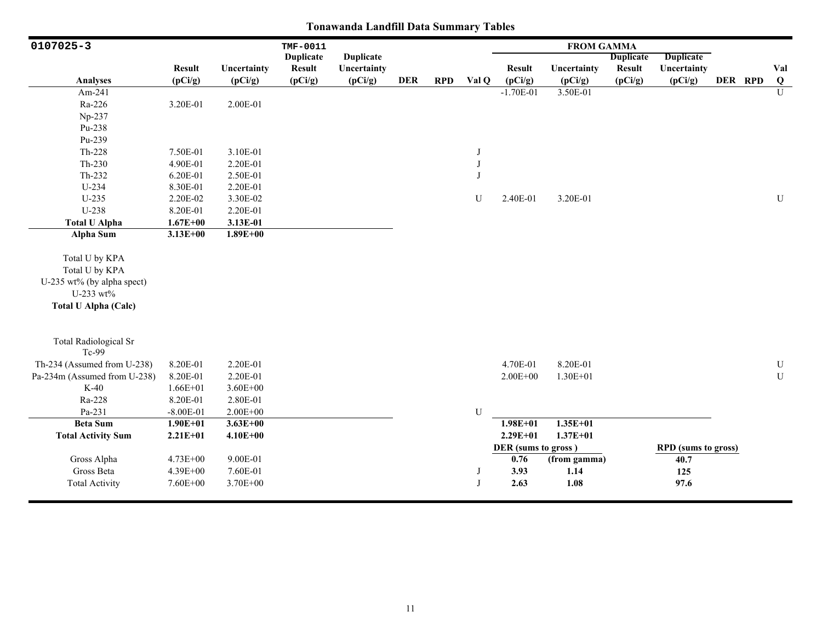| 0107025-3                                                                                                  |               |              | TMF-0011         |                  |            |            |              |                     | <b>FROM GAMMA</b> |                  |                            |         |                |
|------------------------------------------------------------------------------------------------------------|---------------|--------------|------------------|------------------|------------|------------|--------------|---------------------|-------------------|------------------|----------------------------|---------|----------------|
|                                                                                                            |               |              | <b>Duplicate</b> | <b>Duplicate</b> |            |            |              |                     |                   | <b>Duplicate</b> | <b>Duplicate</b>           |         |                |
|                                                                                                            | <b>Result</b> | Uncertainty  | <b>Result</b>    | Uncertainty      |            |            |              | <b>Result</b>       | Uncertainty       | <b>Result</b>    | Uncertainty                |         | Val            |
| <b>Analyses</b>                                                                                            | (pCi/g)       | (pCi/g)      | (pCi/g)          | (pCi/g)          | <b>DER</b> | <b>RPD</b> | Val Q        | (pCi/g)             | (pCi/g)           | (pCi/g)          | (pCi/g)                    | DER RPD | Q              |
| Am-241                                                                                                     |               |              |                  |                  |            |            |              | $-1.70E-01$         | 3.50E-01          |                  |                            |         | $\overline{U}$ |
| Ra-226                                                                                                     | 3.20E-01      | 2.00E-01     |                  |                  |            |            |              |                     |                   |                  |                            |         |                |
| Np-237                                                                                                     |               |              |                  |                  |            |            |              |                     |                   |                  |                            |         |                |
| Pu-238                                                                                                     |               |              |                  |                  |            |            |              |                     |                   |                  |                            |         |                |
| Pu-239                                                                                                     |               |              |                  |                  |            |            |              |                     |                   |                  |                            |         |                |
| $Th-228$                                                                                                   | 7.50E-01      | 3.10E-01     |                  |                  |            |            | J            |                     |                   |                  |                            |         |                |
| $Th-230$                                                                                                   | 4.90E-01      | 2.20E-01     |                  |                  |            |            | J            |                     |                   |                  |                            |         |                |
| Th-232                                                                                                     | 6.20E-01      | 2.50E-01     |                  |                  |            |            | $\mathbf{J}$ |                     |                   |                  |                            |         |                |
| $U-234$                                                                                                    | 8.30E-01      | 2.20E-01     |                  |                  |            |            |              |                     |                   |                  |                            |         |                |
| $U-235$                                                                                                    | 2.20E-02      | 3.30E-02     |                  |                  |            |            | U            | 2.40E-01            | 3.20E-01          |                  |                            |         | U              |
| U-238                                                                                                      | 8.20E-01      | 2.20E-01     |                  |                  |            |            |              |                     |                   |                  |                            |         |                |
| <b>Total U Alpha</b>                                                                                       | $1.67E + 00$  | 3.13E-01     |                  |                  |            |            |              |                     |                   |                  |                            |         |                |
| Alpha Sum                                                                                                  | $3.13E + 00$  | $1.89E + 00$ |                  |                  |            |            |              |                     |                   |                  |                            |         |                |
| Total U by KPA<br>Total U by KPA<br>U-235 wt% (by alpha spect)<br>U-233 wt%<br><b>Total U Alpha (Calc)</b> |               |              |                  |                  |            |            |              |                     |                   |                  |                            |         |                |
| <b>Total Radiological Sr</b><br>Tc-99                                                                      |               |              |                  |                  |            |            |              |                     |                   |                  |                            |         |                |
| Th-234 (Assumed from U-238)                                                                                | 8.20E-01      | 2.20E-01     |                  |                  |            |            |              | 4.70E-01            | 8.20E-01          |                  |                            |         | ${\bf U}$      |
| Pa-234m (Assumed from U-238)                                                                               | 8.20E-01      | 2.20E-01     |                  |                  |            |            |              | $2.00E + 00$        | $1.30E + 01$      |                  |                            |         | ${\bf U}$      |
| $K-40$                                                                                                     | $1.66E + 01$  | $3.60E + 00$ |                  |                  |            |            |              |                     |                   |                  |                            |         |                |
| Ra-228                                                                                                     | 8.20E-01      | 2.80E-01     |                  |                  |            |            |              |                     |                   |                  |                            |         |                |
| Pa-231                                                                                                     | $-8.00E - 01$ | $2.00E + 00$ |                  |                  |            |            | U            |                     |                   |                  |                            |         |                |
| <b>Beta Sum</b>                                                                                            | $1.90E + 01$  | $3.63E + 00$ |                  |                  |            |            |              | $1.98E + 01$        | $1.35E + 01$      |                  |                            |         |                |
| <b>Total Activity Sum</b>                                                                                  | $2.21E + 01$  | $4.10E + 00$ |                  |                  |            |            |              | $2.29E + 01$        | $1.37E + 01$      |                  |                            |         |                |
|                                                                                                            |               |              |                  |                  |            |            |              | DER (sums to gross) |                   |                  | <b>RPD</b> (sums to gross) |         |                |
| Gross Alpha                                                                                                | 4.73E+00      | 9.00E-01     |                  |                  |            |            |              | 0.76                | (from gamma)      |                  | 40.7                       |         |                |
| Gross Beta                                                                                                 | 4.39E+00      | 7.60E-01     |                  |                  |            |            | J            | 3.93                | 1.14              |                  | 125                        |         |                |
| <b>Total Activity</b>                                                                                      | 7.60E+00      | 3.70E+00     |                  |                  |            |            | J            | 2.63                | 1.08              |                  | 97.6                       |         |                |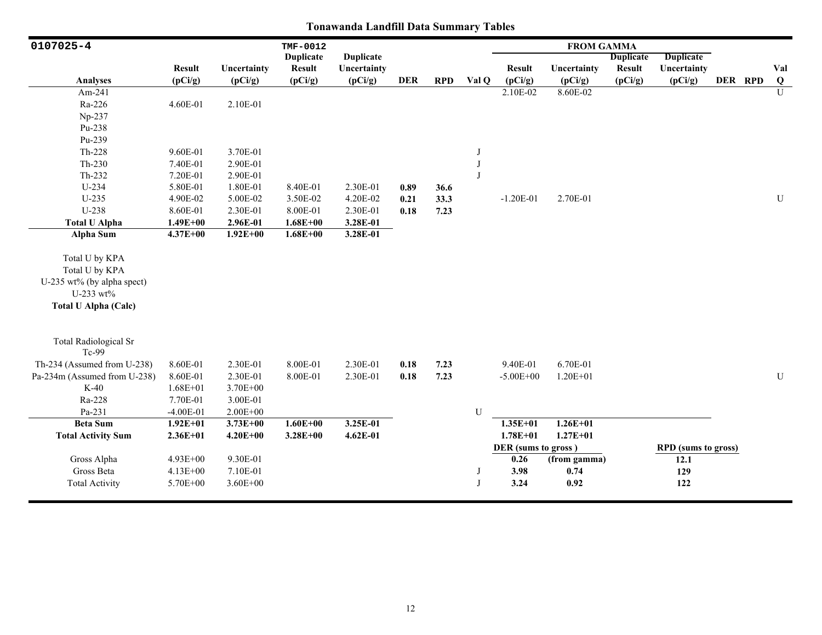| 0107025-4                             |               |              | TMF-0012         |                  |            |            |              |                     | <b>FROM GAMMA</b> |                  |                     |         |                |
|---------------------------------------|---------------|--------------|------------------|------------------|------------|------------|--------------|---------------------|-------------------|------------------|---------------------|---------|----------------|
|                                       |               |              | <b>Duplicate</b> | <b>Duplicate</b> |            |            |              |                     |                   | <b>Duplicate</b> | <b>Duplicate</b>    |         |                |
|                                       | <b>Result</b> | Uncertainty  | <b>Result</b>    | Uncertainty      |            |            |              | <b>Result</b>       | Uncertainty       | <b>Result</b>    | Uncertainty         |         | Val            |
| <b>Analyses</b>                       | (pCi/g)       | (pCi/g)      | (pCi/g)          | (pCi/g)          | <b>DER</b> | <b>RPD</b> | Val Q        | (pCi/g)             | (pCi/g)           | (pCi/g)          | (pCi/g)             | DER RPD | $\overline{Q}$ |
| Am-241                                |               |              |                  |                  |            |            |              | 2.10E-02            | 8.60E-02          |                  |                     |         | $\overline{U}$ |
| Ra-226                                | 4.60E-01      | 2.10E-01     |                  |                  |            |            |              |                     |                   |                  |                     |         |                |
| Np-237                                |               |              |                  |                  |            |            |              |                     |                   |                  |                     |         |                |
| Pu-238                                |               |              |                  |                  |            |            |              |                     |                   |                  |                     |         |                |
| Pu-239                                |               |              |                  |                  |            |            |              |                     |                   |                  |                     |         |                |
| $Th-228$                              | 9.60E-01      | 3.70E-01     |                  |                  |            |            | $\mathbf{J}$ |                     |                   |                  |                     |         |                |
| $Th-230$                              | 7.40E-01      | 2.90E-01     |                  |                  |            |            | J            |                     |                   |                  |                     |         |                |
| Th-232                                | 7.20E-01      | 2.90E-01     |                  |                  |            |            | $\mathbf I$  |                     |                   |                  |                     |         |                |
| $U-234$                               | 5.80E-01      | 1.80E-01     | 8.40E-01         | 2.30E-01         | 0.89       | 36.6       |              |                     |                   |                  |                     |         |                |
| $U-235$                               | 4.90E-02      | 5.00E-02     | 3.50E-02         | 4.20E-02         | 0.21       | 33.3       |              | $-1.20E-01$         | 2.70E-01          |                  |                     |         | $\mathbf U$    |
| U-238                                 | 8.60E-01      | 2.30E-01     | 8.00E-01         | 2.30E-01         | 0.18       | 7.23       |              |                     |                   |                  |                     |         |                |
| <b>Total U Alpha</b>                  | $1.49E + 00$  | 2.96E-01     | $1.68E + 00$     | 3.28E-01         |            |            |              |                     |                   |                  |                     |         |                |
| Alpha Sum                             | $4.37E + 00$  | $1.92E + 00$ | $1.68E + 00$     | 3.28E-01         |            |            |              |                     |                   |                  |                     |         |                |
|                                       |               |              |                  |                  |            |            |              |                     |                   |                  |                     |         |                |
| Total U by KPA                        |               |              |                  |                  |            |            |              |                     |                   |                  |                     |         |                |
| Total U by KPA                        |               |              |                  |                  |            |            |              |                     |                   |                  |                     |         |                |
| U-235 wt% (by alpha spect)            |               |              |                  |                  |            |            |              |                     |                   |                  |                     |         |                |
| U-233 wt%                             |               |              |                  |                  |            |            |              |                     |                   |                  |                     |         |                |
| <b>Total U Alpha (Calc)</b>           |               |              |                  |                  |            |            |              |                     |                   |                  |                     |         |                |
|                                       |               |              |                  |                  |            |            |              |                     |                   |                  |                     |         |                |
| <b>Total Radiological Sr</b><br>Tc-99 |               |              |                  |                  |            |            |              |                     |                   |                  |                     |         |                |
| Th-234 (Assumed from U-238)           | 8.60E-01      | 2.30E-01     | 8.00E-01         | 2.30E-01         | 0.18       | 7.23       |              | 9.40E-01            | 6.70E-01          |                  |                     |         |                |
| Pa-234m (Assumed from U-238)          | 8.60E-01      | 2.30E-01     | 8.00E-01         | 2.30E-01         | 0.18       | 7.23       |              | $-5.00E + 00$       | $1.20E + 01$      |                  |                     |         | ${\bf U}$      |
| $K-40$                                | $1.68E + 01$  | 3.70E+00     |                  |                  |            |            |              |                     |                   |                  |                     |         |                |
| Ra-228                                | 7.70E-01      | 3.00E-01     |                  |                  |            |            |              |                     |                   |                  |                     |         |                |
| Pa-231                                | $-4.00E-01$   | $2.00E + 00$ |                  |                  |            |            | U            |                     |                   |                  |                     |         |                |
| <b>Beta Sum</b>                       | $1.92E + 01$  | $3.73E + 00$ | $1.60E + 00$     | 3.25E-01         |            |            |              | $1.35E + 01$        | $1.26E + 01$      |                  |                     |         |                |
| <b>Total Activity Sum</b>             | $2.36E + 01$  | $4.20E + 00$ | $3.28E + 00$     | $4.62E-01$       |            |            |              | $1.78E + 01$        | $1.27E + 01$      |                  |                     |         |                |
|                                       |               |              |                  |                  |            |            |              | DER (sums to gross) |                   |                  | RPD (sums to gross) |         |                |
| Gross Alpha                           | 4.93E+00      | 9.30E-01     |                  |                  |            |            |              | 0.26                | (from gamma)      |                  | 12.1                |         |                |
| Gross Beta                            | 4.13E+00      | 7.10E-01     |                  |                  |            |            | J            | 3.98                | 0.74              |                  | 129                 |         |                |
| <b>Total Activity</b>                 | 5.70E+00      | $3.60E + 00$ |                  |                  |            |            | J            | 3.24                | 0.92              |                  | 122                 |         |                |
|                                       |               |              |                  |                  |            |            |              |                     |                   |                  |                     |         |                |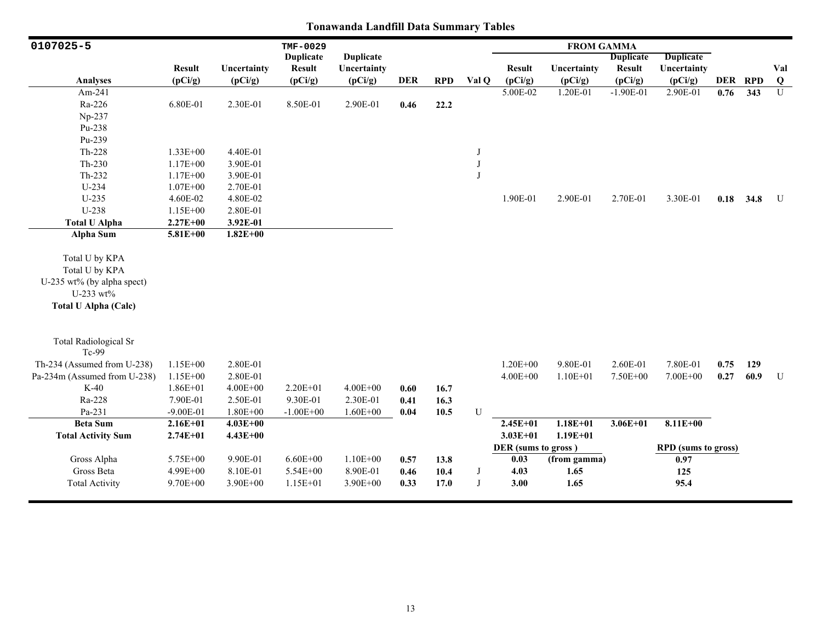| 0107025-5                    |               |              | TMF-0029         |                  |            |            |            |                     | <b>FROM GAMMA</b> |                  |                            |      |         |                |
|------------------------------|---------------|--------------|------------------|------------------|------------|------------|------------|---------------------|-------------------|------------------|----------------------------|------|---------|----------------|
|                              |               |              | <b>Duplicate</b> | <b>Duplicate</b> |            |            |            |                     |                   | <b>Duplicate</b> | <b>Duplicate</b>           |      |         |                |
|                              | <b>Result</b> | Uncertainty  | <b>Result</b>    | Uncertainty      |            |            |            | <b>Result</b>       | Uncertainty       | <b>Result</b>    | Uncertainty                |      |         | Val            |
| Analyses                     | (pCi/g)       | (pCi/g)      | (pCi/g)          | (pCi/g)          | <b>DER</b> | <b>RPD</b> | Val Q      | (pCi/g)             | (pCi/g)           | (pCi/g)          | (pCi/g)                    |      | DER RPD | $\bf Q$        |
| Am-241                       |               |              |                  |                  |            |            |            | 5.00E-02            | 1.20E-01          | $-1.90E-01$      | 2.90E-01                   | 0.76 | 343     | $\overline{U}$ |
| Ra-226                       | 6.80E-01      | 2.30E-01     | 8.50E-01         | 2.90E-01         | 0.46       | 22.2       |            |                     |                   |                  |                            |      |         |                |
| $Np-237$                     |               |              |                  |                  |            |            |            |                     |                   |                  |                            |      |         |                |
| Pu-238                       |               |              |                  |                  |            |            |            |                     |                   |                  |                            |      |         |                |
| Pu-239                       |               |              |                  |                  |            |            |            |                     |                   |                  |                            |      |         |                |
| Th-228                       | $1.33E + 00$  | 4.40E-01     |                  |                  |            |            | J          |                     |                   |                  |                            |      |         |                |
| $Th-230$                     | $1.17E + 00$  | 3.90E-01     |                  |                  |            |            | $_{\rm J}$ |                     |                   |                  |                            |      |         |                |
| Th-232                       | $1.17E + 00$  | 3.90E-01     |                  |                  |            |            | $_{\rm J}$ |                     |                   |                  |                            |      |         |                |
| $U-234$                      | $1.07E + 00$  | 2.70E-01     |                  |                  |            |            |            |                     |                   |                  |                            |      |         |                |
| $U-235$                      | 4.60E-02      | 4.80E-02     |                  |                  |            |            |            | 1.90E-01            | 2.90E-01          | 2.70E-01         | 3.30E-01                   | 0.18 | 34.8    | U              |
| $U-238$                      | $1.15E + 00$  | 2.80E-01     |                  |                  |            |            |            |                     |                   |                  |                            |      |         |                |
| <b>Total U Alpha</b>         | $2.27E + 00$  | 3.92E-01     |                  |                  |            |            |            |                     |                   |                  |                            |      |         |                |
| <b>Alpha Sum</b>             | $5.81E + 00$  | $1.82E + 00$ |                  |                  |            |            |            |                     |                   |                  |                            |      |         |                |
|                              |               |              |                  |                  |            |            |            |                     |                   |                  |                            |      |         |                |
| Total U by KPA               |               |              |                  |                  |            |            |            |                     |                   |                  |                            |      |         |                |
| Total U by KPA               |               |              |                  |                  |            |            |            |                     |                   |                  |                            |      |         |                |
| U-235 wt% (by alpha spect)   |               |              |                  |                  |            |            |            |                     |                   |                  |                            |      |         |                |
| U-233 wt%                    |               |              |                  |                  |            |            |            |                     |                   |                  |                            |      |         |                |
| <b>Total U Alpha (Calc)</b>  |               |              |                  |                  |            |            |            |                     |                   |                  |                            |      |         |                |
|                              |               |              |                  |                  |            |            |            |                     |                   |                  |                            |      |         |                |
|                              |               |              |                  |                  |            |            |            |                     |                   |                  |                            |      |         |                |
| <b>Total Radiological Sr</b> |               |              |                  |                  |            |            |            |                     |                   |                  |                            |      |         |                |
| Tc-99                        |               |              |                  |                  |            |            |            |                     |                   |                  |                            |      |         |                |
| Th-234 (Assumed from U-238)  | 1.15E+00      | 2.80E-01     |                  |                  |            |            |            | $1.20E + 00$        | 9.80E-01          | 2.60E-01         | 7.80E-01                   | 0.75 | 129     |                |
| Pa-234m (Assumed from U-238) | $1.15E + 00$  | 2.80E-01     |                  |                  |            |            |            | $4.00E + 00$        | $1.10E + 01$      | 7.50E+00         | 7.00E+00                   | 0.27 | 60.9    | U              |
| $K-40$                       | $1.86E + 01$  | $4.00E + 00$ | 2.20E+01         | $4.00E + 00$     | 0.60       | 16.7       |            |                     |                   |                  |                            |      |         |                |
| Ra-228                       | 7.90E-01      | 2.50E-01     | 9.30E-01         | 2.30E-01         | 0.41       | 16.3       |            |                     |                   |                  |                            |      |         |                |
| Pa-231                       | $-9.00E-01$   | $1.80E + 00$ | $-1.00E + 00$    | $1.60E + 00$     | 0.04       | 10.5       | U          |                     |                   |                  |                            |      |         |                |
| <b>Beta Sum</b>              | $2.16E + 01$  | $4.03E + 00$ |                  |                  |            |            |            | $2.45E + 01$        | $1.18E + 01$      | $3.06E + 01$     | $8.11E+00$                 |      |         |                |
| <b>Total Activity Sum</b>    | $2.74E + 01$  | $4.43E + 00$ |                  |                  |            |            |            | $3.03E + 01$        | $1.19E + 01$      |                  |                            |      |         |                |
|                              |               |              |                  |                  |            |            |            | DER (sums to gross) |                   |                  | <b>RPD</b> (sums to gross) |      |         |                |
| Gross Alpha                  | 5.75E+00      | 9.90E-01     | $6.60E + 00$     | $1.10E + 00$     | 0.57       | 13.8       |            | 0.03                | (from gamma)      |                  | 0.97                       |      |         |                |
| Gross Beta                   | 4.99E+00      | 8.10E-01     | 5.54E+00         | 8.90E-01         | 0.46       | 10.4       | $_{\rm J}$ | 4.03                | 1.65              |                  | 125                        |      |         |                |
| <b>Total Activity</b>        | 9.70E+00      | 3.90E+00     | $1.15E + 01$     | 3.90E+00         | 0.33       | 17.0       | $_{\rm J}$ | 3.00                | 1.65              |                  | 95.4                       |      |         |                |
|                              |               |              |                  |                  |            |            |            |                     |                   |                  |                            |      |         |                |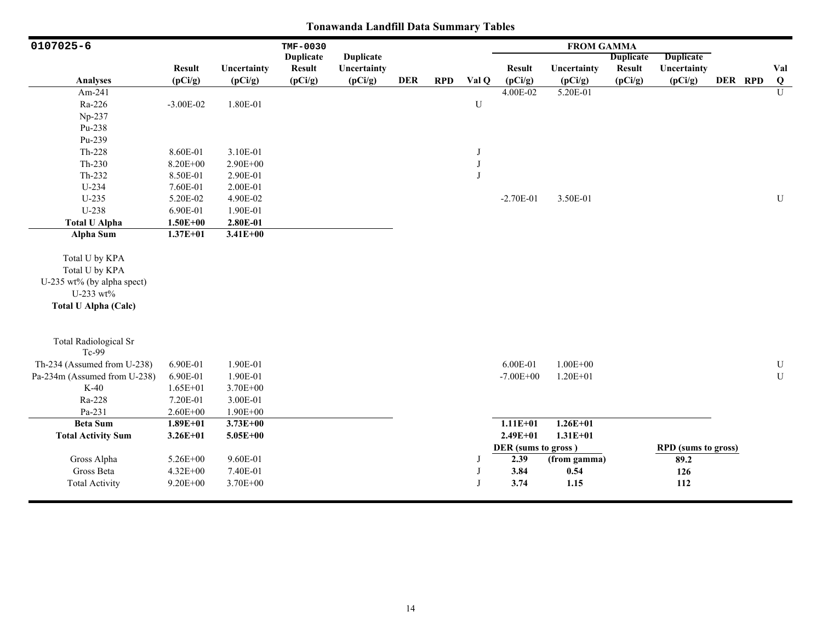| 0107025-6                    |               |              | TMF-0030         |                  |            |            |           |                     | <b>FROM GAMMA</b> |                  |                            |         |           |
|------------------------------|---------------|--------------|------------------|------------------|------------|------------|-----------|---------------------|-------------------|------------------|----------------------------|---------|-----------|
|                              |               |              | <b>Duplicate</b> | <b>Duplicate</b> |            |            |           |                     |                   | <b>Duplicate</b> | <b>Duplicate</b>           |         |           |
|                              | <b>Result</b> | Uncertainty  | <b>Result</b>    | Uncertainty      |            |            |           | <b>Result</b>       | Uncertainty       | <b>Result</b>    | Uncertainty                |         | Val       |
| <b>Analyses</b>              | (pCi/g)       | (pCi/g)      | (pCi/g)          | (pCi/g)          | <b>DER</b> | <b>RPD</b> | Val Q     | (pCi/g)             | (pCi/g)           | (pCi/g)          | (pCi/g)                    | DER RPD | Q         |
| Am-241                       |               |              |                  |                  |            |            |           | 4.00E-02            | 5.20E-01          |                  |                            |         | U         |
| Ra-226                       | $-3.00E-02$   | 1.80E-01     |                  |                  |            |            | ${\bf U}$ |                     |                   |                  |                            |         |           |
| Np-237                       |               |              |                  |                  |            |            |           |                     |                   |                  |                            |         |           |
| Pu-238                       |               |              |                  |                  |            |            |           |                     |                   |                  |                            |         |           |
| Pu-239                       |               |              |                  |                  |            |            |           |                     |                   |                  |                            |         |           |
| Th-228                       | 8.60E-01      | 3.10E-01     |                  |                  |            |            | J         |                     |                   |                  |                            |         |           |
| $Th-230$                     | 8.20E+00      | 2.90E+00     |                  |                  |            |            | J         |                     |                   |                  |                            |         |           |
| Th-232                       | 8.50E-01      | 2.90E-01     |                  |                  |            |            | J         |                     |                   |                  |                            |         |           |
| $U-234$                      | 7.60E-01      | 2.00E-01     |                  |                  |            |            |           |                     |                   |                  |                            |         |           |
| $U-235$                      | 5.20E-02      | 4.90E-02     |                  |                  |            |            |           | $-2.70E-01$         | 3.50E-01          |                  |                            |         | ${\bf U}$ |
| U-238                        | 6.90E-01      | 1.90E-01     |                  |                  |            |            |           |                     |                   |                  |                            |         |           |
| <b>Total U Alpha</b>         | $1.50E + 00$  | 2.80E-01     |                  |                  |            |            |           |                     |                   |                  |                            |         |           |
| <b>Alpha Sum</b>             | $1.37E + 01$  | $3.41E + 00$ |                  |                  |            |            |           |                     |                   |                  |                            |         |           |
|                              |               |              |                  |                  |            |            |           |                     |                   |                  |                            |         |           |
| Total U by KPA               |               |              |                  |                  |            |            |           |                     |                   |                  |                            |         |           |
| Total U by KPA               |               |              |                  |                  |            |            |           |                     |                   |                  |                            |         |           |
| U-235 wt% (by alpha spect)   |               |              |                  |                  |            |            |           |                     |                   |                  |                            |         |           |
| U-233 wt%                    |               |              |                  |                  |            |            |           |                     |                   |                  |                            |         |           |
| <b>Total U Alpha (Calc)</b>  |               |              |                  |                  |            |            |           |                     |                   |                  |                            |         |           |
|                              |               |              |                  |                  |            |            |           |                     |                   |                  |                            |         |           |
| <b>Total Radiological Sr</b> |               |              |                  |                  |            |            |           |                     |                   |                  |                            |         |           |
| Tc-99                        |               |              |                  |                  |            |            |           |                     |                   |                  |                            |         |           |
| Th-234 (Assumed from U-238)  | 6.90E-01      | 1.90E-01     |                  |                  |            |            |           | 6.00E-01            | $1.00E + 00$      |                  |                            |         | ${\bf U}$ |
| Pa-234m (Assumed from U-238) | 6.90E-01      | 1.90E-01     |                  |                  |            |            |           | $-7.00E + 00$       | $1.20E + 01$      |                  |                            |         | ${\bf U}$ |
| $K-40$                       | $1.65E + 01$  | 3.70E+00     |                  |                  |            |            |           |                     |                   |                  |                            |         |           |
| Ra-228                       | 7.20E-01      | 3.00E-01     |                  |                  |            |            |           |                     |                   |                  |                            |         |           |
| Pa-231                       | $2.60E + 00$  | 1.90E+00     |                  |                  |            |            |           |                     |                   |                  |                            |         |           |
| <b>Beta Sum</b>              | $1.89E + 01$  | $3.73E + 00$ |                  |                  |            |            |           | $1.11E + 01$        | $1.26E + 01$      |                  |                            |         |           |
| <b>Total Activity Sum</b>    | $3.26E + 01$  | $5.05E + 00$ |                  |                  |            |            |           | $2.49E + 01$        | $1.31E + 01$      |                  |                            |         |           |
|                              |               |              |                  |                  |            |            |           | DER (sums to gross) |                   |                  | <b>RPD</b> (sums to gross) |         |           |
| Gross Alpha                  | 5.26E+00      | 9.60E-01     |                  |                  |            |            | J         | 2.39                | (from gamma)      |                  | 89.2                       |         |           |
| Gross Beta                   | 4.32E+00      | 7.40E-01     |                  |                  |            |            | J         | 3.84                | 0.54              |                  | 126                        |         |           |
| <b>Total Activity</b>        | $9.20E + 00$  | 3.70E+00     |                  |                  |            |            | $\bf{J}$  | 3.74                | 1.15              |                  | 112                        |         |           |
|                              |               |              |                  |                  |            |            |           |                     |                   |                  |                            |         |           |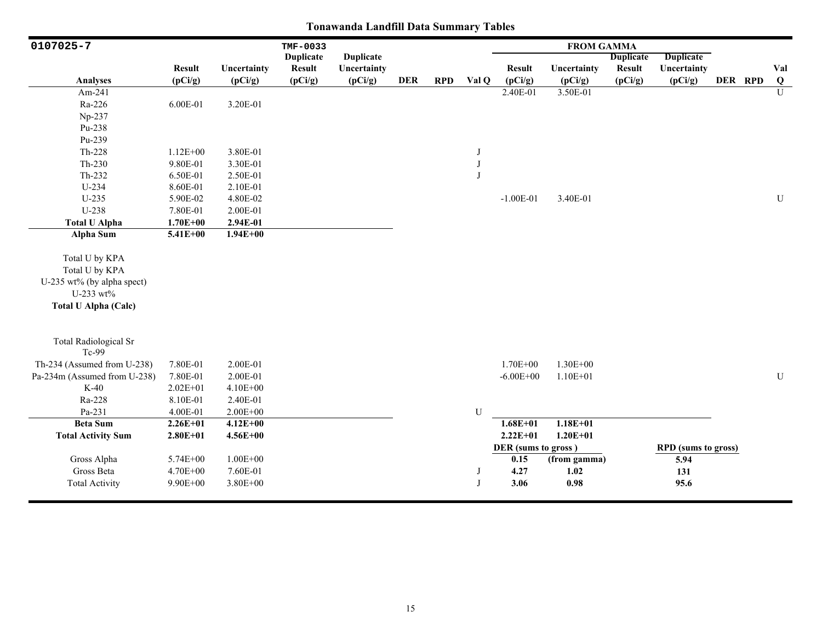| 0107025-7                                                                                                  | TMF-0033      |              |                  |                  |            |            |              | <b>FROM GAMMA</b>   |              |                  |                            |  |         |                |
|------------------------------------------------------------------------------------------------------------|---------------|--------------|------------------|------------------|------------|------------|--------------|---------------------|--------------|------------------|----------------------------|--|---------|----------------|
|                                                                                                            |               |              | <b>Duplicate</b> | <b>Duplicate</b> |            |            |              |                     |              | <b>Duplicate</b> | <b>Duplicate</b>           |  |         |                |
|                                                                                                            | <b>Result</b> | Uncertainty  | <b>Result</b>    | Uncertainty      |            |            |              | <b>Result</b>       | Uncertainty  | <b>Result</b>    | Uncertainty                |  |         | Val            |
| <b>Analyses</b>                                                                                            | (pCi/g)       | (pCi/g)      | (pCi/g)          | (pCi/g)          | <b>DER</b> | <b>RPD</b> | Val Q        | (pCi/g)             | (pCi/g)      | (pCi/g)          | (pCi/g)                    |  | DER RPD | $\bf{Q}$       |
| Am-241                                                                                                     |               |              |                  |                  |            |            |              | 2.40E-01            | 3.50E-01     |                  |                            |  |         | $\overline{U}$ |
| Ra-226                                                                                                     | 6.00E-01      | 3.20E-01     |                  |                  |            |            |              |                     |              |                  |                            |  |         |                |
| Np-237                                                                                                     |               |              |                  |                  |            |            |              |                     |              |                  |                            |  |         |                |
| Pu-238                                                                                                     |               |              |                  |                  |            |            |              |                     |              |                  |                            |  |         |                |
| Pu-239                                                                                                     |               |              |                  |                  |            |            |              |                     |              |                  |                            |  |         |                |
| $Th-228$                                                                                                   | $1.12E + 00$  | 3.80E-01     |                  |                  |            |            | J            |                     |              |                  |                            |  |         |                |
| $Th-230$                                                                                                   | 9.80E-01      | 3.30E-01     |                  |                  |            |            | $_{\rm J}$   |                     |              |                  |                            |  |         |                |
| Th-232                                                                                                     | 6.50E-01      | 2.50E-01     |                  |                  |            |            | $\mathbf{J}$ |                     |              |                  |                            |  |         |                |
| $U-234$                                                                                                    | 8.60E-01      | 2.10E-01     |                  |                  |            |            |              |                     |              |                  |                            |  |         |                |
| $U-235$                                                                                                    | 5.90E-02      | 4.80E-02     |                  |                  |            |            |              | $-1.00E-01$         | 3.40E-01     |                  |                            |  |         | ${\bf U}$      |
| U-238                                                                                                      | 7.80E-01      | 2.00E-01     |                  |                  |            |            |              |                     |              |                  |                            |  |         |                |
| <b>Total U Alpha</b>                                                                                       | $1.70E + 00$  | 2.94E-01     |                  |                  |            |            |              |                     |              |                  |                            |  |         |                |
| Alpha Sum                                                                                                  | 5.41E+00      | $1.94E + 00$ |                  |                  |            |            |              |                     |              |                  |                            |  |         |                |
| Total U by KPA<br>Total U by KPA<br>U-235 wt% (by alpha spect)<br>U-233 wt%<br><b>Total U Alpha (Calc)</b> |               |              |                  |                  |            |            |              |                     |              |                  |                            |  |         |                |
| <b>Total Radiological Sr</b><br>Tc-99                                                                      |               |              |                  |                  |            |            |              |                     |              |                  |                            |  |         |                |
| Th-234 (Assumed from U-238)                                                                                | 7.80E-01      | 2.00E-01     |                  |                  |            |            |              | $1.70E + 00$        | 1.30E+00     |                  |                            |  |         |                |
| Pa-234m (Assumed from U-238)                                                                               | 7.80E-01      | 2.00E-01     |                  |                  |            |            |              | $-6.00E + 00$       | $1.10E + 01$ |                  |                            |  |         | U              |
| $K-40$                                                                                                     | $2.02E + 01$  | 4.10E+00     |                  |                  |            |            |              |                     |              |                  |                            |  |         |                |
| Ra-228                                                                                                     | 8.10E-01      | 2.40E-01     |                  |                  |            |            |              |                     |              |                  |                            |  |         |                |
| Pa-231                                                                                                     | 4.00E-01      | $2.00E + 00$ |                  |                  |            |            | U            |                     |              |                  |                            |  |         |                |
| <b>Beta Sum</b>                                                                                            | $2.26E + 01$  | $4.12E + 00$ |                  |                  |            |            |              | $1.68E + 01$        | $1.18E + 01$ |                  |                            |  |         |                |
| <b>Total Activity Sum</b>                                                                                  | $2.80E + 01$  | $4.56E + 00$ |                  |                  |            |            |              | $2.22E+01$          | $1.20E + 01$ |                  |                            |  |         |                |
|                                                                                                            |               |              |                  |                  |            |            |              | DER (sums to gross) |              |                  | <b>RPD</b> (sums to gross) |  |         |                |
| Gross Alpha                                                                                                | 5.74E+00      | $1.00E + 00$ |                  |                  |            |            |              | 0.15                | (from gamma) |                  | 5.94                       |  |         |                |
| Gross Beta                                                                                                 | 4.70E+00      | 7.60E-01     |                  |                  |            |            | J            | 4.27                | 1.02         |                  | 131                        |  |         |                |
| <b>Total Activity</b>                                                                                      | 9.90E+00      | 3.80E+00     |                  |                  |            |            | J            | 3.06                | 0.98         |                  | 95.6                       |  |         |                |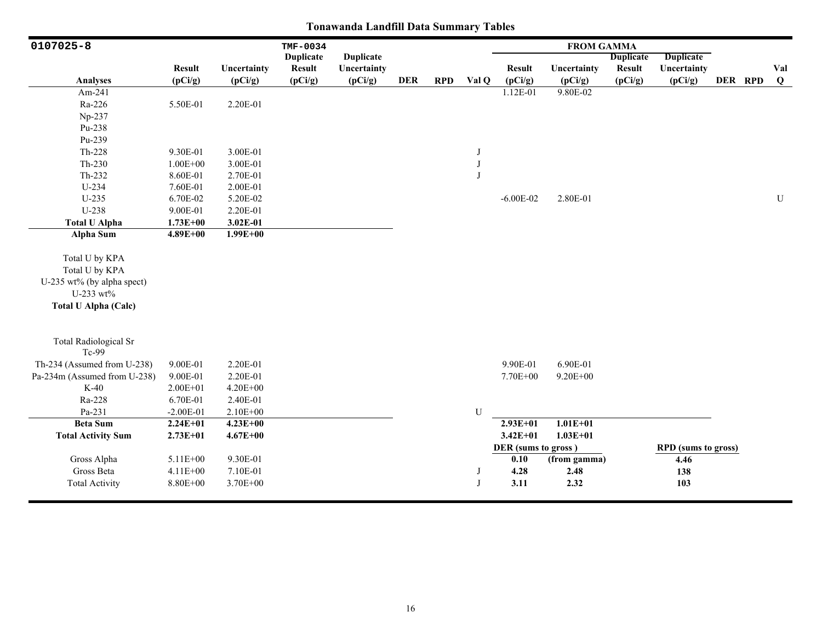| 0107025-8                                                                                                  |               |              | TMF-0034         |                  |            |            |              |                     | <b>FROM GAMMA</b> |                  |                            |         |              |
|------------------------------------------------------------------------------------------------------------|---------------|--------------|------------------|------------------|------------|------------|--------------|---------------------|-------------------|------------------|----------------------------|---------|--------------|
|                                                                                                            |               |              | <b>Duplicate</b> | <b>Duplicate</b> |            |            |              |                     |                   | <b>Duplicate</b> | <b>Duplicate</b>           |         |              |
|                                                                                                            | <b>Result</b> | Uncertainty  | <b>Result</b>    | Uncertainty      |            |            |              | <b>Result</b>       | Uncertainty       | <b>Result</b>    | Uncertainty                |         | Val          |
| Analyses                                                                                                   | (pCi/g)       | (pCi/g)      | (pCi/g)          | (pCi/g)          | <b>DER</b> | <b>RPD</b> | Val Q        | (pCi/g)             | (pCi/g)           | (pCi/g)          | (pCi/g)                    | DER RPD | $\mathbf{Q}$ |
| Am-241                                                                                                     |               |              |                  |                  |            |            |              | 1.12E-01            | $9.80E - 02$      |                  |                            |         |              |
| Ra-226                                                                                                     | 5.50E-01      | 2.20E-01     |                  |                  |            |            |              |                     |                   |                  |                            |         |              |
| Np-237                                                                                                     |               |              |                  |                  |            |            |              |                     |                   |                  |                            |         |              |
| Pu-238                                                                                                     |               |              |                  |                  |            |            |              |                     |                   |                  |                            |         |              |
| Pu-239                                                                                                     |               |              |                  |                  |            |            |              |                     |                   |                  |                            |         |              |
| $Th-228$                                                                                                   | 9.30E-01      | 3.00E-01     |                  |                  |            |            | J            |                     |                   |                  |                            |         |              |
| $Th-230$                                                                                                   | $1.00E + 00$  | 3.00E-01     |                  |                  |            |            | J            |                     |                   |                  |                            |         |              |
| Th-232                                                                                                     | 8.60E-01      | 2.70E-01     |                  |                  |            |            | $\mathbf{J}$ |                     |                   |                  |                            |         |              |
| $U-234$                                                                                                    | 7.60E-01      | 2.00E-01     |                  |                  |            |            |              |                     |                   |                  |                            |         |              |
| U-235                                                                                                      | 6.70E-02      | 5.20E-02     |                  |                  |            |            |              | $-6.00E - 02$       | 2.80E-01          |                  |                            |         | ${\bf U}$    |
| U-238                                                                                                      | 9.00E-01      | 2.20E-01     |                  |                  |            |            |              |                     |                   |                  |                            |         |              |
| <b>Total U Alpha</b>                                                                                       | $1.73E + 00$  | 3.02E-01     |                  |                  |            |            |              |                     |                   |                  |                            |         |              |
| <b>Alpha Sum</b>                                                                                           | $4.89E + 00$  | $1.99E + 00$ |                  |                  |            |            |              |                     |                   |                  |                            |         |              |
| Total U by KPA<br>Total U by KPA<br>U-235 wt% (by alpha spect)<br>U-233 wt%<br><b>Total U Alpha (Calc)</b> |               |              |                  |                  |            |            |              |                     |                   |                  |                            |         |              |
| <b>Total Radiological Sr</b><br>Tc-99                                                                      |               |              |                  |                  |            |            |              |                     |                   |                  |                            |         |              |
| Th-234 (Assumed from U-238)                                                                                | 9.00E-01      | 2.20E-01     |                  |                  |            |            |              | 9.90E-01            | 6.90E-01          |                  |                            |         |              |
| Pa-234m (Assumed from U-238)                                                                               | 9.00E-01      | 2.20E-01     |                  |                  |            |            |              | 7.70E+00            | $9.20E + 00$      |                  |                            |         |              |
| $K-40$                                                                                                     | $2.00E + 01$  | 4.20E+00     |                  |                  |            |            |              |                     |                   |                  |                            |         |              |
| Ra-228                                                                                                     | 6.70E-01      | 2.40E-01     |                  |                  |            |            |              |                     |                   |                  |                            |         |              |
| Pa-231                                                                                                     | $-2.00E-01$   | $2.10E + 00$ |                  |                  |            |            | U            |                     |                   |                  |                            |         |              |
| <b>Beta Sum</b>                                                                                            | $2.24E + 01$  | $4.23E+00$   |                  |                  |            |            |              | $2.93E + 01$        | $1.01E + 01$      |                  |                            |         |              |
| <b>Total Activity Sum</b>                                                                                  | $2.73E + 01$  | $4.67E + 00$ |                  |                  |            |            |              | $3.42E + 01$        | $1.03E + 01$      |                  |                            |         |              |
|                                                                                                            |               |              |                  |                  |            |            |              | DER (sums to gross) |                   |                  | <b>RPD</b> (sums to gross) |         |              |
| Gross Alpha                                                                                                | 5.11E+00      | 9.30E-01     |                  |                  |            |            |              | 0.10                | (from gamma)      |                  | 4.46                       |         |              |
| Gross Beta                                                                                                 | $4.11E + 00$  | 7.10E-01     |                  |                  |            |            | J            | 4.28                | 2.48              |                  | 138                        |         |              |
| <b>Total Activity</b>                                                                                      | 8.80E+00      | 3.70E+00     |                  |                  |            |            | J            | 3.11                | 2.32              |                  | 103                        |         |              |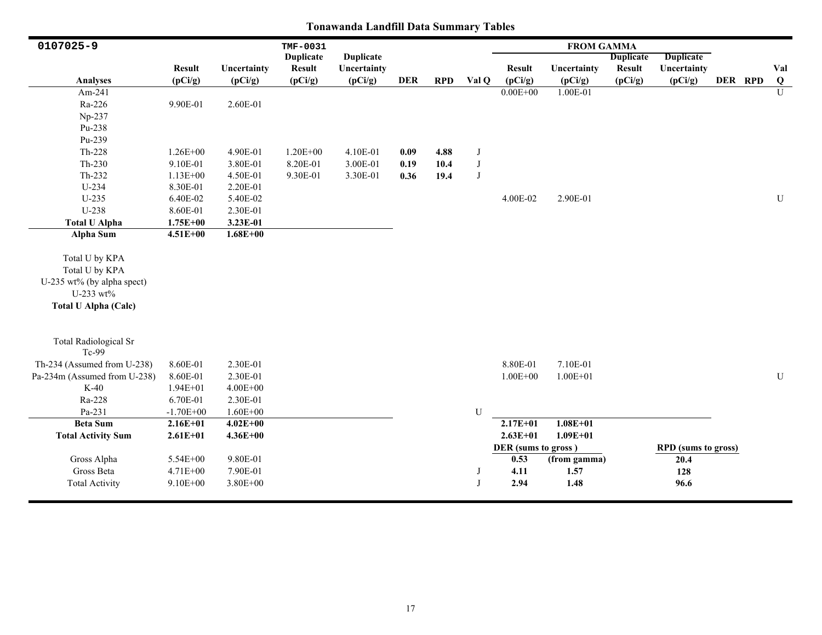| 0107025-9                                                                                                  |               |              | TMF-0031         |                  |            |            |            |                     | <b>FROM GAMMA</b> |                  |                            |         |                |
|------------------------------------------------------------------------------------------------------------|---------------|--------------|------------------|------------------|------------|------------|------------|---------------------|-------------------|------------------|----------------------------|---------|----------------|
|                                                                                                            |               |              | <b>Duplicate</b> | <b>Duplicate</b> |            |            |            |                     |                   | <b>Duplicate</b> | <b>Duplicate</b>           |         |                |
|                                                                                                            | <b>Result</b> | Uncertainty  | <b>Result</b>    | Uncertainty      |            |            |            | <b>Result</b>       | Uncertainty       | <b>Result</b>    | Uncertainty                |         | Val            |
| <b>Analyses</b>                                                                                            | (pCi/g)       | (pCi/g)      | (pCi/g)          | (pCi/g)          | <b>DER</b> | <b>RPD</b> | Val Q      | (pCi/g)             | (pCi/g)           | (pCi/g)          | (pCi/g)                    | DER RPD | $\bf Q$        |
| Am-241                                                                                                     |               |              |                  |                  |            |            |            | $0.00E + 00$        | 1.00E-01          |                  |                            |         | $\overline{U}$ |
| Ra-226                                                                                                     | 9.90E-01      | 2.60E-01     |                  |                  |            |            |            |                     |                   |                  |                            |         |                |
| Np-237                                                                                                     |               |              |                  |                  |            |            |            |                     |                   |                  |                            |         |                |
| Pu-238                                                                                                     |               |              |                  |                  |            |            |            |                     |                   |                  |                            |         |                |
| Pu-239                                                                                                     |               |              |                  |                  |            |            |            |                     |                   |                  |                            |         |                |
| Th-228                                                                                                     | $1.26E + 00$  | 4.90E-01     | $1.20E + 00$     | 4.10E-01         | 0.09       | 4.88       | J          |                     |                   |                  |                            |         |                |
| Th-230                                                                                                     | 9.10E-01      | 3.80E-01     | 8.20E-01         | 3.00E-01         | 0.19       | 10.4       | J          |                     |                   |                  |                            |         |                |
| Th-232                                                                                                     | $1.13E + 00$  | 4.50E-01     | 9.30E-01         | 3.30E-01         | 0.36       | 19.4       | $_{\rm J}$ |                     |                   |                  |                            |         |                |
| $U-234$                                                                                                    | 8.30E-01      | 2.20E-01     |                  |                  |            |            |            |                     |                   |                  |                            |         |                |
| U-235                                                                                                      | 6.40E-02      | 5.40E-02     |                  |                  |            |            |            | 4.00E-02            | 2.90E-01          |                  |                            |         | U              |
| U-238                                                                                                      | 8.60E-01      | 2.30E-01     |                  |                  |            |            |            |                     |                   |                  |                            |         |                |
| <b>Total U Alpha</b>                                                                                       | $1.75E + 00$  | 3.23E-01     |                  |                  |            |            |            |                     |                   |                  |                            |         |                |
| <b>Alpha Sum</b>                                                                                           | $4.51E + 00$  | $1.68E + 00$ |                  |                  |            |            |            |                     |                   |                  |                            |         |                |
| Total U by KPA<br>Total U by KPA<br>U-235 wt% (by alpha spect)<br>U-233 wt%<br><b>Total U Alpha (Calc)</b> |               |              |                  |                  |            |            |            |                     |                   |                  |                            |         |                |
| <b>Total Radiological Sr</b><br>Tc-99                                                                      |               |              |                  |                  |            |            |            |                     |                   |                  |                            |         |                |
| Th-234 (Assumed from U-238)                                                                                | 8.60E-01      | 2.30E-01     |                  |                  |            |            |            | 8.80E-01            | 7.10E-01          |                  |                            |         |                |
| Pa-234m (Assumed from U-238)                                                                               | 8.60E-01      | 2.30E-01     |                  |                  |            |            |            | $1.00E + 00$        | $1.00E + 01$      |                  |                            |         | ${\bf U}$      |
| $K-40$                                                                                                     | $1.94E + 01$  | $4.00E + 00$ |                  |                  |            |            |            |                     |                   |                  |                            |         |                |
| Ra-228                                                                                                     | 6.70E-01      | 2.30E-01     |                  |                  |            |            |            |                     |                   |                  |                            |         |                |
| Pa-231                                                                                                     | $-1.70E + 00$ | $1.60E + 00$ |                  |                  |            |            | U          |                     |                   |                  |                            |         |                |
| <b>Beta Sum</b>                                                                                            | $2.16E + 01$  | $4.02E + 00$ |                  |                  |            |            |            | $2.17E+01$          | $1.08E + 01$      |                  |                            |         |                |
| <b>Total Activity Sum</b>                                                                                  | $2.61E + 01$  | $4.36E + 00$ |                  |                  |            |            |            | $2.63E + 01$        | $1.09E + 01$      |                  |                            |         |                |
|                                                                                                            |               |              |                  |                  |            |            |            | DER (sums to gross) |                   |                  | <b>RPD</b> (sums to gross) |         |                |
| Gross Alpha                                                                                                | $5.54E + 00$  | 9.80E-01     |                  |                  |            |            |            | 0.53                | (from gamma)      |                  | 20.4                       |         |                |
| Gross Beta                                                                                                 | 4.71E+00      | 7.90E-01     |                  |                  |            |            | J          | 4.11                | 1.57              |                  | 128                        |         |                |
| <b>Total Activity</b>                                                                                      | $9.10E + 00$  | $3.80E + 00$ |                  |                  |            |            | J          | 2.94                | 1.48              |                  | 96.6                       |         |                |
|                                                                                                            |               |              |                  |                  |            |            |            |                     |                   |                  |                            |         |                |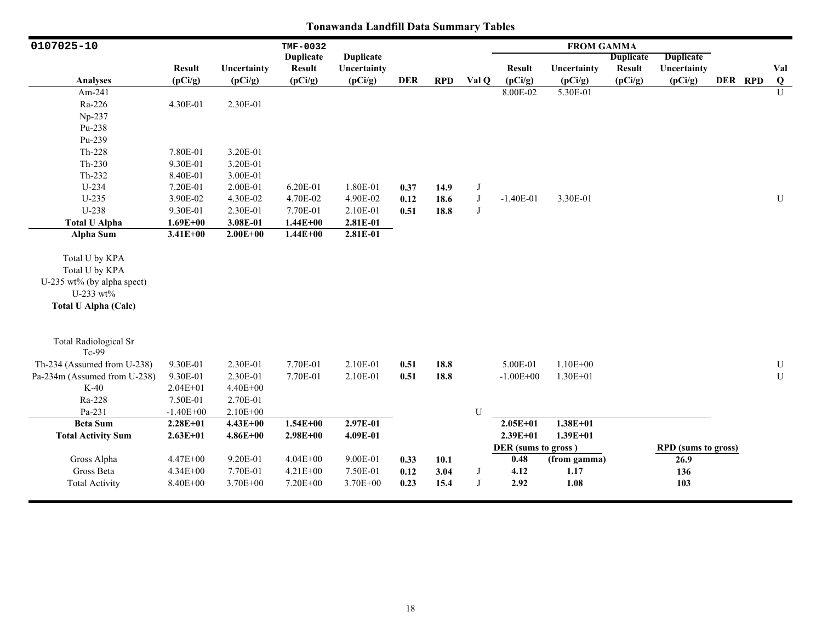| 0107025-10                                                                                                 |               |              | TMF-0032         |                  |            |            |            |                     | <b>FROM GAMMA</b> |                  |                            |         |                |
|------------------------------------------------------------------------------------------------------------|---------------|--------------|------------------|------------------|------------|------------|------------|---------------------|-------------------|------------------|----------------------------|---------|----------------|
|                                                                                                            |               |              | <b>Duplicate</b> | <b>Duplicate</b> |            |            |            |                     |                   | <b>Duplicate</b> | <b>Duplicate</b>           |         |                |
|                                                                                                            | <b>Result</b> | Uncertainty  | <b>Result</b>    | Uncertainty      |            |            |            | <b>Result</b>       | Uncertainty       | <b>Result</b>    | Uncertainty                |         | Val            |
| <b>Analyses</b>                                                                                            | (pCi/g)       | (pCi/g)      | (pCi/g)          | (pCi/g)          | <b>DER</b> | <b>RPD</b> | Val Q      | (pCi/g)             | (pCi/g)           | (pCi/g)          | (pCi/g)                    | DER RPD | $\bf Q$        |
| Am-241                                                                                                     |               |              |                  |                  |            |            |            | 8.00E-02            | 5.30E-01          |                  |                            |         | $\overline{U}$ |
| Ra-226                                                                                                     | 4.30E-01      | 2.30E-01     |                  |                  |            |            |            |                     |                   |                  |                            |         |                |
| Np-237                                                                                                     |               |              |                  |                  |            |            |            |                     |                   |                  |                            |         |                |
| Pu-238                                                                                                     |               |              |                  |                  |            |            |            |                     |                   |                  |                            |         |                |
| Pu-239                                                                                                     |               |              |                  |                  |            |            |            |                     |                   |                  |                            |         |                |
| Th-228                                                                                                     | 7.80E-01      | 3.20E-01     |                  |                  |            |            |            |                     |                   |                  |                            |         |                |
| $Th-230$                                                                                                   | 9.30E-01      | 3.20E-01     |                  |                  |            |            |            |                     |                   |                  |                            |         |                |
| Th-232                                                                                                     | 8.40E-01      | 3.00E-01     |                  |                  |            |            |            |                     |                   |                  |                            |         |                |
| $U-234$                                                                                                    | 7.20E-01      | 2.00E-01     | 6.20E-01         | 1.80E-01         | 0.37       | 14.9       | J          |                     |                   |                  |                            |         |                |
| $U-235$                                                                                                    | 3.90E-02      | 4.30E-02     | 4.70E-02         | 4.90E-02         | 0.12       | 18.6       | $\bf J$    | $-1.40E-01$         | 3.30E-01          |                  |                            |         | U              |
| U-238                                                                                                      | 9.30E-01      | 2.30E-01     | 7.70E-01         | 2.10E-01         | 0.51       | 18.8       | $_{\rm J}$ |                     |                   |                  |                            |         |                |
| <b>Total U Alpha</b>                                                                                       | $1.69E + 00$  | 3.08E-01     | $1.44E + 00$     | 2.81E-01         |            |            |            |                     |                   |                  |                            |         |                |
| Alpha Sum                                                                                                  | $3.41E + 00$  | $2.00E + 00$ | $1.44E + 00$     | 2.81E-01         |            |            |            |                     |                   |                  |                            |         |                |
| Total U by KPA<br>Total U by KPA<br>U-235 wt% (by alpha spect)<br>U-233 wt%<br><b>Total U Alpha (Calc)</b> |               |              |                  |                  |            |            |            |                     |                   |                  |                            |         |                |
| <b>Total Radiological Sr</b><br>Tc-99                                                                      |               |              |                  |                  |            |            |            |                     |                   |                  |                            |         |                |
| Th-234 (Assumed from U-238)                                                                                | 9.30E-01      | 2.30E-01     | 7.70E-01         | 2.10E-01         | 0.51       | 18.8       |            | 5.00E-01            | $1.10E + 00$      |                  |                            |         | ${\bf U}$      |
| Pa-234m (Assumed from U-238)                                                                               | 9.30E-01      | 2.30E-01     | 7.70E-01         | 2.10E-01         | 0.51       | 18.8       |            | $-1.00E + 00$       | 1.30E+01          |                  |                            |         | ${\bf U}$      |
| $K-40$                                                                                                     | $2.04E + 01$  | 4.40E+00     |                  |                  |            |            |            |                     |                   |                  |                            |         |                |
| Ra-228                                                                                                     | 7.50E-01      | 2.70E-01     |                  |                  |            |            |            |                     |                   |                  |                            |         |                |
| Pa-231                                                                                                     | $-1.40E + 00$ | 2.10E+00     |                  |                  |            |            | U          |                     |                   |                  |                            |         |                |
| <b>Beta Sum</b>                                                                                            | $2.28E + 01$  | $4.43E + 00$ | $1.54E + 00$     | $2.97E-01$       |            |            |            | $2.05E + 01$        | $1.38E + 01$      |                  |                            |         |                |
| <b>Total Activity Sum</b>                                                                                  | $2.63E+01$    | $4.86E + 00$ | $2.98E + 00$     | 4.09E-01         |            |            |            | $2.39E + 01$        | $1.39E + 01$      |                  |                            |         |                |
|                                                                                                            |               |              |                  |                  |            |            |            | DER (sums to gross) |                   |                  | <b>RPD</b> (sums to gross) |         |                |
| Gross Alpha                                                                                                | $4.47E + 00$  | 9.20E-01     | $4.04E + 00$     | 9.00E-01         | 0.33       | 10.1       |            | 0.48                | (from gamma)      |                  | 26.9                       |         |                |
| Gross Beta                                                                                                 | $4.34E + 00$  | 7.70E-01     | 4.21E+00         | 7.50E-01         | 0.12       | 3.04       | J          | 4.12                | 1.17              |                  | 136                        |         |                |
| <b>Total Activity</b>                                                                                      | 8.40E+00      | 3.70E+00     | 7.20E+00         | 3.70E+00         | 0.23       | 15.4       | $_{\rm J}$ | 2.92                | 1.08              |                  | 103                        |         |                |
|                                                                                                            |               |              |                  |                  |            |            |            |                     |                   |                  |                            |         |                |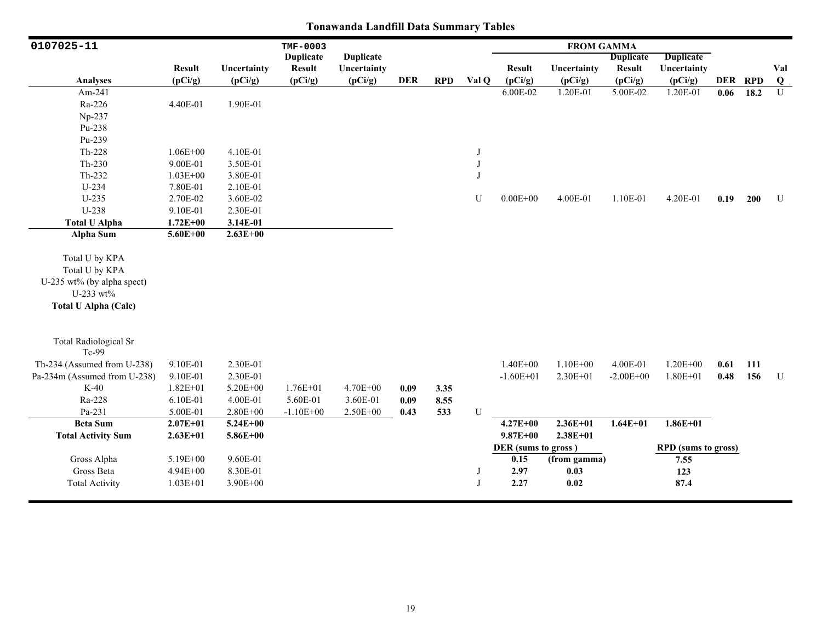| 0107025-11                   |               |              | TMF-0003         |                  |            |            |            |                     | <b>FROM GAMMA</b> |                  |                            |         |      |             |
|------------------------------|---------------|--------------|------------------|------------------|------------|------------|------------|---------------------|-------------------|------------------|----------------------------|---------|------|-------------|
|                              |               |              | <b>Duplicate</b> | <b>Duplicate</b> |            |            |            |                     |                   | <b>Duplicate</b> | Duplicate                  |         |      |             |
|                              | <b>Result</b> | Uncertainty  | <b>Result</b>    | Uncertainty      |            |            |            | <b>Result</b>       | Uncertainty       | <b>Result</b>    | Uncertainty                |         |      | Val         |
| <b>Analyses</b>              | (pCi/g)       | (pCi/g)      | (pCi/g)          | (pCi/g)          | <b>DER</b> | <b>RPD</b> | Val Q      | (pCi/g)             | (pCi/g)           | (pCi/g)          | (pCi/g)                    | DER RPD |      | $\bf Q$     |
| Am-241                       |               |              |                  |                  |            |            |            | 6.00E-02            | 1.20E-01          | 5.00E-02         | 1.20E-01                   | 0.06    | 18.2 | U           |
| Ra-226                       | 4.40E-01      | 1.90E-01     |                  |                  |            |            |            |                     |                   |                  |                            |         |      |             |
| Np-237                       |               |              |                  |                  |            |            |            |                     |                   |                  |                            |         |      |             |
| Pu-238                       |               |              |                  |                  |            |            |            |                     |                   |                  |                            |         |      |             |
| Pu-239                       |               |              |                  |                  |            |            |            |                     |                   |                  |                            |         |      |             |
| Th-228                       | $1.06E + 00$  | 4.10E-01     |                  |                  |            |            | J          |                     |                   |                  |                            |         |      |             |
| $Th-230$                     | 9.00E-01      | 3.50E-01     |                  |                  |            |            | $\bf J$    |                     |                   |                  |                            |         |      |             |
| Th-232                       | $1.03E + 00$  | 3.80E-01     |                  |                  |            |            | $_{\rm J}$ |                     |                   |                  |                            |         |      |             |
| U-234                        | 7.80E-01      | 2.10E-01     |                  |                  |            |            |            |                     |                   |                  |                            |         |      |             |
| $U-235$                      | 2.70E-02      | 3.60E-02     |                  |                  |            |            | U          | $0.00E + 00$        | 4.00E-01          | 1.10E-01         | 4.20E-01                   | 0.19    | 200  | U           |
| U-238                        | 9.10E-01      | 2.30E-01     |                  |                  |            |            |            |                     |                   |                  |                            |         |      |             |
| <b>Total U Alpha</b>         | $1.72E + 00$  | 3.14E-01     |                  |                  |            |            |            |                     |                   |                  |                            |         |      |             |
| Alpha Sum                    | $5.60E + 00$  | $2.63E + 00$ |                  |                  |            |            |            |                     |                   |                  |                            |         |      |             |
|                              |               |              |                  |                  |            |            |            |                     |                   |                  |                            |         |      |             |
| Total U by KPA               |               |              |                  |                  |            |            |            |                     |                   |                  |                            |         |      |             |
| Total U by KPA               |               |              |                  |                  |            |            |            |                     |                   |                  |                            |         |      |             |
| U-235 wt% (by alpha spect)   |               |              |                  |                  |            |            |            |                     |                   |                  |                            |         |      |             |
| U-233 wt%                    |               |              |                  |                  |            |            |            |                     |                   |                  |                            |         |      |             |
| <b>Total U Alpha (Calc)</b>  |               |              |                  |                  |            |            |            |                     |                   |                  |                            |         |      |             |
|                              |               |              |                  |                  |            |            |            |                     |                   |                  |                            |         |      |             |
|                              |               |              |                  |                  |            |            |            |                     |                   |                  |                            |         |      |             |
| <b>Total Radiological Sr</b> |               |              |                  |                  |            |            |            |                     |                   |                  |                            |         |      |             |
| Tc-99                        |               |              |                  |                  |            |            |            |                     |                   |                  |                            |         |      |             |
| Th-234 (Assumed from U-238)  | 9.10E-01      | 2.30E-01     |                  |                  |            |            |            | $1.40E + 00$        | $1.10E + 00$      | 4.00E-01         | $1.20E + 00$               | 0.61    | 111  |             |
| Pa-234m (Assumed from U-238) | 9.10E-01      | 2.30E-01     |                  |                  |            |            |            | $-1.60E + 01$       | $2.30E + 01$      | $-2.00E + 00$    | $1.80E + 01$               | 0.48    | 156  | $\mathbf U$ |
| $K-40$                       | $1.82E + 01$  | $5.20E + 00$ | $1.76E + 01$     | 4.70E+00         | 0.09       | 3.35       |            |                     |                   |                  |                            |         |      |             |
| Ra-228                       | 6.10E-01      | 4.00E-01     | 5.60E-01         | 3.60E-01         | 0.09       | 8.55       |            |                     |                   |                  |                            |         |      |             |
| Pa-231                       | 5.00E-01      | $2.80E + 00$ | $-1.10E + 00$    | 2.50E+00         | 0.43       | 533        | U          |                     |                   |                  |                            |         |      |             |
| <b>Beta Sum</b>              | $2.07E + 01$  | $5.24E + 00$ |                  |                  |            |            |            | $4.27E + 00$        | 2.36E+01          | $1.64E + 01$     | $1.86E+01$                 |         |      |             |
| <b>Total Activity Sum</b>    | $2.63E + 01$  | $5.86E + 00$ |                  |                  |            |            |            | $9.87E + 00$        | $2.38E + 01$      |                  |                            |         |      |             |
|                              |               |              |                  |                  |            |            |            | DER (sums to gross) |                   |                  | <b>RPD</b> (sums to gross) |         |      |             |
| Gross Alpha                  | 5.19E+00      | 9.60E-01     |                  |                  |            |            |            | 0.15                | (from gamma)      |                  | 7.55                       |         |      |             |
| Gross Beta                   | 4.94E+00      | 8.30E-01     |                  |                  |            |            | J          | 2.97                | 0.03              |                  | 123                        |         |      |             |
| <b>Total Activity</b>        | $1.03E + 01$  | $3.90E + 00$ |                  |                  |            |            | J          | 2.27                | 0.02              |                  | 87.4                       |         |      |             |
|                              |               |              |                  |                  |            |            |            |                     |                   |                  |                            |         |      |             |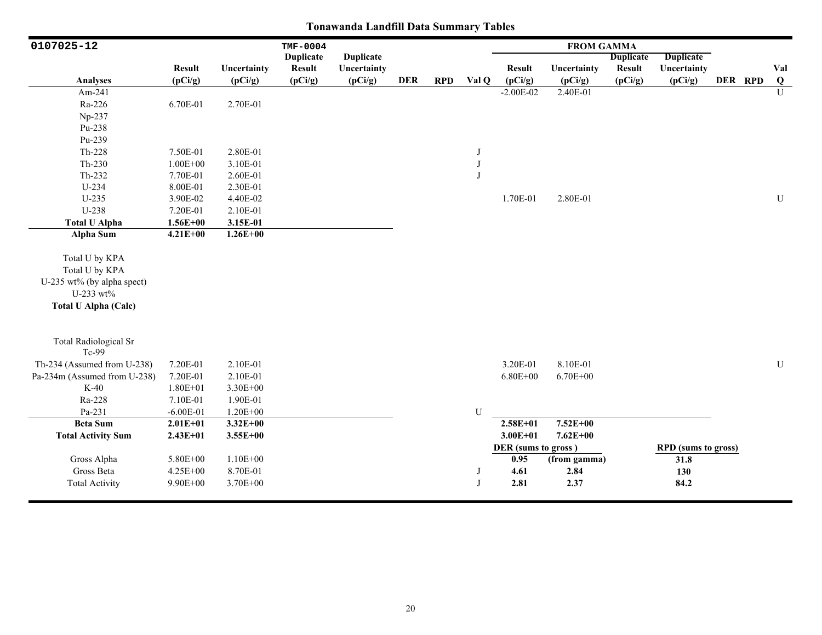| 0107025-12                                                                                                 |                                  |                                      | TMF-0004         |                  |            |            |        |                                             | <b>FROM GAMMA</b>            |                  |                                                   |         |                |
|------------------------------------------------------------------------------------------------------------|----------------------------------|--------------------------------------|------------------|------------------|------------|------------|--------|---------------------------------------------|------------------------------|------------------|---------------------------------------------------|---------|----------------|
|                                                                                                            |                                  |                                      | <b>Duplicate</b> | <b>Duplicate</b> |            |            |        |                                             |                              | <b>Duplicate</b> | <b>Duplicate</b>                                  |         |                |
|                                                                                                            | <b>Result</b>                    | Uncertainty                          | <b>Result</b>    | Uncertainty      |            |            |        | <b>Result</b>                               | Uncertainty                  | <b>Result</b>    | Uncertainty                                       |         | Val            |
| Analyses                                                                                                   | (pCi/g)                          | (pCi/g)                              | (pCi/g)          | (pCi/g)          | <b>DER</b> | <b>RPD</b> | Val Q  | (pCi/g)                                     | (pCi/g)                      | (pCi/g)          | (pCi/g)                                           | DER RPD | $\bf{Q}$       |
| Am-241                                                                                                     |                                  |                                      |                  |                  |            |            |        | $-2.00E - 02$                               | 2.40E-01                     |                  |                                                   |         | $\overline{U}$ |
| Ra-226                                                                                                     | 6.70E-01                         | 2.70E-01                             |                  |                  |            |            |        |                                             |                              |                  |                                                   |         |                |
| Np-237                                                                                                     |                                  |                                      |                  |                  |            |            |        |                                             |                              |                  |                                                   |         |                |
| Pu-238                                                                                                     |                                  |                                      |                  |                  |            |            |        |                                             |                              |                  |                                                   |         |                |
| Pu-239                                                                                                     |                                  |                                      |                  |                  |            |            |        |                                             |                              |                  |                                                   |         |                |
| Th-228                                                                                                     | 7.50E-01                         | 2.80E-01                             |                  |                  |            |            | J      |                                             |                              |                  |                                                   |         |                |
| $Th-230$                                                                                                   | $1.00E + 00$                     | 3.10E-01                             |                  |                  |            |            | J      |                                             |                              |                  |                                                   |         |                |
| $Th-232$                                                                                                   | 7.70E-01                         | 2.60E-01                             |                  |                  |            |            |        |                                             |                              |                  |                                                   |         |                |
| U-234                                                                                                      | 8.00E-01                         | 2.30E-01                             |                  |                  |            |            |        |                                             |                              |                  |                                                   |         |                |
| $U-235$                                                                                                    | 3.90E-02                         | 4.40E-02                             |                  |                  |            |            |        | 1.70E-01                                    | 2.80E-01                     |                  |                                                   |         | U              |
| U-238                                                                                                      | 7.20E-01                         | 2.10E-01                             |                  |                  |            |            |        |                                             |                              |                  |                                                   |         |                |
| <b>Total U Alpha</b>                                                                                       | $1.56E + 00$                     | 3.15E-01                             |                  |                  |            |            |        |                                             |                              |                  |                                                   |         |                |
| <b>Alpha Sum</b>                                                                                           | $4.21E + 00$                     | $1.26E + 00$                         |                  |                  |            |            |        |                                             |                              |                  |                                                   |         |                |
| Total U by KPA<br>Total U by KPA<br>U-235 wt% (by alpha spect)<br>U-233 wt%<br><b>Total U Alpha (Calc)</b> |                                  |                                      |                  |                  |            |            |        |                                             |                              |                  |                                                   |         |                |
| <b>Total Radiological Sr</b><br>Tc-99                                                                      |                                  |                                      |                  |                  |            |            |        |                                             |                              |                  |                                                   |         |                |
| Th-234 (Assumed from U-238)                                                                                | 7.20E-01                         | 2.10E-01                             |                  |                  |            |            |        | 3.20E-01                                    | 8.10E-01                     |                  |                                                   |         | $\mathbf U$    |
| Pa-234m (Assumed from U-238)                                                                               | 7.20E-01                         | 2.10E-01                             |                  |                  |            |            |        | $6.80E + 00$                                | $6.70E + 00$                 |                  |                                                   |         |                |
| $K-40$                                                                                                     | $1.80E + 01$                     | 3.30E+00                             |                  |                  |            |            |        |                                             |                              |                  |                                                   |         |                |
| Ra-228                                                                                                     | 7.10E-01                         | 1.90E-01                             |                  |                  |            |            |        |                                             |                              |                  |                                                   |         |                |
| Pa-231                                                                                                     | $-6.00E-01$                      | $1.20E + 00$                         |                  |                  |            |            | U      |                                             |                              |                  |                                                   |         |                |
| <b>Beta Sum</b>                                                                                            | $2.01E + 01$                     | $3.32E + 00$                         |                  |                  |            |            |        | $2.58E + 01$                                | $7.52E + 00$                 |                  |                                                   |         |                |
| <b>Total Activity Sum</b>                                                                                  | $2.43E + 01$                     | $3.55E + 00$                         |                  |                  |            |            |        | $3.00E + 01$                                | $7.62E + 00$                 |                  |                                                   |         |                |
| Gross Alpha<br>Gross Beta<br><b>Total Activity</b>                                                         | 5.80E+00<br>4.25E+00<br>9.90E+00 | $1.10E + 00$<br>8.70E-01<br>3.70E+00 |                  |                  |            |            | J<br>J | DER (sums to gross)<br>0.95<br>4.61<br>2.81 | (from gamma)<br>2.84<br>2.37 |                  | <b>RPD</b> (sums to gross)<br>31.8<br>130<br>84.2 |         |                |
|                                                                                                            |                                  |                                      |                  |                  |            |            |        |                                             |                              |                  |                                                   |         |                |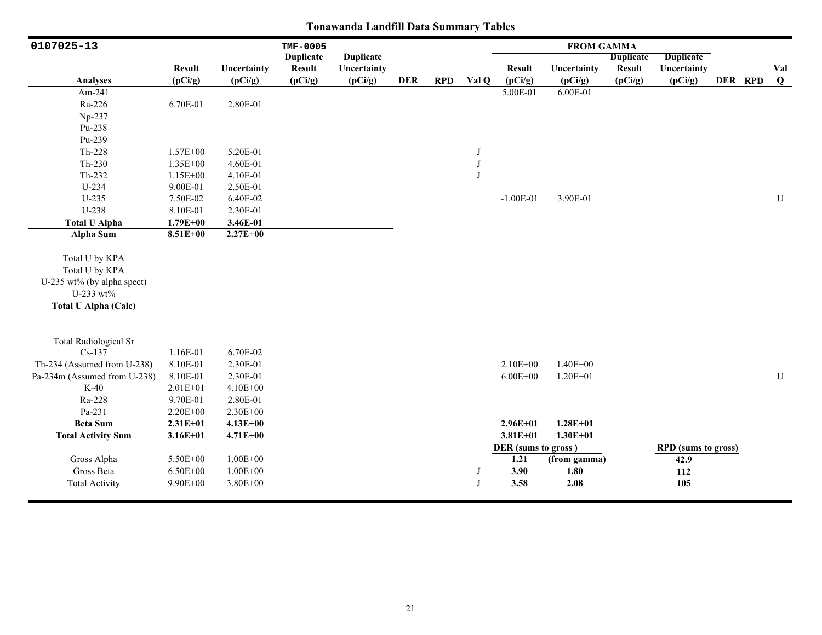| 0107025-13                   |               |              | <b>TMF-0005</b>  |                  |            |            |       |                     | <b>FROM GAMMA</b> |                  |                            |         |           |
|------------------------------|---------------|--------------|------------------|------------------|------------|------------|-------|---------------------|-------------------|------------------|----------------------------|---------|-----------|
|                              |               |              | <b>Duplicate</b> | <b>Duplicate</b> |            |            |       |                     |                   | <b>Duplicate</b> | <b>Duplicate</b>           |         |           |
|                              | <b>Result</b> | Uncertainty  | <b>Result</b>    | Uncertainty      |            |            |       | <b>Result</b>       | Uncertainty       | <b>Result</b>    | Uncertainty                |         | Val       |
| Analyses                     | (pCi/g)       | (pCi/g)      | (pCi/g)          | (pCi/g)          | <b>DER</b> | <b>RPD</b> | Val Q | (pCi/g)             | (pCi/g)           | (pCi/g)          | (pCi/g)                    | DER RPD | $\bf{Q}$  |
| Am-241                       |               |              |                  |                  |            |            |       | 5.00E-01            | 6.00E-01          |                  |                            |         |           |
| Ra-226                       | 6.70E-01      | 2.80E-01     |                  |                  |            |            |       |                     |                   |                  |                            |         |           |
| Np-237                       |               |              |                  |                  |            |            |       |                     |                   |                  |                            |         |           |
| Pu-238                       |               |              |                  |                  |            |            |       |                     |                   |                  |                            |         |           |
| Pu-239                       |               |              |                  |                  |            |            |       |                     |                   |                  |                            |         |           |
| Th-228                       | $1.57E + 00$  | 5.20E-01     |                  |                  |            |            | J     |                     |                   |                  |                            |         |           |
| $Th-230$                     | 1.35E+00      | 4.60E-01     |                  |                  |            |            | J     |                     |                   |                  |                            |         |           |
| $Th-232$                     | 1.15E+00      | 4.10E-01     |                  |                  |            |            |       |                     |                   |                  |                            |         |           |
| $U-234$                      | 9.00E-01      | 2.50E-01     |                  |                  |            |            |       |                     |                   |                  |                            |         |           |
| $U-235$                      | 7.50E-02      | 6.40E-02     |                  |                  |            |            |       | $-1.00E-01$         | 3.90E-01          |                  |                            |         | U         |
| U-238                        | 8.10E-01      | 2.30E-01     |                  |                  |            |            |       |                     |                   |                  |                            |         |           |
| <b>Total U Alpha</b>         | $1.79E + 00$  | 3.46E-01     |                  |                  |            |            |       |                     |                   |                  |                            |         |           |
| <b>Alpha Sum</b>             | 8.51E+00      | $2.27E+00$   |                  |                  |            |            |       |                     |                   |                  |                            |         |           |
|                              |               |              |                  |                  |            |            |       |                     |                   |                  |                            |         |           |
| Total U by KPA               |               |              |                  |                  |            |            |       |                     |                   |                  |                            |         |           |
| Total U by KPA               |               |              |                  |                  |            |            |       |                     |                   |                  |                            |         |           |
| U-235 wt% (by alpha spect)   |               |              |                  |                  |            |            |       |                     |                   |                  |                            |         |           |
| U-233 wt%                    |               |              |                  |                  |            |            |       |                     |                   |                  |                            |         |           |
| <b>Total U Alpha (Calc)</b>  |               |              |                  |                  |            |            |       |                     |                   |                  |                            |         |           |
|                              |               |              |                  |                  |            |            |       |                     |                   |                  |                            |         |           |
| <b>Total Radiological Sr</b> |               |              |                  |                  |            |            |       |                     |                   |                  |                            |         |           |
| $Cs-137$                     | 1.16E-01      | 6.70E-02     |                  |                  |            |            |       |                     |                   |                  |                            |         |           |
| Th-234 (Assumed from U-238)  | 8.10E-01      | 2.30E-01     |                  |                  |            |            |       | $2.10E + 00$        | $1.40E + 00$      |                  |                            |         |           |
| Pa-234m (Assumed from U-238) | 8.10E-01      | 2.30E-01     |                  |                  |            |            |       | $6.00E + 00$        | $1.20E + 01$      |                  |                            |         | ${\bf U}$ |
| $K-40$                       | $2.01E + 01$  | $4.10E + 00$ |                  |                  |            |            |       |                     |                   |                  |                            |         |           |
| Ra-228                       | 9.70E-01      | 2.80E-01     |                  |                  |            |            |       |                     |                   |                  |                            |         |           |
| Pa-231                       | 2.20E+00      | 2.30E+00     |                  |                  |            |            |       |                     |                   |                  |                            |         |           |
| <b>Beta Sum</b>              | $2.31E+01$    | $4.13E + 00$ |                  |                  |            |            |       | $2.96E + 01$        | $1.28E + 01$      |                  |                            |         |           |
| <b>Total Activity Sum</b>    | $3.16E + 01$  | $4.71E + 00$ |                  |                  |            |            |       | $3.81E + 01$        | $1.30E + 01$      |                  |                            |         |           |
|                              |               |              |                  |                  |            |            |       | DER (sums to gross) |                   |                  | <b>RPD</b> (sums to gross) |         |           |
| Gross Alpha                  | 5.50E+00      | $1.00E + 00$ |                  |                  |            |            |       | 1.21                | (from gamma)      |                  | 42.9                       |         |           |
| Gross Beta                   | $6.50E + 00$  | $1.00E + 00$ |                  |                  |            |            | J     | 3.90                | 1.80              |                  | 112                        |         |           |
| <b>Total Activity</b>        | 9.90E+00      | $3.80E + 00$ |                  |                  |            |            | J     | 3.58                | 2.08              |                  | 105                        |         |           |
|                              |               |              |                  |                  |            |            |       |                     |                   |                  |                            |         |           |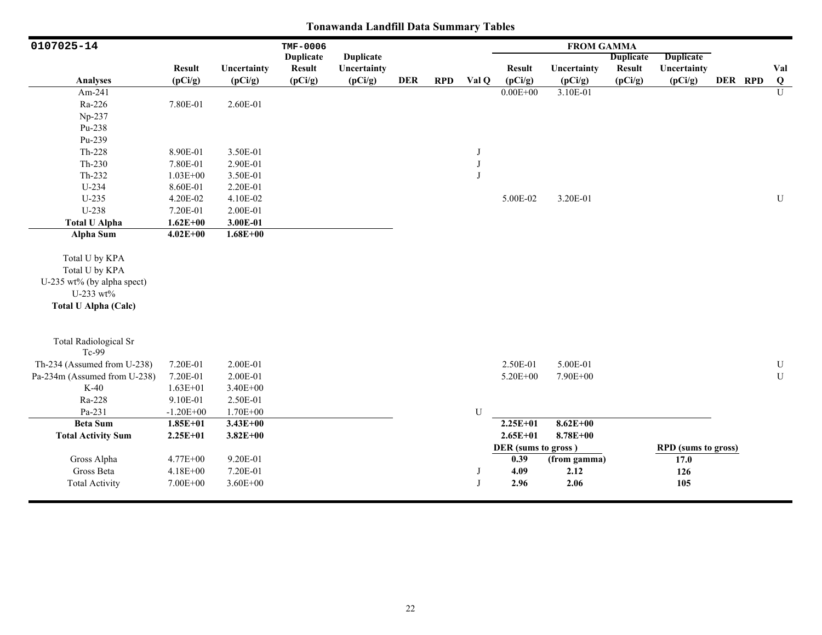| 0107025-14                                                                                                 |               |              | TMF-0006         |                  |            |            |       |                     | <b>FROM GAMMA</b> |                  |                            |         |           |
|------------------------------------------------------------------------------------------------------------|---------------|--------------|------------------|------------------|------------|------------|-------|---------------------|-------------------|------------------|----------------------------|---------|-----------|
|                                                                                                            |               |              | <b>Duplicate</b> | <b>Duplicate</b> |            |            |       |                     |                   | <b>Duplicate</b> | <b>Duplicate</b>           |         |           |
|                                                                                                            | <b>Result</b> | Uncertainty  | <b>Result</b>    | Uncertainty      |            |            |       | <b>Result</b>       | Uncertainty       | <b>Result</b>    | Uncertainty                |         | Val       |
| <b>Analyses</b>                                                                                            | (pCi/g)       | (pCi/g)      | (pCi/g)          | (pCi/g)          | <b>DER</b> | <b>RPD</b> | Val Q | (pCi/g)             | (pCi/g)           | (pCi/g)          | (pCi/g)                    | DER RPD | $\bf{Q}$  |
| Am-241                                                                                                     |               |              |                  |                  |            |            |       | $0.00E + 00$        | 3.10E-01          |                  |                            |         | U         |
| Ra-226                                                                                                     | 7.80E-01      | 2.60E-01     |                  |                  |            |            |       |                     |                   |                  |                            |         |           |
| Np-237                                                                                                     |               |              |                  |                  |            |            |       |                     |                   |                  |                            |         |           |
| Pu-238                                                                                                     |               |              |                  |                  |            |            |       |                     |                   |                  |                            |         |           |
| Pu-239                                                                                                     |               |              |                  |                  |            |            |       |                     |                   |                  |                            |         |           |
| $Th-228$                                                                                                   | 8.90E-01      | 3.50E-01     |                  |                  |            |            | J     |                     |                   |                  |                            |         |           |
| $Th-230$                                                                                                   | 7.80E-01      | 2.90E-01     |                  |                  |            |            | J     |                     |                   |                  |                            |         |           |
| Th-232                                                                                                     | $1.03E + 00$  | 3.50E-01     |                  |                  |            |            | J     |                     |                   |                  |                            |         |           |
| U-234                                                                                                      | 8.60E-01      | 2.20E-01     |                  |                  |            |            |       |                     |                   |                  |                            |         |           |
| $U-235$                                                                                                    | 4.20E-02      | 4.10E-02     |                  |                  |            |            |       | 5.00E-02            | 3.20E-01          |                  |                            |         | ${\bf U}$ |
| U-238                                                                                                      | 7.20E-01      | 2.00E-01     |                  |                  |            |            |       |                     |                   |                  |                            |         |           |
| <b>Total U Alpha</b>                                                                                       | $1.62E + 00$  | 3.00E-01     |                  |                  |            |            |       |                     |                   |                  |                            |         |           |
| <b>Alpha Sum</b>                                                                                           | $4.02E + 00$  | $1.68E + 00$ |                  |                  |            |            |       |                     |                   |                  |                            |         |           |
| Total U by KPA<br>Total U by KPA<br>U-235 wt% (by alpha spect)<br>U-233 wt%<br><b>Total U Alpha (Calc)</b> |               |              |                  |                  |            |            |       |                     |                   |                  |                            |         |           |
| <b>Total Radiological Sr</b><br>Tc-99                                                                      |               |              |                  |                  |            |            |       |                     |                   |                  |                            |         |           |
| Th-234 (Assumed from U-238)                                                                                | 7.20E-01      | 2.00E-01     |                  |                  |            |            |       | 2.50E-01            | 5.00E-01          |                  |                            |         | ${\bf U}$ |
| Pa-234m (Assumed from U-238)                                                                               | 7.20E-01      | 2.00E-01     |                  |                  |            |            |       | 5.20E+00            | 7.90E+00          |                  |                            |         | ${\bf U}$ |
| $K-40$                                                                                                     | $1.63E + 01$  | 3.40E+00     |                  |                  |            |            |       |                     |                   |                  |                            |         |           |
| Ra-228                                                                                                     | 9.10E-01      | 2.50E-01     |                  |                  |            |            |       |                     |                   |                  |                            |         |           |
| Pa-231                                                                                                     | $-1.20E + 00$ | $1.70E + 00$ |                  |                  |            |            | U     |                     |                   |                  |                            |         |           |
| <b>Beta Sum</b>                                                                                            | $1.85E + 01$  | $3.43E + 00$ |                  |                  |            |            |       | $2.25E+01$          | $8.62E + 00$      |                  |                            |         |           |
| <b>Total Activity Sum</b>                                                                                  | $2.25E + 01$  | $3.82E + 00$ |                  |                  |            |            |       | $2.65E + 01$        | $8.78E + 00$      |                  |                            |         |           |
|                                                                                                            |               |              |                  |                  |            |            |       | DER (sums to gross) |                   |                  | <b>RPD</b> (sums to gross) |         |           |
| Gross Alpha                                                                                                | 4.77E+00      | 9.20E-01     |                  |                  |            |            |       | 0.39                | (from gamma)      |                  | 17.0                       |         |           |
| Gross Beta                                                                                                 | 4.18E+00      | 7.20E-01     |                  |                  |            |            | J     | 4.09                | 2.12              |                  | 126                        |         |           |
| <b>Total Activity</b>                                                                                      | 7.00E+00      | $3.60E + 00$ |                  |                  |            |            | J     | 2.96                | 2.06              |                  | 105                        |         |           |
|                                                                                                            |               |              |                  |                  |            |            |       |                     |                   |                  |                            |         |           |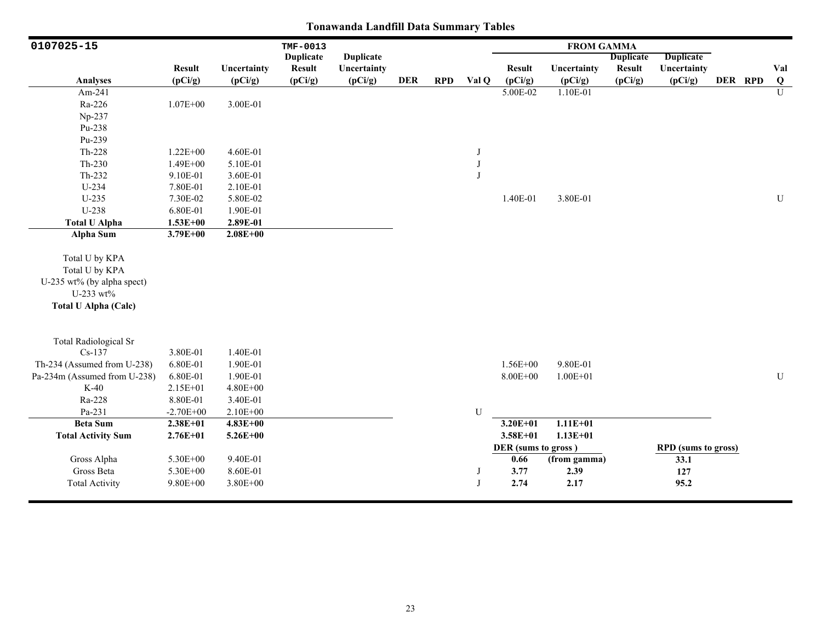| 0107025-15                                                                                                 |               |              | TMF-0013         |                  |            |            |           |                     | <b>FROM GAMMA</b> |                  |                            |         |                |
|------------------------------------------------------------------------------------------------------------|---------------|--------------|------------------|------------------|------------|------------|-----------|---------------------|-------------------|------------------|----------------------------|---------|----------------|
|                                                                                                            |               |              | <b>Duplicate</b> | <b>Duplicate</b> |            |            |           |                     |                   | <b>Duplicate</b> | <b>Duplicate</b>           |         |                |
|                                                                                                            | <b>Result</b> | Uncertainty  | <b>Result</b>    | Uncertainty      |            |            |           | <b>Result</b>       | Uncertainty       | <b>Result</b>    | Uncertainty                |         | Val            |
| Analyses                                                                                                   | (pCi/g)       | (pCi/g)      | (pCi/g)          | (pCi/g)          | <b>DER</b> | <b>RPD</b> | Val Q     | (pCi/g)             | (pCi/g)           | (pCi/g)          | (pCi/g)                    | DER RPD | Q              |
| Am-241                                                                                                     |               |              |                  |                  |            |            |           | 5.00E-02            | 1.10E-01          |                  |                            |         | $\overline{U}$ |
| Ra-226                                                                                                     | $1.07E + 00$  | 3.00E-01     |                  |                  |            |            |           |                     |                   |                  |                            |         |                |
| Np-237                                                                                                     |               |              |                  |                  |            |            |           |                     |                   |                  |                            |         |                |
| Pu-238                                                                                                     |               |              |                  |                  |            |            |           |                     |                   |                  |                            |         |                |
| Pu-239                                                                                                     |               |              |                  |                  |            |            |           |                     |                   |                  |                            |         |                |
| Th-228                                                                                                     | $1.22E + 00$  | 4.60E-01     |                  |                  |            |            | J         |                     |                   |                  |                            |         |                |
| $Th-230$                                                                                                   | 1.49E+00      | 5.10E-01     |                  |                  |            |            | J         |                     |                   |                  |                            |         |                |
| $Th-232$                                                                                                   | 9.10E-01      | 3.60E-01     |                  |                  |            |            | J         |                     |                   |                  |                            |         |                |
| $U-234$                                                                                                    | 7.80E-01      | 2.10E-01     |                  |                  |            |            |           |                     |                   |                  |                            |         |                |
| $U-235$                                                                                                    | 7.30E-02      | 5.80E-02     |                  |                  |            |            |           | 1.40E-01            | 3.80E-01          |                  |                            |         | U              |
| U-238                                                                                                      | 6.80E-01      | 1.90E-01     |                  |                  |            |            |           |                     |                   |                  |                            |         |                |
| <b>Total U Alpha</b>                                                                                       | $1.53E + 00$  | 2.89E-01     |                  |                  |            |            |           |                     |                   |                  |                            |         |                |
| <b>Alpha Sum</b>                                                                                           | $3.79E + 00$  | $2.08E + 00$ |                  |                  |            |            |           |                     |                   |                  |                            |         |                |
| Total U by KPA<br>Total U by KPA<br>U-235 wt% (by alpha spect)<br>U-233 wt%<br><b>Total U Alpha (Calc)</b> |               |              |                  |                  |            |            |           |                     |                   |                  |                            |         |                |
|                                                                                                            |               |              |                  |                  |            |            |           |                     |                   |                  |                            |         |                |
| <b>Total Radiological Sr</b><br>$Cs-137$                                                                   | 3.80E-01      | 1.40E-01     |                  |                  |            |            |           |                     |                   |                  |                            |         |                |
| Th-234 (Assumed from U-238)                                                                                | 6.80E-01      | 1.90E-01     |                  |                  |            |            |           | $1.56E + 00$        | 9.80E-01          |                  |                            |         |                |
| Pa-234m (Assumed from U-238)                                                                               | 6.80E-01      | 1.90E-01     |                  |                  |            |            |           | 8.00E+00            | $1.00E + 01$      |                  |                            |         | ${\bf U}$      |
| $K-40$                                                                                                     | 2.15E+01      | 4.80E+00     |                  |                  |            |            |           |                     |                   |                  |                            |         |                |
| Ra-228                                                                                                     | 8.80E-01      | 3.40E-01     |                  |                  |            |            |           |                     |                   |                  |                            |         |                |
| Pa-231                                                                                                     | $-2.70E + 00$ | 2.10E+00     |                  |                  |            |            | ${\bf U}$ |                     |                   |                  |                            |         |                |
| <b>Beta Sum</b>                                                                                            | $2.38E + 01$  | $4.83E + 00$ |                  |                  |            |            |           | $3.20E + 01$        | $1.11E+01$        |                  |                            |         |                |
| <b>Total Activity Sum</b>                                                                                  | $2.76E + 01$  | $5.26E + 00$ |                  |                  |            |            |           | $3.58E + 01$        | $1.13E + 01$      |                  |                            |         |                |
|                                                                                                            |               |              |                  |                  |            |            |           | DER (sums to gross) |                   |                  | <b>RPD</b> (sums to gross) |         |                |
| Gross Alpha                                                                                                | 5.30E+00      | 9.40E-01     |                  |                  |            |            |           | 0.66                | (from gamma)      |                  | 33.1                       |         |                |
| Gross Beta                                                                                                 | 5.30E+00      | 8.60E-01     |                  |                  |            |            | J         | 3.77                | 2.39              |                  | 127                        |         |                |
| <b>Total Activity</b>                                                                                      | 9.80E+00      | 3.80E+00     |                  |                  |            |            | J         | 2.74                | 2.17              |                  | 95.2                       |         |                |
|                                                                                                            |               |              |                  |                  |            |            |           |                     |                   |                  |                            |         |                |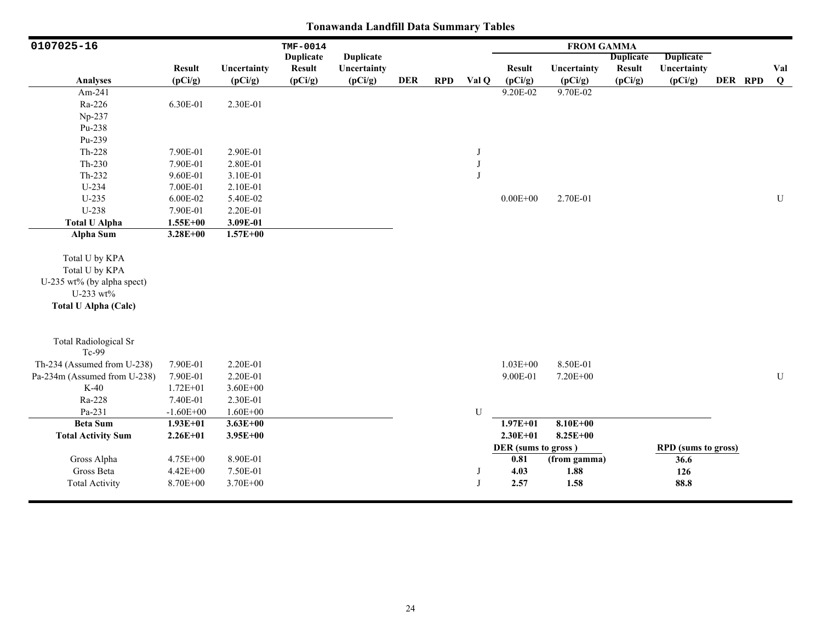| 0107025-16                                                                                                 |               |              | TMF-0014         |                  |            |            |              |                     | <b>FROM GAMMA</b> |                  |                            |         |           |
|------------------------------------------------------------------------------------------------------------|---------------|--------------|------------------|------------------|------------|------------|--------------|---------------------|-------------------|------------------|----------------------------|---------|-----------|
|                                                                                                            |               |              | <b>Duplicate</b> | <b>Duplicate</b> |            |            |              |                     |                   | <b>Duplicate</b> | <b>Duplicate</b>           |         |           |
|                                                                                                            | <b>Result</b> | Uncertainty  | <b>Result</b>    | Uncertainty      |            |            |              | <b>Result</b>       | Uncertainty       | <b>Result</b>    | Uncertainty                |         | Val       |
| Analyses                                                                                                   | (pCi/g)       | (pCi/g)      | (pCi/g)          | (pCi/g)          | <b>DER</b> | <b>RPD</b> | Val Q        | (pCi/g)             | (pCi/g)           | (pCi/g)          | (pCi/g)                    | DER RPD | $\bf{Q}$  |
| Am-241                                                                                                     |               |              |                  |                  |            |            |              | 9.20E-02            | 9.70E-02          |                  |                            |         |           |
| Ra-226                                                                                                     | 6.30E-01      | 2.30E-01     |                  |                  |            |            |              |                     |                   |                  |                            |         |           |
| Np-237                                                                                                     |               |              |                  |                  |            |            |              |                     |                   |                  |                            |         |           |
| Pu-238                                                                                                     |               |              |                  |                  |            |            |              |                     |                   |                  |                            |         |           |
| Pu-239                                                                                                     |               |              |                  |                  |            |            |              |                     |                   |                  |                            |         |           |
| $Th-228$                                                                                                   | 7.90E-01      | 2.90E-01     |                  |                  |            |            | J            |                     |                   |                  |                            |         |           |
| $Th-230$                                                                                                   | 7.90E-01      | 2.80E-01     |                  |                  |            |            | $_{\rm J}$   |                     |                   |                  |                            |         |           |
| $Th-232$                                                                                                   | 9.60E-01      | 3.10E-01     |                  |                  |            |            | $\mathbf{J}$ |                     |                   |                  |                            |         |           |
| $U-234$                                                                                                    | 7.00E-01      | 2.10E-01     |                  |                  |            |            |              |                     |                   |                  |                            |         |           |
| $U-235$                                                                                                    | 6.00E-02      | 5.40E-02     |                  |                  |            |            |              | $0.00E + 00$        | 2.70E-01          |                  |                            |         | ${\bf U}$ |
| U-238                                                                                                      | 7.90E-01      | 2.20E-01     |                  |                  |            |            |              |                     |                   |                  |                            |         |           |
| <b>Total U Alpha</b>                                                                                       | $1.55E+00$    | 3.09E-01     |                  |                  |            |            |              |                     |                   |                  |                            |         |           |
| Alpha Sum                                                                                                  | $3.28E + 00$  | $1.57E + 00$ |                  |                  |            |            |              |                     |                   |                  |                            |         |           |
| Total U by KPA<br>Total U by KPA<br>U-235 wt% (by alpha spect)<br>U-233 wt%<br><b>Total U Alpha (Calc)</b> |               |              |                  |                  |            |            |              |                     |                   |                  |                            |         |           |
| <b>Total Radiological Sr</b><br>Tc-99                                                                      |               |              |                  |                  |            |            |              |                     |                   |                  |                            |         |           |
| Th-234 (Assumed from U-238)                                                                                | 7.90E-01      | 2.20E-01     |                  |                  |            |            |              | $1.03E + 00$        | 8.50E-01          |                  |                            |         |           |
| Pa-234m (Assumed from U-238)                                                                               | 7.90E-01      | 2.20E-01     |                  |                  |            |            |              | 9.00E-01            | $7.20E + 00$      |                  |                            |         | U         |
| $K-40$                                                                                                     | $1.72E + 01$  | $3.60E + 00$ |                  |                  |            |            |              |                     |                   |                  |                            |         |           |
| Ra-228                                                                                                     | 7.40E-01      | 2.30E-01     |                  |                  |            |            |              |                     |                   |                  |                            |         |           |
| Pa-231                                                                                                     | $-1.60E + 00$ | $1.60E + 00$ |                  |                  |            |            | U            |                     |                   |                  |                            |         |           |
| <b>Beta Sum</b>                                                                                            | $1.93E+01$    | $3.63E + 00$ |                  |                  |            |            |              | $1.97E + 01$        | $8.10E + 00$      |                  |                            |         |           |
| <b>Total Activity Sum</b>                                                                                  | $2.26E + 01$  | $3.95E + 00$ |                  |                  |            |            |              | $2.30E + 01$        | $8.25E + 00$      |                  |                            |         |           |
|                                                                                                            |               |              |                  |                  |            |            |              | DER (sums to gross) |                   |                  | <b>RPD</b> (sums to gross) |         |           |
| Gross Alpha                                                                                                | 4.75E+00      | 8.90E-01     |                  |                  |            |            |              | 0.81                | (from gamma)      |                  | 36.6                       |         |           |
| Gross Beta                                                                                                 | $4.42E + 00$  | 7.50E-01     |                  |                  |            |            | J            | 4.03                | 1.88              |                  | 126                        |         |           |
| <b>Total Activity</b>                                                                                      | 8.70E+00      | 3.70E+00     |                  |                  |            |            | J            | 2.57                | 1.58              |                  | 88.8                       |         |           |
|                                                                                                            |               |              |                  |                  |            |            |              |                     |                   |                  |                            |         |           |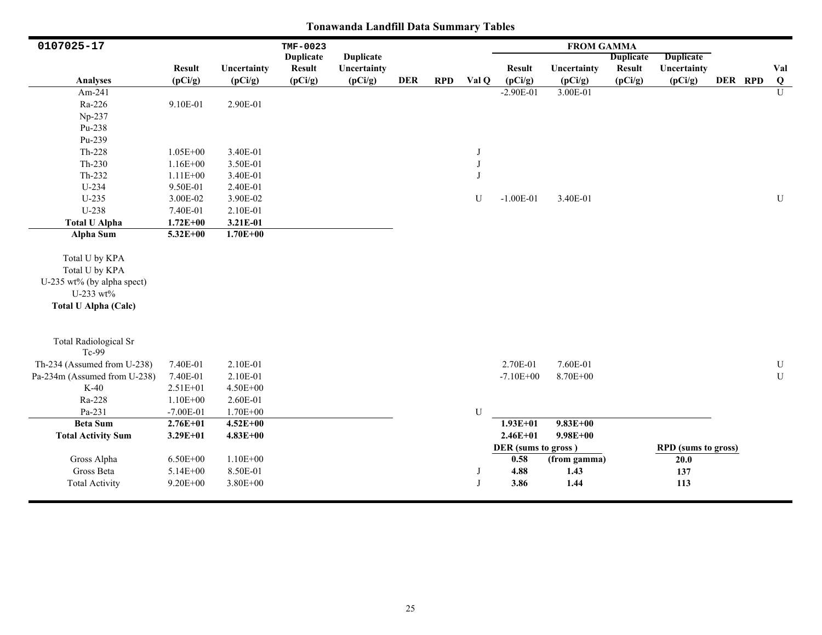| 0107025-17                                                                                                 |               |              | TMF-0023         |                  |            |            |           |                     | <b>FROM GAMMA</b> |                  |                            |         |                |
|------------------------------------------------------------------------------------------------------------|---------------|--------------|------------------|------------------|------------|------------|-----------|---------------------|-------------------|------------------|----------------------------|---------|----------------|
|                                                                                                            |               |              | <b>Duplicate</b> | <b>Duplicate</b> |            |            |           |                     |                   | <b>Duplicate</b> | <b>Duplicate</b>           |         |                |
|                                                                                                            | <b>Result</b> | Uncertainty  | <b>Result</b>    | Uncertainty      |            |            |           | <b>Result</b>       | Uncertainty       | <b>Result</b>    | Uncertainty                |         | Val            |
| Analyses                                                                                                   | (pCi/g)       | (pCi/g)      | (pCi/g)          | (pCi/g)          | <b>DER</b> | <b>RPD</b> | Val Q     | (pCi/g)             | (pCi/g)           | (pCi/g)          | (pCi/g)                    | DER RPD | Q              |
| Am-241                                                                                                     |               |              |                  |                  |            |            |           | $-2.90E-01$         | 3.00E-01          |                  |                            |         | $\overline{U}$ |
| Ra-226                                                                                                     | 9.10E-01      | 2.90E-01     |                  |                  |            |            |           |                     |                   |                  |                            |         |                |
| Np-237                                                                                                     |               |              |                  |                  |            |            |           |                     |                   |                  |                            |         |                |
| Pu-238                                                                                                     |               |              |                  |                  |            |            |           |                     |                   |                  |                            |         |                |
| Pu-239                                                                                                     |               |              |                  |                  |            |            |           |                     |                   |                  |                            |         |                |
| Th-228                                                                                                     | $1.05E + 00$  | 3.40E-01     |                  |                  |            |            | J         |                     |                   |                  |                            |         |                |
| $Th-230$                                                                                                   | $1.16E + 00$  | 3.50E-01     |                  |                  |            |            | J         |                     |                   |                  |                            |         |                |
| Th-232                                                                                                     | $1.11E + 00$  | 3.40E-01     |                  |                  |            |            | J         |                     |                   |                  |                            |         |                |
| $U-234$                                                                                                    | 9.50E-01      | 2.40E-01     |                  |                  |            |            |           |                     |                   |                  |                            |         |                |
| $U-235$                                                                                                    | 3.00E-02      | 3.90E-02     |                  |                  |            |            | U         | $-1.00E-01$         | 3.40E-01          |                  |                            |         | U              |
| U-238                                                                                                      | 7.40E-01      | 2.10E-01     |                  |                  |            |            |           |                     |                   |                  |                            |         |                |
| <b>Total U Alpha</b>                                                                                       | $1.72E + 00$  | 3.21E-01     |                  |                  |            |            |           |                     |                   |                  |                            |         |                |
| <b>Alpha Sum</b>                                                                                           | $5.32E + 00$  | $1.70E + 00$ |                  |                  |            |            |           |                     |                   |                  |                            |         |                |
| Total U by KPA<br>Total U by KPA<br>U-235 wt% (by alpha spect)<br>U-233 wt%<br><b>Total U Alpha (Calc)</b> |               |              |                  |                  |            |            |           |                     |                   |                  |                            |         |                |
| <b>Total Radiological Sr</b><br>Tc-99                                                                      |               |              |                  |                  |            |            |           |                     |                   |                  |                            |         |                |
| Th-234 (Assumed from U-238)                                                                                | 7.40E-01      | 2.10E-01     |                  |                  |            |            |           | 2.70E-01            | 7.60E-01          |                  |                            |         | ${\bf U}$      |
| Pa-234m (Assumed from U-238)                                                                               | 7.40E-01      | 2.10E-01     |                  |                  |            |            |           | $-7.10E + 00$       | 8.70E+00          |                  |                            |         | ${\bf U}$      |
| $K-40$                                                                                                     | 2.51E+01      | 4.50E+00     |                  |                  |            |            |           |                     |                   |                  |                            |         |                |
| Ra-228                                                                                                     | $1.10E + 00$  | 2.60E-01     |                  |                  |            |            |           |                     |                   |                  |                            |         |                |
| Pa-231                                                                                                     | $-7.00E-01$   | $1.70E + 00$ |                  |                  |            |            | ${\bf U}$ |                     |                   |                  |                            |         |                |
| <b>Beta Sum</b>                                                                                            | $2.76E + 01$  | $4.52E + 00$ |                  |                  |            |            |           | $1.93E + 01$        | $9.83E + 00$      |                  |                            |         |                |
| <b>Total Activity Sum</b>                                                                                  | $3.29E + 01$  | $4.83E + 00$ |                  |                  |            |            |           | $2.46E + 01$        | $9.98E + 00$      |                  |                            |         |                |
|                                                                                                            |               |              |                  |                  |            |            |           | DER (sums to gross) |                   |                  | <b>RPD</b> (sums to gross) |         |                |
| Gross Alpha                                                                                                | $6.50E + 00$  | $1.10E + 00$ |                  |                  |            |            |           | 0.58                | (from gamma)      |                  | 20.0                       |         |                |
| Gross Beta                                                                                                 | 5.14E+00      | 8.50E-01     |                  |                  |            |            | J         | 4.88                | 1.43              |                  | 137                        |         |                |
| <b>Total Activity</b>                                                                                      | 9.20E+00      | 3.80E+00     |                  |                  |            |            | J         | 3.86                | 1.44              |                  | 113                        |         |                |
|                                                                                                            |               |              |                  |                  |            |            |           |                     |                   |                  |                            |         |                |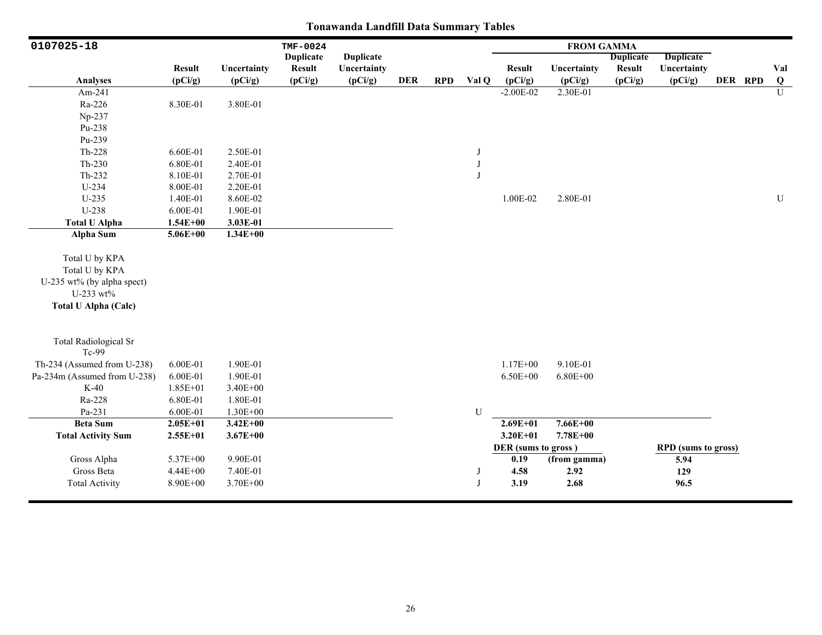| 0107025-18                                                                                                 |               |              | TMF-0024         |                  |            |            |              |                     | <b>FROM GAMMA</b> |                  |                            |         |                |
|------------------------------------------------------------------------------------------------------------|---------------|--------------|------------------|------------------|------------|------------|--------------|---------------------|-------------------|------------------|----------------------------|---------|----------------|
|                                                                                                            |               |              | <b>Duplicate</b> | <b>Duplicate</b> |            |            |              |                     |                   | <b>Duplicate</b> | <b>Duplicate</b>           |         |                |
|                                                                                                            | <b>Result</b> | Uncertainty  | <b>Result</b>    | Uncertainty      |            |            |              | <b>Result</b>       | Uncertainty       | <b>Result</b>    | Uncertainty                |         | Val            |
| Analyses                                                                                                   | (pCi/g)       | (pCi/g)      | (pCi/g)          | (pCi/g)          | <b>DER</b> | <b>RPD</b> | Val Q        | (pCi/g)             | (pCi/g)           | (pCi/g)          | (pCi/g)                    | DER RPD | Q              |
| Am-241                                                                                                     |               |              |                  |                  |            |            |              | $-2.00E-02$         | 2.30E-01          |                  |                            |         | $\overline{U}$ |
| Ra-226                                                                                                     | 8.30E-01      | 3.80E-01     |                  |                  |            |            |              |                     |                   |                  |                            |         |                |
| Np-237                                                                                                     |               |              |                  |                  |            |            |              |                     |                   |                  |                            |         |                |
| Pu-238                                                                                                     |               |              |                  |                  |            |            |              |                     |                   |                  |                            |         |                |
| Pu-239                                                                                                     |               |              |                  |                  |            |            |              |                     |                   |                  |                            |         |                |
| $Th-228$                                                                                                   | 6.60E-01      | 2.50E-01     |                  |                  |            |            | J            |                     |                   |                  |                            |         |                |
| $Th-230$                                                                                                   | 6.80E-01      | 2.40E-01     |                  |                  |            |            | $_{\rm J}$   |                     |                   |                  |                            |         |                |
| Th-232                                                                                                     | 8.10E-01      | 2.70E-01     |                  |                  |            |            | $\mathbf{J}$ |                     |                   |                  |                            |         |                |
| $U-234$                                                                                                    | 8.00E-01      | 2.20E-01     |                  |                  |            |            |              |                     |                   |                  |                            |         |                |
| $U-235$                                                                                                    | 1.40E-01      | 8.60E-02     |                  |                  |            |            |              | 1.00E-02            | 2.80E-01          |                  |                            |         | ${\bf U}$      |
| U-238                                                                                                      | 6.00E-01      | 1.90E-01     |                  |                  |            |            |              |                     |                   |                  |                            |         |                |
| <b>Total U Alpha</b>                                                                                       | $1.54E + 00$  | 3.03E-01     |                  |                  |            |            |              |                     |                   |                  |                            |         |                |
| <b>Alpha Sum</b>                                                                                           | $5.06E + 00$  | $1.34E + 00$ |                  |                  |            |            |              |                     |                   |                  |                            |         |                |
| Total U by KPA<br>Total U by KPA<br>U-235 wt% (by alpha spect)<br>U-233 wt%<br><b>Total U Alpha (Calc)</b> |               |              |                  |                  |            |            |              |                     |                   |                  |                            |         |                |
| <b>Total Radiological Sr</b><br>$Tc-99$                                                                    |               |              |                  |                  |            |            |              |                     |                   |                  |                            |         |                |
| Th-234 (Assumed from U-238)                                                                                | 6.00E-01      | 1.90E-01     |                  |                  |            |            |              | $1.17E + 00$        | 9.10E-01          |                  |                            |         |                |
| Pa-234m (Assumed from U-238)                                                                               | 6.00E-01      | 1.90E-01     |                  |                  |            |            |              | $6.50E + 00$        | $6.80E + 00$      |                  |                            |         |                |
| $K-40$                                                                                                     | 1.85E+01      | 3.40E+00     |                  |                  |            |            |              |                     |                   |                  |                            |         |                |
| Ra-228                                                                                                     | 6.80E-01      | 1.80E-01     |                  |                  |            |            |              |                     |                   |                  |                            |         |                |
| Pa-231                                                                                                     | 6.00E-01      | 1.30E+00     |                  |                  |            |            | U            |                     |                   |                  |                            |         |                |
| <b>Beta Sum</b>                                                                                            | $2.05E + 01$  | $3.42E + 00$ |                  |                  |            |            |              | $2.69E + 01$        | $7.66E + 00$      |                  |                            |         |                |
| <b>Total Activity Sum</b>                                                                                  | $2.55E+01$    | $3.67E + 00$ |                  |                  |            |            |              | $3.20E + 01$        | 7.78E+00          |                  |                            |         |                |
|                                                                                                            |               |              |                  |                  |            |            |              | DER (sums to gross) |                   |                  | <b>RPD</b> (sums to gross) |         |                |
| Gross Alpha                                                                                                | 5.37E+00      | 9.90E-01     |                  |                  |            |            |              | 0.19                | (from gamma)      |                  | 5.94                       |         |                |
| Gross Beta                                                                                                 | 4.44E+00      | 7.40E-01     |                  |                  |            |            | J            | 4.58                | 2.92              |                  | 129                        |         |                |
| <b>Total Activity</b>                                                                                      | 8.90E+00      | 3.70E+00     |                  |                  |            |            | J            | 3.19                | 2.68              |                  | 96.5                       |         |                |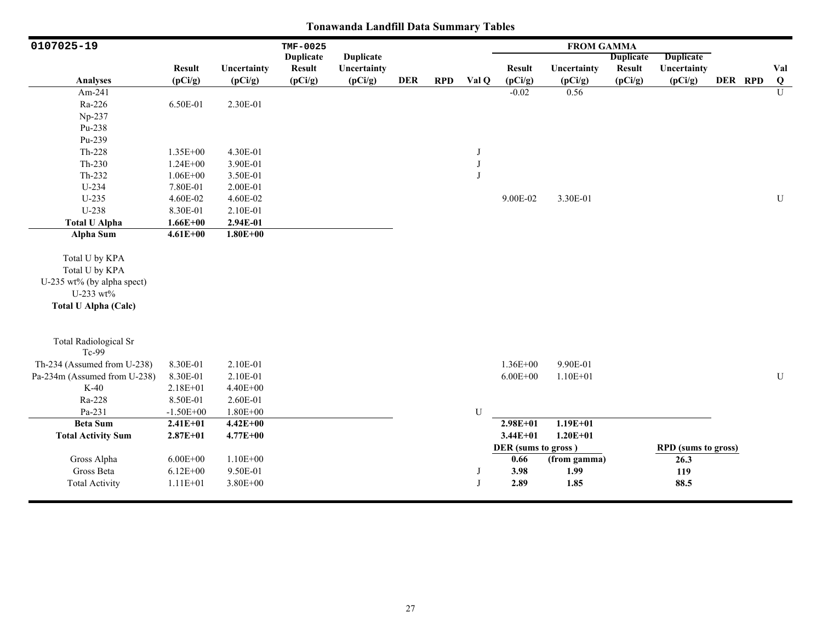| 0107025-19                                                                                                 |               |              | TMF-0025         |                  |            |            |         |                     | <b>FROM GAMMA</b> |                  |                            |         |           |
|------------------------------------------------------------------------------------------------------------|---------------|--------------|------------------|------------------|------------|------------|---------|---------------------|-------------------|------------------|----------------------------|---------|-----------|
|                                                                                                            |               |              | <b>Duplicate</b> | <b>Duplicate</b> |            |            |         |                     |                   | <b>Duplicate</b> | Duplicate                  |         |           |
|                                                                                                            | <b>Result</b> | Uncertainty  | <b>Result</b>    | Uncertainty      |            |            |         | <b>Result</b>       | Uncertainty       | <b>Result</b>    | Uncertainty                |         | Val       |
| Analyses                                                                                                   | (pCi/g)       | (pCi/g)      | (pCi/g)          | (pCi/g)          | <b>DER</b> | <b>RPD</b> | Val Q   | (pCi/g)             | (pCi/g)           | (pCi/g)          | (pCi/g)                    | DER RPD | $\bf{Q}$  |
| Am-241                                                                                                     |               |              |                  |                  |            |            |         | $-0.02$             | 0.56              |                  |                            |         | U         |
| Ra-226                                                                                                     | 6.50E-01      | 2.30E-01     |                  |                  |            |            |         |                     |                   |                  |                            |         |           |
| Np-237                                                                                                     |               |              |                  |                  |            |            |         |                     |                   |                  |                            |         |           |
| Pu-238                                                                                                     |               |              |                  |                  |            |            |         |                     |                   |                  |                            |         |           |
| Pu-239                                                                                                     |               |              |                  |                  |            |            |         |                     |                   |                  |                            |         |           |
| Th-228                                                                                                     | $1.35E + 00$  | 4.30E-01     |                  |                  |            |            | J       |                     |                   |                  |                            |         |           |
| $Th-230$                                                                                                   | $1.24E + 00$  | 3.90E-01     |                  |                  |            |            | $\bf J$ |                     |                   |                  |                            |         |           |
| Th-232                                                                                                     | $1.06E + 00$  | 3.50E-01     |                  |                  |            |            | J       |                     |                   |                  |                            |         |           |
| $U-234$                                                                                                    | 7.80E-01      | 2.00E-01     |                  |                  |            |            |         |                     |                   |                  |                            |         |           |
| $U-235$                                                                                                    | 4.60E-02      | 4.60E-02     |                  |                  |            |            |         | 9.00E-02            | 3.30E-01          |                  |                            |         | ${\bf U}$ |
| U-238                                                                                                      | 8.30E-01      | 2.10E-01     |                  |                  |            |            |         |                     |                   |                  |                            |         |           |
| <b>Total U Alpha</b>                                                                                       | $1.66E + 00$  | 2.94E-01     |                  |                  |            |            |         |                     |                   |                  |                            |         |           |
| <b>Alpha Sum</b>                                                                                           | $4.61E + 00$  | $1.80E + 00$ |                  |                  |            |            |         |                     |                   |                  |                            |         |           |
| Total U by KPA<br>Total U by KPA<br>U-235 wt% (by alpha spect)<br>U-233 wt%<br><b>Total U Alpha (Calc)</b> |               |              |                  |                  |            |            |         |                     |                   |                  |                            |         |           |
| <b>Total Radiological Sr</b><br>Tc-99                                                                      |               |              |                  |                  |            |            |         |                     |                   |                  |                            |         |           |
| Th-234 (Assumed from U-238)                                                                                | 8.30E-01      | 2.10E-01     |                  |                  |            |            |         | $1.36E + 00$        | 9.90E-01          |                  |                            |         |           |
| Pa-234m (Assumed from U-238)                                                                               | 8.30E-01      | 2.10E-01     |                  |                  |            |            |         | $6.00E + 00$        | $1.10E + 01$      |                  |                            |         | ${\bf U}$ |
| $K-40$                                                                                                     | $2.18E + 01$  | $4.40E + 00$ |                  |                  |            |            |         |                     |                   |                  |                            |         |           |
| Ra-228                                                                                                     | 8.50E-01      | 2.60E-01     |                  |                  |            |            |         |                     |                   |                  |                            |         |           |
| Pa-231                                                                                                     | $-1.50E + 00$ | $1.80E + 00$ |                  |                  |            |            | U       |                     |                   |                  |                            |         |           |
| <b>Beta Sum</b>                                                                                            | $2.41E + 01$  | $4.42E + 00$ |                  |                  |            |            |         | $2.98E + 01$        | $1.19E + 01$      |                  |                            |         |           |
| <b>Total Activity Sum</b>                                                                                  | $2.87E + 01$  | $4.77E + 00$ |                  |                  |            |            |         | $3.44E + 01$        | $1.20E + 01$      |                  |                            |         |           |
|                                                                                                            |               |              |                  |                  |            |            |         | DER (sums to gross) |                   |                  | <b>RPD</b> (sums to gross) |         |           |
| Gross Alpha                                                                                                | $6.00E + 00$  | $1.10E + 00$ |                  |                  |            |            |         | 0.66                | (from gamma)      |                  | 26.3                       |         |           |
| Gross Beta                                                                                                 | $6.12E + 00$  | 9.50E-01     |                  |                  |            |            | J       | 3.98                | 1.99              |                  | 119                        |         |           |
| <b>Total Activity</b>                                                                                      | $1.11E + 01$  | $3.80E + 00$ |                  |                  |            |            | J       | 2.89                | 1.85              |                  | 88.5                       |         |           |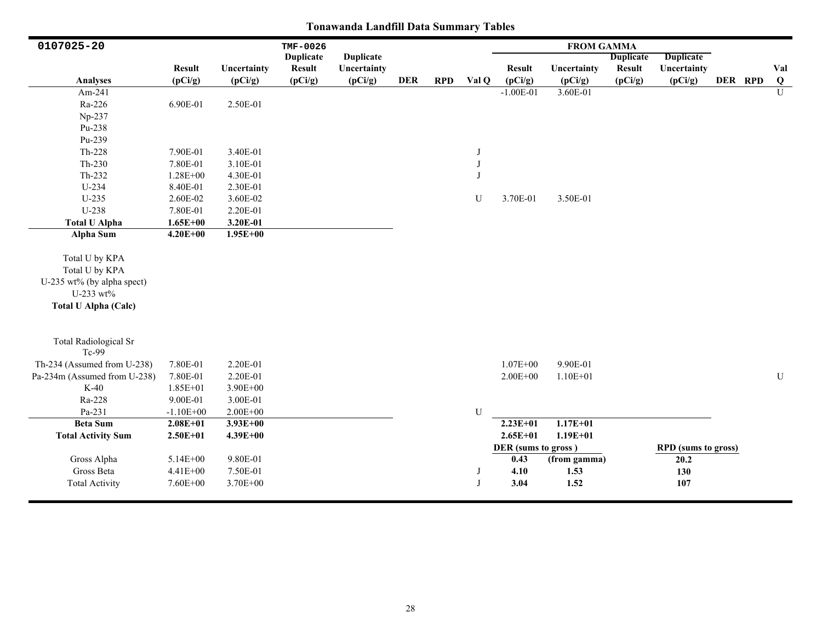| 0107025-20                                                                                                 |               |              | TMF-0026         |                  |            |            |              |                     | <b>FROM GAMMA</b> |                  |                            |         |                |
|------------------------------------------------------------------------------------------------------------|---------------|--------------|------------------|------------------|------------|------------|--------------|---------------------|-------------------|------------------|----------------------------|---------|----------------|
|                                                                                                            |               |              | <b>Duplicate</b> | <b>Duplicate</b> |            |            |              |                     |                   | <b>Duplicate</b> | <b>Duplicate</b>           |         |                |
|                                                                                                            | <b>Result</b> | Uncertainty  | <b>Result</b>    | Uncertainty      |            |            |              | <b>Result</b>       | Uncertainty       | <b>Result</b>    | Uncertainty                |         | Val            |
| <b>Analyses</b>                                                                                            | (pCi/g)       | (pCi/g)      | (pCi/g)          | (pCi/g)          | <b>DER</b> | <b>RPD</b> | Val Q        | (pCi/g)             | (pCi/g)           | (pCi/g)          | (pCi/g)                    | DER RPD | $\bf{Q}$       |
| Am-241                                                                                                     |               |              |                  |                  |            |            |              | $-1.00E-01$         | 3.60E-01          |                  |                            |         | $\overline{U}$ |
| Ra-226                                                                                                     | 6.90E-01      | 2.50E-01     |                  |                  |            |            |              |                     |                   |                  |                            |         |                |
| Np-237                                                                                                     |               |              |                  |                  |            |            |              |                     |                   |                  |                            |         |                |
| Pu-238                                                                                                     |               |              |                  |                  |            |            |              |                     |                   |                  |                            |         |                |
| Pu-239                                                                                                     |               |              |                  |                  |            |            |              |                     |                   |                  |                            |         |                |
| $Th-228$                                                                                                   | 7.90E-01      | 3.40E-01     |                  |                  |            |            | J            |                     |                   |                  |                            |         |                |
| $Th-230$                                                                                                   | 7.80E-01      | 3.10E-01     |                  |                  |            |            | $_{\rm J}$   |                     |                   |                  |                            |         |                |
| Th-232                                                                                                     | 1.28E+00      | 4.30E-01     |                  |                  |            |            | $\mathbf{J}$ |                     |                   |                  |                            |         |                |
| $U-234$                                                                                                    | 8.40E-01      | 2.30E-01     |                  |                  |            |            |              |                     |                   |                  |                            |         |                |
| $U-235$                                                                                                    | 2.60E-02      | 3.60E-02     |                  |                  |            |            | U            | 3.70E-01            | 3.50E-01          |                  |                            |         |                |
| U-238                                                                                                      | 7.80E-01      | 2.20E-01     |                  |                  |            |            |              |                     |                   |                  |                            |         |                |
| <b>Total U Alpha</b>                                                                                       | $1.65E + 00$  | 3.20E-01     |                  |                  |            |            |              |                     |                   |                  |                            |         |                |
| Alpha Sum                                                                                                  | $4.20E + 00$  | $1.95E + 00$ |                  |                  |            |            |              |                     |                   |                  |                            |         |                |
| Total U by KPA<br>Total U by KPA<br>U-235 wt% (by alpha spect)<br>U-233 wt%<br><b>Total U Alpha (Calc)</b> |               |              |                  |                  |            |            |              |                     |                   |                  |                            |         |                |
| <b>Total Radiological Sr</b><br>Tc-99                                                                      |               |              |                  |                  |            |            |              |                     |                   |                  |                            |         |                |
| Th-234 (Assumed from U-238)                                                                                | 7.80E-01      | 2.20E-01     |                  |                  |            |            |              | $1.07E + 00$        | 9.90E-01          |                  |                            |         |                |
| Pa-234m (Assumed from U-238)                                                                               | 7.80E-01      | 2.20E-01     |                  |                  |            |            |              | $2.00E + 00$        | $1.10E + 01$      |                  |                            |         | U              |
| $K-40$                                                                                                     | 1.85E+01      | 3.90E+00     |                  |                  |            |            |              |                     |                   |                  |                            |         |                |
| Ra-228                                                                                                     | 9.00E-01      | 3.00E-01     |                  |                  |            |            |              |                     |                   |                  |                            |         |                |
| Pa-231                                                                                                     | $-1.10E + 00$ | $2.00E + 00$ |                  |                  |            |            | $\mathbf U$  |                     |                   |                  |                            |         |                |
| <b>Beta Sum</b>                                                                                            | $2.08E + 01$  | $3.93E + 00$ |                  |                  |            |            |              | $2.23E+01$          | $1.17E + 01$      |                  |                            |         |                |
| <b>Total Activity Sum</b>                                                                                  | $2.50E + 01$  | $4.39E + 00$ |                  |                  |            |            |              | $2.65E + 01$        | $1.19E + 01$      |                  |                            |         |                |
|                                                                                                            |               |              |                  |                  |            |            |              | DER (sums to gross) |                   |                  | <b>RPD</b> (sums to gross) |         |                |
| Gross Alpha                                                                                                | 5.14E+00      | 9.80E-01     |                  |                  |            |            |              | 0.43                | (from gamma)      |                  | 20.2                       |         |                |
| Gross Beta                                                                                                 | 4.41E+00      | 7.50E-01     |                  |                  |            |            | J            | 4.10                | 1.53              |                  | 130                        |         |                |
| <b>Total Activity</b>                                                                                      | 7.60E+00      | 3.70E+00     |                  |                  |            |            | J            | 3.04                | 1.52              |                  | 107                        |         |                |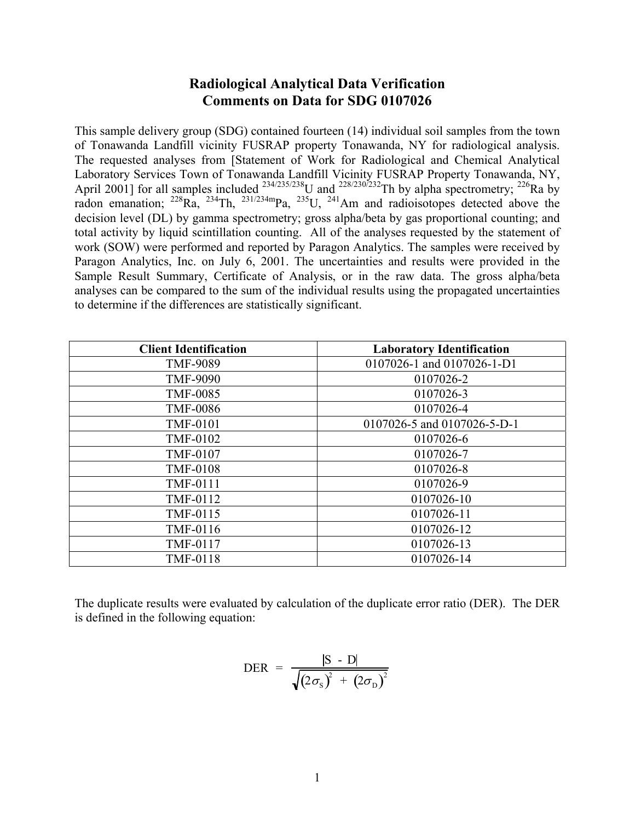# **Radiological Analytical Data Verification Comments on Data for SDG 0107026**

This sample delivery group (SDG) contained fourteen (14) individual soil samples from the town of Tonawanda Landfill vicinity FUSRAP property Tonawanda, NY for radiological analysis. The requested analyses from [Statement of Work for Radiological and Chemical Analytical Laboratory Services Town of Tonawanda Landfill Vicinity FUSRAP Property Tonawanda, NY, April 2001] for all samples included  $^{234/235/238}$ U and  $^{228/230/232}$ Th by alpha spectrometry;  $^{226}$ Ra by radon emanation;  $^{228}Ra$ ,  $^{234}Th$ ,  $^{231/234m}Pa$ ,  $^{235}U$ ,  $^{241}Am$  and radioisotopes detected above the decision level (DL) by gamma spectrometry; gross alpha/beta by gas proportional counting; and total activity by liquid scintillation counting. All of the analyses requested by the statement of work (SOW) were performed and reported by Paragon Analytics. The samples were received by Paragon Analytics, Inc. on July 6, 2001. The uncertainties and results were provided in the Sample Result Summary, Certificate of Analysis, or in the raw data. The gross alpha/beta analyses can be compared to the sum of the individual results using the propagated uncertainties to determine if the differences are statistically significant.

| <b>Client Identification</b> | <b>Laboratory Identification</b> |
|------------------------------|----------------------------------|
| <b>TMF-9089</b>              | 0107026-1 and 0107026-1-D1       |
| <b>TMF-9090</b>              | 0107026-2                        |
| <b>TMF-0085</b>              | 0107026-3                        |
| <b>TMF-0086</b>              | 0107026-4                        |
| <b>TMF-0101</b>              | 0107026-5 and 0107026-5-D-1      |
| <b>TMF-0102</b>              | 0107026-6                        |
| <b>TMF-0107</b>              | 0107026-7                        |
| <b>TMF-0108</b>              | 0107026-8                        |
| <b>TMF-0111</b>              | 0107026-9                        |
| TMF-0112                     | 0107026-10                       |
| TMF-0115                     | 0107026-11                       |
| TMF-0116                     | 0107026-12                       |
| TMF-0117                     | 0107026-13                       |
| <b>TMF-0118</b>              | 0107026-14                       |

The duplicate results were evaluated by calculation of the duplicate error ratio (DER). The DER is defined in the following equation:

$$
\text{DER} = \frac{|\text{S} - \text{D}|}{\sqrt{(2\sigma_{\text{S}})^{2} + (2\sigma_{\text{D}})^{2}}}
$$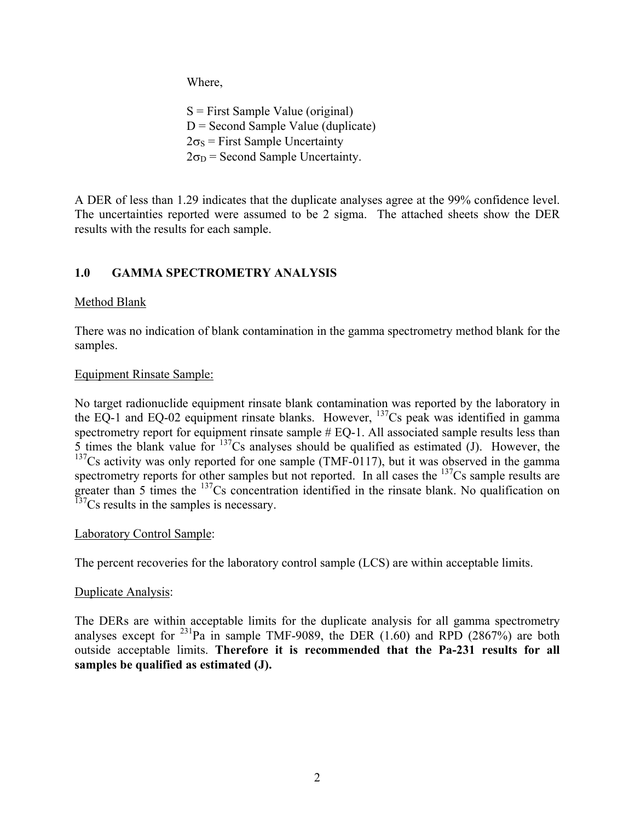Where,

 $S =$  First Sample Value (original)  $D =$  Second Sample Value (duplicate)  $2\sigma_s$  = First Sample Uncertainty  $2\sigma_D$  = Second Sample Uncertainty.

A DER of less than 1.29 indicates that the duplicate analyses agree at the 99% confidence level. The uncertainties reported were assumed to be 2 sigma. The attached sheets show the DER results with the results for each sample.

# **1.0 GAMMA SPECTROMETRY ANALYSIS**

# Method Blank

There was no indication of blank contamination in the gamma spectrometry method blank for the samples.

# Equipment Rinsate Sample:

No target radionuclide equipment rinsate blank contamination was reported by the laboratory in the EQ-1 and EQ-02 equipment rinsate blanks. However,  $^{137}$ Cs peak was identified in gamma spectrometry report for equipment rinsate sample  $#$  EQ-1. All associated sample results less than  $\overline{5}$  times the blank value for  $137$ Cs analyses should be qualified as estimated (J). However, the  $137$ Cs activity was only reported for one sample (TMF-0117), but it was observed in the gamma spectrometry reports for other samples but not reported. In all cases the <sup>137</sup>Cs sample results are greater than 5 times the <sup>137</sup>Cs concentration identified in the rinsate blank. No qualification on  $137$ Cs results in the samples is necessary.

# Laboratory Control Sample:

The percent recoveries for the laboratory control sample (LCS) are within acceptable limits.

# Duplicate Analysis:

The DERs are within acceptable limits for the duplicate analysis for all gamma spectrometry analyses except for  $^{231}$ Pa in sample TMF-9089, the DER (1.60) and RPD (2867%) are both outside acceptable limits. **Therefore it is recommended that the Pa-231 results for all samples be qualified as estimated (J).**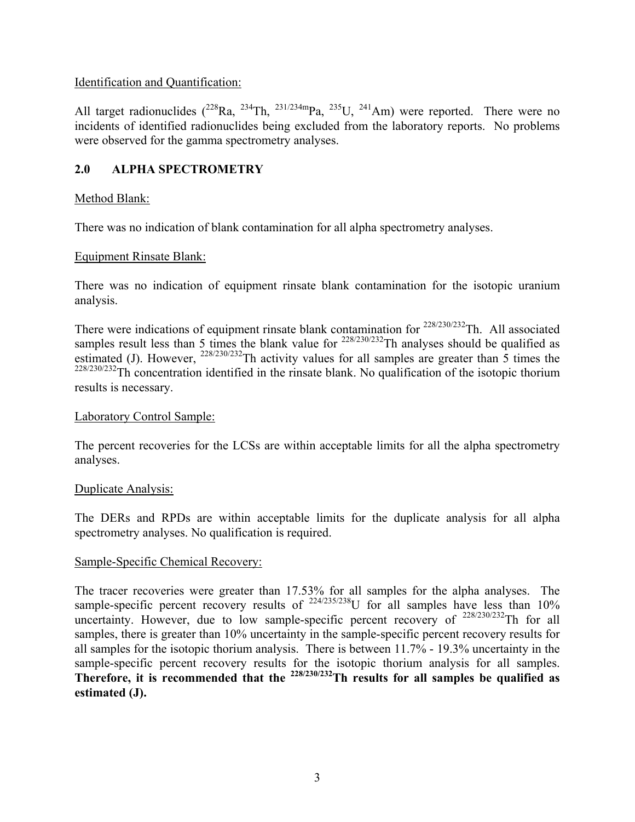# Identification and Quantification:

All target radionuclides  $(^{228}Ra, ^{234}Th, ^{231/234m}Pa, ^{235}U, ^{241}Am)$  were reported. There were no incidents of identified radionuclides being excluded from the laboratory reports. No problems were observed for the gamma spectrometry analyses.

# **2.0 ALPHA SPECTROMETRY**

# Method Blank:

There was no indication of blank contamination for all alpha spectrometry analyses.

# Equipment Rinsate Blank:

There was no indication of equipment rinsate blank contamination for the isotopic uranium analysis.

There were indications of equipment rinsate blank contamination for <sup>228/230/232</sup>Th. All associated samples result less than 5 times the blank value for  $228/230/232$ Th analyses should be qualified as estimated (J). However,  $^{228/230/232}$ Th activity values for all samples are greater than 5 times the  $228/230/232$ Th concentration identified in the rinsate blank. No qualification of the isotopic thorium results is necessary.

# Laboratory Control Sample:

The percent recoveries for the LCSs are within acceptable limits for all the alpha spectrometry analyses.

# Duplicate Analysis:

The DERs and RPDs are within acceptable limits for the duplicate analysis for all alpha spectrometry analyses. No qualification is required.

# Sample-Specific Chemical Recovery:

The tracer recoveries were greater than 17.53% for all samples for the alpha analyses. The sample-specific percent recovery results of  $^{224/235/238}$ U for all samples have less than 10% uncertainty. However, due to low sample-specific percent recovery of  $^{228/230/232}$ Th for all samples, there is greater than 10% uncertainty in the sample-specific percent recovery results for all samples for the isotopic thorium analysis. There is between 11.7% - 19.3% uncertainty in the sample-specific percent recovery results for the isotopic thorium analysis for all samples. **Therefore, it is recommended that the 228/230/232Th results for all samples be qualified as estimated (J).**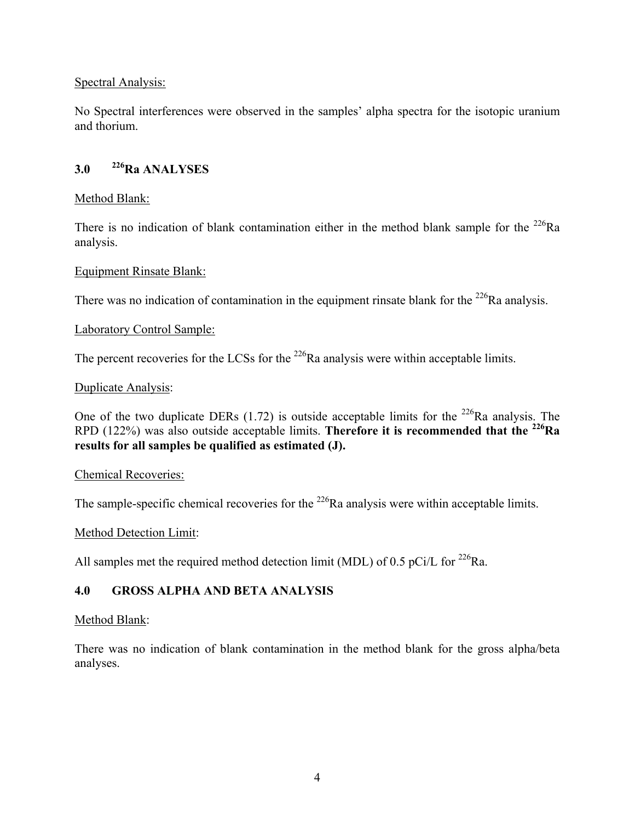### Spectral Analysis:

No Spectral interferences were observed in the samples' alpha spectra for the isotopic uranium and thorium.

# **3.0 226Ra ANALYSES**

#### Method Blank:

There is no indication of blank contamination either in the method blank sample for the <sup>226</sup>Ra analysis.

#### Equipment Rinsate Blank:

There was no indication of contamination in the equipment rinsate blank for the  $^{226}$ Ra analysis.

#### Laboratory Control Sample:

The percent recoveries for the LCSs for the  $^{226}$ Ra analysis were within acceptable limits.

#### Duplicate Analysis:

One of the two duplicate DERs  $(1.72)$  is outside acceptable limits for the <sup>226</sup>Ra analysis. The RPD (122%) was also outside acceptable limits. **Therefore it is recommended that the 226Ra results for all samples be qualified as estimated (J).** 

#### Chemical Recoveries:

The sample-specific chemical recoveries for the  $^{226}$ Ra analysis were within acceptable limits.

#### Method Detection Limit:

All samples met the required method detection limit (MDL) of 0.5 pCi/L for  $^{226}$ Ra.

# **4.0 GROSS ALPHA AND BETA ANALYSIS**

#### Method Blank:

There was no indication of blank contamination in the method blank for the gross alpha/beta analyses.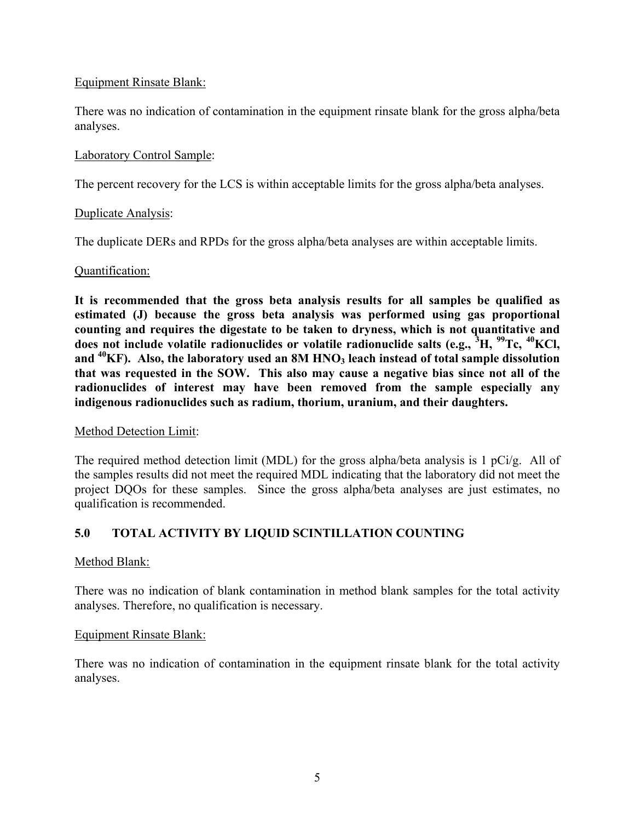### Equipment Rinsate Blank:

There was no indication of contamination in the equipment rinsate blank for the gross alpha/beta analyses.

### Laboratory Control Sample:

The percent recovery for the LCS is within acceptable limits for the gross alpha/beta analyses.

#### Duplicate Analysis:

The duplicate DERs and RPDs for the gross alpha/beta analyses are within acceptable limits.

### Quantification:

**It is recommended that the gross beta analysis results for all samples be qualified as estimated (J) because the gross beta analysis was performed using gas proportional counting and requires the digestate to be taken to dryness, which is not quantitative and does not include volatile radionuclides or volatile radionuclide salts (e.g., <sup>3</sup> H, 99Tc, 40KCl,**  and <sup>40</sup>KF). Also, the laboratory used an 8M HNO<sub>3</sub> leach instead of total sample dissolution **that was requested in the SOW. This also may cause a negative bias since not all of the radionuclides of interest may have been removed from the sample especially any indigenous radionuclides such as radium, thorium, uranium, and their daughters.**

#### Method Detection Limit:

The required method detection limit (MDL) for the gross alpha/beta analysis is 1 pCi/g. All of the samples results did not meet the required MDL indicating that the laboratory did not meet the project DQOs for these samples. Since the gross alpha/beta analyses are just estimates, no qualification is recommended.

# **5.0 TOTAL ACTIVITY BY LIQUID SCINTILLATION COUNTING**

#### Method Blank:

There was no indication of blank contamination in method blank samples for the total activity analyses. Therefore, no qualification is necessary.

### Equipment Rinsate Blank:

There was no indication of contamination in the equipment rinsate blank for the total activity analyses.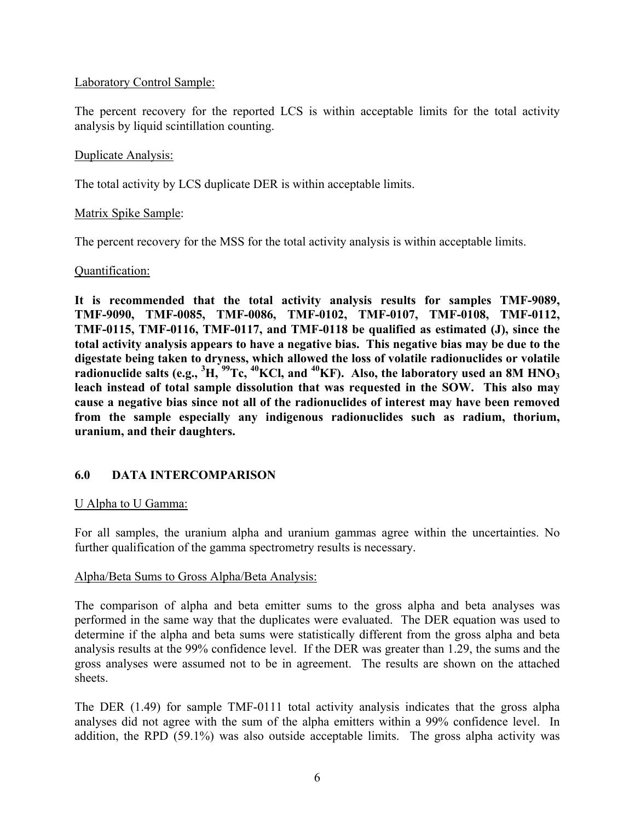#### Laboratory Control Sample:

The percent recovery for the reported LCS is within acceptable limits for the total activity analysis by liquid scintillation counting.

#### Duplicate Analysis:

The total activity by LCS duplicate DER is within acceptable limits.

#### Matrix Spike Sample:

The percent recovery for the MSS for the total activity analysis is within acceptable limits.

#### Quantification:

**It is recommended that the total activity analysis results for samples TMF-9089, TMF-9090, TMF-0085, TMF-0086, TMF-0102, TMF-0107, TMF-0108, TMF-0112, TMF-0115, TMF-0116, TMF-0117, and TMF-0118 be qualified as estimated (J), since the total activity analysis appears to have a negative bias. This negative bias may be due to the digestate being taken to dryness, which allowed the loss of volatile radionuclides or volatile radionuclide salts (e.g., <sup>3</sup> H, 99Tc, 40KCl, and 40KF). Also, the laboratory used an 8M HNO3 leach instead of total sample dissolution that was requested in the SOW. This also may cause a negative bias since not all of the radionuclides of interest may have been removed from the sample especially any indigenous radionuclides such as radium, thorium, uranium, and their daughters.**

### **6.0 DATA INTERCOMPARISON**

#### U Alpha to U Gamma:

For all samples, the uranium alpha and uranium gammas agree within the uncertainties. No further qualification of the gamma spectrometry results is necessary.

#### Alpha/Beta Sums to Gross Alpha/Beta Analysis:

The comparison of alpha and beta emitter sums to the gross alpha and beta analyses was performed in the same way that the duplicates were evaluated. The DER equation was used to determine if the alpha and beta sums were statistically different from the gross alpha and beta analysis results at the 99% confidence level. If the DER was greater than 1.29, the sums and the gross analyses were assumed not to be in agreement. The results are shown on the attached sheets.

The DER (1.49) for sample TMF-0111 total activity analysis indicates that the gross alpha analyses did not agree with the sum of the alpha emitters within a 99% confidence level. In addition, the RPD (59.1%) was also outside acceptable limits. The gross alpha activity was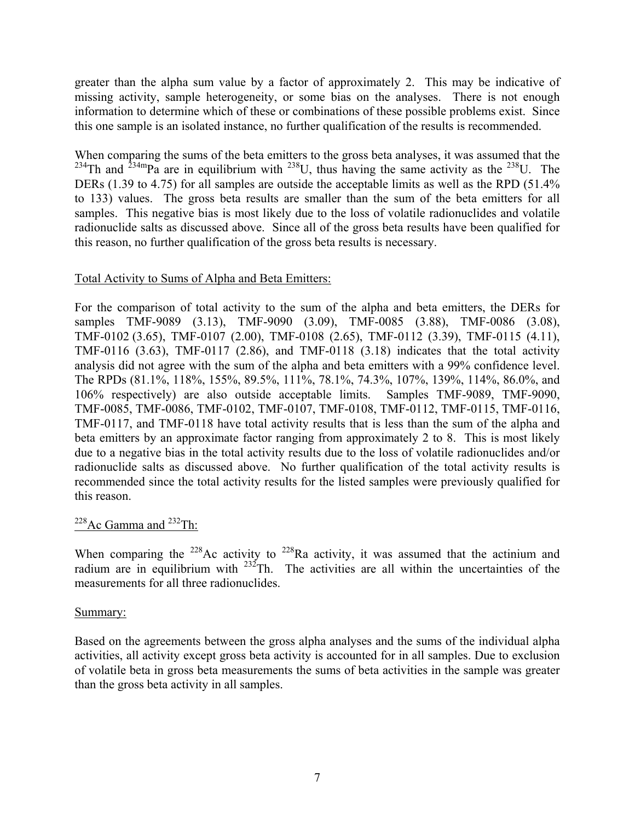greater than the alpha sum value by a factor of approximately 2. This may be indicative of missing activity, sample heterogeneity, or some bias on the analyses. There is not enough information to determine which of these or combinations of these possible problems exist. Since this one sample is an isolated instance, no further qualification of the results is recommended.

When comparing the sums of the beta emitters to the gross beta analyses, it was assumed that the <sup>234</sup>Th and <sup>234m</sup>Pa are in equilibrium with <sup>238</sup>U, thus having the same activity as the <sup>238</sup>U. The DERs (1.39 to 4.75) for all samples are outside the acceptable limits as well as the RPD (51.4%) to 133) values. The gross beta results are smaller than the sum of the beta emitters for all samples. This negative bias is most likely due to the loss of volatile radionuclides and volatile radionuclide salts as discussed above. Since all of the gross beta results have been qualified for this reason, no further qualification of the gross beta results is necessary.

#### Total Activity to Sums of Alpha and Beta Emitters:

For the comparison of total activity to the sum of the alpha and beta emitters, the DERs for samples TMF-9089 (3.13), TMF-9090 (3.09), TMF-0085 (3.88), TMF-0086 (3.08), TMF-0102 (3.65), TMF-0107 (2.00), TMF-0108 (2.65), TMF-0112 (3.39), TMF-0115 (4.11), TMF-0116 (3.63), TMF-0117 (2.86), and TMF-0118 (3.18) indicates that the total activity analysis did not agree with the sum of the alpha and beta emitters with a 99% confidence level. The RPDs (81.1%, 118%, 155%, 89.5%, 111%, 78.1%, 74.3%, 107%, 139%, 114%, 86.0%, and 106% respectively) are also outside acceptable limits. Samples TMF-9089, TMF-9090, TMF-0085, TMF-0086, TMF-0102, TMF-0107, TMF-0108, TMF-0112, TMF-0115, TMF-0116, TMF-0117, and TMF-0118 have total activity results that is less than the sum of the alpha and beta emitters by an approximate factor ranging from approximately 2 to 8. This is most likely due to a negative bias in the total activity results due to the loss of volatile radionuclides and/or radionuclide salts as discussed above. No further qualification of the total activity results is recommended since the total activity results for the listed samples were previously qualified for this reason.

# $228$ Ac Gamma and  $232$ Th:

When comparing the  $228$ Ac activity to  $228$ Ra activity, it was assumed that the actinium and radium are in equilibrium with  $232$ Th. The activities are all within the uncertainties of the measurements for all three radionuclides.

### Summary:

Based on the agreements between the gross alpha analyses and the sums of the individual alpha activities, all activity except gross beta activity is accounted for in all samples. Due to exclusion of volatile beta in gross beta measurements the sums of beta activities in the sample was greater than the gross beta activity in all samples.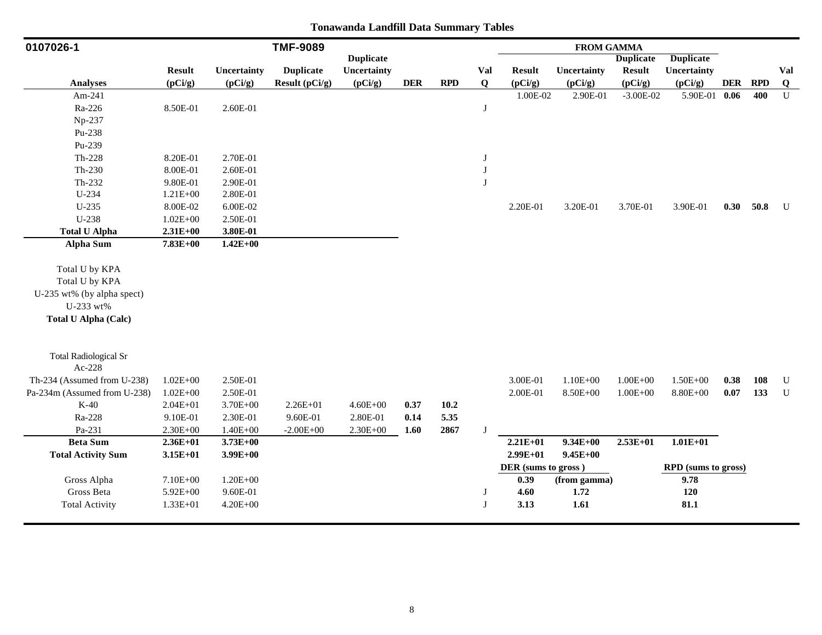| 0107026-1                    |               |              | <b>TMF-9089</b>  |                  |            |      |          |                     | <b>FROM GAMMA</b> |                  |                     |            |            |             |
|------------------------------|---------------|--------------|------------------|------------------|------------|------|----------|---------------------|-------------------|------------------|---------------------|------------|------------|-------------|
|                              |               |              |                  | <b>Duplicate</b> |            |      |          |                     |                   | <b>Duplicate</b> | <b>Duplicate</b>    |            |            |             |
|                              | <b>Result</b> | Uncertainty  | <b>Duplicate</b> | Uncertainty      |            |      | Val      | <b>Result</b>       | Uncertainty       | <b>Result</b>    | Uncertainty         |            |            | Val         |
| <b>Analyses</b>              | (pCi/g)       | (pCi/g)      | Result (pCi/g)   | (pCi/g)          | <b>DER</b> | RPD  | $\bf{Q}$ | (pCi/g)             | (pCi/g)           | (pCi/g)          | (pCi/g)             | <b>DER</b> | <b>RPD</b> | $\bf{Q}$    |
| Am-241                       |               |              |                  |                  |            |      |          | 1.00E-02            | 2.90E-01          | $-3.00E - 02$    | 5.90E-01 0.06       |            | 400        | $\mathbf U$ |
| Ra-226                       | 8.50E-01      | 2.60E-01     |                  |                  |            |      | J        |                     |                   |                  |                     |            |            |             |
| Np-237                       |               |              |                  |                  |            |      |          |                     |                   |                  |                     |            |            |             |
| Pu-238                       |               |              |                  |                  |            |      |          |                     |                   |                  |                     |            |            |             |
| Pu-239                       |               |              |                  |                  |            |      |          |                     |                   |                  |                     |            |            |             |
| $Th-228$                     | 8.20E-01      | 2.70E-01     |                  |                  |            |      | J        |                     |                   |                  |                     |            |            |             |
| $Th-230$                     | 8.00E-01      | 2.60E-01     |                  |                  |            |      | J        |                     |                   |                  |                     |            |            |             |
| Th-232                       | 9.80E-01      | 2.90E-01     |                  |                  |            |      | J        |                     |                   |                  |                     |            |            |             |
| $U-234$                      | 1.21E+00      | 2.80E-01     |                  |                  |            |      |          |                     |                   |                  |                     |            |            |             |
| $U-235$                      | 8.00E-02      | 6.00E-02     |                  |                  |            |      |          | 2.20E-01            | 3.20E-01          | 3.70E-01         | 3.90E-01            |            | 0.30 50.8  | U           |
| U-238                        | $1.02E + 00$  | 2.50E-01     |                  |                  |            |      |          |                     |                   |                  |                     |            |            |             |
| <b>Total U Alpha</b>         | $2.31E + 00$  | 3.80E-01     |                  |                  |            |      |          |                     |                   |                  |                     |            |            |             |
| <b>Alpha Sum</b>             | $7.83E + 00$  | $1.42E + 00$ |                  |                  |            |      |          |                     |                   |                  |                     |            |            |             |
|                              |               |              |                  |                  |            |      |          |                     |                   |                  |                     |            |            |             |
| Total U by KPA               |               |              |                  |                  |            |      |          |                     |                   |                  |                     |            |            |             |
| Total U by KPA               |               |              |                  |                  |            |      |          |                     |                   |                  |                     |            |            |             |
| U-235 wt% (by alpha spect)   |               |              |                  |                  |            |      |          |                     |                   |                  |                     |            |            |             |
| U-233 wt%                    |               |              |                  |                  |            |      |          |                     |                   |                  |                     |            |            |             |
| <b>Total U Alpha (Calc)</b>  |               |              |                  |                  |            |      |          |                     |                   |                  |                     |            |            |             |
|                              |               |              |                  |                  |            |      |          |                     |                   |                  |                     |            |            |             |
| <b>Total Radiological Sr</b> |               |              |                  |                  |            |      |          |                     |                   |                  |                     |            |            |             |
| Ac-228                       |               |              |                  |                  |            |      |          |                     |                   |                  |                     |            |            |             |
| Th-234 (Assumed from U-238)  | $1.02E + 00$  | 2.50E-01     |                  |                  |            |      |          | 3.00E-01            | $1.10E + 00$      | $1.00E + 00$     | $1.50E + 00$        | 0.38       | 108        | ${\bf U}$   |
| Pa-234m (Assumed from U-238) | $1.02E + 00$  | 2.50E-01     |                  |                  |            |      |          | 2.00E-01            | $8.50E + 00$      | $1.00E + 00$     | 8.80E+00            | 0.07       | 133        | U           |
| $K-40$                       | $2.04E + 01$  | 3.70E+00     | $2.26E + 01$     | $4.60E + 00$     | 0.37       | 10.2 |          |                     |                   |                  |                     |            |            |             |
| Ra-228                       | 9.10E-01      | 2.30E-01     | 9.60E-01         | 2.80E-01         | 0.14       | 5.35 |          |                     |                   |                  |                     |            |            |             |
| Pa-231                       | $2.30E + 00$  | $1.40E + 00$ | $-2.00E + 00$    | $2.30E + 00$     | 1.60       | 2867 | J        |                     |                   |                  |                     |            |            |             |
| <b>Beta Sum</b>              | $2.36E+01$    | $3.73E + 00$ |                  |                  |            |      |          | $2.21E+01$          | $9.34E + 00$      | $2.53E+01$       | $1.01E + 01$        |            |            |             |
| <b>Total Activity Sum</b>    | $3.15E+01$    | $3.99E+00$   |                  |                  |            |      |          | $2.99E+01$          | $9.45E + 00$      |                  |                     |            |            |             |
|                              |               |              |                  |                  |            |      |          | DER (sums to gross) |                   |                  | RPD (sums to gross) |            |            |             |
| Gross Alpha                  | 7.10E+00      | $1.20E + 00$ |                  |                  |            |      |          | 0.39                | (from gamma)      |                  | 9.78                |            |            |             |
| Gross Beta                   | 5.92E+00      | 9.60E-01     |                  |                  |            |      | J        | 4.60                | 1.72              |                  | 120                 |            |            |             |
| <b>Total Activity</b>        | $1.33E + 01$  | $4.20E + 00$ |                  |                  |            |      | J        | 3.13                | 1.61              |                  | 81.1                |            |            |             |
|                              |               |              |                  |                  |            |      |          |                     |                   |                  |                     |            |            |             |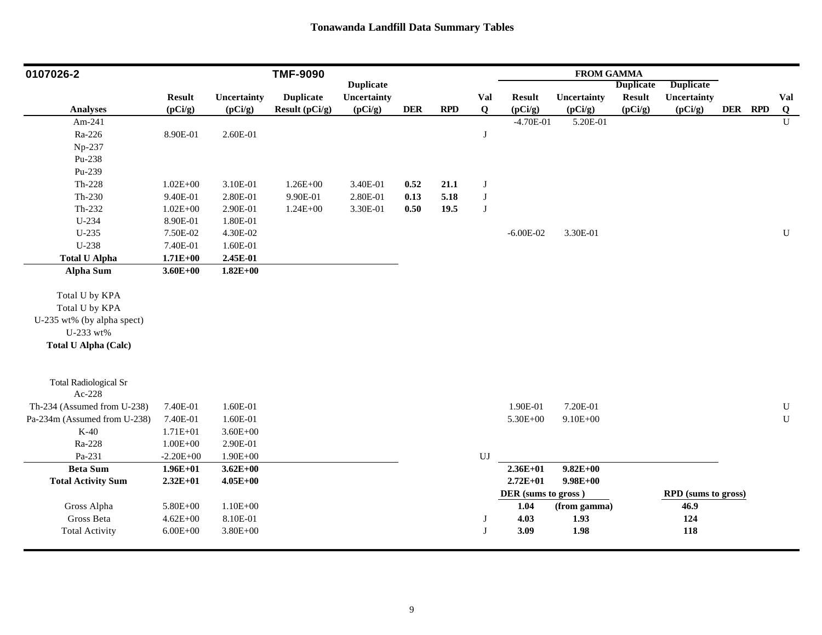| 0107026-2                    |               |              | <b>TMF-9090</b>  |                  |            |      |              |                     | <b>FROM GAMMA</b> |                  |                     |         |              |
|------------------------------|---------------|--------------|------------------|------------------|------------|------|--------------|---------------------|-------------------|------------------|---------------------|---------|--------------|
|                              |               |              |                  | <b>Duplicate</b> |            |      |              |                     |                   | <b>Duplicate</b> | <b>Duplicate</b>    |         |              |
|                              | <b>Result</b> | Uncertainty  | <b>Duplicate</b> | Uncertainty      |            |      | Val          | <b>Result</b>       | Uncertainty       | <b>Result</b>    | Uncertainty         |         | Val          |
| <b>Analyses</b>              | (pCi/g)       | (pCi/g)      | Result (pCi/g)   | (pCi/g)          | <b>DER</b> | RPD  | Q            | (pCi/g)             | (pCi/g)           | (pCi/g)          | (pCi/g)             | DER RPD | Q            |
| Am-241                       |               |              |                  |                  |            |      |              | $-4.70E-01$         | 5.20E-01          |                  |                     |         | $\mathbf{U}$ |
| Ra-226                       | 8.90E-01      | 2.60E-01     |                  |                  |            |      | $\bf J$      |                     |                   |                  |                     |         |              |
| Np-237                       |               |              |                  |                  |            |      |              |                     |                   |                  |                     |         |              |
| Pu-238                       |               |              |                  |                  |            |      |              |                     |                   |                  |                     |         |              |
| Pu-239                       |               |              |                  |                  |            |      |              |                     |                   |                  |                     |         |              |
| $Th-228$                     | $1.02E + 00$  | 3.10E-01     | $1.26E + 00$     | 3.40E-01         | 0.52       | 21.1 | $\mathbf{J}$ |                     |                   |                  |                     |         |              |
| $Th-230$                     | 9.40E-01      | 2.80E-01     | 9.90E-01         | 2.80E-01         | 0.13       | 5.18 | $\bf J$      |                     |                   |                  |                     |         |              |
| Th-232                       | $1.02E + 00$  | 2.90E-01     | $1.24E + 00$     | 3.30E-01         | $0.50\,$   | 19.5 | J            |                     |                   |                  |                     |         |              |
| U-234                        | 8.90E-01      | 1.80E-01     |                  |                  |            |      |              |                     |                   |                  |                     |         |              |
| U-235                        | 7.50E-02      | 4.30E-02     |                  |                  |            |      |              | $-6.00E-02$         | 3.30E-01          |                  |                     |         | $\mathbf U$  |
| U-238                        | 7.40E-01      | 1.60E-01     |                  |                  |            |      |              |                     |                   |                  |                     |         |              |
| <b>Total U Alpha</b>         | $1.71E + 00$  | 2.45E-01     |                  |                  |            |      |              |                     |                   |                  |                     |         |              |
| Alpha Sum                    | $3.60E + 00$  | $1.82E + 00$ |                  |                  |            |      |              |                     |                   |                  |                     |         |              |
|                              |               |              |                  |                  |            |      |              |                     |                   |                  |                     |         |              |
| Total U by KPA               |               |              |                  |                  |            |      |              |                     |                   |                  |                     |         |              |
| Total U by KPA               |               |              |                  |                  |            |      |              |                     |                   |                  |                     |         |              |
| U-235 wt% (by alpha spect)   |               |              |                  |                  |            |      |              |                     |                   |                  |                     |         |              |
| U-233 wt%                    |               |              |                  |                  |            |      |              |                     |                   |                  |                     |         |              |
| <b>Total U Alpha (Calc)</b>  |               |              |                  |                  |            |      |              |                     |                   |                  |                     |         |              |
|                              |               |              |                  |                  |            |      |              |                     |                   |                  |                     |         |              |
|                              |               |              |                  |                  |            |      |              |                     |                   |                  |                     |         |              |
| <b>Total Radiological Sr</b> |               |              |                  |                  |            |      |              |                     |                   |                  |                     |         |              |
| Ac-228                       |               |              |                  |                  |            |      |              |                     |                   |                  |                     |         |              |
| Th-234 (Assumed from U-238)  | 7.40E-01      | 1.60E-01     |                  |                  |            |      |              | 1.90E-01            | 7.20E-01          |                  |                     |         | ${\bf U}$    |
| Pa-234m (Assumed from U-238) | 7.40E-01      | 1.60E-01     |                  |                  |            |      |              | 5.30E+00            | $9.10E + 00$      |                  |                     |         | ${\bf U}$    |
| $K-40$                       | $1.71E + 01$  | $3.60E + 00$ |                  |                  |            |      |              |                     |                   |                  |                     |         |              |
| Ra-228                       | $1.00E + 00$  | 2.90E-01     |                  |                  |            |      |              |                     |                   |                  |                     |         |              |
| Pa-231                       | $-2.20E + 00$ | $1.90E + 00$ |                  |                  |            |      | UJ           |                     |                   |                  |                     |         |              |
| <b>Beta Sum</b>              | $1.96E + 01$  | $3.62E + 00$ |                  |                  |            |      |              | $2.36E + 01$        | $9.82E + 00$      |                  |                     |         |              |
| <b>Total Activity Sum</b>    | $2.32E+01$    | $4.05E + 00$ |                  |                  |            |      |              | $2.72E + 01$        | $9.98E + 00$      |                  |                     |         |              |
|                              |               |              |                  |                  |            |      |              | DER (sums to gross) |                   |                  | RPD (sums to gross) |         |              |
| Gross Alpha                  | 5.80E+00      | $1.10E + 00$ |                  |                  |            |      |              | 1.04                | (from gamma)      |                  | 46.9                |         |              |
| Gross Beta                   | $4.62E + 00$  | 8.10E-01     |                  |                  |            |      | J            | 4.03                | 1.93              |                  | 124                 |         |              |
| <b>Total Activity</b>        | $6.00E + 00$  | $3.80E + 00$ |                  |                  |            |      | J            | 3.09                | 1.98              |                  | 118                 |         |              |
|                              |               |              |                  |                  |            |      |              |                     |                   |                  |                     |         |              |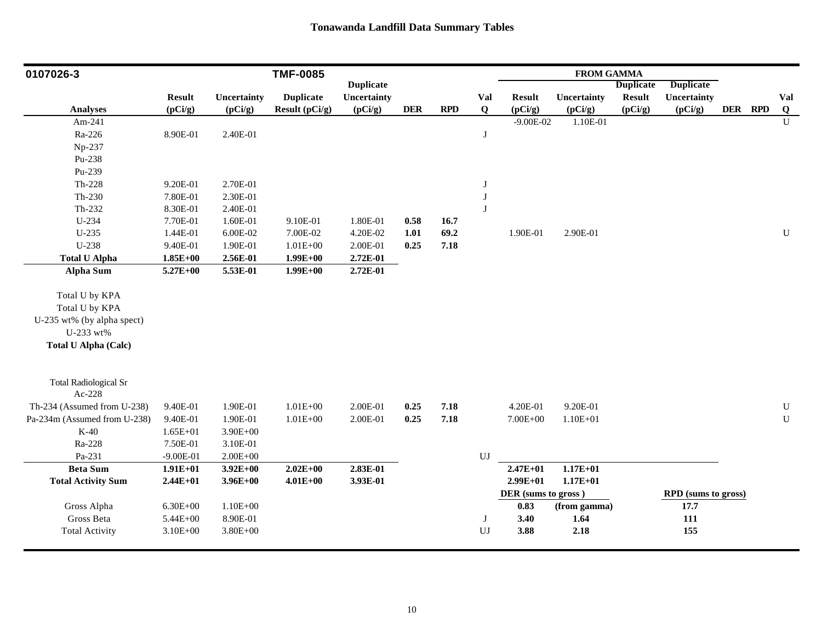| 0107026-3                                                                                                  |               |              | <b>TMF-0085</b>  |                  |            |      |                  |                     | <b>FROM GAMMA</b> |                  |                     |         |              |
|------------------------------------------------------------------------------------------------------------|---------------|--------------|------------------|------------------|------------|------|------------------|---------------------|-------------------|------------------|---------------------|---------|--------------|
|                                                                                                            |               |              |                  | <b>Duplicate</b> |            |      |                  |                     |                   | <b>Duplicate</b> | <b>Duplicate</b>    |         |              |
|                                                                                                            | <b>Result</b> | Uncertainty  | <b>Duplicate</b> | Uncertainty      |            |      | <b>Val</b>       | <b>Result</b>       | Uncertainty       | <b>Result</b>    | Uncertainty         |         | Val          |
| <b>Analyses</b>                                                                                            | (pCi/g)       | (pCi/g)      | Result (pCi/g)   | (pCi/g)          | <b>DER</b> | RPD  | $\bf{Q}$         | (pCi/g)             | (pCi/g)           | (pCi/g)          | (pCi/g)             | DER RPD | Q            |
| Am-241                                                                                                     |               |              |                  |                  |            |      |                  | $-9.00E - 02$       | 1.10E-01          |                  |                     |         | $\mathbf{U}$ |
| Ra-226                                                                                                     | 8.90E-01      | 2.40E-01     |                  |                  |            |      | $\bf J$          |                     |                   |                  |                     |         |              |
| Np-237                                                                                                     |               |              |                  |                  |            |      |                  |                     |                   |                  |                     |         |              |
| Pu-238                                                                                                     |               |              |                  |                  |            |      |                  |                     |                   |                  |                     |         |              |
| Pu-239                                                                                                     |               |              |                  |                  |            |      |                  |                     |                   |                  |                     |         |              |
| $Th-228$                                                                                                   | 9.20E-01      | 2.70E-01     |                  |                  |            |      | $\bf J$          |                     |                   |                  |                     |         |              |
| $Th-230$                                                                                                   | 7.80E-01      | 2.30E-01     |                  |                  |            |      | $\bf J$          |                     |                   |                  |                     |         |              |
| Th-232                                                                                                     | 8.30E-01      | 2.40E-01     |                  |                  |            |      | $\bf J$          |                     |                   |                  |                     |         |              |
| U-234                                                                                                      | 7.70E-01      | 1.60E-01     | 9.10E-01         | 1.80E-01         | 0.58       | 16.7 |                  |                     |                   |                  |                     |         |              |
| $U-235$                                                                                                    | 1.44E-01      | 6.00E-02     | 7.00E-02         | 4.20E-02         | 1.01       | 69.2 |                  | 1.90E-01            | 2.90E-01          |                  |                     |         | ${\bf U}$    |
| U-238                                                                                                      | 9.40E-01      | 1.90E-01     | $1.01E + 00$     | 2.00E-01         | 0.25       | 7.18 |                  |                     |                   |                  |                     |         |              |
| <b>Total U Alpha</b>                                                                                       | $1.85E + 00$  | 2.56E-01     | $1.99E + 00$     | 2.72E-01         |            |      |                  |                     |                   |                  |                     |         |              |
| Alpha Sum                                                                                                  | $5.27E + 00$  | 5.53E-01     | $1.99E + 00$     | 2.72E-01         |            |      |                  |                     |                   |                  |                     |         |              |
| Total U by KPA<br>Total U by KPA<br>U-235 wt% (by alpha spect)<br>U-233 wt%<br><b>Total U Alpha (Calc)</b> |               |              |                  |                  |            |      |                  |                     |                   |                  |                     |         |              |
| <b>Total Radiological Sr</b><br>Ac-228                                                                     |               |              |                  |                  |            |      |                  |                     |                   |                  |                     |         |              |
| Th-234 (Assumed from U-238)                                                                                | 9.40E-01      | 1.90E-01     | $1.01E + 00$     | 2.00E-01         | 0.25       | 7.18 |                  | 4.20E-01            | 9.20E-01          |                  |                     |         | ${\bf U}$    |
| Pa-234m (Assumed from U-238)                                                                               | 9.40E-01      | 1.90E-01     | $1.01E + 00$     | 2.00E-01         | 0.25       | 7.18 |                  | 7.00E+00            | $1.10E + 01$      |                  |                     |         | ${\bf U}$    |
| $K-40$                                                                                                     | $1.65E + 01$  | $3.90E + 00$ |                  |                  |            |      |                  |                     |                   |                  |                     |         |              |
| Ra-228                                                                                                     | 7.50E-01      | 3.10E-01     |                  |                  |            |      |                  |                     |                   |                  |                     |         |              |
| Pa-231                                                                                                     | $-9.00E-01$   | $2.00E + 00$ |                  |                  |            |      | UJ               |                     |                   |                  |                     |         |              |
| <b>Beta Sum</b>                                                                                            | $1.91E+01$    | $3.92E + 00$ | $2.02E + 00$     | 2.83E-01         |            |      |                  | $2.47E + 01$        | $1.17E + 01$      |                  |                     |         |              |
| <b>Total Activity Sum</b>                                                                                  | $2.44E + 01$  | $3.96E + 00$ | $4.01E + 00$     | 3.93E-01         |            |      |                  | $2.99E+01$          | $1.17E + 01$      |                  |                     |         |              |
|                                                                                                            |               |              |                  |                  |            |      |                  | DER (sums to gross) |                   |                  | RPD (sums to gross) |         |              |
| Gross Alpha                                                                                                | $6.30E + 00$  | $1.10E + 00$ |                  |                  |            |      |                  | 0.83                | (from gamma)      |                  | 17.7                |         |              |
| Gross Beta                                                                                                 | 5.44E+00      | 8.90E-01     |                  |                  |            |      | $\bf J$          | 3.40                | 1.64              |                  | 111                 |         |              |
| <b>Total Activity</b>                                                                                      | $3.10E + 00$  | $3.80E + 00$ |                  |                  |            |      | ${\bf U}{\bf J}$ | 3.88                | 2.18              |                  | 155                 |         |              |
|                                                                                                            |               |              |                  |                  |            |      |                  |                     |                   |                  |                     |         |              |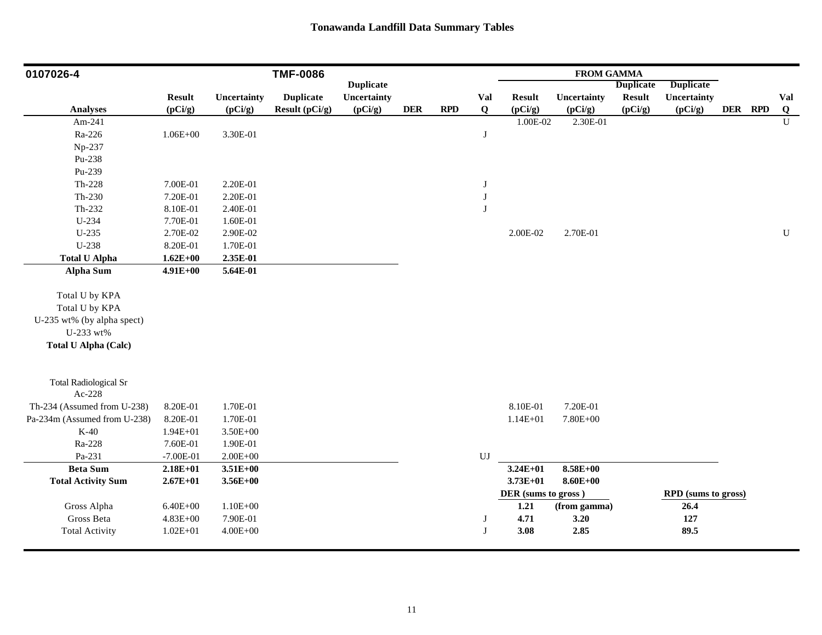| 0107026-4                               |               |              | <b>TMF-0086</b>  |                  |             |            |                        |                     | <b>FROM GAMMA</b> |                  |                     |         |                |
|-----------------------------------------|---------------|--------------|------------------|------------------|-------------|------------|------------------------|---------------------|-------------------|------------------|---------------------|---------|----------------|
|                                         |               |              |                  | <b>Duplicate</b> |             |            |                        |                     |                   | <b>Duplicate</b> | <b>Duplicate</b>    |         |                |
|                                         | <b>Result</b> | Uncertainty  | <b>Duplicate</b> | Uncertainty      |             |            | Val                    | <b>Result</b>       | Uncertainty       | <b>Result</b>    | Uncertainty         |         | Val            |
| <b>Analyses</b>                         | (pCi/g)       | (pCi/g)      | Result (pCi/g)   | (pCi/g)          | ${\bf DER}$ | <b>RPD</b> | Q                      | (pCi/g)             | (pCi/g)           | (pCi/g)          | (pCi/g)             | DER RPD | $\overline{Q}$ |
| Am-241                                  |               |              |                  |                  |             |            |                        | 1.00E-02            | 2.30E-01          |                  |                     |         | $\mathbf U$    |
| Ra-226                                  | $1.06E + 00$  | 3.30E-01     |                  |                  |             |            | J                      |                     |                   |                  |                     |         |                |
| Np-237                                  |               |              |                  |                  |             |            |                        |                     |                   |                  |                     |         |                |
| Pu-238                                  |               |              |                  |                  |             |            |                        |                     |                   |                  |                     |         |                |
| Pu-239                                  |               |              |                  |                  |             |            |                        |                     |                   |                  |                     |         |                |
| $Th-228$                                | 7.00E-01      | 2.20E-01     |                  |                  |             |            | J                      |                     |                   |                  |                     |         |                |
| $Th-230$                                | 7.20E-01      | 2.20E-01     |                  |                  |             |            | $\bf J$                |                     |                   |                  |                     |         |                |
| Th-232                                  | 8.10E-01      | 2.40E-01     |                  |                  |             |            | $\bf J$                |                     |                   |                  |                     |         |                |
| U-234                                   | 7.70E-01      | 1.60E-01     |                  |                  |             |            |                        |                     |                   |                  |                     |         |                |
| U-235                                   | 2.70E-02      | 2.90E-02     |                  |                  |             |            |                        | 2.00E-02            | 2.70E-01          |                  |                     |         | ${\bf U}$      |
| U-238                                   | 8.20E-01      | 1.70E-01     |                  |                  |             |            |                        |                     |                   |                  |                     |         |                |
| <b>Total U Alpha</b>                    | $1.62E + 00$  | 2.35E-01     |                  |                  |             |            |                        |                     |                   |                  |                     |         |                |
| Alpha Sum                               | 4.91E+00      | 5.64E-01     |                  |                  |             |            |                        |                     |                   |                  |                     |         |                |
| Total U by KPA                          |               |              |                  |                  |             |            |                        |                     |                   |                  |                     |         |                |
| Total U by KPA                          |               |              |                  |                  |             |            |                        |                     |                   |                  |                     |         |                |
|                                         |               |              |                  |                  |             |            |                        |                     |                   |                  |                     |         |                |
| U-235 wt% (by alpha spect)<br>U-233 wt% |               |              |                  |                  |             |            |                        |                     |                   |                  |                     |         |                |
|                                         |               |              |                  |                  |             |            |                        |                     |                   |                  |                     |         |                |
| <b>Total U Alpha (Calc)</b>             |               |              |                  |                  |             |            |                        |                     |                   |                  |                     |         |                |
| <b>Total Radiological Sr</b>            |               |              |                  |                  |             |            |                        |                     |                   |                  |                     |         |                |
| Ac-228                                  |               |              |                  |                  |             |            |                        |                     |                   |                  |                     |         |                |
| Th-234 (Assumed from U-238)             | 8.20E-01      | 1.70E-01     |                  |                  |             |            |                        | 8.10E-01            | 7.20E-01          |                  |                     |         |                |
| Pa-234m (Assumed from U-238)            | 8.20E-01      | 1.70E-01     |                  |                  |             |            |                        | $1.14E + 01$        | 7.80E+00          |                  |                     |         |                |
| $K-40$                                  | $1.94E + 01$  | $3.50E + 00$ |                  |                  |             |            |                        |                     |                   |                  |                     |         |                |
| Ra-228                                  | 7.60E-01      | 1.90E-01     |                  |                  |             |            |                        |                     |                   |                  |                     |         |                |
| Pa-231                                  | $-7.00E-01$   | $2.00E + 00$ |                  |                  |             |            | $\mathbf{U}\mathbf{J}$ |                     |                   |                  |                     |         |                |
| <b>Beta Sum</b>                         | $2.18E + 01$  | $3.51E+00$   |                  |                  |             |            |                        | $3.24E + 01$        | $8.58E + 00$      |                  |                     |         |                |
| <b>Total Activity Sum</b>               | $2.67E + 01$  | $3.56E + 00$ |                  |                  |             |            |                        | $3.73E + 01$        | $8.60E + 00$      |                  |                     |         |                |
|                                         |               |              |                  |                  |             |            |                        | DER (sums to gross) |                   |                  | RPD (sums to gross) |         |                |
| Gross Alpha                             | $6.40E + 00$  | $1.10E + 00$ |                  |                  |             |            |                        | 1.21                | (from gamma)      |                  | 26.4                |         |                |
| Gross Beta                              | $4.83E + 00$  | 7.90E-01     |                  |                  |             |            | J                      | 4.71                | 3.20              |                  | 127                 |         |                |
| <b>Total Activity</b>                   | $1.02E + 01$  | $4.00E + 00$ |                  |                  |             |            | J                      | 3.08                | 2.85              |                  | 89.5                |         |                |
|                                         |               |              |                  |                  |             |            |                        |                     |                   |                  |                     |         |                |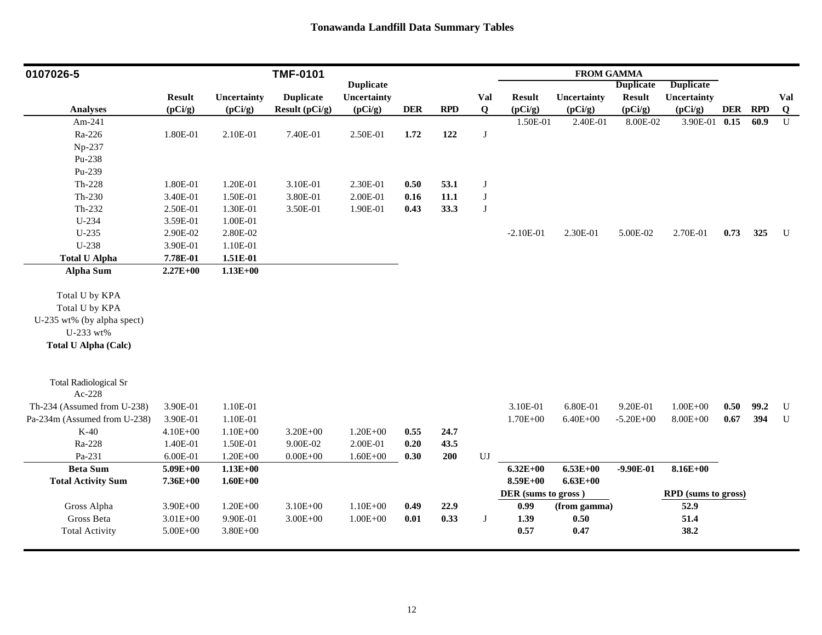| 0107026-5                    |               |              | <b>TMF-0101</b>  |                  |            |      |         |                     | <b>FROM GAMMA</b> |                  |                            |            |            |             |
|------------------------------|---------------|--------------|------------------|------------------|------------|------|---------|---------------------|-------------------|------------------|----------------------------|------------|------------|-------------|
|                              |               |              |                  | <b>Duplicate</b> |            |      |         |                     |                   | <b>Duplicate</b> | <b>Duplicate</b>           |            |            |             |
|                              | <b>Result</b> | Uncertainty  | <b>Duplicate</b> | Uncertainty      |            |      | Val     | <b>Result</b>       | Uncertainty       | <b>Result</b>    | Uncertainty                |            |            | Val         |
| <b>Analyses</b>              | (pCi/g)       | (pCi/g)      | Result (pCi/g)   | (pCi/g)          | <b>DER</b> | RPD  | Q       | (pCi/g)             | (pCi/g)           | (pCi/g)          | (pCi/g)                    | <b>DER</b> | <b>RPD</b> | $\bf{Q}$    |
| Am-241                       |               |              |                  |                  |            |      |         | 1.50E-01            | 2.40E-01          | 8.00E-02         | 3.90E-01 0.15              |            | 60.9       | U           |
| Ra-226                       | 1.80E-01      | 2.10E-01     | 7.40E-01         | 2.50E-01         | 1.72       | 122  | $\bf J$ |                     |                   |                  |                            |            |            |             |
| Np-237                       |               |              |                  |                  |            |      |         |                     |                   |                  |                            |            |            |             |
| Pu-238                       |               |              |                  |                  |            |      |         |                     |                   |                  |                            |            |            |             |
| Pu-239                       |               |              |                  |                  |            |      |         |                     |                   |                  |                            |            |            |             |
| $Th-228$                     | 1.80E-01      | 1.20E-01     | 3.10E-01         | 2.30E-01         | 0.50       | 53.1 | $\bf J$ |                     |                   |                  |                            |            |            |             |
| $Th-230$                     | 3.40E-01      | 1.50E-01     | 3.80E-01         | 2.00E-01         | 0.16       | 11.1 | $\bf J$ |                     |                   |                  |                            |            |            |             |
| Th-232                       | 2.50E-01      | 1.30E-01     | 3.50E-01         | 1.90E-01         | 0.43       | 33.3 | $\bf J$ |                     |                   |                  |                            |            |            |             |
| U-234                        | 3.59E-01      | $1.00E-01$   |                  |                  |            |      |         |                     |                   |                  |                            |            |            |             |
| $U-235$                      | 2.90E-02      | 2.80E-02     |                  |                  |            |      |         | $-2.10E-01$         | 2.30E-01          | 5.00E-02         | 2.70E-01                   | 0.73       | 325        | U           |
| U-238                        | 3.90E-01      | 1.10E-01     |                  |                  |            |      |         |                     |                   |                  |                            |            |            |             |
| <b>Total U Alpha</b>         | 7.78E-01      | 1.51E-01     |                  |                  |            |      |         |                     |                   |                  |                            |            |            |             |
| Alpha Sum                    | $2.27E+00$    | $1.13E+00$   |                  |                  |            |      |         |                     |                   |                  |                            |            |            |             |
|                              |               |              |                  |                  |            |      |         |                     |                   |                  |                            |            |            |             |
| Total U by KPA               |               |              |                  |                  |            |      |         |                     |                   |                  |                            |            |            |             |
| Total U by KPA               |               |              |                  |                  |            |      |         |                     |                   |                  |                            |            |            |             |
| U-235 wt% (by alpha spect)   |               |              |                  |                  |            |      |         |                     |                   |                  |                            |            |            |             |
| U-233 wt%                    |               |              |                  |                  |            |      |         |                     |                   |                  |                            |            |            |             |
| <b>Total U Alpha (Calc)</b>  |               |              |                  |                  |            |      |         |                     |                   |                  |                            |            |            |             |
|                              |               |              |                  |                  |            |      |         |                     |                   |                  |                            |            |            |             |
|                              |               |              |                  |                  |            |      |         |                     |                   |                  |                            |            |            |             |
| <b>Total Radiological Sr</b> |               |              |                  |                  |            |      |         |                     |                   |                  |                            |            |            |             |
| Ac-228                       |               |              |                  |                  |            |      |         |                     |                   |                  |                            |            |            |             |
| Th-234 (Assumed from U-238)  | 3.90E-01      | 1.10E-01     |                  |                  |            |      |         | 3.10E-01            | 6.80E-01          | 9.20E-01         | $1.00E + 00$               | 0.50       | 99.2       | $\mathbf U$ |
| Pa-234m (Assumed from U-238) | 3.90E-01      | 1.10E-01     |                  |                  |            |      |         | $1.70E + 00$        | $6.40E + 00$      | $-5.20E + 00$    | $8.00E + 00$               | 0.67       | 394        | U           |
| $K-40$                       | $4.10E + 00$  | $1.10E + 00$ | 3.20E+00         | $1.20E + 00$     | 0.55       | 24.7 |         |                     |                   |                  |                            |            |            |             |
| Ra-228                       | 1.40E-01      | 1.50E-01     | 9.00E-02         | 2.00E-01         | 0.20       | 43.5 |         |                     |                   |                  |                            |            |            |             |
| Pa-231                       | 6.00E-01      | $1.20E + 00$ | $0.00E + 00$     | $1.60E + 00$     | 0.30       | 200  | UJ      |                     |                   |                  |                            |            |            |             |
| <b>Beta Sum</b>              | $5.09E + 00$  | $1.13E+00$   |                  |                  |            |      |         | $6.32E + 00$        | $6.53E+00$        | $-9.90E-01$      | 8.16E+00                   |            |            |             |
| <b>Total Activity Sum</b>    | 7.36E+00      | $1.60E + 00$ |                  |                  |            |      |         | 8.59E+00            | $6.63E + 00$      |                  |                            |            |            |             |
|                              |               |              |                  |                  |            |      |         | DER (sums to gross) |                   |                  | <b>RPD</b> (sums to gross) |            |            |             |
| Gross Alpha                  | 3.90E+00      | $1.20E + 00$ | $3.10E + 00$     | $1.10E + 00$     | 0.49       | 22.9 |         | 0.99                | (from gamma)      |                  | 52.9                       |            |            |             |
| Gross Beta                   | $3.01E + 00$  | 9.90E-01     | $3.00E + 00$     | $1.00E + 00$     | 0.01       | 0.33 | $\bf J$ | 1.39                | 0.50              |                  | 51.4                       |            |            |             |
| <b>Total Activity</b>        | $5.00E + 00$  | $3.80E + 00$ |                  |                  |            |      |         | 0.57                | 0.47              |                  | 38.2                       |            |            |             |
|                              |               |              |                  |                  |            |      |         |                     |                   |                  |                            |            |            |             |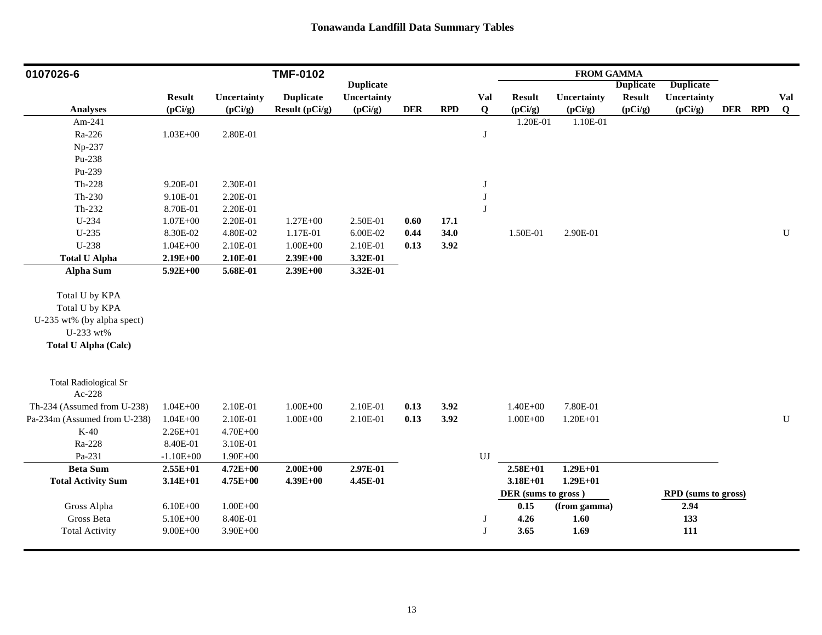| 0107026-6                                                                                                  |               |              | <b>TMF-0102</b>  |                  |            |      |              |                     | <b>FROM GAMMA</b> |                  |                     |         |           |
|------------------------------------------------------------------------------------------------------------|---------------|--------------|------------------|------------------|------------|------|--------------|---------------------|-------------------|------------------|---------------------|---------|-----------|
|                                                                                                            |               |              |                  | <b>Duplicate</b> |            |      |              |                     |                   | <b>Duplicate</b> | <b>Duplicate</b>    |         |           |
|                                                                                                            | <b>Result</b> | Uncertainty  | <b>Duplicate</b> | Uncertainty      |            |      | <b>Val</b>   | <b>Result</b>       | Uncertainty       | <b>Result</b>    | Uncertainty         |         | Val       |
| <b>Analyses</b>                                                                                            | (pCi/g)       | (pCi/g)      | Result (pCi/g)   | (pCi/g)          | <b>DER</b> | RPD  | $\bf{Q}$     | (pCi/g)             | (pCi/g)           | (pCi/g)          | (pCi/g)             | DER RPD | $\bf{Q}$  |
| Am-241                                                                                                     |               |              |                  |                  |            |      |              | 1.20E-01            | 1.10E-01          |                  |                     |         |           |
| Ra-226                                                                                                     | $1.03E + 00$  | 2.80E-01     |                  |                  |            |      | $\bf J$      |                     |                   |                  |                     |         |           |
| Np-237                                                                                                     |               |              |                  |                  |            |      |              |                     |                   |                  |                     |         |           |
| Pu-238                                                                                                     |               |              |                  |                  |            |      |              |                     |                   |                  |                     |         |           |
| Pu-239                                                                                                     |               |              |                  |                  |            |      |              |                     |                   |                  |                     |         |           |
| $Th-228$                                                                                                   | 9.20E-01      | 2.30E-01     |                  |                  |            |      | $\bf J$      |                     |                   |                  |                     |         |           |
| $Th-230$                                                                                                   | 9.10E-01      | 2.20E-01     |                  |                  |            |      | $\bf J$      |                     |                   |                  |                     |         |           |
| Th-232                                                                                                     | 8.70E-01      | 2.20E-01     |                  |                  |            |      | $\bf J$      |                     |                   |                  |                     |         |           |
| U-234                                                                                                      | $1.07E + 00$  | 2.20E-01     | $1.27E + 00$     | 2.50E-01         | 0.60       | 17.1 |              |                     |                   |                  |                     |         |           |
| $U-235$                                                                                                    | 8.30E-02      | 4.80E-02     | 1.17E-01         | 6.00E-02         | 0.44       | 34.0 |              | 1.50E-01            | 2.90E-01          |                  |                     |         | ${\bf U}$ |
| U-238                                                                                                      | $1.04E + 00$  | 2.10E-01     | $1.00E + 00$     | 2.10E-01         | 0.13       | 3.92 |              |                     |                   |                  |                     |         |           |
| <b>Total U Alpha</b>                                                                                       | $2.19E + 00$  | 2.10E-01     | $2.39E + 00$     | 3.32E-01         |            |      |              |                     |                   |                  |                     |         |           |
| Alpha Sum                                                                                                  | $5.92E + 00$  | 5.68E-01     | $2.39E+00$       | 3.32E-01         |            |      |              |                     |                   |                  |                     |         |           |
| Total U by KPA<br>Total U by KPA<br>U-235 wt% (by alpha spect)<br>U-233 wt%<br><b>Total U Alpha (Calc)</b> |               |              |                  |                  |            |      |              |                     |                   |                  |                     |         |           |
| <b>Total Radiological Sr</b><br>Ac-228                                                                     |               |              |                  |                  |            |      |              |                     |                   |                  |                     |         |           |
| Th-234 (Assumed from U-238)                                                                                | $1.04E + 00$  | 2.10E-01     | $1.00E + 00$     | 2.10E-01         | 0.13       | 3.92 |              | $1.40E + 00$        | 7.80E-01          |                  |                     |         |           |
| Pa-234m (Assumed from U-238)                                                                               | $1.04E + 00$  | 2.10E-01     | $1.00E + 00$     | 2.10E-01         | 0.13       | 3.92 |              | $1.00E + 00$        | $1.20E + 01$      |                  |                     |         | ${\bf U}$ |
| $K-40$                                                                                                     | $2.26E + 01$  | $4.70E + 00$ |                  |                  |            |      |              |                     |                   |                  |                     |         |           |
| Ra-228                                                                                                     | 8.40E-01      | 3.10E-01     |                  |                  |            |      |              |                     |                   |                  |                     |         |           |
| Pa-231                                                                                                     | $-1.10E + 00$ | $1.90E + 00$ |                  |                  |            |      | UJ           |                     |                   |                  |                     |         |           |
| <b>Beta Sum</b>                                                                                            | $2.55E+01$    | $4.72E + 00$ | $2.00E + 00$     | 2.97E-01         |            |      |              | $2.58E + 01$        | $1.29E + 01$      |                  |                     |         |           |
| <b>Total Activity Sum</b>                                                                                  | $3.14E + 01$  | $4.75E+00$   | $4.39E + 00$     | 4.45E-01         |            |      |              | $3.18E + 01$        | $1.29E + 01$      |                  |                     |         |           |
|                                                                                                            |               |              |                  |                  |            |      |              | DER (sums to gross) |                   |                  | RPD (sums to gross) |         |           |
| Gross Alpha                                                                                                | $6.10E + 00$  | $1.00E + 00$ |                  |                  |            |      |              | 0.15                | (from gamma)      |                  | 2.94                |         |           |
| Gross Beta                                                                                                 | 5.10E+00      | 8.40E-01     |                  |                  |            |      | $\bf J$      | 4.26                | 1.60              |                  | 133                 |         |           |
| <b>Total Activity</b>                                                                                      | $9.00E + 00$  | $3.90E + 00$ |                  |                  |            |      | $\mathbf{J}$ | 3.65                | 1.69              |                  | 111                 |         |           |
|                                                                                                            |               |              |                  |                  |            |      |              |                     |                   |                  |                     |         |           |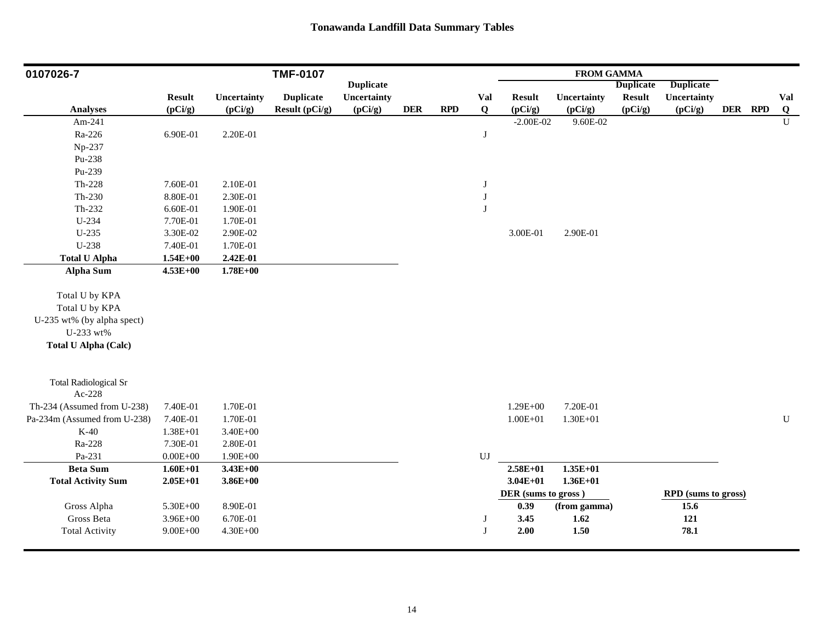| 0107026-7                    |               |              | <b>TMF-0107</b>  |                  |            |     |                        |                     | <b>FROM GAMMA</b> |                  |                     |         |                |
|------------------------------|---------------|--------------|------------------|------------------|------------|-----|------------------------|---------------------|-------------------|------------------|---------------------|---------|----------------|
|                              |               |              |                  | <b>Duplicate</b> |            |     |                        |                     |                   | <b>Duplicate</b> | <b>Duplicate</b>    |         |                |
|                              | <b>Result</b> | Uncertainty  | <b>Duplicate</b> | Uncertainty      |            |     | <b>Val</b>             | <b>Result</b>       | Uncertainty       | <b>Result</b>    | Uncertainty         |         | Val            |
| <b>Analyses</b>              | (pCi/g)       | (pCi/g)      | Result (pCi/g)   | (pCi/g)          | <b>DER</b> | RPD | Q                      | (pCi/g)             | (pCi/g)           | (pCi/g)          | (pCi/g)             | DER RPD | $\overline{Q}$ |
| Am-241                       |               |              |                  |                  |            |     |                        | $-2.00E - 02$       | 9.60E-02          |                  |                     |         | $\mathbf U$    |
| Ra-226                       | 6.90E-01      | 2.20E-01     |                  |                  |            |     | $\bf J$                |                     |                   |                  |                     |         |                |
| Np-237                       |               |              |                  |                  |            |     |                        |                     |                   |                  |                     |         |                |
| Pu-238                       |               |              |                  |                  |            |     |                        |                     |                   |                  |                     |         |                |
| Pu-239                       |               |              |                  |                  |            |     |                        |                     |                   |                  |                     |         |                |
| Th-228                       | 7.60E-01      | 2.10E-01     |                  |                  |            |     | $\bf J$                |                     |                   |                  |                     |         |                |
| Th-230                       | 8.80E-01      | 2.30E-01     |                  |                  |            |     | $\bf J$                |                     |                   |                  |                     |         |                |
| Th-232                       | 6.60E-01      | 1.90E-01     |                  |                  |            |     | $\bf J$                |                     |                   |                  |                     |         |                |
| U-234                        | 7.70E-01      | 1.70E-01     |                  |                  |            |     |                        |                     |                   |                  |                     |         |                |
| $U-235$                      | 3.30E-02      | 2.90E-02     |                  |                  |            |     |                        | 3.00E-01            | 2.90E-01          |                  |                     |         |                |
| U-238                        | 7.40E-01      | 1.70E-01     |                  |                  |            |     |                        |                     |                   |                  |                     |         |                |
| <b>Total U Alpha</b>         | $1.54E + 00$  | 2.42E-01     |                  |                  |            |     |                        |                     |                   |                  |                     |         |                |
| Alpha Sum                    | $4.53E + 00$  | $1.78E + 00$ |                  |                  |            |     |                        |                     |                   |                  |                     |         |                |
|                              |               |              |                  |                  |            |     |                        |                     |                   |                  |                     |         |                |
| Total U by KPA               |               |              |                  |                  |            |     |                        |                     |                   |                  |                     |         |                |
| Total U by KPA               |               |              |                  |                  |            |     |                        |                     |                   |                  |                     |         |                |
| U-235 wt% (by alpha spect)   |               |              |                  |                  |            |     |                        |                     |                   |                  |                     |         |                |
| U-233 wt%                    |               |              |                  |                  |            |     |                        |                     |                   |                  |                     |         |                |
| <b>Total U Alpha (Calc)</b>  |               |              |                  |                  |            |     |                        |                     |                   |                  |                     |         |                |
|                              |               |              |                  |                  |            |     |                        |                     |                   |                  |                     |         |                |
| <b>Total Radiological Sr</b> |               |              |                  |                  |            |     |                        |                     |                   |                  |                     |         |                |
| Ac-228                       |               |              |                  |                  |            |     |                        |                     |                   |                  |                     |         |                |
| Th-234 (Assumed from U-238)  | 7.40E-01      | 1.70E-01     |                  |                  |            |     |                        | $1.29E + 00$        | 7.20E-01          |                  |                     |         |                |
| Pa-234m (Assumed from U-238) | 7.40E-01      | 1.70E-01     |                  |                  |            |     |                        | $1.00E + 01$        | $1.30E + 01$      |                  |                     |         | ${\bf U}$      |
| $K-40$                       | 1.38E+01      | $3.40E + 00$ |                  |                  |            |     |                        |                     |                   |                  |                     |         |                |
| Ra-228                       | 7.30E-01      | 2.80E-01     |                  |                  |            |     |                        |                     |                   |                  |                     |         |                |
| Pa-231                       | $0.00E + 00$  | $1.90E + 00$ |                  |                  |            |     | $\mathbf{U}\mathbf{J}$ |                     |                   |                  |                     |         |                |
| <b>Beta Sum</b>              | $1.60E + 01$  | $3.43E + 00$ |                  |                  |            |     |                        | $2.58E + 01$        | $1.35E+01$        |                  |                     |         |                |
| <b>Total Activity Sum</b>    | $2.05E+01$    | $3.86E + 00$ |                  |                  |            |     |                        | $3.04E + 01$        | $1.36E + 01$      |                  |                     |         |                |
|                              |               |              |                  |                  |            |     |                        | DER (sums to gross) |                   |                  | RPD (sums to gross) |         |                |
| Gross Alpha                  | 5.30E+00      | 8.90E-01     |                  |                  |            |     |                        | 0.39                | (from gamma)      |                  | 15.6                |         |                |
| Gross Beta                   | $3.96E + 00$  | 6.70E-01     |                  |                  |            |     | J                      | 3.45                | 1.62              |                  | 121                 |         |                |
| <b>Total Activity</b>        | $9.00E + 00$  | $4.30E + 00$ |                  |                  |            |     | $\bf J$                | 2.00                | $1.50$            |                  | 78.1                |         |                |
|                              |               |              |                  |                  |            |     |                        |                     |                   |                  |                     |         |                |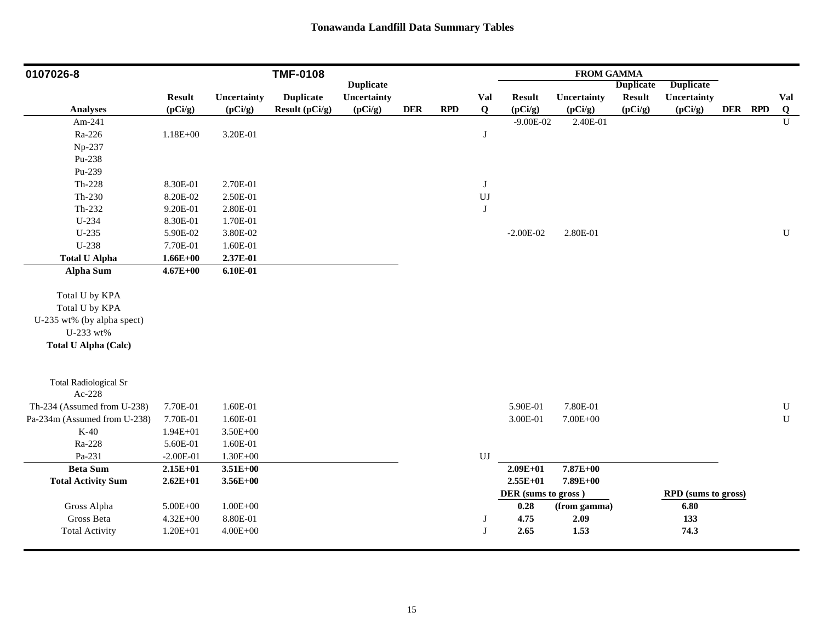| 0107026-8                              |               |              | <b>TMF-0108</b>  |                  |            |     |                            |                     | <b>FROM GAMMA</b> |                  |                     |         |              |
|----------------------------------------|---------------|--------------|------------------|------------------|------------|-----|----------------------------|---------------------|-------------------|------------------|---------------------|---------|--------------|
|                                        |               |              |                  | <b>Duplicate</b> |            |     |                            |                     |                   | <b>Duplicate</b> | <b>Duplicate</b>    |         |              |
|                                        | <b>Result</b> | Uncertainty  | <b>Duplicate</b> | Uncertainty      |            |     | Val                        | <b>Result</b>       | Uncertainty       | <b>Result</b>    | Uncertainty         |         | Val          |
| <b>Analyses</b>                        | (pCi/g)       | (pCi/g)      | Result (pCi/g)   | (pCi/g)          | <b>DER</b> | RPD | Q                          | (pCi/g)             | (pCi/g)           | (pCi/g)          | (pCi/g)             | DER RPD | Q            |
| Am-241                                 |               |              |                  |                  |            |     |                            | $-9.00E - 02$       | 2.40E-01          |                  |                     |         | $\mathbf{U}$ |
| Ra-226                                 | $1.18E + 00$  | 3.20E-01     |                  |                  |            |     | J                          |                     |                   |                  |                     |         |              |
| Np-237                                 |               |              |                  |                  |            |     |                            |                     |                   |                  |                     |         |              |
| Pu-238                                 |               |              |                  |                  |            |     |                            |                     |                   |                  |                     |         |              |
| Pu-239                                 |               |              |                  |                  |            |     |                            |                     |                   |                  |                     |         |              |
| $Th-228$                               | 8.30E-01      | 2.70E-01     |                  |                  |            |     | $\bf J$                    |                     |                   |                  |                     |         |              |
| Th-230                                 | 8.20E-02      | 2.50E-01     |                  |                  |            |     | $\mathop{\rm UJ}\nolimits$ |                     |                   |                  |                     |         |              |
| Th-232                                 | 9.20E-01      | 2.80E-01     |                  |                  |            |     | J                          |                     |                   |                  |                     |         |              |
| U-234                                  | 8.30E-01      | 1.70E-01     |                  |                  |            |     |                            |                     |                   |                  |                     |         |              |
| U-235                                  | 5.90E-02      | 3.80E-02     |                  |                  |            |     |                            | $-2.00E-02$         | 2.80E-01          |                  |                     |         | ${\bf U}$    |
| U-238                                  | 7.70E-01      | 1.60E-01     |                  |                  |            |     |                            |                     |                   |                  |                     |         |              |
| <b>Total U Alpha</b>                   | $1.66E + 00$  | 2.37E-01     |                  |                  |            |     |                            |                     |                   |                  |                     |         |              |
| <b>Alpha Sum</b>                       | $4.67E + 00$  | $6.10E-01$   |                  |                  |            |     |                            |                     |                   |                  |                     |         |              |
|                                        |               |              |                  |                  |            |     |                            |                     |                   |                  |                     |         |              |
| Total U by KPA                         |               |              |                  |                  |            |     |                            |                     |                   |                  |                     |         |              |
| Total U by KPA                         |               |              |                  |                  |            |     |                            |                     |                   |                  |                     |         |              |
| U-235 wt% (by alpha spect)             |               |              |                  |                  |            |     |                            |                     |                   |                  |                     |         |              |
| U-233 wt%                              |               |              |                  |                  |            |     |                            |                     |                   |                  |                     |         |              |
| <b>Total U Alpha (Calc)</b>            |               |              |                  |                  |            |     |                            |                     |                   |                  |                     |         |              |
|                                        |               |              |                  |                  |            |     |                            |                     |                   |                  |                     |         |              |
| <b>Total Radiological Sr</b><br>Ac-228 |               |              |                  |                  |            |     |                            |                     |                   |                  |                     |         |              |
| Th-234 (Assumed from U-238)            | 7.70E-01      | 1.60E-01     |                  |                  |            |     |                            | 5.90E-01            | 7.80E-01          |                  |                     |         | ${\bf U}$    |
| Pa-234m (Assumed from U-238)           | 7.70E-01      | 1.60E-01     |                  |                  |            |     |                            | 3.00E-01            | $7.00E + 00$      |                  |                     |         | $\mathbf U$  |
| $K-40$                                 | $1.94E + 01$  | $3.50E + 00$ |                  |                  |            |     |                            |                     |                   |                  |                     |         |              |
| Ra-228                                 | 5.60E-01      | 1.60E-01     |                  |                  |            |     |                            |                     |                   |                  |                     |         |              |
| Pa-231                                 | $-2.00E-01$   | $1.30E + 00$ |                  |                  |            |     | $\mathbf{U}\mathbf{J}$     |                     |                   |                  |                     |         |              |
| <b>Beta Sum</b>                        | $2.15E + 01$  | $3.51E + 00$ |                  |                  |            |     |                            | $2.09E + 01$        | 7.87E+00          |                  |                     |         |              |
|                                        |               |              |                  |                  |            |     |                            | $2.55E+01$          | 7.89E+00          |                  |                     |         |              |
| <b>Total Activity Sum</b>              | $2.62E + 01$  | $3.56E + 00$ |                  |                  |            |     |                            |                     |                   |                  |                     |         |              |
|                                        |               |              |                  |                  |            |     |                            | DER (sums to gross) |                   |                  | RPD (sums to gross) |         |              |
| Gross Alpha<br>Gross Beta              | $5.00E + 00$  | $1.00E + 00$ |                  |                  |            |     |                            | 0.28                | (from gamma)      |                  | 6.80                |         |              |
|                                        | $4.32E + 00$  | 8.80E-01     |                  |                  |            |     | $\bf J$                    | 4.75                | 2.09              |                  | 133                 |         |              |
| <b>Total Activity</b>                  | $1.20E + 01$  | $4.00E + 00$ |                  |                  |            |     | J                          | 2.65                | 1.53              |                  | 74.3                |         |              |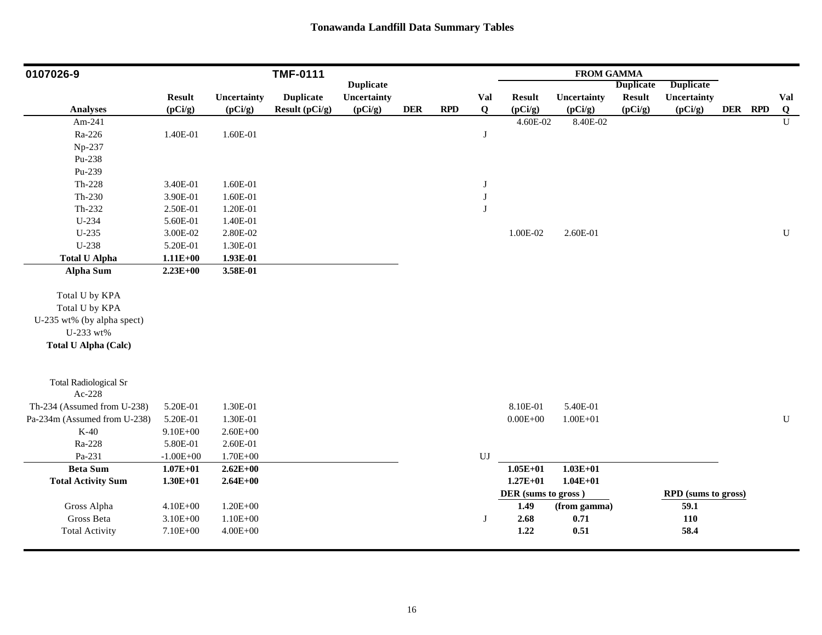| 0107026-9                    |               |              | <b>TMF-0111</b>  |                  |            |            |                        |                     | <b>FROM GAMMA</b> |                  |                     |         |                         |
|------------------------------|---------------|--------------|------------------|------------------|------------|------------|------------------------|---------------------|-------------------|------------------|---------------------|---------|-------------------------|
|                              |               |              |                  | <b>Duplicate</b> |            |            |                        |                     |                   | <b>Duplicate</b> | <b>Duplicate</b>    |         |                         |
|                              | <b>Result</b> | Uncertainty  | <b>Duplicate</b> | Uncertainty      |            |            | Val                    | <b>Result</b>       | Uncertainty       | <b>Result</b>    | Uncertainty         |         | Val                     |
| <b>Analyses</b>              | (pCi/g)       | (pCi/g)      | Result (pCi/g)   | (pCi/g)          | <b>DER</b> | <b>RPD</b> | Q                      | (pCi/g)             | (pCi/g)           | (pCi/g)          | (pCi/g)             | DER RPD | $\overline{\mathbf{Q}}$ |
| Am-241                       |               |              |                  |                  |            |            |                        | 4.60E-02            | 8.40E-02          |                  |                     |         | $\mathbf{U}$            |
| Ra-226                       | 1.40E-01      | 1.60E-01     |                  |                  |            |            | $\mathbf{J}$           |                     |                   |                  |                     |         |                         |
| Np-237                       |               |              |                  |                  |            |            |                        |                     |                   |                  |                     |         |                         |
| Pu-238                       |               |              |                  |                  |            |            |                        |                     |                   |                  |                     |         |                         |
| Pu-239                       |               |              |                  |                  |            |            |                        |                     |                   |                  |                     |         |                         |
| Th-228                       | 3.40E-01      | 1.60E-01     |                  |                  |            |            | $_{\rm J}$             |                     |                   |                  |                     |         |                         |
| $Th-230$                     | 3.90E-01      | 1.60E-01     |                  |                  |            |            | $_{\rm J}$             |                     |                   |                  |                     |         |                         |
| Th-232                       | 2.50E-01      | 1.20E-01     |                  |                  |            |            | $_{\rm J}$             |                     |                   |                  |                     |         |                         |
| U-234                        | 5.60E-01      | 1.40E-01     |                  |                  |            |            |                        |                     |                   |                  |                     |         |                         |
| U-235                        | 3.00E-02      | 2.80E-02     |                  |                  |            |            |                        | 1.00E-02            | 2.60E-01          |                  |                     |         | U                       |
| U-238                        | 5.20E-01      | 1.30E-01     |                  |                  |            |            |                        |                     |                   |                  |                     |         |                         |
| <b>Total U Alpha</b>         | $1.11E+00$    | 1.93E-01     |                  |                  |            |            |                        |                     |                   |                  |                     |         |                         |
| <b>Alpha Sum</b>             | $2.23E+00$    | 3.58E-01     |                  |                  |            |            |                        |                     |                   |                  |                     |         |                         |
|                              |               |              |                  |                  |            |            |                        |                     |                   |                  |                     |         |                         |
| Total U by KPA               |               |              |                  |                  |            |            |                        |                     |                   |                  |                     |         |                         |
| Total U by KPA               |               |              |                  |                  |            |            |                        |                     |                   |                  |                     |         |                         |
| U-235 wt% (by alpha spect)   |               |              |                  |                  |            |            |                        |                     |                   |                  |                     |         |                         |
| U-233 wt%                    |               |              |                  |                  |            |            |                        |                     |                   |                  |                     |         |                         |
| <b>Total U Alpha (Calc)</b>  |               |              |                  |                  |            |            |                        |                     |                   |                  |                     |         |                         |
| <b>Total Radiological Sr</b> |               |              |                  |                  |            |            |                        |                     |                   |                  |                     |         |                         |
| Ac-228                       |               |              |                  |                  |            |            |                        |                     |                   |                  |                     |         |                         |
| Th-234 (Assumed from U-238)  | 5.20E-01      | 1.30E-01     |                  |                  |            |            |                        | 8.10E-01            | 5.40E-01          |                  |                     |         |                         |
| Pa-234m (Assumed from U-238) | 5.20E-01      | 1.30E-01     |                  |                  |            |            |                        | $0.00E + 00$        | $1.00E + 01$      |                  |                     |         | ${\bf U}$               |
| $K-40$                       | $9.10E + 00$  | $2.60E + 00$ |                  |                  |            |            |                        |                     |                   |                  |                     |         |                         |
| Ra-228                       | 5.80E-01      | 2.60E-01     |                  |                  |            |            |                        |                     |                   |                  |                     |         |                         |
| Pa-231                       | $-1.00E + 00$ | 1.70E+00     |                  |                  |            |            | $\mathbf{U}\mathbf{J}$ |                     |                   |                  |                     |         |                         |
| <b>Beta Sum</b>              | $1.07E + 01$  | $2.62E + 00$ |                  |                  |            |            |                        | $1.05E + 01$        | $1.03E + 01$      |                  |                     |         |                         |
| <b>Total Activity Sum</b>    | $1.30E + 01$  | $2.64E + 00$ |                  |                  |            |            |                        | $1.27E + 01$        | $1.04E + 01$      |                  |                     |         |                         |
|                              |               |              |                  |                  |            |            |                        | DER (sums to gross) |                   |                  | RPD (sums to gross) |         |                         |
| Gross Alpha                  | $4.10E + 00$  | $1.20E + 00$ |                  |                  |            |            |                        | 1.49                | (from gamma)      |                  | 59.1                |         |                         |
| Gross Beta                   | $3.10E + 00$  | $1.10E + 00$ |                  |                  |            |            | $\mathbf{J}$           | 2.68                | 0.71              |                  | <b>110</b>          |         |                         |
| <b>Total Activity</b>        | 7.10E+00      | $4.00E + 00$ |                  |                  |            |            |                        | 1.22                | 0.51              |                  | 58.4                |         |                         |
|                              |               |              |                  |                  |            |            |                        |                     |                   |                  |                     |         |                         |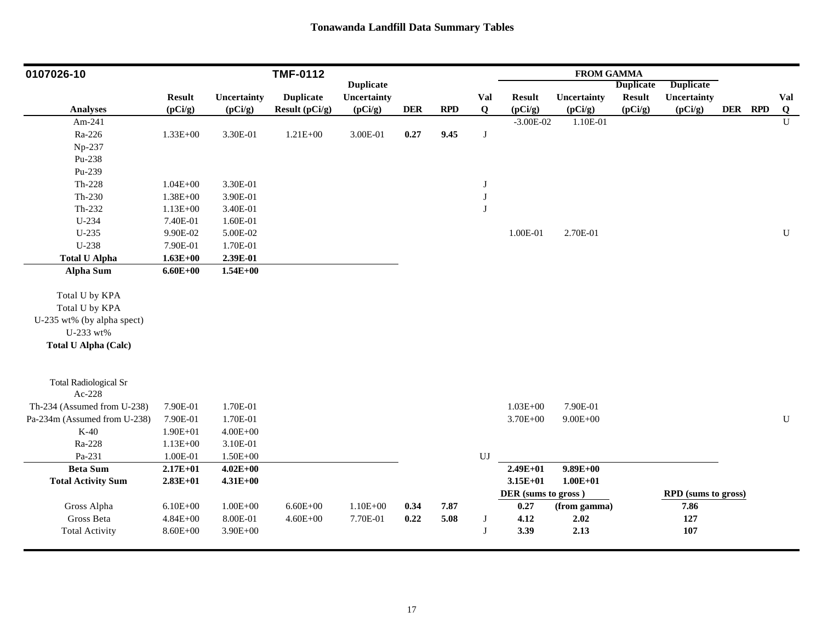| 0107026-10                   |               |              | <b>TMF-0112</b>  |                  |            |      |                        |                     | <b>FROM GAMMA</b> |                  |                            |         |                |
|------------------------------|---------------|--------------|------------------|------------------|------------|------|------------------------|---------------------|-------------------|------------------|----------------------------|---------|----------------|
|                              |               |              |                  | <b>Duplicate</b> |            |      |                        |                     |                   | <b>Duplicate</b> | <b>Duplicate</b>           |         |                |
|                              | <b>Result</b> | Uncertainty  | <b>Duplicate</b> | Uncertainty      |            |      | <b>Val</b>             | <b>Result</b>       | Uncertainty       | <b>Result</b>    | Uncertainty                |         | Val            |
| <b>Analyses</b>              | (pCi/g)       | (pCi/g)      | Result (pCi/g)   | (pCi/g)          | <b>DER</b> | RPD  | Q                      | (pCi/g)             | (pCi/g)           | (pCi/g)          | (pCi/g)                    | DER RPD | Q              |
| Am-241                       |               |              |                  |                  |            |      |                        | $-3.00E-02$         | 1.10E-01          |                  |                            |         | $\overline{U}$ |
| Ra-226                       | $1.33E + 00$  | 3.30E-01     | $1.21E + 00$     | $3.00E-01$       | 0.27       | 9.45 | $\bf J$                |                     |                   |                  |                            |         |                |
| Np-237                       |               |              |                  |                  |            |      |                        |                     |                   |                  |                            |         |                |
| Pu-238                       |               |              |                  |                  |            |      |                        |                     |                   |                  |                            |         |                |
| Pu-239                       |               |              |                  |                  |            |      |                        |                     |                   |                  |                            |         |                |
| $Th-228$                     | $1.04E + 00$  | 3.30E-01     |                  |                  |            |      | $\bf J$                |                     |                   |                  |                            |         |                |
| $Th-230$                     | $1.38E + 00$  | 3.90E-01     |                  |                  |            |      | $\bf J$                |                     |                   |                  |                            |         |                |
| Th-232                       | $1.13E + 00$  | 3.40E-01     |                  |                  |            |      | $\bf J$                |                     |                   |                  |                            |         |                |
| U-234                        | 7.40E-01      | 1.60E-01     |                  |                  |            |      |                        |                     |                   |                  |                            |         |                |
| $U-235$                      | 9.90E-02      | 5.00E-02     |                  |                  |            |      |                        | 1.00E-01            | 2.70E-01          |                  |                            |         | $\mathbf U$    |
| U-238                        | 7.90E-01      | 1.70E-01     |                  |                  |            |      |                        |                     |                   |                  |                            |         |                |
| <b>Total U Alpha</b>         | $1.63E + 00$  | 2.39E-01     |                  |                  |            |      |                        |                     |                   |                  |                            |         |                |
| Alpha Sum                    | $6.60E + 00$  | $1.54E + 00$ |                  |                  |            |      |                        |                     |                   |                  |                            |         |                |
|                              |               |              |                  |                  |            |      |                        |                     |                   |                  |                            |         |                |
| Total U by KPA               |               |              |                  |                  |            |      |                        |                     |                   |                  |                            |         |                |
| Total U by KPA               |               |              |                  |                  |            |      |                        |                     |                   |                  |                            |         |                |
| U-235 wt% (by alpha spect)   |               |              |                  |                  |            |      |                        |                     |                   |                  |                            |         |                |
| U-233 wt%                    |               |              |                  |                  |            |      |                        |                     |                   |                  |                            |         |                |
| <b>Total U Alpha (Calc)</b>  |               |              |                  |                  |            |      |                        |                     |                   |                  |                            |         |                |
|                              |               |              |                  |                  |            |      |                        |                     |                   |                  |                            |         |                |
| <b>Total Radiological Sr</b> |               |              |                  |                  |            |      |                        |                     |                   |                  |                            |         |                |
| Ac-228                       |               |              |                  |                  |            |      |                        |                     |                   |                  |                            |         |                |
| Th-234 (Assumed from U-238)  | 7.90E-01      | 1.70E-01     |                  |                  |            |      |                        | $1.03E + 00$        | 7.90E-01          |                  |                            |         |                |
| Pa-234m (Assumed from U-238) | 7.90E-01      | 1.70E-01     |                  |                  |            |      |                        | 3.70E+00            | $9.00E + 00$      |                  |                            |         | ${\bf U}$      |
| $K-40$                       | 1.90E+01      | $4.00E + 00$ |                  |                  |            |      |                        |                     |                   |                  |                            |         |                |
| Ra-228                       | $1.13E + 00$  | 3.10E-01     |                  |                  |            |      |                        |                     |                   |                  |                            |         |                |
| Pa-231                       | 1.00E-01      | $1.50E + 00$ |                  |                  |            |      | $\mathbf{U}\mathbf{J}$ |                     |                   |                  |                            |         |                |
| <b>Beta Sum</b>              | $2.17E + 01$  | $4.02E + 00$ |                  |                  |            |      |                        | $2.49E + 01$        | $9.89E + 00$      |                  |                            |         |                |
| <b>Total Activity Sum</b>    | $2.83E+01$    | $4.31E + 00$ |                  |                  |            |      |                        | $3.15E + 01$        | $1.00E + 01$      |                  |                            |         |                |
|                              |               |              |                  |                  |            |      |                        | DER (sums to gross) |                   |                  | <b>RPD</b> (sums to gross) |         |                |
| Gross Alpha                  | $6.10E + 00$  | $1.00E + 00$ | $6.60E + 00$     | $1.10E + 00$     | 0.34       | 7.87 |                        | 0.27                | (from gamma)      |                  | 7.86                       |         |                |
| Gross Beta                   | $4.84E + 00$  | 8.00E-01     | $4.60E + 00$     | 7.70E-01         | 0.22       | 5.08 | $\bf J$                | 4.12                | 2.02              |                  | 127                        |         |                |
| <b>Total Activity</b>        | $8.60E + 00$  | $3.90E + 00$ |                  |                  |            |      | $\bf J$                | 3.39                | 2.13              |                  | 107                        |         |                |
|                              |               |              |                  |                  |            |      |                        |                     |                   |                  |                            |         |                |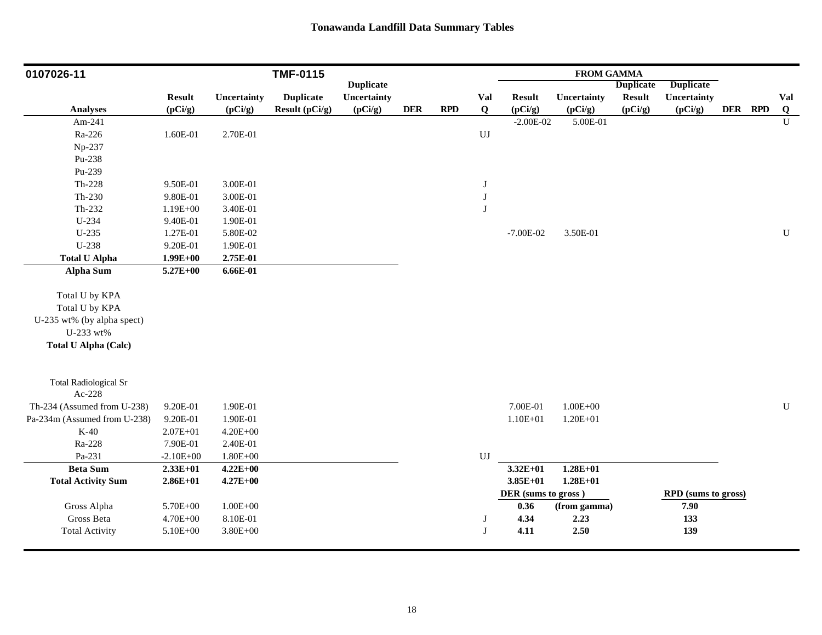| 0107026-11                   |               |              | <b>TMF-0115</b>  |                  |            |     |                        |                     | <b>FROM GAMMA</b> |                  |                     |         |              |
|------------------------------|---------------|--------------|------------------|------------------|------------|-----|------------------------|---------------------|-------------------|------------------|---------------------|---------|--------------|
|                              |               |              |                  | <b>Duplicate</b> |            |     |                        |                     |                   | <b>Duplicate</b> | <b>Duplicate</b>    |         |              |
|                              | <b>Result</b> | Uncertainty  | <b>Duplicate</b> | Uncertainty      |            |     | Val                    | <b>Result</b>       | Uncertainty       | <b>Result</b>    | Uncertainty         |         | Val          |
| Analyses                     | (pCi/g)       | (pCi/g)      | Result (pCi/g)   | (pCi/g)          | <b>DER</b> | RPD | Q                      | (pCi/g)             | (pCi/g)           | (pCi/g)          | (pCi/g)             | DER RPD | Q            |
| Am-241                       |               |              |                  |                  |            |     |                        | $-2.00E-02$         | 5.00E-01          |                  |                     |         | $\mathbf{U}$ |
| Ra-226                       | 1.60E-01      | 2.70E-01     |                  |                  |            |     | $\mathbf{U}\mathbf{J}$ |                     |                   |                  |                     |         |              |
| Np-237                       |               |              |                  |                  |            |     |                        |                     |                   |                  |                     |         |              |
| Pu-238                       |               |              |                  |                  |            |     |                        |                     |                   |                  |                     |         |              |
| Pu-239                       |               |              |                  |                  |            |     |                        |                     |                   |                  |                     |         |              |
| $Th-228$                     | 9.50E-01      | 3.00E-01     |                  |                  |            |     | $\bf J$                |                     |                   |                  |                     |         |              |
| $Th-230$                     | 9.80E-01      | 3.00E-01     |                  |                  |            |     | $\bf J$                |                     |                   |                  |                     |         |              |
| Th-232                       | $1.19E + 00$  | 3.40E-01     |                  |                  |            |     | $\bf J$                |                     |                   |                  |                     |         |              |
| U-234                        | 9.40E-01      | 1.90E-01     |                  |                  |            |     |                        |                     |                   |                  |                     |         |              |
| $U-235$                      | 1.27E-01      | 5.80E-02     |                  |                  |            |     |                        | $-7.00E-02$         | 3.50E-01          |                  |                     |         | $\mathbf U$  |
| U-238                        | 9.20E-01      | 1.90E-01     |                  |                  |            |     |                        |                     |                   |                  |                     |         |              |
| <b>Total U Alpha</b>         | $1.99E + 00$  | 2.75E-01     |                  |                  |            |     |                        |                     |                   |                  |                     |         |              |
| Alpha Sum                    | 5.27E+00      | $6.66E-01$   |                  |                  |            |     |                        |                     |                   |                  |                     |         |              |
| Total U by KPA               |               |              |                  |                  |            |     |                        |                     |                   |                  |                     |         |              |
| Total U by KPA               |               |              |                  |                  |            |     |                        |                     |                   |                  |                     |         |              |
| U-235 wt% (by alpha spect)   |               |              |                  |                  |            |     |                        |                     |                   |                  |                     |         |              |
| U-233 wt%                    |               |              |                  |                  |            |     |                        |                     |                   |                  |                     |         |              |
| <b>Total U Alpha (Calc)</b>  |               |              |                  |                  |            |     |                        |                     |                   |                  |                     |         |              |
|                              |               |              |                  |                  |            |     |                        |                     |                   |                  |                     |         |              |
| <b>Total Radiological Sr</b> |               |              |                  |                  |            |     |                        |                     |                   |                  |                     |         |              |
| Ac-228                       |               |              |                  |                  |            |     |                        |                     |                   |                  |                     |         |              |
| Th-234 (Assumed from U-238)  | 9.20E-01      | 1.90E-01     |                  |                  |            |     |                        | 7.00E-01            | $1.00E + 00$      |                  |                     |         | ${\bf U}$    |
| Pa-234m (Assumed from U-238) | 9.20E-01      | 1.90E-01     |                  |                  |            |     |                        | $1.10E + 01$        | $1.20E + 01$      |                  |                     |         |              |
| $K-40$                       | $2.07E + 01$  | $4.20E + 00$ |                  |                  |            |     |                        |                     |                   |                  |                     |         |              |
| Ra-228                       | 7.90E-01      | 2.40E-01     |                  |                  |            |     |                        |                     |                   |                  |                     |         |              |
| Pa-231                       | $-2.10E + 00$ | $1.80E + 00$ |                  |                  |            |     | $\mathbf{U}\mathbf{J}$ |                     |                   |                  |                     |         |              |
| <b>Beta Sum</b>              | $2.33E+01$    | $4.22E + 00$ |                  |                  |            |     |                        | $3.32E + 01$        | $1.28E + 01$      |                  |                     |         |              |
| <b>Total Activity Sum</b>    | $2.86E+01$    | $4.27E + 00$ |                  |                  |            |     |                        | $3.85E+01$          | $1.28E + 01$      |                  |                     |         |              |
|                              |               |              |                  |                  |            |     |                        | DER (sums to gross) |                   |                  | RPD (sums to gross) |         |              |
| Gross Alpha                  | 5.70E+00      | $1.00E + 00$ |                  |                  |            |     |                        | 0.36                | (from gamma)      |                  | 7.90                |         |              |
| Gross Beta                   | 4.70E+00      | 8.10E-01     |                  |                  |            |     | $\mathbf{J}$           | 4.34                | 2.23              |                  | 133                 |         |              |
| <b>Total Activity</b>        | 5.10E+00      | $3.80E + 00$ |                  |                  |            |     | J                      | 4.11                | 2.50              |                  | 139                 |         |              |
|                              |               |              |                  |                  |            |     |                        |                     |                   |                  |                     |         |              |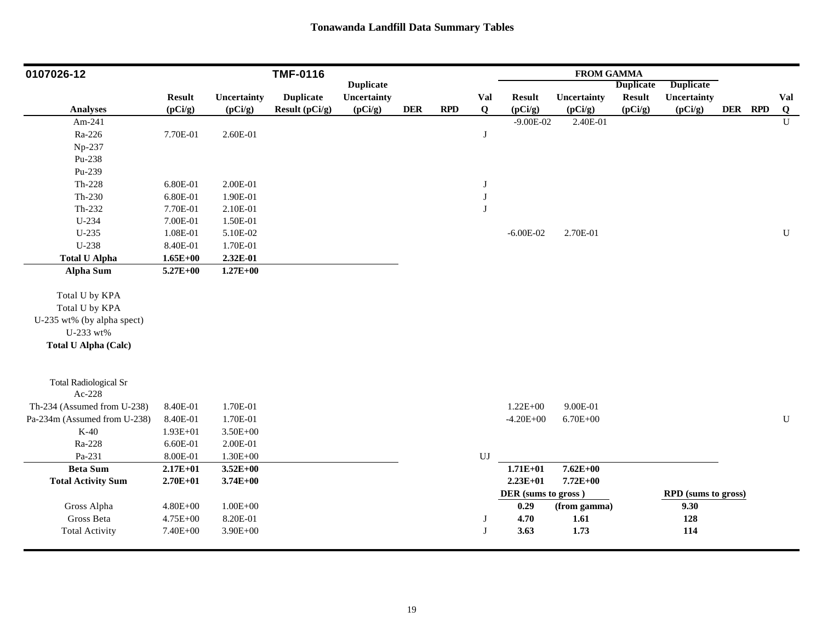| 0107026-12                   |               |              | <b>TMF-0116</b>  |                  |            |            |                        |                     | <b>FROM GAMMA</b> |                  |                     |         |                         |
|------------------------------|---------------|--------------|------------------|------------------|------------|------------|------------------------|---------------------|-------------------|------------------|---------------------|---------|-------------------------|
|                              |               |              |                  | <b>Duplicate</b> |            |            |                        |                     |                   | <b>Duplicate</b> | <b>Duplicate</b>    |         |                         |
|                              | <b>Result</b> | Uncertainty  | <b>Duplicate</b> | Uncertainty      |            |            | Val                    | <b>Result</b>       | Uncertainty       | <b>Result</b>    | Uncertainty         |         | Val                     |
| <b>Analyses</b>              | (pCi/g)       | (pCi/g)      | Result (pCi/g)   | (pCi/g)          | <b>DER</b> | <b>RPD</b> | Q                      | (pCi/g)             | (pCi/g)           | (pCi/g)          | (pCi/g)             | DER RPD | $\overline{\mathbf{Q}}$ |
| Am-241                       |               |              |                  |                  |            |            |                        | $-9.00E - 02$       | 2.40E-01          |                  |                     |         | $\overline{U}$          |
| Ra-226                       | 7.70E-01      | 2.60E-01     |                  |                  |            |            | $\mathbf{J}$           |                     |                   |                  |                     |         |                         |
| Np-237                       |               |              |                  |                  |            |            |                        |                     |                   |                  |                     |         |                         |
| Pu-238                       |               |              |                  |                  |            |            |                        |                     |                   |                  |                     |         |                         |
| Pu-239                       |               |              |                  |                  |            |            |                        |                     |                   |                  |                     |         |                         |
| $Th-228$                     | 6.80E-01      | 2.00E-01     |                  |                  |            |            | J                      |                     |                   |                  |                     |         |                         |
| $Th-230$                     | 6.80E-01      | 1.90E-01     |                  |                  |            |            | J                      |                     |                   |                  |                     |         |                         |
| Th-232                       | 7.70E-01      | 2.10E-01     |                  |                  |            |            | J                      |                     |                   |                  |                     |         |                         |
| U-234                        | 7.00E-01      | 1.50E-01     |                  |                  |            |            |                        |                     |                   |                  |                     |         |                         |
| U-235                        | 1.08E-01      | 5.10E-02     |                  |                  |            |            |                        | $-6.00E-02$         | 2.70E-01          |                  |                     |         | U                       |
| U-238                        | 8.40E-01      | 1.70E-01     |                  |                  |            |            |                        |                     |                   |                  |                     |         |                         |
| <b>Total U Alpha</b>         | $1.65E + 00$  | 2.32E-01     |                  |                  |            |            |                        |                     |                   |                  |                     |         |                         |
| <b>Alpha Sum</b>             | $5.27E + 00$  | $1.27E + 00$ |                  |                  |            |            |                        |                     |                   |                  |                     |         |                         |
| Total U by KPA               |               |              |                  |                  |            |            |                        |                     |                   |                  |                     |         |                         |
| Total U by KPA               |               |              |                  |                  |            |            |                        |                     |                   |                  |                     |         |                         |
| U-235 wt% (by alpha spect)   |               |              |                  |                  |            |            |                        |                     |                   |                  |                     |         |                         |
| U-233 wt%                    |               |              |                  |                  |            |            |                        |                     |                   |                  |                     |         |                         |
| <b>Total U Alpha (Calc)</b>  |               |              |                  |                  |            |            |                        |                     |                   |                  |                     |         |                         |
|                              |               |              |                  |                  |            |            |                        |                     |                   |                  |                     |         |                         |
| <b>Total Radiological Sr</b> |               |              |                  |                  |            |            |                        |                     |                   |                  |                     |         |                         |
| Ac-228                       |               |              |                  |                  |            |            |                        |                     |                   |                  |                     |         |                         |
| Th-234 (Assumed from U-238)  | 8.40E-01      | 1.70E-01     |                  |                  |            |            |                        | $1.22E + 00$        | 9.00E-01          |                  |                     |         |                         |
| Pa-234m (Assumed from U-238) | 8.40E-01      | 1.70E-01     |                  |                  |            |            |                        | $-4.20E + 00$       | $6.70E + 00$      |                  |                     |         | $\mathbf U$             |
| $K-40$                       | $1.93E + 01$  | $3.50E + 00$ |                  |                  |            |            |                        |                     |                   |                  |                     |         |                         |
| Ra-228                       | 6.60E-01      | 2.00E-01     |                  |                  |            |            |                        |                     |                   |                  |                     |         |                         |
| Pa-231                       | 8.00E-01      | $1.30E + 00$ |                  |                  |            |            | $\mathbf{U}\mathbf{J}$ |                     |                   |                  |                     |         |                         |
| <b>Beta Sum</b>              | $2.17E + 01$  | $3.52E + 00$ |                  |                  |            |            |                        | $1.71E + 01$        | $7.62E + 00$      |                  |                     |         |                         |
| <b>Total Activity Sum</b>    | $2.70E + 01$  | $3.74E + 00$ |                  |                  |            |            |                        | $2.23E+01$          | 7.72E+00          |                  |                     |         |                         |
|                              |               |              |                  |                  |            |            |                        | DER (sums to gross) |                   |                  | RPD (sums to gross) |         |                         |
| Gross Alpha                  | $4.80E + 00$  | $1.00E + 00$ |                  |                  |            |            |                        | 0.29                | (from gamma)      |                  | 9.30                |         |                         |
| Gross Beta                   | 4.75E+00      | 8.20E-01     |                  |                  |            |            | J                      | 4.70                | 1.61              |                  | 128                 |         |                         |
| <b>Total Activity</b>        | 7.40E+00      | $3.90E + 00$ |                  |                  |            |            | J                      | 3.63                | 1.73              |                  | 114                 |         |                         |
|                              |               |              |                  |                  |            |            |                        |                     |                   |                  |                     |         |                         |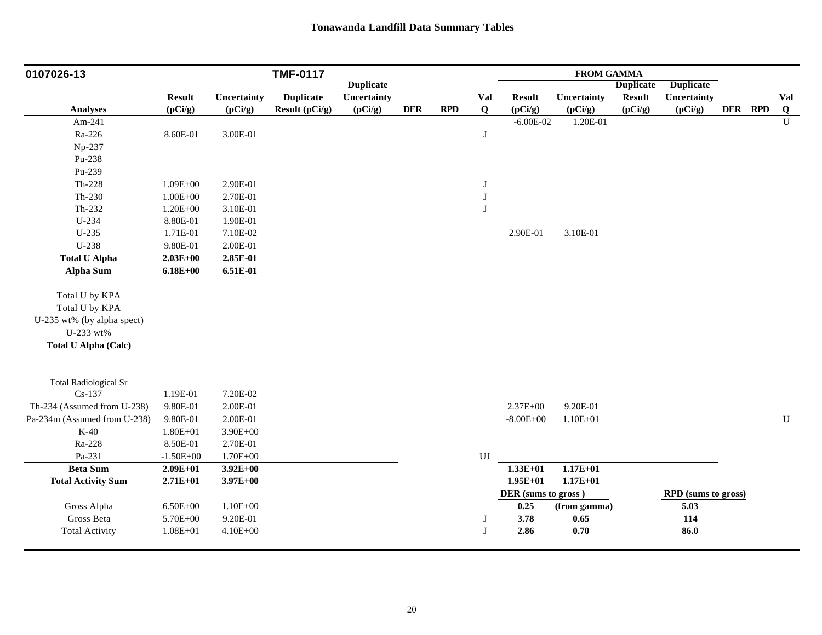| 0107026-13                   |               |              | <b>TMF-0117</b>  |                  |            |            |              |                     | <b>FROM GAMMA</b> |                  |                     |         |                |
|------------------------------|---------------|--------------|------------------|------------------|------------|------------|--------------|---------------------|-------------------|------------------|---------------------|---------|----------------|
|                              |               |              |                  | <b>Duplicate</b> |            |            |              |                     |                   | <b>Duplicate</b> | <b>Duplicate</b>    |         |                |
|                              | <b>Result</b> | Uncertainty  | <b>Duplicate</b> | Uncertainty      |            |            | Val          | <b>Result</b>       | Uncertainty       | <b>Result</b>    | Uncertainty         |         | Val            |
| <b>Analyses</b>              | (pCi/g)       | (pCi/g)      | Result (pCi/g)   | (pCi/g)          | <b>DER</b> | <b>RPD</b> | Q            | (pCi/g)             | (pCi/g)           | (pCi/g)          | (pCi/g)             | DER RPD | $\overline{Q}$ |
| Am-241                       |               |              |                  |                  |            |            |              | $-6.00E-02$         | 1.20E-01          |                  |                     |         | $\mathbf U$    |
| Ra-226                       | 8.60E-01      | 3.00E-01     |                  |                  |            |            | $\mathbf{J}$ |                     |                   |                  |                     |         |                |
| Np-237                       |               |              |                  |                  |            |            |              |                     |                   |                  |                     |         |                |
| Pu-238                       |               |              |                  |                  |            |            |              |                     |                   |                  |                     |         |                |
| Pu-239                       |               |              |                  |                  |            |            |              |                     |                   |                  |                     |         |                |
| Th-228                       | $1.09E + 00$  | 2.90E-01     |                  |                  |            |            | J            |                     |                   |                  |                     |         |                |
| Th-230                       | $1.00E + 00$  | 2.70E-01     |                  |                  |            |            | $\bf J$      |                     |                   |                  |                     |         |                |
| Th-232                       | $1.20E + 00$  | 3.10E-01     |                  |                  |            |            | J            |                     |                   |                  |                     |         |                |
| $U-234$                      | 8.80E-01      | 1.90E-01     |                  |                  |            |            |              |                     |                   |                  |                     |         |                |
| U-235                        | 1.71E-01      | 7.10E-02     |                  |                  |            |            |              | 2.90E-01            | 3.10E-01          |                  |                     |         |                |
| U-238                        | 9.80E-01      | 2.00E-01     |                  |                  |            |            |              |                     |                   |                  |                     |         |                |
| <b>Total U Alpha</b>         | $2.03E+00$    | 2.85E-01     |                  |                  |            |            |              |                     |                   |                  |                     |         |                |
| <b>Alpha Sum</b>             | $6.18E + 00$  | 6.51E-01     |                  |                  |            |            |              |                     |                   |                  |                     |         |                |
|                              |               |              |                  |                  |            |            |              |                     |                   |                  |                     |         |                |
| Total U by KPA               |               |              |                  |                  |            |            |              |                     |                   |                  |                     |         |                |
| Total U by KPA               |               |              |                  |                  |            |            |              |                     |                   |                  |                     |         |                |
| U-235 wt% (by alpha spect)   |               |              |                  |                  |            |            |              |                     |                   |                  |                     |         |                |
| U-233 wt%                    |               |              |                  |                  |            |            |              |                     |                   |                  |                     |         |                |
| <b>Total U Alpha (Calc)</b>  |               |              |                  |                  |            |            |              |                     |                   |                  |                     |         |                |
|                              |               |              |                  |                  |            |            |              |                     |                   |                  |                     |         |                |
|                              |               |              |                  |                  |            |            |              |                     |                   |                  |                     |         |                |
| <b>Total Radiological Sr</b> |               |              |                  |                  |            |            |              |                     |                   |                  |                     |         |                |
| $Cs-137$                     | 1.19E-01      | 7.20E-02     |                  |                  |            |            |              |                     |                   |                  |                     |         |                |
| Th-234 (Assumed from U-238)  | 9.80E-01      | 2.00E-01     |                  |                  |            |            |              | $2.37E + 00$        | 9.20E-01          |                  |                     |         |                |
| Pa-234m (Assumed from U-238) | 9.80E-01      | 2.00E-01     |                  |                  |            |            |              | $-8.00E + 00$       | $1.10E + 01$      |                  |                     |         | ${\bf U}$      |
| $K-40$                       | $1.80E + 01$  | $3.90E + 00$ |                  |                  |            |            |              |                     |                   |                  |                     |         |                |
| Ra-228                       | 8.50E-01      | 2.70E-01     |                  |                  |            |            |              |                     |                   |                  |                     |         |                |
| Pa-231                       | $-1.50E + 00$ | $1.70E + 00$ |                  |                  |            |            | UJ           |                     |                   |                  |                     |         |                |
| <b>Beta Sum</b>              | $2.09E + 01$  | $3.92E + 00$ |                  |                  |            |            |              | $1.33E+01$          | $1.17E + 01$      |                  |                     |         |                |
| <b>Total Activity Sum</b>    | $2.71E+01$    | $3.97E + 00$ |                  |                  |            |            |              | $1.95E+01$          | $1.17E + 01$      |                  |                     |         |                |
|                              |               |              |                  |                  |            |            |              | DER (sums to gross) |                   |                  | RPD (sums to gross) |         |                |
| Gross Alpha                  | $6.50E + 00$  | $1.10E + 00$ |                  |                  |            |            |              | 0.25                | (from gamma)      |                  | 5.03                |         |                |
| Gross Beta                   | 5.70E+00      | 9.20E-01     |                  |                  |            |            | J            | 3.78                | 0.65              |                  | 114                 |         |                |
| <b>Total Activity</b>        | $1.08E + 01$  | $4.10E + 00$ |                  |                  |            |            | J            | 2.86                | 0.70              |                  | 86.0                |         |                |
|                              |               |              |                  |                  |            |            |              |                     |                   |                  |                     |         |                |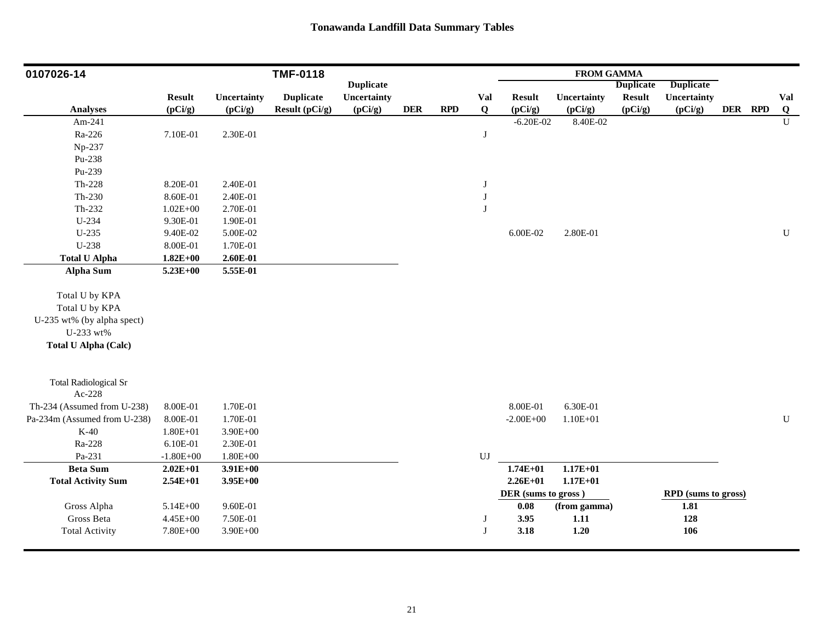| 0107026-14                   |               |              | <b>TMF-0118</b>  |                  |            |     |                  |                     | <b>FROM GAMMA</b> |                  |                     |         |                         |
|------------------------------|---------------|--------------|------------------|------------------|------------|-----|------------------|---------------------|-------------------|------------------|---------------------|---------|-------------------------|
|                              |               |              |                  | <b>Duplicate</b> |            |     |                  |                     |                   | <b>Duplicate</b> | <b>Duplicate</b>    |         |                         |
|                              | <b>Result</b> | Uncertainty  | <b>Duplicate</b> | Uncertainty      |            |     | Val              | <b>Result</b>       | Uncertainty       | <b>Result</b>    | Uncertainty         |         | Val                     |
| <b>Analyses</b>              | (pCi/g)       | (pCi/g)      | Result (pCi/g)   | (pCi/g)          | <b>DER</b> | RPD | Q                | (pCi/g)             | (pCi/g)           | (pCi/g)          | (pCi/g)             | DER RPD | $\overline{\mathbf{Q}}$ |
| Am-241                       |               |              |                  |                  |            |     |                  | $-6.20E - 02$       | 8.40E-02          |                  |                     |         | $\overline{U}$          |
| Ra-226                       | 7.10E-01      | 2.30E-01     |                  |                  |            |     | $\bf J$          |                     |                   |                  |                     |         |                         |
| Np-237                       |               |              |                  |                  |            |     |                  |                     |                   |                  |                     |         |                         |
| Pu-238                       |               |              |                  |                  |            |     |                  |                     |                   |                  |                     |         |                         |
| Pu-239                       |               |              |                  |                  |            |     |                  |                     |                   |                  |                     |         |                         |
| Th-228                       | 8.20E-01      | 2.40E-01     |                  |                  |            |     | $\bf J$          |                     |                   |                  |                     |         |                         |
| Th-230                       | 8.60E-01      | 2.40E-01     |                  |                  |            |     | $\bf J$          |                     |                   |                  |                     |         |                         |
| Th-232                       | $1.02E + 00$  | 2.70E-01     |                  |                  |            |     | J                |                     |                   |                  |                     |         |                         |
| U-234                        | 9.30E-01      | 1.90E-01     |                  |                  |            |     |                  |                     |                   |                  |                     |         |                         |
| $U-235$                      | 9.40E-02      | 5.00E-02     |                  |                  |            |     |                  | 6.00E-02            | 2.80E-01          |                  |                     |         | U                       |
| U-238                        | 8.00E-01      | 1.70E-01     |                  |                  |            |     |                  |                     |                   |                  |                     |         |                         |
| <b>Total U Alpha</b>         | $1.82E + 00$  | $2.60E-01$   |                  |                  |            |     |                  |                     |                   |                  |                     |         |                         |
| <b>Alpha Sum</b>             | $5.23E + 00$  | 5.55E-01     |                  |                  |            |     |                  |                     |                   |                  |                     |         |                         |
| Total U by KPA               |               |              |                  |                  |            |     |                  |                     |                   |                  |                     |         |                         |
| Total U by KPA               |               |              |                  |                  |            |     |                  |                     |                   |                  |                     |         |                         |
| U-235 wt% (by alpha spect)   |               |              |                  |                  |            |     |                  |                     |                   |                  |                     |         |                         |
| U-233 wt%                    |               |              |                  |                  |            |     |                  |                     |                   |                  |                     |         |                         |
| <b>Total U Alpha (Calc)</b>  |               |              |                  |                  |            |     |                  |                     |                   |                  |                     |         |                         |
|                              |               |              |                  |                  |            |     |                  |                     |                   |                  |                     |         |                         |
| <b>Total Radiological Sr</b> |               |              |                  |                  |            |     |                  |                     |                   |                  |                     |         |                         |
| Ac-228                       |               |              |                  |                  |            |     |                  |                     |                   |                  |                     |         |                         |
| Th-234 (Assumed from U-238)  | 8.00E-01      | 1.70E-01     |                  |                  |            |     |                  | 8.00E-01            | 6.30E-01          |                  |                     |         |                         |
| Pa-234m (Assumed from U-238) | 8.00E-01      | 1.70E-01     |                  |                  |            |     |                  | $-2.00E + 00$       | $1.10E + 01$      |                  |                     |         | ${\bf U}$               |
| $K-40$                       | $1.80E + 01$  | $3.90E + 00$ |                  |                  |            |     |                  |                     |                   |                  |                     |         |                         |
| Ra-228                       | 6.10E-01      | 2.30E-01     |                  |                  |            |     |                  |                     |                   |                  |                     |         |                         |
| Pa-231                       | $-1.80E + 00$ | $1.80E + 00$ |                  |                  |            |     | ${\bf U}{\bf J}$ |                     |                   |                  |                     |         |                         |
| <b>Beta Sum</b>              | $2.02E + 01$  | $3.91E+00$   |                  |                  |            |     |                  | $1.74E + 01$        | $1.17E + 01$      |                  |                     |         |                         |
| <b>Total Activity Sum</b>    | $2.54E+01$    | $3.95E+00$   |                  |                  |            |     |                  | $2.26E+01$          | $1.17E + 01$      |                  |                     |         |                         |
|                              |               |              |                  |                  |            |     |                  | DER (sums to gross) |                   |                  | RPD (sums to gross) |         |                         |
| Gross Alpha                  | 5.14E+00      | 9.60E-01     |                  |                  |            |     |                  | $\boldsymbol{0.08}$ | (from gamma)      |                  | 1.81                |         |                         |
| Gross Beta                   | 4.45E+00      | 7.50E-01     |                  |                  |            |     | J                | 3.95                | $1.11$            |                  | 128                 |         |                         |
| <b>Total Activity</b>        | 7.80E+00      | $3.90E + 00$ |                  |                  |            |     | J                | 3.18                | 1.20              |                  | 106                 |         |                         |
|                              |               |              |                  |                  |            |     |                  |                     |                   |                  |                     |         |                         |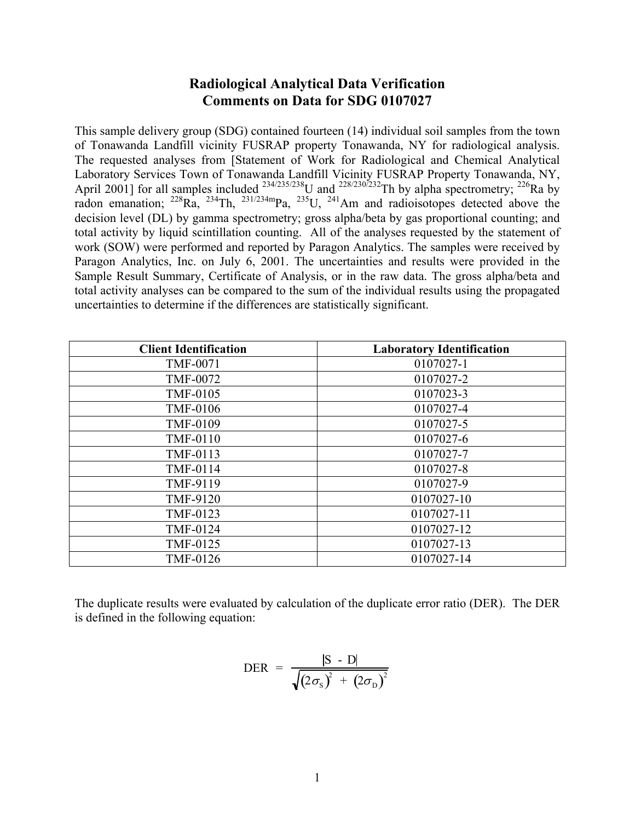# **Radiological Analytical Data Verification Comments on Data for SDG 0107027**

This sample delivery group (SDG) contained fourteen (14) individual soil samples from the town of Tonawanda Landfill vicinity FUSRAP property Tonawanda, NY for radiological analysis. The requested analyses from [Statement of Work for Radiological and Chemical Analytical Laboratory Services Town of Tonawanda Landfill Vicinity FUSRAP Property Tonawanda, NY, April 2001] for all samples included  $^{234/235/238}$ U and  $^{228/230/232}$ Th by alpha spectrometry;  $^{226}$ Ra by radon emanation;  $^{228}Ra$ ,  $^{234}Th$ ,  $^{231/234m}Pa$ ,  $^{235}U$ ,  $^{241}Am$  and radioisotopes detected above the decision level (DL) by gamma spectrometry; gross alpha/beta by gas proportional counting; and total activity by liquid scintillation counting. All of the analyses requested by the statement of work (SOW) were performed and reported by Paragon Analytics. The samples were received by Paragon Analytics, Inc. on July 6, 2001. The uncertainties and results were provided in the Sample Result Summary, Certificate of Analysis, or in the raw data. The gross alpha/beta and total activity analyses can be compared to the sum of the individual results using the propagated uncertainties to determine if the differences are statistically significant.

| <b>Client Identification</b> | <b>Laboratory Identification</b> |
|------------------------------|----------------------------------|
| <b>TMF-0071</b>              | 0107027-1                        |
| <b>TMF-0072</b>              | 0107027-2                        |
| <b>TMF-0105</b>              | 0107023-3                        |
| <b>TMF-0106</b>              | 0107027-4                        |
| <b>TMF-0109</b>              | 0107027-5                        |
| <b>TMF-0110</b>              | 0107027-6                        |
| TMF-0113                     | 0107027-7                        |
| TMF-0114                     | 0107027-8                        |
| TMF-9119                     | 0107027-9                        |
| <b>TMF-9120</b>              | 0107027-10                       |
| TMF-0123                     | 0107027-11                       |
| TMF-0124                     | 0107027-12                       |
| TMF-0125                     | 0107027-13                       |
| TMF-0126                     | 0107027-14                       |

The duplicate results were evaluated by calculation of the duplicate error ratio (DER). The DER is defined in the following equation:

$$
\text{DER} = \frac{|\text{S} - \text{D}|}{\sqrt{(2\sigma_{\text{S}})^{2} + (2\sigma_{\text{D}})^{2}}}
$$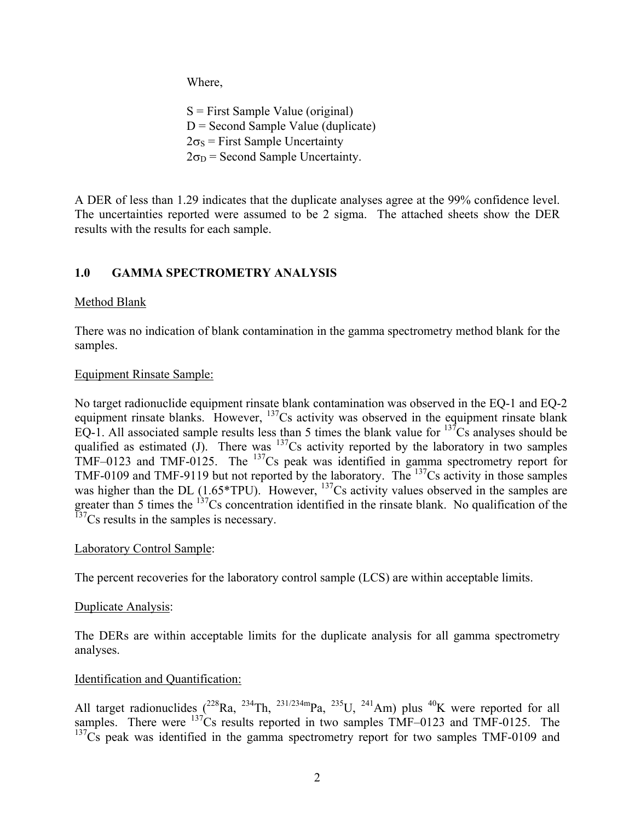Where,

 $S =$  First Sample Value (original)  $D =$  Second Sample Value (duplicate)  $2\sigma_s$  = First Sample Uncertainty  $2\sigma_D$  = Second Sample Uncertainty.

A DER of less than 1.29 indicates that the duplicate analyses agree at the 99% confidence level. The uncertainties reported were assumed to be 2 sigma. The attached sheets show the DER results with the results for each sample.

# **1.0 GAMMA SPECTROMETRY ANALYSIS**

### Method Blank

There was no indication of blank contamination in the gamma spectrometry method blank for the samples.

#### Equipment Rinsate Sample:

No target radionuclide equipment rinsate blank contamination was observed in the EQ-1 and EQ-2 equipment rinsate blanks. However, <sup>137</sup>Cs activity was observed in the equipment rinsate blank EQ-1. All associated sample results less than 5 times the blank value for  $137\overline{\text{Cs}}$  analyses should be qualified as estimated (J). There was  $137Cs$  activity reported by the laboratory in two samples TMF–0123 and TMF-0125. The  $137$ Cs peak was identified in gamma spectrometry report for TMF-0109 and TMF-9119 but not reported by the laboratory. The <sup>137</sup>Cs activity in those samples was higher than the DL (1.65\*TPU). However, <sup>137</sup>Cs activity values observed in the samples are greater than 5 times the <sup>137</sup>Cs concentration identified in the rinsate blank. No qualification of the  $137<sup>237</sup>Cs$  results in the samples is necessary.

#### Laboratory Control Sample:

The percent recoveries for the laboratory control sample (LCS) are within acceptable limits.

### Duplicate Analysis:

The DERs are within acceptable limits for the duplicate analysis for all gamma spectrometry analyses.

### Identification and Quantification:

All target radionuclides  $(^{228}Ra, ^{234}Th, ^{231/234m}Pa, ^{235}U, ^{241}Am)$  plus  $^{40}K$  were reported for all samples. There were  $137$ Cs results reported in two samples TMF-0123 and TMF-0125. The  $137<sub>Cs</sub>$  peak was identified in the gamma spectrometry report for two samples TMF-0109 and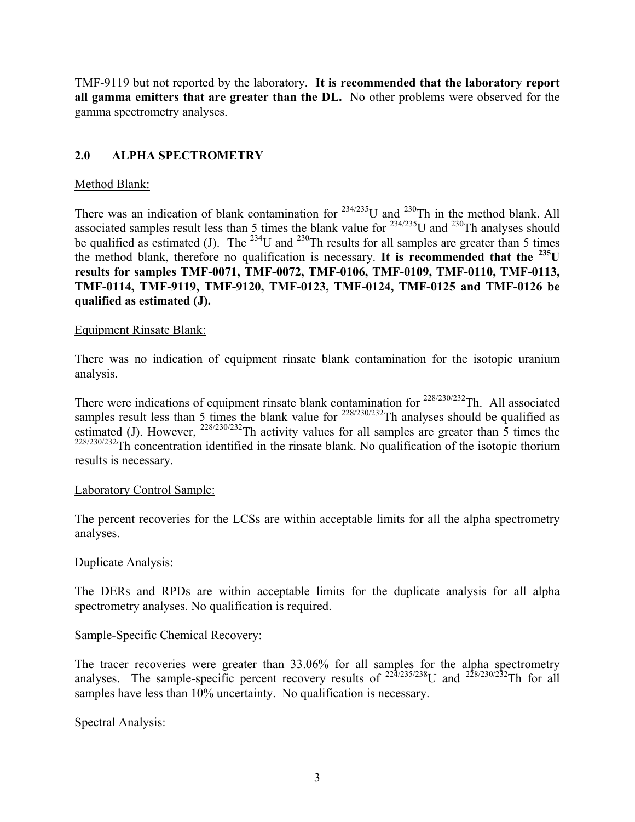TMF-9119 but not reported by the laboratory. **It is recommended that the laboratory report all gamma emitters that are greater than the DL.** No other problems were observed for the gamma spectrometry analyses.

## **2.0 ALPHA SPECTROMETRY**

## Method Blank:

There was an indication of blank contamination for  $234/235$ U and  $230$ Th in the method blank. All associated samples result less than 5 times the blank value for  $^{234/235}$ U and  $^{230}$ Th analyses should be qualified as estimated (J). The <sup>234</sup>U and <sup>230</sup>Th results for all samples are greater than 5 times the method blank, therefore no qualification is necessary. **It is recommended that the 235U results for samples TMF-0071, TMF-0072, TMF-0106, TMF-0109, TMF-0110, TMF-0113, TMF-0114, TMF-9119, TMF-9120, TMF-0123, TMF-0124, TMF-0125 and TMF-0126 be qualified as estimated (J).** 

### Equipment Rinsate Blank:

There was no indication of equipment rinsate blank contamination for the isotopic uranium analysis.

There were indications of equipment rinsate blank contamination for  $228/230/232$ Th. All associated samples result less than 5 times the blank value for  $228/230/232$ Th analyses should be qualified as estimated (J). However,  $^{228/230/232}$ Th activity values for all samples are greater than 5 times the  $228/230/232$ Th concentration identified in the rinsate blank. No qualification of the isotopic thorium results is necessary.

### Laboratory Control Sample:

The percent recoveries for the LCSs are within acceptable limits for all the alpha spectrometry analyses.

### Duplicate Analysis:

The DERs and RPDs are within acceptable limits for the duplicate analysis for all alpha spectrometry analyses. No qualification is required.

### Sample-Specific Chemical Recovery:

The tracer recoveries were greater than 33.06% for all samples for the alpha spectrometry analyses. The sample-specific percent recovery results of  $^{22\frac{1}{2}$ /235/238U and  $^{228/230/232}$ Th for all samples have less than 10% uncertainty. No qualification is necessary.

### Spectral Analysis: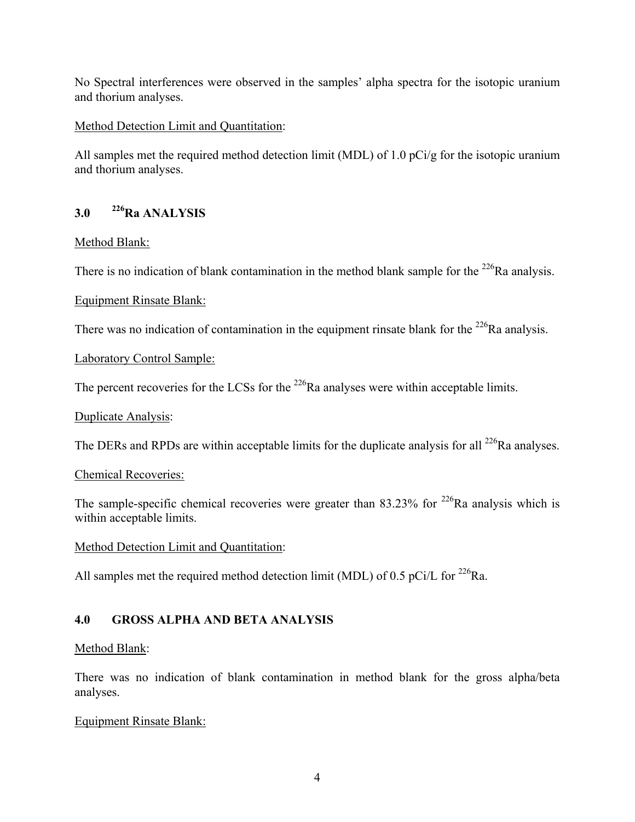No Spectral interferences were observed in the samples' alpha spectra for the isotopic uranium and thorium analyses.

## Method Detection Limit and Quantitation:

All samples met the required method detection limit (MDL) of 1.0 pCi/g for the isotopic uranium and thorium analyses.

# **3.0 226Ra ANALYSIS**

### Method Blank:

There is no indication of blank contamination in the method blank sample for the  $^{226}$ Ra analysis.

### Equipment Rinsate Blank:

There was no indication of contamination in the equipment rinsate blank for the  $^{226}$ Ra analysis.

Laboratory Control Sample:

The percent recoveries for the LCSs for the  $^{226}$ Ra analyses were within acceptable limits.

### Duplicate Analysis:

The DERs and RPDs are within acceptable limits for the duplicate analysis for all  $^{226}$ Ra analyses.

### Chemical Recoveries:

The sample-specific chemical recoveries were greater than  $83.23\%$  for <sup>226</sup>Ra analysis which is within acceptable limits.

Method Detection Limit and Quantitation:

All samples met the required method detection limit (MDL) of 0.5 pCi/L for  $^{226}$ Ra.

# **4.0 GROSS ALPHA AND BETA ANALYSIS**

### Method Blank:

There was no indication of blank contamination in method blank for the gross alpha/beta analyses.

### Equipment Rinsate Blank: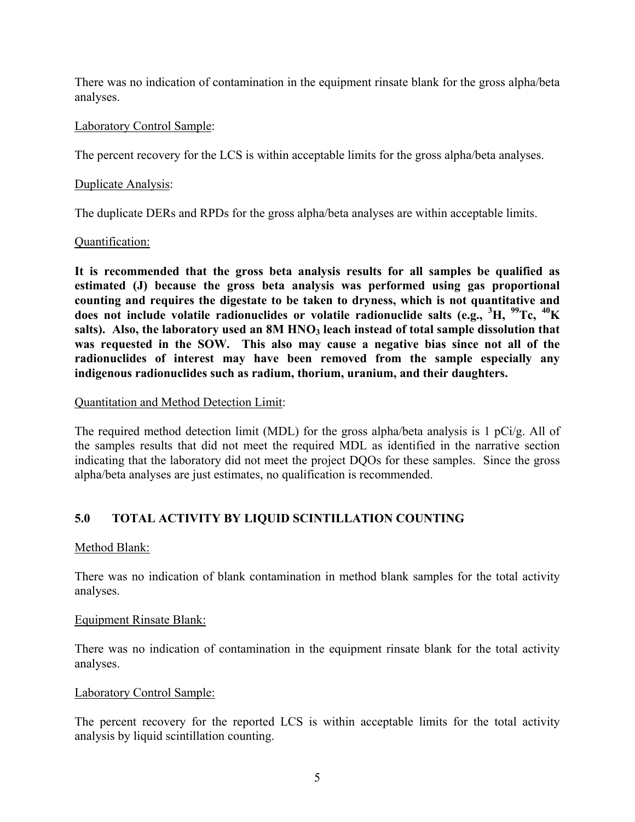There was no indication of contamination in the equipment rinsate blank for the gross alpha/beta analyses.

### Laboratory Control Sample:

The percent recovery for the LCS is within acceptable limits for the gross alpha/beta analyses.

### Duplicate Analysis:

The duplicate DERs and RPDs for the gross alpha/beta analyses are within acceptable limits.

#### Quantification:

**It is recommended that the gross beta analysis results for all samples be qualified as estimated (J) because the gross beta analysis was performed using gas proportional counting and requires the digestate to be taken to dryness, which is not quantitative and does not include volatile radionuclides or volatile radionuclide salts (e.g., <sup>3</sup> H, 99Tc, 40K**  salts). Also, the laboratory used an 8M HNO<sub>3</sub> leach instead of total sample dissolution that **was requested in the SOW. This also may cause a negative bias since not all of the radionuclides of interest may have been removed from the sample especially any indigenous radionuclides such as radium, thorium, uranium, and their daughters.**

#### Quantitation and Method Detection Limit:

The required method detection limit (MDL) for the gross alpha/beta analysis is 1 pCi/g. All of the samples results that did not meet the required MDL as identified in the narrative section indicating that the laboratory did not meet the project DQOs for these samples. Since the gross alpha/beta analyses are just estimates, no qualification is recommended.

# **5.0 TOTAL ACTIVITY BY LIQUID SCINTILLATION COUNTING**

### Method Blank:

There was no indication of blank contamination in method blank samples for the total activity analyses.

### Equipment Rinsate Blank:

There was no indication of contamination in the equipment rinsate blank for the total activity analyses.

### Laboratory Control Sample:

The percent recovery for the reported LCS is within acceptable limits for the total activity analysis by liquid scintillation counting.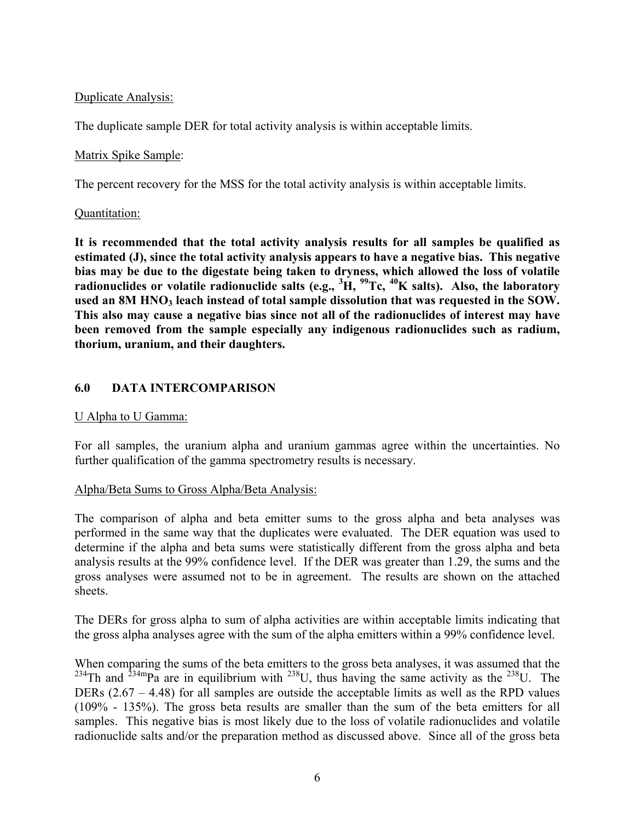# Duplicate Analysis:

The duplicate sample DER for total activity analysis is within acceptable limits.

#### Matrix Spike Sample:

The percent recovery for the MSS for the total activity analysis is within acceptable limits.

#### Quantitation:

**It is recommended that the total activity analysis results for all samples be qualified as estimated (J), since the total activity analysis appears to have a negative bias. This negative bias may be due to the digestate being taken to dryness, which allowed the loss of volatile radionuclides or volatile radionuclide salts (e.g., <sup>3</sup> H, 99Tc, 40K salts). Also, the laboratory**  used an 8M HNO<sub>3</sub> leach instead of total sample dissolution that was requested in the SOW. **This also may cause a negative bias since not all of the radionuclides of interest may have been removed from the sample especially any indigenous radionuclides such as radium, thorium, uranium, and their daughters.**

### **6.0 DATA INTERCOMPARISON**

#### U Alpha to U Gamma:

For all samples, the uranium alpha and uranium gammas agree within the uncertainties. No further qualification of the gamma spectrometry results is necessary.

#### Alpha/Beta Sums to Gross Alpha/Beta Analysis:

The comparison of alpha and beta emitter sums to the gross alpha and beta analyses was performed in the same way that the duplicates were evaluated. The DER equation was used to determine if the alpha and beta sums were statistically different from the gross alpha and beta analysis results at the 99% confidence level. If the DER was greater than 1.29, the sums and the gross analyses were assumed not to be in agreement. The results are shown on the attached sheets.

The DERs for gross alpha to sum of alpha activities are within acceptable limits indicating that the gross alpha analyses agree with the sum of the alpha emitters within a 99% confidence level.

When comparing the sums of the beta emitters to the gross beta analyses, it was assumed that the <sup>234</sup>Th and <sup>234m</sup>Pa are in equilibrium with <sup>238</sup>U, thus having the same activity as the <sup>238</sup>U. The DERs (2.67 – 4.48) for all samples are outside the acceptable limits as well as the RPD values (109% - 135%). The gross beta results are smaller than the sum of the beta emitters for all samples. This negative bias is most likely due to the loss of volatile radionuclides and volatile radionuclide salts and/or the preparation method as discussed above. Since all of the gross beta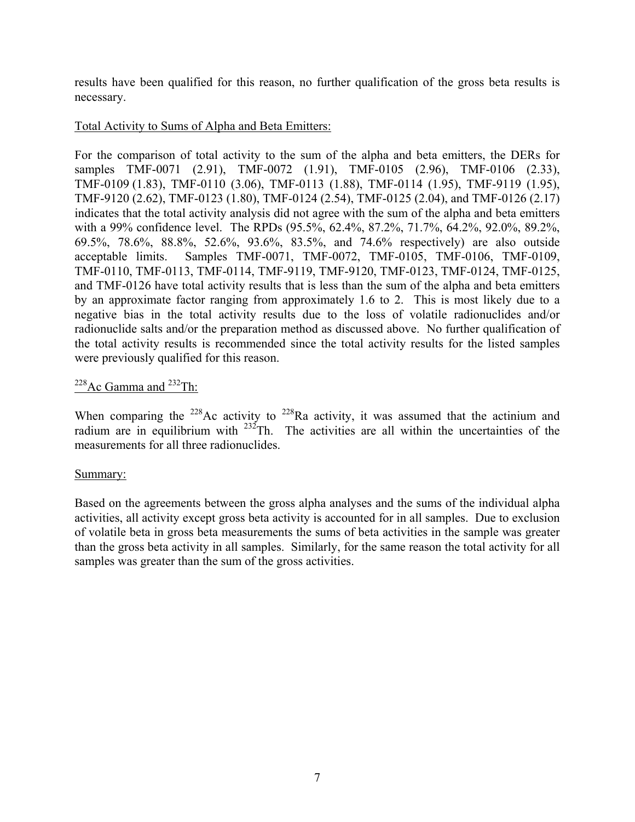results have been qualified for this reason, no further qualification of the gross beta results is necessary.

## Total Activity to Sums of Alpha and Beta Emitters:

For the comparison of total activity to the sum of the alpha and beta emitters, the DERs for samples TMF-0071 (2.91), TMF-0072 (1.91), TMF-0105 (2.96), TMF-0106 (2.33), TMF-0109 (1.83), TMF-0110 (3.06), TMF-0113 (1.88), TMF-0114 (1.95), TMF-9119 (1.95), TMF-9120 (2.62), TMF-0123 (1.80), TMF-0124 (2.54), TMF-0125 (2.04), and TMF-0126 (2.17) indicates that the total activity analysis did not agree with the sum of the alpha and beta emitters with a 99% confidence level. The RPDs (95.5%, 62.4%, 87.2%, 71.7%, 64.2%, 92.0%, 89.2%, 69.5%, 78.6%, 88.8%, 52.6%, 93.6%, 83.5%, and 74.6% respectively) are also outside acceptable limits. Samples TMF-0071, TMF-0072, TMF-0105, TMF-0106, TMF-0109, TMF-0110, TMF-0113, TMF-0114, TMF-9119, TMF-9120, TMF-0123, TMF-0124, TMF-0125, and TMF-0126 have total activity results that is less than the sum of the alpha and beta emitters by an approximate factor ranging from approximately 1.6 to 2. This is most likely due to a negative bias in the total activity results due to the loss of volatile radionuclides and/or radionuclide salts and/or the preparation method as discussed above. No further qualification of the total activity results is recommended since the total activity results for the listed samples were previously qualified for this reason.

# $^{228}$ Ac Gamma and  $^{232}$ Th:

When comparing the  $228$ Ac activity to  $228$ Ra activity, it was assumed that the actinium and radium are in equilibrium with  $232$ Th. The activities are all within the uncertainties of the measurements for all three radionuclides.

### Summary:

Based on the agreements between the gross alpha analyses and the sums of the individual alpha activities, all activity except gross beta activity is accounted for in all samples. Due to exclusion of volatile beta in gross beta measurements the sums of beta activities in the sample was greater than the gross beta activity in all samples. Similarly, for the same reason the total activity for all samples was greater than the sum of the gross activities.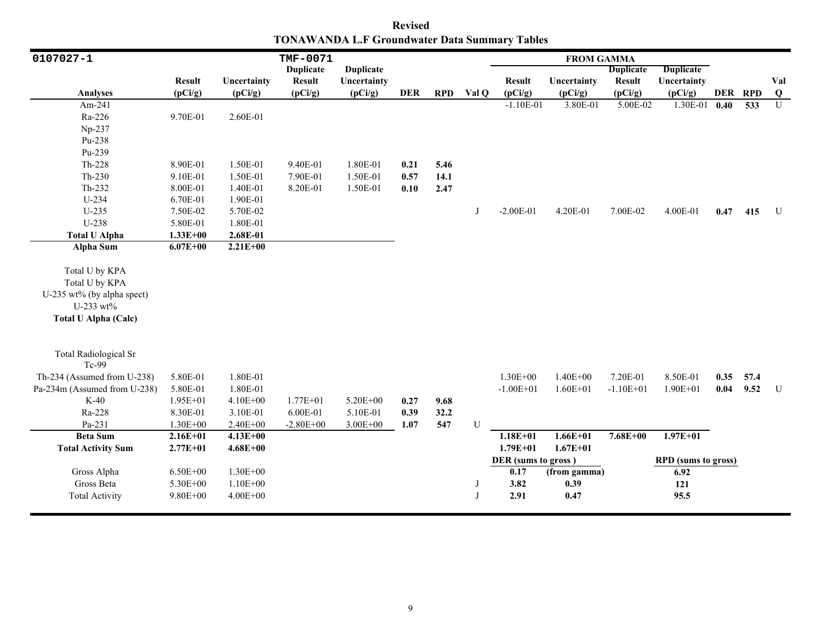**Revised TONAWANDA L.F Groundwater Data Summary Tables**

| 0107027-1                    |               |              | TMF-0071         |                  |            |            |       |                     | <b>FROM GAMMA</b> |                  |                            |      |                  |                |
|------------------------------|---------------|--------------|------------------|------------------|------------|------------|-------|---------------------|-------------------|------------------|----------------------------|------|------------------|----------------|
|                              |               |              | <b>Duplicate</b> | <b>Duplicate</b> |            |            |       |                     |                   | <b>Duplicate</b> | <b>Duplicate</b>           |      |                  |                |
|                              | <b>Result</b> | Uncertainty  | <b>Result</b>    | Uncertainty      |            |            |       | <b>Result</b>       | Uncertainty       | <b>Result</b>    | Uncertainty                |      |                  | Val            |
| <b>Analyses</b>              | (pCi/g)       | (pCi/g)      | (pCi/g)          | (pCi/g)          | <b>DER</b> | <b>RPD</b> | Val Q | (pCi/g)             | (pCi/g)           | (pCi/g)          | (pCi/g)                    |      | DER RPD          | Q              |
| Am-241                       |               |              |                  |                  |            |            |       | $-1.10E-01$         | 3.80E-01          | 5.00E-02         | 1.30E-01                   | 0.40 | $\overline{533}$ | $\overline{U}$ |
| Ra-226                       | 9.70E-01      | 2.60E-01     |                  |                  |            |            |       |                     |                   |                  |                            |      |                  |                |
| Np-237                       |               |              |                  |                  |            |            |       |                     |                   |                  |                            |      |                  |                |
| Pu-238                       |               |              |                  |                  |            |            |       |                     |                   |                  |                            |      |                  |                |
| Pu-239                       |               |              |                  |                  |            |            |       |                     |                   |                  |                            |      |                  |                |
| Th-228                       | 8.90E-01      | 1.50E-01     | 9.40E-01         | 1.80E-01         | 0.21       | 5.46       |       |                     |                   |                  |                            |      |                  |                |
| $Th-230$                     | 9.10E-01      | 1.50E-01     | 7.90E-01         | 1.50E-01         | 0.57       | 14.1       |       |                     |                   |                  |                            |      |                  |                |
| Th-232                       | 8.00E-01      | 1.40E-01     | 8.20E-01         | 1.50E-01         | 0.10       | 2.47       |       |                     |                   |                  |                            |      |                  |                |
| U-234                        | 6.70E-01      | 1.90E-01     |                  |                  |            |            |       |                     |                   |                  |                            |      |                  |                |
| $U-235$                      | 7.50E-02      | 5.70E-02     |                  |                  |            |            | J     | $-2.00E-01$         | 4.20E-01          | 7.00E-02         | 4.00E-01                   | 0.47 | 415              | U              |
| U-238                        | 5.80E-01      | 1.80E-01     |                  |                  |            |            |       |                     |                   |                  |                            |      |                  |                |
| <b>Total U Alpha</b>         | $1.33E + 00$  | 2.68E-01     |                  |                  |            |            |       |                     |                   |                  |                            |      |                  |                |
| <b>Alpha Sum</b>             | $6.07E + 00$  | $2.21E+00$   |                  |                  |            |            |       |                     |                   |                  |                            |      |                  |                |
|                              |               |              |                  |                  |            |            |       |                     |                   |                  |                            |      |                  |                |
| Total U by KPA               |               |              |                  |                  |            |            |       |                     |                   |                  |                            |      |                  |                |
| Total U by KPA               |               |              |                  |                  |            |            |       |                     |                   |                  |                            |      |                  |                |
| U-235 wt% (by alpha spect)   |               |              |                  |                  |            |            |       |                     |                   |                  |                            |      |                  |                |
| U-233 wt%                    |               |              |                  |                  |            |            |       |                     |                   |                  |                            |      |                  |                |
| <b>Total U Alpha (Calc)</b>  |               |              |                  |                  |            |            |       |                     |                   |                  |                            |      |                  |                |
|                              |               |              |                  |                  |            |            |       |                     |                   |                  |                            |      |                  |                |
| <b>Total Radiological Sr</b> |               |              |                  |                  |            |            |       |                     |                   |                  |                            |      |                  |                |
| Tc-99                        |               |              |                  |                  |            |            |       |                     |                   |                  |                            |      |                  |                |
| Th-234 (Assumed from U-238)  | 5.80E-01      | 1.80E-01     |                  |                  |            |            |       | $1.30E + 00$        | $1.40E + 00$      | 7.20E-01         | 8.50E-01                   | 0.35 | 57.4             |                |
| Pa-234m (Assumed from U-238) | 5.80E-01      | 1.80E-01     |                  |                  |            |            |       | $-1.00E + 01$       | $1.60E + 01$      | $-1.10E + 01$    | $1.90E + 01$               | 0.04 | 9.52             | U              |
| $K-40$                       | $1.95E + 01$  | $4.10E + 00$ | $1.77E + 01$     | 5.20E+00         | 0.27       | 9.68       |       |                     |                   |                  |                            |      |                  |                |
| Ra-228                       | 8.30E-01      | 3.10E-01     | 6.00E-01         | 5.10E-01         | 0.39       | 32.2       |       |                     |                   |                  |                            |      |                  |                |
| Pa-231                       | $1.30E + 00$  | 2.40E+00     | $-2.80E + 00$    | $3.00E + 00$     | 1.07       | 547        | U     |                     |                   |                  |                            |      |                  |                |
| <b>Beta Sum</b>              | $2.16E + 01$  | $4.13E + 00$ |                  |                  |            |            |       | $1.18E + 01$        | $1.66E + 01$      | $7.68E + 00$     | $1.97E + 01$               |      |                  |                |
| <b>Total Activity Sum</b>    | $2.77E + 01$  | $4.68E + 00$ |                  |                  |            |            |       | $1.79E + 01$        | $1.67E + 01$      |                  |                            |      |                  |                |
|                              |               |              |                  |                  |            |            |       | DER (sums to gross) |                   |                  | <b>RPD</b> (sums to gross) |      |                  |                |
| Gross Alpha                  | $6.50E + 00$  | $1.30E + 00$ |                  |                  |            |            |       | 0.17                | (from gamma)      |                  | 6.92                       |      |                  |                |
| Gross Beta                   | 5.30E+00      | $1.10E + 00$ |                  |                  |            |            | J     | 3.82                | 0.39              |                  | 121                        |      |                  |                |
| <b>Total Activity</b>        | $9.80E + 00$  | $4.00E + 00$ |                  |                  |            |            | J     | 2.91                | 0.47              |                  | 95.5                       |      |                  |                |
|                              |               |              |                  |                  |            |            |       |                     |                   |                  |                            |      |                  |                |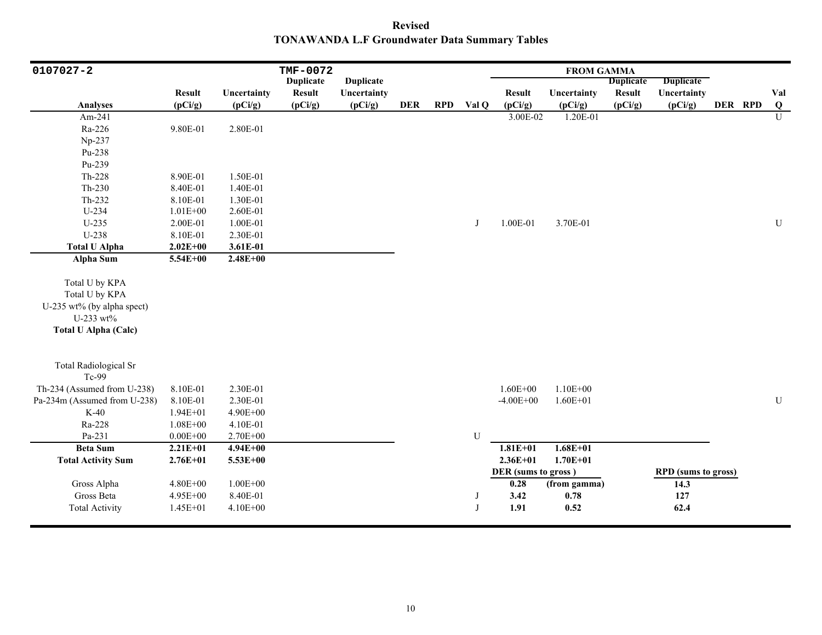**Revised TONAWANDA L.F Groundwater Data Summary Tables**

| 0107027-2                    |               |              | TMF-0072         |                  |            |            |       |                     | <b>FROM GAMMA</b> |                  |                            |         |                |
|------------------------------|---------------|--------------|------------------|------------------|------------|------------|-------|---------------------|-------------------|------------------|----------------------------|---------|----------------|
|                              |               |              | <b>Duplicate</b> | <b>Duplicate</b> |            |            |       |                     |                   | <b>Duplicate</b> | <b>Duplicate</b>           |         |                |
|                              | <b>Result</b> | Uncertainty  | <b>Result</b>    | Uncertainty      |            |            |       | <b>Result</b>       | Uncertainty       | <b>Result</b>    | Uncertainty                |         | Val            |
| <b>Analyses</b>              | (pCi/g)       | (pCi/g)      | (pCi/g)          | (pCi/g)          | <b>DER</b> | <b>RPD</b> | Val Q | (pCi/g)             | (pCi/g)           | (pCi/g)          | (pCi/g)                    | DER RPD | $\bf Q$        |
| Am-241                       |               |              |                  |                  |            |            |       | 3.00E-02            | 1.20E-01          |                  |                            |         | $\overline{U}$ |
| Ra-226                       | 9.80E-01      | 2.80E-01     |                  |                  |            |            |       |                     |                   |                  |                            |         |                |
| Np-237                       |               |              |                  |                  |            |            |       |                     |                   |                  |                            |         |                |
| Pu-238                       |               |              |                  |                  |            |            |       |                     |                   |                  |                            |         |                |
| Pu-239                       |               |              |                  |                  |            |            |       |                     |                   |                  |                            |         |                |
| Th-228                       | 8.90E-01      | 1.50E-01     |                  |                  |            |            |       |                     |                   |                  |                            |         |                |
| $Th-230$                     | 8.40E-01      | 1.40E-01     |                  |                  |            |            |       |                     |                   |                  |                            |         |                |
| Th-232                       | 8.10E-01      | 1.30E-01     |                  |                  |            |            |       |                     |                   |                  |                            |         |                |
| $U-234$                      | $1.01E + 00$  | 2.60E-01     |                  |                  |            |            |       |                     |                   |                  |                            |         |                |
| $U-235$                      | 2.00E-01      | 1.00E-01     |                  |                  |            |            | J     | 1.00E-01            | 3.70E-01          |                  |                            |         | ${\bf U}$      |
| U-238                        | 8.10E-01      | 2.30E-01     |                  |                  |            |            |       |                     |                   |                  |                            |         |                |
| <b>Total U Alpha</b>         | $2.02E + 00$  | 3.61E-01     |                  |                  |            |            |       |                     |                   |                  |                            |         |                |
| <b>Alpha Sum</b>             | 5.54E+00      | $2.48E + 00$ |                  |                  |            |            |       |                     |                   |                  |                            |         |                |
| Total U by KPA               |               |              |                  |                  |            |            |       |                     |                   |                  |                            |         |                |
| Total U by KPA               |               |              |                  |                  |            |            |       |                     |                   |                  |                            |         |                |
| U-235 wt% (by alpha spect)   |               |              |                  |                  |            |            |       |                     |                   |                  |                            |         |                |
| U-233 wt%                    |               |              |                  |                  |            |            |       |                     |                   |                  |                            |         |                |
| <b>Total U Alpha (Calc)</b>  |               |              |                  |                  |            |            |       |                     |                   |                  |                            |         |                |
|                              |               |              |                  |                  |            |            |       |                     |                   |                  |                            |         |                |
| <b>Total Radiological Sr</b> |               |              |                  |                  |            |            |       |                     |                   |                  |                            |         |                |
| Tc-99                        |               |              |                  |                  |            |            |       |                     |                   |                  |                            |         |                |
| Th-234 (Assumed from U-238)  | 8.10E-01      | 2.30E-01     |                  |                  |            |            |       | $1.60E + 00$        | $1.10E + 00$      |                  |                            |         |                |
| Pa-234m (Assumed from U-238) | 8.10E-01      | 2.30E-01     |                  |                  |            |            |       | $-4.00E + 00$       | $1.60E + 01$      |                  |                            |         | ${\bf U}$      |
| $K-40$                       | $1.94E + 01$  | $4.90E + 00$ |                  |                  |            |            |       |                     |                   |                  |                            |         |                |
| Ra-228                       | $1.08E + 00$  | 4.10E-01     |                  |                  |            |            |       |                     |                   |                  |                            |         |                |
| Pa-231                       | $0.00E + 00$  | 2.70E+00     |                  |                  |            |            | U     |                     |                   |                  |                            |         |                |
| <b>Beta Sum</b>              | $2.21E + 01$  | $4.94E + 00$ |                  |                  |            |            |       | $1.81E + 01$        | $1.68E + 01$      |                  |                            |         |                |
| <b>Total Activity Sum</b>    | $2.76E + 01$  | $5.53E + 00$ |                  |                  |            |            |       | $2.36E + 01$        | $1.70E + 01$      |                  |                            |         |                |
|                              |               |              |                  |                  |            |            |       | DER (sums to gross) |                   |                  | <b>RPD</b> (sums to gross) |         |                |
| Gross Alpha                  | 4.80E+00      | $1.00E + 00$ |                  |                  |            |            |       | 0.28                | (from gamma)      |                  | 14.3                       |         |                |
| Gross Beta                   | 4.95E+00      | 8.40E-01     |                  |                  |            |            | J     | 3.42                | 0.78              |                  | 127                        |         |                |
| <b>Total Activity</b>        | $1.45E + 01$  | 4.10E+00     |                  |                  |            |            | J     | 1.91                | 0.52              |                  | 62.4                       |         |                |
|                              |               |              |                  |                  |            |            |       |                     |                   |                  |                            |         |                |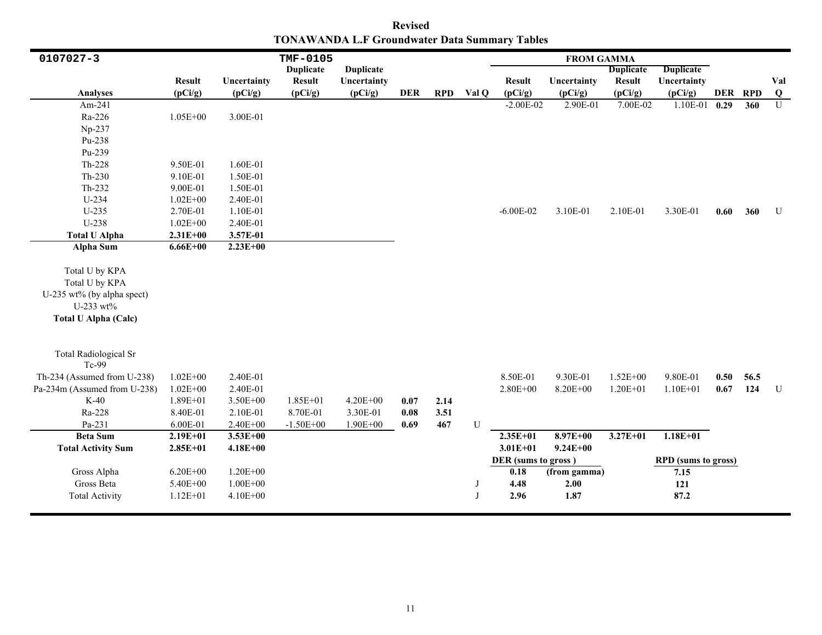**Revised TONAWANDA L.F Groundwater Data Summary Tables**

| 0107027-3                    |               |              | TMF-0105         |                  |            |            |       |                     | <b>FROM GAMMA</b> |                  |                            |         |      |                         |
|------------------------------|---------------|--------------|------------------|------------------|------------|------------|-------|---------------------|-------------------|------------------|----------------------------|---------|------|-------------------------|
|                              |               |              | <b>Duplicate</b> | <b>Duplicate</b> |            |            |       |                     |                   | <b>Duplicate</b> | <b>Duplicate</b>           |         |      |                         |
|                              | <b>Result</b> | Uncertainty  | <b>Result</b>    | Uncertainty      |            |            |       | <b>Result</b>       | Uncertainty       | <b>Result</b>    | Uncertainty                |         |      | Val                     |
| <b>Analyses</b>              | (pCi/g)       | (pCi/g)      | (pCi/g)          | (pCi/g)          | <b>DER</b> | <b>RPD</b> | Val Q | (pCi/g)             | (pCi/g)           | (pCi/g)          | (pCi/g)                    | DER RPD |      | $\overline{\mathbf{Q}}$ |
| Am-241                       |               |              |                  |                  |            |            |       | $-2.00E-02$         | 2.90E-01          | 7.00E-02         | 1.10E-01                   | 0.29    | 360  | $\overline{U}$          |
| Ra-226                       | $1.05E + 00$  | 3.00E-01     |                  |                  |            |            |       |                     |                   |                  |                            |         |      |                         |
| Np-237                       |               |              |                  |                  |            |            |       |                     |                   |                  |                            |         |      |                         |
| Pu-238                       |               |              |                  |                  |            |            |       |                     |                   |                  |                            |         |      |                         |
| Pu-239                       |               |              |                  |                  |            |            |       |                     |                   |                  |                            |         |      |                         |
| Th-228                       | 9.50E-01      | 1.60E-01     |                  |                  |            |            |       |                     |                   |                  |                            |         |      |                         |
| $Th-230$                     | 9.10E-01      | 1.50E-01     |                  |                  |            |            |       |                     |                   |                  |                            |         |      |                         |
| Th-232                       | 9.00E-01      | 1.50E-01     |                  |                  |            |            |       |                     |                   |                  |                            |         |      |                         |
| U-234                        | $1.02E + 00$  | 2.40E-01     |                  |                  |            |            |       |                     |                   |                  |                            |         |      |                         |
| $U-235$                      | 2.70E-01      | 1.10E-01     |                  |                  |            |            |       | $-6.00E - 02$       | 3.10E-01          | 2.10E-01         | 3.30E-01                   | 0.60    | 360  | U                       |
| U-238                        | $1.02E + 00$  | 2.40E-01     |                  |                  |            |            |       |                     |                   |                  |                            |         |      |                         |
| <b>Total U Alpha</b>         | $2.31E+00$    | 3.57E-01     |                  |                  |            |            |       |                     |                   |                  |                            |         |      |                         |
| Alpha Sum                    | $6.66E + 00$  | $2.23E+00$   |                  |                  |            |            |       |                     |                   |                  |                            |         |      |                         |
|                              |               |              |                  |                  |            |            |       |                     |                   |                  |                            |         |      |                         |
| Total U by KPA               |               |              |                  |                  |            |            |       |                     |                   |                  |                            |         |      |                         |
| Total U by KPA               |               |              |                  |                  |            |            |       |                     |                   |                  |                            |         |      |                         |
| U-235 wt% (by alpha spect)   |               |              |                  |                  |            |            |       |                     |                   |                  |                            |         |      |                         |
| $U-233$ wt%                  |               |              |                  |                  |            |            |       |                     |                   |                  |                            |         |      |                         |
| <b>Total U Alpha (Calc)</b>  |               |              |                  |                  |            |            |       |                     |                   |                  |                            |         |      |                         |
|                              |               |              |                  |                  |            |            |       |                     |                   |                  |                            |         |      |                         |
|                              |               |              |                  |                  |            |            |       |                     |                   |                  |                            |         |      |                         |
| <b>Total Radiological Sr</b> |               |              |                  |                  |            |            |       |                     |                   |                  |                            |         |      |                         |
| Tc-99                        |               |              |                  |                  |            |            |       |                     |                   |                  |                            |         |      |                         |
| Th-234 (Assumed from U-238)  | $1.02E + 00$  | 2.40E-01     |                  |                  |            |            |       | 8.50E-01            | 9.30E-01          | $1.52E + 00$     | 9.80E-01                   | 0.50    | 56.5 |                         |
| Pa-234m (Assumed from U-238) | $1.02E + 00$  | 2.40E-01     |                  |                  |            |            |       | $2.80E + 00$        | 8.20E+00          | $1.20E + 01$     | $1.10E + 01$               | 0.67    | 124  | U                       |
| $K-40$                       | 1.89E+01      | $3.50E + 00$ | $1.85E + 01$     | $4.20E + 00$     | 0.07       | 2.14       |       |                     |                   |                  |                            |         |      |                         |
| Ra-228                       | 8.40E-01      | 2.10E-01     | 8.70E-01         | 3.30E-01         | $0.08\,$   | 3.51       |       |                     |                   |                  |                            |         |      |                         |
| Pa-231                       | 6.00E-01      | $2.40E + 00$ | $-1.50E + 00$    | $1.90E + 00$     | 0.69       | 467        | U     |                     |                   |                  |                            |         |      |                         |
| <b>Beta Sum</b>              | $2.19E + 01$  | $3.53E+00$   |                  |                  |            |            |       | $2.35E+01$          | $8.97E + 00$      | $3.27E + 01$     | $1.18E + 01$               |         |      |                         |
| <b>Total Activity Sum</b>    | $2.85E+01$    | $4.18E + 00$ |                  |                  |            |            |       | $3.01E + 01$        | $9.24E + 00$      |                  |                            |         |      |                         |
|                              |               |              |                  |                  |            |            |       | DER (sums to gross) |                   |                  | <b>RPD</b> (sums to gross) |         |      |                         |
| Gross Alpha                  | $6.20E + 00$  | $1.20E + 00$ |                  |                  |            |            |       | 0.18                | (from gamma)      |                  | 7.15                       |         |      |                         |
| Gross Beta                   | 5.40E+00      | $1.00E + 00$ |                  |                  |            |            | J     | 4.48                | 2.00              |                  | 121                        |         |      |                         |
| <b>Total Activity</b>        | $1.12E + 01$  | 4.10E+00     |                  |                  |            |            | J     | 2.96                | 1.87              |                  | 87.2                       |         |      |                         |
|                              |               |              |                  |                  |            |            |       |                     |                   |                  |                            |         |      |                         |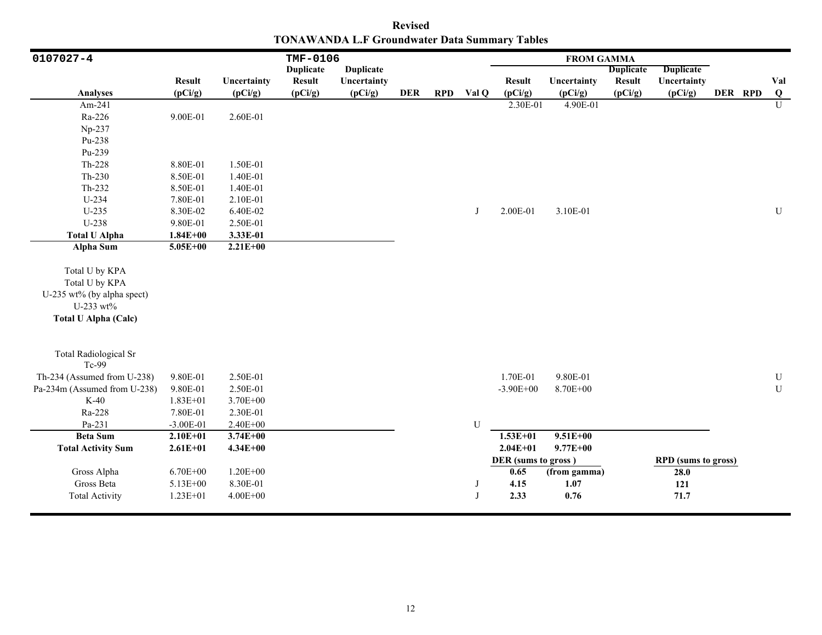**Revised TONAWANDA L.F Groundwater Data Summary Tables**

| 0107027-4                             |               |              | TMF-0106         |                  |            |            |       |                     | <b>FROM GAMMA</b> |                  |                            |         |                |
|---------------------------------------|---------------|--------------|------------------|------------------|------------|------------|-------|---------------------|-------------------|------------------|----------------------------|---------|----------------|
|                                       |               |              | <b>Duplicate</b> | <b>Duplicate</b> |            |            |       |                     |                   | <b>Duplicate</b> | <b>Duplicate</b>           |         |                |
|                                       | <b>Result</b> | Uncertainty  | <b>Result</b>    | Uncertainty      |            |            |       | <b>Result</b>       | Uncertainty       | <b>Result</b>    | Uncertainty                |         | Val            |
| Analyses                              | (pCi/g)       | (pCi/g)      | (pCi/g)          | (pCi/g)          | <b>DER</b> | <b>RPD</b> | Val Q | (pCi/g)             | (pCi/g)           | (pCi/g)          | (pCi/g)                    | DER RPD | Q              |
| Am-241                                |               |              |                  |                  |            |            |       | 2.30E-01            | 4.90E-01          |                  |                            |         | $\overline{U}$ |
| Ra-226                                | 9.00E-01      | 2.60E-01     |                  |                  |            |            |       |                     |                   |                  |                            |         |                |
| Np-237                                |               |              |                  |                  |            |            |       |                     |                   |                  |                            |         |                |
| Pu-238                                |               |              |                  |                  |            |            |       |                     |                   |                  |                            |         |                |
| Pu-239                                |               |              |                  |                  |            |            |       |                     |                   |                  |                            |         |                |
| Th-228                                | 8.80E-01      | 1.50E-01     |                  |                  |            |            |       |                     |                   |                  |                            |         |                |
| $Th-230$                              | 8.50E-01      | 1.40E-01     |                  |                  |            |            |       |                     |                   |                  |                            |         |                |
| Th-232                                | 8.50E-01      | 1.40E-01     |                  |                  |            |            |       |                     |                   |                  |                            |         |                |
| $U-234$                               | 7.80E-01      | 2.10E-01     |                  |                  |            |            |       |                     |                   |                  |                            |         |                |
| $U-235$                               | 8.30E-02      | 6.40E-02     |                  |                  |            |            | J     | 2.00E-01            | 3.10E-01          |                  |                            |         | ${\bf U}$      |
| U-238                                 | 9.80E-01      | 2.50E-01     |                  |                  |            |            |       |                     |                   |                  |                            |         |                |
| <b>Total U Alpha</b>                  | $1.84E + 00$  | 3.33E-01     |                  |                  |            |            |       |                     |                   |                  |                            |         |                |
| <b>Alpha Sum</b>                      | $5.05E + 00$  | $2.21E+00$   |                  |                  |            |            |       |                     |                   |                  |                            |         |                |
| Total U by KPA                        |               |              |                  |                  |            |            |       |                     |                   |                  |                            |         |                |
| Total U by KPA                        |               |              |                  |                  |            |            |       |                     |                   |                  |                            |         |                |
| U-235 wt% (by alpha spect)            |               |              |                  |                  |            |            |       |                     |                   |                  |                            |         |                |
| U-233 wt%                             |               |              |                  |                  |            |            |       |                     |                   |                  |                            |         |                |
|                                       |               |              |                  |                  |            |            |       |                     |                   |                  |                            |         |                |
| <b>Total U Alpha (Calc)</b>           |               |              |                  |                  |            |            |       |                     |                   |                  |                            |         |                |
| <b>Total Radiological Sr</b><br>Tc-99 |               |              |                  |                  |            |            |       |                     |                   |                  |                            |         |                |
| Th-234 (Assumed from U-238)           | 9.80E-01      | 2.50E-01     |                  |                  |            |            |       | 1.70E-01            | 9.80E-01          |                  |                            |         | ${\bf U}$      |
| Pa-234m (Assumed from U-238)          | 9.80E-01      | 2.50E-01     |                  |                  |            |            |       | $-3.90E + 00$       | 8.70E+00          |                  |                            |         | ${\bf U}$      |
| $K-40$                                | $1.83E + 01$  | 3.70E+00     |                  |                  |            |            |       |                     |                   |                  |                            |         |                |
| Ra-228                                | 7.80E-01      | 2.30E-01     |                  |                  |            |            |       |                     |                   |                  |                            |         |                |
| Pa-231                                | $-3.00E-01$   | $2.40E + 00$ |                  |                  |            |            | U     |                     |                   |                  |                            |         |                |
| <b>Beta Sum</b>                       | $2.10E + 01$  | $3.74E + 00$ |                  |                  |            |            |       | $1.53E+01$          | $9.51E + 00$      |                  |                            |         |                |
| <b>Total Activity Sum</b>             | $2.61E + 01$  | $4.34E + 00$ |                  |                  |            |            |       | $2.04E + 01$        | $9.77E + 00$      |                  |                            |         |                |
|                                       |               |              |                  |                  |            |            |       | DER (sums to gross) |                   |                  | <b>RPD</b> (sums to gross) |         |                |
| Gross Alpha                           | $6.70E + 00$  | $1.20E + 00$ |                  |                  |            |            |       | 0.65                | (from gamma)      |                  | 28.0                       |         |                |
| Gross Beta                            | 5.13E+00      | 8.30E-01     |                  |                  |            |            | J     | 4.15                | 1.07              |                  | 121                        |         |                |
| <b>Total Activity</b>                 | $1.23E+01$    | $4.00E + 00$ |                  |                  |            |            | J     | 2.33                | 0.76              |                  | 71.7                       |         |                |
|                                       |               |              |                  |                  |            |            |       |                     |                   |                  |                            |         |                |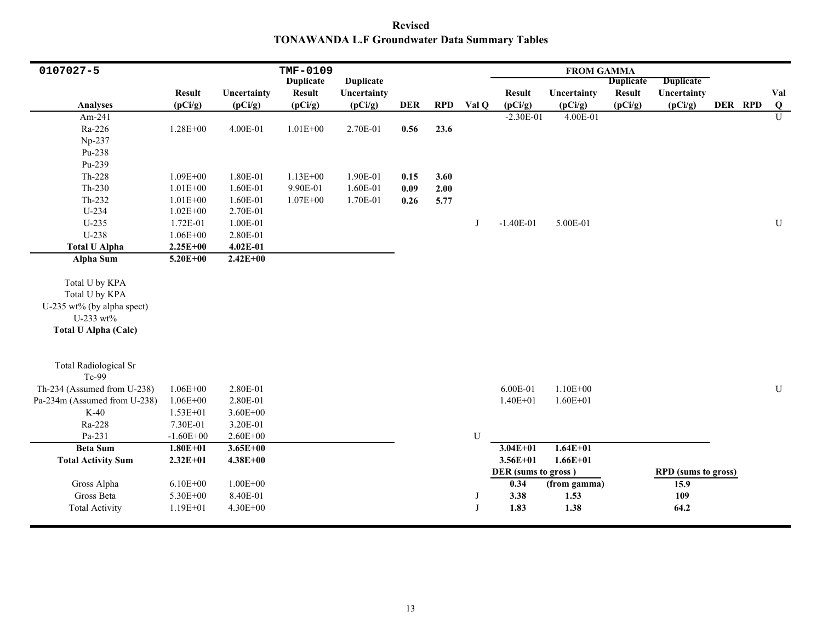**Revised TONAWANDA L.F Groundwater Data Summary Tables**

| 0107027-5                                                                                                  |               |              | TMF-0109         |                  |            |            |       |                     | <b>FROM GAMMA</b> |                  |                            |         |                |
|------------------------------------------------------------------------------------------------------------|---------------|--------------|------------------|------------------|------------|------------|-------|---------------------|-------------------|------------------|----------------------------|---------|----------------|
|                                                                                                            |               |              | <b>Duplicate</b> | <b>Duplicate</b> |            |            |       |                     |                   | <b>Duplicate</b> | <b>Duplicate</b>           |         |                |
|                                                                                                            | <b>Result</b> | Uncertainty  | <b>Result</b>    | Uncertainty      |            |            |       | <b>Result</b>       | Uncertainty       | <b>Result</b>    | Uncertainty                |         | Val            |
| Analyses                                                                                                   | (pCi/g)       | (pCi/g)      | (pCi/g)          | (pCi/g)          | <b>DER</b> | <b>RPD</b> | Val Q | (pCi/g)             | (pCi/g)           | (pCi/g)          | (pCi/g)                    | DER RPD | $\bf{Q}$       |
| Am-241                                                                                                     |               |              |                  |                  |            |            |       | $-2.30E-01$         | 4.00E-01          |                  |                            |         | $\overline{U}$ |
| Ra-226                                                                                                     | $1.28E + 00$  | 4.00E-01     | $1.01E + 00$     | 2.70E-01         | 0.56       | 23.6       |       |                     |                   |                  |                            |         |                |
| Np-237                                                                                                     |               |              |                  |                  |            |            |       |                     |                   |                  |                            |         |                |
| Pu-238                                                                                                     |               |              |                  |                  |            |            |       |                     |                   |                  |                            |         |                |
| Pu-239                                                                                                     |               |              |                  |                  |            |            |       |                     |                   |                  |                            |         |                |
| $Th-228$                                                                                                   | $1.09E + 00$  | 1.80E-01     | $1.13E + 00$     | 1.90E-01         | 0.15       | 3.60       |       |                     |                   |                  |                            |         |                |
| $Th-230$                                                                                                   | $1.01E + 00$  | 1.60E-01     | 9.90E-01         | 1.60E-01         | 0.09       | 2.00       |       |                     |                   |                  |                            |         |                |
| $Th-232$                                                                                                   | $1.01E + 00$  | 1.60E-01     | $1.07E + 00$     | 1.70E-01         | 0.26       | 5.77       |       |                     |                   |                  |                            |         |                |
| U-234                                                                                                      | $1.02E + 00$  | 2.70E-01     |                  |                  |            |            |       |                     |                   |                  |                            |         |                |
| $U-235$                                                                                                    | 1.72E-01      | 1.00E-01     |                  |                  |            |            | J     | $-1.40E-01$         | 5.00E-01          |                  |                            |         | $\mathbf U$    |
| U-238                                                                                                      | $1.06E + 00$  | 2.80E-01     |                  |                  |            |            |       |                     |                   |                  |                            |         |                |
| <b>Total U Alpha</b>                                                                                       | $2.25E+00$    | 4.02E-01     |                  |                  |            |            |       |                     |                   |                  |                            |         |                |
| <b>Alpha Sum</b>                                                                                           | $5.20E + 00$  | $2.42E + 00$ |                  |                  |            |            |       |                     |                   |                  |                            |         |                |
| Total U by KPA<br>Total U by KPA<br>U-235 wt% (by alpha spect)<br>U-233 wt%<br><b>Total U Alpha (Calc)</b> |               |              |                  |                  |            |            |       |                     |                   |                  |                            |         |                |
| <b>Total Radiological Sr</b><br>Tc-99                                                                      |               |              |                  |                  |            |            |       |                     |                   |                  |                            |         |                |
| Th-234 (Assumed from U-238)                                                                                | $1.06E + 00$  | 2.80E-01     |                  |                  |            |            |       | 6.00E-01            | $1.10E + 00$      |                  |                            |         | ${\bf U}$      |
| Pa-234m (Assumed from U-238)                                                                               | $1.06E + 00$  | 2.80E-01     |                  |                  |            |            |       | $1.40E + 01$        | $1.60E + 01$      |                  |                            |         |                |
| $K-40$                                                                                                     | $1.53E + 01$  | $3.60E + 00$ |                  |                  |            |            |       |                     |                   |                  |                            |         |                |
| Ra-228                                                                                                     | 7.30E-01      | 3.20E-01     |                  |                  |            |            |       |                     |                   |                  |                            |         |                |
| Pa-231                                                                                                     | $-1.60E + 00$ | $2.60E + 00$ |                  |                  |            |            | U     |                     |                   |                  |                            |         |                |
| <b>Beta Sum</b>                                                                                            | $1.80E + 01$  | $3.65E + 00$ |                  |                  |            |            |       | $3.04E + 01$        | $1.64E + 01$      |                  |                            |         |                |
| <b>Total Activity Sum</b>                                                                                  | $2.32E+01$    | $4.38E + 00$ |                  |                  |            |            |       | $3.56E + 01$        | $1.66E + 01$      |                  |                            |         |                |
|                                                                                                            |               |              |                  |                  |            |            |       | DER (sums to gross) |                   |                  | <b>RPD</b> (sums to gross) |         |                |
| Gross Alpha                                                                                                | $6.10E + 00$  | $1.00E + 00$ |                  |                  |            |            |       | 0.34                | (from gamma)      |                  | 15.9                       |         |                |
| Gross Beta                                                                                                 | 5.30E+00      | 8.40E-01     |                  |                  |            |            | J     | 3.38                | 1.53              |                  | 109                        |         |                |
| <b>Total Activity</b>                                                                                      | $1.19E + 01$  | 4.30E+00     |                  |                  |            |            |       | 1.83                | 1.38              |                  | 64.2                       |         |                |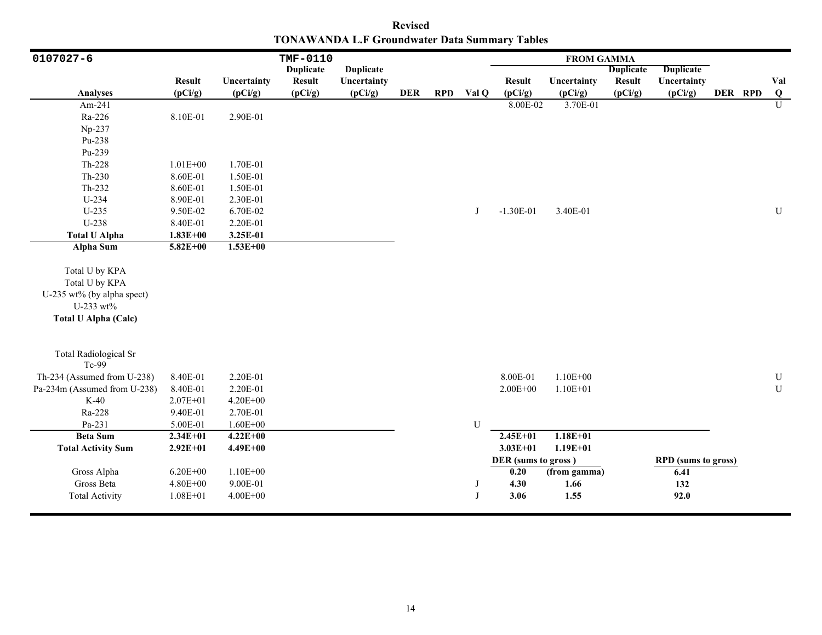**Revised TONAWANDA L.F Groundwater Data Summary Tables**

| 0107027-6                                                                                                  |               |              | TMF-0110         |                  |            |            |       |                     | <b>FROM GAMMA</b> |                  |                            |         |                |
|------------------------------------------------------------------------------------------------------------|---------------|--------------|------------------|------------------|------------|------------|-------|---------------------|-------------------|------------------|----------------------------|---------|----------------|
|                                                                                                            |               |              | <b>Duplicate</b> | <b>Duplicate</b> |            |            |       |                     |                   | <b>Duplicate</b> | <b>Duplicate</b>           |         |                |
|                                                                                                            | <b>Result</b> | Uncertainty  | <b>Result</b>    | Uncertainty      |            |            |       | <b>Result</b>       | Uncertainty       | <b>Result</b>    | Uncertainty                |         | Val            |
| Analyses                                                                                                   | (pCi/g)       | (pCi/g)      | (pCi/g)          | (pCi/g)          | <b>DER</b> | <b>RPD</b> | Val Q | (pCi/g)             | (pCi/g)           | (pCi/g)          | (pCi/g)                    | DER RPD | Q              |
| Am-241                                                                                                     |               |              |                  |                  |            |            |       | 8.00E-02            | 3.70E-01          |                  |                            |         | $\overline{U}$ |
| Ra-226                                                                                                     | 8.10E-01      | 2.90E-01     |                  |                  |            |            |       |                     |                   |                  |                            |         |                |
| Np-237                                                                                                     |               |              |                  |                  |            |            |       |                     |                   |                  |                            |         |                |
| Pu-238                                                                                                     |               |              |                  |                  |            |            |       |                     |                   |                  |                            |         |                |
| Pu-239                                                                                                     |               |              |                  |                  |            |            |       |                     |                   |                  |                            |         |                |
| Th-228                                                                                                     | $1.01E + 00$  | 1.70E-01     |                  |                  |            |            |       |                     |                   |                  |                            |         |                |
| $Th-230$                                                                                                   | 8.60E-01      | 1.50E-01     |                  |                  |            |            |       |                     |                   |                  |                            |         |                |
| Th-232                                                                                                     | 8.60E-01      | 1.50E-01     |                  |                  |            |            |       |                     |                   |                  |                            |         |                |
| $U-234$                                                                                                    | 8.90E-01      | 2.30E-01     |                  |                  |            |            |       |                     |                   |                  |                            |         |                |
| $U-235$                                                                                                    | 9.50E-02      | 6.70E-02     |                  |                  |            |            | J     | $-1.30E-01$         | 3.40E-01          |                  |                            |         | ${\bf U}$      |
| U-238                                                                                                      | 8.40E-01      | 2.20E-01     |                  |                  |            |            |       |                     |                   |                  |                            |         |                |
| <b>Total U Alpha</b>                                                                                       | $1.83E + 00$  | 3.25E-01     |                  |                  |            |            |       |                     |                   |                  |                            |         |                |
| <b>Alpha Sum</b>                                                                                           | $5.82E + 00$  | $1.53E+00$   |                  |                  |            |            |       |                     |                   |                  |                            |         |                |
| Total U by KPA<br>Total U by KPA<br>U-235 wt% (by alpha spect)<br>U-233 wt%<br><b>Total U Alpha (Calc)</b> |               |              |                  |                  |            |            |       |                     |                   |                  |                            |         |                |
| <b>Total Radiological Sr</b><br>Tc-99                                                                      |               |              |                  |                  |            |            |       |                     |                   |                  |                            |         |                |
| Th-234 (Assumed from U-238)                                                                                | 8.40E-01      | 2.20E-01     |                  |                  |            |            |       | 8.00E-01            | $1.10E + 00$      |                  |                            |         | ${\bf U}$      |
| Pa-234m (Assumed from U-238)                                                                               | 8.40E-01      | 2.20E-01     |                  |                  |            |            |       | $2.00E + 00$        | $1.10E + 01$      |                  |                            |         | ${\bf U}$      |
| $K-40$                                                                                                     | $2.07E + 01$  | $4.20E + 00$ |                  |                  |            |            |       |                     |                   |                  |                            |         |                |
| Ra-228                                                                                                     | 9.40E-01      | 2.70E-01     |                  |                  |            |            |       |                     |                   |                  |                            |         |                |
| Pa-231                                                                                                     | 5.00E-01      | $1.60E + 00$ |                  |                  |            |            | U     |                     |                   |                  |                            |         |                |
| <b>Beta Sum</b>                                                                                            | $2.34E+01$    | $4.22E+00$   |                  |                  |            |            |       | $2.45E+01$          | $1.18E + 01$      |                  |                            |         |                |
| <b>Total Activity Sum</b>                                                                                  | $2.92E+01$    | $4.49E + 00$ |                  |                  |            |            |       | $3.03E + 01$        | $1.19E + 01$      |                  |                            |         |                |
|                                                                                                            |               |              |                  |                  |            |            |       | DER (sums to gross) |                   |                  | <b>RPD</b> (sums to gross) |         |                |
| Gross Alpha                                                                                                | $6.20E + 00$  | $1.10E + 00$ |                  |                  |            |            |       | 0.20                | (from gamma)      |                  | 6.41                       |         |                |
| Gross Beta                                                                                                 | $4.80E + 00$  | 9.00E-01     |                  |                  |            |            | J     | 4.30                | 1.66              |                  | 132                        |         |                |
| <b>Total Activity</b>                                                                                      | $1.08E + 01$  | $4.00E + 00$ |                  |                  |            |            | J     | 3.06                | 1.55              |                  | 92.0                       |         |                |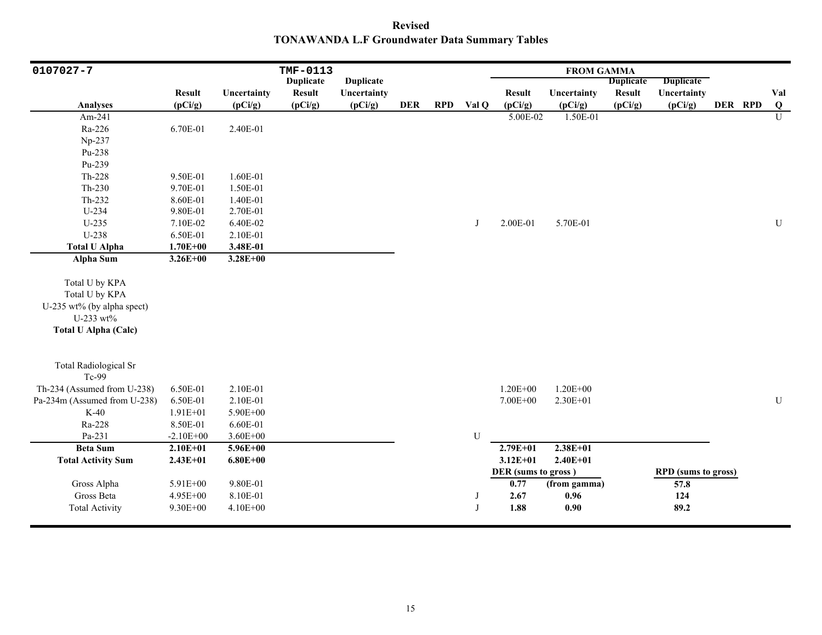**Revised TONAWANDA L.F Groundwater Data Summary Tables**

| 0107027-7                             |               |              | TMF-0113         |                  |            |            |       |                     | <b>FROM GAMMA</b> |                  |                            |         |                |
|---------------------------------------|---------------|--------------|------------------|------------------|------------|------------|-------|---------------------|-------------------|------------------|----------------------------|---------|----------------|
|                                       |               |              | <b>Duplicate</b> | <b>Duplicate</b> |            |            |       |                     |                   | <b>Duplicate</b> | <b>Duplicate</b>           |         |                |
|                                       | <b>Result</b> | Uncertainty  | <b>Result</b>    | Uncertainty      |            |            |       | <b>Result</b>       | Uncertainty       | <b>Result</b>    | Uncertainty                |         | Val            |
| <b>Analyses</b>                       | (pCi/g)       | (pCi/g)      | (pCi/g)          | (pCi/g)          | <b>DER</b> | <b>RPD</b> | Val Q | (pCi/g)             | (pCi/g)           | (pCi/g)          | (pCi/g)                    | DER RPD | $\bf{Q}$       |
| Am-241                                |               |              |                  |                  |            |            |       | 5.00E-02            | 1.50E-01          |                  |                            |         | $\overline{U}$ |
| Ra-226                                | 6.70E-01      | 2.40E-01     |                  |                  |            |            |       |                     |                   |                  |                            |         |                |
| Np-237                                |               |              |                  |                  |            |            |       |                     |                   |                  |                            |         |                |
| Pu-238                                |               |              |                  |                  |            |            |       |                     |                   |                  |                            |         |                |
| Pu-239                                |               |              |                  |                  |            |            |       |                     |                   |                  |                            |         |                |
| Th-228                                | 9.50E-01      | 1.60E-01     |                  |                  |            |            |       |                     |                   |                  |                            |         |                |
| $Th-230$                              | 9.70E-01      | 1.50E-01     |                  |                  |            |            |       |                     |                   |                  |                            |         |                |
| $Th-232$                              | 8.60E-01      | 1.40E-01     |                  |                  |            |            |       |                     |                   |                  |                            |         |                |
| $U-234$                               | 9.80E-01      | 2.70E-01     |                  |                  |            |            |       |                     |                   |                  |                            |         |                |
| $U-235$                               | 7.10E-02      | 6.40E-02     |                  |                  |            |            | J     | 2.00E-01            | 5.70E-01          |                  |                            |         | ${\bf U}$      |
| U-238                                 | 6.50E-01      | 2.10E-01     |                  |                  |            |            |       |                     |                   |                  |                            |         |                |
| <b>Total U Alpha</b>                  | $1.70E + 00$  | 3.48E-01     |                  |                  |            |            |       |                     |                   |                  |                            |         |                |
| <b>Alpha Sum</b>                      | $3.26E + 00$  | $3.28E + 00$ |                  |                  |            |            |       |                     |                   |                  |                            |         |                |
|                                       |               |              |                  |                  |            |            |       |                     |                   |                  |                            |         |                |
| Total U by KPA                        |               |              |                  |                  |            |            |       |                     |                   |                  |                            |         |                |
| Total U by KPA                        |               |              |                  |                  |            |            |       |                     |                   |                  |                            |         |                |
| U-235 wt% (by alpha spect)            |               |              |                  |                  |            |            |       |                     |                   |                  |                            |         |                |
| U-233 wt%                             |               |              |                  |                  |            |            |       |                     |                   |                  |                            |         |                |
| <b>Total U Alpha (Calc)</b>           |               |              |                  |                  |            |            |       |                     |                   |                  |                            |         |                |
|                                       |               |              |                  |                  |            |            |       |                     |                   |                  |                            |         |                |
| <b>Total Radiological Sr</b><br>Tc-99 |               |              |                  |                  |            |            |       |                     |                   |                  |                            |         |                |
| Th-234 (Assumed from U-238)           | 6.50E-01      | 2.10E-01     |                  |                  |            |            |       | $1.20E + 00$        | $1.20E + 00$      |                  |                            |         |                |
| Pa-234m (Assumed from U-238)          | 6.50E-01      | 2.10E-01     |                  |                  |            |            |       | 7.00E+00            | $2.30E + 01$      |                  |                            |         | ${\bf U}$      |
| $K-40$                                | $1.91E + 01$  | 5.90E+00     |                  |                  |            |            |       |                     |                   |                  |                            |         |                |
| Ra-228                                | 8.50E-01      | 6.60E-01     |                  |                  |            |            |       |                     |                   |                  |                            |         |                |
| Pa-231                                | $-2.10E+00$   | $3.60E + 00$ |                  |                  |            |            | U     |                     |                   |                  |                            |         |                |
| <b>Beta Sum</b>                       | $2.10E + 01$  | $5.96E + 00$ |                  |                  |            |            |       | $2.79E + 01$        | $2.38E+01$        |                  |                            |         |                |
| <b>Total Activity Sum</b>             | $2.43E + 01$  | $6.80E + 00$ |                  |                  |            |            |       | $3.12E + 01$        | $2.40E + 01$      |                  |                            |         |                |
|                                       |               |              |                  |                  |            |            |       | DER (sums to gross) |                   |                  | <b>RPD</b> (sums to gross) |         |                |
| Gross Alpha                           | 5.91E+00      | 9.80E-01     |                  |                  |            |            |       | 0.77                | (from gamma)      |                  | 57.8                       |         |                |
| Gross Beta                            | 4.95E+00      | 8.10E-01     |                  |                  |            |            | J     | 2.67                | 0.96              |                  | 124                        |         |                |
| <b>Total Activity</b>                 | 9.30E+00      | 4.10E+00     |                  |                  |            |            |       | 1.88                | 0.90              |                  | 89.2                       |         |                |
|                                       |               |              |                  |                  |            |            |       |                     |                   |                  |                            |         |                |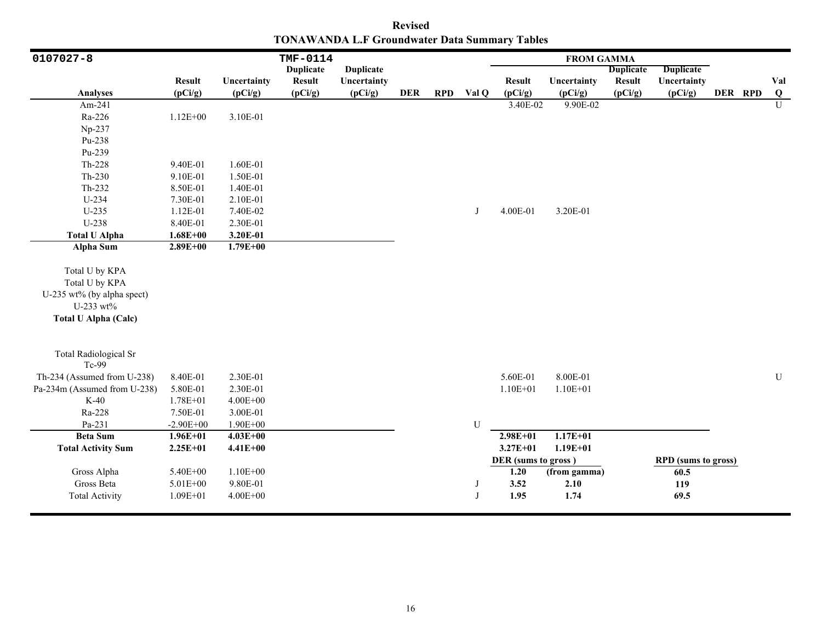**Revised TONAWANDA L.F Groundwater Data Summary Tables**

| 0107027-8                                                                                                  |               |              | TMF-0114         |                  |            |            |       |                     | <b>FROM GAMMA</b> |                  |                            |         |                |
|------------------------------------------------------------------------------------------------------------|---------------|--------------|------------------|------------------|------------|------------|-------|---------------------|-------------------|------------------|----------------------------|---------|----------------|
|                                                                                                            |               |              | <b>Duplicate</b> | <b>Duplicate</b> |            |            |       |                     |                   | <b>Duplicate</b> | <b>Duplicate</b>           |         |                |
|                                                                                                            | <b>Result</b> | Uncertainty  | <b>Result</b>    | Uncertainty      |            |            |       | <b>Result</b>       | Uncertainty       | <b>Result</b>    | Uncertainty                |         | Val            |
| Analyses                                                                                                   | (pCi/g)       | (pCi/g)      | (pCi/g)          | (pCi/g)          | <b>DER</b> | <b>RPD</b> | Val Q | (pCi/g)             | (pCi/g)           | (pCi/g)          | (pCi/g)                    | DER RPD | Q              |
| Am-241                                                                                                     |               |              |                  |                  |            |            |       | 3.40E-02            | 9.90E-02          |                  |                            |         | $\overline{U}$ |
| Ra-226                                                                                                     | $1.12E + 00$  | 3.10E-01     |                  |                  |            |            |       |                     |                   |                  |                            |         |                |
| Np-237                                                                                                     |               |              |                  |                  |            |            |       |                     |                   |                  |                            |         |                |
| Pu-238                                                                                                     |               |              |                  |                  |            |            |       |                     |                   |                  |                            |         |                |
| Pu-239                                                                                                     |               |              |                  |                  |            |            |       |                     |                   |                  |                            |         |                |
| Th-228                                                                                                     | 9.40E-01      | 1.60E-01     |                  |                  |            |            |       |                     |                   |                  |                            |         |                |
| $Th-230$                                                                                                   | 9.10E-01      | 1.50E-01     |                  |                  |            |            |       |                     |                   |                  |                            |         |                |
| Th-232                                                                                                     | 8.50E-01      | 1.40E-01     |                  |                  |            |            |       |                     |                   |                  |                            |         |                |
| $U-234$                                                                                                    | 7.30E-01      | 2.10E-01     |                  |                  |            |            |       |                     |                   |                  |                            |         |                |
| $U-235$                                                                                                    | 1.12E-01      | 7.40E-02     |                  |                  |            |            | J     | 4.00E-01            | 3.20E-01          |                  |                            |         |                |
| U-238                                                                                                      | 8.40E-01      | 2.30E-01     |                  |                  |            |            |       |                     |                   |                  |                            |         |                |
| <b>Total U Alpha</b>                                                                                       | $1.68E + 00$  | 3.20E-01     |                  |                  |            |            |       |                     |                   |                  |                            |         |                |
| <b>Alpha Sum</b>                                                                                           | $2.89E + 00$  | $1.79E + 00$ |                  |                  |            |            |       |                     |                   |                  |                            |         |                |
| Total U by KPA<br>Total U by KPA<br>U-235 wt% (by alpha spect)<br>U-233 wt%<br><b>Total U Alpha (Calc)</b> |               |              |                  |                  |            |            |       |                     |                   |                  |                            |         |                |
| <b>Total Radiological Sr</b><br>Tc-99                                                                      |               |              |                  |                  |            |            |       |                     |                   |                  |                            |         |                |
| Th-234 (Assumed from U-238)                                                                                | 8.40E-01      | 2.30E-01     |                  |                  |            |            |       | 5.60E-01            | 8.00E-01          |                  |                            |         | ${\bf U}$      |
| Pa-234m (Assumed from U-238)                                                                               | 5.80E-01      | 2.30E-01     |                  |                  |            |            |       | $1.10E + 01$        | $1.10E + 01$      |                  |                            |         |                |
| $K-40$                                                                                                     | 1.78E+01      | $4.00E + 00$ |                  |                  |            |            |       |                     |                   |                  |                            |         |                |
| Ra-228                                                                                                     | 7.50E-01      | 3.00E-01     |                  |                  |            |            |       |                     |                   |                  |                            |         |                |
| Pa-231                                                                                                     | $-2.90E + 00$ | 1.90E+00     |                  |                  |            |            | U     |                     |                   |                  |                            |         |                |
| <b>Beta Sum</b>                                                                                            | $1.96E + 01$  | $4.03E + 00$ |                  |                  |            |            |       | $2.98E + 01$        | $1.17E + 01$      |                  |                            |         |                |
| <b>Total Activity Sum</b>                                                                                  | $2.25E+01$    | $4.41E + 00$ |                  |                  |            |            |       | $3.27E + 01$        | $1.19E + 01$      |                  |                            |         |                |
|                                                                                                            |               |              |                  |                  |            |            |       | DER (sums to gross) |                   |                  | <b>RPD</b> (sums to gross) |         |                |
| Gross Alpha                                                                                                | 5.40E+00      | $1.10E + 00$ |                  |                  |            |            |       | 1.20                | (from gamma)      |                  | 60.5                       |         |                |
| Gross Beta                                                                                                 | $5.01E + 00$  | 9.80E-01     |                  |                  |            |            | J     | 3.52                | 2.10              |                  | 119                        |         |                |
| <b>Total Activity</b>                                                                                      | $1.09E + 01$  | $4.00E + 00$ |                  |                  |            |            | J     | 1.95                | 1.74              |                  | 69.5                       |         |                |
|                                                                                                            |               |              |                  |                  |            |            |       |                     |                   |                  |                            |         |                |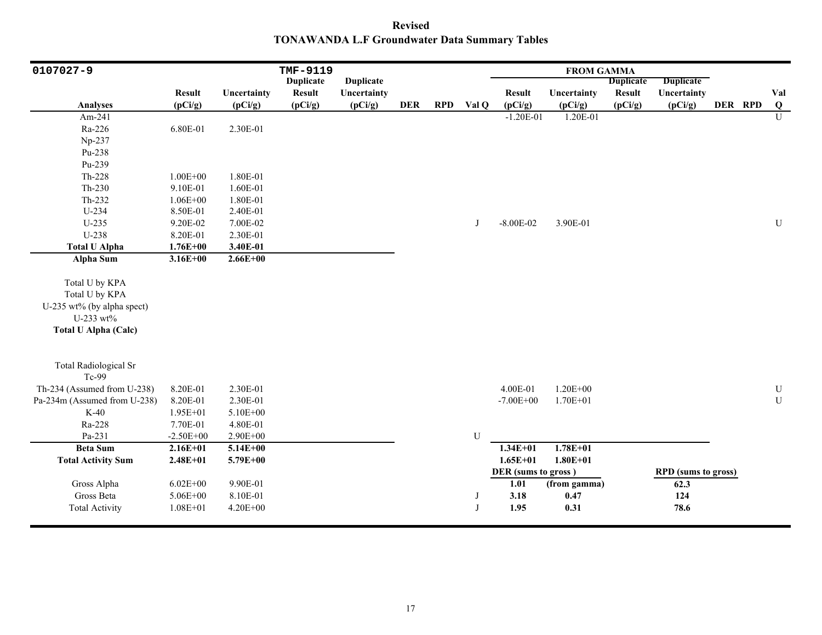**Revised TONAWANDA L.F Groundwater Data Summary Tables**

| 0107027-9                                                                                                  |               |              | TMF-9119         |                  |            |            |       |                     | <b>FROM GAMMA</b> |                  |                            |         |                |
|------------------------------------------------------------------------------------------------------------|---------------|--------------|------------------|------------------|------------|------------|-------|---------------------|-------------------|------------------|----------------------------|---------|----------------|
|                                                                                                            |               |              | <b>Duplicate</b> | <b>Duplicate</b> |            |            |       |                     |                   | <b>Duplicate</b> | <b>Duplicate</b>           |         |                |
|                                                                                                            | <b>Result</b> | Uncertainty  | <b>Result</b>    | Uncertainty      |            |            |       | <b>Result</b>       | Uncertainty       | <b>Result</b>    | Uncertainty                |         | Val            |
| <b>Analyses</b>                                                                                            | (pCi/g)       | (pCi/g)      | (pCi/g)          | (pCi/g)          | <b>DER</b> | <b>RPD</b> | Val Q | (pCi/g)             | (pCi/g)           | (pCi/g)          | (pCi/g)                    | DER RPD | $\bf{Q}$       |
| Am-241                                                                                                     |               |              |                  |                  |            |            |       | $-1.20E-01$         | 1.20E-01          |                  |                            |         | $\overline{U}$ |
| Ra-226                                                                                                     | 6.80E-01      | 2.30E-01     |                  |                  |            |            |       |                     |                   |                  |                            |         |                |
| Np-237                                                                                                     |               |              |                  |                  |            |            |       |                     |                   |                  |                            |         |                |
| Pu-238                                                                                                     |               |              |                  |                  |            |            |       |                     |                   |                  |                            |         |                |
| Pu-239                                                                                                     |               |              |                  |                  |            |            |       |                     |                   |                  |                            |         |                |
| Th-228                                                                                                     | $1.00E + 00$  | 1.80E-01     |                  |                  |            |            |       |                     |                   |                  |                            |         |                |
| $Th-230$                                                                                                   | 9.10E-01      | 1.60E-01     |                  |                  |            |            |       |                     |                   |                  |                            |         |                |
| Th-232                                                                                                     | $1.06E + 00$  | 1.80E-01     |                  |                  |            |            |       |                     |                   |                  |                            |         |                |
| U-234                                                                                                      | 8.50E-01      | 2.40E-01     |                  |                  |            |            |       |                     |                   |                  |                            |         |                |
| $U-235$                                                                                                    | 9.20E-02      | 7.00E-02     |                  |                  |            |            | J     | $-8.00E-02$         | 3.90E-01          |                  |                            |         | $\mathbf U$    |
| U-238                                                                                                      | 8.20E-01      | 2.30E-01     |                  |                  |            |            |       |                     |                   |                  |                            |         |                |
| <b>Total U Alpha</b>                                                                                       | $1.76E + 00$  | 3.40E-01     |                  |                  |            |            |       |                     |                   |                  |                            |         |                |
| <b>Alpha Sum</b>                                                                                           | $3.16E + 00$  | $2.66E + 00$ |                  |                  |            |            |       |                     |                   |                  |                            |         |                |
| Total U by KPA<br>Total U by KPA<br>U-235 wt% (by alpha spect)<br>U-233 wt%<br><b>Total U Alpha (Calc)</b> |               |              |                  |                  |            |            |       |                     |                   |                  |                            |         |                |
| <b>Total Radiological Sr</b><br>Tc-99                                                                      |               |              |                  |                  |            |            |       |                     |                   |                  |                            |         |                |
| Th-234 (Assumed from U-238)                                                                                | 8.20E-01      | 2.30E-01     |                  |                  |            |            |       | 4.00E-01            | $1.20E + 00$      |                  |                            |         | $\mathbf U$    |
| Pa-234m (Assumed from U-238)                                                                               | 8.20E-01      | 2.30E-01     |                  |                  |            |            |       | $-7.00E + 00$       | $1.70E + 01$      |                  |                            |         | $\mathbf U$    |
| $K-40$                                                                                                     | 1.95E+01      | 5.10E+00     |                  |                  |            |            |       |                     |                   |                  |                            |         |                |
| Ra-228                                                                                                     | 7.70E-01      | 4.80E-01     |                  |                  |            |            |       |                     |                   |                  |                            |         |                |
| Pa-231                                                                                                     | $-2.50E + 00$ | 2.90E+00     |                  |                  |            |            | U     |                     |                   |                  |                            |         |                |
| <b>Beta Sum</b>                                                                                            | $2.16E+01$    | $5.14E + 00$ |                  |                  |            |            |       | $1.34E + 01$        | $1.78E + 01$      |                  |                            |         |                |
| <b>Total Activity Sum</b>                                                                                  | $2.48E + 01$  | 5.79E+00     |                  |                  |            |            |       | $1.65E + 01$        | $1.80E + 01$      |                  |                            |         |                |
|                                                                                                            |               |              |                  |                  |            |            |       | DER (sums to gross) |                   |                  | <b>RPD</b> (sums to gross) |         |                |
| Gross Alpha                                                                                                | $6.02E + 00$  | 9.90E-01     |                  |                  |            |            |       | 1.01                | (from gamma)      |                  | 62.3                       |         |                |
| Gross Beta                                                                                                 | 5.06E+00      | 8.10E-01     |                  |                  |            |            |       | 3.18                | 0.47              |                  | 124                        |         |                |
| <b>Total Activity</b>                                                                                      | $1.08E + 01$  | 4.20E+00     |                  |                  |            |            |       | 1.95                | 0.31              |                  | 78.6                       |         |                |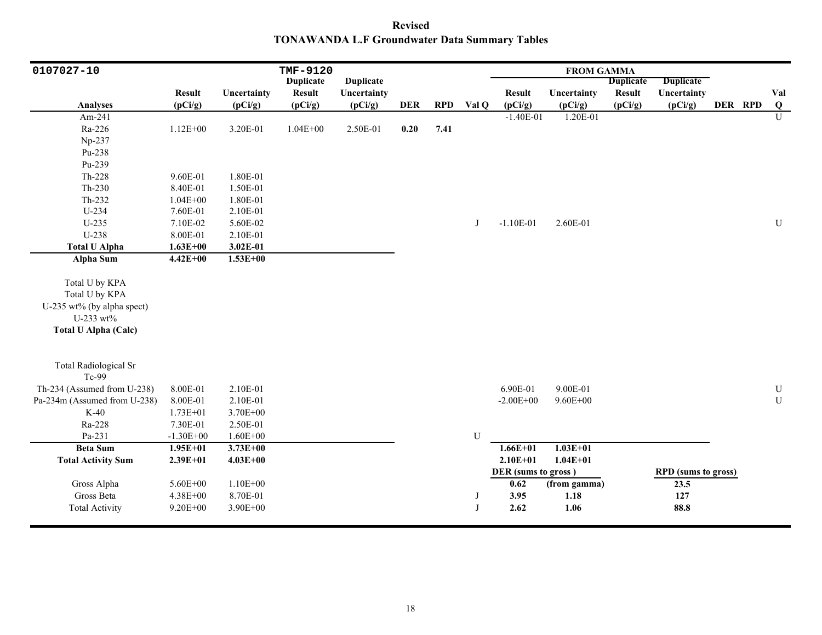**Revised TONAWANDA L.F Groundwater Data Summary Tables**

| 0107027-10                   |               |              | TMF-9120         |                  |            |            |       |                     | <b>FROM GAMMA</b> |                  |                            |         |           |
|------------------------------|---------------|--------------|------------------|------------------|------------|------------|-------|---------------------|-------------------|------------------|----------------------------|---------|-----------|
|                              |               |              | <b>Duplicate</b> | <b>Duplicate</b> |            |            |       |                     |                   | <b>Duplicate</b> | <b>Duplicate</b>           |         |           |
|                              | <b>Result</b> | Uncertainty  | <b>Result</b>    | Uncertainty      |            |            |       | <b>Result</b>       | Uncertainty       | <b>Result</b>    | Uncertainty                |         | Val       |
| Analyses                     | (pCi/g)       | (pCi/g)      | (pCi/g)          | (pCi/g)          | <b>DER</b> | <b>RPD</b> | Val Q | (pCi/g)             | (pCi/g)           | (pCi/g)          | (pCi/g)                    | DER RPD | Q         |
| Am-241                       |               |              |                  |                  |            |            |       | $-1.40E-01$         | 1.20E-01          |                  |                            |         | U         |
| Ra-226                       | $1.12E + 00$  | 3.20E-01     | $1.04E + 00$     | 2.50E-01         | 0.20       | 7.41       |       |                     |                   |                  |                            |         |           |
| Np-237                       |               |              |                  |                  |            |            |       |                     |                   |                  |                            |         |           |
| Pu-238                       |               |              |                  |                  |            |            |       |                     |                   |                  |                            |         |           |
| Pu-239                       |               |              |                  |                  |            |            |       |                     |                   |                  |                            |         |           |
| Th-228                       | 9.60E-01      | 1.80E-01     |                  |                  |            |            |       |                     |                   |                  |                            |         |           |
| $Th-230$                     | 8.40E-01      | 1.50E-01     |                  |                  |            |            |       |                     |                   |                  |                            |         |           |
| Th-232                       | $1.04E + 00$  | 1.80E-01     |                  |                  |            |            |       |                     |                   |                  |                            |         |           |
| U-234                        | 7.60E-01      | 2.10E-01     |                  |                  |            |            |       |                     |                   |                  |                            |         |           |
| $U-235$                      | 7.10E-02      | 5.60E-02     |                  |                  |            |            | J     | $-1.10E-01$         | 2.60E-01          |                  |                            |         | ${\bf U}$ |
| U-238                        | 8.00E-01      | 2.10E-01     |                  |                  |            |            |       |                     |                   |                  |                            |         |           |
| <b>Total U Alpha</b>         | $1.63E + 00$  | 3.02E-01     |                  |                  |            |            |       |                     |                   |                  |                            |         |           |
| Alpha Sum                    | $4.42E + 00$  | $1.53E+00$   |                  |                  |            |            |       |                     |                   |                  |                            |         |           |
| Total U by KPA               |               |              |                  |                  |            |            |       |                     |                   |                  |                            |         |           |
|                              |               |              |                  |                  |            |            |       |                     |                   |                  |                            |         |           |
| Total U by KPA               |               |              |                  |                  |            |            |       |                     |                   |                  |                            |         |           |
| U-235 wt% (by alpha spect)   |               |              |                  |                  |            |            |       |                     |                   |                  |                            |         |           |
| U-233 wt%                    |               |              |                  |                  |            |            |       |                     |                   |                  |                            |         |           |
| <b>Total U Alpha (Calc)</b>  |               |              |                  |                  |            |            |       |                     |                   |                  |                            |         |           |
| <b>Total Radiological Sr</b> |               |              |                  |                  |            |            |       |                     |                   |                  |                            |         |           |
| Tc-99                        |               |              |                  |                  |            |            |       |                     |                   |                  |                            |         |           |
| Th-234 (Assumed from U-238)  | 8.00E-01      | 2.10E-01     |                  |                  |            |            |       | 6.90E-01            | 9.00E-01          |                  |                            |         | U         |
| Pa-234m (Assumed from U-238) | 8.00E-01      | 2.10E-01     |                  |                  |            |            |       | $-2.00E + 00$       | $9.60E + 00$      |                  |                            |         | ${\bf U}$ |
| $K-40$                       | $1.73E + 01$  | 3.70E+00     |                  |                  |            |            |       |                     |                   |                  |                            |         |           |
| Ra-228                       | 7.30E-01      | 2.50E-01     |                  |                  |            |            |       |                     |                   |                  |                            |         |           |
| Pa-231                       | $-1.30E + 00$ | $1.60E + 00$ |                  |                  |            |            | U     |                     |                   |                  |                            |         |           |
| <b>Beta Sum</b>              | $1.95E + 01$  | $3.73E + 00$ |                  |                  |            |            |       | $1.66E + 01$        | $1.03E + 01$      |                  |                            |         |           |
| <b>Total Activity Sum</b>    | $2.39E + 01$  | $4.03E + 00$ |                  |                  |            |            |       | $2.10E + 01$        | $1.04E + 01$      |                  |                            |         |           |
|                              |               |              |                  |                  |            |            |       | DER (sums to gross) |                   |                  | <b>RPD</b> (sums to gross) |         |           |
| Gross Alpha                  | 5.60E+00      | 1.10E+00     |                  |                  |            |            |       | 0.62                | (from gamma)      |                  | 23.5                       |         |           |
| Gross Beta                   | 4.38E+00      | 8.70E-01     |                  |                  |            |            | J     | 3.95                | 1.18              |                  | 127                        |         |           |
| <b>Total Activity</b>        | $9.20E + 00$  | $3.90E + 00$ |                  |                  |            |            | J     | 2.62                | 1.06              |                  | 88.8                       |         |           |
|                              |               |              |                  |                  |            |            |       |                     |                   |                  |                            |         |           |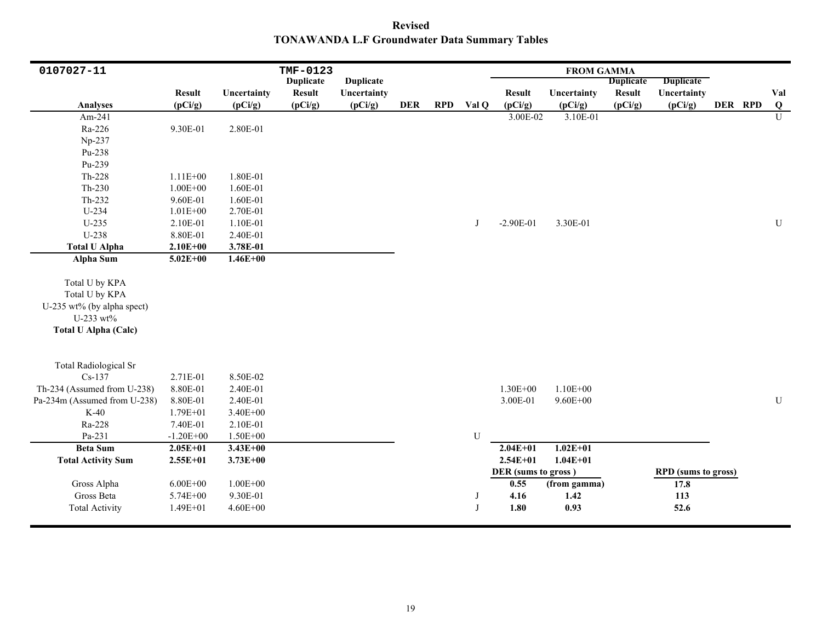**Revised TONAWANDA L.F Groundwater Data Summary Tables**

| 0107027-11                                                                                                 |               |              | TMF-0123         |                  |            |            |       |                     | <b>FROM GAMMA</b> |                  |                            |         |                |
|------------------------------------------------------------------------------------------------------------|---------------|--------------|------------------|------------------|------------|------------|-------|---------------------|-------------------|------------------|----------------------------|---------|----------------|
|                                                                                                            |               |              | <b>Duplicate</b> | <b>Duplicate</b> |            |            |       |                     |                   | <b>Duplicate</b> | <b>Duplicate</b>           |         |                |
|                                                                                                            | <b>Result</b> | Uncertainty  | <b>Result</b>    | Uncertainty      |            |            |       | <b>Result</b>       | Uncertainty       | <b>Result</b>    | Uncertainty                |         | Val            |
| <b>Analyses</b>                                                                                            | (pCi/g)       | (pCi/g)      | (pCi/g)          | (pCi/g)          | <b>DER</b> | <b>RPD</b> | Val Q | (pCi/g)             | (pCi/g)           | (pCi/g)          | (pCi/g)                    | DER RPD | $\overline{Q}$ |
| Am-241                                                                                                     |               |              |                  |                  |            |            |       | 3.00E-02            | 3.10E-01          |                  |                            |         | $\overline{U}$ |
| Ra-226                                                                                                     | 9.30E-01      | 2.80E-01     |                  |                  |            |            |       |                     |                   |                  |                            |         |                |
| Np-237                                                                                                     |               |              |                  |                  |            |            |       |                     |                   |                  |                            |         |                |
| Pu-238                                                                                                     |               |              |                  |                  |            |            |       |                     |                   |                  |                            |         |                |
| Pu-239                                                                                                     |               |              |                  |                  |            |            |       |                     |                   |                  |                            |         |                |
| Th-228                                                                                                     | $1.11E + 00$  | 1.80E-01     |                  |                  |            |            |       |                     |                   |                  |                            |         |                |
| $Th-230$                                                                                                   | $1.00E + 00$  | 1.60E-01     |                  |                  |            |            |       |                     |                   |                  |                            |         |                |
| Th-232                                                                                                     | 9.60E-01      | 1.60E-01     |                  |                  |            |            |       |                     |                   |                  |                            |         |                |
| U-234                                                                                                      | $1.01E + 00$  | 2.70E-01     |                  |                  |            |            |       |                     |                   |                  |                            |         |                |
| $U-235$                                                                                                    | 2.10E-01      | 1.10E-01     |                  |                  |            |            | J     | $-2.90E-01$         | 3.30E-01          |                  |                            |         | $\mathbf U$    |
| U-238                                                                                                      | 8.80E-01      | 2.40E-01     |                  |                  |            |            |       |                     |                   |                  |                            |         |                |
| <b>Total U Alpha</b>                                                                                       | $2.10E + 00$  | 3.78E-01     |                  |                  |            |            |       |                     |                   |                  |                            |         |                |
| <b>Alpha Sum</b>                                                                                           | $5.02E + 00$  | $1.46E + 00$ |                  |                  |            |            |       |                     |                   |                  |                            |         |                |
| Total U by KPA<br>Total U by KPA<br>U-235 wt% (by alpha spect)<br>U-233 wt%<br><b>Total U Alpha (Calc)</b> |               |              |                  |                  |            |            |       |                     |                   |                  |                            |         |                |
| <b>Total Radiological Sr</b>                                                                               |               |              |                  |                  |            |            |       |                     |                   |                  |                            |         |                |
| $Cs-137$                                                                                                   | 2.71E-01      | 8.50E-02     |                  |                  |            |            |       |                     |                   |                  |                            |         |                |
| Th-234 (Assumed from U-238)                                                                                | 8.80E-01      | 2.40E-01     |                  |                  |            |            |       | 1.30E+00            | $1.10E + 00$      |                  |                            |         |                |
| Pa-234m (Assumed from U-238)                                                                               | 8.80E-01      | 2.40E-01     |                  |                  |            |            |       | 3.00E-01            | $9.60E + 00$      |                  |                            |         | ${\bf U}$      |
| $K-40$                                                                                                     | 1.79E+01      | 3.40E+00     |                  |                  |            |            |       |                     |                   |                  |                            |         |                |
| Ra-228                                                                                                     | 7.40E-01      | 2.10E-01     |                  |                  |            |            |       |                     |                   |                  |                            |         |                |
| Pa-231                                                                                                     | $-1.20E + 00$ | $1.50E + 00$ |                  |                  |            |            | U     |                     |                   |                  |                            |         |                |
| <b>Beta Sum</b>                                                                                            | $2.05E + 01$  | $3.43E + 00$ |                  |                  |            |            |       | $2.04E+01$          | $1.02E + 01$      |                  |                            |         |                |
| <b>Total Activity Sum</b>                                                                                  | $2.55E+01$    | $3.73E + 00$ |                  |                  |            |            |       | $2.54E + 01$        | $1.04E + 01$      |                  |                            |         |                |
|                                                                                                            |               |              |                  |                  |            |            |       | DER (sums to gross) |                   |                  | <b>RPD</b> (sums to gross) |         |                |
| Gross Alpha                                                                                                | $6.00E + 00$  | $1.00E + 00$ |                  |                  |            |            |       | 0.55                | (from gamma)      |                  | 17.8                       |         |                |
| Gross Beta                                                                                                 | 5.74E+00      | 9.30E-01     |                  |                  |            |            | J     | 4.16                | 1.42              |                  | 113                        |         |                |
| <b>Total Activity</b>                                                                                      | $1.49E + 01$  | $4.60E + 00$ |                  |                  |            |            | J     | 1.80                | 0.93              |                  | 52.6                       |         |                |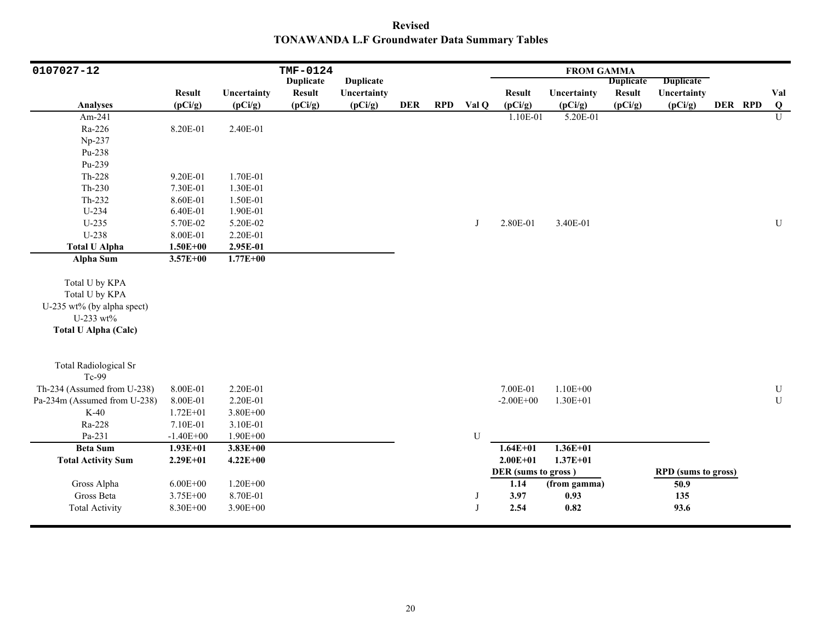**Revised TONAWANDA L.F Groundwater Data Summary Tables**

| 0107027-12                   |               |              | TMF-0124         |                  |            |            |       |                     | <b>FROM GAMMA</b> |                  |                            |         |                                         |
|------------------------------|---------------|--------------|------------------|------------------|------------|------------|-------|---------------------|-------------------|------------------|----------------------------|---------|-----------------------------------------|
|                              |               |              | <b>Duplicate</b> | <b>Duplicate</b> |            |            |       |                     |                   | <b>Duplicate</b> | <b>Duplicate</b>           |         |                                         |
|                              | <b>Result</b> | Uncertainty  | <b>Result</b>    | Uncertainty      |            |            |       | <b>Result</b>       | Uncertainty       | <b>Result</b>    | Uncertainty                |         | Val                                     |
| <b>Analyses</b>              | (pCi/g)       | (pCi/g)      | (pCi/g)          | (pCi/g)          | <b>DER</b> | <b>RPD</b> | Val Q | (pCi/g)             | (pCi/g)           | (pCi/g)          | (pCi/g)                    | DER RPD | $\overline{\mathbf{Q}}$<br>$\mathbf{U}$ |
| Am-241                       |               |              |                  |                  |            |            |       | 1.10E-01            | 5.20E-01          |                  |                            |         |                                         |
| Ra-226                       | 8.20E-01      | 2.40E-01     |                  |                  |            |            |       |                     |                   |                  |                            |         |                                         |
| Np-237                       |               |              |                  |                  |            |            |       |                     |                   |                  |                            |         |                                         |
| Pu-238                       |               |              |                  |                  |            |            |       |                     |                   |                  |                            |         |                                         |
| Pu-239                       |               |              |                  |                  |            |            |       |                     |                   |                  |                            |         |                                         |
| Th-228                       | 9.20E-01      | 1.70E-01     |                  |                  |            |            |       |                     |                   |                  |                            |         |                                         |
| Th-230                       | 7.30E-01      | 1.30E-01     |                  |                  |            |            |       |                     |                   |                  |                            |         |                                         |
| Th-232                       | 8.60E-01      | 1.50E-01     |                  |                  |            |            |       |                     |                   |                  |                            |         |                                         |
| $U-234$                      | 6.40E-01      | 1.90E-01     |                  |                  |            |            |       |                     |                   |                  |                            |         |                                         |
| $U-235$                      | 5.70E-02      | 5.20E-02     |                  |                  |            |            | J     | 2.80E-01            | 3.40E-01          |                  |                            |         | U                                       |
| U-238                        | 8.00E-01      | 2.20E-01     |                  |                  |            |            |       |                     |                   |                  |                            |         |                                         |
| <b>Total U Alpha</b>         | $1.50E + 00$  | 2.95E-01     |                  |                  |            |            |       |                     |                   |                  |                            |         |                                         |
| Alpha Sum                    | $3.57E + 00$  | $1.77E + 00$ |                  |                  |            |            |       |                     |                   |                  |                            |         |                                         |
|                              |               |              |                  |                  |            |            |       |                     |                   |                  |                            |         |                                         |
| Total U by KPA               |               |              |                  |                  |            |            |       |                     |                   |                  |                            |         |                                         |
| Total U by KPA               |               |              |                  |                  |            |            |       |                     |                   |                  |                            |         |                                         |
| U-235 wt% (by alpha spect)   |               |              |                  |                  |            |            |       |                     |                   |                  |                            |         |                                         |
| U-233 wt%                    |               |              |                  |                  |            |            |       |                     |                   |                  |                            |         |                                         |
| <b>Total U Alpha (Calc)</b>  |               |              |                  |                  |            |            |       |                     |                   |                  |                            |         |                                         |
| <b>Total Radiological Sr</b> |               |              |                  |                  |            |            |       |                     |                   |                  |                            |         |                                         |
| Tc-99                        |               |              |                  |                  |            |            |       |                     |                   |                  |                            |         |                                         |
| Th-234 (Assumed from U-238)  | 8.00E-01      | 2.20E-01     |                  |                  |            |            |       | 7.00E-01            | $1.10E + 00$      |                  |                            |         | ${\bf U}$                               |
| Pa-234m (Assumed from U-238) | 8.00E-01      | 2.20E-01     |                  |                  |            |            |       | $-2.00E + 00$       | $1.30E + 01$      |                  |                            |         | ${\bf U}$                               |
| $K-40$                       | $1.72E + 01$  | $3.80E + 00$ |                  |                  |            |            |       |                     |                   |                  |                            |         |                                         |
| Ra-228                       | 7.10E-01      | 3.10E-01     |                  |                  |            |            |       |                     |                   |                  |                            |         |                                         |
| Pa-231                       | $-1.40E + 00$ | 1.90E+00     |                  |                  |            |            | U     |                     |                   |                  |                            |         |                                         |
| <b>Beta Sum</b>              | $1.93E+01$    | $3.83E + 00$ |                  |                  |            |            |       | $1.64E + 01$        | $1.36E + 01$      |                  |                            |         |                                         |
| <b>Total Activity Sum</b>    | $2.29E + 01$  | $4.22E + 00$ |                  |                  |            |            |       | $2.00E + 01$        | $1.37E + 01$      |                  |                            |         |                                         |
|                              |               |              |                  |                  |            |            |       | DER (sums to gross) |                   |                  | <b>RPD</b> (sums to gross) |         |                                         |
| Gross Alpha                  | $6.00E + 00$  | $1.20E + 00$ |                  |                  |            |            |       | 1.14                | (from gamma)      |                  | 50.9                       |         |                                         |
| Gross Beta                   | 3.75E+00      | 8.70E-01     |                  |                  |            |            | J     | 3.97                | 0.93              |                  | 135                        |         |                                         |
| <b>Total Activity</b>        | 8.30E+00      | 3.90E+00     |                  |                  |            |            |       | 2.54                | 0.82              |                  | 93.6                       |         |                                         |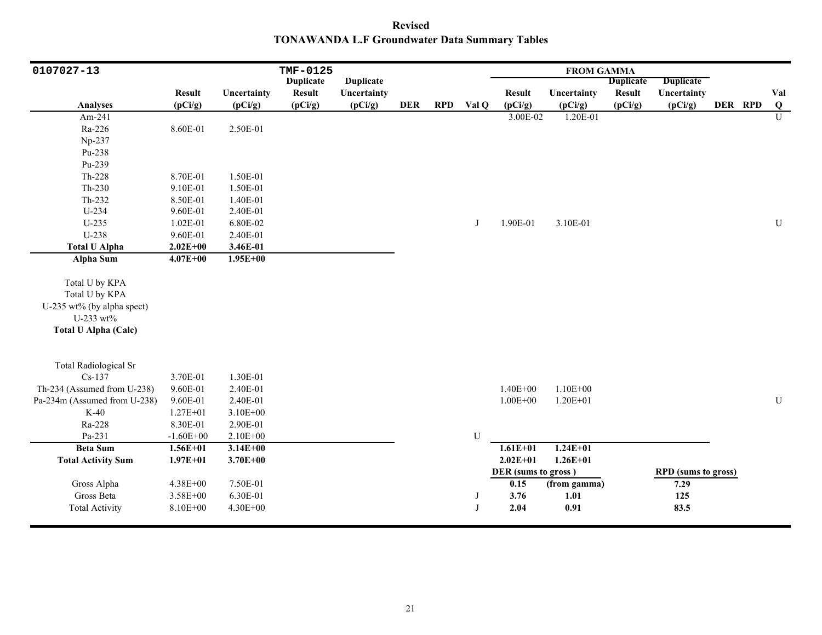**Revised TONAWANDA L.F Groundwater Data Summary Tables**

| 0107027-13                   |               |              | TMF-0125         |                  |            |            |       |                     | <b>FROM GAMMA</b> |                  |                            |         |                |
|------------------------------|---------------|--------------|------------------|------------------|------------|------------|-------|---------------------|-------------------|------------------|----------------------------|---------|----------------|
|                              |               |              | <b>Duplicate</b> | <b>Duplicate</b> |            |            |       |                     |                   | <b>Duplicate</b> | <b>Duplicate</b>           |         |                |
|                              | <b>Result</b> | Uncertainty  | <b>Result</b>    | Uncertainty      |            |            |       | <b>Result</b>       | Uncertainty       | <b>Result</b>    | Uncertainty                |         | Val            |
| <b>Analyses</b>              | (pCi/g)       | (pCi/g)      | (pCi/g)          | (pCi/g)          | <b>DER</b> | <b>RPD</b> | Val Q | (pCi/g)             | (pCi/g)           | (pCi/g)          | (pCi/g)                    | DER RPD | $\bf{Q}$       |
| Am-241                       |               |              |                  |                  |            |            |       | 3.00E-02            | 1.20E-01          |                  |                            |         | $\overline{U}$ |
| Ra-226                       | 8.60E-01      | 2.50E-01     |                  |                  |            |            |       |                     |                   |                  |                            |         |                |
| Np-237                       |               |              |                  |                  |            |            |       |                     |                   |                  |                            |         |                |
| Pu-238                       |               |              |                  |                  |            |            |       |                     |                   |                  |                            |         |                |
| Pu-239                       |               |              |                  |                  |            |            |       |                     |                   |                  |                            |         |                |
| Th-228                       | 8.70E-01      | 1.50E-01     |                  |                  |            |            |       |                     |                   |                  |                            |         |                |
| $Th-230$                     | 9.10E-01      | 1.50E-01     |                  |                  |            |            |       |                     |                   |                  |                            |         |                |
| Th-232                       | 8.50E-01      | 1.40E-01     |                  |                  |            |            |       |                     |                   |                  |                            |         |                |
| U-234                        | 9.60E-01      | 2.40E-01     |                  |                  |            |            |       |                     |                   |                  |                            |         |                |
| $U-235$                      | 1.02E-01      | 6.80E-02     |                  |                  |            |            | J     | 1.90E-01            | 3.10E-01          |                  |                            |         | $\mathbf U$    |
| U-238                        | 9.60E-01      | 2.40E-01     |                  |                  |            |            |       |                     |                   |                  |                            |         |                |
| <b>Total U Alpha</b>         | $2.02E + 00$  | 3.46E-01     |                  |                  |            |            |       |                     |                   |                  |                            |         |                |
| <b>Alpha Sum</b>             | $4.07E + 00$  | $1.95E + 00$ |                  |                  |            |            |       |                     |                   |                  |                            |         |                |
|                              |               |              |                  |                  |            |            |       |                     |                   |                  |                            |         |                |
| Total U by KPA               |               |              |                  |                  |            |            |       |                     |                   |                  |                            |         |                |
| Total U by KPA               |               |              |                  |                  |            |            |       |                     |                   |                  |                            |         |                |
| U-235 wt% (by alpha spect)   |               |              |                  |                  |            |            |       |                     |                   |                  |                            |         |                |
| U-233 wt%                    |               |              |                  |                  |            |            |       |                     |                   |                  |                            |         |                |
| <b>Total U Alpha (Calc)</b>  |               |              |                  |                  |            |            |       |                     |                   |                  |                            |         |                |
|                              |               |              |                  |                  |            |            |       |                     |                   |                  |                            |         |                |
| <b>Total Radiological Sr</b> |               |              |                  |                  |            |            |       |                     |                   |                  |                            |         |                |
| $Cs-137$                     | 3.70E-01      | 1.30E-01     |                  |                  |            |            |       |                     |                   |                  |                            |         |                |
| Th-234 (Assumed from U-238)  | 9.60E-01      | 2.40E-01     |                  |                  |            |            |       | $1.40E + 00$        | $1.10E + 00$      |                  |                            |         |                |
| Pa-234m (Assumed from U-238) | 9.60E-01      | 2.40E-01     |                  |                  |            |            |       | $1.00E + 00$        | $1.20E + 01$      |                  |                            |         | ${\bf U}$      |
| $K-40$                       | $1.27E + 01$  | $3.10E + 00$ |                  |                  |            |            |       |                     |                   |                  |                            |         |                |
| Ra-228                       | 8.30E-01      | 2.90E-01     |                  |                  |            |            |       |                     |                   |                  |                            |         |                |
| Pa-231                       | $-1.60E + 00$ | $2.10E + 00$ |                  |                  |            |            | U     |                     |                   |                  |                            |         |                |
| <b>Beta Sum</b>              | $1.56E + 01$  | $3.14E + 00$ |                  |                  |            |            |       | $1.61E + 01$        | $1.24E + 01$      |                  |                            |         |                |
| <b>Total Activity Sum</b>    | $1.97E + 01$  | 3.70E+00     |                  |                  |            |            |       | $2.02E + 01$        | $1.26E + 01$      |                  |                            |         |                |
|                              |               |              |                  |                  |            |            |       | DER (sums to gross) |                   |                  | <b>RPD</b> (sums to gross) |         |                |
| Gross Alpha                  | 4.38E+00      | 7.50E-01     |                  |                  |            |            |       | 0.15                | (from gamma)      |                  | 7.29                       |         |                |
| Gross Beta                   | 3.58E+00      | 6.30E-01     |                  |                  |            |            | J     | 3.76                | 1.01              |                  | 125                        |         |                |
| <b>Total Activity</b>        | 8.10E+00      | 4.30E+00     |                  |                  |            |            | J     | 2.04                | 0.91              |                  | 83.5                       |         |                |
|                              |               |              |                  |                  |            |            |       |                     |                   |                  |                            |         |                |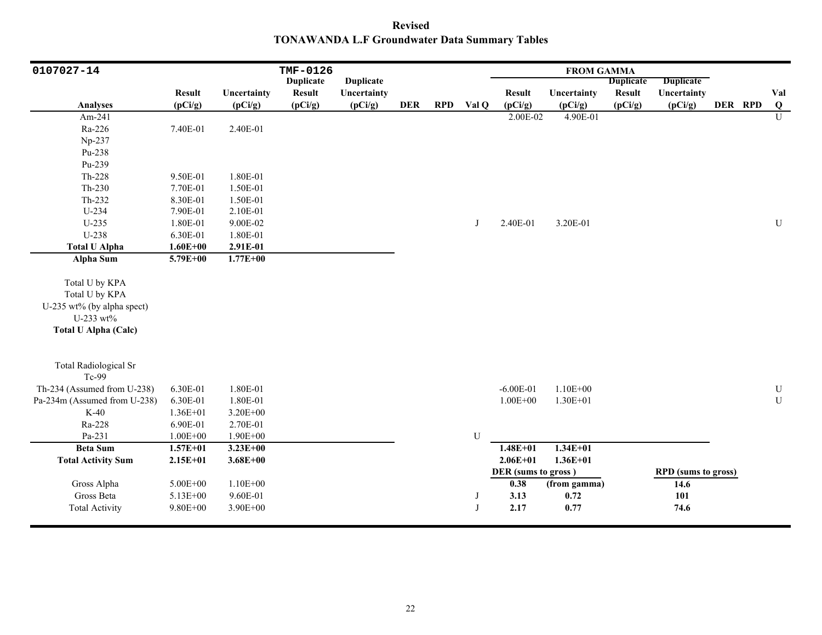**Revised TONAWANDA L.F Groundwater Data Summary Tables**

| 0107027-14                                                                                                 |               |              | TMF-0126         |                  |            |            |           |                     | <b>FROM GAMMA</b> |                  |                            |         |                |
|------------------------------------------------------------------------------------------------------------|---------------|--------------|------------------|------------------|------------|------------|-----------|---------------------|-------------------|------------------|----------------------------|---------|----------------|
|                                                                                                            |               |              | <b>Duplicate</b> | <b>Duplicate</b> |            |            |           |                     |                   | <b>Duplicate</b> | <b>Duplicate</b>           |         |                |
|                                                                                                            | <b>Result</b> | Uncertainty  | <b>Result</b>    | Uncertainty      |            |            |           | <b>Result</b>       | Uncertainty       | <b>Result</b>    | Uncertainty                |         | Val            |
| <b>Analyses</b>                                                                                            | (pCi/g)       | (pCi/g)      | (pCi/g)          | (pCi/g)          | <b>DER</b> | <b>RPD</b> | Val Q     | (pCi/g)             | (pCi/g)           | (pCi/g)          | (pCi/g)                    | DER RPD | $\bf{Q}$       |
| Am-241                                                                                                     |               |              |                  |                  |            |            |           | 2.00E-02            | 4.90E-01          |                  |                            |         | $\overline{U}$ |
| Ra-226                                                                                                     | 7.40E-01      | 2.40E-01     |                  |                  |            |            |           |                     |                   |                  |                            |         |                |
| Np-237                                                                                                     |               |              |                  |                  |            |            |           |                     |                   |                  |                            |         |                |
| Pu-238                                                                                                     |               |              |                  |                  |            |            |           |                     |                   |                  |                            |         |                |
| Pu-239                                                                                                     |               |              |                  |                  |            |            |           |                     |                   |                  |                            |         |                |
| Th-228                                                                                                     | 9.50E-01      | 1.80E-01     |                  |                  |            |            |           |                     |                   |                  |                            |         |                |
| $Th-230$                                                                                                   | 7.70E-01      | 1.50E-01     |                  |                  |            |            |           |                     |                   |                  |                            |         |                |
| $Th-232$                                                                                                   | 8.30E-01      | 1.50E-01     |                  |                  |            |            |           |                     |                   |                  |                            |         |                |
| $U-234$                                                                                                    | 7.90E-01      | 2.10E-01     |                  |                  |            |            |           |                     |                   |                  |                            |         |                |
| $U-235$                                                                                                    | 1.80E-01      | 9.00E-02     |                  |                  |            |            | J         | 2.40E-01            | 3.20E-01          |                  |                            |         | ${\bf U}$      |
| U-238                                                                                                      | 6.30E-01      | 1.80E-01     |                  |                  |            |            |           |                     |                   |                  |                            |         |                |
| <b>Total U Alpha</b>                                                                                       | $1.60E + 00$  | 2.91E-01     |                  |                  |            |            |           |                     |                   |                  |                            |         |                |
| <b>Alpha Sum</b>                                                                                           | $5.79E + 00$  | $1.77E + 00$ |                  |                  |            |            |           |                     |                   |                  |                            |         |                |
| Total U by KPA<br>Total U by KPA<br>U-235 wt% (by alpha spect)<br>U-233 wt%<br><b>Total U Alpha (Calc)</b> |               |              |                  |                  |            |            |           |                     |                   |                  |                            |         |                |
| <b>Total Radiological Sr</b><br>Tc-99                                                                      |               |              |                  |                  |            |            |           |                     |                   |                  |                            |         |                |
| Th-234 (Assumed from U-238)                                                                                | 6.30E-01      | 1.80E-01     |                  |                  |            |            |           | $-6.00E - 01$       | $1.10E + 00$      |                  |                            |         | $\mathbf U$    |
| Pa-234m (Assumed from U-238)                                                                               | 6.30E-01      | 1.80E-01     |                  |                  |            |            |           | $1.00E + 00$        | $1.30E + 01$      |                  |                            |         | ${\bf U}$      |
| $K-40$                                                                                                     | $1.36E + 01$  | 3.20E+00     |                  |                  |            |            |           |                     |                   |                  |                            |         |                |
| Ra-228                                                                                                     | 6.90E-01      | 2.70E-01     |                  |                  |            |            |           |                     |                   |                  |                            |         |                |
| Pa-231                                                                                                     | $1.00E + 00$  | 1.90E+00     |                  |                  |            |            | ${\bf U}$ |                     |                   |                  |                            |         |                |
| <b>Beta Sum</b>                                                                                            | $1.57E + 01$  | $3.23E + 00$ |                  |                  |            |            |           | $1.48E + 01$        | $1.34E + 01$      |                  |                            |         |                |
| <b>Total Activity Sum</b>                                                                                  | $2.15E + 01$  | $3.68E + 00$ |                  |                  |            |            |           | $2.06E + 01$        | $1.36E + 01$      |                  |                            |         |                |
|                                                                                                            |               |              |                  |                  |            |            |           | DER (sums to gross) |                   |                  | <b>RPD</b> (sums to gross) |         |                |
| Gross Alpha                                                                                                | 5.00E+00      | $1.10E + 00$ |                  |                  |            |            |           | 0.38                | (from gamma)      |                  | 14.6                       |         |                |
| Gross Beta                                                                                                 | 5.13E+00      | 9.60E-01     |                  |                  |            |            | J         | 3.13                | 0.72              |                  | 101                        |         |                |
| <b>Total Activity</b>                                                                                      | $9.80E + 00$  | 3.90E+00     |                  |                  |            |            |           | 2.17                | 0.77              |                  | 74.6                       |         |                |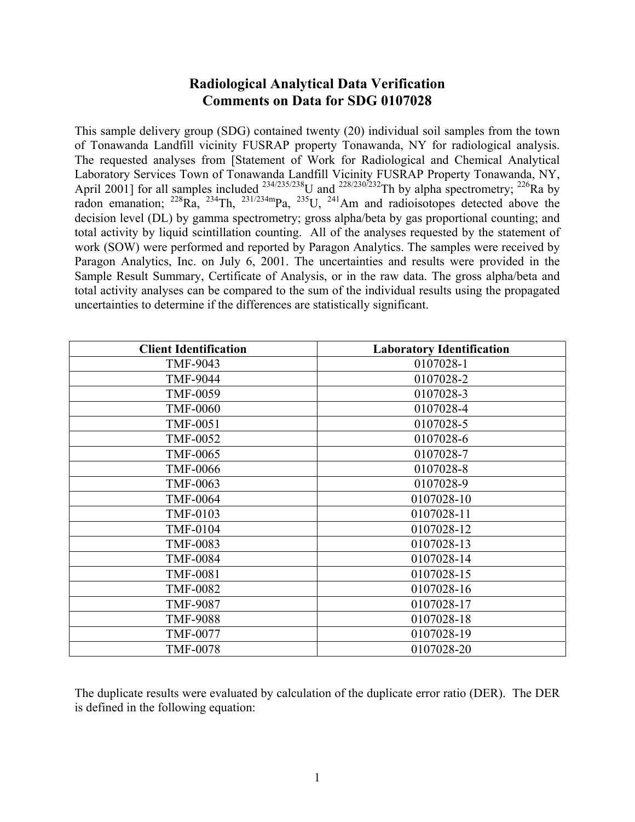# **Radiological Analytical Data Verification Comments on Data for SDG 0107028**

This sample delivery group (SDG) contained twenty (20) individual soil samples from the town of Tonawanda Landfill vicinity FUSRAP property Tonawanda, NY for radiological analysis. The requested analyses from [Statement of Work for Radiological and Chemical Analytical Laboratory Services Town of Tonawanda Landfill Vicinity FUSRAP Property Tonawanda, NY, April 2001] for all samples included  $^{234/235/238}$ U and  $^{228/230/232}$ Th by alpha spectrometry;  $^{226}$ Ra by radon emanation;  $^{228}Ra$ ,  $^{234}Th$ ,  $^{231/234m}Pa$ ,  $^{235}U$ ,  $^{241}Am$  and radioisotopes detected above the decision level (DL) by gamma spectrometry; gross alpha/beta by gas proportional counting; and total activity by liquid scintillation counting. All of the analyses requested by the statement of work (SOW) were performed and reported by Paragon Analytics. The samples were received by Paragon Analytics, Inc. on July 6, 2001. The uncertainties and results were provided in the Sample Result Summary, Certificate of Analysis, or in the raw data. The gross alpha/beta and total activity analyses can be compared to the sum of the individual results using the propagated uncertainties to determine if the differences are statistically significant.

| <b>Client Identification</b> | <b>Laboratory Identification</b> |
|------------------------------|----------------------------------|
| TMF-9043                     | 0107028-1                        |
| <b>TMF-9044</b>              | 0107028-2                        |
| <b>TMF-0059</b>              | 0107028-3                        |
| <b>TMF-0060</b>              | 0107028-4                        |
| <b>TMF-0051</b>              | 0107028-5                        |
| <b>TMF-0052</b>              | 0107028-6                        |
| <b>TMF-0065</b>              | 0107028-7                        |
| <b>TMF-0066</b>              | 0107028-8                        |
| <b>TMF-0063</b>              | 0107028-9                        |
| <b>TMF-0064</b>              | 0107028-10                       |
| <b>TMF-0103</b>              | 0107028-11                       |
| <b>TMF-0104</b>              | 0107028-12                       |
| <b>TMF-0083</b>              | 0107028-13                       |
| <b>TMF-0084</b>              | 0107028-14                       |
| <b>TMF-0081</b>              | 0107028-15                       |
| <b>TMF-0082</b>              | 0107028-16                       |
| <b>TMF-9087</b>              | 0107028-17                       |
| <b>TMF-9088</b>              | 0107028-18                       |
| <b>TMF-0077</b>              | 0107028-19                       |
| <b>TMF-0078</b>              | 0107028-20                       |

The duplicate results were evaluated by calculation of the duplicate error ratio (DER). The DER is defined in the following equation: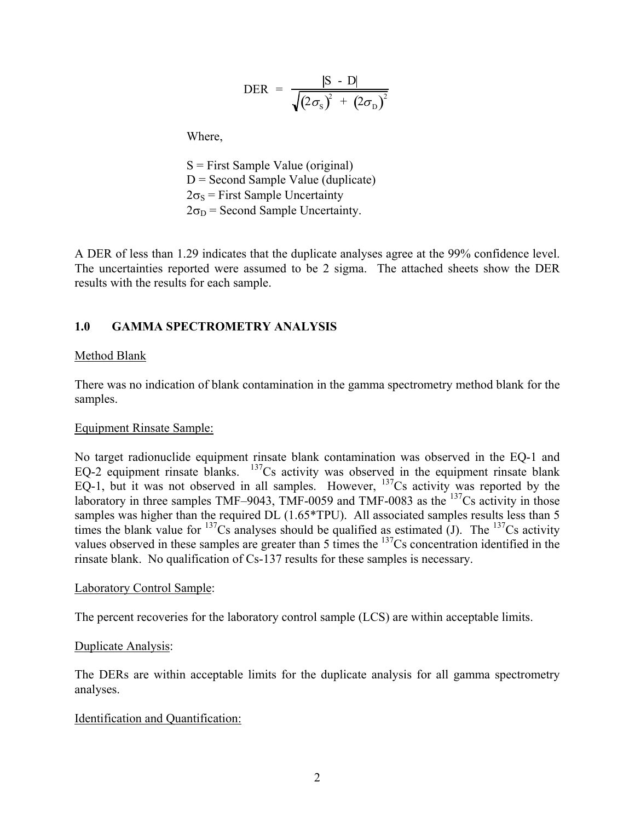$$
\text{DER} = \frac{|\text{S} - \text{D}|}{\sqrt{(2\sigma_{\text{S}})^{2} + (2\sigma_{\text{D}})^{2}}}
$$

Where,

 S = First Sample Value (original)  $D =$  Second Sample Value (duplicate)  $2\sigma_s$  = First Sample Uncertainty  $2\sigma_D$  = Second Sample Uncertainty.

A DER of less than 1.29 indicates that the duplicate analyses agree at the 99% confidence level. The uncertainties reported were assumed to be 2 sigma. The attached sheets show the DER results with the results for each sample.

## **1.0 GAMMA SPECTROMETRY ANALYSIS**

### Method Blank

There was no indication of blank contamination in the gamma spectrometry method blank for the samples.

### Equipment Rinsate Sample:

No target radionuclide equipment rinsate blank contamination was observed in the EQ-1 and EQ-2 equipment rinsate blanks.  $137$ Cs activity was observed in the equipment rinsate blank EQ-1, but it was not observed in all samples. However,  $^{137}$ Cs activity was reported by the laboratory in three samples TMF–9043, TMF-0059 and TMF-0083 as the <sup>137</sup>Cs activity in those samples was higher than the required DL (1.65\*TPU). All associated samples results less than 5 times the blank value for  $^{137}Cs$  analyses should be qualified as estimated (J). The  $^{137}Cs$  activity values observed in these samples are greater than 5 times the <sup>137</sup>Cs concentration identified in the rinsate blank. No qualification of Cs-137 results for these samples is necessary.

### Laboratory Control Sample:

The percent recoveries for the laboratory control sample (LCS) are within acceptable limits.

### Duplicate Analysis:

The DERs are within acceptable limits for the duplicate analysis for all gamma spectrometry analyses.

### Identification and Quantification: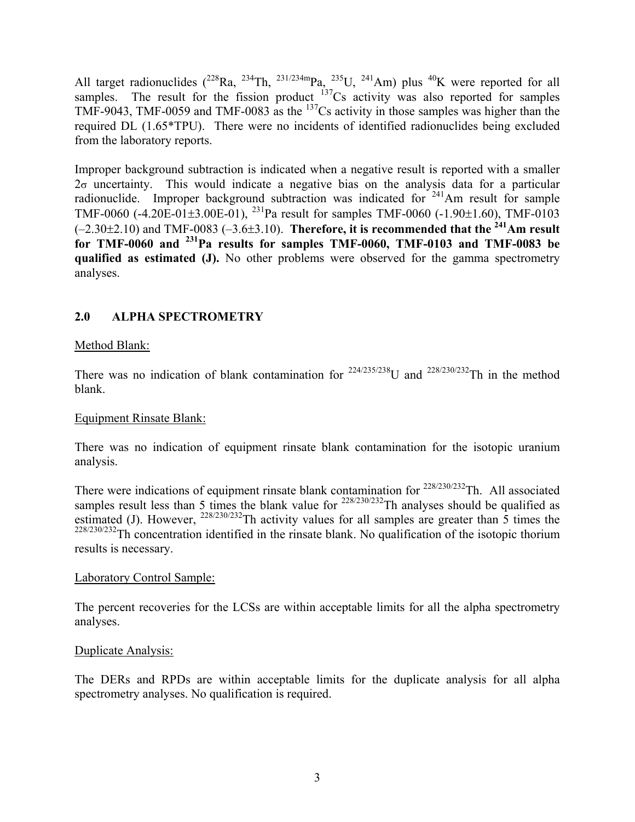All target radionuclides ( $^{228}$ Ra,  $^{234}$ Th,  $^{231/234m}$ Pa,  $^{235}$ U,  $^{241}$ Am) plus  $^{40}$ K were reported for all samples. The result for the fission product  $137Cs$  activity was also reported for samples TMF-9043, TMF-0059 and TMF-0083 as the 137Cs activity in those samples was higher than the required DL (1.65\*TPU). There were no incidents of identified radionuclides being excluded from the laboratory reports.

Improper background subtraction is indicated when a negative result is reported with a smaller  $2\sigma$  uncertainty. This would indicate a negative bias on the analysis data for a particular radionuclide. Improper background subtraction was indicated for  $241$ Am result for sample TMF-0060 (-4.20E-01±3.00E-01), <sup>231</sup>Pa result for samples TMF-0060 (-1.90±1.60), TMF-0103  $(-2.30\pm2.10)$  and TMF-0083  $(-3.6\pm3.10)$ . Therefore, it is recommended that the <sup>241</sup>Am result **for TMF-0060 and 231Pa results for samples TMF-0060, TMF-0103 and TMF-0083 be qualified as estimated (J).** No other problems were observed for the gamma spectrometry analyses.

# **2.0 ALPHA SPECTROMETRY**

## Method Blank:

There was no indication of blank contamination for  $^{224/235/238}$ U and  $^{228/230/232}$ Th in the method blank.

## Equipment Rinsate Blank:

There was no indication of equipment rinsate blank contamination for the isotopic uranium analysis.

There were indications of equipment rinsate blank contamination for  $228/230/232$ Th. All associated samples result less than 5 times the blank value for  $^{228/230/232}$ Th analyses should be qualified as estimated (J). However,  $^{228/230/232}$ Th activity values for all samples are greater than 5 times the  $228/230/232$ Th concentration identified in the rinsate blank. No qualification of the isotopic thorium results is necessary.

## Laboratory Control Sample:

The percent recoveries for the LCSs are within acceptable limits for all the alpha spectrometry analyses.

## Duplicate Analysis:

The DERs and RPDs are within acceptable limits for the duplicate analysis for all alpha spectrometry analyses. No qualification is required.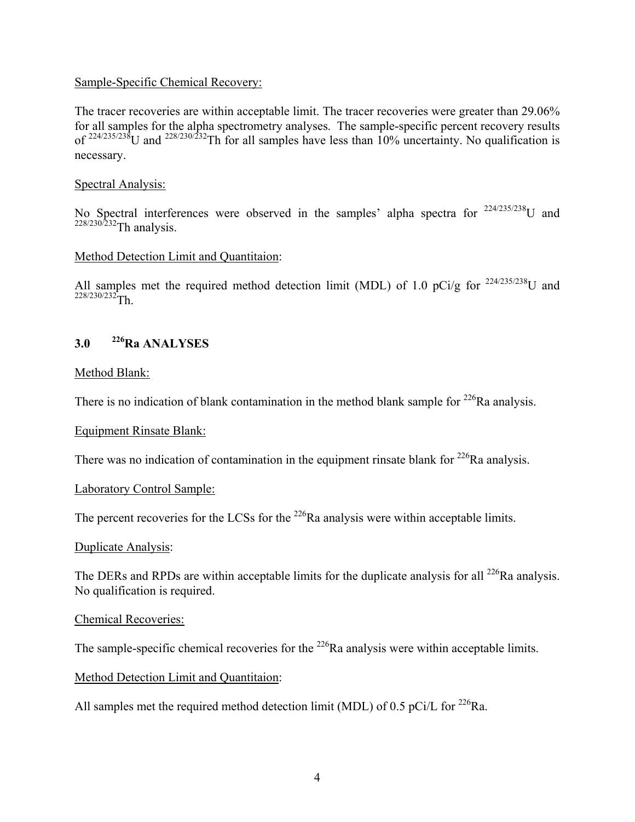### Sample-Specific Chemical Recovery:

The tracer recoveries are within acceptable limit. The tracer recoveries were greater than 29.06% for all samples for the alpha spectrometry analyses. The sample-specific percent recovery results of  $^{224/235/238}$ U and  $^{228/230/232}$ Th for all samples have less than  $10\%$  uncertainty. No qualification is necessary.

### Spectral Analysis:

No Spectral interferences were observed in the samples' alpha spectra for  $224/235/238$ U and <sup>228/230/232</sup>Th analysis.

### Method Detection Limit and Quantitaion:

All samples met the required method detection limit (MDL) of 1.0 pCi/g for  $^{224/235/238}$ U and  $228/230/232$ Th.

## **3.0 226Ra ANALYSES**

### Method Blank:

There is no indication of blank contamination in the method blank sample for  $^{226}$ Ra analysis.

### Equipment Rinsate Blank:

There was no indication of contamination in the equipment rinsate blank for  $^{226}$ Ra analysis.

## Laboratory Control Sample:

The percent recoveries for the LCSs for the <sup>226</sup>Ra analysis were within acceptable limits.

### Duplicate Analysis:

The DERs and RPDs are within acceptable limits for the duplicate analysis for all <sup>226</sup>Ra analysis. No qualification is required.

### Chemical Recoveries:

The sample-specific chemical recoveries for the  $^{226}$ Ra analysis were within acceptable limits.

## Method Detection Limit and Quantitaion:

All samples met the required method detection limit (MDL) of 0.5 pCi/L for  $^{226}$ Ra.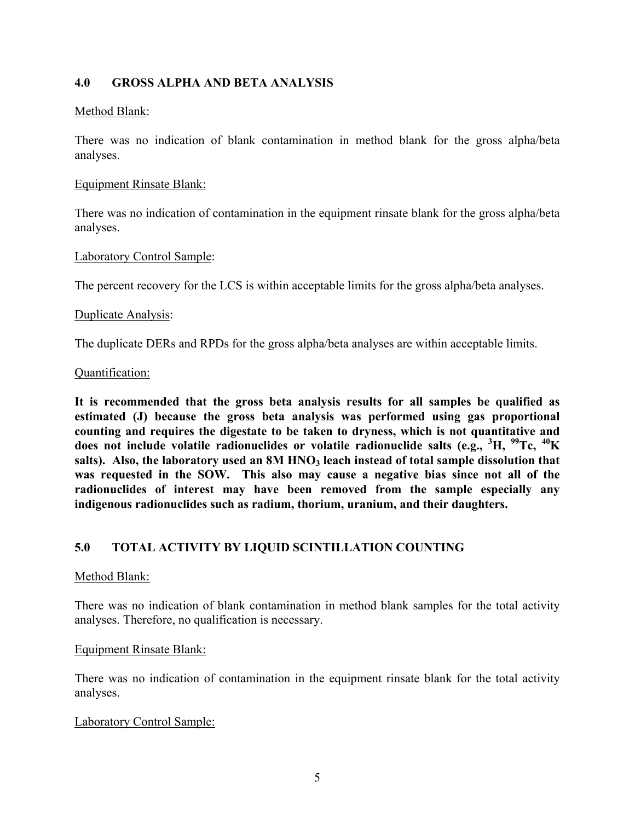## **4.0 GROSS ALPHA AND BETA ANALYSIS**

### Method Blank:

There was no indication of blank contamination in method blank for the gross alpha/beta analyses.

### Equipment Rinsate Blank:

There was no indication of contamination in the equipment rinsate blank for the gross alpha/beta analyses.

### Laboratory Control Sample:

The percent recovery for the LCS is within acceptable limits for the gross alpha/beta analyses.

#### Duplicate Analysis:

The duplicate DERs and RPDs for the gross alpha/beta analyses are within acceptable limits.

#### Quantification:

**It is recommended that the gross beta analysis results for all samples be qualified as estimated (J) because the gross beta analysis was performed using gas proportional counting and requires the digestate to be taken to dryness, which is not quantitative and does not include volatile radionuclides or volatile radionuclide salts (e.g., <sup>3</sup> H, 99Tc, 40K**  salts). Also, the laboratory used an 8M HNO<sub>3</sub> leach instead of total sample dissolution that **was requested in the SOW. This also may cause a negative bias since not all of the radionuclides of interest may have been removed from the sample especially any indigenous radionuclides such as radium, thorium, uranium, and their daughters.**

## **5.0 TOTAL ACTIVITY BY LIQUID SCINTILLATION COUNTING**

### Method Blank:

There was no indication of blank contamination in method blank samples for the total activity analyses. Therefore, no qualification is necessary.

### Equipment Rinsate Blank:

There was no indication of contamination in the equipment rinsate blank for the total activity analyses.

### Laboratory Control Sample: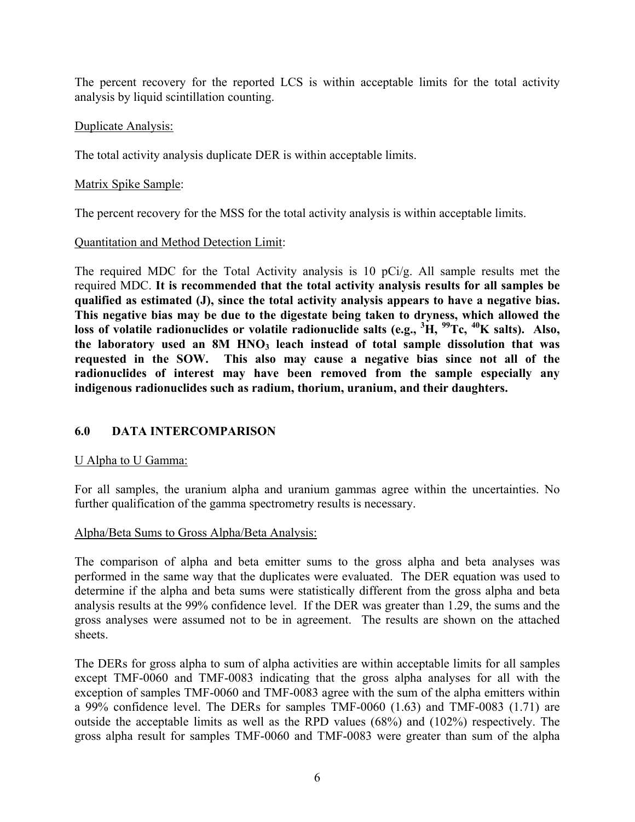The percent recovery for the reported LCS is within acceptable limits for the total activity analysis by liquid scintillation counting.

## Duplicate Analysis:

The total activity analysis duplicate DER is within acceptable limits.

## Matrix Spike Sample:

The percent recovery for the MSS for the total activity analysis is within acceptable limits.

## Quantitation and Method Detection Limit:

The required MDC for the Total Activity analysis is 10 pCi/g. All sample results met the required MDC. **It is recommended that the total activity analysis results for all samples be qualified as estimated (J), since the total activity analysis appears to have a negative bias. This negative bias may be due to the digestate being taken to dryness, which allowed the loss of volatile radionuclides or volatile radionuclide salts (e.g., <sup>3</sup> H, 99Tc, 40K salts). Also,**  the laboratory used an 8M HNO<sub>3</sub> leach instead of total sample dissolution that was **requested in the SOW. This also may cause a negative bias since not all of the radionuclides of interest may have been removed from the sample especially any indigenous radionuclides such as radium, thorium, uranium, and their daughters.**

# **6.0 DATA INTERCOMPARISON**

# U Alpha to U Gamma:

For all samples, the uranium alpha and uranium gammas agree within the uncertainties. No further qualification of the gamma spectrometry results is necessary.

## Alpha/Beta Sums to Gross Alpha/Beta Analysis:

The comparison of alpha and beta emitter sums to the gross alpha and beta analyses was performed in the same way that the duplicates were evaluated. The DER equation was used to determine if the alpha and beta sums were statistically different from the gross alpha and beta analysis results at the 99% confidence level. If the DER was greater than 1.29, the sums and the gross analyses were assumed not to be in agreement. The results are shown on the attached sheets.

The DERs for gross alpha to sum of alpha activities are within acceptable limits for all samples except TMF-0060 and TMF-0083 indicating that the gross alpha analyses for all with the exception of samples TMF-0060 and TMF-0083 agree with the sum of the alpha emitters within a 99% confidence level. The DERs for samples TMF-0060 (1.63) and TMF-0083 (1.71) are outside the acceptable limits as well as the RPD values (68%) and (102%) respectively. The gross alpha result for samples TMF-0060 and TMF-0083 were greater than sum of the alpha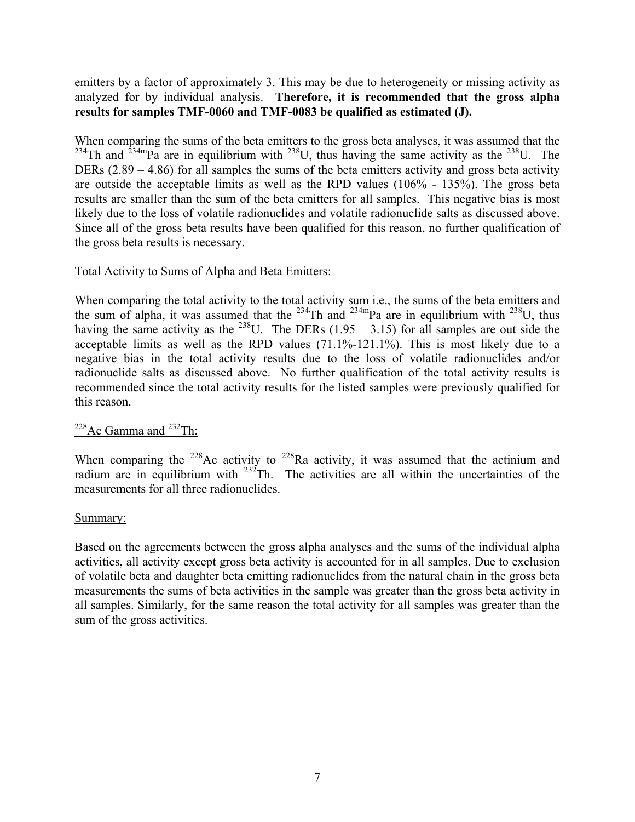## emitters by a factor of approximately 3. This may be due to heterogeneity or missing activity as analyzed for by individual analysis. **Therefore, it is recommended that the gross alpha results for samples TMF-0060 and TMF-0083 be qualified as estimated (J).**

When comparing the sums of the beta emitters to the gross beta analyses, it was assumed that the <sup>234</sup>Th and <sup>234m</sup>Pa are in equilibrium with <sup>238</sup>U, thus having the same activity as the <sup>238</sup>U. The DERs (2.89 – 4.86) for all samples the sums of the beta emitters activity and gross beta activity are outside the acceptable limits as well as the RPD values (106% - 135%). The gross beta results are smaller than the sum of the beta emitters for all samples. This negative bias is most likely due to the loss of volatile radionuclides and volatile radionuclide salts as discussed above. Since all of the gross beta results have been qualified for this reason, no further qualification of the gross beta results is necessary.

### Total Activity to Sums of Alpha and Beta Emitters:

When comparing the total activity to the total activity sum i.e., the sums of the beta emitters and when comparing the total activity to the total activity sum i.e., the sum of alpha, it was assumed that the  $^{234}$ Th and  $^{234}$ mPa are in equilibrium with  $^{238}$ U, thus having the same activity as the  $^{238}$ U. The DERs (1.95 – 3.15) for all samples are out side the acceptable limits as well as the RPD values (71.1%-121.1%). This is most likely due to a negative bias in the total activity results due to the loss of volatile radionuclides and/or radionuclide salts as discussed above. No further qualification of the total activity results is recommended since the total activity results for the listed samples were previously qualified for this reason.

## $228$ Ac Gamma and  $232$ Th:

When comparing the  $228$ Ac activity to  $228$ Ra activity, it was assumed that the actinium and radium are in equilibrium with  $232$ Th. The activities are all within the uncertainties of the measurements for all three radionuclides.

### Summary:

Based on the agreements between the gross alpha analyses and the sums of the individual alpha activities, all activity except gross beta activity is accounted for in all samples. Due to exclusion of volatile beta and daughter beta emitting radionuclides from the natural chain in the gross beta measurements the sums of beta activities in the sample was greater than the gross beta activity in all samples. Similarly, for the same reason the total activity for all samples was greater than the sum of the gross activities.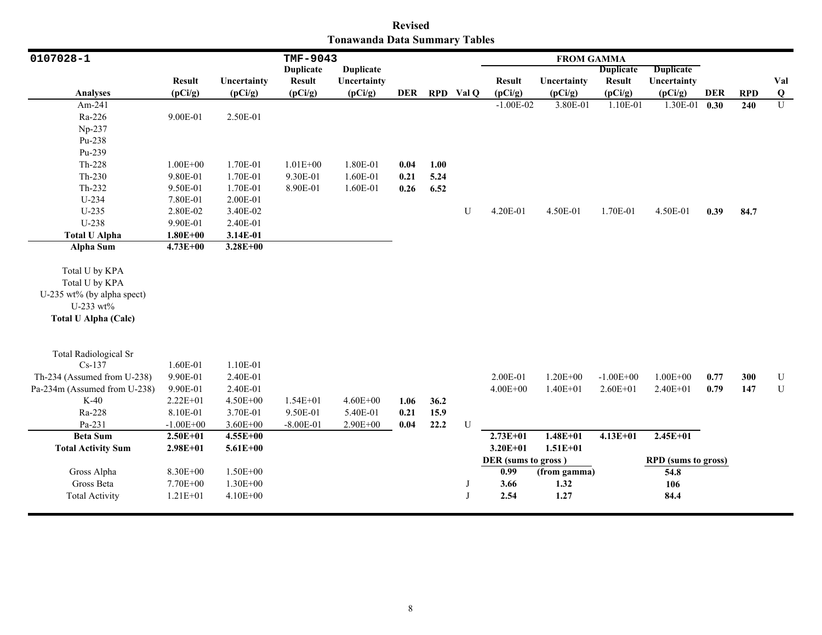| <b>Revised</b>                |  |  |  |  |  |  |  |  |  |  |  |
|-------------------------------|--|--|--|--|--|--|--|--|--|--|--|
| Tonawanda Data Summary Tables |  |  |  |  |  |  |  |  |  |  |  |

| 0107028-1                                                                                                  |               |              | TMF-9043         |                  |      |      |              |                     | <b>FROM GAMMA</b> |                  |                            |      |            |                |
|------------------------------------------------------------------------------------------------------------|---------------|--------------|------------------|------------------|------|------|--------------|---------------------|-------------------|------------------|----------------------------|------|------------|----------------|
|                                                                                                            |               |              | <b>Duplicate</b> | <b>Duplicate</b> |      |      |              |                     |                   | <b>Duplicate</b> | <b>Duplicate</b>           |      |            |                |
|                                                                                                            | <b>Result</b> | Uncertainty  | <b>Result</b>    | Uncertainty      |      |      |              | <b>Result</b>       | Uncertainty       | <b>Result</b>    | Uncertainty                |      |            | Val            |
| <b>Analyses</b>                                                                                            | (pCi/g)       | (pCi/g)      | (pCi/g)          | (pCi/g)          | DER  |      | RPD Val Q    | (pCi/g)             | (pCi/g)           | (pCi/g)          | (pCi/g)                    | DER  | <b>RPD</b> | $\bf Q$        |
| Am-241                                                                                                     |               |              |                  |                  |      |      |              | $-1.00E-02$         | 3.80E-01          | 1.10E-01         | 1.30E-01                   | 0.30 | 240        | $\overline{U}$ |
| Ra-226                                                                                                     | 9.00E-01      | 2.50E-01     |                  |                  |      |      |              |                     |                   |                  |                            |      |            |                |
| Np-237                                                                                                     |               |              |                  |                  |      |      |              |                     |                   |                  |                            |      |            |                |
| Pu-238                                                                                                     |               |              |                  |                  |      |      |              |                     |                   |                  |                            |      |            |                |
| Pu-239                                                                                                     |               |              |                  |                  |      |      |              |                     |                   |                  |                            |      |            |                |
| Th-228                                                                                                     | $1.00E + 00$  | 1.70E-01     | $1.01E + 00$     | 1.80E-01         | 0.04 | 1.00 |              |                     |                   |                  |                            |      |            |                |
| $Th-230$                                                                                                   | 9.80E-01      | 1.70E-01     | 9.30E-01         | 1.60E-01         | 0.21 | 5.24 |              |                     |                   |                  |                            |      |            |                |
| Th-232                                                                                                     | 9.50E-01      | 1.70E-01     | 8.90E-01         | 1.60E-01         | 0.26 | 6.52 |              |                     |                   |                  |                            |      |            |                |
| U-234                                                                                                      | 7.80E-01      | 2.00E-01     |                  |                  |      |      |              |                     |                   |                  |                            |      |            |                |
| $U-235$                                                                                                    | 2.80E-02      | 3.40E-02     |                  |                  |      |      | U            | 4.20E-01            | 4.50E-01          | 1.70E-01         | 4.50E-01                   | 0.39 | 84.7       |                |
| U-238                                                                                                      | 9.90E-01      | 2.40E-01     |                  |                  |      |      |              |                     |                   |                  |                            |      |            |                |
| <b>Total U Alpha</b>                                                                                       | $1.80E + 00$  | 3.14E-01     |                  |                  |      |      |              |                     |                   |                  |                            |      |            |                |
| <b>Alpha Sum</b>                                                                                           | 4.73E+00      | $3.28E + 00$ |                  |                  |      |      |              |                     |                   |                  |                            |      |            |                |
| Total U by KPA<br>Total U by KPA<br>U-235 wt% (by alpha spect)<br>U-233 wt%<br><b>Total U Alpha (Calc)</b> |               |              |                  |                  |      |      |              |                     |                   |                  |                            |      |            |                |
| <b>Total Radiological Sr</b><br>$Cs-137$                                                                   | 1.60E-01      | 1.10E-01     |                  |                  |      |      |              |                     |                   |                  |                            |      |            |                |
| Th-234 (Assumed from U-238)                                                                                | 9.90E-01      | 2.40E-01     |                  |                  |      |      |              | 2.00E-01            | $1.20E + 00$      | $-1.00E + 00$    | $1.00E + 00$               | 0.77 | 300        | U              |
| Pa-234m (Assumed from U-238)                                                                               | 9.90E-01      | 2.40E-01     |                  |                  |      |      |              | $4.00E + 00$        | $1.40E + 01$      | $2.60E + 01$     | 2.40E+01                   | 0.79 | 147        | ${\bf U}$      |
| $K-40$                                                                                                     | 2.22E+01      | 4.50E+00     | $1.54E + 01$     | $4.60E + 00$     | 1.06 | 36.2 |              |                     |                   |                  |                            |      |            |                |
| Ra-228                                                                                                     | 8.10E-01      | 3.70E-01     | 9.50E-01         | 5.40E-01         | 0.21 | 15.9 |              |                     |                   |                  |                            |      |            |                |
| Pa-231                                                                                                     | $-1.00E + 00$ | $3.60E + 00$ | $-8.00E - 01$    | 2.90E+00         | 0.04 | 22.2 | U            |                     |                   |                  |                            |      |            |                |
| <b>Beta Sum</b>                                                                                            | $2.50E + 01$  | $4.55E+00$   |                  |                  |      |      |              | $2.73E+01$          | $1.48E + 01$      | $4.13E+01$       | $2.45E+01$                 |      |            |                |
| <b>Total Activity Sum</b>                                                                                  | $2.98E + 01$  | $5.61E + 00$ |                  |                  |      |      |              | $3.20E + 01$        | $1.51E + 01$      |                  |                            |      |            |                |
|                                                                                                            |               |              |                  |                  |      |      |              | DER (sums to gross) |                   |                  | <b>RPD</b> (sums to gross) |      |            |                |
| Gross Alpha                                                                                                | 8.30E+00      | $1.50E + 00$ |                  |                  |      |      |              | 0.99                | (from gamma)      |                  | 54.8                       |      |            |                |
| Gross Beta                                                                                                 | 7.70E+00      | $1.30E + 00$ |                  |                  |      |      | J            | 3.66                | 1.32              |                  | 106                        |      |            |                |
| <b>Total Activity</b>                                                                                      | $1.21E + 01$  | 4.10E+00     |                  |                  |      |      | $\mathbf{J}$ | 2.54                | 1.27              |                  | 84.4                       |      |            |                |
|                                                                                                            |               |              |                  |                  |      |      |              |                     |                   |                  |                            |      |            |                |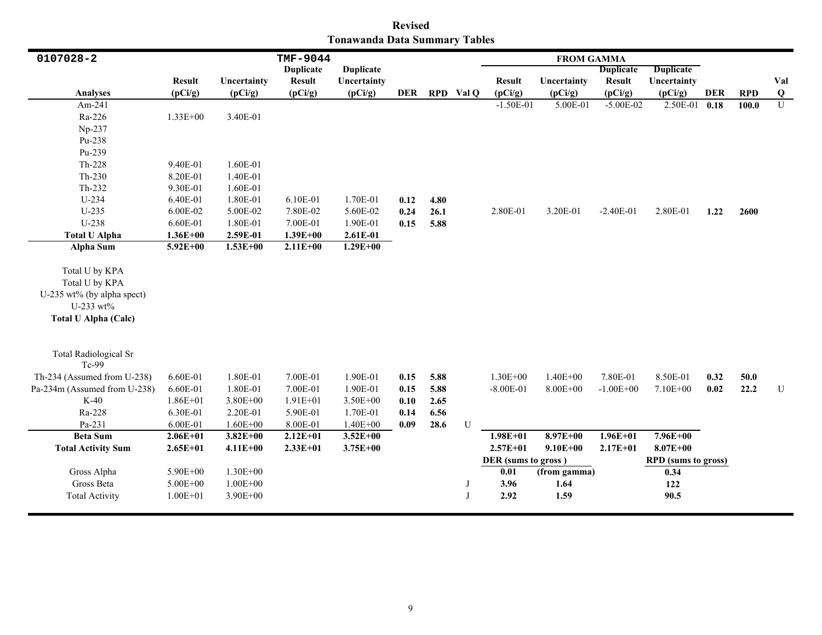| <b>Revised</b>                |  |  |  |  |  |  |  |  |  |  |  |
|-------------------------------|--|--|--|--|--|--|--|--|--|--|--|
| Tonawanda Data Summary Tables |  |  |  |  |  |  |  |  |  |  |  |

| 0107028-2                                                                                                  |               |              | TMF-9044         |                  |      |               |              |                     | <b>FROM GAMMA</b><br><b>Duplicate</b><br><b>Duplicate</b><br><b>Result</b><br><b>Result</b><br>Uncertainty<br>Uncertainty |               |                            |      |            |           |
|------------------------------------------------------------------------------------------------------------|---------------|--------------|------------------|------------------|------|---------------|--------------|---------------------|---------------------------------------------------------------------------------------------------------------------------|---------------|----------------------------|------|------------|-----------|
|                                                                                                            |               |              | <b>Duplicate</b> | <b>Duplicate</b> |      |               |              |                     |                                                                                                                           |               |                            |      |            |           |
|                                                                                                            | <b>Result</b> | Uncertainty  | <b>Result</b>    | Uncertainty      |      |               |              |                     |                                                                                                                           |               |                            |      |            | Val       |
| <b>Analyses</b>                                                                                            | (pCi/g)       | (pCi/g)      | (pCi/g)          | (pCi/g)          |      | DER RPD Val Q |              | (pCi/g)             | (pCi/g)                                                                                                                   | (pCi/g)       | (pCi/g)                    | DER  | <b>RPD</b> | Q         |
| Am-241                                                                                                     |               |              |                  |                  |      |               |              | $-1.50E-01$         | 5.00E-01                                                                                                                  | $-5.00E-02$   | 2.50E-01                   | 0.18 | 100.0      | U         |
| Ra-226                                                                                                     | $1.33E + 00$  | 3.40E-01     |                  |                  |      |               |              |                     |                                                                                                                           |               |                            |      |            |           |
| Np-237                                                                                                     |               |              |                  |                  |      |               |              |                     |                                                                                                                           |               |                            |      |            |           |
| Pu-238                                                                                                     |               |              |                  |                  |      |               |              |                     |                                                                                                                           |               |                            |      |            |           |
| Pu-239                                                                                                     |               |              |                  |                  |      |               |              |                     |                                                                                                                           |               |                            |      |            |           |
| Th-228                                                                                                     | 9.40E-01      | 1.60E-01     |                  |                  |      |               |              |                     |                                                                                                                           |               |                            |      |            |           |
| $Th-230$                                                                                                   | 8.20E-01      | 1.40E-01     |                  |                  |      |               |              |                     |                                                                                                                           |               |                            |      |            |           |
| Th-232                                                                                                     | 9.30E-01      | 1.60E-01     |                  |                  |      |               |              |                     |                                                                                                                           |               |                            |      |            |           |
| U-234                                                                                                      | 6.40E-01      | 1.80E-01     | 6.10E-01         | 1.70E-01         | 0.12 | 4.80          |              |                     |                                                                                                                           |               |                            |      |            |           |
| $U-235$                                                                                                    | 6.00E-02      | 5.00E-02     | 7.80E-02         | 5.60E-02         | 0.24 | 26.1          |              | 2.80E-01            | 3.20E-01                                                                                                                  | $-2.40E-01$   | 2.80E-01                   | 1.22 | 2600       |           |
| U-238                                                                                                      | 6.60E-01      | 1.80E-01     | 7.00E-01         | 1.90E-01         | 0.15 | 5.88          |              |                     |                                                                                                                           |               |                            |      |            |           |
| <b>Total U Alpha</b>                                                                                       | $1.36E + 00$  | 2.59E-01     | $1.39E + 00$     | 2.61E-01         |      |               |              |                     |                                                                                                                           |               |                            |      |            |           |
| Alpha Sum                                                                                                  | $5.92E + 00$  | $1.53E + 00$ | $2.11E+00$       | $1.29E + 00$     |      |               |              |                     |                                                                                                                           |               |                            |      |            |           |
| Total U by KPA<br>Total U by KPA<br>U-235 wt% (by alpha spect)<br>U-233 wt%<br><b>Total U Alpha (Calc)</b> |               |              |                  |                  |      |               |              |                     |                                                                                                                           |               |                            |      |            |           |
| <b>Total Radiological Sr</b><br>Tc-99                                                                      |               |              |                  |                  |      |               |              |                     |                                                                                                                           |               |                            |      |            |           |
| Th-234 (Assumed from U-238)                                                                                | 6.60E-01      | 1.80E-01     | 7.00E-01         | 1.90E-01         | 0.15 | 5.88          |              | $1.30E + 00$        | $1.40E + 00$                                                                                                              | 7.80E-01      | 8.50E-01                   | 0.32 | 50.0       |           |
| Pa-234m (Assumed from U-238)                                                                               | 6.60E-01      | 1.80E-01     | 7.00E-01         | 1.90E-01         | 0.15 | 5.88          |              | $-8.00E - 01$       | $8.00E + 00$                                                                                                              | $-1.00E + 00$ | 7.10E+00                   | 0.02 | 22.2       | ${\bf U}$ |
| $K-40$                                                                                                     | $1.86E + 01$  | 3.80E+00     | $1.91E + 01$     | 3.50E+00         | 0.10 | 2.65          |              |                     |                                                                                                                           |               |                            |      |            |           |
| Ra-228                                                                                                     | 6.30E-01      | 2.20E-01     | 5.90E-01         | 1.70E-01         | 0.14 | 6.56          |              |                     |                                                                                                                           |               |                            |      |            |           |
| Pa-231                                                                                                     | 6.00E-01      | $1.60E + 00$ | 8.00E-01         | $1.40E + 00$     | 0.09 | 28.6          | U            |                     |                                                                                                                           |               |                            |      |            |           |
| <b>Beta Sum</b>                                                                                            | $2.06E + 01$  | $3.82E + 00$ | $2.12E+01$       | $3.52E + 00$     |      |               |              | $1.98E + 01$        | $8.97E + 00$                                                                                                              | $1.96E + 01$  | $7.96E + 00$               |      |            |           |
| <b>Total Activity Sum</b>                                                                                  | $2.65E+01$    | $4.11E+00$   | $2.33E+01$       | $3.75E + 00$     |      |               |              | $2.57E + 01$        | $9.10E + 00$                                                                                                              | $2.17E + 01$  | $8.07E + 00$               |      |            |           |
|                                                                                                            |               |              |                  |                  |      |               |              | DER (sums to gross) |                                                                                                                           |               | <b>RPD</b> (sums to gross) |      |            |           |
| Gross Alpha                                                                                                | 5.90E+00      | $1.30E + 00$ |                  |                  |      |               |              | 0.01                | (from gamma)                                                                                                              |               | 0.34                       |      |            |           |
| Gross Beta                                                                                                 | $5.00E + 00$  | $1.00E + 00$ |                  |                  |      |               | J            | 3.96                | 1.64                                                                                                                      |               | 122                        |      |            |           |
| <b>Total Activity</b>                                                                                      | $1.00E + 01$  | 3.90E+00     |                  |                  |      |               | $\mathbf{J}$ | 2.92                | 1.59                                                                                                                      |               | 90.5                       |      |            |           |
|                                                                                                            |               |              |                  |                  |      |               |              |                     |                                                                                                                           |               |                            |      |            |           |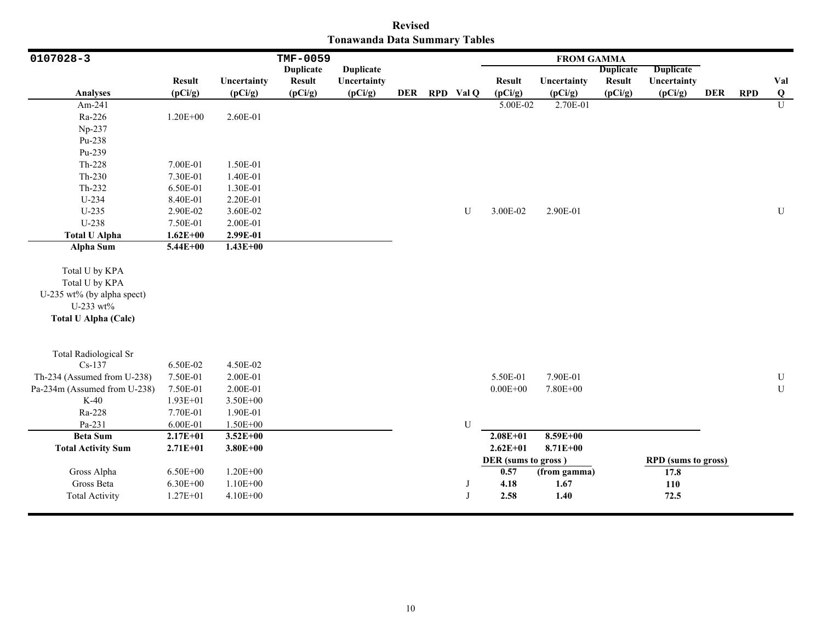|                               | <b>Revised</b> |  |
|-------------------------------|----------------|--|
| Tonawanda Data Summary Tables |                |  |

| 0107028-3                                                                                                  |               |              | <b>TMF-0059</b>  |                  |  |               |                     | <b>FROM GAMMA</b> |                  |                            |            |            |                         |
|------------------------------------------------------------------------------------------------------------|---------------|--------------|------------------|------------------|--|---------------|---------------------|-------------------|------------------|----------------------------|------------|------------|-------------------------|
|                                                                                                            |               |              | <b>Duplicate</b> | <b>Duplicate</b> |  |               |                     |                   | <b>Duplicate</b> | <b>Duplicate</b>           |            |            |                         |
|                                                                                                            | <b>Result</b> | Uncertainty  | <b>Result</b>    | Uncertainty      |  |               | <b>Result</b>       | Uncertainty       | <b>Result</b>    | Uncertainty                |            |            | Val                     |
| <b>Analyses</b>                                                                                            | (pCi/g)       | (pCi/g)      | (pCi/g)          | (pCi/g)          |  | DER RPD Val Q | (pCi/g)             | (pCi/g)           | (pCi/g)          | (pCi/g)                    | <b>DER</b> | <b>RPD</b> | $\overline{\mathbf{Q}}$ |
| Am-241                                                                                                     |               |              |                  |                  |  |               | 5.00E-02            | 2.70E-01          |                  |                            |            |            | $\overline{U}$          |
| Ra-226                                                                                                     | $1.20E + 00$  | 2.60E-01     |                  |                  |  |               |                     |                   |                  |                            |            |            |                         |
| Np-237                                                                                                     |               |              |                  |                  |  |               |                     |                   |                  |                            |            |            |                         |
| Pu-238                                                                                                     |               |              |                  |                  |  |               |                     |                   |                  |                            |            |            |                         |
| Pu-239                                                                                                     |               |              |                  |                  |  |               |                     |                   |                  |                            |            |            |                         |
| $Th-228$                                                                                                   | 7.00E-01      | 1.50E-01     |                  |                  |  |               |                     |                   |                  |                            |            |            |                         |
| $Th-230$                                                                                                   | 7.30E-01      | 1.40E-01     |                  |                  |  |               |                     |                   |                  |                            |            |            |                         |
| Th-232                                                                                                     | 6.50E-01      | 1.30E-01     |                  |                  |  |               |                     |                   |                  |                            |            |            |                         |
| U-234                                                                                                      | 8.40E-01      | 2.20E-01     |                  |                  |  |               |                     |                   |                  |                            |            |            |                         |
| $U-235$                                                                                                    | 2.90E-02      | 3.60E-02     |                  |                  |  | U             | 3.00E-02            | 2.90E-01          |                  |                            |            |            | ${\bf U}$               |
| U-238                                                                                                      | 7.50E-01      | 2.00E-01     |                  |                  |  |               |                     |                   |                  |                            |            |            |                         |
| <b>Total U Alpha</b>                                                                                       | $1.62E + 00$  | 2.99E-01     |                  |                  |  |               |                     |                   |                  |                            |            |            |                         |
| Alpha Sum                                                                                                  | $5.44E + 00$  | $1.43E+00$   |                  |                  |  |               |                     |                   |                  |                            |            |            |                         |
| Total U by KPA<br>Total U by KPA<br>U-235 wt% (by alpha spect)<br>U-233 wt%<br><b>Total U Alpha (Calc)</b> |               |              |                  |                  |  |               |                     |                   |                  |                            |            |            |                         |
|                                                                                                            |               |              |                  |                  |  |               |                     |                   |                  |                            |            |            |                         |
| <b>Total Radiological Sr</b><br>$Cs-137$                                                                   | 6.50E-02      | 4.50E-02     |                  |                  |  |               |                     |                   |                  |                            |            |            |                         |
| Th-234 (Assumed from U-238)                                                                                | 7.50E-01      | 2.00E-01     |                  |                  |  |               | 5.50E-01            | 7.90E-01          |                  |                            |            |            | ${\bf U}$               |
| Pa-234m (Assumed from U-238)                                                                               | 7.50E-01      | 2.00E-01     |                  |                  |  |               | $0.00E + 00$        | 7.80E+00          |                  |                            |            |            | $\mathbf U$             |
| $K-40$                                                                                                     | $1.93E + 01$  | 3.50E+00     |                  |                  |  |               |                     |                   |                  |                            |            |            |                         |
| Ra-228                                                                                                     | 7.70E-01      | 1.90E-01     |                  |                  |  |               |                     |                   |                  |                            |            |            |                         |
| Pa-231                                                                                                     | 6.00E-01      | 1.50E+00     |                  |                  |  | U             |                     |                   |                  |                            |            |            |                         |
| <b>Beta Sum</b>                                                                                            | $2.17E+01$    | $3.52E+00$   |                  |                  |  |               | $2.08E + 01$        | $8.59E + 00$      |                  |                            |            |            |                         |
| <b>Total Activity Sum</b>                                                                                  | $2.71E + 01$  | $3.80E + 00$ |                  |                  |  |               | $2.62E + 01$        | $8.71E + 00$      |                  |                            |            |            |                         |
|                                                                                                            |               |              |                  |                  |  |               | DER (sums to gross) |                   |                  | <b>RPD</b> (sums to gross) |            |            |                         |
| Gross Alpha                                                                                                | $6.50E + 00$  | $1.20E + 00$ |                  |                  |  |               | 0.57                | (from gamma)      |                  | 17.8                       |            |            |                         |
| Gross Beta                                                                                                 | $6.30E + 00$  | $1.10E + 00$ |                  |                  |  | J             | 4.18                | 1.67              |                  | 110                        |            |            |                         |
| <b>Total Activity</b>                                                                                      | $1.27E + 01$  | 4.10E+00     |                  |                  |  | J             | 2.58                | 1.40              |                  | 72.5                       |            |            |                         |
|                                                                                                            |               |              |                  |                  |  |               |                     |                   |                  |                            |            |            |                         |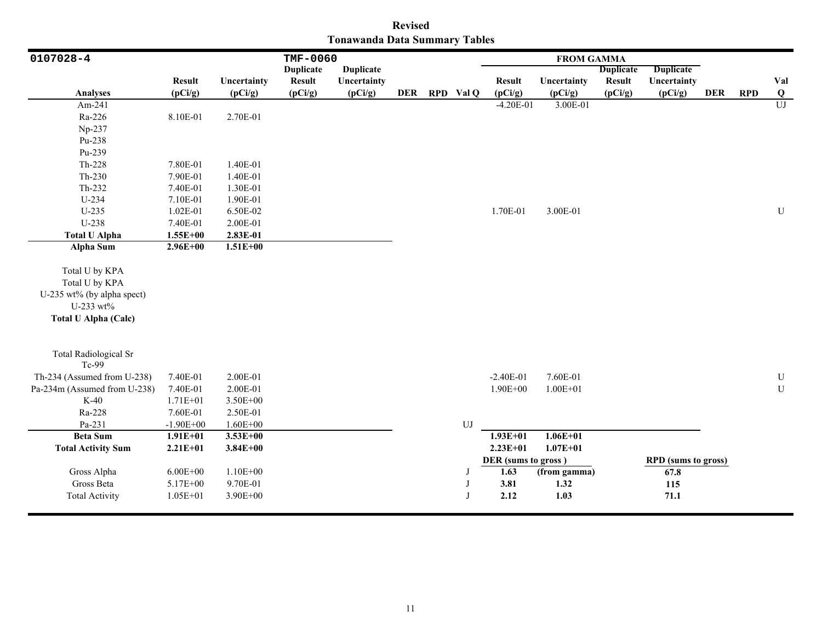|                               | <b>Revised</b> |  |
|-------------------------------|----------------|--|
| Tonawanda Data Summary Tables |                |  |

| 0107028-4                    |                          |                        | TMF-0060                 |                        |  |               |                          | <b>FROM GAMMA</b>      |                          |                            |            |            |                 |
|------------------------------|--------------------------|------------------------|--------------------------|------------------------|--|---------------|--------------------------|------------------------|--------------------------|----------------------------|------------|------------|-----------------|
|                              |                          |                        | <b>Duplicate</b>         | <b>Duplicate</b>       |  |               |                          |                        | <b>Duplicate</b>         | <b>Duplicate</b>           |            |            |                 |
| <b>Analyses</b>              | <b>Result</b><br>(pCi/g) | Uncertainty<br>(pCi/g) | <b>Result</b><br>(pCi/g) | Uncertainty<br>(pCi/g) |  | DER RPD Val Q | <b>Result</b><br>(pCi/g) | Uncertainty<br>(pCi/g) | <b>Result</b><br>(pCi/g) | Uncertainty<br>(pCi/g)     | <b>DER</b> | <b>RPD</b> | Val<br>$\bf{Q}$ |
| Am-241                       |                          |                        |                          |                        |  |               | $-4.20E-01$              | 3.00E-01               |                          |                            |            |            | U               |
| Ra-226                       | 8.10E-01                 | 2.70E-01               |                          |                        |  |               |                          |                        |                          |                            |            |            |                 |
| Np-237                       |                          |                        |                          |                        |  |               |                          |                        |                          |                            |            |            |                 |
| Pu-238                       |                          |                        |                          |                        |  |               |                          |                        |                          |                            |            |            |                 |
| Pu-239                       |                          |                        |                          |                        |  |               |                          |                        |                          |                            |            |            |                 |
| Th-228                       | 7.80E-01                 | 1.40E-01               |                          |                        |  |               |                          |                        |                          |                            |            |            |                 |
| $Th-230$                     | 7.90E-01                 | 1.40E-01               |                          |                        |  |               |                          |                        |                          |                            |            |            |                 |
| Th-232                       | 7.40E-01                 | 1.30E-01               |                          |                        |  |               |                          |                        |                          |                            |            |            |                 |
| U-234                        | 7.10E-01                 | 1.90E-01               |                          |                        |  |               |                          |                        |                          |                            |            |            |                 |
| $U-235$                      | 1.02E-01                 | 6.50E-02               |                          |                        |  |               | 1.70E-01                 | 3.00E-01               |                          |                            |            |            | ${\bf U}$       |
| U-238                        | 7.40E-01                 | 2.00E-01               |                          |                        |  |               |                          |                        |                          |                            |            |            |                 |
| <b>Total U Alpha</b>         | $1.55E+00$               | 2.83E-01               |                          |                        |  |               |                          |                        |                          |                            |            |            |                 |
| <b>Alpha Sum</b>             | $2.96E+00$               | $1.51E+00$             |                          |                        |  |               |                          |                        |                          |                            |            |            |                 |
| Total U by KPA               |                          |                        |                          |                        |  |               |                          |                        |                          |                            |            |            |                 |
| Total U by KPA               |                          |                        |                          |                        |  |               |                          |                        |                          |                            |            |            |                 |
| U-235 wt% (by alpha spect)   |                          |                        |                          |                        |  |               |                          |                        |                          |                            |            |            |                 |
| U-233 wt%                    |                          |                        |                          |                        |  |               |                          |                        |                          |                            |            |            |                 |
| <b>Total U Alpha (Calc)</b>  |                          |                        |                          |                        |  |               |                          |                        |                          |                            |            |            |                 |
|                              |                          |                        |                          |                        |  |               |                          |                        |                          |                            |            |            |                 |
| <b>Total Radiological Sr</b> |                          |                        |                          |                        |  |               |                          |                        |                          |                            |            |            |                 |
| Tc-99                        |                          |                        |                          |                        |  |               |                          |                        |                          |                            |            |            |                 |
| Th-234 (Assumed from U-238)  | 7.40E-01                 | 2.00E-01               |                          |                        |  |               | $-2.40E-01$              | 7.60E-01               |                          |                            |            |            | ${\bf U}$       |
| Pa-234m (Assumed from U-238) | 7.40E-01                 | 2.00E-01               |                          |                        |  |               | $1.90E + 00$             | $1.00E + 01$           |                          |                            |            |            | ${\bf U}$       |
| $K-40$                       | 1.71E+01                 | 3.50E+00               |                          |                        |  |               |                          |                        |                          |                            |            |            |                 |
| Ra-228                       | 7.60E-01                 | 2.50E-01               |                          |                        |  |               |                          |                        |                          |                            |            |            |                 |
| Pa-231                       | $-1.90E + 00$            | $1.60E + 00$           |                          |                        |  | UJ            |                          |                        |                          |                            |            |            |                 |
| <b>Beta Sum</b>              | $1.91E + 01$             | $3.53E+00$             |                          |                        |  |               | $1.93E + 01$             | $1.06E + 01$           |                          |                            |            |            |                 |
| <b>Total Activity Sum</b>    | $2.21E+01$               | $3.84E + 00$           |                          |                        |  |               | $2.23E+01$               | $1.07E + 01$           |                          |                            |            |            |                 |
|                              |                          |                        |                          |                        |  |               | DER (sums to gross)      |                        |                          | <b>RPD</b> (sums to gross) |            |            |                 |
| Gross Alpha                  | $6.00E + 00$             | $1.10E + 00$           |                          |                        |  | J             | 1.63                     | (from gamma)           |                          | 67.8                       |            |            |                 |
| Gross Beta                   | 5.17E+00                 | 9.70E-01               |                          |                        |  | J             | 3.81                     | 1.32                   |                          | 115                        |            |            |                 |
| <b>Total Activity</b>        | $1.05E + 01$             | 3.90E+00               |                          |                        |  | J             | 2.12                     | 1.03                   |                          | 71.1                       |            |            |                 |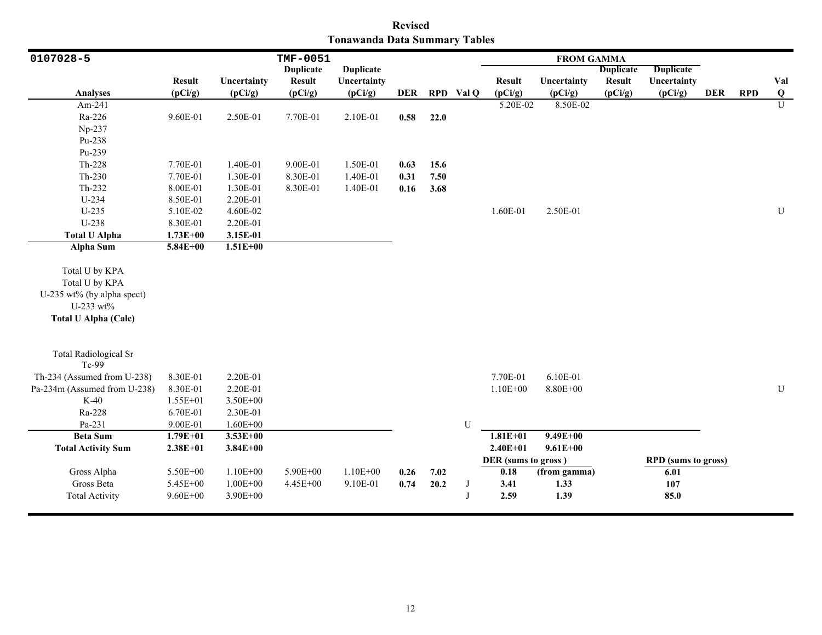|                               | <b>Revised</b> |  |
|-------------------------------|----------------|--|
| Tonawanda Data Summary Tables |                |  |

| 0107028-5                                                                                                  |               |              | <b>TMF-0051</b>  |                  |      |      |           |                     | <b>FROM GAMMA</b> |                  |                            |            |            |              |
|------------------------------------------------------------------------------------------------------------|---------------|--------------|------------------|------------------|------|------|-----------|---------------------|-------------------|------------------|----------------------------|------------|------------|--------------|
|                                                                                                            |               |              | <b>Duplicate</b> | <b>Duplicate</b> |      |      |           |                     |                   | <b>Duplicate</b> | <b>Duplicate</b>           |            |            |              |
|                                                                                                            | <b>Result</b> | Uncertainty  | <b>Result</b>    | Uncertainty      |      |      |           | <b>Result</b>       | Uncertainty       | <b>Result</b>    | Uncertainty                |            |            | Val          |
| <b>Analyses</b>                                                                                            | (pCi/g)       | (pCi/g)      | (pCi/g)          | (pCi/g)          | DER  |      | RPD Val Q | (pCi/g)             | (pCi/g)           | (pCi/g)          | (pCi/g)                    | <b>DER</b> | <b>RPD</b> | Q            |
| Am-241                                                                                                     |               |              |                  |                  |      |      |           | 5.20E-02            | 8.50E-02          |                  |                            |            |            | $\mathbf{U}$ |
| Ra-226                                                                                                     | 9.60E-01      | 2.50E-01     | 7.70E-01         | 2.10E-01         | 0.58 | 22.0 |           |                     |                   |                  |                            |            |            |              |
| Np-237                                                                                                     |               |              |                  |                  |      |      |           |                     |                   |                  |                            |            |            |              |
| Pu-238                                                                                                     |               |              |                  |                  |      |      |           |                     |                   |                  |                            |            |            |              |
| Pu-239                                                                                                     |               |              |                  |                  |      |      |           |                     |                   |                  |                            |            |            |              |
| Th-228                                                                                                     | 7.70E-01      | 1.40E-01     | 9.00E-01         | 1.50E-01         | 0.63 | 15.6 |           |                     |                   |                  |                            |            |            |              |
| $Th-230$                                                                                                   | 7.70E-01      | 1.30E-01     | 8.30E-01         | 1.40E-01         | 0.31 | 7.50 |           |                     |                   |                  |                            |            |            |              |
| $Th-232$                                                                                                   | 8.00E-01      | 1.30E-01     | 8.30E-01         | 1.40E-01         | 0.16 | 3.68 |           |                     |                   |                  |                            |            |            |              |
| $U-234$                                                                                                    | 8.50E-01      | 2.20E-01     |                  |                  |      |      |           |                     |                   |                  |                            |            |            |              |
| $U-235$                                                                                                    | 5.10E-02      | 4.60E-02     |                  |                  |      |      |           | 1.60E-01            | 2.50E-01          |                  |                            |            |            | U            |
| U-238                                                                                                      | 8.30E-01      | 2.20E-01     |                  |                  |      |      |           |                     |                   |                  |                            |            |            |              |
| <b>Total U Alpha</b>                                                                                       | $1.73E + 00$  | 3.15E-01     |                  |                  |      |      |           |                     |                   |                  |                            |            |            |              |
| <b>Alpha Sum</b>                                                                                           | $5.84E + 00$  | $1.51E + 00$ |                  |                  |      |      |           |                     |                   |                  |                            |            |            |              |
| Total U by KPA<br>Total U by KPA<br>U-235 wt% (by alpha spect)<br>U-233 wt%<br><b>Total U Alpha (Calc)</b> |               |              |                  |                  |      |      |           |                     |                   |                  |                            |            |            |              |
| <b>Total Radiological Sr</b><br>Tc-99                                                                      |               |              |                  |                  |      |      |           |                     |                   |                  |                            |            |            |              |
| Th-234 (Assumed from U-238)                                                                                | 8.30E-01      | 2.20E-01     |                  |                  |      |      |           | 7.70E-01            | 6.10E-01          |                  |                            |            |            |              |
| Pa-234m (Assumed from U-238)                                                                               | 8.30E-01      | 2.20E-01     |                  |                  |      |      |           | $1.10E + 00$        | $8.80E + 00$      |                  |                            |            |            | ${\bf U}$    |
| $K-40$                                                                                                     | 1.55E+01      | 3.50E+00     |                  |                  |      |      |           |                     |                   |                  |                            |            |            |              |
| Ra-228                                                                                                     | 6.70E-01      | 2.30E-01     |                  |                  |      |      |           |                     |                   |                  |                            |            |            |              |
| Pa-231                                                                                                     | 9.00E-01      | $1.60E + 00$ |                  |                  |      |      | U         |                     |                   |                  |                            |            |            |              |
| <b>Beta</b> Sum                                                                                            | $1.79E + 01$  | $3.53E+00$   |                  |                  |      |      |           | $1.81E + 01$        | $9.49E + 00$      |                  |                            |            |            |              |
| <b>Total Activity Sum</b>                                                                                  | $2.38E + 01$  | $3.84E + 00$ |                  |                  |      |      |           | $2.40E + 01$        | $9.61E + 00$      |                  |                            |            |            |              |
|                                                                                                            |               |              |                  |                  |      |      |           | DER (sums to gross) |                   |                  | <b>RPD</b> (sums to gross) |            |            |              |
| Gross Alpha                                                                                                | 5.50E+00      | $1.10E + 00$ | 5.90E+00         | $1.10E + 00$     | 0.26 | 7.02 |           | 0.18                | (from gamma)      |                  | 6.01                       |            |            |              |
| Gross Beta                                                                                                 | 5.45E+00      | $1.00E + 00$ | 4.45E+00         | 9.10E-01         | 0.74 | 20.2 | J         | 3.41                | 1.33              |                  | 107                        |            |            |              |
| <b>Total Activity</b>                                                                                      | $9.60E + 00$  | 3.90E+00     |                  |                  |      |      | J         | 2.59                | 1.39              |                  | 85.0                       |            |            |              |
|                                                                                                            |               |              |                  |                  |      |      |           |                     |                   |                  |                            |            |            |              |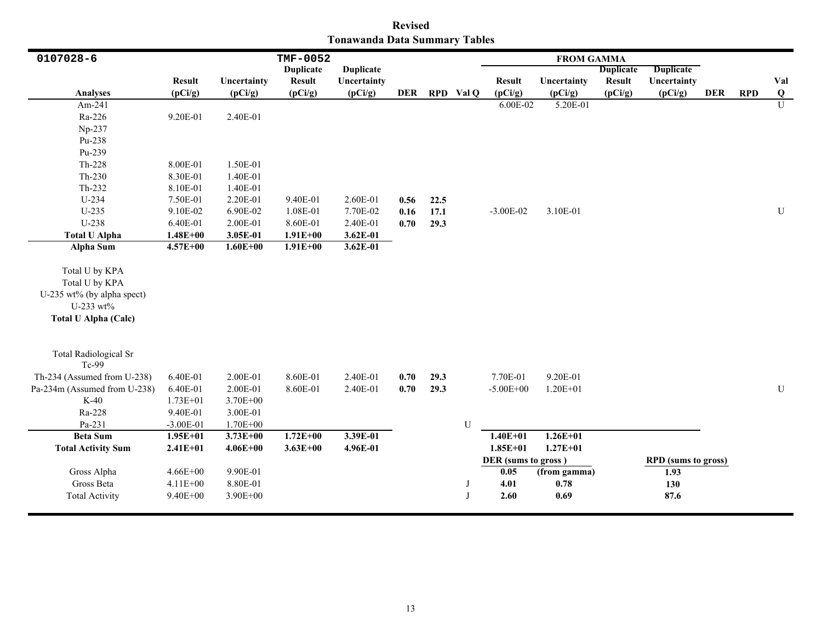|                               | <b>Revised</b> |  |
|-------------------------------|----------------|--|
| Tonawanda Data Summary Tables |                |  |

| 0107028-6                                                                                                  |               |              | <b>TMF-0052</b>  |                  |            |      |             |                     | <b>FROM GAMMA</b> |                  |                            |            |            |             |
|------------------------------------------------------------------------------------------------------------|---------------|--------------|------------------|------------------|------------|------|-------------|---------------------|-------------------|------------------|----------------------------|------------|------------|-------------|
|                                                                                                            |               |              | <b>Duplicate</b> | <b>Duplicate</b> |            |      |             |                     |                   | <b>Duplicate</b> | <b>Duplicate</b>           |            |            |             |
|                                                                                                            | <b>Result</b> | Uncertainty  | <b>Result</b>    | Uncertainty      |            |      |             | <b>Result</b>       | Uncertainty       | <b>Result</b>    | Uncertainty                |            |            | Val         |
| <b>Analyses</b>                                                                                            | (pCi/g)       | (pCi/g)      | (pCi/g)          | (pCi/g)          | <b>DER</b> |      | RPD Val Q   | (pCi/g)             | (pCi/g)           | (pCi/g)          | (pCi/g)                    | <b>DER</b> | <b>RPD</b> | $\bf{Q}$    |
| Am-241                                                                                                     |               |              |                  |                  |            |      |             | 6.00E-02            | 5.20E-01          |                  |                            |            |            | U           |
| Ra-226                                                                                                     | 9.20E-01      | 2.40E-01     |                  |                  |            |      |             |                     |                   |                  |                            |            |            |             |
| Np-237                                                                                                     |               |              |                  |                  |            |      |             |                     |                   |                  |                            |            |            |             |
| Pu-238                                                                                                     |               |              |                  |                  |            |      |             |                     |                   |                  |                            |            |            |             |
| Pu-239                                                                                                     |               |              |                  |                  |            |      |             |                     |                   |                  |                            |            |            |             |
| Th-228                                                                                                     | 8.00E-01      | 1.50E-01     |                  |                  |            |      |             |                     |                   |                  |                            |            |            |             |
| $Th-230$                                                                                                   | 8.30E-01      | 1.40E-01     |                  |                  |            |      |             |                     |                   |                  |                            |            |            |             |
| Th-232                                                                                                     | 8.10E-01      | 1.40E-01     |                  |                  |            |      |             |                     |                   |                  |                            |            |            |             |
| U-234                                                                                                      | 7.50E-01      | 2.20E-01     | 9.40E-01         | 2.60E-01         | 0.56       | 22.5 |             |                     |                   |                  |                            |            |            |             |
| $U-235$                                                                                                    | 9.10E-02      | 6.90E-02     | 1.08E-01         | 7.70E-02         | 0.16       | 17.1 |             | $-3.00E-02$         | 3.10E-01          |                  |                            |            |            | $\mathbf U$ |
| U-238                                                                                                      | 6.40E-01      | 2.00E-01     | 8.60E-01         | 2.40E-01         | 0.70       | 29.3 |             |                     |                   |                  |                            |            |            |             |
| <b>Total U Alpha</b>                                                                                       | $1.48E + 00$  | 3.05E-01     | $1.91E + 00$     | $3.62E-01$       |            |      |             |                     |                   |                  |                            |            |            |             |
| <b>Alpha Sum</b>                                                                                           | 4.57E+00      | $1.60E + 00$ | $1.91E+00$       | 3.62E-01         |            |      |             |                     |                   |                  |                            |            |            |             |
| Total U by KPA<br>Total U by KPA<br>U-235 wt% (by alpha spect)<br>U-233 wt%<br><b>Total U Alpha (Calc)</b> |               |              |                  |                  |            |      |             |                     |                   |                  |                            |            |            |             |
| <b>Total Radiological Sr</b><br>Tc-99                                                                      |               |              |                  |                  |            |      |             |                     |                   |                  |                            |            |            |             |
| Th-234 (Assumed from U-238)                                                                                | 6.40E-01      | 2.00E-01     | 8.60E-01         | 2.40E-01         | 0.70       | 29.3 |             | 7.70E-01            | 9.20E-01          |                  |                            |            |            |             |
| Pa-234m (Assumed from U-238)                                                                               | 6.40E-01      | 2.00E-01     | 8.60E-01         | 2.40E-01         | 0.70       | 29.3 |             | $-5.00E + 00$       | $1.20E + 01$      |                  |                            |            |            | U           |
| $K-40$                                                                                                     | $1.73E + 01$  | 3.70E+00     |                  |                  |            |      |             |                     |                   |                  |                            |            |            |             |
| Ra-228                                                                                                     | 9.40E-01      | 3.00E-01     |                  |                  |            |      |             |                     |                   |                  |                            |            |            |             |
| Pa-231                                                                                                     | $-3.00E-01$   | 1.70E+00     |                  |                  |            |      | $\mathbf U$ |                     |                   |                  |                            |            |            |             |
| <b>Beta Sum</b>                                                                                            | $1.95E+01$    | $3.73E + 00$ | $1.72E+00$       | 3.39E-01         |            |      |             | $1.40E + 01$        | $1.26E + 01$      |                  |                            |            |            |             |
| <b>Total Activity Sum</b>                                                                                  | $2.41E + 01$  | $4.06E + 00$ | $3.63E + 00$     | 4.96E-01         |            |      |             | $1.85E + 01$        | $1.27E + 01$      |                  |                            |            |            |             |
|                                                                                                            |               |              |                  |                  |            |      |             | DER (sums to gross) |                   |                  | <b>RPD</b> (sums to gross) |            |            |             |
| Gross Alpha                                                                                                | $4.66E + 00$  | 9.90E-01     |                  |                  |            |      |             | 0.05                | (from gamma)      |                  | 1.93                       |            |            |             |
| Gross Beta                                                                                                 | $4.11E + 00$  | 8.80E-01     |                  |                  |            |      | J           | 4.01                | 0.78              |                  | 130                        |            |            |             |
| <b>Total Activity</b>                                                                                      | $9.40E + 00$  | 3.90E+00     |                  |                  |            |      | $\mathbf I$ | 2.60                | 0.69              |                  | 87.6                       |            |            |             |
|                                                                                                            |               |              |                  |                  |            |      |             |                     |                   |                  |                            |            |            |             |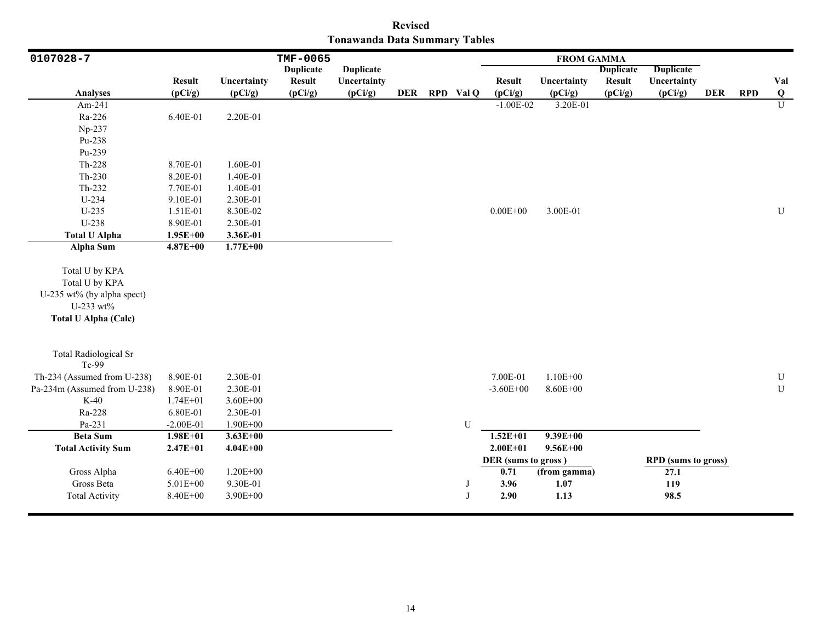|                               | <b>Revised</b> |  |
|-------------------------------|----------------|--|
| Tonawanda Data Summary Tables |                |  |

| 0107028-7                                                                                                  |               |              | TMF-0065         |                  |  |               |                     | <b>FROM GAMMA</b> |                  |                            |            |            |                |
|------------------------------------------------------------------------------------------------------------|---------------|--------------|------------------|------------------|--|---------------|---------------------|-------------------|------------------|----------------------------|------------|------------|----------------|
|                                                                                                            |               |              | <b>Duplicate</b> | <b>Duplicate</b> |  |               |                     |                   | <b>Duplicate</b> | <b>Duplicate</b>           |            |            |                |
|                                                                                                            | <b>Result</b> | Uncertainty  | <b>Result</b>    | Uncertainty      |  |               | <b>Result</b>       | Uncertainty       | <b>Result</b>    | Uncertainty                |            |            | Val            |
| <b>Analyses</b>                                                                                            | (pCi/g)       | (pCi/g)      | (pCi/g)          | (pCi/g)          |  | DER RPD Val Q | (pCi/g)             | (pCi/g)           | (pCi/g)          | (pCi/g)                    | <b>DER</b> | <b>RPD</b> | Q              |
| Am-241                                                                                                     |               |              |                  |                  |  |               | $-1.00E-02$         | 3.20E-01          |                  |                            |            |            | $\overline{U}$ |
| Ra-226                                                                                                     | 6.40E-01      | 2.20E-01     |                  |                  |  |               |                     |                   |                  |                            |            |            |                |
| Np-237                                                                                                     |               |              |                  |                  |  |               |                     |                   |                  |                            |            |            |                |
| Pu-238                                                                                                     |               |              |                  |                  |  |               |                     |                   |                  |                            |            |            |                |
| Pu-239                                                                                                     |               |              |                  |                  |  |               |                     |                   |                  |                            |            |            |                |
| $Th-228$                                                                                                   | 8.70E-01      | 1.60E-01     |                  |                  |  |               |                     |                   |                  |                            |            |            |                |
| $Th-230$                                                                                                   | 8.20E-01      | 1.40E-01     |                  |                  |  |               |                     |                   |                  |                            |            |            |                |
| Th-232                                                                                                     | 7.70E-01      | 1.40E-01     |                  |                  |  |               |                     |                   |                  |                            |            |            |                |
| U-234                                                                                                      | 9.10E-01      | 2.30E-01     |                  |                  |  |               |                     |                   |                  |                            |            |            |                |
| $U-235$                                                                                                    | 1.51E-01      | 8.30E-02     |                  |                  |  |               | $0.00E + 00$        | 3.00E-01          |                  |                            |            |            | ${\bf U}$      |
| U-238                                                                                                      | 8.90E-01      | 2.30E-01     |                  |                  |  |               |                     |                   |                  |                            |            |            |                |
| <b>Total U Alpha</b>                                                                                       | $1.95E + 00$  | 3.36E-01     |                  |                  |  |               |                     |                   |                  |                            |            |            |                |
| Alpha Sum                                                                                                  | $4.87E + 00$  | $1.77E + 00$ |                  |                  |  |               |                     |                   |                  |                            |            |            |                |
| Total U by KPA<br>Total U by KPA<br>U-235 wt% (by alpha spect)<br>U-233 wt%<br><b>Total U Alpha (Calc)</b> |               |              |                  |                  |  |               |                     |                   |                  |                            |            |            |                |
| <b>Total Radiological Sr</b><br>Tc-99                                                                      |               |              |                  |                  |  |               |                     |                   |                  |                            |            |            |                |
| Th-234 (Assumed from U-238)                                                                                | 8.90E-01      | 2.30E-01     |                  |                  |  |               | 7.00E-01            | $1.10E + 00$      |                  |                            |            |            | $\mathbf U$    |
| Pa-234m (Assumed from U-238)                                                                               | 8.90E-01      | 2.30E-01     |                  |                  |  |               | $-3.60E + 00$       | 8.60E+00          |                  |                            |            |            | ${\bf U}$      |
| $K-40$                                                                                                     | $1.74E + 01$  | $3.60E + 00$ |                  |                  |  |               |                     |                   |                  |                            |            |            |                |
| Ra-228                                                                                                     | 6.80E-01      | 2.30E-01     |                  |                  |  |               |                     |                   |                  |                            |            |            |                |
| Pa-231                                                                                                     | $-2.00E-01$   | $1.90E + 00$ |                  |                  |  | U             |                     |                   |                  |                            |            |            |                |
| <b>Beta Sum</b>                                                                                            | $1.98E + 01$  | $3.63E + 00$ |                  |                  |  |               | $1.52E+01$          | $9.39E + 00$      |                  |                            |            |            |                |
| <b>Total Activity Sum</b>                                                                                  | $2.47E + 01$  | $4.04E + 00$ |                  |                  |  |               | $2.00E + 01$        | $9.56E + 00$      |                  |                            |            |            |                |
|                                                                                                            |               |              |                  |                  |  |               | DER (sums to gross) |                   |                  | <b>RPD</b> (sums to gross) |            |            |                |
| Gross Alpha                                                                                                | $6.40E + 00$  | $1.20E + 00$ |                  |                  |  |               | 0.71                | (from gamma)      |                  | 27.1                       |            |            |                |
| Gross Beta                                                                                                 | 5.01E+00      | 9.30E-01     |                  |                  |  | J             | 3.96                | 1.07              |                  | 119                        |            |            |                |
| <b>Total Activity</b>                                                                                      | 8.40E+00      | 3.90E+00     |                  |                  |  | J             | 2.90                | 1.13              |                  | 98.5                       |            |            |                |
|                                                                                                            |               |              |                  |                  |  |               |                     |                   |                  |                            |            |            |                |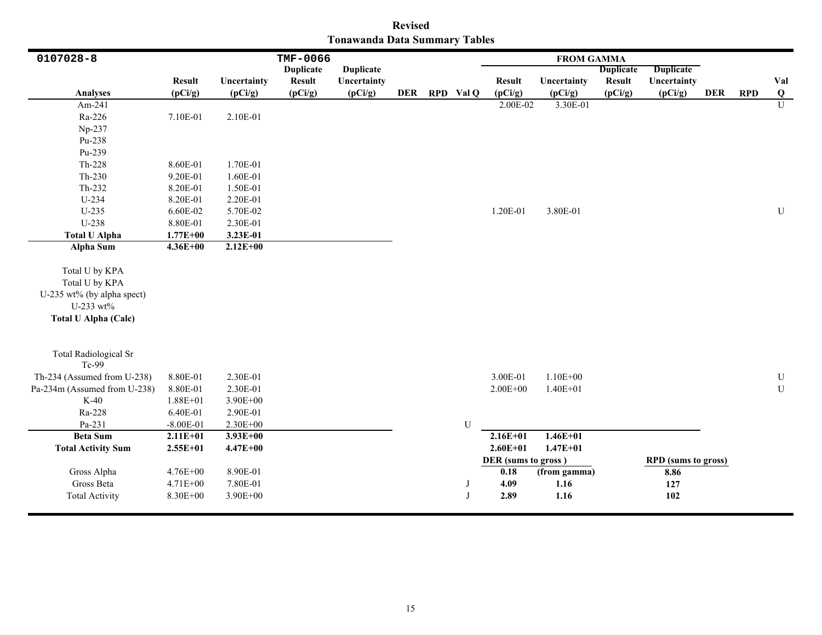|                               | <b>Revised</b> |  |
|-------------------------------|----------------|--|
| Tonawanda Data Summary Tables |                |  |

| 0107028-8                    |               |              | TMF-0066         |                  |     |             |                     | <b>FROM GAMMA</b> |                  |                            |            |            |                         |
|------------------------------|---------------|--------------|------------------|------------------|-----|-------------|---------------------|-------------------|------------------|----------------------------|------------|------------|-------------------------|
|                              |               |              | <b>Duplicate</b> | <b>Duplicate</b> |     |             |                     |                   | <b>Duplicate</b> | <b>Duplicate</b>           |            |            |                         |
|                              | <b>Result</b> | Uncertainty  | <b>Result</b>    | Uncertainty      |     |             | <b>Result</b>       | Uncertainty       | <b>Result</b>    | Uncertainty                |            |            | Val                     |
| <b>Analyses</b>              | (pCi/g)       | (pCi/g)      | (pCi/g)          | (pCi/g)          | DER | RPD Val Q   | (pCi/g)             | (pCi/g)           | (pCi/g)          | (pCi/g)                    | <b>DER</b> | <b>RPD</b> | $\overline{\mathbf{Q}}$ |
| Am-241                       |               |              |                  |                  |     |             | 2.00E-02            | 3.30E-01          |                  |                            |            |            | $\overline{U}$          |
| Ra-226                       | 7.10E-01      | 2.10E-01     |                  |                  |     |             |                     |                   |                  |                            |            |            |                         |
| Np-237                       |               |              |                  |                  |     |             |                     |                   |                  |                            |            |            |                         |
| Pu-238                       |               |              |                  |                  |     |             |                     |                   |                  |                            |            |            |                         |
| Pu-239                       |               |              |                  |                  |     |             |                     |                   |                  |                            |            |            |                         |
| Th-228                       | 8.60E-01      | 1.70E-01     |                  |                  |     |             |                     |                   |                  |                            |            |            |                         |
| $Th-230$                     | 9.20E-01      | 1.60E-01     |                  |                  |     |             |                     |                   |                  |                            |            |            |                         |
| Th-232                       | 8.20E-01      | 1.50E-01     |                  |                  |     |             |                     |                   |                  |                            |            |            |                         |
| $U-234$                      | 8.20E-01      | 2.20E-01     |                  |                  |     |             |                     |                   |                  |                            |            |            |                         |
| $U-235$                      | 6.60E-02      | 5.70E-02     |                  |                  |     |             | 1.20E-01            | 3.80E-01          |                  |                            |            |            | $\mathbf U$             |
| U-238                        | 8.80E-01      | 2.30E-01     |                  |                  |     |             |                     |                   |                  |                            |            |            |                         |
| <b>Total U Alpha</b>         | $1.77E + 00$  | 3.23E-01     |                  |                  |     |             |                     |                   |                  |                            |            |            |                         |
| Alpha Sum                    | $4.36E + 00$  | $2.12E+00$   |                  |                  |     |             |                     |                   |                  |                            |            |            |                         |
|                              |               |              |                  |                  |     |             |                     |                   |                  |                            |            |            |                         |
| Total U by KPA               |               |              |                  |                  |     |             |                     |                   |                  |                            |            |            |                         |
| Total U by KPA               |               |              |                  |                  |     |             |                     |                   |                  |                            |            |            |                         |
| U-235 wt% (by alpha spect)   |               |              |                  |                  |     |             |                     |                   |                  |                            |            |            |                         |
| U-233 wt%                    |               |              |                  |                  |     |             |                     |                   |                  |                            |            |            |                         |
| <b>Total U Alpha (Calc)</b>  |               |              |                  |                  |     |             |                     |                   |                  |                            |            |            |                         |
|                              |               |              |                  |                  |     |             |                     |                   |                  |                            |            |            |                         |
|                              |               |              |                  |                  |     |             |                     |                   |                  |                            |            |            |                         |
| <b>Total Radiological Sr</b> |               |              |                  |                  |     |             |                     |                   |                  |                            |            |            |                         |
| Tc-99                        |               |              |                  |                  |     |             |                     |                   |                  |                            |            |            |                         |
| Th-234 (Assumed from U-238)  | 8.80E-01      | 2.30E-01     |                  |                  |     |             | 3.00E-01            | $1.10E + 00$      |                  |                            |            |            | ${\bf U}$               |
| Pa-234m (Assumed from U-238) | 8.80E-01      | 2.30E-01     |                  |                  |     |             | $2.00E + 00$        | $1.40E + 01$      |                  |                            |            |            | U                       |
| $K-40$                       | $1.88E + 01$  | $3.90E + 00$ |                  |                  |     |             |                     |                   |                  |                            |            |            |                         |
| Ra-228                       | 6.40E-01      | 2.90E-01     |                  |                  |     |             |                     |                   |                  |                            |            |            |                         |
| Pa-231                       | $-8.00E-01$   | $2.30E + 00$ |                  |                  |     | U           |                     |                   |                  |                            |            |            |                         |
| <b>Beta Sum</b>              | $2.11E+01$    | $3.93E + 00$ |                  |                  |     |             | $2.16E+01$          | $1.46E + 01$      |                  |                            |            |            |                         |
| <b>Total Activity Sum</b>    | $2.55E+01$    | $4.47E + 00$ |                  |                  |     |             | $2.60E + 01$        | $1.47E + 01$      |                  |                            |            |            |                         |
|                              |               |              |                  |                  |     |             | DER (sums to gross) |                   |                  | <b>RPD</b> (sums to gross) |            |            |                         |
| Gross Alpha                  | 4.76E+00      | 8.90E-01     |                  |                  |     |             | 0.18                | (from gamma)      |                  | 8.86                       |            |            |                         |
| Gross Beta                   | 4.71E+00      | 7.80E-01     |                  |                  |     |             | 4.09                | 1.16              |                  | 127                        |            |            |                         |
| <b>Total Activity</b>        | 8.30E+00      | 3.90E+00     |                  |                  |     | $\mathbf I$ | 2.89                | 1.16              |                  | 102                        |            |            |                         |
|                              |               |              |                  |                  |     |             |                     |                   |                  |                            |            |            |                         |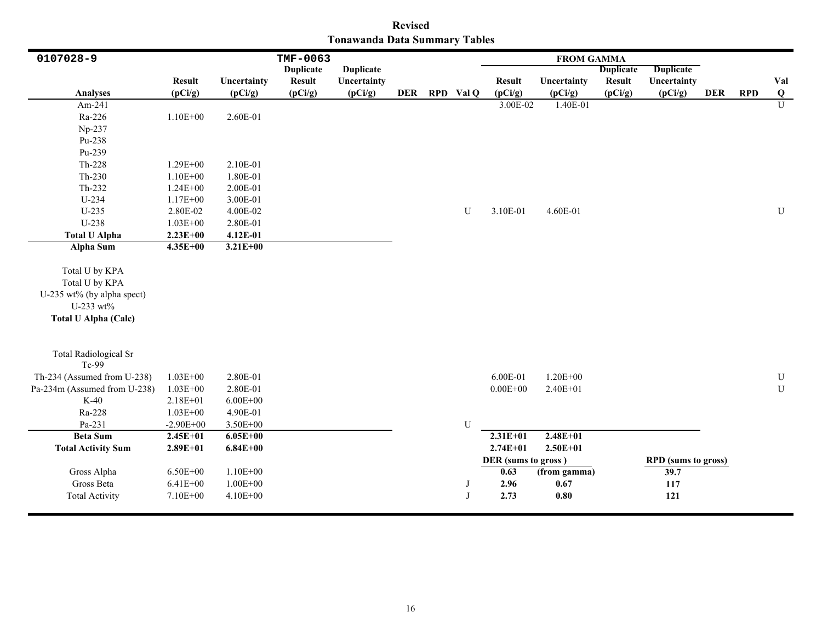| <b>Revised</b>                       |  |  |  |  |  |  |  |  |  |  |  |
|--------------------------------------|--|--|--|--|--|--|--|--|--|--|--|
| <b>Tonawanda Data Summary Tables</b> |  |  |  |  |  |  |  |  |  |  |  |

| 0107028-9                                                                                                  |               |              | <b>TMF-0063</b>  |                  |  |               |                     | <b>FROM GAMMA</b>   |                  |                            |            |            |                |
|------------------------------------------------------------------------------------------------------------|---------------|--------------|------------------|------------------|--|---------------|---------------------|---------------------|------------------|----------------------------|------------|------------|----------------|
|                                                                                                            |               |              | <b>Duplicate</b> | <b>Duplicate</b> |  |               |                     |                     | <b>Duplicate</b> | <b>Duplicate</b>           |            |            |                |
|                                                                                                            | <b>Result</b> | Uncertainty  | <b>Result</b>    | Uncertainty      |  |               | <b>Result</b>       | Uncertainty         | <b>Result</b>    | Uncertainty                |            |            | Val            |
| <b>Analyses</b>                                                                                            | (pCi/g)       | (pCi/g)      | (pCi/g)          | (pCi/g)          |  | DER RPD Val Q | (pCi/g)             | (pCi/g)             | (pCi/g)          | (pCi/g)                    | <b>DER</b> | <b>RPD</b> | $\bf Q$        |
| Am-241                                                                                                     |               |              |                  |                  |  |               | 3.00E-02            | 1.40E-01            |                  |                            |            |            | $\overline{U}$ |
| Ra-226                                                                                                     | $1.10E + 00$  | 2.60E-01     |                  |                  |  |               |                     |                     |                  |                            |            |            |                |
| Np-237                                                                                                     |               |              |                  |                  |  |               |                     |                     |                  |                            |            |            |                |
| Pu-238                                                                                                     |               |              |                  |                  |  |               |                     |                     |                  |                            |            |            |                |
| Pu-239                                                                                                     |               |              |                  |                  |  |               |                     |                     |                  |                            |            |            |                |
| Th-228                                                                                                     | $1.29E + 00$  | 2.10E-01     |                  |                  |  |               |                     |                     |                  |                            |            |            |                |
| $Th-230$                                                                                                   | $1.10E + 00$  | 1.80E-01     |                  |                  |  |               |                     |                     |                  |                            |            |            |                |
| Th-232                                                                                                     | $1.24E + 00$  | 2.00E-01     |                  |                  |  |               |                     |                     |                  |                            |            |            |                |
| $U-234$                                                                                                    | $1.17E + 00$  | 3.00E-01     |                  |                  |  |               |                     |                     |                  |                            |            |            |                |
| U-235                                                                                                      | 2.80E-02      | 4.00E-02     |                  |                  |  | U             | 3.10E-01            | 4.60E-01            |                  |                            |            |            | U              |
| U-238                                                                                                      | $1.03E + 00$  | 2.80E-01     |                  |                  |  |               |                     |                     |                  |                            |            |            |                |
| <b>Total U Alpha</b>                                                                                       | $2.23E + 00$  | 4.12E-01     |                  |                  |  |               |                     |                     |                  |                            |            |            |                |
| Alpha Sum                                                                                                  | $4.35E+00$    | $3.21E + 00$ |                  |                  |  |               |                     |                     |                  |                            |            |            |                |
| Total U by KPA<br>Total U by KPA<br>U-235 wt% (by alpha spect)<br>U-233 wt%<br><b>Total U Alpha (Calc)</b> |               |              |                  |                  |  |               |                     |                     |                  |                            |            |            |                |
| <b>Total Radiological Sr</b><br>Tc-99                                                                      |               |              |                  |                  |  |               |                     |                     |                  |                            |            |            |                |
| Th-234 (Assumed from U-238)                                                                                | $1.03E + 00$  | 2.80E-01     |                  |                  |  |               | 6.00E-01            | $1.20E + 00$        |                  |                            |            |            | U              |
| Pa-234m (Assumed from U-238)                                                                               | $1.03E + 00$  | 2.80E-01     |                  |                  |  |               | $0.00E + 00$        | 2.40E+01            |                  |                            |            |            | ${\bf U}$      |
| $K-40$                                                                                                     | 2.18E+01      | $6.00E + 00$ |                  |                  |  |               |                     |                     |                  |                            |            |            |                |
| Ra-228                                                                                                     | $1.03E + 00$  | 4.90E-01     |                  |                  |  |               |                     |                     |                  |                            |            |            |                |
| Pa-231                                                                                                     | $-2.90E + 00$ | 3.50E+00     |                  |                  |  | U             |                     |                     |                  |                            |            |            |                |
| <b>Beta Sum</b>                                                                                            | $2.45E + 01$  | $6.05E+00$   |                  |                  |  |               | $2.31E+01$          | $2.48E + 01$        |                  |                            |            |            |                |
| <b>Total Activity Sum</b>                                                                                  | $2.89E + 01$  | $6.84E + 00$ |                  |                  |  |               | $2.74E + 01$        | $2.50E + 01$        |                  |                            |            |            |                |
|                                                                                                            |               |              |                  |                  |  |               | DER (sums to gross) |                     |                  | <b>RPD</b> (sums to gross) |            |            |                |
| Gross Alpha                                                                                                | $6.50E + 00$  | $1.10E + 00$ |                  |                  |  |               | 0.63                | (from gamma)        |                  | 39.7                       |            |            |                |
| Gross Beta                                                                                                 | $6.41E + 00$  | $1.00E + 00$ |                  |                  |  | J             | 2.96                | 0.67                |                  | 117                        |            |            |                |
| <b>Total Activity</b>                                                                                      | 7.10E+00      | 4.10E+00     |                  |                  |  | J             | 2.73                | $\boldsymbol{0.80}$ |                  | 121                        |            |            |                |
|                                                                                                            |               |              |                  |                  |  |               |                     |                     |                  |                            |            |            |                |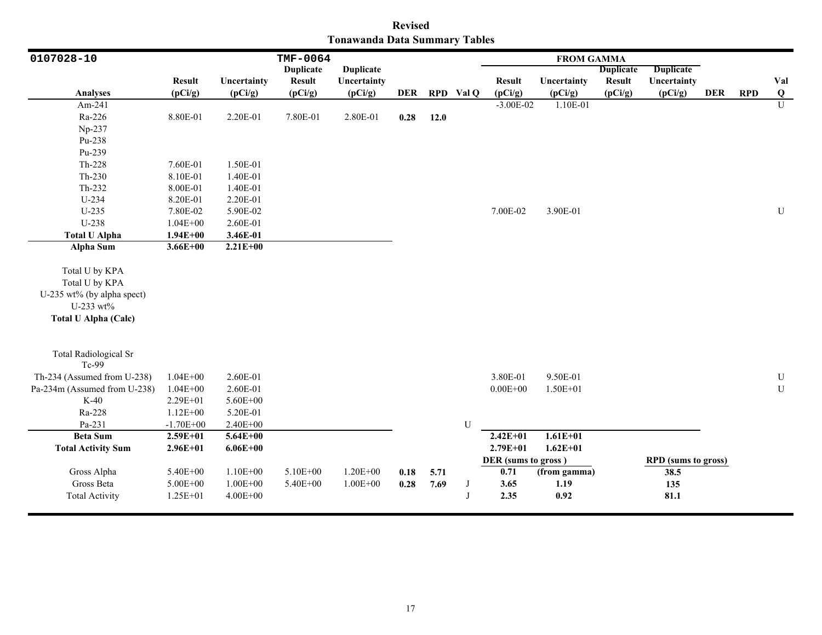|                               | <b>Revised</b> |  |
|-------------------------------|----------------|--|
| Tonawanda Data Summary Tables |                |  |

| 0107028-10                   |               | TMF-0064<br><b>FROM GAMMA</b> |                  |                  |            |      |              |                     |              |                  |                            |            |            |           |
|------------------------------|---------------|-------------------------------|------------------|------------------|------------|------|--------------|---------------------|--------------|------------------|----------------------------|------------|------------|-----------|
|                              |               |                               | <b>Duplicate</b> | <b>Duplicate</b> |            |      |              |                     |              | <b>Duplicate</b> | <b>Duplicate</b>           |            |            |           |
|                              | <b>Result</b> | Uncertainty                   | <b>Result</b>    | Uncertainty      |            |      |              | <b>Result</b>       | Uncertainty  | <b>Result</b>    | Uncertainty                |            |            | Val       |
| <b>Analyses</b>              | (pCi/g)       | (pCi/g)                       | (pCi/g)          | (pCi/g)          | <b>DER</b> |      | RPD Val Q    | (pCi/g)             | (pCi/g)      | (pCi/g)          | (pCi/g)                    | <b>DER</b> | <b>RPD</b> | $\bf Q$   |
| Am-241                       |               |                               |                  |                  |            |      |              | $-3.00E - 02$       | 1.10E-01     |                  |                            |            |            | U         |
| Ra-226                       | 8.80E-01      | 2.20E-01                      | 7.80E-01         | 2.80E-01         | 0.28       | 12.0 |              |                     |              |                  |                            |            |            |           |
| Np-237                       |               |                               |                  |                  |            |      |              |                     |              |                  |                            |            |            |           |
| Pu-238                       |               |                               |                  |                  |            |      |              |                     |              |                  |                            |            |            |           |
| Pu-239                       |               |                               |                  |                  |            |      |              |                     |              |                  |                            |            |            |           |
| Th-228                       | 7.60E-01      | 1.50E-01                      |                  |                  |            |      |              |                     |              |                  |                            |            |            |           |
| $Th-230$                     | 8.10E-01      | 1.40E-01                      |                  |                  |            |      |              |                     |              |                  |                            |            |            |           |
| $Th-232$                     | 8.00E-01      | 1.40E-01                      |                  |                  |            |      |              |                     |              |                  |                            |            |            |           |
| U-234                        | 8.20E-01      | 2.20E-01                      |                  |                  |            |      |              |                     |              |                  |                            |            |            |           |
| $U-235$                      | 7.80E-02      | 5.90E-02                      |                  |                  |            |      |              | 7.00E-02            | 3.90E-01     |                  |                            |            |            | ${\bf U}$ |
| U-238                        | $1.04E + 00$  | 2.60E-01                      |                  |                  |            |      |              |                     |              |                  |                            |            |            |           |
| <b>Total U Alpha</b>         | $1.94E + 00$  | 3.46E-01                      |                  |                  |            |      |              |                     |              |                  |                            |            |            |           |
| Alpha Sum                    | $3.66E + 00$  | $2.21E+00$                    |                  |                  |            |      |              |                     |              |                  |                            |            |            |           |
|                              |               |                               |                  |                  |            |      |              |                     |              |                  |                            |            |            |           |
| Total U by KPA               |               |                               |                  |                  |            |      |              |                     |              |                  |                            |            |            |           |
| Total U by KPA               |               |                               |                  |                  |            |      |              |                     |              |                  |                            |            |            |           |
| U-235 wt% (by alpha spect)   |               |                               |                  |                  |            |      |              |                     |              |                  |                            |            |            |           |
| U-233 wt%                    |               |                               |                  |                  |            |      |              |                     |              |                  |                            |            |            |           |
| <b>Total U Alpha (Calc)</b>  |               |                               |                  |                  |            |      |              |                     |              |                  |                            |            |            |           |
|                              |               |                               |                  |                  |            |      |              |                     |              |                  |                            |            |            |           |
|                              |               |                               |                  |                  |            |      |              |                     |              |                  |                            |            |            |           |
| <b>Total Radiological Sr</b> |               |                               |                  |                  |            |      |              |                     |              |                  |                            |            |            |           |
| Tc-99                        |               |                               |                  |                  |            |      |              |                     |              |                  |                            |            |            |           |
| Th-234 (Assumed from U-238)  | $1.04E + 00$  | 2.60E-01                      |                  |                  |            |      |              | 3.80E-01            | 9.50E-01     |                  |                            |            |            | ${\bf U}$ |
| Pa-234m (Assumed from U-238) | $1.04E + 00$  | 2.60E-01                      |                  |                  |            |      |              | $0.00E + 00$        | $1.50E + 01$ |                  |                            |            |            | U         |
| $K-40$                       | 2.29E+01      | 5.60E+00                      |                  |                  |            |      |              |                     |              |                  |                            |            |            |           |
| Ra-228                       | $1.12E + 00$  | 5.20E-01                      |                  |                  |            |      |              |                     |              |                  |                            |            |            |           |
| Pa-231                       | $-1.70E + 00$ | $2.40E + 00$                  |                  |                  |            |      | $\mathbf U$  |                     |              |                  |                            |            |            |           |
| <b>Beta Sum</b>              | $2.59E+01$    | $5.64E + 00$                  |                  |                  |            |      |              | $2.42E+01$          | $1.61E + 01$ |                  |                            |            |            |           |
| <b>Total Activity Sum</b>    | $2.96E + 01$  | $6.06E + 00$                  |                  |                  |            |      |              | $2.79E + 01$        | $1.62E + 01$ |                  |                            |            |            |           |
|                              |               |                               |                  |                  |            |      |              | DER (sums to gross) |              |                  | <b>RPD</b> (sums to gross) |            |            |           |
| Gross Alpha                  | 5.40E+00      | $1.10E + 00$                  | 5.10E+00         | $1.20E + 00$     | 0.18       | 5.71 |              | 0.71                | (from gamma) |                  | 38.5                       |            |            |           |
| Gross Beta                   | 5.00E+00      | $1.00E + 00$                  | 5.40E+00         | $1.00E + 00$     | 0.28       | 7.69 | J            | 3.65                | 1.19         |                  | 135                        |            |            |           |
| <b>Total Activity</b>        | 1.25E+01      | $4.00E + 00$                  |                  |                  |            |      | $\mathbf{J}$ | 2.35                | 0.92         |                  | 81.1                       |            |            |           |
|                              |               |                               |                  |                  |            |      |              |                     |              |                  |                            |            |            |           |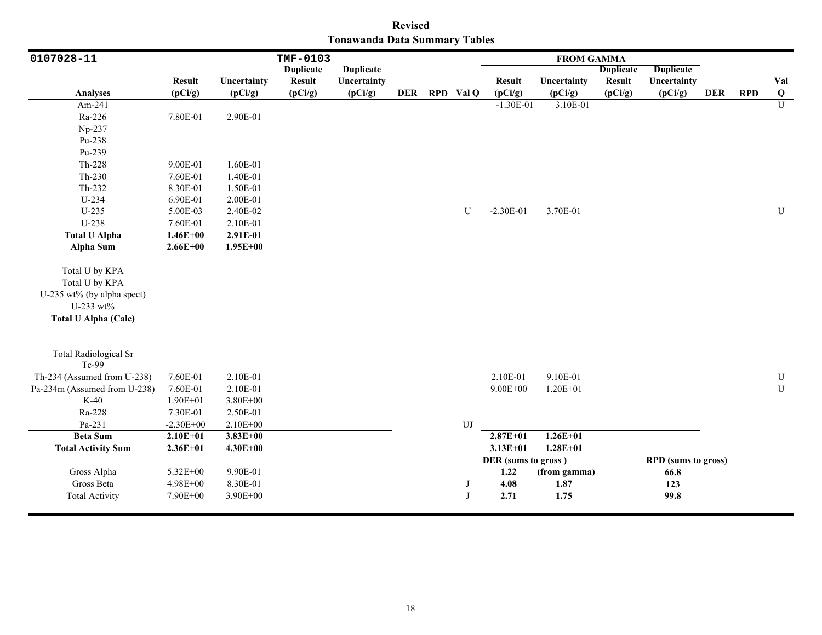|                               | <b>Revised</b> |  |
|-------------------------------|----------------|--|
| Tonawanda Data Summary Tables |                |  |

| 0107028-11                                                                                                 |               |              | TMF-0103         |                  |  |               | <b>FROM GAMMA</b>           |              |                  |                                    |     |            |                |  |
|------------------------------------------------------------------------------------------------------------|---------------|--------------|------------------|------------------|--|---------------|-----------------------------|--------------|------------------|------------------------------------|-----|------------|----------------|--|
|                                                                                                            |               |              | <b>Duplicate</b> | <b>Duplicate</b> |  |               |                             |              | <b>Duplicate</b> | <b>Duplicate</b>                   |     |            |                |  |
|                                                                                                            | <b>Result</b> | Uncertainty  | <b>Result</b>    | Uncertainty      |  |               | <b>Result</b>               | Uncertainty  | <b>Result</b>    | Uncertainty                        |     |            | Val            |  |
| <b>Analyses</b>                                                                                            | (pCi/g)       | (pCi/g)      | (pCi/g)          | (pCi/g)          |  | DER RPD Val Q | (pCi/g)                     | (pCi/g)      | (pCi/g)          | (pCi/g)                            | DER | <b>RPD</b> | $\bf Q$        |  |
| Am-241                                                                                                     |               |              |                  |                  |  |               | $-1.30E-01$                 | 3.10E-01     |                  |                                    |     |            | $\overline{U}$ |  |
| Ra-226                                                                                                     | 7.80E-01      | 2.90E-01     |                  |                  |  |               |                             |              |                  |                                    |     |            |                |  |
| Np-237                                                                                                     |               |              |                  |                  |  |               |                             |              |                  |                                    |     |            |                |  |
| Pu-238                                                                                                     |               |              |                  |                  |  |               |                             |              |                  |                                    |     |            |                |  |
| Pu-239                                                                                                     |               |              |                  |                  |  |               |                             |              |                  |                                    |     |            |                |  |
| Th-228                                                                                                     | 9.00E-01      | 1.60E-01     |                  |                  |  |               |                             |              |                  |                                    |     |            |                |  |
| $Th-230$                                                                                                   | 7.60E-01      | 1.40E-01     |                  |                  |  |               |                             |              |                  |                                    |     |            |                |  |
| Th-232                                                                                                     | 8.30E-01      | 1.50E-01     |                  |                  |  |               |                             |              |                  |                                    |     |            |                |  |
| U-234                                                                                                      | 6.90E-01      | 2.00E-01     |                  |                  |  |               |                             |              |                  |                                    |     |            |                |  |
| $U-235$                                                                                                    | 5.00E-03      | 2.40E-02     |                  |                  |  | U             | $-2.30E-01$                 | 3.70E-01     |                  |                                    |     |            | ${\bf U}$      |  |
| U-238                                                                                                      | 7.60E-01      | 2.10E-01     |                  |                  |  |               |                             |              |                  |                                    |     |            |                |  |
| <b>Total U Alpha</b>                                                                                       | $1.46E + 00$  | 2.91E-01     |                  |                  |  |               |                             |              |                  |                                    |     |            |                |  |
| Alpha Sum                                                                                                  | $2.66E+00$    | $1.95E+00$   |                  |                  |  |               |                             |              |                  |                                    |     |            |                |  |
| Total U by KPA<br>Total U by KPA<br>U-235 wt% (by alpha spect)<br>U-233 wt%<br><b>Total U Alpha (Calc)</b> |               |              |                  |                  |  |               |                             |              |                  |                                    |     |            |                |  |
| <b>Total Radiological Sr</b><br>Tc-99                                                                      |               |              |                  |                  |  |               |                             |              |                  |                                    |     |            |                |  |
| Th-234 (Assumed from U-238)                                                                                | 7.60E-01      | 2.10E-01     |                  |                  |  |               | 2.10E-01                    | 9.10E-01     |                  |                                    |     |            | $\mathbf U$    |  |
| Pa-234m (Assumed from U-238)                                                                               | 7.60E-01      | 2.10E-01     |                  |                  |  |               | $9.00E + 00$                | $1.20E + 01$ |                  |                                    |     |            | ${\bf U}$      |  |
| $K-40$                                                                                                     | $1.90E + 01$  | 3.80E+00     |                  |                  |  |               |                             |              |                  |                                    |     |            |                |  |
| Ra-228                                                                                                     | 7.30E-01      | 2.50E-01     |                  |                  |  |               |                             |              |                  |                                    |     |            |                |  |
| Pa-231                                                                                                     | $-2.30E + 00$ | $2.10E + 00$ |                  |                  |  | ${\rm UJ}$    |                             |              |                  |                                    |     |            |                |  |
| <b>Beta Sum</b>                                                                                            | $2.10E + 01$  | $3.83E + 00$ |                  |                  |  |               | $2.87E + 01$                | $1.26E + 01$ |                  |                                    |     |            |                |  |
| <b>Total Activity Sum</b>                                                                                  | $2.36E + 01$  | $4.30E + 00$ |                  |                  |  |               | $3.13E + 01$                | $1.28E + 01$ |                  |                                    |     |            |                |  |
| Gross Alpha                                                                                                | 5.32E+00      | 9.90E-01     |                  |                  |  |               | DER (sums to gross)<br>1.22 | (from gamma) |                  | <b>RPD</b> (sums to gross)<br>66.8 |     |            |                |  |
| Gross Beta                                                                                                 | 4.98E+00      | 8.30E-01     |                  |                  |  |               | 4.08                        | 1.87         |                  | 123                                |     |            |                |  |
| <b>Total Activity</b>                                                                                      | 7.90E+00      | 3.90E+00     |                  |                  |  | $\mathbf{J}$  | 2.71                        | 1.75         |                  | 99.8                               |     |            |                |  |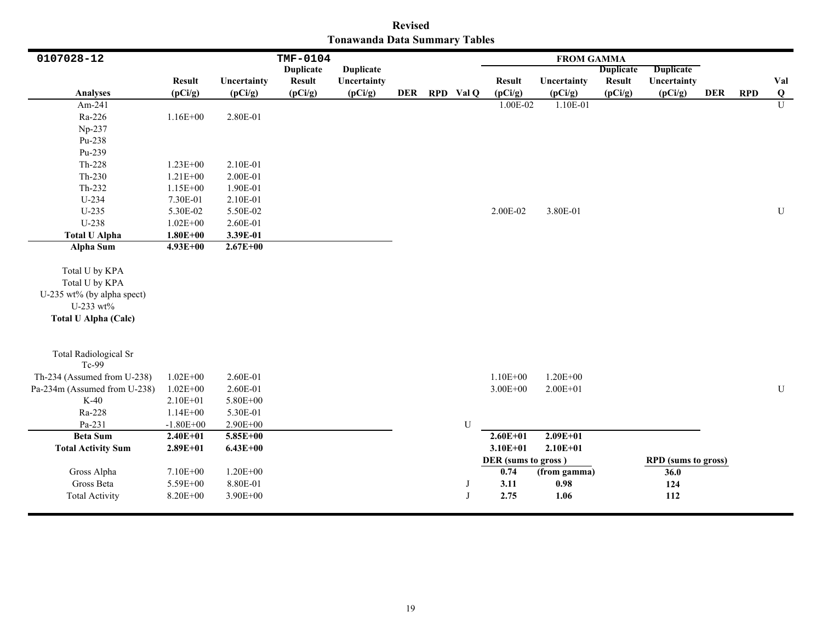| <b>Revised</b>                       |  |  |  |  |  |  |  |  |  |  |  |
|--------------------------------------|--|--|--|--|--|--|--|--|--|--|--|
| <b>Tonawanda Data Summary Tables</b> |  |  |  |  |  |  |  |  |  |  |  |

| 0107028-12                                                                                                 |                                  |                                      | TMF-0104         |                  |  |               |                                             | <b>FROM GAMMA</b>            |                  |                                                  |            |            |                |
|------------------------------------------------------------------------------------------------------------|----------------------------------|--------------------------------------|------------------|------------------|--|---------------|---------------------------------------------|------------------------------|------------------|--------------------------------------------------|------------|------------|----------------|
|                                                                                                            |                                  |                                      | <b>Duplicate</b> | <b>Duplicate</b> |  |               |                                             |                              | <b>Duplicate</b> | <b>Duplicate</b>                                 |            |            |                |
|                                                                                                            | <b>Result</b>                    | Uncertainty                          | <b>Result</b>    | Uncertainty      |  |               | <b>Result</b>                               | Uncertainty                  | <b>Result</b>    | Uncertainty                                      |            |            | Val            |
| <b>Analyses</b>                                                                                            | (pCi/g)                          | (pCi/g)                              | (pCi/g)          | (pCi/g)          |  | DER RPD Val Q | (pCi/g)                                     | (pCi/g)                      | (pCi/g)          | (pCi/g)                                          | <b>DER</b> | <b>RPD</b> | $\bf Q$        |
| Am-241                                                                                                     |                                  |                                      |                  |                  |  |               | 1.00E-02                                    | 1.10E-01                     |                  |                                                  |            |            | $\overline{U}$ |
| Ra-226                                                                                                     | $1.16E + 00$                     | 2.80E-01                             |                  |                  |  |               |                                             |                              |                  |                                                  |            |            |                |
| Np-237                                                                                                     |                                  |                                      |                  |                  |  |               |                                             |                              |                  |                                                  |            |            |                |
| Pu-238                                                                                                     |                                  |                                      |                  |                  |  |               |                                             |                              |                  |                                                  |            |            |                |
| Pu-239                                                                                                     |                                  |                                      |                  |                  |  |               |                                             |                              |                  |                                                  |            |            |                |
| Th-228                                                                                                     | $1.23E + 00$                     | 2.10E-01                             |                  |                  |  |               |                                             |                              |                  |                                                  |            |            |                |
| $Th-230$                                                                                                   | $1.21E + 00$                     | 2.00E-01                             |                  |                  |  |               |                                             |                              |                  |                                                  |            |            |                |
| Th-232                                                                                                     | $1.15E + 00$                     | 1.90E-01                             |                  |                  |  |               |                                             |                              |                  |                                                  |            |            |                |
| U-234                                                                                                      | 7.30E-01                         | 2.10E-01                             |                  |                  |  |               |                                             |                              |                  |                                                  |            |            |                |
| $U-235$                                                                                                    | 5.30E-02                         | 5.50E-02                             |                  |                  |  |               | 2.00E-02                                    | 3.80E-01                     |                  |                                                  |            |            | U              |
| U-238                                                                                                      | $1.02E + 00$                     | 2.60E-01                             |                  |                  |  |               |                                             |                              |                  |                                                  |            |            |                |
| <b>Total U Alpha</b>                                                                                       | $1.80E + 00$                     | 3.39E-01                             |                  |                  |  |               |                                             |                              |                  |                                                  |            |            |                |
| Alpha Sum                                                                                                  | $4.93E+00$                       | $2.67E + 00$                         |                  |                  |  |               |                                             |                              |                  |                                                  |            |            |                |
| Total U by KPA<br>Total U by KPA<br>U-235 wt% (by alpha spect)<br>U-233 wt%<br><b>Total U Alpha (Calc)</b> |                                  |                                      |                  |                  |  |               |                                             |                              |                  |                                                  |            |            |                |
| <b>Total Radiological Sr</b><br>Tc-99                                                                      |                                  |                                      |                  |                  |  |               |                                             |                              |                  |                                                  |            |            |                |
| Th-234 (Assumed from U-238)                                                                                | $1.02E + 00$                     | 2.60E-01                             |                  |                  |  |               | $1.10E + 00$                                | $1.20E + 00$                 |                  |                                                  |            |            |                |
| Pa-234m (Assumed from U-238)                                                                               | $1.02E + 00$                     | 2.60E-01                             |                  |                  |  |               | $3.00E + 00$                                | $2.00E + 01$                 |                  |                                                  |            |            | U              |
| $K-40$                                                                                                     | 2.10E+01                         | 5.80E+00                             |                  |                  |  |               |                                             |                              |                  |                                                  |            |            |                |
| Ra-228                                                                                                     | $1.14E + 00$                     | 5.30E-01                             |                  |                  |  |               |                                             |                              |                  |                                                  |            |            |                |
| Pa-231                                                                                                     | $-1.80E + 00$                    | $2.90E + 00$                         |                  |                  |  | U             |                                             |                              |                  |                                                  |            |            |                |
| <b>Beta Sum</b>                                                                                            | $2.40E + 01$                     | $5.85E+00$                           |                  |                  |  |               | $2.60E + 01$                                | $2.09E + 01$                 |                  |                                                  |            |            |                |
| <b>Total Activity Sum</b>                                                                                  | $2.89E + 01$                     | $6.43E + 00$                         |                  |                  |  |               | $3.10E + 01$                                | $2.10E + 01$                 |                  |                                                  |            |            |                |
| Gross Alpha<br>Gross Beta<br><b>Total Activity</b>                                                         | 7.10E+00<br>5.59E+00<br>8.20E+00 | $1.20E + 00$<br>8.80E-01<br>3.90E+00 |                  |                  |  | $\mathbf{J}$  | DER (sums to gross)<br>0.74<br>3.11<br>2.75 | (from gamma)<br>0.98<br>1.06 |                  | <b>RPD</b> (sums to gross)<br>36.0<br>124<br>112 |            |            |                |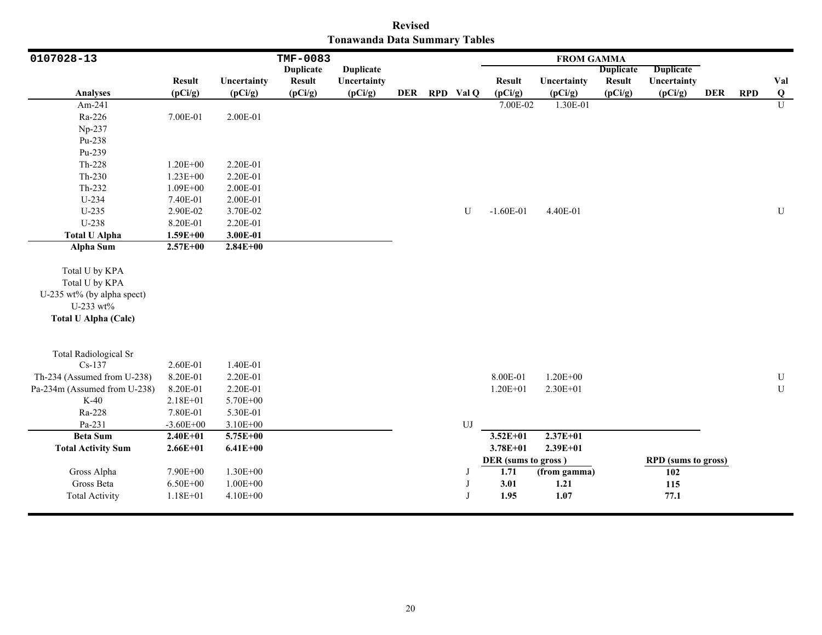| <b>Revised</b>                       |  |  |  |  |  |  |  |  |  |  |  |
|--------------------------------------|--|--|--|--|--|--|--|--|--|--|--|
| <b>Tonawanda Data Summary Tables</b> |  |  |  |  |  |  |  |  |  |  |  |

| 0107028-13                                                                  |               |              | TMF-0083         |                  |  |                  |                     | <b>FROM GAMMA</b> |                  |                            |            |            |           |
|-----------------------------------------------------------------------------|---------------|--------------|------------------|------------------|--|------------------|---------------------|-------------------|------------------|----------------------------|------------|------------|-----------|
|                                                                             |               |              | <b>Duplicate</b> | <b>Duplicate</b> |  |                  |                     |                   | <b>Duplicate</b> | <b>Duplicate</b>           |            |            |           |
|                                                                             | <b>Result</b> | Uncertainty  | <b>Result</b>    | Uncertainty      |  |                  | <b>Result</b>       | Uncertainty       | <b>Result</b>    | Uncertainty                |            |            | Val       |
| <b>Analyses</b>                                                             | (pCi/g)       | (pCi/g)      | (pCi/g)          | (pCi/g)          |  | DER RPD Val Q    | (pCi/g)             | (pCi/g)           | (pCi/g)          | (pCi/g)                    | <b>DER</b> | <b>RPD</b> | $\bf Q$   |
| Am-241                                                                      |               |              |                  |                  |  |                  | 7.00E-02            | 1.30E-01          |                  |                            |            |            | U         |
| Ra-226                                                                      | 7.00E-01      | 2.00E-01     |                  |                  |  |                  |                     |                   |                  |                            |            |            |           |
| Np-237                                                                      |               |              |                  |                  |  |                  |                     |                   |                  |                            |            |            |           |
| Pu-238                                                                      |               |              |                  |                  |  |                  |                     |                   |                  |                            |            |            |           |
| Pu-239                                                                      |               |              |                  |                  |  |                  |                     |                   |                  |                            |            |            |           |
| Th-228                                                                      | $1.20E + 00$  | 2.20E-01     |                  |                  |  |                  |                     |                   |                  |                            |            |            |           |
| $Th-230$                                                                    | $1.23E + 00$  | 2.20E-01     |                  |                  |  |                  |                     |                   |                  |                            |            |            |           |
| Th-232                                                                      | $1.09E + 00$  | 2.00E-01     |                  |                  |  |                  |                     |                   |                  |                            |            |            |           |
| U-234                                                                       | 7.40E-01      | 2.00E-01     |                  |                  |  |                  |                     |                   |                  |                            |            |            |           |
| $U-235$                                                                     | 2.90E-02      | 3.70E-02     |                  |                  |  | U                | $-1.60E-01$         | 4.40E-01          |                  |                            |            |            | U         |
| U-238                                                                       | 8.20E-01      | 2.20E-01     |                  |                  |  |                  |                     |                   |                  |                            |            |            |           |
| <b>Total U Alpha</b>                                                        | $1.59E + 00$  | 3.00E-01     |                  |                  |  |                  |                     |                   |                  |                            |            |            |           |
| <b>Alpha Sum</b>                                                            | $2.57E+00$    | $2.84E+00$   |                  |                  |  |                  |                     |                   |                  |                            |            |            |           |
| Total U by KPA<br>Total U by KPA<br>U-235 wt% (by alpha spect)<br>U-233 wt% |               |              |                  |                  |  |                  |                     |                   |                  |                            |            |            |           |
| <b>Total U Alpha (Calc)</b><br><b>Total Radiological Sr</b>                 |               |              |                  |                  |  |                  |                     |                   |                  |                            |            |            |           |
| $Cs-137$                                                                    | 2.60E-01      | 1.40E-01     |                  |                  |  |                  |                     |                   |                  |                            |            |            |           |
| Th-234 (Assumed from U-238)                                                 | 8.20E-01      | 2.20E-01     |                  |                  |  |                  | 8.00E-01            | $1.20E + 00$      |                  |                            |            |            | ${\bf U}$ |
| Pa-234m (Assumed from U-238)                                                | 8.20E-01      | 2.20E-01     |                  |                  |  |                  | $1.20E + 01$        | 2.30E+01          |                  |                            |            |            | ${\bf U}$ |
| $K-40$                                                                      | 2.18E+01      | 5.70E+00     |                  |                  |  |                  |                     |                   |                  |                            |            |            |           |
| Ra-228                                                                      | 7.80E-01      | 5.30E-01     |                  |                  |  |                  |                     |                   |                  |                            |            |            |           |
| Pa-231                                                                      | $-3.60E + 00$ | 3.10E+00     |                  |                  |  | ${\bf U}{\bf J}$ |                     |                   |                  |                            |            |            |           |
| <b>Beta Sum</b>                                                             | $2.40E + 01$  | $5.75E+00$   |                  |                  |  |                  | $3.52E + 01$        | $2.37E + 01$      |                  |                            |            |            |           |
| <b>Total Activity Sum</b>                                                   | $2.66E + 01$  | $6.41E + 00$ |                  |                  |  |                  | 3.78E+01            | $2.39E + 01$      |                  |                            |            |            |           |
|                                                                             |               |              |                  |                  |  |                  | DER (sums to gross) |                   |                  | <b>RPD</b> (sums to gross) |            |            |           |
| Gross Alpha                                                                 | 7.90E+00      | 1.30E+00     |                  |                  |  | J                | 1.71                | (from gamma)      |                  | 102                        |            |            |           |
| Gross Beta                                                                  | $6.50E + 00$  | $1.00E + 00$ |                  |                  |  | J                | 3.01                | 1.21              |                  | 115                        |            |            |           |
| <b>Total Activity</b>                                                       | $1.18E + 01$  | 4.10E+00     |                  |                  |  | $\mathbf I$      | 1.95                | 1.07              |                  | 77.1                       |            |            |           |
|                                                                             |               |              |                  |                  |  |                  |                     |                   |                  |                            |            |            |           |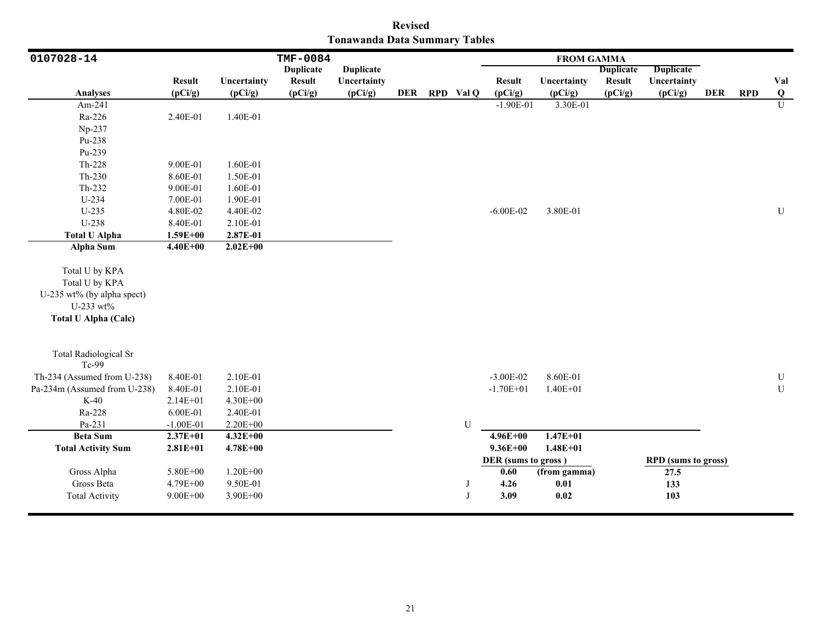| <b>Revised</b>                       |  |  |  |  |  |  |  |  |  |  |  |
|--------------------------------------|--|--|--|--|--|--|--|--|--|--|--|
| <b>Tonawanda Data Summary Tables</b> |  |  |  |  |  |  |  |  |  |  |  |

| 0107028-14                                                                                                 |               |              | TMF-0084         |                  |  |               |                     | <b>FROM GAMMA</b> |                  |                            |            |            |                |
|------------------------------------------------------------------------------------------------------------|---------------|--------------|------------------|------------------|--|---------------|---------------------|-------------------|------------------|----------------------------|------------|------------|----------------|
|                                                                                                            |               |              | <b>Duplicate</b> | <b>Duplicate</b> |  |               |                     |                   | <b>Duplicate</b> | <b>Duplicate</b>           |            |            |                |
|                                                                                                            | <b>Result</b> | Uncertainty  | <b>Result</b>    | Uncertainty      |  |               | <b>Result</b>       | Uncertainty       | <b>Result</b>    | Uncertainty                |            |            | Val            |
| <b>Analyses</b>                                                                                            | (pCi/g)       | (pCi/g)      | (pCi/g)          | (pCi/g)          |  | DER RPD Val Q | (pCi/g)             | (pCi/g)           | (pCi/g)          | (pCi/g)                    | <b>DER</b> | <b>RPD</b> | $\bf Q$        |
| Am-241                                                                                                     |               |              |                  |                  |  |               | $-1.90E-01$         | 3.30E-01          |                  |                            |            |            | $\overline{U}$ |
| Ra-226                                                                                                     | 2.40E-01      | 1.40E-01     |                  |                  |  |               |                     |                   |                  |                            |            |            |                |
| Np-237                                                                                                     |               |              |                  |                  |  |               |                     |                   |                  |                            |            |            |                |
| Pu-238                                                                                                     |               |              |                  |                  |  |               |                     |                   |                  |                            |            |            |                |
| Pu-239                                                                                                     |               |              |                  |                  |  |               |                     |                   |                  |                            |            |            |                |
| Th-228                                                                                                     | 9.00E-01      | 1.60E-01     |                  |                  |  |               |                     |                   |                  |                            |            |            |                |
| $Th-230$                                                                                                   | 8.60E-01      | 1.50E-01     |                  |                  |  |               |                     |                   |                  |                            |            |            |                |
| Th-232                                                                                                     | 9.00E-01      | 1.60E-01     |                  |                  |  |               |                     |                   |                  |                            |            |            |                |
| U-234                                                                                                      | 7.00E-01      | 1.90E-01     |                  |                  |  |               |                     |                   |                  |                            |            |            |                |
| $U-235$                                                                                                    | 4.80E-02      | 4.40E-02     |                  |                  |  |               | $-6.00E - 02$       | 3.80E-01          |                  |                            |            |            | U              |
| $U-238$                                                                                                    | 8.40E-01      | 2.10E-01     |                  |                  |  |               |                     |                   |                  |                            |            |            |                |
| <b>Total U Alpha</b>                                                                                       | $1.59E + 00$  | 2.87E-01     |                  |                  |  |               |                     |                   |                  |                            |            |            |                |
| Alpha Sum                                                                                                  | $4.40E + 00$  | $2.02E+00$   |                  |                  |  |               |                     |                   |                  |                            |            |            |                |
| Total U by KPA<br>Total U by KPA<br>U-235 wt% (by alpha spect)<br>U-233 wt%<br><b>Total U Alpha (Calc)</b> |               |              |                  |                  |  |               |                     |                   |                  |                            |            |            |                |
| <b>Total Radiological Sr</b><br>Tc-99                                                                      |               |              |                  |                  |  |               |                     |                   |                  |                            |            |            |                |
| Th-234 (Assumed from U-238)                                                                                | 8.40E-01      | 2.10E-01     |                  |                  |  |               | $-3.00E - 02$       | 8.60E-01          |                  |                            |            |            | ${\bf U}$      |
| Pa-234m (Assumed from U-238)                                                                               | 8.40E-01      | 2.10E-01     |                  |                  |  |               | $-1.70E + 01$       | $1.40E + 01$      |                  |                            |            |            | $\mathbf U$    |
| $K-40$                                                                                                     | 2.14E+01      | 4.30E+00     |                  |                  |  |               |                     |                   |                  |                            |            |            |                |
| Ra-228                                                                                                     | 6.00E-01      | 2.40E-01     |                  |                  |  |               |                     |                   |                  |                            |            |            |                |
| Pa-231                                                                                                     | $-1.00E-01$   | 2.20E+00     |                  |                  |  | ${\bf U}$     |                     |                   |                  |                            |            |            |                |
| <b>Beta Sum</b>                                                                                            | $2.37E+01$    | $4.32E + 00$ |                  |                  |  |               | $4.96E + 00$        | $1.47E + 01$      |                  |                            |            |            |                |
| <b>Total Activity Sum</b>                                                                                  | $2.81E + 01$  | $4.78E + 00$ |                  |                  |  |               | $9.36E + 00$        | $1.48E + 01$      |                  |                            |            |            |                |
|                                                                                                            |               |              |                  |                  |  |               | DER (sums to gross) |                   |                  | <b>RPD</b> (sums to gross) |            |            |                |
| Gross Alpha                                                                                                | $5.80E + 00$  | $1.20E + 00$ |                  |                  |  |               | 0.60                | (from gamma)      |                  | 27.5                       |            |            |                |
| Gross Beta                                                                                                 | 4.79E+00      | 9.50E-01     |                  |                  |  |               | 4.26                | 0.01              |                  | 133                        |            |            |                |
| <b>Total Activity</b>                                                                                      | $9.00E + 00$  | 3.90E+00     |                  |                  |  | $\mathbf{J}$  | 3.09                | 0.02              |                  | 103                        |            |            |                |
|                                                                                                            |               |              |                  |                  |  |               |                     |                   |                  |                            |            |            |                |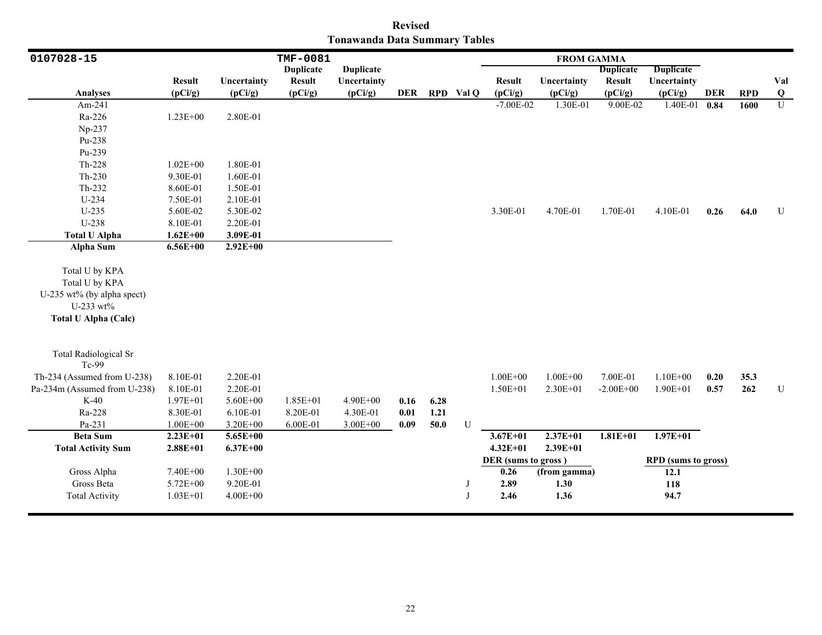| <b>Revised</b>                       |  |  |  |  |  |  |  |  |  |  |  |
|--------------------------------------|--|--|--|--|--|--|--|--|--|--|--|
| <b>Tonawanda Data Summary Tables</b> |  |  |  |  |  |  |  |  |  |  |  |

| 0107028-15                   |               |              | TMF-0081         |                  |      |      |           | <b>FROM GAMMA</b>   |              |                  |                            |            |            |             |
|------------------------------|---------------|--------------|------------------|------------------|------|------|-----------|---------------------|--------------|------------------|----------------------------|------------|------------|-------------|
|                              |               |              | <b>Duplicate</b> | <b>Duplicate</b> |      |      |           |                     |              | <b>Duplicate</b> | <b>Duplicate</b>           |            |            |             |
|                              | <b>Result</b> | Uncertainty  | <b>Result</b>    | Uncertainty      |      |      |           | <b>Result</b>       | Uncertainty  | <b>Result</b>    | Uncertainty                |            |            | Val         |
| <b>Analyses</b>              | (pCi/g)       | (pCi/g)      | (pCi/g)          | (pCi/g)          | DER  |      | RPD Val Q | (pCi/g)             | (pCi/g)      | (pCi/g)          | (pCi/g)                    | <b>DER</b> | <b>RPD</b> | Q           |
| Am-241                       |               |              |                  |                  |      |      |           | $-7.00E - 02$       | 1.30E-01     | 9.00E-02         | 1.40E-01                   | 0.84       | 1600       | U           |
| Ra-226                       | $1.23E + 00$  | 2.80E-01     |                  |                  |      |      |           |                     |              |                  |                            |            |            |             |
| Np-237                       |               |              |                  |                  |      |      |           |                     |              |                  |                            |            |            |             |
| Pu-238                       |               |              |                  |                  |      |      |           |                     |              |                  |                            |            |            |             |
| Pu-239                       |               |              |                  |                  |      |      |           |                     |              |                  |                            |            |            |             |
| Th-228                       | $1.02E + 00$  | 1.80E-01     |                  |                  |      |      |           |                     |              |                  |                            |            |            |             |
| Th-230                       | 9.30E-01      | 1.60E-01     |                  |                  |      |      |           |                     |              |                  |                            |            |            |             |
| Th-232                       | 8.60E-01      | 1.50E-01     |                  |                  |      |      |           |                     |              |                  |                            |            |            |             |
| U-234                        | 7.50E-01      | 2.10E-01     |                  |                  |      |      |           |                     |              |                  |                            |            |            |             |
| $U-235$                      | 5.60E-02      | 5.30E-02     |                  |                  |      |      |           | 3.30E-01            | 4.70E-01     | 1.70E-01         | 4.10E-01                   | 0.26       | 64.0       | $\mathbf U$ |
| U-238                        | 8.10E-01      | 2.20E-01     |                  |                  |      |      |           |                     |              |                  |                            |            |            |             |
| <b>Total U Alpha</b>         | $1.62E + 00$  | 3.09E-01     |                  |                  |      |      |           |                     |              |                  |                            |            |            |             |
| <b>Alpha Sum</b>             | $6.56E + 00$  | $2.92E+00$   |                  |                  |      |      |           |                     |              |                  |                            |            |            |             |
| Total U by KPA               |               |              |                  |                  |      |      |           |                     |              |                  |                            |            |            |             |
| Total U by KPA               |               |              |                  |                  |      |      |           |                     |              |                  |                            |            |            |             |
| U-235 wt% (by alpha spect)   |               |              |                  |                  |      |      |           |                     |              |                  |                            |            |            |             |
| U-233 wt%                    |               |              |                  |                  |      |      |           |                     |              |                  |                            |            |            |             |
| <b>Total U Alpha (Calc)</b>  |               |              |                  |                  |      |      |           |                     |              |                  |                            |            |            |             |
|                              |               |              |                  |                  |      |      |           |                     |              |                  |                            |            |            |             |
| <b>Total Radiological Sr</b> |               |              |                  |                  |      |      |           |                     |              |                  |                            |            |            |             |
| Tc-99                        |               |              |                  |                  |      |      |           |                     |              |                  |                            |            |            |             |
| Th-234 (Assumed from U-238)  | 8.10E-01      | 2.20E-01     |                  |                  |      |      |           | $1.00E + 00$        | $1.00E + 00$ | 7.00E-01         | $1.10E + 00$               | 0.20       | 35.3       |             |
| Pa-234m (Assumed from U-238) | 8.10E-01      | 2.20E-01     |                  |                  |      |      |           | $1.50E + 01$        | 2.30E+01     | $-2.00E + 00$    | $1.90E + 01$               | 0.57       | 262        | ${\bf U}$   |
| $K-40$                       | $1.97E + 01$  | $5.60E + 00$ | $1.85E + 01$     | 4.90E+00         | 0.16 | 6.28 |           |                     |              |                  |                            |            |            |             |
| Ra-228                       | 8.30E-01      | 6.10E-01     | 8.20E-01         | 4.30E-01         | 0.01 | 1.21 |           |                     |              |                  |                            |            |            |             |
| Pa-231                       | $1.00E + 00$  | 3.20E+00     | 6.00E-01         | $3.00E + 00$     | 0.09 | 50.0 | U         |                     |              |                  |                            |            |            |             |
| <b>Beta Sum</b>              | $2.23E+01$    | $5.65E + 00$ |                  |                  |      |      |           | $3.67E + 01$        | $2.37E + 01$ | $1.81E + 01$     | $1.97E + 01$               |            |            |             |
| <b>Total Activity Sum</b>    | $2.88E + 01$  | $6.37E + 00$ |                  |                  |      |      |           | $4.32E+01$          | $2.39E + 01$ |                  |                            |            |            |             |
|                              |               |              |                  |                  |      |      |           | DER (sums to gross) |              |                  | <b>RPD</b> (sums to gross) |            |            |             |
| Gross Alpha                  | 7.40E+00      | $1.30E + 00$ |                  |                  |      |      |           | 0.26                | (from gamma) |                  | 12.1                       |            |            |             |
| Gross Beta                   | 5.72E+00      | 9.20E-01     |                  |                  |      |      |           | 2.89                | 1.30         |                  | 118                        |            |            |             |
| <b>Total Activity</b>        | $1.03E + 01$  | $4.00E + 00$ |                  |                  |      |      | I         | 2.46                | 1.36         |                  | 94.7                       |            |            |             |
|                              |               |              |                  |                  |      |      |           |                     |              |                  |                            |            |            |             |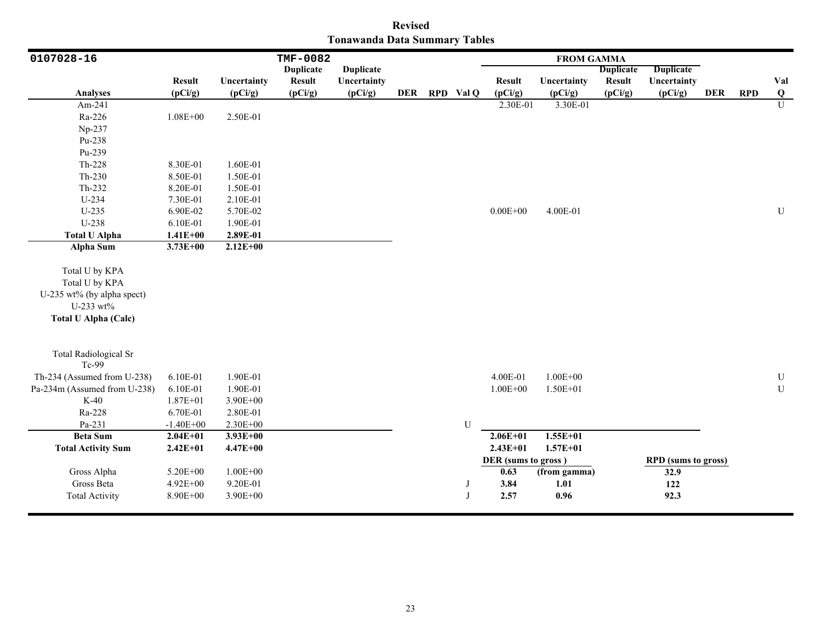| <b>Revised</b>                       |  |  |  |  |  |  |  |  |  |  |  |
|--------------------------------------|--|--|--|--|--|--|--|--|--|--|--|
| <b>Tonawanda Data Summary Tables</b> |  |  |  |  |  |  |  |  |  |  |  |

| 0107028-16                                                                                                 |                                  |                                      | <b>TMF-0082</b>  |                  |     |             |                                             | <b>FROM GAMMA</b>            |                  |                                                   |            |            |                         |
|------------------------------------------------------------------------------------------------------------|----------------------------------|--------------------------------------|------------------|------------------|-----|-------------|---------------------------------------------|------------------------------|------------------|---------------------------------------------------|------------|------------|-------------------------|
|                                                                                                            |                                  |                                      | <b>Duplicate</b> | <b>Duplicate</b> |     |             |                                             |                              | <b>Duplicate</b> | <b>Duplicate</b>                                  |            |            |                         |
|                                                                                                            | <b>Result</b>                    | Uncertainty                          | <b>Result</b>    | Uncertainty      |     |             | <b>Result</b>                               | Uncertainty                  | <b>Result</b>    | Uncertainty                                       |            |            | Val                     |
| <b>Analyses</b>                                                                                            | (pCi/g)                          | (pCi/g)                              | (pCi/g)          | (pCi/g)          | DER | RPD Val Q   | (pCi/g)                                     | (pCi/g)                      | (pCi/g)          | (pCi/g)                                           | <b>DER</b> | <b>RPD</b> | $\overline{\mathbf{Q}}$ |
| Am-241                                                                                                     |                                  |                                      |                  |                  |     |             | 2.30E-01                                    | 3.30E-01                     |                  |                                                   |            |            | $\overline{U}$          |
| Ra-226                                                                                                     | $1.08E + 00$                     | 2.50E-01                             |                  |                  |     |             |                                             |                              |                  |                                                   |            |            |                         |
| Np-237                                                                                                     |                                  |                                      |                  |                  |     |             |                                             |                              |                  |                                                   |            |            |                         |
| Pu-238                                                                                                     |                                  |                                      |                  |                  |     |             |                                             |                              |                  |                                                   |            |            |                         |
| Pu-239                                                                                                     |                                  |                                      |                  |                  |     |             |                                             |                              |                  |                                                   |            |            |                         |
| Th-228                                                                                                     | 8.30E-01                         | 1.60E-01                             |                  |                  |     |             |                                             |                              |                  |                                                   |            |            |                         |
| Th-230                                                                                                     | 8.50E-01                         | 1.50E-01                             |                  |                  |     |             |                                             |                              |                  |                                                   |            |            |                         |
| Th-232                                                                                                     | 8.20E-01                         | 1.50E-01                             |                  |                  |     |             |                                             |                              |                  |                                                   |            |            |                         |
| U-234                                                                                                      | 7.30E-01                         | 2.10E-01                             |                  |                  |     |             |                                             |                              |                  |                                                   |            |            |                         |
| $U-235$                                                                                                    | 6.90E-02                         | 5.70E-02                             |                  |                  |     |             | $0.00E + 00$                                | 4.00E-01                     |                  |                                                   |            |            | U                       |
| $U-238$                                                                                                    | 6.10E-01                         | 1.90E-01                             |                  |                  |     |             |                                             |                              |                  |                                                   |            |            |                         |
| <b>Total U Alpha</b>                                                                                       | $1.41E + 00$                     | 2.89E-01                             |                  |                  |     |             |                                             |                              |                  |                                                   |            |            |                         |
| <b>Alpha Sum</b>                                                                                           | $3.73E + 00$                     | $2.12E+00$                           |                  |                  |     |             |                                             |                              |                  |                                                   |            |            |                         |
| Total U by KPA<br>Total U by KPA<br>U-235 wt% (by alpha spect)<br>U-233 wt%<br><b>Total U Alpha (Calc)</b> |                                  |                                      |                  |                  |     |             |                                             |                              |                  |                                                   |            |            |                         |
| <b>Total Radiological Sr</b><br>Tc-99                                                                      |                                  |                                      |                  |                  |     |             |                                             |                              |                  |                                                   |            |            |                         |
| Th-234 (Assumed from U-238)                                                                                | 6.10E-01                         | 1.90E-01                             |                  |                  |     |             | 4.00E-01                                    | $1.00E + 00$                 |                  |                                                   |            |            | $\mathbf U$             |
| Pa-234m (Assumed from U-238)                                                                               | 6.10E-01                         | 1.90E-01                             |                  |                  |     |             | $1.00E + 00$                                | $1.50E + 01$                 |                  |                                                   |            |            | ${\bf U}$               |
| $K-40$                                                                                                     | 1.87E+01                         | 3.90E+00                             |                  |                  |     |             |                                             |                              |                  |                                                   |            |            |                         |
| Ra-228                                                                                                     | 6.70E-01                         | 2.80E-01                             |                  |                  |     |             |                                             |                              |                  |                                                   |            |            |                         |
| Pa-231                                                                                                     | $-1.40E + 00$                    | 2.30E+00                             |                  |                  |     | U           |                                             |                              |                  |                                                   |            |            |                         |
| <b>Beta Sum</b>                                                                                            | $2.04E+01$                       | $3.93E+00$                           |                  |                  |     |             | $2.06E + 01$                                | $1.55E + 01$                 |                  |                                                   |            |            |                         |
| <b>Total Activity Sum</b>                                                                                  | $2.42E + 01$                     | $4.47E + 00$                         |                  |                  |     |             | $2.43E + 01$                                | $1.57E + 01$                 |                  |                                                   |            |            |                         |
| Gross Alpha<br>Gross Beta<br><b>Total Activity</b>                                                         | 5.20E+00<br>4.92E+00<br>8.90E+00 | $1.00E + 00$<br>9.20E-01<br>3.90E+00 |                  |                  |     | $\mathbf I$ | DER (sums to gross)<br>0.63<br>3.84<br>2.57 | (from gamma)<br>1.01<br>0.96 |                  | <b>RPD</b> (sums to gross)<br>32.9<br>122<br>92.3 |            |            |                         |
|                                                                                                            |                                  |                                      |                  |                  |     |             |                                             |                              |                  |                                                   |            |            |                         |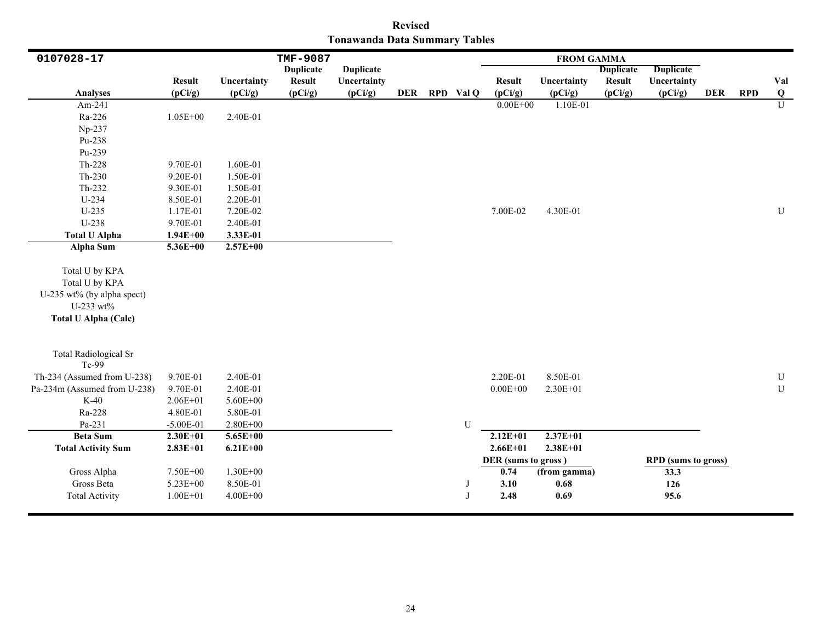| <b>Revised</b>                |  |  |  |  |  |  |  |  |  |  |  |
|-------------------------------|--|--|--|--|--|--|--|--|--|--|--|
| Tonawanda Data Summary Tables |  |  |  |  |  |  |  |  |  |  |  |

| 0107028-17                                                                                                 |               |              | <b>TMF-9087</b>  |                  |  |               |                     | <b>FROM GAMMA</b> |                  |                            |            |            |           |
|------------------------------------------------------------------------------------------------------------|---------------|--------------|------------------|------------------|--|---------------|---------------------|-------------------|------------------|----------------------------|------------|------------|-----------|
|                                                                                                            |               |              | <b>Duplicate</b> | <b>Duplicate</b> |  |               |                     |                   | <b>Duplicate</b> | <b>Duplicate</b>           |            |            |           |
|                                                                                                            | <b>Result</b> | Uncertainty  | <b>Result</b>    | Uncertainty      |  |               | <b>Result</b>       | Uncertainty       | <b>Result</b>    | Uncertainty                |            |            | Val       |
| <b>Analyses</b>                                                                                            | (pCi/g)       | (pCi/g)      | (pCi/g)          | (pCi/g)          |  | DER RPD Val Q | (pCi/g)             | (pCi/g)           | (pCi/g)          | (pCi/g)                    | <b>DER</b> | <b>RPD</b> | $\bf{Q}$  |
| Am-241                                                                                                     |               |              |                  |                  |  |               | $0.00E + 00$        | 1.10E-01          |                  |                            |            |            | U         |
| Ra-226                                                                                                     | $1.05E + 00$  | 2.40E-01     |                  |                  |  |               |                     |                   |                  |                            |            |            |           |
| Np-237                                                                                                     |               |              |                  |                  |  |               |                     |                   |                  |                            |            |            |           |
| Pu-238                                                                                                     |               |              |                  |                  |  |               |                     |                   |                  |                            |            |            |           |
| Pu-239                                                                                                     |               |              |                  |                  |  |               |                     |                   |                  |                            |            |            |           |
| Th-228                                                                                                     | 9.70E-01      | 1.60E-01     |                  |                  |  |               |                     |                   |                  |                            |            |            |           |
| $Th-230$                                                                                                   | 9.20E-01      | 1.50E-01     |                  |                  |  |               |                     |                   |                  |                            |            |            |           |
| Th-232                                                                                                     | 9.30E-01      | 1.50E-01     |                  |                  |  |               |                     |                   |                  |                            |            |            |           |
| U-234                                                                                                      | 8.50E-01      | 2.20E-01     |                  |                  |  |               |                     |                   |                  |                            |            |            |           |
| $U-235$                                                                                                    | 1.17E-01      | 7.20E-02     |                  |                  |  |               | 7.00E-02            | 4.30E-01          |                  |                            |            |            | U         |
| $U-238$                                                                                                    | 9.70E-01      | 2.40E-01     |                  |                  |  |               |                     |                   |                  |                            |            |            |           |
| <b>Total U Alpha</b>                                                                                       | $1.94E + 00$  | 3.33E-01     |                  |                  |  |               |                     |                   |                  |                            |            |            |           |
| Alpha Sum                                                                                                  | $5.36E + 00$  | $2.57E+00$   |                  |                  |  |               |                     |                   |                  |                            |            |            |           |
| Total U by KPA<br>Total U by KPA<br>U-235 wt% (by alpha spect)<br>U-233 wt%<br><b>Total U Alpha (Calc)</b> |               |              |                  |                  |  |               |                     |                   |                  |                            |            |            |           |
| <b>Total Radiological Sr</b><br>Tc-99                                                                      |               |              |                  |                  |  |               |                     |                   |                  |                            |            |            |           |
| Th-234 (Assumed from U-238)                                                                                | 9.70E-01      | 2.40E-01     |                  |                  |  |               | 2.20E-01            | 8.50E-01          |                  |                            |            |            | ${\bf U}$ |
| Pa-234m (Assumed from U-238)                                                                               | 9.70E-01      | 2.40E-01     |                  |                  |  |               | $0.00E + 00$        | 2.30E+01          |                  |                            |            |            | ${\bf U}$ |
| $K-40$                                                                                                     | $2.06E + 01$  | 5.60E+00     |                  |                  |  |               |                     |                   |                  |                            |            |            |           |
| Ra-228                                                                                                     | 4.80E-01      | 5.80E-01     |                  |                  |  |               |                     |                   |                  |                            |            |            |           |
| Pa-231                                                                                                     | $-5.00E-01$   | $2.80E + 00$ |                  |                  |  | U             |                     |                   |                  |                            |            |            |           |
| <b>Beta Sum</b>                                                                                            | $2.30E+01$    | $5.65E+00$   |                  |                  |  |               | $2.12E+01$          | $2.37E+01$        |                  |                            |            |            |           |
| <b>Total Activity Sum</b>                                                                                  | $2.83E+01$    | $6.21E + 00$ |                  |                  |  |               | $2.66E + 01$        | $2.38E + 01$      |                  |                            |            |            |           |
|                                                                                                            |               |              |                  |                  |  |               | DER (sums to gross) |                   |                  | <b>RPD</b> (sums to gross) |            |            |           |
| Gross Alpha                                                                                                | 7.50E+00      | $1.30E + 00$ |                  |                  |  |               | 0.74                | (from gamma)      |                  | 33.3                       |            |            |           |
| Gross Beta                                                                                                 | $5.23E + 00$  | 8.50E-01     |                  |                  |  | $\cdot$       | 3.10                | 0.68              |                  | 126                        |            |            |           |
| <b>Total Activity</b>                                                                                      | $1.00E + 01$  | $4.00E + 00$ |                  |                  |  | $\mathbf I$   | 2.48                | 0.69              |                  | 95.6                       |            |            |           |
|                                                                                                            |               |              |                  |                  |  |               |                     |                   |                  |                            |            |            |           |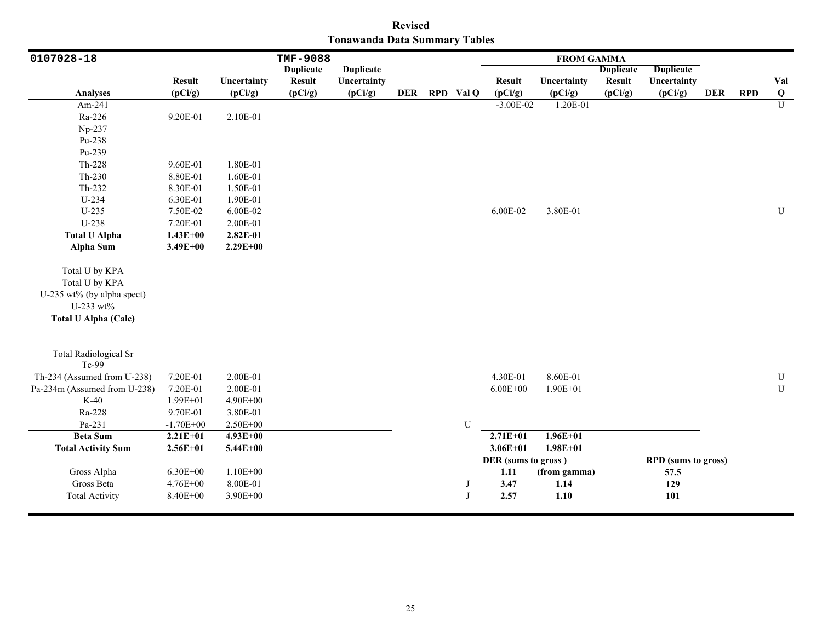|                                      | <b>Revised</b> |  |
|--------------------------------------|----------------|--|
| <b>Tonawanda Data Summary Tables</b> |                |  |

| <b>TMF-9088</b><br>0107028-18                                                                              |                          |                              |                  |                  |     | <b>FROM GAMMA</b> |                                     |                      |                  |                                           |            |            |                         |
|------------------------------------------------------------------------------------------------------------|--------------------------|------------------------------|------------------|------------------|-----|-------------------|-------------------------------------|----------------------|------------------|-------------------------------------------|------------|------------|-------------------------|
|                                                                                                            |                          |                              | <b>Duplicate</b> | <b>Duplicate</b> |     |                   |                                     |                      | <b>Duplicate</b> | <b>Duplicate</b>                          |            |            |                         |
|                                                                                                            | <b>Result</b>            | Uncertainty                  | <b>Result</b>    | Uncertainty      |     |                   | <b>Result</b>                       | Uncertainty          | <b>Result</b>    | Uncertainty                               |            |            | Val                     |
| <b>Analyses</b>                                                                                            | (pCi/g)                  | (pCi/g)                      | (pCi/g)          | (pCi/g)          | DER | RPD Val Q         | (pCi/g)                             | (pCi/g)              | (pCi/g)          | (pCi/g)                                   | <b>DER</b> | <b>RPD</b> | $\overline{\mathbf{Q}}$ |
| Am-241                                                                                                     |                          |                              |                  |                  |     |                   | $-3.00E-02$                         | 1.20E-01             |                  |                                           |            |            | $\overline{U}$          |
| Ra-226                                                                                                     | 9.20E-01                 | 2.10E-01                     |                  |                  |     |                   |                                     |                      |                  |                                           |            |            |                         |
| Np-237                                                                                                     |                          |                              |                  |                  |     |                   |                                     |                      |                  |                                           |            |            |                         |
| Pu-238                                                                                                     |                          |                              |                  |                  |     |                   |                                     |                      |                  |                                           |            |            |                         |
| Pu-239                                                                                                     |                          |                              |                  |                  |     |                   |                                     |                      |                  |                                           |            |            |                         |
| Th-228                                                                                                     | 9.60E-01                 | 1.80E-01                     |                  |                  |     |                   |                                     |                      |                  |                                           |            |            |                         |
| Th-230                                                                                                     | 8.80E-01                 | 1.60E-01                     |                  |                  |     |                   |                                     |                      |                  |                                           |            |            |                         |
| Th-232                                                                                                     | 8.30E-01                 | 1.50E-01                     |                  |                  |     |                   |                                     |                      |                  |                                           |            |            |                         |
| U-234                                                                                                      | 6.30E-01                 | 1.90E-01                     |                  |                  |     |                   |                                     |                      |                  |                                           |            |            |                         |
| $U-235$                                                                                                    | 7.50E-02                 | 6.00E-02                     |                  |                  |     |                   | 6.00E-02                            | 3.80E-01             |                  |                                           |            |            | U                       |
| $U-238$                                                                                                    | 7.20E-01                 | 2.00E-01                     |                  |                  |     |                   |                                     |                      |                  |                                           |            |            |                         |
| <b>Total U Alpha</b>                                                                                       | $1.43E + 00$             | 2.82E-01                     |                  |                  |     |                   |                                     |                      |                  |                                           |            |            |                         |
| <b>Alpha Sum</b>                                                                                           | $3.49E + 00$             | $2.29E+00$                   |                  |                  |     |                   |                                     |                      |                  |                                           |            |            |                         |
| Total U by KPA<br>Total U by KPA<br>U-235 wt% (by alpha spect)<br>U-233 wt%<br><b>Total U Alpha (Calc)</b> |                          |                              |                  |                  |     |                   |                                     |                      |                  |                                           |            |            |                         |
| <b>Total Radiological Sr</b><br>Tc-99                                                                      |                          |                              |                  |                  |     |                   |                                     |                      |                  |                                           |            |            |                         |
| Th-234 (Assumed from U-238)                                                                                | 7.20E-01                 | 2.00E-01                     |                  |                  |     |                   | 4.30E-01                            | 8.60E-01             |                  |                                           |            |            | $\mathbf U$             |
| Pa-234m (Assumed from U-238)                                                                               | 7.20E-01                 | 2.00E-01                     |                  |                  |     |                   | $6.00E + 00$                        | $1.90E + 01$         |                  |                                           |            |            | ${\bf U}$               |
| $K-40$                                                                                                     | 1.99E+01                 | 4.90E+00                     |                  |                  |     |                   |                                     |                      |                  |                                           |            |            |                         |
| Ra-228                                                                                                     | 9.70E-01                 | 3.80E-01                     |                  |                  |     |                   |                                     |                      |                  |                                           |            |            |                         |
| Pa-231                                                                                                     | $-1.70E + 00$            | 2.50E+00                     |                  |                  |     | U                 |                                     |                      |                  |                                           |            |            |                         |
| <b>Beta Sum</b>                                                                                            | $2.21E+01$               | $4.93E+00$                   |                  |                  |     |                   | $2.71E + 01$                        | $1.96E + 01$         |                  |                                           |            |            |                         |
| <b>Total Activity Sum</b>                                                                                  | $2.56E + 01$             | 5.44E+00                     |                  |                  |     |                   | $3.06E + 01$                        | $1.98E + 01$         |                  |                                           |            |            |                         |
| Gross Alpha<br>Gross Beta                                                                                  | $6.30E + 00$<br>4.76E+00 | $1.10E + 00$<br>$8.00E - 01$ |                  |                  |     |                   | DER (sums to gross)<br>1.11<br>3.47 | (from gamma)<br>1.14 |                  | <b>RPD</b> (sums to gross)<br>57.5<br>129 |            |            |                         |
| <b>Total Activity</b>                                                                                      | 8.40E+00                 | 3.90E+00                     |                  |                  |     | $\mathbf I$       | 2.57                                | 1.10                 |                  | 101                                       |            |            |                         |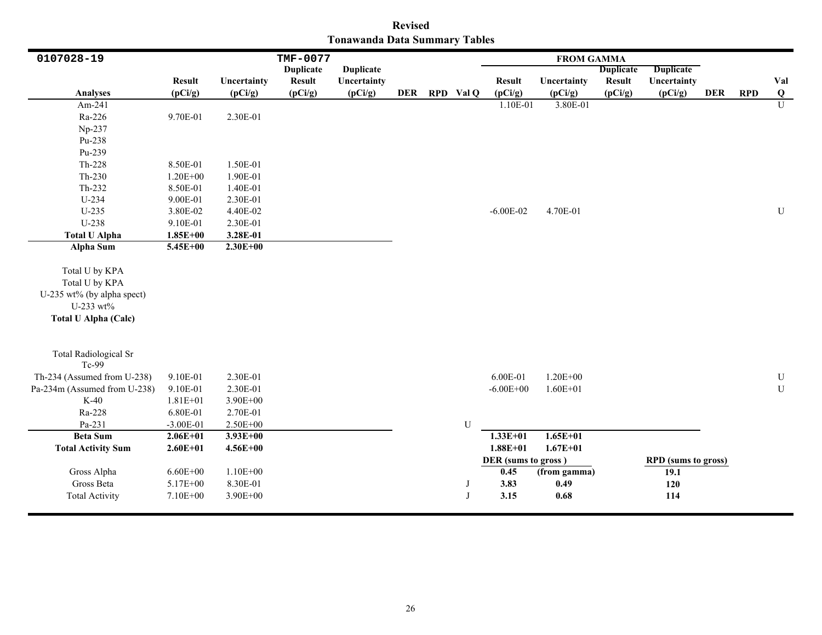|                               | <b>Revised</b> |  |
|-------------------------------|----------------|--|
| Tonawanda Data Summary Tables |                |  |

| 0107028-19                                                                                                 |                                      |                                      | TMF-0077         |                  |  |               |                                             | <b>FROM GAMMA</b>            |                  |                                                  |            |            |                     |
|------------------------------------------------------------------------------------------------------------|--------------------------------------|--------------------------------------|------------------|------------------|--|---------------|---------------------------------------------|------------------------------|------------------|--------------------------------------------------|------------|------------|---------------------|
|                                                                                                            |                                      |                                      | <b>Duplicate</b> | <b>Duplicate</b> |  |               |                                             |                              | <b>Duplicate</b> | <b>Duplicate</b>                                 |            |            |                     |
| <b>Analyses</b>                                                                                            | <b>Result</b>                        | Uncertainty                          | <b>Result</b>    | Uncertainty      |  |               | <b>Result</b>                               | Uncertainty                  | <b>Result</b>    | Uncertainty                                      | <b>DER</b> | <b>RPD</b> | Val                 |
| Am-241                                                                                                     | (pCi/g)                              | (pCi/g)                              | (pCi/g)          | (pCi/g)          |  | DER RPD Val Q | (pCi/g)<br>1.10E-01                         | (pCi/g)                      | (pCi/g)          | (pCi/g)                                          |            |            | Q<br>$\overline{U}$ |
|                                                                                                            |                                      |                                      |                  |                  |  |               |                                             | 3.80E-01                     |                  |                                                  |            |            |                     |
| Ra-226                                                                                                     | 9.70E-01                             | 2.30E-01                             |                  |                  |  |               |                                             |                              |                  |                                                  |            |            |                     |
| Np-237                                                                                                     |                                      |                                      |                  |                  |  |               |                                             |                              |                  |                                                  |            |            |                     |
| Pu-238                                                                                                     |                                      |                                      |                  |                  |  |               |                                             |                              |                  |                                                  |            |            |                     |
| Pu-239                                                                                                     |                                      |                                      |                  |                  |  |               |                                             |                              |                  |                                                  |            |            |                     |
| Th-228                                                                                                     | 8.50E-01                             | 1.50E-01                             |                  |                  |  |               |                                             |                              |                  |                                                  |            |            |                     |
| $Th-230$                                                                                                   | 1.20E+00                             | 1.90E-01                             |                  |                  |  |               |                                             |                              |                  |                                                  |            |            |                     |
| Th-232                                                                                                     | 8.50E-01                             | 1.40E-01                             |                  |                  |  |               |                                             |                              |                  |                                                  |            |            |                     |
| U-234                                                                                                      | 9.00E-01                             | 2.30E-01                             |                  |                  |  |               |                                             |                              |                  |                                                  |            |            |                     |
| $U-235$                                                                                                    | 3.80E-02                             | 4.40E-02                             |                  |                  |  |               | $-6.00E - 02$                               | 4.70E-01                     |                  |                                                  |            |            | ${\bf U}$           |
| U-238                                                                                                      | 9.10E-01                             | 2.30E-01                             |                  |                  |  |               |                                             |                              |                  |                                                  |            |            |                     |
| <b>Total U Alpha</b>                                                                                       | $1.85E + 00$                         | 3.28E-01                             |                  |                  |  |               |                                             |                              |                  |                                                  |            |            |                     |
| Alpha Sum                                                                                                  | $5.45E+00$                           | $2.30E + 00$                         |                  |                  |  |               |                                             |                              |                  |                                                  |            |            |                     |
| Total U by KPA<br>Total U by KPA<br>U-235 wt% (by alpha spect)<br>U-233 wt%<br><b>Total U Alpha (Calc)</b> |                                      |                                      |                  |                  |  |               |                                             |                              |                  |                                                  |            |            |                     |
| <b>Total Radiological Sr</b><br>Tc-99                                                                      |                                      |                                      |                  |                  |  |               |                                             |                              |                  |                                                  |            |            |                     |
| Th-234 (Assumed from U-238)                                                                                | 9.10E-01                             | 2.30E-01                             |                  |                  |  |               | 6.00E-01                                    | $1.20E + 00$                 |                  |                                                  |            |            | ${\bf U}$           |
| Pa-234m (Assumed from U-238)                                                                               | 9.10E-01                             | 2.30E-01                             |                  |                  |  |               | $-6.00E + 00$                               | $1.60E + 01$                 |                  |                                                  |            |            | ${\bf U}$           |
| $K-40$                                                                                                     | $1.81E + 01$                         | $3.90E + 00$                         |                  |                  |  |               |                                             |                              |                  |                                                  |            |            |                     |
| Ra-228                                                                                                     | 6.80E-01                             | 2.70E-01                             |                  |                  |  |               |                                             |                              |                  |                                                  |            |            |                     |
| Pa-231                                                                                                     | $-3.00E-01$                          | 2.50E+00                             |                  |                  |  | U             |                                             |                              |                  |                                                  |            |            |                     |
| <b>Beta Sum</b>                                                                                            | $2.06E+01$                           | $3.93E+00$                           |                  |                  |  |               | $1.33E+01$                                  | $1.65E+01$                   |                  |                                                  |            |            |                     |
| <b>Total Activity Sum</b>                                                                                  | $2.60E + 01$                         | $4.56E + 00$                         |                  |                  |  |               | $1.88E + 01$                                | $1.67E + 01$                 |                  |                                                  |            |            |                     |
| Gross Alpha<br>Gross Beta<br><b>Total Activity</b>                                                         | $6.60E + 00$<br>5.17E+00<br>7.10E+00 | $1.10E + 00$<br>8.30E-01<br>3.90E+00 |                  |                  |  | J<br>J        | DER (sums to gross)<br>0.45<br>3.83<br>3.15 | (from gamma)<br>0.49<br>0.68 |                  | <b>RPD</b> (sums to gross)<br>19.1<br>120<br>114 |            |            |                     |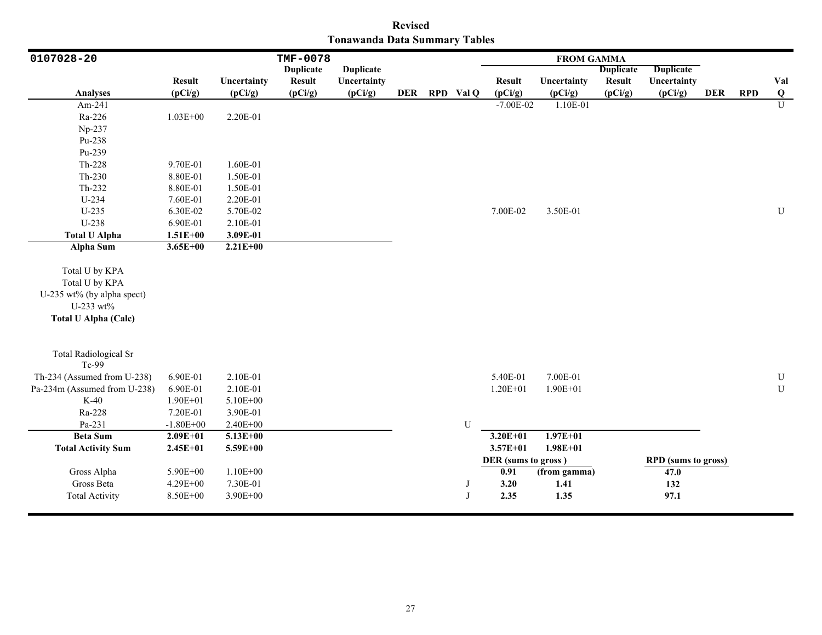|                               | <b>Revised</b> |  |
|-------------------------------|----------------|--|
| Tonawanda Data Summary Tables |                |  |

| 0107028-20                                                                                                 | TMF-0078                         |                                      |                  |                  |            |             |                                             | <b>FROM GAMMA</b>            |                  |                                                   |            |            |                         |
|------------------------------------------------------------------------------------------------------------|----------------------------------|--------------------------------------|------------------|------------------|------------|-------------|---------------------------------------------|------------------------------|------------------|---------------------------------------------------|------------|------------|-------------------------|
|                                                                                                            |                                  |                                      | <b>Duplicate</b> | <b>Duplicate</b> |            |             |                                             |                              | <b>Duplicate</b> | <b>Duplicate</b>                                  |            |            |                         |
|                                                                                                            | <b>Result</b>                    | Uncertainty                          | <b>Result</b>    | Uncertainty      |            |             | <b>Result</b>                               | Uncertainty                  | <b>Result</b>    | Uncertainty                                       |            |            | Val                     |
| <b>Analyses</b>                                                                                            | (pCi/g)                          | (pCi/g)                              | (pCi/g)          | (pCi/g)          | <b>DER</b> | RPD Val Q   | (pCi/g)                                     | (pCi/g)                      | (pCi/g)          | (pCi/g)                                           | <b>DER</b> | <b>RPD</b> | $\overline{\mathbf{Q}}$ |
| Am-241                                                                                                     |                                  |                                      |                  |                  |            |             | $-7.00E - 02$                               | 1.10E-01                     |                  |                                                   |            |            | $\overline{U}$          |
| Ra-226                                                                                                     | $1.03E + 00$                     | 2.20E-01                             |                  |                  |            |             |                                             |                              |                  |                                                   |            |            |                         |
| Np-237                                                                                                     |                                  |                                      |                  |                  |            |             |                                             |                              |                  |                                                   |            |            |                         |
| Pu-238                                                                                                     |                                  |                                      |                  |                  |            |             |                                             |                              |                  |                                                   |            |            |                         |
| Pu-239                                                                                                     |                                  |                                      |                  |                  |            |             |                                             |                              |                  |                                                   |            |            |                         |
| Th-228                                                                                                     | 9.70E-01                         | 1.60E-01                             |                  |                  |            |             |                                             |                              |                  |                                                   |            |            |                         |
| $Th-230$                                                                                                   | 8.80E-01                         | 1.50E-01                             |                  |                  |            |             |                                             |                              |                  |                                                   |            |            |                         |
| Th-232                                                                                                     | 8.80E-01                         | 1.50E-01                             |                  |                  |            |             |                                             |                              |                  |                                                   |            |            |                         |
| U-234                                                                                                      | 7.60E-01                         | 2.20E-01                             |                  |                  |            |             |                                             |                              |                  |                                                   |            |            |                         |
| $U-235$                                                                                                    | 6.30E-02                         | 5.70E-02                             |                  |                  |            |             | 7.00E-02                                    | 3.50E-01                     |                  |                                                   |            |            | ${\bf U}$               |
| U-238                                                                                                      | 6.90E-01                         | 2.10E-01                             |                  |                  |            |             |                                             |                              |                  |                                                   |            |            |                         |
| <b>Total U Alpha</b>                                                                                       | $1.51E + 00$                     | 3.09E-01                             |                  |                  |            |             |                                             |                              |                  |                                                   |            |            |                         |
| <b>Alpha Sum</b>                                                                                           | $3.65E + 00$                     | $2.21E+00$                           |                  |                  |            |             |                                             |                              |                  |                                                   |            |            |                         |
| Total U by KPA<br>Total U by KPA<br>U-235 wt% (by alpha spect)<br>U-233 wt%<br><b>Total U Alpha (Calc)</b> |                                  |                                      |                  |                  |            |             |                                             |                              |                  |                                                   |            |            |                         |
| <b>Total Radiological Sr</b><br>Tc-99                                                                      |                                  |                                      |                  |                  |            |             |                                             |                              |                  |                                                   |            |            |                         |
| Th-234 (Assumed from U-238)                                                                                | 6.90E-01                         | 2.10E-01                             |                  |                  |            |             | 5.40E-01                                    | 7.00E-01                     |                  |                                                   |            |            | ${\bf U}$               |
| Pa-234m (Assumed from U-238)                                                                               | 6.90E-01                         | 2.10E-01                             |                  |                  |            |             | $1.20E + 01$                                | $1.90E + 01$                 |                  |                                                   |            |            | ${\bf U}$               |
| $K-40$                                                                                                     | 1.90E+01                         | 5.10E+00                             |                  |                  |            |             |                                             |                              |                  |                                                   |            |            |                         |
| Ra-228                                                                                                     | 7.20E-01                         | 3.90E-01                             |                  |                  |            |             |                                             |                              |                  |                                                   |            |            |                         |
| Pa-231                                                                                                     | $-1.80E + 00$                    | 2.40E+00                             |                  |                  |            | U           |                                             |                              |                  |                                                   |            |            |                         |
| <b>Beta Sum</b>                                                                                            | $2.09E + 01$                     | $5.13E+00$                           |                  |                  |            |             | $3.20E + 01$                                | $1.97E + 01$                 |                  |                                                   |            |            |                         |
| <b>Total Activity Sum</b>                                                                                  | $2.45E+01$                       | 5.59E+00                             |                  |                  |            |             | $3.57E + 01$                                | $1.98E + 01$                 |                  |                                                   |            |            |                         |
| Gross Alpha<br>Gross Beta<br><b>Total Activity</b>                                                         | 5.90E+00<br>4.29E+00<br>8.50E+00 | $1.10E + 00$<br>7.30E-01<br>3.90E+00 |                  |                  |            | $\mathbf I$ | DER (sums to gross)<br>0.91<br>3.20<br>2.35 | (from gamma)<br>1.41<br>1.35 |                  | <b>RPD</b> (sums to gross)<br>47.0<br>132<br>97.1 |            |            |                         |
|                                                                                                            |                                  |                                      |                  |                  |            |             |                                             |                              |                  |                                                   |            |            |                         |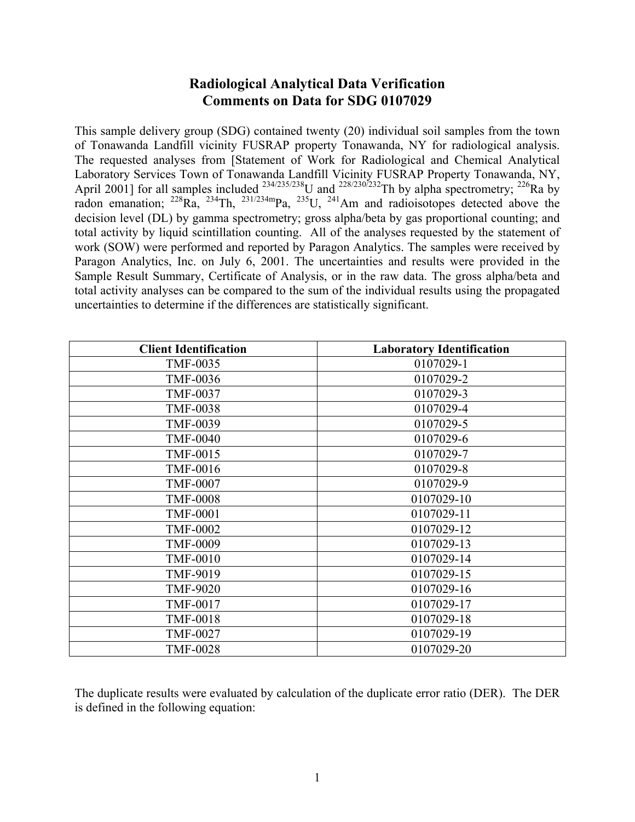# **Radiological Analytical Data Verification Comments on Data for SDG 0107029**

This sample delivery group (SDG) contained twenty (20) individual soil samples from the town of Tonawanda Landfill vicinity FUSRAP property Tonawanda, NY for radiological analysis. The requested analyses from [Statement of Work for Radiological and Chemical Analytical Laboratory Services Town of Tonawanda Landfill Vicinity FUSRAP Property Tonawanda, NY, April 2001] for all samples included  $^{234/235/238}$ U and  $^{228/230/232}$ Th by alpha spectrometry;  $^{226}$ Ra by radon emanation;  $^{228}Ra$ ,  $^{234}Th$ ,  $^{231/234m}Pa$ ,  $^{235}U$ ,  $^{241}Am$  and radioisotopes detected above the decision level (DL) by gamma spectrometry; gross alpha/beta by gas proportional counting; and total activity by liquid scintillation counting. All of the analyses requested by the statement of work (SOW) were performed and reported by Paragon Analytics. The samples were received by Paragon Analytics, Inc. on July 6, 2001. The uncertainties and results were provided in the Sample Result Summary, Certificate of Analysis, or in the raw data. The gross alpha/beta and total activity analyses can be compared to the sum of the individual results using the propagated uncertainties to determine if the differences are statistically significant.

| <b>Client Identification</b> | <b>Laboratory Identification</b> |
|------------------------------|----------------------------------|
| <b>TMF-0035</b>              | 0107029-1                        |
| <b>TMF-0036</b>              | 0107029-2                        |
| <b>TMF-0037</b>              | 0107029-3                        |
| <b>TMF-0038</b>              | 0107029-4                        |
| <b>TMF-0039</b>              | 0107029-5                        |
| <b>TMF-0040</b>              | 0107029-6                        |
| <b>TMF-0015</b>              | 0107029-7                        |
| <b>TMF-0016</b>              | 0107029-8                        |
| <b>TMF-0007</b>              | 0107029-9                        |
| <b>TMF-0008</b>              | 0107029-10                       |
| <b>TMF-0001</b>              | 0107029-11                       |
| <b>TMF-0002</b>              | 0107029-12                       |
| <b>TMF-0009</b>              | 0107029-13                       |
| <b>TMF-0010</b>              | 0107029-14                       |
| TMF-9019                     | 0107029-15                       |
| <b>TMF-9020</b>              | 0107029-16                       |
| <b>TMF-0017</b>              | 0107029-17                       |
| <b>TMF-0018</b>              | 0107029-18                       |
| <b>TMF-0027</b>              | 0107029-19                       |
| <b>TMF-0028</b>              | 0107029-20                       |

The duplicate results were evaluated by calculation of the duplicate error ratio (DER). The DER is defined in the following equation: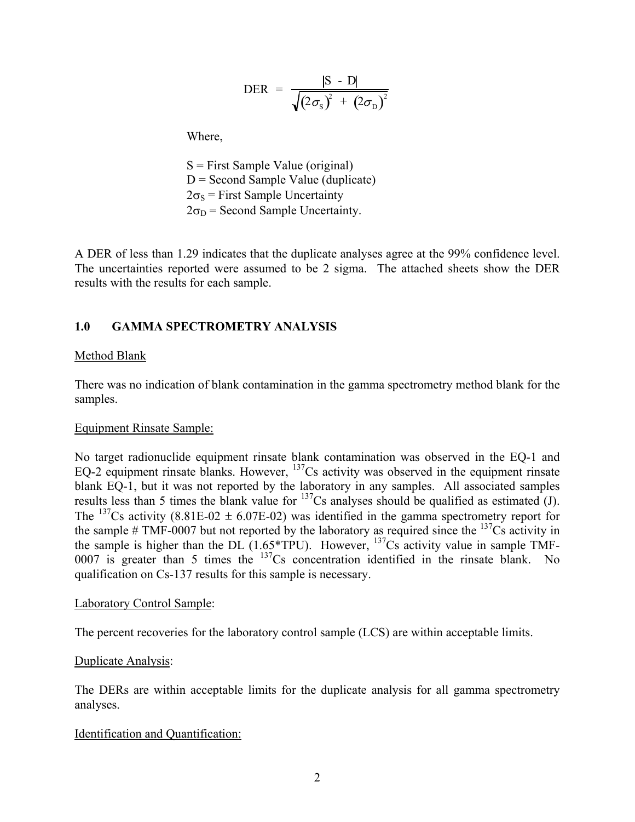$$
\text{DER} = \frac{|\text{S} - \text{D}|}{\sqrt{(2\sigma_{\text{S}})^{2} + (2\sigma_{\text{D}})^{2}}}
$$

Where,

 S = First Sample Value (original)  $D =$  Second Sample Value (duplicate)  $2\sigma_s$  = First Sample Uncertainty  $2\sigma_D$  = Second Sample Uncertainty.

A DER of less than 1.29 indicates that the duplicate analyses agree at the 99% confidence level. The uncertainties reported were assumed to be 2 sigma. The attached sheets show the DER results with the results for each sample.

### **1.0 GAMMA SPECTROMETRY ANALYSIS**

### Method Blank

There was no indication of blank contamination in the gamma spectrometry method blank for the samples.

### Equipment Rinsate Sample:

No target radionuclide equipment rinsate blank contamination was observed in the EQ-1 and EQ-2 equipment rinsate blanks. However,  $\frac{137}{C}$ S activity was observed in the equipment rinsate blank EQ-1, but it was not reported by the laboratory in any samples. All associated samples results less than 5 times the blank value for  $^{137}Cs$  analyses should be qualified as estimated (J). The <sup>137</sup>Cs activity (8.81E-02  $\pm$  6.07E-02) was identified in the gamma spectrometry report for the sample  $\#$  TMF-0007 but not reported by the laboratory as required since the  $137Cs$  activity in the sample is higher than the DL  $(1.65*TPU)$ . However,  $137Cs$  activity value in sample TMF-0007 is greater than 5 times the <sup>137</sup>Cs concentration identified in the rinsate blank. No qualification on Cs-137 results for this sample is necessary.

#### Laboratory Control Sample:

The percent recoveries for the laboratory control sample (LCS) are within acceptable limits.

### Duplicate Analysis:

The DERs are within acceptable limits for the duplicate analysis for all gamma spectrometry analyses.

### Identification and Quantification: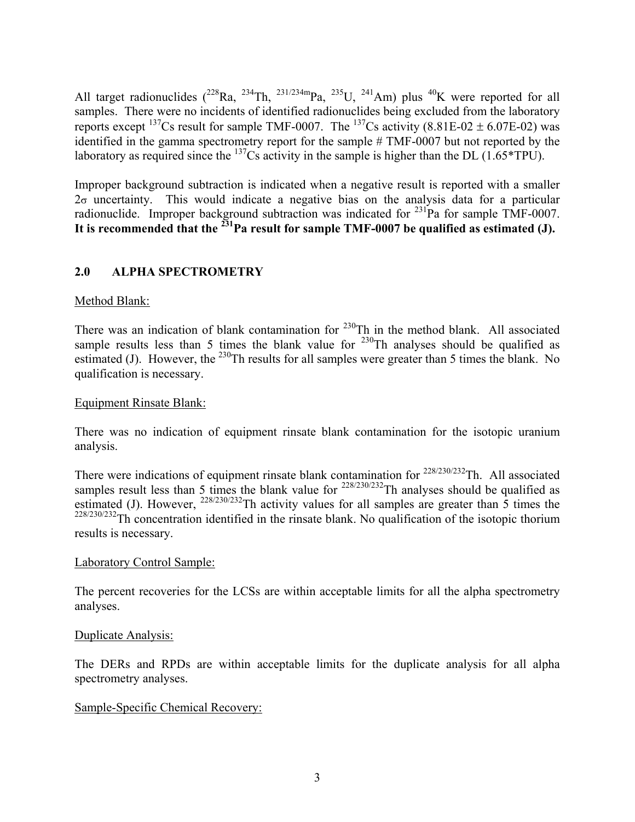All target radionuclides  $(^{228}Ra, ^{234}Th, ^{231/234m}Pa, ^{235}U, ^{241}Am)$  plus  $^{40}K$  were reported for all samples. There were no incidents of identified radionuclides being excluded from the laboratory reports except <sup>137</sup>Cs result for sample TMF-0007. The <sup>137</sup>Cs activity (8.81E-02  $\pm$  6.07E-02) was identified in the gamma spectrometry report for the sample # TMF-0007 but not reported by the laboratory as required since the  $^{137}$ Cs activity in the sample is higher than the DL (1.65\*TPU).

Improper background subtraction is indicated when a negative result is reported with a smaller  $2\sigma$  uncertainty. This would indicate a negative bias on the analysis data for a particular radionuclide. Improper background subtraction was indicated for <sup>231</sup>Pa for sample TMF-0007. It is recommended that the <sup>231</sup>Pa result for sample TMF-0007 be qualified as estimated (J).

## **2.0 ALPHA SPECTROMETRY**

## Method Blank:

There was an indication of blank contamination for <sup>230</sup>Th in the method blank. All associated sample results less than 5 times the blank value for  $^{230}$ Th analyses should be qualified as estimated (J). However, the <sup>230</sup>Th results for all samples were greater than 5 times the blank. No qualification is necessary.

## Equipment Rinsate Blank:

There was no indication of equipment rinsate blank contamination for the isotopic uranium analysis.

There were indications of equipment rinsate blank contamination for  $228/230/232$ Th. All associated samples result less than 5 times the blank value for  $^{228/230/232}$ Th analyses should be qualified as estimated (J). However,  $^{228/230/232}$ Th activity values for all samples are greater than 5 times the  $228/230/232$ Th concentration identified in the rinsate blank. No qualification of the isotopic thorium results is necessary.

## Laboratory Control Sample:

The percent recoveries for the LCSs are within acceptable limits for all the alpha spectrometry analyses.

### Duplicate Analysis:

The DERs and RPDs are within acceptable limits for the duplicate analysis for all alpha spectrometry analyses.

## Sample-Specific Chemical Recovery: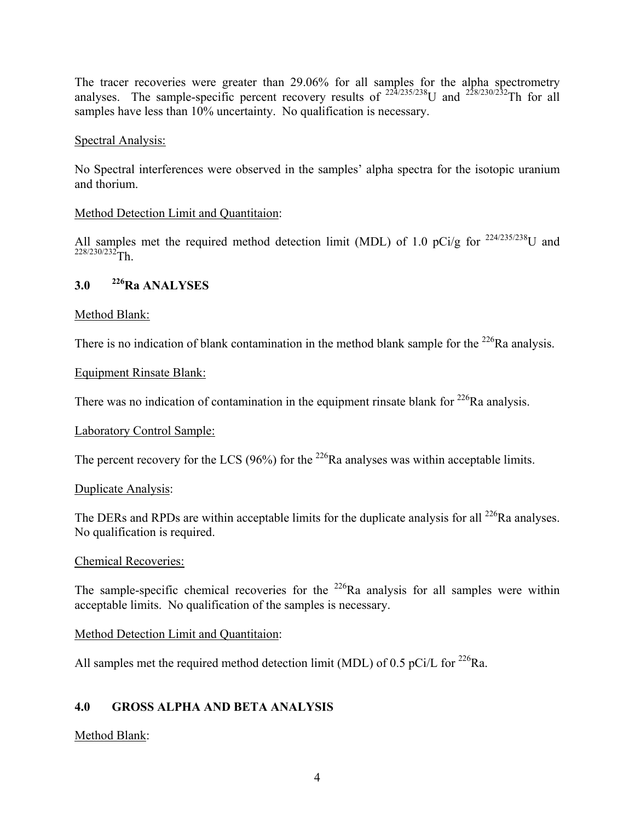The tracer recoveries were greater than 29.06% for all samples for the alpha spectrometry analyses. The sample-specific percent recovery results of  $^{22\frac{3}{4}\frac{235}{238}}$ U and  $^{228\frac{230}{232}}$ Th for all samples have less than 10% uncertainty. No qualification is necessary.

### Spectral Analysis:

No Spectral interferences were observed in the samples' alpha spectra for the isotopic uranium and thorium.

### Method Detection Limit and Quantitaion:

All samples met the required method detection limit (MDL) of 1.0 pCi/g for  $^{224/235/238}$ U and  $228/230/232$ Th.

## **3.0 226Ra ANALYSES**

## Method Blank:

There is no indication of blank contamination in the method blank sample for the  $^{226}$ Ra analysis.

### Equipment Rinsate Blank:

There was no indication of contamination in the equipment rinsate blank for  $^{226}$ Ra analysis.

## Laboratory Control Sample:

The percent recovery for the LCS (96%) for the  $^{226}$ Ra analyses was within acceptable limits.

## Duplicate Analysis:

The DERs and RPDs are within acceptable limits for the duplicate analysis for all  $^{226}$ Ra analyses. No qualification is required.

### Chemical Recoveries:

The sample-specific chemical recoveries for the  $^{226}$ Ra analysis for all samples were within acceptable limits. No qualification of the samples is necessary.

### Method Detection Limit and Quantitaion:

All samples met the required method detection limit (MDL) of 0.5 pCi/L for  $^{226}$ Ra.

## **4.0 GROSS ALPHA AND BETA ANALYSIS**

## Method Blank: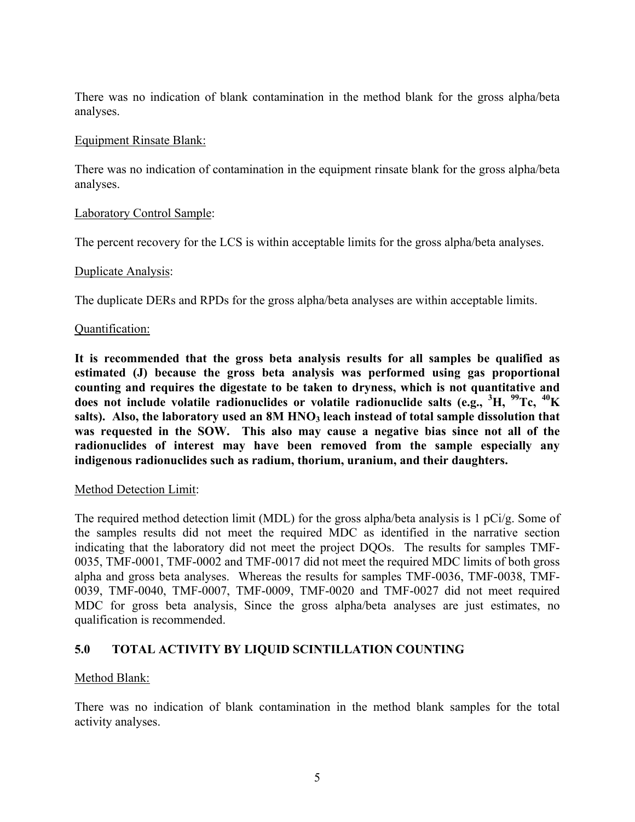There was no indication of blank contamination in the method blank for the gross alpha/beta analyses.

### Equipment Rinsate Blank:

There was no indication of contamination in the equipment rinsate blank for the gross alpha/beta analyses.

### Laboratory Control Sample:

The percent recovery for the LCS is within acceptable limits for the gross alpha/beta analyses.

### Duplicate Analysis:

The duplicate DERs and RPDs for the gross alpha/beta analyses are within acceptable limits.

### Quantification:

**It is recommended that the gross beta analysis results for all samples be qualified as estimated (J) because the gross beta analysis was performed using gas proportional counting and requires the digestate to be taken to dryness, which is not quantitative and does not include volatile radionuclides or volatile radionuclide salts (e.g., <sup>3</sup> H, 99Tc, 40K**  salts). Also, the laboratory used an 8M HNO<sub>3</sub> leach instead of total sample dissolution that **was requested in the SOW. This also may cause a negative bias since not all of the radionuclides of interest may have been removed from the sample especially any indigenous radionuclides such as radium, thorium, uranium, and their daughters.**

### Method Detection Limit:

The required method detection limit (MDL) for the gross alpha/beta analysis is 1 pCi/g. Some of the samples results did not meet the required MDC as identified in the narrative section indicating that the laboratory did not meet the project DQOs. The results for samples TMF-0035, TMF-0001, TMF-0002 and TMF-0017 did not meet the required MDC limits of both gross alpha and gross beta analyses. Whereas the results for samples TMF-0036, TMF-0038, TMF-0039, TMF-0040, TMF-0007, TMF-0009, TMF-0020 and TMF-0027 did not meet required MDC for gross beta analysis, Since the gross alpha/beta analyses are just estimates, no qualification is recommended.

## **5.0 TOTAL ACTIVITY BY LIQUID SCINTILLATION COUNTING**

## Method Blank:

There was no indication of blank contamination in the method blank samples for the total activity analyses.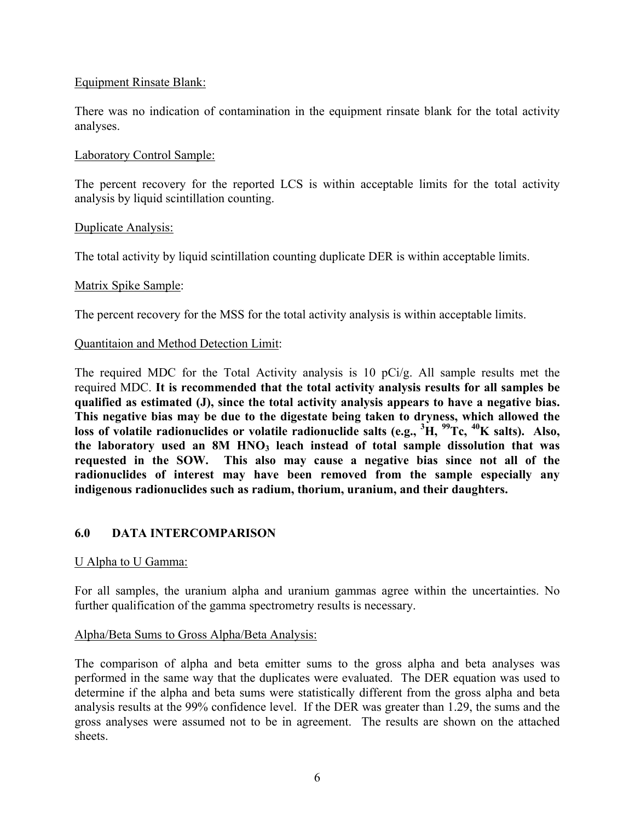### Equipment Rinsate Blank:

There was no indication of contamination in the equipment rinsate blank for the total activity analyses.

### Laboratory Control Sample:

The percent recovery for the reported LCS is within acceptable limits for the total activity analysis by liquid scintillation counting.

### Duplicate Analysis:

The total activity by liquid scintillation counting duplicate DER is within acceptable limits.

### Matrix Spike Sample:

The percent recovery for the MSS for the total activity analysis is within acceptable limits.

### Quantitaion and Method Detection Limit:

The required MDC for the Total Activity analysis is 10 pCi/g. All sample results met the required MDC. **It is recommended that the total activity analysis results for all samples be qualified as estimated (J), since the total activity analysis appears to have a negative bias. This negative bias may be due to the digestate being taken to dryness, which allowed the loss of volatile radionuclides or volatile radionuclide salts (e.g., <sup>3</sup> H, 99Tc, 40K salts). Also,**  the laboratory used an 8M HNO<sub>3</sub> leach instead of total sample dissolution that was **requested in the SOW. This also may cause a negative bias since not all of the radionuclides of interest may have been removed from the sample especially any indigenous radionuclides such as radium, thorium, uranium, and their daughters.**

## **6.0 DATA INTERCOMPARISON**

### U Alpha to U Gamma:

For all samples, the uranium alpha and uranium gammas agree within the uncertainties. No further qualification of the gamma spectrometry results is necessary.

### Alpha/Beta Sums to Gross Alpha/Beta Analysis:

The comparison of alpha and beta emitter sums to the gross alpha and beta analyses was performed in the same way that the duplicates were evaluated. The DER equation was used to determine if the alpha and beta sums were statistically different from the gross alpha and beta analysis results at the 99% confidence level. If the DER was greater than 1.29, the sums and the gross analyses were assumed not to be in agreement. The results are shown on the attached sheets.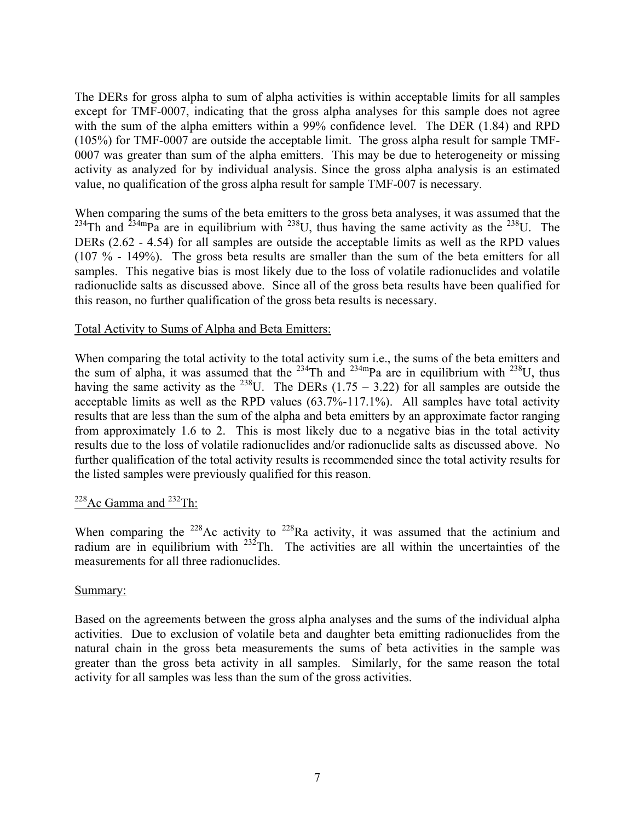The DERs for gross alpha to sum of alpha activities is within acceptable limits for all samples except for TMF-0007, indicating that the gross alpha analyses for this sample does not agree with the sum of the alpha emitters within a 99% confidence level. The DER (1.84) and RPD (105%) for TMF-0007 are outside the acceptable limit. The gross alpha result for sample TMF-0007 was greater than sum of the alpha emitters. This may be due to heterogeneity or missing activity as analyzed for by individual analysis. Since the gross alpha analysis is an estimated value, no qualification of the gross alpha result for sample TMF-007 is necessary.

When comparing the sums of the beta emitters to the gross beta analyses, it was assumed that the <sup>234</sup>Th and <sup>234m</sup>Pa are in equilibrium with <sup>238</sup>U, thus having the same activity as the <sup>238</sup>U. The DERs (2.62 - 4.54) for all samples are outside the acceptable limits as well as the RPD values (107 % - 149%). The gross beta results are smaller than the sum of the beta emitters for all samples. This negative bias is most likely due to the loss of volatile radionuclides and volatile radionuclide salts as discussed above. Since all of the gross beta results have been qualified for this reason, no further qualification of the gross beta results is necessary.

### Total Activity to Sums of Alpha and Beta Emitters:

When comparing the total activity to the total activity sum i.e., the sums of the beta emitters and the sum of alpha, it was assumed that the  $^{234}$ Th and  $^{234}$ mPa are in equilibrium with  $^{238}$ U, thus having the same activity as the <sup>238</sup>U. The DERs (1.75 – 3.22) for all samples are outside the acceptable limits as well as the RPD values (63.7%-117.1%). All samples have total activity results that are less than the sum of the alpha and beta emitters by an approximate factor ranging from approximately 1.6 to 2. This is most likely due to a negative bias in the total activity results due to the loss of volatile radionuclides and/or radionuclide salts as discussed above. No further qualification of the total activity results is recommended since the total activity results for the listed samples were previously qualified for this reason.

# <sup>228</sup>Ac Gamma and <sup>232</sup>Th:

When comparing the  $228$ Ac activity to  $228$ Ra activity, it was assumed that the actinium and radium are in equilibrium with  $232$ Th. The activities are all within the uncertainties of the measurements for all three radionuclides.

## Summary:

Based on the agreements between the gross alpha analyses and the sums of the individual alpha activities. Due to exclusion of volatile beta and daughter beta emitting radionuclides from the natural chain in the gross beta measurements the sums of beta activities in the sample was greater than the gross beta activity in all samples. Similarly, for the same reason the total activity for all samples was less than the sum of the gross activities.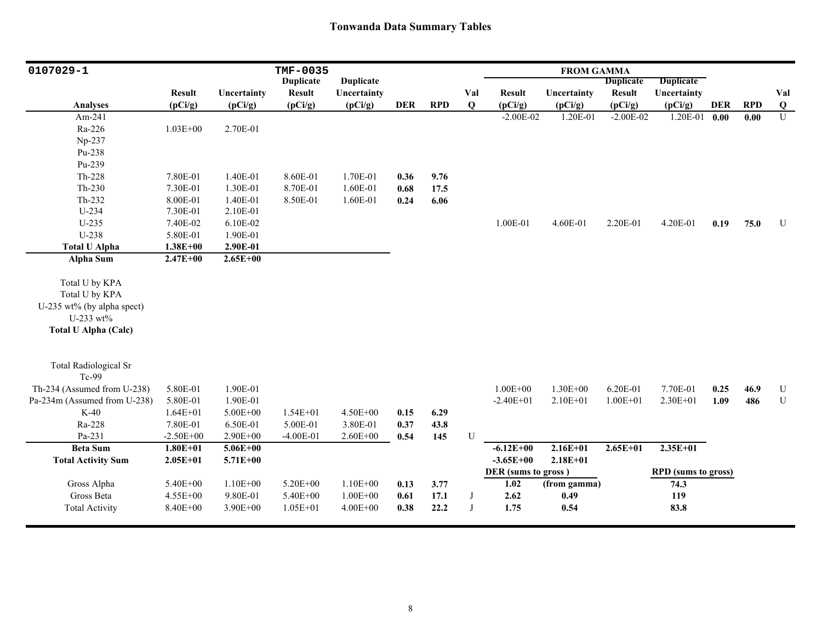## **Tonwanda Data Summary Tables**

| 0107029-1                    |               |              | TMF-0035         |                  |            |            |             |                     | <b>FROM GAMMA</b> |                  |                            |            |            |                |
|------------------------------|---------------|--------------|------------------|------------------|------------|------------|-------------|---------------------|-------------------|------------------|----------------------------|------------|------------|----------------|
|                              |               |              | <b>Duplicate</b> | <b>Duplicate</b> |            |            |             |                     |                   | <b>Duplicate</b> | <b>Duplicate</b>           |            |            |                |
|                              | <b>Result</b> | Uncertainty  | <b>Result</b>    | Uncertainty      |            |            | Val         | <b>Result</b>       | Uncertainty       | <b>Result</b>    | Uncertainty                |            |            | Val            |
| <b>Analyses</b>              | (pCi/g)       | (pCi/g)      | (pCi/g)          | (pCi/g)          | <b>DER</b> | <b>RPD</b> | $\mathbf Q$ | (pCi/g)             | (pCi/g)           | (pCi/g)          | (pCi/g)                    | <b>DER</b> | <b>RPD</b> | $\bf{Q}$       |
| Am-241                       |               |              |                  |                  |            |            |             | $-2.00E-02$         | 1.20E-01          | $-2.00E-02$      | $1.20E-01$ 0.00            |            | 0.00       | $\overline{U}$ |
| Ra-226                       | $1.03E + 00$  | 2.70E-01     |                  |                  |            |            |             |                     |                   |                  |                            |            |            |                |
| Np-237                       |               |              |                  |                  |            |            |             |                     |                   |                  |                            |            |            |                |
| Pu-238                       |               |              |                  |                  |            |            |             |                     |                   |                  |                            |            |            |                |
| Pu-239                       |               |              |                  |                  |            |            |             |                     |                   |                  |                            |            |            |                |
| Th-228                       | 7.80E-01      | 1.40E-01     | 8.60E-01         | 1.70E-01         | 0.36       | 9.76       |             |                     |                   |                  |                            |            |            |                |
| $Th-230$                     | 7.30E-01      | 1.30E-01     | 8.70E-01         | 1.60E-01         | 0.68       | 17.5       |             |                     |                   |                  |                            |            |            |                |
| Th-232                       | 8.00E-01      | 1.40E-01     | 8.50E-01         | 1.60E-01         | 0.24       | 6.06       |             |                     |                   |                  |                            |            |            |                |
| $U-234$                      | 7.30E-01      | 2.10E-01     |                  |                  |            |            |             |                     |                   |                  |                            |            |            |                |
| $U-235$                      | 7.40E-02      | 6.10E-02     |                  |                  |            |            |             | 1.00E-01            | 4.60E-01          | 2.20E-01         | 4.20E-01                   | 0.19       | 75.0       | U              |
| U-238                        | 5.80E-01      | 1.90E-01     |                  |                  |            |            |             |                     |                   |                  |                            |            |            |                |
| <b>Total U Alpha</b>         | $1.38E + 00$  | 2.90E-01     |                  |                  |            |            |             |                     |                   |                  |                            |            |            |                |
| Alpha Sum                    | $2.47E + 00$  | $2.65E + 00$ |                  |                  |            |            |             |                     |                   |                  |                            |            |            |                |
|                              |               |              |                  |                  |            |            |             |                     |                   |                  |                            |            |            |                |
| Total U by KPA               |               |              |                  |                  |            |            |             |                     |                   |                  |                            |            |            |                |
| Total U by KPA               |               |              |                  |                  |            |            |             |                     |                   |                  |                            |            |            |                |
| U-235 wt% (by alpha spect)   |               |              |                  |                  |            |            |             |                     |                   |                  |                            |            |            |                |
| U-233 wt%                    |               |              |                  |                  |            |            |             |                     |                   |                  |                            |            |            |                |
| <b>Total U Alpha (Calc)</b>  |               |              |                  |                  |            |            |             |                     |                   |                  |                            |            |            |                |
|                              |               |              |                  |                  |            |            |             |                     |                   |                  |                            |            |            |                |
| <b>Total Radiological Sr</b> |               |              |                  |                  |            |            |             |                     |                   |                  |                            |            |            |                |
| Tc-99                        |               |              |                  |                  |            |            |             |                     |                   |                  |                            |            |            |                |
| Th-234 (Assumed from U-238)  | 5.80E-01      | 1.90E-01     |                  |                  |            |            |             | $1.00E + 00$        | $1.30E + 00$      | 6.20E-01         | 7.70E-01                   | 0.25       | 46.9       | ${\bf U}$      |
| Pa-234m (Assumed from U-238) | 5.80E-01      | 1.90E-01     |                  |                  |            |            |             | $-2.40E+01$         | $2.10E + 01$      | $1.00E + 01$     | 2.30E+01                   | 1.09       | 486        | ${\bf U}$      |
| $K-40$                       | $1.64E + 01$  | $5.00E + 00$ | $1.54E + 01$     | 4.50E+00         | 0.15       | 6.29       |             |                     |                   |                  |                            |            |            |                |
| Ra-228                       | 7.80E-01      | 6.50E-01     | 5.00E-01         | 3.80E-01         | 0.37       | 43.8       |             |                     |                   |                  |                            |            |            |                |
| Pa-231                       | $-2.50E+00$   | 2.90E+00     | $-4.00E-01$      | $2.60E + 00$     | 0.54       | 145        | ${\bf U}$   |                     |                   |                  |                            |            |            |                |
| <b>Beta Sum</b>              | $1.80E + 01$  | $5.06E + 00$ |                  |                  |            |            |             | $-6.12E+00$         | $2.16E + 01$      | $2.65E + 01$     | $2.35E+01$                 |            |            |                |
| <b>Total Activity Sum</b>    | $2.05E + 01$  | 5.71E+00     |                  |                  |            |            |             | $-3.65E+00$         | $2.18E + 01$      |                  |                            |            |            |                |
|                              |               |              |                  |                  |            |            |             | DER (sums to gross) |                   |                  | <b>RPD</b> (sums to gross) |            |            |                |
| Gross Alpha                  | 5.40E+00      | $1.10E + 00$ | 5.20E+00         | $1.10E + 00$     | 0.13       | 3.77       |             | 1.02                | (from gamma)      |                  | 74.3                       |            |            |                |
| Gross Beta                   | $4.55E + 00$  | 9.80E-01     | 5.40E+00         | $1.00E + 00$     | 0.61       | 17.1       | J           | 2.62                | 0.49              |                  | 119                        |            |            |                |
| <b>Total Activity</b>        | 8.40E+00      | $3.90E + 00$ | $1.05E + 01$     | $4.00E + 00$     | 0.38       | 22.2       | J           | 1.75                | 0.54              |                  | 83.8                       |            |            |                |
|                              |               |              |                  |                  |            |            |             |                     |                   |                  |                            |            |            |                |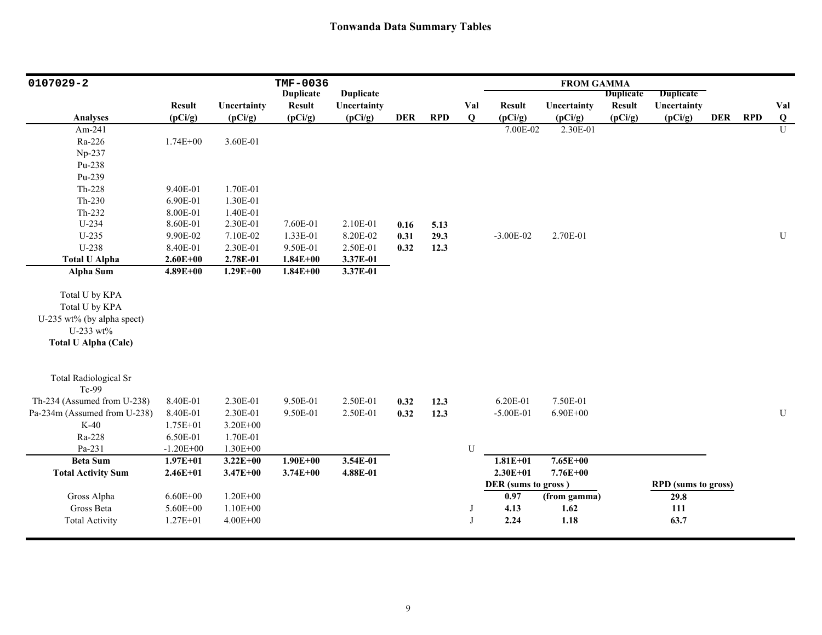| 0107029-2                    |                          |                        | TMF-0036                 |                        |            |            |                    |                          | <b>FROM GAMMA</b>      |                          |                            |            |            |                 |
|------------------------------|--------------------------|------------------------|--------------------------|------------------------|------------|------------|--------------------|--------------------------|------------------------|--------------------------|----------------------------|------------|------------|-----------------|
|                              |                          |                        | <b>Duplicate</b>         | <b>Duplicate</b>       |            |            |                    |                          |                        | <b>Duplicate</b>         | <b>Duplicate</b>           |            |            |                 |
| <b>Analyses</b>              | <b>Result</b><br>(pCi/g) | Uncertainty<br>(pCi/g) | <b>Result</b><br>(pCi/g) | Uncertainty<br>(pCi/g) | <b>DER</b> | <b>RPD</b> | Val<br>$\mathbf Q$ | <b>Result</b><br>(pCi/g) | Uncertainty<br>(pCi/g) | <b>Result</b><br>(pCi/g) | Uncertainty<br>(pCi/g)     | <b>DER</b> | <b>RPD</b> | Val<br>$\bf{Q}$ |
| Am-241                       |                          |                        |                          |                        |            |            |                    | 7.00E-02                 | 2.30E-01               |                          |                            |            |            | $\overline{U}$  |
| Ra-226                       | 1.74E+00                 | 3.60E-01               |                          |                        |            |            |                    |                          |                        |                          |                            |            |            |                 |
| Np-237                       |                          |                        |                          |                        |            |            |                    |                          |                        |                          |                            |            |            |                 |
| Pu-238                       |                          |                        |                          |                        |            |            |                    |                          |                        |                          |                            |            |            |                 |
| Pu-239                       |                          |                        |                          |                        |            |            |                    |                          |                        |                          |                            |            |            |                 |
| Th-228                       | 9.40E-01                 | 1.70E-01               |                          |                        |            |            |                    |                          |                        |                          |                            |            |            |                 |
| $Th-230$                     | 6.90E-01                 | 1.30E-01               |                          |                        |            |            |                    |                          |                        |                          |                            |            |            |                 |
| Th-232                       | 8.00E-01                 | 1.40E-01               |                          |                        |            |            |                    |                          |                        |                          |                            |            |            |                 |
| U-234                        | 8.60E-01                 | 2.30E-01               | 7.60E-01                 | 2.10E-01               | 0.16       | 5.13       |                    |                          |                        |                          |                            |            |            |                 |
| $U-235$                      | 9.90E-02                 | 7.10E-02               | 1.33E-01                 | 8.20E-02               | 0.31       | 29.3       |                    | $-3.00E - 02$            | 2.70E-01               |                          |                            |            |            | U               |
| U-238                        | 8.40E-01                 | 2.30E-01               | 9.50E-01                 | 2.50E-01               | 0.32       | 12.3       |                    |                          |                        |                          |                            |            |            |                 |
| <b>Total U Alpha</b>         | $2.60E + 00$             | 2.78E-01               | $1.84E + 00$             | 3.37E-01               |            |            |                    |                          |                        |                          |                            |            |            |                 |
| <b>Alpha Sum</b>             | $4.89E + 00$             | $1.29E + 00$           | $1.84E + 00$             | 3.37E-01               |            |            |                    |                          |                        |                          |                            |            |            |                 |
|                              |                          |                        |                          |                        |            |            |                    |                          |                        |                          |                            |            |            |                 |
| Total U by KPA               |                          |                        |                          |                        |            |            |                    |                          |                        |                          |                            |            |            |                 |
| Total U by KPA               |                          |                        |                          |                        |            |            |                    |                          |                        |                          |                            |            |            |                 |
| U-235 wt% (by alpha spect)   |                          |                        |                          |                        |            |            |                    |                          |                        |                          |                            |            |            |                 |
| U-233 wt%                    |                          |                        |                          |                        |            |            |                    |                          |                        |                          |                            |            |            |                 |
| <b>Total U Alpha (Calc)</b>  |                          |                        |                          |                        |            |            |                    |                          |                        |                          |                            |            |            |                 |
|                              |                          |                        |                          |                        |            |            |                    |                          |                        |                          |                            |            |            |                 |
| <b>Total Radiological Sr</b> |                          |                        |                          |                        |            |            |                    |                          |                        |                          |                            |            |            |                 |
| Tc-99                        |                          |                        |                          |                        |            |            |                    |                          |                        |                          |                            |            |            |                 |
| Th-234 (Assumed from U-238)  | 8.40E-01                 | 2.30E-01               | 9.50E-01                 | 2.50E-01               | 0.32       | 12.3       |                    | 6.20E-01                 | 7.50E-01               |                          |                            |            |            |                 |
| Pa-234m (Assumed from U-238) | 8.40E-01                 | 2.30E-01               | 9.50E-01                 | 2.50E-01               | 0.32       | 12.3       |                    | $-5.00E-01$              | $6.90E + 00$           |                          |                            |            |            | ${\bf U}$       |
| $K-40$                       | $1.75E + 01$             | 3.20E+00               |                          |                        |            |            |                    |                          |                        |                          |                            |            |            |                 |
| Ra-228                       | 6.50E-01                 | 1.70E-01               |                          |                        |            |            |                    |                          |                        |                          |                            |            |            |                 |
| Pa-231                       | $-1.20E + 00$            | $1.30E + 00$           |                          |                        |            |            | U                  |                          |                        |                          |                            |            |            |                 |
| <b>Beta Sum</b>              | $1.97E + 01$             | $3.22E + 00$           | $1.90E + 00$             | 3.54E-01               |            |            |                    | $1.81E + 01$             | $7.65E + 00$           |                          |                            |            |            |                 |
| <b>Total Activity Sum</b>    | $2.46E + 01$             | $3.47E + 00$           | $3.74E + 00$             | 4.88E-01               |            |            |                    | $2.30E + 01$             | 7.76E+00               |                          |                            |            |            |                 |
|                              |                          |                        |                          |                        |            |            |                    | DER (sums to gross)      |                        |                          | <b>RPD</b> (sums to gross) |            |            |                 |
| Gross Alpha                  | $6.60E + 00$             | $1.20E + 00$           |                          |                        |            |            |                    | 0.97                     | (from gamma)           |                          | 29.8                       |            |            |                 |
| Gross Beta                   | 5.60E+00                 | $1.10E + 00$           |                          |                        |            |            | J                  | 4.13                     | 1.62                   |                          | 111                        |            |            |                 |
| <b>Total Activity</b>        | $1.27E + 01$             | $4.00E + 00$           |                          |                        |            |            | $\mathbf{J}$       | 2.24                     | 1.18                   |                          | 63.7                       |            |            |                 |
|                              |                          |                        |                          |                        |            |            |                    |                          |                        |                          |                            |            |            |                 |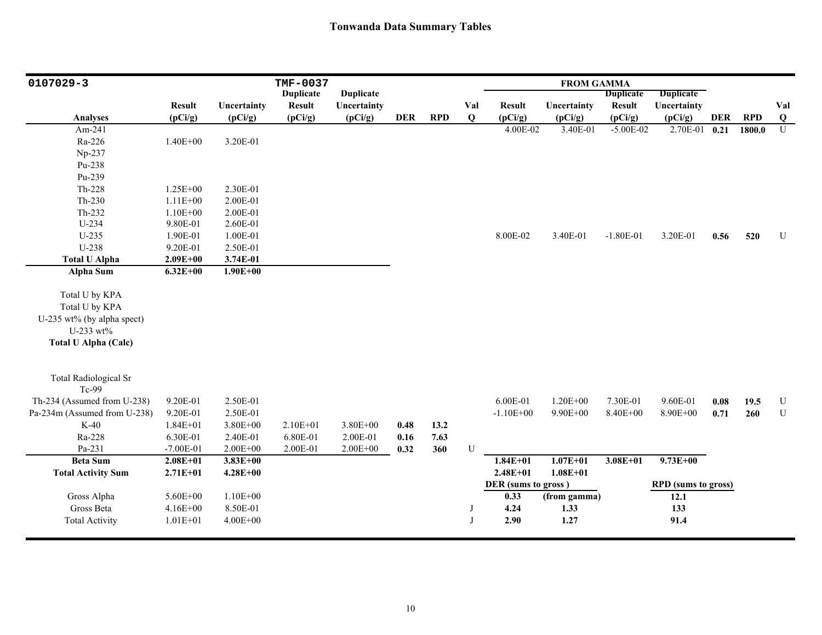| 0107029-3                    |               |              | <b>TMF-0037</b>  |                  |            |            |     |                     | <b>FROM GAMMA</b> |                  |                            |            |            |           |
|------------------------------|---------------|--------------|------------------|------------------|------------|------------|-----|---------------------|-------------------|------------------|----------------------------|------------|------------|-----------|
|                              |               |              | <b>Duplicate</b> | <b>Duplicate</b> |            |            |     |                     |                   | <b>Duplicate</b> | <b>Duplicate</b>           |            |            |           |
|                              | <b>Result</b> | Uncertainty  | <b>Result</b>    | Uncertainty      |            |            | Val | <b>Result</b>       | Uncertainty       | <b>Result</b>    | Uncertainty                |            |            | Val       |
| <b>Analyses</b>              | (pCi/g)       | (pCi/g)      | (pCi/g)          | (pCi/g)          | <b>DER</b> | <b>RPD</b> | Q   | (pCi/g)             | (pCi/g)           | (pCi/g)          | (pCi/g)                    | <b>DER</b> | <b>RPD</b> | Q         |
| Am-241                       |               |              |                  |                  |            |            |     | 4.00E-02            | 3.40E-01          | $-5.00E-02$      | 2.70E-01                   | 0.21       | 1800.0     | U         |
| Ra-226                       | $1.40E + 00$  | 3.20E-01     |                  |                  |            |            |     |                     |                   |                  |                            |            |            |           |
| Np-237                       |               |              |                  |                  |            |            |     |                     |                   |                  |                            |            |            |           |
| Pu-238                       |               |              |                  |                  |            |            |     |                     |                   |                  |                            |            |            |           |
| Pu-239                       |               |              |                  |                  |            |            |     |                     |                   |                  |                            |            |            |           |
| Th-228                       | $1.25E + 00$  | 2.30E-01     |                  |                  |            |            |     |                     |                   |                  |                            |            |            |           |
| Th-230                       | $1.11E + 00$  | 2.00E-01     |                  |                  |            |            |     |                     |                   |                  |                            |            |            |           |
| $Th-232$                     | $1.10E + 00$  | 2.00E-01     |                  |                  |            |            |     |                     |                   |                  |                            |            |            |           |
| $U-234$                      | 9.80E-01      | 2.60E-01     |                  |                  |            |            |     |                     |                   |                  |                            |            |            |           |
| $U-235$                      | 1.90E-01      | 1.00E-01     |                  |                  |            |            |     | 8.00E-02            | 3.40E-01          | $-1.80E-01$      | 3.20E-01                   | 0.56       | 520        | U         |
| U-238                        | 9.20E-01      | 2.50E-01     |                  |                  |            |            |     |                     |                   |                  |                            |            |            |           |
| <b>Total U Alpha</b>         | $2.09E + 00$  | 3.74E-01     |                  |                  |            |            |     |                     |                   |                  |                            |            |            |           |
| Alpha Sum                    | $6.32E + 00$  | $1.90E + 00$ |                  |                  |            |            |     |                     |                   |                  |                            |            |            |           |
|                              |               |              |                  |                  |            |            |     |                     |                   |                  |                            |            |            |           |
| Total U by KPA               |               |              |                  |                  |            |            |     |                     |                   |                  |                            |            |            |           |
| Total U by KPA               |               |              |                  |                  |            |            |     |                     |                   |                  |                            |            |            |           |
| U-235 wt% (by alpha spect)   |               |              |                  |                  |            |            |     |                     |                   |                  |                            |            |            |           |
| U-233 wt%                    |               |              |                  |                  |            |            |     |                     |                   |                  |                            |            |            |           |
| <b>Total U Alpha (Calc)</b>  |               |              |                  |                  |            |            |     |                     |                   |                  |                            |            |            |           |
|                              |               |              |                  |                  |            |            |     |                     |                   |                  |                            |            |            |           |
| <b>Total Radiological Sr</b> |               |              |                  |                  |            |            |     |                     |                   |                  |                            |            |            |           |
| Tc-99                        |               |              |                  |                  |            |            |     |                     |                   |                  |                            |            |            |           |
| Th-234 (Assumed from U-238)  | 9.20E-01      | 2.50E-01     |                  |                  |            |            |     | 6.00E-01            | $1.20E + 00$      | 7.30E-01         | 9.60E-01                   | 0.08       | 19.5       | ${\bf U}$ |
| Pa-234m (Assumed from U-238) | 9.20E-01      | 2.50E-01     |                  |                  |            |            |     | $-1.10E + 00$       | 9.90E+00          | 8.40E+00         | 8.90E+00                   | 0.71       | 260        | ${\bf U}$ |
| $K-40$                       | $1.84E + 01$  | 3.80E+00     | $2.10E + 01$     | 3.80E+00         | 0.48       | 13.2       |     |                     |                   |                  |                            |            |            |           |
| Ra-228                       | 6.30E-01      | 2.40E-01     | 6.80E-01         | 2.00E-01         | 0.16       | 7.63       |     |                     |                   |                  |                            |            |            |           |
| Pa-231                       | $-7.00E-01$   | $2.00E + 00$ | 2.00E-01         | $2.00E + 00$     | 0.32       | 360        | U   |                     |                   |                  |                            |            |            |           |
| <b>Beta</b> Sum              | $2.08E + 01$  | $3.83E + 00$ |                  |                  |            |            |     | $1.84E + 01$        | $1.07E + 01$      | $3.08E + 01$     | $9.73E + 00$               |            |            |           |
| <b>Total Activity Sum</b>    | $2.71E + 01$  | $4.28E + 00$ |                  |                  |            |            |     | $2.48E + 01$        | $1.08E + 01$      |                  |                            |            |            |           |
|                              |               |              |                  |                  |            |            |     | DER (sums to gross) |                   |                  | <b>RPD</b> (sums to gross) |            |            |           |
| Gross Alpha                  | 5.60E+00      | $1.10E + 00$ |                  |                  |            |            |     | 0.33                | (from gamma)      |                  | 12.1                       |            |            |           |
| Gross Beta                   | 4.16E+00      | 8.50E-01     |                  |                  |            |            | J   | 4.24                | 1.33              |                  | 133                        |            |            |           |
| <b>Total Activity</b>        | $1.01E + 01$  | $4.00E + 00$ |                  |                  |            |            | J   | 2.90                | 1.27              |                  | 91.4                       |            |            |           |
|                              |               |              |                  |                  |            |            |     |                     |                   |                  |                            |            |            |           |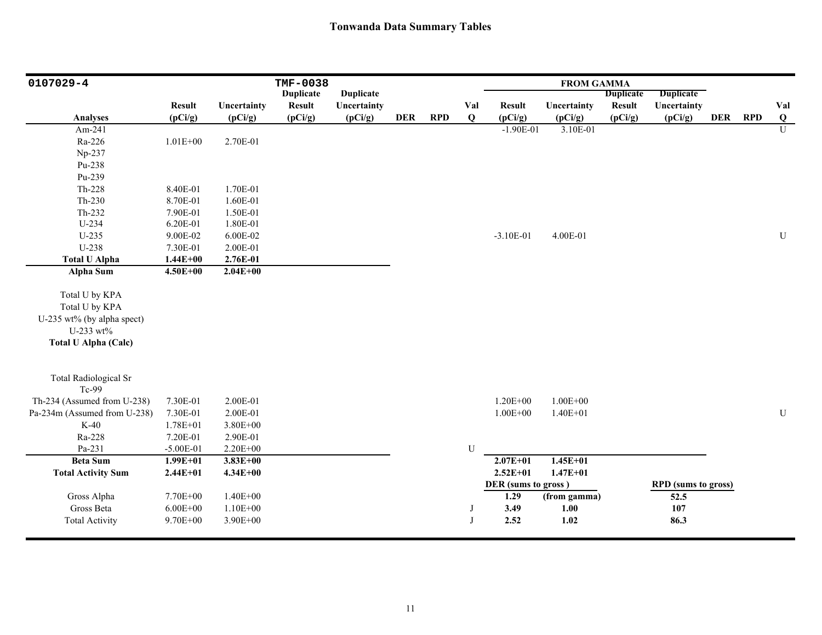| 0107029-4                    |               |              | <b>TMF-0038</b>  |                  |     |            |     |                     | <b>FROM GAMMA</b> |                  |                            |            |            |                         |
|------------------------------|---------------|--------------|------------------|------------------|-----|------------|-----|---------------------|-------------------|------------------|----------------------------|------------|------------|-------------------------|
|                              |               |              | <b>Duplicate</b> | <b>Duplicate</b> |     |            |     |                     |                   | <b>Duplicate</b> | <b>Duplicate</b>           |            |            |                         |
|                              | <b>Result</b> | Uncertainty  | <b>Result</b>    | Uncertainty      |     |            | Val | <b>Result</b>       | Uncertainty       | <b>Result</b>    | Uncertainty                |            |            | Val                     |
| <b>Analyses</b>              | (pCi/g)       | (pCi/g)      | (pCi/g)          | (pCi/g)          | DER | <b>RPD</b> | Q   | (pCi/g)             | (pCi/g)           | (pCi/g)          | (pCi/g)                    | <b>DER</b> | <b>RPD</b> | $\overline{\mathbf{Q}}$ |
| Am-241                       |               |              |                  |                  |     |            |     | $-1.90E-01$         | 3.10E-01          |                  |                            |            |            | $\overline{U}$          |
| Ra-226                       | $1.01E + 00$  | 2.70E-01     |                  |                  |     |            |     |                     |                   |                  |                            |            |            |                         |
| Np-237                       |               |              |                  |                  |     |            |     |                     |                   |                  |                            |            |            |                         |
| Pu-238                       |               |              |                  |                  |     |            |     |                     |                   |                  |                            |            |            |                         |
| Pu-239                       |               |              |                  |                  |     |            |     |                     |                   |                  |                            |            |            |                         |
| Th-228                       | 8.40E-01      | 1.70E-01     |                  |                  |     |            |     |                     |                   |                  |                            |            |            |                         |
| $Th-230$                     | 8.70E-01      | 1.60E-01     |                  |                  |     |            |     |                     |                   |                  |                            |            |            |                         |
| Th-232                       | 7.90E-01      | 1.50E-01     |                  |                  |     |            |     |                     |                   |                  |                            |            |            |                         |
| U-234                        | 6.20E-01      | 1.80E-01     |                  |                  |     |            |     |                     |                   |                  |                            |            |            |                         |
| $U-235$                      | 9.00E-02      | 6.00E-02     |                  |                  |     |            |     | $-3.10E-01$         | 4.00E-01          |                  |                            |            |            | $\mathbf U$             |
| U-238                        | 7.30E-01      | 2.00E-01     |                  |                  |     |            |     |                     |                   |                  |                            |            |            |                         |
| <b>Total U Alpha</b>         | $1.44E + 00$  | 2.76E-01     |                  |                  |     |            |     |                     |                   |                  |                            |            |            |                         |
| <b>Alpha Sum</b>             | $4.50E + 00$  | $2.04E + 00$ |                  |                  |     |            |     |                     |                   |                  |                            |            |            |                         |
|                              |               |              |                  |                  |     |            |     |                     |                   |                  |                            |            |            |                         |
| Total U by KPA               |               |              |                  |                  |     |            |     |                     |                   |                  |                            |            |            |                         |
| Total U by KPA               |               |              |                  |                  |     |            |     |                     |                   |                  |                            |            |            |                         |
| U-235 wt% (by alpha spect)   |               |              |                  |                  |     |            |     |                     |                   |                  |                            |            |            |                         |
| U-233 wt%                    |               |              |                  |                  |     |            |     |                     |                   |                  |                            |            |            |                         |
| <b>Total U Alpha (Calc)</b>  |               |              |                  |                  |     |            |     |                     |                   |                  |                            |            |            |                         |
|                              |               |              |                  |                  |     |            |     |                     |                   |                  |                            |            |            |                         |
| <b>Total Radiological Sr</b> |               |              |                  |                  |     |            |     |                     |                   |                  |                            |            |            |                         |
| Tc-99                        |               |              |                  |                  |     |            |     |                     |                   |                  |                            |            |            |                         |
| Th-234 (Assumed from U-238)  | 7.30E-01      | 2.00E-01     |                  |                  |     |            |     | $1.20E + 00$        | $1.00E + 00$      |                  |                            |            |            |                         |
| Pa-234m (Assumed from U-238) | 7.30E-01      | 2.00E-01     |                  |                  |     |            |     | $1.00E + 00$        | $1.40E + 01$      |                  |                            |            |            | ${\bf U}$               |
| $K-40$                       | $1.78E + 01$  | $3.80E + 00$ |                  |                  |     |            |     |                     |                   |                  |                            |            |            |                         |
| Ra-228                       | 7.20E-01      | 2.90E-01     |                  |                  |     |            |     |                     |                   |                  |                            |            |            |                         |
| Pa-231                       | $-5.00E-01$   | 2.20E+00     |                  |                  |     |            | U   |                     |                   |                  |                            |            |            |                         |
| <b>Beta Sum</b>              | $1.99E + 01$  | $3.83E + 00$ |                  |                  |     |            |     | $2.07E + 01$        | $1.45E + 01$      |                  |                            |            |            |                         |
| <b>Total Activity Sum</b>    | $2.44E + 01$  | $4.34E + 00$ |                  |                  |     |            |     | $2.52E + 01$        | $1.47E + 01$      |                  |                            |            |            |                         |
|                              |               |              |                  |                  |     |            |     | DER (sums to gross) |                   |                  | <b>RPD</b> (sums to gross) |            |            |                         |
| Gross Alpha                  | 7.70E+00      | $1.40E + 00$ |                  |                  |     |            |     | 1.29                | (from gamma)      |                  | 52.5                       |            |            |                         |
| Gross Beta                   | $6.00E + 00$  | $1.10E + 00$ |                  |                  |     |            | J   | 3.49                | 1.00              |                  | 107                        |            |            |                         |
| <b>Total Activity</b>        | 9.70E+00      | 3.90E+00     |                  |                  |     |            | J   | 2.52                | 1.02              |                  | 86.3                       |            |            |                         |
|                              |               |              |                  |                  |     |            |     |                     |                   |                  |                            |            |            |                         |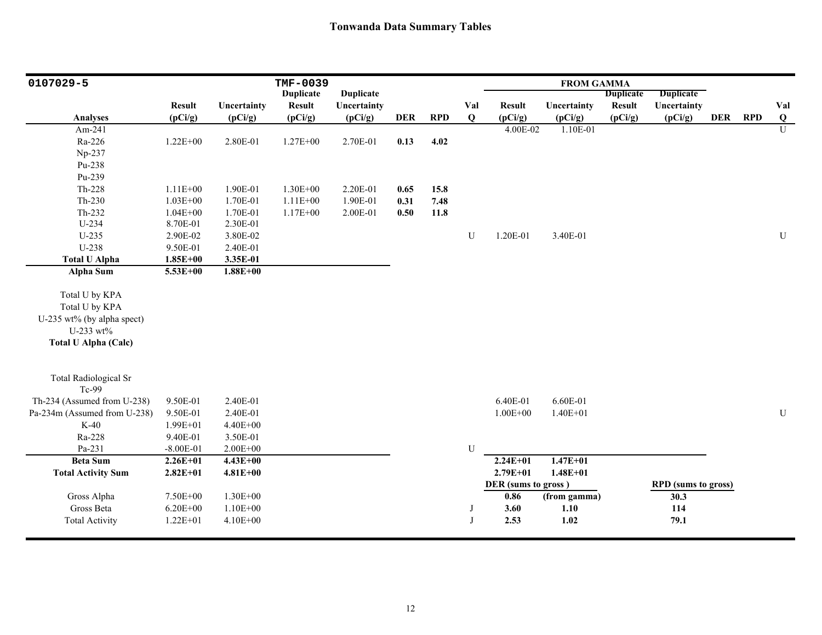| 0107029-5                    |               |              | TMF-0039         |                        |            |            |          |                     | <b>FROM GAMMA</b>   |                  |                            |            |            |                     |
|------------------------------|---------------|--------------|------------------|------------------------|------------|------------|----------|---------------------|---------------------|------------------|----------------------------|------------|------------|---------------------|
|                              |               |              | <b>Duplicate</b> | <b>Duplicate</b>       |            |            |          |                     |                     | <b>Duplicate</b> | <b>Duplicate</b>           |            |            |                     |
|                              | <b>Result</b> | Uncertainty  | <b>Result</b>    | Uncertainty<br>(pCi/g) | <b>DER</b> |            | Val<br>Q | <b>Result</b>       | Uncertainty         | <b>Result</b>    | Uncertainty                | <b>DER</b> | <b>RPD</b> | Val                 |
| <b>Analyses</b><br>Am-241    | (pCi/g)       | (pCi/g)      | (pCi/g)          |                        |            | <b>RPD</b> |          | (pCi/g)<br>4.00E-02 | (pCi/g)<br>1.10E-01 | (pCi/g)          | (pCi/g)                    |            |            | Q<br>$\overline{U}$ |
|                              |               |              |                  |                        |            |            |          |                     |                     |                  |                            |            |            |                     |
| Ra-226                       | $1.22E + 00$  | 2.80E-01     | $1.27E + 00$     | 2.70E-01               | 0.13       | 4.02       |          |                     |                     |                  |                            |            |            |                     |
| Np-237                       |               |              |                  |                        |            |            |          |                     |                     |                  |                            |            |            |                     |
| Pu-238                       |               |              |                  |                        |            |            |          |                     |                     |                  |                            |            |            |                     |
| Pu-239                       |               |              |                  |                        |            |            |          |                     |                     |                  |                            |            |            |                     |
| Th-228                       | $1.11E + 00$  | 1.90E-01     | 1.30E+00         | 2.20E-01               | 0.65       | 15.8       |          |                     |                     |                  |                            |            |            |                     |
| $Th-230$                     | $1.03E + 00$  | 1.70E-01     | $1.11E + 00$     | 1.90E-01               | 0.31       | 7.48       |          |                     |                     |                  |                            |            |            |                     |
| Th-232                       | $1.04E + 00$  | 1.70E-01     | $1.17E + 00$     | 2.00E-01               | 0.50       | 11.8       |          |                     |                     |                  |                            |            |            |                     |
| $U-234$                      | 8.70E-01      | 2.30E-01     |                  |                        |            |            |          |                     |                     |                  |                            |            |            |                     |
| $U-235$                      | 2.90E-02      | 3.80E-02     |                  |                        |            |            | U        | 1.20E-01            | 3.40E-01            |                  |                            |            |            | ${\bf U}$           |
| U-238                        | 9.50E-01      | 2.40E-01     |                  |                        |            |            |          |                     |                     |                  |                            |            |            |                     |
| <b>Total U Alpha</b>         | $1.85E + 00$  | 3.35E-01     |                  |                        |            |            |          |                     |                     |                  |                            |            |            |                     |
| <b>Alpha Sum</b>             | 5.53E+00      | $1.88E + 00$ |                  |                        |            |            |          |                     |                     |                  |                            |            |            |                     |
|                              |               |              |                  |                        |            |            |          |                     |                     |                  |                            |            |            |                     |
| Total U by KPA               |               |              |                  |                        |            |            |          |                     |                     |                  |                            |            |            |                     |
| Total U by KPA               |               |              |                  |                        |            |            |          |                     |                     |                  |                            |            |            |                     |
| U-235 wt% (by alpha spect)   |               |              |                  |                        |            |            |          |                     |                     |                  |                            |            |            |                     |
| U-233 wt%                    |               |              |                  |                        |            |            |          |                     |                     |                  |                            |            |            |                     |
| <b>Total U Alpha (Calc)</b>  |               |              |                  |                        |            |            |          |                     |                     |                  |                            |            |            |                     |
| <b>Total Radiological Sr</b> |               |              |                  |                        |            |            |          |                     |                     |                  |                            |            |            |                     |
| Tc-99                        |               |              |                  |                        |            |            |          |                     |                     |                  |                            |            |            |                     |
| Th-234 (Assumed from U-238)  | 9.50E-01      | 2.40E-01     |                  |                        |            |            |          | 6.40E-01            | 6.60E-01            |                  |                            |            |            |                     |
| Pa-234m (Assumed from U-238) | 9.50E-01      | 2.40E-01     |                  |                        |            |            |          | $1.00E + 00$        | $1.40E + 01$        |                  |                            |            |            | ${\bf U}$           |
| $K-40$                       | 1.99E+01      | 4.40E+00     |                  |                        |            |            |          |                     |                     |                  |                            |            |            |                     |
| Ra-228                       | 9.40E-01      | 3.50E-01     |                  |                        |            |            |          |                     |                     |                  |                            |            |            |                     |
| Pa-231                       | $-8.00E - 01$ | $2.00E + 00$ |                  |                        |            |            | U        |                     |                     |                  |                            |            |            |                     |
| <b>Beta Sum</b>              | $2.26E + 01$  | $4.43E + 00$ |                  |                        |            |            |          | $2.24E+01$          | $1.47E + 01$        |                  |                            |            |            |                     |
| <b>Total Activity Sum</b>    | $2.82E + 01$  | $4.81E + 00$ |                  |                        |            |            |          | $2.79E + 01$        | $1.48E + 01$        |                  |                            |            |            |                     |
|                              |               |              |                  |                        |            |            |          | DER (sums to gross) |                     |                  | <b>RPD</b> (sums to gross) |            |            |                     |
| Gross Alpha                  | 7.50E+00      | $1.30E + 00$ |                  |                        |            |            |          | 0.86                | (from gamma)        |                  | 30.3                       |            |            |                     |
| Gross Beta                   | $6.20E + 00$  | $1.10E + 00$ |                  |                        |            |            | J        | 3.60                | 1.10                |                  | 114                        |            |            |                     |
| <b>Total Activity</b>        | $1.22E + 01$  | 4.10E+00     |                  |                        |            |            | J        | 2.53                | 1.02                |                  | 79.1                       |            |            |                     |
|                              |               |              |                  |                        |            |            |          |                     |                     |                  |                            |            |            |                     |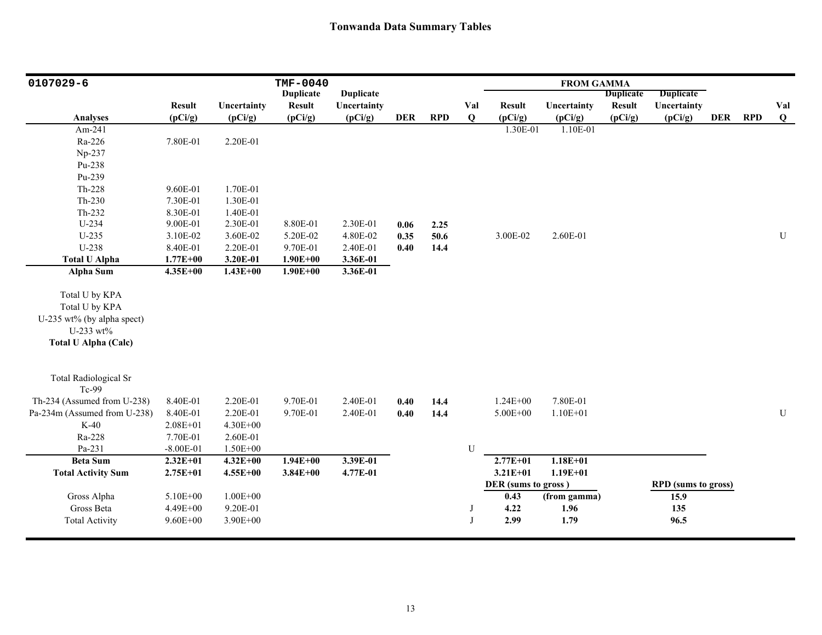| 0107029-6                                                                                                  |               |              | <b>TMF-0040</b>                   |                                 |            |            |     |                     | <b>FROM GAMMA</b> |                                   |                                 |            |            |           |
|------------------------------------------------------------------------------------------------------------|---------------|--------------|-----------------------------------|---------------------------------|------------|------------|-----|---------------------|-------------------|-----------------------------------|---------------------------------|------------|------------|-----------|
|                                                                                                            | <b>Result</b> | Uncertainty  | <b>Duplicate</b><br><b>Result</b> | <b>Duplicate</b><br>Uncertainty |            |            | Val | <b>Result</b>       | Uncertainty       | <b>Duplicate</b><br><b>Result</b> | <b>Duplicate</b><br>Uncertainty |            |            | Val       |
| <b>Analyses</b>                                                                                            | (pCi/g)       | (pCi/g)      | (pCi/g)                           | (pCi/g)                         | <b>DER</b> | <b>RPD</b> | Q   | (pCi/g)             | (pCi/g)           | (pCi/g)                           | (pCi/g)                         | <b>DER</b> | <b>RPD</b> | $\bf{Q}$  |
| Am-241                                                                                                     |               |              |                                   |                                 |            |            |     | 1.30E-01            | 1.10E-01          |                                   |                                 |            |            |           |
| Ra-226                                                                                                     | 7.80E-01      | 2.20E-01     |                                   |                                 |            |            |     |                     |                   |                                   |                                 |            |            |           |
| Np-237                                                                                                     |               |              |                                   |                                 |            |            |     |                     |                   |                                   |                                 |            |            |           |
| Pu-238                                                                                                     |               |              |                                   |                                 |            |            |     |                     |                   |                                   |                                 |            |            |           |
| Pu-239                                                                                                     |               |              |                                   |                                 |            |            |     |                     |                   |                                   |                                 |            |            |           |
| Th-228                                                                                                     | 9.60E-01      | 1.70E-01     |                                   |                                 |            |            |     |                     |                   |                                   |                                 |            |            |           |
| Th-230                                                                                                     | 7.30E-01      | 1.30E-01     |                                   |                                 |            |            |     |                     |                   |                                   |                                 |            |            |           |
| Th-232                                                                                                     | 8.30E-01      | 1.40E-01     |                                   |                                 |            |            |     |                     |                   |                                   |                                 |            |            |           |
| $U-234$                                                                                                    | 9.00E-01      | 2.30E-01     | 8.80E-01                          | 2.30E-01                        | 0.06       | 2.25       |     |                     |                   |                                   |                                 |            |            |           |
| $U-235$                                                                                                    | 3.10E-02      | 3.60E-02     | 5.20E-02                          | 4.80E-02                        | 0.35       | 50.6       |     | 3.00E-02            | 2.60E-01          |                                   |                                 |            |            | U         |
| U-238                                                                                                      | 8.40E-01      | 2.20E-01     | 9.70E-01                          | 2.40E-01                        | 0.40       | 14,4       |     |                     |                   |                                   |                                 |            |            |           |
| <b>Total U Alpha</b>                                                                                       | $1.77E + 00$  | 3.20E-01     | $1.90E + 00$                      | 3.36E-01                        |            |            |     |                     |                   |                                   |                                 |            |            |           |
| <b>Alpha Sum</b>                                                                                           | $4.35E + 00$  | $1.43E + 00$ | $1.90E + 00$                      | 3.36E-01                        |            |            |     |                     |                   |                                   |                                 |            |            |           |
| Total U by KPA<br>Total U by KPA<br>U-235 wt% (by alpha spect)<br>U-233 wt%<br><b>Total U Alpha (Calc)</b> |               |              |                                   |                                 |            |            |     |                     |                   |                                   |                                 |            |            |           |
| <b>Total Radiological Sr</b><br>Tc-99                                                                      |               |              |                                   |                                 |            |            |     |                     |                   |                                   |                                 |            |            |           |
| Th-234 (Assumed from U-238)                                                                                | 8.40E-01      | 2.20E-01     | 9.70E-01                          | 2.40E-01                        | 0.40       | 14.4       |     | $1.24E + 00$        | 7.80E-01          |                                   |                                 |            |            |           |
| Pa-234m (Assumed from U-238)                                                                               | 8.40E-01      | 2.20E-01     | 9.70E-01                          | 2.40E-01                        | 0.40       | 14.4       |     | 5.00E+00            | $1.10E + 01$      |                                   |                                 |            |            | ${\bf U}$ |
| $K-40$                                                                                                     | $2.08E + 01$  | 4.30E+00     |                                   |                                 |            |            |     |                     |                   |                                   |                                 |            |            |           |
| Ra-228                                                                                                     | 7.70E-01      | 2.60E-01     |                                   |                                 |            |            |     |                     |                   |                                   |                                 |            |            |           |
| Pa-231                                                                                                     | $-8.00E - 01$ | 1.50E+00     |                                   |                                 |            |            | U   |                     |                   |                                   |                                 |            |            |           |
| <b>Beta Sum</b>                                                                                            | $2.32E+01$    | $4.32E + 00$ | $1.94E + 00$                      | 3.39E-01                        |            |            |     | $2.77E + 01$        | $1.18E + 01$      |                                   |                                 |            |            |           |
| <b>Total Activity Sum</b>                                                                                  | $2.75E + 01$  | $4.55E+00$   | $3.84E + 00$                      | 4.77E-01                        |            |            |     | $3.21E + 01$        | $1.19E + 01$      |                                   |                                 |            |            |           |
|                                                                                                            |               |              |                                   |                                 |            |            |     | DER (sums to gross) |                   |                                   | <b>RPD</b> (sums to gross)      |            |            |           |
| Gross Alpha                                                                                                | 5.10E+00      | $1.00E + 00$ |                                   |                                 |            |            |     | 0.43                | (from gamma)      |                                   | 15.9                            |            |            |           |
| Gross Beta                                                                                                 | 4.49E+00      | 9.20E-01     |                                   |                                 |            |            | J   | 4.22                | 1.96              |                                   | 135                             |            |            |           |
| <b>Total Activity</b>                                                                                      | $9.60E + 00$  | $3.90E + 00$ |                                   |                                 |            |            | J   | 2.99                | 1.79              |                                   | 96.5                            |            |            |           |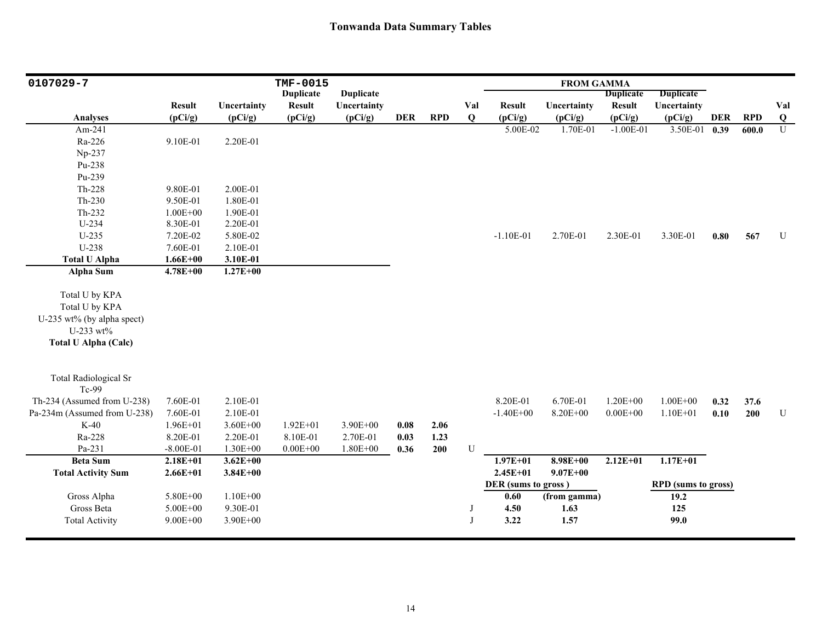| 0107029-7                                                                                                  |               |              | <b>TMF-0015</b>  |                  |            |            |              |                     | <b>FROM GAMMA</b> |                  |                            |            |            |                |
|------------------------------------------------------------------------------------------------------------|---------------|--------------|------------------|------------------|------------|------------|--------------|---------------------|-------------------|------------------|----------------------------|------------|------------|----------------|
|                                                                                                            |               |              | <b>Duplicate</b> | <b>Duplicate</b> |            |            |              |                     |                   | <b>Duplicate</b> | <b>Duplicate</b>           |            |            |                |
|                                                                                                            | <b>Result</b> | Uncertainty  | <b>Result</b>    | Uncertainty      |            |            | Val          | <b>Result</b>       | Uncertainty       | <b>Result</b>    | Uncertainty                |            |            | Val            |
| <b>Analyses</b>                                                                                            | (pCi/g)       | (pCi/g)      | (pCi/g)          | (pCi/g)          | <b>DER</b> | <b>RPD</b> | Q            | (pCi/g)             | (pCi/g)           | (pCi/g)          | (pCi/g)                    | <b>DER</b> | <b>RPD</b> | $\bf{Q}$       |
| Am-241                                                                                                     |               |              |                  |                  |            |            |              | 5.00E-02            | 1.70E-01          | $-1.00E-01$      | 3.50E-01                   | 0.39       | 600.0      | $\overline{U}$ |
| Ra-226                                                                                                     | 9.10E-01      | 2.20E-01     |                  |                  |            |            |              |                     |                   |                  |                            |            |            |                |
| Np-237                                                                                                     |               |              |                  |                  |            |            |              |                     |                   |                  |                            |            |            |                |
| Pu-238                                                                                                     |               |              |                  |                  |            |            |              |                     |                   |                  |                            |            |            |                |
| Pu-239                                                                                                     |               |              |                  |                  |            |            |              |                     |                   |                  |                            |            |            |                |
| $Th-228$                                                                                                   | 9.80E-01      | 2.00E-01     |                  |                  |            |            |              |                     |                   |                  |                            |            |            |                |
| $Th-230$                                                                                                   | 9.50E-01      | 1.80E-01     |                  |                  |            |            |              |                     |                   |                  |                            |            |            |                |
| Th-232                                                                                                     | $1.00E + 00$  | 1.90E-01     |                  |                  |            |            |              |                     |                   |                  |                            |            |            |                |
| $U-234$                                                                                                    | 8.30E-01      | 2.20E-01     |                  |                  |            |            |              |                     |                   |                  |                            |            |            |                |
| $U-235$                                                                                                    | 7.20E-02      | 5.80E-02     |                  |                  |            |            |              | $-1.10E-01$         | 2.70E-01          | 2.30E-01         | 3.30E-01                   | 0.80       | 567        | ${\bf U}$      |
| U-238                                                                                                      | 7.60E-01      | 2.10E-01     |                  |                  |            |            |              |                     |                   |                  |                            |            |            |                |
| <b>Total U Alpha</b>                                                                                       | $1.66E + 00$  | 3.10E-01     |                  |                  |            |            |              |                     |                   |                  |                            |            |            |                |
| <b>Alpha Sum</b>                                                                                           | $4.78E + 00$  | $1.27E + 00$ |                  |                  |            |            |              |                     |                   |                  |                            |            |            |                |
| Total U by KPA<br>Total U by KPA<br>U-235 wt% (by alpha spect)<br>U-233 wt%<br><b>Total U Alpha (Calc)</b> |               |              |                  |                  |            |            |              |                     |                   |                  |                            |            |            |                |
| <b>Total Radiological Sr</b><br>Tc-99                                                                      |               |              |                  |                  |            |            |              |                     |                   |                  |                            |            |            |                |
| Th-234 (Assumed from U-238)                                                                                | 7.60E-01      | 2.10E-01     |                  |                  |            |            |              | 8.20E-01            | 6.70E-01          | $1.20E + 00$     | $1.00E + 00$               | 0.32       | 37.6       |                |
| Pa-234m (Assumed from U-238)                                                                               | 7.60E-01      | 2.10E-01     |                  |                  |            |            |              | $-1.40E + 00$       | 8.20E+00          | $0.00E + 00$     | $1.10E + 01$               | 0.10       | 200        | ${\bf U}$      |
| $K-40$                                                                                                     | $1.96E + 01$  | $3.60E + 00$ | $1.92E + 01$     | 3.90E+00         | 0.08       | 2.06       |              |                     |                   |                  |                            |            |            |                |
| Ra-228                                                                                                     | 8.20E-01      | 2.20E-01     | 8.10E-01         | 2.70E-01         | 0.03       | 1.23       |              |                     |                   |                  |                            |            |            |                |
| Pa-231                                                                                                     | $-8.00E - 01$ | $1.30E + 00$ | $0.00E + 00$     | $1.80E + 00$     | 0.36       | 200        | U            |                     |                   |                  |                            |            |            |                |
| <b>Beta Sum</b>                                                                                            | $2.18E + 01$  | $3.62E + 00$ |                  |                  |            |            |              | $1.97E + 01$        | $8.98E + 00$      | $2.12E + 01$     | $1.17E+01$                 |            |            |                |
| <b>Total Activity Sum</b>                                                                                  | $2.66E + 01$  | $3.84E + 00$ |                  |                  |            |            |              | $2.45E + 01$        | $9.07E + 00$      |                  |                            |            |            |                |
|                                                                                                            |               |              |                  |                  |            |            |              | DER (sums to gross) |                   |                  | <b>RPD</b> (sums to gross) |            |            |                |
| Gross Alpha                                                                                                | 5.80E+00      | $1.10E + 00$ |                  |                  |            |            |              | 0.60                | (from gamma)      |                  | 19.2                       |            |            |                |
| Gross Beta                                                                                                 | 5.00E+00      | 9.30E-01     |                  |                  |            |            |              | 4.50                | 1.63              |                  | 125                        |            |            |                |
| <b>Total Activity</b>                                                                                      | $9.00E + 00$  | 3.90E+00     |                  |                  |            |            | $\mathbf{J}$ | 3.22                | 1.57              |                  | 99.0                       |            |            |                |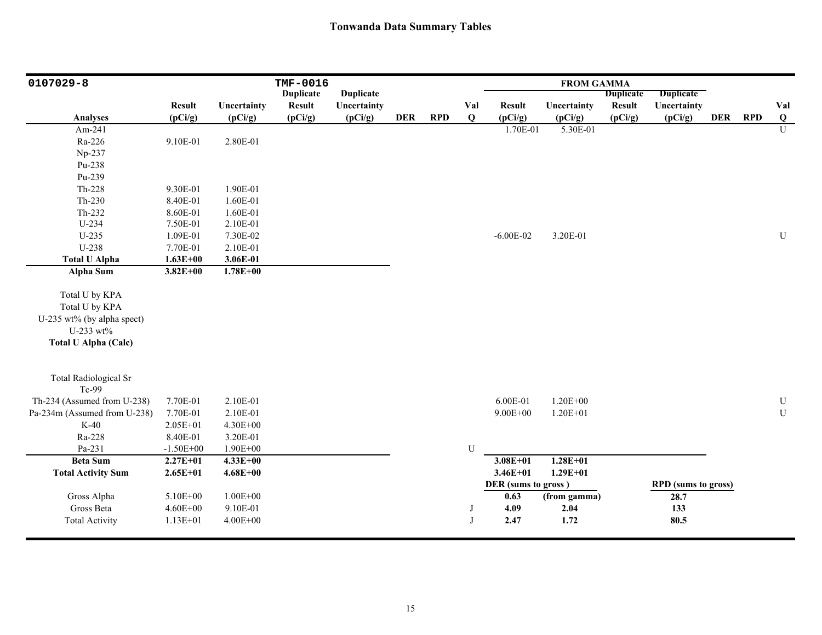| 0107029-8                    |               |              | TMF-0016         |                  |            |            |             |                     | <b>FROM GAMMA</b> |                  |                            |            |            |                |
|------------------------------|---------------|--------------|------------------|------------------|------------|------------|-------------|---------------------|-------------------|------------------|----------------------------|------------|------------|----------------|
|                              |               |              | <b>Duplicate</b> | <b>Duplicate</b> |            |            |             |                     |                   | <b>Duplicate</b> | <b>Duplicate</b>           |            |            |                |
|                              | <b>Result</b> | Uncertainty  | <b>Result</b>    | Uncertainty      |            |            | Val         | <b>Result</b>       | Uncertainty       | <b>Result</b>    | Uncertainty                |            |            | Val            |
| <b>Analyses</b>              | (pCi/g)       | (pCi/g)      | (pCi/g)          | (pCi/g)          | <b>DER</b> | <b>RPD</b> | Q           | (pCi/g)             | (pCi/g)           | (pCi/g)          | (pCi/g)                    | <b>DER</b> | <b>RPD</b> | $\bf{Q}$       |
| Am-241                       |               |              |                  |                  |            |            |             | 1.70E-01            | 5.30E-01          |                  |                            |            |            | $\overline{U}$ |
| Ra-226                       | 9.10E-01      | 2.80E-01     |                  |                  |            |            |             |                     |                   |                  |                            |            |            |                |
| Np-237                       |               |              |                  |                  |            |            |             |                     |                   |                  |                            |            |            |                |
| Pu-238                       |               |              |                  |                  |            |            |             |                     |                   |                  |                            |            |            |                |
| Pu-239                       |               |              |                  |                  |            |            |             |                     |                   |                  |                            |            |            |                |
| Th-228                       | 9.30E-01      | 1.90E-01     |                  |                  |            |            |             |                     |                   |                  |                            |            |            |                |
| $Th-230$                     | 8.40E-01      | 1.60E-01     |                  |                  |            |            |             |                     |                   |                  |                            |            |            |                |
| Th-232                       | 8.60E-01      | 1.60E-01     |                  |                  |            |            |             |                     |                   |                  |                            |            |            |                |
| U-234                        | 7.50E-01      | 2.10E-01     |                  |                  |            |            |             |                     |                   |                  |                            |            |            |                |
| $U-235$                      | 1.09E-01      | 7.30E-02     |                  |                  |            |            |             | $-6.00E - 02$       | 3.20E-01          |                  |                            |            |            | ${\bf U}$      |
| U-238                        | 7.70E-01      | 2.10E-01     |                  |                  |            |            |             |                     |                   |                  |                            |            |            |                |
| <b>Total U Alpha</b>         | $1.63E + 00$  | 3.06E-01     |                  |                  |            |            |             |                     |                   |                  |                            |            |            |                |
| Alpha Sum                    | $3.82E + 00$  | $1.78E + 00$ |                  |                  |            |            |             |                     |                   |                  |                            |            |            |                |
|                              |               |              |                  |                  |            |            |             |                     |                   |                  |                            |            |            |                |
| Total U by KPA               |               |              |                  |                  |            |            |             |                     |                   |                  |                            |            |            |                |
| Total U by KPA               |               |              |                  |                  |            |            |             |                     |                   |                  |                            |            |            |                |
| U-235 wt% (by alpha spect)   |               |              |                  |                  |            |            |             |                     |                   |                  |                            |            |            |                |
| U-233 wt%                    |               |              |                  |                  |            |            |             |                     |                   |                  |                            |            |            |                |
| <b>Total U Alpha (Calc)</b>  |               |              |                  |                  |            |            |             |                     |                   |                  |                            |            |            |                |
|                              |               |              |                  |                  |            |            |             |                     |                   |                  |                            |            |            |                |
| <b>Total Radiological Sr</b> |               |              |                  |                  |            |            |             |                     |                   |                  |                            |            |            |                |
| Tc-99                        |               |              |                  |                  |            |            |             |                     |                   |                  |                            |            |            |                |
| Th-234 (Assumed from U-238)  | 7.70E-01      | 2.10E-01     |                  |                  |            |            |             | 6.00E-01            | $1.20E + 00$      |                  |                            |            |            | ${\bf U}$      |
| Pa-234m (Assumed from U-238) | 7.70E-01      | 2.10E-01     |                  |                  |            |            |             | $9.00E + 00$        | $1.20E + 01$      |                  |                            |            |            | ${\bf U}$      |
| $K-40$                       | $2.05E + 01$  | 4.30E+00     |                  |                  |            |            |             |                     |                   |                  |                            |            |            |                |
| Ra-228                       | 8.40E-01      | 3.20E-01     |                  |                  |            |            |             |                     |                   |                  |                            |            |            |                |
| Pa-231                       | $-1.50E + 00$ | $1.90E + 00$ |                  |                  |            |            | $\mathbf U$ |                     |                   |                  |                            |            |            |                |
| <b>Beta Sum</b>              | $2.27E+01$    | $4.33E + 00$ |                  |                  |            |            |             | $3.08E + 01$        | $1.28E + 01$      |                  |                            |            |            |                |
| <b>Total Activity Sum</b>    | $2.65E + 01$  | $4.68E + 00$ |                  |                  |            |            |             | $3.46E + 01$        | $1.29E + 01$      |                  |                            |            |            |                |
|                              |               |              |                  |                  |            |            |             | DER (sums to gross) |                   |                  | <b>RPD</b> (sums to gross) |            |            |                |
| Gross Alpha                  | 5.10E+00      | $1.00E + 00$ |                  |                  |            |            |             | 0.63                | (from gamma)      |                  | 28.7                       |            |            |                |
| Gross Beta                   | $4.60E + 00$  | 9.10E-01     |                  |                  |            |            | J           | 4.09                | 2.04              |                  | 133                        |            |            |                |
| <b>Total Activity</b>        | $1.13E + 01$  | $4.00E + 00$ |                  |                  |            |            | J           | 2.47                | 1.72              |                  | 80.5                       |            |            |                |
|                              |               |              |                  |                  |            |            |             |                     |                   |                  |                            |            |            |                |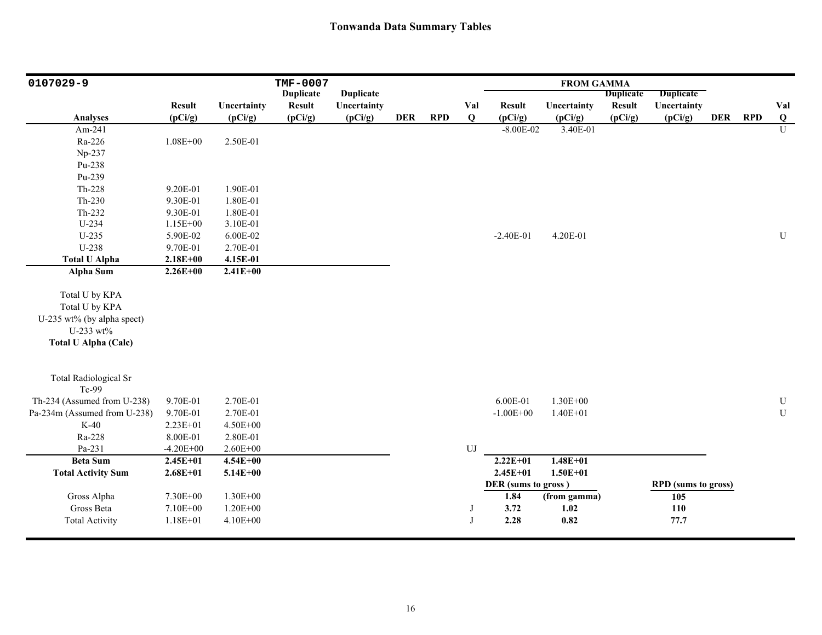| 0107029-9                    |               |              | <b>TMF-0007</b>  |                  |            |            |            |                     | <b>FROM GAMMA</b> |                  |                            |            |            |                |
|------------------------------|---------------|--------------|------------------|------------------|------------|------------|------------|---------------------|-------------------|------------------|----------------------------|------------|------------|----------------|
|                              |               |              | <b>Duplicate</b> | <b>Duplicate</b> |            |            |            |                     |                   | <b>Duplicate</b> | <b>Duplicate</b>           |            |            |                |
|                              | <b>Result</b> | Uncertainty  | <b>Result</b>    | Uncertainty      |            |            | Val        | <b>Result</b>       | Uncertainty       | <b>Result</b>    | Uncertainty                |            |            | Val            |
| <b>Analyses</b>              | (pCi/g)       | (pCi/g)      | (pCi/g)          | (pCi/g)          | <b>DER</b> | <b>RPD</b> | Q          | (pCi/g)             | (pCi/g)           | (pCi/g)          | (pCi/g)                    | <b>DER</b> | <b>RPD</b> | $\bf{Q}$       |
| Am-241                       |               |              |                  |                  |            |            |            | $-8.00E-02$         | 3.40E-01          |                  |                            |            |            | $\overline{U}$ |
| Ra-226                       | $1.08E + 00$  | 2.50E-01     |                  |                  |            |            |            |                     |                   |                  |                            |            |            |                |
| Np-237                       |               |              |                  |                  |            |            |            |                     |                   |                  |                            |            |            |                |
| Pu-238                       |               |              |                  |                  |            |            |            |                     |                   |                  |                            |            |            |                |
| Pu-239                       |               |              |                  |                  |            |            |            |                     |                   |                  |                            |            |            |                |
| Th-228                       | 9.20E-01      | 1.90E-01     |                  |                  |            |            |            |                     |                   |                  |                            |            |            |                |
| $Th-230$                     | 9.30E-01      | 1.80E-01     |                  |                  |            |            |            |                     |                   |                  |                            |            |            |                |
| Th-232                       | 9.30E-01      | 1.80E-01     |                  |                  |            |            |            |                     |                   |                  |                            |            |            |                |
| U-234                        | $1.15E+00$    | 3.10E-01     |                  |                  |            |            |            |                     |                   |                  |                            |            |            |                |
| $U-235$                      | 5.90E-02      | 6.00E-02     |                  |                  |            |            |            | $-2.40E-01$         | 4.20E-01          |                  |                            |            |            | ${\bf U}$      |
| U-238                        | 9.70E-01      | 2.70E-01     |                  |                  |            |            |            |                     |                   |                  |                            |            |            |                |
| <b>Total U Alpha</b>         | $2.18E + 00$  | 4.15E-01     |                  |                  |            |            |            |                     |                   |                  |                            |            |            |                |
| Alpha Sum                    | $2.26E + 00$  | $2.41E + 00$ |                  |                  |            |            |            |                     |                   |                  |                            |            |            |                |
|                              |               |              |                  |                  |            |            |            |                     |                   |                  |                            |            |            |                |
| Total U by KPA               |               |              |                  |                  |            |            |            |                     |                   |                  |                            |            |            |                |
| Total U by KPA               |               |              |                  |                  |            |            |            |                     |                   |                  |                            |            |            |                |
| U-235 wt% (by alpha spect)   |               |              |                  |                  |            |            |            |                     |                   |                  |                            |            |            |                |
| U-233 wt%                    |               |              |                  |                  |            |            |            |                     |                   |                  |                            |            |            |                |
| <b>Total U Alpha (Calc)</b>  |               |              |                  |                  |            |            |            |                     |                   |                  |                            |            |            |                |
|                              |               |              |                  |                  |            |            |            |                     |                   |                  |                            |            |            |                |
| <b>Total Radiological Sr</b> |               |              |                  |                  |            |            |            |                     |                   |                  |                            |            |            |                |
| Tc-99                        |               |              |                  |                  |            |            |            |                     |                   |                  |                            |            |            |                |
| Th-234 (Assumed from U-238)  | 9.70E-01      | 2.70E-01     |                  |                  |            |            |            | 6.00E-01            | $1.30E + 00$      |                  |                            |            |            | ${\bf U}$      |
| Pa-234m (Assumed from U-238) | 9.70E-01      | 2.70E-01     |                  |                  |            |            |            | $-1.00E + 00$       | $1.40E + 01$      |                  |                            |            |            | ${\bf U}$      |
| $K-40$                       | 2.23E+01      | 4.50E+00     |                  |                  |            |            |            |                     |                   |                  |                            |            |            |                |
| Ra-228                       | 8.00E-01      | 2.80E-01     |                  |                  |            |            |            |                     |                   |                  |                            |            |            |                |
| Pa-231                       | $-4.20E + 00$ | $2.60E + 00$ |                  |                  |            |            | ${\rm UJ}$ |                     |                   |                  |                            |            |            |                |
| <b>Beta Sum</b>              | $2.45E + 01$  | $4.54E + 00$ |                  |                  |            |            |            | $2.22E + 01$        | $1.48E + 01$      |                  |                            |            |            |                |
| <b>Total Activity Sum</b>    | $2.68E + 01$  | $5.14E + 00$ |                  |                  |            |            |            | $2.45E + 01$        | $1.50E + 01$      |                  |                            |            |            |                |
|                              |               |              |                  |                  |            |            |            | DER (sums to gross) |                   |                  | <b>RPD</b> (sums to gross) |            |            |                |
| Gross Alpha                  | 7.30E+00      | $1.30E + 00$ |                  |                  |            |            |            | 1.84                | (from gamma)      |                  | 105                        |            |            |                |
| Gross Beta                   | 7.10E+00      | $1.20E + 00$ |                  |                  |            |            | J          | 3.72                | 1.02              |                  | 110                        |            |            |                |
| <b>Total Activity</b>        | $1.18E + 01$  | 4.10E+00     |                  |                  |            |            | J          | 2.28                | 0.82              |                  | 77.7                       |            |            |                |
|                              |               |              |                  |                  |            |            |            |                     |                   |                  |                            |            |            |                |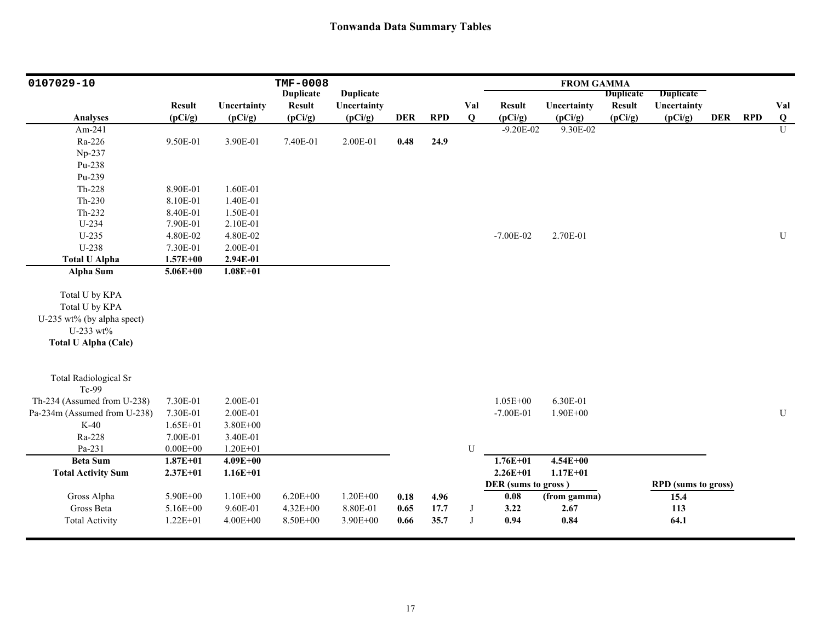| 0107029-10                   |               |              | <b>TMF-0008</b>  |                  |            |            |     |                     | <b>FROM GAMMA</b> |                  |                            |            |            |                |
|------------------------------|---------------|--------------|------------------|------------------|------------|------------|-----|---------------------|-------------------|------------------|----------------------------|------------|------------|----------------|
|                              |               |              | <b>Duplicate</b> | <b>Duplicate</b> |            |            |     |                     |                   | <b>Duplicate</b> | <b>Duplicate</b>           |            |            |                |
|                              | <b>Result</b> | Uncertainty  | <b>Result</b>    | Uncertainty      |            |            | Val | <b>Result</b>       | Uncertainty       | <b>Result</b>    | Uncertainty                |            |            | Val            |
| <b>Analyses</b>              | (pCi/g)       | (pCi/g)      | (pCi/g)          | (pCi/g)          | <b>DER</b> | <b>RPD</b> | Q   | (pCi/g)             | (pCi/g)           | (pCi/g)          | (pCi/g)                    | <b>DER</b> | <b>RPD</b> | $\mathbf{Q}$   |
| Am-241                       |               |              |                  |                  |            |            |     | $-9.20E - 02$       | 9.30E-02          |                  |                            |            |            | $\overline{U}$ |
| Ra-226                       | 9.50E-01      | 3.90E-01     | 7.40E-01         | 2.00E-01         | 0.48       | 24.9       |     |                     |                   |                  |                            |            |            |                |
| Np-237                       |               |              |                  |                  |            |            |     |                     |                   |                  |                            |            |            |                |
| Pu-238                       |               |              |                  |                  |            |            |     |                     |                   |                  |                            |            |            |                |
| Pu-239                       |               |              |                  |                  |            |            |     |                     |                   |                  |                            |            |            |                |
| Th-228                       | 8.90E-01      | 1.60E-01     |                  |                  |            |            |     |                     |                   |                  |                            |            |            |                |
| Th-230                       | 8.10E-01      | 1.40E-01     |                  |                  |            |            |     |                     |                   |                  |                            |            |            |                |
| Th-232                       | 8.40E-01      | 1.50E-01     |                  |                  |            |            |     |                     |                   |                  |                            |            |            |                |
| U-234                        | 7.90E-01      | 2.10E-01     |                  |                  |            |            |     |                     |                   |                  |                            |            |            |                |
| $U-235$                      | 4.80E-02      | 4.80E-02     |                  |                  |            |            |     | $-7.00E - 02$       | 2.70E-01          |                  |                            |            |            | U              |
| U-238                        | 7.30E-01      | 2.00E-01     |                  |                  |            |            |     |                     |                   |                  |                            |            |            |                |
| <b>Total U Alpha</b>         | $1.57E + 00$  | 2.94E-01     |                  |                  |            |            |     |                     |                   |                  |                            |            |            |                |
| Alpha Sum                    | $5.06E + 00$  | $1.08E + 01$ |                  |                  |            |            |     |                     |                   |                  |                            |            |            |                |
|                              |               |              |                  |                  |            |            |     |                     |                   |                  |                            |            |            |                |
| Total U by KPA               |               |              |                  |                  |            |            |     |                     |                   |                  |                            |            |            |                |
| Total U by KPA               |               |              |                  |                  |            |            |     |                     |                   |                  |                            |            |            |                |
| U-235 wt% (by alpha spect)   |               |              |                  |                  |            |            |     |                     |                   |                  |                            |            |            |                |
| U-233 wt%                    |               |              |                  |                  |            |            |     |                     |                   |                  |                            |            |            |                |
| <b>Total U Alpha (Calc)</b>  |               |              |                  |                  |            |            |     |                     |                   |                  |                            |            |            |                |
|                              |               |              |                  |                  |            |            |     |                     |                   |                  |                            |            |            |                |
| <b>Total Radiological Sr</b> |               |              |                  |                  |            |            |     |                     |                   |                  |                            |            |            |                |
| Tc-99                        |               |              |                  |                  |            |            |     |                     |                   |                  |                            |            |            |                |
| Th-234 (Assumed from U-238)  | 7.30E-01      | 2.00E-01     |                  |                  |            |            |     | $1.05E + 00$        | 6.30E-01          |                  |                            |            |            |                |
| Pa-234m (Assumed from U-238) | 7.30E-01      | 2.00E-01     |                  |                  |            |            |     | $-7.00E - 01$       | $1.90E + 00$      |                  |                            |            |            | ${\bf U}$      |
| $K-40$                       | $1.65E + 01$  | 3.80E+00     |                  |                  |            |            |     |                     |                   |                  |                            |            |            |                |
| Ra-228                       | 7.00E-01      | 3.40E-01     |                  |                  |            |            |     |                     |                   |                  |                            |            |            |                |
| Pa-231                       | $0.00E + 00$  | $1.20E + 01$ |                  |                  |            |            | U   |                     |                   |                  |                            |            |            |                |
| <b>Beta Sum</b>              | $1.87E + 01$  | $4.09E + 00$ |                  |                  |            |            |     | $1.76E + 01$        | $4.54E + 00$      |                  |                            |            |            |                |
| <b>Total Activity Sum</b>    | $2.37E + 01$  | $1.16E + 01$ |                  |                  |            |            |     | $2.26E + 01$        | $1.17E + 01$      |                  |                            |            |            |                |
|                              |               |              |                  |                  |            |            |     | DER (sums to gross) |                   |                  | <b>RPD</b> (sums to gross) |            |            |                |
| Gross Alpha                  | 5.90E+00      | $1.10E + 00$ | $6.20E + 00$     | $1.20E + 00$     | 0.18       | 4.96       |     | 0.08                | (from gamma)      |                  | 15.4                       |            |            |                |
| Gross Beta                   | 5.16E+00      | 9.60E-01     | $4.32E + 00$     | 8.80E-01         | 0.65       | 17.7       | J   | 3.22                | 2.67              |                  | 113                        |            |            |                |
| <b>Total Activity</b>        | $1.22E + 01$  | $4.00E + 00$ | 8.50E+00         | 3.90E+00         | 0.66       | 35.7       | J   | 0.94                | 0.84              |                  | 64.1                       |            |            |                |
|                              |               |              |                  |                  |            |            |     |                     |                   |                  |                            |            |            |                |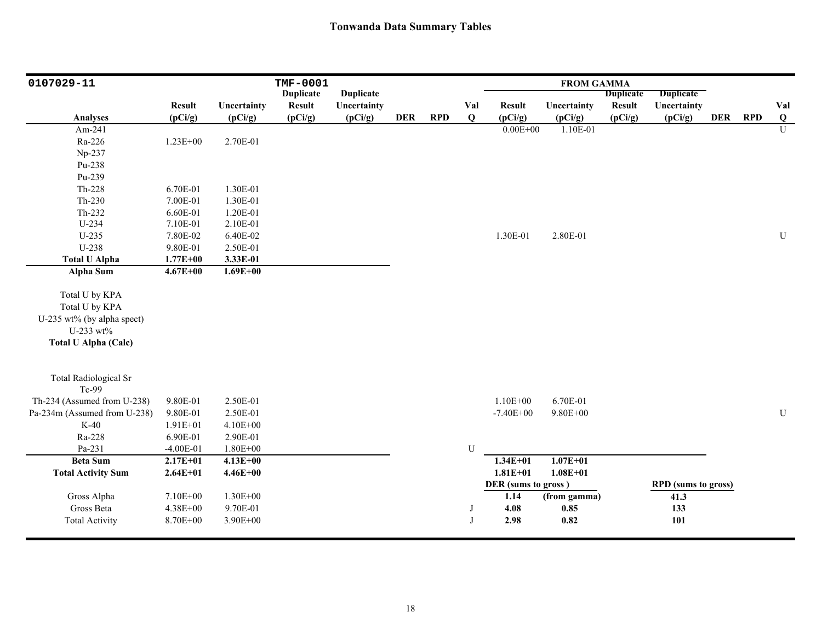| 0107029-11                   |               |              | <b>TMF-0001</b>  |                  |            |            |           |                     | <b>FROM GAMMA</b> |                  |                            |            |            |                         |
|------------------------------|---------------|--------------|------------------|------------------|------------|------------|-----------|---------------------|-------------------|------------------|----------------------------|------------|------------|-------------------------|
|                              |               |              | <b>Duplicate</b> | <b>Duplicate</b> |            |            |           |                     |                   | <b>Duplicate</b> | <b>Duplicate</b>           |            |            |                         |
|                              | <b>Result</b> | Uncertainty  | <b>Result</b>    | Uncertainty      |            |            | Val       | <b>Result</b>       | Uncertainty       | <b>Result</b>    | Uncertainty                |            |            | Val                     |
| <b>Analyses</b>              | (pCi/g)       | (pCi/g)      | (pCi/g)          | (pCi/g)          | <b>DER</b> | <b>RPD</b> | Q         | (pCi/g)             | (pCi/g)           | (pCi/g)          | (pCi/g)                    | <b>DER</b> | <b>RPD</b> | $\overline{\mathbf{Q}}$ |
| Am-241                       |               |              |                  |                  |            |            |           | $0.00E + 00$        | 1.10E-01          |                  |                            |            |            | $\overline{U}$          |
| Ra-226                       | $1.23E + 00$  | 2.70E-01     |                  |                  |            |            |           |                     |                   |                  |                            |            |            |                         |
| Np-237                       |               |              |                  |                  |            |            |           |                     |                   |                  |                            |            |            |                         |
| Pu-238                       |               |              |                  |                  |            |            |           |                     |                   |                  |                            |            |            |                         |
| Pu-239                       |               |              |                  |                  |            |            |           |                     |                   |                  |                            |            |            |                         |
| Th-228                       | 6.70E-01      | 1.30E-01     |                  |                  |            |            |           |                     |                   |                  |                            |            |            |                         |
| $Th-230$                     | 7.00E-01      | 1.30E-01     |                  |                  |            |            |           |                     |                   |                  |                            |            |            |                         |
| Th-232                       | 6.60E-01      | 1.20E-01     |                  |                  |            |            |           |                     |                   |                  |                            |            |            |                         |
| U-234                        | 7.10E-01      | 2.10E-01     |                  |                  |            |            |           |                     |                   |                  |                            |            |            |                         |
| $U-235$                      | 7.80E-02      | 6.40E-02     |                  |                  |            |            |           | 1.30E-01            | 2.80E-01          |                  |                            |            |            | $\mathbf U$             |
| U-238                        | 9.80E-01      | 2.50E-01     |                  |                  |            |            |           |                     |                   |                  |                            |            |            |                         |
| <b>Total U Alpha</b>         | $1.77E + 00$  | 3.33E-01     |                  |                  |            |            |           |                     |                   |                  |                            |            |            |                         |
| Alpha Sum                    | $4.67E + 00$  | $1.69E + 00$ |                  |                  |            |            |           |                     |                   |                  |                            |            |            |                         |
|                              |               |              |                  |                  |            |            |           |                     |                   |                  |                            |            |            |                         |
| Total U by KPA               |               |              |                  |                  |            |            |           |                     |                   |                  |                            |            |            |                         |
| Total U by KPA               |               |              |                  |                  |            |            |           |                     |                   |                  |                            |            |            |                         |
| U-235 wt% (by alpha spect)   |               |              |                  |                  |            |            |           |                     |                   |                  |                            |            |            |                         |
| U-233 wt%                    |               |              |                  |                  |            |            |           |                     |                   |                  |                            |            |            |                         |
| <b>Total U Alpha (Calc)</b>  |               |              |                  |                  |            |            |           |                     |                   |                  |                            |            |            |                         |
|                              |               |              |                  |                  |            |            |           |                     |                   |                  |                            |            |            |                         |
| <b>Total Radiological Sr</b> |               |              |                  |                  |            |            |           |                     |                   |                  |                            |            |            |                         |
| Tc-99                        |               |              |                  |                  |            |            |           |                     |                   |                  |                            |            |            |                         |
| Th-234 (Assumed from U-238)  | 9.80E-01      | 2.50E-01     |                  |                  |            |            |           | $1.10E + 00$        | 6.70E-01          |                  |                            |            |            |                         |
| Pa-234m (Assumed from U-238) | 9.80E-01      | 2.50E-01     |                  |                  |            |            |           | $-7.40E + 00$       | $9.80E + 00$      |                  |                            |            |            | ${\bf U}$               |
| $K-40$                       | $1.91E + 01$  | 4.10E+00     |                  |                  |            |            |           |                     |                   |                  |                            |            |            |                         |
| Ra-228                       | 6.90E-01      | 2.90E-01     |                  |                  |            |            |           |                     |                   |                  |                            |            |            |                         |
| Pa-231                       | $-4.00E-01$   | $1.80E + 00$ |                  |                  |            |            | ${\bf U}$ |                     |                   |                  |                            |            |            |                         |
| <b>Beta Sum</b>              | $2.17E + 01$  | $4.13E + 00$ |                  |                  |            |            |           | $1.34E + 01$        | $1.07E + 01$      |                  |                            |            |            |                         |
| <b>Total Activity Sum</b>    | $2.64E + 01$  | $4.46E + 00$ |                  |                  |            |            |           | $1.81E + 01$        | $1.08E + 01$      |                  |                            |            |            |                         |
|                              |               |              |                  |                  |            |            |           | DER (sums to gross) |                   |                  | <b>RPD</b> (sums to gross) |            |            |                         |
| Gross Alpha                  | 7.10E+00      | 1.30E+00     |                  |                  |            |            |           | 1.14                | (from gamma)      |                  | 41.3                       |            |            |                         |
| Gross Beta                   | 4.38E+00      | 9.70E-01     |                  |                  |            |            | J         | 4.08                | 0.85              |                  | 133                        |            |            |                         |
| <b>Total Activity</b>        | 8.70E+00      | 3.90E+00     |                  |                  |            |            | J         | 2.98                | 0.82              |                  | 101                        |            |            |                         |
|                              |               |              |                  |                  |            |            |           |                     |                   |                  |                            |            |            |                         |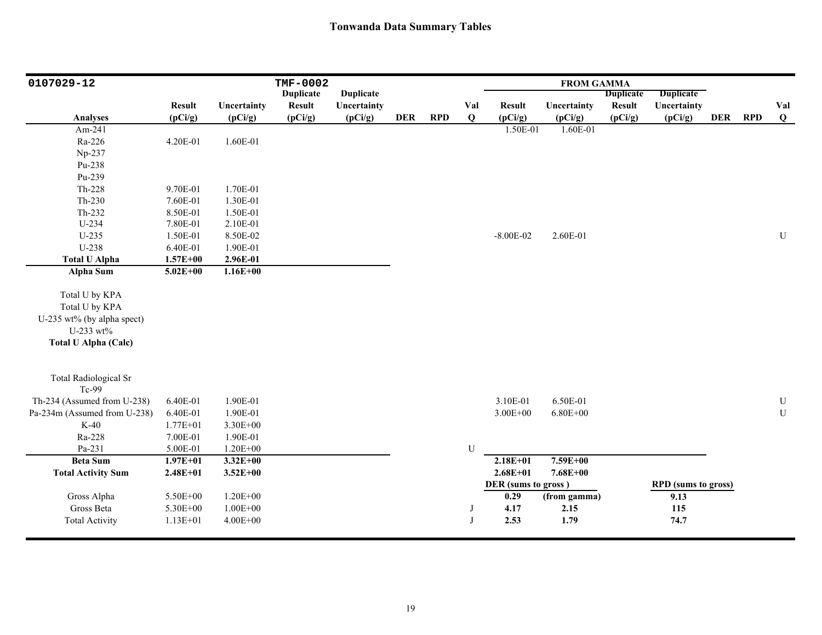| 0107029-12                   |               |              | <b>TMF-0002</b>  |                  |            |            |     |                     | <b>FROM GAMMA</b> |                  |                            |            |            |           |
|------------------------------|---------------|--------------|------------------|------------------|------------|------------|-----|---------------------|-------------------|------------------|----------------------------|------------|------------|-----------|
|                              |               |              | <b>Duplicate</b> | <b>Duplicate</b> |            |            |     |                     |                   | <b>Duplicate</b> | <b>Duplicate</b>           |            |            |           |
|                              | <b>Result</b> | Uncertainty  | <b>Result</b>    | Uncertainty      |            |            | Val | <b>Result</b>       | Uncertainty       | <b>Result</b>    | Uncertainty                |            |            | Val       |
| <b>Analyses</b>              | (pCi/g)       | (pCi/g)      | (pCi/g)          | (pCi/g)          | <b>DER</b> | <b>RPD</b> | Q   | (pCi/g)             | (pCi/g)           | (pCi/g)          | (pCi/g)                    | <b>DER</b> | <b>RPD</b> | Q         |
| Am-241                       |               |              |                  |                  |            |            |     | 1.50E-01            | 1.60E-01          |                  |                            |            |            |           |
| Ra-226                       | 4.20E-01      | 1.60E-01     |                  |                  |            |            |     |                     |                   |                  |                            |            |            |           |
| Np-237                       |               |              |                  |                  |            |            |     |                     |                   |                  |                            |            |            |           |
| Pu-238                       |               |              |                  |                  |            |            |     |                     |                   |                  |                            |            |            |           |
| Pu-239                       |               |              |                  |                  |            |            |     |                     |                   |                  |                            |            |            |           |
| Th-228                       | 9.70E-01      | 1.70E-01     |                  |                  |            |            |     |                     |                   |                  |                            |            |            |           |
| Th-230                       | 7.60E-01      | 1.30E-01     |                  |                  |            |            |     |                     |                   |                  |                            |            |            |           |
| Th-232                       | 8.50E-01      | 1.50E-01     |                  |                  |            |            |     |                     |                   |                  |                            |            |            |           |
| U-234                        | 7.80E-01      | 2.10E-01     |                  |                  |            |            |     |                     |                   |                  |                            |            |            |           |
| $U-235$                      | 1.50E-01      | 8.50E-02     |                  |                  |            |            |     | $-8.00E - 02$       | 2.60E-01          |                  |                            |            |            | ${\bf U}$ |
| U-238                        | 6.40E-01      | 1.90E-01     |                  |                  |            |            |     |                     |                   |                  |                            |            |            |           |
| <b>Total U Alpha</b>         | $1.57E + 00$  | 2.96E-01     |                  |                  |            |            |     |                     |                   |                  |                            |            |            |           |
| Alpha Sum                    | $5.02E + 00$  | $1.16E + 00$ |                  |                  |            |            |     |                     |                   |                  |                            |            |            |           |
|                              |               |              |                  |                  |            |            |     |                     |                   |                  |                            |            |            |           |
| Total U by KPA               |               |              |                  |                  |            |            |     |                     |                   |                  |                            |            |            |           |
| Total U by KPA               |               |              |                  |                  |            |            |     |                     |                   |                  |                            |            |            |           |
| U-235 wt% (by alpha spect)   |               |              |                  |                  |            |            |     |                     |                   |                  |                            |            |            |           |
| U-233 wt%                    |               |              |                  |                  |            |            |     |                     |                   |                  |                            |            |            |           |
| <b>Total U Alpha (Calc)</b>  |               |              |                  |                  |            |            |     |                     |                   |                  |                            |            |            |           |
|                              |               |              |                  |                  |            |            |     |                     |                   |                  |                            |            |            |           |
| <b>Total Radiological Sr</b> |               |              |                  |                  |            |            |     |                     |                   |                  |                            |            |            |           |
| Tc-99                        |               |              |                  |                  |            |            |     |                     |                   |                  |                            |            |            |           |
| Th-234 (Assumed from U-238)  | 6.40E-01      | 1.90E-01     |                  |                  |            |            |     | 3.10E-01            | 6.50E-01          |                  |                            |            |            | ${\bf U}$ |
| Pa-234m (Assumed from U-238) | 6.40E-01      | 1.90E-01     |                  |                  |            |            |     | $3.00E + 00$        | $6.80E + 00$      |                  |                            |            |            | ${\bf U}$ |
| $K-40$                       | $1.77E + 01$  | 3.30E+00     |                  |                  |            |            |     |                     |                   |                  |                            |            |            |           |
| Ra-228                       | 7.00E-01      | 1.90E-01     |                  |                  |            |            |     |                     |                   |                  |                            |            |            |           |
| Pa-231                       | 5.00E-01      | $1.20E + 00$ |                  |                  |            |            | U   |                     |                   |                  |                            |            |            |           |
| <b>Beta Sum</b>              | $1.97E + 01$  | $3.32E + 00$ |                  |                  |            |            |     | $2.18E + 01$        | $7.59E + 00$      |                  |                            |            |            |           |
| <b>Total Activity Sum</b>    | $2.48E + 01$  | $3.52E + 00$ |                  |                  |            |            |     | $2.68E + 01$        | $7.68E + 00$      |                  |                            |            |            |           |
|                              |               |              |                  |                  |            |            |     | DER (sums to gross) |                   |                  | <b>RPD</b> (sums to gross) |            |            |           |
| Gross Alpha                  | 5.50E+00      | $1.20E + 00$ |                  |                  |            |            |     | 0.29                | (from gamma)      |                  | 9.13                       |            |            |           |
| Gross Beta                   | 5.30E+00      | $1.00E + 00$ |                  |                  |            |            |     | 4.17                | 2.15              |                  | 115                        |            |            |           |
| <b>Total Activity</b>        | $1.13E + 01$  | $4.00E + 00$ |                  |                  |            |            |     | 2.53                | 1.79              |                  | 74.7                       |            |            |           |
|                              |               |              |                  |                  |            |            |     |                     |                   |                  |                            |            |            |           |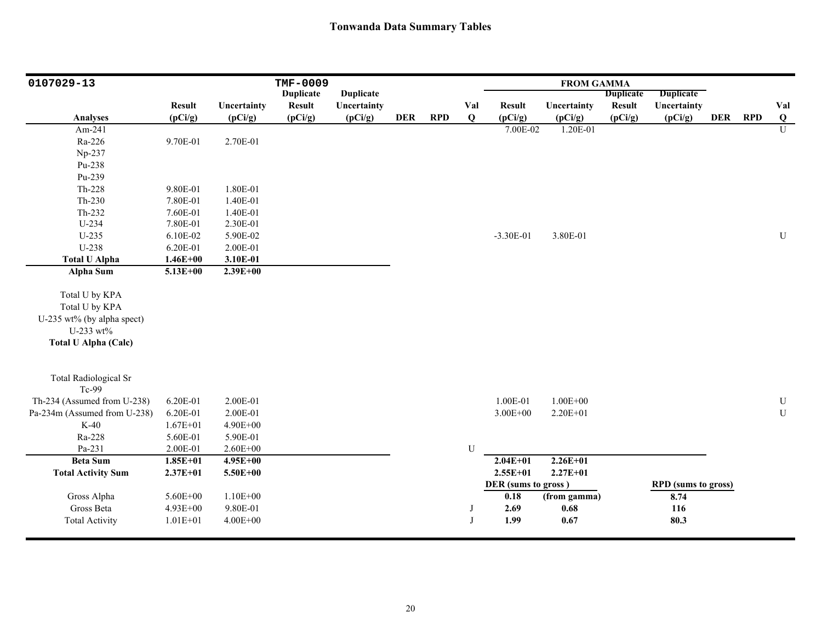| 0107029-13                   |               |              | <b>TMF-0009</b>  |                  |            |            |     |                     | <b>FROM GAMMA</b> |                  |                            |         |                         |
|------------------------------|---------------|--------------|------------------|------------------|------------|------------|-----|---------------------|-------------------|------------------|----------------------------|---------|-------------------------|
|                              |               |              | <b>Duplicate</b> | <b>Duplicate</b> |            |            |     |                     |                   | <b>Duplicate</b> | <b>Duplicate</b>           |         |                         |
|                              | <b>Result</b> | Uncertainty  | <b>Result</b>    | Uncertainty      |            |            | Val | <b>Result</b>       | Uncertainty       | <b>Result</b>    | Uncertainty                |         | Val                     |
| <b>Analyses</b>              | (pCi/g)       | (pCi/g)      | (pCi/g)          | (pCi/g)          | <b>DER</b> | <b>RPD</b> | Q   | (pCi/g)             | (pCi/g)           | (pCi/g)          | (pCi/g)                    | DER RPD | $\overline{\mathbf{Q}}$ |
| Am-241                       |               |              |                  |                  |            |            |     | 7.00E-02            | 1.20E-01          |                  |                            |         | $\overline{U}$          |
| Ra-226                       | 9.70E-01      | 2.70E-01     |                  |                  |            |            |     |                     |                   |                  |                            |         |                         |
| Np-237                       |               |              |                  |                  |            |            |     |                     |                   |                  |                            |         |                         |
| Pu-238                       |               |              |                  |                  |            |            |     |                     |                   |                  |                            |         |                         |
| Pu-239                       |               |              |                  |                  |            |            |     |                     |                   |                  |                            |         |                         |
| Th-228                       | 9.80E-01      | 1.80E-01     |                  |                  |            |            |     |                     |                   |                  |                            |         |                         |
| $Th-230$                     | 7.80E-01      | 1.40E-01     |                  |                  |            |            |     |                     |                   |                  |                            |         |                         |
| Th-232                       | 7.60E-01      | 1.40E-01     |                  |                  |            |            |     |                     |                   |                  |                            |         |                         |
| U-234                        | 7.80E-01      | 2.30E-01     |                  |                  |            |            |     |                     |                   |                  |                            |         |                         |
| $U-235$                      | 6.10E-02      | 5.90E-02     |                  |                  |            |            |     | $-3.30E-01$         | 3.80E-01          |                  |                            |         | $\mathbf U$             |
| U-238                        | 6.20E-01      | 2.00E-01     |                  |                  |            |            |     |                     |                   |                  |                            |         |                         |
| <b>Total U Alpha</b>         | $1.46E + 00$  | 3.10E-01     |                  |                  |            |            |     |                     |                   |                  |                            |         |                         |
| Alpha Sum                    | $5.13E + 00$  | $2.39E + 00$ |                  |                  |            |            |     |                     |                   |                  |                            |         |                         |
|                              |               |              |                  |                  |            |            |     |                     |                   |                  |                            |         |                         |
| Total U by KPA               |               |              |                  |                  |            |            |     |                     |                   |                  |                            |         |                         |
| Total U by KPA               |               |              |                  |                  |            |            |     |                     |                   |                  |                            |         |                         |
| U-235 wt% (by alpha spect)   |               |              |                  |                  |            |            |     |                     |                   |                  |                            |         |                         |
| U-233 wt%                    |               |              |                  |                  |            |            |     |                     |                   |                  |                            |         |                         |
| <b>Total U Alpha (Calc)</b>  |               |              |                  |                  |            |            |     |                     |                   |                  |                            |         |                         |
|                              |               |              |                  |                  |            |            |     |                     |                   |                  |                            |         |                         |
| <b>Total Radiological Sr</b> |               |              |                  |                  |            |            |     |                     |                   |                  |                            |         |                         |
| Tc-99                        |               |              |                  |                  |            |            |     |                     |                   |                  |                            |         |                         |
| Th-234 (Assumed from U-238)  | 6.20E-01      | 2.00E-01     |                  |                  |            |            |     | 1.00E-01            | $1.00E + 00$      |                  |                            |         | $\mathbf U$             |
| Pa-234m (Assumed from U-238) | 6.20E-01      | 2.00E-01     |                  |                  |            |            |     | $3.00E + 00$        | 2.20E+01          |                  |                            |         | ${\bf U}$               |
| $K-40$                       | $1.67E + 01$  | 4.90E+00     |                  |                  |            |            |     |                     |                   |                  |                            |         |                         |
| Ra-228                       | 5.60E-01      | 5.90E-01     |                  |                  |            |            |     |                     |                   |                  |                            |         |                         |
| Pa-231                       | 2.00E-01      | $2.60E + 00$ |                  |                  |            |            | U   |                     |                   |                  |                            |         |                         |
| <b>Beta Sum</b>              | $1.85E + 01$  | 4.95E+00     |                  |                  |            |            |     | $2.04E + 01$        | $2.26E+01$        |                  |                            |         |                         |
| <b>Total Activity Sum</b>    | $2.37E + 01$  | 5.50E+00     |                  |                  |            |            |     | $2.55E+01$          | $2.27E + 01$      |                  |                            |         |                         |
|                              |               |              |                  |                  |            |            |     | DER (sums to gross) |                   |                  | <b>RPD</b> (sums to gross) |         |                         |
| Gross Alpha                  | 5.60E+00      | $1.10E + 00$ |                  |                  |            |            |     | 0.18                | (from gamma)      |                  | 8.74                       |         |                         |
| Gross Beta                   | 4.93E+00      | 9.80E-01     |                  |                  |            |            |     | 2.69                | $0.68\,$          |                  | 116                        |         |                         |
| <b>Total Activity</b>        | $1.01E + 01$  | $4.00E + 00$ |                  |                  |            |            | J   | 1.99                | 0.67              |                  | 80.3                       |         |                         |
|                              |               |              |                  |                  |            |            |     |                     |                   |                  |                            |         |                         |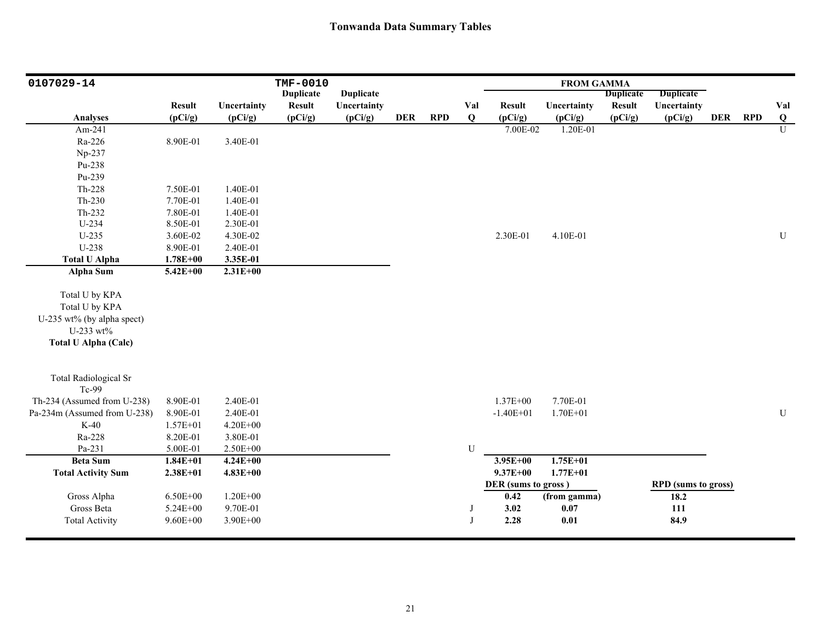| 0107029-14                   |               |              | <b>TMF-0010</b>  |                  |            |            |          |                     | <b>FROM GAMMA</b> |                  |                            |         |                |
|------------------------------|---------------|--------------|------------------|------------------|------------|------------|----------|---------------------|-------------------|------------------|----------------------------|---------|----------------|
|                              |               |              | <b>Duplicate</b> | <b>Duplicate</b> |            |            |          |                     |                   | <b>Duplicate</b> | <b>Duplicate</b>           |         |                |
|                              | <b>Result</b> | Uncertainty  | <b>Result</b>    | Uncertainty      |            |            | Val      | <b>Result</b>       | Uncertainty       | <b>Result</b>    | Uncertainty                |         | Val            |
| <b>Analyses</b>              | (pCi/g)       | (pCi/g)      | (pCi/g)          | (pCi/g)          | <b>DER</b> | <b>RPD</b> | Q        | (pCi/g)             | (pCi/g)           | (pCi/g)          | (pCi/g)                    | DER RPD | Q              |
| Am-241                       |               |              |                  |                  |            |            |          | 7.00E-02            | 1.20E-01          |                  |                            |         | $\overline{U}$ |
| Ra-226                       | 8.90E-01      | 3.40E-01     |                  |                  |            |            |          |                     |                   |                  |                            |         |                |
| Np-237                       |               |              |                  |                  |            |            |          |                     |                   |                  |                            |         |                |
| Pu-238                       |               |              |                  |                  |            |            |          |                     |                   |                  |                            |         |                |
| Pu-239                       |               |              |                  |                  |            |            |          |                     |                   |                  |                            |         |                |
| Th-228                       | 7.50E-01      | 1.40E-01     |                  |                  |            |            |          |                     |                   |                  |                            |         |                |
| $Th-230$                     | 7.70E-01      | 1.40E-01     |                  |                  |            |            |          |                     |                   |                  |                            |         |                |
| Th-232                       | 7.80E-01      | 1.40E-01     |                  |                  |            |            |          |                     |                   |                  |                            |         |                |
| U-234                        | 8.50E-01      | 2.30E-01     |                  |                  |            |            |          |                     |                   |                  |                            |         |                |
| $U-235$                      | 3.60E-02      | 4.30E-02     |                  |                  |            |            |          | 2.30E-01            | 4.10E-01          |                  |                            |         | ${\bf U}$      |
| U-238                        | 8.90E-01      | 2.40E-01     |                  |                  |            |            |          |                     |                   |                  |                            |         |                |
| <b>Total U Alpha</b>         | $1.78E + 00$  | 3.35E-01     |                  |                  |            |            |          |                     |                   |                  |                            |         |                |
| Alpha Sum                    | $5.42E + 00$  | $2.31E + 00$ |                  |                  |            |            |          |                     |                   |                  |                            |         |                |
|                              |               |              |                  |                  |            |            |          |                     |                   |                  |                            |         |                |
| Total U by KPA               |               |              |                  |                  |            |            |          |                     |                   |                  |                            |         |                |
| Total U by KPA               |               |              |                  |                  |            |            |          |                     |                   |                  |                            |         |                |
| U-235 wt% (by alpha spect)   |               |              |                  |                  |            |            |          |                     |                   |                  |                            |         |                |
| U-233 wt%                    |               |              |                  |                  |            |            |          |                     |                   |                  |                            |         |                |
| <b>Total U Alpha (Calc)</b>  |               |              |                  |                  |            |            |          |                     |                   |                  |                            |         |                |
|                              |               |              |                  |                  |            |            |          |                     |                   |                  |                            |         |                |
| <b>Total Radiological Sr</b> |               |              |                  |                  |            |            |          |                     |                   |                  |                            |         |                |
| Tc-99                        |               |              |                  |                  |            |            |          |                     |                   |                  |                            |         |                |
| Th-234 (Assumed from U-238)  | 8.90E-01      | 2.40E-01     |                  |                  |            |            |          | 1.37E+00            | 7.70E-01          |                  |                            |         |                |
| Pa-234m (Assumed from U-238) | 8.90E-01      | 2.40E-01     |                  |                  |            |            |          | $-1.40E + 01$       | $1.70E + 01$      |                  |                            |         | ${\bf U}$      |
| $K-40$                       | $1.57E + 01$  | 4.20E+00     |                  |                  |            |            |          |                     |                   |                  |                            |         |                |
| Ra-228                       | 8.20E-01      | 3.80E-01     |                  |                  |            |            |          |                     |                   |                  |                            |         |                |
| Pa-231                       | 5.00E-01      | $2.50E + 00$ |                  |                  |            |            | U        |                     |                   |                  |                            |         |                |
| <b>Beta Sum</b>              | $1.84E + 01$  | $4.24E + 00$ |                  |                  |            |            |          | $3.95E + 00$        | $1.75E + 01$      |                  |                            |         |                |
| <b>Total Activity Sum</b>    | $2.38E + 01$  | $4.83E + 00$ |                  |                  |            |            |          | $9.37E + 00$        | $1.77E + 01$      |                  |                            |         |                |
|                              |               |              |                  |                  |            |            |          | DER (sums to gross) |                   |                  | <b>RPD</b> (sums to gross) |         |                |
| Gross Alpha                  | $6.50E + 00$  | $1.20E + 00$ |                  |                  |            |            |          | 0.42                | (from gamma)      |                  | 18.2                       |         |                |
| Gross Beta                   | 5.24E+00      | 9.70E-01     |                  |                  |            |            |          | 3.02                | $0.07\,$          |                  | 111                        |         |                |
| <b>Total Activity</b>        | $9.60E + 00$  | 3.90E+00     |                  |                  |            |            | $\bf{J}$ | 2.28                | $0.01\,$          |                  | 84.9                       |         |                |
|                              |               |              |                  |                  |            |            |          |                     |                   |                  |                            |         |                |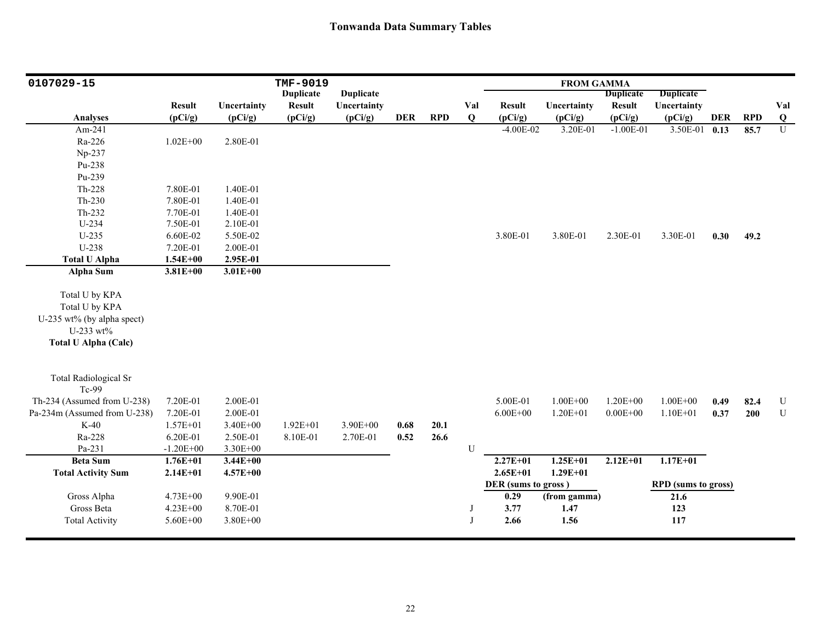| 0107029-15                   |               |              | TMF-9019         |                  |            |            |             |                     | <b>FROM GAMMA</b> |                  |                            |            |            |                |
|------------------------------|---------------|--------------|------------------|------------------|------------|------------|-------------|---------------------|-------------------|------------------|----------------------------|------------|------------|----------------|
|                              |               |              | <b>Duplicate</b> | <b>Duplicate</b> |            |            |             |                     |                   | <b>Duplicate</b> | <b>Duplicate</b>           |            |            |                |
|                              | <b>Result</b> | Uncertainty  | <b>Result</b>    | Uncertainty      |            |            | Val         | <b>Result</b>       | Uncertainty       | <b>Result</b>    | Uncertainty                |            |            | Val            |
| <b>Analyses</b>              | (pCi/g)       | (pCi/g)      | (pCi/g)          | (pCi/g)          | <b>DER</b> | <b>RPD</b> | Q           | (pCi/g)             | (pCi/g)           | (pCi/g)          | (pCi/g)                    | <b>DER</b> | <b>RPD</b> | $\bf{Q}$       |
| Am-241                       |               |              |                  |                  |            |            |             | $-4.00E-02$         | 3.20E-01          | $-1.00E-01$      | $3.50E-01$                 | 0.13       | 85.7       | $\overline{U}$ |
| Ra-226                       | $1.02E + 00$  | 2.80E-01     |                  |                  |            |            |             |                     |                   |                  |                            |            |            |                |
| Np-237                       |               |              |                  |                  |            |            |             |                     |                   |                  |                            |            |            |                |
| Pu-238                       |               |              |                  |                  |            |            |             |                     |                   |                  |                            |            |            |                |
| Pu-239                       |               |              |                  |                  |            |            |             |                     |                   |                  |                            |            |            |                |
| Th-228                       | 7.80E-01      | 1.40E-01     |                  |                  |            |            |             |                     |                   |                  |                            |            |            |                |
| $Th-230$                     | 7.80E-01      | 1.40E-01     |                  |                  |            |            |             |                     |                   |                  |                            |            |            |                |
| $Th-232$                     | 7.70E-01      | 1.40E-01     |                  |                  |            |            |             |                     |                   |                  |                            |            |            |                |
| U-234                        | 7.50E-01      | 2.10E-01     |                  |                  |            |            |             |                     |                   |                  |                            |            |            |                |
| $U-235$                      | 6.60E-02      | 5.50E-02     |                  |                  |            |            |             | 3.80E-01            | 3.80E-01          | 2.30E-01         | 3.30E-01                   | 0.30       | 49.2       |                |
| U-238                        | 7.20E-01      | 2.00E-01     |                  |                  |            |            |             |                     |                   |                  |                            |            |            |                |
| <b>Total U Alpha</b>         | $1.54E + 00$  | 2.95E-01     |                  |                  |            |            |             |                     |                   |                  |                            |            |            |                |
| <b>Alpha Sum</b>             | $3.81E + 00$  | $3.01E + 00$ |                  |                  |            |            |             |                     |                   |                  |                            |            |            |                |
| Total U by KPA               |               |              |                  |                  |            |            |             |                     |                   |                  |                            |            |            |                |
| Total U by KPA               |               |              |                  |                  |            |            |             |                     |                   |                  |                            |            |            |                |
| U-235 wt% (by alpha spect)   |               |              |                  |                  |            |            |             |                     |                   |                  |                            |            |            |                |
| U-233 wt%                    |               |              |                  |                  |            |            |             |                     |                   |                  |                            |            |            |                |
| <b>Total U Alpha (Calc)</b>  |               |              |                  |                  |            |            |             |                     |                   |                  |                            |            |            |                |
|                              |               |              |                  |                  |            |            |             |                     |                   |                  |                            |            |            |                |
| <b>Total Radiological Sr</b> |               |              |                  |                  |            |            |             |                     |                   |                  |                            |            |            |                |
| Tc-99                        |               |              |                  |                  |            |            |             |                     |                   |                  |                            |            |            |                |
| Th-234 (Assumed from U-238)  | 7.20E-01      | 2.00E-01     |                  |                  |            |            |             | 5.00E-01            | $1.00E + 00$      | $1.20E + 00$     | $1.00E + 00$               | 0.49       | 82.4       | ${\bf U}$      |
| Pa-234m (Assumed from U-238) | 7.20E-01      | 2.00E-01     |                  |                  |            |            |             | $6.00E + 00$        | $1.20E + 01$      | $0.00E + 00$     | $1.10E + 01$               | 0.37       | 200        | ${\bf U}$      |
| $K-40$                       | $1.57E + 01$  | 3.40E+00     | $1.92E + 01$     | 3.90E+00         | 0.68       | 20.1       |             |                     |                   |                  |                            |            |            |                |
| Ra-228                       | 6.20E-01      | 2.50E-01     | 8.10E-01         | 2.70E-01         | 0.52       | 26.6       |             |                     |                   |                  |                            |            |            |                |
| Pa-231                       | $-1.20E + 00$ | 3.30E+00     |                  |                  |            |            | U           |                     |                   |                  |                            |            |            |                |
| <b>Beta Sum</b>              | $1.76E + 01$  | $3.44E + 00$ |                  |                  |            |            |             | $2.27E + 01$        | $1.25E+01$        | $2.12E+01$       | $1.17E + 01$               |            |            |                |
| <b>Total Activity Sum</b>    | $2.14E + 01$  | $4.57E + 00$ |                  |                  |            |            |             | $2.65E + 01$        | $1.29E + 01$      |                  |                            |            |            |                |
|                              |               |              |                  |                  |            |            |             | DER (sums to gross) |                   |                  | <b>RPD</b> (sums to gross) |            |            |                |
| Gross Alpha                  | 4.73E+00      | 9.90E-01     |                  |                  |            |            |             | 0.29                | (from gamma)      |                  | 21.6                       |            |            |                |
| Gross Beta                   | $4.23E + 00$  | 8.70E-01     |                  |                  |            |            | J           | 3.77                | 1.47              |                  | 123                        |            |            |                |
| <b>Total Activity</b>        | 5.60E+00      | $3.80E + 00$ |                  |                  |            |            | $\mathbf I$ | 2.66                | 1.56              |                  | 117                        |            |            |                |
|                              |               |              |                  |                  |            |            |             |                     |                   |                  |                            |            |            |                |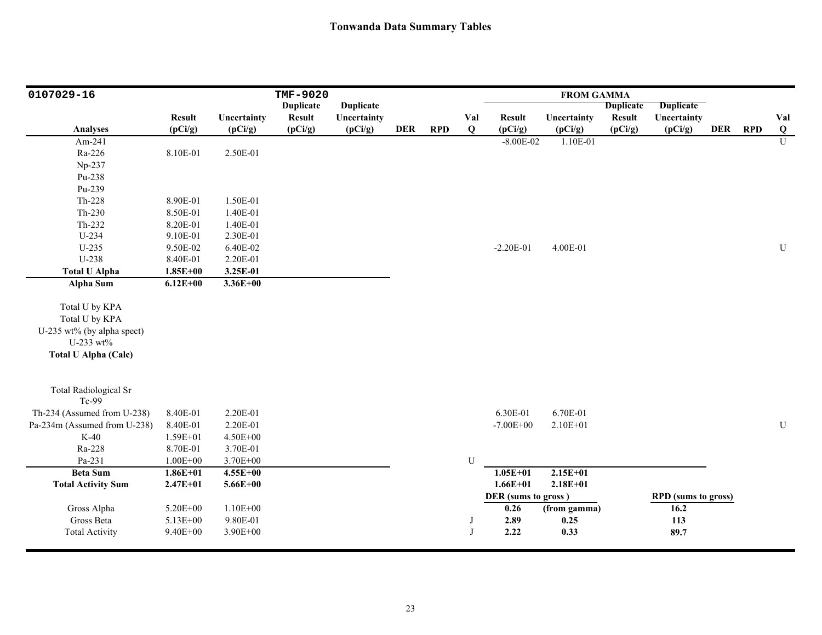| 0107029-16                                                                                                 |               |              | TMF-9020         |                  |            |            |             |                     | <b>FROM GAMMA</b> |                  |                            |            |            |                |
|------------------------------------------------------------------------------------------------------------|---------------|--------------|------------------|------------------|------------|------------|-------------|---------------------|-------------------|------------------|----------------------------|------------|------------|----------------|
|                                                                                                            |               |              | <b>Duplicate</b> | <b>Duplicate</b> |            |            |             |                     |                   | <b>Duplicate</b> | <b>Duplicate</b>           |            |            |                |
|                                                                                                            | <b>Result</b> | Uncertainty  | <b>Result</b>    | Uncertainty      |            |            | Val         | <b>Result</b>       | Uncertainty       | <b>Result</b>    | Uncertainty                |            |            | Val            |
| <b>Analyses</b>                                                                                            | (pCi/g)       | (pCi/g)      | (pCi/g)          | (pCi/g)          | <b>DER</b> | <b>RPD</b> | $\mathbf Q$ | (pCi/g)             | (pCi/g)           | (pCi/g)          | (pCi/g)                    | <b>DER</b> | <b>RPD</b> | Q              |
| Am-241                                                                                                     |               |              |                  |                  |            |            |             | $-8.00E - 02$       | 1.10E-01          |                  |                            |            |            | $\overline{U}$ |
| Ra-226                                                                                                     | 8.10E-01      | 2.50E-01     |                  |                  |            |            |             |                     |                   |                  |                            |            |            |                |
| Np-237                                                                                                     |               |              |                  |                  |            |            |             |                     |                   |                  |                            |            |            |                |
| Pu-238                                                                                                     |               |              |                  |                  |            |            |             |                     |                   |                  |                            |            |            |                |
| Pu-239                                                                                                     |               |              |                  |                  |            |            |             |                     |                   |                  |                            |            |            |                |
| Th-228                                                                                                     | 8.90E-01      | 1.50E-01     |                  |                  |            |            |             |                     |                   |                  |                            |            |            |                |
| $Th-230$                                                                                                   | 8.50E-01      | 1.40E-01     |                  |                  |            |            |             |                     |                   |                  |                            |            |            |                |
| Th-232                                                                                                     | 8.20E-01      | 1.40E-01     |                  |                  |            |            |             |                     |                   |                  |                            |            |            |                |
| $U-234$                                                                                                    | 9.10E-01      | 2.30E-01     |                  |                  |            |            |             |                     |                   |                  |                            |            |            |                |
| $U-235$                                                                                                    | 9.50E-02      | 6.40E-02     |                  |                  |            |            |             | $-2.20E-01$         | 4.00E-01          |                  |                            |            |            | U              |
| U-238                                                                                                      | 8.40E-01      | 2.20E-01     |                  |                  |            |            |             |                     |                   |                  |                            |            |            |                |
| <b>Total U Alpha</b>                                                                                       | $1.85E + 00$  | 3.25E-01     |                  |                  |            |            |             |                     |                   |                  |                            |            |            |                |
| <b>Alpha Sum</b>                                                                                           | $6.12E + 00$  | $3.36E + 00$ |                  |                  |            |            |             |                     |                   |                  |                            |            |            |                |
| Total U by KPA<br>Total U by KPA<br>U-235 wt% (by alpha spect)<br>U-233 wt%<br><b>Total U Alpha (Calc)</b> |               |              |                  |                  |            |            |             |                     |                   |                  |                            |            |            |                |
| <b>Total Radiological Sr</b><br>Tc-99                                                                      |               |              |                  |                  |            |            |             |                     |                   |                  |                            |            |            |                |
| Th-234 (Assumed from U-238)                                                                                | 8.40E-01      | 2.20E-01     |                  |                  |            |            |             | 6.30E-01            | 6.70E-01          |                  |                            |            |            |                |
| Pa-234m (Assumed from U-238)                                                                               | 8.40E-01      | 2.20E-01     |                  |                  |            |            |             | $-7.00E + 00$       | 2.10E+01          |                  |                            |            |            | ${\bf U}$      |
| $K-40$                                                                                                     | 1.59E+01      | 4.50E+00     |                  |                  |            |            |             |                     |                   |                  |                            |            |            |                |
| Ra-228                                                                                                     | 8.70E-01      | 3.70E-01     |                  |                  |            |            |             |                     |                   |                  |                            |            |            |                |
| Pa-231                                                                                                     | $1.00E + 00$  | 3.70E+00     |                  |                  |            |            | U           |                     |                   |                  |                            |            |            |                |
| <b>Beta Sum</b>                                                                                            | $1.86E + 01$  | $4.55E+00$   |                  |                  |            |            |             | $1.05E + 01$        | $2.15E+01$        |                  |                            |            |            |                |
| <b>Total Activity Sum</b>                                                                                  | $2.47E + 01$  | $5.66E + 00$ |                  |                  |            |            |             | $1.66E + 01$        | $2.18E + 01$      |                  |                            |            |            |                |
|                                                                                                            |               |              |                  |                  |            |            |             | DER (sums to gross) |                   |                  | <b>RPD</b> (sums to gross) |            |            |                |
| Gross Alpha                                                                                                | 5.20E+00      | $1.10E + 00$ |                  |                  |            |            |             | 0.26                | (from gamma)      |                  | 16.2                       |            |            |                |
| Gross Beta                                                                                                 | 5.13E+00      | 9.80E-01     |                  |                  |            |            | J           | 2.89                | 0.25              |                  | 113                        |            |            |                |
| <b>Total Activity</b>                                                                                      | 9.40E+00      | 3.90E+00     |                  |                  |            |            | J           | 2.22                | 0.33              |                  | 89.7                       |            |            |                |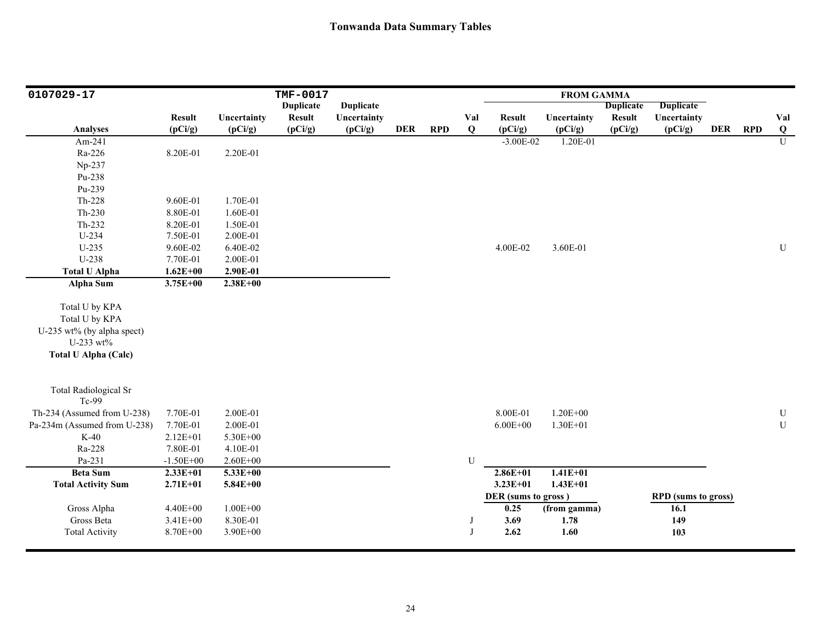| 0107029-17                   |               |              | TMF-0017         |                  |            |            |     |                     | <b>FROM GAMMA</b> |                  |                            |            |            |                |
|------------------------------|---------------|--------------|------------------|------------------|------------|------------|-----|---------------------|-------------------|------------------|----------------------------|------------|------------|----------------|
|                              |               |              | <b>Duplicate</b> | <b>Duplicate</b> |            |            |     |                     |                   | <b>Duplicate</b> | <b>Duplicate</b>           |            |            |                |
|                              | <b>Result</b> | Uncertainty  | <b>Result</b>    | Uncertainty      |            |            | Val | <b>Result</b>       | Uncertainty       | <b>Result</b>    | Uncertainty                |            |            | Val            |
| <b>Analyses</b>              | (pCi/g)       | (pCi/g)      | (pCi/g)          | (pCi/g)          | <b>DER</b> | <b>RPD</b> | Q   | (pCi/g)             | (pCi/g)           | (pCi/g)          | (pCi/g)                    | <b>DER</b> | <b>RPD</b> | $\overline{Q}$ |
| Am-241                       |               |              |                  |                  |            |            |     | $-3.00E-02$         | 1.20E-01          |                  |                            |            |            | $\overline{U}$ |
| Ra-226                       | 8.20E-01      | 2.20E-01     |                  |                  |            |            |     |                     |                   |                  |                            |            |            |                |
| Np-237                       |               |              |                  |                  |            |            |     |                     |                   |                  |                            |            |            |                |
| Pu-238                       |               |              |                  |                  |            |            |     |                     |                   |                  |                            |            |            |                |
| Pu-239                       |               |              |                  |                  |            |            |     |                     |                   |                  |                            |            |            |                |
| Th-228                       | 9.60E-01      | 1.70E-01     |                  |                  |            |            |     |                     |                   |                  |                            |            |            |                |
| $Th-230$                     | 8.80E-01      | 1.60E-01     |                  |                  |            |            |     |                     |                   |                  |                            |            |            |                |
| Th-232                       | 8.20E-01      | 1.50E-01     |                  |                  |            |            |     |                     |                   |                  |                            |            |            |                |
| U-234                        | 7.50E-01      | 2.00E-01     |                  |                  |            |            |     |                     |                   |                  |                            |            |            |                |
| $U-235$                      | 9.60E-02      | 6.40E-02     |                  |                  |            |            |     | 4.00E-02            | 3.60E-01          |                  |                            |            |            | ${\bf U}$      |
| U-238                        | 7.70E-01      | 2.00E-01     |                  |                  |            |            |     |                     |                   |                  |                            |            |            |                |
| <b>Total U Alpha</b>         | $1.62E + 00$  | 2.90E-01     |                  |                  |            |            |     |                     |                   |                  |                            |            |            |                |
| <b>Alpha Sum</b>             | $3.75E + 00$  | $2.38E + 00$ |                  |                  |            |            |     |                     |                   |                  |                            |            |            |                |
|                              |               |              |                  |                  |            |            |     |                     |                   |                  |                            |            |            |                |
| Total U by KPA               |               |              |                  |                  |            |            |     |                     |                   |                  |                            |            |            |                |
| Total U by KPA               |               |              |                  |                  |            |            |     |                     |                   |                  |                            |            |            |                |
| U-235 wt% (by alpha spect)   |               |              |                  |                  |            |            |     |                     |                   |                  |                            |            |            |                |
| U-233 wt%                    |               |              |                  |                  |            |            |     |                     |                   |                  |                            |            |            |                |
| <b>Total U Alpha (Calc)</b>  |               |              |                  |                  |            |            |     |                     |                   |                  |                            |            |            |                |
| <b>Total Radiological Sr</b> |               |              |                  |                  |            |            |     |                     |                   |                  |                            |            |            |                |
| Tc-99                        |               |              |                  |                  |            |            |     |                     |                   |                  |                            |            |            |                |
| Th-234 (Assumed from U-238)  | 7.70E-01      | 2.00E-01     |                  |                  |            |            |     | 8.00E-01            | $1.20E + 00$      |                  |                            |            |            | $\mathbf U$    |
| Pa-234m (Assumed from U-238) | 7.70E-01      | 2.00E-01     |                  |                  |            |            |     | $6.00E + 00$        | $1.30E + 01$      |                  |                            |            |            | ${\bf U}$      |
| $K-40$                       | $2.12E + 01$  | 5.30E+00     |                  |                  |            |            |     |                     |                   |                  |                            |            |            |                |
| Ra-228                       | 7.80E-01      | 4.10E-01     |                  |                  |            |            |     |                     |                   |                  |                            |            |            |                |
| Pa-231                       | $-1.50E + 00$ | $2.60E + 00$ |                  |                  |            |            | U   |                     |                   |                  |                            |            |            |                |
| <b>Beta Sum</b>              | $2.33E+01$    | $5.33E + 00$ |                  |                  |            |            |     | $2.86E + 01$        | $1.41E + 01$      |                  |                            |            |            |                |
| <b>Total Activity Sum</b>    | $2.71E + 01$  | $5.84E + 00$ |                  |                  |            |            |     | $3.23E + 01$        | $1.43E + 01$      |                  |                            |            |            |                |
|                              |               |              |                  |                  |            |            |     | DER (sums to gross) |                   |                  | <b>RPD</b> (sums to gross) |            |            |                |
| Gross Alpha                  | $4.40E + 00$  | $1.00E + 00$ |                  |                  |            |            |     | 0.25                | (from gamma)      |                  | 16.1                       |            |            |                |
| Gross Beta                   | $3.41E + 00$  | 8.30E-01     |                  |                  |            |            | J   | 3.69                | 1.78              |                  | 149                        |            |            |                |
| <b>Total Activity</b>        | 8.70E+00      | 3.90E+00     |                  |                  |            |            | J   | 2.62                | 1.60              |                  | 103                        |            |            |                |
|                              |               |              |                  |                  |            |            |     |                     |                   |                  |                            |            |            |                |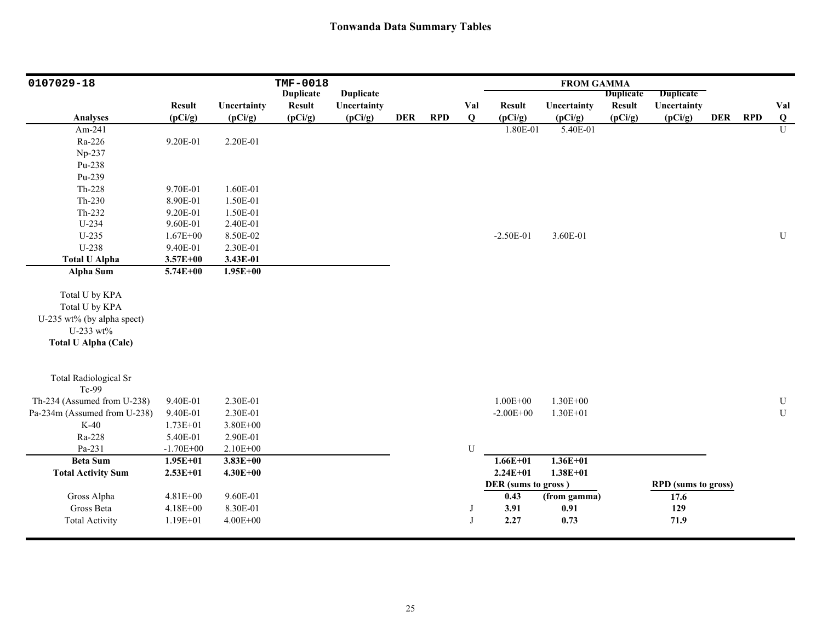| 0107029-18                                                                  |               |              | TMF-0018         |                  |            |            |          |                     | <b>FROM GAMMA</b> |                  |                            |         |                         |
|-----------------------------------------------------------------------------|---------------|--------------|------------------|------------------|------------|------------|----------|---------------------|-------------------|------------------|----------------------------|---------|-------------------------|
|                                                                             |               |              | <b>Duplicate</b> | <b>Duplicate</b> |            |            |          |                     |                   | <b>Duplicate</b> | <b>Duplicate</b>           |         |                         |
|                                                                             | <b>Result</b> | Uncertainty  | <b>Result</b>    | Uncertainty      |            |            | Val      | <b>Result</b>       | Uncertainty       | <b>Result</b>    | Uncertainty                |         | Val                     |
| <b>Analyses</b>                                                             | (pCi/g)       | (pCi/g)      | (pCi/g)          | (pCi/g)          | <b>DER</b> | <b>RPD</b> | Q        | (pCi/g)             | (pCi/g)           | (pCi/g)          | (pCi/g)                    | DER RPD | $\overline{\mathbf{Q}}$ |
| Am-241                                                                      |               |              |                  |                  |            |            |          | 1.80E-01            | 5.40E-01          |                  |                            |         | $\overline{U}$          |
| Ra-226                                                                      | 9.20E-01      | 2.20E-01     |                  |                  |            |            |          |                     |                   |                  |                            |         |                         |
| Np-237                                                                      |               |              |                  |                  |            |            |          |                     |                   |                  |                            |         |                         |
| Pu-238                                                                      |               |              |                  |                  |            |            |          |                     |                   |                  |                            |         |                         |
| Pu-239                                                                      |               |              |                  |                  |            |            |          |                     |                   |                  |                            |         |                         |
| Th-228                                                                      | 9.70E-01      | 1.60E-01     |                  |                  |            |            |          |                     |                   |                  |                            |         |                         |
| $Th-230$                                                                    | 8.90E-01      | 1.50E-01     |                  |                  |            |            |          |                     |                   |                  |                            |         |                         |
| Th-232                                                                      | 9.20E-01      | 1.50E-01     |                  |                  |            |            |          |                     |                   |                  |                            |         |                         |
| U-234                                                                       | 9.60E-01      | 2.40E-01     |                  |                  |            |            |          |                     |                   |                  |                            |         |                         |
| $U-235$                                                                     | $1.67E + 00$  | 8.50E-02     |                  |                  |            |            |          | $-2.50E-01$         | 3.60E-01          |                  |                            |         | ${\bf U}$               |
| U-238                                                                       | 9.40E-01      | 2.30E-01     |                  |                  |            |            |          |                     |                   |                  |                            |         |                         |
| <b>Total U Alpha</b>                                                        | $3.57E + 00$  | 3.43E-01     |                  |                  |            |            |          |                     |                   |                  |                            |         |                         |
| Alpha Sum                                                                   | $5.74E + 00$  | $1.95E + 00$ |                  |                  |            |            |          |                     |                   |                  |                            |         |                         |
| Total U by KPA<br>Total U by KPA<br>U-235 wt% (by alpha spect)<br>U-233 wt% |               |              |                  |                  |            |            |          |                     |                   |                  |                            |         |                         |
| <b>Total U Alpha (Calc)</b>                                                 |               |              |                  |                  |            |            |          |                     |                   |                  |                            |         |                         |
| <b>Total Radiological Sr</b><br>Tc-99                                       |               |              |                  |                  |            |            |          |                     |                   |                  |                            |         |                         |
| Th-234 (Assumed from U-238)                                                 | 9.40E-01      | 2.30E-01     |                  |                  |            |            |          | $1.00E + 00$        | $1.30E + 00$      |                  |                            |         | ${\bf U}$               |
| Pa-234m (Assumed from U-238)                                                | 9.40E-01      | 2.30E-01     |                  |                  |            |            |          | $-2.00E + 00$       | $1.30E + 01$      |                  |                            |         | ${\bf U}$               |
| $K-40$                                                                      | $1.73E + 01$  | 3.80E+00     |                  |                  |            |            |          |                     |                   |                  |                            |         |                         |
| Ra-228                                                                      | 5.40E-01      | 2.90E-01     |                  |                  |            |            |          |                     |                   |                  |                            |         |                         |
| Pa-231                                                                      | $-1.70E + 00$ | $2.10E + 00$ |                  |                  |            |            | U        |                     |                   |                  |                            |         |                         |
| <b>Beta Sum</b>                                                             | $1.95E + 01$  | $3.83E + 00$ |                  |                  |            |            |          | $1.66E + 01$        | $1.36E + 01$      |                  |                            |         |                         |
| <b>Total Activity Sum</b>                                                   | $2.53E+01$    | $4.30E + 00$ |                  |                  |            |            |          | $2.24E + 01$        | $1.38E + 01$      |                  |                            |         |                         |
|                                                                             |               |              |                  |                  |            |            |          | DER (sums to gross) |                   |                  | <b>RPD</b> (sums to gross) |         |                         |
| Gross Alpha                                                                 | 4.81E+00      | 9.60E-01     |                  |                  |            |            |          | 0.43                | (from gamma)      |                  | 17.6                       |         |                         |
| Gross Beta                                                                  | $4.18E + 00$  | 8.30E-01     |                  |                  |            |            |          | 3.91                | 0.91              |                  | 129                        |         |                         |
| <b>Total Activity</b>                                                       | $1.19E + 01$  | $4.00E + 00$ |                  |                  |            |            | $\bf{J}$ | 2.27                | 0.73              |                  | 71.9                       |         |                         |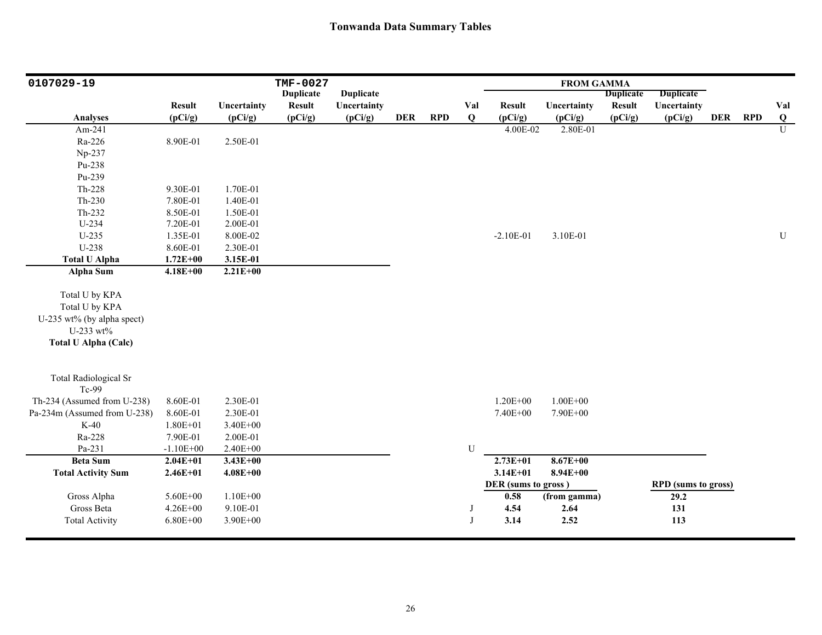| 0107029-19                                                                                                 |               |              | <b>TMF-0027</b>  |                  |            |            |     |                     | <b>FROM GAMMA</b>   |                  |                            |            |            |                     |
|------------------------------------------------------------------------------------------------------------|---------------|--------------|------------------|------------------|------------|------------|-----|---------------------|---------------------|------------------|----------------------------|------------|------------|---------------------|
|                                                                                                            |               |              | <b>Duplicate</b> | <b>Duplicate</b> |            |            |     |                     |                     | <b>Duplicate</b> | <b>Duplicate</b>           |            |            |                     |
|                                                                                                            | <b>Result</b> | Uncertainty  | <b>Result</b>    | Uncertainty      | <b>DER</b> |            | Val | <b>Result</b>       | Uncertainty         | <b>Result</b>    | Uncertainty                | <b>DER</b> |            | Val                 |
| <b>Analyses</b>                                                                                            | (pCi/g)       | (pCi/g)      | (pCi/g)          | (pCi/g)          |            | <b>RPD</b> | Q   | (pCi/g)<br>4.00E-02 | (pCi/g)<br>2.80E-01 | (pCi/g)          | (pCi/g)                    |            | <b>RPD</b> | Q<br>$\overline{U}$ |
| Am-241                                                                                                     |               |              |                  |                  |            |            |     |                     |                     |                  |                            |            |            |                     |
| Ra-226                                                                                                     | 8.90E-01      | 2.50E-01     |                  |                  |            |            |     |                     |                     |                  |                            |            |            |                     |
| Np-237                                                                                                     |               |              |                  |                  |            |            |     |                     |                     |                  |                            |            |            |                     |
| Pu-238                                                                                                     |               |              |                  |                  |            |            |     |                     |                     |                  |                            |            |            |                     |
| Pu-239                                                                                                     |               |              |                  |                  |            |            |     |                     |                     |                  |                            |            |            |                     |
| Th-228                                                                                                     | 9.30E-01      | 1.70E-01     |                  |                  |            |            |     |                     |                     |                  |                            |            |            |                     |
| Th-230                                                                                                     | 7.80E-01      | 1.40E-01     |                  |                  |            |            |     |                     |                     |                  |                            |            |            |                     |
| Th-232                                                                                                     | 8.50E-01      | 1.50E-01     |                  |                  |            |            |     |                     |                     |                  |                            |            |            |                     |
| $U-234$                                                                                                    | 7.20E-01      | 2.00E-01     |                  |                  |            |            |     |                     |                     |                  |                            |            |            |                     |
| $U-235$                                                                                                    | 1.35E-01      | 8.00E-02     |                  |                  |            |            |     | $-2.10E-01$         | 3.10E-01            |                  |                            |            |            | ${\bf U}$           |
| U-238                                                                                                      | 8.60E-01      | 2.30E-01     |                  |                  |            |            |     |                     |                     |                  |                            |            |            |                     |
| <b>Total U Alpha</b>                                                                                       | $1.72E + 00$  | 3.15E-01     |                  |                  |            |            |     |                     |                     |                  |                            |            |            |                     |
| <b>Alpha Sum</b>                                                                                           | $4.18E + 00$  | $2.21E+00$   |                  |                  |            |            |     |                     |                     |                  |                            |            |            |                     |
| Total U by KPA<br>Total U by KPA<br>U-235 wt% (by alpha spect)<br>U-233 wt%<br><b>Total U Alpha (Calc)</b> |               |              |                  |                  |            |            |     |                     |                     |                  |                            |            |            |                     |
| <b>Total Radiological Sr</b><br>Tc-99                                                                      |               |              |                  |                  |            |            |     |                     |                     |                  |                            |            |            |                     |
| Th-234 (Assumed from U-238)                                                                                | 8.60E-01      | 2.30E-01     |                  |                  |            |            |     | $1.20E + 00$        | $1.00E + 00$        |                  |                            |            |            |                     |
| Pa-234m (Assumed from U-238)                                                                               | 8.60E-01      | 2.30E-01     |                  |                  |            |            |     | 7.40E+00            | 7.90E+00            |                  |                            |            |            |                     |
| $K-40$                                                                                                     | $1.80E + 01$  | 3.40E+00     |                  |                  |            |            |     |                     |                     |                  |                            |            |            |                     |
| Ra-228                                                                                                     | 7.90E-01      | 2.00E-01     |                  |                  |            |            |     |                     |                     |                  |                            |            |            |                     |
| Pa-231                                                                                                     | $-1.10E + 00$ | $2.40E + 00$ |                  |                  |            |            | U   |                     |                     |                  |                            |            |            |                     |
| <b>Beta Sum</b>                                                                                            | $2.04E + 01$  | $3.43E + 00$ |                  |                  |            |            |     | $2.73E+01$          | $8.67E + 00$        |                  |                            |            |            |                     |
| <b>Total Activity Sum</b>                                                                                  | $2.46E + 01$  | $4.08E + 00$ |                  |                  |            |            |     | $3.14E + 01$        | $8.94E + 00$        |                  |                            |            |            |                     |
|                                                                                                            |               |              |                  |                  |            |            |     | DER (sums to gross) |                     |                  | <b>RPD</b> (sums to gross) |            |            |                     |
| Gross Alpha                                                                                                | 5.60E+00      | $1.10E + 00$ |                  |                  |            |            |     | 0.58                | (from gamma)        |                  | 29.2                       |            |            |                     |
| Gross Beta                                                                                                 | $4.26E + 00$  | 9.10E-01     |                  |                  |            |            | J   | 4.54                | 2.64                |                  | 131                        |            |            |                     |
| <b>Total Activity</b>                                                                                      | $6.80E + 00$  | 3.90E+00     |                  |                  |            |            | J   | 3.14                | 2.52                |                  | 113                        |            |            |                     |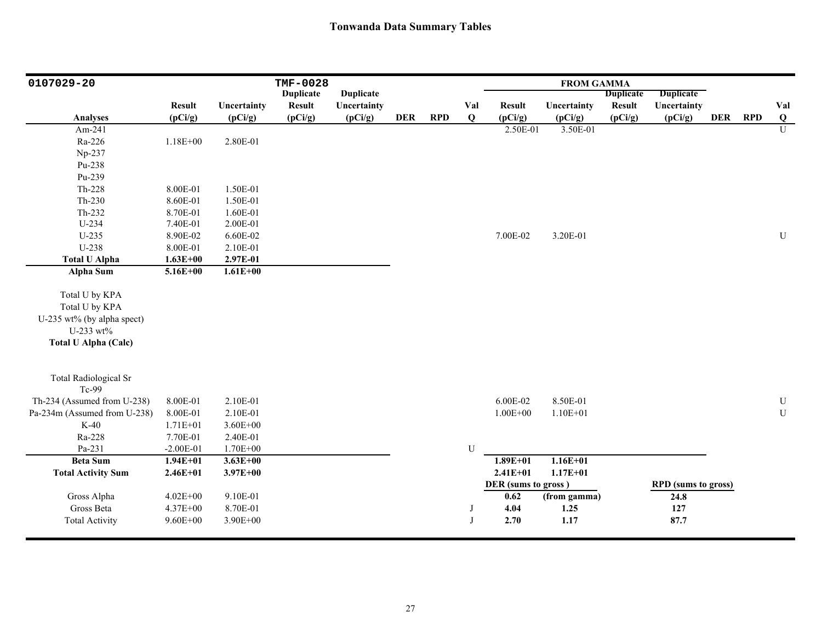| 0107029-20                                                                                                 |               |              | <b>TMF-0028</b>  |                  |            |            |           |                     | <b>FROM GAMMA</b> |                  |                            |         |                         |
|------------------------------------------------------------------------------------------------------------|---------------|--------------|------------------|------------------|------------|------------|-----------|---------------------|-------------------|------------------|----------------------------|---------|-------------------------|
|                                                                                                            |               |              | <b>Duplicate</b> | <b>Duplicate</b> |            |            |           |                     |                   | <b>Duplicate</b> | <b>Duplicate</b>           |         |                         |
|                                                                                                            | <b>Result</b> | Uncertainty  | <b>Result</b>    | Uncertainty      |            |            | Val       | <b>Result</b>       | Uncertainty       | <b>Result</b>    | Uncertainty                |         | Val                     |
| <b>Analyses</b>                                                                                            | (pCi/g)       | (pCi/g)      | (pCi/g)          | (pCi/g)          | <b>DER</b> | <b>RPD</b> | Q         | (pCi/g)             | (pCi/g)           | (pCi/g)          | (pCi/g)                    | DER RPD | $\overline{\mathbf{Q}}$ |
| Am-241                                                                                                     |               |              |                  |                  |            |            |           | 2.50E-01            | 3.50E-01          |                  |                            |         | $\overline{U}$          |
| Ra-226                                                                                                     | $1.18E + 00$  | 2.80E-01     |                  |                  |            |            |           |                     |                   |                  |                            |         |                         |
| Np-237                                                                                                     |               |              |                  |                  |            |            |           |                     |                   |                  |                            |         |                         |
| Pu-238                                                                                                     |               |              |                  |                  |            |            |           |                     |                   |                  |                            |         |                         |
| Pu-239                                                                                                     |               |              |                  |                  |            |            |           |                     |                   |                  |                            |         |                         |
| Th-228                                                                                                     | 8.00E-01      | 1.50E-01     |                  |                  |            |            |           |                     |                   |                  |                            |         |                         |
| $Th-230$                                                                                                   | 8.60E-01      | 1.50E-01     |                  |                  |            |            |           |                     |                   |                  |                            |         |                         |
| Th-232                                                                                                     | 8.70E-01      | 1.60E-01     |                  |                  |            |            |           |                     |                   |                  |                            |         |                         |
| U-234                                                                                                      | 7.40E-01      | 2.00E-01     |                  |                  |            |            |           |                     |                   |                  |                            |         |                         |
| $U-235$                                                                                                    | 8.90E-02      | 6.60E-02     |                  |                  |            |            |           | 7.00E-02            | 3.20E-01          |                  |                            |         | ${\bf U}$               |
| U-238                                                                                                      | 8.00E-01      | 2.10E-01     |                  |                  |            |            |           |                     |                   |                  |                            |         |                         |
| <b>Total U Alpha</b>                                                                                       | $1.63E + 00$  | 2.97E-01     |                  |                  |            |            |           |                     |                   |                  |                            |         |                         |
| Alpha Sum                                                                                                  | $5.16E + 00$  | $1.61E + 00$ |                  |                  |            |            |           |                     |                   |                  |                            |         |                         |
| Total U by KPA<br>Total U by KPA<br>U-235 wt% (by alpha spect)<br>U-233 wt%<br><b>Total U Alpha (Calc)</b> |               |              |                  |                  |            |            |           |                     |                   |                  |                            |         |                         |
| <b>Total Radiological Sr</b><br>Tc-99                                                                      |               |              |                  |                  |            |            |           |                     |                   |                  |                            |         |                         |
| Th-234 (Assumed from U-238)                                                                                | 8.00E-01      | 2.10E-01     |                  |                  |            |            |           | 6.00E-02            | 8.50E-01          |                  |                            |         | ${\bf U}$               |
| Pa-234m (Assumed from U-238)                                                                               | 8.00E-01      | 2.10E-01     |                  |                  |            |            |           | $1.00E + 00$        | $1.10E + 01$      |                  |                            |         | ${\bf U}$               |
| $K-40$                                                                                                     | $1.71E + 01$  | $3.60E + 00$ |                  |                  |            |            |           |                     |                   |                  |                            |         |                         |
| Ra-228                                                                                                     | 7.70E-01      | 2.40E-01     |                  |                  |            |            |           |                     |                   |                  |                            |         |                         |
| Pa-231                                                                                                     | $-2.00E-01$   | $1.70E + 00$ |                  |                  |            |            | ${\bf U}$ |                     |                   |                  |                            |         |                         |
| <b>Beta Sum</b>                                                                                            | $1.94E + 01$  | $3.63E + 00$ |                  |                  |            |            |           | $1.89E + 01$        | $1.16E + 01$      |                  |                            |         |                         |
| <b>Total Activity Sum</b>                                                                                  | $2.46E + 01$  | $3.97E + 00$ |                  |                  |            |            |           | $2.41E + 01$        | $1.17E + 01$      |                  |                            |         |                         |
|                                                                                                            |               |              |                  |                  |            |            |           | DER (sums to gross) |                   |                  | <b>RPD</b> (sums to gross) |         |                         |
| Gross Alpha                                                                                                | $4.02E + 00$  | 9.10E-01     |                  |                  |            |            |           | 0.62                | (from gamma)      |                  | 24.8                       |         |                         |
| Gross Beta                                                                                                 | 4.37E+00      | 8.70E-01     |                  |                  |            |            | J         | 4.04                | 1.25              |                  | 127                        |         |                         |
| <b>Total Activity</b>                                                                                      | $9.60E + 00$  | 3.90E+00     |                  |                  |            |            | J         | 2.70                | 1.17              |                  | 87.7                       |         |                         |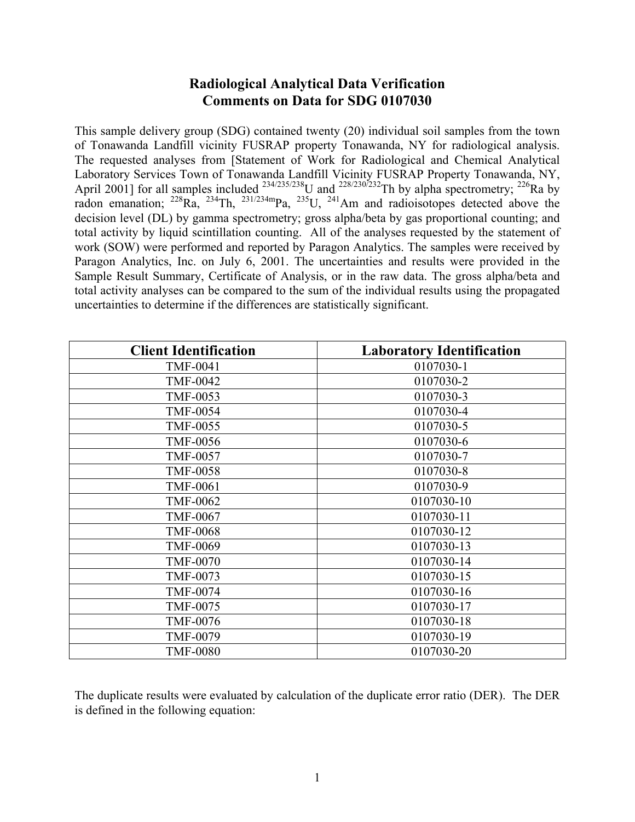# **Radiological Analytical Data Verification Comments on Data for SDG 0107030**

This sample delivery group (SDG) contained twenty (20) individual soil samples from the town of Tonawanda Landfill vicinity FUSRAP property Tonawanda, NY for radiological analysis. The requested analyses from [Statement of Work for Radiological and Chemical Analytical Laboratory Services Town of Tonawanda Landfill Vicinity FUSRAP Property Tonawanda, NY, April 2001] for all samples included  $^{234/235/238}$ U and  $^{228/230/232}$ Th by alpha spectrometry;  $^{226}$ Ra by radon emanation;  $^{228}Ra$ ,  $^{234}Th$ ,  $^{231/234m}Pa$ ,  $^{235}U$ ,  $^{241}Am$  and radioisotopes detected above the decision level (DL) by gamma spectrometry; gross alpha/beta by gas proportional counting; and total activity by liquid scintillation counting. All of the analyses requested by the statement of work (SOW) were performed and reported by Paragon Analytics. The samples were received by Paragon Analytics, Inc. on July 6, 2001. The uncertainties and results were provided in the Sample Result Summary, Certificate of Analysis, or in the raw data. The gross alpha/beta and total activity analyses can be compared to the sum of the individual results using the propagated uncertainties to determine if the differences are statistically significant.

| <b>Client Identification</b> | <b>Laboratory Identification</b> |
|------------------------------|----------------------------------|
| <b>TMF-0041</b>              | 0107030-1                        |
| <b>TMF-0042</b>              | 0107030-2                        |
| TMF-0053                     | 0107030-3                        |
| <b>TMF-0054</b>              | 0107030-4                        |
| <b>TMF-0055</b>              | 0107030-5                        |
| <b>TMF-0056</b>              | 0107030-6                        |
| <b>TMF-0057</b>              | 0107030-7                        |
| <b>TMF-0058</b>              | 0107030-8                        |
| <b>TMF-0061</b>              | 0107030-9                        |
| <b>TMF-0062</b>              | 0107030-10                       |
| <b>TMF-0067</b>              | 0107030-11                       |
| <b>TMF-0068</b>              | 0107030-12                       |
| <b>TMF-0069</b>              | 0107030-13                       |
| <b>TMF-0070</b>              | 0107030-14                       |
| <b>TMF-0073</b>              | 0107030-15                       |
| <b>TMF-0074</b>              | 0107030-16                       |
| <b>TMF-0075</b>              | 0107030-17                       |
| <b>TMF-0076</b>              | 0107030-18                       |
| <b>TMF-0079</b>              | 0107030-19                       |
| <b>TMF-0080</b>              | 0107030-20                       |

The duplicate results were evaluated by calculation of the duplicate error ratio (DER). The DER is defined in the following equation: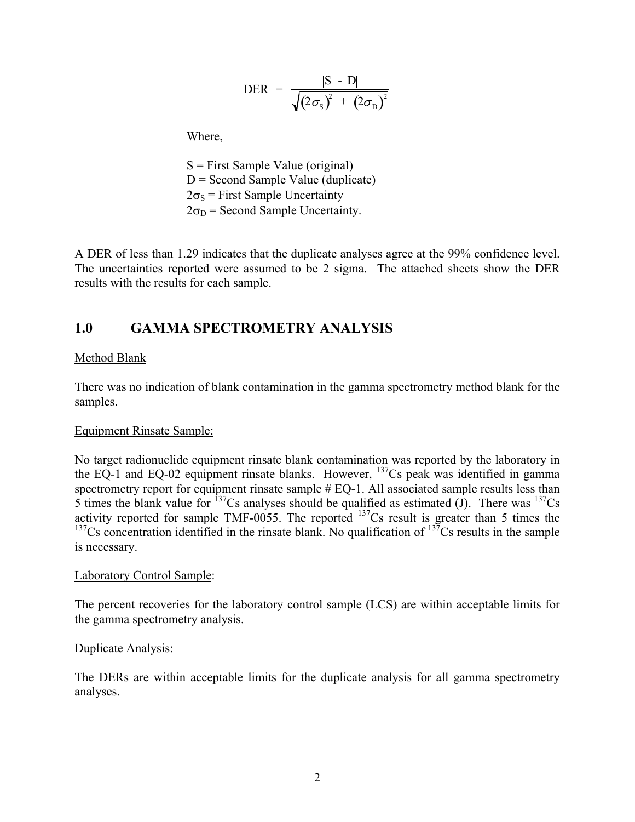$$
\text{DER} = \frac{|\text{S} - \text{D}|}{\sqrt{(2\sigma_{\text{S}})^{2} + (2\sigma_{\text{D}})^{2}}}
$$

Where,

 S = First Sample Value (original)  $D =$  Second Sample Value (duplicate)  $2\sigma_s$  = First Sample Uncertainty  $2\sigma_D$  = Second Sample Uncertainty.

A DER of less than 1.29 indicates that the duplicate analyses agree at the 99% confidence level. The uncertainties reported were assumed to be 2 sigma. The attached sheets show the DER results with the results for each sample.

# **1.0 GAMMA SPECTROMETRY ANALYSIS**

### Method Blank

There was no indication of blank contamination in the gamma spectrometry method blank for the samples.

#### Equipment Rinsate Sample:

No target radionuclide equipment rinsate blank contamination was reported by the laboratory in the EQ-1 and EQ-02 equipment rinsate blanks. However,  $^{137}$ Cs peak was identified in gamma spectrometry report for equipment rinsate sample  $#$  EQ-1. All associated sample results less than 5 times the blank value for  $^{137}Cs$  analyses should be qualified as estimated (J). There was  $^{137}Cs$ activity reported for sample TMF-0055. The reported  $137Cs$  result is greater than 5 times the <sup>137</sup>Cs concentration identified in the rinsate blank. No qualification of  $137$ Cs results in the sample is necessary.

#### Laboratory Control Sample:

The percent recoveries for the laboratory control sample (LCS) are within acceptable limits for the gamma spectrometry analysis.

#### Duplicate Analysis:

The DERs are within acceptable limits for the duplicate analysis for all gamma spectrometry analyses.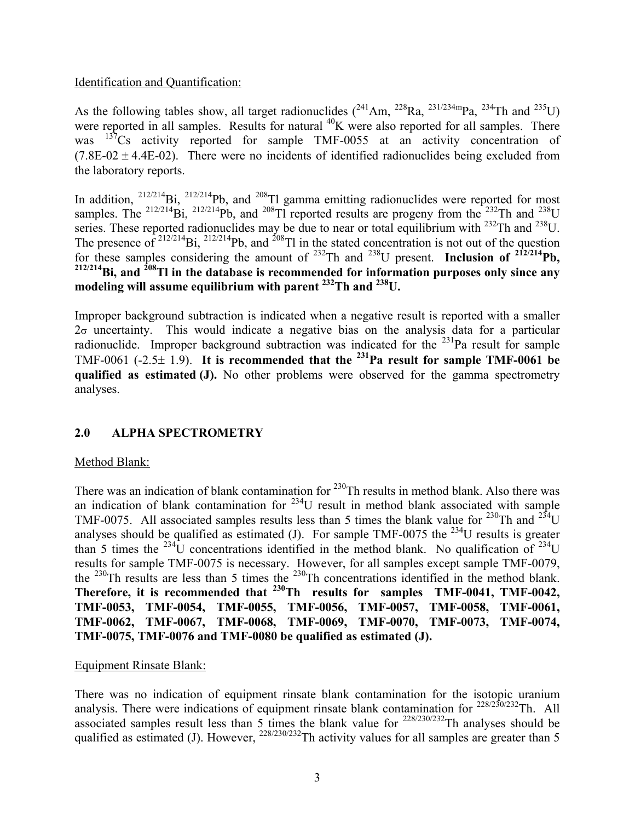## Identification and Quantification:

As the following tables show, all target radionuclides  $(^{241}Am$ ,  $^{228}Ra$ ,  $^{231/234m}Pa$ ,  $^{234}Th$  and  $^{235}U$ ) were reported in all samples. Results for natural  $^{40}$ K were also reported for all samples. There was <sup>137</sup>Cs activity reported for sample TMF-0055 at an activity concentration of  $(7.8E-02 \pm 4.4E-02)$ . There were no incidents of identified radionuclides being excluded from the laboratory reports.

In addition,  $^{212/214}$ Bi,  $^{212/214}$ Pb, and  $^{208}$ Tl gamma emitting radionuclides were reported for most samples. The <sup>212/214</sup>Bi, <sup>212/214</sup>Pb, and <sup>208</sup>Tl reported results are progeny from the <sup>232</sup>Th and <sup>238</sup>U series. These reported radionuclides may be due to near or total equilibrium with <sup>232</sup>Th and <sup>238</sup>U. The presence of  $2^{12/214}$ Bi,  $2^{12/214}$ Pb, and  $2^{08}$ Tl in the stated concentration is not out of the question for these samples considering the amount of 232Th and 238U present. **Inclusion of 212/214Pb, 212/214Bi, and 208Tl in the database is recommended for information purposes only since any modeling will assume equilibrium with parent 232Th and 238U.**

Improper background subtraction is indicated when a negative result is reported with a smaller  $2\sigma$  uncertainty. This would indicate a negative bias on the analysis data for a particular radionuclide. Improper background subtraction was indicated for the  $^{231}$ Pa result for sample TMF-0061 (-2.5± 1.9). **It is recommended that the 231Pa result for sample TMF-0061 be qualified as estimated (J).** No other problems were observed for the gamma spectrometry analyses.

## **2.0 ALPHA SPECTROMETRY**

#### Method Blank:

There was an indication of blank contamination for <sup>230</sup>Th results in method blank. Also there was an indication of blank contamination for  $234$ U result in method blank associated with sample TMF-0075. All associated samples results less than 5 times the blank value for  $^{230}$ Th and  $^{234}$ U analyses should be qualified as estimated (J). For sample TMF-0075 the  $^{234}$ U results is greater than 5 times the <sup>234</sup>U concentrations identified in the method blank. No qualification of <sup>234</sup>U results for sample TMF-0075 is necessary. However, for all samples except sample TMF-0079, the 230Th results are less than 5 times the 230Th concentrations identified in the method blank. **Therefore, it is recommended that 230Th results for samples TMF-0041, TMF-0042, TMF-0053, TMF-0054, TMF-0055, TMF-0056, TMF-0057, TMF-0058, TMF-0061, TMF-0062, TMF-0067, TMF-0068, TMF-0069, TMF-0070, TMF-0073, TMF-0074, TMF-0075, TMF-0076 and TMF-0080 be qualified as estimated (J).** 

#### Equipment Rinsate Blank:

There was no indication of equipment rinsate blank contamination for the isotopic uranium analysis. There were indications of equipment rinsate blank contamination for  $228/230/232$ Th. All associated samples result less than 5 times the blank value for  $^{228/230/232}$ Th analyses should be qualified as estimated (J). However,  $^{228/230/232}$ Th activity values for all samples are greater than 5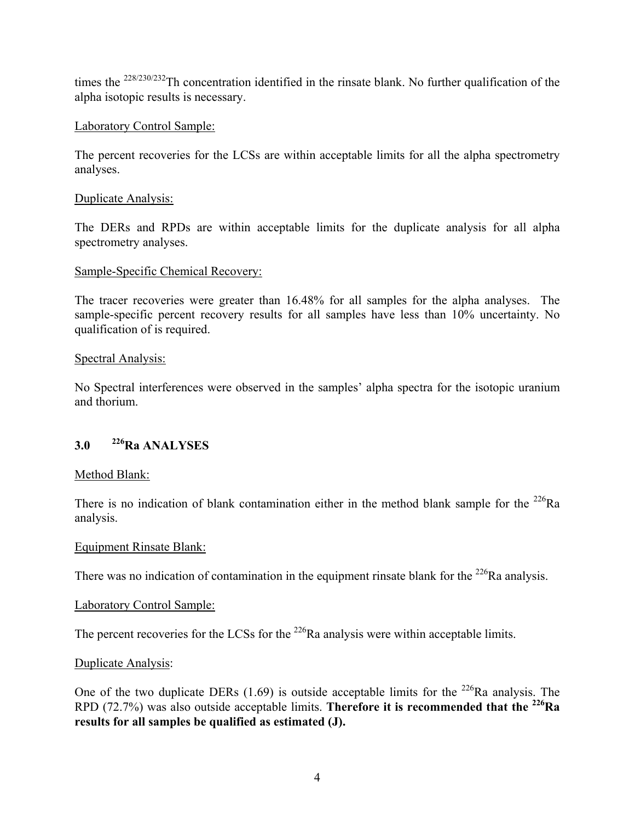times the  $^{228/230/232}$ Th concentration identified in the rinsate blank. No further qualification of the alpha isotopic results is necessary.

# Laboratory Control Sample:

The percent recoveries for the LCSs are within acceptable limits for all the alpha spectrometry analyses.

## Duplicate Analysis:

The DERs and RPDs are within acceptable limits for the duplicate analysis for all alpha spectrometry analyses.

## Sample-Specific Chemical Recovery:

The tracer recoveries were greater than 16.48% for all samples for the alpha analyses. The sample-specific percent recovery results for all samples have less than 10% uncertainty. No qualification of is required.

# Spectral Analysis:

No Spectral interferences were observed in the samples' alpha spectra for the isotopic uranium and thorium.

# **3.0 226Ra ANALYSES**

## Method Blank:

There is no indication of blank contamination either in the method blank sample for the  $^{226}Ra$ analysis.

## Equipment Rinsate Blank:

There was no indication of contamination in the equipment rinsate blank for the  $^{226}$ Ra analysis.

## Laboratory Control Sample:

The percent recoveries for the LCSs for the  $^{226}$ Ra analysis were within acceptable limits.

## Duplicate Analysis:

One of the two duplicate DERs  $(1.69)$  is outside acceptable limits for the <sup>226</sup>Ra analysis. The RPD (72.7%) was also outside acceptable limits. **Therefore it is recommended that the 226Ra results for all samples be qualified as estimated (J).**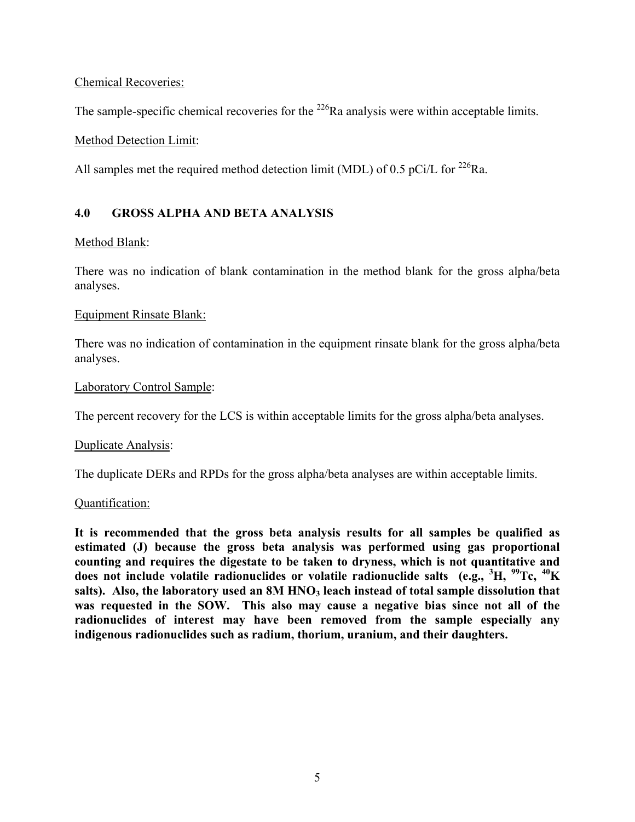Chemical Recoveries:

The sample-specific chemical recoveries for the  $^{226}$ Ra analysis were within acceptable limits.

Method Detection Limit:

All samples met the required method detection limit (MDL) of 0.5 pCi/L for <sup>226</sup>Ra.

## **4.0 GROSS ALPHA AND BETA ANALYSIS**

## Method Blank:

There was no indication of blank contamination in the method blank for the gross alpha/beta analyses.

## Equipment Rinsate Blank:

There was no indication of contamination in the equipment rinsate blank for the gross alpha/beta analyses.

## Laboratory Control Sample:

The percent recovery for the LCS is within acceptable limits for the gross alpha/beta analyses.

#### Duplicate Analysis:

The duplicate DERs and RPDs for the gross alpha/beta analyses are within acceptable limits.

#### Quantification:

**It is recommended that the gross beta analysis results for all samples be qualified as estimated (J) because the gross beta analysis was performed using gas proportional counting and requires the digestate to be taken to dryness, which is not quantitative and does not include volatile radionuclides or volatile radionuclide salts (e.g., <sup>3</sup> H, 99Tc, 40K**  salts). Also, the laboratory used an 8M HNO<sub>3</sub> leach instead of total sample dissolution that **was requested in the SOW. This also may cause a negative bias since not all of the radionuclides of interest may have been removed from the sample especially any indigenous radionuclides such as radium, thorium, uranium, and their daughters.**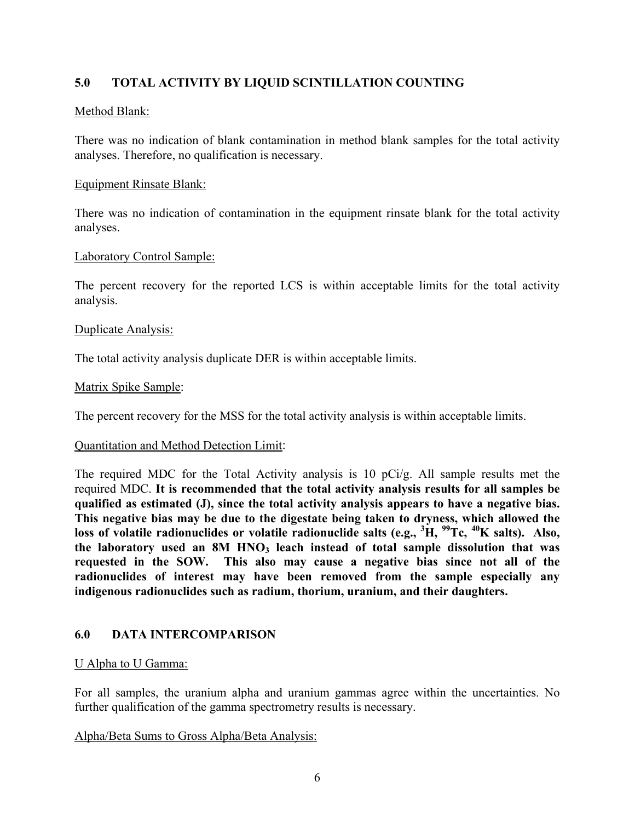# **5.0 TOTAL ACTIVITY BY LIQUID SCINTILLATION COUNTING**

## Method Blank:

There was no indication of blank contamination in method blank samples for the total activity analyses. Therefore, no qualification is necessary.

#### Equipment Rinsate Blank:

There was no indication of contamination in the equipment rinsate blank for the total activity analyses.

## Laboratory Control Sample:

The percent recovery for the reported LCS is within acceptable limits for the total activity analysis.

#### Duplicate Analysis:

The total activity analysis duplicate DER is within acceptable limits.

#### Matrix Spike Sample:

The percent recovery for the MSS for the total activity analysis is within acceptable limits.

#### Quantitation and Method Detection Limit:

The required MDC for the Total Activity analysis is 10 pCi/g. All sample results met the required MDC. **It is recommended that the total activity analysis results for all samples be qualified as estimated (J), since the total activity analysis appears to have a negative bias. This negative bias may be due to the digestate being taken to dryness, which allowed the loss of volatile radionuclides or volatile radionuclide salts (e.g., <sup>3</sup> H, 99Tc, 40K salts). Also,**  the laboratory used an 8M HNO<sub>3</sub> leach instead of total sample dissolution that was **requested in the SOW. This also may cause a negative bias since not all of the radionuclides of interest may have been removed from the sample especially any indigenous radionuclides such as radium, thorium, uranium, and their daughters.**

## **6.0 DATA INTERCOMPARISON**

#### U Alpha to U Gamma:

For all samples, the uranium alpha and uranium gammas agree within the uncertainties. No further qualification of the gamma spectrometry results is necessary.

#### Alpha/Beta Sums to Gross Alpha/Beta Analysis: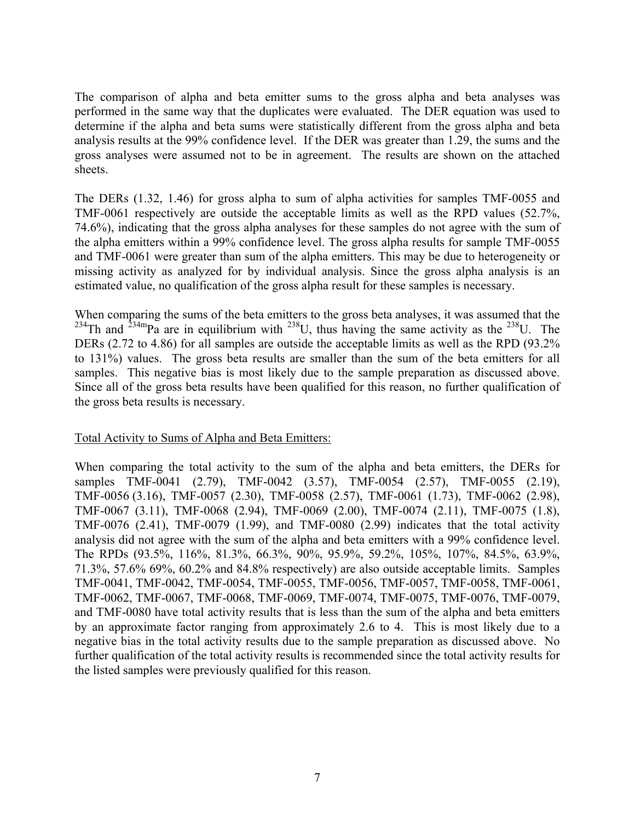The comparison of alpha and beta emitter sums to the gross alpha and beta analyses was performed in the same way that the duplicates were evaluated. The DER equation was used to determine if the alpha and beta sums were statistically different from the gross alpha and beta analysis results at the 99% confidence level. If the DER was greater than 1.29, the sums and the gross analyses were assumed not to be in agreement. The results are shown on the attached sheets.

The DERs (1.32, 1.46) for gross alpha to sum of alpha activities for samples TMF-0055 and TMF-0061 respectively are outside the acceptable limits as well as the RPD values (52.7%, 74.6%), indicating that the gross alpha analyses for these samples do not agree with the sum of the alpha emitters within a 99% confidence level. The gross alpha results for sample TMF-0055 and TMF-0061 were greater than sum of the alpha emitters. This may be due to heterogeneity or missing activity as analyzed for by individual analysis. Since the gross alpha analysis is an estimated value, no qualification of the gross alpha result for these samples is necessary.

When comparing the sums of the beta emitters to the gross beta analyses, it was assumed that the <sup>234</sup>Th and <sup>234m</sup>Pa are in equilibrium with <sup>238</sup>U, thus having the same activity as the <sup>238</sup>U. The DERs (2.72 to 4.86) for all samples are outside the acceptable limits as well as the RPD (93.2%) to 131%) values. The gross beta results are smaller than the sum of the beta emitters for all samples. This negative bias is most likely due to the sample preparation as discussed above. Since all of the gross beta results have been qualified for this reason, no further qualification of the gross beta results is necessary.

#### Total Activity to Sums of Alpha and Beta Emitters:

When comparing the total activity to the sum of the alpha and beta emitters, the DERs for samples TMF-0041 (2.79), TMF-0042 (3.57), TMF-0054 (2.57), TMF-0055 (2.19), TMF-0056 (3.16), TMF-0057 (2.30), TMF-0058 (2.57), TMF-0061 (1.73), TMF-0062 (2.98), TMF-0067 (3.11), TMF-0068 (2.94), TMF-0069 (2.00), TMF-0074 (2.11), TMF-0075 (1.8), TMF-0076 (2.41), TMF-0079 (1.99), and TMF-0080 (2.99) indicates that the total activity analysis did not agree with the sum of the alpha and beta emitters with a 99% confidence level. The RPDs (93.5%, 116%, 81.3%, 66.3%, 90%, 95.9%, 59.2%, 105%, 107%, 84.5%, 63.9%, 71.3%, 57.6% 69%, 60.2% and 84.8% respectively) are also outside acceptable limits. Samples TMF-0041, TMF-0042, TMF-0054, TMF-0055, TMF-0056, TMF-0057, TMF-0058, TMF-0061, TMF-0062, TMF-0067, TMF-0068, TMF-0069, TMF-0074, TMF-0075, TMF-0076, TMF-0079, and TMF-0080 have total activity results that is less than the sum of the alpha and beta emitters by an approximate factor ranging from approximately 2.6 to 4. This is most likely due to a negative bias in the total activity results due to the sample preparation as discussed above. No further qualification of the total activity results is recommended since the total activity results for the listed samples were previously qualified for this reason.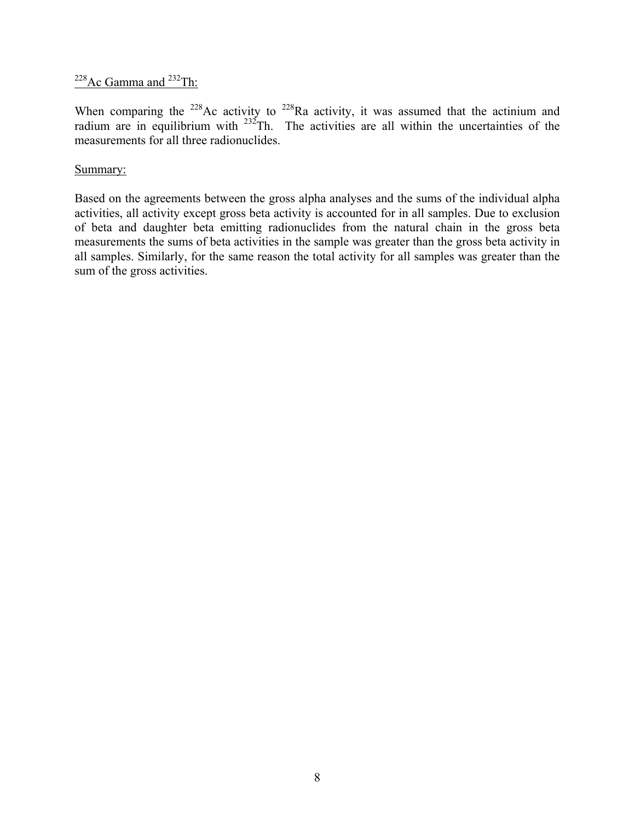# $228$ Ac Gamma and  $232$ Th:

When comparing the <sup>228</sup>Ac activity to <sup>228</sup>Ra activity, it was assumed that the actinium and radium are in equilibrium with  $^{232}$ Th. The activities are all within the uncertainties of the measurements for all three radionuclides.

# Summary:

Based on the agreements between the gross alpha analyses and the sums of the individual alpha activities, all activity except gross beta activity is accounted for in all samples. Due to exclusion of beta and daughter beta emitting radionuclides from the natural chain in the gross beta measurements the sums of beta activities in the sample was greater than the gross beta activity in all samples. Similarly, for the same reason the total activity for all samples was greater than the sum of the gross activities.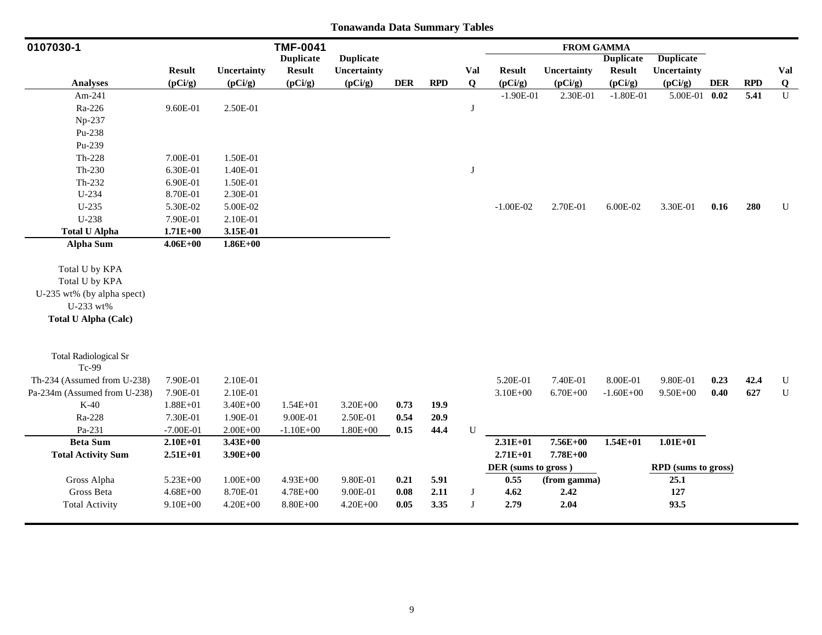| 0107030-1                             |               |              | <b>TMF-0041</b>  |                  |            |            |              |                     | <b>FROM GAMMA</b> |                  |                     |            |            |                |
|---------------------------------------|---------------|--------------|------------------|------------------|------------|------------|--------------|---------------------|-------------------|------------------|---------------------|------------|------------|----------------|
|                                       |               |              | <b>Duplicate</b> | <b>Duplicate</b> |            |            |              |                     |                   | <b>Duplicate</b> | <b>Duplicate</b>    |            |            |                |
|                                       | <b>Result</b> | Uncertainty  | <b>Result</b>    | Uncertainty      |            |            | Val          | <b>Result</b>       | Uncertainty       | <b>Result</b>    | Uncertainty         |            |            | Val            |
| <b>Analyses</b>                       | (pCi/g)       | (pCi/g)      | (pCi/g)          | (pCi/g)          | <b>DER</b> | <b>RPD</b> | $\mathbf Q$  | (pCi/g)             | (pCi/g)           | (pCi/g)          | (pCi/g)             | <b>DER</b> | <b>RPD</b> | $\overline{Q}$ |
| Am-241                                |               |              |                  |                  |            |            |              | $-1.90E-01$         | 2.30E-01          | $-1.80E-01$      | 5.00E-01 0.02       |            | 5.41       | $\mathbf U$    |
| Ra-226                                | 9.60E-01      | 2.50E-01     |                  |                  |            |            | $\mathbf{J}$ |                     |                   |                  |                     |            |            |                |
| Np-237                                |               |              |                  |                  |            |            |              |                     |                   |                  |                     |            |            |                |
| Pu-238                                |               |              |                  |                  |            |            |              |                     |                   |                  |                     |            |            |                |
| Pu-239                                |               |              |                  |                  |            |            |              |                     |                   |                  |                     |            |            |                |
| $Th-228$                              | 7.00E-01      | 1.50E-01     |                  |                  |            |            |              |                     |                   |                  |                     |            |            |                |
| Th-230                                | 6.30E-01      | 1.40E-01     |                  |                  |            |            | $\mathbf{J}$ |                     |                   |                  |                     |            |            |                |
| Th-232                                | 6.90E-01      | 1.50E-01     |                  |                  |            |            |              |                     |                   |                  |                     |            |            |                |
| $U-234$                               | 8.70E-01      | 2.30E-01     |                  |                  |            |            |              |                     |                   |                  |                     |            |            |                |
| U-235                                 | 5.30E-02      | 5.00E-02     |                  |                  |            |            |              | $-1.00E-02$         | 2.70E-01          | 6.00E-02         | 3.30E-01            | 0.16       | 280        | ${\bf U}$      |
| $U-238$                               | 7.90E-01      | 2.10E-01     |                  |                  |            |            |              |                     |                   |                  |                     |            |            |                |
| <b>Total U Alpha</b>                  | $1.71E + 00$  | 3.15E-01     |                  |                  |            |            |              |                     |                   |                  |                     |            |            |                |
| <b>Alpha Sum</b>                      | $4.06E + 00$  | $1.86E + 00$ |                  |                  |            |            |              |                     |                   |                  |                     |            |            |                |
| Total U by KPA                        |               |              |                  |                  |            |            |              |                     |                   |                  |                     |            |            |                |
| Total U by KPA                        |               |              |                  |                  |            |            |              |                     |                   |                  |                     |            |            |                |
| U-235 wt% (by alpha spect)            |               |              |                  |                  |            |            |              |                     |                   |                  |                     |            |            |                |
| U-233 wt%                             |               |              |                  |                  |            |            |              |                     |                   |                  |                     |            |            |                |
| <b>Total U Alpha (Calc)</b>           |               |              |                  |                  |            |            |              |                     |                   |                  |                     |            |            |                |
|                                       |               |              |                  |                  |            |            |              |                     |                   |                  |                     |            |            |                |
| <b>Total Radiological Sr</b><br>Tc-99 |               |              |                  |                  |            |            |              |                     |                   |                  |                     |            |            |                |
| Th-234 (Assumed from U-238)           | 7.90E-01      | 2.10E-01     |                  |                  |            |            |              | 5.20E-01            | 7.40E-01          | 8.00E-01         | 9.80E-01            | 0.23       | 42.4       | ${\bf U}$      |
| Pa-234m (Assumed from U-238)          | 7.90E-01      | 2.10E-01     |                  |                  |            |            |              | $3.10E + 00$        | $6.70E + 00$      | $-1.60E + 00$    | $9.50E + 00$        | 0.40       | 627        | ${\bf U}$      |
| $K-40$                                | $1.88E + 01$  | $3.40E + 00$ | $1.54E + 01$     | $3.20E + 00$     | 0.73       | 19.9       |              |                     |                   |                  |                     |            |            |                |
| Ra-228                                | 7.30E-01      | 1.90E-01     | 9.00E-01         | 2.50E-01         | 0.54       | 20.9       |              |                     |                   |                  |                     |            |            |                |
| Pa-231                                | $-7.00E-01$   | $2.00E + 00$ | $-1.10E + 00$    | $1.80E + 00$     | 0.15       | 44.4       | ${\bf U}$    |                     |                   |                  |                     |            |            |                |
| <b>Beta Sum</b>                       | $2.10E + 01$  | $3.43E + 00$ |                  |                  |            |            |              | $2.31E+01$          | 7.56E+00          | $1.54E + 01$     | $1.01E + 01$        |            |            |                |
| <b>Total Activity Sum</b>             | $2.51E+01$    | $3.90E + 00$ |                  |                  |            |            |              | $2.71E + 01$        | 7.78E+00          |                  |                     |            |            |                |
|                                       |               |              |                  |                  |            |            |              | DER (sums to gross) |                   |                  | RPD (sums to gross) |            |            |                |
| Gross Alpha                           | $5.23E + 00$  | $1.00E + 00$ | 4.93E+00         | 9.80E-01         | 0.21       | 5.91       |              | 0.55                | (from gamma)      |                  | 25.1                |            |            |                |
| Gross Beta                            | $4.68E + 00$  | 8.70E-01     | $4.78E + 00$     | 9.00E-01         | 0.08       | 2.11       | J            | 4.62                | 2.42              |                  | 127                 |            |            |                |
| <b>Total Activity</b>                 | $9.10E + 00$  | $4.20E + 00$ | $8.80E + 00$     | $4.20E + 00$     | 0.05       | 3.35       | J            | 2.79                | 2.04              |                  | 93.5                |            |            |                |
|                                       |               |              |                  |                  |            |            |              |                     |                   |                  |                     |            |            |                |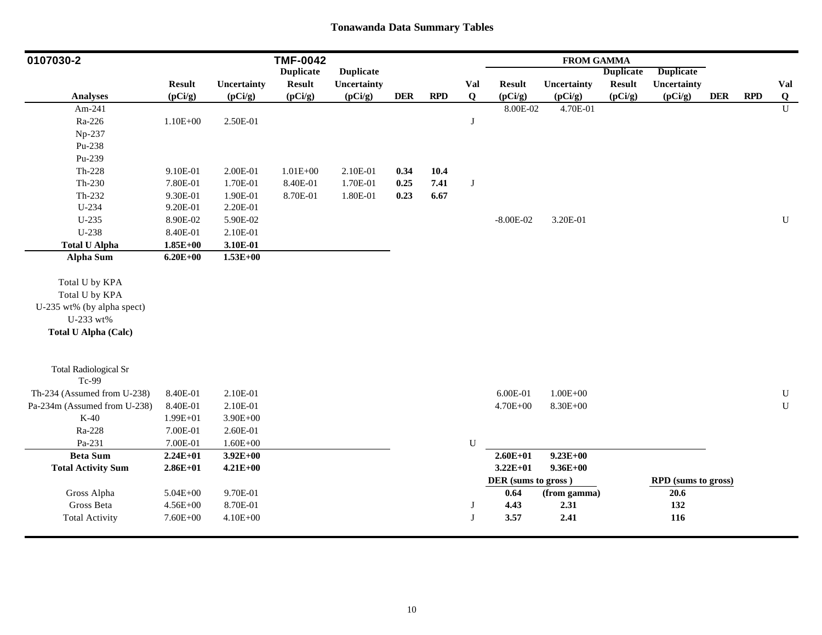| 0107030-2                    |               |              | <b>TMF-0042</b>  |                  |            |            |             |                     | <b>FROM GAMMA</b> |                  |                     |            |            |                |
|------------------------------|---------------|--------------|------------------|------------------|------------|------------|-------------|---------------------|-------------------|------------------|---------------------|------------|------------|----------------|
|                              |               |              | <b>Duplicate</b> | <b>Duplicate</b> |            |            |             |                     |                   | <b>Duplicate</b> | <b>Duplicate</b>    |            |            |                |
|                              | <b>Result</b> | Uncertainty  | <b>Result</b>    | Uncertainty      |            |            | Val         | <b>Result</b>       | Uncertainty       | <b>Result</b>    | Uncertainty         |            |            | Val            |
| <b>Analyses</b>              | (pCi/g)       | (pCi/g)      | (pCi/g)          | (pCi/g)          | <b>DER</b> | <b>RPD</b> | $\mathbf Q$ | (pCi/g)             | (pCi/g)           | (pCi/g)          | (pCi/g)             | <b>DER</b> | <b>RPD</b> | Q              |
| Am-241                       |               |              |                  |                  |            |            |             | 8.00E-02            | 4.70E-01          |                  |                     |            |            | $\overline{U}$ |
| Ra-226                       | $1.10E + 00$  | 2.50E-01     |                  |                  |            |            | J           |                     |                   |                  |                     |            |            |                |
| Np-237                       |               |              |                  |                  |            |            |             |                     |                   |                  |                     |            |            |                |
| Pu-238                       |               |              |                  |                  |            |            |             |                     |                   |                  |                     |            |            |                |
| Pu-239                       |               |              |                  |                  |            |            |             |                     |                   |                  |                     |            |            |                |
| $Th-228$                     | 9.10E-01      | 2.00E-01     | $1.01E + 00$     | 2.10E-01         | 0.34       | 10.4       |             |                     |                   |                  |                     |            |            |                |
| $Th-230$                     | 7.80E-01      | 1.70E-01     | 8.40E-01         | 1.70E-01         | 0.25       | 7.41       | $\bf J$     |                     |                   |                  |                     |            |            |                |
| Th-232                       | 9.30E-01      | 1.90E-01     | 8.70E-01         | 1.80E-01         | 0.23       | 6.67       |             |                     |                   |                  |                     |            |            |                |
| U-234                        | 9.20E-01      | 2.20E-01     |                  |                  |            |            |             |                     |                   |                  |                     |            |            |                |
| $U-235$                      | 8.90E-02      | 5.90E-02     |                  |                  |            |            |             | $-8.00E-02$         | 3.20E-01          |                  |                     |            |            | ${\bf U}$      |
| U-238                        | 8.40E-01      | 2.10E-01     |                  |                  |            |            |             |                     |                   |                  |                     |            |            |                |
| <b>Total U Alpha</b>         | $1.85E + 00$  | 3.10E-01     |                  |                  |            |            |             |                     |                   |                  |                     |            |            |                |
| <b>Alpha Sum</b>             | $6.20E + 00$  | $1.53E + 00$ |                  |                  |            |            |             |                     |                   |                  |                     |            |            |                |
| Total U by KPA               |               |              |                  |                  |            |            |             |                     |                   |                  |                     |            |            |                |
| Total U by KPA               |               |              |                  |                  |            |            |             |                     |                   |                  |                     |            |            |                |
| U-235 wt% (by alpha spect)   |               |              |                  |                  |            |            |             |                     |                   |                  |                     |            |            |                |
| U-233 wt%                    |               |              |                  |                  |            |            |             |                     |                   |                  |                     |            |            |                |
| <b>Total U Alpha (Calc)</b>  |               |              |                  |                  |            |            |             |                     |                   |                  |                     |            |            |                |
|                              |               |              |                  |                  |            |            |             |                     |                   |                  |                     |            |            |                |
| <b>Total Radiological Sr</b> |               |              |                  |                  |            |            |             |                     |                   |                  |                     |            |            |                |
| Tc-99                        |               |              |                  |                  |            |            |             |                     |                   |                  |                     |            |            |                |
| Th-234 (Assumed from U-238)  | 8.40E-01      | 2.10E-01     |                  |                  |            |            |             | 6.00E-01            | $1.00E + 00$      |                  |                     |            |            | ${\bf U}$      |
| Pa-234m (Assumed from U-238) | 8.40E-01      | 2.10E-01     |                  |                  |            |            |             | 4.70E+00            | 8.30E+00          |                  |                     |            |            | ${\bf U}$      |
| $K-40$                       | 1.99E+01      | $3.90E + 00$ |                  |                  |            |            |             |                     |                   |                  |                     |            |            |                |
| Ra-228                       | 7.00E-01      | 2.60E-01     |                  |                  |            |            |             |                     |                   |                  |                     |            |            |                |
| Pa-231                       | 7.00E-01      | $1.60E + 00$ |                  |                  |            |            | ${\bf U}$   |                     |                   |                  |                     |            |            |                |
| <b>Beta Sum</b>              | $2.24E+01$    | $3.92E + 00$ |                  |                  |            |            |             | $2.60E + 01$        | $9.23E + 00$      |                  |                     |            |            |                |
| <b>Total Activity Sum</b>    | $2.86E+01$    | $4.21E + 00$ |                  |                  |            |            |             | $3.22E + 01$        | $9.36E + 00$      |                  |                     |            |            |                |
|                              |               |              |                  |                  |            |            |             | DER (sums to gross) |                   |                  | RPD (sums to gross) |            |            |                |
| Gross Alpha                  | $5.04E + 00$  | 9.70E-01     |                  |                  |            |            |             | 0.64                | (from gamma)      |                  | 20.6                |            |            |                |
| Gross Beta                   | $4.56E + 00$  | 8.70E-01     |                  |                  |            |            | J           | 4.43                | 2.31              |                  | 132                 |            |            |                |
| <b>Total Activity</b>        | $7.60E + 00$  | 4.10E+00     |                  |                  |            |            | J           | 3.57                | 2.41              |                  | 116                 |            |            |                |
|                              |               |              |                  |                  |            |            |             |                     |                   |                  |                     |            |            |                |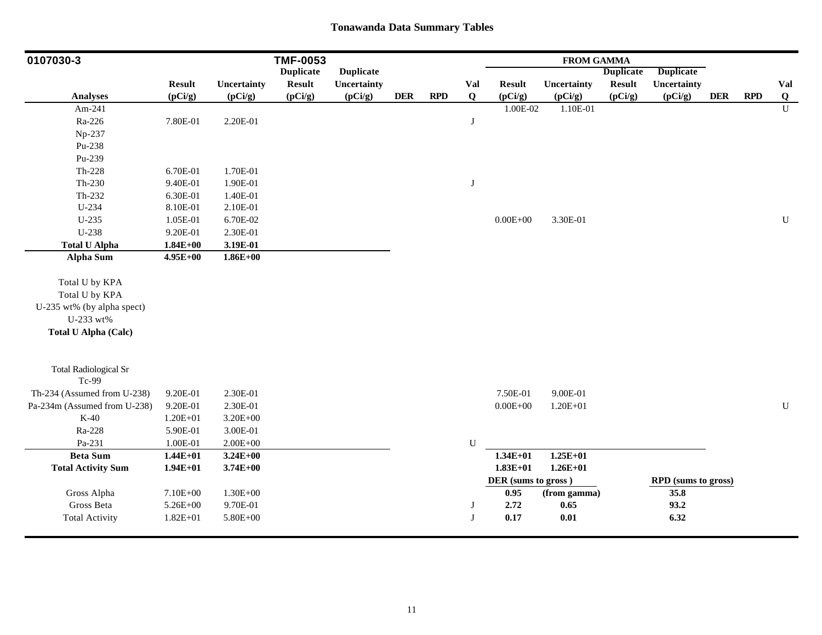| 0107030-3                             |               |              | <b>TMF-0053</b>  |                  |            |            |              |                     | <b>FROM GAMMA</b> |                  |                     |            |            |             |
|---------------------------------------|---------------|--------------|------------------|------------------|------------|------------|--------------|---------------------|-------------------|------------------|---------------------|------------|------------|-------------|
|                                       |               |              | <b>Duplicate</b> | <b>Duplicate</b> |            |            |              |                     |                   | <b>Duplicate</b> | <b>Duplicate</b>    |            |            |             |
|                                       | <b>Result</b> | Uncertainty  | <b>Result</b>    | Uncertainty      |            |            | Val          | <b>Result</b>       | Uncertainty       | <b>Result</b>    | Uncertainty         |            |            | Val         |
| <b>Analyses</b>                       | (pCi/g)       | (pCi/g)      | (pCi/g)          | (pCi/g)          | <b>DER</b> | <b>RPD</b> | $\mathbf{Q}$ | (pCi/g)             | (pCi/g)           | (pCi/g)          | (pCi/g)             | <b>DER</b> | <b>RPD</b> | Q           |
| Am-241                                |               |              |                  |                  |            |            |              | $1.00E-02$          | 1.10E-01          |                  |                     |            |            | $\mathbf U$ |
| Ra-226                                | 7.80E-01      | 2.20E-01     |                  |                  |            |            | $\bf J$      |                     |                   |                  |                     |            |            |             |
| Np-237                                |               |              |                  |                  |            |            |              |                     |                   |                  |                     |            |            |             |
| Pu-238                                |               |              |                  |                  |            |            |              |                     |                   |                  |                     |            |            |             |
| Pu-239                                |               |              |                  |                  |            |            |              |                     |                   |                  |                     |            |            |             |
| $Th-228$                              | 6.70E-01      | 1.70E-01     |                  |                  |            |            |              |                     |                   |                  |                     |            |            |             |
| $Th-230$                              | 9.40E-01      | 1.90E-01     |                  |                  |            |            | J            |                     |                   |                  |                     |            |            |             |
| $Th-232$                              | 6.30E-01      | 1.40E-01     |                  |                  |            |            |              |                     |                   |                  |                     |            |            |             |
| U-234                                 | 8.10E-01      | 2.10E-01     |                  |                  |            |            |              |                     |                   |                  |                     |            |            |             |
| $U-235$                               | 1.05E-01      | 6.70E-02     |                  |                  |            |            |              | $0.00E + 00$        | 3.30E-01          |                  |                     |            |            | $\mathbf U$ |
| U-238                                 | 9.20E-01      | 2.30E-01     |                  |                  |            |            |              |                     |                   |                  |                     |            |            |             |
| <b>Total U Alpha</b>                  | $1.84E + 00$  | 3.19E-01     |                  |                  |            |            |              |                     |                   |                  |                     |            |            |             |
| <b>Alpha Sum</b>                      | 4.95E+00      | $1.86E + 00$ |                  |                  |            |            |              |                     |                   |                  |                     |            |            |             |
| Total U by KPA                        |               |              |                  |                  |            |            |              |                     |                   |                  |                     |            |            |             |
| Total U by KPA                        |               |              |                  |                  |            |            |              |                     |                   |                  |                     |            |            |             |
| U-235 wt% (by alpha spect)            |               |              |                  |                  |            |            |              |                     |                   |                  |                     |            |            |             |
| U-233 wt%                             |               |              |                  |                  |            |            |              |                     |                   |                  |                     |            |            |             |
| <b>Total U Alpha (Calc)</b>           |               |              |                  |                  |            |            |              |                     |                   |                  |                     |            |            |             |
|                                       |               |              |                  |                  |            |            |              |                     |                   |                  |                     |            |            |             |
| <b>Total Radiological Sr</b><br>Tc-99 |               |              |                  |                  |            |            |              |                     |                   |                  |                     |            |            |             |
| Th-234 (Assumed from U-238)           | 9.20E-01      | 2.30E-01     |                  |                  |            |            |              | 7.50E-01            | 9.00E-01          |                  |                     |            |            |             |
| Pa-234m (Assumed from U-238)          | 9.20E-01      | 2.30E-01     |                  |                  |            |            |              | $0.00E + 00$        | $1.20E + 01$      |                  |                     |            |            | ${\bf U}$   |
| $K-40$                                | $1.20E + 01$  | $3.20E + 00$ |                  |                  |            |            |              |                     |                   |                  |                     |            |            |             |
| Ra-228                                | 5.90E-01      | 3.00E-01     |                  |                  |            |            |              |                     |                   |                  |                     |            |            |             |
| Pa-231                                | 1.00E-01      | $2.00E + 00$ |                  |                  |            |            | ${\bf U}$    |                     |                   |                  |                     |            |            |             |
| <b>Beta Sum</b>                       | $1.44E + 01$  | $3.24E + 00$ |                  |                  |            |            |              | $1.34E + 01$        | $1.25E + 01$      |                  |                     |            |            |             |
| <b>Total Activity Sum</b>             | $1.94E+01$    | $3.74E + 00$ |                  |                  |            |            |              | $1.83E+01$          | $1.26E + 01$      |                  |                     |            |            |             |
|                                       |               |              |                  |                  |            |            |              | DER (sums to gross) |                   |                  | RPD (sums to gross) |            |            |             |
| Gross Alpha                           | 7.10E+00      | $1.30E + 00$ |                  |                  |            |            |              | 0.95                | (from gamma)      |                  | 35.8                |            |            |             |
| Gross Beta                            | 5.26E+00      | 9.70E-01     |                  |                  |            |            | J            | 2.72                | 0.65              |                  | 93.2                |            |            |             |
| <b>Total Activity</b>                 | $1.82E + 01$  | 5.80E+00     |                  |                  |            |            | J            | 0.17                | $0.01\,$          |                  | 6.32                |            |            |             |
|                                       |               |              |                  |                  |            |            |              |                     |                   |                  |                     |            |            |             |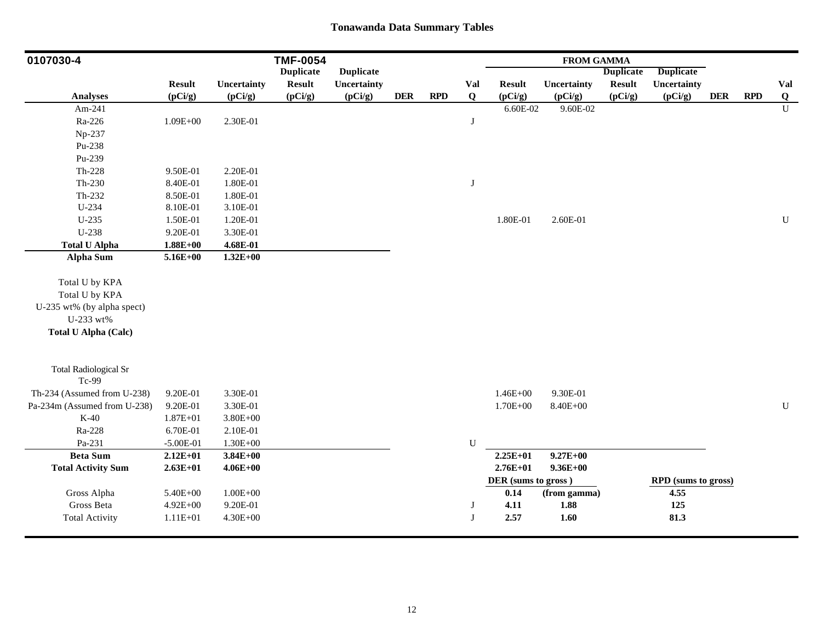| 0107030-4                    |               |              | <b>TMF-0054</b>  |                  |            |     |              |                     | <b>FROM GAMMA</b> |                  |                     |            |            |             |
|------------------------------|---------------|--------------|------------------|------------------|------------|-----|--------------|---------------------|-------------------|------------------|---------------------|------------|------------|-------------|
|                              |               |              | <b>Duplicate</b> | <b>Duplicate</b> |            |     |              |                     |                   | <b>Duplicate</b> | <b>Duplicate</b>    |            |            |             |
|                              | <b>Result</b> | Uncertainty  | <b>Result</b>    | Uncertainty      |            |     | Val          | <b>Result</b>       | Uncertainty       | <b>Result</b>    | Uncertainty         |            |            | Val         |
| <b>Analyses</b>              | (pCi/g)       | (pCi/g)      | (pCi/g)          | (pCi/g)          | <b>DER</b> | RPD | $\mathbf{Q}$ | (pCi/g)             | (pCi/g)           | (pCi/g)          | (pCi/g)             | <b>DER</b> | <b>RPD</b> | Q           |
| Am-241                       |               |              |                  |                  |            |     |              | $6.60E-02$          | 9.60E-02          |                  |                     |            |            | $\mathbf U$ |
| Ra-226                       | $1.09E + 00$  | 2.30E-01     |                  |                  |            |     | J            |                     |                   |                  |                     |            |            |             |
| Np-237                       |               |              |                  |                  |            |     |              |                     |                   |                  |                     |            |            |             |
| Pu-238                       |               |              |                  |                  |            |     |              |                     |                   |                  |                     |            |            |             |
| Pu-239                       |               |              |                  |                  |            |     |              |                     |                   |                  |                     |            |            |             |
| $Th-228$                     | 9.50E-01      | 2.20E-01     |                  |                  |            |     |              |                     |                   |                  |                     |            |            |             |
| Th-230                       | 8.40E-01      | 1.80E-01     |                  |                  |            |     | J            |                     |                   |                  |                     |            |            |             |
| Th-232                       | 8.50E-01      | 1.80E-01     |                  |                  |            |     |              |                     |                   |                  |                     |            |            |             |
| U-234                        | 8.10E-01      | 3.10E-01     |                  |                  |            |     |              |                     |                   |                  |                     |            |            |             |
| $U-235$                      | 1.50E-01      | 1.20E-01     |                  |                  |            |     |              | 1.80E-01            | 2.60E-01          |                  |                     |            |            | $\mathbf U$ |
| U-238                        | 9.20E-01      | 3.30E-01     |                  |                  |            |     |              |                     |                   |                  |                     |            |            |             |
| <b>Total U Alpha</b>         | $1.88E + 00$  | 4.68E-01     |                  |                  |            |     |              |                     |                   |                  |                     |            |            |             |
| <b>Alpha Sum</b>             | $5.16E + 00$  | $1.32E + 00$ |                  |                  |            |     |              |                     |                   |                  |                     |            |            |             |
| Total U by KPA               |               |              |                  |                  |            |     |              |                     |                   |                  |                     |            |            |             |
| Total U by KPA               |               |              |                  |                  |            |     |              |                     |                   |                  |                     |            |            |             |
| U-235 wt% (by alpha spect)   |               |              |                  |                  |            |     |              |                     |                   |                  |                     |            |            |             |
| U-233 wt%                    |               |              |                  |                  |            |     |              |                     |                   |                  |                     |            |            |             |
| <b>Total U Alpha (Calc)</b>  |               |              |                  |                  |            |     |              |                     |                   |                  |                     |            |            |             |
|                              |               |              |                  |                  |            |     |              |                     |                   |                  |                     |            |            |             |
| <b>Total Radiological Sr</b> |               |              |                  |                  |            |     |              |                     |                   |                  |                     |            |            |             |
| Tc-99                        |               |              |                  |                  |            |     |              |                     |                   |                  |                     |            |            |             |
| Th-234 (Assumed from U-238)  | 9.20E-01      | 3.30E-01     |                  |                  |            |     |              | $1.46E + 00$        | 9.30E-01          |                  |                     |            |            |             |
| Pa-234m (Assumed from U-238) | 9.20E-01      | 3.30E-01     |                  |                  |            |     |              | 1.70E+00            | 8.40E+00          |                  |                     |            |            | ${\bf U}$   |
| $K-40$                       | $1.87E + 01$  | 3.80E+00     |                  |                  |            |     |              |                     |                   |                  |                     |            |            |             |
| Ra-228                       | 6.70E-01      | 2.10E-01     |                  |                  |            |     |              |                     |                   |                  |                     |            |            |             |
| Pa-231                       | $-5.00E-01$   | $1.30E + 00$ |                  |                  |            |     | ${\bf U}$    |                     |                   |                  |                     |            |            |             |
| <b>Beta Sum</b>              | $2.12E + 01$  | $3.84E + 00$ |                  |                  |            |     |              | $2.25E+01$          | $9.27E + 00$      |                  |                     |            |            |             |
| <b>Total Activity Sum</b>    | $2.63E+01$    | $4.06E + 00$ |                  |                  |            |     |              | $2.76E + 01$        | $9.36E + 00$      |                  |                     |            |            |             |
|                              |               |              |                  |                  |            |     |              | DER (sums to gross) |                   |                  | RPD (sums to gross) |            |            |             |
| Gross Alpha                  | 5.40E+00      | $1.00E + 00$ |                  |                  |            |     |              | 0.14                | (from gamma)      |                  | 4.55                |            |            |             |
| Gross Beta                   | $4.92E + 00$  | 9.20E-01     |                  |                  |            |     | J            | 4.11                | 1.88              |                  | 125                 |            |            |             |
| <b>Total Activity</b>        | $1.11E + 01$  | 4.30E+00     |                  |                  |            |     | J            | 2.57                | 1.60              |                  | 81.3                |            |            |             |
|                              |               |              |                  |                  |            |     |              |                     |                   |                  |                     |            |            |             |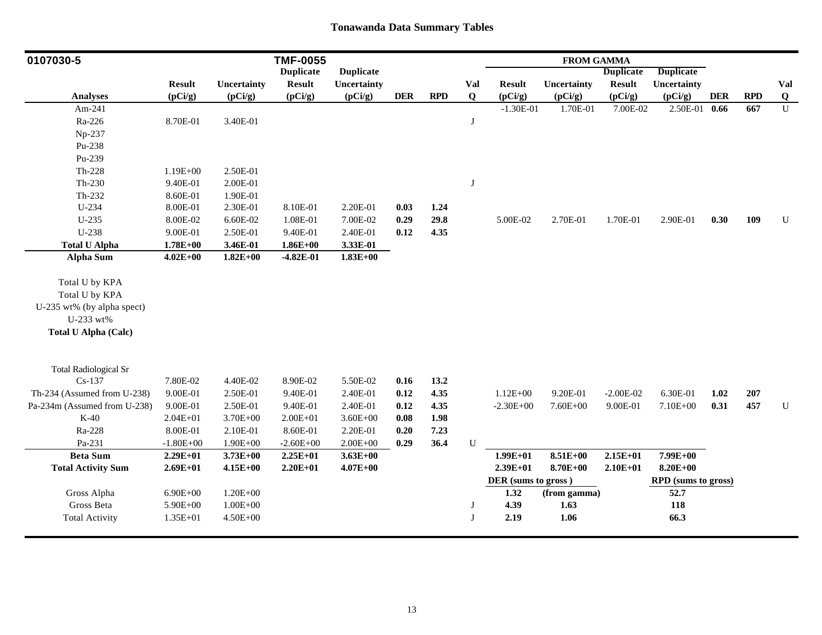| 0107030-5                    |               |              | <b>TMF-0055</b>  |                  |            |            |             |                     | <b>FROM GAMMA</b> |                  |                            |            |            |                |
|------------------------------|---------------|--------------|------------------|------------------|------------|------------|-------------|---------------------|-------------------|------------------|----------------------------|------------|------------|----------------|
|                              |               |              | <b>Duplicate</b> | <b>Duplicate</b> |            |            |             |                     |                   | <b>Duplicate</b> | <b>Duplicate</b>           |            |            |                |
|                              | <b>Result</b> | Uncertainty  | <b>Result</b>    | Uncertainty      |            |            | Val         | <b>Result</b>       | Uncertainty       | <b>Result</b>    | Uncertainty                |            |            | Val            |
| <b>Analyses</b>              | (pCi/g)       | (pCi/g)      | (pCi/g)          | (pCi/g)          | <b>DER</b> | <b>RPD</b> | $\mathbf Q$ | (pCi/g)             | (pCi/g)           | (pCi/g)          | (pCi/g)                    | <b>DER</b> | <b>RPD</b> | $\overline{Q}$ |
| Am-241                       |               |              |                  |                  |            |            |             | $-1.30E-01$         | 1.70E-01          | 7.00E-02         | 2.50E-01 0.66              |            | 667        | $\mathbf U$    |
| Ra-226                       | 8.70E-01      | 3.40E-01     |                  |                  |            |            | J           |                     |                   |                  |                            |            |            |                |
| Np-237                       |               |              |                  |                  |            |            |             |                     |                   |                  |                            |            |            |                |
| Pu-238                       |               |              |                  |                  |            |            |             |                     |                   |                  |                            |            |            |                |
| Pu-239                       |               |              |                  |                  |            |            |             |                     |                   |                  |                            |            |            |                |
| Th-228                       | $1.19E + 00$  | 2.50E-01     |                  |                  |            |            |             |                     |                   |                  |                            |            |            |                |
| Th-230                       | 9.40E-01      | 2.00E-01     |                  |                  |            |            | J           |                     |                   |                  |                            |            |            |                |
| Th-232                       | 8.60E-01      | 1.90E-01     |                  |                  |            |            |             |                     |                   |                  |                            |            |            |                |
| U-234                        | 8.00E-01      | 2.30E-01     | 8.10E-01         | 2.20E-01         | 0.03       | 1.24       |             |                     |                   |                  |                            |            |            |                |
| $U-235$                      | 8.00E-02      | 6.60E-02     | 1.08E-01         | 7.00E-02         | 0.29       | 29.8       |             | 5.00E-02            | 2.70E-01          | 1.70E-01         | 2.90E-01                   | 0.30       | 109        | $\mathbf U$    |
| U-238                        | 9.00E-01      | 2.50E-01     | 9.40E-01         | 2.40E-01         | 0.12       | 4.35       |             |                     |                   |                  |                            |            |            |                |
| <b>Total U Alpha</b>         | $1.78E + 00$  | 3.46E-01     | $1.86E + 00$     | 3.33E-01         |            |            |             |                     |                   |                  |                            |            |            |                |
| <b>Alpha Sum</b>             | $4.02E + 00$  | $1.82E+00$   | $-4.82E-01$      | $1.83E + 00$     |            |            |             |                     |                   |                  |                            |            |            |                |
| Total U by KPA               |               |              |                  |                  |            |            |             |                     |                   |                  |                            |            |            |                |
| Total U by KPA               |               |              |                  |                  |            |            |             |                     |                   |                  |                            |            |            |                |
| U-235 wt% (by alpha spect)   |               |              |                  |                  |            |            |             |                     |                   |                  |                            |            |            |                |
| U-233 wt%                    |               |              |                  |                  |            |            |             |                     |                   |                  |                            |            |            |                |
| <b>Total U Alpha (Calc)</b>  |               |              |                  |                  |            |            |             |                     |                   |                  |                            |            |            |                |
|                              |               |              |                  |                  |            |            |             |                     |                   |                  |                            |            |            |                |
| <b>Total Radiological Sr</b> |               |              |                  |                  |            |            |             |                     |                   |                  |                            |            |            |                |
| $Cs-137$                     | 7.80E-02      | 4.40E-02     | 8.90E-02         | 5.50E-02         | 0.16       | 13.2       |             |                     |                   |                  |                            |            |            |                |
| Th-234 (Assumed from U-238)  | 9.00E-01      | 2.50E-01     | 9.40E-01         | 2.40E-01         | 0.12       | 4.35       |             | $1.12E + 00$        | 9.20E-01          | $-2.00E-02$      | 6.30E-01                   | 1.02       | 207        |                |
| Pa-234m (Assumed from U-238) | 9.00E-01      | 2.50E-01     | 9.40E-01         | 2.40E-01         | 0.12       | 4.35       |             | $-2.30E + 00$       | 7.60E+00          | 9.00E-01         | 7.10E+00                   | 0.31       | 457        | ${\bf U}$      |
| $K-40$                       | $2.04E + 01$  | 3.70E+00     | $2.00E + 01$     | $3.60E + 00$     | 0.08       | 1.98       |             |                     |                   |                  |                            |            |            |                |
| Ra-228                       | 8.00E-01      | 2.10E-01     | 8.60E-01         | 2.20E-01         | 0.20       | 7.23       |             |                     |                   |                  |                            |            |            |                |
| Pa-231                       | $-1.80E + 00$ | $1.90E + 00$ | $-2.60E + 00$    | $2.00E + 00$     | 0.29       | 36.4       | ${\bf U}$   |                     |                   |                  |                            |            |            |                |
| <b>Beta Sum</b>              | $2.29E+01$    | $3.73E + 00$ | $2.25E+01$       | $3.63E + 00$     |            |            |             | $1.99E + 01$        | $8.51E + 00$      | $2.15E+01$       | 7.99E+00                   |            |            |                |
| <b>Total Activity Sum</b>    | $2.69E + 01$  | $4.15E+00$   | $2.20E + 01$     | $4.07E + 00$     |            |            |             | $2.39E+01$          | 8.70E+00          | $2.10E + 01$     | $8.20E + 00$               |            |            |                |
|                              |               |              |                  |                  |            |            |             | DER (sums to gross) |                   |                  | <b>RPD</b> (sums to gross) |            |            |                |
| Gross Alpha                  | $6.90E + 00$  | $1.20E + 00$ |                  |                  |            |            |             | 1.32                | (from gamma)      |                  | 52.7                       |            |            |                |
| Gross Beta                   | 5.90E+00      | $1.00E + 00$ |                  |                  |            |            | J           | 4.39                | 1.63              |                  | 118                        |            |            |                |
| <b>Total Activity</b>        | $1.35E + 01$  | $4.50E + 00$ |                  |                  |            |            | J           | 2.19                | 1.06              |                  | 66.3                       |            |            |                |
|                              |               |              |                  |                  |            |            |             |                     |                   |                  |                            |            |            |                |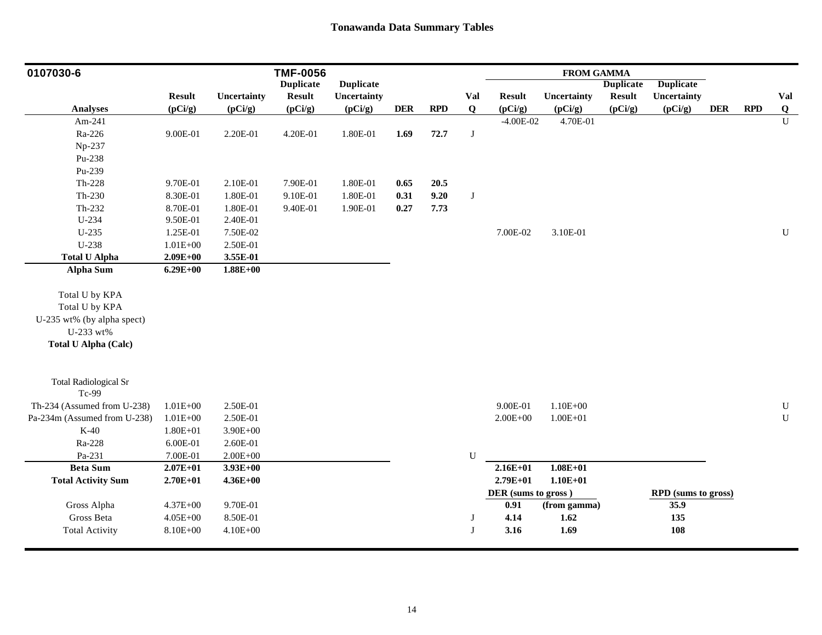| 0107030-6                    |               |              | <b>TMF-0056</b>  |                  |            |            |              |                     | <b>FROM GAMMA</b> |                  |                     |            |            |              |
|------------------------------|---------------|--------------|------------------|------------------|------------|------------|--------------|---------------------|-------------------|------------------|---------------------|------------|------------|--------------|
|                              |               |              | <b>Duplicate</b> | <b>Duplicate</b> |            |            |              |                     |                   | <b>Duplicate</b> | <b>Duplicate</b>    |            |            |              |
|                              | <b>Result</b> | Uncertainty  | <b>Result</b>    | Uncertainty      |            |            | Val          | <b>Result</b>       | Uncertainty       | <b>Result</b>    | Uncertainty         |            |            | Val          |
| <b>Analyses</b>              | (pCi/g)       | (pCi/g)      | (pCi/g)          | (pCi/g)          | <b>DER</b> | <b>RPD</b> | $\bf{Q}$     | (pCi/g)             | (pCi/g)           | (pCi/g)          | (pCi/g)             | <b>DER</b> | <b>RPD</b> | $\bf{Q}$     |
| Am-241                       |               |              |                  |                  |            |            |              | $-4.00E-02$         | 4.70E-01          |                  |                     |            |            | $\mathbf{U}$ |
| Ra-226                       | 9.00E-01      | 2.20E-01     | 4.20E-01         | 1.80E-01         | 1.69       | 72.7       | J            |                     |                   |                  |                     |            |            |              |
| Np-237                       |               |              |                  |                  |            |            |              |                     |                   |                  |                     |            |            |              |
| Pu-238                       |               |              |                  |                  |            |            |              |                     |                   |                  |                     |            |            |              |
| Pu-239                       |               |              |                  |                  |            |            |              |                     |                   |                  |                     |            |            |              |
| $Th-228$                     | 9.70E-01      | 2.10E-01     | 7.90E-01         | 1.80E-01         | 0.65       | 20.5       |              |                     |                   |                  |                     |            |            |              |
| Th-230                       | 8.30E-01      | 1.80E-01     | 9.10E-01         | 1.80E-01         | 0.31       | 9.20       | $\bf J$      |                     |                   |                  |                     |            |            |              |
| Th-232                       | 8.70E-01      | 1.80E-01     | 9.40E-01         | 1.90E-01         | 0.27       | 7.73       |              |                     |                   |                  |                     |            |            |              |
| U-234                        | 9.50E-01      | 2.40E-01     |                  |                  |            |            |              |                     |                   |                  |                     |            |            |              |
| $U-235$                      | 1.25E-01      | 7.50E-02     |                  |                  |            |            |              | 7.00E-02            | 3.10E-01          |                  |                     |            |            | $\mathbf U$  |
| $U-238$                      | $1.01E + 00$  | 2.50E-01     |                  |                  |            |            |              |                     |                   |                  |                     |            |            |              |
| <b>Total U Alpha</b>         | $2.09E + 00$  | 3.55E-01     |                  |                  |            |            |              |                     |                   |                  |                     |            |            |              |
| <b>Alpha Sum</b>             | $6.29E + 00$  | $1.88E + 00$ |                  |                  |            |            |              |                     |                   |                  |                     |            |            |              |
|                              |               |              |                  |                  |            |            |              |                     |                   |                  |                     |            |            |              |
| Total U by KPA               |               |              |                  |                  |            |            |              |                     |                   |                  |                     |            |            |              |
| Total U by KPA               |               |              |                  |                  |            |            |              |                     |                   |                  |                     |            |            |              |
| U-235 wt% (by alpha spect)   |               |              |                  |                  |            |            |              |                     |                   |                  |                     |            |            |              |
| U-233 wt%                    |               |              |                  |                  |            |            |              |                     |                   |                  |                     |            |            |              |
| <b>Total U Alpha (Calc)</b>  |               |              |                  |                  |            |            |              |                     |                   |                  |                     |            |            |              |
|                              |               |              |                  |                  |            |            |              |                     |                   |                  |                     |            |            |              |
|                              |               |              |                  |                  |            |            |              |                     |                   |                  |                     |            |            |              |
| <b>Total Radiological Sr</b> |               |              |                  |                  |            |            |              |                     |                   |                  |                     |            |            |              |
| Tc-99                        |               |              |                  |                  |            |            |              |                     |                   |                  |                     |            |            |              |
| Th-234 (Assumed from U-238)  | $1.01E + 00$  | 2.50E-01     |                  |                  |            |            |              | 9.00E-01            | $1.10E + 00$      |                  |                     |            |            | ${\bf U}$    |
| Pa-234m (Assumed from U-238) | $1.01E + 00$  | 2.50E-01     |                  |                  |            |            |              | $2.00E + 00$        | $1.00E + 01$      |                  |                     |            |            | $\mathbf U$  |
| $K-40$                       | $1.80E + 01$  | $3.90E + 00$ |                  |                  |            |            |              |                     |                   |                  |                     |            |            |              |
| Ra-228                       | 6.00E-01      | 2.60E-01     |                  |                  |            |            |              |                     |                   |                  |                     |            |            |              |
| Pa-231                       | 7.00E-01      | $2.00E + 00$ |                  |                  |            |            | $\mathbf U$  |                     |                   |                  |                     |            |            |              |
| <b>Beta Sum</b>              | $2.07E + 01$  | $3.93E+00$   |                  |                  |            |            |              | $2.16E + 01$        | $1.08E + 01$      |                  |                     |            |            |              |
| <b>Total Activity Sum</b>    | $2.70E + 01$  | $4.36E + 00$ |                  |                  |            |            |              | $2.79E + 01$        | $1.10E + 01$      |                  |                     |            |            |              |
|                              |               |              |                  |                  |            |            |              | DER (sums to gross) |                   |                  | RPD (sums to gross) |            |            |              |
| Gross Alpha                  | $4.37E + 00$  | 9.70E-01     |                  |                  |            |            |              | 0.91                | (from gamma)      |                  | 35.9                |            |            |              |
| Gross Beta                   | $4.05E + 00$  | 8.50E-01     |                  |                  |            |            | J            | 4.14                | $1.62$            |                  | 135                 |            |            |              |
| <b>Total Activity</b>        | 8.10E+00      | $4.10E + 00$ |                  |                  |            |            | $\mathbf{J}$ | 3.16                | 1.69              |                  | 108                 |            |            |              |
|                              |               |              |                  |                  |            |            |              |                     |                   |                  |                     |            |            |              |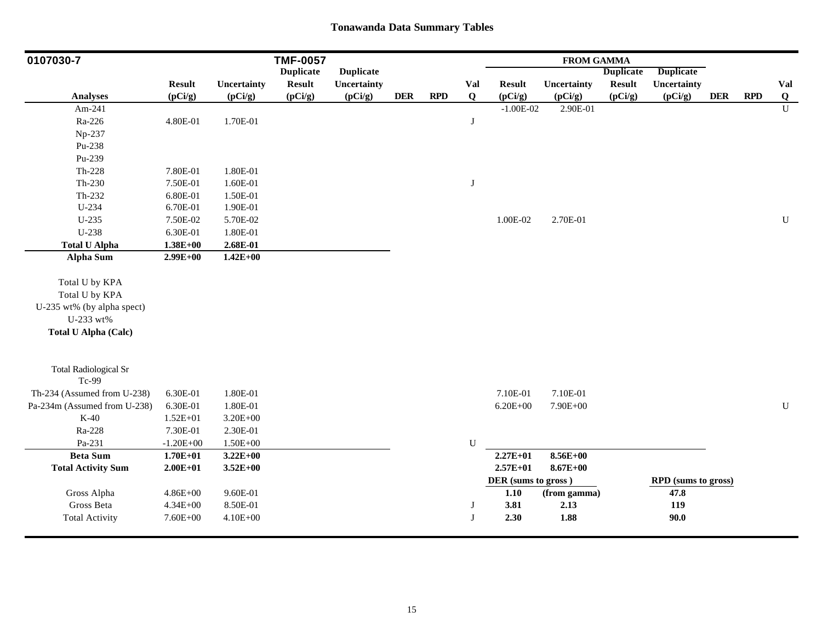| 0107030-7                             |               |              | <b>TMF-0057</b>  |                  |            |            |             |                     | <b>FROM GAMMA</b> |                  |                     |            |            |                         |
|---------------------------------------|---------------|--------------|------------------|------------------|------------|------------|-------------|---------------------|-------------------|------------------|---------------------|------------|------------|-------------------------|
|                                       |               |              | <b>Duplicate</b> | <b>Duplicate</b> |            |            |             |                     |                   | <b>Duplicate</b> | <b>Duplicate</b>    |            |            |                         |
|                                       | <b>Result</b> | Uncertainty  | <b>Result</b>    | Uncertainty      |            |            | Val         | <b>Result</b>       | Uncertainty       | <b>Result</b>    | Uncertainty         |            |            | Val                     |
| <b>Analyses</b>                       | (pCi/g)       | (pCi/g)      | (pCi/g)          | (pCi/g)          | <b>DER</b> | <b>RPD</b> | Q           | (pCi/g)             | (pCi/g)           | (pCi/g)          | (pCi/g)             | <b>DER</b> | <b>RPD</b> | $\overline{\mathbf{Q}}$ |
| Am-241                                |               |              |                  |                  |            |            |             | $-1.00E-02$         | 2.90E-01          |                  |                     |            |            | $\mathbf{U}$            |
| Ra-226                                | 4.80E-01      | 1.70E-01     |                  |                  |            |            | J           |                     |                   |                  |                     |            |            |                         |
| Np-237                                |               |              |                  |                  |            |            |             |                     |                   |                  |                     |            |            |                         |
| Pu-238                                |               |              |                  |                  |            |            |             |                     |                   |                  |                     |            |            |                         |
| Pu-239                                |               |              |                  |                  |            |            |             |                     |                   |                  |                     |            |            |                         |
| $Th-228$                              | 7.80E-01      | 1.80E-01     |                  |                  |            |            |             |                     |                   |                  |                     |            |            |                         |
| $Th-230$                              | 7.50E-01      | 1.60E-01     |                  |                  |            |            | $\bf J$     |                     |                   |                  |                     |            |            |                         |
| $Th-232$                              | 6.80E-01      | 1.50E-01     |                  |                  |            |            |             |                     |                   |                  |                     |            |            |                         |
| U-234                                 | 6.70E-01      | 1.90E-01     |                  |                  |            |            |             |                     |                   |                  |                     |            |            |                         |
| $U-235$                               | 7.50E-02      | 5.70E-02     |                  |                  |            |            |             | 1.00E-02            | 2.70E-01          |                  |                     |            |            | $\mathbf U$             |
| U-238                                 | 6.30E-01      | 1.80E-01     |                  |                  |            |            |             |                     |                   |                  |                     |            |            |                         |
| <b>Total U Alpha</b>                  | $1.38E + 00$  | 2.68E-01     |                  |                  |            |            |             |                     |                   |                  |                     |            |            |                         |
| <b>Alpha Sum</b>                      | $2.99E+00$    | $1.42E + 00$ |                  |                  |            |            |             |                     |                   |                  |                     |            |            |                         |
| Total U by KPA                        |               |              |                  |                  |            |            |             |                     |                   |                  |                     |            |            |                         |
| Total U by KPA                        |               |              |                  |                  |            |            |             |                     |                   |                  |                     |            |            |                         |
| U-235 wt% (by alpha spect)            |               |              |                  |                  |            |            |             |                     |                   |                  |                     |            |            |                         |
| U-233 wt%                             |               |              |                  |                  |            |            |             |                     |                   |                  |                     |            |            |                         |
| <b>Total U Alpha (Calc)</b>           |               |              |                  |                  |            |            |             |                     |                   |                  |                     |            |            |                         |
|                                       |               |              |                  |                  |            |            |             |                     |                   |                  |                     |            |            |                         |
| <b>Total Radiological Sr</b><br>Tc-99 |               |              |                  |                  |            |            |             |                     |                   |                  |                     |            |            |                         |
| Th-234 (Assumed from U-238)           | 6.30E-01      | 1.80E-01     |                  |                  |            |            |             | 7.10E-01            | 7.10E-01          |                  |                     |            |            |                         |
| Pa-234m (Assumed from U-238)          | 6.30E-01      | 1.80E-01     |                  |                  |            |            |             | $6.20E + 00$        | 7.90E+00          |                  |                     |            |            | ${\bf U}$               |
| $K-40$                                | $1.52E + 01$  | $3.20E + 00$ |                  |                  |            |            |             |                     |                   |                  |                     |            |            |                         |
| Ra-228                                | 7.30E-01      | 2.30E-01     |                  |                  |            |            |             |                     |                   |                  |                     |            |            |                         |
| Pa-231                                | $-1.20E + 00$ | $1.50E + 00$ |                  |                  |            |            | $\mathbf U$ |                     |                   |                  |                     |            |            |                         |
| <b>Beta Sum</b>                       | $1.70E + 01$  | $3.22E + 00$ |                  |                  |            |            |             | $2.27E+01$          | $8.56E + 00$      |                  |                     |            |            |                         |
| <b>Total Activity Sum</b>             | $2.00E + 01$  | $3.52E + 00$ |                  |                  |            |            |             | $2.57E+01$          | $8.67E + 00$      |                  |                     |            |            |                         |
|                                       |               |              |                  |                  |            |            |             | DER (sums to gross) |                   |                  | RPD (sums to gross) |            |            |                         |
| Gross Alpha                           | $4.86E + 00$  | 9.60E-01     |                  |                  |            |            |             | 1.10                | (from gamma)      |                  | 47.8                |            |            |                         |
| Gross Beta                            | $4.34E + 00$  | 8.50E-01     |                  |                  |            |            | J           | 3.81                | 2.13              |                  | 119                 |            |            |                         |
| <b>Total Activity</b>                 | 7.60E+00      | $4.10E + 00$ |                  |                  |            |            | J           | 2.30                | 1.88              |                  | 90.0                |            |            |                         |
|                                       |               |              |                  |                  |            |            |             |                     |                   |                  |                     |            |            |                         |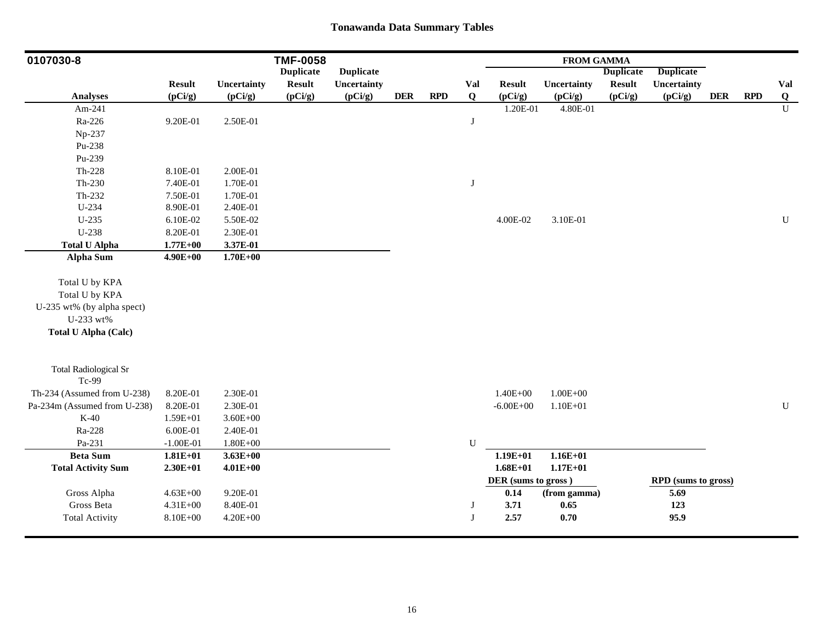| <b>Duplicate</b><br><b>Duplicate</b><br><b>Duplicate</b><br><b>Duplicate</b><br><b>Result</b><br>Uncertainty<br><b>Result</b><br>Uncertainty<br>Val<br><b>Result</b><br>Uncertainty<br><b>Result</b><br>Uncertainty<br>(pCi/g)<br><b>DER</b><br><b>RPD</b><br>(pCi/g)<br>(pCi/g)<br>(pCi/g)<br><b>DER</b><br><b>RPD</b><br><b>Analyses</b><br>(pCi/g)<br>(pCi/g)<br>(pCi/g)<br>$\mathbf Q$<br>(pCi/g)<br>Am-241<br>1.20E-01<br>4.80E-01<br>Ra-226<br>9.20E-01<br>2.50E-01<br>J<br>Np-237<br>Pu-238<br>Pu-239<br>$Th-228$<br>8.10E-01<br>2.00E-01<br>$Th-230$<br>7.40E-01<br>1.70E-01<br>$\bf J$<br>Th-232<br>1.70E-01<br>7.50E-01<br>U-234<br>8.90E-01<br>2.40E-01<br>$U-235$<br>5.50E-02<br>4.00E-02<br>3.10E-01<br>6.10E-02<br>U-238<br>8.20E-01<br>2.30E-01<br><b>Total U Alpha</b><br>$1.77E + 00$<br>3.37E-01<br><b>Alpha Sum</b><br>$1.70E + 00$<br>$4.90E + 00$<br>Total U by KPA<br>Total U by KPA<br>U-235 wt% (by alpha spect)<br>U-233 wt%<br><b>Total U Alpha (Calc)</b><br><b>Total Radiological Sr</b><br>Tc-99<br>Th-234 (Assumed from U-238)<br>$1.40E + 00$<br>$1.00E + 00$<br>8.20E-01<br>2.30E-01<br>${\bf U}$<br>Pa-234m (Assumed from U-238)<br>8.20E-01<br>2.30E-01<br>$1.10E + 01$<br>$-6.00E + 00$<br>$K-40$<br>1.59E+01<br>$3.60E + 00$<br>Ra-228<br>2.40E-01<br>6.00E-01<br>Pa-231<br>$-1.00E-01$<br>$1.80E + 00$<br>${\bf U}$<br><b>Beta Sum</b><br>$1.16E + 01$<br>$1.81E + 01$<br>$3.63E + 00$<br>$1.19E + 01$<br>$1.68E + 01$<br>$1.17E + 01$<br><b>Total Activity Sum</b><br>$2.30E+01$<br>$4.01E + 00$<br>DER (sums to gross)<br><b>RPD</b> (sums to gross)<br>Gross Alpha<br>$4.63E + 00$<br>9.20E-01<br>0.14<br>5.69<br>(from gamma)<br>Gross Beta<br>$4.31E + 00$<br>8.40E-01<br>3.71<br>123<br>0.65<br>J | 0107030-8             |          |              | <b>TMF-0058</b> |  |   |      | <b>FROM GAMMA</b> |      |  |                |
|----------------------------------------------------------------------------------------------------------------------------------------------------------------------------------------------------------------------------------------------------------------------------------------------------------------------------------------------------------------------------------------------------------------------------------------------------------------------------------------------------------------------------------------------------------------------------------------------------------------------------------------------------------------------------------------------------------------------------------------------------------------------------------------------------------------------------------------------------------------------------------------------------------------------------------------------------------------------------------------------------------------------------------------------------------------------------------------------------------------------------------------------------------------------------------------------------------------------------------------------------------------------------------------------------------------------------------------------------------------------------------------------------------------------------------------------------------------------------------------------------------------------------------------------------------------------------------------------------------------------------------------------------------------------------------------------------------------------------------------------|-----------------------|----------|--------------|-----------------|--|---|------|-------------------|------|--|----------------|
|                                                                                                                                                                                                                                                                                                                                                                                                                                                                                                                                                                                                                                                                                                                                                                                                                                                                                                                                                                                                                                                                                                                                                                                                                                                                                                                                                                                                                                                                                                                                                                                                                                                                                                                                              |                       |          |              |                 |  |   |      |                   |      |  |                |
|                                                                                                                                                                                                                                                                                                                                                                                                                                                                                                                                                                                                                                                                                                                                                                                                                                                                                                                                                                                                                                                                                                                                                                                                                                                                                                                                                                                                                                                                                                                                                                                                                                                                                                                                              |                       |          |              |                 |  |   |      |                   |      |  | Val            |
|                                                                                                                                                                                                                                                                                                                                                                                                                                                                                                                                                                                                                                                                                                                                                                                                                                                                                                                                                                                                                                                                                                                                                                                                                                                                                                                                                                                                                                                                                                                                                                                                                                                                                                                                              |                       |          |              |                 |  |   |      |                   |      |  | Q              |
|                                                                                                                                                                                                                                                                                                                                                                                                                                                                                                                                                                                                                                                                                                                                                                                                                                                                                                                                                                                                                                                                                                                                                                                                                                                                                                                                                                                                                                                                                                                                                                                                                                                                                                                                              |                       |          |              |                 |  |   |      |                   |      |  | $\overline{U}$ |
|                                                                                                                                                                                                                                                                                                                                                                                                                                                                                                                                                                                                                                                                                                                                                                                                                                                                                                                                                                                                                                                                                                                                                                                                                                                                                                                                                                                                                                                                                                                                                                                                                                                                                                                                              |                       |          |              |                 |  |   |      |                   |      |  |                |
|                                                                                                                                                                                                                                                                                                                                                                                                                                                                                                                                                                                                                                                                                                                                                                                                                                                                                                                                                                                                                                                                                                                                                                                                                                                                                                                                                                                                                                                                                                                                                                                                                                                                                                                                              |                       |          |              |                 |  |   |      |                   |      |  |                |
|                                                                                                                                                                                                                                                                                                                                                                                                                                                                                                                                                                                                                                                                                                                                                                                                                                                                                                                                                                                                                                                                                                                                                                                                                                                                                                                                                                                                                                                                                                                                                                                                                                                                                                                                              |                       |          |              |                 |  |   |      |                   |      |  |                |
|                                                                                                                                                                                                                                                                                                                                                                                                                                                                                                                                                                                                                                                                                                                                                                                                                                                                                                                                                                                                                                                                                                                                                                                                                                                                                                                                                                                                                                                                                                                                                                                                                                                                                                                                              |                       |          |              |                 |  |   |      |                   |      |  |                |
|                                                                                                                                                                                                                                                                                                                                                                                                                                                                                                                                                                                                                                                                                                                                                                                                                                                                                                                                                                                                                                                                                                                                                                                                                                                                                                                                                                                                                                                                                                                                                                                                                                                                                                                                              |                       |          |              |                 |  |   |      |                   |      |  |                |
|                                                                                                                                                                                                                                                                                                                                                                                                                                                                                                                                                                                                                                                                                                                                                                                                                                                                                                                                                                                                                                                                                                                                                                                                                                                                                                                                                                                                                                                                                                                                                                                                                                                                                                                                              |                       |          |              |                 |  |   |      |                   |      |  |                |
|                                                                                                                                                                                                                                                                                                                                                                                                                                                                                                                                                                                                                                                                                                                                                                                                                                                                                                                                                                                                                                                                                                                                                                                                                                                                                                                                                                                                                                                                                                                                                                                                                                                                                                                                              |                       |          |              |                 |  |   |      |                   |      |  |                |
|                                                                                                                                                                                                                                                                                                                                                                                                                                                                                                                                                                                                                                                                                                                                                                                                                                                                                                                                                                                                                                                                                                                                                                                                                                                                                                                                                                                                                                                                                                                                                                                                                                                                                                                                              |                       |          |              |                 |  |   |      |                   |      |  |                |
|                                                                                                                                                                                                                                                                                                                                                                                                                                                                                                                                                                                                                                                                                                                                                                                                                                                                                                                                                                                                                                                                                                                                                                                                                                                                                                                                                                                                                                                                                                                                                                                                                                                                                                                                              |                       |          |              |                 |  |   |      |                   |      |  | $\mathbf U$    |
|                                                                                                                                                                                                                                                                                                                                                                                                                                                                                                                                                                                                                                                                                                                                                                                                                                                                                                                                                                                                                                                                                                                                                                                                                                                                                                                                                                                                                                                                                                                                                                                                                                                                                                                                              |                       |          |              |                 |  |   |      |                   |      |  |                |
|                                                                                                                                                                                                                                                                                                                                                                                                                                                                                                                                                                                                                                                                                                                                                                                                                                                                                                                                                                                                                                                                                                                                                                                                                                                                                                                                                                                                                                                                                                                                                                                                                                                                                                                                              |                       |          |              |                 |  |   |      |                   |      |  |                |
|                                                                                                                                                                                                                                                                                                                                                                                                                                                                                                                                                                                                                                                                                                                                                                                                                                                                                                                                                                                                                                                                                                                                                                                                                                                                                                                                                                                                                                                                                                                                                                                                                                                                                                                                              |                       |          |              |                 |  |   |      |                   |      |  |                |
|                                                                                                                                                                                                                                                                                                                                                                                                                                                                                                                                                                                                                                                                                                                                                                                                                                                                                                                                                                                                                                                                                                                                                                                                                                                                                                                                                                                                                                                                                                                                                                                                                                                                                                                                              |                       |          |              |                 |  |   |      |                   |      |  |                |
|                                                                                                                                                                                                                                                                                                                                                                                                                                                                                                                                                                                                                                                                                                                                                                                                                                                                                                                                                                                                                                                                                                                                                                                                                                                                                                                                                                                                                                                                                                                                                                                                                                                                                                                                              |                       |          |              |                 |  |   |      |                   |      |  |                |
|                                                                                                                                                                                                                                                                                                                                                                                                                                                                                                                                                                                                                                                                                                                                                                                                                                                                                                                                                                                                                                                                                                                                                                                                                                                                                                                                                                                                                                                                                                                                                                                                                                                                                                                                              |                       |          |              |                 |  |   |      |                   |      |  |                |
|                                                                                                                                                                                                                                                                                                                                                                                                                                                                                                                                                                                                                                                                                                                                                                                                                                                                                                                                                                                                                                                                                                                                                                                                                                                                                                                                                                                                                                                                                                                                                                                                                                                                                                                                              |                       |          |              |                 |  |   |      |                   |      |  |                |
|                                                                                                                                                                                                                                                                                                                                                                                                                                                                                                                                                                                                                                                                                                                                                                                                                                                                                                                                                                                                                                                                                                                                                                                                                                                                                                                                                                                                                                                                                                                                                                                                                                                                                                                                              |                       |          |              |                 |  |   |      |                   |      |  |                |
|                                                                                                                                                                                                                                                                                                                                                                                                                                                                                                                                                                                                                                                                                                                                                                                                                                                                                                                                                                                                                                                                                                                                                                                                                                                                                                                                                                                                                                                                                                                                                                                                                                                                                                                                              |                       |          |              |                 |  |   |      |                   |      |  |                |
|                                                                                                                                                                                                                                                                                                                                                                                                                                                                                                                                                                                                                                                                                                                                                                                                                                                                                                                                                                                                                                                                                                                                                                                                                                                                                                                                                                                                                                                                                                                                                                                                                                                                                                                                              |                       |          |              |                 |  |   |      |                   |      |  |                |
|                                                                                                                                                                                                                                                                                                                                                                                                                                                                                                                                                                                                                                                                                                                                                                                                                                                                                                                                                                                                                                                                                                                                                                                                                                                                                                                                                                                                                                                                                                                                                                                                                                                                                                                                              |                       |          |              |                 |  |   |      |                   |      |  |                |
|                                                                                                                                                                                                                                                                                                                                                                                                                                                                                                                                                                                                                                                                                                                                                                                                                                                                                                                                                                                                                                                                                                                                                                                                                                                                                                                                                                                                                                                                                                                                                                                                                                                                                                                                              |                       |          |              |                 |  |   |      |                   |      |  |                |
|                                                                                                                                                                                                                                                                                                                                                                                                                                                                                                                                                                                                                                                                                                                                                                                                                                                                                                                                                                                                                                                                                                                                                                                                                                                                                                                                                                                                                                                                                                                                                                                                                                                                                                                                              |                       |          |              |                 |  |   |      |                   |      |  |                |
|                                                                                                                                                                                                                                                                                                                                                                                                                                                                                                                                                                                                                                                                                                                                                                                                                                                                                                                                                                                                                                                                                                                                                                                                                                                                                                                                                                                                                                                                                                                                                                                                                                                                                                                                              |                       |          |              |                 |  |   |      |                   |      |  |                |
|                                                                                                                                                                                                                                                                                                                                                                                                                                                                                                                                                                                                                                                                                                                                                                                                                                                                                                                                                                                                                                                                                                                                                                                                                                                                                                                                                                                                                                                                                                                                                                                                                                                                                                                                              |                       |          |              |                 |  |   |      |                   |      |  |                |
|                                                                                                                                                                                                                                                                                                                                                                                                                                                                                                                                                                                                                                                                                                                                                                                                                                                                                                                                                                                                                                                                                                                                                                                                                                                                                                                                                                                                                                                                                                                                                                                                                                                                                                                                              |                       |          |              |                 |  |   |      |                   |      |  |                |
|                                                                                                                                                                                                                                                                                                                                                                                                                                                                                                                                                                                                                                                                                                                                                                                                                                                                                                                                                                                                                                                                                                                                                                                                                                                                                                                                                                                                                                                                                                                                                                                                                                                                                                                                              |                       |          |              |                 |  |   |      |                   |      |  |                |
|                                                                                                                                                                                                                                                                                                                                                                                                                                                                                                                                                                                                                                                                                                                                                                                                                                                                                                                                                                                                                                                                                                                                                                                                                                                                                                                                                                                                                                                                                                                                                                                                                                                                                                                                              |                       |          |              |                 |  |   |      |                   |      |  |                |
|                                                                                                                                                                                                                                                                                                                                                                                                                                                                                                                                                                                                                                                                                                                                                                                                                                                                                                                                                                                                                                                                                                                                                                                                                                                                                                                                                                                                                                                                                                                                                                                                                                                                                                                                              |                       |          |              |                 |  |   |      |                   |      |  |                |
|                                                                                                                                                                                                                                                                                                                                                                                                                                                                                                                                                                                                                                                                                                                                                                                                                                                                                                                                                                                                                                                                                                                                                                                                                                                                                                                                                                                                                                                                                                                                                                                                                                                                                                                                              |                       |          |              |                 |  |   |      |                   |      |  |                |
|                                                                                                                                                                                                                                                                                                                                                                                                                                                                                                                                                                                                                                                                                                                                                                                                                                                                                                                                                                                                                                                                                                                                                                                                                                                                                                                                                                                                                                                                                                                                                                                                                                                                                                                                              |                       |          |              |                 |  |   |      |                   |      |  |                |
|                                                                                                                                                                                                                                                                                                                                                                                                                                                                                                                                                                                                                                                                                                                                                                                                                                                                                                                                                                                                                                                                                                                                                                                                                                                                                                                                                                                                                                                                                                                                                                                                                                                                                                                                              | <b>Total Activity</b> | 8.10E+00 | $4.20E + 00$ |                 |  | J | 2.57 | 0.70              | 95.9 |  |                |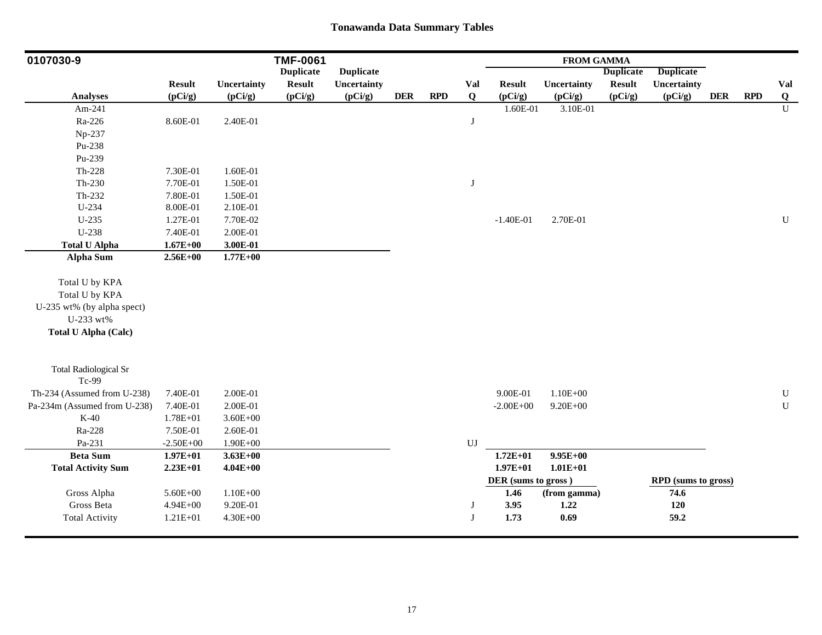| 0107030-9                             |               |              | <b>TMF-0061</b>  |                  |            |            |             |                     | <b>FROM GAMMA</b> |                  |                     |            |            |                |
|---------------------------------------|---------------|--------------|------------------|------------------|------------|------------|-------------|---------------------|-------------------|------------------|---------------------|------------|------------|----------------|
|                                       |               |              | <b>Duplicate</b> | <b>Duplicate</b> |            |            |             |                     |                   | <b>Duplicate</b> | <b>Duplicate</b>    |            |            |                |
|                                       | <b>Result</b> | Uncertainty  | <b>Result</b>    | Uncertainty      |            |            | Val         | <b>Result</b>       | Uncertainty       | <b>Result</b>    | Uncertainty         |            |            | Val            |
| <b>Analyses</b>                       | (pCi/g)       | (pCi/g)      | (pCi/g)          | (pCi/g)          | <b>DER</b> | <b>RPD</b> | $\mathbf Q$ | (pCi/g)             | (pCi/g)           | (pCi/g)          | (pCi/g)             | <b>DER</b> | <b>RPD</b> | Q              |
| Am-241                                |               |              |                  |                  |            |            |             | 1.60E-01            | 3.10E-01          |                  |                     |            |            | $\overline{U}$ |
| Ra-226                                | 8.60E-01      | 2.40E-01     |                  |                  |            |            | J           |                     |                   |                  |                     |            |            |                |
| Np-237                                |               |              |                  |                  |            |            |             |                     |                   |                  |                     |            |            |                |
| Pu-238                                |               |              |                  |                  |            |            |             |                     |                   |                  |                     |            |            |                |
| Pu-239                                |               |              |                  |                  |            |            |             |                     |                   |                  |                     |            |            |                |
| $Th-228$                              | 7.30E-01      | 1.60E-01     |                  |                  |            |            |             |                     |                   |                  |                     |            |            |                |
| $Th-230$                              | 7.70E-01      | 1.50E-01     |                  |                  |            |            | $\bf J$     |                     |                   |                  |                     |            |            |                |
| Th-232                                | 7.80E-01      | 1.50E-01     |                  |                  |            |            |             |                     |                   |                  |                     |            |            |                |
| U-234                                 | 8.00E-01      | 2.10E-01     |                  |                  |            |            |             |                     |                   |                  |                     |            |            |                |
| $U-235$                               | 1.27E-01      | 7.70E-02     |                  |                  |            |            |             | $-1.40E-01$         | 2.70E-01          |                  |                     |            |            | $\mathbf U$    |
| U-238                                 | 7.40E-01      | 2.00E-01     |                  |                  |            |            |             |                     |                   |                  |                     |            |            |                |
| <b>Total U Alpha</b>                  | $1.67E + 00$  | 3.00E-01     |                  |                  |            |            |             |                     |                   |                  |                     |            |            |                |
| <b>Alpha Sum</b>                      | $2.56E+00$    | $1.77E + 00$ |                  |                  |            |            |             |                     |                   |                  |                     |            |            |                |
| Total U by KPA                        |               |              |                  |                  |            |            |             |                     |                   |                  |                     |            |            |                |
| Total U by KPA                        |               |              |                  |                  |            |            |             |                     |                   |                  |                     |            |            |                |
| U-235 wt% (by alpha spect)            |               |              |                  |                  |            |            |             |                     |                   |                  |                     |            |            |                |
| U-233 wt%                             |               |              |                  |                  |            |            |             |                     |                   |                  |                     |            |            |                |
| <b>Total U Alpha (Calc)</b>           |               |              |                  |                  |            |            |             |                     |                   |                  |                     |            |            |                |
|                                       |               |              |                  |                  |            |            |             |                     |                   |                  |                     |            |            |                |
| <b>Total Radiological Sr</b><br>Tc-99 |               |              |                  |                  |            |            |             |                     |                   |                  |                     |            |            |                |
| Th-234 (Assumed from U-238)           | 7.40E-01      | 2.00E-01     |                  |                  |            |            |             | 9.00E-01            | $1.10E + 00$      |                  |                     |            |            | ${\bf U}$      |
| Pa-234m (Assumed from U-238)          | 7.40E-01      | 2.00E-01     |                  |                  |            |            |             | $-2.00E + 00$       | $9.20E + 00$      |                  |                     |            |            | ${\bf U}$      |
| $K-40$                                | $1.78E + 01$  | $3.60E + 00$ |                  |                  |            |            |             |                     |                   |                  |                     |            |            |                |
| Ra-228                                | 7.50E-01      | 2.60E-01     |                  |                  |            |            |             |                     |                   |                  |                     |            |            |                |
| Pa-231                                | $-2.50E + 00$ | $1.90E + 00$ |                  |                  |            |            | UJ          |                     |                   |                  |                     |            |            |                |
| <b>Beta Sum</b>                       | $1.97E + 01$  | $3.63E + 00$ |                  |                  |            |            |             | $1.72E + 01$        | $9.95E + 00$      |                  |                     |            |            |                |
| <b>Total Activity Sum</b>             | $2.23E+01$    | $4.04E + 00$ |                  |                  |            |            |             | $1.97E + 01$        | $1.01E + 01$      |                  |                     |            |            |                |
|                                       |               |              |                  |                  |            |            |             | DER (sums to gross) |                   |                  | RPD (sums to gross) |            |            |                |
| Gross Alpha                           | 5.60E+00      | $1.10E + 00$ |                  |                  |            |            |             | 1.46                | (from gamma)      |                  | 74.6                |            |            |                |
| Gross Beta                            | $4.94E + 00$  | 9.20E-01     |                  |                  |            |            | J           | 3.95                | 1.22              |                  | 120                 |            |            |                |
| <b>Total Activity</b>                 | 1.21E+01      | $4.30E + 00$ |                  |                  |            |            | J           | 1.73                | 0.69              |                  | 59.2                |            |            |                |
|                                       |               |              |                  |                  |            |            |             |                     |                   |                  |                     |            |            |                |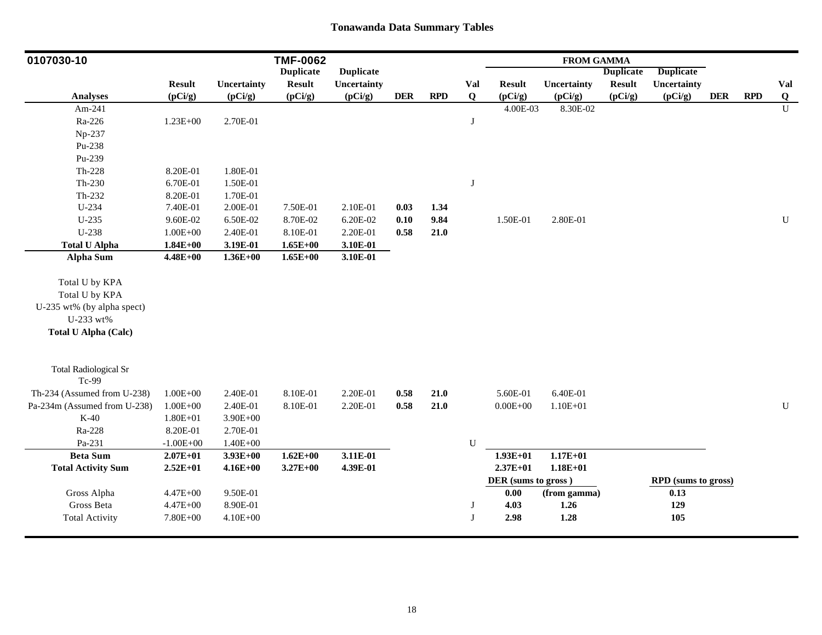| 0107030-10                   |               |              | <b>TMF-0062</b>  |                  |            |            |           |                     | <b>FROM GAMMA</b> |                  |                     |            |            |                |
|------------------------------|---------------|--------------|------------------|------------------|------------|------------|-----------|---------------------|-------------------|------------------|---------------------|------------|------------|----------------|
|                              |               |              | <b>Duplicate</b> | <b>Duplicate</b> |            |            |           |                     |                   | <b>Duplicate</b> | <b>Duplicate</b>    |            |            |                |
|                              | <b>Result</b> | Uncertainty  | <b>Result</b>    | Uncertainty      |            |            | Val       | <b>Result</b>       | Uncertainty       | <b>Result</b>    | Uncertainty         |            |            | Val            |
| <b>Analyses</b>              | (pCi/g)       | (pCi/g)      | (pCi/g)          | (pCi/g)          | <b>DER</b> | <b>RPD</b> | Q         | (pCi/g)             | (pCi/g)           | (pCi/g)          | (pCi/g)             | <b>DER</b> | <b>RPD</b> | Q              |
| Am-241                       |               |              |                  |                  |            |            |           | 4.00E-03            | 8.30E-02          |                  |                     |            |            | $\overline{U}$ |
| Ra-226                       | $1.23E + 00$  | 2.70E-01     |                  |                  |            |            | J         |                     |                   |                  |                     |            |            |                |
| Np-237                       |               |              |                  |                  |            |            |           |                     |                   |                  |                     |            |            |                |
| Pu-238                       |               |              |                  |                  |            |            |           |                     |                   |                  |                     |            |            |                |
| Pu-239                       |               |              |                  |                  |            |            |           |                     |                   |                  |                     |            |            |                |
| Th-228                       | 8.20E-01      | 1.80E-01     |                  |                  |            |            |           |                     |                   |                  |                     |            |            |                |
| Th-230                       | 6.70E-01      | 1.50E-01     |                  |                  |            |            | J         |                     |                   |                  |                     |            |            |                |
| Th-232                       | 8.20E-01      | 1.70E-01     |                  |                  |            |            |           |                     |                   |                  |                     |            |            |                |
| U-234                        | 7.40E-01      | 2.00E-01     | 7.50E-01         | 2.10E-01         | 0.03       | 1.34       |           |                     |                   |                  |                     |            |            |                |
| $U-235$                      | 9.60E-02      | 6.50E-02     | 8.70E-02         | 6.20E-02         | 0.10       | 9.84       |           | 1.50E-01            | 2.80E-01          |                  |                     |            |            | $\mathbf U$    |
| U-238                        | $1.00E + 00$  | 2.40E-01     | 8.10E-01         | 2.20E-01         | 0.58       | 21.0       |           |                     |                   |                  |                     |            |            |                |
| <b>Total U Alpha</b>         | $1.84E+00$    | 3.19E-01     | $1.65E+00$       | 3.10E-01         |            |            |           |                     |                   |                  |                     |            |            |                |
| <b>Alpha Sum</b>             | $4.48E + 00$  | $1.36E + 00$ | $1.65E + 00$     | 3.10E-01         |            |            |           |                     |                   |                  |                     |            |            |                |
| Total U by KPA               |               |              |                  |                  |            |            |           |                     |                   |                  |                     |            |            |                |
| Total U by KPA               |               |              |                  |                  |            |            |           |                     |                   |                  |                     |            |            |                |
| U-235 wt% (by alpha spect)   |               |              |                  |                  |            |            |           |                     |                   |                  |                     |            |            |                |
| U-233 wt%                    |               |              |                  |                  |            |            |           |                     |                   |                  |                     |            |            |                |
| <b>Total U Alpha (Calc)</b>  |               |              |                  |                  |            |            |           |                     |                   |                  |                     |            |            |                |
|                              |               |              |                  |                  |            |            |           |                     |                   |                  |                     |            |            |                |
| <b>Total Radiological Sr</b> |               |              |                  |                  |            |            |           |                     |                   |                  |                     |            |            |                |
| Tc-99                        |               |              |                  |                  |            |            |           |                     |                   |                  |                     |            |            |                |
| Th-234 (Assumed from U-238)  | $1.00E + 00$  | 2.40E-01     | 8.10E-01         | 2.20E-01         | 0.58       | $21.0$     |           | 5.60E-01            | 6.40E-01          |                  |                     |            |            |                |
| Pa-234m (Assumed from U-238) | $1.00E + 00$  | 2.40E-01     | 8.10E-01         | 2.20E-01         | 0.58       | $21.0$     |           | $0.00E + 00$        | $1.10E + 01$      |                  |                     |            |            | ${\bf U}$      |
| $K-40$                       | $1.80E + 01$  | $3.90E + 00$ |                  |                  |            |            |           |                     |                   |                  |                     |            |            |                |
| Ra-228                       | 8.20E-01      | 2.70E-01     |                  |                  |            |            |           |                     |                   |                  |                     |            |            |                |
| Pa-231                       | $-1.00E + 00$ | $1.40E + 00$ |                  |                  |            |            | ${\bf U}$ |                     |                   |                  |                     |            |            |                |
| <b>Beta Sum</b>              | $2.07E + 01$  | $3.93E+00$   | $1.62E + 00$     | 3.11E-01         |            |            |           | $1.93E+01$          | $1.17E + 01$      |                  |                     |            |            |                |
| <b>Total Activity Sum</b>    | $2.52E+01$    | $4.16E + 00$ | $3.27E + 00$     | 4.39E-01         |            |            |           | $2.37E+01$          | $1.18E + 01$      |                  |                     |            |            |                |
|                              |               |              |                  |                  |            |            |           | DER (sums to gross) |                   |                  | RPD (sums to gross) |            |            |                |
| Gross Alpha                  | $4.47E + 00$  | 9.50E-01     |                  |                  |            |            |           | 0.00                | (from gamma)      |                  | 0.13                |            |            |                |
| Gross Beta                   | $4.47E + 00$  | 8.90E-01     |                  |                  |            |            | J         | 4.03                | 1.26              |                  | 129                 |            |            |                |
| <b>Total Activity</b>        | $7.80E + 00$  | $4.10E + 00$ |                  |                  |            |            | J         | 2.98                | 1.28              |                  | 105                 |            |            |                |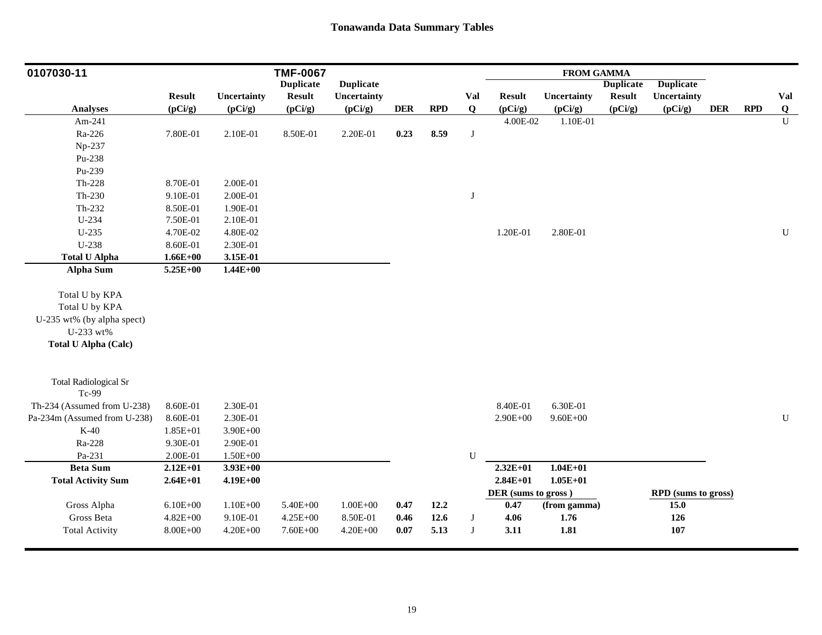| 0107030-11                            |               |              | <b>TMF-0067</b>  |                  |            |      |              |                             | <b>FROM GAMMA</b> |                  |                     |            |            |                |
|---------------------------------------|---------------|--------------|------------------|------------------|------------|------|--------------|-----------------------------|-------------------|------------------|---------------------|------------|------------|----------------|
|                                       |               |              | <b>Duplicate</b> | <b>Duplicate</b> |            |      |              |                             |                   | <b>Duplicate</b> | <b>Duplicate</b>    |            |            |                |
|                                       | <b>Result</b> | Uncertainty  | <b>Result</b>    | Uncertainty      |            |      | Val          | <b>Result</b>               | Uncertainty       | <b>Result</b>    | Uncertainty         |            |            | Val            |
| Analyses                              | (pCi/g)       | (pCi/g)      | (pCi/g)          | (pCi/g)          | <b>DER</b> | RPD  | $\bf{Q}$     | (pCi/g)                     | (pCi/g)           | (pCi/g)          | (pCi/g)             | <b>DER</b> | <b>RPD</b> | Q              |
| Am-241                                |               |              |                  |                  |            |      |              | 4.00E-02                    | 1.10E-01          |                  |                     |            |            | $\overline{U}$ |
| Ra-226                                | 7.80E-01      | 2.10E-01     | 8.50E-01         | 2.20E-01         | 0.23       | 8.59 | J            |                             |                   |                  |                     |            |            |                |
| Np-237                                |               |              |                  |                  |            |      |              |                             |                   |                  |                     |            |            |                |
| Pu-238                                |               |              |                  |                  |            |      |              |                             |                   |                  |                     |            |            |                |
| Pu-239                                |               |              |                  |                  |            |      |              |                             |                   |                  |                     |            |            |                |
| $Th-228$                              | 8.70E-01      | 2.00E-01     |                  |                  |            |      |              |                             |                   |                  |                     |            |            |                |
| $Th-230$                              | 9.10E-01      | 2.00E-01     |                  |                  |            |      | $\mathbf{J}$ |                             |                   |                  |                     |            |            |                |
| Th-232                                | 8.50E-01      | 1.90E-01     |                  |                  |            |      |              |                             |                   |                  |                     |            |            |                |
| U-234                                 | 7.50E-01      | 2.10E-01     |                  |                  |            |      |              |                             |                   |                  |                     |            |            |                |
| $U-235$                               | 4.70E-02      | 4.80E-02     |                  |                  |            |      |              | 1.20E-01                    | 2.80E-01          |                  |                     |            |            | $\mathbf U$    |
| U-238                                 | 8.60E-01      | 2.30E-01     |                  |                  |            |      |              |                             |                   |                  |                     |            |            |                |
| <b>Total U Alpha</b>                  | $1.66E + 00$  | 3.15E-01     |                  |                  |            |      |              |                             |                   |                  |                     |            |            |                |
| Alpha Sum                             | 5.25E+00      | $1.44E + 00$ |                  |                  |            |      |              |                             |                   |                  |                     |            |            |                |
|                                       |               |              |                  |                  |            |      |              |                             |                   |                  |                     |            |            |                |
| Total U by KPA                        |               |              |                  |                  |            |      |              |                             |                   |                  |                     |            |            |                |
| Total U by KPA                        |               |              |                  |                  |            |      |              |                             |                   |                  |                     |            |            |                |
| U-235 wt% (by alpha spect)            |               |              |                  |                  |            |      |              |                             |                   |                  |                     |            |            |                |
| U-233 wt%                             |               |              |                  |                  |            |      |              |                             |                   |                  |                     |            |            |                |
| <b>Total U Alpha (Calc)</b>           |               |              |                  |                  |            |      |              |                             |                   |                  |                     |            |            |                |
|                                       |               |              |                  |                  |            |      |              |                             |                   |                  |                     |            |            |                |
| <b>Total Radiological Sr</b><br>Tc-99 |               |              |                  |                  |            |      |              |                             |                   |                  |                     |            |            |                |
| Th-234 (Assumed from U-238)           | 8.60E-01      | 2.30E-01     |                  |                  |            |      |              | 8.40E-01                    | 6.30E-01          |                  |                     |            |            |                |
| Pa-234m (Assumed from U-238)          | 8.60E-01      | 2.30E-01     |                  |                  |            |      |              | $2.90E + 00$                | $9.60E + 00$      |                  |                     |            |            | ${\bf U}$      |
| $K-40$                                | $1.85E + 01$  | $3.90E + 00$ |                  |                  |            |      |              |                             |                   |                  |                     |            |            |                |
| Ra-228                                | 9.30E-01      | 2.90E-01     |                  |                  |            |      |              |                             |                   |                  |                     |            |            |                |
| Pa-231                                | 2.00E-01      | $1.50E + 00$ |                  |                  |            |      | U            |                             |                   |                  |                     |            |            |                |
| <b>Beta Sum</b>                       | $2.12E + 01$  | $3.93E+00$   |                  |                  |            |      |              | $2.32E+01$                  | $1.04E + 01$      |                  |                     |            |            |                |
|                                       |               |              |                  |                  |            |      |              | $2.84E + 01$                | $1.05E + 01$      |                  |                     |            |            |                |
| <b>Total Activity Sum</b>             | $2.64E + 01$  | $4.19E + 00$ |                  |                  |            |      |              |                             |                   |                  |                     |            |            |                |
|                                       | $6.10E + 00$  | $1.10E + 00$ | 5.40E+00         |                  |            |      |              | DER (sums to gross)<br>0.47 |                   |                  | RPD (sums to gross) |            |            |                |
| Gross Alpha                           |               |              |                  | $1.00E + 00$     | 0.47       | 12.2 |              |                             | (from gamma)      |                  | 15.0                |            |            |                |
| Gross Beta                            | $4.82E + 00$  | 9.10E-01     | $4.25E + 00$     | 8.50E-01         | 0.46       | 12.6 | $\bf J$      | 4.06                        | 1.76              |                  | 126                 |            |            |                |
| <b>Total Activity</b>                 | $8.00E + 00$  | $4.20E + 00$ | 7.60E+00         | $4.20E + 00$     | 0.07       | 5.13 | $\mathbf{J}$ | 3.11                        | 1.81              |                  | 107                 |            |            |                |
|                                       |               |              |                  |                  |            |      |              |                             |                   |                  |                     |            |            |                |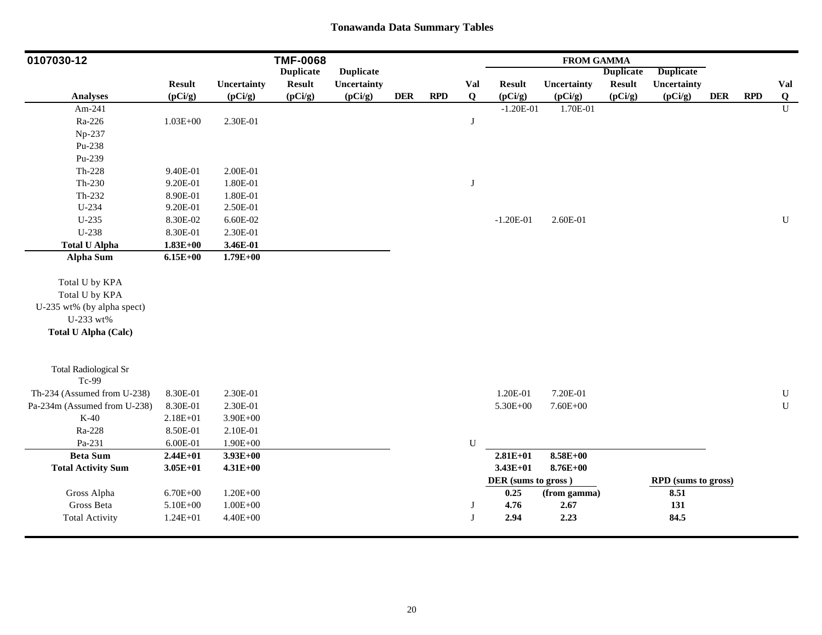| 0107030-12                   |               |              | <b>TMF-0068</b>  |                  |            |            |             |                     | <b>FROM GAMMA</b> |                  |                     |            |            |                |
|------------------------------|---------------|--------------|------------------|------------------|------------|------------|-------------|---------------------|-------------------|------------------|---------------------|------------|------------|----------------|
|                              |               |              | <b>Duplicate</b> | <b>Duplicate</b> |            |            |             |                     |                   | <b>Duplicate</b> | <b>Duplicate</b>    |            |            |                |
|                              | <b>Result</b> | Uncertainty  | <b>Result</b>    | Uncertainty      |            |            | Val         | <b>Result</b>       | Uncertainty       | <b>Result</b>    | Uncertainty         |            |            | Val            |
| <b>Analyses</b>              | (pCi/g)       | (pCi/g)      | (pCi/g)          | (pCi/g)          | <b>DER</b> | <b>RPD</b> | $\mathbf Q$ | (pCi/g)             | (pCi/g)           | (pCi/g)          | (pCi/g)             | <b>DER</b> | <b>RPD</b> | Q              |
| Am-241                       |               |              |                  |                  |            |            |             | $-1.20E-01$         | 1.70E-01          |                  |                     |            |            | $\overline{U}$ |
| Ra-226                       | $1.03E + 00$  | 2.30E-01     |                  |                  |            |            | J           |                     |                   |                  |                     |            |            |                |
| Np-237                       |               |              |                  |                  |            |            |             |                     |                   |                  |                     |            |            |                |
| Pu-238                       |               |              |                  |                  |            |            |             |                     |                   |                  |                     |            |            |                |
| Pu-239                       |               |              |                  |                  |            |            |             |                     |                   |                  |                     |            |            |                |
| $Th-228$                     | 9.40E-01      | 2.00E-01     |                  |                  |            |            |             |                     |                   |                  |                     |            |            |                |
| Th-230                       | 9.20E-01      | 1.80E-01     |                  |                  |            |            | $\bf J$     |                     |                   |                  |                     |            |            |                |
| $Th-232$                     | 8.90E-01      | 1.80E-01     |                  |                  |            |            |             |                     |                   |                  |                     |            |            |                |
| U-234                        | 9.20E-01      | 2.50E-01     |                  |                  |            |            |             |                     |                   |                  |                     |            |            |                |
| $U-235$                      | 8.30E-02      | 6.60E-02     |                  |                  |            |            |             | $-1.20E-01$         | 2.60E-01          |                  |                     |            |            | $\mathbf U$    |
| U-238                        | 8.30E-01      | 2.30E-01     |                  |                  |            |            |             |                     |                   |                  |                     |            |            |                |
| <b>Total U Alpha</b>         | $1.83E + 00$  | 3.46E-01     |                  |                  |            |            |             |                     |                   |                  |                     |            |            |                |
| <b>Alpha Sum</b>             | $6.15E+00$    | $1.79E + 00$ |                  |                  |            |            |             |                     |                   |                  |                     |            |            |                |
| Total U by KPA               |               |              |                  |                  |            |            |             |                     |                   |                  |                     |            |            |                |
| Total U by KPA               |               |              |                  |                  |            |            |             |                     |                   |                  |                     |            |            |                |
| U-235 wt% (by alpha spect)   |               |              |                  |                  |            |            |             |                     |                   |                  |                     |            |            |                |
| U-233 wt%                    |               |              |                  |                  |            |            |             |                     |                   |                  |                     |            |            |                |
| <b>Total U Alpha (Calc)</b>  |               |              |                  |                  |            |            |             |                     |                   |                  |                     |            |            |                |
|                              |               |              |                  |                  |            |            |             |                     |                   |                  |                     |            |            |                |
| <b>Total Radiological Sr</b> |               |              |                  |                  |            |            |             |                     |                   |                  |                     |            |            |                |
| Tc-99                        |               |              |                  |                  |            |            |             |                     |                   |                  |                     |            |            |                |
| Th-234 (Assumed from U-238)  | 8.30E-01      | 2.30E-01     |                  |                  |            |            |             | 1.20E-01            | 7.20E-01          |                  |                     |            |            | ${\bf U}$      |
| Pa-234m (Assumed from U-238) | 8.30E-01      | 2.30E-01     |                  |                  |            |            |             | $5.30E + 00$        | $7.60E + 00$      |                  |                     |            |            | $\mathbf U$    |
| $K-40$                       | $2.18E + 01$  | 3.90E+00     |                  |                  |            |            |             |                     |                   |                  |                     |            |            |                |
| Ra-228                       | 8.50E-01      | 2.10E-01     |                  |                  |            |            |             |                     |                   |                  |                     |            |            |                |
| Pa-231                       | 6.00E-01      | $1.90E + 00$ |                  |                  |            |            | ${\bf U}$   |                     |                   |                  |                     |            |            |                |
| <b>Beta Sum</b>              | $2.44E + 01$  | $3.93E + 00$ |                  |                  |            |            |             | $2.81E+01$          | 8.58E+00          |                  |                     |            |            |                |
| <b>Total Activity Sum</b>    | $3.05E + 01$  | $4.31E + 00$ |                  |                  |            |            |             | $3.43E + 01$        | $8.76E + 00$      |                  |                     |            |            |                |
|                              |               |              |                  |                  |            |            |             | DER (sums to gross) |                   |                  | RPD (sums to gross) |            |            |                |
| Gross Alpha                  | $6.70E + 00$  | $1.20E + 00$ |                  |                  |            |            |             | 0.25                | (from gamma)      |                  | 8.51                |            |            |                |
| Gross Beta                   | 5.10E+00      | $1.00E + 00$ |                  |                  |            |            | J           | 4.76                | 2.67              |                  | 131                 |            |            |                |
| <b>Total Activity</b>        | 1.24E+01      | $4.40E + 00$ |                  |                  |            |            | J           | 2.94                | 2.23              |                  | 84.5                |            |            |                |
|                              |               |              |                  |                  |            |            |             |                     |                   |                  |                     |            |            |                |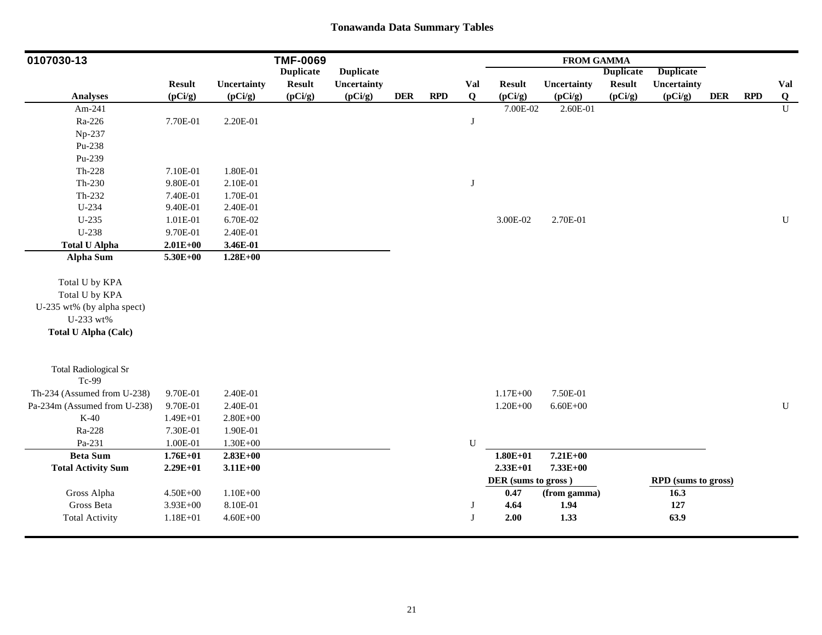| 0107030-13                            |               |              | <b>TMF-0069</b>  |                  |            |            |           |                     | <b>FROM GAMMA</b> |                  |                     |            |            |                |
|---------------------------------------|---------------|--------------|------------------|------------------|------------|------------|-----------|---------------------|-------------------|------------------|---------------------|------------|------------|----------------|
|                                       |               |              | <b>Duplicate</b> | <b>Duplicate</b> |            |            |           |                     |                   | <b>Duplicate</b> | <b>Duplicate</b>    |            |            |                |
|                                       | <b>Result</b> | Uncertainty  | <b>Result</b>    | Uncertainty      |            |            | Val       | <b>Result</b>       | Uncertainty       | <b>Result</b>    | Uncertainty         |            |            | Val            |
| <b>Analyses</b>                       | (pCi/g)       | (pCi/g)      | (pCi/g)          | (pCi/g)          | <b>DER</b> | <b>RPD</b> | Q         | (pCi/g)             | (pCi/g)           | (pCi/g)          | (pCi/g)             | <b>DER</b> | <b>RPD</b> | $\overline{Q}$ |
| Am-241                                |               |              |                  |                  |            |            |           | 7.00E-02            | 2.60E-01          |                  |                     |            |            | $\overline{U}$ |
| Ra-226                                | 7.70E-01      | 2.20E-01     |                  |                  |            |            | J         |                     |                   |                  |                     |            |            |                |
| Np-237                                |               |              |                  |                  |            |            |           |                     |                   |                  |                     |            |            |                |
| Pu-238                                |               |              |                  |                  |            |            |           |                     |                   |                  |                     |            |            |                |
| Pu-239                                |               |              |                  |                  |            |            |           |                     |                   |                  |                     |            |            |                |
| $Th-228$                              | 7.10E-01      | 1.80E-01     |                  |                  |            |            |           |                     |                   |                  |                     |            |            |                |
| Th-230                                | 9.80E-01      | 2.10E-01     |                  |                  |            |            | $\bf J$   |                     |                   |                  |                     |            |            |                |
| Th-232                                | 7.40E-01      | 1.70E-01     |                  |                  |            |            |           |                     |                   |                  |                     |            |            |                |
| U-234                                 | 9.40E-01      | 2.40E-01     |                  |                  |            |            |           |                     |                   |                  |                     |            |            |                |
| $U-235$                               | 1.01E-01      | 6.70E-02     |                  |                  |            |            |           | 3.00E-02            | 2.70E-01          |                  |                     |            |            | ${\bf U}$      |
| U-238                                 | 9.70E-01      | 2.40E-01     |                  |                  |            |            |           |                     |                   |                  |                     |            |            |                |
| <b>Total U Alpha</b>                  | $2.01E+00$    | 3.46E-01     |                  |                  |            |            |           |                     |                   |                  |                     |            |            |                |
| <b>Alpha Sum</b>                      | $5.30E + 00$  | $1.28E + 00$ |                  |                  |            |            |           |                     |                   |                  |                     |            |            |                |
| Total U by KPA                        |               |              |                  |                  |            |            |           |                     |                   |                  |                     |            |            |                |
| Total U by KPA                        |               |              |                  |                  |            |            |           |                     |                   |                  |                     |            |            |                |
| U-235 wt% (by alpha spect)            |               |              |                  |                  |            |            |           |                     |                   |                  |                     |            |            |                |
| U-233 wt%                             |               |              |                  |                  |            |            |           |                     |                   |                  |                     |            |            |                |
| <b>Total U Alpha (Calc)</b>           |               |              |                  |                  |            |            |           |                     |                   |                  |                     |            |            |                |
|                                       |               |              |                  |                  |            |            |           |                     |                   |                  |                     |            |            |                |
| <b>Total Radiological Sr</b><br>Tc-99 |               |              |                  |                  |            |            |           |                     |                   |                  |                     |            |            |                |
| Th-234 (Assumed from U-238)           | 9.70E-01      | 2.40E-01     |                  |                  |            |            |           | $1.17E + 00$        | 7.50E-01          |                  |                     |            |            |                |
| Pa-234m (Assumed from U-238)          | 9.70E-01      | 2.40E-01     |                  |                  |            |            |           | $1.20E + 00$        | $6.60E + 00$      |                  |                     |            |            | ${\bf U}$      |
| $K-40$                                | 1.49E+01      | $2.80E + 00$ |                  |                  |            |            |           |                     |                   |                  |                     |            |            |                |
| Ra-228                                | 7.30E-01      | 1.90E-01     |                  |                  |            |            |           |                     |                   |                  |                     |            |            |                |
| Pa-231                                | 1.00E-01      | $1.30E + 00$ |                  |                  |            |            | ${\bf U}$ |                     |                   |                  |                     |            |            |                |
| <b>Beta Sum</b>                       | $1.76E + 01$  | $2.83E+00$   |                  |                  |            |            |           | $1.80E + 01$        | $7.21E + 00$      |                  |                     |            |            |                |
| <b>Total Activity Sum</b>             | $2.29E+01$    | $3.11E+00$   |                  |                  |            |            |           | $2.33E+01$          | 7.33E+00          |                  |                     |            |            |                |
|                                       |               |              |                  |                  |            |            |           | DER (sums to gross) |                   |                  | RPD (sums to gross) |            |            |                |
| Gross Alpha                           | $4.50E + 00$  | $1.10E + 00$ |                  |                  |            |            |           | 0.47                | (from gamma)      |                  | 16.3                |            |            |                |
| Gross Beta                            | $3.93E + 00$  | 8.10E-01     |                  |                  |            |            | J         | 4.64                | 1.94              |                  | 127                 |            |            |                |
| <b>Total Activity</b>                 | $1.18E + 01$  | $4.60E + 00$ |                  |                  |            |            | J         | 2.00                | 1.33              |                  | 63.9                |            |            |                |
|                                       |               |              |                  |                  |            |            |           |                     |                   |                  |                     |            |            |                |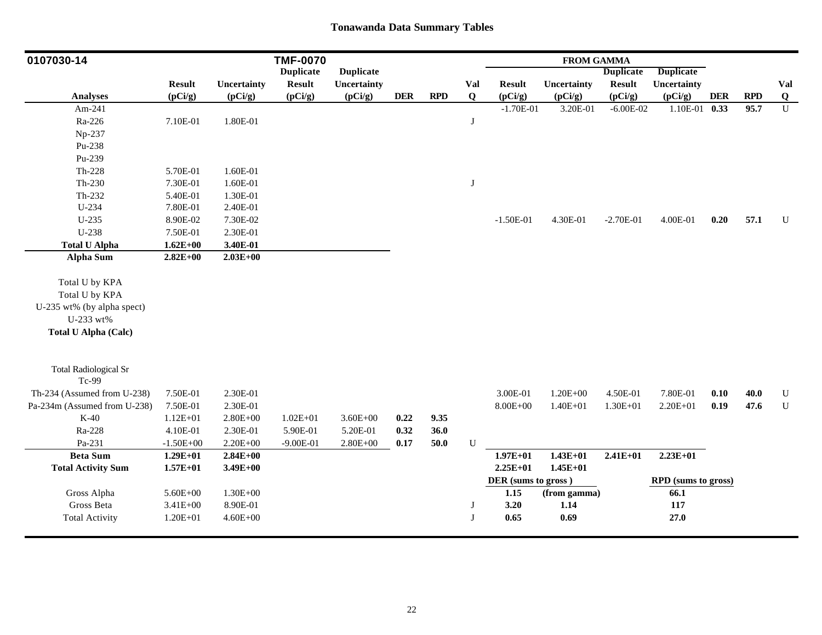| 0107030-14                   |               |              | <b>TMF-0070</b>  |                  |            |            |             |                     | <b>FROM GAMMA</b> |                  |                     |            |            |             |
|------------------------------|---------------|--------------|------------------|------------------|------------|------------|-------------|---------------------|-------------------|------------------|---------------------|------------|------------|-------------|
|                              |               |              | <b>Duplicate</b> | <b>Duplicate</b> |            |            |             |                     |                   | <b>Duplicate</b> | <b>Duplicate</b>    |            |            |             |
|                              | <b>Result</b> | Uncertainty  | <b>Result</b>    | Uncertainty      |            |            | Val         | <b>Result</b>       | Uncertainty       | <b>Result</b>    | Uncertainty         |            |            | Val         |
| <b>Analyses</b>              | (pCi/g)       | (pCi/g)      | (pCi/g)          | (pCi/g)          | <b>DER</b> | <b>RPD</b> | $\mathbf Q$ | (pCi/g)             | (pCi/g)           | (pCi/g)          | (pCi/g)             | <b>DER</b> | <b>RPD</b> | $\bf Q$     |
| Am-241                       |               |              |                  |                  |            |            |             | $-1.70E-01$         | 3.20E-01          | $-6.00E - 02$    | 1.10E-01 0.33       |            | 95.7       | $\mathbf U$ |
| Ra-226                       | 7.10E-01      | 1.80E-01     |                  |                  |            |            | J           |                     |                   |                  |                     |            |            |             |
| Np-237                       |               |              |                  |                  |            |            |             |                     |                   |                  |                     |            |            |             |
| Pu-238                       |               |              |                  |                  |            |            |             |                     |                   |                  |                     |            |            |             |
| Pu-239                       |               |              |                  |                  |            |            |             |                     |                   |                  |                     |            |            |             |
| $Th-228$                     | 5.70E-01      | 1.60E-01     |                  |                  |            |            |             |                     |                   |                  |                     |            |            |             |
| $Th-230$                     | 7.30E-01      | 1.60E-01     |                  |                  |            |            | J           |                     |                   |                  |                     |            |            |             |
| Th-232                       | 5.40E-01      | 1.30E-01     |                  |                  |            |            |             |                     |                   |                  |                     |            |            |             |
| $U-234$                      | 7.80E-01      | 2.40E-01     |                  |                  |            |            |             |                     |                   |                  |                     |            |            |             |
| $U-235$                      | 8.90E-02      | 7.30E-02     |                  |                  |            |            |             | $-1.50E-01$         | 4.30E-01          | $-2.70E-01$      | 4.00E-01            | 0.20       | 57.1       | $\mathbf U$ |
| $U-238$                      | 7.50E-01      | 2.30E-01     |                  |                  |            |            |             |                     |                   |                  |                     |            |            |             |
| <b>Total U Alpha</b>         | $1.62E + 00$  | 3.40E-01     |                  |                  |            |            |             |                     |                   |                  |                     |            |            |             |
| <b>Alpha Sum</b>             | $2.82E+00$    | $2.03E+00$   |                  |                  |            |            |             |                     |                   |                  |                     |            |            |             |
| Total U by KPA               |               |              |                  |                  |            |            |             |                     |                   |                  |                     |            |            |             |
| Total U by KPA               |               |              |                  |                  |            |            |             |                     |                   |                  |                     |            |            |             |
| U-235 wt% (by alpha spect)   |               |              |                  |                  |            |            |             |                     |                   |                  |                     |            |            |             |
| U-233 wt%                    |               |              |                  |                  |            |            |             |                     |                   |                  |                     |            |            |             |
| <b>Total U Alpha (Calc)</b>  |               |              |                  |                  |            |            |             |                     |                   |                  |                     |            |            |             |
|                              |               |              |                  |                  |            |            |             |                     |                   |                  |                     |            |            |             |
| <b>Total Radiological Sr</b> |               |              |                  |                  |            |            |             |                     |                   |                  |                     |            |            |             |
| Tc-99                        |               |              |                  |                  |            |            |             |                     |                   |                  |                     |            |            |             |
| Th-234 (Assumed from U-238)  | 7.50E-01      | 2.30E-01     |                  |                  |            |            |             | 3.00E-01            | $1.20E + 00$      | 4.50E-01         | 7.80E-01            | 0.10       | 40.0       | ${\bf U}$   |
| Pa-234m (Assumed from U-238) | 7.50E-01      | 2.30E-01     |                  |                  |            |            |             | $8.00E + 00$        | $1.40E + 01$      | $1.30E + 01$     | $2.20E + 01$        | 0.19       | 47.6       | ${\bf U}$   |
| $K-40$                       | $1.12E + 01$  | $2.80E + 00$ | $1.02E + 01$     | $3.60E + 00$     | 0.22       | 9.35       |             |                     |                   |                  |                     |            |            |             |
| Ra-228                       | 4.10E-01      | 2.30E-01     | 5.90E-01         | 5.20E-01         | 0.32       | 36.0       |             |                     |                   |                  |                     |            |            |             |
| Pa-231                       | $-1.50E + 00$ | $2.20E + 00$ | $-9.00E-01$      | $2.80E + 00$     | 0.17       | 50.0       | U           |                     |                   |                  |                     |            |            |             |
| <b>Beta Sum</b>              | $1.29E + 01$  | $2.84E+00$   |                  |                  |            |            |             | $1.97E + 01$        | $1.43E + 01$      | $2.41E + 01$     | $2.23E+01$          |            |            |             |
| <b>Total Activity Sum</b>    | $1.57E + 01$  | $3.49E + 00$ |                  |                  |            |            |             | $2.25E+01$          | $1.45E+01$        |                  |                     |            |            |             |
|                              |               |              |                  |                  |            |            |             | DER (sums to gross) |                   |                  | RPD (sums to gross) |            |            |             |
| Gross Alpha                  | 5.60E+00      | $1.30E + 00$ |                  |                  |            |            |             | 1.15                | (from gamma)      |                  | 66.1                |            |            |             |
| Gross Beta                   | $3.41E + 00$  | 8.90E-01     |                  |                  |            |            | Л           | 3.20                | 1.14              |                  | 117                 |            |            |             |
| <b>Total Activity</b>        | 1.20E+01      | $4.60E + 00$ |                  |                  |            |            | J           | 0.65                | 0.69              |                  | 27.0                |            |            |             |
|                              |               |              |                  |                  |            |            |             |                     |                   |                  |                     |            |            |             |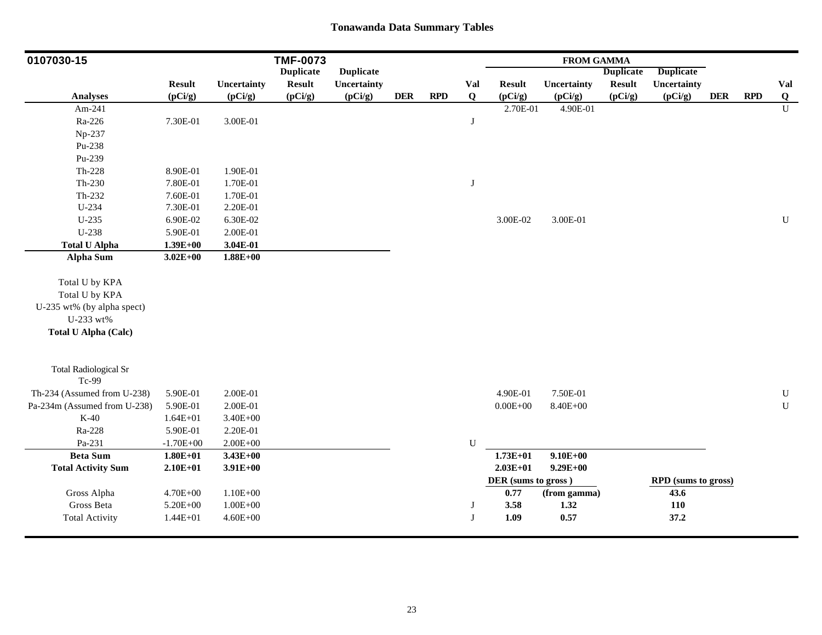| 0107030-15                            |               |              | <b>TMF-0073</b>  |                  |            |            |           |                     | <b>FROM GAMMA</b> |                  |                     |            |            |                |
|---------------------------------------|---------------|--------------|------------------|------------------|------------|------------|-----------|---------------------|-------------------|------------------|---------------------|------------|------------|----------------|
|                                       |               |              | <b>Duplicate</b> | <b>Duplicate</b> |            |            |           |                     |                   | <b>Duplicate</b> | <b>Duplicate</b>    |            |            |                |
|                                       | <b>Result</b> | Uncertainty  | <b>Result</b>    | Uncertainty      |            |            | Val       | <b>Result</b>       | Uncertainty       | <b>Result</b>    | Uncertainty         |            |            | Val            |
| <b>Analyses</b>                       | (pCi/g)       | (pCi/g)      | (pCi/g)          | (pCi/g)          | <b>DER</b> | <b>RPD</b> | Q         | (pCi/g)             | (pCi/g)           | (pCi/g)          | (pCi/g)             | <b>DER</b> | <b>RPD</b> | $\overline{Q}$ |
| Am-241                                |               |              |                  |                  |            |            |           | 2.70E-01            | 4.90E-01          |                  |                     |            |            | $\overline{U}$ |
| Ra-226                                | 7.30E-01      | $3.00E-01$   |                  |                  |            |            | J         |                     |                   |                  |                     |            |            |                |
| Np-237                                |               |              |                  |                  |            |            |           |                     |                   |                  |                     |            |            |                |
| Pu-238                                |               |              |                  |                  |            |            |           |                     |                   |                  |                     |            |            |                |
| Pu-239                                |               |              |                  |                  |            |            |           |                     |                   |                  |                     |            |            |                |
| $Th-228$                              | 8.90E-01      | 1.90E-01     |                  |                  |            |            |           |                     |                   |                  |                     |            |            |                |
| Th-230                                | 7.80E-01      | 1.70E-01     |                  |                  |            |            | $\bf J$   |                     |                   |                  |                     |            |            |                |
| Th-232                                | 7.60E-01      | 1.70E-01     |                  |                  |            |            |           |                     |                   |                  |                     |            |            |                |
| U-234                                 | 7.30E-01      | 2.20E-01     |                  |                  |            |            |           |                     |                   |                  |                     |            |            |                |
| $U-235$                               | 6.90E-02      | 6.30E-02     |                  |                  |            |            |           | 3.00E-02            | 3.00E-01          |                  |                     |            |            | ${\bf U}$      |
| U-238                                 | 5.90E-01      | 2.00E-01     |                  |                  |            |            |           |                     |                   |                  |                     |            |            |                |
| <b>Total U Alpha</b>                  | $1.39E + 00$  | 3.04E-01     |                  |                  |            |            |           |                     |                   |                  |                     |            |            |                |
| <b>Alpha Sum</b>                      | $3.02E + 00$  | $1.88E + 00$ |                  |                  |            |            |           |                     |                   |                  |                     |            |            |                |
| Total U by KPA                        |               |              |                  |                  |            |            |           |                     |                   |                  |                     |            |            |                |
| Total U by KPA                        |               |              |                  |                  |            |            |           |                     |                   |                  |                     |            |            |                |
| U-235 wt% (by alpha spect)            |               |              |                  |                  |            |            |           |                     |                   |                  |                     |            |            |                |
| U-233 wt%                             |               |              |                  |                  |            |            |           |                     |                   |                  |                     |            |            |                |
| <b>Total U Alpha (Calc)</b>           |               |              |                  |                  |            |            |           |                     |                   |                  |                     |            |            |                |
|                                       |               |              |                  |                  |            |            |           |                     |                   |                  |                     |            |            |                |
| <b>Total Radiological Sr</b><br>Tc-99 |               |              |                  |                  |            |            |           |                     |                   |                  |                     |            |            |                |
| Th-234 (Assumed from U-238)           | 5.90E-01      | 2.00E-01     |                  |                  |            |            |           | 4.90E-01            | 7.50E-01          |                  |                     |            |            | ${\bf U}$      |
| Pa-234m (Assumed from U-238)          | 5.90E-01      | 2.00E-01     |                  |                  |            |            |           | $0.00E + 00$        | 8.40E+00          |                  |                     |            |            | ${\bf U}$      |
| $K-40$                                | $1.64E + 01$  | $3.40E + 00$ |                  |                  |            |            |           |                     |                   |                  |                     |            |            |                |
| Ra-228                                | 5.90E-01      | 2.20E-01     |                  |                  |            |            |           |                     |                   |                  |                     |            |            |                |
| Pa-231                                | $-1.70E + 00$ | $2.00E + 00$ |                  |                  |            |            | ${\bf U}$ |                     |                   |                  |                     |            |            |                |
| <b>Beta Sum</b>                       | $1.80E + 01$  | $3.43E + 00$ |                  |                  |            |            |           | $1.73E+01$          | $9.10E + 00$      |                  |                     |            |            |                |
| <b>Total Activity Sum</b>             | $2.10E + 01$  | $3.91E+00$   |                  |                  |            |            |           | $2.03E+01$          | $9.29E + 00$      |                  |                     |            |            |                |
|                                       |               |              |                  |                  |            |            |           | DER (sums to gross) |                   |                  | RPD (sums to gross) |            |            |                |
| Gross Alpha                           | 4.70E+00      | $1.10E + 00$ |                  |                  |            |            |           | 0.77                | (from gamma)      |                  | 43.6                |            |            |                |
| Gross Beta                            | 5.20E+00      | $1.00E + 00$ |                  |                  |            |            | J         | 3.58                | 1.32              |                  | 110                 |            |            |                |
| <b>Total Activity</b>                 | $1.44E + 01$  | $4.60E + 00$ |                  |                  |            |            | J         | 1.09                | 0.57              |                  | 37.2                |            |            |                |
|                                       |               |              |                  |                  |            |            |           |                     |                   |                  |                     |            |            |                |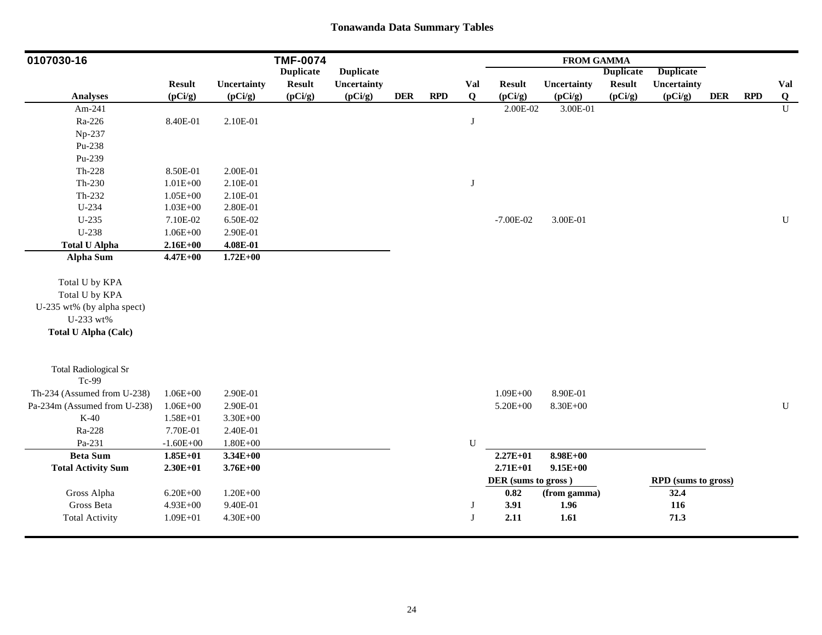| 0107030-16                   |               |              | <b>TMF-0074</b>  |                  |            |            |             |                     | <b>FROM GAMMA</b> |                  |                            |            |            |                |
|------------------------------|---------------|--------------|------------------|------------------|------------|------------|-------------|---------------------|-------------------|------------------|----------------------------|------------|------------|----------------|
|                              |               |              | <b>Duplicate</b> | <b>Duplicate</b> |            |            |             |                     |                   | <b>Duplicate</b> | <b>Duplicate</b>           |            |            |                |
|                              | <b>Result</b> | Uncertainty  | <b>Result</b>    | Uncertainty      |            |            | Val         | <b>Result</b>       | Uncertainty       | <b>Result</b>    | Uncertainty                |            |            | Val            |
| <b>Analyses</b>              | (pCi/g)       | (pCi/g)      | (pCi/g)          | (pCi/g)          | <b>DER</b> | <b>RPD</b> | $\mathbf Q$ | (pCi/g)             | (pCi/g)           | (pCi/g)          | (pCi/g)                    | <b>DER</b> | <b>RPD</b> | $\overline{Q}$ |
| Am-241                       |               |              |                  |                  |            |            |             | 2.00E-02            | 3.00E-01          |                  |                            |            |            | $\overline{U}$ |
| Ra-226                       | 8.40E-01      | 2.10E-01     |                  |                  |            |            | J           |                     |                   |                  |                            |            |            |                |
| Np-237                       |               |              |                  |                  |            |            |             |                     |                   |                  |                            |            |            |                |
| Pu-238                       |               |              |                  |                  |            |            |             |                     |                   |                  |                            |            |            |                |
| Pu-239                       |               |              |                  |                  |            |            |             |                     |                   |                  |                            |            |            |                |
| $Th-228$                     | 8.50E-01      | 2.00E-01     |                  |                  |            |            |             |                     |                   |                  |                            |            |            |                |
| $Th-230$                     | $1.01E + 00$  | 2.10E-01     |                  |                  |            |            | $\bf J$     |                     |                   |                  |                            |            |            |                |
| Th-232                       | $1.05E + 00$  | 2.10E-01     |                  |                  |            |            |             |                     |                   |                  |                            |            |            |                |
| U-234                        | $1.03E + 00$  | 2.80E-01     |                  |                  |            |            |             |                     |                   |                  |                            |            |            |                |
| $U-235$                      | 7.10E-02      | 6.50E-02     |                  |                  |            |            |             | $-7.00E-02$         | 3.00E-01          |                  |                            |            |            | $\mathbf U$    |
| U-238                        | $1.06E + 00$  | 2.90E-01     |                  |                  |            |            |             |                     |                   |                  |                            |            |            |                |
| <b>Total U Alpha</b>         | $2.16E + 00$  | 4.08E-01     |                  |                  |            |            |             |                     |                   |                  |                            |            |            |                |
| <b>Alpha Sum</b>             | $4.47E + 00$  | $1.72E + 00$ |                  |                  |            |            |             |                     |                   |                  |                            |            |            |                |
| Total U by KPA               |               |              |                  |                  |            |            |             |                     |                   |                  |                            |            |            |                |
| Total U by KPA               |               |              |                  |                  |            |            |             |                     |                   |                  |                            |            |            |                |
| U-235 wt% (by alpha spect)   |               |              |                  |                  |            |            |             |                     |                   |                  |                            |            |            |                |
| U-233 wt%                    |               |              |                  |                  |            |            |             |                     |                   |                  |                            |            |            |                |
| <b>Total U Alpha (Calc)</b>  |               |              |                  |                  |            |            |             |                     |                   |                  |                            |            |            |                |
|                              |               |              |                  |                  |            |            |             |                     |                   |                  |                            |            |            |                |
| <b>Total Radiological Sr</b> |               |              |                  |                  |            |            |             |                     |                   |                  |                            |            |            |                |
| Tc-99                        |               |              |                  |                  |            |            |             |                     |                   |                  |                            |            |            |                |
| Th-234 (Assumed from U-238)  | $1.06E + 00$  | 2.90E-01     |                  |                  |            |            |             | $1.09E + 00$        | 8.90E-01          |                  |                            |            |            |                |
| Pa-234m (Assumed from U-238) | $1.06E + 00$  | 2.90E-01     |                  |                  |            |            |             | 5.20E+00            | 8.30E+00          |                  |                            |            |            | ${\bf U}$      |
| $K-40$                       | $1.58E + 01$  | $3.30E + 00$ |                  |                  |            |            |             |                     |                   |                  |                            |            |            |                |
| Ra-228                       | 7.70E-01      | 2.40E-01     |                  |                  |            |            |             |                     |                   |                  |                            |            |            |                |
| Pa-231                       | $-1.60E + 00$ | $1.80E + 00$ |                  |                  |            |            | ${\bf U}$   |                     |                   |                  |                            |            |            |                |
| <b>Beta Sum</b>              | $1.85E+01$    | $3.34E + 00$ |                  |                  |            |            |             | $2.27E+01$          | $8.98E + 00$      |                  |                            |            |            |                |
| <b>Total Activity Sum</b>    | $2.30E+01$    | $3.76E + 00$ |                  |                  |            |            |             | $2.71E+01$          | $9.15E + 00$      |                  |                            |            |            |                |
|                              |               |              |                  |                  |            |            |             | DER (sums to gross) |                   |                  | <b>RPD</b> (sums to gross) |            |            |                |
| Gross Alpha                  | $6.20E + 00$  | $1.20E + 00$ |                  |                  |            |            |             | $0.82\,$            | (from gamma)      |                  | 32.4                       |            |            |                |
| Gross Beta                   | $4.93E + 00$  | 9.40E-01     |                  |                  |            |            | J           | 3.91                | 1.96              |                  | 116                        |            |            |                |
| <b>Total Activity</b>        | $1.09E + 01$  | $4.30E + 00$ |                  |                  |            |            | J           | 2.11                | 1.61              |                  | 71.3                       |            |            |                |
|                              |               |              |                  |                  |            |            |             |                     |                   |                  |                            |            |            |                |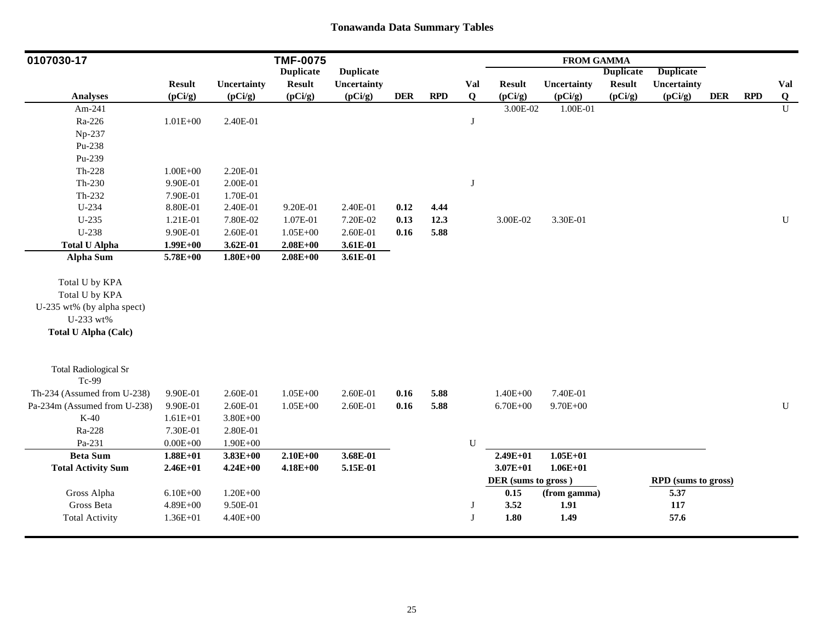| 0107030-17                   |               |              | <b>TMF-0075</b>  |                  |            |            |             |                     | <b>FROM GAMMA</b> |                  |                     |            |            |                |
|------------------------------|---------------|--------------|------------------|------------------|------------|------------|-------------|---------------------|-------------------|------------------|---------------------|------------|------------|----------------|
|                              |               |              | <b>Duplicate</b> | <b>Duplicate</b> |            |            |             |                     |                   | <b>Duplicate</b> | <b>Duplicate</b>    |            |            |                |
|                              | <b>Result</b> | Uncertainty  | <b>Result</b>    | Uncertainty      |            |            | Val         | <b>Result</b>       | Uncertainty       | <b>Result</b>    | Uncertainty         |            |            | Val            |
| <b>Analyses</b>              | (pCi/g)       | (pCi/g)      | (pCi/g)          | (pCi/g)          | <b>DER</b> | <b>RPD</b> | $\mathbf Q$ | (pCi/g)             | (pCi/g)           | (pCi/g)          | (pCi/g)             | <b>DER</b> | <b>RPD</b> | Q              |
| Am-241                       |               |              |                  |                  |            |            |             | 3.00E-02            | 1.00E-01          |                  |                     |            |            | $\overline{U}$ |
| Ra-226                       | $1.01E + 00$  | 2.40E-01     |                  |                  |            |            | J           |                     |                   |                  |                     |            |            |                |
| Np-237                       |               |              |                  |                  |            |            |             |                     |                   |                  |                     |            |            |                |
| Pu-238                       |               |              |                  |                  |            |            |             |                     |                   |                  |                     |            |            |                |
| Pu-239                       |               |              |                  |                  |            |            |             |                     |                   |                  |                     |            |            |                |
| $Th-228$                     | $1.00E + 00$  | 2.20E-01     |                  |                  |            |            |             |                     |                   |                  |                     |            |            |                |
| Th-230                       | 9.90E-01      | 2.00E-01     |                  |                  |            |            | $\bf J$     |                     |                   |                  |                     |            |            |                |
| $Th-232$                     | 7.90E-01      | 1.70E-01     |                  |                  |            |            |             |                     |                   |                  |                     |            |            |                |
| U-234                        | 8.80E-01      | 2.40E-01     | 9.20E-01         | 2.40E-01         | 0.12       | 4.44       |             |                     |                   |                  |                     |            |            |                |
| $U-235$                      | 1.21E-01      | 7.80E-02     | 1.07E-01         | 7.20E-02         | 0.13       | 12.3       |             | 3.00E-02            | 3.30E-01          |                  |                     |            |            | $\mathbf U$    |
| U-238                        | 9.90E-01      | 2.60E-01     | $1.05E + 00$     | 2.60E-01         | 0.16       | 5.88       |             |                     |                   |                  |                     |            |            |                |
| <b>Total U Alpha</b>         | $1.99E+00$    | $3.62E - 01$ | $2.08E + 00$     | 3.61E-01         |            |            |             |                     |                   |                  |                     |            |            |                |
| <b>Alpha Sum</b>             | $5.78E + 00$  | $1.80E + 00$ | $2.08E + 00$     | 3.61E-01         |            |            |             |                     |                   |                  |                     |            |            |                |
| Total U by KPA               |               |              |                  |                  |            |            |             |                     |                   |                  |                     |            |            |                |
| Total U by KPA               |               |              |                  |                  |            |            |             |                     |                   |                  |                     |            |            |                |
| U-235 wt% (by alpha spect)   |               |              |                  |                  |            |            |             |                     |                   |                  |                     |            |            |                |
| U-233 wt%                    |               |              |                  |                  |            |            |             |                     |                   |                  |                     |            |            |                |
| <b>Total U Alpha (Calc)</b>  |               |              |                  |                  |            |            |             |                     |                   |                  |                     |            |            |                |
|                              |               |              |                  |                  |            |            |             |                     |                   |                  |                     |            |            |                |
| <b>Total Radiological Sr</b> |               |              |                  |                  |            |            |             |                     |                   |                  |                     |            |            |                |
| Tc-99                        |               |              |                  |                  |            |            |             |                     |                   |                  |                     |            |            |                |
| Th-234 (Assumed from U-238)  | 9.90E-01      | 2.60E-01     | $1.05E + 00$     | 2.60E-01         | 0.16       | 5.88       |             | $1.40E + 00$        | 7.40E-01          |                  |                     |            |            |                |
| Pa-234m (Assumed from U-238) | 9.90E-01      | 2.60E-01     | $1.05E + 00$     | 2.60E-01         | 0.16       | 5.88       |             | $6.70E + 00$        | $9.70E + 00$      |                  |                     |            |            | $\mathbf U$    |
| $K-40$                       | $1.61E + 01$  | $3.80E + 00$ |                  |                  |            |            |             |                     |                   |                  |                     |            |            |                |
| Ra-228                       | 7.30E-01      | 2.80E-01     |                  |                  |            |            |             |                     |                   |                  |                     |            |            |                |
| Pa-231                       | $0.00E + 00$  | $1.90E + 00$ |                  |                  |            |            | ${\bf U}$   |                     |                   |                  |                     |            |            |                |
| <b>Beta Sum</b>              | $1.88E + 01$  | $3.83E + 00$ | $2.10E + 00$     | 3.68E-01         |            |            |             | $2.49E + 01$        | $1.05E + 01$      |                  |                     |            |            |                |
| <b>Total Activity Sum</b>    | $2.46E + 01$  | $4.24E + 00$ | $4.18E + 00$     | 5.15E-01         |            |            |             | $3.07E + 01$        | $1.06E + 01$      |                  |                     |            |            |                |
|                              |               |              |                  |                  |            |            |             | DER (sums to gross) |                   |                  | RPD (sums to gross) |            |            |                |
| Gross Alpha                  | $6.10E + 00$  | $1.20E + 00$ |                  |                  |            |            |             | 0.15                | (from gamma)      |                  | 5.37                |            |            |                |
| Gross Beta                   | $4.89E + 00$  | 9.50E-01     |                  |                  |            |            | J           | 3.52                | 1.91              |                  | 117                 |            |            |                |
| <b>Total Activity</b>        | 1.36E+01      | $4.40E + 00$ |                  |                  |            |            | J           | 1.80                | 1.49              |                  | 57.6                |            |            |                |
|                              |               |              |                  |                  |            |            |             |                     |                   |                  |                     |            |            |                |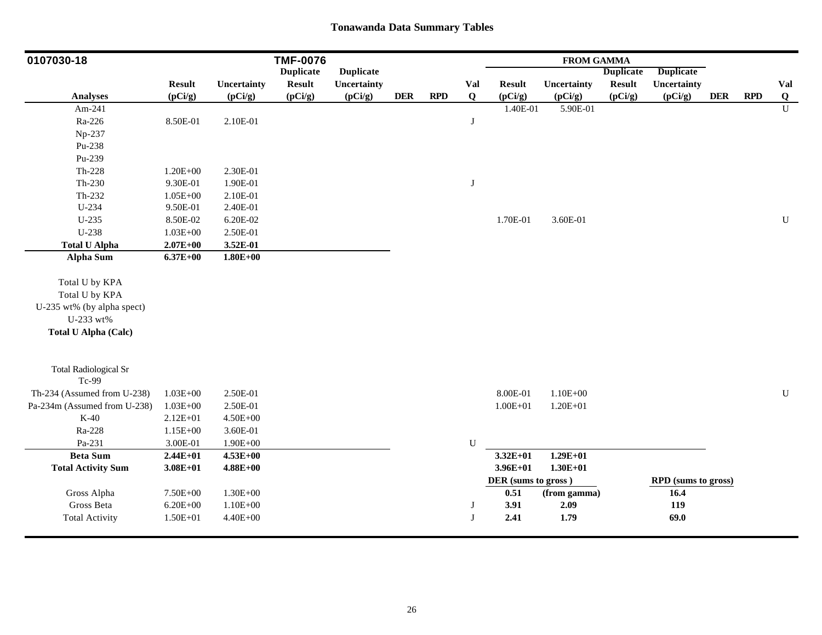| 0107030-18                            |               |              | <b>TMF-0076</b>  |                  |            |            |           |                     | <b>FROM GAMMA</b> |                  |                     |            |            |                |
|---------------------------------------|---------------|--------------|------------------|------------------|------------|------------|-----------|---------------------|-------------------|------------------|---------------------|------------|------------|----------------|
|                                       |               |              | <b>Duplicate</b> | <b>Duplicate</b> |            |            |           |                     |                   | <b>Duplicate</b> | <b>Duplicate</b>    |            |            |                |
|                                       | <b>Result</b> | Uncertainty  | <b>Result</b>    | Uncertainty      |            |            | Val       | <b>Result</b>       | Uncertainty       | <b>Result</b>    | Uncertainty         |            |            | Val            |
| <b>Analyses</b>                       | (pCi/g)       | (pCi/g)      | (pCi/g)          | (pCi/g)          | <b>DER</b> | <b>RPD</b> | $\bf{Q}$  | (pCi/g)             | (pCi/g)           | (pCi/g)          | (pCi/g)             | <b>DER</b> | <b>RPD</b> | $\overline{Q}$ |
| Am-241                                |               |              |                  |                  |            |            |           | 1.40E-01            | 5.90E-01          |                  |                     |            |            | $\overline{U}$ |
| Ra-226                                | 8.50E-01      | 2.10E-01     |                  |                  |            |            | J         |                     |                   |                  |                     |            |            |                |
| Np-237                                |               |              |                  |                  |            |            |           |                     |                   |                  |                     |            |            |                |
| Pu-238                                |               |              |                  |                  |            |            |           |                     |                   |                  |                     |            |            |                |
| Pu-239                                |               |              |                  |                  |            |            |           |                     |                   |                  |                     |            |            |                |
| $Th-228$                              | $1.20E + 00$  | 2.30E-01     |                  |                  |            |            |           |                     |                   |                  |                     |            |            |                |
| Th-230                                | 9.30E-01      | 1.90E-01     |                  |                  |            |            | $\bf J$   |                     |                   |                  |                     |            |            |                |
| Th-232                                | $1.05E + 00$  | 2.10E-01     |                  |                  |            |            |           |                     |                   |                  |                     |            |            |                |
| U-234                                 | 9.50E-01      | 2.40E-01     |                  |                  |            |            |           |                     |                   |                  |                     |            |            |                |
| $U-235$                               | 8.50E-02      | 6.20E-02     |                  |                  |            |            |           | 1.70E-01            | 3.60E-01          |                  |                     |            |            | ${\bf U}$      |
| U-238                                 | $1.03E + 00$  | 2.50E-01     |                  |                  |            |            |           |                     |                   |                  |                     |            |            |                |
| <b>Total U Alpha</b>                  | $2.07E + 00$  | 3.52E-01     |                  |                  |            |            |           |                     |                   |                  |                     |            |            |                |
| <b>Alpha Sum</b>                      | $6.37E + 00$  | $1.80E + 00$ |                  |                  |            |            |           |                     |                   |                  |                     |            |            |                |
| Total U by KPA                        |               |              |                  |                  |            |            |           |                     |                   |                  |                     |            |            |                |
| Total U by KPA                        |               |              |                  |                  |            |            |           |                     |                   |                  |                     |            |            |                |
| U-235 wt% (by alpha spect)            |               |              |                  |                  |            |            |           |                     |                   |                  |                     |            |            |                |
| U-233 wt%                             |               |              |                  |                  |            |            |           |                     |                   |                  |                     |            |            |                |
| <b>Total U Alpha (Calc)</b>           |               |              |                  |                  |            |            |           |                     |                   |                  |                     |            |            |                |
|                                       |               |              |                  |                  |            |            |           |                     |                   |                  |                     |            |            |                |
| <b>Total Radiological Sr</b><br>Tc-99 |               |              |                  |                  |            |            |           |                     |                   |                  |                     |            |            |                |
|                                       |               |              |                  |                  |            |            |           |                     |                   |                  |                     |            |            |                |
| Th-234 (Assumed from U-238)           | $1.03E + 00$  | 2.50E-01     |                  |                  |            |            |           | 8.00E-01            | $1.10E + 00$      |                  |                     |            |            | ${\bf U}$      |
| Pa-234m (Assumed from U-238)          | $1.03E + 00$  | 2.50E-01     |                  |                  |            |            |           | $1.00E + 01$        | $1.20E + 01$      |                  |                     |            |            |                |
| $K-40$                                | $2.12E + 01$  | $4.50E + 00$ |                  |                  |            |            |           |                     |                   |                  |                     |            |            |                |
| Ra-228                                | $1.15E + 00$  | 3.60E-01     |                  |                  |            |            |           |                     |                   |                  |                     |            |            |                |
| Pa-231                                | 3.00E-01      | $1.90E + 00$ |                  |                  |            |            | ${\bf U}$ |                     |                   |                  |                     |            |            |                |
| <b>Beta Sum</b>                       | $2.44E+01$    | $4.53E+00$   |                  |                  |            |            |           | $3.32E+01$          | $1.29E + 01$      |                  |                     |            |            |                |
| <b>Total Activity Sum</b>             | $3.08E + 01$  | $4.88E + 00$ |                  |                  |            |            |           | $3.96E + 01$        | $1.30E + 01$      |                  |                     |            |            |                |
|                                       |               |              |                  |                  |            |            |           | DER (sums to gross) |                   |                  | RPD (sums to gross) |            |            |                |
| Gross Alpha                           | 7.50E+00      | $1.30E + 00$ |                  |                  |            |            |           | 0.51                | (from gamma)      |                  | 16.4                |            |            |                |
| Gross Beta                            | $6.20E + 00$  | $1.10E + 00$ |                  |                  |            |            | J         | 3.91                | 2.09              |                  | 119                 |            |            |                |
| <b>Total Activity</b>                 | $1.50E + 01$  | $4.40E + 00$ |                  |                  |            |            | J         | 2.41                | 1.79              |                  | 69.0                |            |            |                |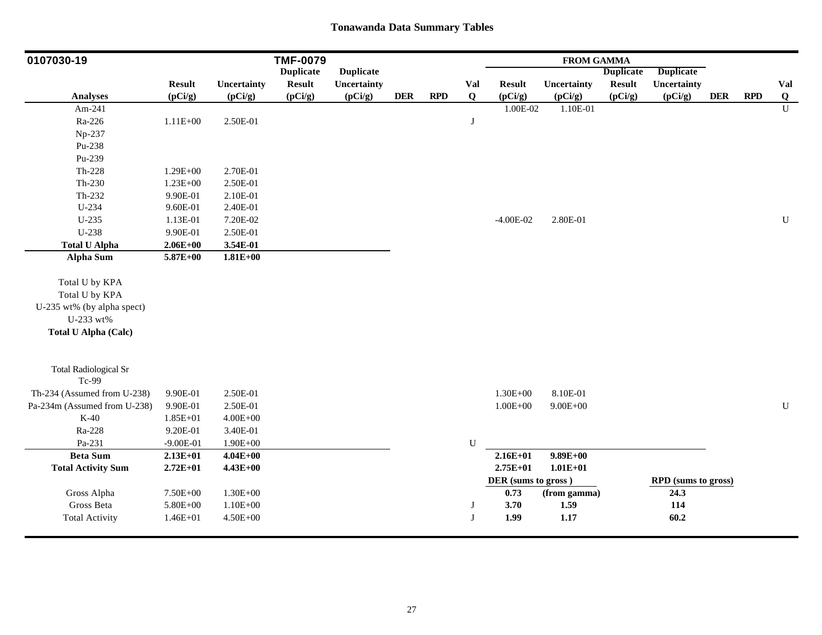| 0107030-19                   |               |              | <b>TMF-0079</b>  |                  |            |            |              |                     | <b>FROM GAMMA</b> |                  |                     |            |            |                |
|------------------------------|---------------|--------------|------------------|------------------|------------|------------|--------------|---------------------|-------------------|------------------|---------------------|------------|------------|----------------|
|                              |               |              | <b>Duplicate</b> | <b>Duplicate</b> |            |            |              |                     |                   | <b>Duplicate</b> | <b>Duplicate</b>    |            |            |                |
|                              | <b>Result</b> | Uncertainty  | <b>Result</b>    | Uncertainty      |            |            | Val          | <b>Result</b>       | Uncertainty       | <b>Result</b>    | Uncertainty         |            |            | Val            |
| <b>Analyses</b>              | (pCi/g)       | (pCi/g)      | (pCi/g)          | (pCi/g)          | <b>DER</b> | <b>RPD</b> | $\mathbf{Q}$ | (pCi/g)             | (pCi/g)           | (pCi/g)          | (pCi/g)             | <b>DER</b> | <b>RPD</b> | Q              |
| Am-241                       |               |              |                  |                  |            |            |              | 1.00E-02            | 1.10E-01          |                  |                     |            |            | $\overline{U}$ |
| Ra-226                       | $1.11E + 00$  | 2.50E-01     |                  |                  |            |            | J            |                     |                   |                  |                     |            |            |                |
| Np-237                       |               |              |                  |                  |            |            |              |                     |                   |                  |                     |            |            |                |
| Pu-238                       |               |              |                  |                  |            |            |              |                     |                   |                  |                     |            |            |                |
| Pu-239                       |               |              |                  |                  |            |            |              |                     |                   |                  |                     |            |            |                |
| $Th-228$                     | $1.29E + 00$  | 2.70E-01     |                  |                  |            |            |              |                     |                   |                  |                     |            |            |                |
| Th-230                       | $1.23E + 00$  | 2.50E-01     |                  |                  |            |            |              |                     |                   |                  |                     |            |            |                |
| Th-232                       | 9.90E-01      | 2.10E-01     |                  |                  |            |            |              |                     |                   |                  |                     |            |            |                |
| U-234                        | 9.60E-01      | 2.40E-01     |                  |                  |            |            |              |                     |                   |                  |                     |            |            |                |
| $U-235$                      | 1.13E-01      | 7.20E-02     |                  |                  |            |            |              | $-4.00E-02$         | 2.80E-01          |                  |                     |            |            | $\mathbf U$    |
| $U-238$                      | 9.90E-01      | 2.50E-01     |                  |                  |            |            |              |                     |                   |                  |                     |            |            |                |
| <b>Total U Alpha</b>         | $2.06E + 00$  | 3.54E-01     |                  |                  |            |            |              |                     |                   |                  |                     |            |            |                |
| <b>Alpha Sum</b>             | $5.87E + 00$  | $1.81E + 00$ |                  |                  |            |            |              |                     |                   |                  |                     |            |            |                |
| Total U by KPA               |               |              |                  |                  |            |            |              |                     |                   |                  |                     |            |            |                |
| Total U by KPA               |               |              |                  |                  |            |            |              |                     |                   |                  |                     |            |            |                |
| U-235 wt% (by alpha spect)   |               |              |                  |                  |            |            |              |                     |                   |                  |                     |            |            |                |
| U-233 wt%                    |               |              |                  |                  |            |            |              |                     |                   |                  |                     |            |            |                |
| <b>Total U Alpha (Calc)</b>  |               |              |                  |                  |            |            |              |                     |                   |                  |                     |            |            |                |
|                              |               |              |                  |                  |            |            |              |                     |                   |                  |                     |            |            |                |
| <b>Total Radiological Sr</b> |               |              |                  |                  |            |            |              |                     |                   |                  |                     |            |            |                |
| Tc-99                        |               |              |                  |                  |            |            |              |                     |                   |                  |                     |            |            |                |
| Th-234 (Assumed from U-238)  | 9.90E-01      | 2.50E-01     |                  |                  |            |            |              | $1.30E + 00$        | 8.10E-01          |                  |                     |            |            |                |
| Pa-234m (Assumed from U-238) | 9.90E-01      | 2.50E-01     |                  |                  |            |            |              | $1.00E + 00$        | $9.00E + 00$      |                  |                     |            |            | ${\bf U}$      |
| $K-40$                       | 1.85E+01      | $4.00E + 00$ |                  |                  |            |            |              |                     |                   |                  |                     |            |            |                |
| Ra-228                       | 9.20E-01      | 3.40E-01     |                  |                  |            |            |              |                     |                   |                  |                     |            |            |                |
| Pa-231                       | $-9.00E - 01$ | $1.90E + 00$ |                  |                  |            |            | ${\bf U}$    |                     |                   |                  |                     |            |            |                |
| <b>Beta Sum</b>              | $2.13E+01$    | $4.04E + 00$ |                  |                  |            |            |              | $2.16E + 01$        | $9.89E + 00$      |                  |                     |            |            |                |
| <b>Total Activity Sum</b>    | $2.72E+01$    | $4.43E+00$   |                  |                  |            |            |              | $2.75E+01$          | $1.01E + 01$      |                  |                     |            |            |                |
|                              |               |              |                  |                  |            |            |              | DER (sums to gross) |                   |                  | RPD (sums to gross) |            |            |                |
| Gross Alpha                  | 7.50E+00      | $1.30E + 00$ |                  |                  |            |            |              | 0.73                | (from gamma)      |                  | 24.3                |            |            |                |
| Gross Beta                   | 5.80E+00      | $1.10E + 00$ |                  |                  |            |            | J            | 3.70                | 1.59              |                  | 114                 |            |            |                |
| <b>Total Activity</b>        | 1.46E+01      | $4.50E + 00$ |                  |                  |            |            | J            | 1.99                | 1.17              |                  | 60.2                |            |            |                |
|                              |               |              |                  |                  |            |            |              |                     |                   |                  |                     |            |            |                |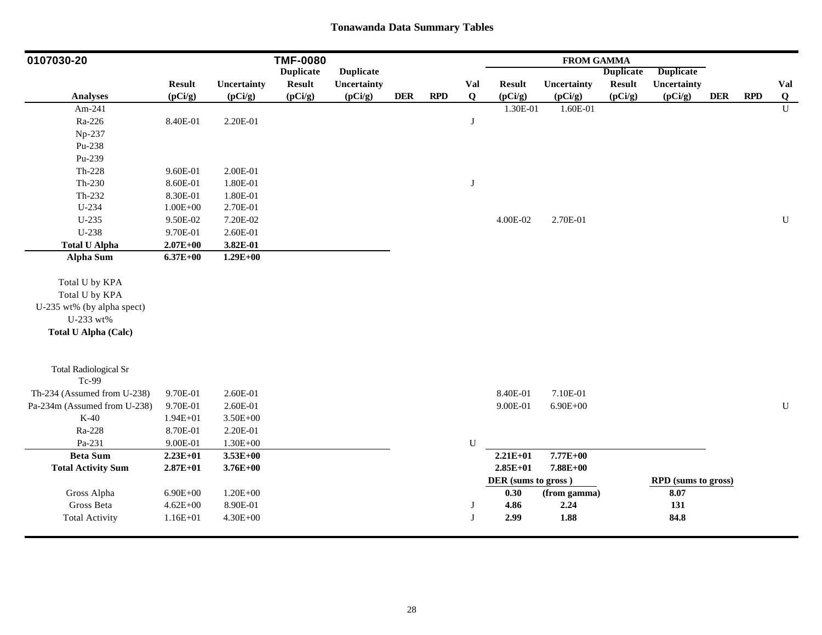| 0107030-20                            |               |              | <b>TMF-0080</b>  |                  |            |            |             |                     | <b>FROM GAMMA</b> |                  |                     |            |            |                |
|---------------------------------------|---------------|--------------|------------------|------------------|------------|------------|-------------|---------------------|-------------------|------------------|---------------------|------------|------------|----------------|
|                                       |               |              | <b>Duplicate</b> | <b>Duplicate</b> |            |            |             |                     |                   | <b>Duplicate</b> | <b>Duplicate</b>    |            |            |                |
|                                       | <b>Result</b> | Uncertainty  | <b>Result</b>    | Uncertainty      |            |            | Val         | <b>Result</b>       | Uncertainty       | <b>Result</b>    | Uncertainty         |            |            | Val            |
| <b>Analyses</b>                       | (pCi/g)       | (pCi/g)      | (pCi/g)          | (pCi/g)          | <b>DER</b> | <b>RPD</b> | $\mathbf Q$ | (pCi/g)             | (pCi/g)           | (pCi/g)          | (pCi/g)             | <b>DER</b> | <b>RPD</b> | $\overline{Q}$ |
| Am-241                                |               |              |                  |                  |            |            |             | 1.30E-01            | 1.60E-01          |                  |                     |            |            | $\overline{U}$ |
| Ra-226                                | 8.40E-01      | 2.20E-01     |                  |                  |            |            | J           |                     |                   |                  |                     |            |            |                |
| Np-237                                |               |              |                  |                  |            |            |             |                     |                   |                  |                     |            |            |                |
| Pu-238                                |               |              |                  |                  |            |            |             |                     |                   |                  |                     |            |            |                |
| Pu-239                                |               |              |                  |                  |            |            |             |                     |                   |                  |                     |            |            |                |
| $Th-228$                              | 9.60E-01      | 2.00E-01     |                  |                  |            |            |             |                     |                   |                  |                     |            |            |                |
| $Th-230$                              | 8.60E-01      | 1.80E-01     |                  |                  |            |            | $\bf J$     |                     |                   |                  |                     |            |            |                |
| Th-232                                | 8.30E-01      | 1.80E-01     |                  |                  |            |            |             |                     |                   |                  |                     |            |            |                |
| U-234                                 | $1.00E + 00$  | 2.70E-01     |                  |                  |            |            |             |                     |                   |                  |                     |            |            |                |
| $U-235$                               | 9.50E-02      | 7.20E-02     |                  |                  |            |            |             | 4.00E-02            | 2.70E-01          |                  |                     |            |            | $\mathbf U$    |
| U-238                                 | 9.70E-01      | 2.60E-01     |                  |                  |            |            |             |                     |                   |                  |                     |            |            |                |
| <b>Total U Alpha</b>                  | $2.07E + 00$  | 3.82E-01     |                  |                  |            |            |             |                     |                   |                  |                     |            |            |                |
| <b>Alpha Sum</b>                      | $6.37E + 00$  | $1.29E + 00$ |                  |                  |            |            |             |                     |                   |                  |                     |            |            |                |
| Total U by KPA                        |               |              |                  |                  |            |            |             |                     |                   |                  |                     |            |            |                |
| Total U by KPA                        |               |              |                  |                  |            |            |             |                     |                   |                  |                     |            |            |                |
| U-235 wt% (by alpha spect)            |               |              |                  |                  |            |            |             |                     |                   |                  |                     |            |            |                |
| U-233 wt%                             |               |              |                  |                  |            |            |             |                     |                   |                  |                     |            |            |                |
| <b>Total U Alpha (Calc)</b>           |               |              |                  |                  |            |            |             |                     |                   |                  |                     |            |            |                |
|                                       |               |              |                  |                  |            |            |             |                     |                   |                  |                     |            |            |                |
| <b>Total Radiological Sr</b><br>Tc-99 |               |              |                  |                  |            |            |             |                     |                   |                  |                     |            |            |                |
| Th-234 (Assumed from U-238)           | 9.70E-01      | 2.60E-01     |                  |                  |            |            |             | 8.40E-01            | 7.10E-01          |                  |                     |            |            |                |
| Pa-234m (Assumed from U-238)          | 9.70E-01      | 2.60E-01     |                  |                  |            |            |             | 9.00E-01            | $6.90E + 00$      |                  |                     |            |            | ${\bf U}$      |
| $K-40$                                | $1.94E + 01$  | $3.50E + 00$ |                  |                  |            |            |             |                     |                   |                  |                     |            |            |                |
| Ra-228                                | 8.70E-01      | 2.20E-01     |                  |                  |            |            |             |                     |                   |                  |                     |            |            |                |
| Pa-231                                | 9.00E-01      | $1.30E + 00$ |                  |                  |            |            | ${\bf U}$   |                     |                   |                  |                     |            |            |                |
| <b>Beta Sum</b>                       | $2.23E+01$    | $3.53E + 00$ |                  |                  |            |            |             | $2.21E+01$          | 7.77E+00          |                  |                     |            |            |                |
| <b>Total Activity Sum</b>             | $2.87E + 01$  | $3.76E + 00$ |                  |                  |            |            |             | $2.85E+01$          | 7.88E+00          |                  |                     |            |            |                |
|                                       |               |              |                  |                  |            |            |             | DER (sums to gross) |                   |                  | RPD (sums to gross) |            |            |                |
| Gross Alpha                           | $6.90E + 00$  | $1.20E + 00$ |                  |                  |            |            |             | 0.30                | (from gamma)      |                  | 8.07                |            |            |                |
| Gross Beta                            | $4.62E + 00$  | 8.90E-01     |                  |                  |            |            | J           | 4.86                | 2.24              |                  | 131                 |            |            |                |
| <b>Total Activity</b>                 | 1.16E+01      | $4.30E + 00$ |                  |                  |            |            | J           | 2.99                | 1.88              |                  | 84.8                |            |            |                |
|                                       |               |              |                  |                  |            |            |             |                     |                   |                  |                     |            |            |                |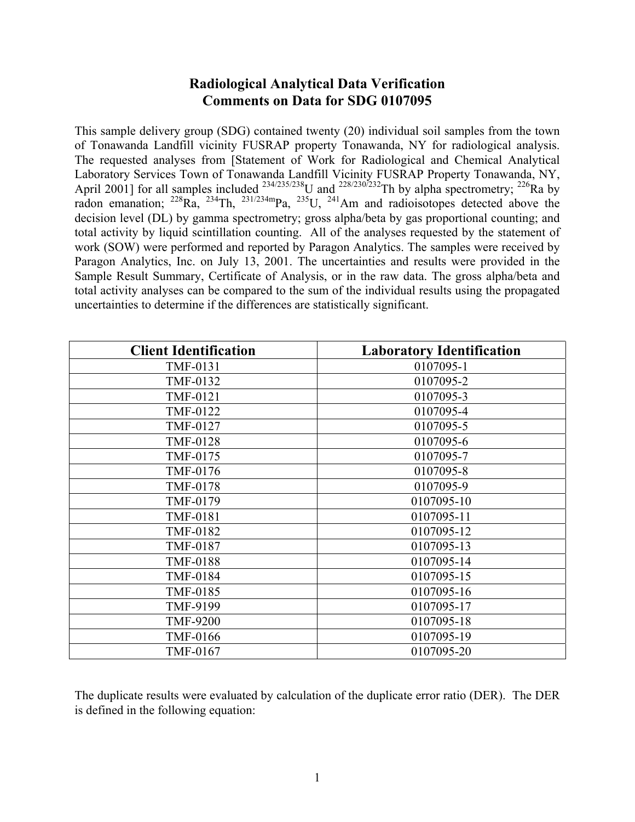# **Radiological Analytical Data Verification Comments on Data for SDG 0107095**

This sample delivery group (SDG) contained twenty (20) individual soil samples from the town of Tonawanda Landfill vicinity FUSRAP property Tonawanda, NY for radiological analysis. The requested analyses from [Statement of Work for Radiological and Chemical Analytical Laboratory Services Town of Tonawanda Landfill Vicinity FUSRAP Property Tonawanda, NY, April 2001] for all samples included  $^{234/235/238}$ U and  $^{228/230/232}$ Th by alpha spectrometry;  $^{226}$ Ra by radon emanation;  $^{228}Ra$ ,  $^{234}Th$ ,  $^{231/234m}Pa$ ,  $^{235}U$ ,  $^{241}Am$  and radioisotopes detected above the decision level (DL) by gamma spectrometry; gross alpha/beta by gas proportional counting; and total activity by liquid scintillation counting. All of the analyses requested by the statement of work (SOW) were performed and reported by Paragon Analytics. The samples were received by Paragon Analytics, Inc. on July 13, 2001. The uncertainties and results were provided in the Sample Result Summary, Certificate of Analysis, or in the raw data. The gross alpha/beta and total activity analyses can be compared to the sum of the individual results using the propagated uncertainties to determine if the differences are statistically significant.

| <b>Client Identification</b> | <b>Laboratory Identification</b> |
|------------------------------|----------------------------------|
| TMF-0131                     | 0107095-1                        |
| TMF-0132                     | 0107095-2                        |
| TMF-0121                     | 0107095-3                        |
| TMF-0122                     | 0107095-4                        |
| <b>TMF-0127</b>              | 0107095-5                        |
| <b>TMF-0128</b>              | 0107095-6                        |
| TMF-0175                     | 0107095-7                        |
| TMF-0176                     | 0107095-8                        |
| <b>TMF-0178</b>              | 0107095-9                        |
| TMF-0179                     | 0107095-10                       |
| <b>TMF-0181</b>              | 0107095-11                       |
| <b>TMF-0182</b>              | 0107095-12                       |
| <b>TMF-0187</b>              | 0107095-13                       |
| <b>TMF-0188</b>              | 0107095-14                       |
| <b>TMF-0184</b>              | 0107095-15                       |
| <b>TMF-0185</b>              | 0107095-16                       |
| TMF-9199                     | 0107095-17                       |
| <b>TMF-9200</b>              | 0107095-18                       |
| <b>TMF-0166</b>              | 0107095-19                       |
| TMF-0167                     | 0107095-20                       |

The duplicate results were evaluated by calculation of the duplicate error ratio (DER). The DER is defined in the following equation: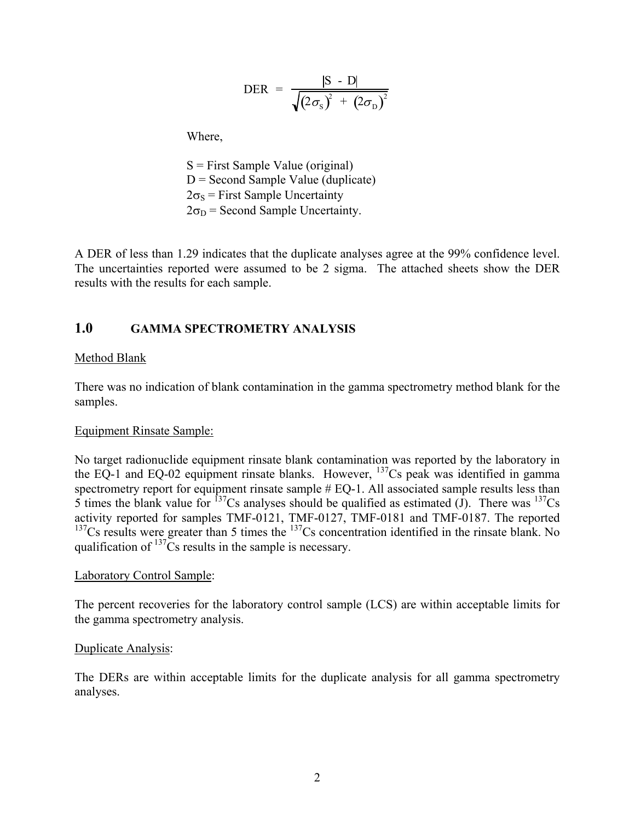$$
\text{DER} = \frac{|\text{S} - \text{D}|}{\sqrt{(2\sigma_{\text{S}})^{2} + (2\sigma_{\text{D}})^{2}}}
$$

Where,

 S = First Sample Value (original)  $D =$  Second Sample Value (duplicate)  $2\sigma_s$  = First Sample Uncertainty  $2\sigma_D$  = Second Sample Uncertainty.

A DER of less than 1.29 indicates that the duplicate analyses agree at the 99% confidence level. The uncertainties reported were assumed to be 2 sigma. The attached sheets show the DER results with the results for each sample.

# **1.0 GAMMA SPECTROMETRY ANALYSIS**

### Method Blank

There was no indication of blank contamination in the gamma spectrometry method blank for the samples.

#### Equipment Rinsate Sample:

No target radionuclide equipment rinsate blank contamination was reported by the laboratory in the EQ-1 and EQ-02 equipment rinsate blanks. However,  $^{137}$ Cs peak was identified in gamma spectrometry report for equipment rinsate sample  $#$  EQ-1. All associated sample results less than 5 times the blank value for  $^{137}Cs$  analyses should be qualified as estimated (J). There was  $^{137}Cs$ activity reported for samples TMF-0121, TMF-0127, TMF-0181 and TMF-0187. The reported  $137Cs$  results were greater than 5 times the  $137Cs$  concentration identified in the rinsate blank. No qualification of  $137\text{Cs}$  results in the sample is necessary.

#### Laboratory Control Sample:

The percent recoveries for the laboratory control sample (LCS) are within acceptable limits for the gamma spectrometry analysis.

#### Duplicate Analysis:

The DERs are within acceptable limits for the duplicate analysis for all gamma spectrometry analyses.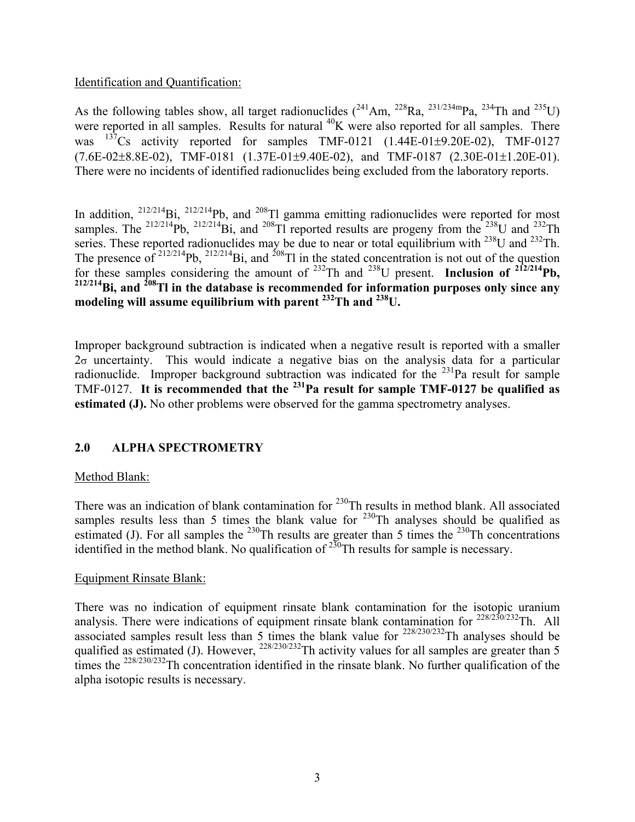### Identification and Quantification:

As the following tables show, all target radionuclides  $(^{241}Am$ ,  $^{228}Ra$ ,  $^{231/234m}Pa$ ,  $^{234}Th$  and  $^{235}U$ ) were reported in all samples. Results for natural <sup>40</sup>K were also reported for all samples. There was  $^{137}$ Cs activity reported for samples TMF-0121 (1.44E-01 $\pm$ 9.20E-02), TMF-0127  $(7.6E-02\pm8.8E-02)$ , TMF-0181  $(1.37E-01\pm9.40E-02)$ , and TMF-0187  $(2.30E-01\pm1.20E-01)$ . There were no incidents of identified radionuclides being excluded from the laboratory reports.

In addition,  $^{212/214}$ Bi,  $^{212/214}$ Pb, and  $^{208}$ Tl gamma emitting radionuclides were reported for most samples. The  $^{212/214}Pb$ ,  $^{212/214}Bi$ , and  $^{208}TI$  reported results are progeny from the  $^{238}U$  and  $^{232}Th$ series. These reported radionuclides may be due to near or total equilibrium with <sup>238</sup>U and <sup>232</sup>Th. The presence of  $2^{12/214}Pb$ ,  $2^{12/214}Bi$ , and  $2^{08}Tl$  in the stated concentration is not out of the question for these samples considering the amount of 232Th and 238U present. **Inclusion of 212/214Pb, 212/214Bi, and 208Tl in the database is recommended for information purposes only since any modeling will assume equilibrium with parent 232Th and 238U.**

Improper background subtraction is indicated when a negative result is reported with a smaller  $2\sigma$  uncertainty. This would indicate a negative bias on the analysis data for a particular radionuclide. Improper background subtraction was indicated for the  $^{231}$ Pa result for sample TMF-0127. **It is recommended that the 231Pa result for sample TMF-0127 be qualified as estimated (J).** No other problems were observed for the gamma spectrometry analyses.

### **2.0 ALPHA SPECTROMETRY**

#### Method Blank:

There was an indication of blank contamination for  $^{230}$ Th results in method blank. All associated samples results less than 5 times the blank value for  $230$ Th analyses should be qualified as estimated (J). For all samples the  $^{230}$ Th results are greater than 5 times the  $^{230}$ Th concentrations identified in the method blank. No qualification of  $^{230}$ Th results for sample is necessary.

#### Equipment Rinsate Blank:

There was no indication of equipment rinsate blank contamination for the isotopic uranium analysis. There were indications of equipment rinsate blank contamination for  $228/230/232$ Th. All associated samples result less than 5 times the blank value for  $^{228/230/232}$ Th analyses should be qualified as estimated (J). However,  $^{228/230/232}$ Th activity values for all samples are greater than 5 times the <sup>228/230/232</sup>Th concentration identified in the rinsate blank. No further qualification of the alpha isotopic results is necessary.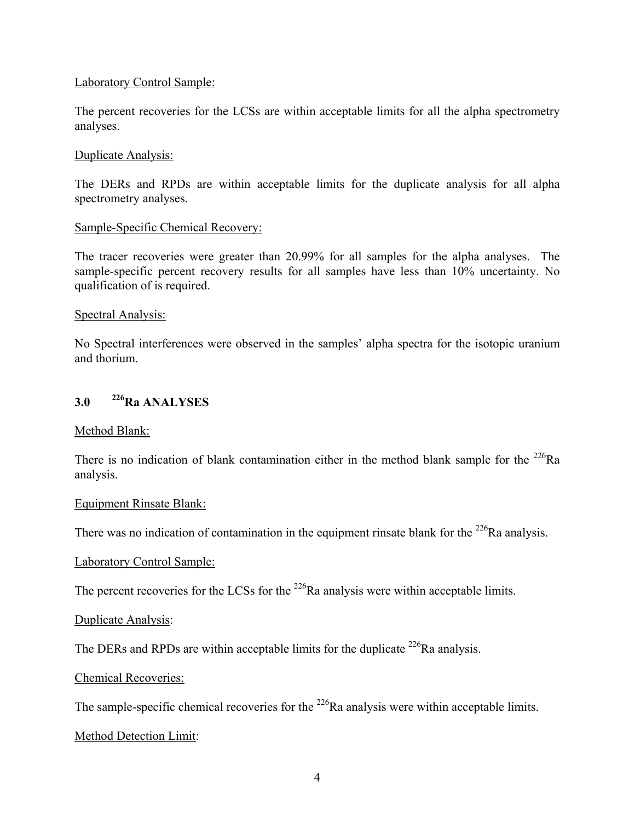### Laboratory Control Sample:

The percent recoveries for the LCSs are within acceptable limits for all the alpha spectrometry analyses.

#### Duplicate Analysis:

The DERs and RPDs are within acceptable limits for the duplicate analysis for all alpha spectrometry analyses.

#### Sample-Specific Chemical Recovery:

The tracer recoveries were greater than 20.99% for all samples for the alpha analyses. The sample-specific percent recovery results for all samples have less than 10% uncertainty. No qualification of is required.

#### Spectral Analysis:

No Spectral interferences were observed in the samples' alpha spectra for the isotopic uranium and thorium.

# **3.0 226Ra ANALYSES**

#### Method Blank:

There is no indication of blank contamination either in the method blank sample for the  $^{226}Ra$ analysis.

#### Equipment Rinsate Blank:

There was no indication of contamination in the equipment rinsate blank for the  $^{226}$ Ra analysis.

#### Laboratory Control Sample:

The percent recoveries for the LCSs for the  $^{226}$ Ra analysis were within acceptable limits.

#### Duplicate Analysis:

The DERs and RPDs are within acceptable limits for the duplicate  $^{226}$ Ra analysis.

#### Chemical Recoveries:

The sample-specific chemical recoveries for the <sup>226</sup>Ra analysis were within acceptable limits.

#### Method Detection Limit: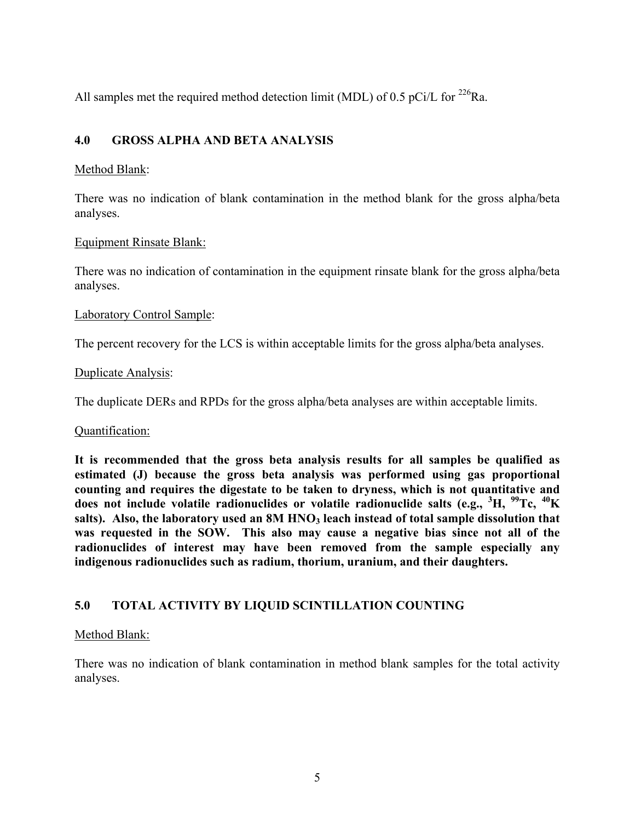All samples met the required method detection limit (MDL) of 0.5 pCi/L for  $^{226}$ Ra.

# **4.0 GROSS ALPHA AND BETA ANALYSIS**

### Method Blank:

There was no indication of blank contamination in the method blank for the gross alpha/beta analyses.

#### Equipment Rinsate Blank:

There was no indication of contamination in the equipment rinsate blank for the gross alpha/beta analyses.

### Laboratory Control Sample:

The percent recovery for the LCS is within acceptable limits for the gross alpha/beta analyses.

#### Duplicate Analysis:

The duplicate DERs and RPDs for the gross alpha/beta analyses are within acceptable limits.

#### Quantification:

**It is recommended that the gross beta analysis results for all samples be qualified as estimated (J) because the gross beta analysis was performed using gas proportional counting and requires the digestate to be taken to dryness, which is not quantitative and does not include volatile radionuclides or volatile radionuclide salts (e.g., <sup>3</sup> H, 99Tc, 40K**  salts). Also, the laboratory used an 8M HNO<sub>3</sub> leach instead of total sample dissolution that **was requested in the SOW. This also may cause a negative bias since not all of the radionuclides of interest may have been removed from the sample especially any indigenous radionuclides such as radium, thorium, uranium, and their daughters.**

# **5.0 TOTAL ACTIVITY BY LIQUID SCINTILLATION COUNTING**

### Method Blank:

There was no indication of blank contamination in method blank samples for the total activity analyses.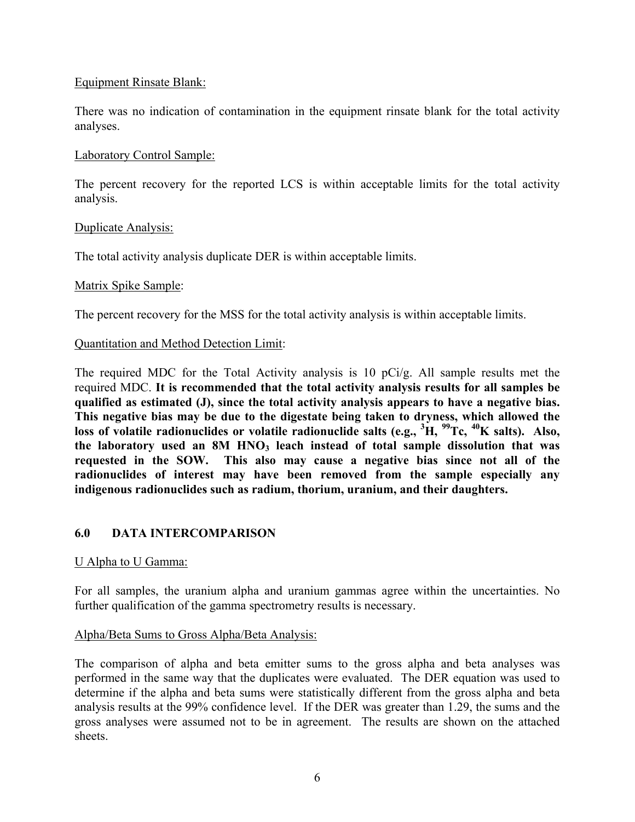### Equipment Rinsate Blank:

There was no indication of contamination in the equipment rinsate blank for the total activity analyses.

### Laboratory Control Sample:

The percent recovery for the reported LCS is within acceptable limits for the total activity analysis.

### Duplicate Analysis:

The total activity analysis duplicate DER is within acceptable limits.

### Matrix Spike Sample:

The percent recovery for the MSS for the total activity analysis is within acceptable limits.

### Quantitation and Method Detection Limit:

The required MDC for the Total Activity analysis is 10 pCi/g. All sample results met the required MDC. **It is recommended that the total activity analysis results for all samples be qualified as estimated (J), since the total activity analysis appears to have a negative bias. This negative bias may be due to the digestate being taken to dryness, which allowed the loss of volatile radionuclides or volatile radionuclide salts (e.g., <sup>3</sup> H, 99Tc, 40K salts). Also,**  the laboratory used an 8M HNO<sub>3</sub> leach instead of total sample dissolution that was **requested in the SOW. This also may cause a negative bias since not all of the radionuclides of interest may have been removed from the sample especially any indigenous radionuclides such as radium, thorium, uranium, and their daughters.**

### **6.0 DATA INTERCOMPARISON**

#### U Alpha to U Gamma:

For all samples, the uranium alpha and uranium gammas agree within the uncertainties. No further qualification of the gamma spectrometry results is necessary.

### Alpha/Beta Sums to Gross Alpha/Beta Analysis:

The comparison of alpha and beta emitter sums to the gross alpha and beta analyses was performed in the same way that the duplicates were evaluated. The DER equation was used to determine if the alpha and beta sums were statistically different from the gross alpha and beta analysis results at the 99% confidence level. If the DER was greater than 1.29, the sums and the gross analyses were assumed not to be in agreement. The results are shown on the attached sheets.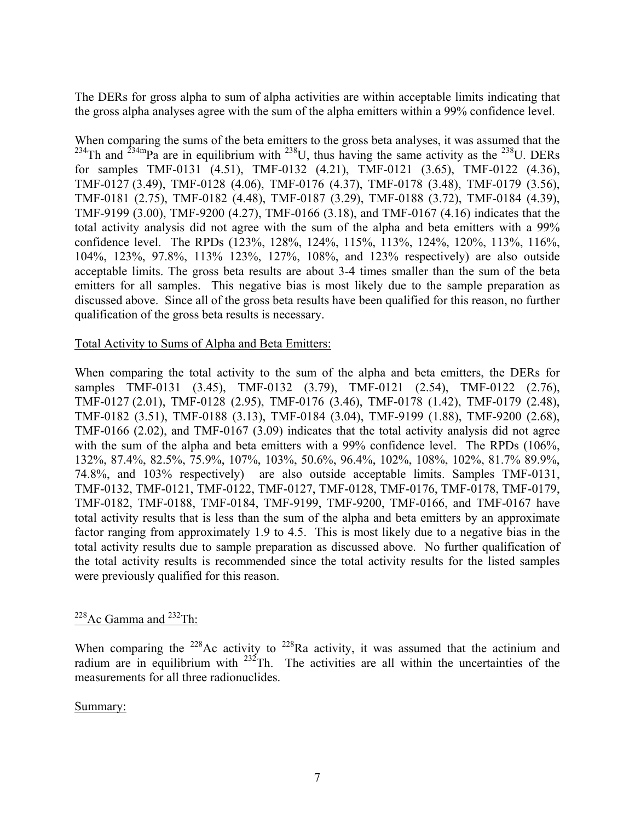The DERs for gross alpha to sum of alpha activities are within acceptable limits indicating that the gross alpha analyses agree with the sum of the alpha emitters within a 99% confidence level.

When comparing the sums of the beta emitters to the gross beta analyses, it was assumed that the <sup>234</sup>Th and <sup>234m</sup>Pa are in equilibrium with <sup>238</sup>U, thus having the same activity as the <sup>238</sup>U. DERs for samples TMF-0131 (4.51), TMF-0132 (4.21), TMF-0121 (3.65), TMF-0122 (4.36), TMF-0127 (3.49), TMF-0128 (4.06), TMF-0176 (4.37), TMF-0178 (3.48), TMF-0179 (3.56), TMF-0181 (2.75), TMF-0182 (4.48), TMF-0187 (3.29), TMF-0188 (3.72), TMF-0184 (4.39), TMF-9199 (3.00), TMF-9200 (4.27), TMF-0166 (3.18), and TMF-0167 (4.16) indicates that the total activity analysis did not agree with the sum of the alpha and beta emitters with a 99% confidence level. The RPDs (123%, 128%, 124%, 115%, 113%, 124%, 120%, 113%, 116%, 104%, 123%, 97.8%, 113% 123%, 127%, 108%, and 123% respectively) are also outside acceptable limits. The gross beta results are about 3-4 times smaller than the sum of the beta emitters for all samples. This negative bias is most likely due to the sample preparation as discussed above. Since all of the gross beta results have been qualified for this reason, no further qualification of the gross beta results is necessary.

### Total Activity to Sums of Alpha and Beta Emitters:

When comparing the total activity to the sum of the alpha and beta emitters, the DERs for samples TMF-0131 (3.45), TMF-0132 (3.79), TMF-0121 (2.54), TMF-0122 (2.76), TMF-0127 (2.01), TMF-0128 (2.95), TMF-0176 (3.46), TMF-0178 (1.42), TMF-0179 (2.48), TMF-0182 (3.51), TMF-0188 (3.13), TMF-0184 (3.04), TMF-9199 (1.88), TMF-9200 (2.68), TMF-0166 (2.02), and TMF-0167 (3.09) indicates that the total activity analysis did not agree with the sum of the alpha and beta emitters with a 99% confidence level. The RPDs (106%, 132%, 87.4%, 82.5%, 75.9%, 107%, 103%, 50.6%, 96.4%, 102%, 108%, 102%, 81.7% 89.9%, 74.8%, and 103% respectively) are also outside acceptable limits. Samples TMF-0131, TMF-0132, TMF-0121, TMF-0122, TMF-0127, TMF-0128, TMF-0176, TMF-0178, TMF-0179, TMF-0182, TMF-0188, TMF-0184, TMF-9199, TMF-9200, TMF-0166, and TMF-0167 have total activity results that is less than the sum of the alpha and beta emitters by an approximate factor ranging from approximately 1.9 to 4.5. This is most likely due to a negative bias in the total activity results due to sample preparation as discussed above. No further qualification of the total activity results is recommended since the total activity results for the listed samples were previously qualified for this reason.

# $228$ Ac Gamma and  $232$ Th:

When comparing the <sup>228</sup>Ac activity to <sup>228</sup>Ra activity, it was assumed that the actinium and radium are in equilibrium with  $232$ Th. The activities are all within the uncertainties of the measurements for all three radionuclides.

### Summary: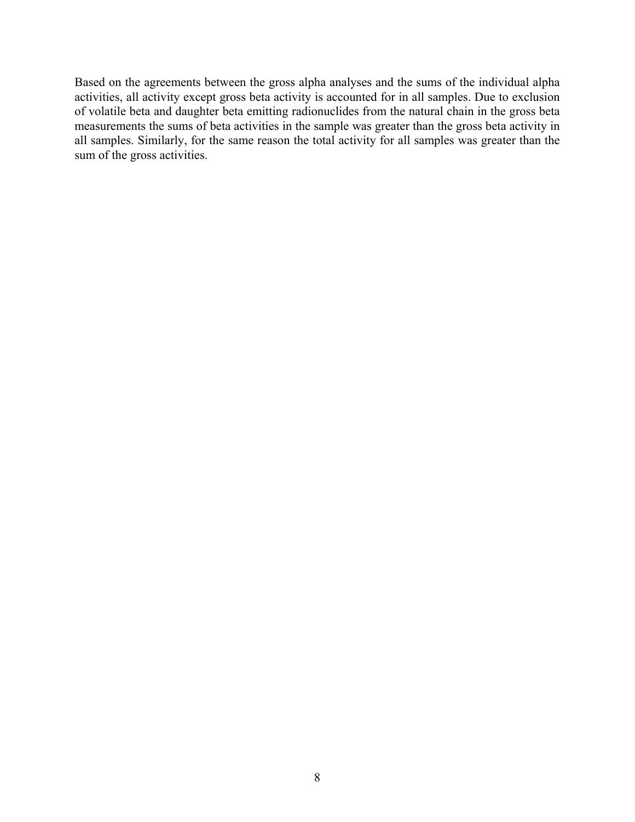Based on the agreements between the gross alpha analyses and the sums of the individual alpha activities, all activity except gross beta activity is accounted for in all samples. Due to exclusion of volatile beta and daughter beta emitting radionuclides from the natural chain in the gross beta measurements the sums of beta activities in the sample was greater than the gross beta activity in all samples. Similarly, for the same reason the total activity for all samples was greater than the sum of the gross activities.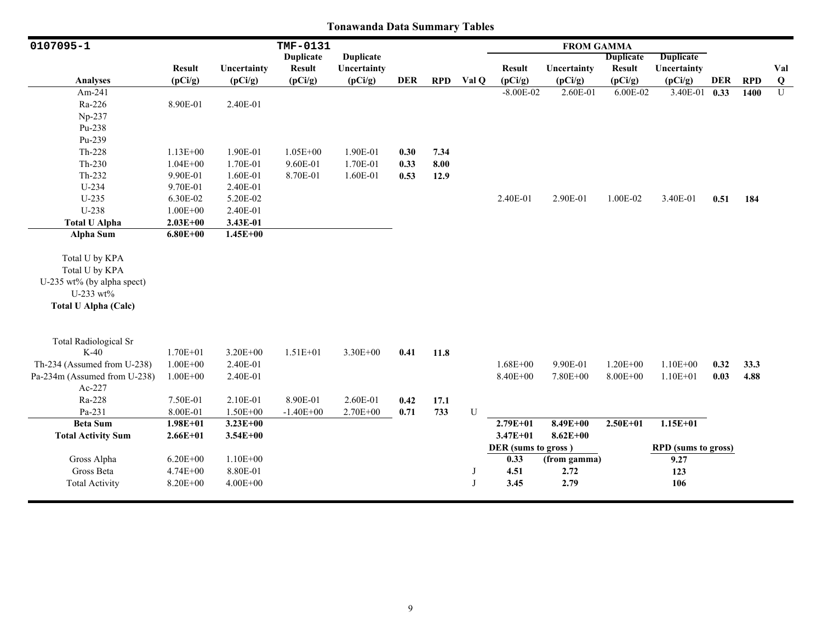| 0107095-1                    |               |              | TMF-0131         |                  |      |            |       |                     | <b>FROM GAMMA</b> |                  |                            |      |            |                |
|------------------------------|---------------|--------------|------------------|------------------|------|------------|-------|---------------------|-------------------|------------------|----------------------------|------|------------|----------------|
|                              |               |              | <b>Duplicate</b> | <b>Duplicate</b> |      |            |       |                     |                   | <b>Duplicate</b> | <b>Duplicate</b>           |      |            |                |
|                              | <b>Result</b> | Uncertainty  | <b>Result</b>    | Uncertainty      |      |            |       | <b>Result</b>       | Uncertainty       | <b>Result</b>    | Uncertainty                |      |            | Val            |
| <b>Analyses</b>              | (pCi/g)       | (pCi/g)      | (pCi/g)          | (pCi/g)          | DER  | <b>RPD</b> | Val Q | (pCi/g)             | (pCi/g)           | (pCi/g)          | (pCi/g)                    | DER  | <b>RPD</b> | $\bf{Q}$       |
| Am-241                       |               |              |                  |                  |      |            |       | $-8.00E-02$         | 2.60E-01          | 6.00E-02         | $3.40E-01$ 0.33            |      | 1400       | $\overline{U}$ |
| Ra-226                       | 8.90E-01      | 2.40E-01     |                  |                  |      |            |       |                     |                   |                  |                            |      |            |                |
| Np-237                       |               |              |                  |                  |      |            |       |                     |                   |                  |                            |      |            |                |
| Pu-238                       |               |              |                  |                  |      |            |       |                     |                   |                  |                            |      |            |                |
| Pu-239                       |               |              |                  |                  |      |            |       |                     |                   |                  |                            |      |            |                |
| Th-228                       | $1.13E + 00$  | 1.90E-01     | $1.05E + 00$     | 1.90E-01         | 0.30 | 7.34       |       |                     |                   |                  |                            |      |            |                |
| $Th-230$                     | $1.04E + 00$  | 1.70E-01     | 9.60E-01         | 1.70E-01         | 0.33 | 8.00       |       |                     |                   |                  |                            |      |            |                |
| $Th-232$                     | 9.90E-01      | 1.60E-01     | 8.70E-01         | 1.60E-01         | 0.53 | 12.9       |       |                     |                   |                  |                            |      |            |                |
| U-234                        | 9.70E-01      | 2.40E-01     |                  |                  |      |            |       |                     |                   |                  |                            |      |            |                |
| U-235                        | 6.30E-02      | 5.20E-02     |                  |                  |      |            |       | 2.40E-01            | 2.90E-01          | 1.00E-02         | 3.40E-01                   | 0.51 | 184        |                |
| U-238                        | $1.00E + 00$  | 2.40E-01     |                  |                  |      |            |       |                     |                   |                  |                            |      |            |                |
| <b>Total U Alpha</b>         | $2.03E + 00$  | 3.43E-01     |                  |                  |      |            |       |                     |                   |                  |                            |      |            |                |
| <b>Alpha Sum</b>             | $6.80E + 00$  | $1.45E + 00$ |                  |                  |      |            |       |                     |                   |                  |                            |      |            |                |
|                              |               |              |                  |                  |      |            |       |                     |                   |                  |                            |      |            |                |
| Total U by KPA               |               |              |                  |                  |      |            |       |                     |                   |                  |                            |      |            |                |
| Total U by KPA               |               |              |                  |                  |      |            |       |                     |                   |                  |                            |      |            |                |
| U-235 wt% (by alpha spect)   |               |              |                  |                  |      |            |       |                     |                   |                  |                            |      |            |                |
| U-233 wt%                    |               |              |                  |                  |      |            |       |                     |                   |                  |                            |      |            |                |
| <b>Total U Alpha (Calc)</b>  |               |              |                  |                  |      |            |       |                     |                   |                  |                            |      |            |                |
|                              |               |              |                  |                  |      |            |       |                     |                   |                  |                            |      |            |                |
| <b>Total Radiological Sr</b> |               |              |                  |                  |      |            |       |                     |                   |                  |                            |      |            |                |
| $K-40$                       | $1.70E + 01$  | $3.20E + 00$ | $1.51E + 01$     | 3.30E+00         | 0.41 | 11.8       |       |                     |                   |                  |                            |      |            |                |
| Th-234 (Assumed from U-238)  | $1.00E + 00$  | 2.40E-01     |                  |                  |      |            |       | $1.68E + 00$        | 9.90E-01          | $1.20E + 00$     | $1.10E + 00$               | 0.32 | 33.3       |                |
| Pa-234m (Assumed from U-238) | $1.00E + 00$  | 2.40E-01     |                  |                  |      |            |       | 8.40E+00            | 7.80E+00          | $8.00E + 00$     | $1.10E + 01$               | 0.03 | 4.88       |                |
| Ac-227                       |               |              |                  |                  |      |            |       |                     |                   |                  |                            |      |            |                |
| Ra-228                       | 7.50E-01      | 2.10E-01     | 8.90E-01         | 2.60E-01         | 0.42 | 17.1       |       |                     |                   |                  |                            |      |            |                |
| Pa-231                       | 8.00E-01      | $1.50E + 00$ | $-1.40E + 00$    | $2.70E + 00$     | 0.71 | 733        | U     |                     |                   |                  |                            |      |            |                |
| <b>Beta Sum</b>              | $1.98E + 01$  | $3.23E + 00$ |                  |                  |      |            |       | 2.79E+01            | $8.49E + 00$      | $2.50E + 01$     | $1.15E+01$                 |      |            |                |
| <b>Total Activity Sum</b>    | $2.66E + 01$  | $3.54E + 00$ |                  |                  |      |            |       | $3.47E + 01$        | $8.62E + 00$      |                  |                            |      |            |                |
|                              |               |              |                  |                  |      |            |       | DER (sums to gross) |                   |                  | <b>RPD</b> (sums to gross) |      |            |                |
| Gross Alpha                  | $6.20E + 00$  | $1.10E + 00$ |                  |                  |      |            |       | 0.33                | (from gamma)      |                  | 9.27                       |      |            |                |
| Gross Beta                   | $4.74E + 00$  | 8.80E-01     |                  |                  |      |            | J     | 4.51                | 2.72              |                  | 123                        |      |            |                |
| <b>Total Activity</b>        | 8.20E+00      | $4.00E + 00$ |                  |                  |      |            | J     | 3.45                | 2.79              |                  | 106                        |      |            |                |
|                              |               |              |                  |                  |      |            |       |                     |                   |                  |                            |      |            |                |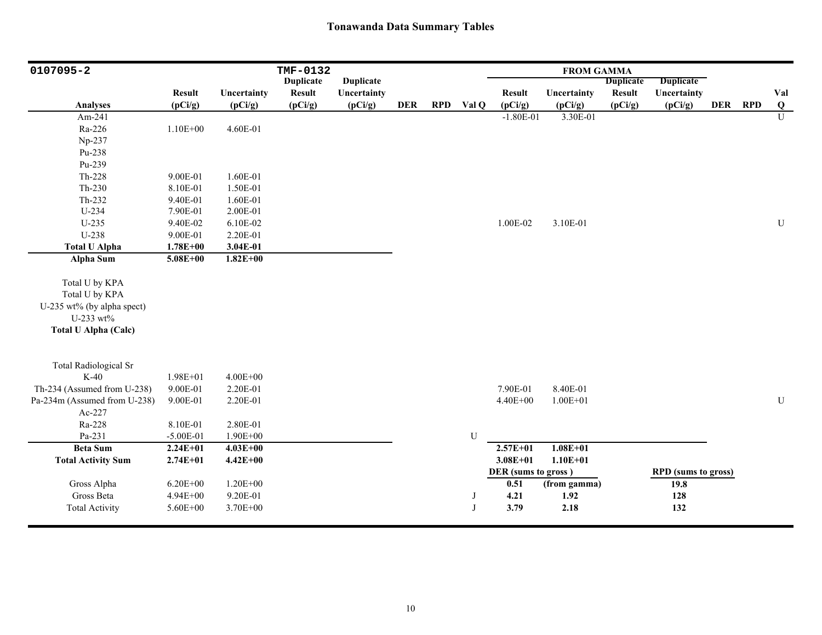| 0107095-2                    |               |              | TMF-0132         |                  |            |            |       |                     | <b>FROM GAMMA</b> |                  |                            |         |              |
|------------------------------|---------------|--------------|------------------|------------------|------------|------------|-------|---------------------|-------------------|------------------|----------------------------|---------|--------------|
|                              |               |              | <b>Duplicate</b> | <b>Duplicate</b> |            |            |       |                     |                   | <b>Duplicate</b> | <b>Duplicate</b>           |         |              |
|                              | <b>Result</b> | Uncertainty  | <b>Result</b>    | Uncertainty      |            |            |       | <b>Result</b>       | Uncertainty       | <b>Result</b>    | Uncertainty                |         | Val          |
| <b>Analyses</b>              | (pCi/g)       | (pCi/g)      | (pCi/g)          | (pCi/g)          | <b>DER</b> | <b>RPD</b> | Val Q | (pCi/g)             | (pCi/g)           | (pCi/g)          | (pCi/g)                    | DER RPD | $\bf Q$      |
| Am-241                       |               |              |                  |                  |            |            |       | $-1.80E-01$         | 3.30E-01          |                  |                            |         | $\mathbf{U}$ |
| Ra-226                       | $1.10E + 00$  | 4.60E-01     |                  |                  |            |            |       |                     |                   |                  |                            |         |              |
| Np-237                       |               |              |                  |                  |            |            |       |                     |                   |                  |                            |         |              |
| Pu-238                       |               |              |                  |                  |            |            |       |                     |                   |                  |                            |         |              |
| Pu-239                       |               |              |                  |                  |            |            |       |                     |                   |                  |                            |         |              |
| $Th-228$                     | 9.00E-01      | 1.60E-01     |                  |                  |            |            |       |                     |                   |                  |                            |         |              |
| $Th-230$                     | 8.10E-01      | 1.50E-01     |                  |                  |            |            |       |                     |                   |                  |                            |         |              |
| $Th-232$                     | 9.40E-01      | 1.60E-01     |                  |                  |            |            |       |                     |                   |                  |                            |         |              |
| U-234                        | 7.90E-01      | 2.00E-01     |                  |                  |            |            |       |                     |                   |                  |                            |         |              |
| $U-235$                      | 9.40E-02      | 6.10E-02     |                  |                  |            |            |       | 1.00E-02            | 3.10E-01          |                  |                            |         | U            |
| U-238                        | 9.00E-01      | 2.20E-01     |                  |                  |            |            |       |                     |                   |                  |                            |         |              |
| <b>Total U Alpha</b>         | $1.78E + 00$  | 3.04E-01     |                  |                  |            |            |       |                     |                   |                  |                            |         |              |
| Alpha Sum                    | $5.08E + 00$  | $1.82E+00$   |                  |                  |            |            |       |                     |                   |                  |                            |         |              |
|                              |               |              |                  |                  |            |            |       |                     |                   |                  |                            |         |              |
| Total U by KPA               |               |              |                  |                  |            |            |       |                     |                   |                  |                            |         |              |
| Total U by KPA               |               |              |                  |                  |            |            |       |                     |                   |                  |                            |         |              |
| U-235 wt% (by alpha spect)   |               |              |                  |                  |            |            |       |                     |                   |                  |                            |         |              |
| U-233 wt%                    |               |              |                  |                  |            |            |       |                     |                   |                  |                            |         |              |
| <b>Total U Alpha (Calc)</b>  |               |              |                  |                  |            |            |       |                     |                   |                  |                            |         |              |
|                              |               |              |                  |                  |            |            |       |                     |                   |                  |                            |         |              |
| <b>Total Radiological Sr</b> |               |              |                  |                  |            |            |       |                     |                   |                  |                            |         |              |
| $K-40$                       | $1.98E + 01$  | $4.00E + 00$ |                  |                  |            |            |       |                     |                   |                  |                            |         |              |
| Th-234 (Assumed from U-238)  | 9.00E-01      | 2.20E-01     |                  |                  |            |            |       | 7.90E-01            | 8.40E-01          |                  |                            |         |              |
| Pa-234m (Assumed from U-238) | 9.00E-01      | 2.20E-01     |                  |                  |            |            |       | 4.40E+00            | $1.00E + 01$      |                  |                            |         | U            |
| Ac-227                       |               |              |                  |                  |            |            |       |                     |                   |                  |                            |         |              |
| Ra-228                       | 8.10E-01      | 2.80E-01     |                  |                  |            |            |       |                     |                   |                  |                            |         |              |
| Pa-231                       | $-5.00E-01$   | 1.90E+00     |                  |                  |            |            | U     |                     |                   |                  |                            |         |              |
| <b>Beta Sum</b>              | $2.24E + 01$  | $4.03E + 00$ |                  |                  |            |            |       | $2.57E + 01$        | $1.08E + 01$      |                  |                            |         |              |
| <b>Total Activity Sum</b>    | $2.74E + 01$  | $4.42E + 00$ |                  |                  |            |            |       | $3.08E + 01$        | $1.10E + 01$      |                  |                            |         |              |
|                              |               |              |                  |                  |            |            |       | DER (sums to gross) |                   |                  | <b>RPD</b> (sums to gross) |         |              |
| Gross Alpha                  | $6.20E + 00$  | $1.20E + 00$ |                  |                  |            |            |       | 0.51                | (from gamma)      |                  | 19.8                       |         |              |
| Gross Beta                   | 4.94E+00      | 9.20E-01     |                  |                  |            |            | J     | 4.21                | 1.92              |                  | 128                        |         |              |
| <b>Total Activity</b>        | $5.60E + 00$  | $3.70E + 00$ |                  |                  |            |            | J     | 3.79                | 2.18              |                  | 132                        |         |              |
|                              |               |              |                  |                  |            |            |       |                     |                   |                  |                            |         |              |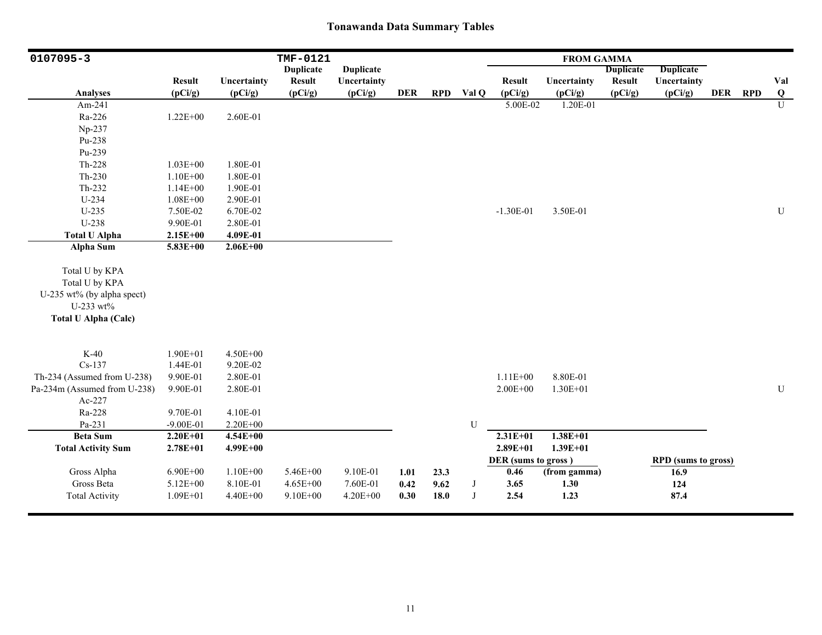| 0107095-3                                                                                                  |                          |                      | TMF-0121         |                  |            |            |            |                     | <b>FROM GAMMA</b> |                  |                            |            |            |                         |
|------------------------------------------------------------------------------------------------------------|--------------------------|----------------------|------------------|------------------|------------|------------|------------|---------------------|-------------------|------------------|----------------------------|------------|------------|-------------------------|
|                                                                                                            |                          |                      | <b>Duplicate</b> | <b>Duplicate</b> |            |            |            |                     |                   | <b>Duplicate</b> | <b>Duplicate</b>           |            |            |                         |
|                                                                                                            | <b>Result</b>            | Uncertainty          | <b>Result</b>    | Uncertainty      |            |            |            | <b>Result</b>       | Uncertainty       | <b>Result</b>    | Uncertainty                |            |            | Val                     |
| <b>Analyses</b>                                                                                            | (pCi/g)                  | (pCi/g)              | (pCi/g)          | (pCi/g)          | <b>DER</b> | <b>RPD</b> | Val Q      | (pCi/g)             | (pCi/g)           | (pCi/g)          | (pCi/g)                    | <b>DER</b> | <b>RPD</b> | $\overline{\mathbf{Q}}$ |
| Am-241                                                                                                     |                          |                      |                  |                  |            |            |            | 5.00E-02            | 1.20E-01          |                  |                            |            |            | $\overline{U}$          |
| Ra-226                                                                                                     | $1.22E + 00$             | 2.60E-01             |                  |                  |            |            |            |                     |                   |                  |                            |            |            |                         |
| Np-237                                                                                                     |                          |                      |                  |                  |            |            |            |                     |                   |                  |                            |            |            |                         |
| Pu-238                                                                                                     |                          |                      |                  |                  |            |            |            |                     |                   |                  |                            |            |            |                         |
| Pu-239                                                                                                     |                          |                      |                  |                  |            |            |            |                     |                   |                  |                            |            |            |                         |
| Th-228                                                                                                     | $1.03E + 00$             | 1.80E-01             |                  |                  |            |            |            |                     |                   |                  |                            |            |            |                         |
| $Th-230$                                                                                                   | $1.10E + 00$             | 1.80E-01             |                  |                  |            |            |            |                     |                   |                  |                            |            |            |                         |
| Th-232                                                                                                     | $1.14E + 00$             | 1.90E-01             |                  |                  |            |            |            |                     |                   |                  |                            |            |            |                         |
| U-234                                                                                                      | $1.08E + 00$             | 2.90E-01             |                  |                  |            |            |            |                     |                   |                  |                            |            |            |                         |
| $U-235$                                                                                                    | 7.50E-02                 | 6.70E-02             |                  |                  |            |            |            | $-1.30E-01$         | 3.50E-01          |                  |                            |            |            | ${\bf U}$               |
| U-238                                                                                                      | 9.90E-01                 | 2.80E-01             |                  |                  |            |            |            |                     |                   |                  |                            |            |            |                         |
| <b>Total U Alpha</b>                                                                                       | $2.15E+00$               | 4.09E-01             |                  |                  |            |            |            |                     |                   |                  |                            |            |            |                         |
| Alpha Sum                                                                                                  | $5.83E+00$               | $2.06E + 00$         |                  |                  |            |            |            |                     |                   |                  |                            |            |            |                         |
| Total U by KPA<br>Total U by KPA<br>U-235 wt% (by alpha spect)<br>U-233 wt%<br><b>Total U Alpha (Calc)</b> |                          |                      |                  |                  |            |            |            |                     |                   |                  |                            |            |            |                         |
|                                                                                                            |                          |                      |                  |                  |            |            |            |                     |                   |                  |                            |            |            |                         |
| $K-40$<br>$Cs-137$                                                                                         | $1.90E + 01$<br>1.44E-01 | 4.50E+00<br>9.20E-02 |                  |                  |            |            |            |                     |                   |                  |                            |            |            |                         |
| Th-234 (Assumed from U-238)                                                                                | 9.90E-01                 | 2.80E-01             |                  |                  |            |            |            | $1.11E + 00$        | 8.80E-01          |                  |                            |            |            |                         |
| Pa-234m (Assumed from U-238)                                                                               | 9.90E-01                 | 2.80E-01             |                  |                  |            |            |            | $2.00E + 00$        | $1.30E + 01$      |                  |                            |            |            | ${\bf U}$               |
| Ac-227                                                                                                     |                          |                      |                  |                  |            |            |            |                     |                   |                  |                            |            |            |                         |
| Ra-228                                                                                                     | 9.70E-01                 | 4.10E-01             |                  |                  |            |            |            |                     |                   |                  |                            |            |            |                         |
| Pa-231                                                                                                     | $-9.00E-01$              | 2.20E+00             |                  |                  |            |            | U          |                     |                   |                  |                            |            |            |                         |
| <b>Beta Sum</b>                                                                                            | $2.20E+01$               | $4.54E + 00$         |                  |                  |            |            |            | $2.31E+01$          | $1.38E + 01$      |                  |                            |            |            |                         |
| <b>Total Activity Sum</b>                                                                                  | $2.78E + 01$             | $4.99E + 00$         |                  |                  |            |            |            | $2.89E + 01$        | $1.39E + 01$      |                  |                            |            |            |                         |
|                                                                                                            |                          |                      |                  |                  |            |            |            | DER (sums to gross) |                   |                  | <b>RPD</b> (sums to gross) |            |            |                         |
| Gross Alpha                                                                                                | $6.90E + 00$             | $1.10E + 00$         | 5.46E+00         | 9.10E-01         | 1.01       | 23.3       |            | 0.46                | (from gamma)      |                  | 16.9                       |            |            |                         |
| Gross Beta                                                                                                 | 5.12E+00                 | 8.10E-01             | 4.65E+00         | 7.60E-01         | 0.42       | 9.62       | $_{\rm J}$ | 3.65                | 1.30              |                  | 124                        |            |            |                         |
| <b>Total Activity</b>                                                                                      | $1.09E + 01$             | 4.40E+00             | $9.10E + 00$     | 4.20E+00         | 0.30       | 18.0       | $_{\rm J}$ | 2.54                | 1.23              |                  | 87.4                       |            |            |                         |
|                                                                                                            |                          |                      |                  |                  |            |            |            |                     |                   |                  |                            |            |            |                         |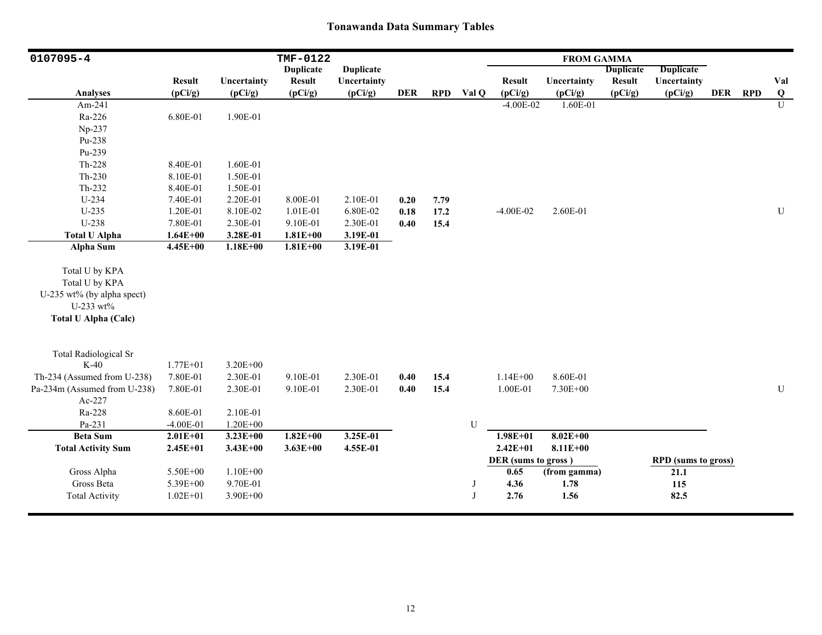| 0107095-4                    |               |              | <b>TMF-0122</b>  |                  |            |            |           |                     | <b>FROM GAMMA</b> |                  |                            |         |                |
|------------------------------|---------------|--------------|------------------|------------------|------------|------------|-----------|---------------------|-------------------|------------------|----------------------------|---------|----------------|
|                              |               |              | <b>Duplicate</b> | <b>Duplicate</b> |            |            |           |                     |                   | <b>Duplicate</b> | <b>Duplicate</b>           |         |                |
|                              | <b>Result</b> | Uncertainty  | <b>Result</b>    | Uncertainty      |            |            |           | <b>Result</b>       | Uncertainty       | <b>Result</b>    | Uncertainty                |         | Val            |
| <b>Analyses</b>              | (pCi/g)       | (pCi/g)      | (pCi/g)          | (pCi/g)          | <b>DER</b> | <b>RPD</b> | Val Q     | (pCi/g)             | (pCi/g)           | (pCi/g)          | (pCi/g)                    | DER RPD | Q              |
| Am-241                       |               |              |                  |                  |            |            |           | $-4.00E-02$         | 1.60E-01          |                  |                            |         | $\overline{U}$ |
| Ra-226                       | 6.80E-01      | 1.90E-01     |                  |                  |            |            |           |                     |                   |                  |                            |         |                |
| Np-237                       |               |              |                  |                  |            |            |           |                     |                   |                  |                            |         |                |
| Pu-238                       |               |              |                  |                  |            |            |           |                     |                   |                  |                            |         |                |
| Pu-239                       |               |              |                  |                  |            |            |           |                     |                   |                  |                            |         |                |
| Th-228                       | 8.40E-01      | 1.60E-01     |                  |                  |            |            |           |                     |                   |                  |                            |         |                |
| $Th-230$                     | 8.10E-01      | 1.50E-01     |                  |                  |            |            |           |                     |                   |                  |                            |         |                |
| Th-232                       | 8.40E-01      | 1.50E-01     |                  |                  |            |            |           |                     |                   |                  |                            |         |                |
| $U-234$                      | 7.40E-01      | 2.20E-01     | 8.00E-01         | 2.10E-01         | 0.20       | 7.79       |           |                     |                   |                  |                            |         |                |
| $U-235$                      | 1.20E-01      | 8.10E-02     | 1.01E-01         | 6.80E-02         | 0.18       | 17.2       |           | $-4.00E-02$         | 2.60E-01          |                  |                            |         | ${\bf U}$      |
| U-238                        | 7.80E-01      | 2.30E-01     | 9.10E-01         | 2.30E-01         | 0.40       | 15.4       |           |                     |                   |                  |                            |         |                |
| <b>Total U Alpha</b>         | $1.64E + 00$  | 3.28E-01     | $1.81E + 00$     | 3.19E-01         |            |            |           |                     |                   |                  |                            |         |                |
| <b>Alpha Sum</b>             | $4.45E + 00$  | $1.18E + 00$ | $1.81E + 00$     | 3.19E-01         |            |            |           |                     |                   |                  |                            |         |                |
| Total U by KPA               |               |              |                  |                  |            |            |           |                     |                   |                  |                            |         |                |
| Total U by KPA               |               |              |                  |                  |            |            |           |                     |                   |                  |                            |         |                |
| U-235 wt% (by alpha spect)   |               |              |                  |                  |            |            |           |                     |                   |                  |                            |         |                |
| U-233 wt%                    |               |              |                  |                  |            |            |           |                     |                   |                  |                            |         |                |
| <b>Total U Alpha (Calc)</b>  |               |              |                  |                  |            |            |           |                     |                   |                  |                            |         |                |
|                              |               |              |                  |                  |            |            |           |                     |                   |                  |                            |         |                |
| <b>Total Radiological Sr</b> |               |              |                  |                  |            |            |           |                     |                   |                  |                            |         |                |
| $K-40$                       | $1.77E + 01$  | 3.20E+00     |                  |                  |            |            |           |                     |                   |                  |                            |         |                |
| Th-234 (Assumed from U-238)  | 7.80E-01      | 2.30E-01     | 9.10E-01         | 2.30E-01         | 0.40       | 15.4       |           | $1.14E + 00$        | 8.60E-01          |                  |                            |         |                |
| Pa-234m (Assumed from U-238) | 7.80E-01      | 2.30E-01     | 9.10E-01         | 2.30E-01         | 0.40       | 15.4       |           | 1.00E-01            | 7.30E+00          |                  |                            |         | ${\bf U}$      |
| Ac-227                       |               |              |                  |                  |            |            |           |                     |                   |                  |                            |         |                |
| Ra-228                       | 8.60E-01      | 2.10E-01     |                  |                  |            |            |           |                     |                   |                  |                            |         |                |
| Pa-231                       | $-4.00E-01$   | $1.20E + 00$ |                  |                  |            |            | ${\bf U}$ |                     |                   |                  |                            |         |                |
| <b>Beta Sum</b>              | $2.01E+01$    | $3.23E + 00$ | $1.82E+00$       | $3.25E-01$       |            |            |           | $1.98E + 01$        | $8.02E + 00$      |                  |                            |         |                |
| <b>Total Activity Sum</b>    | $2.45E + 01$  | $3.43E + 00$ | $3.63E + 00$     | 4.55E-01         |            |            |           | $2.42E + 01$        | $8.11E + 00$      |                  |                            |         |                |
|                              |               |              |                  |                  |            |            |           | DER (sums to gross) |                   |                  | <b>RPD</b> (sums to gross) |         |                |
| Gross Alpha                  | 5.50E+00      | $1.10E + 00$ |                  |                  |            |            |           | 0.65                | (from gamma)      |                  | 21.1                       |         |                |
| Gross Beta                   | 5.39E+00      | 9.70E-01     |                  |                  |            |            | J         | 4.36                | 1.78              |                  | 115                        |         |                |
| <b>Total Activity</b>        | $1.02E + 01$  | 3.90E+00     |                  |                  |            |            | J         | 2.76                | 1.56              |                  | 82.5                       |         |                |
|                              |               |              |                  |                  |            |            |           |                     |                   |                  |                            |         |                |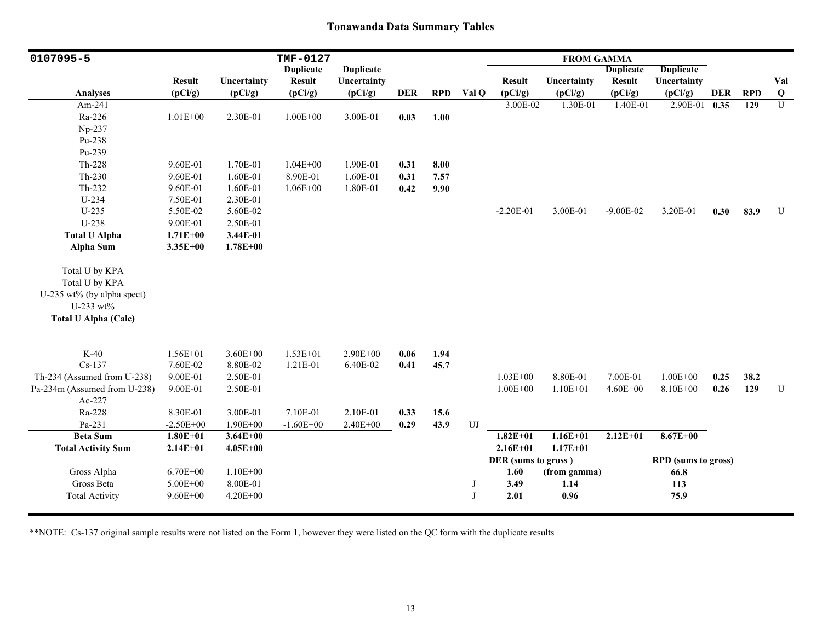| 0107095-5                    |               |              | TMF-0127         |                  |            |            |       |                     | <b>FROM GAMMA</b> |                  |                            |            |            |                         |
|------------------------------|---------------|--------------|------------------|------------------|------------|------------|-------|---------------------|-------------------|------------------|----------------------------|------------|------------|-------------------------|
|                              |               |              | <b>Duplicate</b> | <b>Duplicate</b> |            |            |       |                     |                   | <b>Duplicate</b> | <b>Duplicate</b>           |            |            |                         |
|                              | <b>Result</b> | Uncertainty  | <b>Result</b>    | Uncertainty      |            |            |       | <b>Result</b>       | Uncertainty       | <b>Result</b>    | Uncertainty                |            |            | Val                     |
| <b>Analyses</b>              | (pCi/g)       | (pCi/g)      | (pCi/g)          | (pCi/g)          | <b>DER</b> | <b>RPD</b> | Val Q | (pCi/g)             | (pCi/g)           | (pCi/g)          | (pCi/g)                    | <b>DER</b> | <b>RPD</b> | $\overline{\mathbf{Q}}$ |
| Am-241                       |               |              |                  |                  |            |            |       | 3.00E-02            | 1.30E-01          | 1.40E-01         | 2.90E-01                   | 0.35       | 129        | $\overline{U}$          |
| Ra-226                       | $1.01E + 00$  | 2.30E-01     | $1.00E + 00$     | 3.00E-01         | 0.03       | 1.00       |       |                     |                   |                  |                            |            |            |                         |
| Np-237                       |               |              |                  |                  |            |            |       |                     |                   |                  |                            |            |            |                         |
| Pu-238                       |               |              |                  |                  |            |            |       |                     |                   |                  |                            |            |            |                         |
| Pu-239                       |               |              |                  |                  |            |            |       |                     |                   |                  |                            |            |            |                         |
| Th-228                       | 9.60E-01      | 1.70E-01     | $1.04E + 00$     | 1.90E-01         | 0.31       | 8.00       |       |                     |                   |                  |                            |            |            |                         |
| $Th-230$                     | 9.60E-01      | 1.60E-01     | 8.90E-01         | 1.60E-01         | 0.31       | 7.57       |       |                     |                   |                  |                            |            |            |                         |
| Th-232                       | 9.60E-01      | 1.60E-01     | $1.06E + 00$     | 1.80E-01         | 0.42       | 9.90       |       |                     |                   |                  |                            |            |            |                         |
| $U-234$                      | 7.50E-01      | 2.30E-01     |                  |                  |            |            |       |                     |                   |                  |                            |            |            |                         |
| $U-235$                      | 5.50E-02      | 5.60E-02     |                  |                  |            |            |       | $-2.20E-01$         | 3.00E-01          | $-9.00E - 02$    | 3.20E-01                   | 0.30       | 83.9       | $\mathbf U$             |
| U-238                        | 9.00E-01      | 2.50E-01     |                  |                  |            |            |       |                     |                   |                  |                            |            |            |                         |
| <b>Total U Alpha</b>         | $1.71E + 00$  | 3.44E-01     |                  |                  |            |            |       |                     |                   |                  |                            |            |            |                         |
| <b>Alpha Sum</b>             | $3.35E + 00$  | $1.78E + 00$ |                  |                  |            |            |       |                     |                   |                  |                            |            |            |                         |
| Total U by KPA               |               |              |                  |                  |            |            |       |                     |                   |                  |                            |            |            |                         |
| Total U by KPA               |               |              |                  |                  |            |            |       |                     |                   |                  |                            |            |            |                         |
| U-235 wt% (by alpha spect)   |               |              |                  |                  |            |            |       |                     |                   |                  |                            |            |            |                         |
| U-233 wt%                    |               |              |                  |                  |            |            |       |                     |                   |                  |                            |            |            |                         |
| <b>Total U Alpha (Calc)</b>  |               |              |                  |                  |            |            |       |                     |                   |                  |                            |            |            |                         |
|                              |               |              |                  |                  |            |            |       |                     |                   |                  |                            |            |            |                         |
| $K-40$                       | $1.56E + 01$  | $3.60E + 00$ | $1.53E+01$       | $2.90E + 00$     | 0.06       | 1.94       |       |                     |                   |                  |                            |            |            |                         |
| $Cs-137$                     | 7.60E-02      | 8.80E-02     | 1.21E-01         | 6.40E-02         | 0.41       | 45.7       |       |                     |                   |                  |                            |            |            |                         |
| Th-234 (Assumed from U-238)  | 9.00E-01      | 2.50E-01     |                  |                  |            |            |       | $1.03E + 00$        | 8.80E-01          | 7.00E-01         | $1.00E + 00$               | 0.25       | 38.2       |                         |
| Pa-234m (Assumed from U-238) | 9.00E-01      | 2.50E-01     |                  |                  |            |            |       | $1.00E + 00$        | $1.10E + 01$      | $4.60E + 00$     | 8.10E+00                   | 0.26       | 129        | ${\bf U}$               |
| Ac-227                       |               |              |                  |                  |            |            |       |                     |                   |                  |                            |            |            |                         |
| Ra-228                       | 8.30E-01      | 3.00E-01     | 7.10E-01         | 2.10E-01         | 0.33       | 15.6       |       |                     |                   |                  |                            |            |            |                         |
| Pa-231                       | $-2.50E + 00$ | $1.90E + 00$ | $-1.60E + 00$    | 2.40E+00         | 0.29       | 43.9       | UJ    |                     |                   |                  |                            |            |            |                         |
| <b>Beta Sum</b>              | $1.80E + 01$  | $3.64E + 00$ |                  |                  |            |            |       | $1.82E+01$          | $1.16E + 01$      | $2.12E+01$       | $8.67E + 00$               |            |            |                         |
| <b>Total Activity Sum</b>    | $2.14E + 01$  | $4.05E + 00$ |                  |                  |            |            |       | $2.16E + 01$        | $1.17E + 01$      |                  |                            |            |            |                         |
|                              |               |              |                  |                  |            |            |       | DER (sums to gross) |                   |                  | <b>RPD</b> (sums to gross) |            |            |                         |
| Gross Alpha                  | $6.70E + 00$  | $1.10E + 00$ |                  |                  |            |            |       | 1.60                | (from gamma)      |                  | 66.8                       |            |            |                         |
| Gross Beta                   | 5.00E+00      | 8.00E-01     |                  |                  |            |            | J     | 3.49                | 1.14              |                  | 113                        |            |            |                         |
| <b>Total Activity</b>        | $9.60E + 00$  | 4.20E+00     |                  |                  |            |            | J     | 2.01                | 0.96              |                  | 75.9                       |            |            |                         |
|                              |               |              |                  |                  |            |            |       |                     |                   |                  |                            |            |            |                         |

\*\*NOTE: Cs-137 original sample results were not listed on the Form 1, however they were listed on the QC form with the duplicate results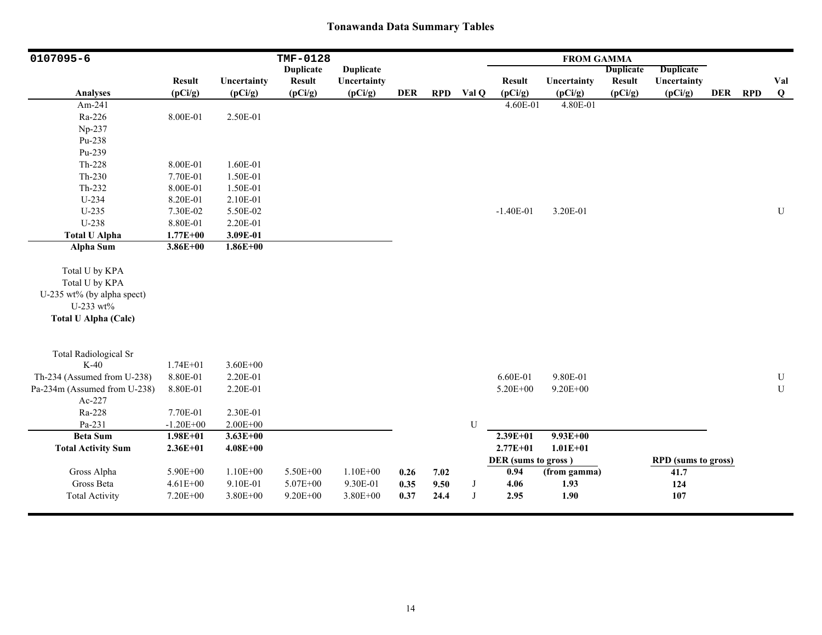| 0107095-6                                                                                                  |               |              | TMF-0128         |                  |            |            |            |                     | <b>FROM GAMMA</b> |                  |                            |            |            |           |
|------------------------------------------------------------------------------------------------------------|---------------|--------------|------------------|------------------|------------|------------|------------|---------------------|-------------------|------------------|----------------------------|------------|------------|-----------|
|                                                                                                            |               |              | <b>Duplicate</b> | <b>Duplicate</b> |            |            |            |                     |                   | <b>Duplicate</b> | <b>Duplicate</b>           |            |            |           |
|                                                                                                            | <b>Result</b> | Uncertainty  | <b>Result</b>    | Uncertainty      |            |            |            | <b>Result</b>       | Uncertainty       | <b>Result</b>    | Uncertainty                |            |            | Val       |
| <b>Analyses</b>                                                                                            | (pCi/g)       | (pCi/g)      | (pCi/g)          | (pCi/g)          | <b>DER</b> | <b>RPD</b> | Val Q      | (pCi/g)             | (pCi/g)           | (pCi/g)          | (pCi/g)                    | <b>DER</b> | <b>RPD</b> | Q         |
| Am-241                                                                                                     |               |              |                  |                  |            |            |            | 4.60E-01            | 4.80E-01          |                  |                            |            |            |           |
| Ra-226                                                                                                     | 8.00E-01      | 2.50E-01     |                  |                  |            |            |            |                     |                   |                  |                            |            |            |           |
| Np-237                                                                                                     |               |              |                  |                  |            |            |            |                     |                   |                  |                            |            |            |           |
| Pu-238                                                                                                     |               |              |                  |                  |            |            |            |                     |                   |                  |                            |            |            |           |
| Pu-239                                                                                                     |               |              |                  |                  |            |            |            |                     |                   |                  |                            |            |            |           |
| Th-228                                                                                                     | 8.00E-01      | 1.60E-01     |                  |                  |            |            |            |                     |                   |                  |                            |            |            |           |
| $Th-230$                                                                                                   | 7.70E-01      | 1.50E-01     |                  |                  |            |            |            |                     |                   |                  |                            |            |            |           |
| Th-232                                                                                                     | 8.00E-01      | 1.50E-01     |                  |                  |            |            |            |                     |                   |                  |                            |            |            |           |
| $U-234$                                                                                                    | 8.20E-01      | 2.10E-01     |                  |                  |            |            |            |                     |                   |                  |                            |            |            |           |
| $U-235$                                                                                                    | 7.30E-02      | 5.50E-02     |                  |                  |            |            |            | $-1.40E-01$         | 3.20E-01          |                  |                            |            |            | ${\bf U}$ |
| U-238                                                                                                      | 8.80E-01      | 2.20E-01     |                  |                  |            |            |            |                     |                   |                  |                            |            |            |           |
| <b>Total U Alpha</b>                                                                                       | $1.77E + 00$  | 3.09E-01     |                  |                  |            |            |            |                     |                   |                  |                            |            |            |           |
| <b>Alpha Sum</b>                                                                                           | 3.86E+00      | $1.86E + 00$ |                  |                  |            |            |            |                     |                   |                  |                            |            |            |           |
| Total U by KPA<br>Total U by KPA<br>U-235 wt% (by alpha spect)<br>U-233 wt%<br><b>Total U Alpha (Calc)</b> |               |              |                  |                  |            |            |            |                     |                   |                  |                            |            |            |           |
| <b>Total Radiological Sr</b>                                                                               |               |              |                  |                  |            |            |            |                     |                   |                  |                            |            |            |           |
| $K-40$                                                                                                     | $1.74E + 01$  | $3.60E + 00$ |                  |                  |            |            |            |                     |                   |                  |                            |            |            |           |
| Th-234 (Assumed from U-238)                                                                                | 8.80E-01      | 2.20E-01     |                  |                  |            |            |            | 6.60E-01            | 9.80E-01          |                  |                            |            |            | ${\bf U}$ |
| Pa-234m (Assumed from U-238)                                                                               | 8.80E-01      | 2.20E-01     |                  |                  |            |            |            | 5.20E+00            | $9.20E + 00$      |                  |                            |            |            | U         |
| Ac-227                                                                                                     |               |              |                  |                  |            |            |            |                     |                   |                  |                            |            |            |           |
| Ra-228                                                                                                     | 7.70E-01      | 2.30E-01     |                  |                  |            |            |            |                     |                   |                  |                            |            |            |           |
| Pa-231                                                                                                     | $-1.20E + 00$ | $2.00E + 00$ |                  |                  |            |            | U          |                     |                   |                  |                            |            |            |           |
| <b>Beta Sum</b>                                                                                            | $1.98E + 01$  | $3.63E + 00$ |                  |                  |            |            |            | $2.39E + 01$        | $9.93E + 00$      |                  |                            |            |            |           |
| <b>Total Activity Sum</b>                                                                                  | $2.36E + 01$  | $4.08E + 00$ |                  |                  |            |            |            | $2.77E + 01$        | $1.01E + 01$      |                  |                            |            |            |           |
|                                                                                                            |               |              |                  |                  |            |            |            | DER (sums to gross) |                   |                  | <b>RPD</b> (sums to gross) |            |            |           |
| Gross Alpha                                                                                                | 5.90E+00      | $1.10E + 00$ | 5.50E+00         | $1.10E + 00$     | 0.26       | 7.02       |            | 0.94                | (from gamma)      |                  | 41.7                       |            |            |           |
| Gross Beta                                                                                                 | $4.61E + 00$  | 9.10E-01     | 5.07E+00         | 9.30E-01         | 0.35       | 9.50       | $_{\rm J}$ | 4.06                | 1.93              |                  | 124                        |            |            |           |
| <b>Total Activity</b>                                                                                      | 7.20E+00      | 3.80E+00     | $9.20E + 00$     | 3.80E+00         | 0.37       | 24.4       | J          | 2.95                | 1.90              |                  | 107                        |            |            |           |
|                                                                                                            |               |              |                  |                  |            |            |            |                     |                   |                  |                            |            |            |           |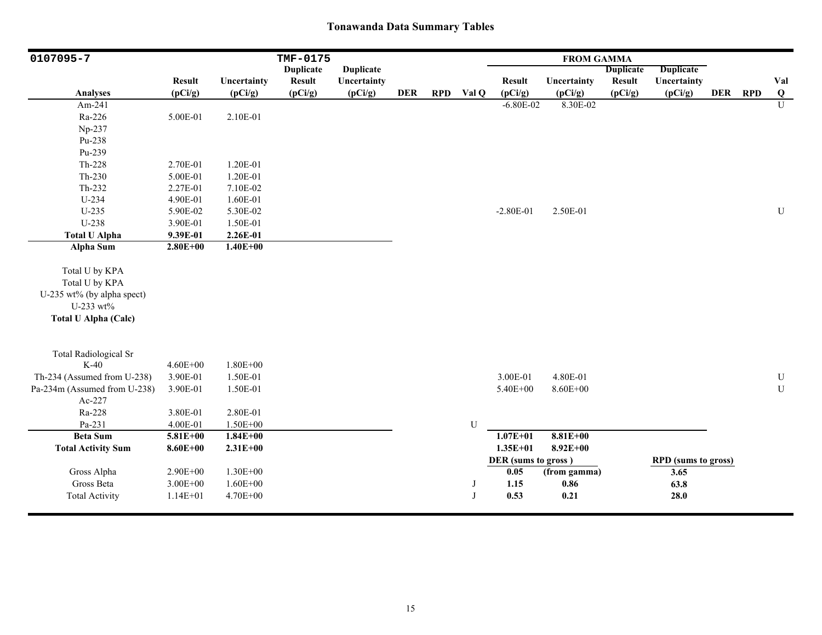| 0107095-7                                                                                                  |               |              | TMF-0175         |                  |            |            |              |                     | <b>FROM GAMMA</b> |                  |                            |            |            |                |
|------------------------------------------------------------------------------------------------------------|---------------|--------------|------------------|------------------|------------|------------|--------------|---------------------|-------------------|------------------|----------------------------|------------|------------|----------------|
|                                                                                                            |               |              | <b>Duplicate</b> | <b>Duplicate</b> |            |            |              |                     |                   | <b>Duplicate</b> | <b>Duplicate</b>           |            |            |                |
|                                                                                                            | <b>Result</b> | Uncertainty  | <b>Result</b>    | Uncertainty      |            |            |              | <b>Result</b>       | Uncertainty       | <b>Result</b>    | Uncertainty                |            |            | Val            |
| <b>Analyses</b>                                                                                            | (pCi/g)       | (pCi/g)      | (pCi/g)          | (pCi/g)          | <b>DER</b> | <b>RPD</b> | Val Q        | (pCi/g)             | (pCi/g)           | (pCi/g)          | (pCi/g)                    | <b>DER</b> | <b>RPD</b> | $\bf{Q}$       |
| Am-241                                                                                                     |               |              |                  |                  |            |            |              | $-6.80E - 02$       | 8.30E-02          |                  |                            |            |            | $\overline{U}$ |
| Ra-226                                                                                                     | 5.00E-01      | 2.10E-01     |                  |                  |            |            |              |                     |                   |                  |                            |            |            |                |
| Np-237                                                                                                     |               |              |                  |                  |            |            |              |                     |                   |                  |                            |            |            |                |
| Pu-238                                                                                                     |               |              |                  |                  |            |            |              |                     |                   |                  |                            |            |            |                |
| Pu-239                                                                                                     |               |              |                  |                  |            |            |              |                     |                   |                  |                            |            |            |                |
| Th-228                                                                                                     | 2.70E-01      | 1.20E-01     |                  |                  |            |            |              |                     |                   |                  |                            |            |            |                |
| $Th-230$                                                                                                   | 5.00E-01      | 1.20E-01     |                  |                  |            |            |              |                     |                   |                  |                            |            |            |                |
| Th-232                                                                                                     | 2.27E-01      | 7.10E-02     |                  |                  |            |            |              |                     |                   |                  |                            |            |            |                |
| $U-234$                                                                                                    | 4.90E-01      | 1.60E-01     |                  |                  |            |            |              |                     |                   |                  |                            |            |            |                |
| $U-235$                                                                                                    | 5.90E-02      | 5.30E-02     |                  |                  |            |            |              | $-2.80E-01$         | 2.50E-01          |                  |                            |            |            | ${\bf U}$      |
| U-238                                                                                                      | 3.90E-01      | 1.50E-01     |                  |                  |            |            |              |                     |                   |                  |                            |            |            |                |
| <b>Total U Alpha</b>                                                                                       | 9.39E-01      | 2.26E-01     |                  |                  |            |            |              |                     |                   |                  |                            |            |            |                |
| <b>Alpha Sum</b>                                                                                           | $2.80E + 00$  | $1.40E + 00$ |                  |                  |            |            |              |                     |                   |                  |                            |            |            |                |
| Total U by KPA<br>Total U by KPA<br>U-235 wt% (by alpha spect)<br>U-233 wt%<br><b>Total U Alpha (Calc)</b> |               |              |                  |                  |            |            |              |                     |                   |                  |                            |            |            |                |
| <b>Total Radiological Sr</b>                                                                               |               |              |                  |                  |            |            |              |                     |                   |                  |                            |            |            |                |
| $K-40$                                                                                                     | $4.60E + 00$  | 1.80E+00     |                  |                  |            |            |              |                     |                   |                  |                            |            |            |                |
| Th-234 (Assumed from U-238)                                                                                | 3.90E-01      | 1.50E-01     |                  |                  |            |            |              | 3.00E-01            | 4.80E-01          |                  |                            |            |            | ${\bf U}$      |
| Pa-234m (Assumed from U-238)                                                                               | 3.90E-01      | 1.50E-01     |                  |                  |            |            |              | 5.40E+00            | 8.60E+00          |                  |                            |            |            | $\mathbf U$    |
| Ac-227                                                                                                     |               |              |                  |                  |            |            |              |                     |                   |                  |                            |            |            |                |
| Ra-228                                                                                                     | 3.80E-01      | 2.80E-01     |                  |                  |            |            |              |                     |                   |                  |                            |            |            |                |
| Pa-231                                                                                                     | 4.00E-01      | 1.50E+00     |                  |                  |            |            | ${\bf U}$    |                     |                   |                  |                            |            |            |                |
| <b>Beta Sum</b>                                                                                            | $5.81E + 00$  | $1.84E + 00$ |                  |                  |            |            |              | $1.07E + 01$        | $8.81E+00$        |                  |                            |            |            |                |
| <b>Total Activity Sum</b>                                                                                  | $8.60E + 00$  | $2.31E+00$   |                  |                  |            |            |              | $1.35E + 01$        | $8.92E + 00$      |                  |                            |            |            |                |
|                                                                                                            |               |              |                  |                  |            |            |              | DER (sums to gross) |                   |                  | <b>RPD</b> (sums to gross) |            |            |                |
| Gross Alpha                                                                                                | 2.90E+00      | $1.30E + 00$ |                  |                  |            |            |              | 0.05                | (from gamma)      |                  | 3.65                       |            |            |                |
| Gross Beta                                                                                                 | $3.00E + 00$  | $1.60E + 00$ |                  |                  |            |            | J            | 1.15                | 0.86              |                  | 63.8                       |            |            |                |
| <b>Total Activity</b>                                                                                      | $1.14E + 01$  | 4.70E+00     |                  |                  |            |            | $\mathbf{J}$ | 0.53                | 0.21              |                  | 28.0                       |            |            |                |
|                                                                                                            |               |              |                  |                  |            |            |              |                     |                   |                  |                            |            |            |                |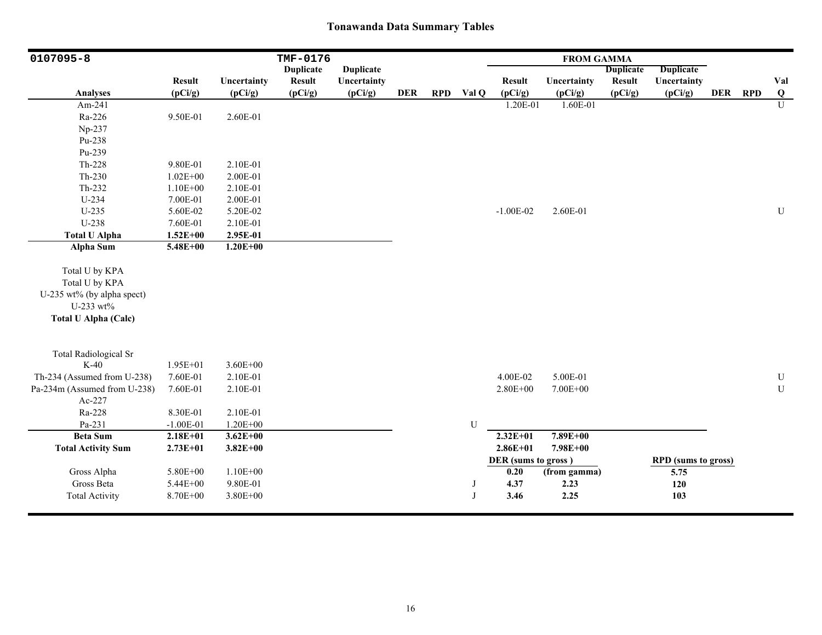| 0107095-8                                                                                                  |               |              | TMF-0176         |                  |            |            |              |                     | <b>FROM GAMMA</b> |                  |                            |            |            |                |
|------------------------------------------------------------------------------------------------------------|---------------|--------------|------------------|------------------|------------|------------|--------------|---------------------|-------------------|------------------|----------------------------|------------|------------|----------------|
|                                                                                                            |               |              | <b>Duplicate</b> | <b>Duplicate</b> |            |            |              |                     |                   | <b>Duplicate</b> | <b>Duplicate</b>           |            |            |                |
|                                                                                                            | <b>Result</b> | Uncertainty  | <b>Result</b>    | Uncertainty      |            |            |              | <b>Result</b>       | Uncertainty       | <b>Result</b>    | Uncertainty                |            |            | Val            |
| <b>Analyses</b>                                                                                            | (pCi/g)       | (pCi/g)      | (pCi/g)          | (pCi/g)          | <b>DER</b> | <b>RPD</b> | Val Q        | (pCi/g)             | (pCi/g)           | (pCi/g)          | (pCi/g)                    | <b>DER</b> | <b>RPD</b> | $\bf{Q}$       |
| Am-241                                                                                                     |               |              |                  |                  |            |            |              | 1.20E-01            | 1.60E-01          |                  |                            |            |            | $\overline{U}$ |
| Ra-226                                                                                                     | 9.50E-01      | 2.60E-01     |                  |                  |            |            |              |                     |                   |                  |                            |            |            |                |
| Np-237                                                                                                     |               |              |                  |                  |            |            |              |                     |                   |                  |                            |            |            |                |
| Pu-238                                                                                                     |               |              |                  |                  |            |            |              |                     |                   |                  |                            |            |            |                |
| Pu-239                                                                                                     |               |              |                  |                  |            |            |              |                     |                   |                  |                            |            |            |                |
| $Th-228$                                                                                                   | 9.80E-01      | 2.10E-01     |                  |                  |            |            |              |                     |                   |                  |                            |            |            |                |
| $Th-230$                                                                                                   | $1.02E + 00$  | 2.00E-01     |                  |                  |            |            |              |                     |                   |                  |                            |            |            |                |
| $Th-232$                                                                                                   | $1.10E + 00$  | 2.10E-01     |                  |                  |            |            |              |                     |                   |                  |                            |            |            |                |
| U-234                                                                                                      | 7.00E-01      | 2.00E-01     |                  |                  |            |            |              |                     |                   |                  |                            |            |            |                |
| $U-235$                                                                                                    | 5.60E-02      | 5.20E-02     |                  |                  |            |            |              | $-1.00E-02$         | 2.60E-01          |                  |                            |            |            | ${\bf U}$      |
| U-238                                                                                                      | 7.60E-01      | 2.10E-01     |                  |                  |            |            |              |                     |                   |                  |                            |            |            |                |
| <b>Total U Alpha</b>                                                                                       | $1.52E + 00$  | 2.95E-01     |                  |                  |            |            |              |                     |                   |                  |                            |            |            |                |
| <b>Alpha Sum</b>                                                                                           | 5.48E+00      | $1.20E + 00$ |                  |                  |            |            |              |                     |                   |                  |                            |            |            |                |
| Total U by KPA<br>Total U by KPA<br>U-235 wt% (by alpha spect)<br>U-233 wt%<br><b>Total U Alpha (Calc)</b> |               |              |                  |                  |            |            |              |                     |                   |                  |                            |            |            |                |
| <b>Total Radiological Sr</b>                                                                               |               |              |                  |                  |            |            |              |                     |                   |                  |                            |            |            |                |
| $K-40$                                                                                                     | 1.95E+01      | $3.60E + 00$ |                  |                  |            |            |              |                     |                   |                  |                            |            |            |                |
| Th-234 (Assumed from U-238)                                                                                | 7.60E-01      | 2.10E-01     |                  |                  |            |            |              | 4.00E-02            | 5.00E-01          |                  |                            |            |            | ${\bf U}$      |
| Pa-234m (Assumed from U-238)                                                                               | 7.60E-01      | 2.10E-01     |                  |                  |            |            |              | $2.80E + 00$        | 7.00E+00          |                  |                            |            |            | $\mathbf U$    |
| Ac-227                                                                                                     |               |              |                  |                  |            |            |              |                     |                   |                  |                            |            |            |                |
| Ra-228                                                                                                     | 8.30E-01      | 2.10E-01     |                  |                  |            |            |              |                     |                   |                  |                            |            |            |                |
| Pa-231                                                                                                     | $-1.00E-01$   | $1.20E + 00$ |                  |                  |            |            | U            |                     |                   |                  |                            |            |            |                |
| <b>Beta Sum</b>                                                                                            | $2.18E + 01$  | $3.62E + 00$ |                  |                  |            |            |              | $2.32E+01$          | 7.89E+00          |                  |                            |            |            |                |
| <b>Total Activity Sum</b>                                                                                  | $2.73E + 01$  | $3.82E + 00$ |                  |                  |            |            |              | $2.86E + 01$        | 7.98E+00          |                  |                            |            |            |                |
|                                                                                                            |               |              |                  |                  |            |            |              | DER (sums to gross) |                   |                  | <b>RPD</b> (sums to gross) |            |            |                |
| Gross Alpha                                                                                                | 5.80E+00      | $1.10E + 00$ |                  |                  |            |            |              | 0.20                | (from gamma)      |                  | 5.75                       |            |            |                |
| Gross Beta                                                                                                 | 5.44E+00      | 9.80E-01     |                  |                  |            |            | J            | 4.37                | 2.23              |                  | 120                        |            |            |                |
| <b>Total Activity</b>                                                                                      | 8.70E+00      | $3.80E + 00$ |                  |                  |            |            | $\mathbf{J}$ | 3.46                | 2.25              |                  | 103                        |            |            |                |
|                                                                                                            |               |              |                  |                  |            |            |              |                     |                   |                  |                            |            |            |                |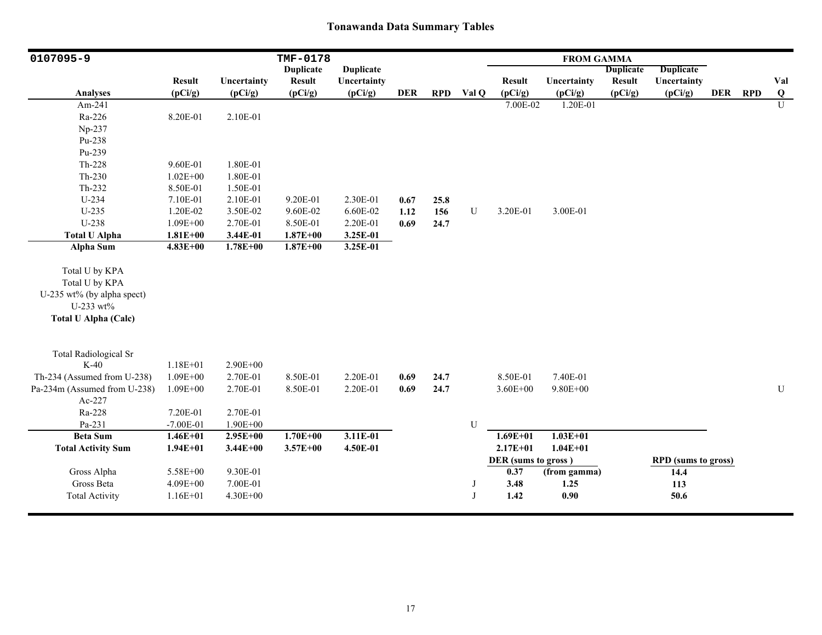| 0107095-9                    |               |              | TMF-0178         |                  |            |            |             |                     | <b>FROM GAMMA</b> |                  |                            |         |           |
|------------------------------|---------------|--------------|------------------|------------------|------------|------------|-------------|---------------------|-------------------|------------------|----------------------------|---------|-----------|
|                              |               |              | <b>Duplicate</b> | <b>Duplicate</b> |            |            |             |                     |                   | <b>Duplicate</b> | <b>Duplicate</b>           |         |           |
|                              | <b>Result</b> | Uncertainty  | <b>Result</b>    | Uncertainty      |            |            |             | <b>Result</b>       | Uncertainty       | <b>Result</b>    | Uncertainty                |         | Val       |
| <b>Analyses</b>              | (pCi/g)       | (pCi/g)      | (pCi/g)          | (pCi/g)          | <b>DER</b> | <b>RPD</b> | Val Q       | (pCi/g)             | (pCi/g)           | (pCi/g)          | (pCi/g)                    | DER RPD | Q         |
| Am-241                       |               |              |                  |                  |            |            |             | 7.00E-02            | 1.20E-01          |                  |                            |         | U         |
| Ra-226                       | 8.20E-01      | 2.10E-01     |                  |                  |            |            |             |                     |                   |                  |                            |         |           |
| Np-237                       |               |              |                  |                  |            |            |             |                     |                   |                  |                            |         |           |
| Pu-238                       |               |              |                  |                  |            |            |             |                     |                   |                  |                            |         |           |
| Pu-239                       |               |              |                  |                  |            |            |             |                     |                   |                  |                            |         |           |
| Th-228                       | 9.60E-01      | 1.80E-01     |                  |                  |            |            |             |                     |                   |                  |                            |         |           |
| $Th-230$                     | $1.02E + 00$  | 1.80E-01     |                  |                  |            |            |             |                     |                   |                  |                            |         |           |
| Th-232                       | 8.50E-01      | 1.50E-01     |                  |                  |            |            |             |                     |                   |                  |                            |         |           |
| U-234                        | 7.10E-01      | 2.10E-01     | 9.20E-01         | 2.30E-01         | 0.67       | 25.8       |             |                     |                   |                  |                            |         |           |
| $U-235$                      | 1.20E-02      | 3.50E-02     | 9.60E-02         | 6.60E-02         | 1.12       | 156        | ${\bf U}$   | 3.20E-01            | 3.00E-01          |                  |                            |         |           |
| U-238                        | $1.09E + 00$  | 2.70E-01     | 8.50E-01         | 2.20E-01         | 0.69       | 24.7       |             |                     |                   |                  |                            |         |           |
| <b>Total U Alpha</b>         | $1.81E + 00$  | 3.44E-01     | $1.87E + 00$     | 3.25E-01         |            |            |             |                     |                   |                  |                            |         |           |
| <b>Alpha Sum</b>             | $4.83E + 00$  | $1.78E + 00$ | $1.87E + 00$     | 3.25E-01         |            |            |             |                     |                   |                  |                            |         |           |
| Total U by KPA               |               |              |                  |                  |            |            |             |                     |                   |                  |                            |         |           |
| Total U by KPA               |               |              |                  |                  |            |            |             |                     |                   |                  |                            |         |           |
| U-235 wt% (by alpha spect)   |               |              |                  |                  |            |            |             |                     |                   |                  |                            |         |           |
| U-233 wt%                    |               |              |                  |                  |            |            |             |                     |                   |                  |                            |         |           |
| <b>Total U Alpha (Calc)</b>  |               |              |                  |                  |            |            |             |                     |                   |                  |                            |         |           |
|                              |               |              |                  |                  |            |            |             |                     |                   |                  |                            |         |           |
| <b>Total Radiological Sr</b> |               |              |                  |                  |            |            |             |                     |                   |                  |                            |         |           |
| $K-40$                       | $1.18E + 01$  | 2.90E+00     |                  |                  |            |            |             |                     |                   |                  |                            |         |           |
| Th-234 (Assumed from U-238)  | $1.09E + 00$  | 2.70E-01     | 8.50E-01         | 2.20E-01         | 0.69       | 24.7       |             | 8.50E-01            | 7.40E-01          |                  |                            |         |           |
| Pa-234m (Assumed from U-238) | 1.09E+00      | 2.70E-01     | 8.50E-01         | 2.20E-01         | 0.69       | 24.7       |             | $3.60E + 00$        | $9.80E + 00$      |                  |                            |         | ${\bf U}$ |
| Ac-227                       |               |              |                  |                  |            |            |             |                     |                   |                  |                            |         |           |
| Ra-228                       | 7.20E-01      | 2.70E-01     |                  |                  |            |            |             |                     |                   |                  |                            |         |           |
| Pa-231                       | $-7.00E-01$   | $1.90E + 00$ |                  |                  |            |            | $\mathbf U$ |                     |                   |                  |                            |         |           |
| <b>Beta Sum</b>              | $1.46E + 01$  | $2.95E+00$   | $1.70E + 00$     | 3.11E-01         |            |            |             | $1.69E + 01$        | $1.03E + 01$      |                  |                            |         |           |
| <b>Total Activity Sum</b>    | $1.94E + 01$  | $3.44E + 00$ | $3.57E + 00$     | 4.50E-01         |            |            |             | $2.17E + 01$        | $1.04E + 01$      |                  |                            |         |           |
|                              |               |              |                  |                  |            |            |             | DER (sums to gross) |                   |                  | <b>RPD</b> (sums to gross) |         |           |
| Gross Alpha                  | 5.58E+00      | 9.30E-01     |                  |                  |            |            |             | 0.37                | (from gamma)      |                  | 14.4                       |         |           |
| Gross Beta                   | 4.09E+00      | 7.00E-01     |                  |                  |            |            | J           | 3.48                | 1.25              |                  | 113                        |         |           |
| <b>Total Activity</b>        | $1.16E + 01$  | 4.30E+00     |                  |                  |            |            | J           | 1.42                | 0.90              |                  | 50.6                       |         |           |
|                              |               |              |                  |                  |            |            |             |                     |                   |                  |                            |         |           |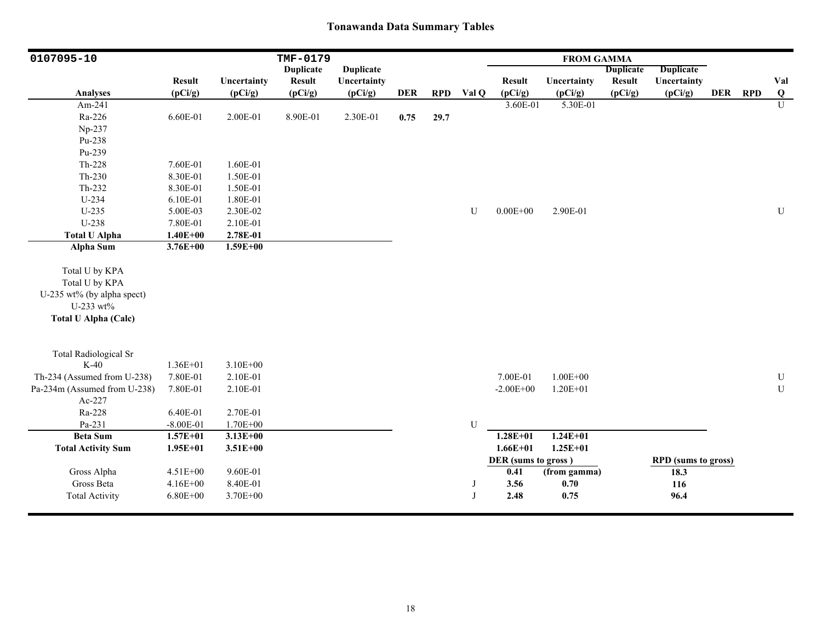| 0107095-10                                                                                                 |               |              | TMF-0179         |                  |            |            |             |                     | <b>FROM GAMMA</b> |                  |                            |         |                |
|------------------------------------------------------------------------------------------------------------|---------------|--------------|------------------|------------------|------------|------------|-------------|---------------------|-------------------|------------------|----------------------------|---------|----------------|
|                                                                                                            |               |              | <b>Duplicate</b> | <b>Duplicate</b> |            |            |             |                     |                   | <b>Duplicate</b> | <b>Duplicate</b>           |         |                |
|                                                                                                            | <b>Result</b> | Uncertainty  | <b>Result</b>    | Uncertainty      |            |            |             | <b>Result</b>       | Uncertainty       | <b>Result</b>    | Uncertainty                |         | Val            |
| <b>Analyses</b>                                                                                            | (pCi/g)       | (pCi/g)      | (pCi/g)          | (pCi/g)          | <b>DER</b> | <b>RPD</b> | Val Q       | (pCi/g)             | (pCi/g)           | (pCi/g)          | (pCi/g)                    | DER RPD | Q              |
| Am-241                                                                                                     |               |              |                  |                  |            |            |             | 3.60E-01            | 5.30E-01          |                  |                            |         | $\overline{U}$ |
| Ra-226                                                                                                     | 6.60E-01      | 2.00E-01     | 8.90E-01         | 2.30E-01         | 0.75       | 29.7       |             |                     |                   |                  |                            |         |                |
| Np-237                                                                                                     |               |              |                  |                  |            |            |             |                     |                   |                  |                            |         |                |
| Pu-238                                                                                                     |               |              |                  |                  |            |            |             |                     |                   |                  |                            |         |                |
| Pu-239                                                                                                     |               |              |                  |                  |            |            |             |                     |                   |                  |                            |         |                |
| Th-228                                                                                                     | 7.60E-01      | 1.60E-01     |                  |                  |            |            |             |                     |                   |                  |                            |         |                |
| $Th-230$                                                                                                   | 8.30E-01      | 1.50E-01     |                  |                  |            |            |             |                     |                   |                  |                            |         |                |
| $Th-232$                                                                                                   | 8.30E-01      | 1.50E-01     |                  |                  |            |            |             |                     |                   |                  |                            |         |                |
| U-234                                                                                                      | 6.10E-01      | 1.80E-01     |                  |                  |            |            |             |                     |                   |                  |                            |         |                |
| $U-235$                                                                                                    | 5.00E-03      | 2.30E-02     |                  |                  |            |            | U           | $0.00E + 00$        | 2.90E-01          |                  |                            |         | ${\bf U}$      |
| U-238                                                                                                      | 7.80E-01      | 2.10E-01     |                  |                  |            |            |             |                     |                   |                  |                            |         |                |
| <b>Total U Alpha</b>                                                                                       | $1.40E + 00$  | 2.78E-01     |                  |                  |            |            |             |                     |                   |                  |                            |         |                |
| <b>Alpha Sum</b>                                                                                           | $3.76E + 00$  | $1.59E + 00$ |                  |                  |            |            |             |                     |                   |                  |                            |         |                |
| Total U by KPA<br>Total U by KPA<br>U-235 wt% (by alpha spect)<br>U-233 wt%<br><b>Total U Alpha (Calc)</b> |               |              |                  |                  |            |            |             |                     |                   |                  |                            |         |                |
| <b>Total Radiological Sr</b>                                                                               |               |              |                  |                  |            |            |             |                     |                   |                  |                            |         |                |
| $K-40$                                                                                                     | $1.36E + 01$  | $3.10E + 00$ |                  |                  |            |            |             |                     |                   |                  |                            |         |                |
| Th-234 (Assumed from U-238)                                                                                | 7.80E-01      | 2.10E-01     |                  |                  |            |            |             | 7.00E-01            | $1.00E + 00$      |                  |                            |         | ${\bf U}$      |
| Pa-234m (Assumed from U-238)                                                                               | 7.80E-01      | 2.10E-01     |                  |                  |            |            |             | $-2.00E + 00$       | $1.20E + 01$      |                  |                            |         | U              |
| Ac-227                                                                                                     |               |              |                  |                  |            |            |             |                     |                   |                  |                            |         |                |
| Ra-228                                                                                                     | 6.40E-01      | 2.70E-01     |                  |                  |            |            |             |                     |                   |                  |                            |         |                |
| Pa-231                                                                                                     | $-8.00E - 01$ | 1.70E+00     |                  |                  |            |            | $\mathbf U$ |                     |                   |                  |                            |         |                |
| <b>Beta Sum</b>                                                                                            | $1.57E + 01$  | $3.13E+00$   |                  |                  |            |            |             | $1.28E + 01$        | $1.24E + 01$      |                  |                            |         |                |
| <b>Total Activity Sum</b>                                                                                  | $1.95E+01$    | $3.51E + 00$ |                  |                  |            |            |             | $1.66E + 01$        | $1.25E + 01$      |                  |                            |         |                |
|                                                                                                            |               |              |                  |                  |            |            |             | DER (sums to gross) |                   |                  | <b>RPD</b> (sums to gross) |         |                |
| Gross Alpha                                                                                                | $4.51E + 00$  | 9.60E-01     |                  |                  |            |            |             | 0.41                | (from gamma)      |                  | 18.3                       |         |                |
| Gross Beta                                                                                                 | $4.16E + 00$  | 8.40E-01     |                  |                  |            |            | J           | 3.56                | 0.70              |                  | 116                        |         |                |
| <b>Total Activity</b>                                                                                      | $6.80E + 00$  | 3.70E+00     |                  |                  |            |            | J           | 2.48                | 0.75              |                  | 96.4                       |         |                |
|                                                                                                            |               |              |                  |                  |            |            |             |                     |                   |                  |                            |         |                |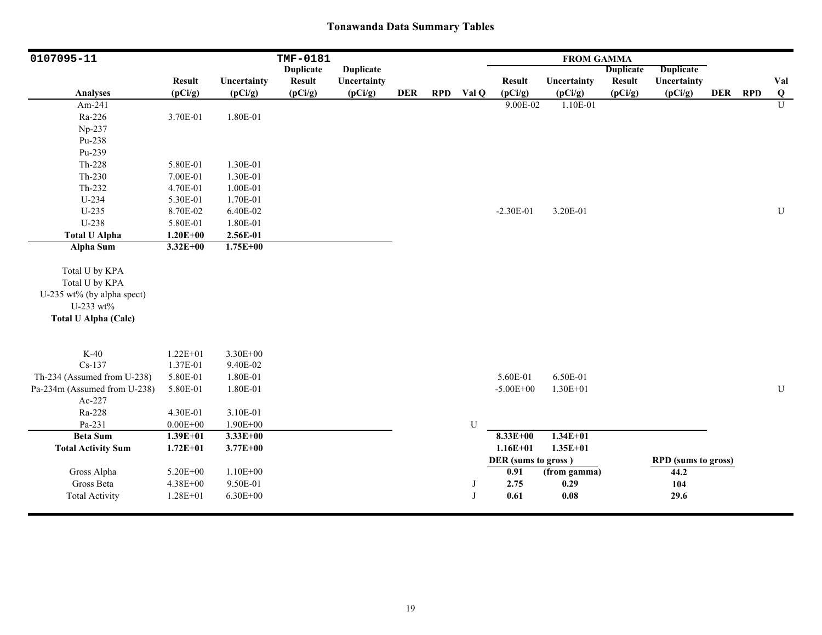| 0107095-11                   |               |              | TMF-0181         |                  |            |            |              |                     | <b>FROM GAMMA</b>   |                  |                            |         |                         |
|------------------------------|---------------|--------------|------------------|------------------|------------|------------|--------------|---------------------|---------------------|------------------|----------------------------|---------|-------------------------|
|                              |               |              | <b>Duplicate</b> | <b>Duplicate</b> |            |            |              |                     |                     | <b>Duplicate</b> | <b>Duplicate</b>           |         |                         |
|                              | <b>Result</b> | Uncertainty  | <b>Result</b>    | Uncertainty      |            |            |              | <b>Result</b>       | Uncertainty         | <b>Result</b>    | Uncertainty                |         | Val                     |
| <b>Analyses</b>              | (pCi/g)       | (pCi/g)      | (pCi/g)          | (pCi/g)          | <b>DER</b> | <b>RPD</b> | Val Q        | (pCi/g)             | (pCi/g)             | (pCi/g)          | (pCi/g)                    | DER RPD | $\overline{\mathbf{Q}}$ |
| Am-241                       |               |              |                  |                  |            |            |              | 9.00E-02            | 1.10E-01            |                  |                            |         | $\overline{U}$          |
| Ra-226                       | 3.70E-01      | 1.80E-01     |                  |                  |            |            |              |                     |                     |                  |                            |         |                         |
| Np-237                       |               |              |                  |                  |            |            |              |                     |                     |                  |                            |         |                         |
| Pu-238                       |               |              |                  |                  |            |            |              |                     |                     |                  |                            |         |                         |
| Pu-239                       |               |              |                  |                  |            |            |              |                     |                     |                  |                            |         |                         |
| Th-228                       | 5.80E-01      | 1.30E-01     |                  |                  |            |            |              |                     |                     |                  |                            |         |                         |
| $Th-230$                     | 7.00E-01      | 1.30E-01     |                  |                  |            |            |              |                     |                     |                  |                            |         |                         |
| Th-232                       | 4.70E-01      | 1.00E-01     |                  |                  |            |            |              |                     |                     |                  |                            |         |                         |
| U-234                        | 5.30E-01      | 1.70E-01     |                  |                  |            |            |              |                     |                     |                  |                            |         |                         |
| $U-235$                      | 8.70E-02      | 6.40E-02     |                  |                  |            |            |              | $-2.30E-01$         | 3.20E-01            |                  |                            |         | U                       |
| U-238                        | 5.80E-01      | 1.80E-01     |                  |                  |            |            |              |                     |                     |                  |                            |         |                         |
| <b>Total U Alpha</b>         | $1.20E + 00$  | 2.56E-01     |                  |                  |            |            |              |                     |                     |                  |                            |         |                         |
| Alpha Sum                    | $3.32E + 00$  | $1.75E+00$   |                  |                  |            |            |              |                     |                     |                  |                            |         |                         |
| Total U by KPA               |               |              |                  |                  |            |            |              |                     |                     |                  |                            |         |                         |
| Total U by KPA               |               |              |                  |                  |            |            |              |                     |                     |                  |                            |         |                         |
| U-235 wt% (by alpha spect)   |               |              |                  |                  |            |            |              |                     |                     |                  |                            |         |                         |
| U-233 wt%                    |               |              |                  |                  |            |            |              |                     |                     |                  |                            |         |                         |
| <b>Total U Alpha (Calc)</b>  |               |              |                  |                  |            |            |              |                     |                     |                  |                            |         |                         |
|                              |               |              |                  |                  |            |            |              |                     |                     |                  |                            |         |                         |
|                              |               |              |                  |                  |            |            |              |                     |                     |                  |                            |         |                         |
| $K-40$                       | $1.22E + 01$  | 3.30E+00     |                  |                  |            |            |              |                     |                     |                  |                            |         |                         |
| $Cs-137$                     | 1.37E-01      | 9.40E-02     |                  |                  |            |            |              |                     |                     |                  |                            |         |                         |
| Th-234 (Assumed from U-238)  | 5.80E-01      | 1.80E-01     |                  |                  |            |            |              | 5.60E-01            | 6.50E-01            |                  |                            |         |                         |
| Pa-234m (Assumed from U-238) | 5.80E-01      | 1.80E-01     |                  |                  |            |            |              | $-5.00E + 00$       | 1.30E+01            |                  |                            |         | ${\bf U}$               |
| Ac-227                       |               |              |                  |                  |            |            |              |                     |                     |                  |                            |         |                         |
| Ra-228                       | 4.30E-01      | 3.10E-01     |                  |                  |            |            |              |                     |                     |                  |                            |         |                         |
| Pa-231                       | $0.00E + 00$  | $1.90E + 00$ |                  |                  |            |            | U            |                     |                     |                  |                            |         |                         |
| <b>Beta Sum</b>              | $1.39E + 01$  | $3.33E + 00$ |                  |                  |            |            |              | $8.33E + 00$        | $1.34E + 01$        |                  |                            |         |                         |
| <b>Total Activity Sum</b>    | $1.72E + 01$  | $3.77E + 00$ |                  |                  |            |            |              | $1.16E + 01$        | $1.35E + 01$        |                  |                            |         |                         |
|                              |               |              |                  |                  |            |            |              | DER (sums to gross) |                     |                  | <b>RPD</b> (sums to gross) |         |                         |
| Gross Alpha                  | 5.20E+00      | $1.10E + 00$ |                  |                  |            |            |              | 0.91                | (from gamma)        |                  | 44.2                       |         |                         |
| Gross Beta                   | 4.38E+00      | 9.50E-01     |                  |                  |            |            | J            | 2.75                | 0.29                |                  | 104                        |         |                         |
| <b>Total Activity</b>        | $1.28E + 01$  | $6.30E + 00$ |                  |                  |            |            | $\mathbf{J}$ | 0.61                | $\boldsymbol{0.08}$ |                  | 29.6                       |         |                         |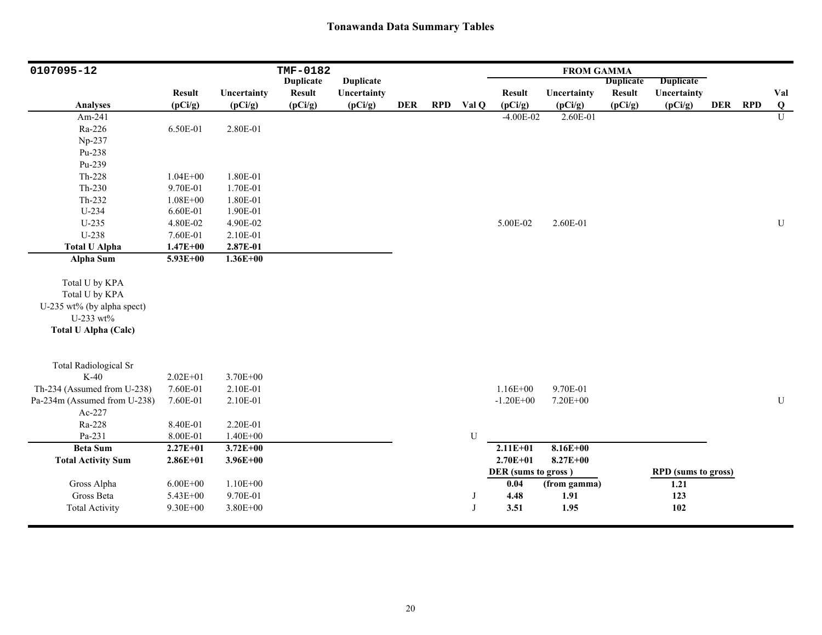| 0107095-12                   |               |              | TMF-0182         |                  |            |            |       |                     | <b>FROM GAMMA</b> |                  |                            |            |            |                |
|------------------------------|---------------|--------------|------------------|------------------|------------|------------|-------|---------------------|-------------------|------------------|----------------------------|------------|------------|----------------|
|                              |               |              | <b>Duplicate</b> | <b>Duplicate</b> |            |            |       |                     |                   | <b>Duplicate</b> | <b>Duplicate</b>           |            |            |                |
|                              | <b>Result</b> | Uncertainty  | <b>Result</b>    | Uncertainty      |            |            |       | <b>Result</b>       | Uncertainty       | <b>Result</b>    | Uncertainty                |            |            | Val            |
| <b>Analyses</b>              | (pCi/g)       | (pCi/g)      | (pCi/g)          | (pCi/g)          | <b>DER</b> | <b>RPD</b> | Val Q | (pCi/g)             | (pCi/g)           | (pCi/g)          | (pCi/g)                    | <b>DER</b> | <b>RPD</b> | $\bf{Q}$       |
| Am-241                       |               |              |                  |                  |            |            |       | $-4.00E-02$         | 2.60E-01          |                  |                            |            |            | $\overline{U}$ |
| Ra-226                       | 6.50E-01      | 2.80E-01     |                  |                  |            |            |       |                     |                   |                  |                            |            |            |                |
| Np-237                       |               |              |                  |                  |            |            |       |                     |                   |                  |                            |            |            |                |
| Pu-238                       |               |              |                  |                  |            |            |       |                     |                   |                  |                            |            |            |                |
| Pu-239                       |               |              |                  |                  |            |            |       |                     |                   |                  |                            |            |            |                |
| Th-228                       | $1.04E + 00$  | 1.80E-01     |                  |                  |            |            |       |                     |                   |                  |                            |            |            |                |
| $Th-230$                     | 9.70E-01      | 1.70E-01     |                  |                  |            |            |       |                     |                   |                  |                            |            |            |                |
| Th-232                       | $1.08E + 00$  | 1.80E-01     |                  |                  |            |            |       |                     |                   |                  |                            |            |            |                |
| U-234                        | 6.60E-01      | 1.90E-01     |                  |                  |            |            |       |                     |                   |                  |                            |            |            |                |
| $U-235$                      | 4.80E-02      | 4.90E-02     |                  |                  |            |            |       | 5.00E-02            | 2.60E-01          |                  |                            |            |            | $\mathbf U$    |
| U-238                        | 7.60E-01      | 2.10E-01     |                  |                  |            |            |       |                     |                   |                  |                            |            |            |                |
| <b>Total U Alpha</b>         | $1.47E + 00$  | 2.87E-01     |                  |                  |            |            |       |                     |                   |                  |                            |            |            |                |
| Alpha Sum                    | 5.93E+00      | $1.36E + 00$ |                  |                  |            |            |       |                     |                   |                  |                            |            |            |                |
|                              |               |              |                  |                  |            |            |       |                     |                   |                  |                            |            |            |                |
| Total U by KPA               |               |              |                  |                  |            |            |       |                     |                   |                  |                            |            |            |                |
| Total U by KPA               |               |              |                  |                  |            |            |       |                     |                   |                  |                            |            |            |                |
| U-235 wt% (by alpha spect)   |               |              |                  |                  |            |            |       |                     |                   |                  |                            |            |            |                |
| U-233 wt%                    |               |              |                  |                  |            |            |       |                     |                   |                  |                            |            |            |                |
| <b>Total U Alpha (Calc)</b>  |               |              |                  |                  |            |            |       |                     |                   |                  |                            |            |            |                |
|                              |               |              |                  |                  |            |            |       |                     |                   |                  |                            |            |            |                |
|                              |               |              |                  |                  |            |            |       |                     |                   |                  |                            |            |            |                |
| <b>Total Radiological Sr</b> |               |              |                  |                  |            |            |       |                     |                   |                  |                            |            |            |                |
| $K-40$                       | $2.02E + 01$  | 3.70E+00     |                  |                  |            |            |       |                     |                   |                  |                            |            |            |                |
| Th-234 (Assumed from U-238)  | 7.60E-01      | 2.10E-01     |                  |                  |            |            |       | $1.16E + 00$        | 9.70E-01          |                  |                            |            |            |                |
| Pa-234m (Assumed from U-238) | 7.60E-01      | 2.10E-01     |                  |                  |            |            |       | $-1.20E + 00$       | 7.20E+00          |                  |                            |            |            | ${\bf U}$      |
| Ac-227                       |               |              |                  |                  |            |            |       |                     |                   |                  |                            |            |            |                |
| Ra-228                       | 8.40E-01      | 2.20E-01     |                  |                  |            |            |       |                     |                   |                  |                            |            |            |                |
| Pa-231                       | 8.00E-01      | $1.40E + 00$ |                  |                  |            |            | U     |                     |                   |                  |                            |            |            |                |
| <b>Beta Sum</b>              | $2.27E + 01$  | $3.72E + 00$ |                  |                  |            |            |       | $2.11E + 01$        | $8.16E + 00$      |                  |                            |            |            |                |
| <b>Total Activity Sum</b>    | $2.86E + 01$  | $3.96E + 00$ |                  |                  |            |            |       | $2.70E + 01$        | $8.27E + 00$      |                  |                            |            |            |                |
|                              |               |              |                  |                  |            |            |       | DER (sums to gross) |                   |                  | <b>RPD</b> (sums to gross) |            |            |                |
| Gross Alpha                  | $6.00E + 00$  | $1.10E + 00$ |                  |                  |            |            |       | 0.04                | (from gamma)      |                  | 1.21                       |            |            |                |
| Gross Beta                   | 5.43E+00      | 9.70E-01     |                  |                  |            |            | J     | 4.48                | 1.91              |                  | 123                        |            |            |                |
| <b>Total Activity</b>        | $9.30E + 00$  | $3.80E + 00$ |                  |                  |            |            | J     | 3.51                | 1.95              |                  | 102                        |            |            |                |
|                              |               |              |                  |                  |            |            |       |                     |                   |                  |                            |            |            |                |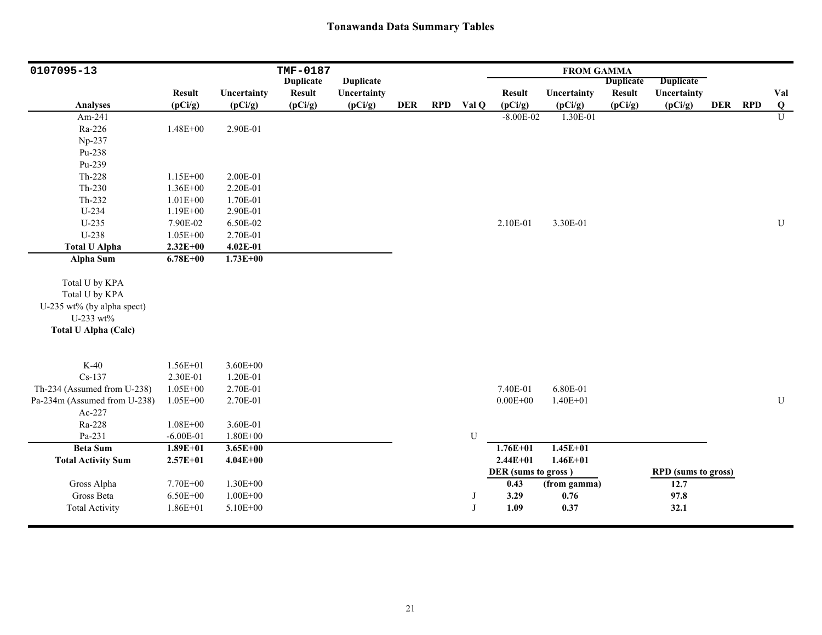| 0107095-13                   |               |              | <b>TMF-0187</b>  |                  |            |            |           |                     | <b>FROM GAMMA</b> |                  |                            |         |                |
|------------------------------|---------------|--------------|------------------|------------------|------------|------------|-----------|---------------------|-------------------|------------------|----------------------------|---------|----------------|
|                              |               |              | <b>Duplicate</b> | <b>Duplicate</b> |            |            |           |                     |                   | <b>Duplicate</b> | <b>Duplicate</b>           |         |                |
|                              | <b>Result</b> | Uncertainty  | <b>Result</b>    | Uncertainty      |            |            |           | <b>Result</b>       | Uncertainty       | <b>Result</b>    | Uncertainty                |         | Val            |
| <b>Analyses</b>              | (pCi/g)       | (pCi/g)      | (pCi/g)          | (pCi/g)          | <b>DER</b> | <b>RPD</b> | Val Q     | (pCi/g)             | (pCi/g)           | (pCi/g)          | (pCi/g)                    | DER RPD | $\overline{Q}$ |
| Am-241                       |               |              |                  |                  |            |            |           | $-8.00E - 02$       | 1.30E-01          |                  |                            |         | $\overline{U}$ |
| Ra-226                       | $1.48E + 00$  | 2.90E-01     |                  |                  |            |            |           |                     |                   |                  |                            |         |                |
| Np-237                       |               |              |                  |                  |            |            |           |                     |                   |                  |                            |         |                |
| Pu-238                       |               |              |                  |                  |            |            |           |                     |                   |                  |                            |         |                |
| Pu-239                       |               |              |                  |                  |            |            |           |                     |                   |                  |                            |         |                |
| Th-228                       | 1.15E+00      | 2.00E-01     |                  |                  |            |            |           |                     |                   |                  |                            |         |                |
| $Th-230$                     | $1.36E + 00$  | 2.20E-01     |                  |                  |            |            |           |                     |                   |                  |                            |         |                |
| Th-232                       | $1.01E + 00$  | 1.70E-01     |                  |                  |            |            |           |                     |                   |                  |                            |         |                |
| U-234                        | $1.19E + 00$  | 2.90E-01     |                  |                  |            |            |           |                     |                   |                  |                            |         |                |
| $U-235$                      | 7.90E-02      | 6.50E-02     |                  |                  |            |            |           | 2.10E-01            | 3.30E-01          |                  |                            |         | $\mathbf U$    |
| U-238                        | $1.05E + 00$  | 2.70E-01     |                  |                  |            |            |           |                     |                   |                  |                            |         |                |
| <b>Total U Alpha</b>         | $2.32E+00$    | 4.02E-01     |                  |                  |            |            |           |                     |                   |                  |                            |         |                |
| Alpha Sum                    | $6.78E + 00$  | $1.73E + 00$ |                  |                  |            |            |           |                     |                   |                  |                            |         |                |
|                              |               |              |                  |                  |            |            |           |                     |                   |                  |                            |         |                |
| Total U by KPA               |               |              |                  |                  |            |            |           |                     |                   |                  |                            |         |                |
| Total U by KPA               |               |              |                  |                  |            |            |           |                     |                   |                  |                            |         |                |
| U-235 wt% (by alpha spect)   |               |              |                  |                  |            |            |           |                     |                   |                  |                            |         |                |
| U-233 wt%                    |               |              |                  |                  |            |            |           |                     |                   |                  |                            |         |                |
| <b>Total U Alpha (Calc)</b>  |               |              |                  |                  |            |            |           |                     |                   |                  |                            |         |                |
|                              |               |              |                  |                  |            |            |           |                     |                   |                  |                            |         |                |
|                              |               |              |                  |                  |            |            |           |                     |                   |                  |                            |         |                |
| $K-40$                       | $1.56E + 01$  | $3.60E + 00$ |                  |                  |            |            |           |                     |                   |                  |                            |         |                |
| $Cs-137$                     | 2.30E-01      | 1.20E-01     |                  |                  |            |            |           |                     |                   |                  |                            |         |                |
| Th-234 (Assumed from U-238)  | $1.05E + 00$  | 2.70E-01     |                  |                  |            |            |           | 7.40E-01            | 6.80E-01          |                  |                            |         |                |
| Pa-234m (Assumed from U-238) | $1.05E + 00$  | 2.70E-01     |                  |                  |            |            |           | $0.00E + 00$        | $1.40E + 01$      |                  |                            |         | ${\bf U}$      |
| Ac-227                       |               |              |                  |                  |            |            |           |                     |                   |                  |                            |         |                |
| Ra-228                       | $1.08E + 00$  | 3.60E-01     |                  |                  |            |            |           |                     |                   |                  |                            |         |                |
| Pa-231                       | $-6.00E-01$   | $1.80E + 00$ |                  |                  |            |            | ${\bf U}$ |                     |                   |                  |                            |         |                |
| <b>Beta Sum</b>              | $1.89E + 01$  | $3.65E + 00$ |                  |                  |            |            |           | $1.76E + 01$        | $1.45E + 01$      |                  |                            |         |                |
| <b>Total Activity Sum</b>    | $2.57E + 01$  | $4.04E + 00$ |                  |                  |            |            |           | $2.44E + 01$        | $1.46E + 01$      |                  |                            |         |                |
|                              |               |              |                  |                  |            |            |           | DER (sums to gross) |                   |                  | <b>RPD</b> (sums to gross) |         |                |
| Gross Alpha                  | 7.70E+00      | 1.30E+00     |                  |                  |            |            |           | 0.43                | (from gamma)      |                  | 12.7                       |         |                |
| Gross Beta                   | $6.50E + 00$  | $1.00E + 00$ |                  |                  |            |            | J         | 3.29                | 0.76              |                  | 97.8                       |         |                |
| <b>Total Activity</b>        | $1.86E + 01$  | 5.10E+00     |                  |                  |            |            | J         | 1.09                | 0.37              |                  | 32.1                       |         |                |
|                              |               |              |                  |                  |            |            |           |                     |                   |                  |                            |         |                |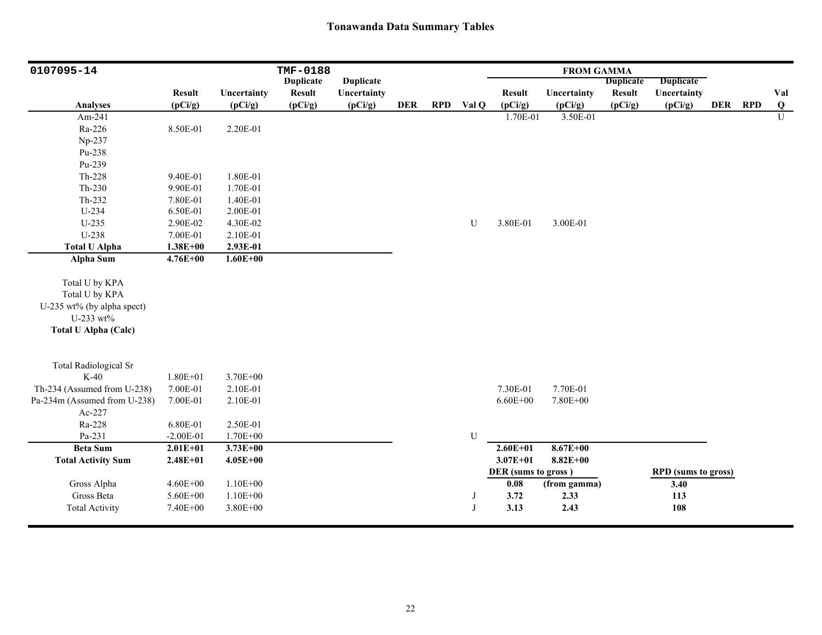| 0107095-14                                                                                                 |               |              | <b>TMF-0188</b>  |                  |            |            |             |                     | <b>FROM GAMMA</b> |                  |                            |            |            |                |
|------------------------------------------------------------------------------------------------------------|---------------|--------------|------------------|------------------|------------|------------|-------------|---------------------|-------------------|------------------|----------------------------|------------|------------|----------------|
|                                                                                                            |               |              | <b>Duplicate</b> | <b>Duplicate</b> |            |            |             |                     |                   | <b>Duplicate</b> | <b>Duplicate</b>           |            |            |                |
|                                                                                                            | <b>Result</b> | Uncertainty  | <b>Result</b>    | Uncertainty      |            |            |             | <b>Result</b>       | Uncertainty       | <b>Result</b>    | Uncertainty                |            |            | Val            |
| <b>Analyses</b>                                                                                            | (pCi/g)       | (pCi/g)      | (pCi/g)          | (pCi/g)          | <b>DER</b> | <b>RPD</b> | Val Q       | (pCi/g)             | (pCi/g)           | (pCi/g)          | (pCi/g)                    | <b>DER</b> | <b>RPD</b> | $\bf Q$        |
| Am-241                                                                                                     |               |              |                  |                  |            |            |             | 1.70E-01            | 3.50E-01          |                  |                            |            |            | $\overline{U}$ |
| Ra-226                                                                                                     | 8.50E-01      | 2.20E-01     |                  |                  |            |            |             |                     |                   |                  |                            |            |            |                |
| Np-237                                                                                                     |               |              |                  |                  |            |            |             |                     |                   |                  |                            |            |            |                |
| Pu-238                                                                                                     |               |              |                  |                  |            |            |             |                     |                   |                  |                            |            |            |                |
| Pu-239                                                                                                     |               |              |                  |                  |            |            |             |                     |                   |                  |                            |            |            |                |
| $Th-228$                                                                                                   | 9.40E-01      | 1.80E-01     |                  |                  |            |            |             |                     |                   |                  |                            |            |            |                |
| $Th-230$                                                                                                   | 9.90E-01      | 1.70E-01     |                  |                  |            |            |             |                     |                   |                  |                            |            |            |                |
| Th-232                                                                                                     | 7.80E-01      | 1.40E-01     |                  |                  |            |            |             |                     |                   |                  |                            |            |            |                |
| $U-234$                                                                                                    | 6.50E-01      | 2.00E-01     |                  |                  |            |            |             |                     |                   |                  |                            |            |            |                |
| $U-235$                                                                                                    | 2.90E-02      | 4.30E-02     |                  |                  |            |            | U           | 3.80E-01            | 3.00E-01          |                  |                            |            |            |                |
| U-238                                                                                                      | 7.00E-01      | 2.10E-01     |                  |                  |            |            |             |                     |                   |                  |                            |            |            |                |
| <b>Total U Alpha</b>                                                                                       | $1.38E + 00$  | 2.93E-01     |                  |                  |            |            |             |                     |                   |                  |                            |            |            |                |
| <b>Alpha Sum</b>                                                                                           | $4.76E + 00$  | $1.60E + 00$ |                  |                  |            |            |             |                     |                   |                  |                            |            |            |                |
| Total U by KPA<br>Total U by KPA<br>U-235 wt% (by alpha spect)<br>U-233 wt%<br><b>Total U Alpha (Calc)</b> |               |              |                  |                  |            |            |             |                     |                   |                  |                            |            |            |                |
| <b>Total Radiological Sr</b>                                                                               |               |              |                  |                  |            |            |             |                     |                   |                  |                            |            |            |                |
| $K-40$                                                                                                     | $1.80E + 01$  | 3.70E+00     |                  |                  |            |            |             |                     |                   |                  |                            |            |            |                |
| Th-234 (Assumed from U-238)                                                                                | 7.00E-01      | 2.10E-01     |                  |                  |            |            |             | 7.30E-01            | 7.70E-01          |                  |                            |            |            |                |
| Pa-234m (Assumed from U-238)                                                                               | 7.00E-01      | 2.10E-01     |                  |                  |            |            |             | $6.60E + 00$        | 7.80E+00          |                  |                            |            |            |                |
| Ac-227                                                                                                     |               |              |                  |                  |            |            |             |                     |                   |                  |                            |            |            |                |
| Ra-228                                                                                                     | 6.80E-01      | 2.50E-01     |                  |                  |            |            |             |                     |                   |                  |                            |            |            |                |
| Pa-231                                                                                                     | $-2.00E-01$   | 1.70E+00     |                  |                  |            |            | $\mathbf U$ |                     |                   |                  |                            |            |            |                |
| <b>Beta Sum</b>                                                                                            | $2.01E + 01$  | $3.73E + 00$ |                  |                  |            |            |             | $2.60E + 01$        | $8.67E + 00$      |                  |                            |            |            |                |
| <b>Total Activity Sum</b>                                                                                  | $2.48E + 01$  | $4.05E + 00$ |                  |                  |            |            |             | $3.07E + 01$        | $8.82E + 00$      |                  |                            |            |            |                |
|                                                                                                            |               |              |                  |                  |            |            |             | DER (sums to gross) |                   |                  | <b>RPD</b> (sums to gross) |            |            |                |
| Gross Alpha                                                                                                | $4.60E + 00$  | $1.10E + 00$ |                  |                  |            |            |             | 0.08                | (from gamma)      |                  | 3.40                       |            |            |                |
| Gross Beta                                                                                                 | 5.60E+00      | $1.10E + 00$ |                  |                  |            |            | J           | 3.72                | 2.33              |                  | 113                        |            |            |                |
| <b>Total Activity</b>                                                                                      | 7.40E+00      | 3.80E+00     |                  |                  |            |            | J           | 3.13                | 2.43              |                  | 108                        |            |            |                |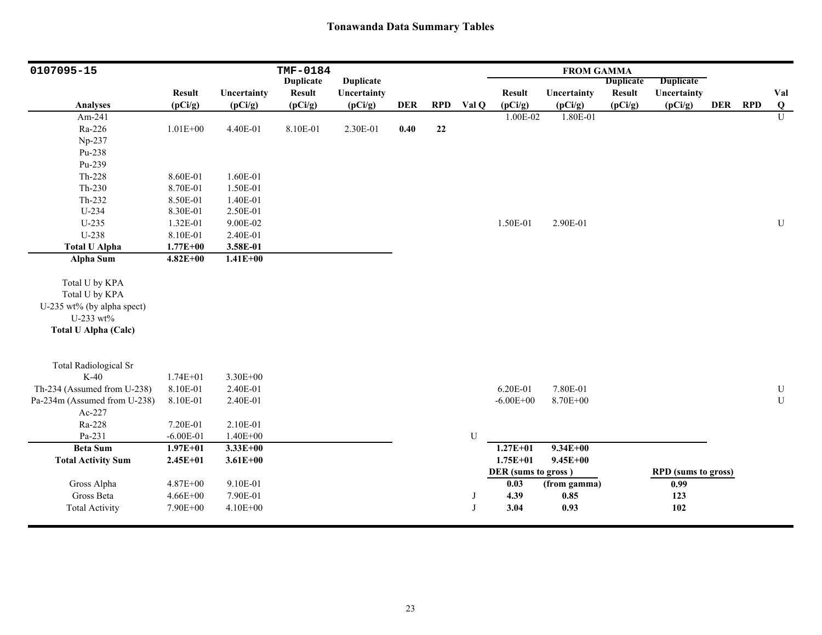| 0107095-15                                                                                                                |                                                  |                                              | TMF-0184         |                  |            |            |              |                           | <b>FROM GAMMA</b>    |                  |                            |         |                          |
|---------------------------------------------------------------------------------------------------------------------------|--------------------------------------------------|----------------------------------------------|------------------|------------------|------------|------------|--------------|---------------------------|----------------------|------------------|----------------------------|---------|--------------------------|
|                                                                                                                           |                                                  |                                              | <b>Duplicate</b> | <b>Duplicate</b> |            |            |              |                           |                      | <b>Duplicate</b> | <b>Duplicate</b>           |         |                          |
|                                                                                                                           | <b>Result</b>                                    | Uncertainty                                  | <b>Result</b>    | Uncertainty      |            |            |              | <b>Result</b>             | Uncertainty          | <b>Result</b>    | Uncertainty                |         | Val                      |
| <b>Analyses</b>                                                                                                           | (pCi/g)                                          | (pCi/g)                                      | (pCi/g)          | (pCi/g)          | <b>DER</b> | <b>RPD</b> | Val Q        | (pCi/g)                   | (pCi/g)              | (pCi/g)          | (pCi/g)                    | DER RPD | $\bf Q$                  |
| Am-241                                                                                                                    |                                                  |                                              |                  |                  |            |            |              | 1.00E-02                  | 1.80E-01             |                  |                            |         | $\overline{U}$           |
| Ra-226                                                                                                                    | $1.01E + 00$                                     | 4.40E-01                                     | 8.10E-01         | 2.30E-01         | 0.40       | $22\,$     |              |                           |                      |                  |                            |         |                          |
| Np-237                                                                                                                    |                                                  |                                              |                  |                  |            |            |              |                           |                      |                  |                            |         |                          |
| Pu-238                                                                                                                    |                                                  |                                              |                  |                  |            |            |              |                           |                      |                  |                            |         |                          |
| Pu-239                                                                                                                    |                                                  |                                              |                  |                  |            |            |              |                           |                      |                  |                            |         |                          |
| Th-228                                                                                                                    | 8.60E-01                                         | 1.60E-01                                     |                  |                  |            |            |              |                           |                      |                  |                            |         |                          |
| $Th-230$                                                                                                                  | 8.70E-01                                         | 1.50E-01                                     |                  |                  |            |            |              |                           |                      |                  |                            |         |                          |
| $Th-232$                                                                                                                  | 8.50E-01                                         | 1.40E-01                                     |                  |                  |            |            |              |                           |                      |                  |                            |         |                          |
| U-234                                                                                                                     | 8.30E-01                                         | 2.50E-01                                     |                  |                  |            |            |              |                           |                      |                  |                            |         |                          |
| $U-235$                                                                                                                   | 1.32E-01                                         | 9.00E-02                                     |                  |                  |            |            |              | 1.50E-01                  | 2.90E-01             |                  |                            |         | ${\bf U}$                |
| U-238                                                                                                                     | 8.10E-01                                         | 2.40E-01                                     |                  |                  |            |            |              |                           |                      |                  |                            |         |                          |
| <b>Total U Alpha</b>                                                                                                      | $1.77E + 00$                                     | 3.58E-01                                     |                  |                  |            |            |              |                           |                      |                  |                            |         |                          |
| <b>Alpha Sum</b>                                                                                                          | $4.82E + 00$                                     | $1.41E+00$                                   |                  |                  |            |            |              |                           |                      |                  |                            |         |                          |
| Total U by KPA<br>Total U by KPA<br>U-235 wt% (by alpha spect)<br>U-233 wt%<br><b>Total U Alpha (Calc)</b>                |                                                  |                                              |                  |                  |            |            |              |                           |                      |                  |                            |         |                          |
| <b>Total Radiological Sr</b><br>$K-40$<br>Th-234 (Assumed from U-238)<br>Pa-234m (Assumed from U-238)<br>Ac-227<br>Ra-228 | $1.74E + 01$<br>8.10E-01<br>8.10E-01<br>7.20E-01 | 3.30E+00<br>2.40E-01<br>2.40E-01<br>2.10E-01 |                  |                  |            |            |              | 6.20E-01<br>$-6.00E + 00$ | 7.80E-01<br>8.70E+00 |                  |                            |         | ${\bf U}$<br>$\mathbf U$ |
| Pa-231                                                                                                                    | $-6.00E-01$                                      | $1.40E + 00$                                 |                  |                  |            |            | U            |                           |                      |                  |                            |         |                          |
| <b>Beta Sum</b>                                                                                                           | $1.97E + 01$                                     | $3.33E + 00$                                 |                  |                  |            |            |              | $1.27E + 01$              | $9.34E + 00$         |                  |                            |         |                          |
| <b>Total Activity Sum</b>                                                                                                 | $2.45E+01$                                       | $3.61E + 00$                                 |                  |                  |            |            |              | $1.75E + 01$              | $9.45E + 00$         |                  |                            |         |                          |
|                                                                                                                           |                                                  |                                              |                  |                  |            |            |              | DER (sums to gross)       |                      |                  | <b>RPD</b> (sums to gross) |         |                          |
| Gross Alpha                                                                                                               | 4.87E+00                                         | 9.10E-01                                     |                  |                  |            |            |              | 0.03                      | (from gamma)         |                  | 0.99                       |         |                          |
| Gross Beta                                                                                                                | $4.66E + 00$                                     | 7.90E-01                                     |                  |                  |            |            |              | 4.39                      | 0.85                 |                  | 123                        |         |                          |
| <b>Total Activity</b>                                                                                                     | 7.90E+00                                         | $4.10E + 00$                                 |                  |                  |            |            | $\mathbf{I}$ | 3.04                      | 0.93                 |                  | 102                        |         |                          |
|                                                                                                                           |                                                  |                                              |                  |                  |            |            |              |                           |                      |                  |                            |         |                          |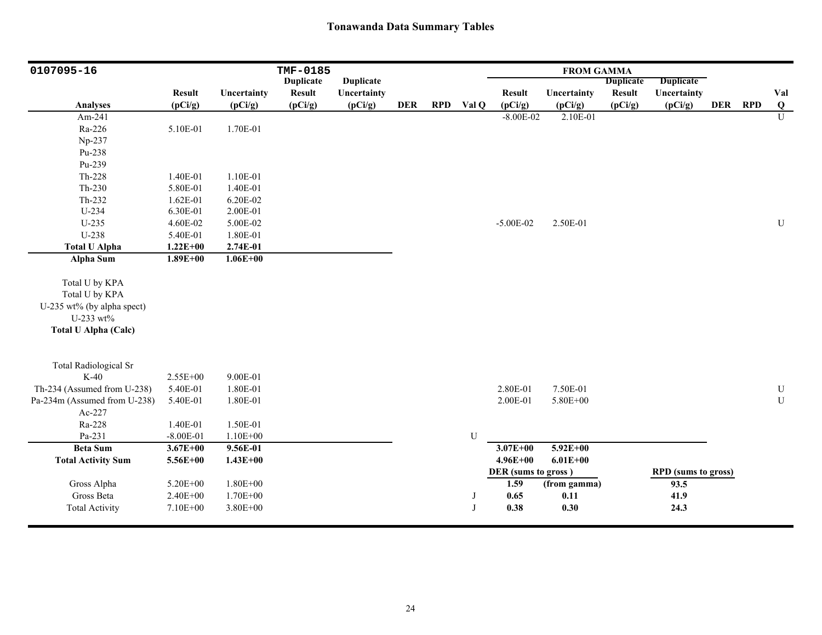| 0107095-16                   |               | <b>TMF-0185</b> |                  |                  |            |            |              |                             |              |                  |                                    |         |                |
|------------------------------|---------------|-----------------|------------------|------------------|------------|------------|--------------|-----------------------------|--------------|------------------|------------------------------------|---------|----------------|
|                              |               |                 | <b>Duplicate</b> | <b>Duplicate</b> |            |            |              |                             |              | <b>Duplicate</b> | <b>Duplicate</b>                   |         |                |
|                              | <b>Result</b> | Uncertainty     | <b>Result</b>    | Uncertainty      |            |            |              | <b>Result</b>               | Uncertainty  | <b>Result</b>    | Uncertainty                        |         | Val            |
| <b>Analyses</b>              | (pCi/g)       | (pCi/g)         | (pCi/g)          | (pCi/g)          | <b>DER</b> | <b>RPD</b> | Val Q        | (pCi/g)                     | (pCi/g)      | (pCi/g)          | (pCi/g)                            | DER RPD | $\overline{Q}$ |
| Am-241                       |               |                 |                  |                  |            |            |              | $-8.00E - 02$               | 2.10E-01     |                  |                                    |         | $\overline{U}$ |
| Ra-226                       | 5.10E-01      | 1.70E-01        |                  |                  |            |            |              |                             |              |                  |                                    |         |                |
| Np-237                       |               |                 |                  |                  |            |            |              |                             |              |                  |                                    |         |                |
| Pu-238                       |               |                 |                  |                  |            |            |              |                             |              |                  |                                    |         |                |
| Pu-239                       |               |                 |                  |                  |            |            |              |                             |              |                  |                                    |         |                |
| $Th-228$                     | 1.40E-01      | 1.10E-01        |                  |                  |            |            |              |                             |              |                  |                                    |         |                |
| $Th-230$                     | 5.80E-01      | 1.40E-01        |                  |                  |            |            |              |                             |              |                  |                                    |         |                |
| Th-232                       | 1.62E-01      | 6.20E-02        |                  |                  |            |            |              |                             |              |                  |                                    |         |                |
| U-234                        | 6.30E-01      | 2.00E-01        |                  |                  |            |            |              |                             |              |                  |                                    |         |                |
| $U-235$                      | 4.60E-02      | 5.00E-02        |                  |                  |            |            |              | $-5.00E-02$                 | 2.50E-01     |                  |                                    |         | ${\bf U}$      |
| U-238                        | 5.40E-01      | 1.80E-01        |                  |                  |            |            |              |                             |              |                  |                                    |         |                |
| <b>Total U Alpha</b>         | $1.22E + 00$  | 2.74E-01        |                  |                  |            |            |              |                             |              |                  |                                    |         |                |
| <b>Alpha Sum</b>             | $1.89E + 00$  | $1.06E + 00$    |                  |                  |            |            |              |                             |              |                  |                                    |         |                |
| Total U by KPA               |               |                 |                  |                  |            |            |              |                             |              |                  |                                    |         |                |
| Total U by KPA               |               |                 |                  |                  |            |            |              |                             |              |                  |                                    |         |                |
| U-235 wt% (by alpha spect)   |               |                 |                  |                  |            |            |              |                             |              |                  |                                    |         |                |
| U-233 wt%                    |               |                 |                  |                  |            |            |              |                             |              |                  |                                    |         |                |
| <b>Total U Alpha (Calc)</b>  |               |                 |                  |                  |            |            |              |                             |              |                  |                                    |         |                |
|                              |               |                 |                  |                  |            |            |              |                             |              |                  |                                    |         |                |
|                              |               |                 |                  |                  |            |            |              |                             |              |                  |                                    |         |                |
| Total Radiological Sr        |               |                 |                  |                  |            |            |              |                             |              |                  |                                    |         |                |
| $K-40$                       | 2.55E+00      | 9.00E-01        |                  |                  |            |            |              |                             |              |                  |                                    |         |                |
| Th-234 (Assumed from U-238)  | 5.40E-01      | 1.80E-01        |                  |                  |            |            |              | 2.80E-01                    | 7.50E-01     |                  |                                    |         | ${\bf U}$      |
| Pa-234m (Assumed from U-238) | 5.40E-01      | 1.80E-01        |                  |                  |            |            |              | 2.00E-01                    | 5.80E+00     |                  |                                    |         | $\mathbf U$    |
| Ac-227                       |               |                 |                  |                  |            |            |              |                             |              |                  |                                    |         |                |
| Ra-228                       | 1.40E-01      | 1.50E-01        |                  |                  |            |            |              |                             |              |                  |                                    |         |                |
| Pa-231                       | $-8.00E-01$   | $1.10E + 00$    |                  |                  |            |            | U            |                             |              |                  |                                    |         |                |
| <b>Beta Sum</b>              | $3.67E + 00$  | 9.56E-01        |                  |                  |            |            |              | $3.07E + 00$                | $5.92E+00$   |                  |                                    |         |                |
| <b>Total Activity Sum</b>    | 5.56E+00      | $1.43E + 00$    |                  |                  |            |            |              | $4.96E + 00$                | $6.01E + 00$ |                  |                                    |         |                |
| Gross Alpha                  | 5.20E+00      | $1.80E + 00$    |                  |                  |            |            |              | DER (sums to gross)<br>1.59 | (from gamma) |                  | <b>RPD</b> (sums to gross)<br>93.5 |         |                |
| Gross Beta                   | $2.40E + 00$  | 1.70E+00        |                  |                  |            |            | J            | 0.65                        | 0.11         |                  | 41.9                               |         |                |
| <b>Total Activity</b>        | $7.10E + 00$  | 3.80E+00        |                  |                  |            |            | $\mathbf{J}$ | 0.38                        | 0.30         |                  | 24.3                               |         |                |
|                              |               |                 |                  |                  |            |            |              |                             |              |                  |                                    |         |                |
|                              |               |                 |                  |                  |            |            |              |                             |              |                  |                                    |         |                |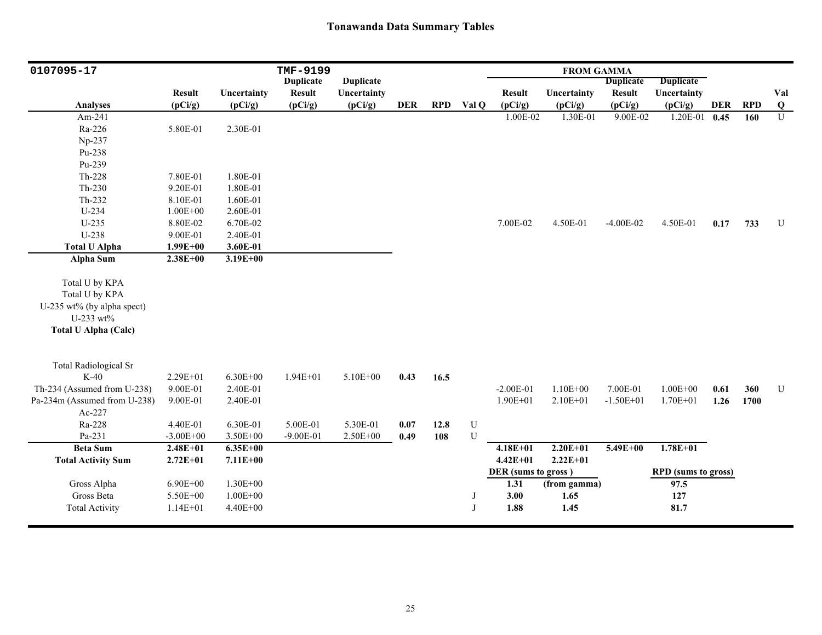| 0107095-17                   | TMF-9199      |              |                  |                  |      |            |             | <b>FROM GAMMA</b>           |              |                  |                                    |            |            |                |
|------------------------------|---------------|--------------|------------------|------------------|------|------------|-------------|-----------------------------|--------------|------------------|------------------------------------|------------|------------|----------------|
|                              |               |              | <b>Duplicate</b> | <b>Duplicate</b> |      |            |             |                             |              | <b>Duplicate</b> | <b>Duplicate</b>                   |            |            |                |
|                              | <b>Result</b> | Uncertainty  | <b>Result</b>    | Uncertainty      |      |            |             | <b>Result</b>               | Uncertainty  | <b>Result</b>    | Uncertainty                        |            |            | Val            |
| <b>Analyses</b>              | (pCi/g)       | (pCi/g)      | (pCi/g)          | (pCi/g)          | DER  | <b>RPD</b> | Val Q       | (pCi/g)                     | (pCi/g)      | (pCi/g)          | (pCi/g)                            | <b>DER</b> | <b>RPD</b> | $\overline{Q}$ |
| Am-241                       |               |              |                  |                  |      |            |             | 1.00E-02                    | 1.30E-01     | 9.00E-02         | 1.20E-01                           | 0.45       | 160        | $\overline{U}$ |
| Ra-226                       | 5.80E-01      | 2.30E-01     |                  |                  |      |            |             |                             |              |                  |                                    |            |            |                |
| Np-237                       |               |              |                  |                  |      |            |             |                             |              |                  |                                    |            |            |                |
| Pu-238                       |               |              |                  |                  |      |            |             |                             |              |                  |                                    |            |            |                |
| Pu-239                       |               |              |                  |                  |      |            |             |                             |              |                  |                                    |            |            |                |
| Th-228                       | 7.80E-01      | 1.80E-01     |                  |                  |      |            |             |                             |              |                  |                                    |            |            |                |
| $Th-230$                     | 9.20E-01      | 1.80E-01     |                  |                  |      |            |             |                             |              |                  |                                    |            |            |                |
| Th-232                       | 8.10E-01      | 1.60E-01     |                  |                  |      |            |             |                             |              |                  |                                    |            |            |                |
| U-234                        | $1.00E + 00$  | 2.60E-01     |                  |                  |      |            |             |                             |              |                  |                                    |            |            |                |
| U-235                        | 8.80E-02      | 6.70E-02     |                  |                  |      |            |             | 7.00E-02                    | 4.50E-01     | $-4.00E-02$      | 4.50E-01                           | 0.17       | 733        | U              |
| U-238                        | 9.00E-01      | 2.40E-01     |                  |                  |      |            |             |                             |              |                  |                                    |            |            |                |
| <b>Total U Alpha</b>         | $1.99E + 00$  | 3.60E-01     |                  |                  |      |            |             |                             |              |                  |                                    |            |            |                |
| <b>Alpha Sum</b>             | $2.38E + 00$  | $3.19E + 00$ |                  |                  |      |            |             |                             |              |                  |                                    |            |            |                |
| Total U by KPA               |               |              |                  |                  |      |            |             |                             |              |                  |                                    |            |            |                |
| Total U by KPA               |               |              |                  |                  |      |            |             |                             |              |                  |                                    |            |            |                |
| U-235 wt% (by alpha spect)   |               |              |                  |                  |      |            |             |                             |              |                  |                                    |            |            |                |
| U-233 wt%                    |               |              |                  |                  |      |            |             |                             |              |                  |                                    |            |            |                |
|                              |               |              |                  |                  |      |            |             |                             |              |                  |                                    |            |            |                |
| <b>Total U Alpha (Calc)</b>  |               |              |                  |                  |      |            |             |                             |              |                  |                                    |            |            |                |
|                              |               |              |                  |                  |      |            |             |                             |              |                  |                                    |            |            |                |
| <b>Total Radiological Sr</b> |               |              |                  |                  |      |            |             |                             |              |                  |                                    |            |            |                |
| $K-40$                       | 2.29E+01      | $6.30E + 00$ | $1.94E + 01$     | 5.10E+00         | 0.43 | 16.5       |             |                             |              |                  |                                    |            |            |                |
| Th-234 (Assumed from U-238)  | 9.00E-01      | 2.40E-01     |                  |                  |      |            |             | $-2.00E-01$                 | $1.10E + 00$ | 7.00E-01         | $1.00E + 00$                       | 0.61       | 360        | ${\bf U}$      |
| Pa-234m (Assumed from U-238) | 9.00E-01      | 2.40E-01     |                  |                  |      |            |             | $1.90E + 01$                | $2.10E + 01$ | $-1.50E+01$      | $1.70E + 01$                       | 1.26       | 1700       |                |
| Ac-227                       |               |              |                  |                  |      |            |             |                             |              |                  |                                    |            |            |                |
| Ra-228                       | 4.40E-01      | 6.30E-01     | 5.00E-01         | 5.30E-01         | 0.07 | 12.8       | $\mathbf U$ |                             |              |                  |                                    |            |            |                |
| Pa-231                       | $-3.00E + 00$ | 3.50E+00     | $-9.00E-01$      | 2.50E+00         | 0.49 | 108        | $\mathbf U$ |                             |              |                  |                                    |            |            |                |
| <b>Beta Sum</b>              | $2.48E + 01$  | $6.35E + 00$ |                  |                  |      |            |             | $4.18E + 01$                | $2.20E+01$   | $5.49E + 00$     | $1.78E + 01$                       |            |            |                |
| <b>Total Activity Sum</b>    | $2.72E + 01$  | $7.11E+00$   |                  |                  |      |            |             | $4.42E + 01$                | $2.22E+01$   |                  |                                    |            |            |                |
| Gross Alpha                  | $6.90E + 00$  | $1.30E + 00$ |                  |                  |      |            |             | DER (sums to gross)<br>1.31 | (from gamma) |                  | <b>RPD</b> (sums to gross)<br>97.5 |            |            |                |
| Gross Beta                   | 5.50E+00      | $1.00E + 00$ |                  |                  |      |            | J           | 3.00                        | 1.65         |                  | 127                                |            |            |                |
| <b>Total Activity</b>        | $1.14E + 01$  | 4.40E+00     |                  |                  |      |            | J           | 1.88                        | 1.45         |                  | 81.7                               |            |            |                |
|                              |               |              |                  |                  |      |            |             |                             |              |                  |                                    |            |            |                |
|                              |               |              |                  |                  |      |            |             |                             |              |                  |                                    |            |            |                |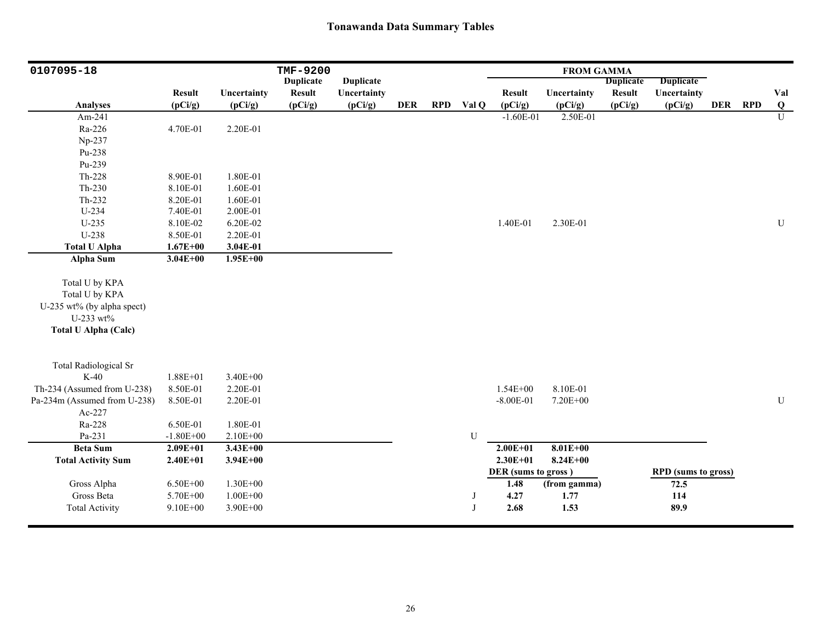| 0107095-18                   |               |              | <b>TMF-9200</b>  |                  |            |            |       |                     | <b>FROM GAMMA</b> |                  |                            |         |              |
|------------------------------|---------------|--------------|------------------|------------------|------------|------------|-------|---------------------|-------------------|------------------|----------------------------|---------|--------------|
|                              |               |              | <b>Duplicate</b> | <b>Duplicate</b> |            |            |       |                     |                   | <b>Duplicate</b> | <b>Duplicate</b>           |         |              |
|                              | <b>Result</b> | Uncertainty  | <b>Result</b>    | Uncertainty      |            |            |       | <b>Result</b>       | Uncertainty       | <b>Result</b>    | Uncertainty                |         | Val          |
| <b>Analyses</b>              | (pCi/g)       | (pCi/g)      | (pCi/g)          | (pCi/g)          | <b>DER</b> | <b>RPD</b> | Val Q | (pCi/g)             | (pCi/g)           | (pCi/g)          | (pCi/g)                    | DER RPD | $\bf Q$      |
| Am-241                       |               |              |                  |                  |            |            |       | $-1.60E-01$         | 2.50E-01          |                  |                            |         | $\mathbf{U}$ |
| Ra-226                       | 4.70E-01      | 2.20E-01     |                  |                  |            |            |       |                     |                   |                  |                            |         |              |
| Np-237                       |               |              |                  |                  |            |            |       |                     |                   |                  |                            |         |              |
| Pu-238                       |               |              |                  |                  |            |            |       |                     |                   |                  |                            |         |              |
| Pu-239                       |               |              |                  |                  |            |            |       |                     |                   |                  |                            |         |              |
| $Th-228$                     | 8.90E-01      | 1.80E-01     |                  |                  |            |            |       |                     |                   |                  |                            |         |              |
| $Th-230$                     | 8.10E-01      | 1.60E-01     |                  |                  |            |            |       |                     |                   |                  |                            |         |              |
| $Th-232$                     | 8.20E-01      | 1.60E-01     |                  |                  |            |            |       |                     |                   |                  |                            |         |              |
| U-234                        | 7.40E-01      | 2.00E-01     |                  |                  |            |            |       |                     |                   |                  |                            |         |              |
| $U-235$                      | 8.10E-02      | 6.20E-02     |                  |                  |            |            |       | 1.40E-01            | 2.30E-01          |                  |                            |         | U            |
| U-238                        | 8.50E-01      | 2.20E-01     |                  |                  |            |            |       |                     |                   |                  |                            |         |              |
| <b>Total U Alpha</b>         | $1.67E + 00$  | 3.04E-01     |                  |                  |            |            |       |                     |                   |                  |                            |         |              |
| Alpha Sum                    | $3.04E + 00$  | $1.95E + 00$ |                  |                  |            |            |       |                     |                   |                  |                            |         |              |
|                              |               |              |                  |                  |            |            |       |                     |                   |                  |                            |         |              |
| Total U by KPA               |               |              |                  |                  |            |            |       |                     |                   |                  |                            |         |              |
| Total U by KPA               |               |              |                  |                  |            |            |       |                     |                   |                  |                            |         |              |
| U-235 wt% (by alpha spect)   |               |              |                  |                  |            |            |       |                     |                   |                  |                            |         |              |
| U-233 wt%                    |               |              |                  |                  |            |            |       |                     |                   |                  |                            |         |              |
| <b>Total U Alpha (Calc)</b>  |               |              |                  |                  |            |            |       |                     |                   |                  |                            |         |              |
|                              |               |              |                  |                  |            |            |       |                     |                   |                  |                            |         |              |
| <b>Total Radiological Sr</b> |               |              |                  |                  |            |            |       |                     |                   |                  |                            |         |              |
| $K-40$                       | $1.88E + 01$  | 3.40E+00     |                  |                  |            |            |       |                     |                   |                  |                            |         |              |
| Th-234 (Assumed from U-238)  | 8.50E-01      | 2.20E-01     |                  |                  |            |            |       | $1.54E + 00$        | 8.10E-01          |                  |                            |         |              |
| Pa-234m (Assumed from U-238) | 8.50E-01      | 2.20E-01     |                  |                  |            |            |       | $-8.00E - 01$       | 7.20E+00          |                  |                            |         | U            |
| Ac-227                       |               |              |                  |                  |            |            |       |                     |                   |                  |                            |         |              |
| Ra-228                       | 6.50E-01      | 1.80E-01     |                  |                  |            |            |       |                     |                   |                  |                            |         |              |
| Pa-231                       | $-1.80E + 00$ | 2.10E+00     |                  |                  |            |            | U     |                     |                   |                  |                            |         |              |
| <b>Beta Sum</b>              | $2.09E + 01$  | $3.43E + 00$ |                  |                  |            |            |       | $2.00E + 01$        | $8.01E + 00$      |                  |                            |         |              |
| <b>Total Activity Sum</b>    | $2.40E + 01$  | $3.94E + 00$ |                  |                  |            |            |       | $2.30E + 01$        | $8.24E + 00$      |                  |                            |         |              |
|                              |               |              |                  |                  |            |            |       | DER (sums to gross) |                   |                  | <b>RPD</b> (sums to gross) |         |              |
| Gross Alpha                  | $6.50E + 00$  | 1.30E+00     |                  |                  |            |            |       | 1.48                | (from gamma)      |                  | 72.5                       |         |              |
| Gross Beta                   | 5.70E+00      | $1.00E + 00$ |                  |                  |            |            | J     | 4.27                | 1.77              |                  | 114                        |         |              |
| <b>Total Activity</b>        | $9.10E + 00$  | 3.90E+00     |                  |                  |            |            | J     | 2.68                | 1.53              |                  | 89.9                       |         |              |
|                              |               |              |                  |                  |            |            |       |                     |                   |                  |                            |         |              |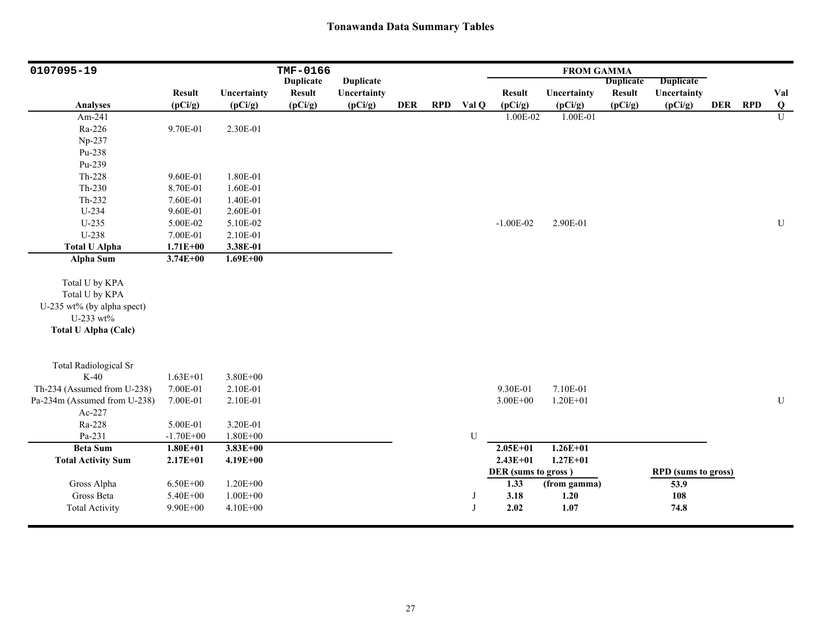| 0107095-19                   |               |              | TMF-0166         |                  |            |            |              |                             | <b>FROM GAMMA</b> |                  |                                    |         |                |
|------------------------------|---------------|--------------|------------------|------------------|------------|------------|--------------|-----------------------------|-------------------|------------------|------------------------------------|---------|----------------|
|                              |               |              | <b>Duplicate</b> | <b>Duplicate</b> |            |            |              |                             |                   | <b>Duplicate</b> | <b>Duplicate</b>                   |         |                |
|                              | <b>Result</b> | Uncertainty  | <b>Result</b>    | Uncertainty      |            |            |              | <b>Result</b>               | Uncertainty       | <b>Result</b>    | Uncertainty                        |         | Val            |
| <b>Analyses</b>              | (pCi/g)       | (pCi/g)      | (pCi/g)          | (pCi/g)          | <b>DER</b> | <b>RPD</b> | Val Q        | (pCi/g)                     | (pCi/g)           | (pCi/g)          | (pCi/g)                            | DER RPD | $\overline{Q}$ |
| Am-241                       |               |              |                  |                  |            |            |              | 1.00E-02                    | 1.00E-01          |                  |                                    |         | $\overline{U}$ |
| Ra-226                       | 9.70E-01      | 2.30E-01     |                  |                  |            |            |              |                             |                   |                  |                                    |         |                |
| Np-237                       |               |              |                  |                  |            |            |              |                             |                   |                  |                                    |         |                |
| Pu-238                       |               |              |                  |                  |            |            |              |                             |                   |                  |                                    |         |                |
| Pu-239                       |               |              |                  |                  |            |            |              |                             |                   |                  |                                    |         |                |
| $Th-228$                     | 9.60E-01      | 1.80E-01     |                  |                  |            |            |              |                             |                   |                  |                                    |         |                |
| $Th-230$                     | 8.70E-01      | 1.60E-01     |                  |                  |            |            |              |                             |                   |                  |                                    |         |                |
| Th-232                       | 7.60E-01      | 1.40E-01     |                  |                  |            |            |              |                             |                   |                  |                                    |         |                |
| U-234                        | 9.60E-01      | 2.60E-01     |                  |                  |            |            |              |                             |                   |                  |                                    |         |                |
| $U-235$                      | 5.00E-02      | 5.10E-02     |                  |                  |            |            |              | $-1.00E-02$                 | 2.90E-01          |                  |                                    |         | ${\bf U}$      |
| U-238                        | 7.00E-01      | 2.10E-01     |                  |                  |            |            |              |                             |                   |                  |                                    |         |                |
| <b>Total U Alpha</b>         | $1.71E + 00$  | 3.38E-01     |                  |                  |            |            |              |                             |                   |                  |                                    |         |                |
| Alpha Sum                    | $3.74E + 00$  | $1.69E + 00$ |                  |                  |            |            |              |                             |                   |                  |                                    |         |                |
| Total U by KPA               |               |              |                  |                  |            |            |              |                             |                   |                  |                                    |         |                |
| Total U by KPA               |               |              |                  |                  |            |            |              |                             |                   |                  |                                    |         |                |
| U-235 wt% (by alpha spect)   |               |              |                  |                  |            |            |              |                             |                   |                  |                                    |         |                |
| U-233 wt%                    |               |              |                  |                  |            |            |              |                             |                   |                  |                                    |         |                |
|                              |               |              |                  |                  |            |            |              |                             |                   |                  |                                    |         |                |
| <b>Total U Alpha (Calc)</b>  |               |              |                  |                  |            |            |              |                             |                   |                  |                                    |         |                |
|                              |               |              |                  |                  |            |            |              |                             |                   |                  |                                    |         |                |
| Total Radiological Sr        |               |              |                  |                  |            |            |              |                             |                   |                  |                                    |         |                |
| $K-40$                       | $1.63E + 01$  | 3.80E+00     |                  |                  |            |            |              |                             |                   |                  |                                    |         |                |
| Th-234 (Assumed from U-238)  | 7.00E-01      | 2.10E-01     |                  |                  |            |            |              | 9.30E-01                    | 7.10E-01          |                  |                                    |         |                |
| Pa-234m (Assumed from U-238) | 7.00E-01      | 2.10E-01     |                  |                  |            |            |              | $3.00E + 00$                | $1.20E + 01$      |                  |                                    |         | ${\bf U}$      |
| Ac-227                       |               |              |                  |                  |            |            |              |                             |                   |                  |                                    |         |                |
| Ra-228                       | 5.00E-01      | 3.20E-01     |                  |                  |            |            |              |                             |                   |                  |                                    |         |                |
| Pa-231                       | $-1.70E + 00$ | $1.80E + 00$ |                  |                  |            |            | U            |                             |                   |                  |                                    |         |                |
| <b>Beta Sum</b>              | $1.80E + 01$  | $3.83E + 00$ |                  |                  |            |            |              | $2.05E + 01$                | $1.26E + 01$      |                  |                                    |         |                |
| <b>Total Activity Sum</b>    | $2.17E + 01$  | $4.19E + 00$ |                  |                  |            |            |              | $2.43E + 01$                | $1.27E + 01$      |                  |                                    |         |                |
| Gross Alpha                  | $6.50E + 00$  | $1.20E + 00$ |                  |                  |            |            |              | DER (sums to gross)<br>1.33 | (from gamma)      |                  | <b>RPD</b> (sums to gross)<br>53.9 |         |                |
| Gross Beta                   | 5.40E+00      | $1.00E + 00$ |                  |                  |            |            | J            | 3.18                        | 1.20              |                  | 108                                |         |                |
| <b>Total Activity</b>        | $9.90E + 00$  | 4.10E+00     |                  |                  |            |            | $\mathbf{J}$ | 2.02                        | 1.07              |                  | 74.8                               |         |                |
|                              |               |              |                  |                  |            |            |              |                             |                   |                  |                                    |         |                |
|                              |               |              |                  |                  |            |            |              |                             |                   |                  |                                    |         |                |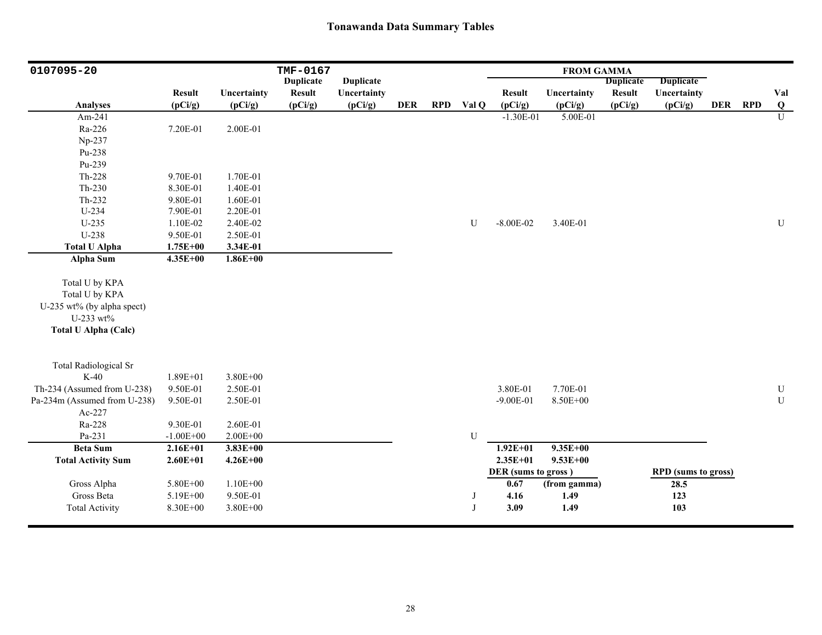| 0107095-20                   |               |              | TMF-0167         |                  |            |            |             |                     | <b>FROM GAMMA</b> |                  |                            |            |            |                |
|------------------------------|---------------|--------------|------------------|------------------|------------|------------|-------------|---------------------|-------------------|------------------|----------------------------|------------|------------|----------------|
|                              |               |              | <b>Duplicate</b> | <b>Duplicate</b> |            |            |             |                     |                   | <b>Duplicate</b> | <b>Duplicate</b>           |            |            |                |
|                              | <b>Result</b> | Uncertainty  | <b>Result</b>    | Uncertainty      |            |            |             | <b>Result</b>       | Uncertainty       | <b>Result</b>    | Uncertainty                |            |            | Val            |
| <b>Analyses</b>              | (pCi/g)       | (pCi/g)      | (pCi/g)          | (pCi/g)          | <b>DER</b> | <b>RPD</b> | Val Q       | (pCi/g)             | (pCi/g)           | (pCi/g)          | (pCi/g)                    | <b>DER</b> | <b>RPD</b> | Q              |
| Am-241                       |               |              |                  |                  |            |            |             | $-1.30E-01$         | 5.00E-01          |                  |                            |            |            | $\overline{U}$ |
| Ra-226                       | 7.20E-01      | 2.00E-01     |                  |                  |            |            |             |                     |                   |                  |                            |            |            |                |
| Np-237                       |               |              |                  |                  |            |            |             |                     |                   |                  |                            |            |            |                |
| Pu-238                       |               |              |                  |                  |            |            |             |                     |                   |                  |                            |            |            |                |
| Pu-239                       |               |              |                  |                  |            |            |             |                     |                   |                  |                            |            |            |                |
| $Th-228$                     | 9.70E-01      | 1.70E-01     |                  |                  |            |            |             |                     |                   |                  |                            |            |            |                |
| $Th-230$                     | 8.30E-01      | 1.40E-01     |                  |                  |            |            |             |                     |                   |                  |                            |            |            |                |
| Th-232                       | 9.80E-01      | 1.60E-01     |                  |                  |            |            |             |                     |                   |                  |                            |            |            |                |
| $U-234$                      | 7.90E-01      | 2.20E-01     |                  |                  |            |            |             |                     |                   |                  |                            |            |            |                |
| $U-235$                      | 1.10E-02      | 2.40E-02     |                  |                  |            |            | U           | $-8.00E - 02$       | 3.40E-01          |                  |                            |            |            | U              |
| U-238                        | 9.50E-01      | 2.50E-01     |                  |                  |            |            |             |                     |                   |                  |                            |            |            |                |
| <b>Total U Alpha</b>         | $1.75E + 00$  | 3.34E-01     |                  |                  |            |            |             |                     |                   |                  |                            |            |            |                |
| <b>Alpha Sum</b>             | $4.35E + 00$  | $1.86E+00$   |                  |                  |            |            |             |                     |                   |                  |                            |            |            |                |
|                              |               |              |                  |                  |            |            |             |                     |                   |                  |                            |            |            |                |
| Total U by KPA               |               |              |                  |                  |            |            |             |                     |                   |                  |                            |            |            |                |
| Total U by KPA               |               |              |                  |                  |            |            |             |                     |                   |                  |                            |            |            |                |
| U-235 wt% (by alpha spect)   |               |              |                  |                  |            |            |             |                     |                   |                  |                            |            |            |                |
| U-233 wt%                    |               |              |                  |                  |            |            |             |                     |                   |                  |                            |            |            |                |
| <b>Total U Alpha (Calc)</b>  |               |              |                  |                  |            |            |             |                     |                   |                  |                            |            |            |                |
|                              |               |              |                  |                  |            |            |             |                     |                   |                  |                            |            |            |                |
| <b>Total Radiological Sr</b> |               |              |                  |                  |            |            |             |                     |                   |                  |                            |            |            |                |
| $K-40$                       | $1.89E + 01$  | $3.80E + 00$ |                  |                  |            |            |             |                     |                   |                  |                            |            |            |                |
| Th-234 (Assumed from U-238)  | 9.50E-01      | 2.50E-01     |                  |                  |            |            |             | 3.80E-01            | 7.70E-01          |                  |                            |            |            | ${\bf U}$      |
| Pa-234m (Assumed from U-238) | 9.50E-01      | 2.50E-01     |                  |                  |            |            |             | $-9.00E - 01$       | 8.50E+00          |                  |                            |            |            | ${\bf U}$      |
| Ac-227                       |               |              |                  |                  |            |            |             |                     |                   |                  |                            |            |            |                |
| Ra-228                       | 9.30E-01      | 2.60E-01     |                  |                  |            |            |             |                     |                   |                  |                            |            |            |                |
| Pa-231                       | $-1.00E + 00$ | $2.00E + 00$ |                  |                  |            |            | $\mathbf U$ |                     |                   |                  |                            |            |            |                |
| <b>Beta Sum</b>              | $2.16E + 01$  | $3.83E + 00$ |                  |                  |            |            |             | $1.92E + 01$        | $9.35E + 00$      |                  |                            |            |            |                |
| <b>Total Activity Sum</b>    | $2.60E + 01$  | $4.26E + 00$ |                  |                  |            |            |             | $2.35E+01$          | $9.53E + 00$      |                  |                            |            |            |                |
|                              |               |              |                  |                  |            |            |             | DER (sums to gross) |                   |                  | <b>RPD</b> (sums to gross) |            |            |                |
| Gross Alpha                  | 5.80E+00      | $1.10E + 00$ |                  |                  |            |            |             | 0.67                | (from gamma)      |                  | 28.5                       |            |            |                |
| Gross Beta                   | 5.19E+00      | 9.50E-01     |                  |                  |            |            | J           | 4.16                | 1.49              |                  | 123                        |            |            |                |
| <b>Total Activity</b>        | 8.30E+00      | 3.80E+00     |                  |                  |            |            | J           | 3.09                | 1.49              |                  | 103                        |            |            |                |
|                              |               |              |                  |                  |            |            |             |                     |                   |                  |                            |            |            |                |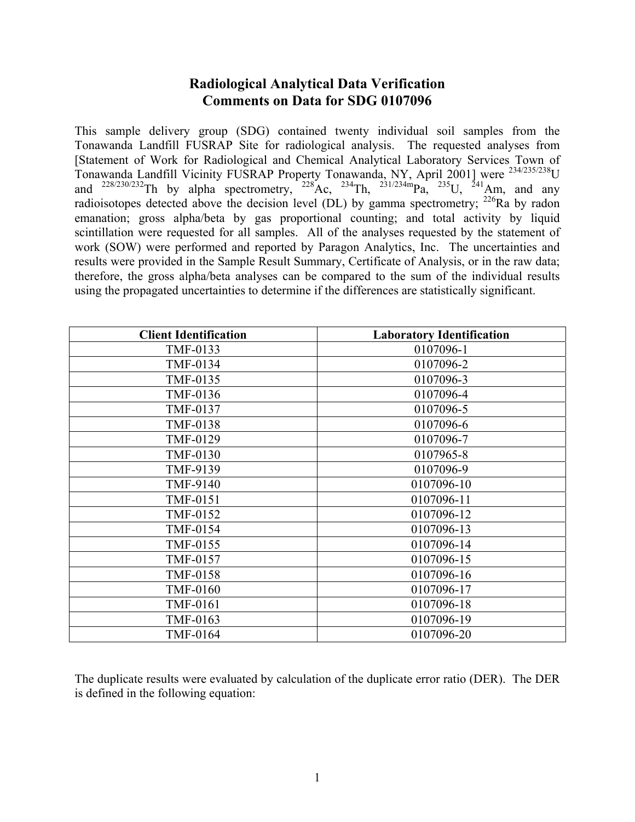# **Radiological Analytical Data Verification Comments on Data for SDG 0107096**

This sample delivery group (SDG) contained twenty individual soil samples from the Tonawanda Landfill FUSRAP Site for radiological analysis. The requested analyses from [Statement of Work for Radiological and Chemical Analytical Laboratory Services Town of Tonawanda Landfill Vicinity FUSRAP Property Tonawanda, NY, April 2001] were 234/235/238U and  $^{228/230/232}$ Th by alpha spectrometry,  $^{228}$ Ac,  $^{234}$ Th,  $^{231/234m}$ Pa,  $^{235}$ U,  $^{241}$ Am, and any radioisotopes detected above the decision level (DL) by gamma spectrometry;  $^{226}$ Ra by radon emanation; gross alpha/beta by gas proportional counting; and total activity by liquid scintillation were requested for all samples. All of the analyses requested by the statement of work (SOW) were performed and reported by Paragon Analytics, Inc. The uncertainties and results were provided in the Sample Result Summary, Certificate of Analysis, or in the raw data; therefore, the gross alpha/beta analyses can be compared to the sum of the individual results using the propagated uncertainties to determine if the differences are statistically significant.

| <b>Client Identification</b> | <b>Laboratory Identification</b> |
|------------------------------|----------------------------------|
| TMF-0133                     | 0107096-1                        |
| TMF-0134                     | 0107096-2                        |
| TMF-0135                     | 0107096-3                        |
| TMF-0136                     | 0107096-4                        |
| TMF-0137                     | 0107096-5                        |
| <b>TMF-0138</b>              | 0107096-6                        |
| TMF-0129                     | 0107096-7                        |
| <b>TMF-0130</b>              | 0107965-8                        |
| TMF-9139                     | 0107096-9                        |
| TMF-9140                     | 0107096-10                       |
| TMF-0151                     | 0107096-11                       |
| TMF-0152                     | 0107096-12                       |
| <b>TMF-0154</b>              | 0107096-13                       |
| TMF-0155                     | 0107096-14                       |
| TMF-0157                     | 0107096-15                       |
| <b>TMF-0158</b>              | 0107096-16                       |
| <b>TMF-0160</b>              | 0107096-17                       |
| TMF-0161                     | 0107096-18                       |
| TMF-0163                     | 0107096-19                       |
| TMF-0164                     | 0107096-20                       |

The duplicate results were evaluated by calculation of the duplicate error ratio (DER). The DER is defined in the following equation: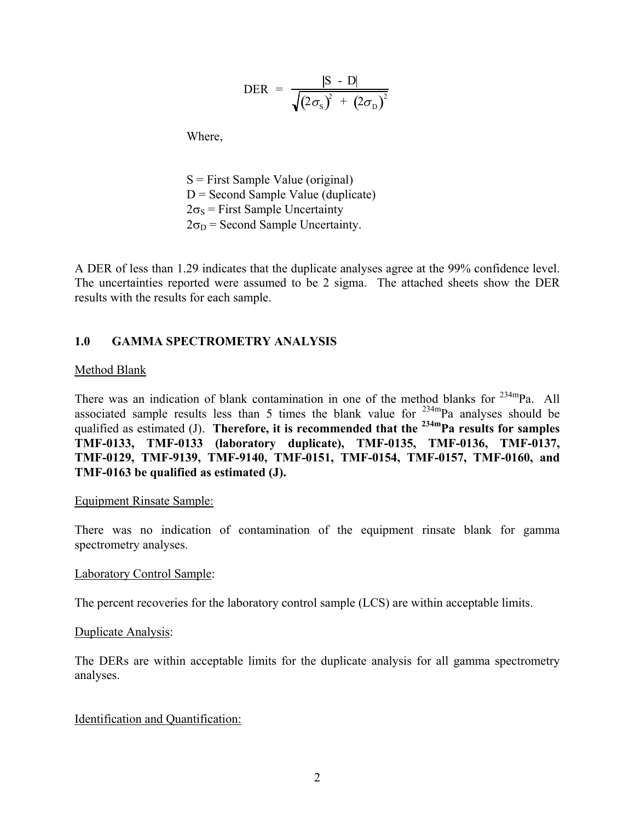$$
\text{DER} = \frac{|\text{S} - \text{D}|}{\sqrt{(2\sigma_{\text{S}})^{2} + (2\sigma_{\text{D}})^{2}}}
$$

Where,

 $S =$  First Sample Value (original)  $D =$  Second Sample Value (duplicate)  $2\sigma_s$  = First Sample Uncertainty  $2\sigma_D$  = Second Sample Uncertainty.

A DER of less than 1.29 indicates that the duplicate analyses agree at the 99% confidence level. The uncertainties reported were assumed to be 2 sigma. The attached sheets show the DER results with the results for each sample.

#### **1.0 GAMMA SPECTROMETRY ANALYSIS**

#### Method Blank

There was an indication of blank contamination in one of the method blanks for  $^{234m}$ Pa. All associated sample results less than 5 times the blank value for  $234 \text{ mPa}$  analyses should be qualified as estimated (J). **Therefore, it is recommended that the <sup>234m</sup>Pa results for samples TMF-0133, TMF-0133 (laboratory duplicate), TMF-0135, TMF-0136, TMF-0137, TMF-0129, TMF-9139, TMF-9140, TMF-0151, TMF-0154, TMF-0157, TMF-0160, and TMF-0163 be qualified as estimated (J).** 

#### Equipment Rinsate Sample:

There was no indication of contamination of the equipment rinsate blank for gamma spectrometry analyses.

#### Laboratory Control Sample:

The percent recoveries for the laboratory control sample (LCS) are within acceptable limits.

#### Duplicate Analysis:

The DERs are within acceptable limits for the duplicate analysis for all gamma spectrometry analyses.

#### Identification and Quantification: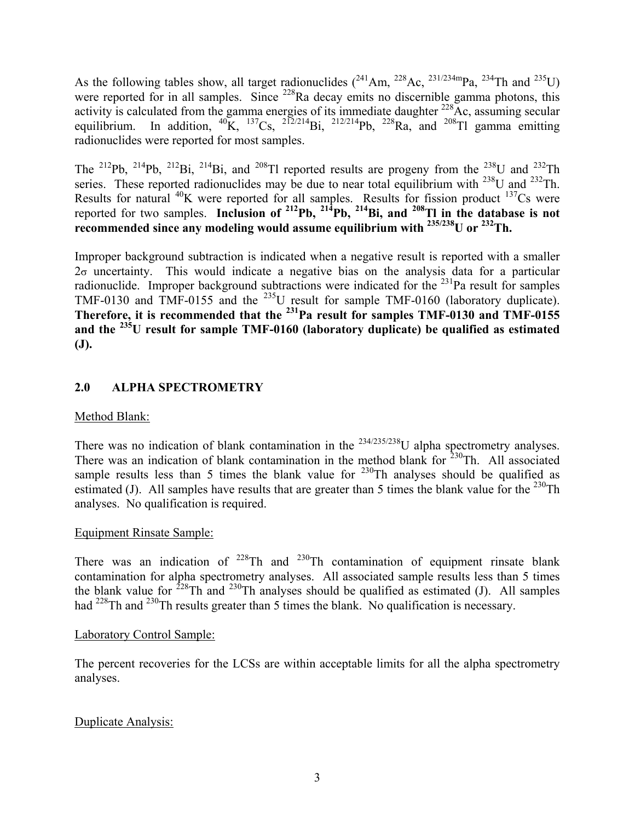As the following tables show, all target radionuclides  $(^{241}Am, ^{228}Ac, ^{231/234m}Pa, ^{234}Th$  and  $^{235}U)$ were reported for in all samples. Since <sup>228</sup>Ra decay emits no discernible gamma photons, this activity is calculated from the gamma energies of its immediate daughter  $^{228}$ Ac, assuming secular equilibrium. In addition,  ${}^{40}\text{K}$ ,  ${}^{137}\text{Cs}$ ,  ${}^{212/214}\text{Bi}$ ,  ${}^{212/214}\text{Pb}$ ,  ${}^{228}\text{Ra}$ , and  ${}^{208}\text{T}$  gamma emitting radionuclides were reported for most samples.

The <sup>212</sup>Pb, <sup>214</sup>Pb, <sup>212</sup>Bi, <sup>214</sup>Bi, and <sup>208</sup>Tl reported results are progeny from the <sup>238</sup>U and <sup>232</sup>Th series. These reported radionuclides may be due to near total equilibrium with  $^{238}$ U and  $^{232}$ Th. Results for natural  $^{40}$ K were reported for all samples. Results for fission product  $^{137}$ Cs were reported for two samples. **Inclusion of 212Pb, 214Pb, 214Bi, and 208Tl in the database is not recommended since any modeling would assume equilibrium with 235/238U or 232Th.** 

Improper background subtraction is indicated when a negative result is reported with a smaller  $2\sigma$  uncertainty. This would indicate a negative bias on the analysis data for a particular radionuclide. Improper background subtractions were indicated for the  $^{231}$ Pa result for samples TMF-0130 and TMF-0155 and the  $^{235}$ U result for sample TMF-0160 (laboratory duplicate). **Therefore, it is recommended that the 231Pa result for samples TMF-0130 and TMF-0155 and the 235U result for sample TMF-0160 (laboratory duplicate) be qualified as estimated (J).**

# **2.0 ALPHA SPECTROMETRY**

# Method Blank:

There was no indication of blank contamination in the  $^{234/235/238}$ U alpha spectrometry analyses. There was an indication of blank contamination in the method blank for  $230$ Th. All associated sample results less than 5 times the blank value for  $230$ Th analyses should be qualified as estimated (J). All samples have results that are greater than 5 times the blank value for the  $^{230}$ Th analyses. No qualification is required.

### Equipment Rinsate Sample:

There was an indication of  $2^{28}$ Th and  $2^{30}$ Th contamination of equipment rinsate blank contamination for alpha spectrometry analyses. All associated sample results less than 5 times the blank value for  $228$ Th and  $230$ Th analyses should be qualified as estimated (J). All samples had <sup>228</sup>Th and <sup>230</sup>Th results greater than 5 times the blank. No qualification is necessary.

### Laboratory Control Sample:

The percent recoveries for the LCSs are within acceptable limits for all the alpha spectrometry analyses.

### Duplicate Analysis: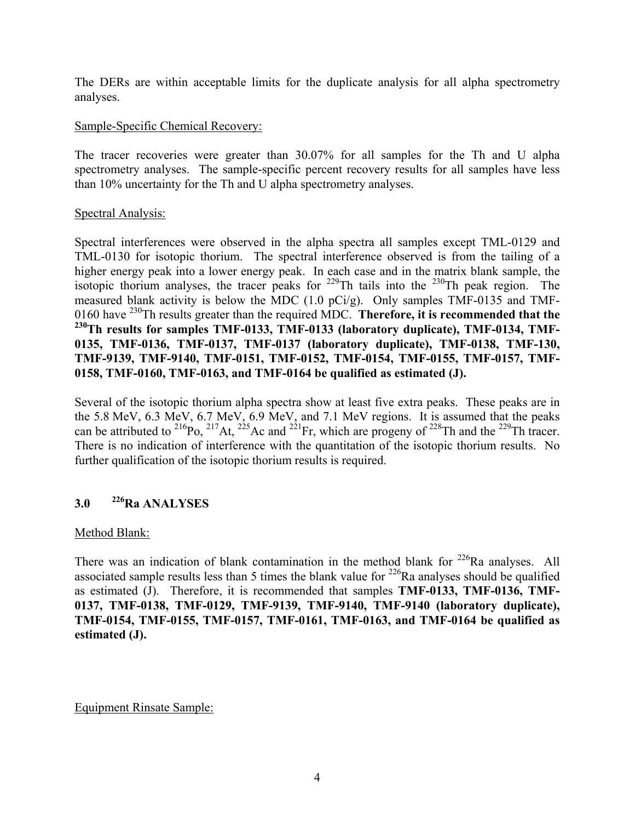The DERs are within acceptable limits for the duplicate analysis for all alpha spectrometry analyses.

#### Sample-Specific Chemical Recovery:

The tracer recoveries were greater than 30.07% for all samples for the Th and U alpha spectrometry analyses. The sample-specific percent recovery results for all samples have less than 10% uncertainty for the Th and U alpha spectrometry analyses.

#### Spectral Analysis:

Spectral interferences were observed in the alpha spectra all samples except TML-0129 and TML-0130 for isotopic thorium. The spectral interference observed is from the tailing of a higher energy peak into a lower energy peak. In each case and in the matrix blank sample, the isotopic thorium analyses, the tracer peaks for  $229$ Th tails into the  $230$ Th peak region. The measured blank activity is below the MDC (1.0 pCi/g). Only samples TMF-0135 and TMF-0160 have 230Th results greater than the required MDC. **Therefore, it is recommended that the**  <sup>230</sup>Th results for samples TMF-0133, TMF-0133 (laboratory duplicate), TMF-0134, TMF-**0135, TMF-0136, TMF-0137, TMF-0137 (laboratory duplicate), TMF-0138, TMF-130, TMF-9139, TMF-9140, TMF-0151, TMF-0152, TMF-0154, TMF-0155, TMF-0157, TMF-0158, TMF-0160, TMF-0163, and TMF-0164 be qualified as estimated (J).**

Several of the isotopic thorium alpha spectra show at least five extra peaks. These peaks are in the 5.8 MeV, 6.3 MeV, 6.7 MeV, 6.9 MeV, and 7.1 MeV regions. It is assumed that the peaks can be attributed to <sup>216</sup>Po, <sup>217</sup>At, <sup>225</sup>Ac and <sup>221</sup>Fr, which are progeny of <sup>228</sup>Th and the <sup>229</sup>Th tracer. There is no indication of interference with the quantitation of the isotopic thorium results. No further qualification of the isotopic thorium results is required.

# **3.0 226Ra ANALYSES**

### Method Blank:

There was an indication of blank contamination in the method blank for  $^{226}$ Ra analyses. All associated sample results less than 5 times the blank value for  $^{226}$ Ra analyses should be qualified as estimated (J). Therefore, it is recommended that samples **TMF-0133, TMF-0136, TMF-0137, TMF-0138, TMF-0129, TMF-9139, TMF-9140, TMF-9140 (laboratory duplicate), TMF-0154, TMF-0155, TMF-0157, TMF-0161, TMF-0163, and TMF-0164 be qualified as estimated (J).**

Equipment Rinsate Sample: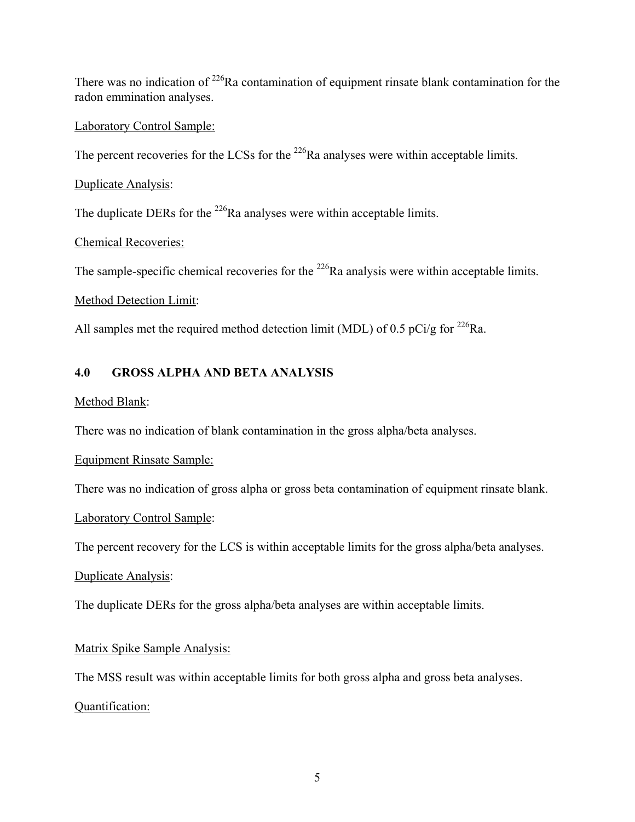There was no indication of  $2^{26}$ Ra contamination of equipment rinsate blank contamination for the radon emmination analyses.

#### Laboratory Control Sample:

The percent recoveries for the LCSs for the  $^{226}$ Ra analyses were within acceptable limits.

Duplicate Analysis:

The duplicate DERs for the <sup>226</sup>Ra analyses were within acceptable limits.

Chemical Recoveries:

The sample-specific chemical recoveries for the  $^{226}$ Ra analysis were within acceptable limits.

#### Method Detection Limit:

All samples met the required method detection limit (MDL) of 0.5 pCi/g for <sup>226</sup>Ra.

# **4.0 GROSS ALPHA AND BETA ANALYSIS**

#### Method Blank:

There was no indication of blank contamination in the gross alpha/beta analyses.

### Equipment Rinsate Sample:

There was no indication of gross alpha or gross beta contamination of equipment rinsate blank.

### Laboratory Control Sample:

The percent recovery for the LCS is within acceptable limits for the gross alpha/beta analyses.

### Duplicate Analysis:

The duplicate DERs for the gross alpha/beta analyses are within acceptable limits.

### Matrix Spike Sample Analysis:

The MSS result was within acceptable limits for both gross alpha and gross beta analyses.

### Quantification: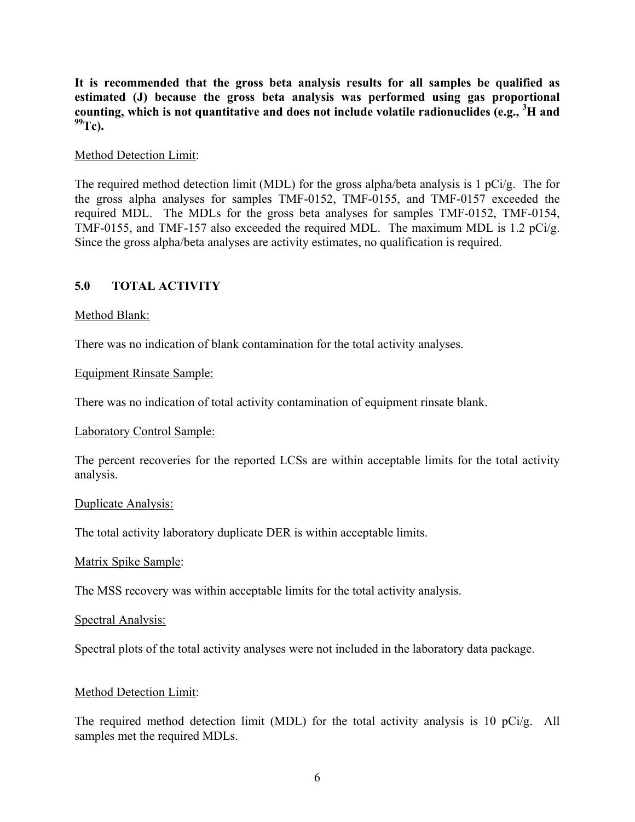**It is recommended that the gross beta analysis results for all samples be qualified as estimated (J) because the gross beta analysis was performed using gas proportional counting, which is not quantitative and does not include volatile radionuclides (e.g., <sup>3</sup> H and**   $^{99}$ Tc).

#### Method Detection Limit:

The required method detection limit (MDL) for the gross alpha/beta analysis is 1 pCi/g. The for the gross alpha analyses for samples TMF-0152, TMF-0155, and TMF-0157 exceeded the required MDL. The MDLs for the gross beta analyses for samples TMF-0152, TMF-0154, TMF-0155, and TMF-157 also exceeded the required MDL. The maximum MDL is 1.2 pCi/g. Since the gross alpha/beta analyses are activity estimates, no qualification is required.

### **5.0 TOTAL ACTIVITY**

#### Method Blank:

There was no indication of blank contamination for the total activity analyses.

#### Equipment Rinsate Sample:

There was no indication of total activity contamination of equipment rinsate blank.

#### Laboratory Control Sample:

The percent recoveries for the reported LCSs are within acceptable limits for the total activity analysis.

#### Duplicate Analysis:

The total activity laboratory duplicate DER is within acceptable limits.

#### Matrix Spike Sample:

The MSS recovery was within acceptable limits for the total activity analysis.

#### Spectral Analysis:

Spectral plots of the total activity analyses were not included in the laboratory data package.

#### Method Detection Limit:

The required method detection limit (MDL) for the total activity analysis is 10 pCi/g. All samples met the required MDLs.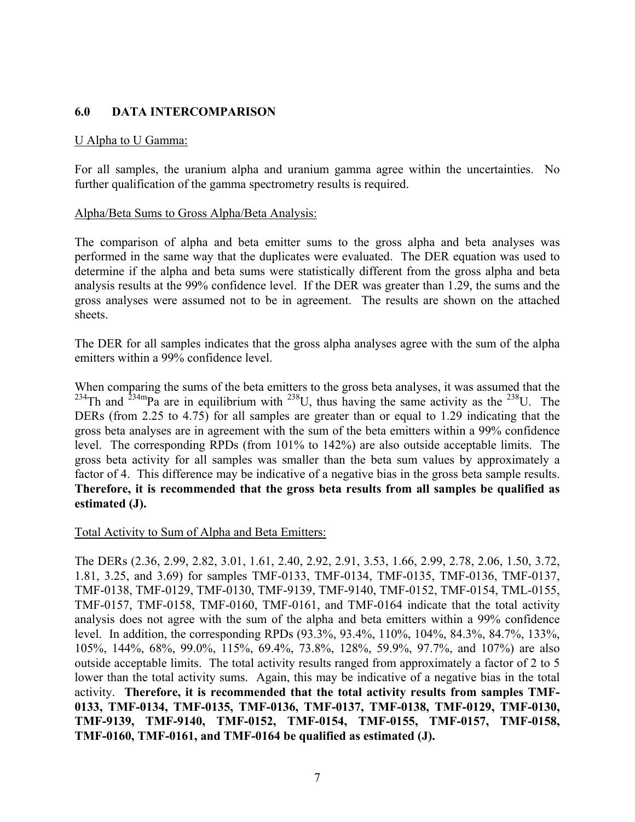#### **6.0 DATA INTERCOMPARISON**

#### U Alpha to U Gamma:

For all samples, the uranium alpha and uranium gamma agree within the uncertainties. No further qualification of the gamma spectrometry results is required.

#### Alpha/Beta Sums to Gross Alpha/Beta Analysis:

The comparison of alpha and beta emitter sums to the gross alpha and beta analyses was performed in the same way that the duplicates were evaluated. The DER equation was used to determine if the alpha and beta sums were statistically different from the gross alpha and beta analysis results at the 99% confidence level. If the DER was greater than 1.29, the sums and the gross analyses were assumed not to be in agreement. The results are shown on the attached sheets.

The DER for all samples indicates that the gross alpha analyses agree with the sum of the alpha emitters within a 99% confidence level.

When comparing the sums of the beta emitters to the gross beta analyses, it was assumed that the <sup>234</sup>Th and <sup>234m</sup>Pa are in equilibrium with <sup>238</sup>U, thus having the same activity as the <sup>238</sup>U. The DERs (from 2.25 to 4.75) for all samples are greater than or equal to 1.29 indicating that the gross beta analyses are in agreement with the sum of the beta emitters within a 99% confidence level. The corresponding RPDs (from 101% to 142%) are also outside acceptable limits. The gross beta activity for all samples was smaller than the beta sum values by approximately a factor of 4. This difference may be indicative of a negative bias in the gross beta sample results. **Therefore, it is recommended that the gross beta results from all samples be qualified as estimated (J).** 

#### Total Activity to Sum of Alpha and Beta Emitters:

The DERs (2.36, 2.99, 2.82, 3.01, 1.61, 2.40, 2.92, 2.91, 3.53, 1.66, 2.99, 2.78, 2.06, 1.50, 3.72, 1.81, 3.25, and 3.69) for samples TMF-0133, TMF-0134, TMF-0135, TMF-0136, TMF-0137, TMF-0138, TMF-0129, TMF-0130, TMF-9139, TMF-9140, TMF-0152, TMF-0154, TML-0155, TMF-0157, TMF-0158, TMF-0160, TMF-0161, and TMF-0164 indicate that the total activity analysis does not agree with the sum of the alpha and beta emitters within a 99% confidence level. In addition, the corresponding RPDs (93.3%, 93.4%, 110%, 104%, 84.3%, 84.7%, 133%, 105%, 144%, 68%, 99.0%, 115%, 69.4%, 73.8%, 128%, 59.9%, 97.7%, and 107%) are also outside acceptable limits. The total activity results ranged from approximately a factor of 2 to 5 lower than the total activity sums. Again, this may be indicative of a negative bias in the total activity. **Therefore, it is recommended that the total activity results from samples TMF-0133, TMF-0134, TMF-0135, TMF-0136, TMF-0137, TMF-0138, TMF-0129, TMF-0130, TMF-9139, TMF-9140, TMF-0152, TMF-0154, TMF-0155, TMF-0157, TMF-0158, TMF-0160, TMF-0161, and TMF-0164 be qualified as estimated (J).**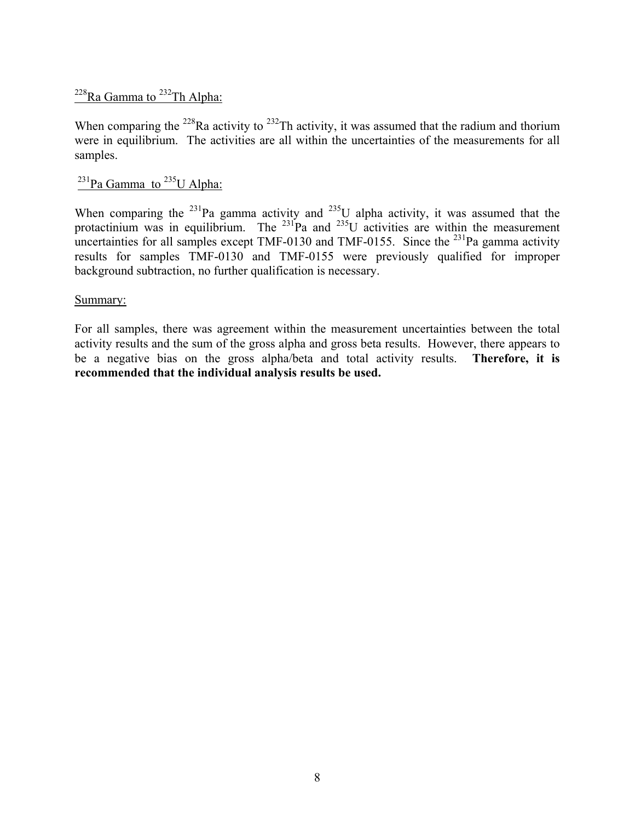# <sup>228</sup>Ra Gamma to <sup>232</sup>Th Alpha:

When comparing the  $^{228}$ Ra activity to  $^{232}$ Th activity, it was assumed that the radium and thorium were in equilibrium. The activities are all within the uncertainties of the measurements for all samples.

# $231$ Pa Gamma to  $235$ U Alpha:

When comparing the <sup>231</sup>Pa gamma activity and <sup>235</sup>U alpha activity, it was assumed that the protactinium was in equilibrium. The  $^{231}$ Pa and  $^{235}$ U activities are within the measurement uncertainties for all samples except TMF-0130 and TMF-0155. Since the  $^{231}$ Pa gamma activity results for samples TMF-0130 and TMF-0155 were previously qualified for improper background subtraction, no further qualification is necessary.

#### Summary:

For all samples, there was agreement within the measurement uncertainties between the total activity results and the sum of the gross alpha and gross beta results. However, there appears to be a negative bias on the gross alpha/beta and total activity results. **Therefore, it is recommended that the individual analysis results be used.**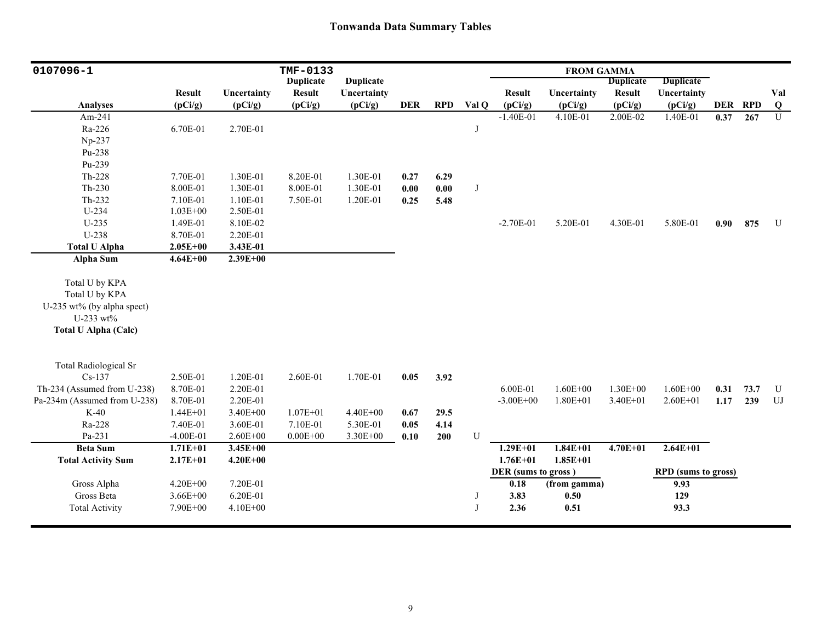| 0107096-1                    |               |              | TMF-0133         |                  |            |            |              |                     | <b>FROM GAMMA</b> |                  |                            |            |            |              |
|------------------------------|---------------|--------------|------------------|------------------|------------|------------|--------------|---------------------|-------------------|------------------|----------------------------|------------|------------|--------------|
|                              |               |              | <b>Duplicate</b> | <b>Duplicate</b> |            |            |              |                     |                   | <b>Duplicate</b> | <b>Duplicate</b>           |            |            |              |
|                              | <b>Result</b> | Uncertainty  | <b>Result</b>    | Uncertainty      |            |            |              | <b>Result</b>       | Uncertainty       | <b>Result</b>    | Uncertainty                |            |            | Val          |
| <b>Analyses</b>              | (pCi/g)       | (pCi/g)      | (pCi/g)          | (pCi/g)          | <b>DER</b> | <b>RPD</b> | Val Q        | (pCi/g)             | (pCi/g)           | (pCi/g)          | (pCi/g)                    | <b>DER</b> | <b>RPD</b> | $\mathbf{Q}$ |
| Am-241                       |               |              |                  |                  |            |            |              | $-1.40E-01$         | 4.10E-01          | 2.00E-02         | 1.40E-01                   | 0.37       | 267        | U            |
| Ra-226                       | 6.70E-01      | 2.70E-01     |                  |                  |            |            | J            |                     |                   |                  |                            |            |            |              |
| Np-237                       |               |              |                  |                  |            |            |              |                     |                   |                  |                            |            |            |              |
| Pu-238                       |               |              |                  |                  |            |            |              |                     |                   |                  |                            |            |            |              |
| Pu-239                       |               |              |                  |                  |            |            |              |                     |                   |                  |                            |            |            |              |
| Th-228                       | 7.70E-01      | 1.30E-01     | 8.20E-01         | 1.30E-01         | 0.27       | 6.29       |              |                     |                   |                  |                            |            |            |              |
| Th-230                       | 8.00E-01      | 1.30E-01     | 8.00E-01         | 1.30E-01         | 0.00       | 0.00       | J            |                     |                   |                  |                            |            |            |              |
| Th-232                       | 7.10E-01      | 1.10E-01     | 7.50E-01         | 1.20E-01         | 0.25       | 5.48       |              |                     |                   |                  |                            |            |            |              |
| U-234                        | $1.03E + 00$  | 2.50E-01     |                  |                  |            |            |              |                     |                   |                  |                            |            |            |              |
| $U-235$                      | 1.49E-01      | 8.10E-02     |                  |                  |            |            |              | $-2.70E-01$         | 5.20E-01          | 4.30E-01         | 5.80E-01                   | 0.90       | 875        | U            |
| U-238                        | 8.70E-01      | 2.20E-01     |                  |                  |            |            |              |                     |                   |                  |                            |            |            |              |
| <b>Total U Alpha</b>         | $2.05E + 00$  | 3.43E-01     |                  |                  |            |            |              |                     |                   |                  |                            |            |            |              |
| Alpha Sum                    | $4.64E + 00$  | $2.39E + 00$ |                  |                  |            |            |              |                     |                   |                  |                            |            |            |              |
| Total U by KPA               |               |              |                  |                  |            |            |              |                     |                   |                  |                            |            |            |              |
| Total U by KPA               |               |              |                  |                  |            |            |              |                     |                   |                  |                            |            |            |              |
| U-235 wt% (by alpha spect)   |               |              |                  |                  |            |            |              |                     |                   |                  |                            |            |            |              |
| U-233 wt%                    |               |              |                  |                  |            |            |              |                     |                   |                  |                            |            |            |              |
| <b>Total U Alpha (Calc)</b>  |               |              |                  |                  |            |            |              |                     |                   |                  |                            |            |            |              |
|                              |               |              |                  |                  |            |            |              |                     |                   |                  |                            |            |            |              |
|                              |               |              |                  |                  |            |            |              |                     |                   |                  |                            |            |            |              |
| <b>Total Radiological Sr</b> |               |              |                  |                  |            |            |              |                     |                   |                  |                            |            |            |              |
| $Cs-137$                     | 2.50E-01      | 1.20E-01     | 2.60E-01         | 1.70E-01         | 0.05       | 3.92       |              |                     |                   |                  |                            |            |            |              |
| Th-234 (Assumed from U-238)  | 8.70E-01      | 2.20E-01     |                  |                  |            |            |              | 6.00E-01            | $1.60E + 00$      | $1.30E + 00$     | $1.60E + 00$               | 0.31       | 73.7       | U            |
| Pa-234m (Assumed from U-238) | 8.70E-01      | 2.20E-01     |                  |                  |            |            |              | $-3.00E + 00$       | $1.80E + 01$      | $3.40E + 01$     | $2.60E + 01$               | 1.17       | 239        | UJ           |
| $K-40$                       | $1.44E + 01$  | 3.40E+00     | $1.07E + 01$     | 4.40E+00         | 0.67       | 29.5       |              |                     |                   |                  |                            |            |            |              |
| Ra-228                       | 7.40E-01      | 3.60E-01     | 7.10E-01         | 5.30E-01         | 0.05       | 4.14       |              |                     |                   |                  |                            |            |            |              |
| Pa-231                       | $-4.00E-01$   | $2.60E + 00$ | $0.00E + 00$     | 3.30E+00         | 0.10       | 200        | ${\bf U}$    |                     |                   |                  |                            |            |            |              |
| <b>Beta Sum</b>              | $1.71E + 01$  | $3.45E + 00$ |                  |                  |            |            |              | $1.29E + 01$        | $1.84E + 01$      | $4.70E + 01$     | $2.64E+01$                 |            |            |              |
| <b>Total Activity Sum</b>    | $2.17E + 01$  | $4.20E + 00$ |                  |                  |            |            |              | $1.76E + 01$        | $1.85E + 01$      |                  |                            |            |            |              |
|                              |               |              |                  |                  |            |            |              | DER (sums to gross) |                   |                  | <b>RPD</b> (sums to gross) |            |            |              |
| Gross Alpha                  | $4.20E + 00$  | 7.20E-01     |                  |                  |            |            |              | 0.18                | (from gamma)      |                  | 9.93                       |            |            |              |
| Gross Beta                   | $3.66E + 00$  | 6.20E-01     |                  |                  |            |            | J            | 3.83                | 0.50              |                  | 129                        |            |            |              |
| <b>Total Activity</b>        | 7.90E+00      | 4.10E+00     |                  |                  |            |            | $\mathbf{J}$ | 2.36                | 0.51              |                  | 93.3                       |            |            |              |
|                              |               |              |                  |                  |            |            |              |                     |                   |                  |                            |            |            |              |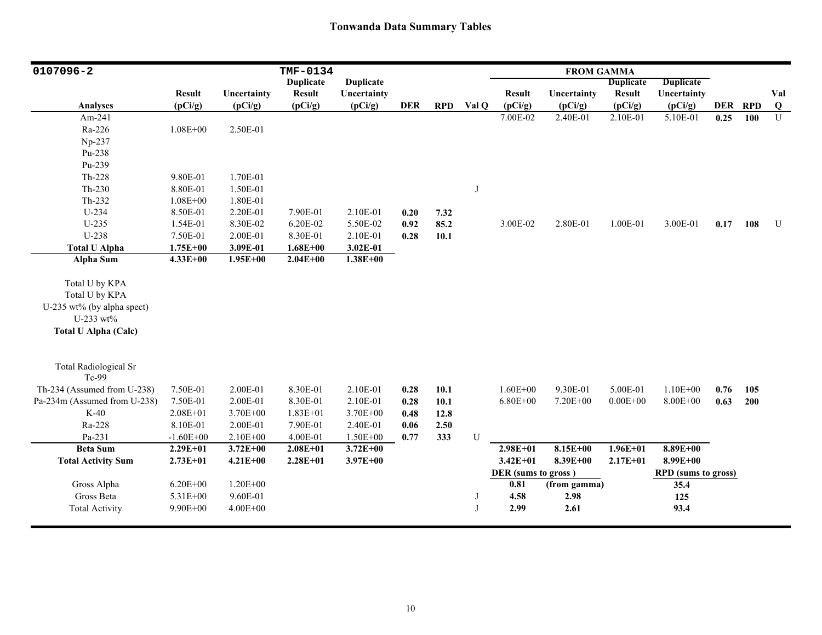| 0107096-2                                                                                                  |               |              | TMF-0134         |                  |            |            |       |                     | <b>FROM GAMMA</b> |                  |                            |         |     |                         |
|------------------------------------------------------------------------------------------------------------|---------------|--------------|------------------|------------------|------------|------------|-------|---------------------|-------------------|------------------|----------------------------|---------|-----|-------------------------|
|                                                                                                            |               |              | <b>Duplicate</b> | <b>Duplicate</b> |            |            |       |                     |                   | <b>Duplicate</b> | <b>Duplicate</b>           |         |     |                         |
|                                                                                                            | <b>Result</b> | Uncertainty  | <b>Result</b>    | Uncertainty      |            |            |       | <b>Result</b>       | Uncertainty       | <b>Result</b>    | Uncertainty                |         |     | Val                     |
| <b>Analyses</b>                                                                                            | (pCi/g)       | (pCi/g)      | (pCi/g)          | (pCi/g)          | <b>DER</b> | <b>RPD</b> | Val Q | (pCi/g)             | (pCi/g)           | (pCi/g)          | (pCi/g)                    | DER RPD |     | $\overline{\mathbf{Q}}$ |
| Am-241                                                                                                     |               |              |                  |                  |            |            |       | 7.00E-02            | 2.40E-01          | 2.10E-01         | 5.10E-01                   | 0.25    | 100 | $\overline{U}$          |
| Ra-226                                                                                                     | $1.08E + 00$  | 2.50E-01     |                  |                  |            |            |       |                     |                   |                  |                            |         |     |                         |
| Np-237                                                                                                     |               |              |                  |                  |            |            |       |                     |                   |                  |                            |         |     |                         |
| Pu-238                                                                                                     |               |              |                  |                  |            |            |       |                     |                   |                  |                            |         |     |                         |
| Pu-239                                                                                                     |               |              |                  |                  |            |            |       |                     |                   |                  |                            |         |     |                         |
| Th-228                                                                                                     | 9.80E-01      | 1.70E-01     |                  |                  |            |            |       |                     |                   |                  |                            |         |     |                         |
| $Th-230$                                                                                                   | 8.80E-01      | 1.50E-01     |                  |                  |            |            | J     |                     |                   |                  |                            |         |     |                         |
| $Th-232$                                                                                                   | $1.08E + 00$  | 1.80E-01     |                  |                  |            |            |       |                     |                   |                  |                            |         |     |                         |
| $U-234$                                                                                                    | 8.50E-01      | 2.20E-01     | 7.90E-01         | 2.10E-01         | 0.20       | 7.32       |       |                     |                   |                  |                            |         |     |                         |
| $U-235$                                                                                                    | 1.54E-01      | 8.30E-02     | 6.20E-02         | 5.50E-02         | 0.92       | 85.2       |       | 3.00E-02            | 2.80E-01          | 1.00E-01         | 3.00E-01                   | 0.17    | 108 | U                       |
| U-238                                                                                                      | 7.50E-01      | 2.00E-01     | 8.30E-01         | 2.10E-01         | 0.28       | 10.1       |       |                     |                   |                  |                            |         |     |                         |
| <b>Total U Alpha</b>                                                                                       | $1.75E + 00$  | 3.09E-01     | $1.68E + 00$     | 3.02E-01         |            |            |       |                     |                   |                  |                            |         |     |                         |
| Alpha Sum                                                                                                  | $4.33E + 00$  | $1.95E + 00$ | $2.04E + 00$     | $1.38E + 00$     |            |            |       |                     |                   |                  |                            |         |     |                         |
| Total U by KPA<br>Total U by KPA<br>U-235 wt% (by alpha spect)<br>U-233 wt%<br><b>Total U Alpha (Calc)</b> |               |              |                  |                  |            |            |       |                     |                   |                  |                            |         |     |                         |
| <b>Total Radiological Sr</b><br>Tc-99                                                                      |               |              |                  |                  |            |            |       |                     |                   |                  |                            |         |     |                         |
| Th-234 (Assumed from U-238)                                                                                | 7.50E-01      | 2.00E-01     | 8.30E-01         | 2.10E-01         | 0.28       | 10.1       |       | $1.60E + 00$        | 9.30E-01          | 5.00E-01         | $1.10E + 00$               | 0.76    | 105 |                         |
| Pa-234m (Assumed from U-238)                                                                               | 7.50E-01      | 2.00E-01     | 8.30E-01         | 2.10E-01         | 0.28       | 10.1       |       | $6.80E + 00$        | 7.20E+00          | $0.00E + 00$     | 8.00E+00                   | 0.63    | 200 |                         |
| $K-40$                                                                                                     | $2.08E + 01$  | $3.70E + 00$ | $1.83E + 01$     | 3.70E+00         | 0.48       | 12.8       |       |                     |                   |                  |                            |         |     |                         |
| Ra-228                                                                                                     | 8.10E-01      | 2.00E-01     | 7.90E-01         | 2.40E-01         | 0.06       | 2.50       |       |                     |                   |                  |                            |         |     |                         |
| Pa-231                                                                                                     | $-1.60E + 00$ | 2.10E+00     | 4.00E-01         | $1.50E + 00$     | 0.77       | 333        | U     |                     |                   |                  |                            |         |     |                         |
| <b>Beta Sum</b>                                                                                            | $2.29E + 01$  | $3.72E + 00$ | $2.08E + 01$     | $3.72E + 00$     |            |            |       | $2.98E + 01$        | $8.15E+00$        | $1.96E + 01$     | $8.89E + 00$               |         |     |                         |
| <b>Total Activity Sum</b>                                                                                  | $2.73E + 01$  | $4.21E + 00$ | $2.28E + 01$     | $3.97E + 00$     |            |            |       | $3.42E + 01$        | 8.39E+00          | $2.17E + 01$     | $8.99E + 00$               |         |     |                         |
|                                                                                                            |               |              |                  |                  |            |            |       | DER (sums to gross) |                   |                  | <b>RPD</b> (sums to gross) |         |     |                         |
| Gross Alpha                                                                                                | $6.20E + 00$  | $1.20E + 00$ |                  |                  |            |            |       | $\overline{0.81}$   | (from gamma)      |                  | 35.4                       |         |     |                         |
| Gross Beta                                                                                                 | 5.31E+00      | 9.60E-01     |                  |                  |            |            | J     | 4.58                | 2.98              |                  | 125                        |         |     |                         |
| <b>Total Activity</b>                                                                                      | $9.90E + 00$  | $4.00E + 00$ |                  |                  |            |            | J     | 2.99                | 2.61              |                  | 93.4                       |         |     |                         |
|                                                                                                            |               |              |                  |                  |            |            |       |                     |                   |                  |                            |         |     |                         |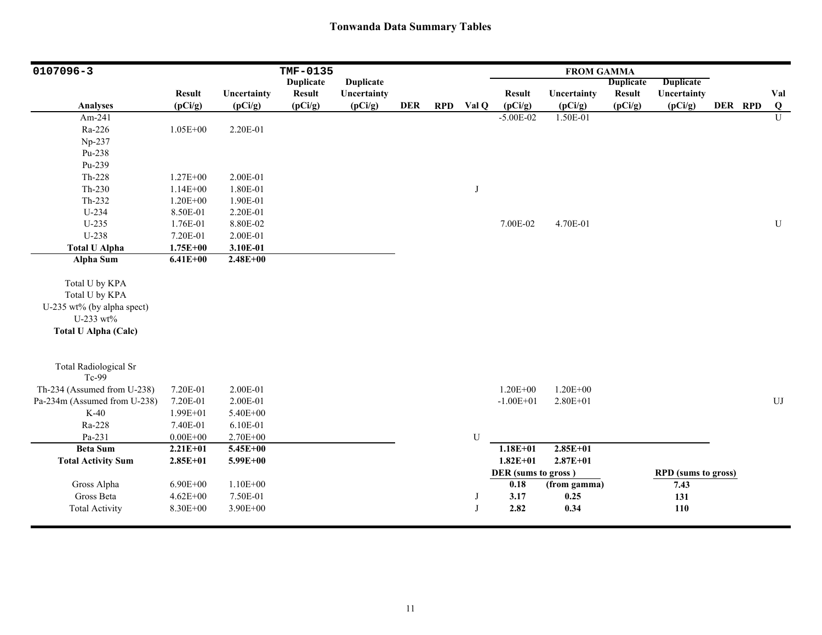| 0107096-3                                                                                                  |                                          |                                      | TMF-0135         |                  |            |            |        |                                             | <b>FROM GAMMA</b>            |                  |                                                  |         |                |
|------------------------------------------------------------------------------------------------------------|------------------------------------------|--------------------------------------|------------------|------------------|------------|------------|--------|---------------------------------------------|------------------------------|------------------|--------------------------------------------------|---------|----------------|
|                                                                                                            |                                          |                                      | <b>Duplicate</b> | <b>Duplicate</b> |            |            |        |                                             |                              | <b>Duplicate</b> | <b>Duplicate</b>                                 |         |                |
|                                                                                                            | <b>Result</b>                            | Uncertainty                          | <b>Result</b>    | Uncertainty      |            |            |        | <b>Result</b>                               | Uncertainty                  | <b>Result</b>    | Uncertainty                                      |         | Val            |
| Analyses                                                                                                   | (pCi/g)                                  | (pCi/g)                              | (pCi/g)          | (pCi/g)          | <b>DER</b> | <b>RPD</b> | Val Q  | (pCi/g)                                     | (pCi/g)                      | (pCi/g)          | (pCi/g)                                          | DER RPD | $\bf Q$        |
| Am-241                                                                                                     |                                          |                                      |                  |                  |            |            |        | $-5.00E-02$                                 | 1.50E-01                     |                  |                                                  |         | $\overline{U}$ |
| Ra-226                                                                                                     | 1.05E+00                                 | 2.20E-01                             |                  |                  |            |            |        |                                             |                              |                  |                                                  |         |                |
| Np-237                                                                                                     |                                          |                                      |                  |                  |            |            |        |                                             |                              |                  |                                                  |         |                |
| Pu-238                                                                                                     |                                          |                                      |                  |                  |            |            |        |                                             |                              |                  |                                                  |         |                |
| Pu-239                                                                                                     |                                          |                                      |                  |                  |            |            |        |                                             |                              |                  |                                                  |         |                |
| Th-228                                                                                                     | $1.27E + 00$                             | 2.00E-01                             |                  |                  |            |            |        |                                             |                              |                  |                                                  |         |                |
| $Th-230$                                                                                                   | $1.14E + 00$                             | 1.80E-01                             |                  |                  |            |            | J      |                                             |                              |                  |                                                  |         |                |
| Th-232                                                                                                     | $1.20E + 00$                             | 1.90E-01                             |                  |                  |            |            |        |                                             |                              |                  |                                                  |         |                |
| U-234                                                                                                      | 8.50E-01                                 | 2.20E-01                             |                  |                  |            |            |        |                                             |                              |                  |                                                  |         |                |
| $U-235$                                                                                                    | 1.76E-01                                 | 8.80E-02                             |                  |                  |            |            |        | 7.00E-02                                    | 4.70E-01                     |                  |                                                  |         | ${\bf U}$      |
| U-238                                                                                                      | 7.20E-01                                 | 2.00E-01                             |                  |                  |            |            |        |                                             |                              |                  |                                                  |         |                |
| <b>Total U Alpha</b>                                                                                       | $1.75E + 00$                             | 3.10E-01                             |                  |                  |            |            |        |                                             |                              |                  |                                                  |         |                |
| Alpha Sum                                                                                                  | $6.41E + 00$                             | $2.48E + 00$                         |                  |                  |            |            |        |                                             |                              |                  |                                                  |         |                |
| Total U by KPA<br>Total U by KPA<br>U-235 wt% (by alpha spect)<br>U-233 wt%<br><b>Total U Alpha (Calc)</b> |                                          |                                      |                  |                  |            |            |        |                                             |                              |                  |                                                  |         |                |
| <b>Total Radiological Sr</b><br>Tc-99                                                                      |                                          |                                      |                  |                  |            |            |        |                                             |                              |                  |                                                  |         |                |
| Th-234 (Assumed from U-238)                                                                                | 7.20E-01                                 | 2.00E-01                             |                  |                  |            |            |        | $1.20E + 00$                                | $1.20E + 00$                 |                  |                                                  |         |                |
| Pa-234m (Assumed from U-238)                                                                               | 7.20E-01                                 | 2.00E-01                             |                  |                  |            |            |        | $-1.00E + 01$                               | $2.80E + 01$                 |                  |                                                  |         | ${\rm UJ}$     |
| $K-40$                                                                                                     | 1.99E+01                                 | 5.40E+00                             |                  |                  |            |            |        |                                             |                              |                  |                                                  |         |                |
| Ra-228                                                                                                     | 7.40E-01                                 | 6.10E-01                             |                  |                  |            |            |        |                                             |                              |                  |                                                  |         |                |
| Pa-231                                                                                                     | $0.00E + 00$                             | 2.70E+00                             |                  |                  |            |            | U      |                                             |                              |                  |                                                  |         |                |
| <b>Beta Sum</b>                                                                                            | $2.21E + 01$                             | 5.45E+00                             |                  |                  |            |            |        | $1.18E + 01$                                | $2.85E+01$                   |                  |                                                  |         |                |
| <b>Total Activity Sum</b>                                                                                  | $2.85E+01$                               | $5.99E + 00$                         |                  |                  |            |            |        | $1.82E + 01$                                | $2.87E + 01$                 |                  |                                                  |         |                |
| Gross Alpha<br>Gross Beta<br><b>Total Activity</b>                                                         | $6.90E + 00$<br>$4.62E + 00$<br>8.30E+00 | $1.10E + 00$<br>7.50E-01<br>3.90E+00 |                  |                  |            |            | J<br>J | DER (sums to gross)<br>0.18<br>3.17<br>2.82 | (from gamma)<br>0.25<br>0.34 |                  | <b>RPD</b> (sums to gross)<br>7.43<br>131<br>110 |         |                |
|                                                                                                            |                                          |                                      |                  |                  |            |            |        |                                             |                              |                  |                                                  |         |                |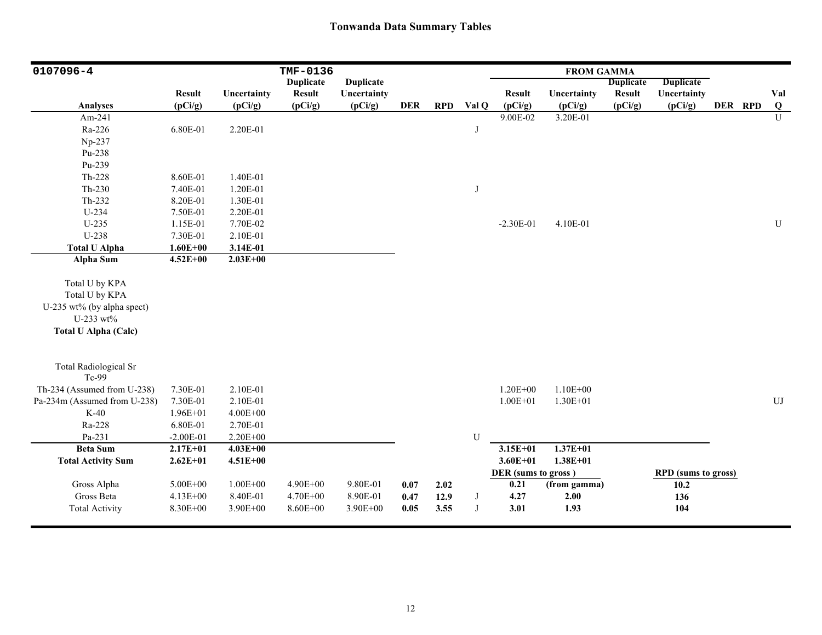| 0107096-4                                                                                                  |               |              | TMF-0136         |                  |            |            |            |                     | <b>FROM GAMMA</b> |                  |                            |         |                |
|------------------------------------------------------------------------------------------------------------|---------------|--------------|------------------|------------------|------------|------------|------------|---------------------|-------------------|------------------|----------------------------|---------|----------------|
|                                                                                                            |               |              | <b>Duplicate</b> | <b>Duplicate</b> |            |            |            |                     |                   | <b>Duplicate</b> | <b>Duplicate</b>           |         |                |
|                                                                                                            | <b>Result</b> | Uncertainty  | <b>Result</b>    | Uncertainty      |            |            |            | <b>Result</b>       | Uncertainty       | <b>Result</b>    | Uncertainty                |         | Val            |
| Analyses                                                                                                   | (pCi/g)       | (pCi/g)      | (pCi/g)          | (pCi/g)          | <b>DER</b> | <b>RPD</b> | Val Q      | (pCi/g)             | (pCi/g)           | (pCi/g)          | (pCi/g)                    | DER RPD | $\bf Q$        |
| Am-241                                                                                                     |               |              |                  |                  |            |            |            | 9.00E-02            | 3.20E-01          |                  |                            |         | $\overline{U}$ |
| Ra-226                                                                                                     | 6.80E-01      | 2.20E-01     |                  |                  |            |            | $\bf J$    |                     |                   |                  |                            |         |                |
| Np-237                                                                                                     |               |              |                  |                  |            |            |            |                     |                   |                  |                            |         |                |
| Pu-238                                                                                                     |               |              |                  |                  |            |            |            |                     |                   |                  |                            |         |                |
| Pu-239                                                                                                     |               |              |                  |                  |            |            |            |                     |                   |                  |                            |         |                |
| Th-228                                                                                                     | 8.60E-01      | 1.40E-01     |                  |                  |            |            |            |                     |                   |                  |                            |         |                |
| $Th-230$                                                                                                   | 7.40E-01      | 1.20E-01     |                  |                  |            |            | J          |                     |                   |                  |                            |         |                |
| Th-232                                                                                                     | 8.20E-01      | 1.30E-01     |                  |                  |            |            |            |                     |                   |                  |                            |         |                |
| $U-234$                                                                                                    | 7.50E-01      | 2.20E-01     |                  |                  |            |            |            |                     |                   |                  |                            |         |                |
| $U-235$                                                                                                    | 1.15E-01      | 7.70E-02     |                  |                  |            |            |            | $-2.30E-01$         | 4.10E-01          |                  |                            |         | ${\bf U}$      |
| U-238                                                                                                      | 7.30E-01      | 2.10E-01     |                  |                  |            |            |            |                     |                   |                  |                            |         |                |
| <b>Total U Alpha</b>                                                                                       | $1.60E + 00$  | 3.14E-01     |                  |                  |            |            |            |                     |                   |                  |                            |         |                |
| Alpha Sum                                                                                                  | $4.52E + 00$  | $2.03E + 00$ |                  |                  |            |            |            |                     |                   |                  |                            |         |                |
| Total U by KPA<br>Total U by KPA<br>U-235 wt% (by alpha spect)<br>U-233 wt%<br><b>Total U Alpha (Calc)</b> |               |              |                  |                  |            |            |            |                     |                   |                  |                            |         |                |
| <b>Total Radiological Sr</b><br>Tc-99                                                                      |               |              |                  |                  |            |            |            |                     |                   |                  |                            |         |                |
| Th-234 (Assumed from U-238)                                                                                | 7.30E-01      | 2.10E-01     |                  |                  |            |            |            | $1.20E + 00$        | $1.10E + 00$      |                  |                            |         |                |
| Pa-234m (Assumed from U-238)                                                                               | 7.30E-01      | 2.10E-01     |                  |                  |            |            |            | $1.00E + 01$        | $1.30E + 01$      |                  |                            |         | UJ             |
| $K-40$                                                                                                     | 1.96E+01      | $4.00E + 00$ |                  |                  |            |            |            |                     |                   |                  |                            |         |                |
| Ra-228                                                                                                     | 6.80E-01      | 2.70E-01     |                  |                  |            |            |            |                     |                   |                  |                            |         |                |
| Pa-231                                                                                                     | $-2.00E-01$   | 2.20E+00     |                  |                  |            |            | U          |                     |                   |                  |                            |         |                |
| <b>Beta Sum</b>                                                                                            | $2.17E + 01$  | $4.03E + 00$ |                  |                  |            |            |            | $3.15E + 01$        | $1.37E + 01$      |                  |                            |         |                |
| <b>Total Activity Sum</b>                                                                                  | $2.62E + 01$  | $4.51E + 00$ |                  |                  |            |            |            | $3.60E + 01$        | $1.38E + 01$      |                  |                            |         |                |
|                                                                                                            |               |              |                  |                  |            |            |            | DER (sums to gross) |                   |                  | <b>RPD</b> (sums to gross) |         |                |
| Gross Alpha                                                                                                | $5.00E + 00$  | $1.00E + 00$ | 4.90E+00         | 9.80E-01         | 0.07       | 2.02       |            | 0.21                | (from gamma)      |                  | 10.2                       |         |                |
| Gross Beta                                                                                                 | $4.13E + 00$  | 8.40E-01     | $4.70E + 00$     | 8.90E-01         | 0.47       | 12.9       | J          | 4.27                | 2.00              |                  | 136                        |         |                |
| <b>Total Activity</b>                                                                                      | 8.30E+00      | 3.90E+00     | 8.60E+00         | 3.90E+00         | 0.05       | 3.55       | $_{\rm J}$ | 3.01                | 1.93              |                  | 104                        |         |                |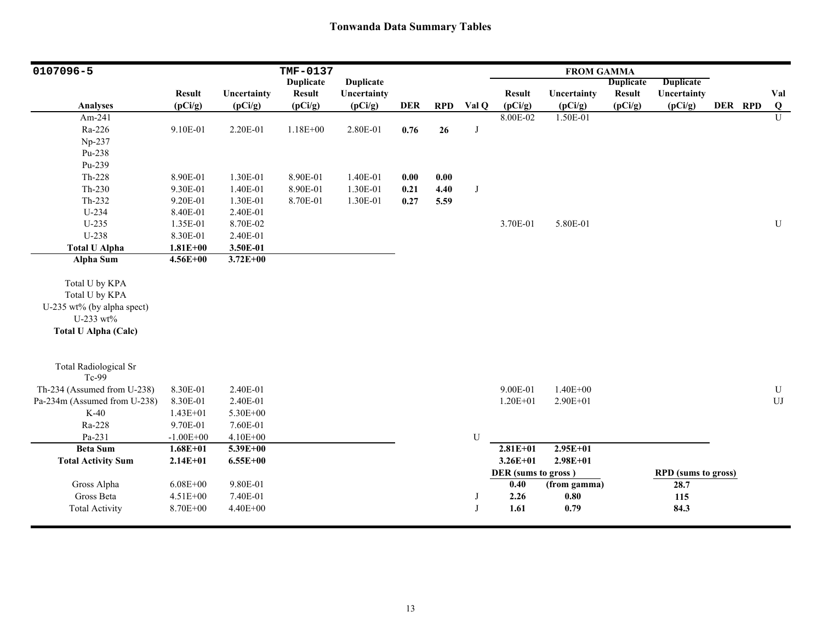| 0107096-5                        |               |              | TMF-0137         |                  |            |            |       |                     | <b>FROM GAMMA</b> |                  |                            |         |                |
|----------------------------------|---------------|--------------|------------------|------------------|------------|------------|-------|---------------------|-------------------|------------------|----------------------------|---------|----------------|
|                                  |               |              | <b>Duplicate</b> | <b>Duplicate</b> |            |            |       |                     |                   | <b>Duplicate</b> | <b>Duplicate</b>           |         |                |
|                                  | <b>Result</b> | Uncertainty  | <b>Result</b>    | Uncertainty      |            |            |       | <b>Result</b>       | Uncertainty       | <b>Result</b>    | Uncertainty                |         | Val            |
| Analyses                         | (pCi/g)       | (pCi/g)      | (pCi/g)          | (pCi/g)          | <b>DER</b> | <b>RPD</b> | Val Q | (pCi/g)             | (pCi/g)           | (pCi/g)          | (pCi/g)                    | DER RPD | $\bf{Q}$       |
| Am-241                           |               |              |                  |                  |            |            |       | 8.00E-02            | 1.50E-01          |                  |                            |         | $\overline{U}$ |
| Ra-226                           | 9.10E-01      | 2.20E-01     | $1.18E + 00$     | 2.80E-01         | 0.76       | 26         | J     |                     |                   |                  |                            |         |                |
| Np-237                           |               |              |                  |                  |            |            |       |                     |                   |                  |                            |         |                |
| Pu-238                           |               |              |                  |                  |            |            |       |                     |                   |                  |                            |         |                |
| Pu-239                           |               |              |                  |                  |            |            |       |                     |                   |                  |                            |         |                |
| $Th-228$                         | 8.90E-01      | 1.30E-01     | 8.90E-01         | 1.40E-01         | 0.00       | $0.00\,$   |       |                     |                   |                  |                            |         |                |
| $Th-230$                         | 9.30E-01      | 1.40E-01     | 8.90E-01         | 1.30E-01         | 0.21       | 4.40       | J     |                     |                   |                  |                            |         |                |
| $Th-232$                         | 9.20E-01      | 1.30E-01     | 8.70E-01         | 1.30E-01         | 0.27       | 5.59       |       |                     |                   |                  |                            |         |                |
| $U-234$                          | 8.40E-01      | 2.40E-01     |                  |                  |            |            |       |                     |                   |                  |                            |         |                |
| U-235                            | 1.35E-01      | 8.70E-02     |                  |                  |            |            |       | 3.70E-01            | 5.80E-01          |                  |                            |         | $\mathbf U$    |
| U-238                            | 8.30E-01      | 2.40E-01     |                  |                  |            |            |       |                     |                   |                  |                            |         |                |
| <b>Total U Alpha</b>             | $1.81E + 00$  | 3.50E-01     |                  |                  |            |            |       |                     |                   |                  |                            |         |                |
| Alpha Sum                        | $4.56E + 00$  | $3.72E + 00$ |                  |                  |            |            |       |                     |                   |                  |                            |         |                |
| Total U by KPA<br>Total U by KPA |               |              |                  |                  |            |            |       |                     |                   |                  |                            |         |                |
| U-235 wt% (by alpha spect)       |               |              |                  |                  |            |            |       |                     |                   |                  |                            |         |                |
| U-233 wt%                        |               |              |                  |                  |            |            |       |                     |                   |                  |                            |         |                |
| <b>Total U Alpha (Calc)</b>      |               |              |                  |                  |            |            |       |                     |                   |                  |                            |         |                |
|                                  |               |              |                  |                  |            |            |       |                     |                   |                  |                            |         |                |
| <b>Total Radiological Sr</b>     |               |              |                  |                  |            |            |       |                     |                   |                  |                            |         |                |
| Tc-99                            |               |              |                  |                  |            |            |       |                     |                   |                  |                            |         |                |
| Th-234 (Assumed from U-238)      | 8.30E-01      | 2.40E-01     |                  |                  |            |            |       | 9.00E-01            | $1.40E + 00$      |                  |                            |         | ${\bf U}$      |
| Pa-234m (Assumed from U-238)     | 8.30E-01      | 2.40E-01     |                  |                  |            |            |       | $1.20E + 01$        | 2.90E+01          |                  |                            |         | ${\rm UJ}$     |
| $K-40$                           | $1.43E + 01$  | 5.30E+00     |                  |                  |            |            |       |                     |                   |                  |                            |         |                |
| Ra-228                           | 9.70E-01      | 7.60E-01     |                  |                  |            |            |       |                     |                   |                  |                            |         |                |
| Pa-231                           | $-1.00E + 00$ | 4.10E+00     |                  |                  |            |            | U     |                     |                   |                  |                            |         |                |
| <b>Beta Sum</b>                  | $1.68E + 01$  | $5.39E + 00$ |                  |                  |            |            |       | $2.81E + 01$        | $2.95E+01$        |                  |                            |         |                |
| <b>Total Activity Sum</b>        | $2.14E + 01$  | $6.55E + 00$ |                  |                  |            |            |       | $3.26E + 01$        | $2.98E + 01$      |                  |                            |         |                |
|                                  |               |              |                  |                  |            |            |       | DER (sums to gross) |                   |                  | <b>RPD</b> (sums to gross) |         |                |
| Gross Alpha                      | $6.08E + 00$  | 9.80E-01     |                  |                  |            |            |       | 0.40                | (from gamma)      |                  | 28.7                       |         |                |
| Gross Beta                       | 4.51E+00      | 7.40E-01     |                  |                  |            |            | J     | 2.26                | 0.80              |                  | 115                        |         |                |
| <b>Total Activity</b>            | 8.70E+00      | 4.40E+00     |                  |                  |            |            | J     | 1.61                | 0.79              |                  | 84.3                       |         |                |
|                                  |               |              |                  |                  |            |            |       |                     |                   |                  |                            |         |                |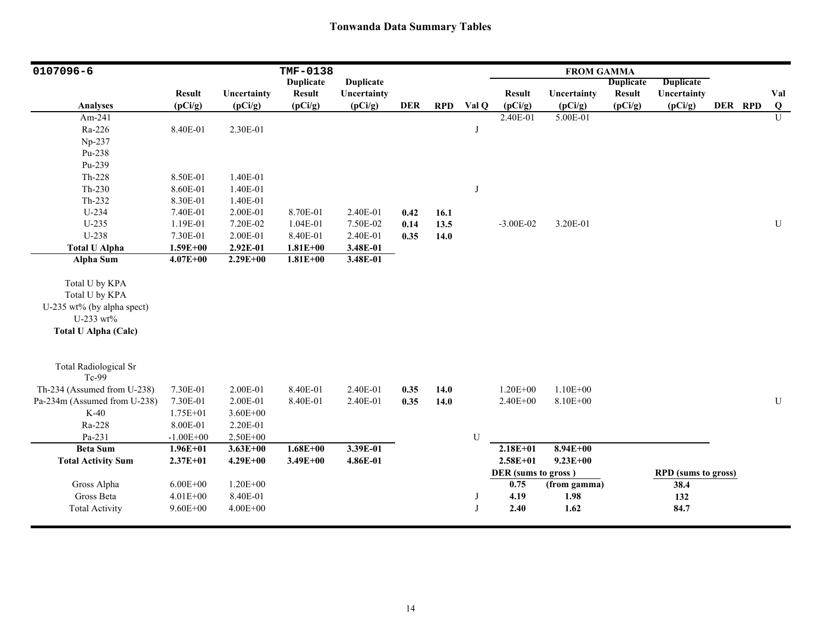| 0107096-6                                                                                                  |               |                        | TMF-0138         |                  |            |            |              |                     | <b>FROM GAMMA</b>   |                          |                            |         |           |
|------------------------------------------------------------------------------------------------------------|---------------|------------------------|------------------|------------------|------------|------------|--------------|---------------------|---------------------|--------------------------|----------------------------|---------|-----------|
|                                                                                                            |               |                        | <b>Duplicate</b> | <b>Duplicate</b> |            |            |              |                     |                     | <b>Duplicate</b>         | <b>Duplicate</b>           |         |           |
|                                                                                                            | <b>Result</b> | Uncertainty<br>(pCi/g) | <b>Result</b>    | Uncertainty      | <b>DER</b> | <b>RPD</b> | Val Q        | <b>Result</b>       | Uncertainty         | <b>Result</b><br>(pCi/g) | Uncertainty                | DER RPD | Val       |
| <b>Analyses</b><br>Am-241                                                                                  | (pCi/g)       |                        | (pCi/g)          | (pCi/g)          |            |            |              | (pCi/g)<br>2.40E-01 | (pCi/g)<br>5.00E-01 |                          | (pCi/g)                    |         | Q<br>U    |
|                                                                                                            |               |                        |                  |                  |            |            |              |                     |                     |                          |                            |         |           |
| Ra-226                                                                                                     | 8.40E-01      | 2.30E-01               |                  |                  |            |            | J            |                     |                     |                          |                            |         |           |
| Np-237                                                                                                     |               |                        |                  |                  |            |            |              |                     |                     |                          |                            |         |           |
| Pu-238                                                                                                     |               |                        |                  |                  |            |            |              |                     |                     |                          |                            |         |           |
| Pu-239                                                                                                     |               |                        |                  |                  |            |            |              |                     |                     |                          |                            |         |           |
| Th-228                                                                                                     | 8.50E-01      | 1.40E-01               |                  |                  |            |            |              |                     |                     |                          |                            |         |           |
| $Th-230$                                                                                                   | 8.60E-01      | 1.40E-01               |                  |                  |            |            | J            |                     |                     |                          |                            |         |           |
| Th-232                                                                                                     | 8.30E-01      | 1.40E-01               |                  |                  |            |            |              |                     |                     |                          |                            |         |           |
| U-234                                                                                                      | 7.40E-01      | 2.00E-01               | 8.70E-01         | 2.40E-01         | 0.42       | 16.1       |              |                     |                     |                          |                            |         |           |
| $U-235$                                                                                                    | 1.19E-01      | 7.20E-02               | 1.04E-01         | 7.50E-02         | 0.14       | 13.5       |              | $-3.00E-02$         | 3.20E-01            |                          |                            |         | U         |
| U-238                                                                                                      | 7.30E-01      | 2.00E-01               | 8.40E-01         | 2.40E-01         | 0.35       | 14.0       |              |                     |                     |                          |                            |         |           |
| <b>Total U Alpha</b>                                                                                       | $1.59E + 00$  | 2.92E-01               | $1.81E + 00$     | 3.48E-01         |            |            |              |                     |                     |                          |                            |         |           |
| <b>Alpha Sum</b>                                                                                           | $4.07E + 00$  | $2.29E + 00$           | $1.81E + 00$     | 3.48E-01         |            |            |              |                     |                     |                          |                            |         |           |
| Total U by KPA<br>Total U by KPA<br>U-235 wt% (by alpha spect)<br>U-233 wt%<br><b>Total U Alpha (Calc)</b> |               |                        |                  |                  |            |            |              |                     |                     |                          |                            |         |           |
| <b>Total Radiological Sr</b><br>Tc-99                                                                      |               |                        |                  |                  |            |            |              |                     |                     |                          |                            |         |           |
| Th-234 (Assumed from U-238)                                                                                | 7.30E-01      | 2.00E-01               | 8.40E-01         | 2.40E-01         | 0.35       | 14.0       |              | $1.20E + 00$        | $1.10E + 00$        |                          |                            |         |           |
| Pa-234m (Assumed from U-238)                                                                               | 7.30E-01      | 2.00E-01               | 8.40E-01         | 2.40E-01         | 0.35       | 14.0       |              | 2.40E+00            | 8.10E+00            |                          |                            |         | ${\bf U}$ |
| $K-40$                                                                                                     | 1.75E+01      | $3.60E + 00$           |                  |                  |            |            |              |                     |                     |                          |                            |         |           |
| Ra-228                                                                                                     | 8.00E-01      | 2.20E-01               |                  |                  |            |            |              |                     |                     |                          |                            |         |           |
| Pa-231                                                                                                     | $-1.00E + 00$ | $2.50E + 00$           |                  |                  |            |            | U            |                     |                     |                          |                            |         |           |
| <b>Beta Sum</b>                                                                                            | $1.96E + 01$  | $3.63E + 00$           | $1.68E + 00$     | 3.39E-01         |            |            |              | $2.18E + 01$        | $8.94E + 00$        |                          |                            |         |           |
| <b>Total Activity Sum</b>                                                                                  | $2.37E + 01$  | $4.29E + 00$           | 3.49E+00         | 4.86E-01         |            |            |              | $2.58E + 01$        | $9.23E + 00$        |                          |                            |         |           |
|                                                                                                            |               |                        |                  |                  |            |            |              | DER (sums to gross) |                     |                          | <b>RPD</b> (sums to gross) |         |           |
| Gross Alpha                                                                                                | $6.00E + 00$  | $1.20E + 00$           |                  |                  |            |            |              | 0.75                | (from gamma)        |                          | 38.4                       |         |           |
| Gross Beta                                                                                                 | $4.01E + 00$  | 8.40E-01               |                  |                  |            |            | J            | 4.19                | 1.98                |                          | 132                        |         |           |
| <b>Total Activity</b>                                                                                      | $9.60E + 00$  | $4.00E + 00$           |                  |                  |            |            | $\mathbf{J}$ | 2.40                | 1.62                |                          | 84.7                       |         |           |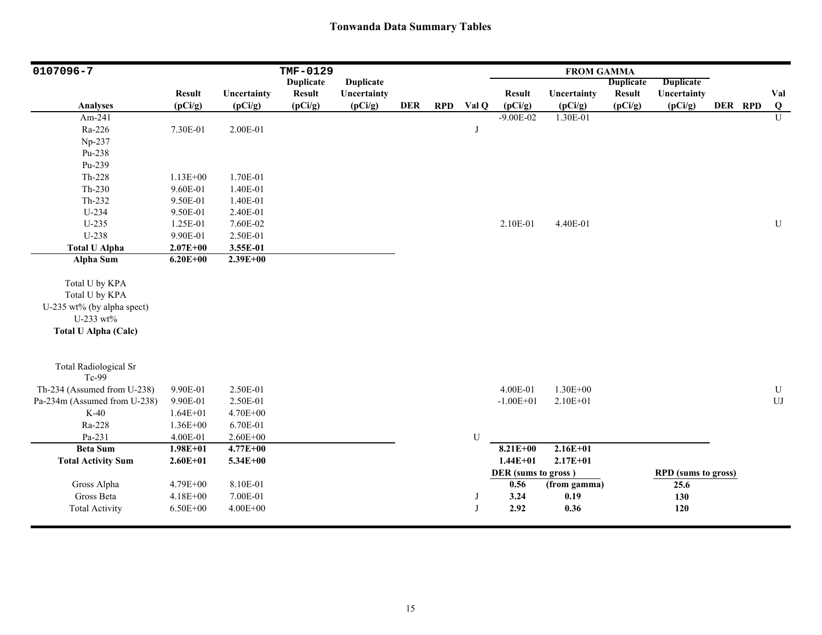| 0107096-7                                                                                                  |               |              | TMF-0129         |                  |            |            |       |                     | <b>FROM GAMMA</b> |                  |                            |         |              |
|------------------------------------------------------------------------------------------------------------|---------------|--------------|------------------|------------------|------------|------------|-------|---------------------|-------------------|------------------|----------------------------|---------|--------------|
|                                                                                                            |               |              | <b>Duplicate</b> | <b>Duplicate</b> |            |            |       |                     |                   | <b>Duplicate</b> | <b>Duplicate</b>           |         |              |
|                                                                                                            | <b>Result</b> | Uncertainty  | <b>Result</b>    | Uncertainty      |            |            |       | <b>Result</b>       | Uncertainty       | <b>Result</b>    | Uncertainty                |         | Val          |
| <b>Analyses</b>                                                                                            | (pCi/g)       | (pCi/g)      | (pCi/g)          | (pCi/g)          | <b>DER</b> | <b>RPD</b> | Val Q | (pCi/g)             | (pCi/g)           | (pCi/g)          | (pCi/g)                    | DER RPD | $\bf Q$      |
| Am-241                                                                                                     |               |              |                  |                  |            |            |       | $-9.00E - 02$       | 1.30E-01          |                  |                            |         | $\mathbf{U}$ |
| Ra-226                                                                                                     | 7.30E-01      | 2.00E-01     |                  |                  |            |            | J     |                     |                   |                  |                            |         |              |
| Np-237                                                                                                     |               |              |                  |                  |            |            |       |                     |                   |                  |                            |         |              |
| Pu-238                                                                                                     |               |              |                  |                  |            |            |       |                     |                   |                  |                            |         |              |
| Pu-239                                                                                                     |               |              |                  |                  |            |            |       |                     |                   |                  |                            |         |              |
| Th-228                                                                                                     | $1.13E + 00$  | 1.70E-01     |                  |                  |            |            |       |                     |                   |                  |                            |         |              |
| $Th-230$                                                                                                   | 9.60E-01      | 1.40E-01     |                  |                  |            |            |       |                     |                   |                  |                            |         |              |
| Th-232                                                                                                     | 9.50E-01      | 1.40E-01     |                  |                  |            |            |       |                     |                   |                  |                            |         |              |
| U-234                                                                                                      | 9.50E-01      | 2.40E-01     |                  |                  |            |            |       |                     |                   |                  |                            |         |              |
| $U-235$                                                                                                    | 1.25E-01      | 7.60E-02     |                  |                  |            |            |       | 2.10E-01            | 4.40E-01          |                  |                            |         | ${\bf U}$    |
| U-238                                                                                                      | 9.90E-01      | 2.50E-01     |                  |                  |            |            |       |                     |                   |                  |                            |         |              |
| <b>Total U Alpha</b>                                                                                       | $2.07E + 00$  | 3.55E-01     |                  |                  |            |            |       |                     |                   |                  |                            |         |              |
| Alpha Sum                                                                                                  | $6.20E + 00$  | $2.39E + 00$ |                  |                  |            |            |       |                     |                   |                  |                            |         |              |
| Total U by KPA<br>Total U by KPA<br>U-235 wt% (by alpha spect)<br>U-233 wt%<br><b>Total U Alpha (Calc)</b> |               |              |                  |                  |            |            |       |                     |                   |                  |                            |         |              |
| <b>Total Radiological Sr</b><br>Tc-99                                                                      |               |              |                  |                  |            |            |       |                     |                   |                  |                            |         |              |
| Th-234 (Assumed from U-238)                                                                                | 9.90E-01      | 2.50E-01     |                  |                  |            |            |       | 4.00E-01            | 1.30E+00          |                  |                            |         | U            |
| Pa-234m (Assumed from U-238)                                                                               | 9.90E-01      | 2.50E-01     |                  |                  |            |            |       | $-1.00E + 01$       | $2.10E + 01$      |                  |                            |         | ${\rm UJ}$   |
| $K-40$                                                                                                     | $1.64E + 01$  | 4.70E+00     |                  |                  |            |            |       |                     |                   |                  |                            |         |              |
| Ra-228                                                                                                     | 1.36E+00      | 6.70E-01     |                  |                  |            |            |       |                     |                   |                  |                            |         |              |
| Pa-231                                                                                                     | 4.00E-01      | $2.60E + 00$ |                  |                  |            |            | U     |                     |                   |                  |                            |         |              |
| <b>Beta Sum</b>                                                                                            | $1.98E + 01$  | $4.77E + 00$ |                  |                  |            |            |       | $8.21E + 00$        | $2.16E + 01$      |                  |                            |         |              |
| <b>Total Activity Sum</b>                                                                                  | $2.60E + 01$  | 5.34E+00     |                  |                  |            |            |       | $1.44E + 01$        | $2.17E + 01$      |                  |                            |         |              |
|                                                                                                            |               |              |                  |                  |            |            |       | DER (sums to gross) |                   |                  | <b>RPD</b> (sums to gross) |         |              |
| Gross Alpha                                                                                                | 4.79E+00      | 8.10E-01     |                  |                  |            |            |       | 0.56                | (from gamma)      |                  | 25.6                       |         |              |
| Gross Beta                                                                                                 | 4.18E+00      | 7.00E-01     |                  |                  |            |            | J     | 3.24                | 0.19              |                  | 130                        |         |              |
| <b>Total Activity</b>                                                                                      | $6.50E + 00$  | $4.00E + 00$ |                  |                  |            |            | J     | 2.92                | 0.36              |                  | 120                        |         |              |
|                                                                                                            |               |              |                  |                  |            |            |       |                     |                   |                  |                            |         |              |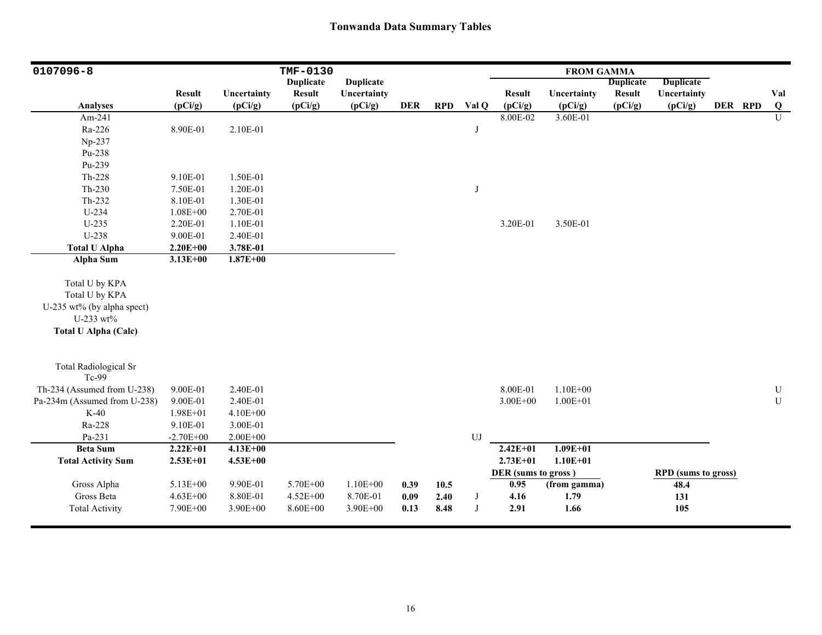| 0107096-8                                                                                                  |               |              | TMF-0130         |                  |            |            |            |                     | <b>FROM GAMMA</b> |                  |                            |         |                |
|------------------------------------------------------------------------------------------------------------|---------------|--------------|------------------|------------------|------------|------------|------------|---------------------|-------------------|------------------|----------------------------|---------|----------------|
|                                                                                                            |               |              | <b>Duplicate</b> | <b>Duplicate</b> |            |            |            |                     |                   | <b>Duplicate</b> | <b>Duplicate</b>           |         |                |
|                                                                                                            | <b>Result</b> | Uncertainty  | <b>Result</b>    | Uncertainty      |            |            |            | <b>Result</b>       | Uncertainty       | <b>Result</b>    | Uncertainty                |         | Val            |
| <b>Analyses</b>                                                                                            | (pCi/g)       | (pCi/g)      | (pCi/g)          | (pCi/g)          | <b>DER</b> | <b>RPD</b> | Val Q      | (pCi/g)             | (pCi/g)           | (pCi/g)          | (pCi/g)                    | DER RPD | $\bf{Q}$       |
| Am-241                                                                                                     |               |              |                  |                  |            |            |            | 8.00E-02            | 3.60E-01          |                  |                            |         | $\overline{U}$ |
| Ra-226                                                                                                     | 8.90E-01      | 2.10E-01     |                  |                  |            |            | J          |                     |                   |                  |                            |         |                |
| Np-237                                                                                                     |               |              |                  |                  |            |            |            |                     |                   |                  |                            |         |                |
| Pu-238                                                                                                     |               |              |                  |                  |            |            |            |                     |                   |                  |                            |         |                |
| Pu-239                                                                                                     |               |              |                  |                  |            |            |            |                     |                   |                  |                            |         |                |
| Th-228                                                                                                     | 9.10E-01      | 1.50E-01     |                  |                  |            |            |            |                     |                   |                  |                            |         |                |
| Th-230                                                                                                     | 7.50E-01      | 1.20E-01     |                  |                  |            |            | J          |                     |                   |                  |                            |         |                |
| Th-232                                                                                                     | 8.10E-01      | 1.30E-01     |                  |                  |            |            |            |                     |                   |                  |                            |         |                |
| U-234                                                                                                      | $1.08E + 00$  | 2.70E-01     |                  |                  |            |            |            |                     |                   |                  |                            |         |                |
| $U-235$                                                                                                    | 2.20E-01      | 1.10E-01     |                  |                  |            |            |            | 3.20E-01            | 3.50E-01          |                  |                            |         |                |
| U-238                                                                                                      | 9.00E-01      | 2.40E-01     |                  |                  |            |            |            |                     |                   |                  |                            |         |                |
| <b>Total U Alpha</b>                                                                                       | $2.20E + 00$  | 3.78E-01     |                  |                  |            |            |            |                     |                   |                  |                            |         |                |
| Alpha Sum                                                                                                  | $3.13E + 00$  | $1.87E + 00$ |                  |                  |            |            |            |                     |                   |                  |                            |         |                |
| Total U by KPA<br>Total U by KPA<br>U-235 wt% (by alpha spect)<br>U-233 wt%<br><b>Total U Alpha (Calc)</b> |               |              |                  |                  |            |            |            |                     |                   |                  |                            |         |                |
| <b>Total Radiological Sr</b><br>Tc-99                                                                      |               |              |                  |                  |            |            |            |                     |                   |                  |                            |         |                |
| Th-234 (Assumed from U-238)                                                                                | 9.00E-01      | 2.40E-01     |                  |                  |            |            |            | 8.00E-01            | $1.10E + 00$      |                  |                            |         | ${\bf U}$      |
| Pa-234m (Assumed from U-238)                                                                               | 9.00E-01      | 2.40E-01     |                  |                  |            |            |            | $3.00E + 00$        | $1.00E + 01$      |                  |                            |         | ${\bf U}$      |
| $K-40$                                                                                                     | 1.98E+01      | 4.10E+00     |                  |                  |            |            |            |                     |                   |                  |                            |         |                |
| Ra-228                                                                                                     | 9.10E-01      | 3.00E-01     |                  |                  |            |            |            |                     |                   |                  |                            |         |                |
| Pa-231                                                                                                     | $-2.70E + 00$ | $2.00E + 00$ |                  |                  |            |            | UJ         |                     |                   |                  |                            |         |                |
| <b>Beta Sum</b>                                                                                            | $2.22E+01$    | $4.13E + 00$ |                  |                  |            |            |            | $2.42E + 01$        | $1.09E + 01$      |                  |                            |         |                |
| <b>Total Activity Sum</b>                                                                                  | $2.53E+01$    | $4.53E + 00$ |                  |                  |            |            |            | $2.73E + 01$        | $1.10E + 01$      |                  |                            |         |                |
|                                                                                                            |               |              |                  |                  |            |            |            | DER (sums to gross) |                   |                  | <b>RPD</b> (sums to gross) |         |                |
| Gross Alpha                                                                                                | 5.13E+00      | 9.90E-01     | 5.70E+00         | $1.10E + 00$     | 0.39       | 10.5       |            | 0.95                | (from gamma)      |                  | 48.4                       |         |                |
| Gross Beta                                                                                                 | $4.63E + 00$  | 8.80E-01     | $4.52E + 00$     | 8.70E-01         | 0.09       | 2.40       | $_{\rm J}$ | 4.16                | 1.79              |                  | 131                        |         |                |
| <b>Total Activity</b>                                                                                      | 7.90E+00      | 3.90E+00     | 8.60E+00         | 3.90E+00         | 0.13       | 8.48       | J          | 2.91                | 1.66              |                  | 105                        |         |                |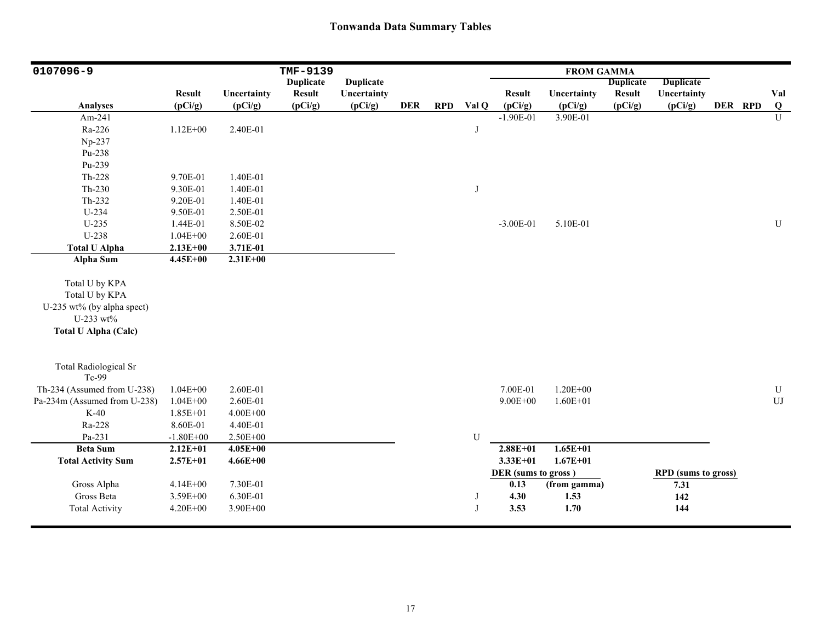| 0107096-9                    |               |              | TMF-9139         |                  |            |            |       |                     | <b>FROM GAMMA</b> |                  |                            |         |                |
|------------------------------|---------------|--------------|------------------|------------------|------------|------------|-------|---------------------|-------------------|------------------|----------------------------|---------|----------------|
|                              |               |              | <b>Duplicate</b> | <b>Duplicate</b> |            |            |       |                     |                   | <b>Duplicate</b> | <b>Duplicate</b>           |         |                |
|                              | <b>Result</b> | Uncertainty  | <b>Result</b>    | Uncertainty      |            |            |       | <b>Result</b>       | Uncertainty       | <b>Result</b>    | Uncertainty                |         | Val            |
| <b>Analyses</b>              | (pCi/g)       | (pCi/g)      | (pCi/g)          | (pCi/g)          | <b>DER</b> | <b>RPD</b> | Val Q | (pCi/g)             | (pCi/g)           | (pCi/g)          | (pCi/g)                    | DER RPD | Q              |
| Am-241                       |               |              |                  |                  |            |            |       | $-1.90E-01$         | 3.90E-01          |                  |                            |         | $\overline{U}$ |
| Ra-226                       | $1.12E + 00$  | 2.40E-01     |                  |                  |            |            | J     |                     |                   |                  |                            |         |                |
| Np-237                       |               |              |                  |                  |            |            |       |                     |                   |                  |                            |         |                |
| Pu-238                       |               |              |                  |                  |            |            |       |                     |                   |                  |                            |         |                |
| Pu-239                       |               |              |                  |                  |            |            |       |                     |                   |                  |                            |         |                |
| Th-228                       | 9.70E-01      | 1.40E-01     |                  |                  |            |            |       |                     |                   |                  |                            |         |                |
| Th-230                       | 9.30E-01      | 1.40E-01     |                  |                  |            |            | J     |                     |                   |                  |                            |         |                |
| Th-232                       | 9.20E-01      | 1.40E-01     |                  |                  |            |            |       |                     |                   |                  |                            |         |                |
| U-234                        | 9.50E-01      | 2.50E-01     |                  |                  |            |            |       |                     |                   |                  |                            |         |                |
| $U-235$                      | 1.44E-01      | 8.50E-02     |                  |                  |            |            |       | $-3.00E-01$         | 5.10E-01          |                  |                            |         | ${\bf U}$      |
| U-238                        | $1.04E + 00$  | 2.60E-01     |                  |                  |            |            |       |                     |                   |                  |                            |         |                |
| <b>Total U Alpha</b>         | $2.13E+00$    | 3.71E-01     |                  |                  |            |            |       |                     |                   |                  |                            |         |                |
| <b>Alpha Sum</b>             | $4.45E + 00$  | $2.31E + 00$ |                  |                  |            |            |       |                     |                   |                  |                            |         |                |
|                              |               |              |                  |                  |            |            |       |                     |                   |                  |                            |         |                |
| Total U by KPA               |               |              |                  |                  |            |            |       |                     |                   |                  |                            |         |                |
| Total U by KPA               |               |              |                  |                  |            |            |       |                     |                   |                  |                            |         |                |
| U-235 wt% (by alpha spect)   |               |              |                  |                  |            |            |       |                     |                   |                  |                            |         |                |
| U-233 wt%                    |               |              |                  |                  |            |            |       |                     |                   |                  |                            |         |                |
| <b>Total U Alpha (Calc)</b>  |               |              |                  |                  |            |            |       |                     |                   |                  |                            |         |                |
|                              |               |              |                  |                  |            |            |       |                     |                   |                  |                            |         |                |
| <b>Total Radiological Sr</b> |               |              |                  |                  |            |            |       |                     |                   |                  |                            |         |                |
| Tc-99                        |               |              |                  |                  |            |            |       |                     |                   |                  |                            |         |                |
| Th-234 (Assumed from U-238)  | $1.04E + 00$  | 2.60E-01     |                  |                  |            |            |       | 7.00E-01            | $1.20E + 00$      |                  |                            |         | ${\bf U}$      |
| Pa-234m (Assumed from U-238) | $1.04E + 00$  | 2.60E-01     |                  |                  |            |            |       | $9.00E + 00$        | $1.60E + 01$      |                  |                            |         | ${\rm UJ}$     |
| $K-40$                       | 1.85E+01      | $4.00E + 00$ |                  |                  |            |            |       |                     |                   |                  |                            |         |                |
| Ra-228                       | 8.60E-01      | 4.40E-01     |                  |                  |            |            |       |                     |                   |                  |                            |         |                |
| Pa-231                       | $-1.80E + 00$ | 2.50E+00     |                  |                  |            |            | U     |                     |                   |                  |                            |         |                |
| <b>Beta Sum</b>              | $2.12E + 01$  | $4.05E + 00$ |                  |                  |            |            |       | $2.88E + 01$        | $1.65E + 01$      |                  |                            |         |                |
| <b>Total Activity Sum</b>    | $2.57E + 01$  | $4.66E + 00$ |                  |                  |            |            |       | $3.33E+01$          | $1.67E + 01$      |                  |                            |         |                |
|                              |               |              |                  |                  |            |            |       | DER (sums to gross) |                   |                  | <b>RPD</b> (sums to gross) |         |                |
| Gross Alpha                  | $4.14E + 00$  | 7.30E-01     |                  |                  |            |            |       | 0.13                | (from gamma)      |                  | 7.31                       |         |                |
| Gross Beta                   | 3.59E+00      | 6.30E-01     |                  |                  |            |            | J     | 4.30                | 1.53              |                  | 142                        |         |                |
| <b>Total Activity</b>        | $4.20E + 00$  | 3.90E+00     |                  |                  |            |            | J     | 3.53                | 1.70              |                  | 144                        |         |                |
|                              |               |              |                  |                  |            |            |       |                     |                   |                  |                            |         |                |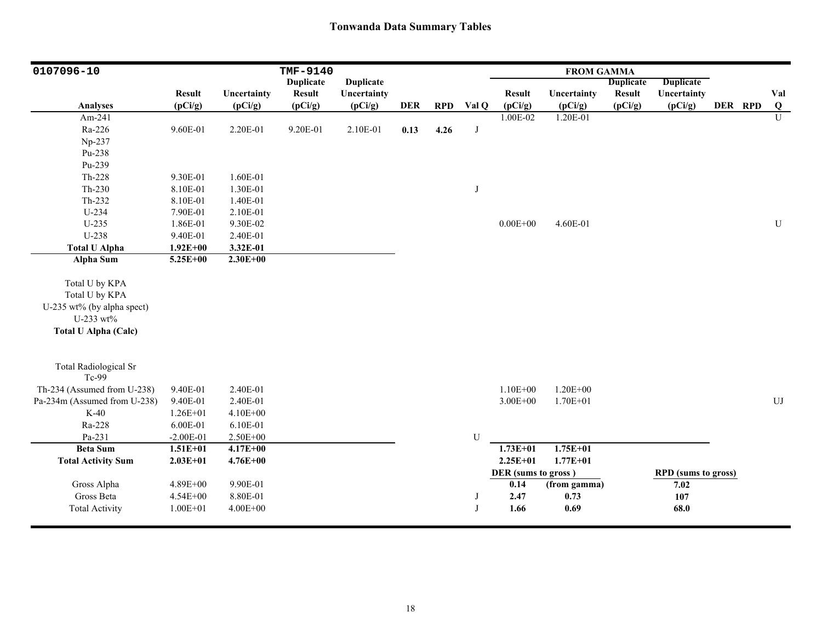| 0107096-10                                                                                                 |               |              | TMF-9140         |                  |            |            |            |                     | <b>FROM GAMMA</b> |                  |                            |         |            |
|------------------------------------------------------------------------------------------------------------|---------------|--------------|------------------|------------------|------------|------------|------------|---------------------|-------------------|------------------|----------------------------|---------|------------|
|                                                                                                            |               |              | <b>Duplicate</b> | <b>Duplicate</b> |            |            |            |                     |                   | <b>Duplicate</b> | <b>Duplicate</b>           |         |            |
|                                                                                                            | <b>Result</b> | Uncertainty  | <b>Result</b>    | Uncertainty      |            |            |            | <b>Result</b>       | Uncertainty       | <b>Result</b>    | Uncertainty                |         | Val        |
| Analyses                                                                                                   | (pCi/g)       | (pCi/g)      | (pCi/g)          | (pCi/g)          | <b>DER</b> | <b>RPD</b> | Val Q      | (pCi/g)             | (pCi/g)           | (pCi/g)          | (pCi/g)                    | DER RPD | Q          |
| Am-241                                                                                                     |               |              |                  |                  |            |            |            | 1.00E-02            | 1.20E-01          |                  |                            |         | U          |
| Ra-226                                                                                                     | 9.60E-01      | 2.20E-01     | 9.20E-01         | 2.10E-01         | 0.13       | 4.26       | $_{\rm J}$ |                     |                   |                  |                            |         |            |
| Np-237                                                                                                     |               |              |                  |                  |            |            |            |                     |                   |                  |                            |         |            |
| Pu-238                                                                                                     |               |              |                  |                  |            |            |            |                     |                   |                  |                            |         |            |
| Pu-239                                                                                                     |               |              |                  |                  |            |            |            |                     |                   |                  |                            |         |            |
| $Th-228$                                                                                                   | 9.30E-01      | 1.60E-01     |                  |                  |            |            |            |                     |                   |                  |                            |         |            |
| $Th-230$                                                                                                   | 8.10E-01      | 1.30E-01     |                  |                  |            |            | J          |                     |                   |                  |                            |         |            |
| $Th-232$                                                                                                   | 8.10E-01      | 1.40E-01     |                  |                  |            |            |            |                     |                   |                  |                            |         |            |
| U-234                                                                                                      | 7.90E-01      | 2.10E-01     |                  |                  |            |            |            |                     |                   |                  |                            |         |            |
| $U-235$                                                                                                    | 1.86E-01      | 9.30E-02     |                  |                  |            |            |            | $0.00E + 00$        | 4.60E-01          |                  |                            |         | U          |
| U-238                                                                                                      | 9.40E-01      | 2.40E-01     |                  |                  |            |            |            |                     |                   |                  |                            |         |            |
| <b>Total U Alpha</b>                                                                                       | $1.92E + 00$  | 3.32E-01     |                  |                  |            |            |            |                     |                   |                  |                            |         |            |
| <b>Alpha Sum</b>                                                                                           | $5.25E + 00$  | $2.30E + 00$ |                  |                  |            |            |            |                     |                   |                  |                            |         |            |
| Total U by KPA<br>Total U by KPA<br>U-235 wt% (by alpha spect)<br>U-233 wt%<br><b>Total U Alpha (Calc)</b> |               |              |                  |                  |            |            |            |                     |                   |                  |                            |         |            |
| <b>Total Radiological Sr</b><br>Tc-99                                                                      |               |              |                  |                  |            |            |            |                     |                   |                  |                            |         |            |
| Th-234 (Assumed from U-238)                                                                                | 9.40E-01      | 2.40E-01     |                  |                  |            |            |            | $1.10E + 00$        | $1.20E + 00$      |                  |                            |         |            |
| Pa-234m (Assumed from U-238)                                                                               | 9.40E-01      | 2.40E-01     |                  |                  |            |            |            | $3.00E + 00$        | $1.70E + 01$      |                  |                            |         | ${\rm UJ}$ |
| $K-40$                                                                                                     | $1.26E + 01$  | 4.10E+00     |                  |                  |            |            |            |                     |                   |                  |                            |         |            |
| Ra-228                                                                                                     | 6.00E-01      | 6.10E-01     |                  |                  |            |            |            |                     |                   |                  |                            |         |            |
| Pa-231                                                                                                     | $-2.00E-01$   | 2.50E+00     |                  |                  |            |            | ${\bf U}$  |                     |                   |                  |                            |         |            |
| <b>Beta Sum</b>                                                                                            | $1.51E + 01$  | $4.17E + 00$ |                  |                  |            |            |            | $1.73E + 01$        | $1.75E + 01$      |                  |                            |         |            |
| <b>Total Activity Sum</b>                                                                                  | $2.03E+01$    | $4.76E + 00$ |                  |                  |            |            |            | $2.25E+01$          | $1.77E + 01$      |                  |                            |         |            |
|                                                                                                            |               |              |                  |                  |            |            |            | DER (sums to gross) |                   |                  | <b>RPD</b> (sums to gross) |         |            |
| Gross Alpha                                                                                                | 4.89E+00      | 9.90E-01     |                  |                  |            |            |            | $\overline{0.14}$   | (from gamma)      |                  | 7.02                       |         |            |
| Gross Beta                                                                                                 | $4.54E + 00$  | 8.80E-01     |                  |                  |            |            | J          | 2.47                | 0.73              |                  | 107                        |         |            |
| <b>Total Activity</b>                                                                                      | $1.00E + 01$  | $4.00E + 00$ |                  |                  |            |            | J          | 1.66                | 0.69              |                  | 68.0                       |         |            |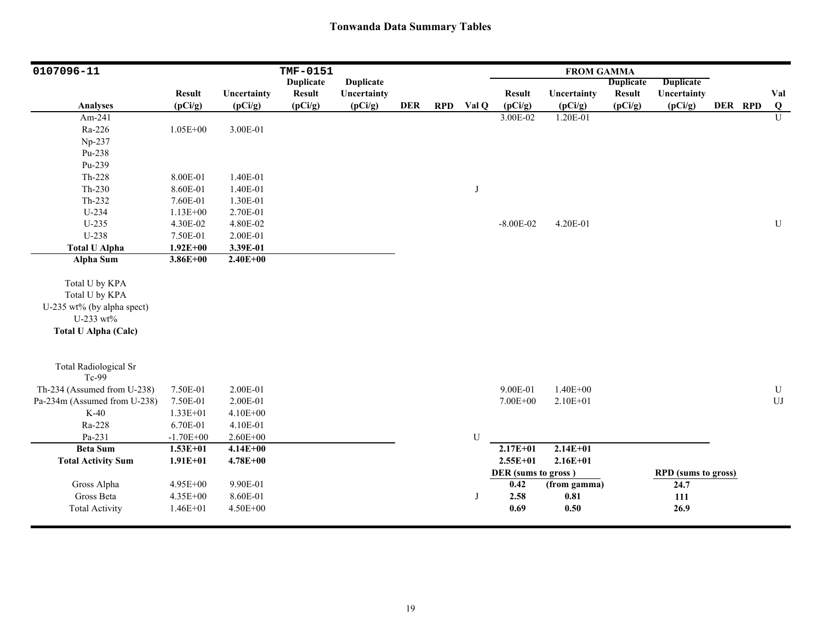| 0107096-11                   |               |              | TMF-0151         |                  |            |            |       |                     | <b>FROM GAMMA</b> |                  |                            |         |                |
|------------------------------|---------------|--------------|------------------|------------------|------------|------------|-------|---------------------|-------------------|------------------|----------------------------|---------|----------------|
|                              |               |              | <b>Duplicate</b> | <b>Duplicate</b> |            |            |       |                     |                   | <b>Duplicate</b> | <b>Duplicate</b>           |         |                |
|                              | <b>Result</b> | Uncertainty  | <b>Result</b>    | Uncertainty      |            |            |       | <b>Result</b>       | Uncertainty       | <b>Result</b>    | Uncertainty                |         | Val            |
| <b>Analyses</b>              | (pCi/g)       | (pCi/g)      | (pCi/g)          | (pCi/g)          | <b>DER</b> | <b>RPD</b> | Val Q | (pCi/g)             | (pCi/g)           | (pCi/g)          | (pCi/g)                    | DER RPD | $\overline{Q}$ |
| Am-241                       |               |              |                  |                  |            |            |       | 3.00E-02            | 1.20E-01          |                  |                            |         | $\overline{U}$ |
| Ra-226                       | $1.05E + 00$  | 3.00E-01     |                  |                  |            |            |       |                     |                   |                  |                            |         |                |
| Np-237                       |               |              |                  |                  |            |            |       |                     |                   |                  |                            |         |                |
| Pu-238                       |               |              |                  |                  |            |            |       |                     |                   |                  |                            |         |                |
| Pu-239                       |               |              |                  |                  |            |            |       |                     |                   |                  |                            |         |                |
| $Th-228$                     | 8.00E-01      | 1.40E-01     |                  |                  |            |            |       |                     |                   |                  |                            |         |                |
| $Th-230$                     | 8.60E-01      | 1.40E-01     |                  |                  |            |            | J     |                     |                   |                  |                            |         |                |
| Th-232                       | 7.60E-01      | 1.30E-01     |                  |                  |            |            |       |                     |                   |                  |                            |         |                |
| $U-234$                      | $1.13E + 00$  | 2.70E-01     |                  |                  |            |            |       |                     |                   |                  |                            |         |                |
| $U-235$                      | 4.30E-02      | 4.80E-02     |                  |                  |            |            |       | $-8.00E - 02$       | 4.20E-01          |                  |                            |         | ${\bf U}$      |
| U-238                        | 7.50E-01      | 2.00E-01     |                  |                  |            |            |       |                     |                   |                  |                            |         |                |
| <b>Total U Alpha</b>         | $1.92E + 00$  | 3.39E-01     |                  |                  |            |            |       |                     |                   |                  |                            |         |                |
| Alpha Sum                    | $3.86E + 00$  | $2.40E + 00$ |                  |                  |            |            |       |                     |                   |                  |                            |         |                |
|                              |               |              |                  |                  |            |            |       |                     |                   |                  |                            |         |                |
| Total U by KPA               |               |              |                  |                  |            |            |       |                     |                   |                  |                            |         |                |
| Total U by KPA               |               |              |                  |                  |            |            |       |                     |                   |                  |                            |         |                |
| U-235 wt% (by alpha spect)   |               |              |                  |                  |            |            |       |                     |                   |                  |                            |         |                |
| U-233 wt%                    |               |              |                  |                  |            |            |       |                     |                   |                  |                            |         |                |
| <b>Total U Alpha (Calc)</b>  |               |              |                  |                  |            |            |       |                     |                   |                  |                            |         |                |
|                              |               |              |                  |                  |            |            |       |                     |                   |                  |                            |         |                |
| <b>Total Radiological Sr</b> |               |              |                  |                  |            |            |       |                     |                   |                  |                            |         |                |
| Tc-99                        |               |              |                  |                  |            |            |       |                     |                   |                  |                            |         |                |
| Th-234 (Assumed from U-238)  | 7.50E-01      | 2.00E-01     |                  |                  |            |            |       | 9.00E-01            | $1.40E + 00$      |                  |                            |         | ${\bf U}$      |
| Pa-234m (Assumed from U-238) | 7.50E-01      | 2.00E-01     |                  |                  |            |            |       | 7.00E+00            | $2.10E + 01$      |                  |                            |         | UJ             |
| $K-40$                       | 1.33E+01      | $4.10E + 00$ |                  |                  |            |            |       |                     |                   |                  |                            |         |                |
| Ra-228                       | 6.70E-01      | 4.10E-01     |                  |                  |            |            |       |                     |                   |                  |                            |         |                |
| Pa-231                       | $-1.70E + 00$ | $2.60E + 00$ |                  |                  |            |            | U     |                     |                   |                  |                            |         |                |
| <b>Beta Sum</b>              | $1.53E + 01$  | $4.14E + 00$ |                  |                  |            |            |       | $2.17E + 01$        | $2.14E + 01$      |                  |                            |         |                |
| <b>Total Activity Sum</b>    | $1.91E + 01$  | $4.78E + 00$ |                  |                  |            |            |       | $2.55E+01$          | $2.16E + 01$      |                  |                            |         |                |
|                              |               |              |                  |                  |            |            |       | DER (sums to gross) |                   |                  | <b>RPD</b> (sums to gross) |         |                |
| Gross Alpha                  | 4.95E+00      | 9.90E-01     |                  |                  |            |            |       | 0.42                | (from gamma)      |                  | 24.7                       |         |                |
| Gross Beta                   | 4.35E+00      | 8.60E-01     |                  |                  |            |            | J     | 2.58                | 0.81              |                  | 111                        |         |                |
| <b>Total Activity</b>        | $1.46E + 01$  | 4.50E+00     |                  |                  |            |            |       | 0.69                | 0.50              |                  | 26.9                       |         |                |
|                              |               |              |                  |                  |            |            |       |                     |                   |                  |                            |         |                |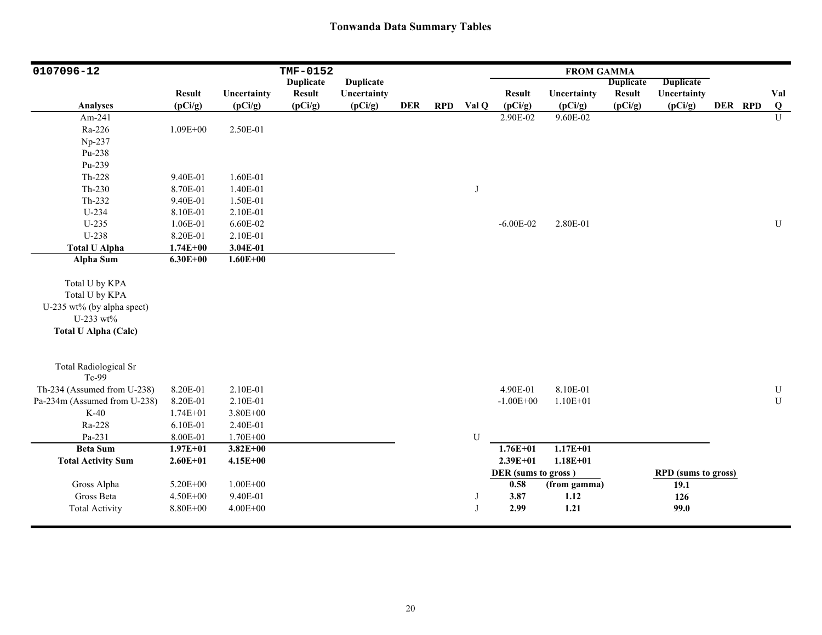| 0107096-12                   |               |              | TMF-0152         |                  |            |            |              |                     | <b>FROM GAMMA</b> |                  |                            |         |           |
|------------------------------|---------------|--------------|------------------|------------------|------------|------------|--------------|---------------------|-------------------|------------------|----------------------------|---------|-----------|
|                              |               |              | <b>Duplicate</b> | <b>Duplicate</b> |            |            |              |                     |                   | <b>Duplicate</b> | <b>Duplicate</b>           |         |           |
|                              | <b>Result</b> | Uncertainty  | <b>Result</b>    | Uncertainty      |            |            |              | <b>Result</b>       | Uncertainty       | <b>Result</b>    | Uncertainty                |         | Val       |
| <b>Analyses</b>              | (pCi/g)       | (pCi/g)      | (pCi/g)          | (pCi/g)          | <b>DER</b> | <b>RPD</b> | Val Q        | (pCi/g)             | (pCi/g)           | (pCi/g)          | (pCi/g)                    | DER RPD | $\bf{Q}$  |
| Am-241                       |               |              |                  |                  |            |            |              | 2.90E-02            | 9.60E-02          |                  |                            |         | U         |
| Ra-226                       | $1.09E + 00$  | 2.50E-01     |                  |                  |            |            |              |                     |                   |                  |                            |         |           |
| Np-237                       |               |              |                  |                  |            |            |              |                     |                   |                  |                            |         |           |
| Pu-238                       |               |              |                  |                  |            |            |              |                     |                   |                  |                            |         |           |
| Pu-239                       |               |              |                  |                  |            |            |              |                     |                   |                  |                            |         |           |
| Th-228                       | 9.40E-01      | 1.60E-01     |                  |                  |            |            |              |                     |                   |                  |                            |         |           |
| $Th-230$                     | 8.70E-01      | 1.40E-01     |                  |                  |            |            | J            |                     |                   |                  |                            |         |           |
| Th-232                       | 9.40E-01      | 1.50E-01     |                  |                  |            |            |              |                     |                   |                  |                            |         |           |
| $U-234$                      | 8.10E-01      | 2.10E-01     |                  |                  |            |            |              |                     |                   |                  |                            |         |           |
| $U-235$                      | 1.06E-01      | 6.60E-02     |                  |                  |            |            |              | $-6.00E - 02$       | 2.80E-01          |                  |                            |         | ${\bf U}$ |
| U-238                        | 8.20E-01      | 2.10E-01     |                  |                  |            |            |              |                     |                   |                  |                            |         |           |
| <b>Total U Alpha</b>         | $1.74E + 00$  | 3.04E-01     |                  |                  |            |            |              |                     |                   |                  |                            |         |           |
| <b>Alpha Sum</b>             | $6.30E + 00$  | $1.60E + 00$ |                  |                  |            |            |              |                     |                   |                  |                            |         |           |
|                              |               |              |                  |                  |            |            |              |                     |                   |                  |                            |         |           |
| Total U by KPA               |               |              |                  |                  |            |            |              |                     |                   |                  |                            |         |           |
| Total U by KPA               |               |              |                  |                  |            |            |              |                     |                   |                  |                            |         |           |
| U-235 wt% (by alpha spect)   |               |              |                  |                  |            |            |              |                     |                   |                  |                            |         |           |
| U-233 wt%                    |               |              |                  |                  |            |            |              |                     |                   |                  |                            |         |           |
| <b>Total U Alpha (Calc)</b>  |               |              |                  |                  |            |            |              |                     |                   |                  |                            |         |           |
|                              |               |              |                  |                  |            |            |              |                     |                   |                  |                            |         |           |
|                              |               |              |                  |                  |            |            |              |                     |                   |                  |                            |         |           |
| <b>Total Radiological Sr</b> |               |              |                  |                  |            |            |              |                     |                   |                  |                            |         |           |
| Tc-99                        |               |              |                  |                  |            |            |              |                     |                   |                  |                            |         |           |
| Th-234 (Assumed from U-238)  | 8.20E-01      | 2.10E-01     |                  |                  |            |            |              | 4.90E-01            | 8.10E-01          |                  |                            |         | ${\bf U}$ |
| Pa-234m (Assumed from U-238) | 8.20E-01      | 2.10E-01     |                  |                  |            |            |              | $-1.00E + 00$       | $1.10E + 01$      |                  |                            |         | ${\bf U}$ |
| $K-40$                       | $1.74E + 01$  | 3.80E+00     |                  |                  |            |            |              |                     |                   |                  |                            |         |           |
| Ra-228                       | 6.10E-01      | 2.40E-01     |                  |                  |            |            |              |                     |                   |                  |                            |         |           |
| Pa-231                       | 8.00E-01      | 1.70E+00     |                  |                  |            |            | U            |                     |                   |                  |                            |         |           |
| <b>Beta Sum</b>              | $1.97E + 01$  | $3.82E + 00$ |                  |                  |            |            |              | $1.76E + 01$        | $1.17E+01$        |                  |                            |         |           |
| <b>Total Activity Sum</b>    | $2.60E + 01$  | $4.15E + 00$ |                  |                  |            |            |              | $2.39E + 01$        | $1.18E + 01$      |                  |                            |         |           |
|                              |               |              |                  |                  |            |            |              | DER (sums to gross) |                   |                  | <b>RPD</b> (sums to gross) |         |           |
| Gross Alpha                  | 5.20E+00      | $1.00E + 00$ |                  |                  |            |            |              | 0.58                | (from gamma)      |                  | 19.1                       |         |           |
| Gross Beta                   | $4.50E + 00$  | 9.40E-01     |                  |                  |            |            | J            | 3.87                | 1.12              |                  | 126                        |         |           |
| <b>Total Activity</b>        | 8.80E+00      | $4.00E + 00$ |                  |                  |            |            | $\mathbf{J}$ | 2.99                | 1.21              |                  | 99.0                       |         |           |
|                              |               |              |                  |                  |            |            |              |                     |                   |                  |                            |         |           |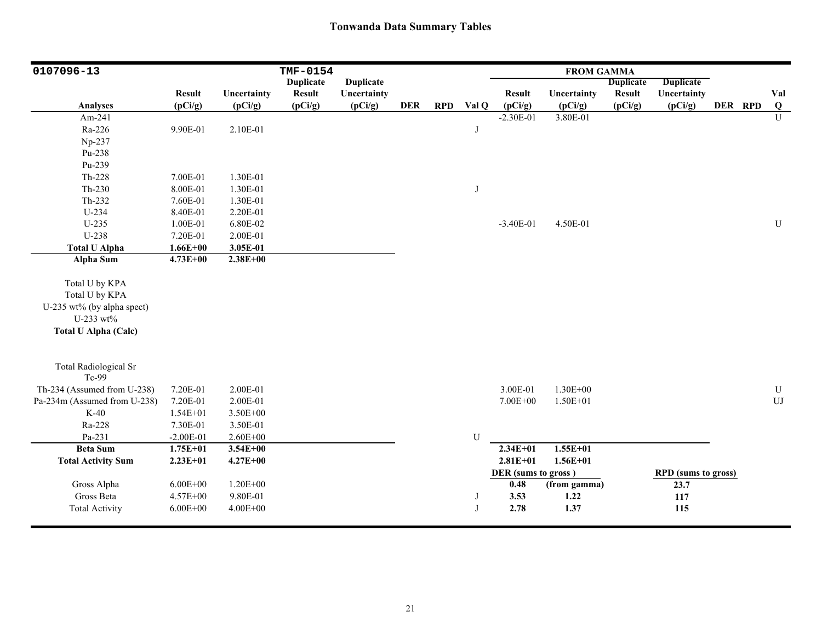| 0107096-13                   |               |              | TMF-0154         |                  |            |            |       |                     | <b>FROM GAMMA</b> |                  |                            |         |                         |
|------------------------------|---------------|--------------|------------------|------------------|------------|------------|-------|---------------------|-------------------|------------------|----------------------------|---------|-------------------------|
|                              |               |              | <b>Duplicate</b> | <b>Duplicate</b> |            |            |       |                     |                   | <b>Duplicate</b> | <b>Duplicate</b>           |         |                         |
|                              | <b>Result</b> | Uncertainty  | <b>Result</b>    | Uncertainty      |            |            |       | <b>Result</b>       | Uncertainty       | <b>Result</b>    | Uncertainty                |         | Val                     |
| <b>Analyses</b>              | (pCi/g)       | (pCi/g)      | (pCi/g)          | (pCi/g)          | <b>DER</b> | <b>RPD</b> | Val Q | (pCi/g)             | (pCi/g)           | (pCi/g)          | (pCi/g)                    | DER RPD | $\overline{\mathbf{Q}}$ |
| Am-241                       |               |              |                  |                  |            |            |       | $-2.30E-01$         | 3.80E-01          |                  |                            |         | $\overline{U}$          |
| Ra-226                       | 9.90E-01      | 2.10E-01     |                  |                  |            |            | J     |                     |                   |                  |                            |         |                         |
| Np-237                       |               |              |                  |                  |            |            |       |                     |                   |                  |                            |         |                         |
| Pu-238                       |               |              |                  |                  |            |            |       |                     |                   |                  |                            |         |                         |
| Pu-239                       |               |              |                  |                  |            |            |       |                     |                   |                  |                            |         |                         |
| $Th-228$                     | 7.00E-01      | 1.30E-01     |                  |                  |            |            |       |                     |                   |                  |                            |         |                         |
| $Th-230$                     | 8.00E-01      | 1.30E-01     |                  |                  |            |            | J     |                     |                   |                  |                            |         |                         |
| $Th-232$                     | 7.60E-01      | 1.30E-01     |                  |                  |            |            |       |                     |                   |                  |                            |         |                         |
| U-234                        | 8.40E-01      | 2.20E-01     |                  |                  |            |            |       |                     |                   |                  |                            |         |                         |
| $U-235$                      | 1.00E-01      | 6.80E-02     |                  |                  |            |            |       | $-3.40E-01$         | 4.50E-01          |                  |                            |         | ${\bf U}$               |
| U-238                        | 7.20E-01      | 2.00E-01     |                  |                  |            |            |       |                     |                   |                  |                            |         |                         |
| <b>Total U Alpha</b>         | $1.66E + 00$  | 3.05E-01     |                  |                  |            |            |       |                     |                   |                  |                            |         |                         |
| <b>Alpha Sum</b>             | $4.73E + 00$  | $2.38E + 00$ |                  |                  |            |            |       |                     |                   |                  |                            |         |                         |
|                              |               |              |                  |                  |            |            |       |                     |                   |                  |                            |         |                         |
| Total U by KPA               |               |              |                  |                  |            |            |       |                     |                   |                  |                            |         |                         |
| Total U by KPA               |               |              |                  |                  |            |            |       |                     |                   |                  |                            |         |                         |
| U-235 wt% (by alpha spect)   |               |              |                  |                  |            |            |       |                     |                   |                  |                            |         |                         |
| U-233 wt%                    |               |              |                  |                  |            |            |       |                     |                   |                  |                            |         |                         |
| <b>Total U Alpha (Calc)</b>  |               |              |                  |                  |            |            |       |                     |                   |                  |                            |         |                         |
|                              |               |              |                  |                  |            |            |       |                     |                   |                  |                            |         |                         |
| <b>Total Radiological Sr</b> |               |              |                  |                  |            |            |       |                     |                   |                  |                            |         |                         |
| Tc-99                        |               |              |                  |                  |            |            |       |                     |                   |                  |                            |         |                         |
| Th-234 (Assumed from U-238)  | 7.20E-01      | 2.00E-01     |                  |                  |            |            |       | 3.00E-01            | 1.30E+00          |                  |                            |         | ${\bf U}$               |
| Pa-234m (Assumed from U-238) | 7.20E-01      | 2.00E-01     |                  |                  |            |            |       | 7.00E+00            | $1.50E + 01$      |                  |                            |         | ${\rm UJ}$              |
| $K-40$                       | $1.54E + 01$  | 3.50E+00     |                  |                  |            |            |       |                     |                   |                  |                            |         |                         |
| Ra-228                       | 7.30E-01      | 3.50E-01     |                  |                  |            |            |       |                     |                   |                  |                            |         |                         |
| Pa-231                       | $-2.00E-01$   | $2.60E + 00$ |                  |                  |            |            | U     |                     |                   |                  |                            |         |                         |
| <b>Beta Sum</b>              | $1.75E + 01$  | $3.54E + 00$ |                  |                  |            |            |       | $2.34E + 01$        | $1.55E+01$        |                  |                            |         |                         |
| <b>Total Activity Sum</b>    | $2.23E+01$    | $4.27E + 00$ |                  |                  |            |            |       | $2.81E + 01$        | $1.56E + 01$      |                  |                            |         |                         |
|                              |               |              |                  |                  |            |            |       | DER (sums to gross) |                   |                  | <b>RPD</b> (sums to gross) |         |                         |
| Gross Alpha                  | $6.00E + 00$  | $1.20E + 00$ |                  |                  |            |            |       | 0.48                | (from gamma)      |                  | 23.7                       |         |                         |
| Gross Beta                   | 4.57E+00      | 9.80E-01     |                  |                  |            |            | J     | 3.53                | 1.22              |                  | 117                        |         |                         |
| <b>Total Activity</b>        | $6.00E + 00$  | $4.00E + 00$ |                  |                  |            |            | J     | 2.78                | 1.37              |                  | 115                        |         |                         |
|                              |               |              |                  |                  |            |            |       |                     |                   |                  |                            |         |                         |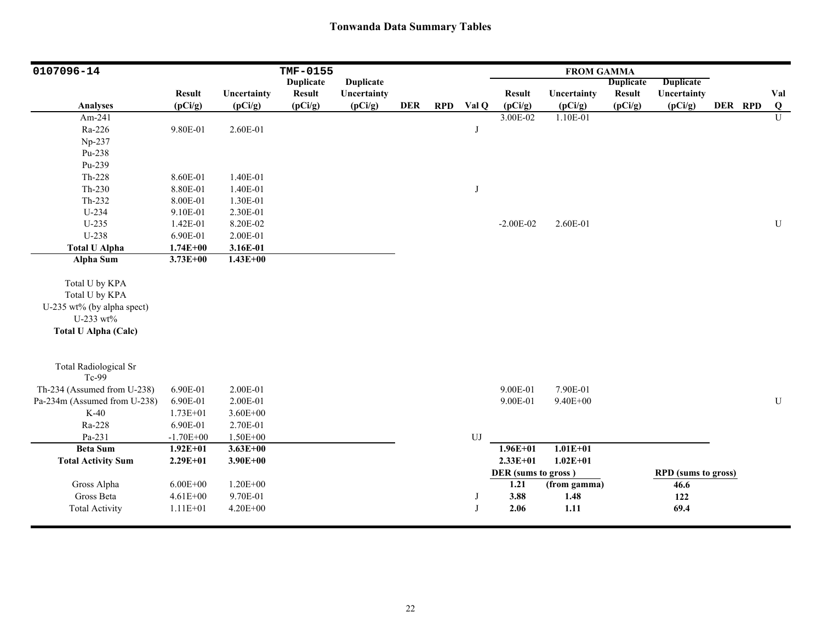| 0107096-14                                                                                                 |               |              | TMF-0155         |                  |            |            |                  |                     | <b>FROM GAMMA</b> |                  |                            |         |                |
|------------------------------------------------------------------------------------------------------------|---------------|--------------|------------------|------------------|------------|------------|------------------|---------------------|-------------------|------------------|----------------------------|---------|----------------|
|                                                                                                            |               |              | <b>Duplicate</b> | <b>Duplicate</b> |            |            |                  |                     |                   | <b>Duplicate</b> | <b>Duplicate</b>           |         |                |
|                                                                                                            | <b>Result</b> | Uncertainty  | <b>Result</b>    | Uncertainty      |            |            |                  | <b>Result</b>       | Uncertainty       | <b>Result</b>    | Uncertainty                |         | Val            |
| Analyses                                                                                                   | (pCi/g)       | (pCi/g)      | (pCi/g)          | (pCi/g)          | <b>DER</b> | <b>RPD</b> | Val Q            | (pCi/g)             | (pCi/g)           | (pCi/g)          | (pCi/g)                    | DER RPD | Q              |
| Am-241                                                                                                     |               |              |                  |                  |            |            |                  | 3.00E-02            | 1.10E-01          |                  |                            |         | $\overline{U}$ |
| Ra-226                                                                                                     | 9.80E-01      | 2.60E-01     |                  |                  |            |            | J                |                     |                   |                  |                            |         |                |
| Np-237                                                                                                     |               |              |                  |                  |            |            |                  |                     |                   |                  |                            |         |                |
| Pu-238                                                                                                     |               |              |                  |                  |            |            |                  |                     |                   |                  |                            |         |                |
| Pu-239                                                                                                     |               |              |                  |                  |            |            |                  |                     |                   |                  |                            |         |                |
| Th-228                                                                                                     | 8.60E-01      | 1.40E-01     |                  |                  |            |            |                  |                     |                   |                  |                            |         |                |
| $Th-230$                                                                                                   | 8.80E-01      | 1.40E-01     |                  |                  |            |            | J                |                     |                   |                  |                            |         |                |
| Th-232                                                                                                     | 8.00E-01      | 1.30E-01     |                  |                  |            |            |                  |                     |                   |                  |                            |         |                |
| U-234                                                                                                      | 9.10E-01      | 2.30E-01     |                  |                  |            |            |                  |                     |                   |                  |                            |         |                |
| $U-235$                                                                                                    | 1.42E-01      | 8.20E-02     |                  |                  |            |            |                  | $-2.00E-02$         | 2.60E-01          |                  |                            |         | U              |
| U-238                                                                                                      | 6.90E-01      | 2.00E-01     |                  |                  |            |            |                  |                     |                   |                  |                            |         |                |
| <b>Total U Alpha</b>                                                                                       | $1.74E + 00$  | 3.16E-01     |                  |                  |            |            |                  |                     |                   |                  |                            |         |                |
| <b>Alpha Sum</b>                                                                                           | $3.73E + 00$  | $1.43E+00$   |                  |                  |            |            |                  |                     |                   |                  |                            |         |                |
| Total U by KPA<br>Total U by KPA<br>U-235 wt% (by alpha spect)<br>U-233 wt%<br><b>Total U Alpha (Calc)</b> |               |              |                  |                  |            |            |                  |                     |                   |                  |                            |         |                |
| <b>Total Radiological Sr</b><br>Tc-99                                                                      |               |              |                  |                  |            |            |                  |                     |                   |                  |                            |         |                |
| Th-234 (Assumed from U-238)                                                                                | 6.90E-01      | 2.00E-01     |                  |                  |            |            |                  | 9.00E-01            | 7.90E-01          |                  |                            |         |                |
| Pa-234m (Assumed from U-238)                                                                               | 6.90E-01      | 2.00E-01     |                  |                  |            |            |                  | 9.00E-01            | $9.40E + 00$      |                  |                            |         | ${\bf U}$      |
| $K-40$                                                                                                     | $1.73E + 01$  | $3.60E + 00$ |                  |                  |            |            |                  |                     |                   |                  |                            |         |                |
| Ra-228                                                                                                     | 6.90E-01      | 2.70E-01     |                  |                  |            |            |                  |                     |                   |                  |                            |         |                |
| Pa-231                                                                                                     | $-1.70E + 00$ | $1.50E + 00$ |                  |                  |            |            | ${\bf U}{\bf J}$ |                     |                   |                  |                            |         |                |
| <b>Beta Sum</b>                                                                                            | $1.92E + 01$  | $3.63E + 00$ |                  |                  |            |            |                  | $1.96E + 01$        | $1.01E + 01$      |                  |                            |         |                |
| <b>Total Activity Sum</b>                                                                                  | $2.29E + 01$  | $3.90E + 00$ |                  |                  |            |            |                  | $2.33E+01$          | $1.02E + 01$      |                  |                            |         |                |
|                                                                                                            |               |              |                  |                  |            |            |                  | DER (sums to gross) |                   |                  | <b>RPD</b> (sums to gross) |         |                |
| Gross Alpha                                                                                                | $6.00E + 00$  | $1.20E + 00$ |                  |                  |            |            |                  | 1.21                | (from gamma)      |                  | 46.6                       |         |                |
| Gross Beta                                                                                                 | $4.61E + 00$  | 9.70E-01     |                  |                  |            |            | J                | 3.88                | 1.48              |                  | 122                        |         |                |
| <b>Total Activity</b>                                                                                      | $1.11E + 01$  | 4.20E+00     |                  |                  |            |            | J                | 2.06                | 1.11              |                  | 69.4                       |         |                |
|                                                                                                            |               |              |                  |                  |            |            |                  |                     |                   |                  |                            |         |                |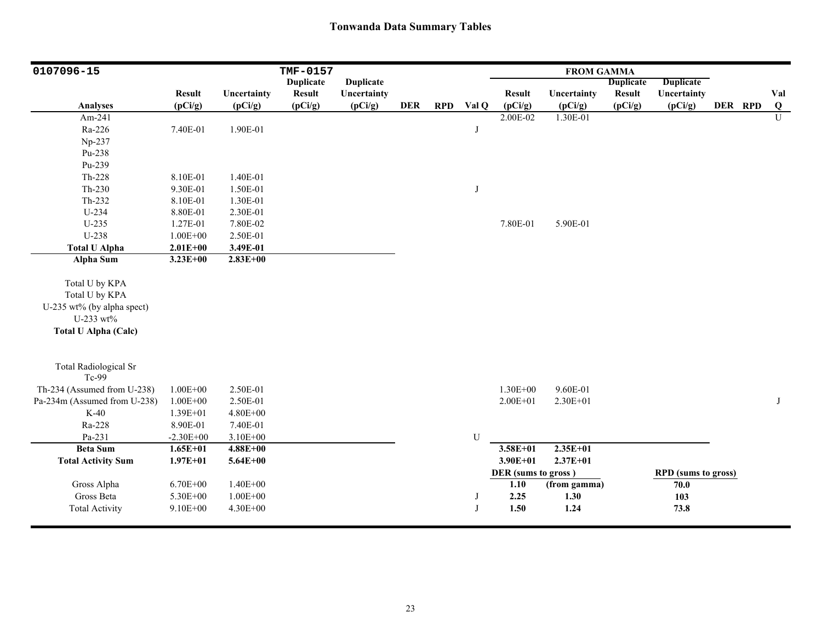| 0107096-15                   |               |              | TMF-0157         |                  |            |            |       |                     | <b>FROM GAMMA</b> |                  |                            |         |                |
|------------------------------|---------------|--------------|------------------|------------------|------------|------------|-------|---------------------|-------------------|------------------|----------------------------|---------|----------------|
|                              |               |              | <b>Duplicate</b> | <b>Duplicate</b> |            |            |       |                     |                   | <b>Duplicate</b> | <b>Duplicate</b>           |         |                |
|                              | <b>Result</b> | Uncertainty  | <b>Result</b>    | Uncertainty      |            |            |       | <b>Result</b>       | Uncertainty       | <b>Result</b>    | Uncertainty                |         | Val            |
| <b>Analyses</b>              | (pCi/g)       | (pCi/g)      | (pCi/g)          | (pCi/g)          | <b>DER</b> | <b>RPD</b> | Val Q | (pCi/g)             | (pCi/g)           | (pCi/g)          | (pCi/g)                    | DER RPD | Q              |
| Am-241                       |               |              |                  |                  |            |            |       | 2.00E-02            | 1.30E-01          |                  |                            |         | $\overline{U}$ |
| Ra-226                       | 7.40E-01      | 1.90E-01     |                  |                  |            |            | J     |                     |                   |                  |                            |         |                |
| Np-237                       |               |              |                  |                  |            |            |       |                     |                   |                  |                            |         |                |
| Pu-238                       |               |              |                  |                  |            |            |       |                     |                   |                  |                            |         |                |
| Pu-239                       |               |              |                  |                  |            |            |       |                     |                   |                  |                            |         |                |
| Th-228                       | 8.10E-01      | 1.40E-01     |                  |                  |            |            |       |                     |                   |                  |                            |         |                |
| Th-230                       | 9.30E-01      | 1.50E-01     |                  |                  |            |            | J     |                     |                   |                  |                            |         |                |
| Th-232                       | 8.10E-01      | 1.30E-01     |                  |                  |            |            |       |                     |                   |                  |                            |         |                |
| $U-234$                      | 8.80E-01      | 2.30E-01     |                  |                  |            |            |       |                     |                   |                  |                            |         |                |
| $U-235$                      | 1.27E-01      | 7.80E-02     |                  |                  |            |            |       | 7.80E-01            | 5.90E-01          |                  |                            |         |                |
| U-238                        | $1.00E + 00$  | 2.50E-01     |                  |                  |            |            |       |                     |                   |                  |                            |         |                |
| <b>Total U Alpha</b>         | $2.01E + 00$  | 3.49E-01     |                  |                  |            |            |       |                     |                   |                  |                            |         |                |
| <b>Alpha Sum</b>             | $3.23E + 00$  | $2.83E + 00$ |                  |                  |            |            |       |                     |                   |                  |                            |         |                |
|                              |               |              |                  |                  |            |            |       |                     |                   |                  |                            |         |                |
| Total U by KPA               |               |              |                  |                  |            |            |       |                     |                   |                  |                            |         |                |
| Total U by KPA               |               |              |                  |                  |            |            |       |                     |                   |                  |                            |         |                |
| U-235 wt% (by alpha spect)   |               |              |                  |                  |            |            |       |                     |                   |                  |                            |         |                |
| U-233 wt%                    |               |              |                  |                  |            |            |       |                     |                   |                  |                            |         |                |
| <b>Total U Alpha (Calc)</b>  |               |              |                  |                  |            |            |       |                     |                   |                  |                            |         |                |
|                              |               |              |                  |                  |            |            |       |                     |                   |                  |                            |         |                |
| <b>Total Radiological Sr</b> |               |              |                  |                  |            |            |       |                     |                   |                  |                            |         |                |
| Tc-99                        |               |              |                  |                  |            |            |       |                     |                   |                  |                            |         |                |
| Th-234 (Assumed from U-238)  | $1.00E + 00$  | 2.50E-01     |                  |                  |            |            |       | $1.30E + 00$        | 9.60E-01          |                  |                            |         |                |
| Pa-234m (Assumed from U-238) | $1.00E + 00$  | 2.50E-01     |                  |                  |            |            |       | $2.00E + 01$        | $2.30E + 01$      |                  |                            |         | J              |
| $K-40$                       | 1.39E+01      | 4.80E+00     |                  |                  |            |            |       |                     |                   |                  |                            |         |                |
| Ra-228                       | 8.90E-01      | 7.40E-01     |                  |                  |            |            |       |                     |                   |                  |                            |         |                |
| Pa-231                       | $-2.30E + 00$ | $3.10E + 00$ |                  |                  |            |            | U     |                     |                   |                  |                            |         |                |
| <b>Beta Sum</b>              | $1.65E + 01$  | $4.88E + 00$ |                  |                  |            |            |       | $3.58E + 01$        | $2.35E+01$        |                  |                            |         |                |
| <b>Total Activity Sum</b>    | $1.97E + 01$  | $5.64E + 00$ |                  |                  |            |            |       | $3.90E + 01$        | $2.37E + 01$      |                  |                            |         |                |
|                              |               |              |                  |                  |            |            |       | DER (sums to gross) |                   |                  | <b>RPD</b> (sums to gross) |         |                |
| Gross Alpha                  | $6.70E + 00$  | $1.40E + 00$ |                  |                  |            |            |       | 1.10                | (from gamma)      |                  | 70.0                       |         |                |
| Gross Beta                   | 5.30E+00      | $1.00E + 00$ |                  |                  |            |            | J     | 2.25                | 1.30              |                  | 103                        |         |                |
| <b>Total Activity</b>        | $9.10E + 00$  | 4.30E+00     |                  |                  |            |            | J     | 1.50                | 1.24              |                  | 73.8                       |         |                |
|                              |               |              |                  |                  |            |            |       |                     |                   |                  |                            |         |                |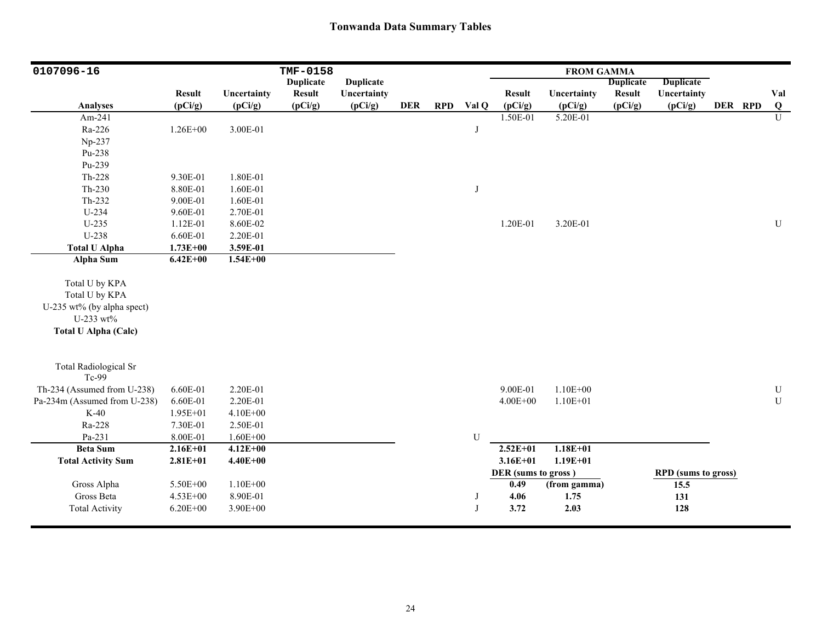| 0107096-16                                                                                                 |               |              | <b>TMF-0158</b>  |                  |            |            |              |                     | <b>FROM GAMMA</b> |                  |                            |         |                         |
|------------------------------------------------------------------------------------------------------------|---------------|--------------|------------------|------------------|------------|------------|--------------|---------------------|-------------------|------------------|----------------------------|---------|-------------------------|
|                                                                                                            |               |              | <b>Duplicate</b> | <b>Duplicate</b> |            |            |              |                     |                   | <b>Duplicate</b> | <b>Duplicate</b>           |         |                         |
|                                                                                                            | <b>Result</b> | Uncertainty  | <b>Result</b>    | Uncertainty      |            |            |              | <b>Result</b>       | Uncertainty       | <b>Result</b>    | Uncertainty                |         | Val                     |
| <b>Analyses</b>                                                                                            | (pCi/g)       | (pCi/g)      | (pCi/g)          | (pCi/g)          | <b>DER</b> | <b>RPD</b> | Val Q        | (pCi/g)             | (pCi/g)           | (pCi/g)          | (pCi/g)                    | DER RPD | $\overline{\mathbf{Q}}$ |
| Am-241                                                                                                     |               |              |                  |                  |            |            |              | 1.50E-01            | 5.20E-01          |                  |                            |         | $\overline{U}$          |
| Ra-226                                                                                                     | $1.26E + 00$  | 3.00E-01     |                  |                  |            |            | J            |                     |                   |                  |                            |         |                         |
| Np-237                                                                                                     |               |              |                  |                  |            |            |              |                     |                   |                  |                            |         |                         |
| Pu-238                                                                                                     |               |              |                  |                  |            |            |              |                     |                   |                  |                            |         |                         |
| Pu-239                                                                                                     |               |              |                  |                  |            |            |              |                     |                   |                  |                            |         |                         |
| Th-228                                                                                                     | 9.30E-01      | 1.80E-01     |                  |                  |            |            |              |                     |                   |                  |                            |         |                         |
| $Th-230$                                                                                                   | 8.80E-01      | 1.60E-01     |                  |                  |            |            | J            |                     |                   |                  |                            |         |                         |
| Th-232                                                                                                     | 9.00E-01      | 1.60E-01     |                  |                  |            |            |              |                     |                   |                  |                            |         |                         |
| U-234                                                                                                      | 9.60E-01      | 2.70E-01     |                  |                  |            |            |              |                     |                   |                  |                            |         |                         |
| $U-235$                                                                                                    | 1.12E-01      | 8.60E-02     |                  |                  |            |            |              | 1.20E-01            | 3.20E-01          |                  |                            |         | ${\bf U}$               |
| U-238                                                                                                      | 6.60E-01      | 2.20E-01     |                  |                  |            |            |              |                     |                   |                  |                            |         |                         |
| <b>Total U Alpha</b>                                                                                       | $1.73E + 00$  | 3.59E-01     |                  |                  |            |            |              |                     |                   |                  |                            |         |                         |
| <b>Alpha Sum</b>                                                                                           | $6.42E + 00$  | $1.54E + 00$ |                  |                  |            |            |              |                     |                   |                  |                            |         |                         |
| Total U by KPA<br>Total U by KPA<br>U-235 wt% (by alpha spect)<br>U-233 wt%<br><b>Total U Alpha (Calc)</b> |               |              |                  |                  |            |            |              |                     |                   |                  |                            |         |                         |
| <b>Total Radiological Sr</b><br>Tc-99                                                                      |               |              |                  |                  |            |            |              |                     |                   |                  |                            |         |                         |
| Th-234 (Assumed from U-238)                                                                                | 6.60E-01      | 2.20E-01     |                  |                  |            |            |              | 9.00E-01            | $1.10E + 00$      |                  |                            |         | ${\bf U}$               |
| Pa-234m (Assumed from U-238)                                                                               | 6.60E-01      | 2.20E-01     |                  |                  |            |            |              | $4.00E + 00$        | $1.10E + 01$      |                  |                            |         | U                       |
| $K-40$                                                                                                     | 1.95E+01      | $4.10E + 00$ |                  |                  |            |            |              |                     |                   |                  |                            |         |                         |
| Ra-228                                                                                                     | 7.30E-01      | 2.50E-01     |                  |                  |            |            |              |                     |                   |                  |                            |         |                         |
| Pa-231                                                                                                     | 8.00E-01      | $1.60E + 00$ |                  |                  |            |            | U            |                     |                   |                  |                            |         |                         |
| <b>Beta Sum</b>                                                                                            | $2.16E + 01$  | $4.12E + 00$ |                  |                  |            |            |              | $2.52E + 01$        | $1.18E + 01$      |                  |                            |         |                         |
| <b>Total Activity Sum</b>                                                                                  | $2.81E + 01$  | $4.40E + 00$ |                  |                  |            |            |              | $3.16E + 01$        | $1.19E + 01$      |                  |                            |         |                         |
|                                                                                                            |               |              |                  |                  |            |            |              | DER (sums to gross) |                   |                  | <b>RPD</b> (sums to gross) |         |                         |
| Gross Alpha                                                                                                | 5.50E+00      | $1.10E + 00$ |                  |                  |            |            |              | 0.49                | (from gamma)      |                  | 15.5                       |         |                         |
| Gross Beta                                                                                                 | 4.53E+00      | 8.90E-01     |                  |                  |            |            | J            | 4.06                | 1.75              |                  | 131                        |         |                         |
| <b>Total Activity</b>                                                                                      | $6.20E + 00$  | 3.90E+00     |                  |                  |            |            | $\mathbf{J}$ | 3.72                | 2.03              |                  | 128                        |         |                         |
|                                                                                                            |               |              |                  |                  |            |            |              |                     |                   |                  |                            |         |                         |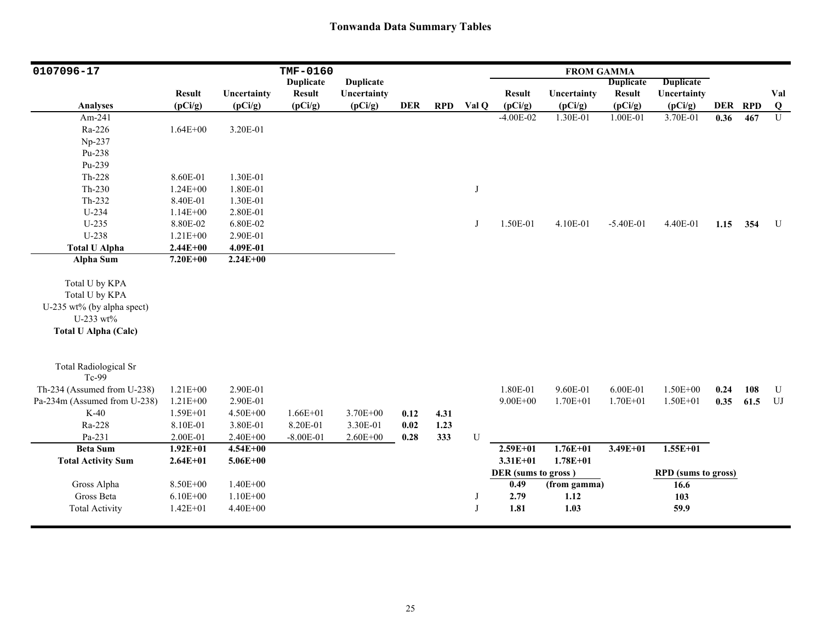| 0107096-17                   |               |              | TMF-0160         |                  |            |            |           |                     | <b>FROM GAMMA</b> |                  |                            |      |         |                |
|------------------------------|---------------|--------------|------------------|------------------|------------|------------|-----------|---------------------|-------------------|------------------|----------------------------|------|---------|----------------|
|                              |               |              | <b>Duplicate</b> | <b>Duplicate</b> |            |            |           |                     |                   | <b>Duplicate</b> | <b>Duplicate</b>           |      |         |                |
|                              | <b>Result</b> | Uncertainty  | <b>Result</b>    | Uncertainty      |            |            |           | <b>Result</b>       | Uncertainty       | <b>Result</b>    | Uncertainty                |      |         | Val            |
| Analyses                     | (pCi/g)       | (pCi/g)      | (pCi/g)          | (pCi/g)          | <b>DER</b> | <b>RPD</b> | Val Q     | (pCi/g)             | (pCi/g)           | (pCi/g)          | (pCi/g)                    |      | DER RPD | $\bf Q$        |
| Am-241                       |               |              |                  |                  |            |            |           | $-4.00E - 02$       | 1.30E-01          | 1.00E-01         | 3.70E-01                   | 0.36 | 467     | $\overline{U}$ |
| Ra-226                       | $1.64E + 00$  | 3.20E-01     |                  |                  |            |            |           |                     |                   |                  |                            |      |         |                |
| Np-237                       |               |              |                  |                  |            |            |           |                     |                   |                  |                            |      |         |                |
| Pu-238                       |               |              |                  |                  |            |            |           |                     |                   |                  |                            |      |         |                |
| Pu-239                       |               |              |                  |                  |            |            |           |                     |                   |                  |                            |      |         |                |
| Th-228                       | 8.60E-01      | 1.30E-01     |                  |                  |            |            |           |                     |                   |                  |                            |      |         |                |
| $Th-230$                     | $1.24E + 00$  | 1.80E-01     |                  |                  |            |            | J         |                     |                   |                  |                            |      |         |                |
| $Th-232$                     | 8.40E-01      | 1.30E-01     |                  |                  |            |            |           |                     |                   |                  |                            |      |         |                |
| U-234                        | $1.14E + 00$  | 2.80E-01     |                  |                  |            |            |           |                     |                   |                  |                            |      |         |                |
| $U-235$                      | 8.80E-02      | 6.80E-02     |                  |                  |            |            | J         | 1.50E-01            | 4.10E-01          | $-5.40E-01$      | 4.40E-01                   | 1.15 | 354     | U              |
| U-238                        | $1.21E + 00$  | 2.90E-01     |                  |                  |            |            |           |                     |                   |                  |                            |      |         |                |
| <b>Total U Alpha</b>         | $2.44E + 00$  | 4.09E-01     |                  |                  |            |            |           |                     |                   |                  |                            |      |         |                |
| Alpha Sum                    | $7.20E + 00$  | $2.24E + 00$ |                  |                  |            |            |           |                     |                   |                  |                            |      |         |                |
| Total U by KPA               |               |              |                  |                  |            |            |           |                     |                   |                  |                            |      |         |                |
| Total U by KPA               |               |              |                  |                  |            |            |           |                     |                   |                  |                            |      |         |                |
| U-235 wt% (by alpha spect)   |               |              |                  |                  |            |            |           |                     |                   |                  |                            |      |         |                |
| U-233 wt%                    |               |              |                  |                  |            |            |           |                     |                   |                  |                            |      |         |                |
|                              |               |              |                  |                  |            |            |           |                     |                   |                  |                            |      |         |                |
| <b>Total U Alpha (Calc)</b>  |               |              |                  |                  |            |            |           |                     |                   |                  |                            |      |         |                |
|                              |               |              |                  |                  |            |            |           |                     |                   |                  |                            |      |         |                |
| <b>Total Radiological Sr</b> |               |              |                  |                  |            |            |           |                     |                   |                  |                            |      |         |                |
| Tc-99                        |               |              |                  |                  |            |            |           |                     |                   |                  |                            |      |         |                |
| Th-234 (Assumed from U-238)  | $1.21E + 00$  | 2.90E-01     |                  |                  |            |            |           | 1.80E-01            | 9.60E-01          | 6.00E-01         | 1.50E+00                   | 0.24 | 108     | $\mathbf U$    |
| Pa-234m (Assumed from U-238) | $1.21E + 00$  | 2.90E-01     |                  |                  |            |            |           | $9.00E + 00$        | $1.70E + 01$      | $1.70E + 01$     | 1.50E+01                   | 0.35 | 61.5    | ${\rm UJ}$     |
| $K-40$                       | $1.59E + 01$  | $4.50E + 00$ | $1.66E + 01$     | $3.70E + 00$     | 0.12       | 4.31       |           |                     |                   |                  |                            |      |         |                |
| Ra-228                       | 8.10E-01      | 3.80E-01     | 8.20E-01         | 3.30E-01         | 0.02       | 1.23       |           |                     |                   |                  |                            |      |         |                |
| Pa-231                       | 2.00E-01      | $2.40E + 00$ | $-8.00E-01$      | $2.60E + 00$     | 0.28       | 333        | ${\bf U}$ |                     |                   |                  |                            |      |         |                |
| <b>Beta Sum</b>              | $1.92E + 01$  | $4.54E + 00$ |                  |                  |            |            |           | $2.59E + 01$        | $1.76E + 01$      | $3.49E + 01$     | $1.55E+01$                 |      |         |                |
| <b>Total Activity Sum</b>    | $2.64E + 01$  | $5.06E + 00$ |                  |                  |            |            |           | $3.31E + 01$        | $1.78E + 01$      |                  |                            |      |         |                |
|                              |               |              |                  |                  |            |            |           | DER (sums to gross) |                   |                  | <b>RPD</b> (sums to gross) |      |         |                |
| Gross Alpha                  | 8.50E+00      | $1.40E + 00$ |                  |                  |            |            |           | 0.49                | (from gamma)      |                  | 16.6                       |      |         |                |
| Gross Beta                   | $6.10E + 00$  | $1.10E + 00$ |                  |                  |            |            | J         | 2.79                | 1.12              |                  | 103                        |      |         |                |
| <b>Total Activity</b>        | $1.42E + 01$  | 4.40E+00     |                  |                  |            |            | J         | 1.81                | 1.03              |                  | 59.9                       |      |         |                |
|                              |               |              |                  |                  |            |            |           |                     |                   |                  |                            |      |         |                |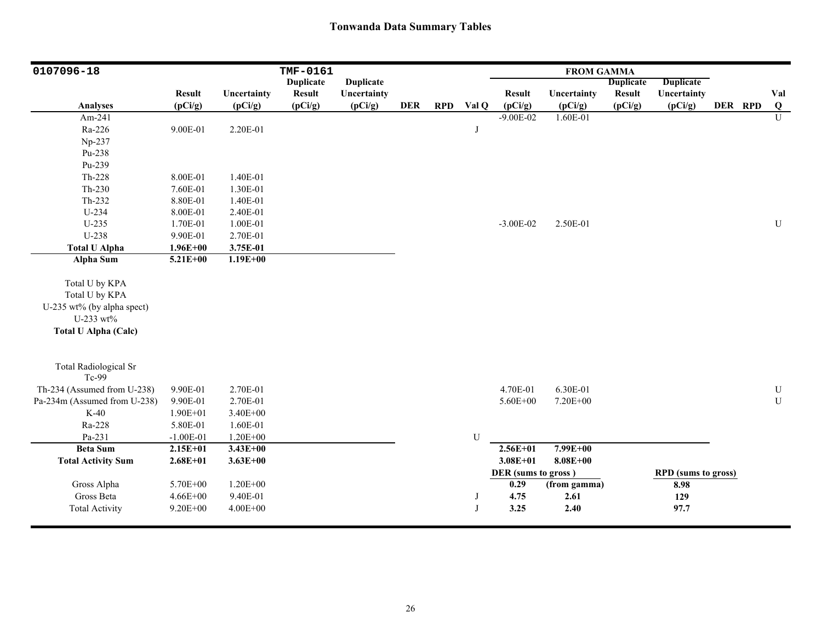| 0107096-18                   |               |              | TMF-0161         |                  |            |            |       |                     | <b>FROM GAMMA</b> |                  |                            |         |                         |
|------------------------------|---------------|--------------|------------------|------------------|------------|------------|-------|---------------------|-------------------|------------------|----------------------------|---------|-------------------------|
|                              |               |              | <b>Duplicate</b> | <b>Duplicate</b> |            |            |       |                     |                   | <b>Duplicate</b> | <b>Duplicate</b>           |         |                         |
|                              | <b>Result</b> | Uncertainty  | <b>Result</b>    | Uncertainty      |            |            |       | <b>Result</b>       | Uncertainty       | <b>Result</b>    | Uncertainty                |         | Val                     |
| <b>Analyses</b>              | (pCi/g)       | (pCi/g)      | (pCi/g)          | (pCi/g)          | <b>DER</b> | <b>RPD</b> | Val Q | (pCi/g)             | (pCi/g)           | (pCi/g)          | (pCi/g)                    | DER RPD | $\overline{\mathbf{Q}}$ |
| Am-241                       |               |              |                  |                  |            |            |       | $-9.00E - 02$       | $1.60E-01$        |                  |                            |         | $\overline{U}$          |
| Ra-226                       | 9.00E-01      | 2.20E-01     |                  |                  |            |            | J     |                     |                   |                  |                            |         |                         |
| Np-237                       |               |              |                  |                  |            |            |       |                     |                   |                  |                            |         |                         |
| Pu-238                       |               |              |                  |                  |            |            |       |                     |                   |                  |                            |         |                         |
| Pu-239                       |               |              |                  |                  |            |            |       |                     |                   |                  |                            |         |                         |
| $Th-228$                     | 8.00E-01      | 1.40E-01     |                  |                  |            |            |       |                     |                   |                  |                            |         |                         |
| $Th-230$                     | 7.60E-01      | 1.30E-01     |                  |                  |            |            |       |                     |                   |                  |                            |         |                         |
| $Th-232$                     | 8.80E-01      | 1.40E-01     |                  |                  |            |            |       |                     |                   |                  |                            |         |                         |
| U-234                        | 8.00E-01      | 2.40E-01     |                  |                  |            |            |       |                     |                   |                  |                            |         |                         |
| $U-235$                      | 1.70E-01      | 1.00E-01     |                  |                  |            |            |       | $-3.00E-02$         | 2.50E-01          |                  |                            |         | ${\bf U}$               |
| U-238                        | 9.90E-01      | 2.70E-01     |                  |                  |            |            |       |                     |                   |                  |                            |         |                         |
| <b>Total U Alpha</b>         | $1.96E + 00$  | 3.75E-01     |                  |                  |            |            |       |                     |                   |                  |                            |         |                         |
| <b>Alpha Sum</b>             | $5.21E + 00$  | $1.19E + 00$ |                  |                  |            |            |       |                     |                   |                  |                            |         |                         |
|                              |               |              |                  |                  |            |            |       |                     |                   |                  |                            |         |                         |
| Total U by KPA               |               |              |                  |                  |            |            |       |                     |                   |                  |                            |         |                         |
| Total U by KPA               |               |              |                  |                  |            |            |       |                     |                   |                  |                            |         |                         |
| U-235 wt% (by alpha spect)   |               |              |                  |                  |            |            |       |                     |                   |                  |                            |         |                         |
| U-233 wt%                    |               |              |                  |                  |            |            |       |                     |                   |                  |                            |         |                         |
| <b>Total U Alpha (Calc)</b>  |               |              |                  |                  |            |            |       |                     |                   |                  |                            |         |                         |
|                              |               |              |                  |                  |            |            |       |                     |                   |                  |                            |         |                         |
| <b>Total Radiological Sr</b> |               |              |                  |                  |            |            |       |                     |                   |                  |                            |         |                         |
| Tc-99                        |               |              |                  |                  |            |            |       |                     |                   |                  |                            |         |                         |
| Th-234 (Assumed from U-238)  | 9.90E-01      | 2.70E-01     |                  |                  |            |            |       | 4.70E-01            | 6.30E-01          |                  |                            |         | ${\bf U}$               |
| Pa-234m (Assumed from U-238) | 9.90E-01      | 2.70E-01     |                  |                  |            |            |       | 5.60E+00            | 7.20E+00          |                  |                            |         | ${\bf U}$               |
| $K-40$                       | $1.90E + 01$  | 3.40E+00     |                  |                  |            |            |       |                     |                   |                  |                            |         |                         |
| Ra-228                       | 5.80E-01      | 1.60E-01     |                  |                  |            |            |       |                     |                   |                  |                            |         |                         |
| Pa-231                       | $-1.00E-01$   | $1.20E + 00$ |                  |                  |            |            | U     |                     |                   |                  |                            |         |                         |
| <b>Beta Sum</b>              | $2.15E + 01$  | $3.43E + 00$ |                  |                  |            |            |       | $2.56E + 01$        | $7.99E + 00$      |                  |                            |         |                         |
| <b>Total Activity Sum</b>    | $2.68E + 01$  | $3.63E + 00$ |                  |                  |            |            |       | $3.08E + 01$        | $8.08E + 00$      |                  |                            |         |                         |
|                              |               |              |                  |                  |            |            |       | DER (sums to gross) |                   |                  | <b>RPD</b> (sums to gross) |         |                         |
| Gross Alpha                  | 5.70E+00      | $1.20E + 00$ |                  |                  |            |            |       | 0.29                | (from gamma)      |                  | 8.98                       |         |                         |
| Gross Beta                   | $4.66E + 00$  | 9.40E-01     |                  |                  |            |            | J     | 4.75                | 2.61              |                  | 129                        |         |                         |
| <b>Total Activity</b>        | $9.20E + 00$  | $4.00E + 00$ |                  |                  |            |            | J     | 3.25                | 2.40              |                  | 97.7                       |         |                         |
|                              |               |              |                  |                  |            |            |       |                     |                   |                  |                            |         |                         |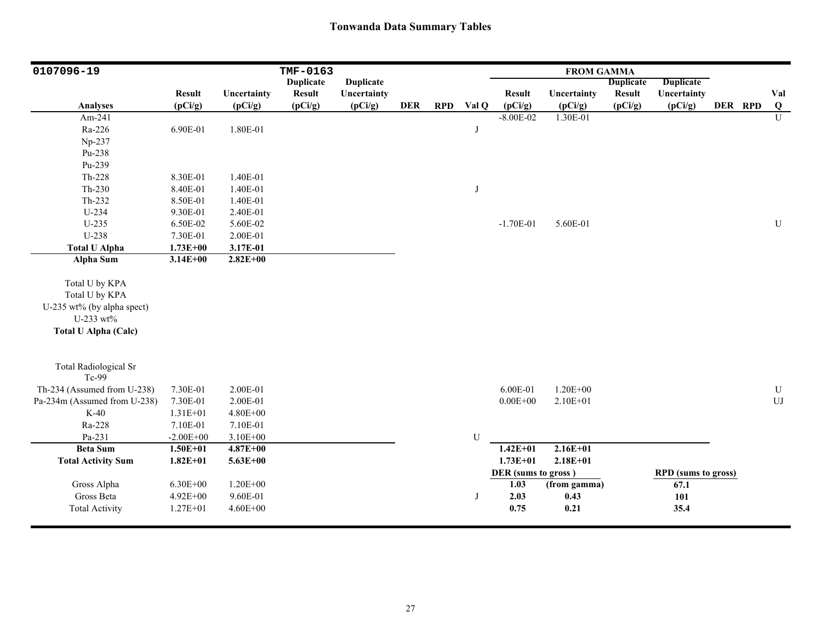| 0107096-19                   |               |              | TMF-0163         |                  |            |            |       |                     | <b>FROM GAMMA</b> |                  |                            |         |                         |
|------------------------------|---------------|--------------|------------------|------------------|------------|------------|-------|---------------------|-------------------|------------------|----------------------------|---------|-------------------------|
|                              |               |              | <b>Duplicate</b> | <b>Duplicate</b> |            |            |       |                     |                   | <b>Duplicate</b> | <b>Duplicate</b>           |         |                         |
|                              | <b>Result</b> | Uncertainty  | <b>Result</b>    | Uncertainty      |            |            |       | <b>Result</b>       | Uncertainty       | <b>Result</b>    | Uncertainty                |         | Val                     |
| <b>Analyses</b>              | (pCi/g)       | (pCi/g)      | (pCi/g)          | (pCi/g)          | <b>DER</b> | <b>RPD</b> | Val Q | (pCi/g)             | (pCi/g)           | (pCi/g)          | (pCi/g)                    | DER RPD | $\overline{\mathbf{Q}}$ |
| Am-241                       |               |              |                  |                  |            |            |       | $-8.00E - 02$       | 1.30E-01          |                  |                            |         | $\mathbf{U}$            |
| Ra-226                       | 6.90E-01      | 1.80E-01     |                  |                  |            |            | J     |                     |                   |                  |                            |         |                         |
| Np-237                       |               |              |                  |                  |            |            |       |                     |                   |                  |                            |         |                         |
| Pu-238                       |               |              |                  |                  |            |            |       |                     |                   |                  |                            |         |                         |
| Pu-239                       |               |              |                  |                  |            |            |       |                     |                   |                  |                            |         |                         |
| $Th-228$                     | 8.30E-01      | 1.40E-01     |                  |                  |            |            |       |                     |                   |                  |                            |         |                         |
| $Th-230$                     | 8.40E-01      | 1.40E-01     |                  |                  |            |            | J     |                     |                   |                  |                            |         |                         |
| Th-232                       | 8.50E-01      | 1.40E-01     |                  |                  |            |            |       |                     |                   |                  |                            |         |                         |
| U-234                        | 9.30E-01      | 2.40E-01     |                  |                  |            |            |       |                     |                   |                  |                            |         |                         |
| $U-235$                      | 6.50E-02      | 5.60E-02     |                  |                  |            |            |       | $-1.70E-01$         | 5.60E-01          |                  |                            |         | ${\bf U}$               |
| U-238                        | 7.30E-01      | 2.00E-01     |                  |                  |            |            |       |                     |                   |                  |                            |         |                         |
| <b>Total U Alpha</b>         | $1.73E + 00$  | 3.17E-01     |                  |                  |            |            |       |                     |                   |                  |                            |         |                         |
| <b>Alpha Sum</b>             | $3.14E + 00$  | $2.82E + 00$ |                  |                  |            |            |       |                     |                   |                  |                            |         |                         |
|                              |               |              |                  |                  |            |            |       |                     |                   |                  |                            |         |                         |
| Total U by KPA               |               |              |                  |                  |            |            |       |                     |                   |                  |                            |         |                         |
| Total U by KPA               |               |              |                  |                  |            |            |       |                     |                   |                  |                            |         |                         |
| U-235 wt% (by alpha spect)   |               |              |                  |                  |            |            |       |                     |                   |                  |                            |         |                         |
| U-233 wt%                    |               |              |                  |                  |            |            |       |                     |                   |                  |                            |         |                         |
| <b>Total U Alpha (Calc)</b>  |               |              |                  |                  |            |            |       |                     |                   |                  |                            |         |                         |
|                              |               |              |                  |                  |            |            |       |                     |                   |                  |                            |         |                         |
| <b>Total Radiological Sr</b> |               |              |                  |                  |            |            |       |                     |                   |                  |                            |         |                         |
| Tc-99                        |               |              |                  |                  |            |            |       |                     |                   |                  |                            |         |                         |
| Th-234 (Assumed from U-238)  | 7.30E-01      | 2.00E-01     |                  |                  |            |            |       | 6.00E-01            | $1.20E + 00$      |                  |                            |         | ${\bf U}$               |
| Pa-234m (Assumed from U-238) | 7.30E-01      | 2.00E-01     |                  |                  |            |            |       | $0.00E + 00$        | 2.10E+01          |                  |                            |         | ${\rm UJ}$              |
| $K-40$                       | 1.31E+01      | $4.80E + 00$ |                  |                  |            |            |       |                     |                   |                  |                            |         |                         |
| Ra-228                       | 7.10E-01      | 7.10E-01     |                  |                  |            |            |       |                     |                   |                  |                            |         |                         |
| Pa-231                       | $-2.00E + 00$ | $3.10E + 00$ |                  |                  |            |            | U     |                     |                   |                  |                            |         |                         |
| <b>Beta Sum</b>              | $1.50E + 01$  | $4.87E + 00$ |                  |                  |            |            |       | $1.42E + 01$        | $2.16E + 01$      |                  |                            |         |                         |
| <b>Total Activity Sum</b>    | $1.82E + 01$  | $5.63E + 00$ |                  |                  |            |            |       | $1.73E + 01$        | $2.18E + 01$      |                  |                            |         |                         |
|                              |               |              |                  |                  |            |            |       | DER (sums to gross) |                   |                  | <b>RPD</b> (sums to gross) |         |                         |
| Gross Alpha                  | $6.30E + 00$  | $1.20E + 00$ |                  |                  |            |            |       | 1.03                | (from gamma)      |                  | 67.1                       |         |                         |
| Gross Beta                   | 4.92E+00      | 9.60E-01     |                  |                  |            |            | J     | 2.03                | 0.43              |                  | 101                        |         |                         |
| <b>Total Activity</b>        | $1.27E + 01$  | $4.60E + 00$ |                  |                  |            |            |       | 0.75                | 0.21              |                  | 35.4                       |         |                         |
|                              |               |              |                  |                  |            |            |       |                     |                   |                  |                            |         |                         |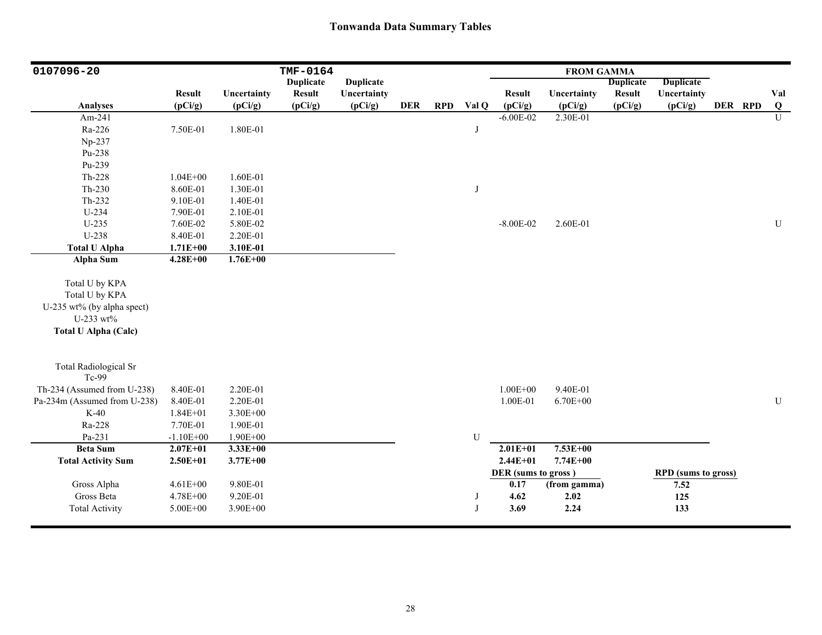| <b>Duplicate</b><br><b>Duplicate</b><br><b>Duplicate</b><br><b>Duplicate</b><br><b>Result</b><br>Uncertainty<br><b>Result</b><br>Uncertainty<br><b>Result</b><br>Uncertainty<br><b>Result</b><br>Uncertainty<br>Val<br>(pCi/g)<br>(pCi/g)<br>(pCi/g)<br><b>RPD</b><br>Val Q<br>(pCi/g)<br>DER RPD<br>Q<br><b>Analyses</b><br>(pCi/g)<br><b>DER</b><br>(pCi/g)<br>(pCi/g)<br>(pCi/g)<br>$\overline{U}$<br>2.30E-01<br>Am-241<br>$-6.00E - 02$<br>Ra-226<br>1.80E-01<br>7.50E-01<br>J<br>Np-237<br>Pu-238<br>Pu-239<br>Th-228<br>$1.04E + 00$<br>1.60E-01<br>$Th-230$<br>8.60E-01<br>1.30E-01<br>J<br>Th-232<br>9.10E-01<br>1.40E-01<br>U-234<br>7.90E-01<br>2.10E-01<br>$U-235$<br>$-8.00E - 02$<br>2.60E-01<br>${\bf U}$<br>7.60E-02<br>5.80E-02<br>U-238<br>8.40E-01<br>2.20E-01 | 0107096-20           |              |          | TMF-0164 |  |  | <b>FROM GAMMA</b> |  |  |  |
|-----------------------------------------------------------------------------------------------------------------------------------------------------------------------------------------------------------------------------------------------------------------------------------------------------------------------------------------------------------------------------------------------------------------------------------------------------------------------------------------------------------------------------------------------------------------------------------------------------------------------------------------------------------------------------------------------------------------------------------------------------------------------------------|----------------------|--------------|----------|----------|--|--|-------------------|--|--|--|
|                                                                                                                                                                                                                                                                                                                                                                                                                                                                                                                                                                                                                                                                                                                                                                                   |                      |              |          |          |  |  |                   |  |  |  |
|                                                                                                                                                                                                                                                                                                                                                                                                                                                                                                                                                                                                                                                                                                                                                                                   |                      |              |          |          |  |  |                   |  |  |  |
|                                                                                                                                                                                                                                                                                                                                                                                                                                                                                                                                                                                                                                                                                                                                                                                   |                      |              |          |          |  |  |                   |  |  |  |
|                                                                                                                                                                                                                                                                                                                                                                                                                                                                                                                                                                                                                                                                                                                                                                                   |                      |              |          |          |  |  |                   |  |  |  |
|                                                                                                                                                                                                                                                                                                                                                                                                                                                                                                                                                                                                                                                                                                                                                                                   |                      |              |          |          |  |  |                   |  |  |  |
|                                                                                                                                                                                                                                                                                                                                                                                                                                                                                                                                                                                                                                                                                                                                                                                   |                      |              |          |          |  |  |                   |  |  |  |
|                                                                                                                                                                                                                                                                                                                                                                                                                                                                                                                                                                                                                                                                                                                                                                                   |                      |              |          |          |  |  |                   |  |  |  |
|                                                                                                                                                                                                                                                                                                                                                                                                                                                                                                                                                                                                                                                                                                                                                                                   |                      |              |          |          |  |  |                   |  |  |  |
|                                                                                                                                                                                                                                                                                                                                                                                                                                                                                                                                                                                                                                                                                                                                                                                   |                      |              |          |          |  |  |                   |  |  |  |
|                                                                                                                                                                                                                                                                                                                                                                                                                                                                                                                                                                                                                                                                                                                                                                                   |                      |              |          |          |  |  |                   |  |  |  |
|                                                                                                                                                                                                                                                                                                                                                                                                                                                                                                                                                                                                                                                                                                                                                                                   |                      |              |          |          |  |  |                   |  |  |  |
|                                                                                                                                                                                                                                                                                                                                                                                                                                                                                                                                                                                                                                                                                                                                                                                   |                      |              |          |          |  |  |                   |  |  |  |
|                                                                                                                                                                                                                                                                                                                                                                                                                                                                                                                                                                                                                                                                                                                                                                                   |                      |              |          |          |  |  |                   |  |  |  |
|                                                                                                                                                                                                                                                                                                                                                                                                                                                                                                                                                                                                                                                                                                                                                                                   |                      |              |          |          |  |  |                   |  |  |  |
|                                                                                                                                                                                                                                                                                                                                                                                                                                                                                                                                                                                                                                                                                                                                                                                   | <b>Total U Alpha</b> | $1.71E + 00$ | 3.10E-01 |          |  |  |                   |  |  |  |
| $1.76E + 00$<br><b>Alpha Sum</b><br>$4.28E + 00$                                                                                                                                                                                                                                                                                                                                                                                                                                                                                                                                                                                                                                                                                                                                  |                      |              |          |          |  |  |                   |  |  |  |
|                                                                                                                                                                                                                                                                                                                                                                                                                                                                                                                                                                                                                                                                                                                                                                                   |                      |              |          |          |  |  |                   |  |  |  |
| Total U by KPA                                                                                                                                                                                                                                                                                                                                                                                                                                                                                                                                                                                                                                                                                                                                                                    |                      |              |          |          |  |  |                   |  |  |  |
| Total U by KPA                                                                                                                                                                                                                                                                                                                                                                                                                                                                                                                                                                                                                                                                                                                                                                    |                      |              |          |          |  |  |                   |  |  |  |
| U-235 wt% (by alpha spect)                                                                                                                                                                                                                                                                                                                                                                                                                                                                                                                                                                                                                                                                                                                                                        |                      |              |          |          |  |  |                   |  |  |  |
| U-233 wt%                                                                                                                                                                                                                                                                                                                                                                                                                                                                                                                                                                                                                                                                                                                                                                         |                      |              |          |          |  |  |                   |  |  |  |
| <b>Total U Alpha (Calc)</b>                                                                                                                                                                                                                                                                                                                                                                                                                                                                                                                                                                                                                                                                                                                                                       |                      |              |          |          |  |  |                   |  |  |  |
|                                                                                                                                                                                                                                                                                                                                                                                                                                                                                                                                                                                                                                                                                                                                                                                   |                      |              |          |          |  |  |                   |  |  |  |
|                                                                                                                                                                                                                                                                                                                                                                                                                                                                                                                                                                                                                                                                                                                                                                                   |                      |              |          |          |  |  |                   |  |  |  |
| <b>Total Radiological Sr</b>                                                                                                                                                                                                                                                                                                                                                                                                                                                                                                                                                                                                                                                                                                                                                      |                      |              |          |          |  |  |                   |  |  |  |
| Tc-99                                                                                                                                                                                                                                                                                                                                                                                                                                                                                                                                                                                                                                                                                                                                                                             |                      |              |          |          |  |  |                   |  |  |  |
| Th-234 (Assumed from U-238)<br>9.40E-01<br>8.40E-01<br>2.20E-01<br>$1.00E + 00$                                                                                                                                                                                                                                                                                                                                                                                                                                                                                                                                                                                                                                                                                                   |                      |              |          |          |  |  |                   |  |  |  |
| Pa-234m (Assumed from U-238)<br>1.00E-01<br>${\bf U}$<br>8.40E-01<br>2.20E-01<br>$6.70E + 00$                                                                                                                                                                                                                                                                                                                                                                                                                                                                                                                                                                                                                                                                                     |                      |              |          |          |  |  |                   |  |  |  |
| $K-40$<br>$1.84E + 01$<br>3.30E+00                                                                                                                                                                                                                                                                                                                                                                                                                                                                                                                                                                                                                                                                                                                                                |                      |              |          |          |  |  |                   |  |  |  |
| Ra-228<br>7.70E-01<br>1.90E-01                                                                                                                                                                                                                                                                                                                                                                                                                                                                                                                                                                                                                                                                                                                                                    |                      |              |          |          |  |  |                   |  |  |  |
| Pa-231<br>$-1.10E + 00$<br>1.90E+00<br>U                                                                                                                                                                                                                                                                                                                                                                                                                                                                                                                                                                                                                                                                                                                                          |                      |              |          |          |  |  |                   |  |  |  |
| $7.53E + 00$<br><b>Beta Sum</b><br>$2.07E + 01$<br>$3.33E + 00$<br>$2.01E + 01$                                                                                                                                                                                                                                                                                                                                                                                                                                                                                                                                                                                                                                                                                                   |                      |              |          |          |  |  |                   |  |  |  |
| $2.44E + 01$<br>7.74E+00<br><b>Total Activity Sum</b><br>$2.50E + 01$<br>$3.77E + 00$                                                                                                                                                                                                                                                                                                                                                                                                                                                                                                                                                                                                                                                                                             |                      |              |          |          |  |  |                   |  |  |  |
|                                                                                                                                                                                                                                                                                                                                                                                                                                                                                                                                                                                                                                                                                                                                                                                   |                      |              |          |          |  |  |                   |  |  |  |
| DER (sums to gross)<br><b>RPD</b> (sums to gross)                                                                                                                                                                                                                                                                                                                                                                                                                                                                                                                                                                                                                                                                                                                                 |                      |              |          |          |  |  |                   |  |  |  |
| Gross Alpha<br>9.80E-01<br>$\overline{0.17}$<br>$4.61E + 00$<br>7.52<br>(from gamma)                                                                                                                                                                                                                                                                                                                                                                                                                                                                                                                                                                                                                                                                                              |                      |              |          |          |  |  |                   |  |  |  |
| Gross Beta<br>4.62<br>4.78E+00<br>9.20E-01<br>2.02<br>125<br>J                                                                                                                                                                                                                                                                                                                                                                                                                                                                                                                                                                                                                                                                                                                    |                      |              |          |          |  |  |                   |  |  |  |
| 3.69<br>2.24<br><b>Total Activity</b><br>5.00E+00<br>3.90E+00<br>133<br>J                                                                                                                                                                                                                                                                                                                                                                                                                                                                                                                                                                                                                                                                                                         |                      |              |          |          |  |  |                   |  |  |  |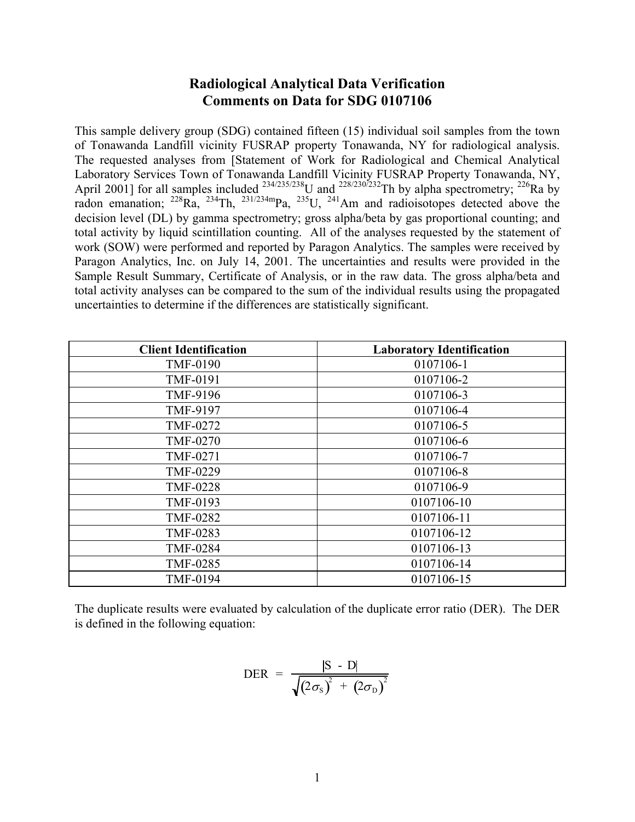# **Radiological Analytical Data Verification Comments on Data for SDG 0107106**

This sample delivery group (SDG) contained fifteen (15) individual soil samples from the town of Tonawanda Landfill vicinity FUSRAP property Tonawanda, NY for radiological analysis. The requested analyses from [Statement of Work for Radiological and Chemical Analytical Laboratory Services Town of Tonawanda Landfill Vicinity FUSRAP Property Tonawanda, NY, April 2001] for all samples included  $^{234/235/238}$ U and  $^{228/230/232}$ Th by alpha spectrometry;  $^{226}$ Ra by radon emanation;  $^{228}Ra$ ,  $^{234}Th$ ,  $^{231/234m}Pa$ ,  $^{235}U$ ,  $^{241}Am$  and radioisotopes detected above the decision level (DL) by gamma spectrometry; gross alpha/beta by gas proportional counting; and total activity by liquid scintillation counting. All of the analyses requested by the statement of work (SOW) were performed and reported by Paragon Analytics. The samples were received by Paragon Analytics, Inc. on July 14, 2001. The uncertainties and results were provided in the Sample Result Summary, Certificate of Analysis, or in the raw data. The gross alpha/beta and total activity analyses can be compared to the sum of the individual results using the propagated uncertainties to determine if the differences are statistically significant.

| <b>Client Identification</b> | <b>Laboratory Identification</b> |
|------------------------------|----------------------------------|
| <b>TMF-0190</b>              | 0107106-1                        |
| TMF-0191                     | 0107106-2                        |
| TMF-9196                     | 0107106-3                        |
| TMF-9197                     | 0107106-4                        |
| <b>TMF-0272</b>              | 0107106-5                        |
| <b>TMF-0270</b>              | 0107106-6                        |
| TMF-0271                     | 0107106-7                        |
| <b>TMF-0229</b>              | 0107106-8                        |
| <b>TMF-0228</b>              | 0107106-9                        |
| TMF-0193                     | 0107106-10                       |
| <b>TMF-0282</b>              | 0107106-11                       |
| TMF-0283                     | 0107106-12                       |
| <b>TMF-0284</b>              | 0107106-13                       |
| <b>TMF-0285</b>              | 0107106-14                       |
| <b>TMF-0194</b>              | 0107106-15                       |

The duplicate results were evaluated by calculation of the duplicate error ratio (DER). The DER is defined in the following equation:

$$
\text{DER} = \frac{|\text{S} - \text{D}|}{\sqrt{(2\sigma_{\text{S}})^{2} + (2\sigma_{\text{D}})^{2}}}
$$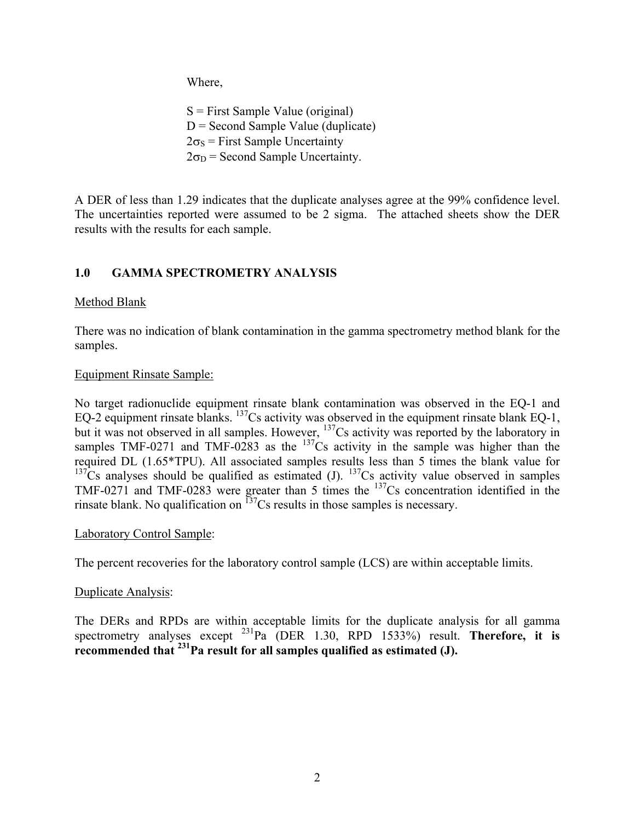Where,

 $S =$  First Sample Value (original)  $D =$  Second Sample Value (duplicate)  $2\sigma_s$  = First Sample Uncertainty  $2\sigma_D$  = Second Sample Uncertainty.

A DER of less than 1.29 indicates that the duplicate analyses agree at the 99% confidence level. The uncertainties reported were assumed to be 2 sigma. The attached sheets show the DER results with the results for each sample.

# **1.0 GAMMA SPECTROMETRY ANALYSIS**

# Method Blank

There was no indication of blank contamination in the gamma spectrometry method blank for the samples.

# Equipment Rinsate Sample:

No target radionuclide equipment rinsate blank contamination was observed in the EQ-1 and EQ-2 equipment rinsate blanks.  $^{137}Cs$  activity was observed in the equipment rinsate blank EQ-1, but it was not observed in all samples. However, <sup>137</sup>Cs activity was reported by the laboratory in samples TMF-0271 and TMF-0283 as the  $137Cs$  activity in the sample was higher than the required DL (1.65\*TPU). All associated samples results less than 5 times the blank value for  $137Cs$  analyses should be qualified as estimated (J).  $137Cs$  activity value observed in samples TMF-0271 and TMF-0283 were greater than 5 times the  $137Cs$  concentration identified in the rinsate blank. No qualification on  $137$ Cs results in those samples is necessary.

### Laboratory Control Sample:

The percent recoveries for the laboratory control sample (LCS) are within acceptable limits.

### Duplicate Analysis:

The DERs and RPDs are within acceptable limits for the duplicate analysis for all gamma spectrometry analyses except <sup>231</sup>Pa (DER 1.30, RPD 1533%) result. **Therefore, it is recommended that 231Pa result for all samples qualified as estimated (J).**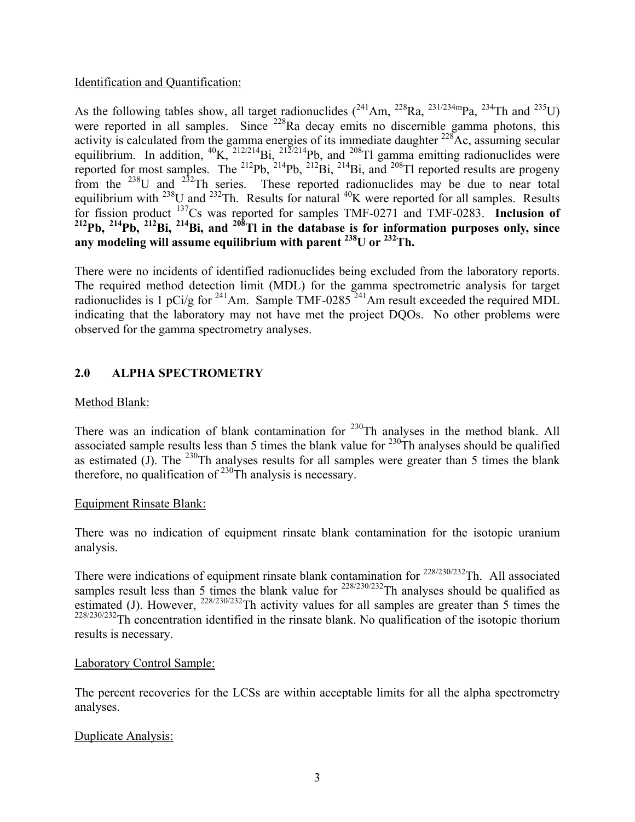### Identification and Quantification:

As the following tables show, all target radionuclides  $(^{241}Am$ ,  $^{228}Ra$ ,  $^{231/234m}Pa$ ,  $^{234}Th$  and  $^{235}U$ ) were reported in all samples. Since <sup>228</sup>Ra decay emits no discernible gamma photons, this activity is calculated from the gamma energies of its immediate daughter <sup>228</sup>Ac, assuming secular equilibrium. In addition,  ${}^{40}K$ ,  ${}^{212/214}Bi$ ,  ${}^{212/214}Pb$ , and  ${}^{208}Ti$  gamma emitting radionuclides were reported for most samples. The <sup>212</sup>Pb, <sup>212</sup>Bi, <sup>214</sup>Bi, and <sup>208</sup>Tl reported results are progeny from the <sup>238</sup>U and <sup>232</sup>Th series. These reported radionuclides may be due to near total equilibrium with  $^{238}$ U and  $^{232}$ Th. Results for natural  $^{40}$ K were reported for all samples. Results for fission product 137Cs was reported for samples TMF-0271 and TMF-0283. **Inclusion of 212Pb, 214Pb, 212Bi, 214Bi, and 208Tl in the database is for information purposes only, since any modeling will assume equilibrium with parent 238U or 232Th.** 

There were no incidents of identified radionuclides being excluded from the laboratory reports. The required method detection limit (MDL) for the gamma spectrometric analysis for target radionuclides is 1 pCi/g for <sup>241</sup>Am. Sample TMF-0285<sup> $241$ </sup>Am result exceeded the required MDL indicating that the laboratory may not have met the project DQOs. No other problems were observed for the gamma spectrometry analyses.

# **2.0 ALPHA SPECTROMETRY**

### Method Blank:

There was an indication of blank contamination for  $230$ Th analyses in the method blank. All associated sample results less than 5 times the blank value for  $^{230}$ Th analyses should be qualified as estimated (J). The  $^{230}$ Th analyses results for all samples were greater than 5 times the blank therefore, no qualification of  $230$ Th analysis is necessary.

#### Equipment Rinsate Blank:

There was no indication of equipment rinsate blank contamination for the isotopic uranium analysis.

There were indications of equipment rinsate blank contamination for <sup>228/230/232</sup>Th. All associated samples result less than 5 times the blank value for  $228/230/232$ Th analyses should be qualified as estimated (J). However,  $^{228/230/232}$ Th activity values for all samples are greater than 5 times the  $228/230/232$ Th concentration identified in the rinsate blank. No qualification of the isotopic thorium results is necessary.

#### Laboratory Control Sample:

The percent recoveries for the LCSs are within acceptable limits for all the alpha spectrometry analyses.

### Duplicate Analysis: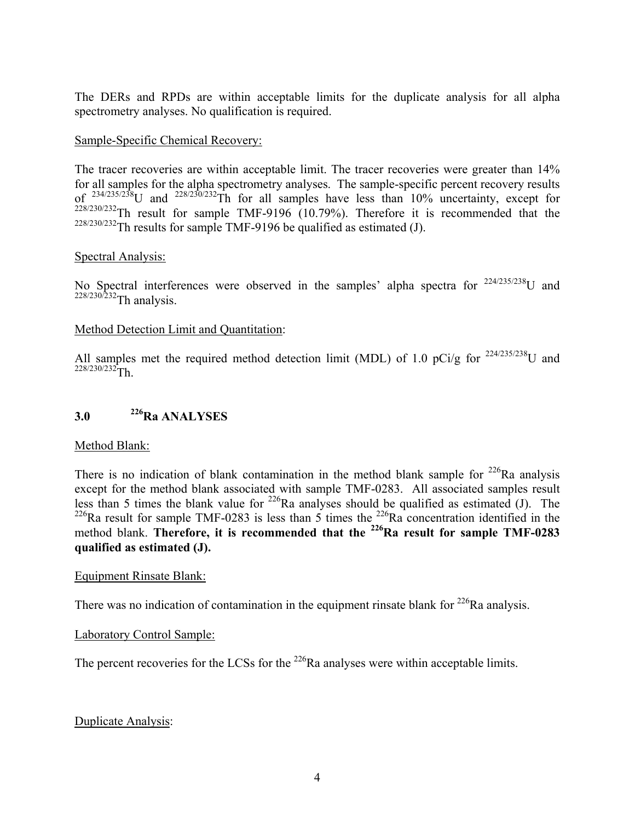The DERs and RPDs are within acceptable limits for the duplicate analysis for all alpha spectrometry analyses. No qualification is required.

#### Sample-Specific Chemical Recovery:

The tracer recoveries are within acceptable limit. The tracer recoveries were greater than 14% for all samples for the alpha spectrometry analyses. The sample-specific percent recovery results of  $^{234/235/238}$ U and  $^{228/230/232}$ Th for all samples have less than 10% uncertainty, except for 228/230/232Th result for sample TMF-9196 (10.79%). Therefore it is recommended that the  $228/230/232$ Th results for sample TMF-9196 be qualified as estimated (J).

#### Spectral Analysis:

No Spectral interferences were observed in the samples' alpha spectra for  $224/235/238$ U and  $228/230/232$ Th analysis.

#### Method Detection Limit and Quantitation:

All samples met the required method detection limit (MDL) of 1.0 pCi/g for  $^{224/235/238}$ U and  $228/230/232$ Th.

# **3.0 226Ra ANALYSES**

#### Method Blank:

There is no indication of blank contamination in the method blank sample for  $226$ Ra analysis except for the method blank associated with sample TMF-0283. All associated samples result less than 5 times the blank value for <sup>226</sup>Ra analyses should be qualified as estimated (J). The <sup>226</sup>Ra result for sample TMF-0283 is less than 5 times the <sup>226</sup>Ra concentration identified in the method blank. Therefore, it is recommended that the <sup>226</sup>Ra result for sample TMF-0283 **qualified as estimated (J).** 

#### Equipment Rinsate Blank:

There was no indication of contamination in the equipment rinsate blank for  $^{226}$ Ra analysis.

#### Laboratory Control Sample:

The percent recoveries for the LCSs for the  $^{226}$ Ra analyses were within acceptable limits.

### Duplicate Analysis: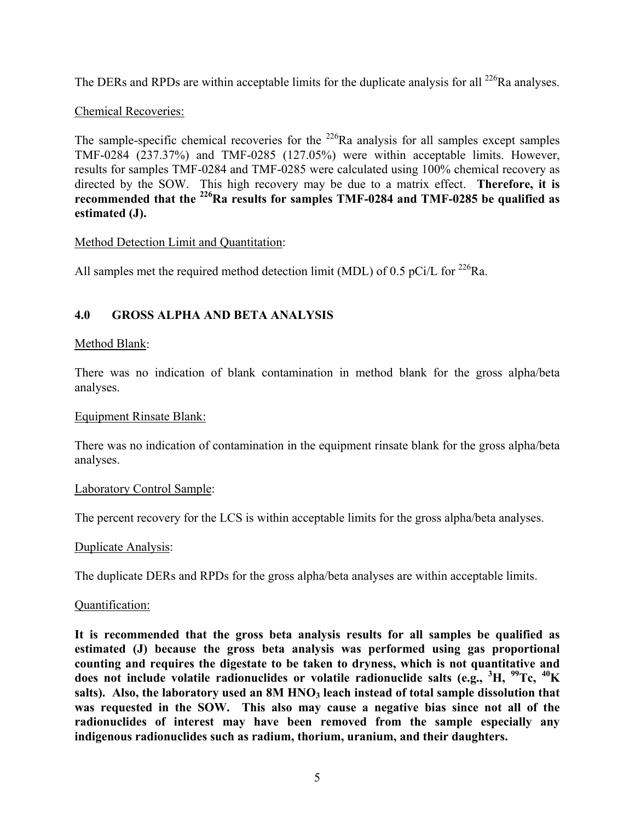The DERs and RPDs are within acceptable limits for the duplicate analysis for all  $^{226}$ Ra analyses.

# Chemical Recoveries:

The sample-specific chemical recoveries for the  $^{226}$ Ra analysis for all samples except samples TMF-0284 (237.37%) and TMF-0285 (127.05%) were within acceptable limits. However, results for samples TMF-0284 and TMF-0285 were calculated using 100% chemical recovery as directed by the SOW. This high recovery may be due to a matrix effect. **Therefore, it is recommended that the 226Ra results for samples TMF-0284 and TMF-0285 be qualified as estimated (J).** 

### Method Detection Limit and Quantitation:

All samples met the required method detection limit (MDL) of 0.5 pCi/L for  $^{226}$ Ra.

# **4.0 GROSS ALPHA AND BETA ANALYSIS**

### Method Blank:

There was no indication of blank contamination in method blank for the gross alpha/beta analyses.

#### Equipment Rinsate Blank:

There was no indication of contamination in the equipment rinsate blank for the gross alpha/beta analyses.

#### Laboratory Control Sample:

The percent recovery for the LCS is within acceptable limits for the gross alpha/beta analyses.

#### Duplicate Analysis:

The duplicate DERs and RPDs for the gross alpha/beta analyses are within acceptable limits.

#### Quantification:

**It is recommended that the gross beta analysis results for all samples be qualified as estimated (J) because the gross beta analysis was performed using gas proportional counting and requires the digestate to be taken to dryness, which is not quantitative and does not include volatile radionuclides or volatile radionuclide salts (e.g., <sup>3</sup> H, 99Tc, 40K**  salts). Also, the laboratory used an 8M HNO<sub>3</sub> leach instead of total sample dissolution that **was requested in the SOW. This also may cause a negative bias since not all of the radionuclides of interest may have been removed from the sample especially any indigenous radionuclides such as radium, thorium, uranium, and their daughters.**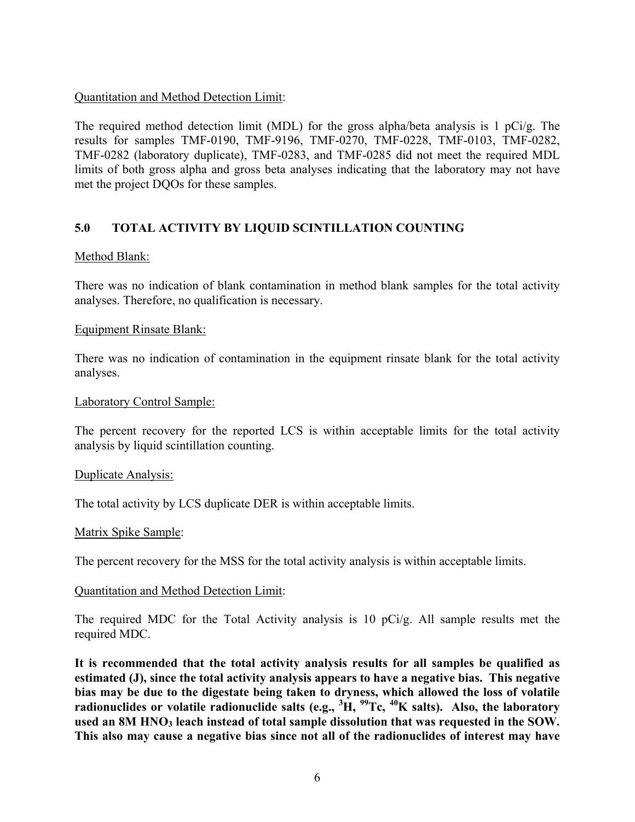## Quantitation and Method Detection Limit:

The required method detection limit (MDL) for the gross alpha/beta analysis is 1 pCi/g. The results for samples TMF-0190, TMF-9196, TMF-0270, TMF-0228, TMF-0103, TMF-0282, TMF-0282 (laboratory duplicate), TMF-0283, and TMF-0285 did not meet the required MDL limits of both gross alpha and gross beta analyses indicating that the laboratory may not have met the project DQOs for these samples.

## **5.0 TOTAL ACTIVITY BY LIQUID SCINTILLATION COUNTING**

## Method Blank:

There was no indication of blank contamination in method blank samples for the total activity analyses. Therefore, no qualification is necessary.

## Equipment Rinsate Blank:

There was no indication of contamination in the equipment rinsate blank for the total activity analyses.

## Laboratory Control Sample:

The percent recovery for the reported LCS is within acceptable limits for the total activity analysis by liquid scintillation counting.

## Duplicate Analysis:

The total activity by LCS duplicate DER is within acceptable limits.

## Matrix Spike Sample:

The percent recovery for the MSS for the total activity analysis is within acceptable limits.

## Quantitation and Method Detection Limit:

The required MDC for the Total Activity analysis is 10 pCi/g. All sample results met the required MDC.

**It is recommended that the total activity analysis results for all samples be qualified as estimated (J), since the total activity analysis appears to have a negative bias. This negative bias may be due to the digestate being taken to dryness, which allowed the loss of volatile radionuclides or volatile radionuclide salts (e.g., <sup>3</sup> H, 99Tc, 40K salts). Also, the laboratory**  used an 8M HNO<sub>3</sub> leach instead of total sample dissolution that was requested in the SOW. **This also may cause a negative bias since not all of the radionuclides of interest may have**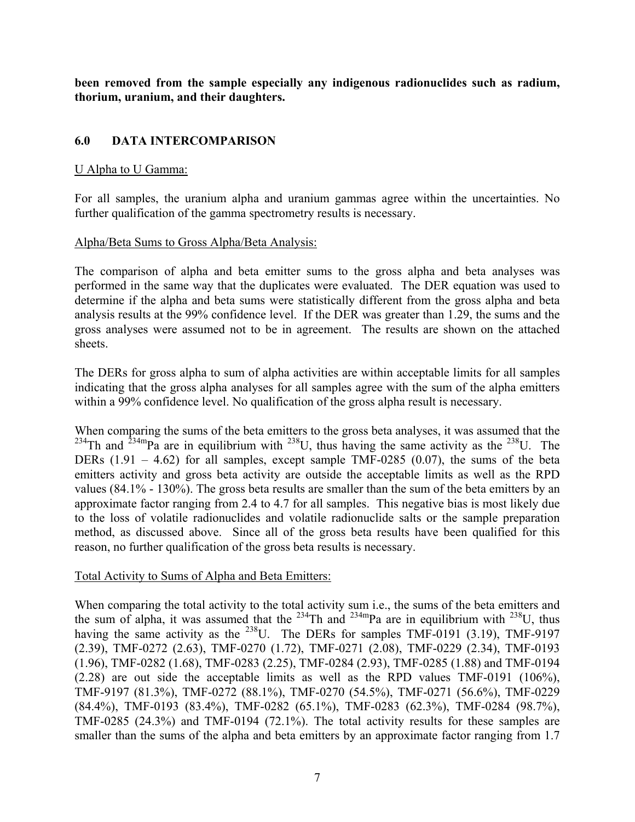**been removed from the sample especially any indigenous radionuclides such as radium, thorium, uranium, and their daughters.**

# **6.0 DATA INTERCOMPARISON**

## U Alpha to U Gamma:

For all samples, the uranium alpha and uranium gammas agree within the uncertainties. No further qualification of the gamma spectrometry results is necessary.

## Alpha/Beta Sums to Gross Alpha/Beta Analysis:

The comparison of alpha and beta emitter sums to the gross alpha and beta analyses was performed in the same way that the duplicates were evaluated. The DER equation was used to determine if the alpha and beta sums were statistically different from the gross alpha and beta analysis results at the 99% confidence level. If the DER was greater than 1.29, the sums and the gross analyses were assumed not to be in agreement. The results are shown on the attached sheets.

The DERs for gross alpha to sum of alpha activities are within acceptable limits for all samples indicating that the gross alpha analyses for all samples agree with the sum of the alpha emitters within a 99% confidence level. No qualification of the gross alpha result is necessary.

When comparing the sums of the beta emitters to the gross beta analyses, it was assumed that the  $^{234}$ Th and  $^{234}$ mPa are in equilibrium with  $^{238}$ U, thus having the same activity as the  $^{238}$ U. The DERs  $(1.91 - 4.62)$  for all samples, except sample TMF-0285  $(0.07)$ , the sums of the beta emitters activity and gross beta activity are outside the acceptable limits as well as the RPD values (84.1% - 130%). The gross beta results are smaller than the sum of the beta emitters by an approximate factor ranging from 2.4 to 4.7 for all samples. This negative bias is most likely due to the loss of volatile radionuclides and volatile radionuclide salts or the sample preparation method, as discussed above. Since all of the gross beta results have been qualified for this reason, no further qualification of the gross beta results is necessary.

## Total Activity to Sums of Alpha and Beta Emitters:

When comparing the total activity to the total activity sum i.e., the sums of the beta emitters and the sum of alpha, it was assumed that the <sup>234</sup>Th and <sup>234m</sup>Pa are in equilibrium with <sup>238</sup>U, thus having the same activity as the  $^{238}$ U. The DERs for samples TMF-0191 (3.19), TMF-9197 (2.39), TMF-0272 (2.63), TMF-0270 (1.72), TMF-0271 (2.08), TMF-0229 (2.34), TMF-0193 (1.96), TMF-0282 (1.68), TMF-0283 (2.25), TMF-0284 (2.93), TMF-0285 (1.88) and TMF-0194 (2.28) are out side the acceptable limits as well as the RPD values TMF-0191 (106%), TMF-9197 (81.3%), TMF-0272 (88.1%), TMF-0270 (54.5%), TMF-0271 (56.6%), TMF-0229 (84.4%), TMF-0193 (83.4%), TMF-0282 (65.1%), TMF-0283 (62.3%), TMF-0284 (98.7%), TMF-0285 (24.3%) and TMF-0194 (72.1%). The total activity results for these samples are smaller than the sums of the alpha and beta emitters by an approximate factor ranging from 1.7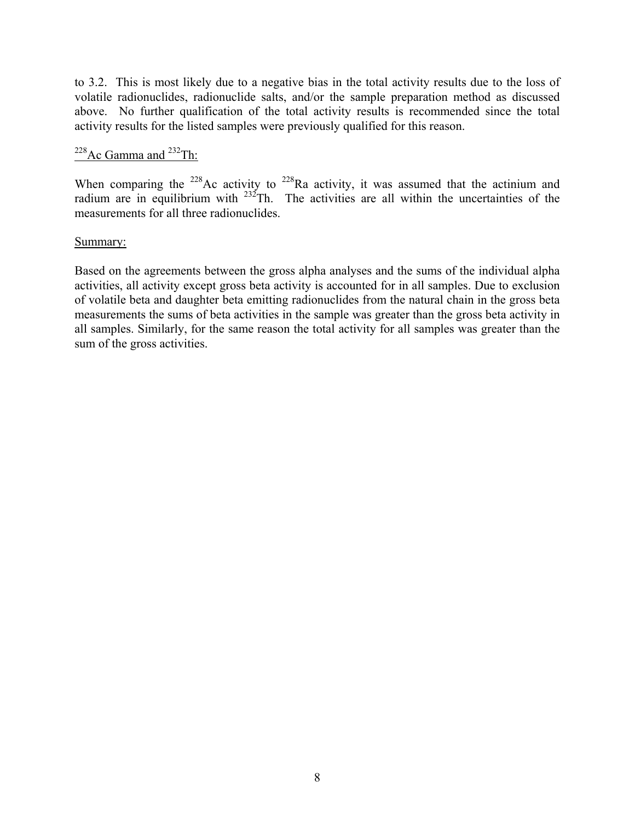to 3.2. This is most likely due to a negative bias in the total activity results due to the loss of volatile radionuclides, radionuclide salts, and/or the sample preparation method as discussed above. No further qualification of the total activity results is recommended since the total activity results for the listed samples were previously qualified for this reason.

# $228$ Ac Gamma and  $232$ Th:

When comparing the <sup>228</sup>Ac activity to <sup>228</sup>Ra activity, it was assumed that the actinium and radium are in equilibrium with  $232$ Th. The activities are all within the uncertainties of the measurements for all three radionuclides.

## Summary:

Based on the agreements between the gross alpha analyses and the sums of the individual alpha activities, all activity except gross beta activity is accounted for in all samples. Due to exclusion of volatile beta and daughter beta emitting radionuclides from the natural chain in the gross beta measurements the sums of beta activities in the sample was greater than the gross beta activity in all samples. Similarly, for the same reason the total activity for all samples was greater than the sum of the gross activities.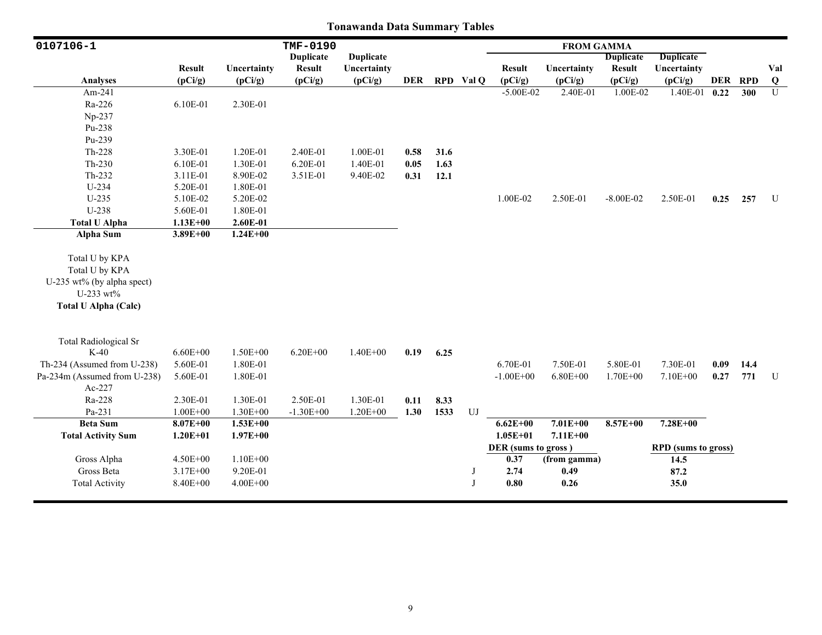| 0107106-1                    |               |              | TMF-0190         |                  |      |      |            |                     | <b>FROM GAMMA</b> |                  |                            |      |         |              |
|------------------------------|---------------|--------------|------------------|------------------|------|------|------------|---------------------|-------------------|------------------|----------------------------|------|---------|--------------|
|                              |               |              | <b>Duplicate</b> | <b>Duplicate</b> |      |      |            |                     |                   | <b>Duplicate</b> | <b>Duplicate</b>           |      |         |              |
|                              | <b>Result</b> | Uncertainty  | <b>Result</b>    | Uncertainty      |      |      |            | <b>Result</b>       | Uncertainty       | <b>Result</b>    | Uncertainty                |      |         | Val          |
| <b>Analyses</b>              | (pCi/g)       | (pCi/g)      | (pCi/g)          | (pCi/g)          | DER  |      | RPD Val Q  | (pCi/g)             | (pCi/g)           | (pCi/g)          | (pCi/g)                    |      | DER RPD | $\bf Q$      |
| Am-241                       |               |              |                  |                  |      |      |            | $-5.00E-02$         | 2.40E-01          | 1.00E-02         | 1.40E-01                   | 0.22 | 300     | $\mathbf{U}$ |
| Ra-226                       | 6.10E-01      | 2.30E-01     |                  |                  |      |      |            |                     |                   |                  |                            |      |         |              |
| Np-237                       |               |              |                  |                  |      |      |            |                     |                   |                  |                            |      |         |              |
| Pu-238                       |               |              |                  |                  |      |      |            |                     |                   |                  |                            |      |         |              |
| Pu-239                       |               |              |                  |                  |      |      |            |                     |                   |                  |                            |      |         |              |
| $Th-228$                     | 3.30E-01      | 1.20E-01     | 2.40E-01         | 1.00E-01         | 0.58 | 31.6 |            |                     |                   |                  |                            |      |         |              |
| $Th-230$                     | 6.10E-01      | 1.30E-01     | 6.20E-01         | 1.40E-01         | 0.05 | 1.63 |            |                     |                   |                  |                            |      |         |              |
| Th-232                       | 3.11E-01      | 8.90E-02     | 3.51E-01         | 9.40E-02         | 0.31 | 12.1 |            |                     |                   |                  |                            |      |         |              |
| $U-234$                      | 5.20E-01      | 1.80E-01     |                  |                  |      |      |            |                     |                   |                  |                            |      |         |              |
| $U-235$                      | 5.10E-02      | 5.20E-02     |                  |                  |      |      |            | 1.00E-02            | 2.50E-01          | $-8.00E - 02$    | 2.50E-01                   | 0.25 | 257     | U            |
| U-238                        | 5.60E-01      | 1.80E-01     |                  |                  |      |      |            |                     |                   |                  |                            |      |         |              |
| <b>Total U Alpha</b>         | $1.13E + 00$  | 2.60E-01     |                  |                  |      |      |            |                     |                   |                  |                            |      |         |              |
| <b>Alpha Sum</b>             | $3.89E + 00$  | $1.24E + 00$ |                  |                  |      |      |            |                     |                   |                  |                            |      |         |              |
| Total U by KPA               |               |              |                  |                  |      |      |            |                     |                   |                  |                            |      |         |              |
| Total U by KPA               |               |              |                  |                  |      |      |            |                     |                   |                  |                            |      |         |              |
| U-235 wt% (by alpha spect)   |               |              |                  |                  |      |      |            |                     |                   |                  |                            |      |         |              |
| U-233 wt%                    |               |              |                  |                  |      |      |            |                     |                   |                  |                            |      |         |              |
| <b>Total U Alpha (Calc)</b>  |               |              |                  |                  |      |      |            |                     |                   |                  |                            |      |         |              |
|                              |               |              |                  |                  |      |      |            |                     |                   |                  |                            |      |         |              |
| <b>Total Radiological Sr</b> |               |              |                  |                  |      |      |            |                     |                   |                  |                            |      |         |              |
| $K-40$                       | $6.60E + 00$  | $1.50E + 00$ | $6.20E + 00$     | $1.40E + 00$     | 0.19 | 6.25 |            |                     |                   |                  |                            |      |         |              |
| Th-234 (Assumed from U-238)  | 5.60E-01      | 1.80E-01     |                  |                  |      |      |            | 6.70E-01            | 7.50E-01          | 5.80E-01         | 7.30E-01                   | 0.09 | 14.4    |              |
| Pa-234m (Assumed from U-238) | 5.60E-01      | 1.80E-01     |                  |                  |      |      |            | $-1.00E + 00$       | $6.80E + 00$      | $1.70E + 00$     | $7.10E + 00$               | 0.27 | 771     | $\mathbf U$  |
| Ac-227                       |               |              |                  |                  |      |      |            |                     |                   |                  |                            |      |         |              |
| Ra-228                       | 2.30E-01      | 1.30E-01     | 2.50E-01         | 1.30E-01         | 0.11 | 8.33 |            |                     |                   |                  |                            |      |         |              |
| Pa-231                       | $1.00E + 00$  | $1.30E + 00$ | $-1.30E + 00$    | $1.20E + 00$     | 1.30 | 1533 | ${\rm UJ}$ |                     |                   |                  |                            |      |         |              |
| <b>Beta Sum</b>              | $8.07E + 00$  | $1.53E+00$   |                  |                  |      |      |            | $6.62E + 00$        | $7.01E + 00$      | $8.57E + 00$     | 7.28E+00                   |      |         |              |
| <b>Total Activity Sum</b>    | $1.20E + 01$  | $1.97E + 00$ |                  |                  |      |      |            | $1.05E + 01$        | $7.11E+00$        |                  |                            |      |         |              |
|                              |               |              |                  |                  |      |      |            | DER (sums to gross) |                   |                  | <b>RPD</b> (sums to gross) |      |         |              |
| Gross Alpha                  | 4.50E+00      | $1.10E + 00$ |                  |                  |      |      |            | 0.37                | (from gamma)      |                  | 14.5                       |      |         |              |
| Gross Beta                   | 3.17E+00      | 9.20E-01     |                  |                  |      |      | J          | 2.74                | 0.49              |                  | 87.2                       |      |         |              |
| <b>Total Activity</b>        | 8.40E+00      | $4.00E + 00$ |                  |                  |      |      | J          | $\boldsymbol{0.80}$ | 0.26              |                  | 35.0                       |      |         |              |
|                              |               |              |                  |                  |      |      |            |                     |                   |                  |                            |      |         |              |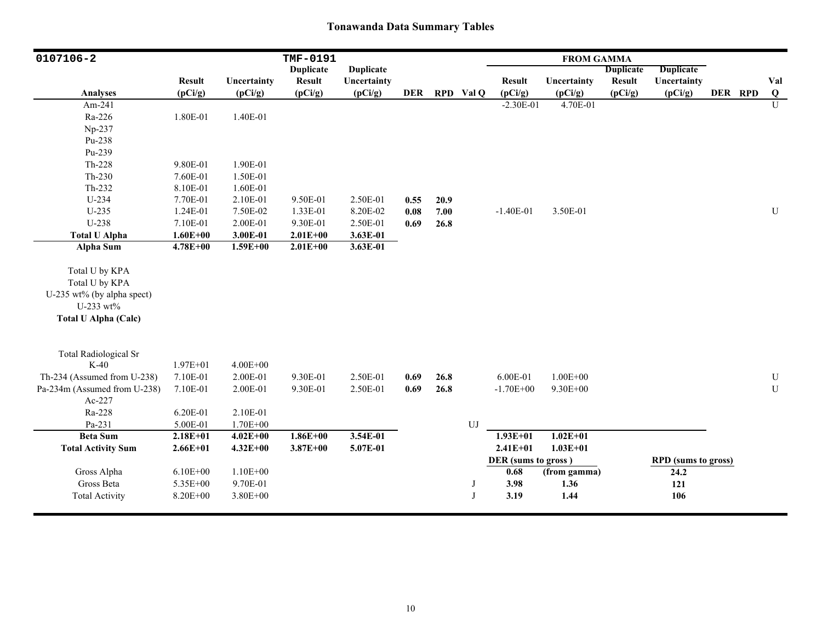| 0107106-2                    |                          |                        | TMF-0191                 |                        |            |      |            |                          | <b>FROM GAMMA</b>      |                          |                            |         |                |
|------------------------------|--------------------------|------------------------|--------------------------|------------------------|------------|------|------------|--------------------------|------------------------|--------------------------|----------------------------|---------|----------------|
|                              |                          |                        | <b>Duplicate</b>         | <b>Duplicate</b>       |            |      |            |                          |                        | <b>Duplicate</b>         | <b>Duplicate</b>           |         |                |
| <b>Analyses</b>              | <b>Result</b><br>(pCi/g) | Uncertainty<br>(pCi/g) | <b>Result</b><br>(pCi/g) | Uncertainty<br>(pCi/g) | <b>DER</b> |      | RPD Val Q  | <b>Result</b><br>(pCi/g) | Uncertainty<br>(pCi/g) | <b>Result</b><br>(pCi/g) | Uncertainty<br>(pCi/g)     | DER RPD | Val<br>$\bf Q$ |
| Am-241                       |                          |                        |                          |                        |            |      |            | $-2.30E-01$              | 4.70E-01               |                          |                            |         | $\overline{U}$ |
| Ra-226                       | 1.80E-01                 | 1.40E-01               |                          |                        |            |      |            |                          |                        |                          |                            |         |                |
|                              |                          |                        |                          |                        |            |      |            |                          |                        |                          |                            |         |                |
| Np-237<br>Pu-238             |                          |                        |                          |                        |            |      |            |                          |                        |                          |                            |         |                |
|                              |                          |                        |                          |                        |            |      |            |                          |                        |                          |                            |         |                |
| Pu-239                       |                          |                        |                          |                        |            |      |            |                          |                        |                          |                            |         |                |
| Th-228                       | 9.80E-01                 | 1.90E-01               |                          |                        |            |      |            |                          |                        |                          |                            |         |                |
| $Th-230$                     | 7.60E-01                 | 1.50E-01               |                          |                        |            |      |            |                          |                        |                          |                            |         |                |
| $Th-232$                     | 8.10E-01                 | 1.60E-01               |                          |                        |            |      |            |                          |                        |                          |                            |         |                |
| U-234                        | 7.70E-01                 | 2.10E-01               | 9.50E-01                 | 2.50E-01               | 0.55       | 20.9 |            |                          |                        |                          |                            |         |                |
| $U-235$                      | 1.24E-01                 | 7.50E-02               | 1.33E-01                 | 8.20E-02               | $0.08\,$   | 7.00 |            | $-1.40E-01$              | 3.50E-01               |                          |                            |         | ${\bf U}$      |
| U-238                        | 7.10E-01                 | 2.00E-01               | 9.30E-01                 | 2.50E-01               | 0.69       | 26.8 |            |                          |                        |                          |                            |         |                |
| <b>Total U Alpha</b>         | $1.60E + 00$             | 3.00E-01               | $2.01E + 00$             | 3.63E-01               |            |      |            |                          |                        |                          |                            |         |                |
| <b>Alpha Sum</b>             | $4.78E + 00$             | $1.59E + 00$           | $2.01E + 00$             | 3.63E-01               |            |      |            |                          |                        |                          |                            |         |                |
| Total U by KPA               |                          |                        |                          |                        |            |      |            |                          |                        |                          |                            |         |                |
| Total U by KPA               |                          |                        |                          |                        |            |      |            |                          |                        |                          |                            |         |                |
| U-235 wt% (by alpha spect)   |                          |                        |                          |                        |            |      |            |                          |                        |                          |                            |         |                |
| U-233 wt%                    |                          |                        |                          |                        |            |      |            |                          |                        |                          |                            |         |                |
| <b>Total U Alpha (Calc)</b>  |                          |                        |                          |                        |            |      |            |                          |                        |                          |                            |         |                |
|                              |                          |                        |                          |                        |            |      |            |                          |                        |                          |                            |         |                |
| <b>Total Radiological Sr</b> |                          |                        |                          |                        |            |      |            |                          |                        |                          |                            |         |                |
| $K-40$                       | $1.97E + 01$             | $4.00E + 00$           |                          |                        |            |      |            |                          |                        |                          |                            |         |                |
| Th-234 (Assumed from U-238)  | 7.10E-01                 | 2.00E-01               | 9.30E-01                 | 2.50E-01               | 0.69       | 26.8 |            | 6.00E-01                 | $1.00E + 00$           |                          |                            |         | $\mathbf U$    |
| Pa-234m (Assumed from U-238) | 7.10E-01                 | 2.00E-01               | 9.30E-01                 | 2.50E-01               | 0.69       | 26.8 |            | $-1.70E + 00$            | 9.30E+00               |                          |                            |         | ${\bf U}$      |
| Ac-227                       |                          |                        |                          |                        |            |      |            |                          |                        |                          |                            |         |                |
| Ra-228                       | 6.20E-01                 | 2.10E-01               |                          |                        |            |      |            |                          |                        |                          |                            |         |                |
| Pa-231                       | 5.00E-01                 | $1.70E + 00$           |                          |                        |            |      | ${\rm UJ}$ |                          |                        |                          |                            |         |                |
| <b>Beta Sum</b>              | $2.18E + 01$             | $4.02E + 00$           | $1.86E + 00$             | 3.54E-01               |            |      |            | $1.93E+01$               | $1.02E + 01$           |                          |                            |         |                |
| <b>Total Activity Sum</b>    | $2.66E + 01$             | $4.32E + 00$           | $3.87E + 00$             | 5.07E-01               |            |      |            | $2.41E + 01$             | $1.03E + 01$           |                          |                            |         |                |
|                              |                          |                        |                          |                        |            |      |            | DER (sums to gross)      |                        |                          | <b>RPD</b> (sums to gross) |         |                |
| Gross Alpha                  | $6.10E + 00$             | $1.10E + 00$           |                          |                        |            |      |            | 0.68                     | (from gamma)           |                          | 24.2                       |         |                |
| Gross Beta                   | 5.35E+00                 | 9.70E-01               |                          |                        |            |      | J          | 3.98                     | 1.36                   |                          | 121                        |         |                |
| <b>Total Activity</b>        | 8.20E+00                 | $3.80E + 00$           |                          |                        |            |      | J          | 3.19                     | 1.44                   |                          | 106                        |         |                |
|                              |                          |                        |                          |                        |            |      |            |                          |                        |                          |                            |         |                |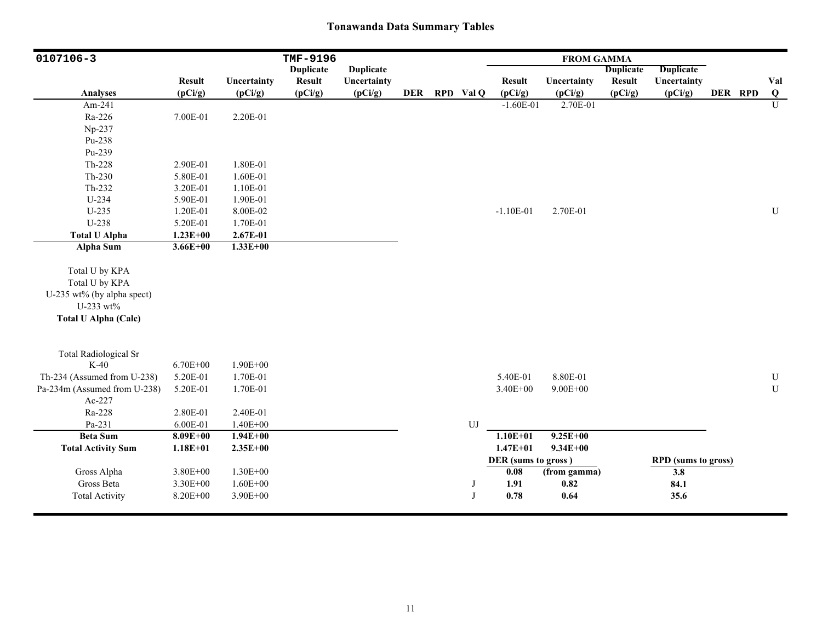| 0107106-3                    |                          |                        | TMF-9196                 |                        |            |           |                          | <b>FROM GAMMA</b>      |                          |                            |         |                 |
|------------------------------|--------------------------|------------------------|--------------------------|------------------------|------------|-----------|--------------------------|------------------------|--------------------------|----------------------------|---------|-----------------|
|                              |                          |                        | <b>Duplicate</b>         | <b>Duplicate</b>       |            |           |                          |                        | <b>Duplicate</b>         | <b>Duplicate</b>           |         |                 |
| <b>Analyses</b>              | <b>Result</b><br>(pCi/g) | Uncertainty<br>(pCi/g) | <b>Result</b><br>(pCi/g) | Uncertainty<br>(pCi/g) | <b>DER</b> | RPD Val Q | <b>Result</b><br>(pCi/g) | Uncertainty<br>(pCi/g) | <b>Result</b><br>(pCi/g) | Uncertainty<br>(pCi/g)     | DER RPD | Val<br>$\bf{Q}$ |
| Am-241                       |                          |                        |                          |                        |            |           | $-1.60E-01$              | 2.70E-01               |                          |                            |         | U               |
| Ra-226                       | 7.00E-01                 | 2.20E-01               |                          |                        |            |           |                          |                        |                          |                            |         |                 |
| Np-237                       |                          |                        |                          |                        |            |           |                          |                        |                          |                            |         |                 |
| Pu-238                       |                          |                        |                          |                        |            |           |                          |                        |                          |                            |         |                 |
| Pu-239                       |                          |                        |                          |                        |            |           |                          |                        |                          |                            |         |                 |
| Th-228                       |                          | 1.80E-01               |                          |                        |            |           |                          |                        |                          |                            |         |                 |
|                              | 2.90E-01                 |                        |                          |                        |            |           |                          |                        |                          |                            |         |                 |
| $Th-230$                     | 5.80E-01                 | 1.60E-01               |                          |                        |            |           |                          |                        |                          |                            |         |                 |
| Th-232                       | 3.20E-01                 | 1.10E-01               |                          |                        |            |           |                          |                        |                          |                            |         |                 |
| $U-234$                      | 5.90E-01                 | 1.90E-01               |                          |                        |            |           |                          |                        |                          |                            |         |                 |
| $U-235$                      | 1.20E-01                 | 8.00E-02               |                          |                        |            |           | $-1.10E-01$              | 2.70E-01               |                          |                            |         | ${\bf U}$       |
| U-238                        | 5.20E-01                 | 1.70E-01               |                          |                        |            |           |                          |                        |                          |                            |         |                 |
| <b>Total U Alpha</b>         | $1.23E + 00$             | 2.67E-01               |                          |                        |            |           |                          |                        |                          |                            |         |                 |
| <b>Alpha Sum</b>             | $3.66E + 00$             | $1.33E+00$             |                          |                        |            |           |                          |                        |                          |                            |         |                 |
| Total U by KPA               |                          |                        |                          |                        |            |           |                          |                        |                          |                            |         |                 |
| Total U by KPA               |                          |                        |                          |                        |            |           |                          |                        |                          |                            |         |                 |
| U-235 wt% (by alpha spect)   |                          |                        |                          |                        |            |           |                          |                        |                          |                            |         |                 |
| U-233 wt%                    |                          |                        |                          |                        |            |           |                          |                        |                          |                            |         |                 |
| <b>Total U Alpha (Calc)</b>  |                          |                        |                          |                        |            |           |                          |                        |                          |                            |         |                 |
|                              |                          |                        |                          |                        |            |           |                          |                        |                          |                            |         |                 |
| <b>Total Radiological Sr</b> |                          |                        |                          |                        |            |           |                          |                        |                          |                            |         |                 |
| $K-40$                       | $6.70E + 00$             | $1.90E + 00$           |                          |                        |            |           |                          |                        |                          |                            |         |                 |
| Th-234 (Assumed from U-238)  | 5.20E-01                 | 1.70E-01               |                          |                        |            |           | 5.40E-01                 | 8.80E-01               |                          |                            |         | ${\bf U}$       |
| Pa-234m (Assumed from U-238) | 5.20E-01                 | 1.70E-01               |                          |                        |            |           | 3.40E+00                 | $9.00E + 00$           |                          |                            |         | ${\bf U}$       |
| Ac-227                       |                          |                        |                          |                        |            |           |                          |                        |                          |                            |         |                 |
| Ra-228                       | 2.80E-01                 | 2.40E-01               |                          |                        |            |           |                          |                        |                          |                            |         |                 |
| Pa-231                       | 6.00E-01                 | $1.40E + 00$           |                          |                        |            | UJ        |                          |                        |                          |                            |         |                 |
| <b>Beta Sum</b>              | $8.09E + 00$             | $1.94E + 00$           |                          |                        |            |           | $1.10E + 01$             | $9.25E + 00$           |                          |                            |         |                 |
| <b>Total Activity Sum</b>    | $1.18E + 01$             | $2.35E+00$             |                          |                        |            |           | $1.47E + 01$             | $9.34E + 00$           |                          |                            |         |                 |
|                              |                          |                        |                          |                        |            |           | DER (sums to gross)      |                        |                          | <b>RPD</b> (sums to gross) |         |                 |
| Gross Alpha                  | $3.80E + 00$             | $1.30E + 00$           |                          |                        |            |           | 0.08                     | (from gamma)           |                          | 3.8                        |         |                 |
| Gross Beta                   | 3.30E+00                 | $1.60E + 00$           |                          |                        |            | J         | 1.91                     | 0.82                   |                          | 84.1                       |         |                 |
| <b>Total Activity</b>        | 8.20E+00                 | 3.90E+00               |                          |                        |            | J         | 0.78                     | 0.64                   |                          | 35.6                       |         |                 |
|                              |                          |                        |                          |                        |            |           |                          |                        |                          |                            |         |                 |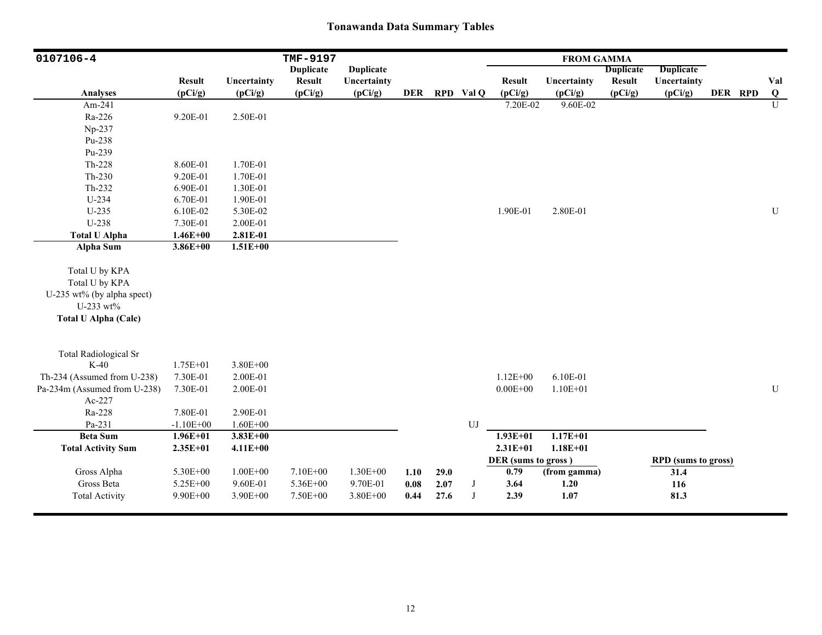| 0107106-4                    |                          |                        | TMF-9197                 |                        |                     |      |           |                          | <b>FROM GAMMA</b>      |                          |                            |         |                 |
|------------------------------|--------------------------|------------------------|--------------------------|------------------------|---------------------|------|-----------|--------------------------|------------------------|--------------------------|----------------------------|---------|-----------------|
|                              |                          |                        | <b>Duplicate</b>         | <b>Duplicate</b>       |                     |      |           |                          |                        | <b>Duplicate</b>         | <b>Duplicate</b>           |         |                 |
| <b>Analyses</b>              | <b>Result</b><br>(pCi/g) | Uncertainty<br>(pCi/g) | <b>Result</b><br>(pCi/g) | Uncertainty<br>(pCi/g) | <b>DER</b>          |      | RPD Val Q | <b>Result</b><br>(pCi/g) | Uncertainty<br>(pCi/g) | <b>Result</b><br>(pCi/g) | Uncertainty<br>(pCi/g)     | DER RPD | Val<br>$\bf{Q}$ |
| Am-241                       |                          |                        |                          |                        |                     |      |           | 7.20E-02                 | 9.60E-02               |                          |                            |         | $\mathbf{U}$    |
| Ra-226                       | 9.20E-01                 | 2.50E-01               |                          |                        |                     |      |           |                          |                        |                          |                            |         |                 |
| Np-237                       |                          |                        |                          |                        |                     |      |           |                          |                        |                          |                            |         |                 |
| Pu-238                       |                          |                        |                          |                        |                     |      |           |                          |                        |                          |                            |         |                 |
| Pu-239                       |                          |                        |                          |                        |                     |      |           |                          |                        |                          |                            |         |                 |
| Th-228                       | 8.60E-01                 | 1.70E-01               |                          |                        |                     |      |           |                          |                        |                          |                            |         |                 |
| $Th-230$                     | 9.20E-01                 | 1.70E-01               |                          |                        |                     |      |           |                          |                        |                          |                            |         |                 |
| Th-232                       | 6.90E-01                 | 1.30E-01               |                          |                        |                     |      |           |                          |                        |                          |                            |         |                 |
| U-234                        | 6.70E-01                 | 1.90E-01               |                          |                        |                     |      |           |                          |                        |                          |                            |         |                 |
| $U-235$                      | 6.10E-02                 | 5.30E-02               |                          |                        |                     |      |           | 1.90E-01                 | 2.80E-01               |                          |                            |         | ${\bf U}$       |
| U-238                        | 7.30E-01                 | 2.00E-01               |                          |                        |                     |      |           |                          |                        |                          |                            |         |                 |
| <b>Total U Alpha</b>         | $1.46E + 00$             | 2.81E-01               |                          |                        |                     |      |           |                          |                        |                          |                            |         |                 |
| <b>Alpha Sum</b>             | $3.86E + 00$             | $1.51E+00$             |                          |                        |                     |      |           |                          |                        |                          |                            |         |                 |
|                              |                          |                        |                          |                        |                     |      |           |                          |                        |                          |                            |         |                 |
| Total U by KPA               |                          |                        |                          |                        |                     |      |           |                          |                        |                          |                            |         |                 |
| Total U by KPA               |                          |                        |                          |                        |                     |      |           |                          |                        |                          |                            |         |                 |
| U-235 wt% (by alpha spect)   |                          |                        |                          |                        |                     |      |           |                          |                        |                          |                            |         |                 |
| U-233 wt%                    |                          |                        |                          |                        |                     |      |           |                          |                        |                          |                            |         |                 |
| <b>Total U Alpha (Calc)</b>  |                          |                        |                          |                        |                     |      |           |                          |                        |                          |                            |         |                 |
|                              |                          |                        |                          |                        |                     |      |           |                          |                        |                          |                            |         |                 |
| <b>Total Radiological Sr</b> |                          |                        |                          |                        |                     |      |           |                          |                        |                          |                            |         |                 |
| $K-40$                       | $1.75E + 01$             | $3.80E + 00$           |                          |                        |                     |      |           |                          |                        |                          |                            |         |                 |
| Th-234 (Assumed from U-238)  | 7.30E-01                 | 2.00E-01               |                          |                        |                     |      |           | $1.12E + 00$             | 6.10E-01               |                          |                            |         |                 |
| Pa-234m (Assumed from U-238) | 7.30E-01                 | 2.00E-01               |                          |                        |                     |      |           | $0.00E + 00$             | $1.10E + 01$           |                          |                            |         | $\mathbf U$     |
| Ac-227                       |                          |                        |                          |                        |                     |      |           |                          |                        |                          |                            |         |                 |
| Ra-228                       | 7.80E-01                 | 2.90E-01               |                          |                        |                     |      |           |                          |                        |                          |                            |         |                 |
| Pa-231                       | $-1.10E + 00$            | $1.60E + 00$           |                          |                        |                     |      | UJ        |                          |                        |                          |                            |         |                 |
| <b>Beta Sum</b>              | $1.96E + 01$             | $3.83E + 00$           |                          |                        |                     |      |           | $1.93E+01$               | $1.17E + 01$           |                          |                            |         |                 |
| <b>Total Activity Sum</b>    | $2.35E+01$               | $4.11E + 00$           |                          |                        |                     |      |           | $2.31E + 01$             | $1.18E + 01$           |                          |                            |         |                 |
|                              |                          |                        |                          |                        |                     |      |           | DER (sums to gross)      |                        |                          | <b>RPD</b> (sums to gross) |         |                 |
| Gross Alpha                  | $5.30E + 00$             | $1.00E + 00$           | 7.10E+00                 | 1.30E+00               | 1.10                | 29.0 |           | 0.79                     | (from gamma)           |                          | 31.4                       |         |                 |
| Gross Beta                   | 5.25E+00                 | 9.60E-01               | 5.36E+00                 | 9.70E-01               | $\boldsymbol{0.08}$ | 2.07 | J         | 3.64                     | 1.20                   |                          | 116                        |         |                 |
| <b>Total Activity</b>        | 9.90E+00                 | 3.90E+00               | 7.50E+00                 | 3.80E+00               | 0.44                | 27.6 | J         | 2.39                     | $1.07$                 |                          | 81.3                       |         |                 |
|                              |                          |                        |                          |                        |                     |      |           |                          |                        |                          |                            |         |                 |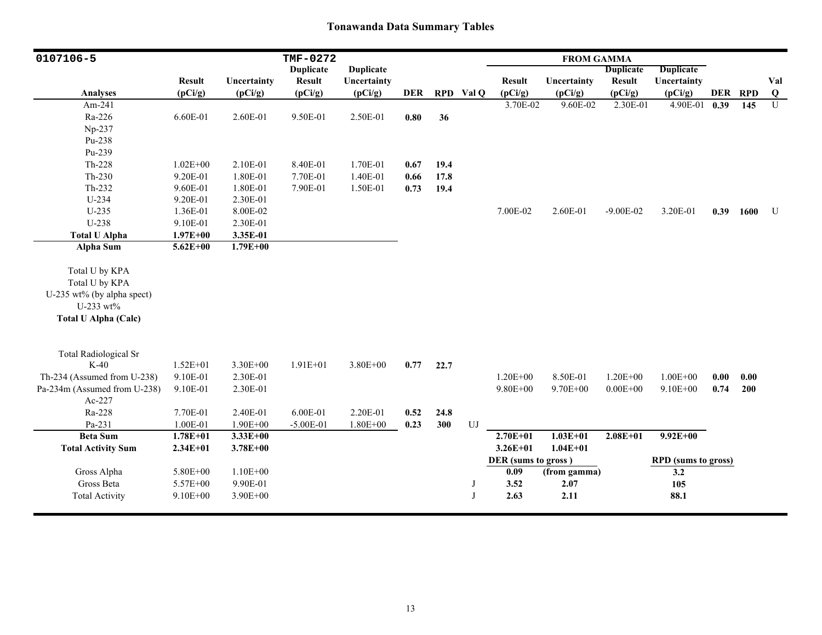| 0107106-5                                                                                                  |               |              | TMF-0272         |                  |            |      |            |                     | <b>FROM GAMMA</b> |                  |                            |      |         |                |
|------------------------------------------------------------------------------------------------------------|---------------|--------------|------------------|------------------|------------|------|------------|---------------------|-------------------|------------------|----------------------------|------|---------|----------------|
|                                                                                                            |               |              | <b>Duplicate</b> | <b>Duplicate</b> |            |      |            |                     |                   | <b>Duplicate</b> | <b>Duplicate</b>           |      |         |                |
|                                                                                                            | <b>Result</b> | Uncertainty  | <b>Result</b>    | Uncertainty      |            |      |            | <b>Result</b>       | Uncertainty       | <b>Result</b>    | Uncertainty                |      |         | Val            |
| <b>Analyses</b>                                                                                            | (pCi/g)       | (pCi/g)      | (pCi/g)          | (pCi/g)          | <b>DER</b> |      | RPD Val Q  | (pCi/g)             | (pCi/g)           | (pCi/g)          | (pCi/g)                    |      | DER RPD | Q              |
| Am-241                                                                                                     |               |              |                  |                  |            |      |            | 3.70E-02            | 9.60E-02          | 2.30E-01         | 4.90E-01 0.39              |      | 145     | $\overline{U}$ |
| Ra-226                                                                                                     | 6.60E-01      | 2.60E-01     | 9.50E-01         | 2.50E-01         | 0.80       | 36   |            |                     |                   |                  |                            |      |         |                |
| Np-237                                                                                                     |               |              |                  |                  |            |      |            |                     |                   |                  |                            |      |         |                |
| Pu-238                                                                                                     |               |              |                  |                  |            |      |            |                     |                   |                  |                            |      |         |                |
| Pu-239                                                                                                     |               |              |                  |                  |            |      |            |                     |                   |                  |                            |      |         |                |
| Th-228                                                                                                     | $1.02E + 00$  | 2.10E-01     | 8.40E-01         | 1.70E-01         | 0.67       | 19.4 |            |                     |                   |                  |                            |      |         |                |
| $Th-230$                                                                                                   | 9.20E-01      | 1.80E-01     | 7.70E-01         | 1.40E-01         | 0.66       | 17.8 |            |                     |                   |                  |                            |      |         |                |
| Th-232                                                                                                     | 9.60E-01      | 1.80E-01     | 7.90E-01         | 1.50E-01         | 0.73       | 19.4 |            |                     |                   |                  |                            |      |         |                |
| $U-234$                                                                                                    | 9.20E-01      | 2.30E-01     |                  |                  |            |      |            |                     |                   |                  |                            |      |         |                |
| $U-235$                                                                                                    | 1.36E-01      | 8.00E-02     |                  |                  |            |      |            | 7.00E-02            | 2.60E-01          | $-9.00E - 02$    | 3.20E-01                   | 0.39 | 1600    | U              |
| $U-238$                                                                                                    | 9.10E-01      | 2.30E-01     |                  |                  |            |      |            |                     |                   |                  |                            |      |         |                |
| <b>Total U Alpha</b>                                                                                       | $1.97E + 00$  | 3.35E-01     |                  |                  |            |      |            |                     |                   |                  |                            |      |         |                |
| <b>Alpha Sum</b>                                                                                           | $5.62E + 00$  | $1.79E + 00$ |                  |                  |            |      |            |                     |                   |                  |                            |      |         |                |
| Total U by KPA<br>Total U by KPA<br>U-235 wt% (by alpha spect)<br>U-233 wt%<br><b>Total U Alpha (Calc)</b> |               |              |                  |                  |            |      |            |                     |                   |                  |                            |      |         |                |
| <b>Total Radiological Sr</b>                                                                               |               |              |                  |                  |            |      |            |                     |                   |                  |                            |      |         |                |
| $K-40$                                                                                                     | $1.52E + 01$  | 3.30E+00     | $1.91E + 01$     | 3.80E+00         | 0.77       | 22.7 |            |                     |                   |                  |                            |      |         |                |
| Th-234 (Assumed from U-238)                                                                                | 9.10E-01      | 2.30E-01     |                  |                  |            |      |            | $1.20E + 00$        | 8.50E-01          | $1.20E + 00$     | $1.00E + 00$               | 0.00 | 0.00    |                |
| Pa-234m (Assumed from U-238)                                                                               | 9.10E-01      | 2.30E-01     |                  |                  |            |      |            | $9.80E + 00$        | 9.70E+00          | $0.00E + 00$     | $9.10E + 00$               | 0.74 | 200     |                |
| Ac-227                                                                                                     |               |              |                  |                  |            |      |            |                     |                   |                  |                            |      |         |                |
| Ra-228                                                                                                     | 7.70E-01      | 2.40E-01     | 6.00E-01         | 2.20E-01         | 0.52       | 24.8 |            |                     |                   |                  |                            |      |         |                |
| Pa-231                                                                                                     | 1.00E-01      | 1.90E+00     | $-5.00E-01$      | $1.80E + 00$     | 0.23       | 300  | ${\rm UJ}$ |                     |                   |                  |                            |      |         |                |
| <b>Beta Sum</b>                                                                                            | $1.78E + 01$  | $3.33E+00$   |                  |                  |            |      |            | $2.70E + 01$        | $1.03E + 01$      | $2.08E + 01$     | $9.92E + 00$               |      |         |                |
| <b>Total Activity Sum</b>                                                                                  | $2.34E + 01$  | $3.78E + 00$ |                  |                  |            |      |            | $3.26E + 01$        | $1.04E + 01$      |                  |                            |      |         |                |
|                                                                                                            |               |              |                  |                  |            |      |            | DER (sums to gross) |                   |                  | <b>RPD</b> (sums to gross) |      |         |                |
| Gross Alpha                                                                                                | 5.80E+00      | $1.10E + 00$ |                  |                  |            |      |            | 0.09                | (from gamma)      |                  | 3.2                        |      |         |                |
| Gross Beta                                                                                                 | 5.57E+00      | 9.90E-01     |                  |                  |            |      | J          | 3.52                | 2.07              |                  | 105                        |      |         |                |
| <b>Total Activity</b>                                                                                      | $9.10E + 00$  | $3.90E + 00$ |                  |                  |            |      | J          | 2.63                | 2.11              |                  | 88.1                       |      |         |                |
|                                                                                                            |               |              |                  |                  |            |      |            |                     |                   |                  |                            |      |         |                |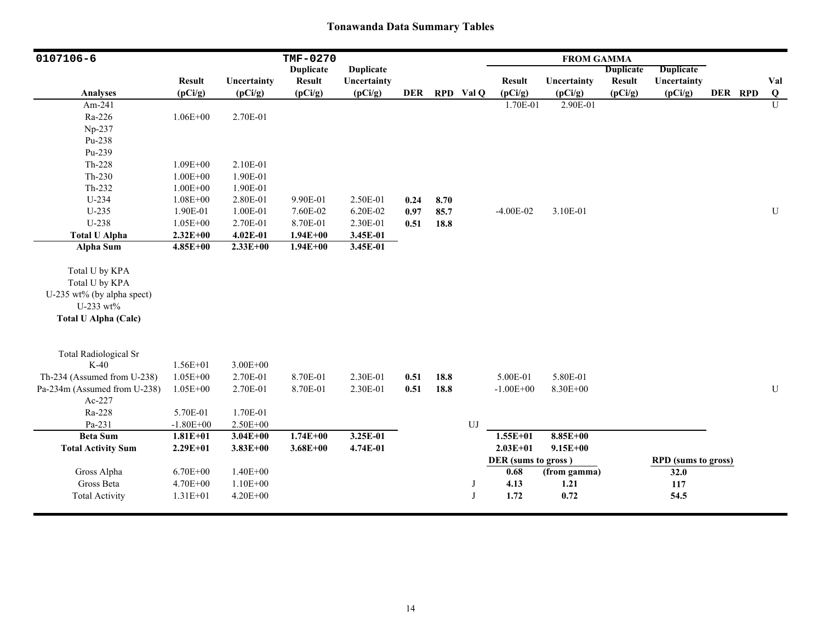| 0107106-6                    |                          |                        | TMF-0270                 |                        |            |      |           |                          | <b>FROM GAMMA</b>      |                          |                            |         |                |
|------------------------------|--------------------------|------------------------|--------------------------|------------------------|------------|------|-----------|--------------------------|------------------------|--------------------------|----------------------------|---------|----------------|
|                              |                          |                        | <b>Duplicate</b>         | <b>Duplicate</b>       |            |      |           |                          |                        | <b>Duplicate</b>         | <b>Duplicate</b>           |         |                |
| <b>Analyses</b>              | <b>Result</b><br>(pCi/g) | Uncertainty<br>(pCi/g) | <b>Result</b><br>(pCi/g) | Uncertainty<br>(pCi/g) | <b>DER</b> |      | RPD Val Q | <b>Result</b><br>(pCi/g) | Uncertainty<br>(pCi/g) | <b>Result</b><br>(pCi/g) | Uncertainty<br>(pCi/g)     | DER RPD | Val<br>$\bf Q$ |
| Am-241                       |                          |                        |                          |                        |            |      |           | 1.70E-01                 | 2.90E-01               |                          |                            |         | $\overline{U}$ |
| Ra-226                       | $1.06E + 00$             | 2.70E-01               |                          |                        |            |      |           |                          |                        |                          |                            |         |                |
| Np-237                       |                          |                        |                          |                        |            |      |           |                          |                        |                          |                            |         |                |
| Pu-238                       |                          |                        |                          |                        |            |      |           |                          |                        |                          |                            |         |                |
| Pu-239                       |                          |                        |                          |                        |            |      |           |                          |                        |                          |                            |         |                |
| Th-228                       |                          | 2.10E-01               |                          |                        |            |      |           |                          |                        |                          |                            |         |                |
|                              | 1.09E+00                 |                        |                          |                        |            |      |           |                          |                        |                          |                            |         |                |
| $Th-230$                     | $1.00E + 00$             | 1.90E-01               |                          |                        |            |      |           |                          |                        |                          |                            |         |                |
| Th-232                       | $1.00E + 00$             | 1.90E-01               |                          |                        |            |      |           |                          |                        |                          |                            |         |                |
| U-234                        | $1.08E + 00$             | 2.80E-01               | 9.90E-01                 | 2.50E-01               | 0.24       | 8.70 |           |                          |                        |                          |                            |         |                |
| U-235                        | 1.90E-01                 | 1.00E-01               | 7.60E-02                 | 6.20E-02               | 0.97       | 85.7 |           | $-4.00E-02$              | 3.10E-01               |                          |                            |         | $\mathbf U$    |
| U-238                        | $1.05E + 00$             | 2.70E-01               | 8.70E-01                 | 2.30E-01               | 0.51       | 18.8 |           |                          |                        |                          |                            |         |                |
| <b>Total U Alpha</b>         | $2.32E+00$               | 4.02E-01               | $1.94E + 00$             | 3.45E-01               |            |      |           |                          |                        |                          |                            |         |                |
| <b>Alpha Sum</b>             | 4.85E+00                 | $2.33E+00$             | $1.94E + 00$             | 3.45E-01               |            |      |           |                          |                        |                          |                            |         |                |
| Total U by KPA               |                          |                        |                          |                        |            |      |           |                          |                        |                          |                            |         |                |
| Total U by KPA               |                          |                        |                          |                        |            |      |           |                          |                        |                          |                            |         |                |
| U-235 wt% (by alpha spect)   |                          |                        |                          |                        |            |      |           |                          |                        |                          |                            |         |                |
| U-233 wt%                    |                          |                        |                          |                        |            |      |           |                          |                        |                          |                            |         |                |
| <b>Total U Alpha (Calc)</b>  |                          |                        |                          |                        |            |      |           |                          |                        |                          |                            |         |                |
|                              |                          |                        |                          |                        |            |      |           |                          |                        |                          |                            |         |                |
| <b>Total Radiological Sr</b> |                          |                        |                          |                        |            |      |           |                          |                        |                          |                            |         |                |
| $K-40$                       | 1.56E+01                 | $3.00E + 00$           |                          |                        |            |      |           |                          |                        |                          |                            |         |                |
| Th-234 (Assumed from U-238)  | $1.05E + 00$             | 2.70E-01               | 8.70E-01                 | 2.30E-01               | 0.51       | 18.8 |           | 5.00E-01                 | 5.80E-01               |                          |                            |         |                |
| Pa-234m (Assumed from U-238) | $1.05E + 00$             | 2.70E-01               | 8.70E-01                 | 2.30E-01               | 0.51       | 18.8 |           | $-1.00E + 00$            | 8.30E+00               |                          |                            |         | $\mathbf U$    |
| Ac-227                       |                          |                        |                          |                        |            |      |           |                          |                        |                          |                            |         |                |
| Ra-228                       | 5.70E-01                 | 1.70E-01               |                          |                        |            |      |           |                          |                        |                          |                            |         |                |
| Pa-231                       | $-1.80E + 00$            | 2.50E+00               |                          |                        |            |      | UJ        |                          |                        |                          |                            |         |                |
| <b>Beta Sum</b>              | $1.81E + 01$             | $3.04E + 00$           | $1.74E + 00$             | 3.25E-01               |            |      |           | $1.55E+01$               | $8.85E+00$             |                          |                            |         |                |
| <b>Total Activity Sum</b>    | $2.29E+01$               | $3.83E + 00$           | $3.68E + 00$             | 4.74E-01               |            |      |           | $2.03E + 01$             | $9.15E + 00$           |                          |                            |         |                |
|                              |                          |                        |                          |                        |            |      |           | DER (sums to gross)      |                        |                          | <b>RPD</b> (sums to gross) |         |                |
| Gross Alpha                  | $6.70E + 00$             | $1.40E + 00$           |                          |                        |            |      |           | 0.68                     | (from gamma)           |                          | 32.0                       |         |                |
| Gross Beta                   | 4.70E+00                 | $1.10E + 00$           |                          |                        |            |      | J         | 4.13                     | 1.21                   |                          | 117                        |         |                |
| <b>Total Activity</b>        | $1.31E + 01$             | $4.20E + 00$           |                          |                        |            |      | J         | 1.72                     | 0.72                   |                          | 54.5                       |         |                |
|                              |                          |                        |                          |                        |            |      |           |                          |                        |                          |                            |         |                |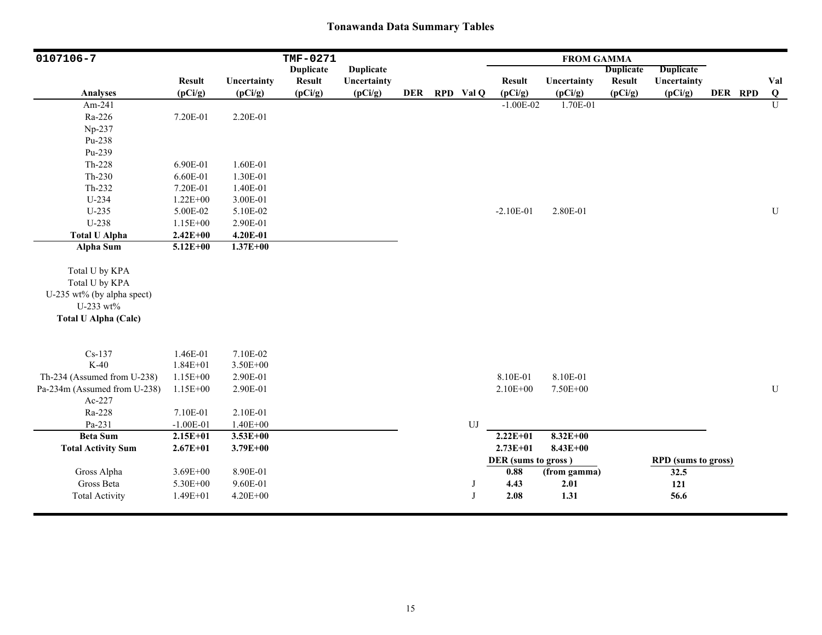| 0107106-7                    |               |              | TMF-0271         |                  |            |            |                     | <b>FROM GAMMA</b> |                  |                            |         |           |
|------------------------------|---------------|--------------|------------------|------------------|------------|------------|---------------------|-------------------|------------------|----------------------------|---------|-----------|
|                              |               |              | <b>Duplicate</b> | <b>Duplicate</b> |            |            |                     |                   | <b>Duplicate</b> | <b>Duplicate</b>           |         |           |
|                              | <b>Result</b> | Uncertainty  | <b>Result</b>    | Uncertainty      |            |            | <b>Result</b>       | Uncertainty       | <b>Result</b>    | Uncertainty                |         | Val       |
| <b>Analyses</b>              | (pCi/g)       | (pCi/g)      | (pCi/g)          | (pCi/g)          | <b>DER</b> | RPD Val Q  | (pCi/g)             | (pCi/g)           | (pCi/g)          | (pCi/g)                    | DER RPD | $\bf{Q}$  |
| Am-241                       |               |              |                  |                  |            |            | $-1.00E-02$         | 1.70E-01          |                  |                            |         | U         |
| Ra-226                       | 7.20E-01      | 2.20E-01     |                  |                  |            |            |                     |                   |                  |                            |         |           |
| Np-237                       |               |              |                  |                  |            |            |                     |                   |                  |                            |         |           |
| Pu-238                       |               |              |                  |                  |            |            |                     |                   |                  |                            |         |           |
| Pu-239                       |               |              |                  |                  |            |            |                     |                   |                  |                            |         |           |
| Th-228                       | 6.90E-01      | 1.60E-01     |                  |                  |            |            |                     |                   |                  |                            |         |           |
| $Th-230$                     | 6.60E-01      | 1.30E-01     |                  |                  |            |            |                     |                   |                  |                            |         |           |
| Th-232                       | 7.20E-01      | 1.40E-01     |                  |                  |            |            |                     |                   |                  |                            |         |           |
| U-234                        | $1.22E + 00$  | 3.00E-01     |                  |                  |            |            |                     |                   |                  |                            |         |           |
| $U-235$                      | 5.00E-02      | 5.10E-02     |                  |                  |            |            | $-2.10E-01$         | 2.80E-01          |                  |                            |         | ${\bf U}$ |
| U-238                        | $1.15E + 00$  | 2.90E-01     |                  |                  |            |            |                     |                   |                  |                            |         |           |
| <b>Total U Alpha</b>         | $2.42E + 00$  | 4.20E-01     |                  |                  |            |            |                     |                   |                  |                            |         |           |
| <b>Alpha Sum</b>             | $5.12E + 00$  | $1.37E + 00$ |                  |                  |            |            |                     |                   |                  |                            |         |           |
| Total U by KPA               |               |              |                  |                  |            |            |                     |                   |                  |                            |         |           |
| Total U by KPA               |               |              |                  |                  |            |            |                     |                   |                  |                            |         |           |
| U-235 wt% (by alpha spect)   |               |              |                  |                  |            |            |                     |                   |                  |                            |         |           |
| U-233 wt%                    |               |              |                  |                  |            |            |                     |                   |                  |                            |         |           |
| <b>Total U Alpha (Calc)</b>  |               |              |                  |                  |            |            |                     |                   |                  |                            |         |           |
|                              |               |              |                  |                  |            |            |                     |                   |                  |                            |         |           |
| $Cs-137$                     | 1.46E-01      | 7.10E-02     |                  |                  |            |            |                     |                   |                  |                            |         |           |
| $K-40$                       | $1.84E + 01$  | 3.50E+00     |                  |                  |            |            |                     |                   |                  |                            |         |           |
| Th-234 (Assumed from U-238)  | $1.15E + 00$  | 2.90E-01     |                  |                  |            |            | 8.10E-01            | 8.10E-01          |                  |                            |         |           |
| Pa-234m (Assumed from U-238) | $1.15E + 00$  | 2.90E-01     |                  |                  |            |            | $2.10E + 00$        | 7.50E+00          |                  |                            |         | U         |
| Ac-227                       |               |              |                  |                  |            |            |                     |                   |                  |                            |         |           |
| Ra-228                       | 7.10E-01      | 2.10E-01     |                  |                  |            |            |                     |                   |                  |                            |         |           |
| Pa-231                       | $-1.00E-01$   | $1.40E + 00$ |                  |                  |            | ${\rm UJ}$ |                     |                   |                  |                            |         |           |
| <b>Beta Sum</b>              | $2.15E + 01$  | $3.53E+00$   |                  |                  |            |            | $2.22E+01$          | $8.32E+00$        |                  |                            |         |           |
| <b>Total Activity Sum</b>    | $2.67E + 01$  | $3.79E + 00$ |                  |                  |            |            | $2.73E + 01$        | $8.43E + 00$      |                  |                            |         |           |
|                              |               |              |                  |                  |            |            | DER (sums to gross) |                   |                  | <b>RPD</b> (sums to gross) |         |           |
| Gross Alpha                  | $3.69E + 00$  | 8.90E-01     |                  |                  |            |            | 0.88                | (from gamma)      |                  | 32.5                       |         |           |
| Gross Beta                   | 5.30E+00      | 9.60E-01     |                  |                  |            | J          | 4.43                | 2.01              |                  | 121                        |         |           |
| <b>Total Activity</b>        | 1.49E+01      | $4.20E + 00$ |                  |                  |            | J          | 2.08                | 1.31              |                  | 56.6                       |         |           |
|                              |               |              |                  |                  |            |            |                     |                   |                  |                            |         |           |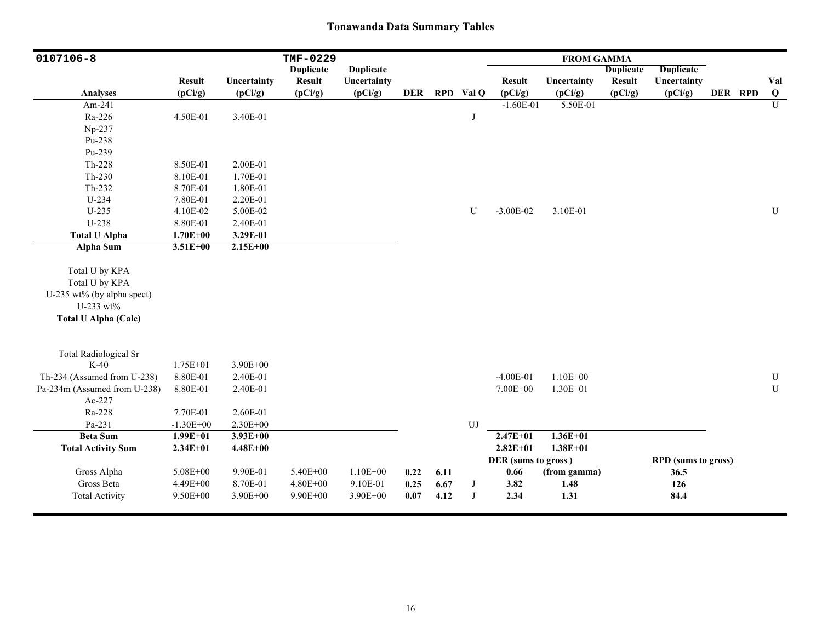| 0107106-8                    |                          |                        | TMF-0229                 |                        |            |      |            |                          | <b>FROM GAMMA</b>      |                          |                            |         |                 |
|------------------------------|--------------------------|------------------------|--------------------------|------------------------|------------|------|------------|--------------------------|------------------------|--------------------------|----------------------------|---------|-----------------|
|                              |                          |                        | <b>Duplicate</b>         | <b>Duplicate</b>       |            |      |            |                          |                        | <b>Duplicate</b>         | <b>Duplicate</b>           |         |                 |
| <b>Analyses</b>              | <b>Result</b><br>(pCi/g) | Uncertainty<br>(pCi/g) | <b>Result</b><br>(pCi/g) | Uncertainty<br>(pCi/g) | <b>DER</b> |      | RPD Val Q  | <b>Result</b><br>(pCi/g) | Uncertainty<br>(pCi/g) | <b>Result</b><br>(pCi/g) | Uncertainty<br>(pCi/g)     | DER RPD | Val<br>$\bf{Q}$ |
| Am-241                       |                          |                        |                          |                        |            |      |            | $-1.60E-01$              | 5.50E-01               |                          |                            |         | U               |
| Ra-226                       | 4.50E-01                 | 3.40E-01               |                          |                        |            |      | J          |                          |                        |                          |                            |         |                 |
| Np-237                       |                          |                        |                          |                        |            |      |            |                          |                        |                          |                            |         |                 |
| Pu-238                       |                          |                        |                          |                        |            |      |            |                          |                        |                          |                            |         |                 |
| Pu-239                       |                          |                        |                          |                        |            |      |            |                          |                        |                          |                            |         |                 |
| Th-228                       | 8.50E-01                 | 2.00E-01               |                          |                        |            |      |            |                          |                        |                          |                            |         |                 |
| $Th-230$                     | 8.10E-01                 | 1.70E-01               |                          |                        |            |      |            |                          |                        |                          |                            |         |                 |
| $Th-232$                     | 8.70E-01                 | 1.80E-01               |                          |                        |            |      |            |                          |                        |                          |                            |         |                 |
| U-234                        | 7.80E-01                 | 2.20E-01               |                          |                        |            |      |            |                          |                        |                          |                            |         |                 |
| $U-235$                      | 4.10E-02                 | 5.00E-02               |                          |                        |            |      | U          | $-3.00E-02$              | 3.10E-01               |                          |                            |         | ${\bf U}$       |
| U-238                        | 8.80E-01                 | 2.40E-01               |                          |                        |            |      |            |                          |                        |                          |                            |         |                 |
| <b>Total U Alpha</b>         | $1.70E + 00$             | 3.29E-01               |                          |                        |            |      |            |                          |                        |                          |                            |         |                 |
| Alpha Sum                    | $3.51E + 00$             | $2.15E+00$             |                          |                        |            |      |            |                          |                        |                          |                            |         |                 |
|                              |                          |                        |                          |                        |            |      |            |                          |                        |                          |                            |         |                 |
| Total U by KPA               |                          |                        |                          |                        |            |      |            |                          |                        |                          |                            |         |                 |
| Total U by KPA               |                          |                        |                          |                        |            |      |            |                          |                        |                          |                            |         |                 |
| U-235 wt% (by alpha spect)   |                          |                        |                          |                        |            |      |            |                          |                        |                          |                            |         |                 |
| U-233 wt%                    |                          |                        |                          |                        |            |      |            |                          |                        |                          |                            |         |                 |
| <b>Total U Alpha (Calc)</b>  |                          |                        |                          |                        |            |      |            |                          |                        |                          |                            |         |                 |
|                              |                          |                        |                          |                        |            |      |            |                          |                        |                          |                            |         |                 |
| <b>Total Radiological Sr</b> |                          |                        |                          |                        |            |      |            |                          |                        |                          |                            |         |                 |
| $K-40$                       | $1.75E + 01$             | 3.90E+00               |                          |                        |            |      |            |                          |                        |                          |                            |         |                 |
| Th-234 (Assumed from U-238)  | 8.80E-01                 | 2.40E-01               |                          |                        |            |      |            | $-4.00E-01$              | $1.10E + 00$           |                          |                            |         | ${\bf U}$       |
| Pa-234m (Assumed from U-238) | 8.80E-01                 | 2.40E-01               |                          |                        |            |      |            | 7.00E+00                 | $1.30E + 01$           |                          |                            |         | $\mathbf U$     |
| Ac-227                       |                          |                        |                          |                        |            |      |            |                          |                        |                          |                            |         |                 |
| Ra-228                       | 7.70E-01                 | 2.60E-01               |                          |                        |            |      |            |                          |                        |                          |                            |         |                 |
| Pa-231                       | $-1.30E + 00$            | 2.30E+00               |                          |                        |            |      | ${\rm UJ}$ |                          |                        |                          |                            |         |                 |
| <b>Beta Sum</b>              | $1.99E + 01$             | $3.93E + 00$           |                          |                        |            |      |            | $2.47E + 01$             | $1.36E + 01$           |                          |                            |         |                 |
| <b>Total Activity Sum</b>    | $2.34E + 01$             | $4.48E + 00$           |                          |                        |            |      |            | $2.82E + 01$             | $1.38E + 01$           |                          |                            |         |                 |
|                              |                          |                        |                          |                        |            |      |            | DER (sums to gross)      |                        |                          | <b>RPD</b> (sums to gross) |         |                 |
| Gross Alpha                  | 5.08E+00                 | 9.90E-01               | 5.40E+00                 | $1.10E + 00$           | 0.22       | 6.11 |            | 0.66                     | (from gamma)           |                          | 36.5                       |         |                 |
| Gross Beta                   | 4.49E+00                 | 8.70E-01               | $4.80E + 00$             | 9.10E-01               | 0.25       | 6.67 | $_{\rm J}$ | 3.82                     | 1.48                   |                          | 126                        |         |                 |
| <b>Total Activity</b>        | 9.50E+00                 | 3.90E+00               | 9.90E+00                 | 3.90E+00               | 0.07       | 4.12 | J          | 2.34                     | 1.31                   |                          | 84.4                       |         |                 |
|                              |                          |                        |                          |                        |            |      |            |                          |                        |                          |                            |         |                 |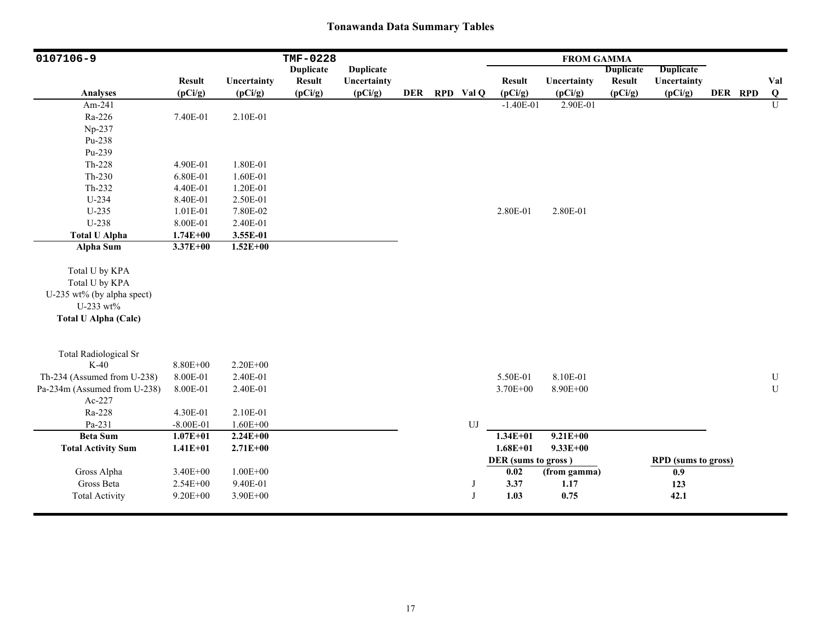| 0107106-9                                                                                                  |                          |                        | <b>TMF-0228</b>          |                        |            |              |                          | <b>FROM GAMMA</b>      |                          |                            |         |                 |
|------------------------------------------------------------------------------------------------------------|--------------------------|------------------------|--------------------------|------------------------|------------|--------------|--------------------------|------------------------|--------------------------|----------------------------|---------|-----------------|
|                                                                                                            |                          |                        | <b>Duplicate</b>         | <b>Duplicate</b>       |            |              |                          |                        | <b>Duplicate</b>         | <b>Duplicate</b>           |         |                 |
| <b>Analyses</b>                                                                                            | <b>Result</b><br>(pCi/g) | Uncertainty<br>(pCi/g) | <b>Result</b><br>(pCi/g) | Uncertainty<br>(pCi/g) | <b>DER</b> | RPD Val Q    | <b>Result</b><br>(pCi/g) | Uncertainty<br>(pCi/g) | <b>Result</b><br>(pCi/g) | Uncertainty<br>(pCi/g)     | DER RPD | Val<br>$\bf{Q}$ |
| Am-241                                                                                                     |                          |                        |                          |                        |            |              | $-1.40E-01$              | 2.90E-01               |                          |                            |         | $\mathbf{U}$    |
| Ra-226                                                                                                     | 7.40E-01                 | 2.10E-01               |                          |                        |            |              |                          |                        |                          |                            |         |                 |
| Np-237                                                                                                     |                          |                        |                          |                        |            |              |                          |                        |                          |                            |         |                 |
| Pu-238                                                                                                     |                          |                        |                          |                        |            |              |                          |                        |                          |                            |         |                 |
| Pu-239                                                                                                     |                          |                        |                          |                        |            |              |                          |                        |                          |                            |         |                 |
| Th-228                                                                                                     | 4.90E-01                 | 1.80E-01               |                          |                        |            |              |                          |                        |                          |                            |         |                 |
| $Th-230$                                                                                                   | 6.80E-01                 | 1.60E-01               |                          |                        |            |              |                          |                        |                          |                            |         |                 |
| Th-232                                                                                                     | 4.40E-01                 | 1.20E-01               |                          |                        |            |              |                          |                        |                          |                            |         |                 |
| U-234                                                                                                      | 8.40E-01                 | 2.50E-01               |                          |                        |            |              |                          |                        |                          |                            |         |                 |
| U-235                                                                                                      | 1.01E-01                 | 7.80E-02               |                          |                        |            |              | 2.80E-01                 | 2.80E-01               |                          |                            |         |                 |
| U-238                                                                                                      | 8.00E-01                 | 2.40E-01               |                          |                        |            |              |                          |                        |                          |                            |         |                 |
| <b>Total U Alpha</b>                                                                                       | $1.74E + 00$             | 3.55E-01               |                          |                        |            |              |                          |                        |                          |                            |         |                 |
| Alpha Sum                                                                                                  | $3.37E + 00$             | $1.52E+00$             |                          |                        |            |              |                          |                        |                          |                            |         |                 |
| Total U by KPA<br>Total U by KPA<br>U-235 wt% (by alpha spect)<br>U-233 wt%<br><b>Total U Alpha (Calc)</b> |                          |                        |                          |                        |            |              |                          |                        |                          |                            |         |                 |
| <b>Total Radiological Sr</b>                                                                               |                          |                        |                          |                        |            |              |                          |                        |                          |                            |         |                 |
| $K-40$                                                                                                     | 8.80E+00                 | $2.20E + 00$           |                          |                        |            |              |                          |                        |                          |                            |         |                 |
| Th-234 (Assumed from U-238)                                                                                | 8.00E-01                 | 2.40E-01               |                          |                        |            |              | 5.50E-01                 | 8.10E-01               |                          |                            |         | ${\bf U}$       |
| Pa-234m (Assumed from U-238)                                                                               | 8.00E-01                 | 2.40E-01               |                          |                        |            |              | 3.70E+00                 | 8.90E+00               |                          |                            |         | U               |
| Ac-227                                                                                                     |                          |                        |                          |                        |            |              |                          |                        |                          |                            |         |                 |
| Ra-228                                                                                                     | 4.30E-01                 | 2.10E-01               |                          |                        |            |              |                          |                        |                          |                            |         |                 |
| Pa-231                                                                                                     | $-8.00E - 01$            | $1.60E + 00$           |                          |                        |            | UJ           |                          |                        |                          |                            |         |                 |
| <b>Beta Sum</b>                                                                                            | $1.07E + 01$             | $2.24E + 00$           |                          |                        |            |              | $1.34E + 01$             | $9.21E + 00$           |                          |                            |         |                 |
| <b>Total Activity Sum</b>                                                                                  | $1.41E + 01$             | $2.71E+00$             |                          |                        |            |              | $1.68E + 01$             | $9.33E + 00$           |                          |                            |         |                 |
|                                                                                                            |                          |                        |                          |                        |            |              | DER (sums to gross)      |                        |                          | <b>RPD</b> (sums to gross) |         |                 |
| Gross Alpha                                                                                                | 3.40E+00                 | $1.00E + 00$           |                          |                        |            |              | 0.02                     | (from gamma)           |                          | 0.9                        |         |                 |
| Gross Beta                                                                                                 | 2.54E+00                 | 9.40E-01               |                          |                        |            | J            | 3.37                     | 1.17                   |                          | 123                        |         |                 |
| <b>Total Activity</b>                                                                                      | $9.20E + 00$             | 3.90E+00               |                          |                        |            | $\mathbf{J}$ | 1.03                     | 0.75                   |                          | 42.1                       |         |                 |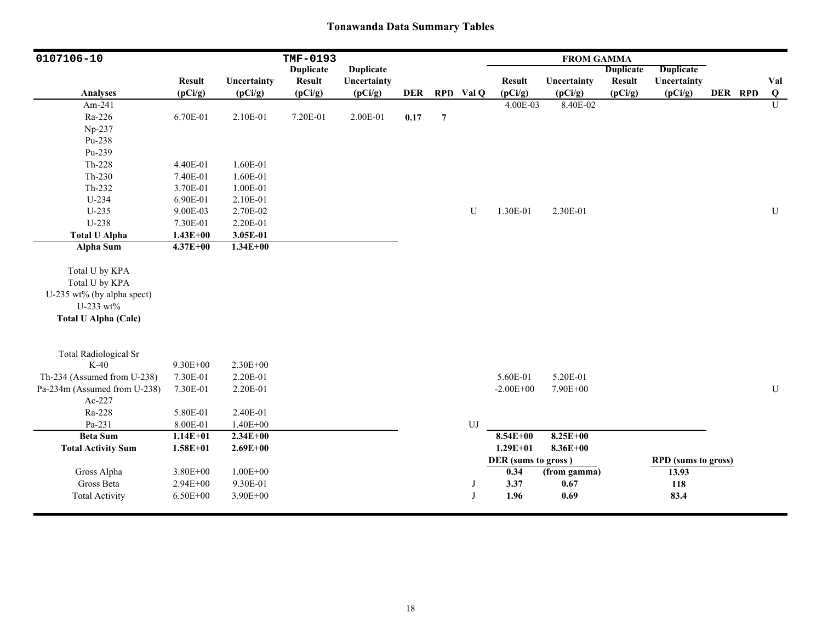| 0107106-10                   |                          |              | TMF-0193                 |                  |            |                  |             |                     | <b>FROM GAMMA</b>      |                          |                            |         |               |
|------------------------------|--------------------------|--------------|--------------------------|------------------|------------|------------------|-------------|---------------------|------------------------|--------------------------|----------------------------|---------|---------------|
|                              |                          |              | <b>Duplicate</b>         | <b>Duplicate</b> |            |                  |             |                     |                        | <b>Duplicate</b>         | <b>Duplicate</b>           |         |               |
| <b>Analyses</b>              | <b>Result</b><br>(pCi/g) | Uncertainty  | <b>Result</b><br>(pCi/g) | Uncertainty      | <b>DER</b> |                  | RPD Val Q   | <b>Result</b>       | Uncertainty<br>(pCi/g) | <b>Result</b><br>(pCi/g) | Uncertainty                | DER RPD | Val           |
| Am-241                       |                          | (pCi/g)      |                          | (pCi/g)          |            |                  |             | (pCi/g)<br>4.00E-03 | 8.40E-02               |                          | (pCi/g)                    |         | $\bf{Q}$<br>U |
| Ra-226                       | 6.70E-01                 |              |                          |                  |            |                  |             |                     |                        |                          |                            |         |               |
|                              |                          | 2.10E-01     | 7.20E-01                 | 2.00E-01         | 0.17       | $\boldsymbol{7}$ |             |                     |                        |                          |                            |         |               |
| Np-237                       |                          |              |                          |                  |            |                  |             |                     |                        |                          |                            |         |               |
| Pu-238                       |                          |              |                          |                  |            |                  |             |                     |                        |                          |                            |         |               |
| Pu-239                       |                          |              |                          |                  |            |                  |             |                     |                        |                          |                            |         |               |
| Th-228                       | 4.40E-01                 | 1.60E-01     |                          |                  |            |                  |             |                     |                        |                          |                            |         |               |
| $Th-230$                     | 7.40E-01                 | 1.60E-01     |                          |                  |            |                  |             |                     |                        |                          |                            |         |               |
| Th-232                       | 3.70E-01                 | 1.00E-01     |                          |                  |            |                  |             |                     |                        |                          |                            |         |               |
| $U-234$                      | 6.90E-01                 | 2.10E-01     |                          |                  |            |                  |             |                     |                        |                          |                            |         |               |
| $U-235$                      | 9.00E-03                 | 2.70E-02     |                          |                  |            |                  | $\mathbf U$ | 1.30E-01            | 2.30E-01               |                          |                            |         | ${\bf U}$     |
| U-238                        | 7.30E-01                 | 2.20E-01     |                          |                  |            |                  |             |                     |                        |                          |                            |         |               |
| <b>Total U Alpha</b>         | $1.43E + 00$             | 3.05E-01     |                          |                  |            |                  |             |                     |                        |                          |                            |         |               |
| <b>Alpha Sum</b>             | $4.37E + 00$             | $1.34E + 00$ |                          |                  |            |                  |             |                     |                        |                          |                            |         |               |
| Total U by KPA               |                          |              |                          |                  |            |                  |             |                     |                        |                          |                            |         |               |
|                              |                          |              |                          |                  |            |                  |             |                     |                        |                          |                            |         |               |
| Total U by KPA               |                          |              |                          |                  |            |                  |             |                     |                        |                          |                            |         |               |
| U-235 wt% (by alpha spect)   |                          |              |                          |                  |            |                  |             |                     |                        |                          |                            |         |               |
| U-233 wt%                    |                          |              |                          |                  |            |                  |             |                     |                        |                          |                            |         |               |
| <b>Total U Alpha (Calc)</b>  |                          |              |                          |                  |            |                  |             |                     |                        |                          |                            |         |               |
| <b>Total Radiological Sr</b> |                          |              |                          |                  |            |                  |             |                     |                        |                          |                            |         |               |
| $K-40$                       | $9.30E + 00$             | $2.30E + 00$ |                          |                  |            |                  |             |                     |                        |                          |                            |         |               |
| Th-234 (Assumed from U-238)  | 7.30E-01                 | 2.20E-01     |                          |                  |            |                  |             | 5.60E-01            | 5.20E-01               |                          |                            |         |               |
| Pa-234m (Assumed from U-238) | 7.30E-01                 | 2.20E-01     |                          |                  |            |                  |             | $-2.00E + 00$       | 7.90E+00               |                          |                            |         | U             |
| Ac-227                       |                          |              |                          |                  |            |                  |             |                     |                        |                          |                            |         |               |
| Ra-228                       | 5.80E-01                 | 2.40E-01     |                          |                  |            |                  |             |                     |                        |                          |                            |         |               |
| Pa-231                       | 8.00E-01                 | $1.40E + 00$ |                          |                  |            |                  | ${\rm UJ}$  |                     |                        |                          |                            |         |               |
| <b>Beta Sum</b>              | $1.14E + 01$             | $2.34E+00$   |                          |                  |            |                  |             | $8.54E+00$          | $8.25E+00$             |                          |                            |         |               |
| <b>Total Activity Sum</b>    | $1.58E + 01$             | $2.69E + 00$ |                          |                  |            |                  |             | $1.29E + 01$        | $8.36E + 00$           |                          |                            |         |               |
|                              |                          |              |                          |                  |            |                  |             | DER (sums to gross) |                        |                          | <b>RPD</b> (sums to gross) |         |               |
| Gross Alpha                  | 3.80E+00                 | $1.00E + 00$ |                          |                  |            |                  |             | 0.34                | (from gamma)           |                          | 13.93                      |         |               |
| Gross Beta                   | $2.94E + 00$             | 9.30E-01     |                          |                  |            |                  | J           | 3.37                | 0.67                   |                          | 118                        |         |               |
| <b>Total Activity</b>        | $6.50E + 00$             | 3.90E+00     |                          |                  |            |                  | J           | 1.96                | 0.69                   |                          | 83.4                       |         |               |
|                              |                          |              |                          |                  |            |                  |             |                     |                        |                          |                            |         |               |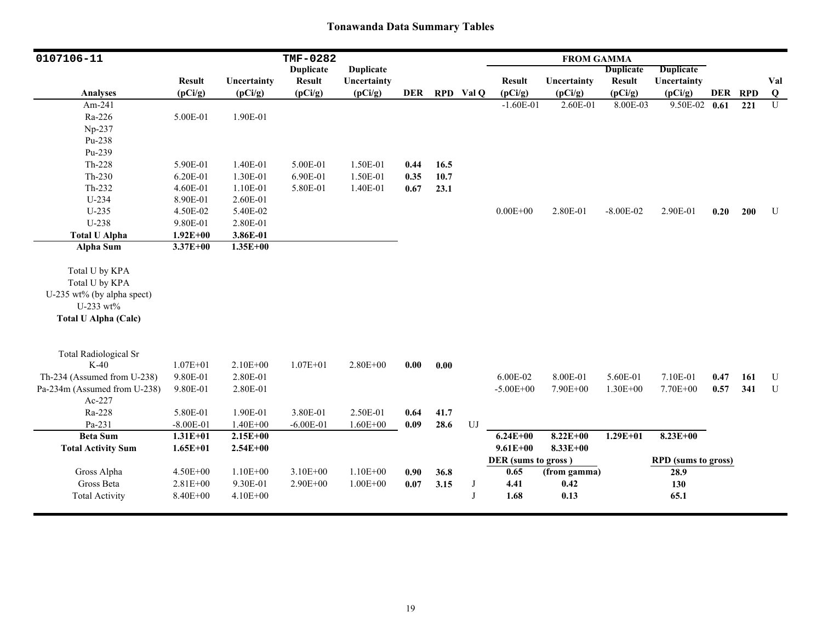| 0107106-11                   |               |              | TMF-0282         |                  |            |      |            |                     | <b>FROM GAMMA</b> |                  |                            |         |     |             |
|------------------------------|---------------|--------------|------------------|------------------|------------|------|------------|---------------------|-------------------|------------------|----------------------------|---------|-----|-------------|
|                              |               |              | <b>Duplicate</b> | <b>Duplicate</b> |            |      |            |                     |                   | <b>Duplicate</b> | Duplicate                  |         |     |             |
|                              | <b>Result</b> | Uncertainty  | <b>Result</b>    | Uncertainty      |            |      |            | <b>Result</b>       | Uncertainty       | <b>Result</b>    | Uncertainty                |         |     | Val         |
| <b>Analyses</b>              | (pCi/g)       | (pCi/g)      | (pCi/g)          | (pCi/g)          | <b>DER</b> |      | RPD Val Q  | (pCi/g)             | (pCi/g)           | (pCi/g)          | (pCi/g)                    | DER RPD |     | Q           |
| Am-241                       |               |              |                  |                  |            |      |            | $-1.60E-01$         | 2.60E-01          | 8.00E-03         | 9.50E-02 0.61              |         | 221 | $\mathbf U$ |
| Ra-226                       | 5.00E-01      | 1.90E-01     |                  |                  |            |      |            |                     |                   |                  |                            |         |     |             |
| Np-237                       |               |              |                  |                  |            |      |            |                     |                   |                  |                            |         |     |             |
| Pu-238                       |               |              |                  |                  |            |      |            |                     |                   |                  |                            |         |     |             |
| Pu-239                       |               |              |                  |                  |            |      |            |                     |                   |                  |                            |         |     |             |
| Th-228                       | 5.90E-01      | 1.40E-01     | 5.00E-01         | 1.50E-01         | 0.44       | 16.5 |            |                     |                   |                  |                            |         |     |             |
| $Th-230$                     | 6.20E-01      | 1.30E-01     | 6.90E-01         | 1.50E-01         | 0.35       | 10.7 |            |                     |                   |                  |                            |         |     |             |
| Th-232                       | 4.60E-01      | 1.10E-01     | 5.80E-01         | 1.40E-01         | 0.67       | 23.1 |            |                     |                   |                  |                            |         |     |             |
| $U-234$                      | 8.90E-01      | 2.60E-01     |                  |                  |            |      |            |                     |                   |                  |                            |         |     |             |
| $U-235$                      | 4.50E-02      | 5.40E-02     |                  |                  |            |      |            | $0.00E + 00$        | 2.80E-01          | $-8.00E - 02$    | 2.90E-01                   | 0.20    | 200 | U           |
| U-238                        | 9.80E-01      | 2.80E-01     |                  |                  |            |      |            |                     |                   |                  |                            |         |     |             |
| <b>Total U Alpha</b>         | $1.92E + 00$  | 3.86E-01     |                  |                  |            |      |            |                     |                   |                  |                            |         |     |             |
| Alpha Sum                    | $3.37E + 00$  | $1.35E+00$   |                  |                  |            |      |            |                     |                   |                  |                            |         |     |             |
|                              |               |              |                  |                  |            |      |            |                     |                   |                  |                            |         |     |             |
| Total U by KPA               |               |              |                  |                  |            |      |            |                     |                   |                  |                            |         |     |             |
| Total U by KPA               |               |              |                  |                  |            |      |            |                     |                   |                  |                            |         |     |             |
| U-235 wt% (by alpha spect)   |               |              |                  |                  |            |      |            |                     |                   |                  |                            |         |     |             |
| U-233 wt%                    |               |              |                  |                  |            |      |            |                     |                   |                  |                            |         |     |             |
| <b>Total U Alpha (Calc)</b>  |               |              |                  |                  |            |      |            |                     |                   |                  |                            |         |     |             |
|                              |               |              |                  |                  |            |      |            |                     |                   |                  |                            |         |     |             |
|                              |               |              |                  |                  |            |      |            |                     |                   |                  |                            |         |     |             |
| <b>Total Radiological Sr</b> |               |              |                  |                  |            |      |            |                     |                   |                  |                            |         |     |             |
| $K-40$                       | $1.07E + 01$  | $2.10E + 00$ | $1.07E + 01$     | $2.80E + 00$     | 0.00       | 0.00 |            |                     |                   |                  |                            |         |     |             |
| Th-234 (Assumed from U-238)  | 9.80E-01      | 2.80E-01     |                  |                  |            |      |            | 6.00E-02            | 8.00E-01          | 5.60E-01         | 7.10E-01                   | 0.47    | 161 | U           |
| Pa-234m (Assumed from U-238) | 9.80E-01      | 2.80E-01     |                  |                  |            |      |            | $-5.00E + 00$       | 7.90E+00          | $1.30E + 00$     | 7.70E+00                   | 0.57    | 341 | U           |
| Ac-227                       |               |              |                  |                  |            |      |            |                     |                   |                  |                            |         |     |             |
| Ra-228                       | 5.80E-01      | 1.90E-01     | 3.80E-01         | 2.50E-01         | 0.64       | 41.7 |            |                     |                   |                  |                            |         |     |             |
| Pa-231                       | $-8.00E - 01$ | $1.40E + 00$ | $-6.00E-01$      | $1.60E + 00$     | 0.09       | 28.6 | ${\rm UJ}$ |                     |                   |                  |                            |         |     |             |
| <b>Beta Sum</b>              | $1.31E + 01$  | $2.15E+00$   |                  |                  |            |      |            | $6.24E + 00$        | $8.22E + 00$      | $1.29E + 01$     | $8.23E+00$                 |         |     |             |
| <b>Total Activity Sum</b>    | $1.65E + 01$  | $2.54E + 00$ |                  |                  |            |      |            | $9.61E + 00$        | $8.33E + 00$      |                  |                            |         |     |             |
|                              |               |              |                  |                  |            |      |            | DER (sums to gross) |                   |                  | <b>RPD</b> (sums to gross) |         |     |             |
| Gross Alpha                  | 4.50E+00      | $1.10E + 00$ | $3.10E + 00$     | $1.10E + 00$     | 0.90       | 36.8 |            | 0.65                | (from gamma)      |                  | 28.9                       |         |     |             |
| Gross Beta                   | $2.81E + 00$  | 9.30E-01     | $2.90E + 00$     | $1.00E + 00$     | 0.07       | 3.15 | J          | 4.41                | 0.42              |                  | 130                        |         |     |             |
| <b>Total Activity</b>        | 8.40E+00      | $4.10E + 00$ |                  |                  |            |      |            | 1.68                | 0.13              |                  | 65.1                       |         |     |             |
|                              |               |              |                  |                  |            |      |            |                     |                   |                  |                            |         |     |             |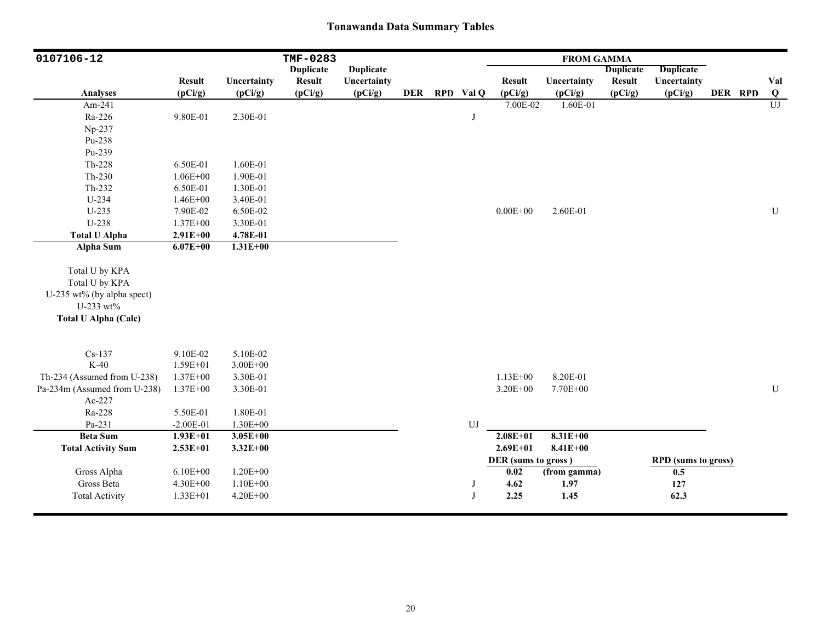| 0107106-12                   |                          |                        | TMF-0283                 |                        |            |            |                          | <b>FROM GAMMA</b>      |                          |                            |         |                 |
|------------------------------|--------------------------|------------------------|--------------------------|------------------------|------------|------------|--------------------------|------------------------|--------------------------|----------------------------|---------|-----------------|
|                              |                          |                        | <b>Duplicate</b>         | <b>Duplicate</b>       |            |            |                          |                        | <b>Duplicate</b>         | <b>Duplicate</b>           |         |                 |
| <b>Analyses</b>              | <b>Result</b><br>(pCi/g) | Uncertainty<br>(pCi/g) | <b>Result</b><br>(pCi/g) | Uncertainty<br>(pCi/g) | <b>DER</b> | RPD Val Q  | <b>Result</b><br>(pCi/g) | Uncertainty<br>(pCi/g) | <b>Result</b><br>(pCi/g) | Uncertainty<br>(pCi/g)     | DER RPD | Val<br>$\bf{Q}$ |
| Am-241                       |                          |                        |                          |                        |            |            | 7.00E-02                 | 1.60E-01               |                          |                            |         | $\overline{U}$  |
| Ra-226                       | 9.80E-01                 | 2.30E-01               |                          |                        |            | J          |                          |                        |                          |                            |         |                 |
| Np-237                       |                          |                        |                          |                        |            |            |                          |                        |                          |                            |         |                 |
| Pu-238                       |                          |                        |                          |                        |            |            |                          |                        |                          |                            |         |                 |
| Pu-239                       |                          |                        |                          |                        |            |            |                          |                        |                          |                            |         |                 |
| Th-228                       | 6.50E-01                 | 1.60E-01               |                          |                        |            |            |                          |                        |                          |                            |         |                 |
|                              |                          |                        |                          |                        |            |            |                          |                        |                          |                            |         |                 |
| $Th-230$                     | $1.06E + 00$             | 1.90E-01               |                          |                        |            |            |                          |                        |                          |                            |         |                 |
| Th-232                       | 6.50E-01                 | 1.30E-01               |                          |                        |            |            |                          |                        |                          |                            |         |                 |
| U-234                        | $1.46E + 00$             | 3.40E-01               |                          |                        |            |            |                          |                        |                          |                            |         |                 |
| $U-235$                      | 7.90E-02                 | 6.50E-02               |                          |                        |            |            | $0.00E + 00$             | 2.60E-01               |                          |                            |         | ${\bf U}$       |
| U-238                        | $1.37E + 00$             | 3.30E-01               |                          |                        |            |            |                          |                        |                          |                            |         |                 |
| <b>Total U Alpha</b>         | $2.91E+00$               | 4.78E-01               |                          |                        |            |            |                          |                        |                          |                            |         |                 |
| <b>Alpha Sum</b>             | $6.07E + 00$             | $1.31E + 00$           |                          |                        |            |            |                          |                        |                          |                            |         |                 |
| Total U by KPA               |                          |                        |                          |                        |            |            |                          |                        |                          |                            |         |                 |
| Total U by KPA               |                          |                        |                          |                        |            |            |                          |                        |                          |                            |         |                 |
|                              |                          |                        |                          |                        |            |            |                          |                        |                          |                            |         |                 |
| U-235 wt% (by alpha spect)   |                          |                        |                          |                        |            |            |                          |                        |                          |                            |         |                 |
| U-233 wt%                    |                          |                        |                          |                        |            |            |                          |                        |                          |                            |         |                 |
| <b>Total U Alpha (Calc)</b>  |                          |                        |                          |                        |            |            |                          |                        |                          |                            |         |                 |
|                              |                          |                        |                          |                        |            |            |                          |                        |                          |                            |         |                 |
| $Cs-137$                     | 9.10E-02                 | 5.10E-02               |                          |                        |            |            |                          |                        |                          |                            |         |                 |
| $K-40$                       | 1.59E+01                 | $3.00E + 00$           |                          |                        |            |            |                          |                        |                          |                            |         |                 |
| Th-234 (Assumed from U-238)  | $1.37E + 00$             | 3.30E-01               |                          |                        |            |            | $1.13E + 00$             | 8.20E-01               |                          |                            |         |                 |
| Pa-234m (Assumed from U-238) | $1.37E + 00$             | 3.30E-01               |                          |                        |            |            | $3.20E + 00$             | 7.70E+00               |                          |                            |         | U               |
| Ac-227                       |                          |                        |                          |                        |            |            |                          |                        |                          |                            |         |                 |
| Ra-228                       | 5.50E-01                 | 1.80E-01               |                          |                        |            |            |                          |                        |                          |                            |         |                 |
| Pa-231                       | $-2.00E-01$              | $1.30E + 00$           |                          |                        |            | ${\rm UJ}$ |                          |                        |                          |                            |         |                 |
| <b>Beta Sum</b>              | $1.93E+01$               | $3.05E + 00$           |                          |                        |            |            | $2.08E + 01$             | $8.31E+00$             |                          |                            |         |                 |
| <b>Total Activity Sum</b>    | $2.53E+01$               | $3.32E + 00$           |                          |                        |            |            | $2.69E + 01$             | $8.41E + 00$           |                          |                            |         |                 |
|                              |                          |                        |                          |                        |            |            | DER (sums to gross)      |                        |                          | <b>RPD</b> (sums to gross) |         |                 |
| Gross Alpha                  | $6.10E + 00$             | $1.20E + 00$           |                          |                        |            |            | 0.02                     | (from gamma)           |                          | 0.5                        |         |                 |
| Gross Beta                   | 4.30E+00                 | $1.10E + 00$           |                          |                        |            | J          | 4.62                     | 1.97                   |                          | 127                        |         |                 |
| <b>Total Activity</b>        | $1.33E + 01$             | $4.20E + 00$           |                          |                        |            | J          | 2.25                     | 1.45                   |                          | 62.3                       |         |                 |
|                              |                          |                        |                          |                        |            |            |                          |                        |                          |                            |         |                 |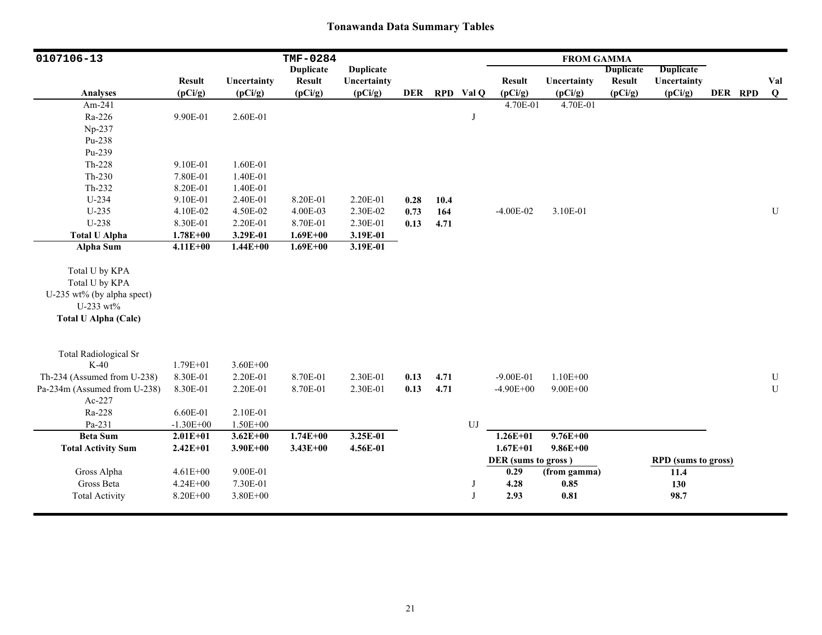| 0107106-13                   |               |                        | <b>TMF-0284</b>                   |                        |            |            |            |                          | <b>FROM GAMMA</b>      |                                   |                            |         |                 |
|------------------------------|---------------|------------------------|-----------------------------------|------------------------|------------|------------|------------|--------------------------|------------------------|-----------------------------------|----------------------------|---------|-----------------|
|                              | <b>Result</b> |                        | <b>Duplicate</b><br><b>Result</b> | <b>Duplicate</b>       |            |            |            |                          |                        | <b>Duplicate</b><br><b>Result</b> | <b>Duplicate</b>           |         |                 |
| <b>Analyses</b>              | (pCi/g)       | Uncertainty<br>(pCi/g) | (pCi/g)                           | Uncertainty<br>(pCi/g) | <b>DER</b> | <b>RPD</b> | Val Q      | <b>Result</b><br>(pCi/g) | Uncertainty<br>(pCi/g) | (pCi/g)                           | Uncertainty<br>(pCi/g)     | DER RPD | Val<br>$\bf{Q}$ |
| Am-241                       |               |                        |                                   |                        |            |            |            | 4.70E-01                 | 4.70E-01               |                                   |                            |         |                 |
| Ra-226                       | 9.90E-01      | 2.60E-01               |                                   |                        |            |            | J          |                          |                        |                                   |                            |         |                 |
| Np-237                       |               |                        |                                   |                        |            |            |            |                          |                        |                                   |                            |         |                 |
| Pu-238                       |               |                        |                                   |                        |            |            |            |                          |                        |                                   |                            |         |                 |
| Pu-239                       |               |                        |                                   |                        |            |            |            |                          |                        |                                   |                            |         |                 |
| Th-228                       | 9.10E-01      | 1.60E-01               |                                   |                        |            |            |            |                          |                        |                                   |                            |         |                 |
| $Th-230$                     | 7.80E-01      | 1.40E-01               |                                   |                        |            |            |            |                          |                        |                                   |                            |         |                 |
| $Th-232$                     | 8.20E-01      | 1.40E-01               |                                   |                        |            |            |            |                          |                        |                                   |                            |         |                 |
| U-234                        | 9.10E-01      | 2.40E-01               | 8.20E-01                          | 2.20E-01               | 0.28       | 10.4       |            |                          |                        |                                   |                            |         |                 |
| $U-235$                      | 4.10E-02      | 4.50E-02               | 4.00E-03                          | 2.30E-02               | 0.73       | 164        |            | $-4.00E-02$              | 3.10E-01               |                                   |                            |         | ${\bf U}$       |
| U-238                        | 8.30E-01      | 2.20E-01               | 8.70E-01                          | 2.30E-01               | 0.13       | 4.71       |            |                          |                        |                                   |                            |         |                 |
| <b>Total U Alpha</b>         | $1.78E + 00$  | 3.29E-01               | $1.69E + 00$                      | 3.19E-01               |            |            |            |                          |                        |                                   |                            |         |                 |
| <b>Alpha Sum</b>             | $4.11E + 00$  | $1.44E + 00$           | $1.69E + 00$                      | 3.19E-01               |            |            |            |                          |                        |                                   |                            |         |                 |
|                              |               |                        |                                   |                        |            |            |            |                          |                        |                                   |                            |         |                 |
| Total U by KPA               |               |                        |                                   |                        |            |            |            |                          |                        |                                   |                            |         |                 |
| Total U by KPA               |               |                        |                                   |                        |            |            |            |                          |                        |                                   |                            |         |                 |
| U-235 wt% (by alpha spect)   |               |                        |                                   |                        |            |            |            |                          |                        |                                   |                            |         |                 |
| U-233 wt%                    |               |                        |                                   |                        |            |            |            |                          |                        |                                   |                            |         |                 |
| <b>Total U Alpha (Calc)</b>  |               |                        |                                   |                        |            |            |            |                          |                        |                                   |                            |         |                 |
|                              |               |                        |                                   |                        |            |            |            |                          |                        |                                   |                            |         |                 |
| <b>Total Radiological Sr</b> |               |                        |                                   |                        |            |            |            |                          |                        |                                   |                            |         |                 |
| $K-40$                       | $1.79E + 01$  | $3.60E + 00$           |                                   |                        |            |            |            |                          |                        |                                   |                            |         |                 |
| Th-234 (Assumed from U-238)  | 8.30E-01      | 2.20E-01               | 8.70E-01                          | 2.30E-01               | 0.13       | 4.71       |            | $-9.00E-01$              | $1.10E + 00$           |                                   |                            |         | $\mathbf U$     |
| Pa-234m (Assumed from U-238) | 8.30E-01      | 2.20E-01               | 8.70E-01                          | 2.30E-01               | 0.13       | 4.71       |            | $-4.90E + 00$            | $9.00E + 00$           |                                   |                            |         | ${\bf U}$       |
| Ac-227                       |               |                        |                                   |                        |            |            |            |                          |                        |                                   |                            |         |                 |
| Ra-228                       | 6.60E-01      | 2.10E-01               |                                   |                        |            |            |            |                          |                        |                                   |                            |         |                 |
| Pa-231                       | $-1.30E + 00$ | $1.50E + 00$           |                                   |                        |            |            | ${\rm UJ}$ |                          |                        |                                   |                            |         |                 |
| <b>Beta Sum</b>              | $2.01E + 01$  | $3.62E + 00$           | $1.74E + 00$                      | 3.25E-01               |            |            |            | $1.26E+01$               | $9.76E + 00$           |                                   |                            |         |                 |
| <b>Total Activity Sum</b>    | $2.42E + 01$  | $3.90E + 00$           | $3.43E + 00$                      | 4.56E-01               |            |            |            | $1.67E + 01$             | $9.86E + 00$           |                                   |                            |         |                 |
|                              |               |                        |                                   |                        |            |            |            | DER (sums to gross)      |                        |                                   | <b>RPD</b> (sums to gross) |         |                 |
| Gross Alpha                  | $4.61E + 00$  | 9.00E-01               |                                   |                        |            |            |            | 0.29                     | (from gamma)           |                                   | 11.4                       |         |                 |
| Gross Beta                   | 4.24E+00      | 7.30E-01               |                                   |                        |            |            | J          | 4.28                     | 0.85                   |                                   | 130                        |         |                 |
| <b>Total Activity</b>        | 8.20E+00      | $3.80E + 00$           |                                   |                        |            |            | J          | 2.93                     | 0.81                   |                                   | 98.7                       |         |                 |
|                              |               |                        |                                   |                        |            |            |            |                          |                        |                                   |                            |         |                 |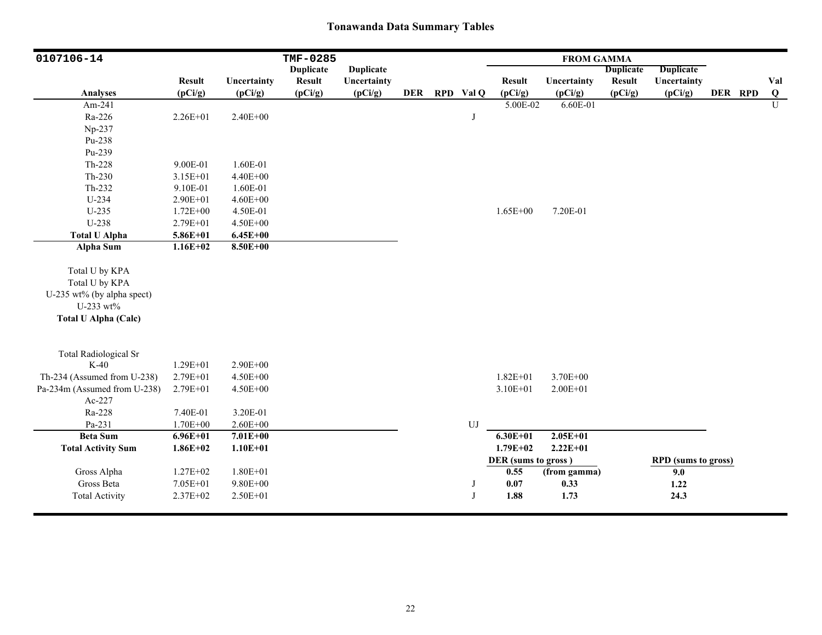| 0107106-14                   |                          |                        | TMF-0285                 |                        |            |            |                          | <b>FROM GAMMA</b>      |                          |                            |         |                 |
|------------------------------|--------------------------|------------------------|--------------------------|------------------------|------------|------------|--------------------------|------------------------|--------------------------|----------------------------|---------|-----------------|
|                              |                          |                        | <b>Duplicate</b>         | <b>Duplicate</b>       |            |            |                          |                        | <b>Duplicate</b>         | <b>Duplicate</b>           |         |                 |
| <b>Analyses</b>              | <b>Result</b><br>(pCi/g) | Uncertainty<br>(pCi/g) | <b>Result</b><br>(pCi/g) | Uncertainty<br>(pCi/g) | <b>DER</b> | RPD Val Q  | <b>Result</b><br>(pCi/g) | Uncertainty<br>(pCi/g) | <b>Result</b><br>(pCi/g) | Uncertainty<br>(pCi/g)     | DER RPD | Val<br>$\bf{Q}$ |
| Am-241                       |                          |                        |                          |                        |            |            | 5.00E-02                 | 6.60E-01               |                          |                            |         | U               |
|                              |                          |                        |                          |                        |            |            |                          |                        |                          |                            |         |                 |
| Ra-226                       | 2.26E+01                 | 2.40E+00               |                          |                        |            | J          |                          |                        |                          |                            |         |                 |
| Np-237                       |                          |                        |                          |                        |            |            |                          |                        |                          |                            |         |                 |
| Pu-238                       |                          |                        |                          |                        |            |            |                          |                        |                          |                            |         |                 |
| Pu-239                       |                          |                        |                          |                        |            |            |                          |                        |                          |                            |         |                 |
| $Th-228$                     | 9.00E-01                 | 1.60E-01               |                          |                        |            |            |                          |                        |                          |                            |         |                 |
| $Th-230$                     | 3.15E+01                 | 4.40E+00               |                          |                        |            |            |                          |                        |                          |                            |         |                 |
| $Th-232$                     | 9.10E-01                 | 1.60E-01               |                          |                        |            |            |                          |                        |                          |                            |         |                 |
| U-234                        | 2.90E+01                 | $4.60E + 00$           |                          |                        |            |            |                          |                        |                          |                            |         |                 |
| $U-235$                      | $1.72E + 00$             | 4.50E-01               |                          |                        |            |            | $1.65E + 00$             | 7.20E-01               |                          |                            |         |                 |
| U-238                        | 2.79E+01                 | 4.50E+00               |                          |                        |            |            |                          |                        |                          |                            |         |                 |
| <b>Total U Alpha</b>         | 5.86E+01                 | $6.45E + 00$           |                          |                        |            |            |                          |                        |                          |                            |         |                 |
| <b>Alpha Sum</b>             | $1.16E+02$               | 8.50E+00               |                          |                        |            |            |                          |                        |                          |                            |         |                 |
| Total U by KPA               |                          |                        |                          |                        |            |            |                          |                        |                          |                            |         |                 |
| Total U by KPA               |                          |                        |                          |                        |            |            |                          |                        |                          |                            |         |                 |
| U-235 wt% (by alpha spect)   |                          |                        |                          |                        |            |            |                          |                        |                          |                            |         |                 |
| U-233 wt%                    |                          |                        |                          |                        |            |            |                          |                        |                          |                            |         |                 |
| <b>Total U Alpha (Calc)</b>  |                          |                        |                          |                        |            |            |                          |                        |                          |                            |         |                 |
|                              |                          |                        |                          |                        |            |            |                          |                        |                          |                            |         |                 |
| <b>Total Radiological Sr</b> |                          |                        |                          |                        |            |            |                          |                        |                          |                            |         |                 |
| $K-40$                       | 1.29E+01                 | 2.90E+00               |                          |                        |            |            |                          |                        |                          |                            |         |                 |
| Th-234 (Assumed from U-238)  | 2.79E+01                 | 4.50E+00               |                          |                        |            |            | $1.82E + 01$             | 3.70E+00               |                          |                            |         |                 |
| Pa-234m (Assumed from U-238) | 2.79E+01                 | 4.50E+00               |                          |                        |            |            | $3.10E + 01$             | $2.00E + 01$           |                          |                            |         |                 |
| Ac-227                       |                          |                        |                          |                        |            |            |                          |                        |                          |                            |         |                 |
| Ra-228                       | 7.40E-01                 | 3.20E-01               |                          |                        |            |            |                          |                        |                          |                            |         |                 |
| Pa-231                       | 1.70E+00                 | $2.60E + 00$           |                          |                        |            | ${\rm UJ}$ |                          |                        |                          |                            |         |                 |
| <b>Beta Sum</b>              | $6.96E + 01$             | $7.01E + 00$           |                          |                        |            |            | $6.30E + 01$             | $2.05E+01$             |                          |                            |         |                 |
| <b>Total Activity Sum</b>    | $1.86E + 02$             | $1.10E + 01$           |                          |                        |            |            | $1.79E + 02$             | $2.22E+01$             |                          |                            |         |                 |
|                              |                          |                        |                          |                        |            |            | DER (sums to gross)      |                        |                          | <b>RPD</b> (sums to gross) |         |                 |
| Gross Alpha                  | $1.27E + 02$             | $1.80E + 01$           |                          |                        |            |            | 0.55                     | (from gamma)           |                          | 9.0                        |         |                 |
| Gross Beta                   | 7.05E+01                 | $9.80E + 00$           |                          |                        |            | J          | 0.07                     | 0.33                   |                          | 1.22                       |         |                 |
| <b>Total Activity</b>        | 2.37E+02                 | $2.50E + 01$           |                          |                        |            | J          | 1.88                     | 1.73                   |                          | 24.3                       |         |                 |
|                              |                          |                        |                          |                        |            |            |                          |                        |                          |                            |         |                 |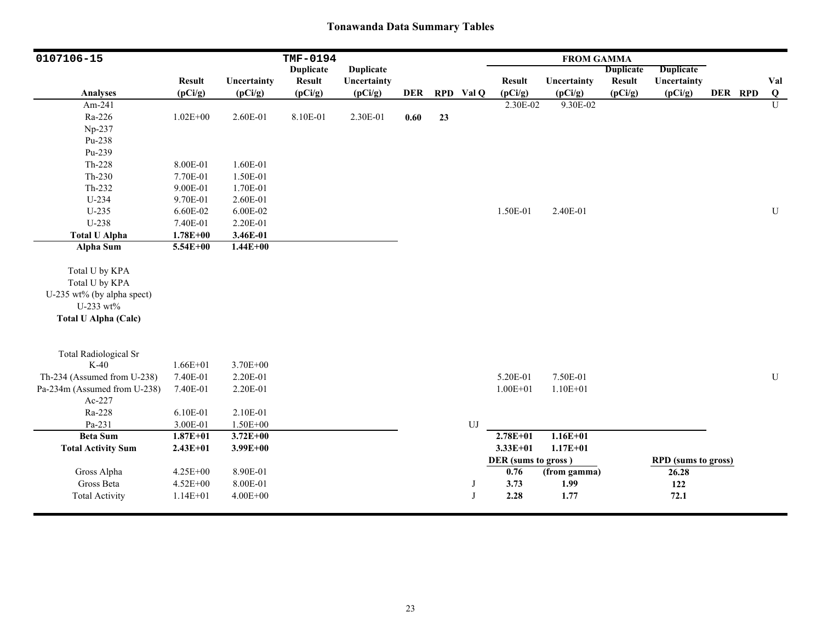| 0107106-15                   |               |              | TMF-0194         |                  |            |    |            |                     | <b>FROM GAMMA</b> |                  |                            |         |           |
|------------------------------|---------------|--------------|------------------|------------------|------------|----|------------|---------------------|-------------------|------------------|----------------------------|---------|-----------|
|                              |               |              | <b>Duplicate</b> | <b>Duplicate</b> |            |    |            |                     |                   | <b>Duplicate</b> | <b>Duplicate</b>           |         |           |
|                              | <b>Result</b> | Uncertainty  | <b>Result</b>    | Uncertainty      | <b>DER</b> |    |            | <b>Result</b>       | Uncertainty       | <b>Result</b>    | Uncertainty                |         | Val       |
| <b>Analyses</b>              | (pCi/g)       | (pCi/g)      | (pCi/g)          | (pCi/g)          |            |    | RPD Val Q  | (pCi/g)             | (pCi/g)           | (pCi/g)          | (pCi/g)                    | DER RPD | $\bf{Q}$  |
| Am-241                       |               |              |                  |                  |            |    |            | 2.30E-02            | 9.30E-02          |                  |                            |         | U         |
| Ra-226                       | $1.02E + 00$  | 2.60E-01     | 8.10E-01         | 2.30E-01         | 0.60       | 23 |            |                     |                   |                  |                            |         |           |
| Np-237                       |               |              |                  |                  |            |    |            |                     |                   |                  |                            |         |           |
| Pu-238                       |               |              |                  |                  |            |    |            |                     |                   |                  |                            |         |           |
| Pu-239                       |               |              |                  |                  |            |    |            |                     |                   |                  |                            |         |           |
| Th-228                       | 8.00E-01      | 1.60E-01     |                  |                  |            |    |            |                     |                   |                  |                            |         |           |
| $Th-230$                     | 7.70E-01      | 1.50E-01     |                  |                  |            |    |            |                     |                   |                  |                            |         |           |
| Th-232                       | 9.00E-01      | 1.70E-01     |                  |                  |            |    |            |                     |                   |                  |                            |         |           |
| $U-234$                      | 9.70E-01      | 2.60E-01     |                  |                  |            |    |            |                     |                   |                  |                            |         |           |
| $U-235$                      | 6.60E-02      | 6.00E-02     |                  |                  |            |    |            | 1.50E-01            | 2.40E-01          |                  |                            |         | ${\bf U}$ |
| U-238                        | 7.40E-01      | 2.20E-01     |                  |                  |            |    |            |                     |                   |                  |                            |         |           |
| <b>Total U Alpha</b>         | $1.78E + 00$  | 3.46E-01     |                  |                  |            |    |            |                     |                   |                  |                            |         |           |
| <b>Alpha Sum</b>             | 5.54E+00      | $1.44E + 00$ |                  |                  |            |    |            |                     |                   |                  |                            |         |           |
| Total U by KPA               |               |              |                  |                  |            |    |            |                     |                   |                  |                            |         |           |
| Total U by KPA               |               |              |                  |                  |            |    |            |                     |                   |                  |                            |         |           |
| U-235 wt% (by alpha spect)   |               |              |                  |                  |            |    |            |                     |                   |                  |                            |         |           |
| U-233 wt%                    |               |              |                  |                  |            |    |            |                     |                   |                  |                            |         |           |
| <b>Total U Alpha (Calc)</b>  |               |              |                  |                  |            |    |            |                     |                   |                  |                            |         |           |
|                              |               |              |                  |                  |            |    |            |                     |                   |                  |                            |         |           |
| <b>Total Radiological Sr</b> |               |              |                  |                  |            |    |            |                     |                   |                  |                            |         |           |
| $K-40$                       | $1.66E + 01$  | $3.70E + 00$ |                  |                  |            |    |            |                     |                   |                  |                            |         |           |
| Th-234 (Assumed from U-238)  | 7.40E-01      | 2.20E-01     |                  |                  |            |    |            | 5.20E-01            | 7.50E-01          |                  |                            |         | U         |
| Pa-234m (Assumed from U-238) | 7.40E-01      | 2.20E-01     |                  |                  |            |    |            | $1.00E + 01$        | $1.10E + 01$      |                  |                            |         |           |
| Ac-227                       |               |              |                  |                  |            |    |            |                     |                   |                  |                            |         |           |
| Ra-228                       | 6.10E-01      | 2.10E-01     |                  |                  |            |    |            |                     |                   |                  |                            |         |           |
| Pa-231                       | 3.00E-01      | $1.50E + 00$ |                  |                  |            |    | ${\rm UJ}$ |                     |                   |                  |                            |         |           |
| <b>Beta Sum</b>              | $1.87E + 01$  | $3.72E + 00$ |                  |                  |            |    |            | $2.78E + 01$        | $1.16E + 01$      |                  |                            |         |           |
| <b>Total Activity Sum</b>    | $2.43E + 01$  | $3.99E + 00$ |                  |                  |            |    |            | $3.33E+01$          | $1.17E + 01$      |                  |                            |         |           |
|                              |               |              |                  |                  |            |    |            | DER (sums to gross) |                   |                  | <b>RPD</b> (sums to gross) |         |           |
| Gross Alpha                  | 4.25E+00      | 8.90E-01     |                  |                  |            |    |            | 0.76                | (from gamma)      |                  | 26.28                      |         |           |
| Gross Beta                   | 4.52E+00      | 8.00E-01     |                  |                  |            |    | J          | 3.73                | 1.99              |                  | 122                        |         |           |
| <b>Total Activity</b>        | $1.14E + 01$  | $4.00E + 00$ |                  |                  |            |    | J          | 2.28                | 1.77              |                  | 72.1                       |         |           |
|                              |               |              |                  |                  |            |    |            |                     |                   |                  |                            |         |           |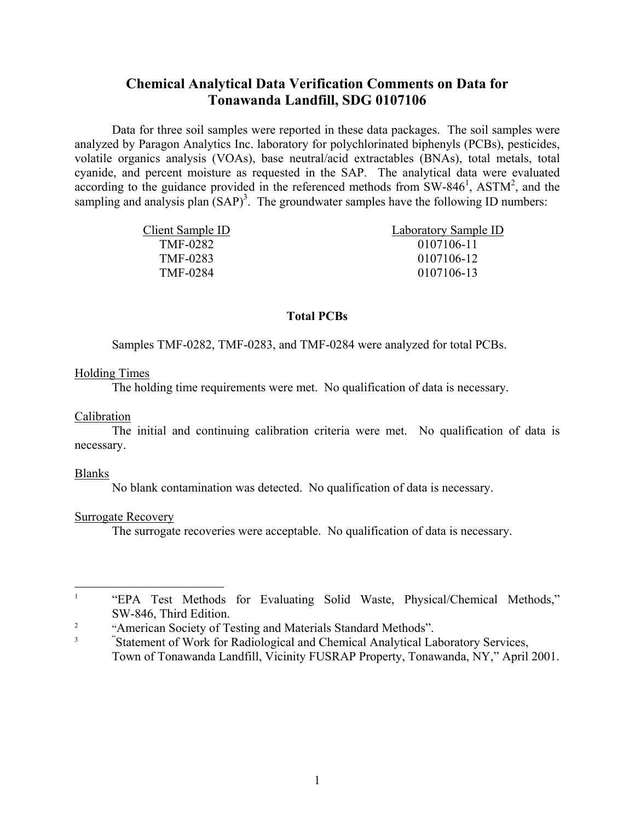# **Chemical Analytical Data Verification Comments on Data for Tonawanda Landfill, SDG 0107106**

 Data for three soil samples were reported in these data packages. The soil samples were analyzed by Paragon Analytics Inc. laboratory for polychlorinated biphenyls (PCBs), pesticides, volatile organics analysis (VOAs), base neutral/acid extractables (BNAs), total metals, total cyanide, and percent moisture as requested in the SAP. The analytical data were evaluated according to the guidance provided in the referenced methods from  $SW-846^1$ ,  $ASTM^2$ , and the sampling and analysis plan  $(SAP)^3$ . The groundwater samples have the following ID numbers:

| Client Sample ID | Laboratory Sample ID |
|------------------|----------------------|
| <b>TMF-0282</b>  | 0107106-11           |
| TMF-0283         | 0107106-12           |
| TMF-0284         | 0107106-13           |

## **Total PCBs**

Samples TMF-0282, TMF-0283, and TMF-0284 were analyzed for total PCBs.

## Holding Times

The holding time requirements were met. No qualification of data is necessary.

### Calibration

 The initial and continuing calibration criteria were met. No qualification of data is necessary.

## Blanks

No blank contamination was detected. No qualification of data is necessary.

## Surrogate Recovery

The surrogate recoveries were acceptable. No qualification of data is necessary.

 $\mathbf{1}$ <sup>1</sup> "EPA Test Methods for Evaluating Solid Waste, Physical/Chemical Methods," SW-846, Third Edition.

<sup>2</sup> <sup>2</sup><br>"American Society of Testing and Materials Standard Methods".<br>"Statement of Wesls for Badialacieal and Chamical Analytical La

" Statement of Work for Radiological and Chemical Analytical Laboratory Services, Town of Tonawanda Landfill, Vicinity FUSRAP Property, Tonawanda, NY," April 2001.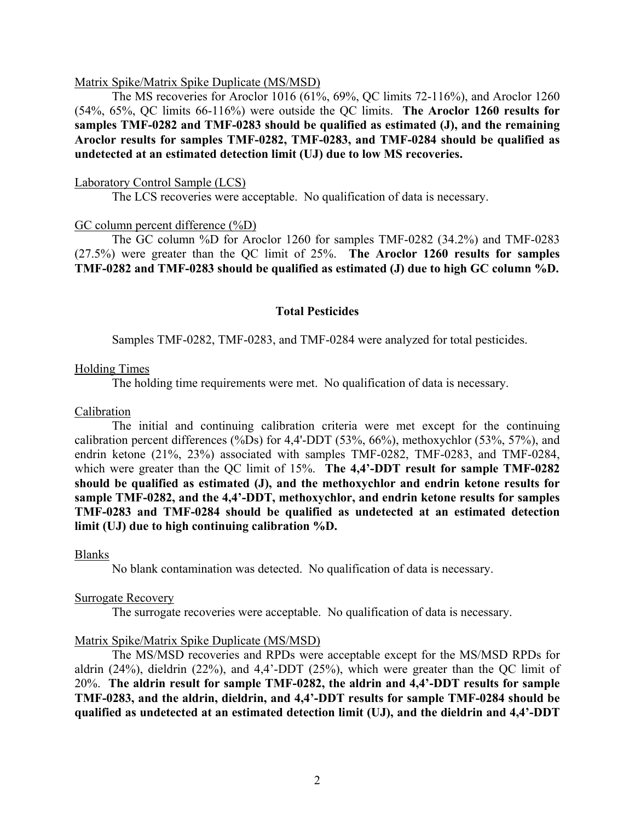#### Matrix Spike/Matrix Spike Duplicate (MS/MSD)

 The MS recoveries for Aroclor 1016 (61%, 69%, QC limits 72-116%), and Aroclor 1260 (54%, 65%, QC limits 66-116%) were outside the QC limits. **The Aroclor 1260 results for samples TMF-0282 and TMF-0283 should be qualified as estimated (J), and the remaining Aroclor results for samples TMF-0282, TMF-0283, and TMF-0284 should be qualified as undetected at an estimated detection limit (UJ) due to low MS recoveries.** 

#### Laboratory Control Sample (LCS)

The LCS recoveries were acceptable. No qualification of data is necessary.

#### GC column percent difference (%D)

 The GC column %D for Aroclor 1260 for samples TMF-0282 (34.2%) and TMF-0283 (27.5%) were greater than the QC limit of 25%. **The Aroclor 1260 results for samples TMF-0282 and TMF-0283 should be qualified as estimated (J) due to high GC column %D.** 

#### **Total Pesticides**

Samples TMF-0282, TMF-0283, and TMF-0284 were analyzed for total pesticides.

#### Holding Times

The holding time requirements were met. No qualification of data is necessary.

#### Calibration

 The initial and continuing calibration criteria were met except for the continuing calibration percent differences (%Ds) for  $4,4$ '-DDT (53%, 66%), methoxychlor (53%, 57%), and endrin ketone (21%, 23%) associated with samples TMF-0282, TMF-0283, and TMF-0284, which were greater than the QC limit of 15%. **The 4,4'-DDT result for sample TMF-0282 should be qualified as estimated (J), and the methoxychlor and endrin ketone results for sample TMF-0282, and the 4,4'-DDT, methoxychlor, and endrin ketone results for samples TMF-0283 and TMF-0284 should be qualified as undetected at an estimated detection limit (UJ) due to high continuing calibration %D.** 

#### Blanks

No blank contamination was detected. No qualification of data is necessary.

#### Surrogate Recovery

The surrogate recoveries were acceptable. No qualification of data is necessary.

### Matrix Spike/Matrix Spike Duplicate (MS/MSD)

 The MS/MSD recoveries and RPDs were acceptable except for the MS/MSD RPDs for aldrin (24%), dieldrin (22%), and 4,4'-DDT (25%), which were greater than the QC limit of 20%. **The aldrin result for sample TMF-0282, the aldrin and 4,4'-DDT results for sample TMF-0283, and the aldrin, dieldrin, and 4,4'-DDT results for sample TMF-0284 should be qualified as undetected at an estimated detection limit (UJ), and the dieldrin and 4,4'-DDT**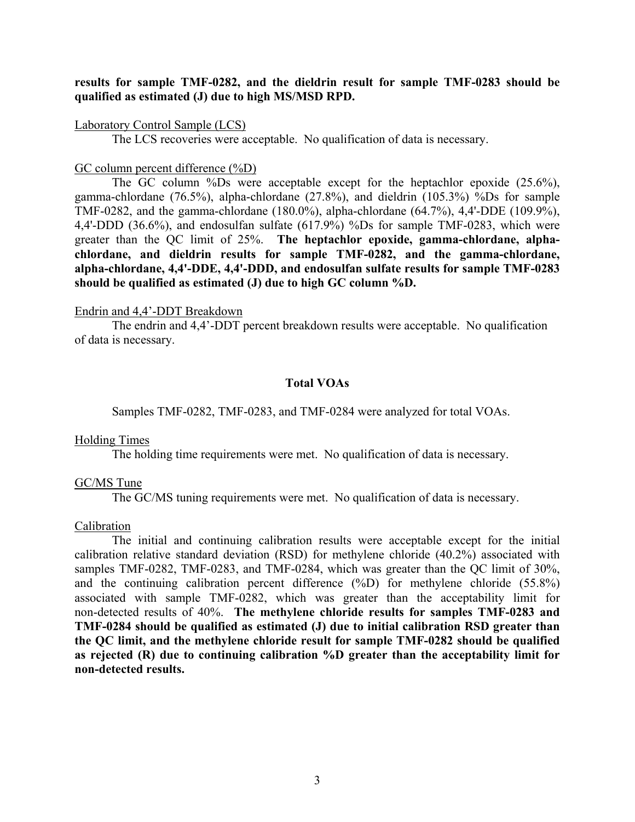### **results for sample TMF-0282, and the dieldrin result for sample TMF-0283 should be qualified as estimated (J) due to high MS/MSD RPD.**

#### Laboratory Control Sample (LCS)

The LCS recoveries were acceptable. No qualification of data is necessary.

#### GC column percent difference (%D)

 The GC column %Ds were acceptable except for the heptachlor epoxide (25.6%), gamma-chlordane (76.5%), alpha-chlordane (27.8%), and dieldrin (105.3%) %Ds for sample TMF-0282, and the gamma-chlordane (180.0%), alpha-chlordane (64.7%), 4,4'-DDE (109.9%), 4,4'-DDD (36.6%), and endosulfan sulfate (617.9%) %Ds for sample TMF-0283, which were greater than the QC limit of 25%. **The heptachlor epoxide, gamma-chlordane, alphachlordane, and dieldrin results for sample TMF-0282, and the gamma-chlordane, alpha-chlordane, 4,4'-DDE, 4,4'-DDD, and endosulfan sulfate results for sample TMF-0283 should be qualified as estimated (J) due to high GC column %D.** 

#### Endrin and 4,4'-DDT Breakdown

 The endrin and 4,4'-DDT percent breakdown results were acceptable. No qualification of data is necessary.

## **Total VOAs**

Samples TMF-0282, TMF-0283, and TMF-0284 were analyzed for total VOAs.

#### Holding Times

The holding time requirements were met. No qualification of data is necessary.

#### GC/MS Tune

The GC/MS tuning requirements were met. No qualification of data is necessary.

#### Calibration

 The initial and continuing calibration results were acceptable except for the initial calibration relative standard deviation (RSD) for methylene chloride (40.2%) associated with samples TMF-0282, TMF-0283, and TMF-0284, which was greater than the QC limit of 30%, and the continuing calibration percent difference (%D) for methylene chloride (55.8%) associated with sample TMF-0282, which was greater than the acceptability limit for non-detected results of 40%. **The methylene chloride results for samples TMF-0283 and TMF-0284 should be qualified as estimated (J) due to initial calibration RSD greater than the QC limit, and the methylene chloride result for sample TMF-0282 should be qualified as rejected (R) due to continuing calibration %D greater than the acceptability limit for non-detected results.**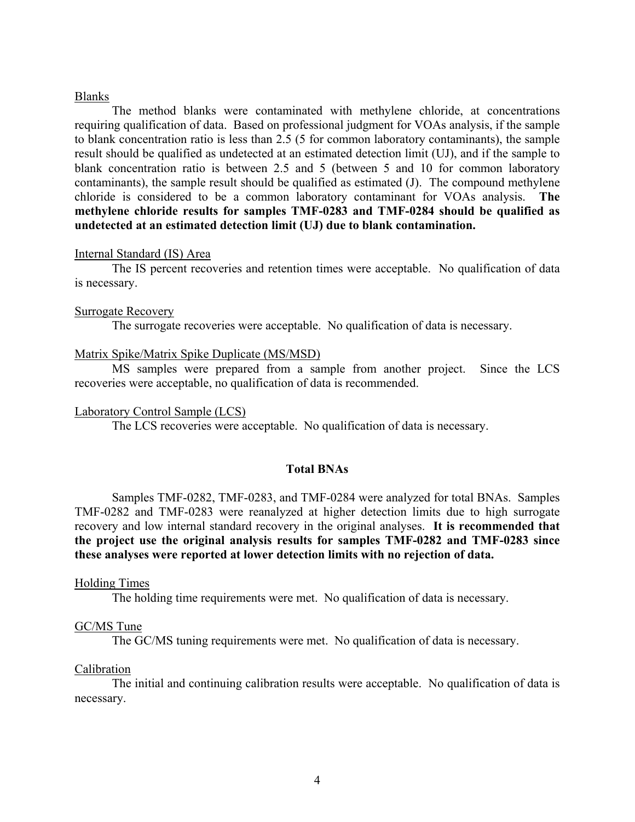#### Blanks

 The method blanks were contaminated with methylene chloride, at concentrations requiring qualification of data. Based on professional judgment for VOAs analysis, if the sample to blank concentration ratio is less than 2.5 (5 for common laboratory contaminants), the sample result should be qualified as undetected at an estimated detection limit (UJ), and if the sample to blank concentration ratio is between 2.5 and 5 (between 5 and 10 for common laboratory contaminants), the sample result should be qualified as estimated (J). The compound methylene chloride is considered to be a common laboratory contaminant for VOAs analysis. **The methylene chloride results for samples TMF-0283 and TMF-0284 should be qualified as undetected at an estimated detection limit (UJ) due to blank contamination.** 

#### Internal Standard (IS) Area

 The IS percent recoveries and retention times were acceptable. No qualification of data is necessary.

#### Surrogate Recovery

The surrogate recoveries were acceptable. No qualification of data is necessary.

#### Matrix Spike/Matrix Spike Duplicate (MS/MSD)

 MS samples were prepared from a sample from another project. Since the LCS recoveries were acceptable, no qualification of data is recommended.

#### Laboratory Control Sample (LCS)

The LCS recoveries were acceptable. No qualification of data is necessary.

#### **Total BNAs**

 Samples TMF-0282, TMF-0283, and TMF-0284 were analyzed for total BNAs. Samples TMF-0282 and TMF-0283 were reanalyzed at higher detection limits due to high surrogate recovery and low internal standard recovery in the original analyses. **It is recommended that the project use the original analysis results for samples TMF-0282 and TMF-0283 since these analyses were reported at lower detection limits with no rejection of data.**

#### Holding Times

The holding time requirements were met. No qualification of data is necessary.

#### GC/MS Tune

The GC/MS tuning requirements were met. No qualification of data is necessary.

#### Calibration

 The initial and continuing calibration results were acceptable. No qualification of data is necessary.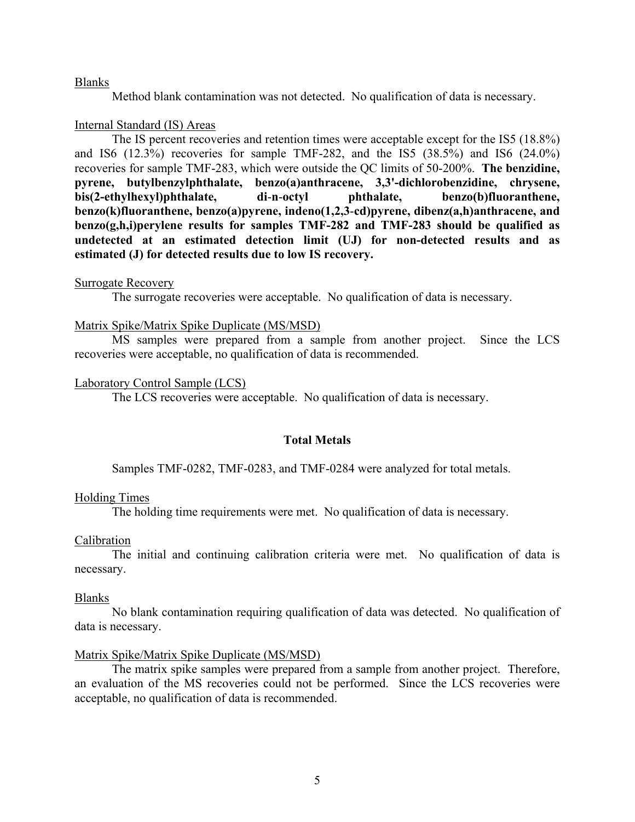#### Blanks

Method blank contamination was not detected. No qualification of data is necessary.

#### Internal Standard (IS) Areas

 The IS percent recoveries and retention times were acceptable except for the IS5 (18.8%) and IS6 (12.3%) recoveries for sample TMF-282, and the IS5 (38.5%) and IS6 (24.0%) recoveries for sample TMF-283, which were outside the QC limits of 50-200%. **The benzidine, pyrene, butylbenzylphthalate, benzo(a)anthracene, 3,3'-dichlorobenzidine, chrysene, bis(2-ethylhexyl)phthalate, di**-**n**-**octyl phthalate, benzo(b)fluoranthene, benzo(k)fluoranthene, benzo(a)pyrene, indeno(1,2,3**-**cd)pyrene, dibenz(a,h)anthracene, and benzo(g,h,i)perylene results for samples TMF-282 and TMF-283 should be qualified as undetected at an estimated detection limit (UJ) for non-detected results and as estimated (J) for detected results due to low IS recovery.** 

#### Surrogate Recovery

The surrogate recoveries were acceptable. No qualification of data is necessary.

#### Matrix Spike/Matrix Spike Duplicate (MS/MSD)

 MS samples were prepared from a sample from another project. Since the LCS recoveries were acceptable, no qualification of data is recommended.

#### Laboratory Control Sample (LCS)

The LCS recoveries were acceptable. No qualification of data is necessary.

### **Total Metals**

Samples TMF-0282, TMF-0283, and TMF-0284 were analyzed for total metals.

#### Holding Times

The holding time requirements were met. No qualification of data is necessary.

#### Calibration

 The initial and continuing calibration criteria were met. No qualification of data is necessary.

#### Blanks

 No blank contamination requiring qualification of data was detected. No qualification of data is necessary.

#### Matrix Spike/Matrix Spike Duplicate (MS/MSD)

 The matrix spike samples were prepared from a sample from another project. Therefore, an evaluation of the MS recoveries could not be performed. Since the LCS recoveries were acceptable, no qualification of data is recommended.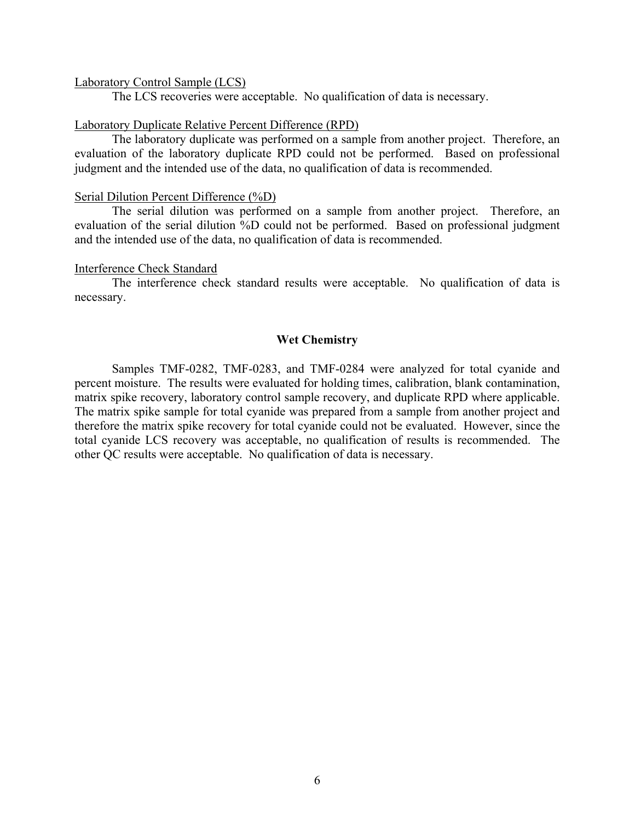#### Laboratory Control Sample (LCS)

The LCS recoveries were acceptable. No qualification of data is necessary.

#### Laboratory Duplicate Relative Percent Difference (RPD)

 The laboratory duplicate was performed on a sample from another project. Therefore, an evaluation of the laboratory duplicate RPD could not be performed. Based on professional judgment and the intended use of the data, no qualification of data is recommended.

#### Serial Dilution Percent Difference (%D)

 The serial dilution was performed on a sample from another project. Therefore, an evaluation of the serial dilution %D could not be performed. Based on professional judgment and the intended use of the data, no qualification of data is recommended.

#### Interference Check Standard

 The interference check standard results were acceptable. No qualification of data is necessary.

#### **Wet Chemistry**

 Samples TMF-0282, TMF-0283, and TMF-0284 were analyzed for total cyanide and percent moisture. The results were evaluated for holding times, calibration, blank contamination, matrix spike recovery, laboratory control sample recovery, and duplicate RPD where applicable. The matrix spike sample for total cyanide was prepared from a sample from another project and therefore the matrix spike recovery for total cyanide could not be evaluated. However, since the total cyanide LCS recovery was acceptable, no qualification of results is recommended. The other QC results were acceptable. No qualification of data is necessary.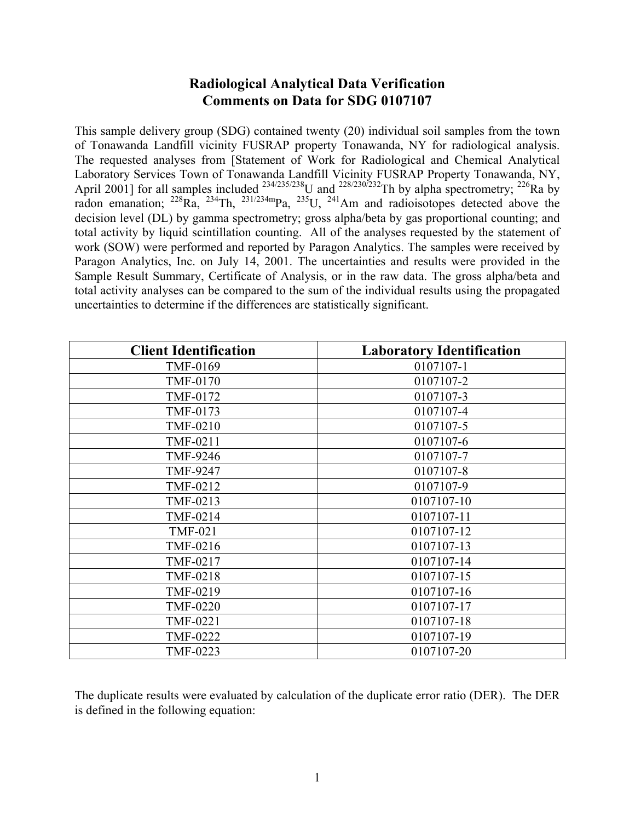# **Radiological Analytical Data Verification Comments on Data for SDG 0107107**

This sample delivery group (SDG) contained twenty (20) individual soil samples from the town of Tonawanda Landfill vicinity FUSRAP property Tonawanda, NY for radiological analysis. The requested analyses from [Statement of Work for Radiological and Chemical Analytical Laboratory Services Town of Tonawanda Landfill Vicinity FUSRAP Property Tonawanda, NY, April 2001] for all samples included  $^{234/235/238}$ U and  $^{228/230/232}$ Th by alpha spectrometry;  $^{226}$ Ra by radon emanation;  $^{228}Ra$ ,  $^{234}Th$ ,  $^{231/234m}Pa$ ,  $^{235}U$ ,  $^{241}Am$  and radioisotopes detected above the decision level (DL) by gamma spectrometry; gross alpha/beta by gas proportional counting; and total activity by liquid scintillation counting. All of the analyses requested by the statement of work (SOW) were performed and reported by Paragon Analytics. The samples were received by Paragon Analytics, Inc. on July 14, 2001. The uncertainties and results were provided in the Sample Result Summary, Certificate of Analysis, or in the raw data. The gross alpha/beta and total activity analyses can be compared to the sum of the individual results using the propagated uncertainties to determine if the differences are statistically significant.

| <b>Client Identification</b> | <b>Laboratory Identification</b> |
|------------------------------|----------------------------------|
| TMF-0169                     | 0107107-1                        |
| <b>TMF-0170</b>              | 0107107-2                        |
| TMF-0172                     | 0107107-3                        |
| TMF-0173                     | 0107107-4                        |
| <b>TMF-0210</b>              | 0107107-5                        |
| TMF-0211                     | 0107107-6                        |
| <b>TMF-9246</b>              | 0107107-7                        |
| <b>TMF-9247</b>              | 0107107-8                        |
| TMF-0212                     | 0107107-9                        |
| TMF-0213                     | 0107107-10                       |
| TMF-0214                     | 0107107-11                       |
| <b>TMF-021</b>               | 0107107-12                       |
| TMF-0216                     | 0107107-13                       |
| TMF-0217                     | 0107107-14                       |
| <b>TMF-0218</b>              | 0107107-15                       |
| TMF-0219                     | 0107107-16                       |
| <b>TMF-0220</b>              | 0107107-17                       |
| TMF-0221                     | 0107107-18                       |
| <b>TMF-0222</b>              | 0107107-19                       |
| TMF-0223                     | 0107107-20                       |

The duplicate results were evaluated by calculation of the duplicate error ratio (DER). The DER is defined in the following equation: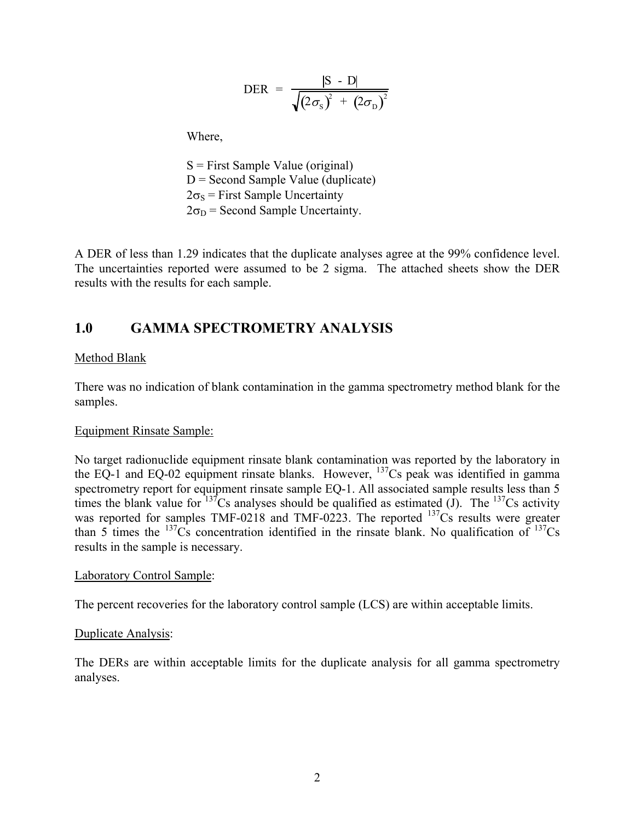$$
\text{DER} = \frac{|\text{S} - \text{D}|}{\sqrt{(2\sigma_{\text{S}})^{2} + (2\sigma_{\text{D}})^{2}}}
$$

Where,

 S = First Sample Value (original)  $D =$  Second Sample Value (duplicate)  $2\sigma_s$  = First Sample Uncertainty  $2\sigma_D$  = Second Sample Uncertainty.

A DER of less than 1.29 indicates that the duplicate analyses agree at the 99% confidence level. The uncertainties reported were assumed to be 2 sigma. The attached sheets show the DER results with the results for each sample.

# **1.0 GAMMA SPECTROMETRY ANALYSIS**

## Method Blank

There was no indication of blank contamination in the gamma spectrometry method blank for the samples.

## Equipment Rinsate Sample:

No target radionuclide equipment rinsate blank contamination was reported by the laboratory in the EQ-1 and EQ-02 equipment rinsate blanks. However,  $^{137}$ Cs peak was identified in gamma spectrometry report for equipment rinsate sample EQ-1. All associated sample results less than 5 times the blank value for  $137$ Cs analyses should be qualified as estimated (J). The  $137$ Cs activity was reported for samples TMF-0218 and TMF-0223. The reported  $^{137}Cs$  results were greater than 5 times the  $^{137}Cs$  concentration identified in the rinsate blank. No qualification of  $^{137}Cs$ results in the sample is necessary.

## Laboratory Control Sample:

The percent recoveries for the laboratory control sample (LCS) are within acceptable limits.

## Duplicate Analysis:

The DERs are within acceptable limits for the duplicate analysis for all gamma spectrometry analyses.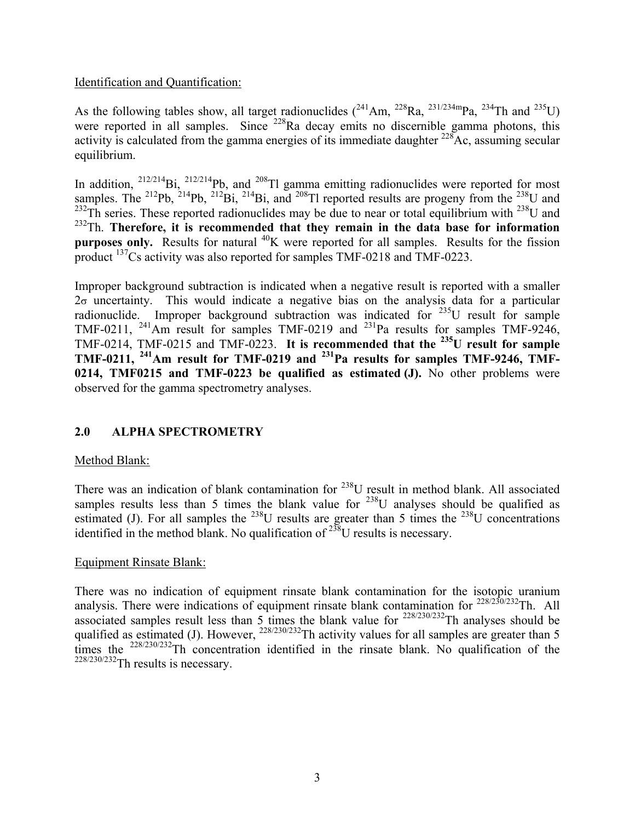## Identification and Quantification:

As the following tables show, all target radionuclides  $(^{241}Am, ^{228}Ra, ^{231/234m}Pa, ^{234}Th$  and  $^{235}U)$ were reported in all samples. Since <sup>228</sup>Ra decay emits no discernible gamma photons, this activity is calculated from the gamma energies of its immediate daughter  $228$ Ac, assuming secular equilibrium.

In addition,  $^{212/214}$ Bi,  $^{212/214}$ Pb, and  $^{208}$ Tl gamma emitting radionuclides were reported for most samples. The <sup>212</sup>Pb, <sup>214</sup>Pb, <sup>212</sup>Bi, <sup>214</sup>Bi, and <sup>208</sup>Tl reported results are progeny from the <sup>238</sup>U and  $^{232}$ Th series. These reported radionuclides may be due to near or total equilibrium with  $^{238}$ U and <sup>232</sup>Th. Therefore, it is recommended that they remain in the data base for information **purposes only.** Results for natural <sup>40</sup>K were reported for all samples. Results for the fission product <sup>137</sup>Cs activity was also reported for samples TMF-0218 and TMF-0223.

Improper background subtraction is indicated when a negative result is reported with a smaller  $2\sigma$  uncertainty. This would indicate a negative bias on the analysis data for a particular radionuclide. Improper background subtraction was indicated for 235U result for sample TMF-0211,  $^{241}$ Am result for samples TMF-0219 and  $^{231}$ Pa results for samples TMF-9246, TMF-0214, TMF-0215 and TMF-0223. **It is recommended that the 235U result for sample TMF-0211, 241Am result for TMF-0219 and 231Pa results for samples TMF-9246, TMF-0214, TMF0215 and TMF-0223 be qualified as estimated (J).** No other problems were observed for the gamma spectrometry analyses.

# **2.0 ALPHA SPECTROMETRY**

## Method Blank:

There was an indication of blank contamination for <sup>238</sup>U result in method blank. All associated samples results less than 5 times the blank value for  $238$ U analyses should be qualified as estimated (J). For all samples the  $^{238}$ U results are greater than 5 times the  $^{238}$ U concentrations identified in the method blank. No qualification of  $^{238}$ U results is necessary.

## Equipment Rinsate Blank:

There was no indication of equipment rinsate blank contamination for the isotopic uranium analysis. There were indications of equipment rinsate blank contamination for  $228/230/232$ Th. All associated samples result less than 5 times the blank value for  $^{228/230/232}$ Th analyses should be qualified as estimated (J). However,  $^{228/230/232}$ Th activity values for all samples are greater than 5 times the <sup>228/230/232</sup>Th concentration identified in the rinsate blank. No qualification of the  $228/230/232$ Th results is necessary.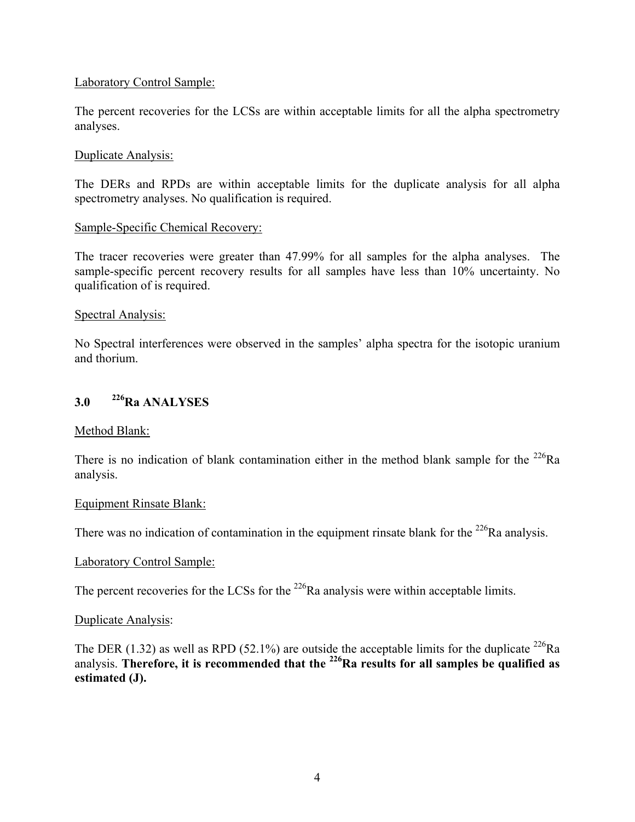## Laboratory Control Sample:

The percent recoveries for the LCSs are within acceptable limits for all the alpha spectrometry analyses.

## Duplicate Analysis:

The DERs and RPDs are within acceptable limits for the duplicate analysis for all alpha spectrometry analyses. No qualification is required.

## Sample-Specific Chemical Recovery:

The tracer recoveries were greater than 47.99% for all samples for the alpha analyses. The sample-specific percent recovery results for all samples have less than 10% uncertainty. No qualification of is required.

### Spectral Analysis:

No Spectral interferences were observed in the samples' alpha spectra for the isotopic uranium and thorium.

# **3.0 226Ra ANALYSES**

## Method Blank:

There is no indication of blank contamination either in the method blank sample for the  $^{226}Ra$ analysis.

#### Equipment Rinsate Blank:

There was no indication of contamination in the equipment rinsate blank for the  $^{226}$ Ra analysis.

## Laboratory Control Sample:

The percent recoveries for the LCSs for the  $^{226}$ Ra analysis were within acceptable limits.

#### Duplicate Analysis:

The DER (1.32) as well as RPD (52.1%) are outside the acceptable limits for the duplicate  $^{226}$ Ra analysis. Therefore, it is recommended that the <sup>226</sup>Ra results for all samples be qualified as **estimated (J).**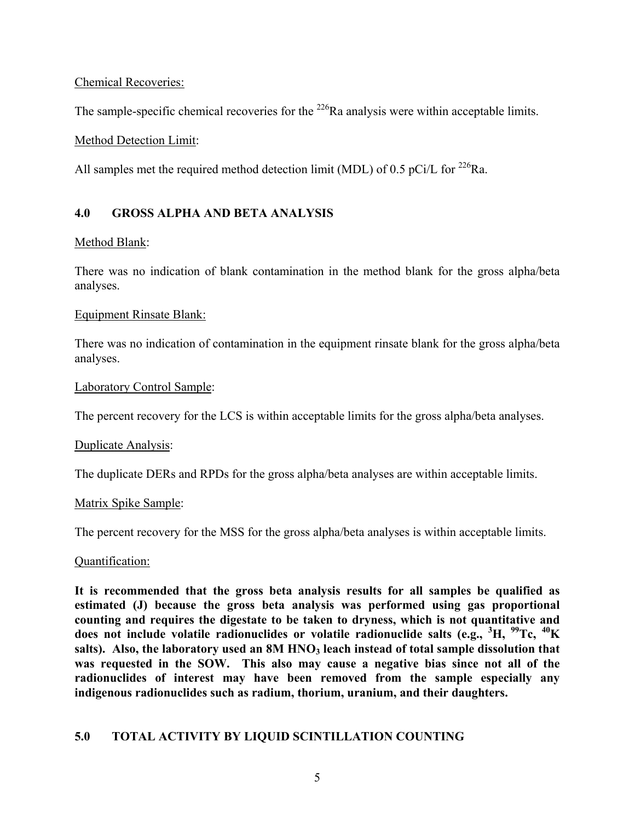Chemical Recoveries:

The sample-specific chemical recoveries for the  $^{226}$ Ra analysis were within acceptable limits.

Method Detection Limit:

All samples met the required method detection limit (MDL) of 0.5 pCi/L for <sup>226</sup>Ra.

## **4.0 GROSS ALPHA AND BETA ANALYSIS**

## Method Blank:

There was no indication of blank contamination in the method blank for the gross alpha/beta analyses.

## Equipment Rinsate Blank:

There was no indication of contamination in the equipment rinsate blank for the gross alpha/beta analyses.

## Laboratory Control Sample:

The percent recovery for the LCS is within acceptable limits for the gross alpha/beta analyses.

## Duplicate Analysis:

The duplicate DERs and RPDs for the gross alpha/beta analyses are within acceptable limits.

## Matrix Spike Sample:

The percent recovery for the MSS for the gross alpha/beta analyses is within acceptable limits.

## Quantification:

**It is recommended that the gross beta analysis results for all samples be qualified as estimated (J) because the gross beta analysis was performed using gas proportional counting and requires the digestate to be taken to dryness, which is not quantitative and does not include volatile radionuclides or volatile radionuclide salts (e.g., <sup>3</sup> H, 99Tc, 40K**  salts). Also, the laboratory used an 8M HNO<sub>3</sub> leach instead of total sample dissolution that **was requested in the SOW. This also may cause a negative bias since not all of the radionuclides of interest may have been removed from the sample especially any indigenous radionuclides such as radium, thorium, uranium, and their daughters.**

## **5.0 TOTAL ACTIVITY BY LIQUID SCINTILLATION COUNTING**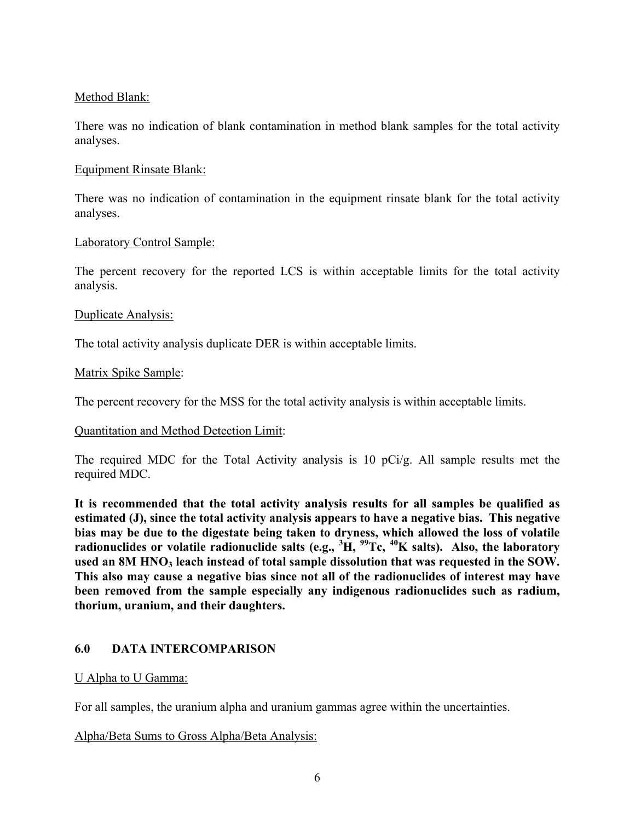## Method Blank:

There was no indication of blank contamination in method blank samples for the total activity analyses.

## Equipment Rinsate Blank:

There was no indication of contamination in the equipment rinsate blank for the total activity analyses.

## Laboratory Control Sample:

The percent recovery for the reported LCS is within acceptable limits for the total activity analysis.

## Duplicate Analysis:

The total activity analysis duplicate DER is within acceptable limits.

## Matrix Spike Sample:

The percent recovery for the MSS for the total activity analysis is within acceptable limits.

## Quantitation and Method Detection Limit:

The required MDC for the Total Activity analysis is 10 pCi/g. All sample results met the required MDC.

**It is recommended that the total activity analysis results for all samples be qualified as estimated (J), since the total activity analysis appears to have a negative bias. This negative bias may be due to the digestate being taken to dryness, which allowed the loss of volatile radionuclides or volatile radionuclide salts (e.g., <sup>3</sup> H, 99Tc, 40K salts). Also, the laboratory**  used an 8M HNO<sub>3</sub> leach instead of total sample dissolution that was requested in the SOW. **This also may cause a negative bias since not all of the radionuclides of interest may have been removed from the sample especially any indigenous radionuclides such as radium, thorium, uranium, and their daughters.**

## **6.0 DATA INTERCOMPARISON**

## U Alpha to U Gamma:

For all samples, the uranium alpha and uranium gammas agree within the uncertainties.

Alpha/Beta Sums to Gross Alpha/Beta Analysis: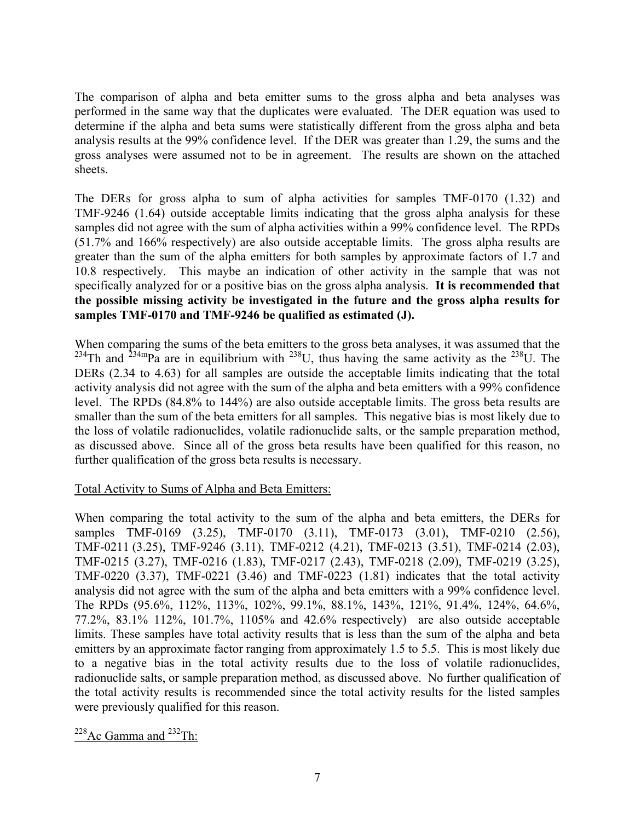The comparison of alpha and beta emitter sums to the gross alpha and beta analyses was performed in the same way that the duplicates were evaluated. The DER equation was used to determine if the alpha and beta sums were statistically different from the gross alpha and beta analysis results at the 99% confidence level. If the DER was greater than 1.29, the sums and the gross analyses were assumed not to be in agreement. The results are shown on the attached sheets.

The DERs for gross alpha to sum of alpha activities for samples TMF-0170 (1.32) and TMF-9246 (1.64) outside acceptable limits indicating that the gross alpha analysis for these samples did not agree with the sum of alpha activities within a 99% confidence level. The RPDs (51.7% and 166% respectively) are also outside acceptable limits. The gross alpha results are greater than the sum of the alpha emitters for both samples by approximate factors of 1.7 and 10.8 respectively. This maybe an indication of other activity in the sample that was not specifically analyzed for or a positive bias on the gross alpha analysis. **It is recommended that the possible missing activity be investigated in the future and the gross alpha results for samples TMF-0170 and TMF-9246 be qualified as estimated (J).** 

When comparing the sums of the beta emitters to the gross beta analyses, it was assumed that the  $^{234}$ Th and  $^{234}$ mPa are in equilibrium with  $^{238}$ U, thus having the same activity as the  $^{238}$ U. The DERs (2.34 to 4.63) for all samples are outside the acceptable limits indicating that the total activity analysis did not agree with the sum of the alpha and beta emitters with a 99% confidence level. The RPDs (84.8% to 144%) are also outside acceptable limits. The gross beta results are smaller than the sum of the beta emitters for all samples. This negative bias is most likely due to the loss of volatile radionuclides, volatile radionuclide salts, or the sample preparation method, as discussed above. Since all of the gross beta results have been qualified for this reason, no further qualification of the gross beta results is necessary.

## Total Activity to Sums of Alpha and Beta Emitters:

When comparing the total activity to the sum of the alpha and beta emitters, the DERs for samples TMF-0169 (3.25), TMF-0170 (3.11), TMF-0173 (3.01), TMF-0210 (2.56), TMF-0211 (3.25), TMF-9246 (3.11), TMF-0212 (4.21), TMF-0213 (3.51), TMF-0214 (2.03), TMF-0215 (3.27), TMF-0216 (1.83), TMF-0217 (2.43), TMF-0218 (2.09), TMF-0219 (3.25), TMF-0220 (3.37), TMF-0221 (3.46) and TMF-0223 (1.81) indicates that the total activity analysis did not agree with the sum of the alpha and beta emitters with a 99% confidence level. The RPDs (95.6%, 112%, 113%, 102%, 99.1%, 88.1%, 143%, 121%, 91.4%, 124%, 64.6%, 77.2%, 83.1% 112%, 101.7%, 1105% and 42.6% respectively) are also outside acceptable limits. These samples have total activity results that is less than the sum of the alpha and beta emitters by an approximate factor ranging from approximately 1.5 to 5.5. This is most likely due to a negative bias in the total activity results due to the loss of volatile radionuclides, radionuclide salts, or sample preparation method, as discussed above. No further qualification of the total activity results is recommended since the total activity results for the listed samples were previously qualified for this reason.

<sup>228</sup>Ac Gamma and <sup>232</sup>Th: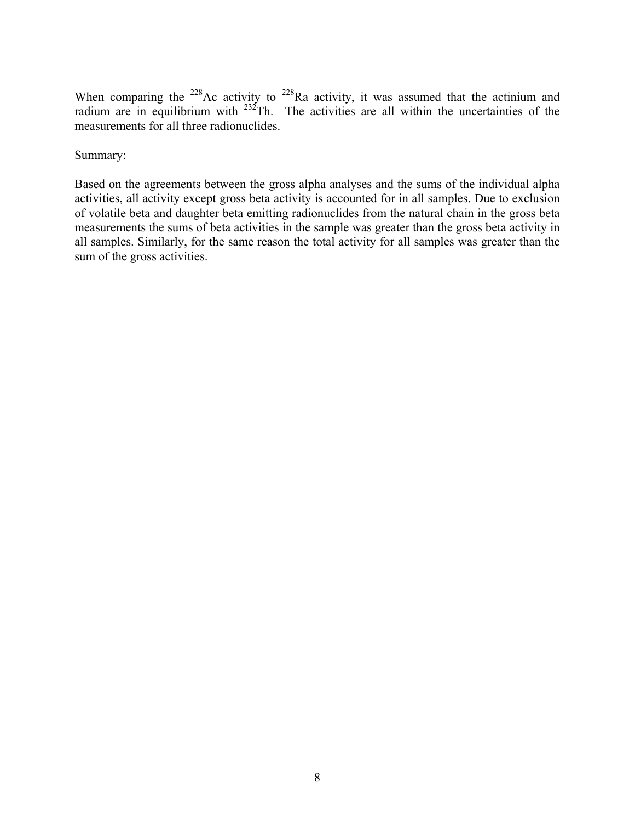When comparing the <sup>228</sup>Ac activity to <sup>228</sup>Ra activity, it was assumed that the actinium and radium are in equilibrium with  $232$ Th. The activities are all within the uncertainties of the measurements for all three radionuclides.

## Summary:

Based on the agreements between the gross alpha analyses and the sums of the individual alpha activities, all activity except gross beta activity is accounted for in all samples. Due to exclusion of volatile beta and daughter beta emitting radionuclides from the natural chain in the gross beta measurements the sums of beta activities in the sample was greater than the gross beta activity in all samples. Similarly, for the same reason the total activity for all samples was greater than the sum of the gross activities.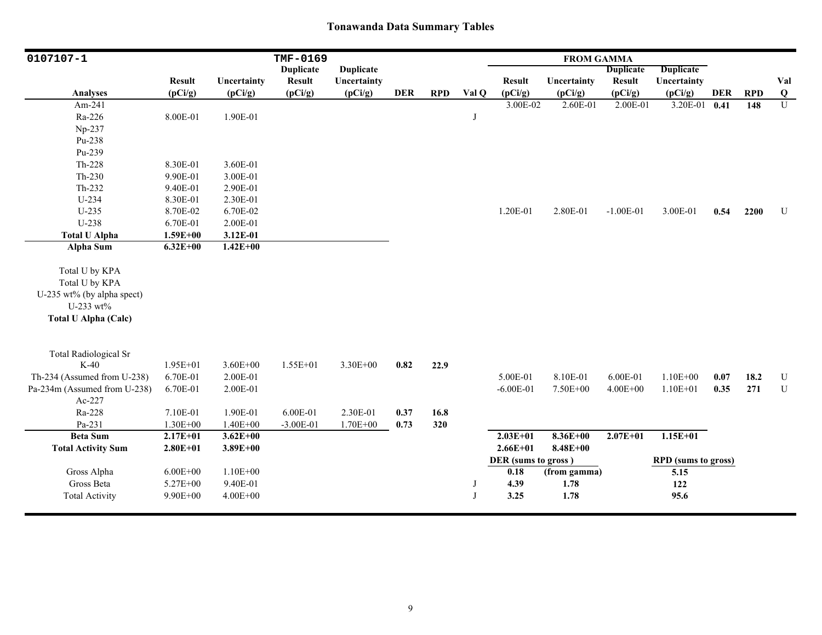| 0107107-1                    | TMF-0169<br><b>FROM GAMMA</b> |              |                  |                  |            |            |       |                     |              |                  |                            |      |            |                |
|------------------------------|-------------------------------|--------------|------------------|------------------|------------|------------|-------|---------------------|--------------|------------------|----------------------------|------|------------|----------------|
|                              |                               |              | <b>Duplicate</b> | <b>Duplicate</b> |            |            |       |                     |              | <b>Duplicate</b> | <b>Duplicate</b>           |      |            |                |
|                              | <b>Result</b>                 | Uncertainty  | <b>Result</b>    | Uncertainty      |            |            |       | <b>Result</b>       | Uncertainty  | <b>Result</b>    | Uncertainty                |      |            | Val            |
| <b>Analyses</b>              | (pCi/g)                       | (pCi/g)      | (pCi/g)          | (pCi/g)          | <b>DER</b> | <b>RPD</b> | Val Q | (pCi/g)             | (pCi/g)      | (pCi/g)          | (pCi/g)                    | DER  | <b>RPD</b> | Q              |
| Am-241                       |                               |              |                  |                  |            |            |       | 3.00E-02            | 2.60E-01     | 2.00E-01         | 3.20E-01                   | 0.41 | 148        | $\overline{U}$ |
| Ra-226                       | 8.00E-01                      | 1.90E-01     |                  |                  |            |            | J     |                     |              |                  |                            |      |            |                |
| Np-237                       |                               |              |                  |                  |            |            |       |                     |              |                  |                            |      |            |                |
| Pu-238                       |                               |              |                  |                  |            |            |       |                     |              |                  |                            |      |            |                |
| Pu-239                       |                               |              |                  |                  |            |            |       |                     |              |                  |                            |      |            |                |
| Th-228                       | 8.30E-01                      | 3.60E-01     |                  |                  |            |            |       |                     |              |                  |                            |      |            |                |
| Th-230                       | 9.90E-01                      | 3.00E-01     |                  |                  |            |            |       |                     |              |                  |                            |      |            |                |
| Th-232                       | 9.40E-01                      | 2.90E-01     |                  |                  |            |            |       |                     |              |                  |                            |      |            |                |
| U-234                        | 8.30E-01                      | 2.30E-01     |                  |                  |            |            |       |                     |              |                  |                            |      |            |                |
| $U-235$                      | 8.70E-02                      | 6.70E-02     |                  |                  |            |            |       | 1.20E-01            | 2.80E-01     | $-1.00E-01$      | 3.00E-01                   | 0.54 | 2200       | U              |
| U-238                        | 6.70E-01                      | 2.00E-01     |                  |                  |            |            |       |                     |              |                  |                            |      |            |                |
| <b>Total U Alpha</b>         | $1.59E + 00$                  | 3.12E-01     |                  |                  |            |            |       |                     |              |                  |                            |      |            |                |
| Alpha Sum                    | $6.32E+00$                    | $1.42E+00$   |                  |                  |            |            |       |                     |              |                  |                            |      |            |                |
|                              |                               |              |                  |                  |            |            |       |                     |              |                  |                            |      |            |                |
| Total U by KPA               |                               |              |                  |                  |            |            |       |                     |              |                  |                            |      |            |                |
| Total U by KPA               |                               |              |                  |                  |            |            |       |                     |              |                  |                            |      |            |                |
| U-235 wt% (by alpha spect)   |                               |              |                  |                  |            |            |       |                     |              |                  |                            |      |            |                |
| U-233 wt%                    |                               |              |                  |                  |            |            |       |                     |              |                  |                            |      |            |                |
| <b>Total U Alpha (Calc)</b>  |                               |              |                  |                  |            |            |       |                     |              |                  |                            |      |            |                |
|                              |                               |              |                  |                  |            |            |       |                     |              |                  |                            |      |            |                |
|                              |                               |              |                  |                  |            |            |       |                     |              |                  |                            |      |            |                |
| <b>Total Radiological Sr</b> |                               |              |                  |                  |            |            |       |                     |              |                  |                            |      |            |                |
| $K-40$                       | 1.95E+01                      | $3.60E + 00$ | $1.55E + 01$     | 3.30E+00         | 0.82       | 22.9       |       |                     |              |                  |                            |      |            |                |
| Th-234 (Assumed from U-238)  | 6.70E-01                      | 2.00E-01     |                  |                  |            |            |       | 5.00E-01            | 8.10E-01     | 6.00E-01         | $1.10E + 00$               | 0.07 | 18.2       | U              |
| Pa-234m (Assumed from U-238) | 6.70E-01                      | 2.00E-01     |                  |                  |            |            |       | $-6.00E - 01$       | 7.50E+00     | $4.00E + 00$     | $1.10E + 01$               | 0.35 | 271        | U              |
| Ac-227                       |                               |              |                  |                  |            |            |       |                     |              |                  |                            |      |            |                |
| Ra-228                       | 7.10E-01                      | 1.90E-01     | 6.00E-01         | 2.30E-01         | 0.37       | 16.8       |       |                     |              |                  |                            |      |            |                |
| Pa-231                       | $1.30E + 00$                  | $1.40E + 00$ | $-3.00E-01$      | 1.70E+00         | 0.73       | 320        |       |                     |              |                  |                            |      |            |                |
| <b>Beta Sum</b>              | $2.17E+01$                    | $3.62E + 00$ |                  |                  |            |            |       | $2.03E+01$          | $8.36E + 00$ | $2.07E + 01$     | $1.15E+01$                 |      |            |                |
| <b>Total Activity Sum</b>    | $2.80E + 01$                  | $3.89E + 00$ |                  |                  |            |            |       | $2.66E + 01$        | $8.48E + 00$ |                  |                            |      |            |                |
|                              |                               |              |                  |                  |            |            |       | DER (sums to gross) |              |                  | <b>RPD</b> (sums to gross) |      |            |                |
| Gross Alpha                  | $6.00E + 00$                  | $1.10E + 00$ |                  |                  |            |            |       | 0.18                | (from gamma) |                  | 5.15                       |      |            |                |
| Gross Beta                   | 5.27E+00                      | 9.40E-01     |                  |                  |            |            | J     | 4.39                | 1.78         |                  | 122                        |      |            |                |
| <b>Total Activity</b>        | $9.90E + 00$                  | $4.00E + 00$ |                  |                  |            |            | J     | 3.25                | 1.78         |                  | 95.6                       |      |            |                |
|                              |                               |              |                  |                  |            |            |       |                     |              |                  |                            |      |            |                |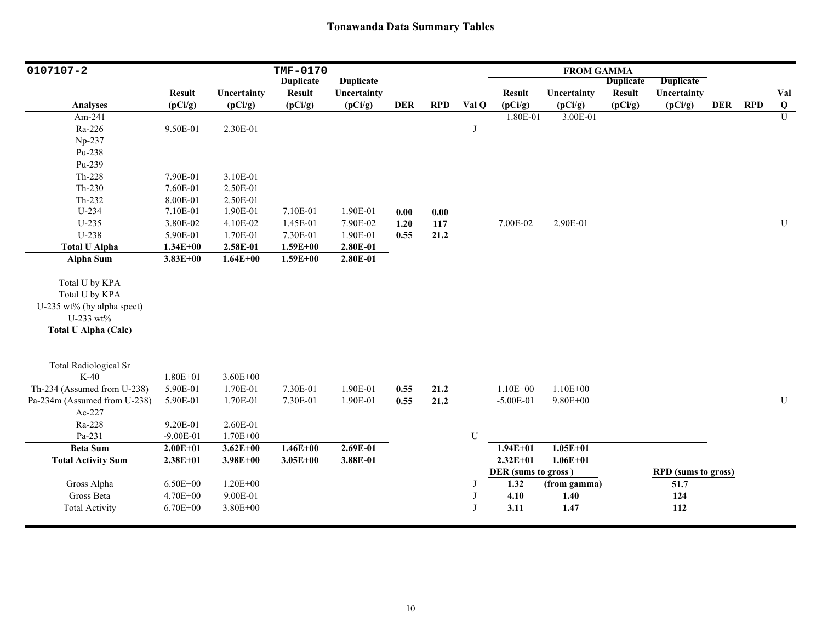| 0107107-2                    | TMF-0170      |              |                  |                  |            |            | <b>FROM GAMMA</b> |                     |              |                  |                            |            |            |                |
|------------------------------|---------------|--------------|------------------|------------------|------------|------------|-------------------|---------------------|--------------|------------------|----------------------------|------------|------------|----------------|
|                              |               |              | <b>Duplicate</b> | <b>Duplicate</b> |            |            |                   |                     |              | <b>Duplicate</b> | <b>Duplicate</b>           |            |            |                |
|                              | <b>Result</b> | Uncertainty  | <b>Result</b>    | Uncertainty      |            |            |                   | <b>Result</b>       | Uncertainty  | <b>Result</b>    | Uncertainty                |            |            | Val            |
| <b>Analyses</b>              | (pCi/g)       | (pCi/g)      | (pCi/g)          | (pCi/g)          | <b>DER</b> | <b>RPD</b> | Val Q             | (pCi/g)             | (pCi/g)      | (pCi/g)          | (pCi/g)                    | <b>DER</b> | <b>RPD</b> | Q              |
| Am-241                       |               |              |                  |                  |            |            |                   | 1.80E-01            | 3.00E-01     |                  |                            |            |            | $\overline{U}$ |
| Ra-226                       | 9.50E-01      | 2.30E-01     |                  |                  |            |            | J                 |                     |              |                  |                            |            |            |                |
| Np-237                       |               |              |                  |                  |            |            |                   |                     |              |                  |                            |            |            |                |
| Pu-238                       |               |              |                  |                  |            |            |                   |                     |              |                  |                            |            |            |                |
| Pu-239                       |               |              |                  |                  |            |            |                   |                     |              |                  |                            |            |            |                |
| $Th-228$                     | 7.90E-01      | 3.10E-01     |                  |                  |            |            |                   |                     |              |                  |                            |            |            |                |
| $Th-230$                     | 7.60E-01      | 2.50E-01     |                  |                  |            |            |                   |                     |              |                  |                            |            |            |                |
| $Th-232$                     | 8.00E-01      | 2.50E-01     |                  |                  |            |            |                   |                     |              |                  |                            |            |            |                |
| $U-234$                      | 7.10E-01      | 1.90E-01     | 7.10E-01         | 1.90E-01         | 0.00       | 0.00       |                   |                     |              |                  |                            |            |            |                |
| $U-235$                      | 3.80E-02      | 4.10E-02     | 1.45E-01         | 7.90E-02         | 1.20       | 117        |                   | 7.00E-02            | 2.90E-01     |                  |                            |            |            | U              |
| U-238                        | 5.90E-01      | 1.70E-01     | 7.30E-01         | 1.90E-01         | 0.55       | 21.2       |                   |                     |              |                  |                            |            |            |                |
| <b>Total U Alpha</b>         | $1.34E + 00$  | 2.58E-01     | $1.59E + 00$     | 2.80E-01         |            |            |                   |                     |              |                  |                            |            |            |                |
| Alpha Sum                    | $3.83E + 00$  | $1.64E + 00$ | $1.59E + 00$     | 2.80E-01         |            |            |                   |                     |              |                  |                            |            |            |                |
| Total U by KPA               |               |              |                  |                  |            |            |                   |                     |              |                  |                            |            |            |                |
| Total U by KPA               |               |              |                  |                  |            |            |                   |                     |              |                  |                            |            |            |                |
| U-235 wt% (by alpha spect)   |               |              |                  |                  |            |            |                   |                     |              |                  |                            |            |            |                |
| U-233 wt%                    |               |              |                  |                  |            |            |                   |                     |              |                  |                            |            |            |                |
| <b>Total U Alpha (Calc)</b>  |               |              |                  |                  |            |            |                   |                     |              |                  |                            |            |            |                |
|                              |               |              |                  |                  |            |            |                   |                     |              |                  |                            |            |            |                |
| <b>Total Radiological Sr</b> |               |              |                  |                  |            |            |                   |                     |              |                  |                            |            |            |                |
| $K-40$                       | $1.80E + 01$  | $3.60E + 00$ |                  |                  |            |            |                   |                     |              |                  |                            |            |            |                |
| Th-234 (Assumed from U-238)  | 5.90E-01      | 1.70E-01     | 7.30E-01         | 1.90E-01         | 0.55       | 21.2       |                   | $1.10E + 00$        | $1.10E + 00$ |                  |                            |            |            |                |
| Pa-234m (Assumed from U-238) | 5.90E-01      | 1.70E-01     | 7.30E-01         | 1.90E-01         | 0.55       | 21.2       |                   | $-5.00E-01$         | $9.80E + 00$ |                  |                            |            |            | ${\bf U}$      |
| Ac-227                       |               |              |                  |                  |            |            |                   |                     |              |                  |                            |            |            |                |
| Ra-228                       | 9.20E-01      | 2.60E-01     |                  |                  |            |            |                   |                     |              |                  |                            |            |            |                |
| Pa-231                       | $-9.00E - 01$ | 1.70E+00     |                  |                  |            |            | ${\bf U}$         |                     |              |                  |                            |            |            |                |
| <b>Beta Sum</b>              | $2.00E + 01$  | $3.62E + 00$ | $1.46E + 00$     | 2.69E-01         |            |            |                   | $1.94E + 01$        | $1.05E + 01$ |                  |                            |            |            |                |
| <b>Total Activity Sum</b>    | $2.38E + 01$  | $3.98E + 00$ | $3.05E + 00$     | 3.88E-01         |            |            |                   | $2.32E + 01$        | $1.06E + 01$ |                  |                            |            |            |                |
|                              |               |              |                  |                  |            |            |                   | DER (sums to gross) |              |                  | <b>RPD</b> (sums to gross) |            |            |                |
| Gross Alpha                  | $6.50E + 00$  | $1.20E + 00$ |                  |                  |            |            | J                 | 1.32                | (from gamma) |                  | $\overline{51.7}$          |            |            |                |
| Gross Beta                   | 4.70E+00      | 9.00E-01     |                  |                  |            |            | J                 | 4.10                | 1.40         |                  | 124                        |            |            |                |
| <b>Total Activity</b>        | $6.70E + 00$  | 3.80E+00     |                  |                  |            |            | $\bf{J}$          | 3.11                | 1.47         |                  | 112                        |            |            |                |
|                              |               |              |                  |                  |            |            |                   |                     |              |                  |                            |            |            |                |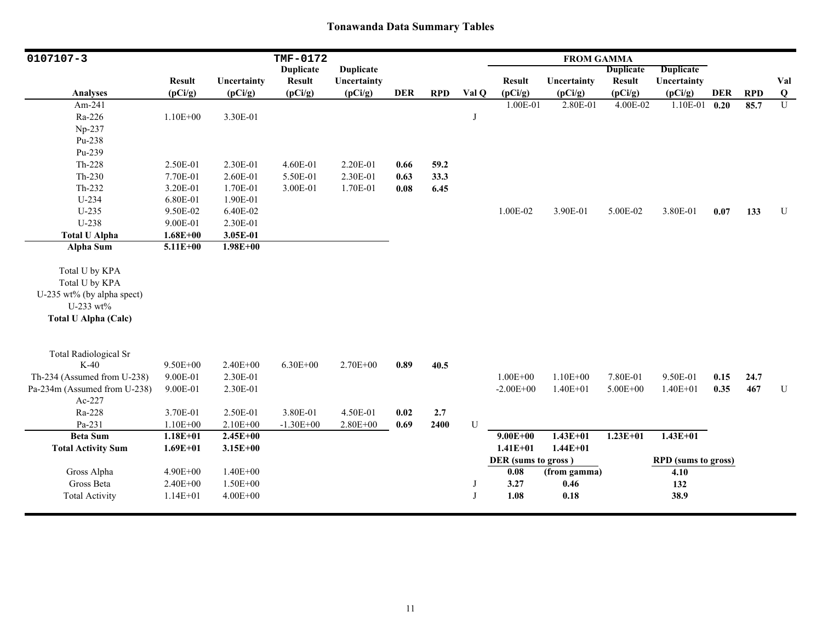| $0107107 - 3$                |               |              | TMF-0172         |                  |            |            |           |                          | <b>FROM GAMMA</b> |                          |                            |            |            |                            |
|------------------------------|---------------|--------------|------------------|------------------|------------|------------|-----------|--------------------------|-------------------|--------------------------|----------------------------|------------|------------|----------------------------|
|                              |               |              | <b>Duplicate</b> | <b>Duplicate</b> |            |            |           |                          |                   | <b>Duplicate</b>         | <b>Duplicate</b>           |            |            |                            |
|                              | <b>Result</b> | Uncertainty  | <b>Result</b>    | Uncertainty      | <b>DER</b> | <b>RPD</b> | Val Q     | <b>Result</b><br>(pCi/g) | Uncertainty       | <b>Result</b><br>(pCi/g) | Uncertainty                | <b>DER</b> | <b>RPD</b> | Val                        |
| <b>Analyses</b>              | (pCi/g)       | (pCi/g)      | (pCi/g)          | (pCi/g)          |            |            |           |                          | (pCi/g)           |                          | (pCi/g)                    |            |            | $\bf{Q}$<br>$\overline{U}$ |
| Am-241                       |               |              |                  |                  |            |            |           | 1.00E-01                 | 2.80E-01          | 4.00E-02                 | 1.10E-01                   | 0.20       | 85.7       |                            |
| Ra-226                       | $1.10E + 00$  | 3.30E-01     |                  |                  |            |            | J         |                          |                   |                          |                            |            |            |                            |
| Np-237                       |               |              |                  |                  |            |            |           |                          |                   |                          |                            |            |            |                            |
| Pu-238                       |               |              |                  |                  |            |            |           |                          |                   |                          |                            |            |            |                            |
| Pu-239                       |               |              |                  |                  |            |            |           |                          |                   |                          |                            |            |            |                            |
| Th-228                       | 2.50E-01      | 2.30E-01     | 4.60E-01         | 2.20E-01         | 0.66       | 59.2       |           |                          |                   |                          |                            |            |            |                            |
| $Th-230$                     | 7.70E-01      | 2.60E-01     | 5.50E-01         | 2.30E-01         | 0.63       | 33.3       |           |                          |                   |                          |                            |            |            |                            |
| Th-232                       | 3.20E-01      | 1.70E-01     | 3.00E-01         | 1.70E-01         | 0.08       | 6.45       |           |                          |                   |                          |                            |            |            |                            |
| $U-234$                      | 6.80E-01      | 1.90E-01     |                  |                  |            |            |           |                          |                   |                          |                            |            |            |                            |
| $U-235$                      | 9.50E-02      | 6.40E-02     |                  |                  |            |            |           | 1.00E-02                 | 3.90E-01          | 5.00E-02                 | 3.80E-01                   | 0.07       | 133        | ${\bf U}$                  |
| U-238                        | 9.00E-01      | 2.30E-01     |                  |                  |            |            |           |                          |                   |                          |                            |            |            |                            |
| <b>Total U Alpha</b>         | $1.68E + 00$  | 3.05E-01     |                  |                  |            |            |           |                          |                   |                          |                            |            |            |                            |
| <b>Alpha Sum</b>             | $5.11E+00$    | $1.98E + 00$ |                  |                  |            |            |           |                          |                   |                          |                            |            |            |                            |
| Total U by KPA               |               |              |                  |                  |            |            |           |                          |                   |                          |                            |            |            |                            |
| Total U by KPA               |               |              |                  |                  |            |            |           |                          |                   |                          |                            |            |            |                            |
| U-235 wt% (by alpha spect)   |               |              |                  |                  |            |            |           |                          |                   |                          |                            |            |            |                            |
| U-233 wt%                    |               |              |                  |                  |            |            |           |                          |                   |                          |                            |            |            |                            |
| <b>Total U Alpha (Calc)</b>  |               |              |                  |                  |            |            |           |                          |                   |                          |                            |            |            |                            |
|                              |               |              |                  |                  |            |            |           |                          |                   |                          |                            |            |            |                            |
| <b>Total Radiological Sr</b> |               |              |                  |                  |            |            |           |                          |                   |                          |                            |            |            |                            |
| $K-40$                       | $9.50E + 00$  | $2.40E + 00$ | $6.30E + 00$     | 2.70E+00         | 0.89       | 40.5       |           |                          |                   |                          |                            |            |            |                            |
| Th-234 (Assumed from U-238)  | 9.00E-01      | 2.30E-01     |                  |                  |            |            |           | $1.00E + 00$             | $1.10E + 00$      | 7.80E-01                 | 9.50E-01                   | 0.15       | 24.7       |                            |
| Pa-234m (Assumed from U-238) | 9.00E-01      | 2.30E-01     |                  |                  |            |            |           | $-2.00E + 00$            | $1.40E + 01$      | $5.00E + 00$             | $1.40E + 01$               | 0.35       | 467        | ${\bf U}$                  |
| Ac-227                       |               |              |                  |                  |            |            |           |                          |                   |                          |                            |            |            |                            |
| Ra-228                       | 3.70E-01      | 2.50E-01     | 3.80E-01         | 4.50E-01         | 0.02       | 2.7        |           |                          |                   |                          |                            |            |            |                            |
| Pa-231                       | $1.10E + 00$  | 2.10E+00     | $-1.30E + 00$    | $2.80E + 00$     | 0.69       | 2400       | ${\bf U}$ |                          |                   |                          |                            |            |            |                            |
| <b>Beta Sum</b>              | $1.18E + 01$  | $2.45E+00$   |                  |                  |            |            |           | $9.00E + 00$             | $1.43E+01$        | $1.23E+01$               | $1.43E+01$                 |            |            |                            |
| <b>Total Activity Sum</b>    | $1.69E + 01$  | $3.15E + 00$ |                  |                  |            |            |           | $1.41E + 01$             | $1.44E + 01$      |                          |                            |            |            |                            |
|                              |               |              |                  |                  |            |            |           | DER (sums to gross)      |                   |                          | <b>RPD</b> (sums to gross) |            |            |                            |
| Gross Alpha                  | 4.90E+00      | $1.40E + 00$ |                  |                  |            |            |           | 0.08                     | (from gamma)      |                          | 4.10                       |            |            |                            |
| Gross Beta                   | $2.40E + 00$  | $1.50E + 00$ |                  |                  |            |            | J         | 3.27                     | 0.46              |                          | 132                        |            |            |                            |
| <b>Total Activity</b>        | $1.14E + 01$  | $4.00E + 00$ |                  |                  |            |            | J         | 1.08                     | 0.18              |                          | 38.9                       |            |            |                            |
|                              |               |              |                  |                  |            |            |           |                          |                   |                          |                            |            |            |                            |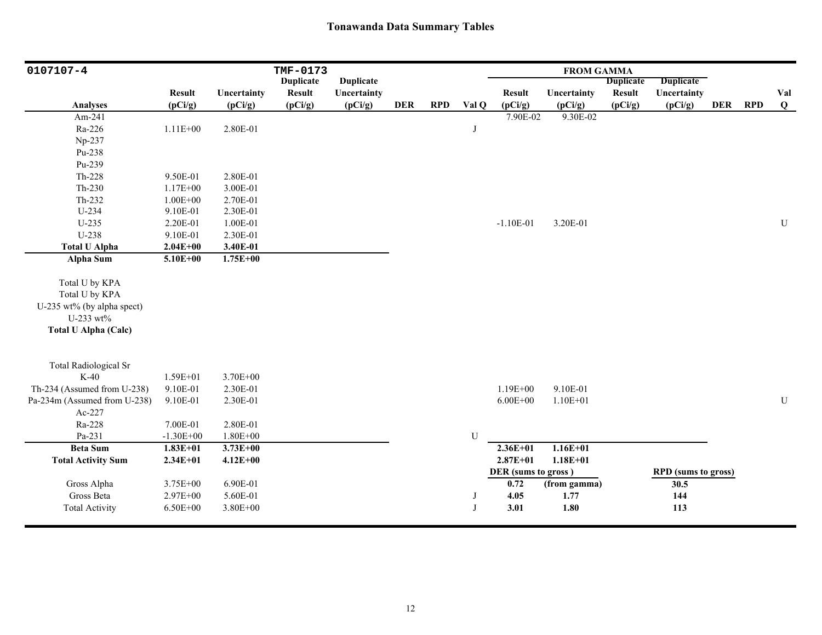| 0107107-4                                                                                                  |               |              | TMF-0173         |                  |            |            |           | <b>FROM GAMMA</b>   |              |                  |                            |            |            |              |
|------------------------------------------------------------------------------------------------------------|---------------|--------------|------------------|------------------|------------|------------|-----------|---------------------|--------------|------------------|----------------------------|------------|------------|--------------|
|                                                                                                            |               |              | <b>Duplicate</b> | <b>Duplicate</b> |            |            |           |                     |              | <b>Duplicate</b> | <b>Duplicate</b>           |            |            |              |
|                                                                                                            | <b>Result</b> | Uncertainty  | <b>Result</b>    | Uncertainty      |            |            |           | <b>Result</b>       | Uncertainty  | <b>Result</b>    | Uncertainty                |            |            | Val          |
| <b>Analyses</b>                                                                                            | (pCi/g)       | (pCi/g)      | (pCi/g)          | (pCi/g)          | <b>DER</b> | <b>RPD</b> | Val Q     | (pCi/g)             | (pCi/g)      | (pCi/g)          | (pCi/g)                    | <b>DER</b> | <b>RPD</b> | $\mathbf{Q}$ |
| Am-241                                                                                                     |               |              |                  |                  |            |            |           | 7.90E-02            | 9.30E-02     |                  |                            |            |            |              |
| Ra-226                                                                                                     | $1.11E + 00$  | 2.80E-01     |                  |                  |            |            | J         |                     |              |                  |                            |            |            |              |
| Np-237                                                                                                     |               |              |                  |                  |            |            |           |                     |              |                  |                            |            |            |              |
| Pu-238                                                                                                     |               |              |                  |                  |            |            |           |                     |              |                  |                            |            |            |              |
| Pu-239                                                                                                     |               |              |                  |                  |            |            |           |                     |              |                  |                            |            |            |              |
| Th-228                                                                                                     | 9.50E-01      | 2.80E-01     |                  |                  |            |            |           |                     |              |                  |                            |            |            |              |
| $Th-230$                                                                                                   | 1.17E+00      | 3.00E-01     |                  |                  |            |            |           |                     |              |                  |                            |            |            |              |
| Th-232                                                                                                     | $1.00E + 00$  | 2.70E-01     |                  |                  |            |            |           |                     |              |                  |                            |            |            |              |
| U-234                                                                                                      | 9.10E-01      | 2.30E-01     |                  |                  |            |            |           |                     |              |                  |                            |            |            |              |
| $U-235$                                                                                                    | 2.20E-01      | 1.00E-01     |                  |                  |            |            |           | $-1.10E-01$         | 3.20E-01     |                  |                            |            |            | U            |
| U-238                                                                                                      | 9.10E-01      | 2.30E-01     |                  |                  |            |            |           |                     |              |                  |                            |            |            |              |
| <b>Total U Alpha</b>                                                                                       | $2.04E + 00$  | 3.40E-01     |                  |                  |            |            |           |                     |              |                  |                            |            |            |              |
| Alpha Sum                                                                                                  | $5.10E + 00$  | $1.75E + 00$ |                  |                  |            |            |           |                     |              |                  |                            |            |            |              |
| Total U by KPA<br>Total U by KPA<br>U-235 wt% (by alpha spect)<br>U-233 wt%<br><b>Total U Alpha (Calc)</b> |               |              |                  |                  |            |            |           |                     |              |                  |                            |            |            |              |
| <b>Total Radiological Sr</b>                                                                               |               |              |                  |                  |            |            |           |                     |              |                  |                            |            |            |              |
| $K-40$                                                                                                     | 1.59E+01      | 3.70E+00     |                  |                  |            |            |           |                     |              |                  |                            |            |            |              |
| Th-234 (Assumed from U-238)                                                                                | 9.10E-01      | 2.30E-01     |                  |                  |            |            |           | $1.19E + 00$        | 9.10E-01     |                  |                            |            |            |              |
| Pa-234m (Assumed from U-238)                                                                               | 9.10E-01      | 2.30E-01     |                  |                  |            |            |           | $6.00E + 00$        | $1.10E + 01$ |                  |                            |            |            | ${\bf U}$    |
| Ac-227                                                                                                     |               |              |                  |                  |            |            |           |                     |              |                  |                            |            |            |              |
| Ra-228                                                                                                     | 7.00E-01      | 2.80E-01     |                  |                  |            |            |           |                     |              |                  |                            |            |            |              |
| Pa-231                                                                                                     | $-1.30E + 00$ | $1.80E + 00$ |                  |                  |            |            | ${\bf U}$ |                     |              |                  |                            |            |            |              |
| <b>Beta Sum</b>                                                                                            | $1.83E+01$    | $3.73E + 00$ |                  |                  |            |            |           | $2.36E+01$          | $1.16E + 01$ |                  |                            |            |            |              |
| <b>Total Activity Sum</b>                                                                                  | $2.34E + 01$  | $4.12E + 00$ |                  |                  |            |            |           | $2.87E + 01$        | $1.18E + 01$ |                  |                            |            |            |              |
|                                                                                                            |               |              |                  |                  |            |            |           | DER (sums to gross) |              |                  | <b>RPD</b> (sums to gross) |            |            |              |
| Gross Alpha                                                                                                | 3.75E+00      | 6.90E-01     |                  |                  |            |            |           | 0.72                | (from gamma) |                  | 30.5                       |            |            |              |
| Gross Beta                                                                                                 | 2.97E+00      | 5.60E-01     |                  |                  |            |            | J         | 4.05                | 1.77         |                  | 144                        |            |            |              |
| <b>Total Activity</b>                                                                                      | $6.50E + 00$  | 3.80E+00     |                  |                  |            |            | J         | 3.01                | 1.80         |                  | 113                        |            |            |              |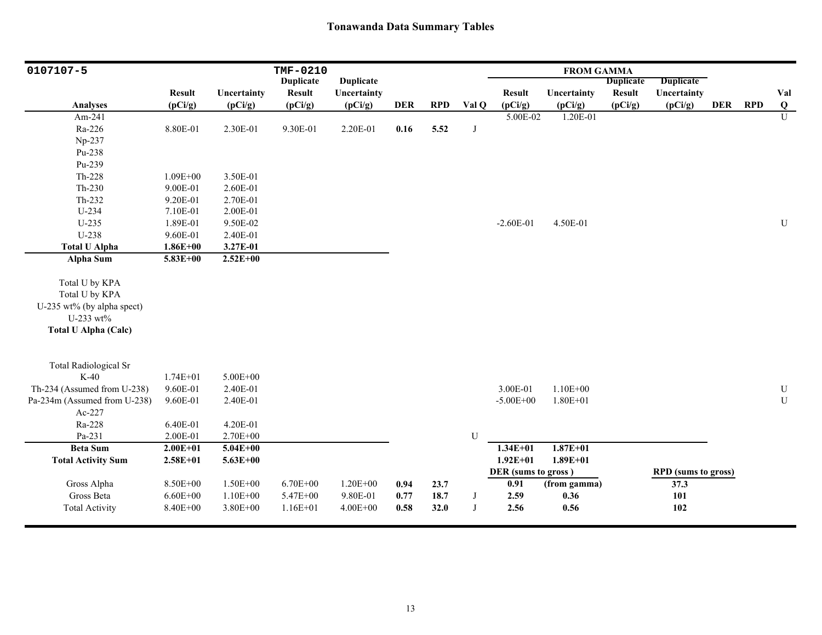| 0107107-5                    |                      |                      | TMF-0210         |                  |            |            |       |                     | <b>FROM GAMMA</b> |                  |                            |            |            |                           |
|------------------------------|----------------------|----------------------|------------------|------------------|------------|------------|-------|---------------------|-------------------|------------------|----------------------------|------------|------------|---------------------------|
|                              |                      |                      | <b>Duplicate</b> | <b>Duplicate</b> |            |            |       |                     |                   | <b>Duplicate</b> | <b>Duplicate</b>           |            |            |                           |
|                              | <b>Result</b>        | Uncertainty          | <b>Result</b>    | Uncertainty      |            |            |       | <b>Result</b>       | Uncertainty       | <b>Result</b>    | Uncertainty                |            |            | Val                       |
| <b>Analyses</b>              | (pCi/g)              | (pCi/g)              | (pCi/g)          | (pCi/g)          | <b>DER</b> | <b>RPD</b> | Val Q | (pCi/g)             | (pCi/g)           | (pCi/g)          | (pCi/g)                    | <b>DER</b> | <b>RPD</b> | $\bf Q$<br>$\overline{U}$ |
| Am-241                       |                      |                      |                  |                  |            |            |       | $5.00E - 02$        | 1.20E-01          |                  |                            |            |            |                           |
| Ra-226                       | 8.80E-01             | 2.30E-01             | 9.30E-01         | 2.20E-01         | 0.16       | 5.52       | J     |                     |                   |                  |                            |            |            |                           |
| Np-237                       |                      |                      |                  |                  |            |            |       |                     |                   |                  |                            |            |            |                           |
| Pu-238<br>Pu-239             |                      |                      |                  |                  |            |            |       |                     |                   |                  |                            |            |            |                           |
| Th-228                       | $1.09E + 00$         | 3.50E-01             |                  |                  |            |            |       |                     |                   |                  |                            |            |            |                           |
| $Th-230$                     | 9.00E-01             | 2.60E-01             |                  |                  |            |            |       |                     |                   |                  |                            |            |            |                           |
|                              |                      |                      |                  |                  |            |            |       |                     |                   |                  |                            |            |            |                           |
| $Th-232$<br>U-234            | 9.20E-01<br>7.10E-01 | 2.70E-01<br>2.00E-01 |                  |                  |            |            |       |                     |                   |                  |                            |            |            |                           |
| $U-235$                      | 1.89E-01             | 9.50E-02             |                  |                  |            |            |       | $-2.60E-01$         | 4.50E-01          |                  |                            |            |            | ${\bf U}$                 |
| U-238                        | 9.60E-01             |                      |                  |                  |            |            |       |                     |                   |                  |                            |            |            |                           |
| <b>Total U Alpha</b>         | $1.86E + 00$         | 2.40E-01<br>3.27E-01 |                  |                  |            |            |       |                     |                   |                  |                            |            |            |                           |
| Alpha Sum                    | 5.83E+00             | $2.52E+00$           |                  |                  |            |            |       |                     |                   |                  |                            |            |            |                           |
|                              |                      |                      |                  |                  |            |            |       |                     |                   |                  |                            |            |            |                           |
| Total U by KPA               |                      |                      |                  |                  |            |            |       |                     |                   |                  |                            |            |            |                           |
| Total U by KPA               |                      |                      |                  |                  |            |            |       |                     |                   |                  |                            |            |            |                           |
| U-235 wt% (by alpha spect)   |                      |                      |                  |                  |            |            |       |                     |                   |                  |                            |            |            |                           |
| U-233 wt%                    |                      |                      |                  |                  |            |            |       |                     |                   |                  |                            |            |            |                           |
| <b>Total U Alpha (Calc)</b>  |                      |                      |                  |                  |            |            |       |                     |                   |                  |                            |            |            |                           |
|                              |                      |                      |                  |                  |            |            |       |                     |                   |                  |                            |            |            |                           |
| <b>Total Radiological Sr</b> |                      |                      |                  |                  |            |            |       |                     |                   |                  |                            |            |            |                           |
| $K-40$                       | $1.74E + 01$         | 5.00E+00             |                  |                  |            |            |       |                     |                   |                  |                            |            |            |                           |
| Th-234 (Assumed from U-238)  | 9.60E-01             | 2.40E-01             |                  |                  |            |            |       | 3.00E-01            | $1.10E + 00$      |                  |                            |            |            | U                         |
| Pa-234m (Assumed from U-238) | 9.60E-01             | 2.40E-01             |                  |                  |            |            |       | $-5.00E + 00$       | $1.80E + 01$      |                  |                            |            |            | ${\bf U}$                 |
| Ac-227                       |                      |                      |                  |                  |            |            |       |                     |                   |                  |                            |            |            |                           |
| Ra-228                       | 6.40E-01             | 4.20E-01             |                  |                  |            |            |       |                     |                   |                  |                            |            |            |                           |
| Pa-231                       | 2.00E-01             | $2.70E + 00$         |                  |                  |            |            | U     |                     |                   |                  |                            |            |            |                           |
| <b>Beta Sum</b>              | $2.00E + 01$         | $5.04E + 00$         |                  |                  |            |            |       | $1.34E + 01$        | $1.87E + 01$      |                  |                            |            |            |                           |
| <b>Total Activity Sum</b>    | $2.58E + 01$         | $5.63E + 00$         |                  |                  |            |            |       | $1.92E + 01$        | $1.89E + 01$      |                  |                            |            |            |                           |
|                              |                      |                      |                  |                  |            |            |       | DER (sums to gross) |                   |                  | <b>RPD</b> (sums to gross) |            |            |                           |
| Gross Alpha                  | 8.50E+00             | $1.50E + 00$         | $6.70E + 00$     | $1.20E + 00$     | 0.94       | 23.7       |       | 0.91                | (from gamma)      |                  | 37.3                       |            |            |                           |
| Gross Beta                   | $6.60E + 00$         | $1.10E + 00$         | 5.47E+00         | 9.80E-01         | 0.77       | 18.7       | J     | 2.59                | 0.36              |                  | 101                        |            |            |                           |
| <b>Total Activity</b>        | 8.40E+00             | 3.80E+00             | 1.16E+01         | $4.00E + 00$     | 0.58       | 32.0       | J     | 2.56                | 0.56              |                  | 102                        |            |            |                           |
|                              |                      |                      |                  |                  |            |            |       |                     |                   |                  |                            |            |            |                           |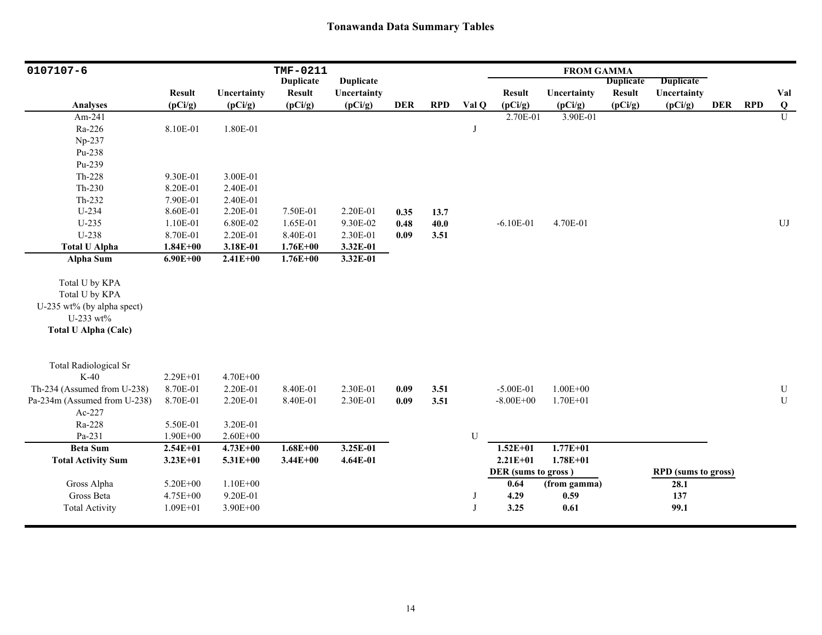| 0107107-6                              |               |              | TMF-0211         |                  |            |            |              |                     | <b>FROM GAMMA</b> |                  |                            |            |            |            |
|----------------------------------------|---------------|--------------|------------------|------------------|------------|------------|--------------|---------------------|-------------------|------------------|----------------------------|------------|------------|------------|
|                                        |               |              | <b>Duplicate</b> | <b>Duplicate</b> |            |            |              |                     |                   | <b>Duplicate</b> | <b>Duplicate</b>           |            |            |            |
|                                        | <b>Result</b> | Uncertainty  | <b>Result</b>    | Uncertainty      |            |            |              | <b>Result</b>       | Uncertainty       | <b>Result</b>    | Uncertainty                |            |            | Val        |
| <b>Analyses</b>                        | (pCi/g)       | (pCi/g)      | (pCi/g)          | (pCi/g)          | <b>DER</b> | <b>RPD</b> | Val Q        | (pCi/g)             | (pCi/g)           | (pCi/g)          | (pCi/g)                    | <b>DER</b> | <b>RPD</b> | Q          |
| Am-241                                 |               |              |                  |                  |            |            |              | 2.70E-01            | 3.90E-01          |                  |                            |            |            | U          |
| Ra-226                                 | 8.10E-01      | 1.80E-01     |                  |                  |            |            | J            |                     |                   |                  |                            |            |            |            |
| Np-237                                 |               |              |                  |                  |            |            |              |                     |                   |                  |                            |            |            |            |
| Pu-238                                 |               |              |                  |                  |            |            |              |                     |                   |                  |                            |            |            |            |
| Pu-239                                 |               |              |                  |                  |            |            |              |                     |                   |                  |                            |            |            |            |
| Th-228                                 | 9.30E-01      | 3.00E-01     |                  |                  |            |            |              |                     |                   |                  |                            |            |            |            |
| $Th-230$                               | 8.20E-01      | 2.40E-01     |                  |                  |            |            |              |                     |                   |                  |                            |            |            |            |
| $Th-232$                               | 7.90E-01      | 2.40E-01     |                  |                  |            |            |              |                     |                   |                  |                            |            |            |            |
| $U-234$                                | 8.60E-01      | 2.20E-01     | 7.50E-01         | 2.20E-01         | 0.35       | 13.7       |              |                     |                   |                  |                            |            |            |            |
| $U-235$                                | 1.10E-01      | 6.80E-02     | 1.65E-01         | 9.30E-02         | 0.48       | 40.0       |              | $-6.10E-01$         | 4.70E-01          |                  |                            |            |            | ${\rm UJ}$ |
| U-238                                  | 8.70E-01      | 2.20E-01     | 8.40E-01         | 2.30E-01         | 0.09       | 3.51       |              |                     |                   |                  |                            |            |            |            |
| <b>Total U Alpha</b>                   | $1.84E + 00$  | 3.18E-01     | $1.76E + 00$     | 3.32E-01         |            |            |              |                     |                   |                  |                            |            |            |            |
| Alpha Sum                              | $6.90E + 00$  | $2.41E + 00$ | $1.76E + 00$     | 3.32E-01         |            |            |              |                     |                   |                  |                            |            |            |            |
|                                        |               |              |                  |                  |            |            |              |                     |                   |                  |                            |            |            |            |
| Total U by KPA                         |               |              |                  |                  |            |            |              |                     |                   |                  |                            |            |            |            |
| Total U by KPA                         |               |              |                  |                  |            |            |              |                     |                   |                  |                            |            |            |            |
| U-235 wt% (by alpha spect)             |               |              |                  |                  |            |            |              |                     |                   |                  |                            |            |            |            |
| U-233 wt%                              |               |              |                  |                  |            |            |              |                     |                   |                  |                            |            |            |            |
| <b>Total U Alpha (Calc)</b>            |               |              |                  |                  |            |            |              |                     |                   |                  |                            |            |            |            |
|                                        |               |              |                  |                  |            |            |              |                     |                   |                  |                            |            |            |            |
| <b>Total Radiological Sr</b><br>$K-40$ | 2.29E+01      | 4.70E+00     |                  |                  |            |            |              |                     |                   |                  |                            |            |            |            |
| Th-234 (Assumed from U-238)            | 8.70E-01      | 2.20E-01     | 8.40E-01         | 2.30E-01         | 0.09       |            |              | $-5.00E-01$         | $1.00E + 00$      |                  |                            |            |            | ${\bf U}$  |
|                                        |               |              |                  |                  |            | 3.51       |              | $-8.00E + 00$       | $1.70E + 01$      |                  |                            |            |            | ${\bf U}$  |
| Pa-234m (Assumed from U-238)<br>Ac-227 | 8.70E-01      | 2.20E-01     | 8.40E-01         | 2.30E-01         | 0.09       | 3.51       |              |                     |                   |                  |                            |            |            |            |
| Ra-228                                 | 5.50E-01      | 3.20E-01     |                  |                  |            |            |              |                     |                   |                  |                            |            |            |            |
| Pa-231                                 | $1.90E + 00$  | $2.60E + 00$ |                  |                  |            |            | U            |                     |                   |                  |                            |            |            |            |
| <b>Beta Sum</b>                        | $2.54E + 01$  | $4.73E + 00$ | $1.68E + 00$     | 3.25E-01         |            |            |              | $1.52E + 01$        | $1.77E + 01$      |                  |                            |            |            |            |
| <b>Total Activity Sum</b>              | $3.23E + 01$  | $5.31E + 00$ | $3.44E + 00$     | 4.64E-01         |            |            |              | $2.21E+01$          | $1.78E + 01$      |                  |                            |            |            |            |
|                                        |               |              |                  |                  |            |            |              | DER (sums to gross) |                   |                  | <b>RPD</b> (sums to gross) |            |            |            |
| Gross Alpha                            | 5.20E+00      | $1.10E + 00$ |                  |                  |            |            |              | 0.64                | (from gamma)      |                  | 28.1                       |            |            |            |
| Gross Beta                             | 4.75E+00      | 9.20E-01     |                  |                  |            |            | J            | 4.29                | 0.59              |                  | 137                        |            |            |            |
| <b>Total Activity</b>                  | $1.09E + 01$  | $3.90E + 00$ |                  |                  |            |            | $\mathbf{J}$ | 3.25                | 0.61              |                  | 99.1                       |            |            |            |
|                                        |               |              |                  |                  |            |            |              |                     |                   |                  |                            |            |            |            |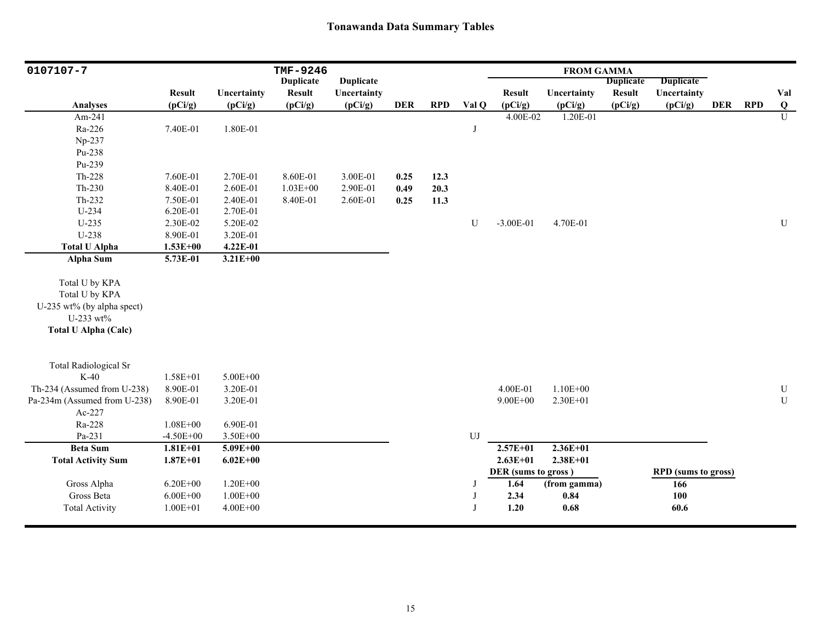| 0107107-7                    |               |              | TMF-9246         |                  |            |            |       |                     | <b>FROM GAMMA</b> |                  |                            |            |            |           |
|------------------------------|---------------|--------------|------------------|------------------|------------|------------|-------|---------------------|-------------------|------------------|----------------------------|------------|------------|-----------|
|                              |               |              | <b>Duplicate</b> | <b>Duplicate</b> |            |            |       |                     |                   | <b>Duplicate</b> | <b>Duplicate</b>           |            |            |           |
|                              | <b>Result</b> | Uncertainty  | <b>Result</b>    | Uncertainty      |            |            |       | <b>Result</b>       | Uncertainty       | <b>Result</b>    | Uncertainty                |            |            | Val       |
| <b>Analyses</b>              | (pCi/g)       | (pCi/g)      | (pCi/g)          | (pCi/g)          | <b>DER</b> | <b>RPD</b> | Val Q | (pCi/g)             | (pCi/g)           | (pCi/g)          | (pCi/g)                    | <b>DER</b> | <b>RPD</b> | Q         |
| Am-241                       |               |              |                  |                  |            |            |       | 4.00E-02            | 1.20E-01          |                  |                            |            |            | U         |
| Ra-226                       | 7.40E-01      | 1.80E-01     |                  |                  |            |            | J     |                     |                   |                  |                            |            |            |           |
| Np-237                       |               |              |                  |                  |            |            |       |                     |                   |                  |                            |            |            |           |
| Pu-238                       |               |              |                  |                  |            |            |       |                     |                   |                  |                            |            |            |           |
| Pu-239                       |               |              |                  |                  |            |            |       |                     |                   |                  |                            |            |            |           |
| Th-228                       | 7.60E-01      | 2.70E-01     | 8.60E-01         | 3.00E-01         | 0.25       | 12.3       |       |                     |                   |                  |                            |            |            |           |
| $Th-230$                     | 8.40E-01      | 2.60E-01     | $1.03E + 00$     | 2.90E-01         | 0.49       | 20.3       |       |                     |                   |                  |                            |            |            |           |
| Th-232                       | 7.50E-01      | 2.40E-01     | 8.40E-01         | 2.60E-01         | 0.25       | 11.3       |       |                     |                   |                  |                            |            |            |           |
| $U-234$                      | 6.20E-01      | 2.70E-01     |                  |                  |            |            |       |                     |                   |                  |                            |            |            |           |
| $U-235$                      | 2.30E-02      | 5.20E-02     |                  |                  |            |            | U     | $-3.00E-01$         | 4.70E-01          |                  |                            |            |            | ${\bf U}$ |
| U-238                        | 8.90E-01      | 3.20E-01     |                  |                  |            |            |       |                     |                   |                  |                            |            |            |           |
| <b>Total U Alpha</b>         | $1.53E + 00$  | 4.22E-01     |                  |                  |            |            |       |                     |                   |                  |                            |            |            |           |
| Alpha Sum                    | 5.73E-01      | $3.21E + 00$ |                  |                  |            |            |       |                     |                   |                  |                            |            |            |           |
| Total U by KPA               |               |              |                  |                  |            |            |       |                     |                   |                  |                            |            |            |           |
| Total U by KPA               |               |              |                  |                  |            |            |       |                     |                   |                  |                            |            |            |           |
| U-235 wt% (by alpha spect)   |               |              |                  |                  |            |            |       |                     |                   |                  |                            |            |            |           |
| U-233 wt%                    |               |              |                  |                  |            |            |       |                     |                   |                  |                            |            |            |           |
| <b>Total U Alpha (Calc)</b>  |               |              |                  |                  |            |            |       |                     |                   |                  |                            |            |            |           |
|                              |               |              |                  |                  |            |            |       |                     |                   |                  |                            |            |            |           |
| <b>Total Radiological Sr</b> |               |              |                  |                  |            |            |       |                     |                   |                  |                            |            |            |           |
| $K-40$                       | $1.58E + 01$  | $5.00E + 00$ |                  |                  |            |            |       |                     |                   |                  |                            |            |            |           |
| Th-234 (Assumed from U-238)  | 8.90E-01      | 3.20E-01     |                  |                  |            |            |       | 4.00E-01            | $1.10E + 00$      |                  |                            |            |            | ${\bf U}$ |
| Pa-234m (Assumed from U-238) | 8.90E-01      | 3.20E-01     |                  |                  |            |            |       | $9.00E + 00$        | 2.30E+01          |                  |                            |            |            | U         |
| Ac-227                       |               |              |                  |                  |            |            |       |                     |                   |                  |                            |            |            |           |
| Ra-228                       | $1.08E + 00$  | 6.90E-01     |                  |                  |            |            |       |                     |                   |                  |                            |            |            |           |
| Pa-231                       | $-4.50E + 00$ | 3.50E+00     |                  |                  |            |            | UJ    |                     |                   |                  |                            |            |            |           |
| <b>Beta Sum</b>              | $1.81E + 01$  | $5.09E + 00$ |                  |                  |            |            |       | $2.57E+01$          | $2.36E+01$        |                  |                            |            |            |           |
| <b>Total Activity Sum</b>    | $1.87E + 01$  | $6.02E + 00$ |                  |                  |            |            |       | $2.63E+01$          | $2.38E + 01$      |                  |                            |            |            |           |
|                              |               |              |                  |                  |            |            |       | DER (sums to gross) |                   |                  | <b>RPD</b> (sums to gross) |            |            |           |
| Gross Alpha                  | $6.20E + 00$  | $1.20E + 00$ |                  |                  |            |            | J     | 1.64                | (from gamma)      |                  | 166                        |            |            |           |
| Gross Beta                   | $6.00E + 00$  | $1.00E + 00$ |                  |                  |            |            | J     | 2.34                | 0.84              |                  | 100                        |            |            |           |
| <b>Total Activity</b>        | $1.00E + 01$  | $4.00E + 00$ |                  |                  |            |            | I     | 1.20                | 0.68              |                  | 60.6                       |            |            |           |
|                              |               |              |                  |                  |            |            |       |                     |                   |                  |                            |            |            |           |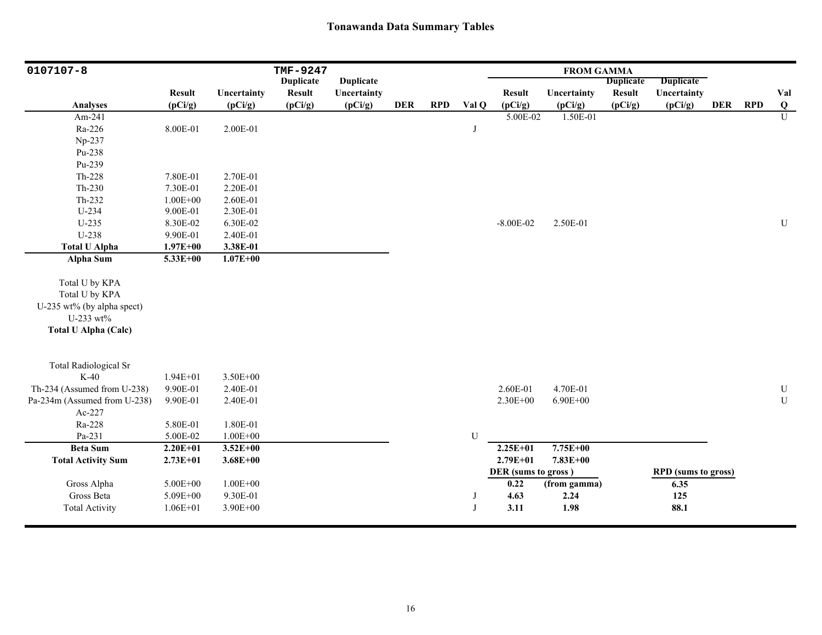| 0107107-8                    |               |              | TMF-9247         |                  |            |            |            |                     | <b>FROM GAMMA</b> |                  |                            |            |            |               |
|------------------------------|---------------|--------------|------------------|------------------|------------|------------|------------|---------------------|-------------------|------------------|----------------------------|------------|------------|---------------|
|                              |               |              | <b>Duplicate</b> | <b>Duplicate</b> |            |            |            |                     |                   | <b>Duplicate</b> | <b>Duplicate</b>           |            |            |               |
|                              | <b>Result</b> | Uncertainty  | <b>Result</b>    | Uncertainty      |            |            |            | <b>Result</b>       | Uncertainty       | <b>Result</b>    | Uncertainty                |            |            | Val           |
| <b>Analyses</b>              | (pCi/g)       | (pCi/g)      | (pCi/g)          | (pCi/g)          | <b>DER</b> | <b>RPD</b> | Val Q      | (pCi/g)             | (pCi/g)           | (pCi/g)          | (pCi/g)                    | <b>DER</b> | <b>RPD</b> | $\frac{Q}{U}$ |
| Am-241                       |               |              |                  |                  |            |            |            | 5.00E-02            | 1.50E-01          |                  |                            |            |            |               |
| Ra-226                       | 8.00E-01      | 2.00E-01     |                  |                  |            |            | J          |                     |                   |                  |                            |            |            |               |
| Np-237                       |               |              |                  |                  |            |            |            |                     |                   |                  |                            |            |            |               |
| Pu-238                       |               |              |                  |                  |            |            |            |                     |                   |                  |                            |            |            |               |
| Pu-239                       |               |              |                  |                  |            |            |            |                     |                   |                  |                            |            |            |               |
| Th-228                       | 7.80E-01      | 2.70E-01     |                  |                  |            |            |            |                     |                   |                  |                            |            |            |               |
| $Th-230$                     | 7.30E-01      | 2.20E-01     |                  |                  |            |            |            |                     |                   |                  |                            |            |            |               |
| Th-232                       | $1.00E + 00$  | 2.60E-01     |                  |                  |            |            |            |                     |                   |                  |                            |            |            |               |
| U-234                        | 9.00E-01      | 2.30E-01     |                  |                  |            |            |            |                     |                   |                  |                            |            |            |               |
| $U-235$                      | 8.30E-02      | 6.30E-02     |                  |                  |            |            |            | $-8.00E - 02$       | 2.50E-01          |                  |                            |            |            | ${\bf U}$     |
| U-238                        | 9.90E-01      | 2.40E-01     |                  |                  |            |            |            |                     |                   |                  |                            |            |            |               |
| <b>Total U Alpha</b>         | $1.97E + 00$  | 3.38E-01     |                  |                  |            |            |            |                     |                   |                  |                            |            |            |               |
| <b>Alpha Sum</b>             | 5.33E+00      | $1.07E + 00$ |                  |                  |            |            |            |                     |                   |                  |                            |            |            |               |
|                              |               |              |                  |                  |            |            |            |                     |                   |                  |                            |            |            |               |
| Total U by KPA               |               |              |                  |                  |            |            |            |                     |                   |                  |                            |            |            |               |
| Total U by KPA               |               |              |                  |                  |            |            |            |                     |                   |                  |                            |            |            |               |
| U-235 wt% (by alpha spect)   |               |              |                  |                  |            |            |            |                     |                   |                  |                            |            |            |               |
| U-233 wt%                    |               |              |                  |                  |            |            |            |                     |                   |                  |                            |            |            |               |
| <b>Total U Alpha (Calc)</b>  |               |              |                  |                  |            |            |            |                     |                   |                  |                            |            |            |               |
|                              |               |              |                  |                  |            |            |            |                     |                   |                  |                            |            |            |               |
| <b>Total Radiological Sr</b> |               |              |                  |                  |            |            |            |                     |                   |                  |                            |            |            |               |
| $K-40$                       | $1.94E + 01$  | 3.50E+00     |                  |                  |            |            |            |                     |                   |                  |                            |            |            |               |
| Th-234 (Assumed from U-238)  | 9.90E-01      | 2.40E-01     |                  |                  |            |            |            | 2.60E-01            | 4.70E-01          |                  |                            |            |            | ${\bf U}$     |
| Pa-234m (Assumed from U-238) | 9.90E-01      | 2.40E-01     |                  |                  |            |            |            | 2.30E+00            | $6.90E + 00$      |                  |                            |            |            | ${\bf U}$     |
| Ac-227                       |               |              |                  |                  |            |            |            |                     |                   |                  |                            |            |            |               |
| Ra-228                       | 5.80E-01      | 1.80E-01     |                  |                  |            |            |            |                     |                   |                  |                            |            |            |               |
| Pa-231                       | 5.00E-02      | $1.00E + 00$ |                  |                  |            |            | U          |                     |                   |                  |                            |            |            |               |
| <b>Beta Sum</b>              | $2.20E + 01$  | $3.52E + 00$ |                  |                  |            |            |            | $2.25E+01$          | $7.75E + 00$      |                  |                            |            |            |               |
| <b>Total Activity Sum</b>    | $2.73E + 01$  | $3.68E + 00$ |                  |                  |            |            |            | $2.79E + 01$        | 7.83E+00          |                  |                            |            |            |               |
|                              |               |              |                  |                  |            |            |            | DER (sums to gross) |                   |                  | <b>RPD</b> (sums to gross) |            |            |               |
| Gross Alpha                  | 5.00E+00      | $1.00E + 00$ |                  |                  |            |            |            | 0.22                | (from gamma)      |                  | 6.35                       |            |            |               |
| Gross Beta                   | 5.09E+00      | 9.30E-01     |                  |                  |            |            | J          | 4.63                | 2.24              |                  | 125                        |            |            |               |
| <b>Total Activity</b>        | $1.06E + 01$  | 3.90E+00     |                  |                  |            |            | $_{\rm J}$ | 3.11                | 1.98              |                  | 88.1                       |            |            |               |
|                              |               |              |                  |                  |            |            |            |                     |                   |                  |                            |            |            |               |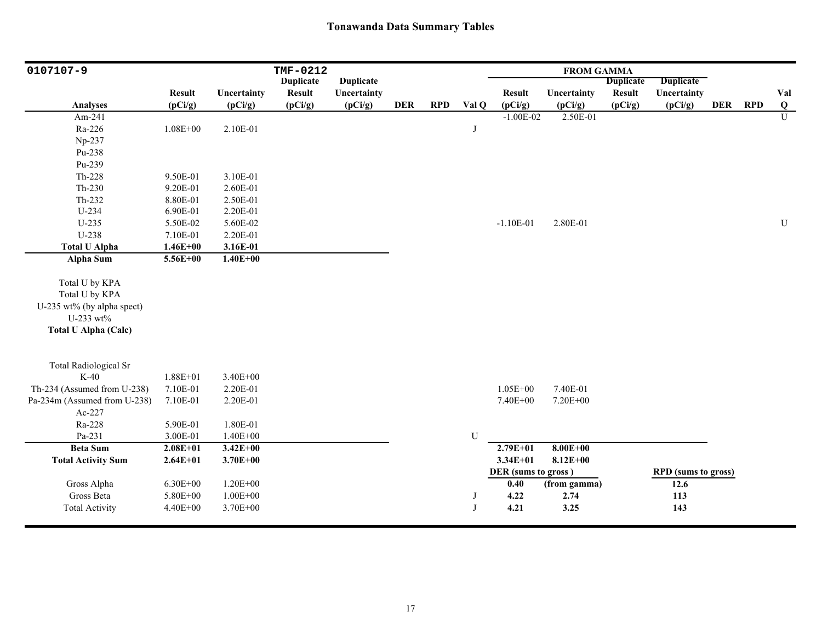| 0107107-9                    |               |              | TMF-0212         |                  |            |            |       |                     | <b>FROM GAMMA</b> |                  |                            |            |            |                |
|------------------------------|---------------|--------------|------------------|------------------|------------|------------|-------|---------------------|-------------------|------------------|----------------------------|------------|------------|----------------|
|                              |               |              | <b>Duplicate</b> | <b>Duplicate</b> |            |            |       |                     |                   | <b>Duplicate</b> | <b>Duplicate</b>           |            |            |                |
|                              | <b>Result</b> | Uncertainty  | <b>Result</b>    | Uncertainty      |            |            |       | <b>Result</b>       | Uncertainty       | <b>Result</b>    | Uncertainty                |            |            | Val            |
| <b>Analyses</b>              | (pCi/g)       | (pCi/g)      | (pCi/g)          | (pCi/g)          | <b>DER</b> | <b>RPD</b> | Val Q | (pCi/g)             | (pCi/g)           | (pCi/g)          | (pCi/g)                    | <b>DER</b> | <b>RPD</b> | $\bf{Q}$       |
| Am-241                       |               |              |                  |                  |            |            |       | $-1.00E-02$         | 2.50E-01          |                  |                            |            |            | $\overline{U}$ |
| Ra-226                       | $1.08E + 00$  | 2.10E-01     |                  |                  |            |            | J     |                     |                   |                  |                            |            |            |                |
| Np-237                       |               |              |                  |                  |            |            |       |                     |                   |                  |                            |            |            |                |
| Pu-238                       |               |              |                  |                  |            |            |       |                     |                   |                  |                            |            |            |                |
| Pu-239                       |               |              |                  |                  |            |            |       |                     |                   |                  |                            |            |            |                |
| Th-228                       | 9.50E-01      | 3.10E-01     |                  |                  |            |            |       |                     |                   |                  |                            |            |            |                |
| $Th-230$                     | 9.20E-01      | 2.60E-01     |                  |                  |            |            |       |                     |                   |                  |                            |            |            |                |
| Th-232                       | 8.80E-01      | 2.50E-01     |                  |                  |            |            |       |                     |                   |                  |                            |            |            |                |
| $U-234$                      | 6.90E-01      | 2.20E-01     |                  |                  |            |            |       |                     |                   |                  |                            |            |            |                |
| $U-235$                      | 5.50E-02      | 5.60E-02     |                  |                  |            |            |       | $-1.10E-01$         | 2.80E-01          |                  |                            |            |            | ${\bf U}$      |
| U-238                        | 7.10E-01      | 2.20E-01     |                  |                  |            |            |       |                     |                   |                  |                            |            |            |                |
| <b>Total U Alpha</b>         | $1.46E + 00$  | 3.16E-01     |                  |                  |            |            |       |                     |                   |                  |                            |            |            |                |
| <b>Alpha Sum</b>             | 5.56E+00      | $1.40E + 00$ |                  |                  |            |            |       |                     |                   |                  |                            |            |            |                |
| Total U by KPA               |               |              |                  |                  |            |            |       |                     |                   |                  |                            |            |            |                |
| Total U by KPA               |               |              |                  |                  |            |            |       |                     |                   |                  |                            |            |            |                |
| U-235 wt% (by alpha spect)   |               |              |                  |                  |            |            |       |                     |                   |                  |                            |            |            |                |
| U-233 wt%                    |               |              |                  |                  |            |            |       |                     |                   |                  |                            |            |            |                |
| <b>Total U Alpha (Calc)</b>  |               |              |                  |                  |            |            |       |                     |                   |                  |                            |            |            |                |
|                              |               |              |                  |                  |            |            |       |                     |                   |                  |                            |            |            |                |
| <b>Total Radiological Sr</b> |               |              |                  |                  |            |            |       |                     |                   |                  |                            |            |            |                |
| $K-40$                       | $1.88E + 01$  | $3.40E + 00$ |                  |                  |            |            |       |                     |                   |                  |                            |            |            |                |
| Th-234 (Assumed from U-238)  | 7.10E-01      | 2.20E-01     |                  |                  |            |            |       | $1.05E + 00$        | 7.40E-01          |                  |                            |            |            |                |
| Pa-234m (Assumed from U-238) | 7.10E-01      | 2.20E-01     |                  |                  |            |            |       | 7.40E+00            | 7.20E+00          |                  |                            |            |            |                |
| Ac-227                       |               |              |                  |                  |            |            |       |                     |                   |                  |                            |            |            |                |
| Ra-228                       | 5.90E-01      | 1.80E-01     |                  |                  |            |            |       |                     |                   |                  |                            |            |            |                |
| Pa-231                       | 3.00E-01      | $1.40E + 00$ |                  |                  |            |            | U     |                     |                   |                  |                            |            |            |                |
| <b>Beta Sum</b>              | $2.08E + 01$  | $3.42E + 00$ |                  |                  |            |            |       | $2.79E + 01$        | $8.00E + 00$      |                  |                            |            |            |                |
| <b>Total Activity Sum</b>    | $2.64E + 01$  | $3.70E + 00$ |                  |                  |            |            |       | $3.34E + 01$        | $8.12E + 00$      |                  |                            |            |            |                |
|                              |               |              |                  |                  |            |            |       | DER (sums to gross) |                   |                  | <b>RPD</b> (sums to gross) |            |            |                |
| Gross Alpha                  | $6.30E + 00$  | $1.20E + 00$ |                  |                  |            |            |       | 0.40                | (from gamma)      |                  | 12.6                       |            |            |                |
| Gross Beta                   | 5.80E+00      | $1.00E + 00$ |                  |                  |            |            | J     | 4.22                | 2.74              |                  | 113                        |            |            |                |
| <b>Total Activity</b>        | $4.40E + 00$  | 3.70E+00     |                  |                  |            |            | J     | 4.21                | 3.25              |                  | 143                        |            |            |                |
|                              |               |              |                  |                  |            |            |       |                     |                   |                  |                            |            |            |                |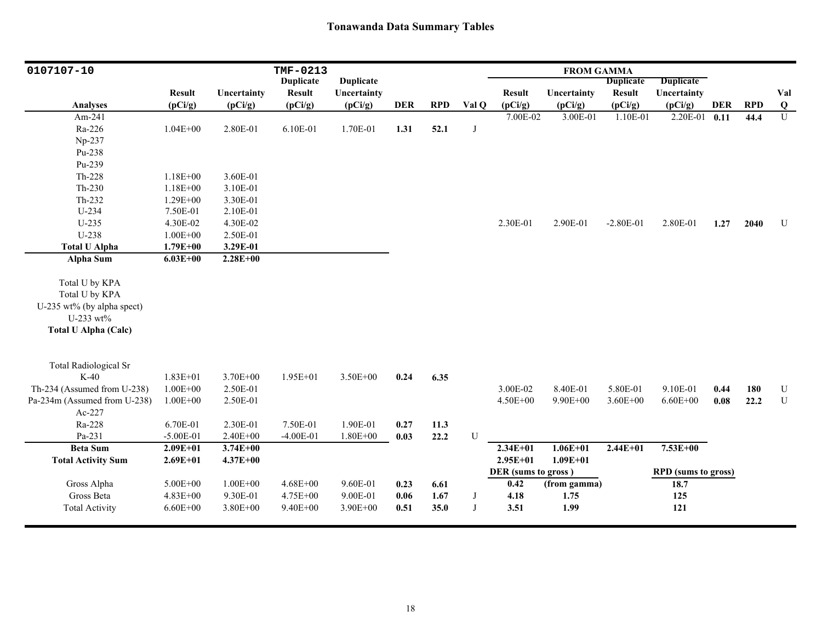| 0107107-10                   |               |              | TMF-0213         |                  |            |            |       |                     | <b>FROM GAMMA</b> |                  |                            |            |            |                |
|------------------------------|---------------|--------------|------------------|------------------|------------|------------|-------|---------------------|-------------------|------------------|----------------------------|------------|------------|----------------|
|                              |               |              | <b>Duplicate</b> | <b>Duplicate</b> |            |            |       |                     |                   | <b>Duplicate</b> | <b>Duplicate</b>           |            |            |                |
|                              | <b>Result</b> | Uncertainty  | <b>Result</b>    | Uncertainty      |            |            |       | <b>Result</b>       | Uncertainty       | <b>Result</b>    | Uncertainty                |            |            | Val            |
| <b>Analyses</b>              | (pCi/g)       | (pCi/g)      | (pCi/g)          | (pCi/g)          | <b>DER</b> | <b>RPD</b> | Val Q | (pCi/g)             | (pCi/g)           | (pCi/g)          | (pCi/g)                    | <b>DER</b> | <b>RPD</b> | Q              |
| Am-241                       |               |              |                  |                  |            |            |       | 7.00E-02            | 3.00E-01          | 1.10E-01         | 2.20E-01                   | 0.11       | 44.4       | $\overline{U}$ |
| Ra-226                       | $1.04E + 00$  | 2.80E-01     | 6.10E-01         | 1.70E-01         | 1.31       | 52.1       | J     |                     |                   |                  |                            |            |            |                |
| Np-237                       |               |              |                  |                  |            |            |       |                     |                   |                  |                            |            |            |                |
| Pu-238                       |               |              |                  |                  |            |            |       |                     |                   |                  |                            |            |            |                |
| Pu-239                       |               |              |                  |                  |            |            |       |                     |                   |                  |                            |            |            |                |
| Th-228                       | $1.18E + 00$  | 3.60E-01     |                  |                  |            |            |       |                     |                   |                  |                            |            |            |                |
| Th-230                       | $1.18E + 00$  | 3.10E-01     |                  |                  |            |            |       |                     |                   |                  |                            |            |            |                |
| Th-232                       | $1.29E + 00$  | 3.30E-01     |                  |                  |            |            |       |                     |                   |                  |                            |            |            |                |
| U-234                        | 7.50E-01      | 2.10E-01     |                  |                  |            |            |       |                     |                   |                  |                            |            |            |                |
| $U-235$                      | 4.30E-02      | 4.30E-02     |                  |                  |            |            |       | 2.30E-01            | 2.90E-01          | $-2.80E-01$      | 2.80E-01                   | 1.27       | 2040       | $\mathbf U$    |
| U-238                        | $1.00E + 00$  | 2.50E-01     |                  |                  |            |            |       |                     |                   |                  |                            |            |            |                |
| <b>Total U Alpha</b>         | $1.79E + 00$  | 3.29E-01     |                  |                  |            |            |       |                     |                   |                  |                            |            |            |                |
| Alpha Sum                    | $6.03E + 00$  | $2.28E + 00$ |                  |                  |            |            |       |                     |                   |                  |                            |            |            |                |
|                              |               |              |                  |                  |            |            |       |                     |                   |                  |                            |            |            |                |
| Total U by KPA               |               |              |                  |                  |            |            |       |                     |                   |                  |                            |            |            |                |
| Total U by KPA               |               |              |                  |                  |            |            |       |                     |                   |                  |                            |            |            |                |
| U-235 wt% (by alpha spect)   |               |              |                  |                  |            |            |       |                     |                   |                  |                            |            |            |                |
| U-233 wt%                    |               |              |                  |                  |            |            |       |                     |                   |                  |                            |            |            |                |
| <b>Total U Alpha (Calc)</b>  |               |              |                  |                  |            |            |       |                     |                   |                  |                            |            |            |                |
|                              |               |              |                  |                  |            |            |       |                     |                   |                  |                            |            |            |                |
| <b>Total Radiological Sr</b> |               |              |                  |                  |            |            |       |                     |                   |                  |                            |            |            |                |
| $K-40$                       | $1.83E + 01$  | 3.70E+00     | $1.95E + 01$     | 3.50E+00         | 0.24       | 6.35       |       |                     |                   |                  |                            |            |            |                |
| Th-234 (Assumed from U-238)  | $1.00E + 00$  | 2.50E-01     |                  |                  |            |            |       | 3.00E-02            | 8.40E-01          | 5.80E-01         | 9.10E-01                   | 0.44       | 180        | ${\bf U}$      |
| Pa-234m (Assumed from U-238) | $1.00E + 00$  | 2.50E-01     |                  |                  |            |            |       | 4.50E+00            | $9.90E + 00$      | $3.60E + 00$     | $6.60E + 00$               | 0.08       | 22.2       | ${\bf U}$      |
| Ac-227                       |               |              |                  |                  |            |            |       |                     |                   |                  |                            |            |            |                |
| Ra-228                       | 6.70E-01      | 2.30E-01     | 7.50E-01         | 1.90E-01         | 0.27       | 11.3       |       |                     |                   |                  |                            |            |            |                |
| Pa-231                       | $-5.00E-01$   | 2.40E+00     | $-4.00E-01$      | $1.80E + 00$     | 0.03       | 22.2       | U     |                     |                   |                  |                            |            |            |                |
| <b>Beta Sum</b>              | $2.09E + 01$  | $3.74E + 00$ |                  |                  |            |            |       | $2.34E + 01$        | $1.06E + 01$      | $2.44E + 01$     | 7.53E+00                   |            |            |                |
| <b>Total Activity Sum</b>    | $2.69E + 01$  | $4.37E + 00$ |                  |                  |            |            |       | $2.95E+01$          | $1.09E + 01$      |                  |                            |            |            |                |
|                              |               |              |                  |                  |            |            |       | DER (sums to gross) |                   |                  | <b>RPD</b> (sums to gross) |            |            |                |
| Gross Alpha                  | 5.00E+00      | $1.00E + 00$ | $4.68E + 00$     | 9.60E-01         | 0.23       | 6.61       |       | 0.42                | (from gamma)      |                  | 18.7                       |            |            |                |
| Gross Beta                   | 4.83E+00      | 9.30E-01     | 4.75E+00         | 9.00E-01         | 0.06       | 1.67       | J     | 4.18                | 1.75              |                  | 125                        |            |            |                |
| <b>Total Activity</b>        | $6.60E + 00$  | 3.80E+00     | $9.40E + 00$     | 3.90E+00         | 0.51       | 35.0       | J     | 3.51                | 1.99              |                  | 121                        |            |            |                |
|                              |               |              |                  |                  |            |            |       |                     |                   |                  |                            |            |            |                |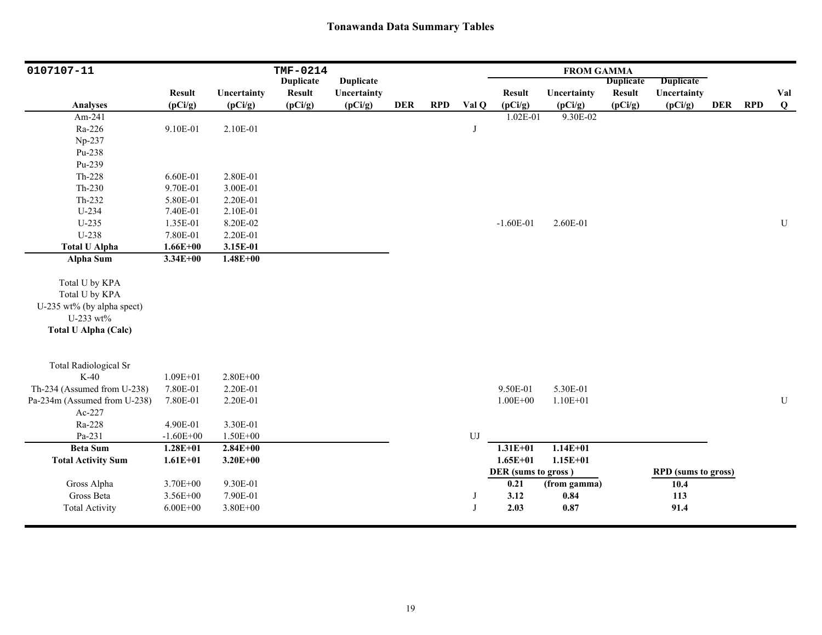| 0107107-11                   |               |              | TMF-0214         |                  |            |            |              |                     | <b>FROM GAMMA</b> |                  |                            |            |            |           |
|------------------------------|---------------|--------------|------------------|------------------|------------|------------|--------------|---------------------|-------------------|------------------|----------------------------|------------|------------|-----------|
|                              |               |              | <b>Duplicate</b> | <b>Duplicate</b> |            |            |              |                     |                   | <b>Duplicate</b> | Duplicate                  |            |            |           |
|                              | <b>Result</b> | Uncertainty  | <b>Result</b>    | Uncertainty      |            |            |              | <b>Result</b>       | Uncertainty       | <b>Result</b>    | Uncertainty                |            |            | Val       |
| <b>Analyses</b>              | (pCi/g)       | (pCi/g)      | (pCi/g)          | (pCi/g)          | <b>DER</b> | <b>RPD</b> | Val Q        | (pCi/g)             | (pCi/g)           | (pCi/g)          | (pCi/g)                    | <b>DER</b> | <b>RPD</b> | $\bf Q$   |
| Am-241                       |               |              |                  |                  |            |            |              | 1.02E-01            | 9.30E-02          |                  |                            |            |            |           |
| Ra-226                       | 9.10E-01      | 2.10E-01     |                  |                  |            |            | J            |                     |                   |                  |                            |            |            |           |
| Np-237                       |               |              |                  |                  |            |            |              |                     |                   |                  |                            |            |            |           |
| Pu-238                       |               |              |                  |                  |            |            |              |                     |                   |                  |                            |            |            |           |
| Pu-239                       |               |              |                  |                  |            |            |              |                     |                   |                  |                            |            |            |           |
| Th-228                       | 6.60E-01      | 2.80E-01     |                  |                  |            |            |              |                     |                   |                  |                            |            |            |           |
| $Th-230$                     | 9.70E-01      | 3.00E-01     |                  |                  |            |            |              |                     |                   |                  |                            |            |            |           |
| Th-232                       | 5.80E-01      | 2.20E-01     |                  |                  |            |            |              |                     |                   |                  |                            |            |            |           |
| U-234                        | 7.40E-01      | 2.10E-01     |                  |                  |            |            |              |                     |                   |                  |                            |            |            |           |
| $U-235$                      | 1.35E-01      | 8.20E-02     |                  |                  |            |            |              | $-1.60E-01$         | 2.60E-01          |                  |                            |            |            | ${\bf U}$ |
| U-238                        | 7.80E-01      | 2.20E-01     |                  |                  |            |            |              |                     |                   |                  |                            |            |            |           |
| <b>Total U Alpha</b>         | $1.66E + 00$  | 3.15E-01     |                  |                  |            |            |              |                     |                   |                  |                            |            |            |           |
| Alpha Sum                    | $3.34E + 00$  | $1.48E + 00$ |                  |                  |            |            |              |                     |                   |                  |                            |            |            |           |
|                              |               |              |                  |                  |            |            |              |                     |                   |                  |                            |            |            |           |
| Total U by KPA               |               |              |                  |                  |            |            |              |                     |                   |                  |                            |            |            |           |
| Total U by KPA               |               |              |                  |                  |            |            |              |                     |                   |                  |                            |            |            |           |
| U-235 wt% (by alpha spect)   |               |              |                  |                  |            |            |              |                     |                   |                  |                            |            |            |           |
| U-233 wt%                    |               |              |                  |                  |            |            |              |                     |                   |                  |                            |            |            |           |
| <b>Total U Alpha (Calc)</b>  |               |              |                  |                  |            |            |              |                     |                   |                  |                            |            |            |           |
|                              |               |              |                  |                  |            |            |              |                     |                   |                  |                            |            |            |           |
| <b>Total Radiological Sr</b> |               |              |                  |                  |            |            |              |                     |                   |                  |                            |            |            |           |
| $K-40$                       | $1.09E + 01$  | $2.80E + 00$ |                  |                  |            |            |              |                     |                   |                  |                            |            |            |           |
| Th-234 (Assumed from U-238)  | 7.80E-01      | 2.20E-01     |                  |                  |            |            |              | 9.50E-01            | 5.30E-01          |                  |                            |            |            |           |
| Pa-234m (Assumed from U-238) | 7.80E-01      | 2.20E-01     |                  |                  |            |            |              | $1.00E + 00$        | $1.10E + 01$      |                  |                            |            |            | ${\bf U}$ |
| Ac-227                       |               |              |                  |                  |            |            |              |                     |                   |                  |                            |            |            |           |
| Ra-228                       | 4.90E-01      | 3.30E-01     |                  |                  |            |            |              |                     |                   |                  |                            |            |            |           |
| Pa-231                       | $-1.60E + 00$ | $1.50E + 00$ |                  |                  |            |            | UJ           |                     |                   |                  |                            |            |            |           |
| <b>Beta Sum</b>              | $1.28E + 01$  | $2.84E + 00$ |                  |                  |            |            |              | $1.31E + 01$        | $1.14E + 01$      |                  |                            |            |            |           |
| <b>Total Activity Sum</b>    | $1.61E + 01$  | $3.20E + 00$ |                  |                  |            |            |              | $1.65E + 01$        | $1.15E + 01$      |                  |                            |            |            |           |
|                              |               |              |                  |                  |            |            |              | DER (sums to gross) |                   |                  | <b>RPD</b> (sums to gross) |            |            |           |
| Gross Alpha                  | 3.70E+00      | 9.30E-01     |                  |                  |            |            |              | 0.21                | (from gamma)      |                  | 10.4                       |            |            |           |
| Gross Beta                   | 3.56E+00      | 7.90E-01     |                  |                  |            |            | J            | 3.12                | 0.84              |                  | 113                        |            |            |           |
| <b>Total Activity</b>        | $6.00E + 00$  | 3.80E+00     |                  |                  |            |            | $\mathbf{J}$ | 2.03                | 0.87              |                  | 91.4                       |            |            |           |
|                              |               |              |                  |                  |            |            |              |                     |                   |                  |                            |            |            |           |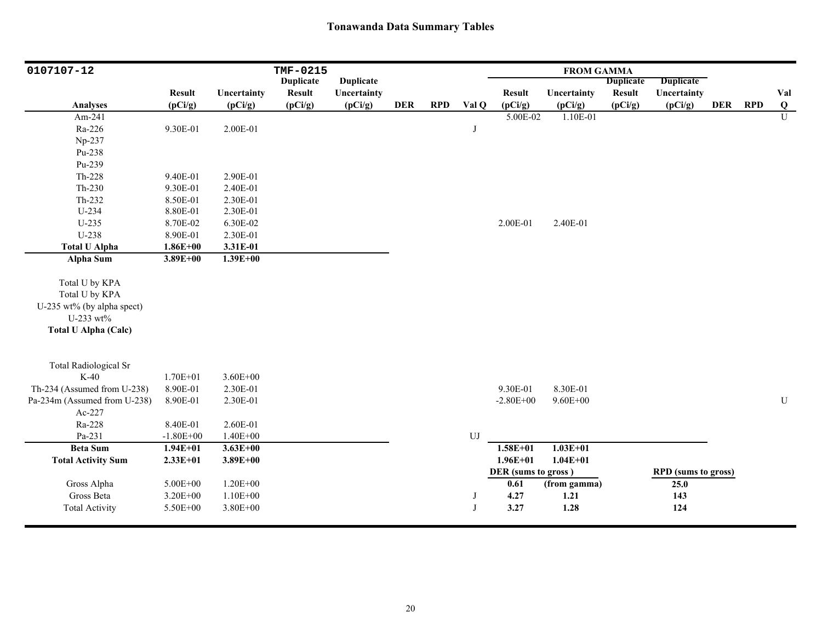| 0107107-12                   |               |              | TMF-0215         |                  |            |            |            |                     | <b>FROM GAMMA</b> |                  |                            |            |            |           |
|------------------------------|---------------|--------------|------------------|------------------|------------|------------|------------|---------------------|-------------------|------------------|----------------------------|------------|------------|-----------|
|                              |               |              | <b>Duplicate</b> | <b>Duplicate</b> |            |            |            |                     |                   | <b>Duplicate</b> | <b>Duplicate</b>           |            |            |           |
|                              | <b>Result</b> | Uncertainty  | <b>Result</b>    | Uncertainty      |            |            |            | <b>Result</b>       | Uncertainty       | <b>Result</b>    | Uncertainty                |            |            | Val       |
| <b>Analyses</b>              | (pCi/g)       | (pCi/g)      | (pCi/g)          | (pCi/g)          | <b>DER</b> | <b>RPD</b> | Val Q      | (pCi/g)             | (pCi/g)           | (pCi/g)          | (pCi/g)                    | <b>DER</b> | <b>RPD</b> | Q         |
| Am-241                       |               |              |                  |                  |            |            |            | 5.00E-02            | 1.10E-01          |                  |                            |            |            | U         |
| Ra-226                       | 9.30E-01      | 2.00E-01     |                  |                  |            |            | J          |                     |                   |                  |                            |            |            |           |
| Np-237                       |               |              |                  |                  |            |            |            |                     |                   |                  |                            |            |            |           |
| Pu-238                       |               |              |                  |                  |            |            |            |                     |                   |                  |                            |            |            |           |
| Pu-239                       |               |              |                  |                  |            |            |            |                     |                   |                  |                            |            |            |           |
| Th-228                       | 9.40E-01      | 2.90E-01     |                  |                  |            |            |            |                     |                   |                  |                            |            |            |           |
| $Th-230$                     | 9.30E-01      | 2.40E-01     |                  |                  |            |            |            |                     |                   |                  |                            |            |            |           |
| Th-232                       | 8.50E-01      | 2.30E-01     |                  |                  |            |            |            |                     |                   |                  |                            |            |            |           |
| $U-234$                      | 8.80E-01      | 2.30E-01     |                  |                  |            |            |            |                     |                   |                  |                            |            |            |           |
| $U-235$                      | 8.70E-02      | 6.30E-02     |                  |                  |            |            |            | 2.00E-01            | 2.40E-01          |                  |                            |            |            |           |
| U-238                        | 8.90E-01      | 2.30E-01     |                  |                  |            |            |            |                     |                   |                  |                            |            |            |           |
| <b>Total U Alpha</b>         | $1.86E + 00$  | 3.31E-01     |                  |                  |            |            |            |                     |                   |                  |                            |            |            |           |
| <b>Alpha Sum</b>             | $3.89E + 00$  | $1.39E + 00$ |                  |                  |            |            |            |                     |                   |                  |                            |            |            |           |
| Total U by KPA               |               |              |                  |                  |            |            |            |                     |                   |                  |                            |            |            |           |
| Total U by KPA               |               |              |                  |                  |            |            |            |                     |                   |                  |                            |            |            |           |
| U-235 wt% (by alpha spect)   |               |              |                  |                  |            |            |            |                     |                   |                  |                            |            |            |           |
| U-233 wt%                    |               |              |                  |                  |            |            |            |                     |                   |                  |                            |            |            |           |
| <b>Total U Alpha (Calc)</b>  |               |              |                  |                  |            |            |            |                     |                   |                  |                            |            |            |           |
|                              |               |              |                  |                  |            |            |            |                     |                   |                  |                            |            |            |           |
| <b>Total Radiological Sr</b> |               |              |                  |                  |            |            |            |                     |                   |                  |                            |            |            |           |
| $K-40$                       | 1.70E+01      | $3.60E + 00$ |                  |                  |            |            |            |                     |                   |                  |                            |            |            |           |
| Th-234 (Assumed from U-238)  | 8.90E-01      | 2.30E-01     |                  |                  |            |            |            | 9.30E-01            | 8.30E-01          |                  |                            |            |            |           |
| Pa-234m (Assumed from U-238) | 8.90E-01      | 2.30E-01     |                  |                  |            |            |            | $-2.80E + 00$       | $9.60E + 00$      |                  |                            |            |            | ${\bf U}$ |
| Ac-227                       |               |              |                  |                  |            |            |            |                     |                   |                  |                            |            |            |           |
| Ra-228                       | 8.40E-01      | 2.60E-01     |                  |                  |            |            |            |                     |                   |                  |                            |            |            |           |
| Pa-231                       | $-1.80E + 00$ | $1.40E + 00$ |                  |                  |            |            | ${\rm UJ}$ |                     |                   |                  |                            |            |            |           |
| <b>Beta Sum</b>              | $1.94E + 01$  | $3.63E + 00$ |                  |                  |            |            |            | $1.58E + 01$        | $1.03E+01$        |                  |                            |            |            |           |
| <b>Total Activity Sum</b>    | $2.33E + 01$  | $3.89E + 00$ |                  |                  |            |            |            | $1.96E + 01$        | $1.04E + 01$      |                  |                            |            |            |           |
|                              |               |              |                  |                  |            |            |            | DER (sums to gross) |                   |                  | <b>RPD</b> (sums to gross) |            |            |           |
| Gross Alpha                  | $5.00E + 00$  | $1.20E + 00$ |                  |                  |            |            |            | 0.61                | (from gamma)      |                  | 25.0                       |            |            |           |
| Gross Beta                   | $3.20E + 00$  | $1.10E + 00$ |                  |                  |            |            | J          | 4.27                | 1.21              |                  | 143                        |            |            |           |
| <b>Total Activity</b>        | 5.50E+00      | 3.80E+00     |                  |                  |            |            | J          | 3.27                | 1.28              |                  | 124                        |            |            |           |
|                              |               |              |                  |                  |            |            |            |                     |                   |                  |                            |            |            |           |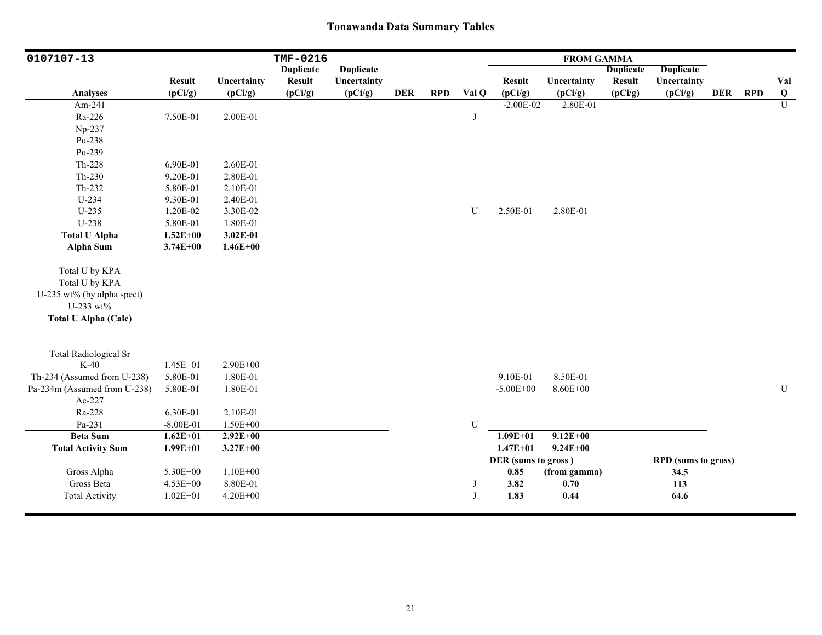| 0107107-13                   |               |              | TMF-0216         |                  |            |            |       |                     | <b>FROM GAMMA</b> |                  |                            |            |            |                |
|------------------------------|---------------|--------------|------------------|------------------|------------|------------|-------|---------------------|-------------------|------------------|----------------------------|------------|------------|----------------|
|                              |               |              | <b>Duplicate</b> | <b>Duplicate</b> |            |            |       |                     |                   | <b>Duplicate</b> | <b>Duplicate</b>           |            |            |                |
|                              | <b>Result</b> | Uncertainty  | <b>Result</b>    | Uncertainty      |            |            |       | <b>Result</b>       | Uncertainty       | <b>Result</b>    | Uncertainty                |            |            | Val            |
| <b>Analyses</b>              | (pCi/g)       | (pCi/g)      | (pCi/g)          | (pCi/g)          | <b>DER</b> | <b>RPD</b> | Val Q | (pCi/g)             | (pCi/g)           | (pCi/g)          | (pCi/g)                    | <b>DER</b> | <b>RPD</b> | $\bf Q$        |
| Am-241                       |               |              |                  |                  |            |            |       | $-2.00E-02$         | 2.80E-01          |                  |                            |            |            | $\overline{U}$ |
| Ra-226                       | 7.50E-01      | 2.00E-01     |                  |                  |            |            | J     |                     |                   |                  |                            |            |            |                |
| Np-237                       |               |              |                  |                  |            |            |       |                     |                   |                  |                            |            |            |                |
| Pu-238                       |               |              |                  |                  |            |            |       |                     |                   |                  |                            |            |            |                |
| Pu-239                       |               |              |                  |                  |            |            |       |                     |                   |                  |                            |            |            |                |
| Th-228                       | 6.90E-01      | 2.60E-01     |                  |                  |            |            |       |                     |                   |                  |                            |            |            |                |
| $Th-230$                     | 9.20E-01      | 2.80E-01     |                  |                  |            |            |       |                     |                   |                  |                            |            |            |                |
| Th-232                       | 5.80E-01      | 2.10E-01     |                  |                  |            |            |       |                     |                   |                  |                            |            |            |                |
| U-234                        | 9.30E-01      | 2.40E-01     |                  |                  |            |            |       |                     |                   |                  |                            |            |            |                |
| $U-235$                      | 1.20E-02      | 3.30E-02     |                  |                  |            |            | U     | 2.50E-01            | 2.80E-01          |                  |                            |            |            |                |
| U-238                        | 5.80E-01      | 1.80E-01     |                  |                  |            |            |       |                     |                   |                  |                            |            |            |                |
| <b>Total U Alpha</b>         | $1.52E + 00$  | 3.02E-01     |                  |                  |            |            |       |                     |                   |                  |                            |            |            |                |
| <b>Alpha Sum</b>             | $3.74E + 00$  | $1.46E + 00$ |                  |                  |            |            |       |                     |                   |                  |                            |            |            |                |
| Total U by KPA               |               |              |                  |                  |            |            |       |                     |                   |                  |                            |            |            |                |
| Total U by KPA               |               |              |                  |                  |            |            |       |                     |                   |                  |                            |            |            |                |
| U-235 wt% (by alpha spect)   |               |              |                  |                  |            |            |       |                     |                   |                  |                            |            |            |                |
| U-233 wt%                    |               |              |                  |                  |            |            |       |                     |                   |                  |                            |            |            |                |
| <b>Total U Alpha (Calc)</b>  |               |              |                  |                  |            |            |       |                     |                   |                  |                            |            |            |                |
|                              |               |              |                  |                  |            |            |       |                     |                   |                  |                            |            |            |                |
| <b>Total Radiological Sr</b> |               |              |                  |                  |            |            |       |                     |                   |                  |                            |            |            |                |
| $K-40$                       | $1.45E + 01$  | $2.90E + 00$ |                  |                  |            |            |       |                     |                   |                  |                            |            |            |                |
| Th-234 (Assumed from U-238)  | 5.80E-01      | 1.80E-01     |                  |                  |            |            |       | 9.10E-01            | 8.50E-01          |                  |                            |            |            |                |
| Pa-234m (Assumed from U-238) | 5.80E-01      | 1.80E-01     |                  |                  |            |            |       | $-5.00E + 00$       | 8.60E+00          |                  |                            |            |            | U              |
| Ac-227                       |               |              |                  |                  |            |            |       |                     |                   |                  |                            |            |            |                |
| Ra-228                       | 6.30E-01      | 2.10E-01     |                  |                  |            |            |       |                     |                   |                  |                            |            |            |                |
| Pa-231                       | $-8.00E - 01$ | $1.50E + 00$ |                  |                  |            |            | U     |                     |                   |                  |                            |            |            |                |
| <b>Beta Sum</b>              | $1.62E + 01$  | $2.92E+00$   |                  |                  |            |            |       | $1.09E + 01$        | $9.12E + 00$      |                  |                            |            |            |                |
| <b>Total Activity Sum</b>    | $1.99E + 01$  | $3.27E + 00$ |                  |                  |            |            |       | $1.47E + 01$        | $9.24E + 00$      |                  |                            |            |            |                |
|                              |               |              |                  |                  |            |            |       | DER (sums to gross) |                   |                  | <b>RPD</b> (sums to gross) |            |            |                |
| Gross Alpha                  | 5.30E+00      | $1.10E + 00$ |                  |                  |            |            |       | 0.85                | (from gamma)      |                  | 34.5                       |            |            |                |
| Gross Beta                   | 4.53E+00      | 8.80E-01     |                  |                  |            |            | J     | 3.82                | 0.70              |                  | 113                        |            |            |                |
| <b>Total Activity</b>        | $1.02E + 01$  | 4.20E+00     |                  |                  |            |            | J     | 1.83                | 0.44              |                  | 64.6                       |            |            |                |
|                              |               |              |                  |                  |            |            |       |                     |                   |                  |                            |            |            |                |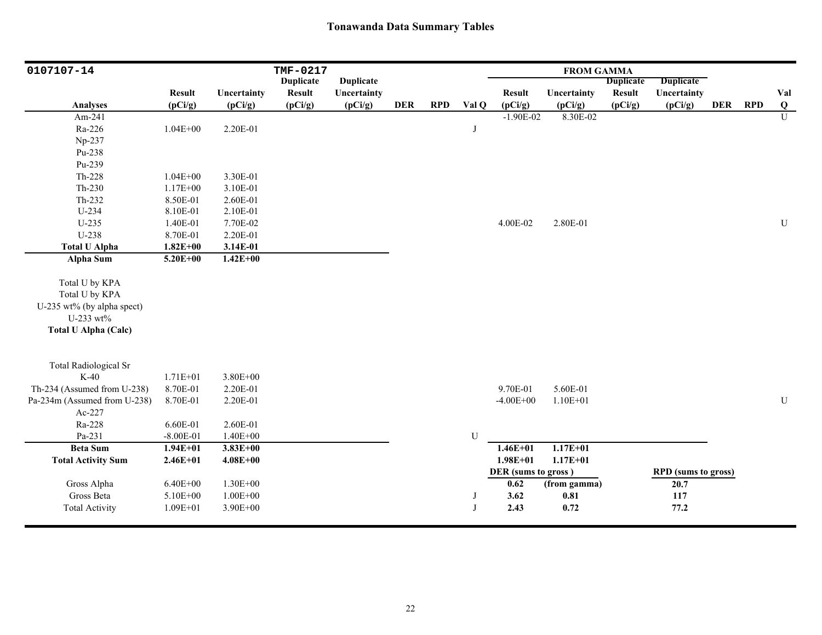| 0107107-14                   |               |              | TMF-0217         |                  |            |            |       |                     | <b>FROM GAMMA</b> |                  |                            |            |            |                         |
|------------------------------|---------------|--------------|------------------|------------------|------------|------------|-------|---------------------|-------------------|------------------|----------------------------|------------|------------|-------------------------|
|                              |               |              | <b>Duplicate</b> | <b>Duplicate</b> |            |            |       |                     |                   | <b>Duplicate</b> | <b>Duplicate</b>           |            |            |                         |
|                              | <b>Result</b> | Uncertainty  | <b>Result</b>    | Uncertainty      |            |            |       | <b>Result</b>       | Uncertainty       | <b>Result</b>    | Uncertainty                |            |            | Val                     |
| <b>Analyses</b>              | (pCi/g)       | (pCi/g)      | (pCi/g)          | (pCi/g)          | <b>DER</b> | <b>RPD</b> | Val Q | (pCi/g)             | (pCi/g)           | (pCi/g)          | (pCi/g)                    | <b>DER</b> | <b>RPD</b> | $\overline{\mathbf{Q}}$ |
| Am-241                       |               |              |                  |                  |            |            |       | $-1.90E-02$         | 8.30E-02          |                  |                            |            |            | U                       |
| Ra-226                       | $1.04E + 00$  | 2.20E-01     |                  |                  |            |            | J     |                     |                   |                  |                            |            |            |                         |
| Np-237                       |               |              |                  |                  |            |            |       |                     |                   |                  |                            |            |            |                         |
| Pu-238                       |               |              |                  |                  |            |            |       |                     |                   |                  |                            |            |            |                         |
| Pu-239                       |               |              |                  |                  |            |            |       |                     |                   |                  |                            |            |            |                         |
| Th-228                       | $1.04E + 00$  | 3.30E-01     |                  |                  |            |            |       |                     |                   |                  |                            |            |            |                         |
| Th-230                       | 1.17E+00      | 3.10E-01     |                  |                  |            |            |       |                     |                   |                  |                            |            |            |                         |
| Th-232                       | 8.50E-01      | 2.60E-01     |                  |                  |            |            |       |                     |                   |                  |                            |            |            |                         |
| U-234                        | 8.10E-01      | 2.10E-01     |                  |                  |            |            |       |                     |                   |                  |                            |            |            |                         |
| $U-235$                      | 1.40E-01      | 7.70E-02     |                  |                  |            |            |       | 4.00E-02            | 2.80E-01          |                  |                            |            |            | U                       |
| U-238                        | 8.70E-01      | 2.20E-01     |                  |                  |            |            |       |                     |                   |                  |                            |            |            |                         |
| <b>Total U Alpha</b>         | $1.82E + 00$  | 3.14E-01     |                  |                  |            |            |       |                     |                   |                  |                            |            |            |                         |
| <b>Alpha Sum</b>             | $5.20E + 00$  | $1.42E + 00$ |                  |                  |            |            |       |                     |                   |                  |                            |            |            |                         |
|                              |               |              |                  |                  |            |            |       |                     |                   |                  |                            |            |            |                         |
| Total U by KPA               |               |              |                  |                  |            |            |       |                     |                   |                  |                            |            |            |                         |
| Total U by KPA               |               |              |                  |                  |            |            |       |                     |                   |                  |                            |            |            |                         |
| U-235 wt% (by alpha spect)   |               |              |                  |                  |            |            |       |                     |                   |                  |                            |            |            |                         |
| U-233 wt%                    |               |              |                  |                  |            |            |       |                     |                   |                  |                            |            |            |                         |
| <b>Total U Alpha (Calc)</b>  |               |              |                  |                  |            |            |       |                     |                   |                  |                            |            |            |                         |
|                              |               |              |                  |                  |            |            |       |                     |                   |                  |                            |            |            |                         |
| <b>Total Radiological Sr</b> |               |              |                  |                  |            |            |       |                     |                   |                  |                            |            |            |                         |
| $K-40$                       | 1.71E+01      | 3.80E+00     |                  |                  |            |            |       |                     |                   |                  |                            |            |            |                         |
| Th-234 (Assumed from U-238)  | 8.70E-01      | 2.20E-01     |                  |                  |            |            |       | 9.70E-01            | 5.60E-01          |                  |                            |            |            |                         |
| Pa-234m (Assumed from U-238) | 8.70E-01      | 2.20E-01     |                  |                  |            |            |       | $-4.00E + 00$       | $1.10E + 01$      |                  |                            |            |            | U                       |
| Ac-227                       |               |              |                  |                  |            |            |       |                     |                   |                  |                            |            |            |                         |
| Ra-228                       | 6.60E-01      | 2.60E-01     |                  |                  |            |            |       |                     |                   |                  |                            |            |            |                         |
| Pa-231                       | $-8.00E-01$   | $1.40E + 00$ |                  |                  |            |            | U     |                     |                   |                  |                            |            |            |                         |
| <b>Beta Sum</b>              | $1.94E + 01$  | $3.83E + 00$ |                  |                  |            |            |       | $1.46E + 01$        | $1.17E + 01$      |                  |                            |            |            |                         |
| <b>Total Activity Sum</b>    | $2.46E + 01$  | $4.08E + 00$ |                  |                  |            |            |       | $1.98E + 01$        | $1.17E + 01$      |                  |                            |            |            |                         |
|                              |               |              |                  |                  |            |            |       | DER (sums to gross) |                   |                  | <b>RPD</b> (sums to gross) |            |            |                         |
| Gross Alpha                  | $6.40E + 00$  | 1.30E+00     |                  |                  |            |            |       | 0.62                | (from gamma)      |                  | 20.7                       |            |            |                         |
| Gross Beta                   | 5.10E+00      | $1.00E + 00$ |                  |                  |            |            | J     | 3.62                | 0.81              |                  | 117                        |            |            |                         |
| <b>Total Activity</b>        | $1.09E + 01$  | 3.90E+00     |                  |                  |            |            | J     | 2.43                | 0.72              |                  | 77.2                       |            |            |                         |
|                              |               |              |                  |                  |            |            |       |                     |                   |                  |                            |            |            |                         |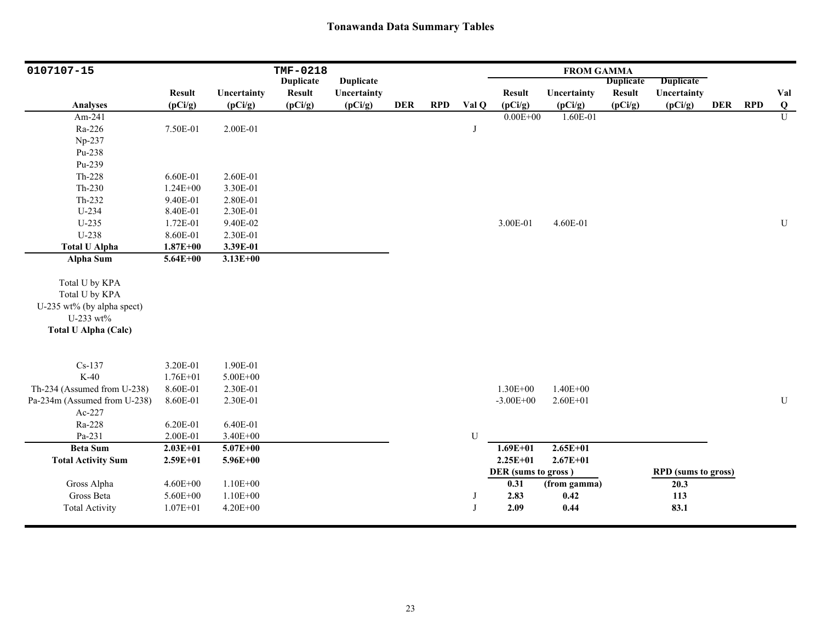| 0107107-15                   |               |              | TMF-0218         |                  |            |            |       |                     | <b>FROM GAMMA</b> |                  |                            |            |            |                |
|------------------------------|---------------|--------------|------------------|------------------|------------|------------|-------|---------------------|-------------------|------------------|----------------------------|------------|------------|----------------|
|                              |               |              | <b>Duplicate</b> | <b>Duplicate</b> |            |            |       |                     |                   | <b>Duplicate</b> | <b>Duplicate</b>           |            |            |                |
|                              | <b>Result</b> | Uncertainty  | <b>Result</b>    | Uncertainty      |            |            |       | <b>Result</b>       | Uncertainty       | <b>Result</b>    | Uncertainty                |            |            | Val            |
| <b>Analyses</b>              | (pCi/g)       | (pCi/g)      | (pCi/g)          | (pCi/g)          | <b>DER</b> | <b>RPD</b> | Val Q | (pCi/g)             | (pCi/g)           | (pCi/g)          | (pCi/g)                    | <b>DER</b> | <b>RPD</b> | $\bf{Q}$       |
| Am-241                       |               |              |                  |                  |            |            |       | $0.00E + 00$        | 1.60E-01          |                  |                            |            |            | $\overline{U}$ |
| Ra-226                       | 7.50E-01      | 2.00E-01     |                  |                  |            |            | J     |                     |                   |                  |                            |            |            |                |
| Np-237                       |               |              |                  |                  |            |            |       |                     |                   |                  |                            |            |            |                |
| Pu-238                       |               |              |                  |                  |            |            |       |                     |                   |                  |                            |            |            |                |
| Pu-239                       |               |              |                  |                  |            |            |       |                     |                   |                  |                            |            |            |                |
| Th-228                       | 6.60E-01      | 2.60E-01     |                  |                  |            |            |       |                     |                   |                  |                            |            |            |                |
| $Th-230$                     | $1.24E + 00$  | 3.30E-01     |                  |                  |            |            |       |                     |                   |                  |                            |            |            |                |
| Th-232                       | 9.40E-01      | 2.80E-01     |                  |                  |            |            |       |                     |                   |                  |                            |            |            |                |
| U-234                        | 8.40E-01      | 2.30E-01     |                  |                  |            |            |       |                     |                   |                  |                            |            |            |                |
| $U-235$                      | 1.72E-01      | 9.40E-02     |                  |                  |            |            |       | 3.00E-01            | 4.60E-01          |                  |                            |            |            | ${\bf U}$      |
| U-238                        | 8.60E-01      | 2.30E-01     |                  |                  |            |            |       |                     |                   |                  |                            |            |            |                |
| <b>Total U Alpha</b>         | $1.87E + 00$  | 3.39E-01     |                  |                  |            |            |       |                     |                   |                  |                            |            |            |                |
| <b>Alpha Sum</b>             | $5.64E + 00$  | $3.13E + 00$ |                  |                  |            |            |       |                     |                   |                  |                            |            |            |                |
| Total U by KPA               |               |              |                  |                  |            |            |       |                     |                   |                  |                            |            |            |                |
| Total U by KPA               |               |              |                  |                  |            |            |       |                     |                   |                  |                            |            |            |                |
| U-235 wt% (by alpha spect)   |               |              |                  |                  |            |            |       |                     |                   |                  |                            |            |            |                |
| U-233 wt%                    |               |              |                  |                  |            |            |       |                     |                   |                  |                            |            |            |                |
| <b>Total U Alpha (Calc)</b>  |               |              |                  |                  |            |            |       |                     |                   |                  |                            |            |            |                |
|                              |               |              |                  |                  |            |            |       |                     |                   |                  |                            |            |            |                |
| $Cs-137$                     | 3.20E-01      | 1.90E-01     |                  |                  |            |            |       |                     |                   |                  |                            |            |            |                |
| $K-40$                       | $1.76E + 01$  | 5.00E+00     |                  |                  |            |            |       |                     |                   |                  |                            |            |            |                |
| Th-234 (Assumed from U-238)  | 8.60E-01      | 2.30E-01     |                  |                  |            |            |       | 1.30E+00            | $1.40E + 00$      |                  |                            |            |            |                |
| Pa-234m (Assumed from U-238) | 8.60E-01      | 2.30E-01     |                  |                  |            |            |       | $-3.00E + 00$       | $2.60E + 01$      |                  |                            |            |            | ${\bf U}$      |
| Ac-227                       |               |              |                  |                  |            |            |       |                     |                   |                  |                            |            |            |                |
| Ra-228                       | 6.20E-01      | 6.40E-01     |                  |                  |            |            |       |                     |                   |                  |                            |            |            |                |
| Pa-231                       | 2.00E-01      | 3.40E+00     |                  |                  |            |            | U     |                     |                   |                  |                            |            |            |                |
| <b>Beta Sum</b>              | $2.03E + 01$  | $5.07E + 00$ |                  |                  |            |            |       | $1.69E + 01$        | $2.65E+01$        |                  |                            |            |            |                |
| <b>Total Activity Sum</b>    | $2.59E + 01$  | $5.96E + 00$ |                  |                  |            |            |       | $2.25E+01$          | $2.67E + 01$      |                  |                            |            |            |                |
|                              |               |              |                  |                  |            |            |       | DER (sums to gross) |                   |                  | <b>RPD</b> (sums to gross) |            |            |                |
| Gross Alpha                  | $4.60E + 00$  | $1.10E + 00$ |                  |                  |            |            |       | 0.31                | (from gamma)      |                  | 20.3                       |            |            |                |
| Gross Beta                   | 5.60E+00      | $1.10E + 00$ |                  |                  |            |            | J     | 2.83                | 0.42              |                  | 113                        |            |            |                |
| <b>Total Activity</b>        | $1.07E + 01$  | 4.20E+00     |                  |                  |            |            | J     | 2.09                | 0.44              |                  | 83.1                       |            |            |                |
|                              |               |              |                  |                  |            |            |       |                     |                   |                  |                            |            |            |                |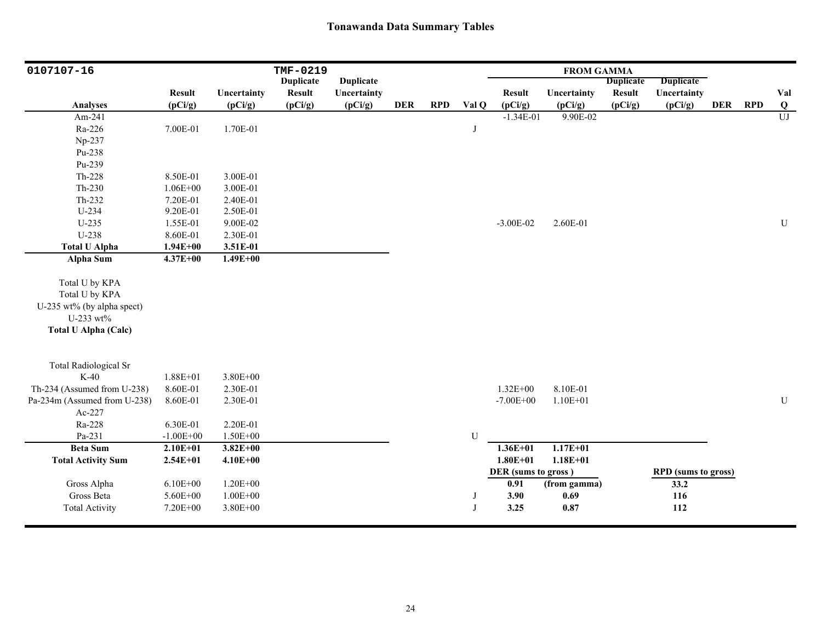| 0107107-16                   |               |              | TMF-0219         |                  |            |            |           |                     | <b>FROM GAMMA</b> |                  |                            |            |            |                         |
|------------------------------|---------------|--------------|------------------|------------------|------------|------------|-----------|---------------------|-------------------|------------------|----------------------------|------------|------------|-------------------------|
|                              |               |              | <b>Duplicate</b> | <b>Duplicate</b> |            |            |           |                     |                   | <b>Duplicate</b> | <b>Duplicate</b>           |            |            |                         |
|                              | <b>Result</b> | Uncertainty  | <b>Result</b>    | Uncertainty      |            |            |           | <b>Result</b>       | Uncertainty       | Result           | Uncertainty                |            |            | Val                     |
| <b>Analyses</b>              | (pCi/g)       | (pCi/g)      | (pCi/g)          | (pCi/g)          | <b>DER</b> | <b>RPD</b> | Val Q     | (pCi/g)             | (pCi/g)           | (pCi/g)          | (pCi/g)                    | <b>DER</b> | <b>RPD</b> | $\overline{\mathbf{Q}}$ |
| Am-241                       |               |              |                  |                  |            |            |           | $-1.34E-01$         | 9.90E-02          |                  |                            |            |            | $\overline{U}$          |
| Ra-226                       | 7.00E-01      | 1.70E-01     |                  |                  |            |            | J         |                     |                   |                  |                            |            |            |                         |
| Np-237                       |               |              |                  |                  |            |            |           |                     |                   |                  |                            |            |            |                         |
| Pu-238                       |               |              |                  |                  |            |            |           |                     |                   |                  |                            |            |            |                         |
| Pu-239                       |               |              |                  |                  |            |            |           |                     |                   |                  |                            |            |            |                         |
| Th-228                       | 8.50E-01      | 3.00E-01     |                  |                  |            |            |           |                     |                   |                  |                            |            |            |                         |
| $Th-230$                     | $1.06E + 00$  | 3.00E-01     |                  |                  |            |            |           |                     |                   |                  |                            |            |            |                         |
| Th-232                       | 7.20E-01      | 2.40E-01     |                  |                  |            |            |           |                     |                   |                  |                            |            |            |                         |
| U-234                        | 9.20E-01      | 2.50E-01     |                  |                  |            |            |           |                     |                   |                  |                            |            |            |                         |
| $U-235$                      | 1.55E-01      | 9.00E-02     |                  |                  |            |            |           | $-3.00E - 02$       | 2.60E-01          |                  |                            |            |            | ${\bf U}$               |
| U-238                        | 8.60E-01      | 2.30E-01     |                  |                  |            |            |           |                     |                   |                  |                            |            |            |                         |
| <b>Total U Alpha</b>         | $1.94E + 00$  | 3.51E-01     |                  |                  |            |            |           |                     |                   |                  |                            |            |            |                         |
| Alpha Sum                    | $4.37E + 00$  | $1.49E + 00$ |                  |                  |            |            |           |                     |                   |                  |                            |            |            |                         |
|                              |               |              |                  |                  |            |            |           |                     |                   |                  |                            |            |            |                         |
| Total U by KPA               |               |              |                  |                  |            |            |           |                     |                   |                  |                            |            |            |                         |
| Total U by KPA               |               |              |                  |                  |            |            |           |                     |                   |                  |                            |            |            |                         |
| U-235 wt% (by alpha spect)   |               |              |                  |                  |            |            |           |                     |                   |                  |                            |            |            |                         |
| U-233 wt%                    |               |              |                  |                  |            |            |           |                     |                   |                  |                            |            |            |                         |
| <b>Total U Alpha (Calc)</b>  |               |              |                  |                  |            |            |           |                     |                   |                  |                            |            |            |                         |
|                              |               |              |                  |                  |            |            |           |                     |                   |                  |                            |            |            |                         |
| <b>Total Radiological Sr</b> |               |              |                  |                  |            |            |           |                     |                   |                  |                            |            |            |                         |
| $K-40$                       | $1.88E + 01$  | $3.80E + 00$ |                  |                  |            |            |           |                     |                   |                  |                            |            |            |                         |
| Th-234 (Assumed from U-238)  | 8.60E-01      | 2.30E-01     |                  |                  |            |            |           | $1.32E + 00$        | 8.10E-01          |                  |                            |            |            |                         |
| Pa-234m (Assumed from U-238) | 8.60E-01      | 2.30E-01     |                  |                  |            |            |           | $-7.00E + 00$       | $1.10E + 01$      |                  |                            |            |            | ${\bf U}$               |
| Ac-227                       |               |              |                  |                  |            |            |           |                     |                   |                  |                            |            |            |                         |
| Ra-228                       | 6.30E-01      | 2.20E-01     |                  |                  |            |            |           |                     |                   |                  |                            |            |            |                         |
| Pa-231                       | $-1.00E + 00$ | $1.50E + 00$ |                  |                  |            |            | ${\bf U}$ |                     |                   |                  |                            |            |            |                         |
| <b>Beta Sum</b>              | $2.10E + 01$  | $3.82E + 00$ |                  |                  |            |            |           | $1.36E + 01$        | $1.17E + 01$      |                  |                            |            |            |                         |
| <b>Total Activity Sum</b>    | $2.54E+01$    | $4.10E + 00$ |                  |                  |            |            |           | $1.80E + 01$        | $1.18E + 01$      |                  |                            |            |            |                         |
|                              |               |              |                  |                  |            |            |           | DER (sums to gross) |                   |                  | <b>RPD</b> (sums to gross) |            |            |                         |
| Gross Alpha                  | $6.10E + 00$  | $1.20E + 00$ |                  |                  |            |            |           | 0.91                | (from gamma)      |                  | 33.2                       |            |            |                         |
| Gross Beta                   | 5.60E+00      | $1.00E + 00$ |                  |                  |            |            | J         | 3.90                | 0.69              |                  | 116                        |            |            |                         |
| <b>Total Activity</b>        | 7.20E+00      | 3.80E+00     |                  |                  |            |            | J         | 3.25                | 0.87              |                  | 112                        |            |            |                         |
|                              |               |              |                  |                  |            |            |           |                     |                   |                  |                            |            |            |                         |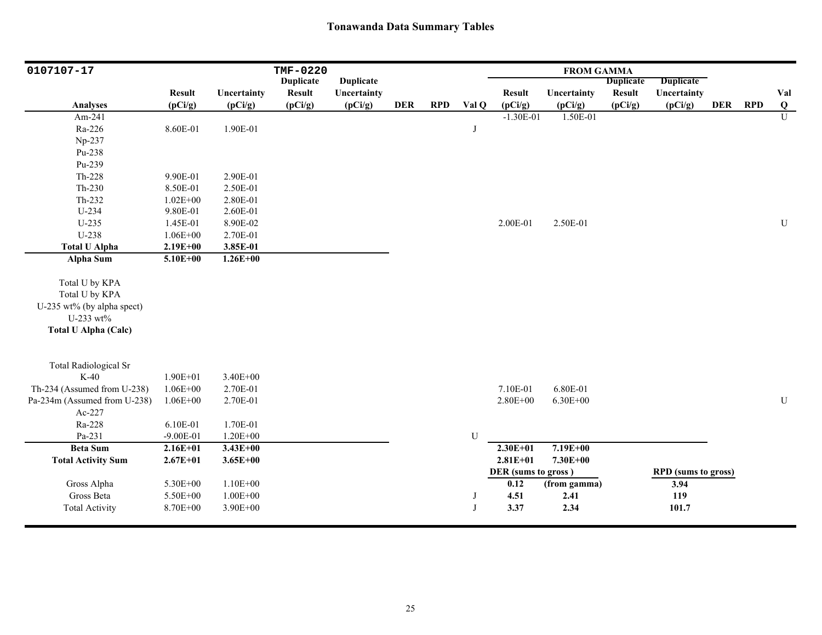| 0107107-17                   |               |              | <b>TMF-0220</b>  |                  |            |            |              |                     | <b>FROM GAMMA</b> |                  |                            |            |            |                         |
|------------------------------|---------------|--------------|------------------|------------------|------------|------------|--------------|---------------------|-------------------|------------------|----------------------------|------------|------------|-------------------------|
|                              |               |              | <b>Duplicate</b> | <b>Duplicate</b> |            |            |              |                     |                   | <b>Duplicate</b> | <b>Duplicate</b>           |            |            |                         |
|                              | <b>Result</b> | Uncertainty  | <b>Result</b>    | Uncertainty      |            |            |              | <b>Result</b>       | Uncertainty       | <b>Result</b>    | Uncertainty                |            |            | Val                     |
| <b>Analyses</b>              | (pCi/g)       | (pCi/g)      | (pCi/g)          | (pCi/g)          | <b>DER</b> | <b>RPD</b> | Val Q        | (pCi/g)             | (pCi/g)           | (pCi/g)          | (pCi/g)                    | <b>DER</b> | <b>RPD</b> | $\overline{\mathbf{Q}}$ |
| Am-241                       |               |              |                  |                  |            |            |              | $-1.30E-01$         | 1.50E-01          |                  |                            |            |            | $\overline{U}$          |
| Ra-226                       | 8.60E-01      | 1.90E-01     |                  |                  |            |            | J            |                     |                   |                  |                            |            |            |                         |
| Np-237                       |               |              |                  |                  |            |            |              |                     |                   |                  |                            |            |            |                         |
| Pu-238                       |               |              |                  |                  |            |            |              |                     |                   |                  |                            |            |            |                         |
| Pu-239                       |               |              |                  |                  |            |            |              |                     |                   |                  |                            |            |            |                         |
| Th-228                       | 9.90E-01      | 2.90E-01     |                  |                  |            |            |              |                     |                   |                  |                            |            |            |                         |
| Th-230                       | 8.50E-01      | 2.50E-01     |                  |                  |            |            |              |                     |                   |                  |                            |            |            |                         |
| Th-232                       | $1.02E + 00$  | 2.80E-01     |                  |                  |            |            |              |                     |                   |                  |                            |            |            |                         |
| U-234                        | 9.80E-01      | 2.60E-01     |                  |                  |            |            |              |                     |                   |                  |                            |            |            |                         |
| $U-235$                      | 1.45E-01      | 8.90E-02     |                  |                  |            |            |              | 2.00E-01            | 2.50E-01          |                  |                            |            |            | ${\bf U}$               |
| U-238                        | $1.06E + 00$  | 2.70E-01     |                  |                  |            |            |              |                     |                   |                  |                            |            |            |                         |
| <b>Total U Alpha</b>         | $2.19E + 00$  | 3.85E-01     |                  |                  |            |            |              |                     |                   |                  |                            |            |            |                         |
| <b>Alpha Sum</b>             | $5.10E + 00$  | $1.26E + 00$ |                  |                  |            |            |              |                     |                   |                  |                            |            |            |                         |
|                              |               |              |                  |                  |            |            |              |                     |                   |                  |                            |            |            |                         |
| Total U by KPA               |               |              |                  |                  |            |            |              |                     |                   |                  |                            |            |            |                         |
| Total U by KPA               |               |              |                  |                  |            |            |              |                     |                   |                  |                            |            |            |                         |
| U-235 wt% (by alpha spect)   |               |              |                  |                  |            |            |              |                     |                   |                  |                            |            |            |                         |
| U-233 wt%                    |               |              |                  |                  |            |            |              |                     |                   |                  |                            |            |            |                         |
| <b>Total U Alpha (Calc)</b>  |               |              |                  |                  |            |            |              |                     |                   |                  |                            |            |            |                         |
|                              |               |              |                  |                  |            |            |              |                     |                   |                  |                            |            |            |                         |
| <b>Total Radiological Sr</b> |               |              |                  |                  |            |            |              |                     |                   |                  |                            |            |            |                         |
| $K-40$                       | $1.90E + 01$  | 3.40E+00     |                  |                  |            |            |              |                     |                   |                  |                            |            |            |                         |
| Th-234 (Assumed from U-238)  | $1.06E + 00$  | 2.70E-01     |                  |                  |            |            |              | 7.10E-01            | 6.80E-01          |                  |                            |            |            |                         |
| Pa-234m (Assumed from U-238) | $1.06E + 00$  | 2.70E-01     |                  |                  |            |            |              | 2.80E+00            | $6.30E + 00$      |                  |                            |            |            | U                       |
| Ac-227                       |               |              |                  |                  |            |            |              |                     |                   |                  |                            |            |            |                         |
| Ra-228                       | 6.10E-01      | 1.70E-01     |                  |                  |            |            |              |                     |                   |                  |                            |            |            |                         |
| Pa-231                       | $-9.00E-01$   | $1.20E + 00$ |                  |                  |            |            | U            |                     |                   |                  |                            |            |            |                         |
| <b>Beta Sum</b>              | $2.16E + 01$  | $3.43E + 00$ |                  |                  |            |            |              | $2.30E + 01$        | $7.19E + 00$      |                  |                            |            |            |                         |
| <b>Total Activity Sum</b>    | $2.67E + 01$  | $3.65E + 00$ |                  |                  |            |            |              | $2.81E + 01$        | 7.30E+00          |                  |                            |            |            |                         |
|                              |               |              |                  |                  |            |            |              | DER (sums to gross) |                   |                  | <b>RPD</b> (sums to gross) |            |            |                         |
| Gross Alpha                  | 5.30E+00      | $1.10E + 00$ |                  |                  |            |            |              | 0.12                | (from gamma)      |                  | 3.94                       |            |            |                         |
| Gross Beta                   | 5.50E+00      | $1.00E + 00$ |                  |                  |            |            | J            | 4.51                | 2.41              |                  | 119                        |            |            |                         |
| <b>Total Activity</b>        | 8.70E+00      | $3.90E + 00$ |                  |                  |            |            | $\mathbf{J}$ | 3.37                | 2.34              |                  | 101.7                      |            |            |                         |
|                              |               |              |                  |                  |            |            |              |                     |                   |                  |                            |            |            |                         |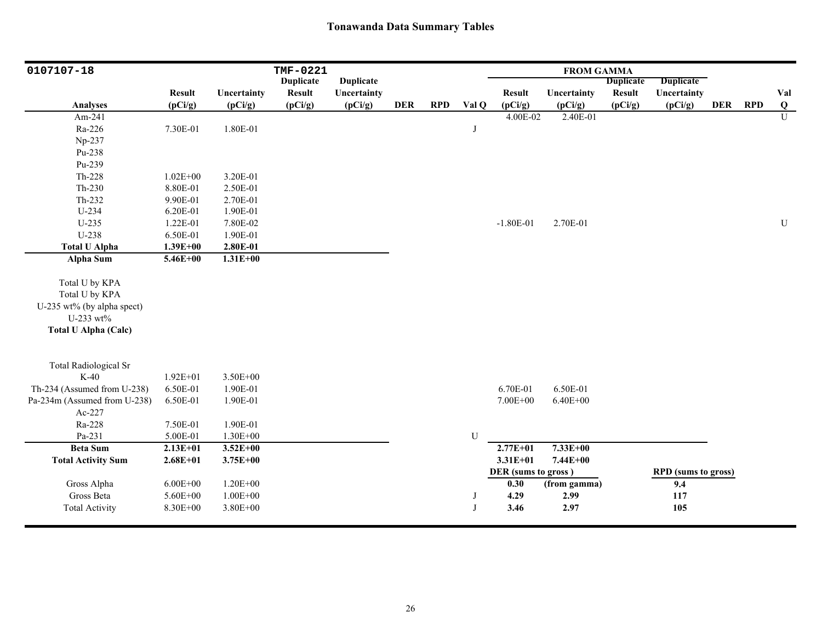| 0107107-18                   |               |              | TMF-0221         |                  |            |            |              |                     | <b>FROM GAMMA</b> |                  |                            |            |            |                |
|------------------------------|---------------|--------------|------------------|------------------|------------|------------|--------------|---------------------|-------------------|------------------|----------------------------|------------|------------|----------------|
|                              |               |              | <b>Duplicate</b> | <b>Duplicate</b> |            |            |              |                     |                   | <b>Duplicate</b> | <b>Duplicate</b>           |            |            |                |
|                              | <b>Result</b> | Uncertainty  | <b>Result</b>    | Uncertainty      |            |            |              | <b>Result</b>       | Uncertainty       | <b>Result</b>    | Uncertainty                |            |            | Val            |
| <b>Analyses</b>              | (pCi/g)       | (pCi/g)      | (pCi/g)          | (pCi/g)          | <b>DER</b> | <b>RPD</b> | Val Q        | (pCi/g)             | (pCi/g)           | (pCi/g)          | (pCi/g)                    | <b>DER</b> | <b>RPD</b> | $\bf{Q}$       |
| Am-241                       |               |              |                  |                  |            |            |              | $4.00E - 02$        | 2.40E-01          |                  |                            |            |            | $\overline{U}$ |
| Ra-226                       | 7.30E-01      | 1.80E-01     |                  |                  |            |            | J            |                     |                   |                  |                            |            |            |                |
| Np-237                       |               |              |                  |                  |            |            |              |                     |                   |                  |                            |            |            |                |
| Pu-238                       |               |              |                  |                  |            |            |              |                     |                   |                  |                            |            |            |                |
| Pu-239                       |               |              |                  |                  |            |            |              |                     |                   |                  |                            |            |            |                |
| Th-228                       | $1.02E + 00$  | 3.20E-01     |                  |                  |            |            |              |                     |                   |                  |                            |            |            |                |
| Th-230                       | 8.80E-01      | 2.50E-01     |                  |                  |            |            |              |                     |                   |                  |                            |            |            |                |
| Th-232                       | 9.90E-01      | 2.70E-01     |                  |                  |            |            |              |                     |                   |                  |                            |            |            |                |
| U-234                        | 6.20E-01      | 1.90E-01     |                  |                  |            |            |              |                     |                   |                  |                            |            |            |                |
| $U-235$                      | 1.22E-01      | 7.80E-02     |                  |                  |            |            |              | $-1.80E-01$         | 2.70E-01          |                  |                            |            |            | ${\bf U}$      |
| U-238                        | 6.50E-01      | 1.90E-01     |                  |                  |            |            |              |                     |                   |                  |                            |            |            |                |
| <b>Total U Alpha</b>         | $1.39E + 00$  | 2.80E-01     |                  |                  |            |            |              |                     |                   |                  |                            |            |            |                |
| Alpha Sum                    | 5.46E+00      | $1.31E + 00$ |                  |                  |            |            |              |                     |                   |                  |                            |            |            |                |
|                              |               |              |                  |                  |            |            |              |                     |                   |                  |                            |            |            |                |
| Total U by KPA               |               |              |                  |                  |            |            |              |                     |                   |                  |                            |            |            |                |
| Total U by KPA               |               |              |                  |                  |            |            |              |                     |                   |                  |                            |            |            |                |
| U-235 wt% (by alpha spect)   |               |              |                  |                  |            |            |              |                     |                   |                  |                            |            |            |                |
| U-233 wt%                    |               |              |                  |                  |            |            |              |                     |                   |                  |                            |            |            |                |
| <b>Total U Alpha (Calc)</b>  |               |              |                  |                  |            |            |              |                     |                   |                  |                            |            |            |                |
|                              |               |              |                  |                  |            |            |              |                     |                   |                  |                            |            |            |                |
| <b>Total Radiological Sr</b> |               |              |                  |                  |            |            |              |                     |                   |                  |                            |            |            |                |
| $K-40$                       | $1.92E + 01$  | 3.50E+00     |                  |                  |            |            |              |                     |                   |                  |                            |            |            |                |
| Th-234 (Assumed from U-238)  | 6.50E-01      | 1.90E-01     |                  |                  |            |            |              | 6.70E-01            | 6.50E-01          |                  |                            |            |            |                |
| Pa-234m (Assumed from U-238) | 6.50E-01      | 1.90E-01     |                  |                  |            |            |              | 7.00E+00            | $6.40E + 00$      |                  |                            |            |            |                |
| Ac-227                       |               |              |                  |                  |            |            |              |                     |                   |                  |                            |            |            |                |
| Ra-228                       | 7.50E-01      | 1.90E-01     |                  |                  |            |            |              |                     |                   |                  |                            |            |            |                |
| Pa-231                       | 5.00E-01      | $1.30E + 00$ |                  |                  |            |            | U            |                     |                   |                  |                            |            |            |                |
| <b>Beta Sum</b>              | $2.13E + 01$  | $3.52E + 00$ |                  |                  |            |            |              | $2.77E + 01$        | $7.33E+00$        |                  |                            |            |            |                |
| <b>Total Activity Sum</b>    | $2.68E + 01$  | $3.75E + 00$ |                  |                  |            |            |              | $3.31E + 01$        | 7.44E+00          |                  |                            |            |            |                |
|                              |               |              |                  |                  |            |            |              | DER (sums to gross) |                   |                  | <b>RPD</b> (sums to gross) |            |            |                |
| Gross Alpha                  | $6.00E + 00$  | $1.20E + 00$ |                  |                  |            |            |              | 0.30                | (from gamma)      |                  | 9.4                        |            |            |                |
| Gross Beta                   | 5.60E+00      | $1.00E + 00$ |                  |                  |            |            | J            | 4.29                | 2.99              |                  | 117                        |            |            |                |
| <b>Total Activity</b>        | 8.30E+00      | 3.80E+00     |                  |                  |            |            | $\mathbf{J}$ | 3.46                | 2.97              |                  | 105                        |            |            |                |
|                              |               |              |                  |                  |            |            |              |                     |                   |                  |                            |            |            |                |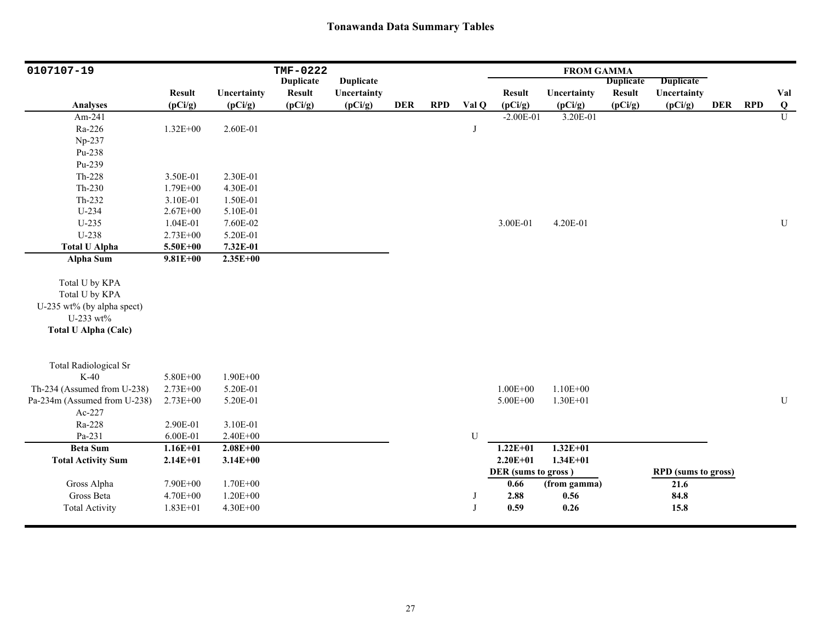| 0107107-19                   |               |              | TMF-0222         |                  |            |            |              |                     | <b>FROM GAMMA</b> |                  |                            |            |            |                         |
|------------------------------|---------------|--------------|------------------|------------------|------------|------------|--------------|---------------------|-------------------|------------------|----------------------------|------------|------------|-------------------------|
|                              |               |              | <b>Duplicate</b> | <b>Duplicate</b> |            |            |              |                     |                   | <b>Duplicate</b> | <b>Duplicate</b>           |            |            |                         |
|                              | <b>Result</b> | Uncertainty  | <b>Result</b>    | Uncertainty      |            |            |              | <b>Result</b>       | Uncertainty       | <b>Result</b>    | Uncertainty                |            |            | Val                     |
| <b>Analyses</b>              | (pCi/g)       | (pCi/g)      | (pCi/g)          | (pCi/g)          | <b>DER</b> | <b>RPD</b> | Val Q        | (pCi/g)             | (pCi/g)           | (pCi/g)          | (pCi/g)                    | <b>DER</b> | <b>RPD</b> | $\overline{\mathbf{Q}}$ |
| Am-241                       |               |              |                  |                  |            |            |              | $-2.00E-01$         | $3.20E-01$        |                  |                            |            |            | $\overline{U}$          |
| Ra-226                       | $1.32E + 00$  | 2.60E-01     |                  |                  |            |            | J            |                     |                   |                  |                            |            |            |                         |
| Np-237                       |               |              |                  |                  |            |            |              |                     |                   |                  |                            |            |            |                         |
| Pu-238                       |               |              |                  |                  |            |            |              |                     |                   |                  |                            |            |            |                         |
| Pu-239                       |               |              |                  |                  |            |            |              |                     |                   |                  |                            |            |            |                         |
| Th-228                       | 3.50E-01      | 2.30E-01     |                  |                  |            |            |              |                     |                   |                  |                            |            |            |                         |
| Th-230                       | 1.79E+00      | 4.30E-01     |                  |                  |            |            |              |                     |                   |                  |                            |            |            |                         |
| $Th-232$                     | 3.10E-01      | 1.50E-01     |                  |                  |            |            |              |                     |                   |                  |                            |            |            |                         |
| $U-234$                      | $2.67E + 00$  | 5.10E-01     |                  |                  |            |            |              |                     |                   |                  |                            |            |            |                         |
| $U-235$                      | 1.04E-01      | 7.60E-02     |                  |                  |            |            |              | 3.00E-01            | 4.20E-01          |                  |                            |            |            | ${\bf U}$               |
| U-238                        | 2.73E+00      | 5.20E-01     |                  |                  |            |            |              |                     |                   |                  |                            |            |            |                         |
| <b>Total U Alpha</b>         | 5.50E+00      | 7.32E-01     |                  |                  |            |            |              |                     |                   |                  |                            |            |            |                         |
| Alpha Sum                    | $9.81E + 00$  | $2.35E+00$   |                  |                  |            |            |              |                     |                   |                  |                            |            |            |                         |
| Total U by KPA               |               |              |                  |                  |            |            |              |                     |                   |                  |                            |            |            |                         |
| Total U by KPA               |               |              |                  |                  |            |            |              |                     |                   |                  |                            |            |            |                         |
| U-235 wt% (by alpha spect)   |               |              |                  |                  |            |            |              |                     |                   |                  |                            |            |            |                         |
| U-233 wt%                    |               |              |                  |                  |            |            |              |                     |                   |                  |                            |            |            |                         |
| <b>Total U Alpha (Calc)</b>  |               |              |                  |                  |            |            |              |                     |                   |                  |                            |            |            |                         |
|                              |               |              |                  |                  |            |            |              |                     |                   |                  |                            |            |            |                         |
| <b>Total Radiological Sr</b> |               |              |                  |                  |            |            |              |                     |                   |                  |                            |            |            |                         |
| $K-40$                       | 5.80E+00      | 1.90E+00     |                  |                  |            |            |              |                     |                   |                  |                            |            |            |                         |
| Th-234 (Assumed from U-238)  | $2.73E + 00$  | 5.20E-01     |                  |                  |            |            |              | $1.00E + 00$        | $1.10E + 00$      |                  |                            |            |            |                         |
| Pa-234m (Assumed from U-238) | 2.73E+00      | 5.20E-01     |                  |                  |            |            |              | $5.00E + 00$        | $1.30E + 01$      |                  |                            |            |            | ${\bf U}$               |
| Ac-227                       |               |              |                  |                  |            |            |              |                     |                   |                  |                            |            |            |                         |
| Ra-228                       | 2.90E-01      | 3.10E-01     |                  |                  |            |            |              |                     |                   |                  |                            |            |            |                         |
| Pa-231                       | 6.00E-01      | $2.40E + 00$ |                  |                  |            |            | U            |                     |                   |                  |                            |            |            |                         |
| <b>Beta Sum</b>              | $1.16E + 01$  | $2.08E + 00$ |                  |                  |            |            |              | $1.22E + 01$        | $1.32E + 01$      |                  |                            |            |            |                         |
| <b>Total Activity Sum</b>    | $2.14E+01$    | $3.14E + 00$ |                  |                  |            |            |              | $2.20E + 01$        | $1.34E + 01$      |                  |                            |            |            |                         |
|                              |               |              |                  |                  |            |            |              | DER (sums to gross) |                   |                  | <b>RPD</b> (sums to gross) |            |            |                         |
| Gross Alpha                  | 7.90E+00      | 1.70E+00     |                  |                  |            |            |              | 0.66                | (from gamma)      |                  | 21.6                       |            |            |                         |
| Gross Beta                   | 4.70E+00      | $1.20E + 00$ |                  |                  |            |            | J            | 2.88                | 0.56              |                  | 84.8                       |            |            |                         |
| <b>Total Activity</b>        | 1.83E+01      | 4.30E+00     |                  |                  |            |            | $\mathbf{J}$ | 0.59                | 0.26              |                  | 15.8                       |            |            |                         |
|                              |               |              |                  |                  |            |            |              |                     |                   |                  |                            |            |            |                         |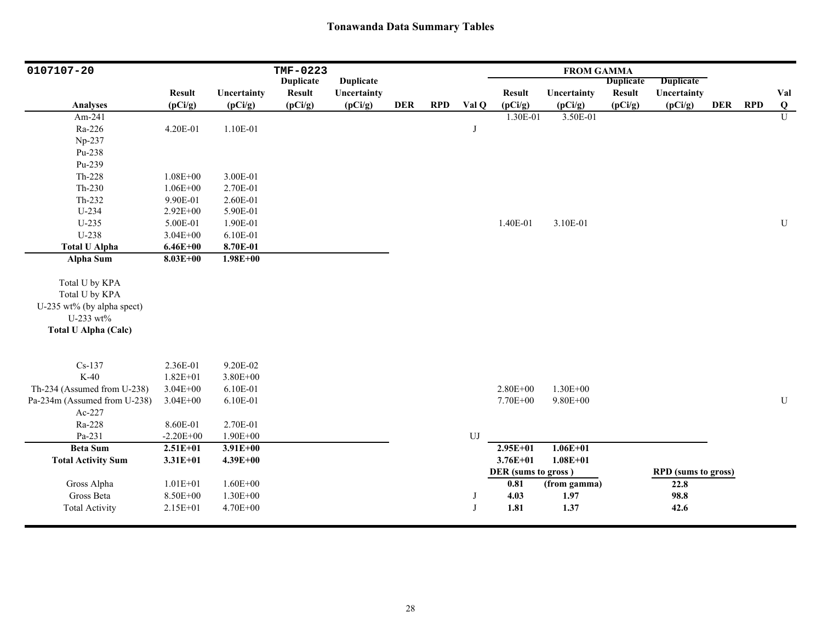| 0107107-20                   |               |              | TMF-0223         |                  |            |            |            |                     | <b>FROM GAMMA</b> |                  |                     |            |     |                |
|------------------------------|---------------|--------------|------------------|------------------|------------|------------|------------|---------------------|-------------------|------------------|---------------------|------------|-----|----------------|
|                              |               |              | <b>Duplicate</b> | <b>Duplicate</b> |            |            |            |                     |                   | <b>Duplicate</b> | <b>Duplicate</b>    |            |     |                |
|                              | <b>Result</b> | Uncertainty  | <b>Result</b>    | Uncertainty      |            |            |            | <b>Result</b>       | Uncertainty       | <b>Result</b>    | Uncertainty         |            |     | Val            |
| <b>Analyses</b>              | (pCi/g)       | (pCi/g)      | (pCi/g)          | (pCi/g)          | <b>DER</b> | <b>RPD</b> | Val Q      | (pCi/g)             | (pCi/g)           | (pCi/g)          | (pCi/g)             | <b>DER</b> | RPD | $\bf{Q}$       |
| Am-241                       |               |              |                  |                  |            |            |            | 1.30E-01            | 3.50E-01          |                  |                     |            |     | $\overline{U}$ |
| Ra-226                       | 4.20E-01      | 1.10E-01     |                  |                  |            |            | J          |                     |                   |                  |                     |            |     |                |
| Np-237                       |               |              |                  |                  |            |            |            |                     |                   |                  |                     |            |     |                |
| Pu-238                       |               |              |                  |                  |            |            |            |                     |                   |                  |                     |            |     |                |
| Pu-239                       |               |              |                  |                  |            |            |            |                     |                   |                  |                     |            |     |                |
| $Th-228$                     | $1.08E + 00$  | 3.00E-01     |                  |                  |            |            |            |                     |                   |                  |                     |            |     |                |
| $Th-230$                     | $1.06E + 00$  | 2.70E-01     |                  |                  |            |            |            |                     |                   |                  |                     |            |     |                |
| Th-232                       | 9.90E-01      | 2.60E-01     |                  |                  |            |            |            |                     |                   |                  |                     |            |     |                |
| $U-234$                      | 2.92E+00      | 5.90E-01     |                  |                  |            |            |            |                     |                   |                  |                     |            |     |                |
| $U-235$                      | 5.00E-01      | 1.90E-01     |                  |                  |            |            |            | 1.40E-01            | 3.10E-01          |                  |                     |            |     | ${\bf U}$      |
| U-238                        | $3.04E + 00$  | 6.10E-01     |                  |                  |            |            |            |                     |                   |                  |                     |            |     |                |
| <b>Total U Alpha</b>         | $6.46E + 00$  | 8.70E-01     |                  |                  |            |            |            |                     |                   |                  |                     |            |     |                |
| <b>Alpha Sum</b>             | $8.03E + 00$  | $1.98E + 00$ |                  |                  |            |            |            |                     |                   |                  |                     |            |     |                |
| Total U by KPA               |               |              |                  |                  |            |            |            |                     |                   |                  |                     |            |     |                |
| Total U by KPA               |               |              |                  |                  |            |            |            |                     |                   |                  |                     |            |     |                |
| U-235 wt% (by alpha spect)   |               |              |                  |                  |            |            |            |                     |                   |                  |                     |            |     |                |
| U-233 wt%                    |               |              |                  |                  |            |            |            |                     |                   |                  |                     |            |     |                |
| <b>Total U Alpha (Calc)</b>  |               |              |                  |                  |            |            |            |                     |                   |                  |                     |            |     |                |
|                              |               |              |                  |                  |            |            |            |                     |                   |                  |                     |            |     |                |
| $Cs-137$                     | 2.36E-01      | 9.20E-02     |                  |                  |            |            |            |                     |                   |                  |                     |            |     |                |
| $K-40$                       | $1.82E + 01$  | 3.80E+00     |                  |                  |            |            |            |                     |                   |                  |                     |            |     |                |
| Th-234 (Assumed from U-238)  | $3.04E + 00$  | 6.10E-01     |                  |                  |            |            |            | 2.80E+00            | 1.30E+00          |                  |                     |            |     |                |
| Pa-234m (Assumed from U-238) | $3.04E + 00$  | 6.10E-01     |                  |                  |            |            |            | 7.70E+00            | $9.80E + 00$      |                  |                     |            |     | U              |
| Ac-227                       |               |              |                  |                  |            |            |            |                     |                   |                  |                     |            |     |                |
| Ra-228                       | 8.60E-01      | 2.70E-01     |                  |                  |            |            |            |                     |                   |                  |                     |            |     |                |
| Pa-231                       | $-2.20E + 00$ | 1.90E+00     |                  |                  |            |            | ${\rm UJ}$ |                     |                   |                  |                     |            |     |                |
| <b>Beta Sum</b>              | $2.51E+01$    | $3.91E + 00$ |                  |                  |            |            |            | $2.95E + 01$        | $1.06E + 01$      |                  |                     |            |     |                |
| <b>Total Activity Sum</b>    | $3.31E + 01$  | $4.39E + 00$ |                  |                  |            |            |            | $3.76E + 01$        | $1.08E + 01$      |                  |                     |            |     |                |
|                              |               |              |                  |                  |            |            |            | DER (sums to gross) |                   |                  | RPD (sums to gross) |            |     |                |
| Gross Alpha                  | $1.01E + 01$  | $1.60E + 00$ |                  |                  |            |            |            | 0.81                | (from gamma)      |                  | 22.8                |            |     |                |
| Gross Beta                   | 8.50E+00      | $1.30E + 00$ |                  |                  |            |            | J          | 4.03                | 1.97              |                  | 98.8                |            |     |                |
| <b>Total Activity</b>        | 2.15E+01      | 4.70E+00     |                  |                  |            |            | J          | 1.81                | 1.37              |                  | 42.6                |            |     |                |
|                              |               |              |                  |                  |            |            |            |                     |                   |                  |                     |            |     |                |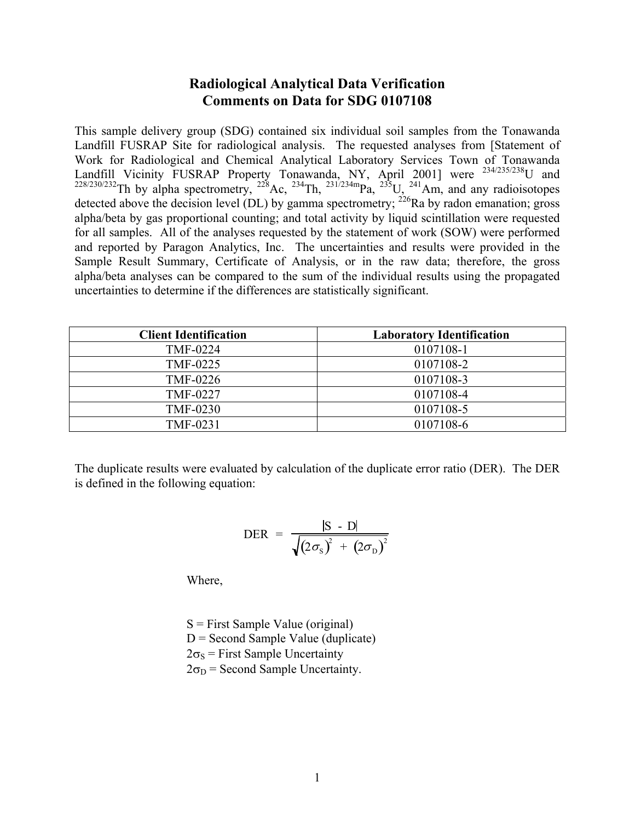# **Radiological Analytical Data Verification Comments on Data for SDG 0107108**

This sample delivery group (SDG) contained six individual soil samples from the Tonawanda Landfill FUSRAP Site for radiological analysis. The requested analyses from [Statement of Work for Radiological and Chemical Analytical Laboratory Services Town of Tonawanda Landfill Vicinity FUSRAP Property Tonawanda, NY, April 2001] were <sup>234/235/238</sup>U and  $228/230/232$ Th by alpha spectrometry,  $228$ Ac,  $234$ Th,  $231/234$ mpa,  $235$ U,  $241$ Am, and any radioisotopes detected above the decision level (DL) by gamma spectrometry;  $^{226}$ Ra by radon emanation; gross alpha/beta by gas proportional counting; and total activity by liquid scintillation were requested for all samples. All of the analyses requested by the statement of work (SOW) were performed and reported by Paragon Analytics, Inc. The uncertainties and results were provided in the Sample Result Summary, Certificate of Analysis, or in the raw data; therefore, the gross alpha/beta analyses can be compared to the sum of the individual results using the propagated uncertainties to determine if the differences are statistically significant.

| <b>Client Identification</b> | <b>Laboratory Identification</b> |
|------------------------------|----------------------------------|
| <b>TMF-0224</b>              | 0107108-1                        |
| TMF-0225                     | 0107108-2                        |
| <b>TMF-0226</b>              | 0107108-3                        |
| <b>TMF-0227</b>              | 0107108-4                        |
| <b>TMF-0230</b>              | 0107108-5                        |
| TMF-0231                     | 0107108-6                        |

The duplicate results were evaluated by calculation of the duplicate error ratio (DER). The DER is defined in the following equation:

$$
\text{DER} = \frac{|\text{S} - \text{D}|}{\sqrt{(2\sigma_{\text{S}})^{2} + (2\sigma_{\text{D}})^{2}}}
$$

Where,

 $S =$  First Sample Value (original)  $D =$  Second Sample Value (duplicate)  $2\sigma_s$  = First Sample Uncertainty  $2\sigma_D$  = Second Sample Uncertainty.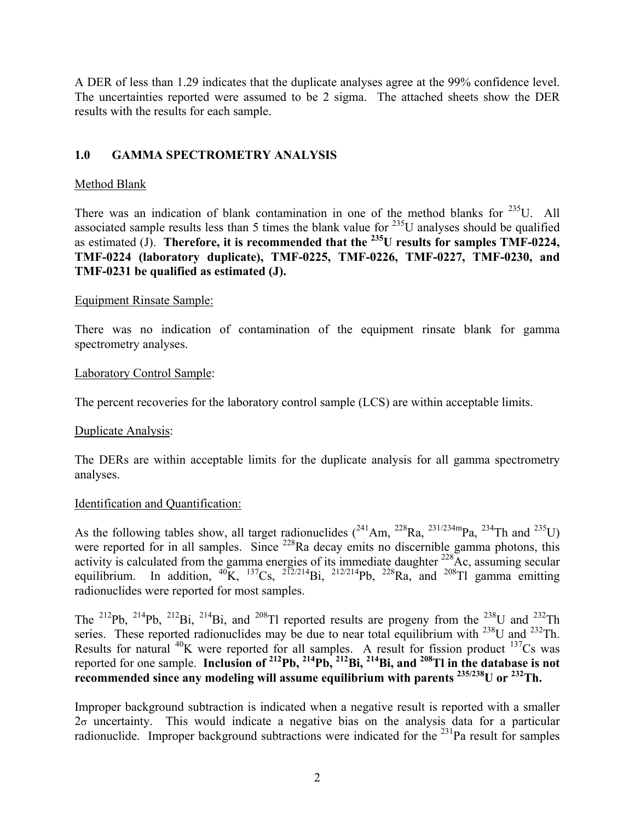A DER of less than 1.29 indicates that the duplicate analyses agree at the 99% confidence level. The uncertainties reported were assumed to be 2 sigma. The attached sheets show the DER results with the results for each sample.

# **1.0 GAMMA SPECTROMETRY ANALYSIS**

# Method Blank

There was an indication of blank contamination in one of the method blanks for  $^{235}$ U. All associated sample results less than 5 times the blank value for  $^{235}$ U analyses should be qualified as estimated (J). **Therefore, it is recommended that the 235U results for samples TMF-0224, TMF-0224 (laboratory duplicate), TMF-0225, TMF-0226, TMF-0227, TMF-0230, and TMF-0231 be qualified as estimated (J).** 

# Equipment Rinsate Sample:

There was no indication of contamination of the equipment rinsate blank for gamma spectrometry analyses.

## Laboratory Control Sample:

The percent recoveries for the laboratory control sample (LCS) are within acceptable limits.

# Duplicate Analysis:

The DERs are within acceptable limits for the duplicate analysis for all gamma spectrometry analyses.

# Identification and Quantification:

As the following tables show, all target radionuclides  $(^{241}Am$ ,  $^{228}Ra$ ,  $^{231/234m}Pa$ ,  $^{234}Th$  and  $^{235}U$ ) were reported for in all samples. Since <sup>228</sup>Ra decay emits no discernible gamma photons, this activity is calculated from the gamma energies of its immediate daughter  $^{228}$ Ac, assuming secular equilibrium. In addition,  ${}^{40}$ K,  ${}^{137}Cs$ ,  ${}^{212/214}Bi$ ,  ${}^{212/214}Pb$ ,  ${}^{228}Ra$ , and  ${}^{208}Tl$  gamma emitting radionuclides were reported for most samples.

The <sup>212</sup>Pb, <sup>214</sup>Pb, <sup>212</sup>Bi, <sup>214</sup>Bi, and <sup>208</sup>Tl reported results are progeny from the <sup>238</sup>U and <sup>232</sup>Th series. These reported radionuclides may be due to near total equilibrium with  $^{238}$ U and  $^{232}$ Th. Results for natural  ${}^{40}$ K were reported for all samples. A result for fission product  ${}^{137}Cs$  was reported for one sample. **Inclusion of 212Pb, 214Pb, 212Bi, 214Bi, and 208Tl in the database is not recommended since any modeling will assume equilibrium with parents 235/238U or 232Th.** 

Improper background subtraction is indicated when a negative result is reported with a smaller  $2\sigma$  uncertainty. This would indicate a negative bias on the analysis data for a particular radionuclide. Improper background subtractions were indicated for the <sup>231</sup>Pa result for samples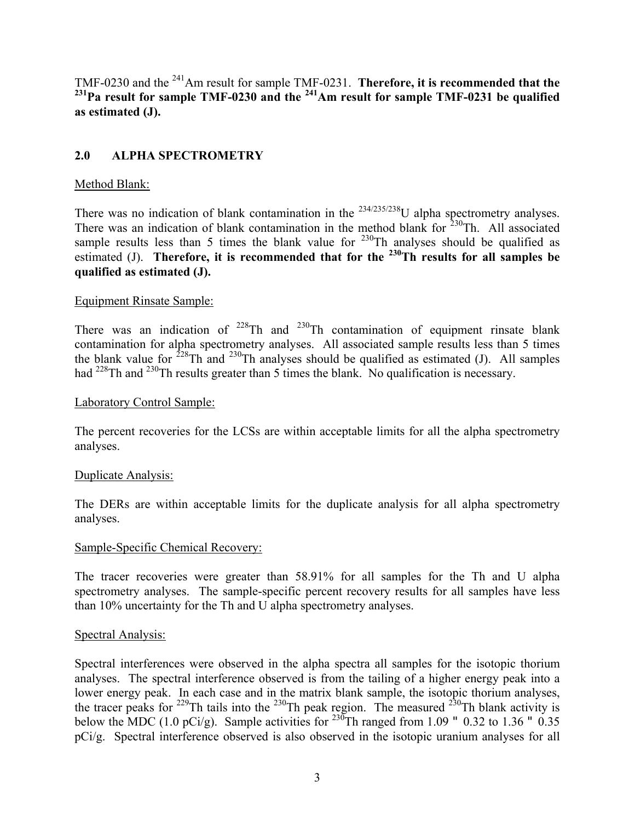TMF-0230 and the <sup>241</sup>Am result for sample TMF-0231. **Therefore, it is recommended that the** <sup>231</sup>Pa result for sample TMF-0230 and the <sup>241</sup>Am result for sample TMF-0231 be qualified **as estimated (J).**

# **2.0 ALPHA SPECTROMETRY**

## Method Blank:

There was no indication of blank contamination in the  $234/235/238$ U alpha spectrometry analyses. There was an indication of blank contamination in the method blank for  $230$ Th. All associated sample results less than 5 times the blank value for  $230$ Th analyses should be qualified as estimated (J). **Therefore, it is recommended that for the <sup>230</sup>Th results for all samples be qualified as estimated (J).** 

## Equipment Rinsate Sample:

There was an indication of  $2^{28}$ Th and  $2^{30}$ Th contamination of equipment rinsate blank contamination for alpha spectrometry analyses. All associated sample results less than 5 times the blank value for  $2^{28}$ Th and  $2^{30}$ Th analyses should be qualified as estimated (J). All samples had <sup>228</sup>Th and <sup>230</sup>Th results greater than 5 times the blank. No qualification is necessary.

### Laboratory Control Sample:

The percent recoveries for the LCSs are within acceptable limits for all the alpha spectrometry analyses.

### Duplicate Analysis:

The DERs are within acceptable limits for the duplicate analysis for all alpha spectrometry analyses.

### Sample-Specific Chemical Recovery:

The tracer recoveries were greater than 58.91% for all samples for the Th and U alpha spectrometry analyses. The sample-specific percent recovery results for all samples have less than 10% uncertainty for the Th and U alpha spectrometry analyses.

### Spectral Analysis:

Spectral interferences were observed in the alpha spectra all samples for the isotopic thorium analyses. The spectral interference observed is from the tailing of a higher energy peak into a lower energy peak. In each case and in the matrix blank sample, the isotopic thorium analyses, the tracer peaks for <sup>229</sup>Th tails into the <sup>230</sup>Th peak region. The measured <sup>230</sup>Th blank activity is below the MDC (1.0 pCi/g). Sample activities for  $^{230}$ Th ranged from 1.09 " 0.32 to 1.36 " 0.35 pCi/g. Spectral interference observed is also observed in the isotopic uranium analyses for all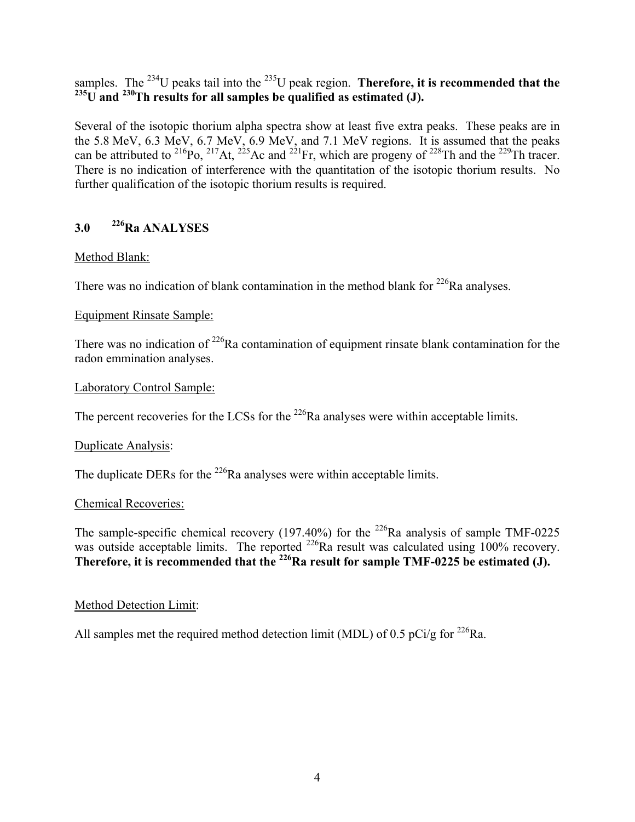samples. The <sup>234</sup>U peaks tail into the <sup>235</sup>U peak region. **Therefore, it is recommended that the** <sup>235</sup>U and <sup>230</sup>Th results for all samples be qualified as estimated  $(J)$ .

Several of the isotopic thorium alpha spectra show at least five extra peaks. These peaks are in the 5.8 MeV, 6.3 MeV, 6.7 MeV, 6.9 MeV, and 7.1 MeV regions. It is assumed that the peaks can be attributed to <sup>216</sup>Po, <sup>217</sup>At, <sup>225</sup>Ac and <sup>221</sup>Fr, which are progeny of <sup>228</sup>Th and the <sup>229</sup>Th tracer. There is no indication of interference with the quantitation of the isotopic thorium results. No further qualification of the isotopic thorium results is required.

# **3.0 226Ra ANALYSES**

# Method Blank:

There was no indication of blank contamination in the method blank for  $^{226}$ Ra analyses.

# Equipment Rinsate Sample:

There was no indication of  $2^{26}$ Ra contamination of equipment rinsate blank contamination for the radon emmination analyses.

# Laboratory Control Sample:

The percent recoveries for the LCSs for the  $226$ Ra analyses were within acceptable limits.

# Duplicate Analysis:

The duplicate DERs for the  $^{226}$ Ra analyses were within acceptable limits.

# Chemical Recoveries:

The sample-specific chemical recovery (197.40%) for the <sup>226</sup>Ra analysis of sample TMF-0225 was outside acceptable limits. The reported  $^{226}$ Ra result was calculated using 100% recovery. Therefore, it is recommended that the <sup>226</sup>Ra result for sample TMF-0225 be estimated (J).

# Method Detection Limit:

All samples met the required method detection limit (MDL) of 0.5 pCi/g for <sup>226</sup>Ra.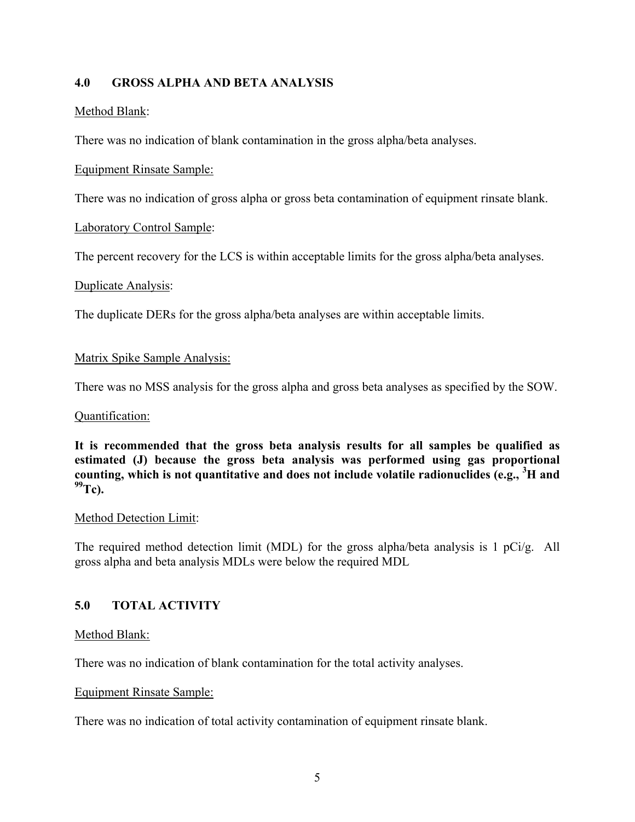# **4.0 GROSS ALPHA AND BETA ANALYSIS**

# Method Blank:

There was no indication of blank contamination in the gross alpha/beta analyses.

## Equipment Rinsate Sample:

There was no indication of gross alpha or gross beta contamination of equipment rinsate blank.

## Laboratory Control Sample:

The percent recovery for the LCS is within acceptable limits for the gross alpha/beta analyses.

### Duplicate Analysis:

The duplicate DERs for the gross alpha/beta analyses are within acceptable limits.

## Matrix Spike Sample Analysis:

There was no MSS analysis for the gross alpha and gross beta analyses as specified by the SOW.

### Quantification:

**It is recommended that the gross beta analysis results for all samples be qualified as estimated (J) because the gross beta analysis was performed using gas proportional counting, which is not quantitative and does not include volatile radionuclides (e.g., <sup>3</sup> H and 99Tc).** 

### Method Detection Limit:

The required method detection limit (MDL) for the gross alpha/beta analysis is 1 pCi/g. All gross alpha and beta analysis MDLs were below the required MDL

# **5.0 TOTAL ACTIVITY**

### Method Blank:

There was no indication of blank contamination for the total activity analyses.

### Equipment Rinsate Sample:

There was no indication of total activity contamination of equipment rinsate blank.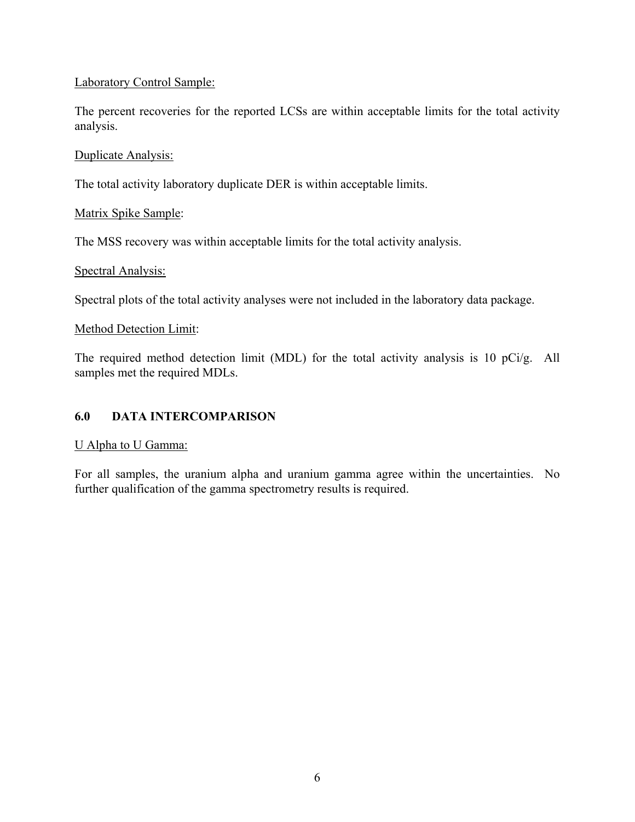## Laboratory Control Sample:

The percent recoveries for the reported LCSs are within acceptable limits for the total activity analysis.

### Duplicate Analysis:

The total activity laboratory duplicate DER is within acceptable limits.

## Matrix Spike Sample:

The MSS recovery was within acceptable limits for the total activity analysis.

## Spectral Analysis:

Spectral plots of the total activity analyses were not included in the laboratory data package.

## Method Detection Limit:

The required method detection limit (MDL) for the total activity analysis is 10 pCi/g. All samples met the required MDLs.

# **6.0 DATA INTERCOMPARISON**

### U Alpha to U Gamma:

For all samples, the uranium alpha and uranium gamma agree within the uncertainties. No further qualification of the gamma spectrometry results is required.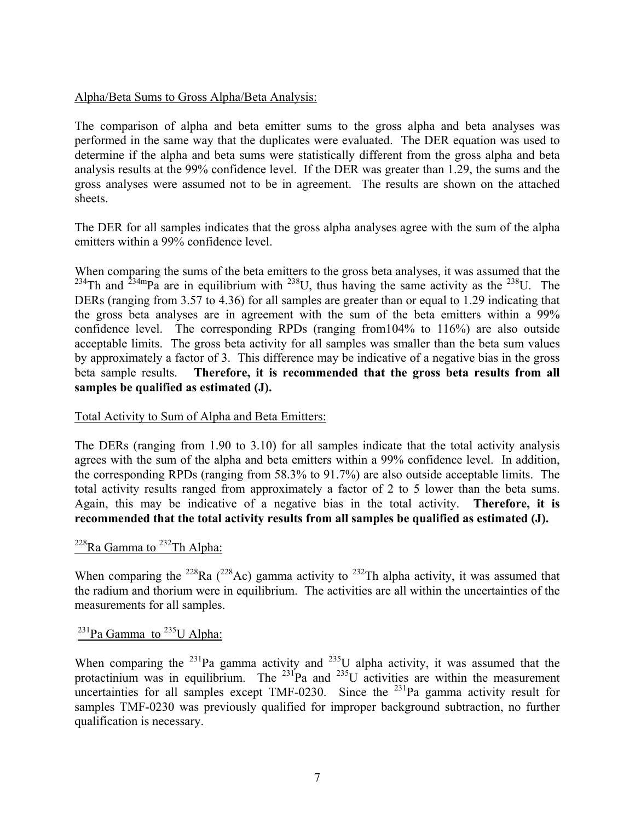## Alpha/Beta Sums to Gross Alpha/Beta Analysis:

The comparison of alpha and beta emitter sums to the gross alpha and beta analyses was performed in the same way that the duplicates were evaluated. The DER equation was used to determine if the alpha and beta sums were statistically different from the gross alpha and beta analysis results at the 99% confidence level. If the DER was greater than 1.29, the sums and the gross analyses were assumed not to be in agreement. The results are shown on the attached sheets.

The DER for all samples indicates that the gross alpha analyses agree with the sum of the alpha emitters within a 99% confidence level.

When comparing the sums of the beta emitters to the gross beta analyses, it was assumed that the <sup>234</sup>Th and <sup>234m</sup>Pa are in equilibrium with <sup>238</sup>U, thus having the same activity as the <sup>238</sup>U. The DERs (ranging from 3.57 to 4.36) for all samples are greater than or equal to 1.29 indicating that the gross beta analyses are in agreement with the sum of the beta emitters within a 99% confidence level. The corresponding RPDs (ranging from104% to 116%) are also outside acceptable limits. The gross beta activity for all samples was smaller than the beta sum values by approximately a factor of 3. This difference may be indicative of a negative bias in the gross beta sample results. **Therefore, it is recommended that the gross beta results from all samples be qualified as estimated (J).** 

Total Activity to Sum of Alpha and Beta Emitters:

The DERs (ranging from 1.90 to 3.10) for all samples indicate that the total activity analysis agrees with the sum of the alpha and beta emitters within a 99% confidence level. In addition, the corresponding RPDs (ranging from 58.3% to 91.7%) are also outside acceptable limits. The total activity results ranged from approximately a factor of 2 to 5 lower than the beta sums. Again, this may be indicative of a negative bias in the total activity. **Therefore, it is recommended that the total activity results from all samples be qualified as estimated (J).**

# $228$ Ra Gamma to  $232$ Th Alpha:

When comparing the <sup>228</sup>Ra (<sup>228</sup>Ac) gamma activity to <sup>232</sup>Th alpha activity, it was assumed that the radium and thorium were in equilibrium. The activities are all within the uncertainties of the measurements for all samples.

# $^{231}$ Pa Gamma to  $^{235}$ U Alpha:

When comparing the <sup>231</sup>Pa gamma activity and <sup>235</sup>U alpha activity, it was assumed that the protactinium was in equilibrium. The  $^{231}$ Pa and  $^{235}$ U activities are within the measurement uncertainties for all samples except TMF-0230. Since the  $^{231}$ Pa gamma activity result for samples TMF-0230 was previously qualified for improper background subtraction, no further qualification is necessary.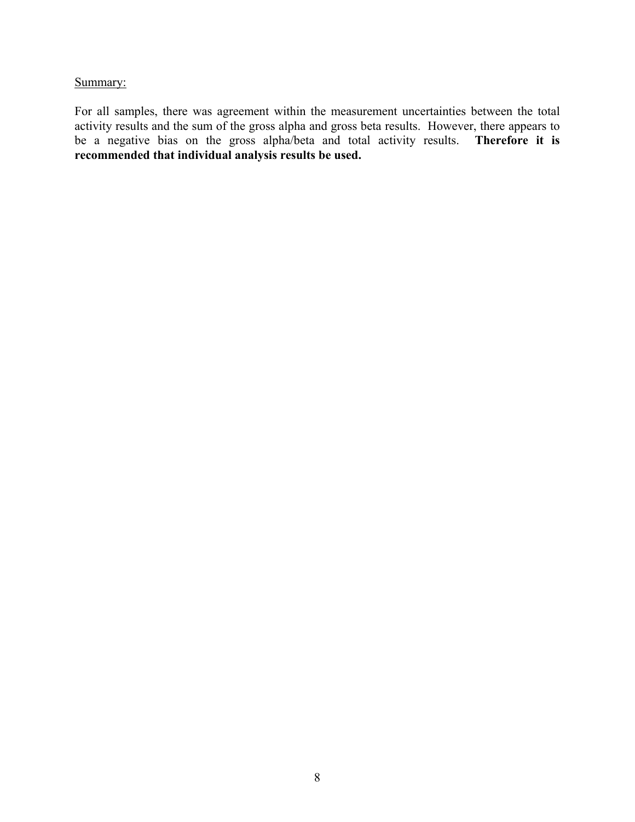## Summary:

For all samples, there was agreement within the measurement uncertainties between the total activity results and the sum of the gross alpha and gross beta results. However, there appears to be a negative bias on the gross alpha/beta and total activity results. **Therefore it is recommended that individual analysis results be used.**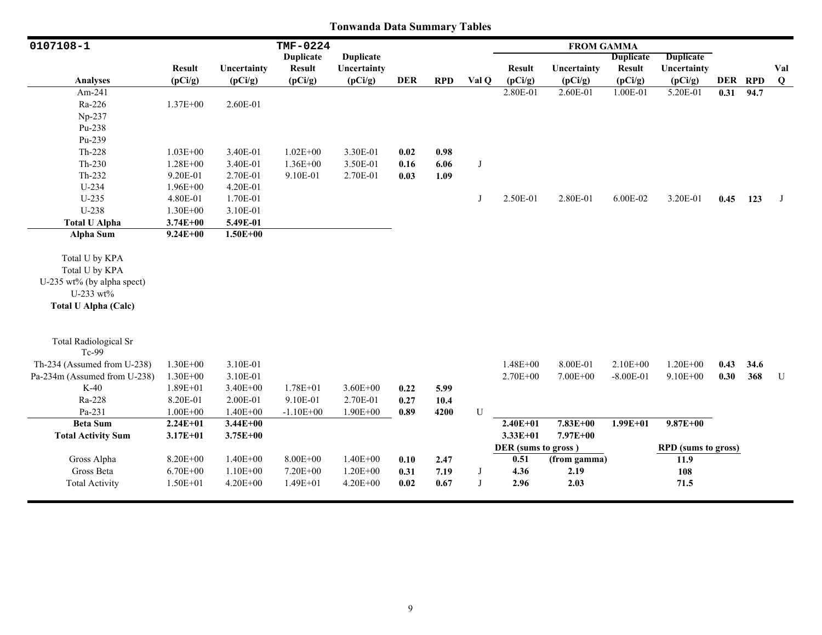| 0107108-1                    |               |              | <b>TMF-0224</b>  |                  |            |            |            |                     | <b>FROM GAMMA</b> |                  |                            |      |         |         |
|------------------------------|---------------|--------------|------------------|------------------|------------|------------|------------|---------------------|-------------------|------------------|----------------------------|------|---------|---------|
|                              |               |              | <b>Duplicate</b> | <b>Duplicate</b> |            |            |            |                     |                   | <b>Duplicate</b> | <b>Duplicate</b>           |      |         |         |
|                              | <b>Result</b> | Uncertainty  | <b>Result</b>    | Uncertainty      |            |            |            | <b>Result</b>       | Uncertainty       | <b>Result</b>    | Uncertainty                |      |         | Val     |
| <b>Analyses</b>              | (pCi/g)       | (pCi/g)      | (pCi/g)          | (pCi/g)          | <b>DER</b> | <b>RPD</b> | Val O      | (pCi/g)             | (pCi/g)           | (pCi/g)          | (pCi/g)                    |      | DER RPD | $\bf Q$ |
| Am-241                       |               |              |                  |                  |            |            |            | 2.80E-01            | 2.60E-01          | 1.00E-01         | 5.20E-01                   | 0.31 | 94.7    |         |
| Ra-226                       | $1.37E + 00$  | 2.60E-01     |                  |                  |            |            |            |                     |                   |                  |                            |      |         |         |
| Np-237                       |               |              |                  |                  |            |            |            |                     |                   |                  |                            |      |         |         |
| $Pu-238$                     |               |              |                  |                  |            |            |            |                     |                   |                  |                            |      |         |         |
| Pu-239                       |               |              |                  |                  |            |            |            |                     |                   |                  |                            |      |         |         |
| Th-228                       | $1.03E + 00$  | 3.40E-01     | $1.02E + 00$     | 3.30E-01         | 0.02       | 0.98       |            |                     |                   |                  |                            |      |         |         |
| $Th-230$                     | 1.28E+00      | 3.40E-01     | $1.36E + 00$     | 3.50E-01         | 0.16       | 6.06       | J          |                     |                   |                  |                            |      |         |         |
| $Th-232$                     | 9.20E-01      | 2.70E-01     | 9.10E-01         | 2.70E-01         | 0.03       | 1.09       |            |                     |                   |                  |                            |      |         |         |
| $U-234$                      | $1.96E + 00$  | 4.20E-01     |                  |                  |            |            |            |                     |                   |                  |                            |      |         |         |
| $U-235$                      | 4.80E-01      | 1.70E-01     |                  |                  |            |            | J          | 2.50E-01            | 2.80E-01          | 6.00E-02         | 3.20E-01                   | 0.45 | 123     | J       |
| U-238                        | 1.30E+00      | 3.10E-01     |                  |                  |            |            |            |                     |                   |                  |                            |      |         |         |
| <b>Total U Alpha</b>         | $3.74E + 00$  | 5.49E-01     |                  |                  |            |            |            |                     |                   |                  |                            |      |         |         |
| <b>Alpha Sum</b>             | $9.24E + 00$  | $1.50E + 00$ |                  |                  |            |            |            |                     |                   |                  |                            |      |         |         |
| Total U by KPA               |               |              |                  |                  |            |            |            |                     |                   |                  |                            |      |         |         |
| Total U by KPA               |               |              |                  |                  |            |            |            |                     |                   |                  |                            |      |         |         |
| U-235 wt% (by alpha spect)   |               |              |                  |                  |            |            |            |                     |                   |                  |                            |      |         |         |
| U-233 wt%                    |               |              |                  |                  |            |            |            |                     |                   |                  |                            |      |         |         |
| <b>Total U Alpha (Calc)</b>  |               |              |                  |                  |            |            |            |                     |                   |                  |                            |      |         |         |
|                              |               |              |                  |                  |            |            |            |                     |                   |                  |                            |      |         |         |
| <b>Total Radiological Sr</b> |               |              |                  |                  |            |            |            |                     |                   |                  |                            |      |         |         |
| Tc-99                        |               |              |                  |                  |            |            |            |                     |                   |                  |                            |      |         |         |
| Th-234 (Assumed from U-238)  | $1.30E + 00$  | 3.10E-01     |                  |                  |            |            |            | $1.48E + 00$        | 8.00E-01          | $2.10E + 00$     | $1.20E + 00$               | 0.43 | 34.6    |         |
| Pa-234m (Assumed from U-238) | $1.30E + 00$  | 3.10E-01     |                  |                  |            |            |            | $2.70E + 00$        | 7.00E+00          | $-8.00E - 01$    | 9.10E+00                   | 0.30 | 368     | U       |
| $K-40$                       | $1.89E + 01$  | 3.40E+00     | 1.78E+01         | $3.60E + 00$     | 0.22       | 5.99       |            |                     |                   |                  |                            |      |         |         |
| Ra-228                       | 8.20E-01      | 2.00E-01     | 9.10E-01         | 2.70E-01         | 0.27       | 10.4       |            |                     |                   |                  |                            |      |         |         |
| Pa-231                       | $1.00E + 00$  | $1.40E + 00$ | $-1.10E + 00$    | $1.90E + 00$     | 0.89       | 4200       | U          |                     |                   |                  |                            |      |         |         |
| <b>Beta Sum</b>              | $2.24E + 01$  | $3.44E + 00$ |                  |                  |            |            |            | $2.40E + 01$        | $7.83E + 00$      | $1.99E + 01$     | $9.87E + 00$               |      |         |         |
| <b>Total Activity Sum</b>    | $3.17E + 01$  | $3.75E + 00$ |                  |                  |            |            |            | $3.33E+01$          | 7.97E+00          |                  |                            |      |         |         |
|                              |               |              |                  |                  |            |            |            | DER (sums to gross) |                   |                  | <b>RPD</b> (sums to gross) |      |         |         |
| Gross Alpha                  | 8.20E+00      | $1.40E + 00$ | 8.00E+00         | $1.40E + 00$     | 0.10       | 2.47       |            | 0.51                | (from gamma)      |                  | 11.9                       |      |         |         |
| Gross Beta                   | $6.70E + 00$  | $1.10E + 00$ | 7.20E+00         | $1.20E + 00$     | 0.31       | 7.19       | $_{\rm J}$ | 4.36                | 2.19              |                  | 108                        |      |         |         |
| <b>Total Activity</b>        | $1.50E + 01$  | $4.20E + 00$ | $1.49E + 01$     | $4.20E + 00$     | 0.02       | 0.67       | $_{\rm J}$ | 2.96                | 2.03              |                  | 71.5                       |      |         |         |
|                              |               |              |                  |                  |            |            |            |                     |                   |                  |                            |      |         |         |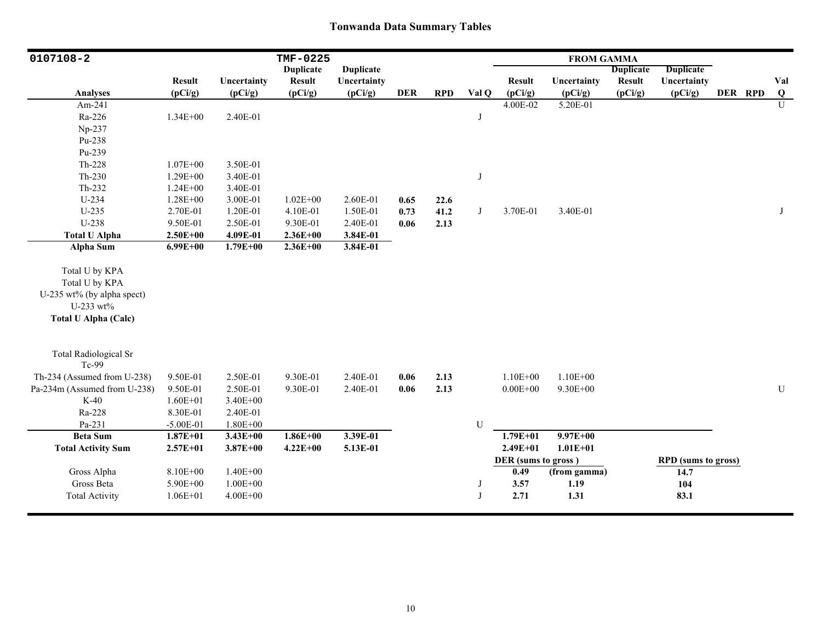| 0107108-2                                                                                                  |               |              | TMF-0225         |                  |            |            |           |                     | <b>FROM GAMMA</b> |                  |                            |         |                |
|------------------------------------------------------------------------------------------------------------|---------------|--------------|------------------|------------------|------------|------------|-----------|---------------------|-------------------|------------------|----------------------------|---------|----------------|
|                                                                                                            |               |              | <b>Duplicate</b> | <b>Duplicate</b> |            |            |           |                     |                   | <b>Duplicate</b> | <b>Duplicate</b>           |         |                |
|                                                                                                            | <b>Result</b> | Uncertainty  | <b>Result</b>    | Uncertainty      |            |            |           | <b>Result</b>       | Uncertainty       | <b>Result</b>    | Uncertainty                |         | Val            |
| <b>Analyses</b>                                                                                            | (pCi/g)       | (pCi/g)      | (pCi/g)          | (pCi/g)          | <b>DER</b> | <b>RPD</b> | Val Q     | (pCi/g)             | (pCi/g)           | (pCi/g)          | (pCi/g)                    | DER RPD | $\bf{Q}$       |
| Am-241                                                                                                     |               |              |                  |                  |            |            |           | 4.00E-02            | 5.20E-01          |                  |                            |         | $\overline{U}$ |
| Ra-226                                                                                                     | $1.34E + 00$  | 2.40E-01     |                  |                  |            |            | J         |                     |                   |                  |                            |         |                |
| Np-237                                                                                                     |               |              |                  |                  |            |            |           |                     |                   |                  |                            |         |                |
| Pu-238                                                                                                     |               |              |                  |                  |            |            |           |                     |                   |                  |                            |         |                |
| Pu-239                                                                                                     |               |              |                  |                  |            |            |           |                     |                   |                  |                            |         |                |
| Th-228                                                                                                     | $1.07E + 00$  | 3.50E-01     |                  |                  |            |            |           |                     |                   |                  |                            |         |                |
| Th-230                                                                                                     | 1.29E+00      | 3.40E-01     |                  |                  |            |            | J         |                     |                   |                  |                            |         |                |
| Th-232                                                                                                     | $1.24E + 00$  | 3.40E-01     |                  |                  |            |            |           |                     |                   |                  |                            |         |                |
| U-234                                                                                                      | 1.28E+00      | 3.00E-01     | $1.02E + 00$     | 2.60E-01         | 0.65       | 22.6       |           |                     |                   |                  |                            |         |                |
| $U-235$                                                                                                    | 2.70E-01      | 1.20E-01     | 4.10E-01         | 1.50E-01         | 0.73       | 41.2       | J         | 3.70E-01            | 3.40E-01          |                  |                            |         | J              |
| U-238                                                                                                      | 9.50E-01      | 2.50E-01     | 9.30E-01         | 2.40E-01         | 0.06       | 2.13       |           |                     |                   |                  |                            |         |                |
| <b>Total U Alpha</b>                                                                                       | $2.50E + 00$  | 4.09E-01     | $2.36E + 00$     | 3.84E-01         |            |            |           |                     |                   |                  |                            |         |                |
| Alpha Sum                                                                                                  | $6.99E + 00$  | $1.79E + 00$ | $2.36E + 00$     | 3.84E-01         |            |            |           |                     |                   |                  |                            |         |                |
| Total U by KPA<br>Total U by KPA<br>U-235 wt% (by alpha spect)<br>U-233 wt%<br><b>Total U Alpha (Calc)</b> |               |              |                  |                  |            |            |           |                     |                   |                  |                            |         |                |
| <b>Total Radiological Sr</b><br>Tc-99                                                                      |               |              |                  |                  |            |            |           |                     |                   |                  |                            |         |                |
| Th-234 (Assumed from U-238)                                                                                | 9.50E-01      | 2.50E-01     | 9.30E-01         | 2.40E-01         | 0.06       | 2.13       |           | $1.10E + 00$        | $1.10E + 00$      |                  |                            |         |                |
| Pa-234m (Assumed from U-238)                                                                               | 9.50E-01      | 2.50E-01     | 9.30E-01         | 2.40E-01         | 0.06       | 2.13       |           | $0.00E + 00$        | 9.30E+00          |                  |                            |         | ${\bf U}$      |
| $K-40$                                                                                                     | $1.60E + 01$  | 3.40E+00     |                  |                  |            |            |           |                     |                   |                  |                            |         |                |
| Ra-228                                                                                                     | 8.30E-01      | 2.40E-01     |                  |                  |            |            |           |                     |                   |                  |                            |         |                |
| Pa-231                                                                                                     | $-5.00E-01$   | $1.80E + 00$ |                  |                  |            |            | ${\bf U}$ |                     |                   |                  |                            |         |                |
| <b>Beta Sum</b>                                                                                            | $1.87E + 01$  | $3.43E + 00$ | $1.86E + 00$     | 3.39E-01         |            |            |           | $1.79E + 01$        | $9.97E + 00$      |                  |                            |         |                |
| <b>Total Activity Sum</b>                                                                                  | $2.57E + 01$  | $3.87E + 00$ | $4.22E + 00$     | 5.13E-01         |            |            |           | $2.49E + 01$        | $1.01E + 01$      |                  |                            |         |                |
|                                                                                                            |               |              |                  |                  |            |            |           | DER (sums to gross) |                   |                  | <b>RPD</b> (sums to gross) |         |                |
| Gross Alpha                                                                                                | 8.10E+00      | $1.40E + 00$ |                  |                  |            |            |           | 0.49                | (from gamma)      |                  | 14.7                       |         |                |
| Gross Beta                                                                                                 | 5.90E+00      | $1.00E + 00$ |                  |                  |            |            | J         | 3.57                | 1.19              |                  | 104                        |         |                |
| <b>Total Activity</b>                                                                                      | $1.06E + 01$  | $4.00E + 00$ |                  |                  |            |            | J         | 2.71                | 1.31              |                  | 83.1                       |         |                |
|                                                                                                            |               |              |                  |                  |            |            |           |                     |                   |                  |                            |         |                |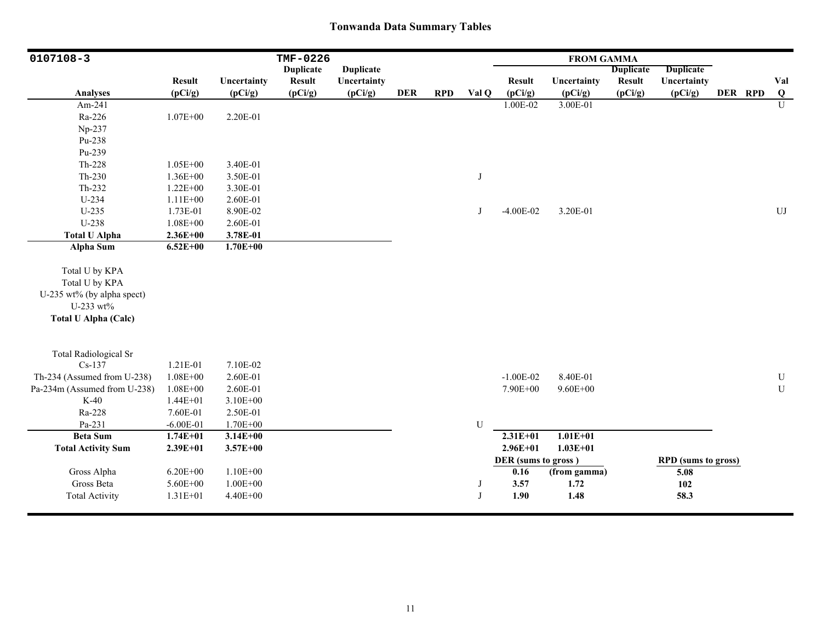| 0107108-3                                                                                                  |               |              | TMF-0226         |                  |            |            |           |                     | <b>FROM GAMMA</b> |                  |                            |         |                |
|------------------------------------------------------------------------------------------------------------|---------------|--------------|------------------|------------------|------------|------------|-----------|---------------------|-------------------|------------------|----------------------------|---------|----------------|
|                                                                                                            |               |              | <b>Duplicate</b> | <b>Duplicate</b> |            |            |           |                     |                   | <b>Duplicate</b> | <b>Duplicate</b>           |         |                |
|                                                                                                            | <b>Result</b> | Uncertainty  | <b>Result</b>    | Uncertainty      |            |            |           | <b>Result</b>       | Uncertainty       | <b>Result</b>    | Uncertainty                |         | Val            |
| <b>Analyses</b>                                                                                            | (pCi/g)       | (pCi/g)      | (pCi/g)          | (pCi/g)          | <b>DER</b> | <b>RPD</b> | Val Q     | (pCi/g)             | (pCi/g)           | (pCi/g)          | (pCi/g)                    | DER RPD | Q              |
| Am-241                                                                                                     |               |              |                  |                  |            |            |           | 1.00E-02            | 3.00E-01          |                  |                            |         | $\overline{U}$ |
| Ra-226                                                                                                     | $1.07E + 00$  | 2.20E-01     |                  |                  |            |            |           |                     |                   |                  |                            |         |                |
| Np-237                                                                                                     |               |              |                  |                  |            |            |           |                     |                   |                  |                            |         |                |
| Pu-238                                                                                                     |               |              |                  |                  |            |            |           |                     |                   |                  |                            |         |                |
| Pu-239                                                                                                     |               |              |                  |                  |            |            |           |                     |                   |                  |                            |         |                |
| Th-228                                                                                                     | $1.05E + 00$  | 3.40E-01     |                  |                  |            |            |           |                     |                   |                  |                            |         |                |
| Th-230                                                                                                     | $1.36E + 00$  | 3.50E-01     |                  |                  |            |            | J         |                     |                   |                  |                            |         |                |
| Th-232                                                                                                     | $1.22E + 00$  | 3.30E-01     |                  |                  |            |            |           |                     |                   |                  |                            |         |                |
| $U-234$                                                                                                    | $1.11E+00$    | 2.60E-01     |                  |                  |            |            |           |                     |                   |                  |                            |         |                |
| $U-235$                                                                                                    | 1.73E-01      | 8.90E-02     |                  |                  |            |            | J         | $-4.00E-02$         | 3.20E-01          |                  |                            |         | UJ             |
| U-238                                                                                                      | $1.08E + 00$  | 2.60E-01     |                  |                  |            |            |           |                     |                   |                  |                            |         |                |
| <b>Total U Alpha</b>                                                                                       | $2.36E + 00$  | 3.78E-01     |                  |                  |            |            |           |                     |                   |                  |                            |         |                |
| Alpha Sum                                                                                                  | $6.52E + 00$  | $1.70E + 00$ |                  |                  |            |            |           |                     |                   |                  |                            |         |                |
| Total U by KPA<br>Total U by KPA<br>U-235 wt% (by alpha spect)<br>U-233 wt%<br><b>Total U Alpha (Calc)</b> |               |              |                  |                  |            |            |           |                     |                   |                  |                            |         |                |
| <b>Total Radiological Sr</b>                                                                               |               |              |                  |                  |            |            |           |                     |                   |                  |                            |         |                |
| $Cs-137$                                                                                                   | 1.21E-01      | 7.10E-02     |                  |                  |            |            |           |                     |                   |                  |                            |         |                |
| Th-234 (Assumed from U-238)                                                                                | $1.08E + 00$  | 2.60E-01     |                  |                  |            |            |           | $-1.00E-02$         | 8.40E-01          |                  |                            |         | U              |
| Pa-234m (Assumed from U-238)                                                                               | $1.08E + 00$  | 2.60E-01     |                  |                  |            |            |           | 7.90E+00            | $9.60E + 00$      |                  |                            |         | ${\bf U}$      |
| $K-40$                                                                                                     | $1.44E + 01$  | $3.10E + 00$ |                  |                  |            |            |           |                     |                   |                  |                            |         |                |
| Ra-228                                                                                                     | 7.60E-01      | 2.50E-01     |                  |                  |            |            |           |                     |                   |                  |                            |         |                |
| Pa-231                                                                                                     | $-6.00E-01$   | $1.70E + 00$ |                  |                  |            |            | ${\bf U}$ |                     |                   |                  |                            |         |                |
| <b>Beta Sum</b>                                                                                            | $1.74E + 01$  | $3.14E + 00$ |                  |                  |            |            |           | $2.31E+01$          | $1.01E + 01$      |                  |                            |         |                |
| <b>Total Activity Sum</b>                                                                                  | $2.39E + 01$  | $3.57E + 00$ |                  |                  |            |            |           | $2.96E + 01$        | $1.03E + 01$      |                  |                            |         |                |
|                                                                                                            |               |              |                  |                  |            |            |           | DER (sums to gross) |                   |                  | <b>RPD</b> (sums to gross) |         |                |
| Gross Alpha                                                                                                | $6.20E + 00$  | $1.10E + 00$ |                  |                  |            |            |           | 0.16                | (from gamma)      |                  | 5.08                       |         |                |
| Gross Beta                                                                                                 | 5.60E+00      | $1.00E + 00$ |                  |                  |            |            | J         | 3.57                | 1.72              |                  | 102                        |         |                |
| <b>Total Activity</b>                                                                                      | $1.31E + 01$  | 4.40E+00     |                  |                  |            |            | J         | 1.90                | 1.48              |                  | 58.3                       |         |                |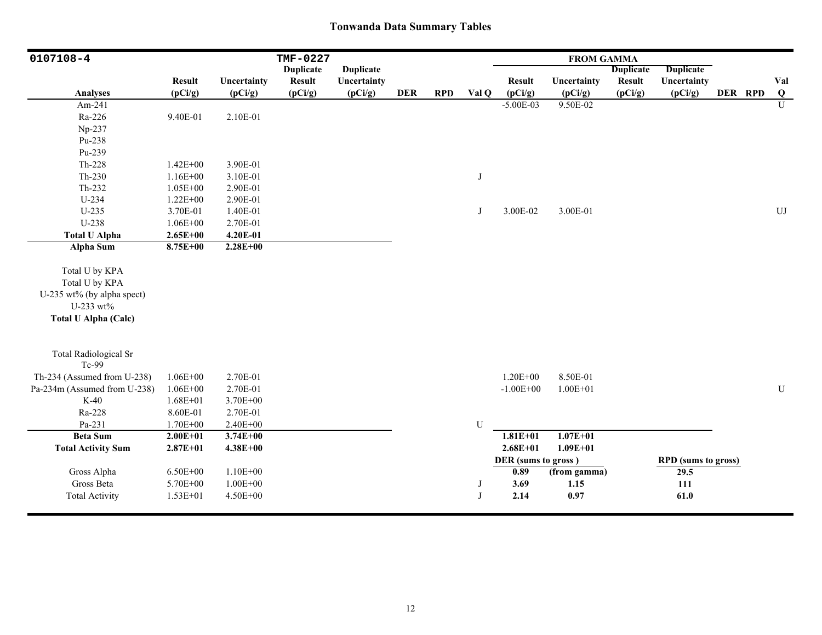| 0107108-4                                                                                                  |                                                                          |                                                              | TMF-0227         |                  |            |            |        |                                             | <b>FROM GAMMA</b>            |                  |                                                   |         |                |
|------------------------------------------------------------------------------------------------------------|--------------------------------------------------------------------------|--------------------------------------------------------------|------------------|------------------|------------|------------|--------|---------------------------------------------|------------------------------|------------------|---------------------------------------------------|---------|----------------|
|                                                                                                            |                                                                          |                                                              | <b>Duplicate</b> | <b>Duplicate</b> |            |            |        |                                             |                              | <b>Duplicate</b> | <b>Duplicate</b>                                  |         |                |
|                                                                                                            | <b>Result</b>                                                            | Uncertainty                                                  | <b>Result</b>    | Uncertainty      |            |            |        | <b>Result</b>                               | Uncertainty                  | <b>Result</b>    | Uncertainty                                       |         | Val            |
| <b>Analyses</b>                                                                                            | (pCi/g)                                                                  | (pCi/g)                                                      | (pCi/g)          | (pCi/g)          | <b>DER</b> | <b>RPD</b> | Val Q  | (pCi/g)                                     | (pCi/g)                      | (pCi/g)          | (pCi/g)                                           | DER RPD | Q              |
| Am-241                                                                                                     |                                                                          |                                                              |                  |                  |            |            |        | $-5.00E-03$                                 | $9.50E - 02$                 |                  |                                                   |         | $\overline{U}$ |
| Ra-226                                                                                                     | 9.40E-01                                                                 | 2.10E-01                                                     |                  |                  |            |            |        |                                             |                              |                  |                                                   |         |                |
| Np-237                                                                                                     |                                                                          |                                                              |                  |                  |            |            |        |                                             |                              |                  |                                                   |         |                |
| Pu-238                                                                                                     |                                                                          |                                                              |                  |                  |            |            |        |                                             |                              |                  |                                                   |         |                |
| Pu-239                                                                                                     |                                                                          |                                                              |                  |                  |            |            |        |                                             |                              |                  |                                                   |         |                |
| Th-228                                                                                                     | $1.42E + 00$                                                             | 3.90E-01                                                     |                  |                  |            |            |        |                                             |                              |                  |                                                   |         |                |
| Th-230                                                                                                     | $1.16E + 00$                                                             | 3.10E-01                                                     |                  |                  |            |            | J      |                                             |                              |                  |                                                   |         |                |
| Th-232                                                                                                     | $1.05E + 00$                                                             | 2.90E-01                                                     |                  |                  |            |            |        |                                             |                              |                  |                                                   |         |                |
| $U-234$                                                                                                    | $1.22E + 00$                                                             | 2.90E-01                                                     |                  |                  |            |            |        |                                             |                              |                  |                                                   |         |                |
| $U-235$                                                                                                    | 3.70E-01                                                                 | 1.40E-01                                                     |                  |                  |            |            | J      | 3.00E-02                                    | 3.00E-01                     |                  |                                                   |         | UJ             |
| U-238                                                                                                      | $1.06E + 00$                                                             | 2.70E-01                                                     |                  |                  |            |            |        |                                             |                              |                  |                                                   |         |                |
| <b>Total U Alpha</b>                                                                                       | $2.65E + 00$                                                             | 4.20E-01                                                     |                  |                  |            |            |        |                                             |                              |                  |                                                   |         |                |
| Alpha Sum                                                                                                  | 8.75E+00                                                                 | $2.28E+00$                                                   |                  |                  |            |            |        |                                             |                              |                  |                                                   |         |                |
| Total U by KPA<br>Total U by KPA<br>U-235 wt% (by alpha spect)<br>U-233 wt%<br><b>Total U Alpha (Calc)</b> |                                                                          |                                                              |                  |                  |            |            |        |                                             |                              |                  |                                                   |         |                |
| <b>Total Radiological Sr</b><br>Tc-99                                                                      |                                                                          |                                                              |                  |                  |            |            |        |                                             |                              |                  |                                                   |         |                |
| Th-234 (Assumed from U-238)<br>Pa-234m (Assumed from U-238)<br>$K-40$<br>Ra-228<br>Pa-231                  | $1.06E + 00$<br>$1.06E + 00$<br>$1.68E + 01$<br>8.60E-01<br>$1.70E + 00$ | 2.70E-01<br>2.70E-01<br>3.70E+00<br>2.70E-01<br>$2.40E + 00$ |                  |                  |            |            | U      | $1.20E + 00$<br>$-1.00E + 00$               | 8.50E-01<br>$1.00E + 01$     |                  |                                                   |         | ${\bf U}$      |
| <b>Beta Sum</b>                                                                                            | $2.00E + 01$                                                             | $3.74E + 00$                                                 |                  |                  |            |            |        | $1.81E + 01$                                | $1.07E + 01$                 |                  |                                                   |         |                |
| <b>Total Activity Sum</b>                                                                                  | $2.87E + 01$                                                             | $4.38E + 00$                                                 |                  |                  |            |            |        | $2.68E + 01$                                | $1.09E + 01$                 |                  |                                                   |         |                |
| Gross Alpha<br>Gross Beta<br><b>Total Activity</b>                                                         | $6.50E + 00$<br>5.70E+00<br>$1.53E + 01$                                 | $1.10E + 00$<br>$1.00E + 00$<br>4.50E+00                     |                  |                  |            |            | J<br>J | DER (sums to gross)<br>0.89<br>3.69<br>2.14 | (from gamma)<br>1.15<br>0.97 |                  | <b>RPD</b> (sums to gross)<br>29.5<br>111<br>61.0 |         |                |
|                                                                                                            |                                                                          |                                                              |                  |                  |            |            |        |                                             |                              |                  |                                                   |         |                |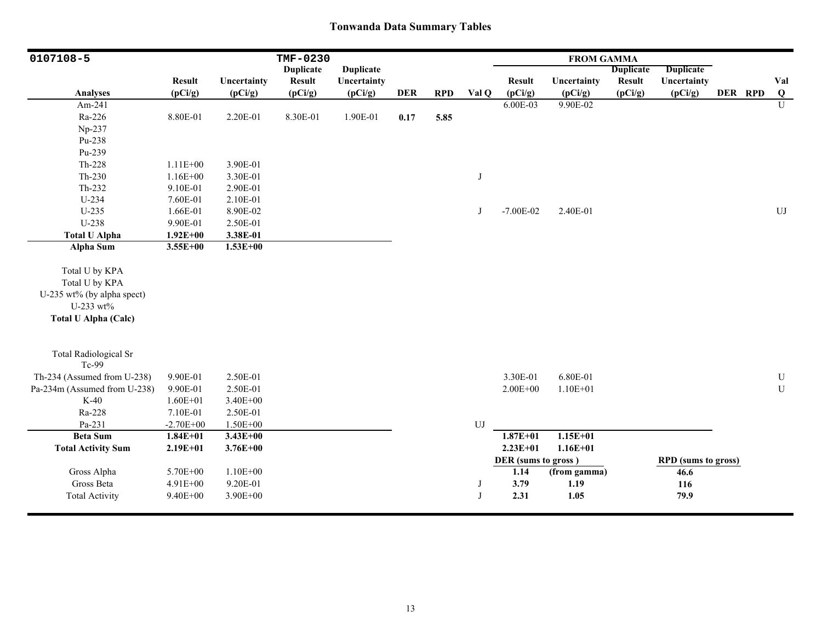| 0107108-5                                                                                                  |               |              | TMF-0230         |                  |            |            |            |                     | <b>FROM GAMMA</b> |                  |                            |         |             |
|------------------------------------------------------------------------------------------------------------|---------------|--------------|------------------|------------------|------------|------------|------------|---------------------|-------------------|------------------|----------------------------|---------|-------------|
|                                                                                                            |               |              | <b>Duplicate</b> | <b>Duplicate</b> |            |            |            |                     |                   | <b>Duplicate</b> | Duplicate                  |         |             |
|                                                                                                            | <b>Result</b> | Uncertainty  | <b>Result</b>    | Uncertainty      |            |            |            | <b>Result</b>       | Uncertainty       | <b>Result</b>    | Uncertainty                |         | Val         |
| <b>Analyses</b>                                                                                            | (pCi/g)       | (pCi/g)      | (pCi/g)          | (pCi/g)          | <b>DER</b> | <b>RPD</b> | Val Q      | (pCi/g)             | (pCi/g)           | (pCi/g)          | (pCi/g)                    | DER RPD | Q           |
| Am-241                                                                                                     |               |              |                  |                  |            |            |            | 6.00E-03            | 9.90E-02          |                  |                            |         | U           |
| Ra-226                                                                                                     | 8.80E-01      | 2.20E-01     | 8.30E-01         | 1.90E-01         | 0.17       | 5.85       |            |                     |                   |                  |                            |         |             |
| Np-237                                                                                                     |               |              |                  |                  |            |            |            |                     |                   |                  |                            |         |             |
| Pu-238                                                                                                     |               |              |                  |                  |            |            |            |                     |                   |                  |                            |         |             |
| Pu-239                                                                                                     |               |              |                  |                  |            |            |            |                     |                   |                  |                            |         |             |
| Th-228                                                                                                     | $1.11E + 00$  | 3.90E-01     |                  |                  |            |            |            |                     |                   |                  |                            |         |             |
| Th-230                                                                                                     | $1.16E + 00$  | 3.30E-01     |                  |                  |            |            | J          |                     |                   |                  |                            |         |             |
| Th-232                                                                                                     | 9.10E-01      | 2.90E-01     |                  |                  |            |            |            |                     |                   |                  |                            |         |             |
| U-234                                                                                                      | 7.60E-01      | 2.10E-01     |                  |                  |            |            |            |                     |                   |                  |                            |         |             |
| $U-235$                                                                                                    | 1.66E-01      | 8.90E-02     |                  |                  |            |            | J          | $-7.00E - 02$       | 2.40E-01          |                  |                            |         | ${\rm UJ}$  |
| U-238                                                                                                      | 9.90E-01      | 2.50E-01     |                  |                  |            |            |            |                     |                   |                  |                            |         |             |
| <b>Total U Alpha</b>                                                                                       | $1.92E + 00$  | 3.38E-01     |                  |                  |            |            |            |                     |                   |                  |                            |         |             |
| Alpha Sum                                                                                                  | $3.55E+00$    | $1.53E+00$   |                  |                  |            |            |            |                     |                   |                  |                            |         |             |
| Total U by KPA<br>Total U by KPA<br>U-235 wt% (by alpha spect)<br>U-233 wt%<br><b>Total U Alpha (Calc)</b> |               |              |                  |                  |            |            |            |                     |                   |                  |                            |         |             |
| <b>Total Radiological Sr</b><br>Tc-99                                                                      |               |              |                  |                  |            |            |            |                     |                   |                  |                            |         |             |
| Th-234 (Assumed from U-238)                                                                                | 9.90E-01      | 2.50E-01     |                  |                  |            |            |            | 3.30E-01            | 6.80E-01          |                  |                            |         | U           |
| Pa-234m (Assumed from U-238)                                                                               | 9.90E-01      | 2.50E-01     |                  |                  |            |            |            | $2.00E + 00$        | $1.10E + 01$      |                  |                            |         | $\mathbf U$ |
| $K-40$                                                                                                     | $1.60E + 01$  | 3.40E+00     |                  |                  |            |            |            |                     |                   |                  |                            |         |             |
| Ra-228                                                                                                     | 7.10E-01      | 2.50E-01     |                  |                  |            |            |            |                     |                   |                  |                            |         |             |
| Pa-231                                                                                                     | $-2.70E + 00$ | 1.50E+00     |                  |                  |            |            | UJ         |                     |                   |                  |                            |         |             |
| <b>Beta Sum</b>                                                                                            | $1.84E + 01$  | $3.43E+00$   |                  |                  |            |            |            | $1.87E + 01$        | $1.15E + 01$      |                  |                            |         |             |
| <b>Total Activity Sum</b>                                                                                  | $2.19E + 01$  | $3.76E + 00$ |                  |                  |            |            |            | $2.23E+01$          | $1.16E + 01$      |                  |                            |         |             |
|                                                                                                            |               |              |                  |                  |            |            |            | DER (sums to gross) |                   |                  | <b>RPD</b> (sums to gross) |         |             |
| Gross Alpha                                                                                                | 5.70E+00      | $1.10E + 00$ |                  |                  |            |            |            | 1.14                | (from gamma)      |                  | 46.6                       |         |             |
| Gross Beta                                                                                                 | $4.91E + 00$  | 9.20E-01     |                  |                  |            |            | J          | 3.79                | 1.19              |                  | 116                        |         |             |
| <b>Total Activity</b>                                                                                      | 9.40E+00      | 3.90E+00     |                  |                  |            |            | $_{\rm J}$ | 2.31                | 1.05              |                  | 79.9                       |         |             |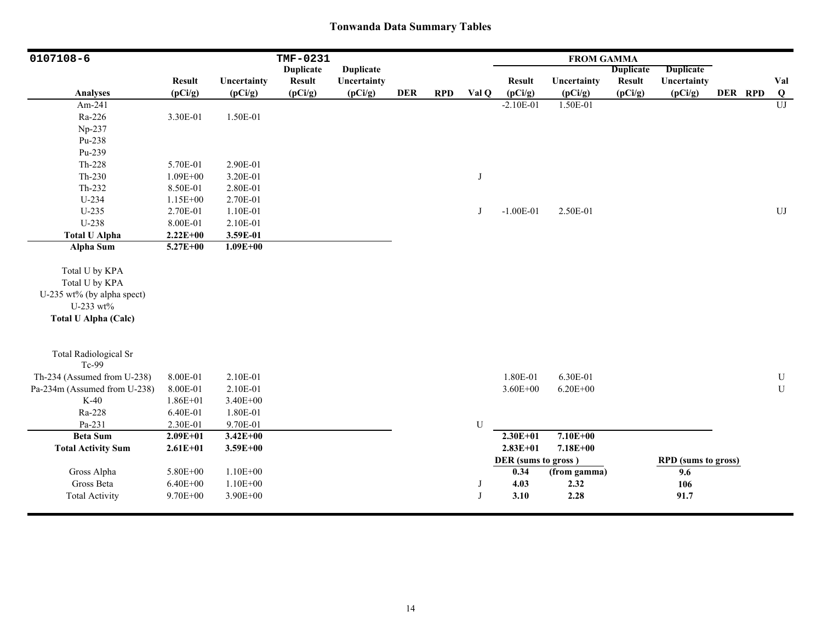| 0107108-6                                                                                                  |               |              | TMF-0231         |                  |            |            |            |                     | <b>FROM GAMMA</b> |                  |                            |         |                |
|------------------------------------------------------------------------------------------------------------|---------------|--------------|------------------|------------------|------------|------------|------------|---------------------|-------------------|------------------|----------------------------|---------|----------------|
|                                                                                                            |               |              | <b>Duplicate</b> | <b>Duplicate</b> |            |            |            |                     |                   | <b>Duplicate</b> | <b>Duplicate</b>           |         |                |
|                                                                                                            | <b>Result</b> | Uncertainty  | <b>Result</b>    | Uncertainty      |            |            |            | <b>Result</b>       | Uncertainty       | <b>Result</b>    | Uncertainty                |         | Val            |
| <b>Analyses</b>                                                                                            | (pCi/g)       | (pCi/g)      | (pCi/g)          | (pCi/g)          | <b>DER</b> | <b>RPD</b> | Val Q      | (pCi/g)             | (pCi/g)           | (pCi/g)          | (pCi/g)                    | DER RPD | $\overline{Q}$ |
| Am-241                                                                                                     |               |              |                  |                  |            |            |            | $-2.10E-01$         | 1.50E-01          |                  |                            |         | U              |
| Ra-226                                                                                                     | 3.30E-01      | 1.50E-01     |                  |                  |            |            |            |                     |                   |                  |                            |         |                |
| Np-237                                                                                                     |               |              |                  |                  |            |            |            |                     |                   |                  |                            |         |                |
| Pu-238                                                                                                     |               |              |                  |                  |            |            |            |                     |                   |                  |                            |         |                |
| Pu-239                                                                                                     |               |              |                  |                  |            |            |            |                     |                   |                  |                            |         |                |
| Th-228                                                                                                     | 5.70E-01      | 2.90E-01     |                  |                  |            |            |            |                     |                   |                  |                            |         |                |
| Th-230                                                                                                     | $1.09E + 00$  | 3.20E-01     |                  |                  |            |            | $_{\rm J}$ |                     |                   |                  |                            |         |                |
| Th-232                                                                                                     | 8.50E-01      | 2.80E-01     |                  |                  |            |            |            |                     |                   |                  |                            |         |                |
| U-234                                                                                                      | 1.15E+00      | 2.70E-01     |                  |                  |            |            |            |                     |                   |                  |                            |         |                |
| $U-235$                                                                                                    | 2.70E-01      | 1.10E-01     |                  |                  |            |            | J          | $-1.00E-01$         | 2.50E-01          |                  |                            |         | ${\rm UJ}$     |
| U-238                                                                                                      | 8.00E-01      | 2.10E-01     |                  |                  |            |            |            |                     |                   |                  |                            |         |                |
| <b>Total U Alpha</b>                                                                                       | $2.22E+00$    | 3.59E-01     |                  |                  |            |            |            |                     |                   |                  |                            |         |                |
| Alpha Sum                                                                                                  | 5.27E+00      | $1.09E + 00$ |                  |                  |            |            |            |                     |                   |                  |                            |         |                |
| Total U by KPA<br>Total U by KPA<br>U-235 wt% (by alpha spect)<br>U-233 wt%<br><b>Total U Alpha (Calc)</b> |               |              |                  |                  |            |            |            |                     |                   |                  |                            |         |                |
| <b>Total Radiological Sr</b><br>Tc-99                                                                      |               |              |                  |                  |            |            |            |                     |                   |                  |                            |         |                |
| Th-234 (Assumed from U-238)                                                                                | 8.00E-01      | 2.10E-01     |                  |                  |            |            |            | 1.80E-01            | 6.30E-01          |                  |                            |         | ${\bf U}$      |
| Pa-234m (Assumed from U-238)                                                                               | 8.00E-01      | 2.10E-01     |                  |                  |            |            |            | $3.60E + 00$        | $6.20E + 00$      |                  |                            |         | ${\bf U}$      |
| $K-40$                                                                                                     | $1.86E + 01$  | 3.40E+00     |                  |                  |            |            |            |                     |                   |                  |                            |         |                |
| Ra-228                                                                                                     | 6.40E-01      | 1.80E-01     |                  |                  |            |            |            |                     |                   |                  |                            |         |                |
| Pa-231                                                                                                     | 2.30E-01      | 9.70E-01     |                  |                  |            |            | U          |                     |                   |                  |                            |         |                |
| <b>Beta Sum</b>                                                                                            | $2.09E + 01$  | $3.42E + 00$ |                  |                  |            |            |            | $2.30E + 01$        | $7.10E + 00$      |                  |                            |         |                |
| <b>Total Activity Sum</b>                                                                                  | $2.61E + 01$  | $3.59E + 00$ |                  |                  |            |            |            | $2.83E+01$          | $7.18E + 00$      |                  |                            |         |                |
|                                                                                                            |               |              |                  |                  |            |            |            | DER (sums to gross) |                   |                  | <b>RPD</b> (sums to gross) |         |                |
| Gross Alpha                                                                                                | 5.80E+00      | $1.10E + 00$ |                  |                  |            |            |            | 0.34                | (from gamma)      |                  | 9.6                        |         |                |
| Gross Beta                                                                                                 | $6.40E + 00$  | $1.10E + 00$ |                  |                  |            |            | J          | 4.03                | 2.32              |                  | 106                        |         |                |
| <b>Total Activity</b>                                                                                      | 9.70E+00      | 3.90E+00     |                  |                  |            |            | $_{\rm J}$ | 3.10                | 2.28              |                  | 91.7                       |         |                |
|                                                                                                            |               |              |                  |                  |            |            |            |                     |                   |                  |                            |         |                |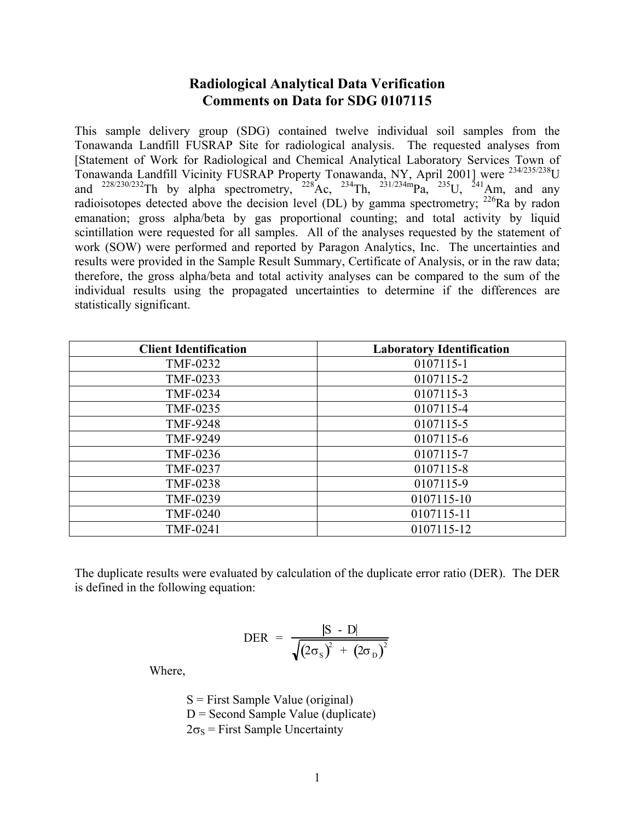# **Radiological Analytical Data Verification Comments on Data for SDG 0107115**

This sample delivery group (SDG) contained twelve individual soil samples from the Tonawanda Landfill FUSRAP Site for radiological analysis. The requested analyses from [Statement of Work for Radiological and Chemical Analytical Laboratory Services Town of Tonawanda Landfill Vicinity FUSRAP Property Tonawanda, NY, April 2001] were 234/235/238U and  $^{228/230/232}$ Th by alpha spectrometry,  $^{228}$ Ac,  $^{234}$ Th,  $^{231/234m}$ Pa,  $^{235}$ U,  $^{241}$ Am, and any radioisotopes detected above the decision level (DL) by gamma spectrometry;  $^{226}$ Ra by radon emanation; gross alpha/beta by gas proportional counting; and total activity by liquid scintillation were requested for all samples. All of the analyses requested by the statement of work (SOW) were performed and reported by Paragon Analytics, Inc. The uncertainties and results were provided in the Sample Result Summary, Certificate of Analysis, or in the raw data; therefore, the gross alpha/beta and total activity analyses can be compared to the sum of the individual results using the propagated uncertainties to determine if the differences are statistically significant.

| <b>Client Identification</b> | <b>Laboratory Identification</b> |
|------------------------------|----------------------------------|
| TMF-0232                     | 0107115-1                        |
| TMF-0233                     | 0107115-2                        |
| <b>TMF-0234</b>              | 0107115-3                        |
| TMF-0235                     | 0107115-4                        |
| <b>TMF-9248</b>              | 0107115-5                        |
| <b>TMF-9249</b>              | 0107115-6                        |
| TMF-0236                     | 0107115-7                        |
| TMF-0237                     | 0107115-8                        |
| <b>TMF-0238</b>              | 0107115-9                        |
| TMF-0239                     | 0107115-10                       |
| <b>TMF-0240</b>              | 0107115-11                       |
| TMF-0241                     | 0107115-12                       |

The duplicate results were evaluated by calculation of the duplicate error ratio (DER). The DER is defined in the following equation:

$$
\text{DER} = \frac{|\text{S} - \text{D}|}{\sqrt{(2\sigma_{\text{S}})^{2} + (2\sigma_{\text{D}})^{2}}}
$$

Where,

 $S =$  First Sample Value (original)  $D =$  Second Sample Value (duplicate)  $2\sigma_s$  = First Sample Uncertainty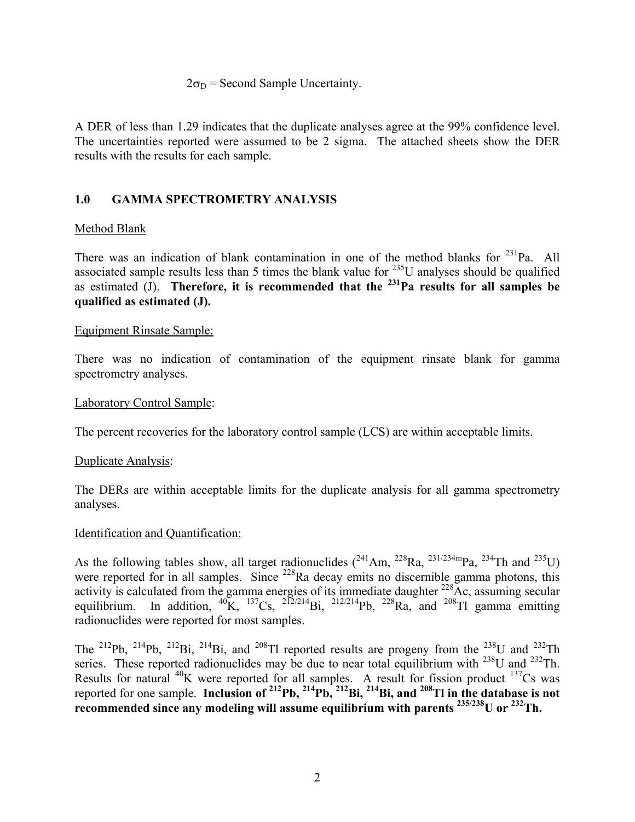#### $2\sigma_D$  = Second Sample Uncertainty.

A DER of less than 1.29 indicates that the duplicate analyses agree at the 99% confidence level. The uncertainties reported were assumed to be 2 sigma. The attached sheets show the DER results with the results for each sample.

# **1.0 GAMMA SPECTROMETRY ANALYSIS**

# Method Blank

There was an indication of blank contamination in one of the method blanks for  $^{231}$ Pa. All associated sample results less than 5 times the blank value for  $^{235}$ U analyses should be qualified as estimated (J). **Therefore, it is recommended that the 231Pa results for all samples be qualified as estimated (J).** 

### Equipment Rinsate Sample:

There was no indication of contamination of the equipment rinsate blank for gamma spectrometry analyses.

### Laboratory Control Sample:

The percent recoveries for the laboratory control sample (LCS) are within acceptable limits.

### Duplicate Analysis:

The DERs are within acceptable limits for the duplicate analysis for all gamma spectrometry analyses.

### Identification and Quantification:

As the following tables show, all target radionuclides  $(^{241}Am, ^{228}Ra, ^{231/234m}Pa, ^{234}Th$  and  $^{235}U)$ were reported for in all samples. Since  $^{228}$ Ra decay emits no discernible gamma photons, this activity is calculated from the gamma energies of its immediate daughter  $^{228}$ Ac, assuming secular equilibrium. In addition,  ${}^{40}$ K,  ${}^{137}Cs$ ,  ${}^{212/214}Bi$ ,  ${}^{212/214}Pb$ ,  ${}^{228}Ra$ , and  ${}^{208}Tl$  gamma emitting radionuclides were reported for most samples.

The <sup>212</sup>Pb, <sup>214</sup>Pb, <sup>212</sup>Bi, <sup>214</sup>Bi, and <sup>208</sup>Tl reported results are progeny from the <sup>238</sup>U and <sup>232</sup>Th series. These reported radionuclides may be due to near total equilibrium with  $^{238}$ U and  $^{232}$ Th. Results for natural  $^{40}$ K were reported for all samples. A result for fission product  $^{137}$ Cs was reported for one sample. **Inclusion of 212Pb, 214Pb, 212Bi, 214Bi, and 208Tl in the database is not recommended since any modeling will assume equilibrium with parents 235/238U or 232Th.**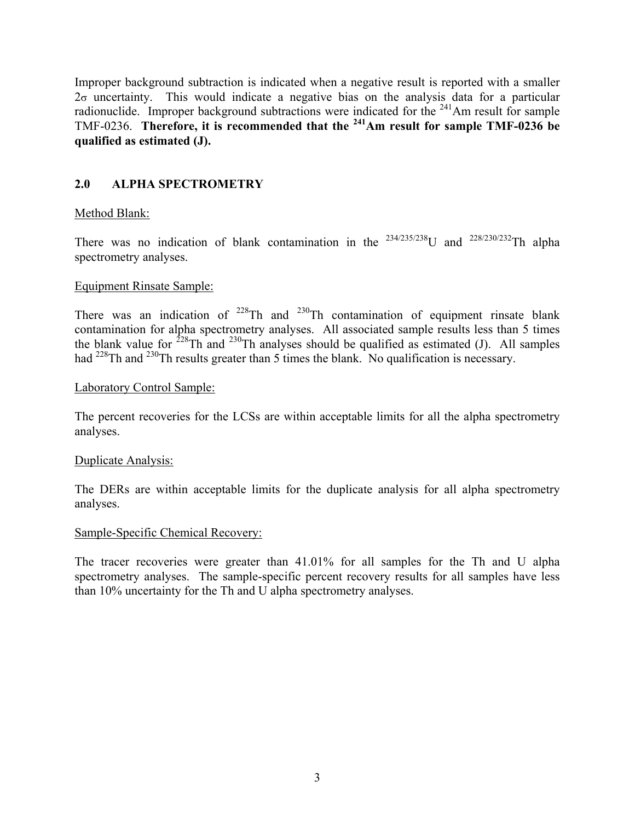Improper background subtraction is indicated when a negative result is reported with a smaller  $2\sigma$  uncertainty. This would indicate a negative bias on the analysis data for a particular radionuclide. Improper background subtractions were indicated for the  $241$ Am result for sample TMF-0236. **Therefore, it is recommended that the 241Am result for sample TMF-0236 be qualified as estimated (J).**

# **2.0 ALPHA SPECTROMETRY**

## Method Blank:

There was no indication of blank contamination in the  $234/235/238$ U and  $228/230/232$ Th alpha spectrometry analyses.

## Equipment Rinsate Sample:

There was an indication of  $2^{28}$ Th and  $2^{30}$ Th contamination of equipment rinsate blank contamination for alpha spectrometry analyses. All associated sample results less than 5 times the blank value for  $^{228}$ Th and  $^{230}$ Th analyses should be qualified as estimated (J). All samples had <sup>228</sup>Th and <sup>230</sup>Th results greater than 5 times the blank. No qualification is necessary.

### Laboratory Control Sample:

The percent recoveries for the LCSs are within acceptable limits for all the alpha spectrometry analyses.

### Duplicate Analysis:

The DERs are within acceptable limits for the duplicate analysis for all alpha spectrometry analyses.

### Sample-Specific Chemical Recovery:

The tracer recoveries were greater than 41.01% for all samples for the Th and U alpha spectrometry analyses. The sample-specific percent recovery results for all samples have less than 10% uncertainty for the Th and U alpha spectrometry analyses.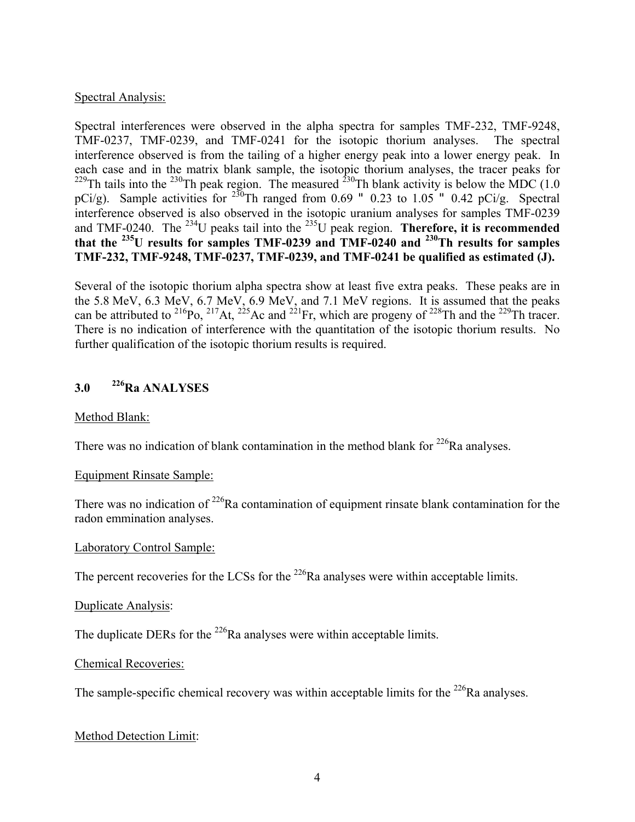## Spectral Analysis:

Spectral interferences were observed in the alpha spectra for samples TMF-232, TMF-9248, TMF-0237, TMF-0239, and TMF-0241 for the isotopic thorium analyses. The spectral interference observed is from the tailing of a higher energy peak into a lower energy peak. In each case and in the matrix blank sample, the isotopic thorium analyses, the tracer peaks for <sup>229</sup>Th tails into the <sup>230</sup>Th peak region. The measured <sup>230</sup>Th blank activity is below the MDC (1.0) pCi/g). Sample activities for  $^{230}$ Th ranged from 0.69 " 0.23 to 1.05 " 0.42 pCi/g. Spectral interference observed is also observed in the isotopic uranium analyses for samples TMF-0239 and TMF-0240. The 234U peaks tail into the 235U peak region. **Therefore, it is recommended that the 235U results for samples TMF-0239 and TMF-0240 and 230Th results for samples TMF-232, TMF-9248, TMF-0237, TMF-0239, and TMF-0241 be qualified as estimated (J).**

Several of the isotopic thorium alpha spectra show at least five extra peaks. These peaks are in the 5.8 MeV, 6.3 MeV, 6.7 MeV, 6.9 MeV, and 7.1 MeV regions. It is assumed that the peaks can be attributed to <sup>216</sup>Po, <sup>217</sup>At, <sup>225</sup>Ac and <sup>221</sup>Fr, which are progeny of <sup>228</sup>Th and the <sup>229</sup>Th tracer. There is no indication of interference with the quantitation of the isotopic thorium results. No further qualification of the isotopic thorium results is required.

# **3.0 226Ra ANALYSES**

### Method Blank:

There was no indication of blank contamination in the method blank for  $226$ Ra analyses.

### Equipment Rinsate Sample:

There was no indication of  $2^{26}$ Ra contamination of equipment rinsate blank contamination for the radon emmination analyses.

### Laboratory Control Sample:

The percent recoveries for the LCSs for the  $^{226}$ Ra analyses were within acceptable limits.

### Duplicate Analysis:

The duplicate DERs for the  $^{226}$ Ra analyses were within acceptable limits.

### Chemical Recoveries:

The sample-specific chemical recovery was within acceptable limits for the  $^{226}$ Ra analyses.

### Method Detection Limit: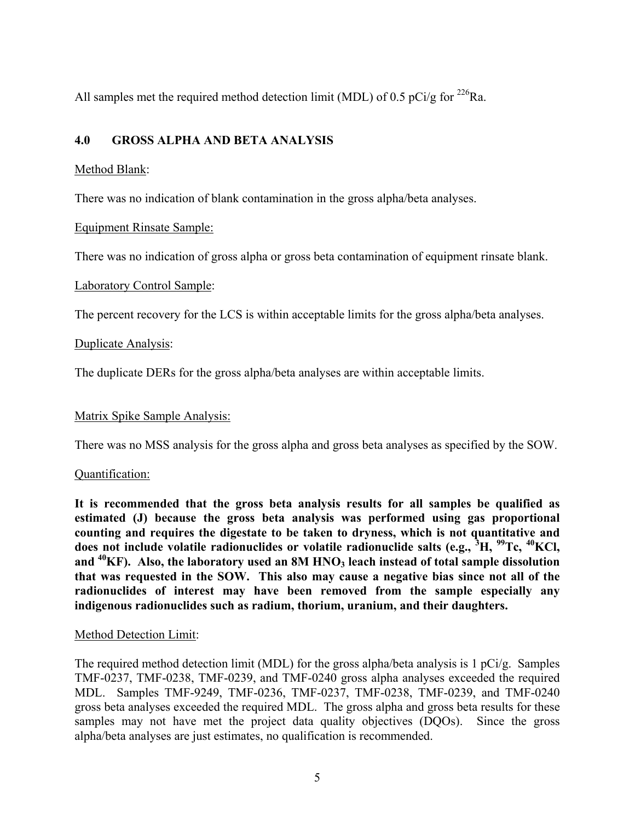All samples met the required method detection limit (MDL) of 0.5 pCi/g for  $^{226}$ Ra.

# **4.0 GROSS ALPHA AND BETA ANALYSIS**

# Method Blank:

There was no indication of blank contamination in the gross alpha/beta analyses.

# Equipment Rinsate Sample:

There was no indication of gross alpha or gross beta contamination of equipment rinsate blank.

# Laboratory Control Sample:

The percent recovery for the LCS is within acceptable limits for the gross alpha/beta analyses.

# Duplicate Analysis:

The duplicate DERs for the gross alpha/beta analyses are within acceptable limits.

# Matrix Spike Sample Analysis:

There was no MSS analysis for the gross alpha and gross beta analyses as specified by the SOW.

# Quantification:

**It is recommended that the gross beta analysis results for all samples be qualified as estimated (J) because the gross beta analysis was performed using gas proportional counting and requires the digestate to be taken to dryness, which is not quantitative and does not include volatile radionuclides or volatile radionuclide salts (e.g., <sup>3</sup> H, 99Tc, 40KCl,**  and <sup>40</sup>KF). Also, the laboratory used an 8M HNO<sub>3</sub> leach instead of total sample dissolution **that was requested in the SOW. This also may cause a negative bias since not all of the radionuclides of interest may have been removed from the sample especially any indigenous radionuclides such as radium, thorium, uranium, and their daughters.**

# Method Detection Limit:

The required method detection limit (MDL) for the gross alpha/beta analysis is 1 pCi/g. Samples TMF-0237, TMF-0238, TMF-0239, and TMF-0240 gross alpha analyses exceeded the required MDL. Samples TMF-9249, TMF-0236, TMF-0237, TMF-0238, TMF-0239, and TMF-0240 gross beta analyses exceeded the required MDL. The gross alpha and gross beta results for these samples may not have met the project data quality objectives (DQOs). Since the gross alpha/beta analyses are just estimates, no qualification is recommended.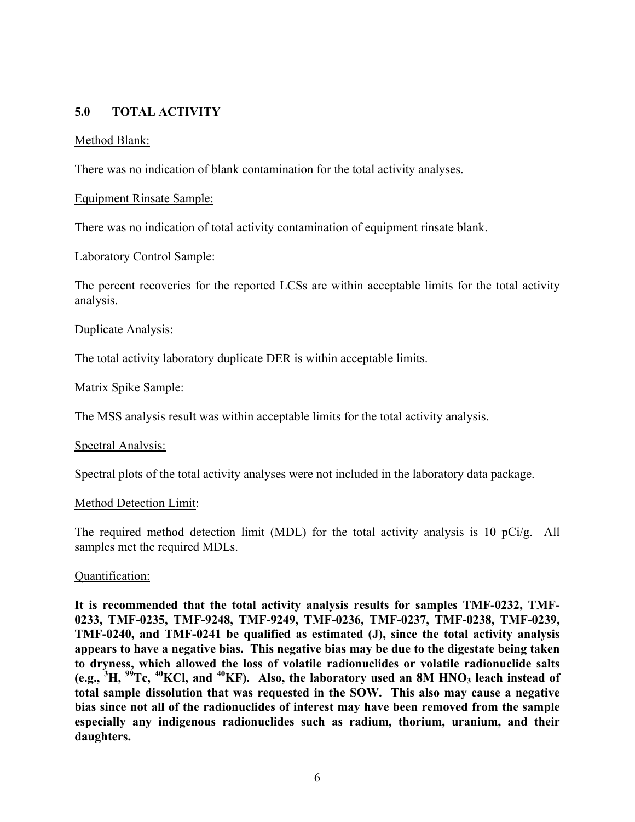# **5.0 TOTAL ACTIVITY**

### Method Blank:

There was no indication of blank contamination for the total activity analyses.

#### Equipment Rinsate Sample:

There was no indication of total activity contamination of equipment rinsate blank.

#### Laboratory Control Sample:

The percent recoveries for the reported LCSs are within acceptable limits for the total activity analysis.

#### Duplicate Analysis:

The total activity laboratory duplicate DER is within acceptable limits.

#### Matrix Spike Sample:

The MSS analysis result was within acceptable limits for the total activity analysis.

#### Spectral Analysis:

Spectral plots of the total activity analyses were not included in the laboratory data package.

#### Method Detection Limit:

The required method detection limit (MDL) for the total activity analysis is 10 pCi/g. All samples met the required MDLs.

#### Quantification:

**It is recommended that the total activity analysis results for samples TMF-0232, TMF-0233, TMF-0235, TMF-9248, TMF-9249, TMF-0236, TMF-0237, TMF-0238, TMF-0239, TMF-0240, and TMF-0241 be qualified as estimated (J), since the total activity analysis appears to have a negative bias. This negative bias may be due to the digestate being taken to dryness, which allowed the loss of volatile radionuclides or volatile radionuclide salts (e.g., <sup>3</sup> H, 99Tc, 40KCl, and 40KF). Also, the laboratory used an 8M HNO3 leach instead of total sample dissolution that was requested in the SOW. This also may cause a negative bias since not all of the radionuclides of interest may have been removed from the sample especially any indigenous radionuclides such as radium, thorium, uranium, and their daughters.**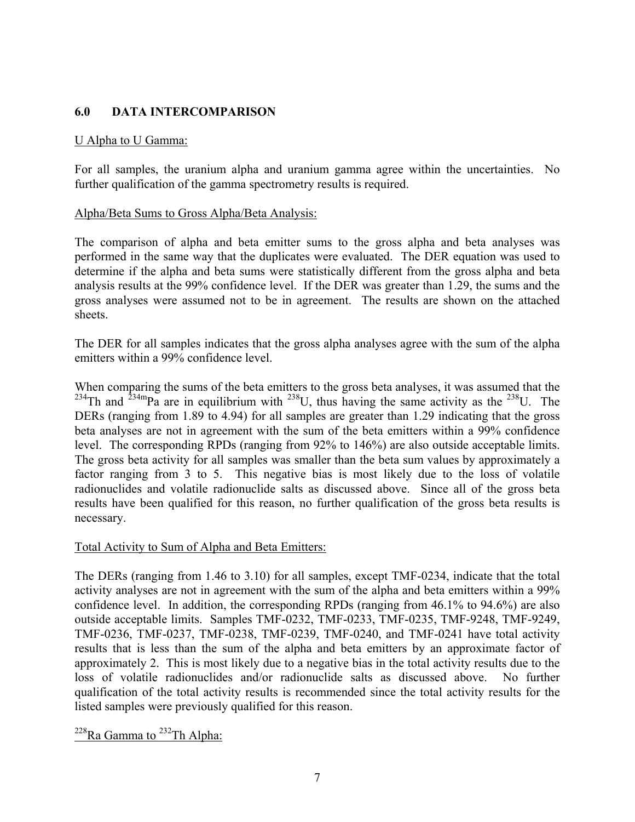# **6.0 DATA INTERCOMPARISON**

### U Alpha to U Gamma:

For all samples, the uranium alpha and uranium gamma agree within the uncertainties. No further qualification of the gamma spectrometry results is required.

### Alpha/Beta Sums to Gross Alpha/Beta Analysis:

The comparison of alpha and beta emitter sums to the gross alpha and beta analyses was performed in the same way that the duplicates were evaluated. The DER equation was used to determine if the alpha and beta sums were statistically different from the gross alpha and beta analysis results at the 99% confidence level. If the DER was greater than 1.29, the sums and the gross analyses were assumed not to be in agreement. The results are shown on the attached sheets.

The DER for all samples indicates that the gross alpha analyses agree with the sum of the alpha emitters within a 99% confidence level.

When comparing the sums of the beta emitters to the gross beta analyses, it was assumed that the  $234$ Th and  $234$ <sup>m</sup>Pa are in equilibrium with  $238$ U, thus having the same activity as the  $238$ U. The DERs (ranging from 1.89 to 4.94) for all samples are greater than 1.29 indicating that the gross beta analyses are not in agreement with the sum of the beta emitters within a 99% confidence level. The corresponding RPDs (ranging from 92% to 146%) are also outside acceptable limits. The gross beta activity for all samples was smaller than the beta sum values by approximately a factor ranging from 3 to 5. This negative bias is most likely due to the loss of volatile radionuclides and volatile radionuclide salts as discussed above. Since all of the gross beta results have been qualified for this reason, no further qualification of the gross beta results is necessary.

#### Total Activity to Sum of Alpha and Beta Emitters:

The DERs (ranging from 1.46 to 3.10) for all samples, except TMF-0234, indicate that the total activity analyses are not in agreement with the sum of the alpha and beta emitters within a 99% confidence level. In addition, the corresponding RPDs (ranging from 46.1% to 94.6%) are also outside acceptable limits. Samples TMF-0232, TMF-0233, TMF-0235, TMF-9248, TMF-9249, TMF-0236, TMF-0237, TMF-0238, TMF-0239, TMF-0240, and TMF-0241 have total activity results that is less than the sum of the alpha and beta emitters by an approximate factor of approximately 2. This is most likely due to a negative bias in the total activity results due to the loss of volatile radionuclides and/or radionuclide salts as discussed above. No further qualification of the total activity results is recommended since the total activity results for the listed samples were previously qualified for this reason.

# $228$ Ra Gamma to  $232$ Th Alpha: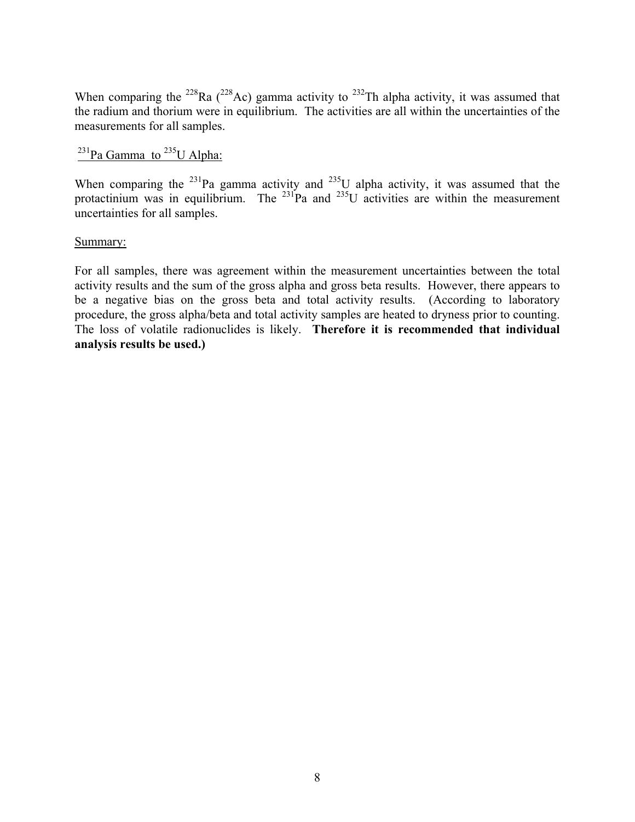When comparing the <sup>228</sup>Ra (<sup>228</sup>Ac) gamma activity to <sup>232</sup>Th alpha activity, it was assumed that the radium and thorium were in equilibrium. The activities are all within the uncertainties of the measurements for all samples.

# $^{231}$ Pa Gamma to  $^{235}$ U Alpha:

When comparing the  $^{231}$ Pa gamma activity and  $^{235}$ U alpha activity, it was assumed that the protactinium was in equilibrium. The  $^{231}$ Pa and  $^{235}$ U activities are within the measurement uncertainties for all samples.

#### Summary:

For all samples, there was agreement within the measurement uncertainties between the total activity results and the sum of the gross alpha and gross beta results. However, there appears to be a negative bias on the gross beta and total activity results. (According to laboratory procedure, the gross alpha/beta and total activity samples are heated to dryness prior to counting. The loss of volatile radionuclides is likely. **Therefore it is recommended that individual analysis results be used.)**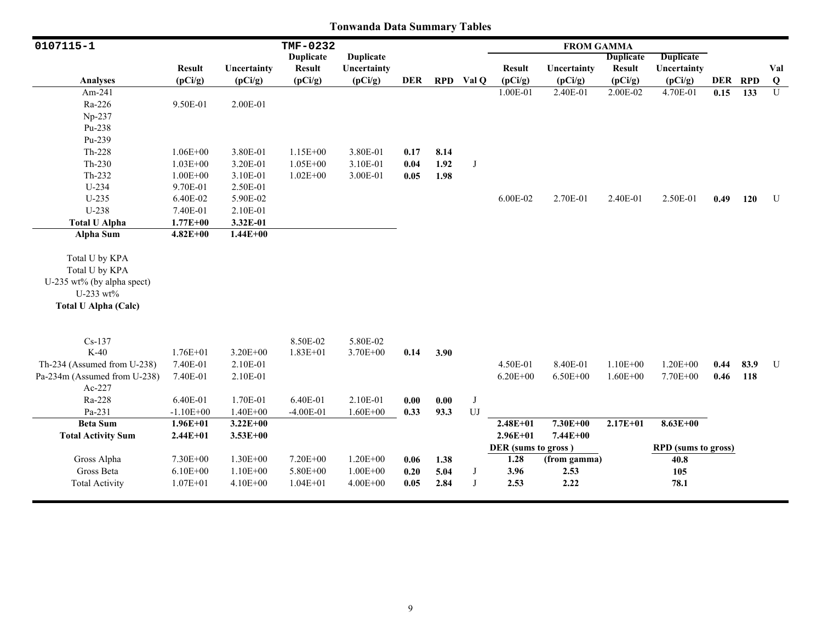| 0107115-1                    |               |              | TMF-0232         |                  |            |      |           |                     | <b>FROM GAMMA</b> |                  |                            |      |         |                |
|------------------------------|---------------|--------------|------------------|------------------|------------|------|-----------|---------------------|-------------------|------------------|----------------------------|------|---------|----------------|
|                              |               |              | <b>Duplicate</b> | <b>Duplicate</b> |            |      |           |                     |                   | <b>Duplicate</b> | <b>Duplicate</b>           |      |         |                |
|                              | <b>Result</b> | Uncertainty  | <b>Result</b>    | Uncertainty      |            |      |           | <b>Result</b>       | Uncertainty       | <b>Result</b>    | Uncertainty                |      |         | Val            |
| <b>Analyses</b>              | (pCi/g)       | (pCi/g)      | (pCi/g)          | (pCi/g)          | <b>DER</b> |      | RPD Val Q | (pCi/g)             | (pCi/g)           | (pCi/g)          | (pCi/g)                    |      | DER RPD | Q              |
| Am-241                       |               |              |                  |                  |            |      |           | 1.00E-01            | 2.40E-01          | 2.00E-02         | 4.70E-01                   | 0.15 | 133     | $\overline{U}$ |
| Ra-226                       | 9.50E-01      | 2.00E-01     |                  |                  |            |      |           |                     |                   |                  |                            |      |         |                |
| Np-237                       |               |              |                  |                  |            |      |           |                     |                   |                  |                            |      |         |                |
| Pu-238                       |               |              |                  |                  |            |      |           |                     |                   |                  |                            |      |         |                |
| Pu-239                       |               |              |                  |                  |            |      |           |                     |                   |                  |                            |      |         |                |
| Th-228                       | $1.06E + 00$  | 3.80E-01     | $1.15E + 00$     | 3.80E-01         | 0.17       | 8.14 |           |                     |                   |                  |                            |      |         |                |
| Th-230                       | $1.03E + 00$  | 3.20E-01     | $1.05E + 00$     | 3.10E-01         | 0.04       | 1.92 | J         |                     |                   |                  |                            |      |         |                |
| $Th-232$                     | $1.00E + 00$  | 3.10E-01     | $1.02E + 00$     | 3.00E-01         | 0.05       | 1.98 |           |                     |                   |                  |                            |      |         |                |
| U-234                        | 9.70E-01      | 2.50E-01     |                  |                  |            |      |           |                     |                   |                  |                            |      |         |                |
| $U-235$                      | 6.40E-02      | 5.90E-02     |                  |                  |            |      |           | 6.00E-02            | 2.70E-01          | 2.40E-01         | 2.50E-01                   | 0.49 | 120     | U              |
| U-238                        | 7.40E-01      | 2.10E-01     |                  |                  |            |      |           |                     |                   |                  |                            |      |         |                |
| <b>Total U Alpha</b>         | $1.77E + 00$  | 3.32E-01     |                  |                  |            |      |           |                     |                   |                  |                            |      |         |                |
| <b>Alpha Sum</b>             | $4.82E + 00$  | $1.44E + 00$ |                  |                  |            |      |           |                     |                   |                  |                            |      |         |                |
|                              |               |              |                  |                  |            |      |           |                     |                   |                  |                            |      |         |                |
| Total U by KPA               |               |              |                  |                  |            |      |           |                     |                   |                  |                            |      |         |                |
| Total U by KPA               |               |              |                  |                  |            |      |           |                     |                   |                  |                            |      |         |                |
| U-235 wt% (by alpha spect)   |               |              |                  |                  |            |      |           |                     |                   |                  |                            |      |         |                |
| U-233 wt%                    |               |              |                  |                  |            |      |           |                     |                   |                  |                            |      |         |                |
| <b>Total U Alpha (Calc)</b>  |               |              |                  |                  |            |      |           |                     |                   |                  |                            |      |         |                |
|                              |               |              |                  |                  |            |      |           |                     |                   |                  |                            |      |         |                |
| $Cs-137$                     |               |              | 8.50E-02         | 5.80E-02         |            |      |           |                     |                   |                  |                            |      |         |                |
| $K-40$                       | $1.76E + 01$  | $3.20E + 00$ | $1.83E + 01$     | 3.70E+00         | 0.14       | 3.90 |           |                     |                   |                  |                            |      |         |                |
| Th-234 (Assumed from U-238)  | 7.40E-01      | 2.10E-01     |                  |                  |            |      |           | 4.50E-01            | 8.40E-01          | $1.10E + 00$     | $1.20E + 00$               | 0.44 | 83.9    | U              |
| Pa-234m (Assumed from U-238) | 7.40E-01      | 2.10E-01     |                  |                  |            |      |           | $6.20E + 00$        | $6.50E + 00$      | $1.60E + 00$     | 7.70E+00                   | 0.46 | 118     |                |
| Ac-227                       |               |              |                  |                  |            |      |           |                     |                   |                  |                            |      |         |                |
| Ra-228                       | 6.40E-01      | 1.70E-01     | 6.40E-01         | 2.10E-01         | 0.00       | 0.00 | J         |                     |                   |                  |                            |      |         |                |
| Pa-231                       | $-1.10E + 00$ | $1.40E + 00$ | $-4.00E-01$      | $1.60E + 00$     | 0.33       | 93.3 | $U$ J     |                     |                   |                  |                            |      |         |                |
| <b>Beta Sum</b>              | $1.96E + 01$  | $3.22E + 00$ |                  |                  |            |      |           | $2.48E + 01$        | $7.30E + 00$      | $2.17E + 01$     | 8.63E+00                   |      |         |                |
| <b>Total Activity Sum</b>    | $2.44E + 01$  | $3.53E + 00$ |                  |                  |            |      |           | $2.96E + 01$        | 7.44E+00          |                  |                            |      |         |                |
|                              |               |              |                  |                  |            |      |           | DER (sums to gross) |                   |                  | <b>RPD</b> (sums to gross) |      |         |                |
| Gross Alpha                  | 7.30E+00      | $1.30E + 00$ | 7.20E+00         | $1.20E + 00$     | 0.06       | 1.38 |           | 1.28                | (from gamma)      |                  | 40.8                       |      |         |                |
| Gross Beta                   | $6.10E + 00$  | $1.10E + 00$ | 5.80E+00         | $1.00E + 00$     | 0.20       | 5.04 | J         | 3.96                | 2.53              |                  | 105                        |      |         |                |
| <b>Total Activity</b>        | $1.07E + 01$  | $4.10E + 00$ | $1.04E + 01$     | $4.00E + 00$     | 0.05       | 2.84 | J         | 2.53                | 2.22              |                  | 78.1                       |      |         |                |
|                              |               |              |                  |                  |            |      |           |                     |                   |                  |                            |      |         |                |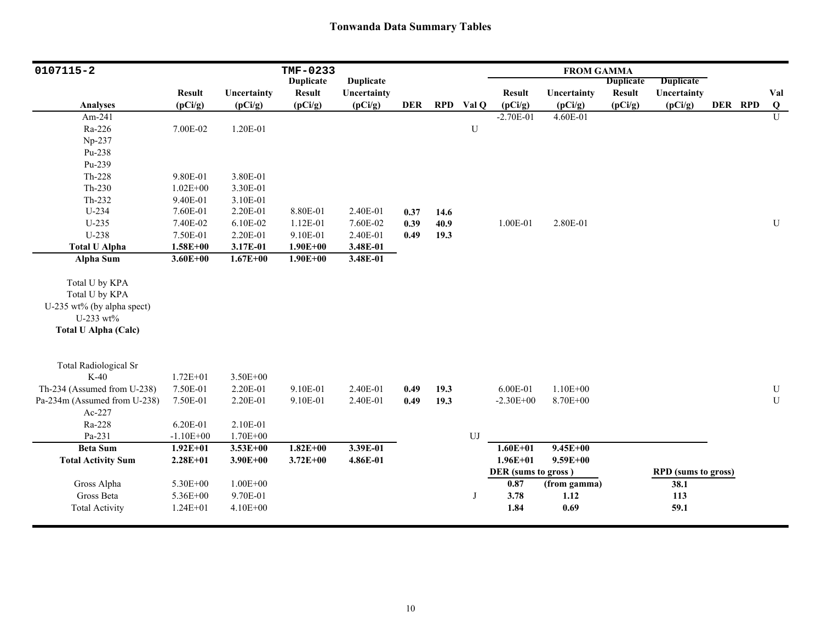| 0107115-2                    |               |              | TMF-0233         |                  |            |      |           |                     | <b>FROM GAMMA</b> |                  |                            |         |                         |
|------------------------------|---------------|--------------|------------------|------------------|------------|------|-----------|---------------------|-------------------|------------------|----------------------------|---------|-------------------------|
|                              |               |              | <b>Duplicate</b> | <b>Duplicate</b> |            |      |           |                     |                   | <b>Duplicate</b> | <b>Duplicate</b>           |         |                         |
|                              | <b>Result</b> | Uncertainty  | <b>Result</b>    | Uncertainty      |            |      |           | <b>Result</b>       | Uncertainty       | <b>Result</b>    | Uncertainty                |         | Val                     |
| <b>Analyses</b>              | (pCi/g)       | (pCi/g)      | (pCi/g)          | (pCi/g)          | <b>DER</b> |      | RPD Val Q | (pCi/g)             | (pCi/g)           | (pCi/g)          | (pCi/g)                    | DER RPD | $\overline{\mathbf{Q}}$ |
| Am-241                       |               |              |                  |                  |            |      |           | $-2.70E-01$         | 4.60E-01          |                  |                            |         | $\overline{U}$          |
| Ra-226                       | 7.00E-02      | 1.20E-01     |                  |                  |            |      | ${\bf U}$ |                     |                   |                  |                            |         |                         |
| Np-237                       |               |              |                  |                  |            |      |           |                     |                   |                  |                            |         |                         |
| Pu-238                       |               |              |                  |                  |            |      |           |                     |                   |                  |                            |         |                         |
| Pu-239                       |               |              |                  |                  |            |      |           |                     |                   |                  |                            |         |                         |
| Th-228                       | 9.80E-01      | 3.80E-01     |                  |                  |            |      |           |                     |                   |                  |                            |         |                         |
| $Th-230$                     | $1.02E + 00$  | 3.30E-01     |                  |                  |            |      |           |                     |                   |                  |                            |         |                         |
| $Th-232$                     | 9.40E-01      | 3.10E-01     |                  |                  |            |      |           |                     |                   |                  |                            |         |                         |
| U-234                        | 7.60E-01      | 2.20E-01     | 8.80E-01         | 2.40E-01         | 0.37       | 14.6 |           |                     |                   |                  |                            |         |                         |
| $U-235$                      | 7.40E-02      | 6.10E-02     | 1.12E-01         | 7.60E-02         | 0.39       | 40.9 |           | 1.00E-01            | 2.80E-01          |                  |                            |         | ${\bf U}$               |
| U-238                        | 7.50E-01      | 2.20E-01     | 9.10E-01         | 2.40E-01         | 0.49       | 19.3 |           |                     |                   |                  |                            |         |                         |
| <b>Total U Alpha</b>         | $1.58E + 00$  | 3.17E-01     | $1.90E + 00$     | 3.48E-01         |            |      |           |                     |                   |                  |                            |         |                         |
| <b>Alpha Sum</b>             | $3.60E + 00$  | $1.67E + 00$ | $1.90E + 00$     | 3.48E-01         |            |      |           |                     |                   |                  |                            |         |                         |
|                              |               |              |                  |                  |            |      |           |                     |                   |                  |                            |         |                         |
| Total U by KPA               |               |              |                  |                  |            |      |           |                     |                   |                  |                            |         |                         |
| Total U by KPA               |               |              |                  |                  |            |      |           |                     |                   |                  |                            |         |                         |
| U-235 wt% (by alpha spect)   |               |              |                  |                  |            |      |           |                     |                   |                  |                            |         |                         |
| U-233 wt%                    |               |              |                  |                  |            |      |           |                     |                   |                  |                            |         |                         |
| <b>Total U Alpha (Calc)</b>  |               |              |                  |                  |            |      |           |                     |                   |                  |                            |         |                         |
|                              |               |              |                  |                  |            |      |           |                     |                   |                  |                            |         |                         |
| <b>Total Radiological Sr</b> |               |              |                  |                  |            |      |           |                     |                   |                  |                            |         |                         |
| $K-40$                       | $1.72E + 01$  | $3.50E + 00$ |                  |                  |            |      |           |                     |                   |                  |                            |         |                         |
| Th-234 (Assumed from U-238)  | 7.50E-01      | 2.20E-01     | 9.10E-01         | 2.40E-01         | 0.49       | 19.3 |           | 6.00E-01            | $1.10E + 00$      |                  |                            |         | ${\bf U}$               |
| Pa-234m (Assumed from U-238) | 7.50E-01      | 2.20E-01     | 9.10E-01         | 2.40E-01         | 0.49       | 19.3 |           | $-2.30E + 00$       | 8.70E+00          |                  |                            |         | $\mathbf U$             |
| Ac-227                       |               |              |                  |                  |            |      |           |                     |                   |                  |                            |         |                         |
| Ra-228                       | 6.20E-01      | 2.10E-01     |                  |                  |            |      |           |                     |                   |                  |                            |         |                         |
| Pa-231                       | $-1.10E + 00$ | $1.70E + 00$ |                  |                  |            |      | UJ        |                     |                   |                  |                            |         |                         |
| <b>Beta Sum</b>              | $1.92E + 01$  | $3.53E + 00$ | $1.82E+00$       | 3.39E-01         |            |      |           | $1.60E + 01$        | $9.45E + 00$      |                  |                            |         |                         |
| <b>Total Activity Sum</b>    | $2.28E + 01$  | $3.90E + 00$ | $3.72E + 00$     | 4.86E-01         |            |      |           | $1.96E + 01$        | $9.59E + 00$      |                  |                            |         |                         |
|                              |               |              |                  |                  |            |      |           | DER (sums to gross) |                   |                  | <b>RPD</b> (sums to gross) |         |                         |
| Gross Alpha                  | 5.30E+00      | $1.00E + 00$ |                  |                  |            |      |           | 0.87                | (from gamma)      |                  | 38.1                       |         |                         |
| Gross Beta                   | 5.36E+00      | 9.70E-01     |                  |                  |            |      | J         | 3.78                | 1.12              |                  | 113                        |         |                         |
| <b>Total Activity</b>        | $1.24E + 01$  | $4.10E + 00$ |                  |                  |            |      |           | 1.84                | 0.69              |                  | 59.1                       |         |                         |
|                              |               |              |                  |                  |            |      |           |                     |                   |                  |                            |         |                         |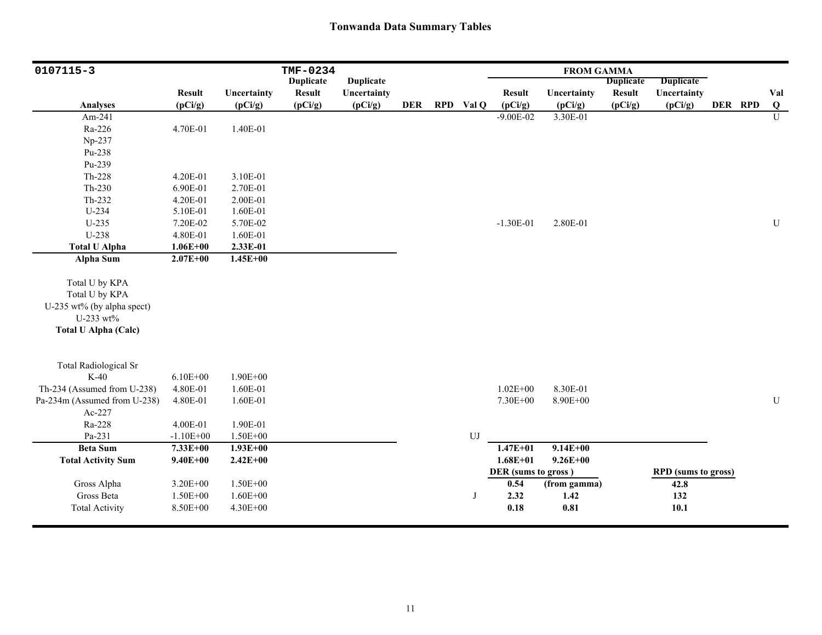| 0107115-3                    |               |              | TMF-0234         |                  |            |                  |                     | <b>FROM GAMMA</b> |                  |                            |         |                         |
|------------------------------|---------------|--------------|------------------|------------------|------------|------------------|---------------------|-------------------|------------------|----------------------------|---------|-------------------------|
|                              |               |              | <b>Duplicate</b> | <b>Duplicate</b> |            |                  |                     |                   | <b>Duplicate</b> | <b>Duplicate</b>           |         |                         |
|                              | <b>Result</b> | Uncertainty  | <b>Result</b>    | Uncertainty      |            |                  | <b>Result</b>       | Uncertainty       | <b>Result</b>    | Uncertainty                |         | Val                     |
| <b>Analyses</b>              | (pCi/g)       | (pCi/g)      | (pCi/g)          | (pCi/g)          | <b>DER</b> | RPD Val Q        | (pCi/g)             | (pCi/g)           | (pCi/g)          | (pCi/g)                    | DER RPD | $\overline{\mathbf{Q}}$ |
| Am-241                       |               |              |                  |                  |            |                  | $-9.00E - 02$       | 3.30E-01          |                  |                            |         | $\overline{U}$          |
| Ra-226                       | 4.70E-01      | 1.40E-01     |                  |                  |            |                  |                     |                   |                  |                            |         |                         |
| Np-237                       |               |              |                  |                  |            |                  |                     |                   |                  |                            |         |                         |
| Pu-238                       |               |              |                  |                  |            |                  |                     |                   |                  |                            |         |                         |
| Pu-239                       |               |              |                  |                  |            |                  |                     |                   |                  |                            |         |                         |
| $Th-228$                     | 4.20E-01      | 3.10E-01     |                  |                  |            |                  |                     |                   |                  |                            |         |                         |
| $Th-230$                     | 6.90E-01      | 2.70E-01     |                  |                  |            |                  |                     |                   |                  |                            |         |                         |
| Th-232                       | 4.20E-01      | 2.00E-01     |                  |                  |            |                  |                     |                   |                  |                            |         |                         |
| $U-234$                      | 5.10E-01      | 1.60E-01     |                  |                  |            |                  |                     |                   |                  |                            |         |                         |
| $U-235$                      | 7.20E-02      | 5.70E-02     |                  |                  |            |                  | $-1.30E-01$         | 2.80E-01          |                  |                            |         | ${\bf U}$               |
| U-238                        | 4.80E-01      | 1.60E-01     |                  |                  |            |                  |                     |                   |                  |                            |         |                         |
| <b>Total U Alpha</b>         | $1.06E + 00$  | 2.33E-01     |                  |                  |            |                  |                     |                   |                  |                            |         |                         |
| Alpha Sum                    | $2.07E + 00$  | $1.45E + 00$ |                  |                  |            |                  |                     |                   |                  |                            |         |                         |
|                              |               |              |                  |                  |            |                  |                     |                   |                  |                            |         |                         |
| Total U by KPA               |               |              |                  |                  |            |                  |                     |                   |                  |                            |         |                         |
| Total U by KPA               |               |              |                  |                  |            |                  |                     |                   |                  |                            |         |                         |
| U-235 wt% (by alpha spect)   |               |              |                  |                  |            |                  |                     |                   |                  |                            |         |                         |
| U-233 wt%                    |               |              |                  |                  |            |                  |                     |                   |                  |                            |         |                         |
| <b>Total U Alpha (Calc)</b>  |               |              |                  |                  |            |                  |                     |                   |                  |                            |         |                         |
|                              |               |              |                  |                  |            |                  |                     |                   |                  |                            |         |                         |
| <b>Total Radiological Sr</b> |               |              |                  |                  |            |                  |                     |                   |                  |                            |         |                         |
| $K-40$                       | $6.10E + 00$  | $1.90E + 00$ |                  |                  |            |                  |                     |                   |                  |                            |         |                         |
| Th-234 (Assumed from U-238)  | 4.80E-01      | 1.60E-01     |                  |                  |            |                  | $1.02E + 00$        | 8.30E-01          |                  |                            |         |                         |
| Pa-234m (Assumed from U-238) | 4.80E-01      | 1.60E-01     |                  |                  |            |                  | 7.30E+00            | 8.90E+00          |                  |                            |         | ${\bf U}$               |
| Ac-227                       |               |              |                  |                  |            |                  |                     |                   |                  |                            |         |                         |
| Ra-228                       | 4.00E-01      | 1.90E-01     |                  |                  |            |                  |                     |                   |                  |                            |         |                         |
| Pa-231                       | $-1.10E + 00$ | 1.50E+00     |                  |                  |            | ${\bf U}{\bf J}$ |                     |                   |                  |                            |         |                         |
| <b>Beta Sum</b>              | 7.33E+00      | $1.93E + 00$ |                  |                  |            |                  | $1.47E + 01$        | $9.14E + 00$      |                  |                            |         |                         |
| <b>Total Activity Sum</b>    | $9.40E + 00$  | $2.42E + 00$ |                  |                  |            |                  | $1.68E + 01$        | $9.26E + 00$      |                  |                            |         |                         |
|                              |               |              |                  |                  |            |                  | DER (sums to gross) |                   |                  | <b>RPD</b> (sums to gross) |         |                         |
| Gross Alpha                  | 3.20E+00      | $1.50E + 00$ |                  |                  |            |                  | 0.54                | (from gamma)      |                  | 42.8                       |         |                         |
| Gross Beta                   | 1.50E+00      | $1.60E + 00$ |                  |                  |            | J                | 2.32                | $1.42$            |                  | 132                        |         |                         |
| <b>Total Activity</b>        | 8.50E+00      | 4.30E+00     |                  |                  |            |                  | 0.18                | $0.81\,$          |                  | 10.1                       |         |                         |
|                              |               |              |                  |                  |            |                  |                     |                   |                  |                            |         |                         |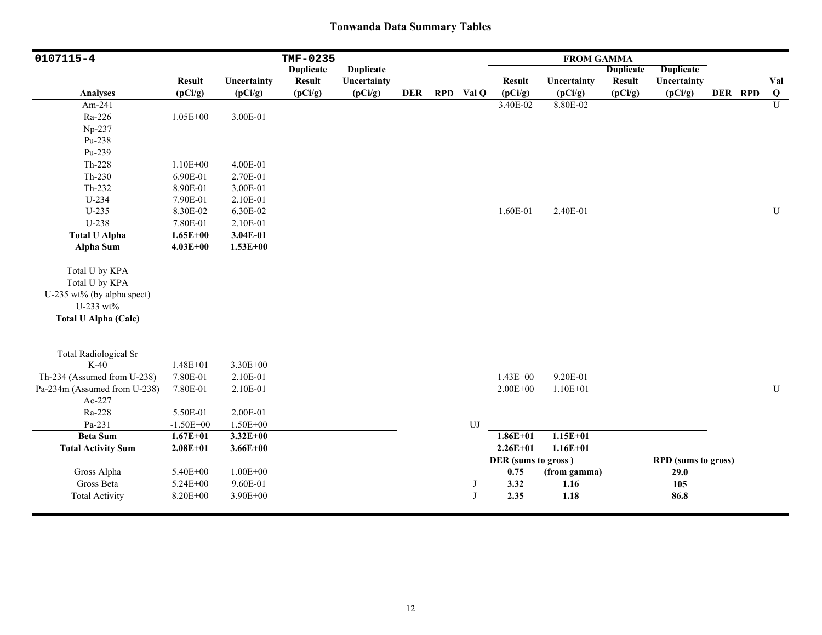| 0107115-4                                                                                                  |               |              | TMF-0235         |                  |            |            |                     | <b>FROM GAMMA</b> |                  |                            |         |                |
|------------------------------------------------------------------------------------------------------------|---------------|--------------|------------------|------------------|------------|------------|---------------------|-------------------|------------------|----------------------------|---------|----------------|
|                                                                                                            |               |              | <b>Duplicate</b> | <b>Duplicate</b> |            |            |                     |                   | <b>Duplicate</b> | <b>Duplicate</b>           |         |                |
|                                                                                                            | <b>Result</b> | Uncertainty  | <b>Result</b>    | Uncertainty      |            |            | <b>Result</b>       | Uncertainty       | <b>Result</b>    | Uncertainty                |         | Val            |
| <b>Analyses</b>                                                                                            | (pCi/g)       | (pCi/g)      | (pCi/g)          | (pCi/g)          | <b>DER</b> | RPD Val Q  | (pCi/g)             | (pCi/g)           | (pCi/g)          | (pCi/g)                    | DER RPD | Q              |
| Am-241                                                                                                     |               |              |                  |                  |            |            | 3.40E-02            | 8.80E-02          |                  |                            |         | $\overline{U}$ |
| Ra-226                                                                                                     | $1.05E + 00$  | 3.00E-01     |                  |                  |            |            |                     |                   |                  |                            |         |                |
| Np-237                                                                                                     |               |              |                  |                  |            |            |                     |                   |                  |                            |         |                |
| Pu-238                                                                                                     |               |              |                  |                  |            |            |                     |                   |                  |                            |         |                |
| Pu-239                                                                                                     |               |              |                  |                  |            |            |                     |                   |                  |                            |         |                |
| $Th-228$                                                                                                   | $1.10E + 00$  | 4.00E-01     |                  |                  |            |            |                     |                   |                  |                            |         |                |
| $Th-230$                                                                                                   | 6.90E-01      | 2.70E-01     |                  |                  |            |            |                     |                   |                  |                            |         |                |
| Th-232                                                                                                     | 8.90E-01      | 3.00E-01     |                  |                  |            |            |                     |                   |                  |                            |         |                |
| U-234                                                                                                      | 7.90E-01      | 2.10E-01     |                  |                  |            |            |                     |                   |                  |                            |         |                |
| $U-235$                                                                                                    | 8.30E-02      | 6.30E-02     |                  |                  |            |            | 1.60E-01            | 2.40E-01          |                  |                            |         | U              |
| U-238                                                                                                      | 7.80E-01      | 2.10E-01     |                  |                  |            |            |                     |                   |                  |                            |         |                |
| <b>Total U Alpha</b>                                                                                       | $1.65E + 00$  | 3.04E-01     |                  |                  |            |            |                     |                   |                  |                            |         |                |
| <b>Alpha Sum</b>                                                                                           | $4.03E + 00$  | $1.53E+00$   |                  |                  |            |            |                     |                   |                  |                            |         |                |
| Total U by KPA<br>Total U by KPA<br>U-235 wt% (by alpha spect)<br>U-233 wt%<br><b>Total U Alpha (Calc)</b> |               |              |                  |                  |            |            |                     |                   |                  |                            |         |                |
| <b>Total Radiological Sr</b>                                                                               |               |              |                  |                  |            |            |                     |                   |                  |                            |         |                |
| $K-40$                                                                                                     | $1.48E + 01$  | 3.30E+00     |                  |                  |            |            |                     |                   |                  |                            |         |                |
| Th-234 (Assumed from U-238)                                                                                | 7.80E-01      | 2.10E-01     |                  |                  |            |            | $1.43E + 00$        | 9.20E-01          |                  |                            |         |                |
| Pa-234m (Assumed from U-238)                                                                               | 7.80E-01      | 2.10E-01     |                  |                  |            |            | $2.00E + 00$        | $1.10E + 01$      |                  |                            |         | ${\bf U}$      |
| Ac-227                                                                                                     |               |              |                  |                  |            |            |                     |                   |                  |                            |         |                |
| Ra-228                                                                                                     | 5.50E-01      | 2.00E-01     |                  |                  |            |            |                     |                   |                  |                            |         |                |
| Pa-231                                                                                                     | $-1.50E + 00$ | 1.50E+00     |                  |                  |            | ${\rm UJ}$ |                     |                   |                  |                            |         |                |
| <b>Beta Sum</b>                                                                                            | $1.67E + 01$  | $3.32E + 00$ |                  |                  |            |            | $1.86E + 01$        | $1.15E + 01$      |                  |                            |         |                |
| <b>Total Activity Sum</b>                                                                                  | $2.08E + 01$  | $3.66E + 00$ |                  |                  |            |            | $2.26E + 01$        | $1.16E + 01$      |                  |                            |         |                |
|                                                                                                            |               |              |                  |                  |            |            | DER (sums to gross) |                   |                  | <b>RPD</b> (sums to gross) |         |                |
| Gross Alpha                                                                                                | 5.40E+00      | $1.00E + 00$ |                  |                  |            |            | 0.75                | (from gamma)      |                  | 29.0                       |         |                |
| Gross Beta                                                                                                 | $5.24E + 00$  | 9.60E-01     |                  |                  |            | J          | 3.32                | 1.16              |                  | 105                        |         |                |
| <b>Total Activity</b>                                                                                      | 8.20E+00      | 3.90E+00     |                  |                  |            | J          | 2.35                | 1.18              |                  | 86.8                       |         |                |
|                                                                                                            |               |              |                  |                  |            |            |                     |                   |                  |                            |         |                |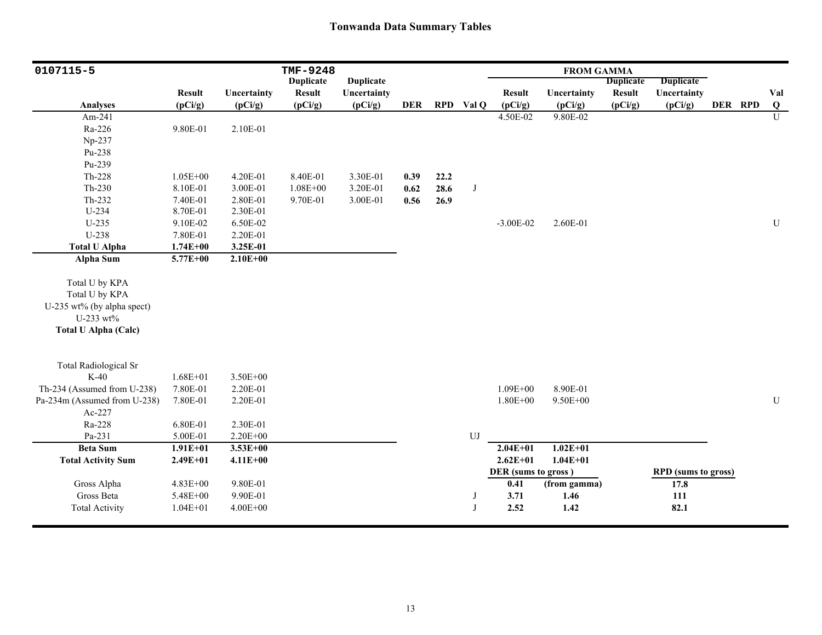| 0107115-5                    |               |              | <b>TMF-9248</b>  |                  |            |      |                  |                     | <b>FROM GAMMA</b> |                  |                            |         |                |
|------------------------------|---------------|--------------|------------------|------------------|------------|------|------------------|---------------------|-------------------|------------------|----------------------------|---------|----------------|
|                              |               |              | <b>Duplicate</b> | <b>Duplicate</b> |            |      |                  |                     |                   | <b>Duplicate</b> | <b>Duplicate</b>           |         |                |
|                              | <b>Result</b> | Uncertainty  | Result           | Uncertainty      |            |      |                  | <b>Result</b>       | Uncertainty       | <b>Result</b>    | Uncertainty                |         | Val            |
| <b>Analyses</b>              | (pCi/g)       | (pCi/g)      | (pCi/g)          | (pCi/g)          | <b>DER</b> |      | RPD Val Q        | (pCi/g)             | (pCi/g)           | (pCi/g)          | (pCi/g)                    | DER RPD | Q              |
| Am-241                       |               |              |                  |                  |            |      |                  | 4.50E-02            | 9.80E-02          |                  |                            |         | $\overline{U}$ |
| Ra-226                       | 9.80E-01      | 2.10E-01     |                  |                  |            |      |                  |                     |                   |                  |                            |         |                |
| Np-237                       |               |              |                  |                  |            |      |                  |                     |                   |                  |                            |         |                |
| Pu-238                       |               |              |                  |                  |            |      |                  |                     |                   |                  |                            |         |                |
| Pu-239                       |               |              |                  |                  |            |      |                  |                     |                   |                  |                            |         |                |
| $Th-228$                     | $1.05E + 00$  | 4.20E-01     | 8.40E-01         | 3.30E-01         | 0.39       | 22.2 |                  |                     |                   |                  |                            |         |                |
| $Th-230$                     | 8.10E-01      | 3.00E-01     | $1.08E + 00$     | 3.20E-01         | 0.62       | 28.6 | J                |                     |                   |                  |                            |         |                |
| Th-232                       | 7.40E-01      | 2.80E-01     | 9.70E-01         | 3.00E-01         | 0.56       | 26.9 |                  |                     |                   |                  |                            |         |                |
| $U-234$                      | 8.70E-01      | 2.30E-01     |                  |                  |            |      |                  |                     |                   |                  |                            |         |                |
| $U-235$                      | 9.10E-02      | 6.50E-02     |                  |                  |            |      |                  | $-3.00E-02$         | 2.60E-01          |                  |                            |         | ${\bf U}$      |
| U-238                        | 7.80E-01      | 2.20E-01     |                  |                  |            |      |                  |                     |                   |                  |                            |         |                |
| <b>Total U Alpha</b>         | $1.74E + 00$  | 3.25E-01     |                  |                  |            |      |                  |                     |                   |                  |                            |         |                |
| Alpha Sum                    | $5.77E + 00$  | $2.10E + 00$ |                  |                  |            |      |                  |                     |                   |                  |                            |         |                |
|                              |               |              |                  |                  |            |      |                  |                     |                   |                  |                            |         |                |
| Total U by KPA               |               |              |                  |                  |            |      |                  |                     |                   |                  |                            |         |                |
| Total U by KPA               |               |              |                  |                  |            |      |                  |                     |                   |                  |                            |         |                |
| U-235 wt% (by alpha spect)   |               |              |                  |                  |            |      |                  |                     |                   |                  |                            |         |                |
| U-233 wt%                    |               |              |                  |                  |            |      |                  |                     |                   |                  |                            |         |                |
| <b>Total U Alpha (Calc)</b>  |               |              |                  |                  |            |      |                  |                     |                   |                  |                            |         |                |
|                              |               |              |                  |                  |            |      |                  |                     |                   |                  |                            |         |                |
| <b>Total Radiological Sr</b> |               |              |                  |                  |            |      |                  |                     |                   |                  |                            |         |                |
| $K-40$                       | $1.68E + 01$  | 3.50E+00     |                  |                  |            |      |                  |                     |                   |                  |                            |         |                |
| Th-234 (Assumed from U-238)  | 7.80E-01      | 2.20E-01     |                  |                  |            |      |                  | $1.09E + 00$        | 8.90E-01          |                  |                            |         |                |
| Pa-234m (Assumed from U-238) | 7.80E-01      | 2.20E-01     |                  |                  |            |      |                  | $1.80E + 00$        | 9.50E+00          |                  |                            |         | ${\bf U}$      |
| Ac-227                       |               |              |                  |                  |            |      |                  |                     |                   |                  |                            |         |                |
| Ra-228                       | 6.80E-01      | 2.30E-01     |                  |                  |            |      |                  |                     |                   |                  |                            |         |                |
| Pa-231                       | 5.00E-01      | $2.20E + 00$ |                  |                  |            |      | ${\bf U}{\bf J}$ |                     |                   |                  |                            |         |                |
| <b>Beta Sum</b>              | $1.91E + 01$  | $3.53E + 00$ |                  |                  |            |      |                  | $2.04E + 01$        | $1.02E + 01$      |                  |                            |         |                |
| <b>Total Activity Sum</b>    | $2.49E+01$    | $4.11E+00$   |                  |                  |            |      |                  | $2.62E + 01$        | $1.04E + 01$      |                  |                            |         |                |
|                              |               |              |                  |                  |            |      |                  | DER (sums to gross) |                   |                  | <b>RPD</b> (sums to gross) |         |                |
| Gross Alpha                  | 4.83E+00      | 9.80E-01     |                  |                  |            |      |                  | 0.41                | (from gamma)      |                  | 17.8                       |         |                |
| Gross Beta                   | 5.48E+00      | 9.90E-01     |                  |                  |            |      | J                | 3.71                | 1.46              |                  | 111                        |         |                |
| <b>Total Activity</b>        | $1.04E + 01$  | $4.00E + 00$ |                  |                  |            |      | J                | 2.52                | 1.42              |                  | 82.1                       |         |                |
|                              |               |              |                  |                  |            |      |                  |                     |                   |                  |                            |         |                |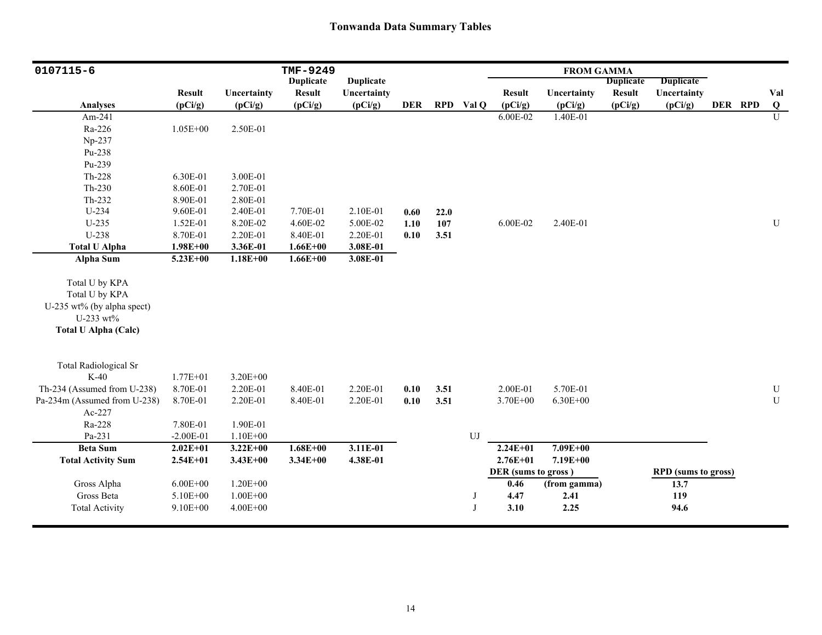| 0107115-6                              |               |              | TMF-9249         |                  |            |      |           |                     | <b>FROM GAMMA</b> |                  |                            |         |                |
|----------------------------------------|---------------|--------------|------------------|------------------|------------|------|-----------|---------------------|-------------------|------------------|----------------------------|---------|----------------|
|                                        |               |              | <b>Duplicate</b> | <b>Duplicate</b> |            |      |           |                     |                   | <b>Duplicate</b> | <b>Duplicate</b>           |         |                |
|                                        | <b>Result</b> | Uncertainty  | <b>Result</b>    | Uncertainty      |            |      |           | <b>Result</b>       | Uncertainty       | <b>Result</b>    | Uncertainty                |         | Val            |
| <b>Analyses</b>                        | (pCi/g)       | (pCi/g)      | (pCi/g)          | (pCi/g)          | <b>DER</b> |      | RPD Val Q | (pCi/g)             | (pCi/g)           | (pCi/g)          | (pCi/g)                    | DER RPD | Q              |
| Am-241                                 |               |              |                  |                  |            |      |           | 6.00E-02            | 1.40E-01          |                  |                            |         | $\overline{U}$ |
| Ra-226                                 | $1.05E + 00$  | 2.50E-01     |                  |                  |            |      |           |                     |                   |                  |                            |         |                |
| Np-237                                 |               |              |                  |                  |            |      |           |                     |                   |                  |                            |         |                |
| Pu-238                                 |               |              |                  |                  |            |      |           |                     |                   |                  |                            |         |                |
| Pu-239                                 |               |              |                  |                  |            |      |           |                     |                   |                  |                            |         |                |
| Th-228                                 | 6.30E-01      | 3.00E-01     |                  |                  |            |      |           |                     |                   |                  |                            |         |                |
| $Th-230$                               | 8.60E-01      | 2.70E-01     |                  |                  |            |      |           |                     |                   |                  |                            |         |                |
| Th-232                                 | 8.90E-01      | 2.80E-01     |                  |                  |            |      |           |                     |                   |                  |                            |         |                |
| U-234                                  | 9.60E-01      | 2.40E-01     | 7.70E-01         | 2.10E-01         | 0.60       | 22.0 |           |                     |                   |                  |                            |         |                |
| $U-235$                                | 1.52E-01      | 8.20E-02     | 4.60E-02         | 5.00E-02         | 1.10       | 107  |           | 6.00E-02            | 2.40E-01          |                  |                            |         | $\mathbf U$    |
| U-238                                  | 8.70E-01      | 2.20E-01     | 8.40E-01         | 2.20E-01         | 0.10       | 3.51 |           |                     |                   |                  |                            |         |                |
| <b>Total U Alpha</b>                   | $1.98E + 00$  | 3.36E-01     | $1.66E + 00$     | 3.08E-01         |            |      |           |                     |                   |                  |                            |         |                |
| <b>Alpha Sum</b>                       | $5.23E + 00$  | $1.18E + 00$ | $1.66E + 00$     | 3.08E-01         |            |      |           |                     |                   |                  |                            |         |                |
| Total U by KPA                         |               |              |                  |                  |            |      |           |                     |                   |                  |                            |         |                |
| Total U by KPA                         |               |              |                  |                  |            |      |           |                     |                   |                  |                            |         |                |
| U-235 wt% (by alpha spect)             |               |              |                  |                  |            |      |           |                     |                   |                  |                            |         |                |
| U-233 wt%                              |               |              |                  |                  |            |      |           |                     |                   |                  |                            |         |                |
| <b>Total U Alpha (Calc)</b>            |               |              |                  |                  |            |      |           |                     |                   |                  |                            |         |                |
|                                        |               |              |                  |                  |            |      |           |                     |                   |                  |                            |         |                |
|                                        |               |              |                  |                  |            |      |           |                     |                   |                  |                            |         |                |
| <b>Total Radiological Sr</b><br>$K-40$ | $1.77E + 01$  | $3.20E + 00$ |                  |                  |            |      |           |                     |                   |                  |                            |         |                |
| Th-234 (Assumed from U-238)            | 8.70E-01      | 2.20E-01     | 8.40E-01         | 2.20E-01         | 0.10       | 3.51 |           | 2.00E-01            | 5.70E-01          |                  |                            |         | ${\bf U}$      |
| Pa-234m (Assumed from U-238)           | 8.70E-01      | 2.20E-01     | 8.40E-01         | 2.20E-01         | 0.10       | 3.51 |           | $3.70E + 00$        | $6.30E + 00$      |                  |                            |         | $\mathbf U$    |
| Ac-227                                 |               |              |                  |                  |            |      |           |                     |                   |                  |                            |         |                |
| Ra-228                                 | 7.80E-01      | 1.90E-01     |                  |                  |            |      |           |                     |                   |                  |                            |         |                |
| Pa-231                                 | $-2.00E-01$   | $1.10E + 00$ |                  |                  |            |      | UJ        |                     |                   |                  |                            |         |                |
| <b>Beta Sum</b>                        | $2.02E + 01$  | $3.22E + 00$ | $1.68E + 00$     | 3.11E-01         |            |      |           | $2.24E + 01$        | $7.09E + 00$      |                  |                            |         |                |
| <b>Total Activity Sum</b>              | $2.54E + 01$  | $3.43E + 00$ | $3.34E + 00$     | 4.38E-01         |            |      |           | $2.76E + 01$        | 7.19E+00          |                  |                            |         |                |
|                                        |               |              |                  |                  |            |      |           | DER (sums to gross) |                   |                  | <b>RPD</b> (sums to gross) |         |                |
| Gross Alpha                            | $6.00E + 00$  | $1.20E + 00$ |                  |                  |            |      |           | 0.46                | (from gamma)      |                  | 13.7                       |         |                |
| Gross Beta                             | 5.10E+00      | $1.00E + 00$ |                  |                  |            |      | J         | 4.47                | 2.41              |                  | 119                        |         |                |
| <b>Total Activity</b>                  | $9.10E + 00$  | $4.00E + 00$ |                  |                  |            |      | J         | 3.10                | 2.25              |                  | 94.6                       |         |                |
|                                        |               |              |                  |                  |            |      |           |                     |                   |                  |                            |         |                |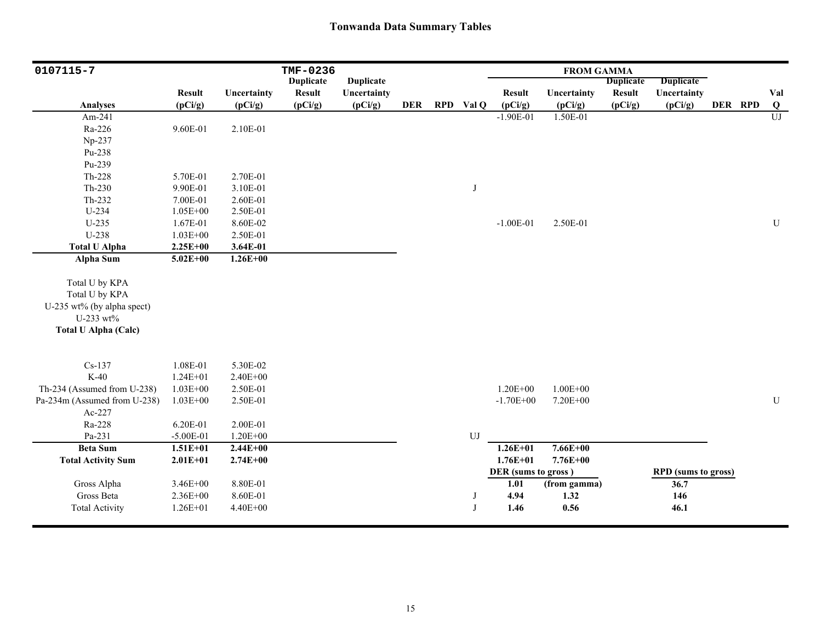| 0107115-7                    |               |              | TMF-0236         |                  |     |            |                     | <b>FROM GAMMA</b> |                  |                            |         |                |
|------------------------------|---------------|--------------|------------------|------------------|-----|------------|---------------------|-------------------|------------------|----------------------------|---------|----------------|
|                              |               |              | <b>Duplicate</b> | <b>Duplicate</b> |     |            |                     |                   | <b>Duplicate</b> | <b>Duplicate</b>           |         |                |
|                              | <b>Result</b> | Uncertainty  | <b>Result</b>    | Uncertainty      |     |            | <b>Result</b>       | Uncertainty       | <b>Result</b>    | Uncertainty                |         | Val            |
| <b>Analyses</b>              | (pCi/g)       | (pCi/g)      | (pCi/g)          | (pCi/g)          | DER | RPD Val Q  | (pCi/g)             | (pCi/g)           | (pCi/g)          | (pCi/g)                    | DER RPD | $\bf Q$        |
| Am-241                       |               |              |                  |                  |     |            | $-1.90E-01$         | 1.50E-01          |                  |                            |         | $\overline{U}$ |
| Ra-226                       | 9.60E-01      | 2.10E-01     |                  |                  |     |            |                     |                   |                  |                            |         |                |
| Np-237                       |               |              |                  |                  |     |            |                     |                   |                  |                            |         |                |
| Pu-238                       |               |              |                  |                  |     |            |                     |                   |                  |                            |         |                |
| Pu-239                       |               |              |                  |                  |     |            |                     |                   |                  |                            |         |                |
| Th-228                       | 5.70E-01      | 2.70E-01     |                  |                  |     |            |                     |                   |                  |                            |         |                |
| $Th-230$                     | 9.90E-01      | 3.10E-01     |                  |                  |     | J          |                     |                   |                  |                            |         |                |
| Th-232                       | 7.00E-01      | 2.60E-01     |                  |                  |     |            |                     |                   |                  |                            |         |                |
| U-234                        | $1.05E + 00$  | 2.50E-01     |                  |                  |     |            |                     |                   |                  |                            |         |                |
| $U-235$                      | 1.67E-01      | 8.60E-02     |                  |                  |     |            | $-1.00E-01$         | 2.50E-01          |                  |                            |         | ${\bf U}$      |
| U-238                        | $1.03E + 00$  | 2.50E-01     |                  |                  |     |            |                     |                   |                  |                            |         |                |
| <b>Total U Alpha</b>         | $2.25E + 00$  | 3.64E-01     |                  |                  |     |            |                     |                   |                  |                            |         |                |
| <b>Alpha Sum</b>             | $5.02E + 00$  | $1.26E + 00$ |                  |                  |     |            |                     |                   |                  |                            |         |                |
|                              |               |              |                  |                  |     |            |                     |                   |                  |                            |         |                |
| Total U by KPA               |               |              |                  |                  |     |            |                     |                   |                  |                            |         |                |
| Total U by KPA               |               |              |                  |                  |     |            |                     |                   |                  |                            |         |                |
| U-235 wt% (by alpha spect)   |               |              |                  |                  |     |            |                     |                   |                  |                            |         |                |
| U-233 wt%                    |               |              |                  |                  |     |            |                     |                   |                  |                            |         |                |
| <b>Total U Alpha (Calc)</b>  |               |              |                  |                  |     |            |                     |                   |                  |                            |         |                |
|                              |               |              |                  |                  |     |            |                     |                   |                  |                            |         |                |
|                              |               |              |                  |                  |     |            |                     |                   |                  |                            |         |                |
| $Cs-137$                     | 1.08E-01      | 5.30E-02     |                  |                  |     |            |                     |                   |                  |                            |         |                |
| $K-40$                       | $1.24E + 01$  | $2.40E + 00$ |                  |                  |     |            |                     |                   |                  |                            |         |                |
| Th-234 (Assumed from U-238)  | $1.03E + 00$  | 2.50E-01     |                  |                  |     |            | $1.20E + 00$        | $1.00E + 00$      |                  |                            |         |                |
| Pa-234m (Assumed from U-238) | $1.03E + 00$  | 2.50E-01     |                  |                  |     |            | $-1.70E + 00$       | 7.20E+00          |                  |                            |         | ${\bf U}$      |
| Ac-227                       |               |              |                  |                  |     |            |                     |                   |                  |                            |         |                |
| Ra-228                       | 6.20E-01      | 2.00E-01     |                  |                  |     |            |                     |                   |                  |                            |         |                |
| Pa-231                       | $-5.00E-01$   | $1.20E + 00$ |                  |                  |     | ${\rm UJ}$ |                     |                   |                  |                            |         |                |
| <b>Beta Sum</b>              | $1.51E + 01$  | $2.44E + 00$ |                  |                  |     |            | $1.26E + 01$        | $7.66E + 00$      |                  |                            |         |                |
| <b>Total Activity Sum</b>    | $2.01E + 01$  | $2.74E + 00$ |                  |                  |     |            | $1.76E + 01$        | 7.76E+00          |                  |                            |         |                |
|                              |               |              |                  |                  |     |            | DER (sums to gross) |                   |                  | <b>RPD</b> (sums to gross) |         |                |
| Gross Alpha                  | 3.46E+00      | 8.80E-01     |                  |                  |     |            | 1.01                | (from gamma)      |                  | 36.7                       |         |                |
| Gross Beta                   | 2.36E+00      | 8.60E-01     |                  |                  |     | J          | 4.94                | 1.32              |                  | 146                        |         |                |
| <b>Total Activity</b>        | $1.26E + 01$  | 4.40E+00     |                  |                  |     | J          | 1.46                | 0.56              |                  | 46.1                       |         |                |
|                              |               |              |                  |                  |     |            |                     |                   |                  |                            |         |                |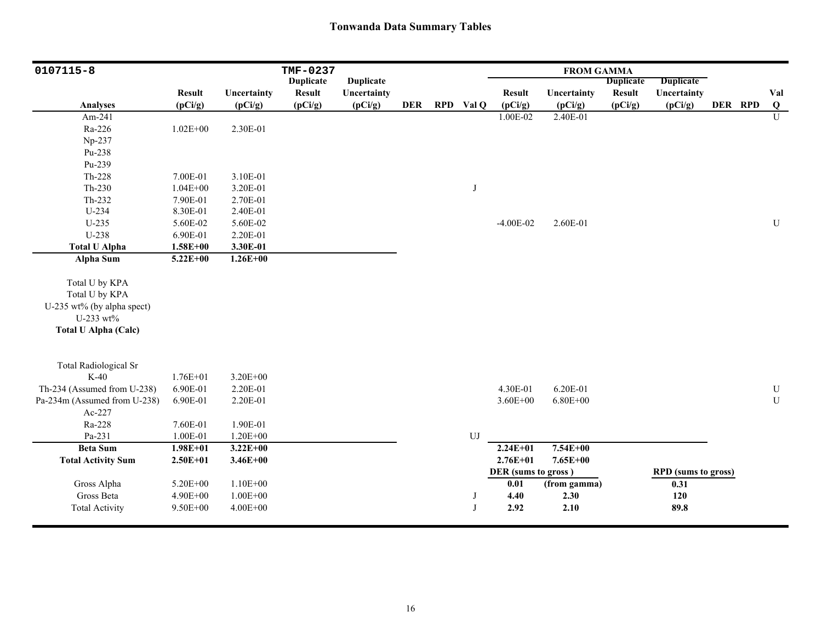| 0107115-8                    |               |              | TMF-0237         |                  |            |           |                     | <b>FROM GAMMA</b> |                  |                            |         |                |
|------------------------------|---------------|--------------|------------------|------------------|------------|-----------|---------------------|-------------------|------------------|----------------------------|---------|----------------|
|                              |               |              | <b>Duplicate</b> | <b>Duplicate</b> |            |           |                     |                   | <b>Duplicate</b> | <b>Duplicate</b>           |         |                |
|                              | <b>Result</b> | Uncertainty  | <b>Result</b>    | Uncertainty      |            |           | <b>Result</b>       | Uncertainty       | <b>Result</b>    | Uncertainty                |         | Val            |
| <b>Analyses</b>              | (pCi/g)       | (pCi/g)      | (pCi/g)          | (pCi/g)          | <b>DER</b> | RPD Val Q | (pCi/g)             | (pCi/g)           | (pCi/g)          | (pCi/g)                    | DER RPD | $\bf{Q}$       |
| Am-241                       |               |              |                  |                  |            |           | 1.00E-02            | 2.40E-01          |                  |                            |         | $\overline{U}$ |
| Ra-226                       | $1.02E + 00$  | 2.30E-01     |                  |                  |            |           |                     |                   |                  |                            |         |                |
| Np-237                       |               |              |                  |                  |            |           |                     |                   |                  |                            |         |                |
| Pu-238                       |               |              |                  |                  |            |           |                     |                   |                  |                            |         |                |
| Pu-239                       |               |              |                  |                  |            |           |                     |                   |                  |                            |         |                |
| Th-228                       | 7.00E-01      | 3.10E-01     |                  |                  |            |           |                     |                   |                  |                            |         |                |
| Th-230                       | $1.04E + 00$  | 3.20E-01     |                  |                  |            | J         |                     |                   |                  |                            |         |                |
| Th-232                       | 7.90E-01      | 2.70E-01     |                  |                  |            |           |                     |                   |                  |                            |         |                |
| U-234                        | 8.30E-01      | 2.40E-01     |                  |                  |            |           |                     |                   |                  |                            |         |                |
| $U-235$                      | 5.60E-02      | 5.60E-02     |                  |                  |            |           | $-4.00E-02$         | 2.60E-01          |                  |                            |         | ${\bf U}$      |
| U-238                        | 6.90E-01      | 2.20E-01     |                  |                  |            |           |                     |                   |                  |                            |         |                |
| <b>Total U Alpha</b>         | $1.58E + 00$  | 3.30E-01     |                  |                  |            |           |                     |                   |                  |                            |         |                |
| Alpha Sum                    | $5.22E + 00$  | $1.26E + 00$ |                  |                  |            |           |                     |                   |                  |                            |         |                |
|                              |               |              |                  |                  |            |           |                     |                   |                  |                            |         |                |
| Total U by KPA               |               |              |                  |                  |            |           |                     |                   |                  |                            |         |                |
| Total U by KPA               |               |              |                  |                  |            |           |                     |                   |                  |                            |         |                |
| U-235 wt% (by alpha spect)   |               |              |                  |                  |            |           |                     |                   |                  |                            |         |                |
| U-233 wt%                    |               |              |                  |                  |            |           |                     |                   |                  |                            |         |                |
| <b>Total U Alpha (Calc)</b>  |               |              |                  |                  |            |           |                     |                   |                  |                            |         |                |
|                              |               |              |                  |                  |            |           |                     |                   |                  |                            |         |                |
|                              |               |              |                  |                  |            |           |                     |                   |                  |                            |         |                |
| <b>Total Radiological Sr</b> |               |              |                  |                  |            |           |                     |                   |                  |                            |         |                |
| $K-40$                       | 1.76E+01      | $3.20E + 00$ |                  |                  |            |           |                     |                   |                  |                            |         |                |
| Th-234 (Assumed from U-238)  | 6.90E-01      | 2.20E-01     |                  |                  |            |           | 4.30E-01            | 6.20E-01          |                  |                            |         | ${\bf U}$      |
| Pa-234m (Assumed from U-238) | 6.90E-01      | 2.20E-01     |                  |                  |            |           | $3.60E + 00$        | $6.80E + 00$      |                  |                            |         | ${\bf U}$      |
| Ac-227                       |               |              |                  |                  |            |           |                     |                   |                  |                            |         |                |
| Ra-228                       | 7.60E-01      | 1.90E-01     |                  |                  |            |           |                     |                   |                  |                            |         |                |
| Pa-231                       | 1.00E-01      | $1.20E + 00$ |                  |                  |            | UJ        |                     |                   |                  |                            |         |                |
| <b>Beta Sum</b>              | $1.98E + 01$  | $3.22E + 00$ |                  |                  |            |           | $2.24E + 01$        | $7.54E + 00$      |                  |                            |         |                |
| <b>Total Activity Sum</b>    | $2.50E + 01$  | $3.46E + 00$ |                  |                  |            |           | $2.76E + 01$        | $7.65E + 00$      |                  |                            |         |                |
|                              |               |              |                  |                  |            |           | DER (sums to gross) |                   |                  | <b>RPD</b> (sums to gross) |         |                |
| Gross Alpha                  | 5.20E+00      | $1.10E + 00$ |                  |                  |            |           | $0.01\,$            | (from gamma)      |                  | 0.31                       |         |                |
| Gross Beta                   | 4.90E+00      | $1.00E + 00$ |                  |                  |            | J         | 4.40                | 2.30              |                  | $120$                      |         |                |
| <b>Total Activity</b>        | 9.50E+00      | $4.00E + 00$ |                  |                  |            | J         | 2.92                | 2.10              |                  | 89.8                       |         |                |
|                              |               |              |                  |                  |            |           |                     |                   |                  |                            |         |                |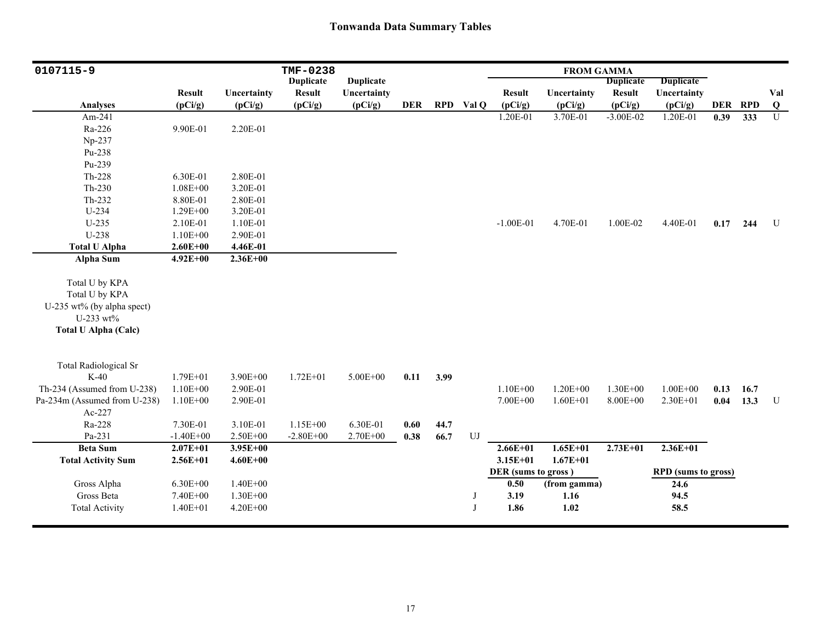| 0107115-9                    |               |              | TMF-0238         |                  |            |      |           |                     | <b>FROM GAMMA</b> |                  |                            |         |      |                |
|------------------------------|---------------|--------------|------------------|------------------|------------|------|-----------|---------------------|-------------------|------------------|----------------------------|---------|------|----------------|
|                              |               |              | <b>Duplicate</b> | <b>Duplicate</b> |            |      |           |                     |                   | <b>Duplicate</b> | <b>Duplicate</b>           |         |      |                |
|                              | <b>Result</b> | Uncertainty  | <b>Result</b>    | Uncertainty      |            |      |           | <b>Result</b>       | Uncertainty       | <b>Result</b>    | Uncertainty                |         |      | Val            |
| <b>Analyses</b>              | (pCi/g)       | (pCi/g)      | (pCi/g)          | (pCi/g)          | <b>DER</b> |      | RPD Val Q | (pCi/g)             | (pCi/g)           | (pCi/g)          | (pCi/g)                    | DER RPD |      | $\overline{Q}$ |
| Am-241                       |               |              |                  |                  |            |      |           | 1.20E-01            | 3.70E-01          | $-3.00E-02$      | 1.20E-01                   | 0.39    | 333  | $\overline{U}$ |
| Ra-226                       | 9.90E-01      | 2.20E-01     |                  |                  |            |      |           |                     |                   |                  |                            |         |      |                |
| Np-237                       |               |              |                  |                  |            |      |           |                     |                   |                  |                            |         |      |                |
| Pu-238                       |               |              |                  |                  |            |      |           |                     |                   |                  |                            |         |      |                |
| Pu-239                       |               |              |                  |                  |            |      |           |                     |                   |                  |                            |         |      |                |
| $Th-228$                     | 6.30E-01      | 2.80E-01     |                  |                  |            |      |           |                     |                   |                  |                            |         |      |                |
| $Th-230$                     | $1.08E + 00$  | 3.20E-01     |                  |                  |            |      |           |                     |                   |                  |                            |         |      |                |
| Th-232                       | 8.80E-01      | 2.80E-01     |                  |                  |            |      |           |                     |                   |                  |                            |         |      |                |
| U-234                        | 1.29E+00      | 3.20E-01     |                  |                  |            |      |           |                     |                   |                  |                            |         |      |                |
| $U-235$                      | 2.10E-01      | 1.10E-01     |                  |                  |            |      |           | $-1.00E-01$         | 4.70E-01          | 1.00E-02         | 4.40E-01                   | 0.17    | 244  | U              |
| U-238                        | $1.10E + 00$  | 2.90E-01     |                  |                  |            |      |           |                     |                   |                  |                            |         |      |                |
| <b>Total U Alpha</b>         | $2.60E + 00$  | 4.46E-01     |                  |                  |            |      |           |                     |                   |                  |                            |         |      |                |
| Alpha Sum                    | $4.92E + 00$  | $2.36E + 00$ |                  |                  |            |      |           |                     |                   |                  |                            |         |      |                |
|                              |               |              |                  |                  |            |      |           |                     |                   |                  |                            |         |      |                |
| Total U by KPA               |               |              |                  |                  |            |      |           |                     |                   |                  |                            |         |      |                |
| Total U by KPA               |               |              |                  |                  |            |      |           |                     |                   |                  |                            |         |      |                |
| U-235 wt% (by alpha spect)   |               |              |                  |                  |            |      |           |                     |                   |                  |                            |         |      |                |
| U-233 wt%                    |               |              |                  |                  |            |      |           |                     |                   |                  |                            |         |      |                |
| <b>Total U Alpha (Calc)</b>  |               |              |                  |                  |            |      |           |                     |                   |                  |                            |         |      |                |
|                              |               |              |                  |                  |            |      |           |                     |                   |                  |                            |         |      |                |
|                              |               |              |                  |                  |            |      |           |                     |                   |                  |                            |         |      |                |
| <b>Total Radiological Sr</b> |               |              |                  |                  |            |      |           |                     |                   |                  |                            |         |      |                |
| $K-40$                       | $1.79E + 01$  | 3.90E+00     | $1.72E + 01$     | 5.00E+00         | 0.11       | 3.99 |           |                     |                   |                  |                            |         |      |                |
| Th-234 (Assumed from U-238)  | $1.10E + 00$  | 2.90E-01     |                  |                  |            |      |           | $1.10E + 00$        | $1.20E + 00$      | $1.30E + 00$     | $1.00E + 00$               | 0.13    | 16.7 |                |
| Pa-234m (Assumed from U-238) | $1.10E + 00$  | 2.90E-01     |                  |                  |            |      |           | 7.00E+00            | $1.60E + 01$      | $8.00E + 00$     | 2.30E+01                   | 0.04    | 13.3 | $\mathbf U$    |
| Ac-227                       |               |              |                  |                  |            |      |           |                     |                   |                  |                            |         |      |                |
| Ra-228                       | 7.30E-01      | 3.10E-01     | 1.15E+00         | 6.30E-01         | 0.60       | 44.7 |           |                     |                   |                  |                            |         |      |                |
| Pa-231                       | $-1.40E + 00$ | $2.50E + 00$ | $-2.80E + 00$    | $2.70E + 00$     | 0.38       | 66.7 | UJ        |                     |                   |                  |                            |         |      |                |
| <b>Beta Sum</b>              | $2.07E + 01$  | $3.95E + 00$ |                  |                  |            |      |           | $2.66E + 01$        | $1.65E + 01$      | $2.73E + 01$     | $2.36E+01$                 |         |      |                |
| <b>Total Activity Sum</b>    | $2.56E + 01$  | $4.60E + 00$ |                  |                  |            |      |           | $3.15E + 01$        | $1.67E + 01$      |                  |                            |         |      |                |
|                              |               |              |                  |                  |            |      |           | DER (sums to gross) |                   |                  | <b>RPD</b> (sums to gross) |         |      |                |
| Gross Alpha                  | $6.30E + 00$  | $1.40E + 00$ |                  |                  |            |      |           | 0.50                | (from gamma)      |                  | 24.6                       |         |      |                |
| Gross Beta                   | 7.40E+00      | $1.30E + 00$ |                  |                  |            |      | J         | 3.19                | 1.16              |                  | 94.5                       |         |      |                |
| <b>Total Activity</b>        | $1.40E + 01$  | $4.20E + 00$ |                  |                  |            |      | J         | 1.86                | 1.02              |                  | 58.5                       |         |      |                |
|                              |               |              |                  |                  |            |      |           |                     |                   |                  |                            |         |      |                |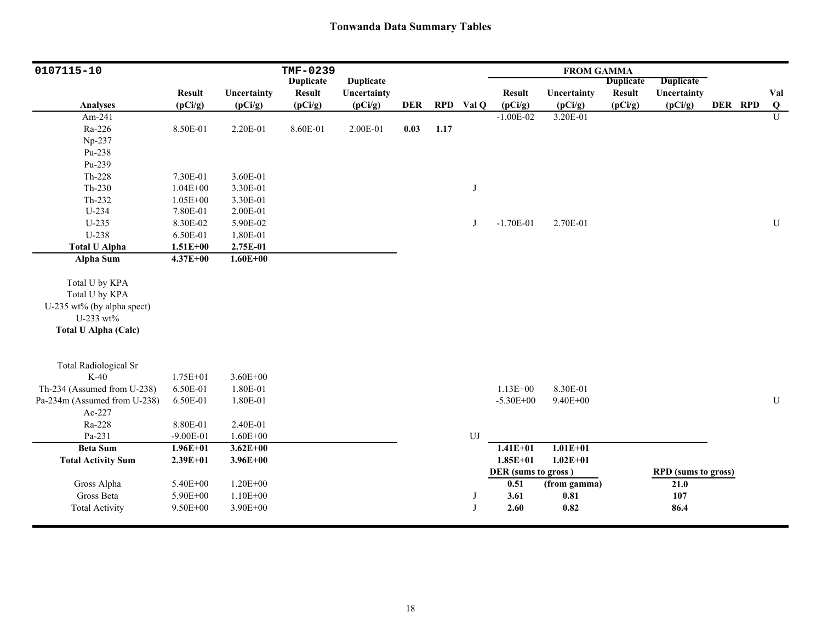| 0107115-10                             |                             |                              | TMF-0239         |                  |            |      |           |                             | <b>FROM GAMMA</b> |                  |                                    |         |                         |
|----------------------------------------|-----------------------------|------------------------------|------------------|------------------|------------|------|-----------|-----------------------------|-------------------|------------------|------------------------------------|---------|-------------------------|
|                                        |                             |                              | <b>Duplicate</b> | <b>Duplicate</b> |            |      |           |                             |                   | <b>Duplicate</b> | <b>Duplicate</b>                   |         |                         |
|                                        | <b>Result</b>               | Uncertainty                  | <b>Result</b>    | Uncertainty      |            |      |           | <b>Result</b>               | Uncertainty       | <b>Result</b>    | Uncertainty                        |         | Val                     |
| <b>Analyses</b>                        | (pCi/g)                     | (pCi/g)                      | (pCi/g)          | (pCi/g)          | <b>DER</b> |      | RPD Val Q | (pCi/g)                     | (pCi/g)           | (pCi/g)          | (pCi/g)                            | DER RPD | $\overline{\mathbf{Q}}$ |
| Am-241                                 |                             |                              |                  |                  |            |      |           | $-1.00E-02$                 | 3.20E-01          |                  |                                    |         | $\overline{U}$          |
| Ra-226                                 | 8.50E-01                    | 2.20E-01                     | 8.60E-01         | 2.00E-01         | 0.03       | 1.17 |           |                             |                   |                  |                                    |         |                         |
| Np-237                                 |                             |                              |                  |                  |            |      |           |                             |                   |                  |                                    |         |                         |
| Pu-238                                 |                             |                              |                  |                  |            |      |           |                             |                   |                  |                                    |         |                         |
| Pu-239                                 |                             |                              |                  |                  |            |      |           |                             |                   |                  |                                    |         |                         |
| $Th-228$                               | 7.30E-01                    | 3.60E-01                     |                  |                  |            |      |           |                             |                   |                  |                                    |         |                         |
| $Th-230$                               | $1.04E + 00$                | 3.30E-01                     |                  |                  |            |      | J         |                             |                   |                  |                                    |         |                         |
| $Th-232$                               | $1.05E + 00$                | 3.30E-01                     |                  |                  |            |      |           |                             |                   |                  |                                    |         |                         |
| U-234                                  | 7.80E-01                    | 2.00E-01                     |                  |                  |            |      |           |                             |                   |                  |                                    |         |                         |
| $U-235$                                | 8.30E-02                    | 5.90E-02                     |                  |                  |            |      | J         | $-1.70E-01$                 | 2.70E-01          |                  |                                    |         | ${\bf U}$               |
| U-238                                  | 6.50E-01                    | 1.80E-01                     |                  |                  |            |      |           |                             |                   |                  |                                    |         |                         |
| <b>Total U Alpha</b>                   | $1.51E + 00$                | 2.75E-01                     |                  |                  |            |      |           |                             |                   |                  |                                    |         |                         |
| Alpha Sum                              | $4.37E + 00$                | $1.60E + 00$                 |                  |                  |            |      |           |                             |                   |                  |                                    |         |                         |
|                                        |                             |                              |                  |                  |            |      |           |                             |                   |                  |                                    |         |                         |
| Total U by KPA                         |                             |                              |                  |                  |            |      |           |                             |                   |                  |                                    |         |                         |
| Total U by KPA                         |                             |                              |                  |                  |            |      |           |                             |                   |                  |                                    |         |                         |
| U-235 wt% (by alpha spect)             |                             |                              |                  |                  |            |      |           |                             |                   |                  |                                    |         |                         |
| U-233 wt%                              |                             |                              |                  |                  |            |      |           |                             |                   |                  |                                    |         |                         |
| <b>Total U Alpha (Calc)</b>            |                             |                              |                  |                  |            |      |           |                             |                   |                  |                                    |         |                         |
|                                        |                             |                              |                  |                  |            |      |           |                             |                   |                  |                                    |         |                         |
|                                        |                             |                              |                  |                  |            |      |           |                             |                   |                  |                                    |         |                         |
| <b>Total Radiological Sr</b><br>$K-40$ | 1.75E+01                    | $3.60E + 00$                 |                  |                  |            |      |           |                             |                   |                  |                                    |         |                         |
|                                        |                             |                              |                  |                  |            |      |           | $1.13E + 00$                |                   |                  |                                    |         |                         |
| Th-234 (Assumed from U-238)            | 6.50E-01                    | 1.80E-01                     |                  |                  |            |      |           |                             | 8.30E-01          |                  |                                    |         |                         |
| Pa-234m (Assumed from U-238)           | 6.50E-01                    | 1.80E-01                     |                  |                  |            |      |           | $-5.30E + 00$               | 9.40E+00          |                  |                                    |         | ${\bf U}$               |
| Ac-227                                 |                             | 2.40E-01                     |                  |                  |            |      |           |                             |                   |                  |                                    |         |                         |
| Ra-228<br>Pa-231                       | 8.80E-01                    |                              |                  |                  |            |      |           |                             |                   |                  |                                    |         |                         |
| <b>Beta Sum</b>                        | $-9.00E-01$<br>$1.96E + 01$ | $1.60E + 00$<br>$3.62E + 00$ |                  |                  |            |      | UJ        | $1.41E + 01$                | $1.01E + 01$      |                  |                                    |         |                         |
|                                        | $2.39E + 01$                | $3.96E + 00$                 |                  |                  |            |      |           | $1.85E + 01$                | $1.02E + 01$      |                  |                                    |         |                         |
| <b>Total Activity Sum</b>              |                             |                              |                  |                  |            |      |           |                             |                   |                  |                                    |         |                         |
|                                        |                             | $1.20E + 00$                 |                  |                  |            |      |           | DER (sums to gross)<br>0.51 |                   |                  | <b>RPD</b> (sums to gross)<br>21.0 |         |                         |
| Gross Alpha<br>Gross Beta              | 5.40E+00<br>5.90E+00        | $1.10E + 00$                 |                  |                  |            |      |           | 3.61                        | (from gamma)      |                  |                                    |         |                         |
|                                        |                             |                              |                  |                  |            |      | J<br>J    |                             | 0.81              |                  | $107\,$                            |         |                         |
| <b>Total Activity</b>                  | 9.50E+00                    | 3.90E+00                     |                  |                  |            |      |           | 2.60                        | 0.82              |                  | 86.4                               |         |                         |
|                                        |                             |                              |                  |                  |            |      |           |                             |                   |                  |                                    |         |                         |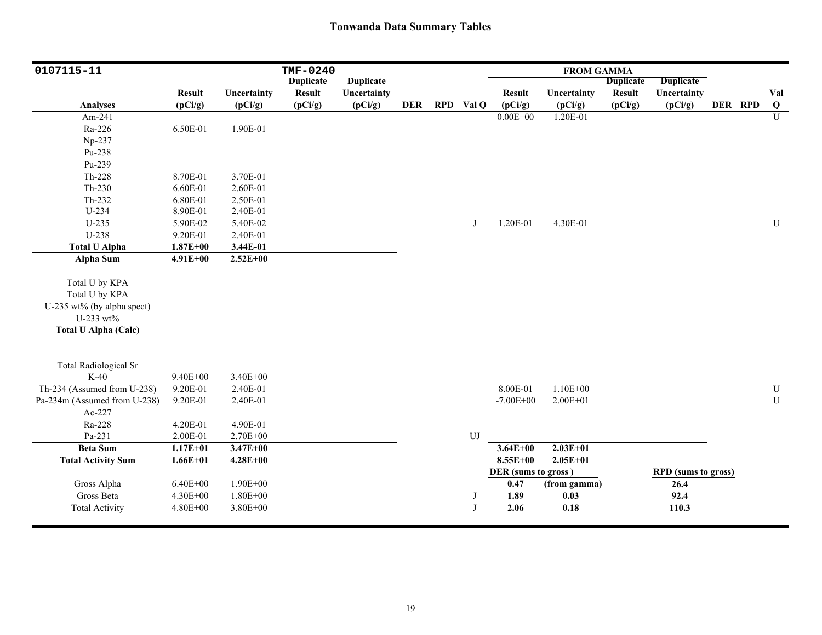| 0107115-11                             |               |              | TMF-0240         |                  |            |           |                     | <b>FROM GAMMA</b> |                  |                            |         |           |
|----------------------------------------|---------------|--------------|------------------|------------------|------------|-----------|---------------------|-------------------|------------------|----------------------------|---------|-----------|
|                                        |               |              | <b>Duplicate</b> | <b>Duplicate</b> |            |           |                     |                   | <b>Duplicate</b> | <b>Duplicate</b>           |         |           |
|                                        | <b>Result</b> | Uncertainty  | <b>Result</b>    | Uncertainty      |            |           | <b>Result</b>       | Uncertainty       | <b>Result</b>    | Uncertainty                |         | Val       |
| <b>Analyses</b>                        | (pCi/g)       | (pCi/g)      | (pCi/g)          | (pCi/g)          | <b>DER</b> | RPD Val Q | (pCi/g)             | (pCi/g)           | (pCi/g)          | (pCi/g)                    | DER RPD | Q         |
| Am-241                                 |               |              |                  |                  |            |           | $0.00E + 00$        | 1.20E-01          |                  |                            |         | U         |
| Ra-226                                 | 6.50E-01      | 1.90E-01     |                  |                  |            |           |                     |                   |                  |                            |         |           |
| Np-237                                 |               |              |                  |                  |            |           |                     |                   |                  |                            |         |           |
| Pu-238                                 |               |              |                  |                  |            |           |                     |                   |                  |                            |         |           |
| Pu-239                                 |               |              |                  |                  |            |           |                     |                   |                  |                            |         |           |
| Th-228                                 | 8.70E-01      | 3.70E-01     |                  |                  |            |           |                     |                   |                  |                            |         |           |
| $Th-230$                               | 6.60E-01      | 2.60E-01     |                  |                  |            |           |                     |                   |                  |                            |         |           |
| Th-232                                 | 6.80E-01      | 2.50E-01     |                  |                  |            |           |                     |                   |                  |                            |         |           |
| U-234                                  | 8.90E-01      | 2.40E-01     |                  |                  |            |           |                     |                   |                  |                            |         |           |
| $U-235$                                | 5.90E-02      | 5.40E-02     |                  |                  |            | J         | 1.20E-01            | 4.30E-01          |                  |                            |         | ${\bf U}$ |
| U-238                                  | 9.20E-01      | 2.40E-01     |                  |                  |            |           |                     |                   |                  |                            |         |           |
| <b>Total U Alpha</b>                   | $1.87E + 00$  | 3.44E-01     |                  |                  |            |           |                     |                   |                  |                            |         |           |
| <b>Alpha Sum</b>                       | $4.91E + 00$  | $2.52E + 00$ |                  |                  |            |           |                     |                   |                  |                            |         |           |
|                                        |               |              |                  |                  |            |           |                     |                   |                  |                            |         |           |
| Total U by KPA                         |               |              |                  |                  |            |           |                     |                   |                  |                            |         |           |
| Total U by KPA                         |               |              |                  |                  |            |           |                     |                   |                  |                            |         |           |
| U-235 wt% (by alpha spect)             |               |              |                  |                  |            |           |                     |                   |                  |                            |         |           |
| U-233 wt%                              |               |              |                  |                  |            |           |                     |                   |                  |                            |         |           |
| <b>Total U Alpha (Calc)</b>            |               |              |                  |                  |            |           |                     |                   |                  |                            |         |           |
|                                        |               |              |                  |                  |            |           |                     |                   |                  |                            |         |           |
|                                        |               |              |                  |                  |            |           |                     |                   |                  |                            |         |           |
| <b>Total Radiological Sr</b><br>$K-40$ | $9.40E + 00$  | $3.40E + 00$ |                  |                  |            |           |                     |                   |                  |                            |         |           |
| Th-234 (Assumed from U-238)            | 9.20E-01      | 2.40E-01     |                  |                  |            |           | 8.00E-01            | $1.10E + 00$      |                  |                            |         | ${\bf U}$ |
|                                        |               |              |                  |                  |            |           |                     |                   |                  |                            |         | ${\bf U}$ |
| Pa-234m (Assumed from U-238)           | 9.20E-01      | 2.40E-01     |                  |                  |            |           | $-7.00E + 00$       | $2.00E + 01$      |                  |                            |         |           |
| Ac-227                                 |               | 4.90E-01     |                  |                  |            |           |                     |                   |                  |                            |         |           |
| Ra-228                                 | 4.20E-01      |              |                  |                  |            |           |                     |                   |                  |                            |         |           |
| Pa-231                                 | 2.00E-01      | 2.70E+00     |                  |                  |            | UJ        |                     |                   |                  |                            |         |           |
| <b>Beta Sum</b>                        | $1.17E + 01$  | $3.47E + 00$ |                  |                  |            |           | $3.64E + 00$        | $2.03E+01$        |                  |                            |         |           |
| <b>Total Activity Sum</b>              | $1.66E + 01$  | $4.28E + 00$ |                  |                  |            |           | $8.55E+00$          | $2.05E + 01$      |                  |                            |         |           |
|                                        |               |              |                  |                  |            |           | DER (sums to gross) |                   |                  | <b>RPD</b> (sums to gross) |         |           |
| Gross Alpha                            | $6.40E + 00$  | $1.90E + 00$ |                  |                  |            |           | 0.47                | (from gamma)      |                  | 26.4                       |         |           |
| Gross Beta                             | 4.30E+00      | $1.80E + 00$ |                  |                  |            | J         | 1.89                | 0.03              |                  | 92.4                       |         |           |
| <b>Total Activity</b>                  | $4.80E + 00$  | 3.80E+00     |                  |                  |            | J         | 2.06                | 0.18              |                  | 110.3                      |         |           |
|                                        |               |              |                  |                  |            |           |                     |                   |                  |                            |         |           |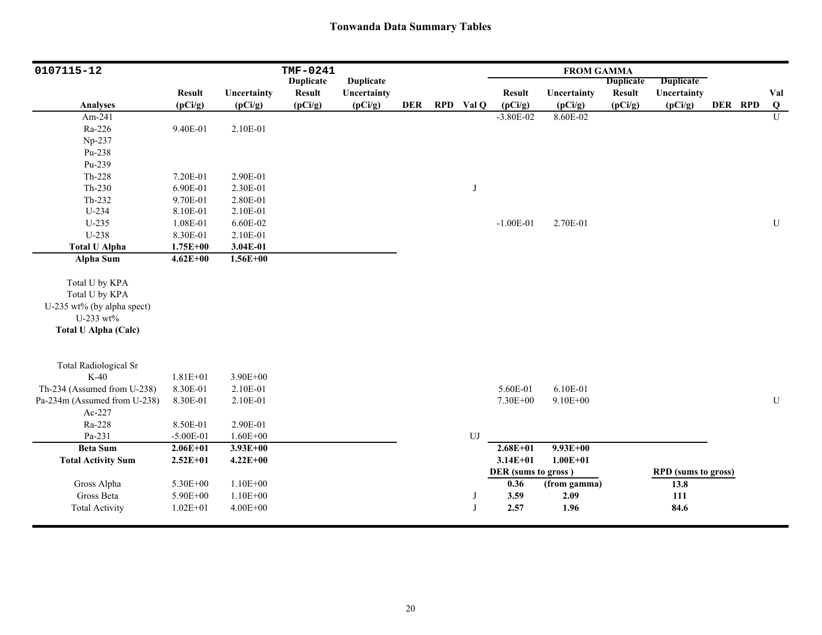| 0107115-12                   |               |              | TMF-0241         |                  |            |                  |                     | <b>FROM GAMMA</b> |                  |                            |         |                         |
|------------------------------|---------------|--------------|------------------|------------------|------------|------------------|---------------------|-------------------|------------------|----------------------------|---------|-------------------------|
|                              |               |              | <b>Duplicate</b> | <b>Duplicate</b> |            |                  |                     |                   | <b>Duplicate</b> | <b>Duplicate</b>           |         |                         |
|                              | <b>Result</b> | Uncertainty  | Result           | Uncertainty      |            |                  | <b>Result</b>       | Uncertainty       | <b>Result</b>    | Uncertainty                |         | Val                     |
| <b>Analyses</b>              | (pCi/g)       | (pCi/g)      | (pCi/g)          | (pCi/g)          | <b>DER</b> | RPD Val Q        | (pCi/g)             | (pCi/g)           | (pCi/g)          | (pCi/g)                    | DER RPD | $\overline{\mathbf{Q}}$ |
| Am-241                       |               |              |                  |                  |            |                  | $-3.80E - 02$       | 8.60E-02          |                  |                            |         | U                       |
| Ra-226                       | 9.40E-01      | 2.10E-01     |                  |                  |            |                  |                     |                   |                  |                            |         |                         |
| Np-237                       |               |              |                  |                  |            |                  |                     |                   |                  |                            |         |                         |
| Pu-238                       |               |              |                  |                  |            |                  |                     |                   |                  |                            |         |                         |
| Pu-239                       |               |              |                  |                  |            |                  |                     |                   |                  |                            |         |                         |
| Th-228                       | 7.20E-01      | 2.90E-01     |                  |                  |            |                  |                     |                   |                  |                            |         |                         |
| $Th-230$                     | 6.90E-01      | 2.30E-01     |                  |                  |            | J                |                     |                   |                  |                            |         |                         |
| Th-232                       | 9.70E-01      | 2.80E-01     |                  |                  |            |                  |                     |                   |                  |                            |         |                         |
| U-234                        | 8.10E-01      | 2.10E-01     |                  |                  |            |                  |                     |                   |                  |                            |         |                         |
| $U-235$                      | 1.08E-01      | 6.60E-02     |                  |                  |            |                  | $-1.00E-01$         | 2.70E-01          |                  |                            |         | ${\bf U}$               |
| U-238                        | 8.30E-01      | 2.10E-01     |                  |                  |            |                  |                     |                   |                  |                            |         |                         |
| <b>Total U Alpha</b>         | $1.75E + 00$  | 3.04E-01     |                  |                  |            |                  |                     |                   |                  |                            |         |                         |
| Alpha Sum                    | $4.62E + 00$  | $1.56E + 00$ |                  |                  |            |                  |                     |                   |                  |                            |         |                         |
|                              |               |              |                  |                  |            |                  |                     |                   |                  |                            |         |                         |
| Total U by KPA               |               |              |                  |                  |            |                  |                     |                   |                  |                            |         |                         |
| Total U by KPA               |               |              |                  |                  |            |                  |                     |                   |                  |                            |         |                         |
| U-235 wt% (by alpha spect)   |               |              |                  |                  |            |                  |                     |                   |                  |                            |         |                         |
| U-233 wt%                    |               |              |                  |                  |            |                  |                     |                   |                  |                            |         |                         |
| <b>Total U Alpha (Calc)</b>  |               |              |                  |                  |            |                  |                     |                   |                  |                            |         |                         |
|                              |               |              |                  |                  |            |                  |                     |                   |                  |                            |         |                         |
| <b>Total Radiological Sr</b> |               |              |                  |                  |            |                  |                     |                   |                  |                            |         |                         |
| $K-40$                       | $1.81E + 01$  | 3.90E+00     |                  |                  |            |                  |                     |                   |                  |                            |         |                         |
| Th-234 (Assumed from U-238)  | 8.30E-01      | 2.10E-01     |                  |                  |            |                  | 5.60E-01            | 6.10E-01          |                  |                            |         |                         |
| Pa-234m (Assumed from U-238) | 8.30E-01      | 2.10E-01     |                  |                  |            |                  | 7.30E+00            | 9.10E+00          |                  |                            |         | ${\bf U}$               |
| Ac-227                       |               |              |                  |                  |            |                  |                     |                   |                  |                            |         |                         |
| Ra-228                       | 8.50E-01      | 2.90E-01     |                  |                  |            |                  |                     |                   |                  |                            |         |                         |
| Pa-231                       | $-5.00E-01$   | $1.60E + 00$ |                  |                  |            | ${\bf U}{\bf J}$ |                     |                   |                  |                            |         |                         |
| <b>Beta Sum</b>              | $2.06E + 01$  | $3.93E + 00$ |                  |                  |            |                  | $2.68E + 01$        | $9.93E + 00$      |                  |                            |         |                         |
| <b>Total Activity Sum</b>    | $2.52E+01$    | $4.22E + 00$ |                  |                  |            |                  | $3.14E + 01$        | $1.00E + 01$      |                  |                            |         |                         |
|                              |               |              |                  |                  |            |                  | DER (sums to gross) |                   |                  | <b>RPD</b> (sums to gross) |         |                         |
| Gross Alpha                  | 5.30E+00      | $1.10E + 00$ |                  |                  |            |                  | 0.36                | (from gamma)      |                  | 13.8                       |         |                         |
| Gross Beta                   | 5.90E+00      | $1.10E + 00$ |                  |                  |            | J                | 3.59                | 2.09              |                  | 111                        |         |                         |
| <b>Total Activity</b>        | $1.02E + 01$  | $4.00E + 00$ |                  |                  |            | J                | 2.57                | 1.96              |                  | 84.6                       |         |                         |
|                              |               |              |                  |                  |            |                  |                     |                   |                  |                            |         |                         |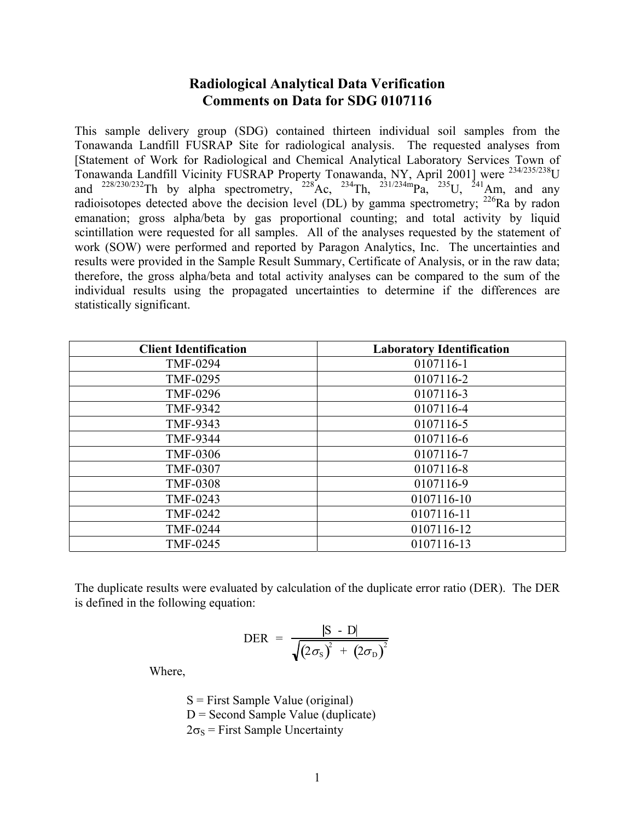# **Radiological Analytical Data Verification Comments on Data for SDG 0107116**

This sample delivery group (SDG) contained thirteen individual soil samples from the Tonawanda Landfill FUSRAP Site for radiological analysis. The requested analyses from [Statement of Work for Radiological and Chemical Analytical Laboratory Services Town of Tonawanda Landfill Vicinity FUSRAP Property Tonawanda, NY, April 2001] were 234/235/238U and  $^{228/230/232}$ Th by alpha spectrometry,  $^{228}$ Ac,  $^{234}$ Th,  $^{231/234m}$ Pa,  $^{235}$ U,  $^{241}$ Am, and any radioisotopes detected above the decision level (DL) by gamma spectrometry;  $^{226}$ Ra by radon emanation; gross alpha/beta by gas proportional counting; and total activity by liquid scintillation were requested for all samples. All of the analyses requested by the statement of work (SOW) were performed and reported by Paragon Analytics, Inc. The uncertainties and results were provided in the Sample Result Summary, Certificate of Analysis, or in the raw data; therefore, the gross alpha/beta and total activity analyses can be compared to the sum of the individual results using the propagated uncertainties to determine if the differences are statistically significant.

| <b>Client Identification</b> | <b>Laboratory Identification</b> |
|------------------------------|----------------------------------|
| <b>TMF-0294</b>              | 0107116-1                        |
| TMF-0295                     | 0107116-2                        |
| <b>TMF-0296</b>              | 0107116-3                        |
| TMF-9342                     | 0107116-4                        |
| TMF-9343                     | 0107116-5                        |
| <b>TMF-9344</b>              | 0107116-6                        |
| <b>TMF-0306</b>              | 0107116-7                        |
| <b>TMF-0307</b>              | 0107116-8                        |
| <b>TMF-0308</b>              | 0107116-9                        |
| TMF-0243                     | 0107116-10                       |
| <b>TMF-0242</b>              | 0107116-11                       |
| <b>TMF-0244</b>              | 0107116-12                       |
| TMF-0245                     | 0107116-13                       |

The duplicate results were evaluated by calculation of the duplicate error ratio (DER). The DER is defined in the following equation:

$$
\text{DER} = \frac{|\text{S} - \text{D}|}{\sqrt{(2\sigma_{\text{S}})^{2} + (2\sigma_{\text{D}})^{2}}}
$$

Where,

 $S =$  First Sample Value (original)  $D =$  Second Sample Value (duplicate)  $2\sigma_s$  = First Sample Uncertainty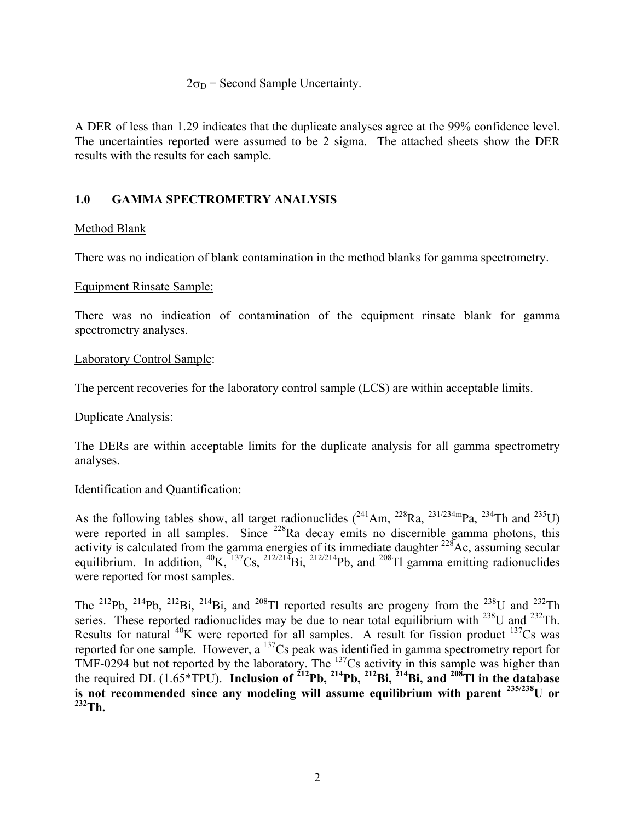#### $2\sigma_D$  = Second Sample Uncertainty.

A DER of less than 1.29 indicates that the duplicate analyses agree at the 99% confidence level. The uncertainties reported were assumed to be 2 sigma. The attached sheets show the DER results with the results for each sample.

# **1.0 GAMMA SPECTROMETRY ANALYSIS**

### Method Blank

There was no indication of blank contamination in the method blanks for gamma spectrometry.

#### Equipment Rinsate Sample:

There was no indication of contamination of the equipment rinsate blank for gamma spectrometry analyses.

#### Laboratory Control Sample:

The percent recoveries for the laboratory control sample (LCS) are within acceptable limits.

#### Duplicate Analysis:

The DERs are within acceptable limits for the duplicate analysis for all gamma spectrometry analyses.

#### Identification and Quantification:

As the following tables show, all target radionuclides  $(^{241}Am$ ,  $^{228}Ra$ ,  $^{231/234m}Pa$ ,  $^{234}Th$  and  $^{235}U$ ) were reported in all samples. Since <sup>228</sup>Ra decay emits no discernible gamma photons, this activity is calculated from the gamma energies of its immediate daughter  $^{228}$ Ac, assuming secular equilibrium. In addition,  ${}^{40}K$ ,  ${}^{137}Cs$ ,  ${}^{212/214}Bi$ ,  ${}^{212/214}Pb$ , and  ${}^{208}Ti$  gamma emitting radionuclides were reported for most samples.

The <sup>212</sup>Pb, <sup>214</sup>Pb, <sup>212</sup>Bi, <sup>214</sup>Bi, and <sup>208</sup>Tl reported results are progeny from the <sup>238</sup>U and <sup>232</sup>Th series. These reported radionuclides may be due to near total equilibrium with <sup>238</sup>U and <sup>232</sup>Th. Results for natural  $^{40}$ K were reported for all samples. A result for fission product  $^{137}$ Cs was reported for one sample. However, a 137Cs peak was identified in gamma spectrometry report for TMF-0294 but not reported by the laboratory. The  $^{137}$ Cs activity in this sample was higher than the required DL (1.65\*TPU). **Inclusion of 212Pb, 214Pb, 212Bi, 214Bi, and 208Tl in the database is not recommended since any modeling will assume equilibrium with parent 235/238U or**   $232$ Th.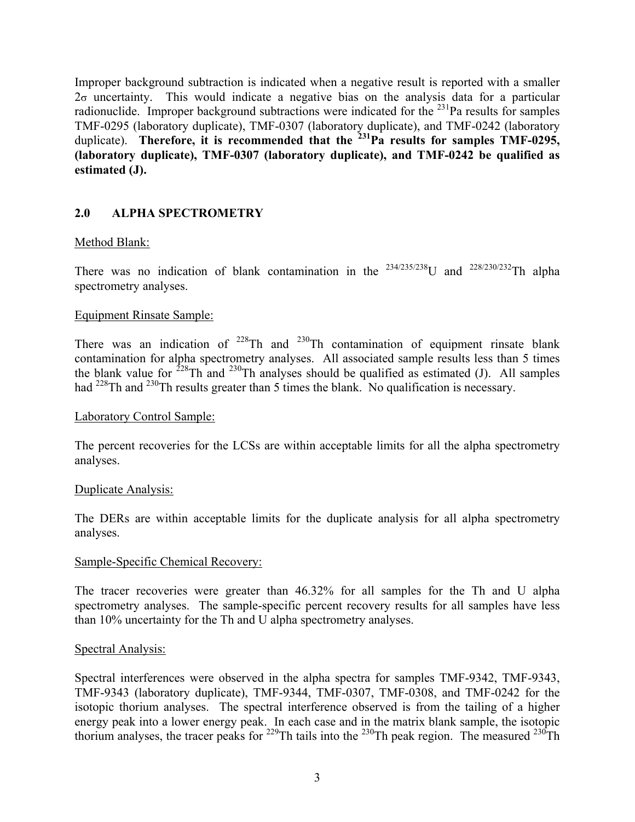Improper background subtraction is indicated when a negative result is reported with a smaller  $2\sigma$  uncertainty. This would indicate a negative bias on the analysis data for a particular radionuclide. Improper background subtractions were indicated for the  $^{231}$ Pa results for samples TMF-0295 (laboratory duplicate), TMF-0307 (laboratory duplicate), and TMF-0242 (laboratory duplicate). Therefore, it is recommended that the <sup>231</sup>Pa results for samples TMF-0295, **(laboratory duplicate), TMF-0307 (laboratory duplicate), and TMF-0242 be qualified as estimated (J).**

# **2.0 ALPHA SPECTROMETRY**

### Method Blank:

There was no indication of blank contamination in the  $234/235/238$ U and  $228/230/232$ Th alpha spectrometry analyses.

### Equipment Rinsate Sample:

There was an indication of  $2^{28}$ Th and  $2^{30}$ Th contamination of equipment rinsate blank contamination for alpha spectrometry analyses. All associated sample results less than 5 times the blank value for  $228 \text{ Th}$  and  $230 \text{ Th}$  analyses should be qualified as estimated (J). All samples had <sup>228</sup>Th and <sup>230</sup>Th results greater than 5 times the blank. No qualification is necessary.

#### Laboratory Control Sample:

The percent recoveries for the LCSs are within acceptable limits for all the alpha spectrometry analyses.

#### Duplicate Analysis:

The DERs are within acceptable limits for the duplicate analysis for all alpha spectrometry analyses.

#### Sample-Specific Chemical Recovery:

The tracer recoveries were greater than 46.32% for all samples for the Th and U alpha spectrometry analyses. The sample-specific percent recovery results for all samples have less than 10% uncertainty for the Th and U alpha spectrometry analyses.

#### Spectral Analysis:

Spectral interferences were observed in the alpha spectra for samples TMF-9342, TMF-9343, TMF-9343 (laboratory duplicate), TMF-9344, TMF-0307, TMF-0308, and TMF-0242 for the isotopic thorium analyses. The spectral interference observed is from the tailing of a higher energy peak into a lower energy peak. In each case and in the matrix blank sample, the isotopic thorium analyses, the tracer peaks for  $229$ Th tails into the  $230$ Th peak region. The measured  $230$ Th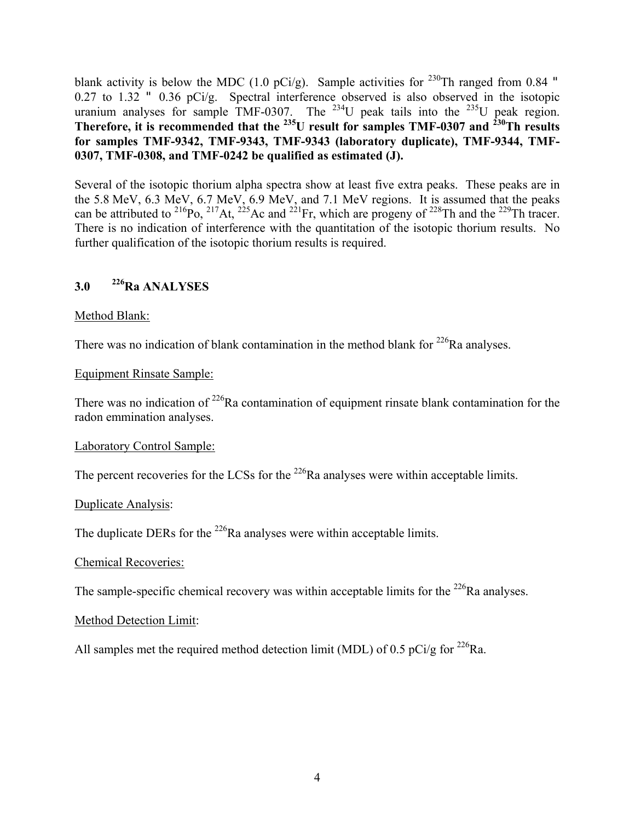blank activity is below the MDC (1.0 pCi/g). Sample activities for <sup>230</sup>Th ranged from 0.84 " 0.27 to 1.32 " 0.36 pCi/g. Spectral interference observed is also observed in the isotopic uranium analyses for sample TMF-0307. The  $^{234}$ U peak tails into the  $^{235}$ U peak region. **Therefore, it is recommended that the <sup>235</sup>U result for samples TMF-0307 and <sup>230</sup>Th results for samples TMF-9342, TMF-9343, TMF-9343 (laboratory duplicate), TMF-9344, TMF-0307, TMF-0308, and TMF-0242 be qualified as estimated (J).**

Several of the isotopic thorium alpha spectra show at least five extra peaks. These peaks are in the 5.8 MeV, 6.3 MeV, 6.7 MeV, 6.9 MeV, and 7.1 MeV regions. It is assumed that the peaks can be attributed to <sup>216</sup>Po, <sup>217</sup>At, <sup>225</sup>Ac and <sup>221</sup>Fr, which are progeny of <sup>228</sup>Th and the <sup>229</sup>Th tracer. There is no indication of interference with the quantitation of the isotopic thorium results. No further qualification of the isotopic thorium results is required.

# **3.0 226Ra ANALYSES**

# Method Blank:

There was no indication of blank contamination in the method blank for  $^{226}$ Ra analyses.

### Equipment Rinsate Sample:

There was no indication of  $2^{26}$ Ra contamination of equipment rinsate blank contamination for the radon emmination analyses.

#### Laboratory Control Sample:

The percent recoveries for the LCSs for the  $^{226}$ Ra analyses were within acceptable limits.

### Duplicate Analysis:

The duplicate DERs for the <sup>226</sup>Ra analyses were within acceptable limits.

### Chemical Recoveries:

The sample-specific chemical recovery was within acceptable limits for the  $^{226}$ Ra analyses.

### Method Detection Limit:

All samples met the required method detection limit (MDL) of 0.5 pCi/g for <sup>226</sup>Ra.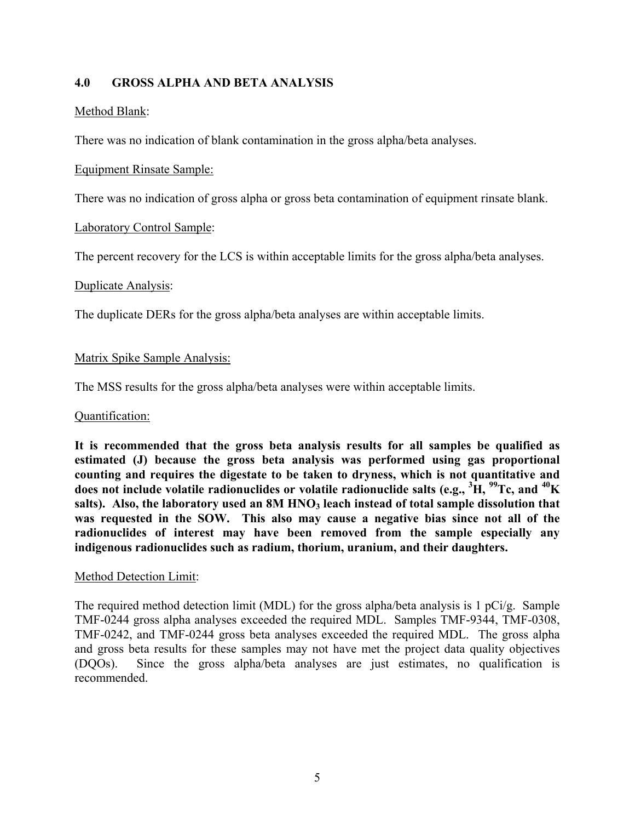### **4.0 GROSS ALPHA AND BETA ANALYSIS**

#### Method Blank:

There was no indication of blank contamination in the gross alpha/beta analyses.

#### Equipment Rinsate Sample:

There was no indication of gross alpha or gross beta contamination of equipment rinsate blank.

### Laboratory Control Sample:

The percent recovery for the LCS is within acceptable limits for the gross alpha/beta analyses.

#### Duplicate Analysis:

The duplicate DERs for the gross alpha/beta analyses are within acceptable limits.

### Matrix Spike Sample Analysis:

The MSS results for the gross alpha/beta analyses were within acceptable limits.

#### Quantification:

**It is recommended that the gross beta analysis results for all samples be qualified as estimated (J) because the gross beta analysis was performed using gas proportional counting and requires the digestate to be taken to dryness, which is not quantitative and does not include volatile radionuclides or volatile radionuclide salts (e.g., <sup>3</sup> H, 99Tc, and 40K**  salts). Also, the laboratory used an 8M HNO<sub>3</sub> leach instead of total sample dissolution that **was requested in the SOW. This also may cause a negative bias since not all of the radionuclides of interest may have been removed from the sample especially any indigenous radionuclides such as radium, thorium, uranium, and their daughters.**

#### Method Detection Limit:

The required method detection limit (MDL) for the gross alpha/beta analysis is 1 pCi/g. Sample TMF-0244 gross alpha analyses exceeded the required MDL. Samples TMF-9344, TMF-0308, TMF-0242, and TMF-0244 gross beta analyses exceeded the required MDL. The gross alpha and gross beta results for these samples may not have met the project data quality objectives (DQOs). Since the gross alpha/beta analyses are just estimates, no qualification is recommended.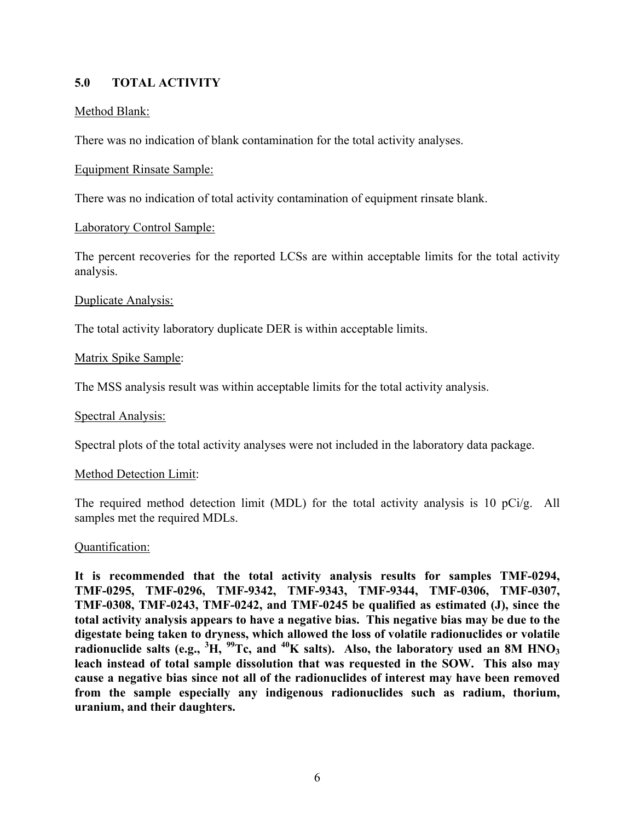# **5.0 TOTAL ACTIVITY**

### Method Blank:

There was no indication of blank contamination for the total activity analyses.

#### Equipment Rinsate Sample:

There was no indication of total activity contamination of equipment rinsate blank.

#### Laboratory Control Sample:

The percent recoveries for the reported LCSs are within acceptable limits for the total activity analysis.

#### Duplicate Analysis:

The total activity laboratory duplicate DER is within acceptable limits.

### Matrix Spike Sample:

The MSS analysis result was within acceptable limits for the total activity analysis.

#### Spectral Analysis:

Spectral plots of the total activity analyses were not included in the laboratory data package.

#### Method Detection Limit:

The required method detection limit (MDL) for the total activity analysis is 10 pCi/g. All samples met the required MDLs.

#### Quantification:

**It is recommended that the total activity analysis results for samples TMF-0294, TMF-0295, TMF-0296, TMF-9342, TMF-9343, TMF-9344, TMF-0306, TMF-0307, TMF-0308, TMF-0243, TMF-0242, and TMF-0245 be qualified as estimated (J), since the total activity analysis appears to have a negative bias. This negative bias may be due to the digestate being taken to dryness, which allowed the loss of volatile radionuclides or volatile radionuclide salts (e.g., <sup>3</sup> H, 99Tc, and 40K salts). Also, the laboratory used an 8M HNO3 leach instead of total sample dissolution that was requested in the SOW. This also may cause a negative bias since not all of the radionuclides of interest may have been removed from the sample especially any indigenous radionuclides such as radium, thorium, uranium, and their daughters.**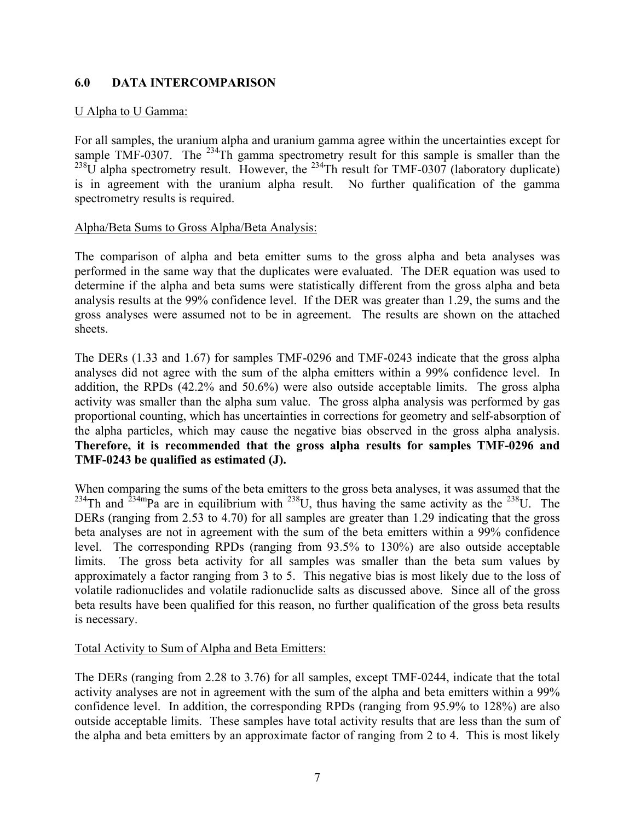### **6.0 DATA INTERCOMPARISON**

#### U Alpha to U Gamma:

For all samples, the uranium alpha and uranium gamma agree within the uncertainties except for sample TMF-0307. The  $^{234}$ Th gamma spectrometry result for this sample is smaller than the  $^{238}$ U alpha spectrometry result. However, the <sup>234</sup>Th result for TMF-0307 (laboratory duplicate) is in agreement with the uranium alpha result. No further qualification of the gamma spectrometry results is required.

#### Alpha/Beta Sums to Gross Alpha/Beta Analysis:

The comparison of alpha and beta emitter sums to the gross alpha and beta analyses was performed in the same way that the duplicates were evaluated. The DER equation was used to determine if the alpha and beta sums were statistically different from the gross alpha and beta analysis results at the 99% confidence level. If the DER was greater than 1.29, the sums and the gross analyses were assumed not to be in agreement. The results are shown on the attached sheets.

The DERs (1.33 and 1.67) for samples TMF-0296 and TMF-0243 indicate that the gross alpha analyses did not agree with the sum of the alpha emitters within a 99% confidence level. In addition, the RPDs (42.2% and 50.6%) were also outside acceptable limits. The gross alpha activity was smaller than the alpha sum value. The gross alpha analysis was performed by gas proportional counting, which has uncertainties in corrections for geometry and self-absorption of the alpha particles, which may cause the negative bias observed in the gross alpha analysis. **Therefore, it is recommended that the gross alpha results for samples TMF-0296 and TMF-0243 be qualified as estimated (J).** 

When comparing the sums of the beta emitters to the gross beta analyses, it was assumed that the  $^{234}$ Th and  $^{234}$ mPa are in equilibrium with  $^{238}$ U, thus having the same activity as the  $^{238}$ U. The DERs (ranging from 2.53 to 4.70) for all samples are greater than 1.29 indicating that the gross beta analyses are not in agreement with the sum of the beta emitters within a 99% confidence level. The corresponding RPDs (ranging from 93.5% to 130%) are also outside acceptable limits. The gross beta activity for all samples was smaller than the beta sum values by approximately a factor ranging from 3 to 5. This negative bias is most likely due to the loss of volatile radionuclides and volatile radionuclide salts as discussed above. Since all of the gross beta results have been qualified for this reason, no further qualification of the gross beta results is necessary.

#### Total Activity to Sum of Alpha and Beta Emitters:

The DERs (ranging from 2.28 to 3.76) for all samples, except TMF-0244, indicate that the total activity analyses are not in agreement with the sum of the alpha and beta emitters within a 99% confidence level. In addition, the corresponding RPDs (ranging from 95.9% to 128%) are also outside acceptable limits. These samples have total activity results that are less than the sum of the alpha and beta emitters by an approximate factor of ranging from 2 to 4. This is most likely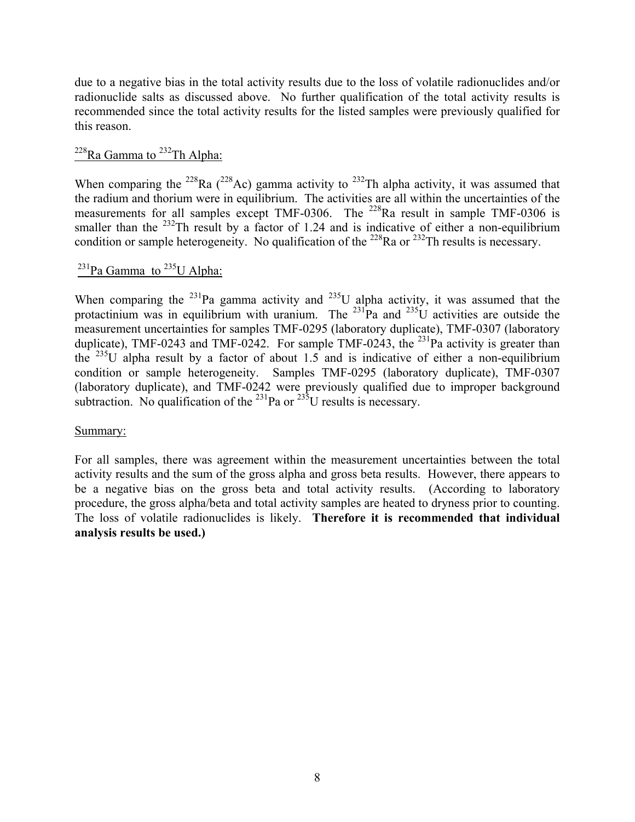due to a negative bias in the total activity results due to the loss of volatile radionuclides and/or radionuclide salts as discussed above. No further qualification of the total activity results is recommended since the total activity results for the listed samples were previously qualified for this reason.

# $^{228}$ Ra Gamma to  $^{232}$ Th Alpha:

When comparing the <sup>228</sup>Ra (<sup>228</sup>Ac) gamma activity to <sup>232</sup>Th alpha activity, it was assumed that the radium and thorium were in equilibrium. The activities are all within the uncertainties of the measurements for all samples except TMF-0306. The  $^{228}$ Ra result in sample TMF-0306 is smaller than the  $^{232}$ Th result by a factor of 1.24 and is indicative of either a non-equilibrium condition or sample heterogeneity. No qualification of the <sup>228</sup>Ra or <sup>232</sup>Th results is necessary.

# $^{231}$ Pa Gamma to  $^{235}$ U Alpha:

When comparing the  $^{231}$ Pa gamma activity and  $^{235}$ U alpha activity, it was assumed that the protactinium was in equilibrium with uranium. The  $^{231}$ Pa and  $^{235}$ U activities are outside the measurement uncertainties for samples TMF-0295 (laboratory duplicate), TMF-0307 (laboratory duplicate), TMF-0243 and TMF-0242. For sample TMF-0243, the <sup>231</sup>Pa activity is greater than the  $^{235}$ U alpha result by a factor of about 1.5 and is indicative of either a non-equilibrium condition or sample heterogeneity. Samples TMF-0295 (laboratory duplicate), TMF-0307 (laboratory duplicate), and TMF-0242 were previously qualified due to improper background subtraction. No qualification of the  $^{231}$ Pa or  $^{235}$ U results is necessary.

#### Summary:

For all samples, there was agreement within the measurement uncertainties between the total activity results and the sum of the gross alpha and gross beta results. However, there appears to be a negative bias on the gross beta and total activity results. (According to laboratory procedure, the gross alpha/beta and total activity samples are heated to dryness prior to counting. The loss of volatile radionuclides is likely. **Therefore it is recommended that individual analysis results be used.)**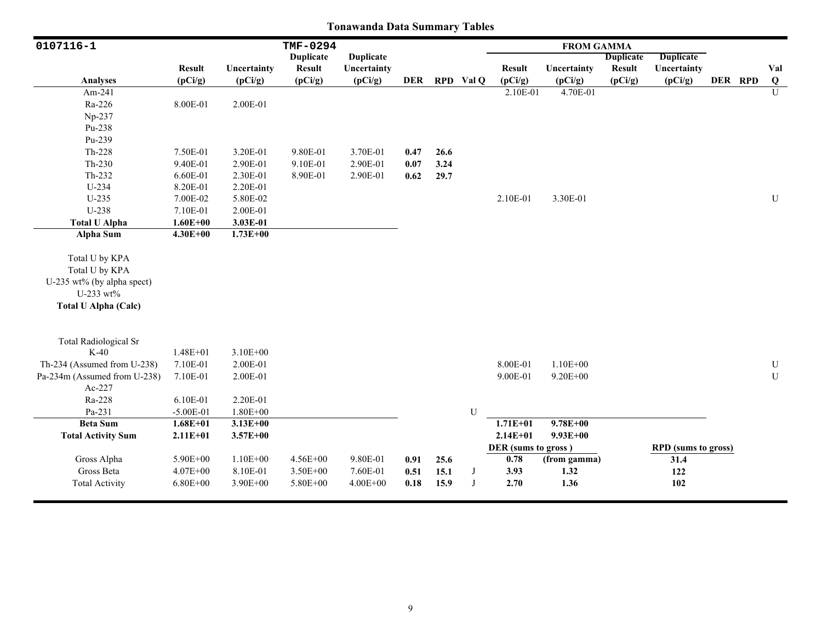| 0107116-1                              |               |              | TMF-0294         |                  |            |      |             |                     | <b>FROM GAMMA</b> |                  |                            |         |                |
|----------------------------------------|---------------|--------------|------------------|------------------|------------|------|-------------|---------------------|-------------------|------------------|----------------------------|---------|----------------|
|                                        |               |              | <b>Duplicate</b> | <b>Duplicate</b> |            |      |             |                     |                   | <b>Duplicate</b> | <b>Duplicate</b>           |         |                |
|                                        | <b>Result</b> | Uncertainty  | <b>Result</b>    | Uncertainty      |            |      |             | <b>Result</b>       | Uncertainty       | <b>Result</b>    | Uncertainty                |         | Val            |
| <b>Analyses</b>                        | (pCi/g)       | (pCi/g)      | (pCi/g)          | (pCi/g)          | <b>DER</b> |      | RPD Val Q   | (pCi/g)             | (pCi/g)           | (pCi/g)          | (pCi/g)                    | DER RPD | Q              |
| Am-241                                 |               |              |                  |                  |            |      |             | 2.10E-01            | 4.70E-01          |                  |                            |         | $\overline{U}$ |
| Ra-226                                 | 8.00E-01      | 2.00E-01     |                  |                  |            |      |             |                     |                   |                  |                            |         |                |
| Np-237                                 |               |              |                  |                  |            |      |             |                     |                   |                  |                            |         |                |
| Pu-238                                 |               |              |                  |                  |            |      |             |                     |                   |                  |                            |         |                |
| Pu-239                                 |               |              |                  |                  |            |      |             |                     |                   |                  |                            |         |                |
| $Th-228$                               | 7.50E-01      | 3.20E-01     | 9.80E-01         | 3.70E-01         | 0.47       | 26.6 |             |                     |                   |                  |                            |         |                |
| $Th-230$                               | 9.40E-01      | 2.90E-01     | 9.10E-01         | 2.90E-01         | 0.07       | 3.24 |             |                     |                   |                  |                            |         |                |
| $Th-232$                               | 6.60E-01      | 2.30E-01     | 8.90E-01         | 2.90E-01         | 0.62       | 29.7 |             |                     |                   |                  |                            |         |                |
| U-234                                  | 8.20E-01      | 2.20E-01     |                  |                  |            |      |             |                     |                   |                  |                            |         |                |
| $U-235$                                | 7.00E-02      | 5.80E-02     |                  |                  |            |      |             | 2.10E-01            | 3.30E-01          |                  |                            |         | $\mathbf U$    |
| U-238                                  | 7.10E-01      | 2.00E-01     |                  |                  |            |      |             |                     |                   |                  |                            |         |                |
| <b>Total U Alpha</b>                   | $1.60E + 00$  | 3.03E-01     |                  |                  |            |      |             |                     |                   |                  |                            |         |                |
| Alpha Sum                              | $4.30E + 00$  | $1.73E + 00$ |                  |                  |            |      |             |                     |                   |                  |                            |         |                |
| Total U by KPA                         |               |              |                  |                  |            |      |             |                     |                   |                  |                            |         |                |
| Total U by KPA                         |               |              |                  |                  |            |      |             |                     |                   |                  |                            |         |                |
| U-235 wt% (by alpha spect)             |               |              |                  |                  |            |      |             |                     |                   |                  |                            |         |                |
| U-233 wt%                              |               |              |                  |                  |            |      |             |                     |                   |                  |                            |         |                |
| <b>Total U Alpha (Calc)</b>            |               |              |                  |                  |            |      |             |                     |                   |                  |                            |         |                |
|                                        |               |              |                  |                  |            |      |             |                     |                   |                  |                            |         |                |
| <b>Total Radiological Sr</b><br>$K-40$ | $1.48E + 01$  | $3.10E + 00$ |                  |                  |            |      |             |                     |                   |                  |                            |         |                |
|                                        |               |              |                  |                  |            |      |             | 8.00E-01            | $1.10E + 00$      |                  |                            |         |                |
| Th-234 (Assumed from U-238)            | 7.10E-01      | 2.00E-01     |                  |                  |            |      |             |                     |                   |                  |                            |         | $\mathbf U$    |
| Pa-234m (Assumed from U-238)           | 7.10E-01      | 2.00E-01     |                  |                  |            |      |             | 9.00E-01            | $9.20E + 00$      |                  |                            |         | $\mathbf U$    |
| Ac-227                                 |               |              |                  |                  |            |      |             |                     |                   |                  |                            |         |                |
| Ra-228<br>Pa-231                       | 6.10E-01      | 2.20E-01     |                  |                  |            |      | $\mathbf U$ |                     |                   |                  |                            |         |                |
|                                        | $-5.00E-01$   | $1.80E + 00$ |                  |                  |            |      |             | $1.71E+01$          | $9.78E + 00$      |                  |                            |         |                |
| <b>Beta Sum</b>                        | $1.68E + 01$  | $3.13E + 00$ |                  |                  |            |      |             |                     |                   |                  |                            |         |                |
| <b>Total Activity Sum</b>              | $2.11E+01$    | $3.57E + 00$ |                  |                  |            |      |             | $2.14E + 01$        | $9.93E + 00$      |                  |                            |         |                |
|                                        |               |              |                  |                  |            |      |             | DER (sums to gross) |                   |                  | <b>RPD</b> (sums to gross) |         |                |
| Gross Alpha                            | 5.90E+00      | $1.10E + 00$ | 4.56E+00         | 9.80E-01         | 0.91       | 25.6 |             | 0.78                | (from gamma)      |                  | 31.4                       |         |                |
| Gross Beta                             | $4.07E + 00$  | 8.10E-01     | 3.50E+00         | 7.60E-01         | 0.51       | 15.1 | $_{\rm J}$  | 3.93                | 1.32              |                  | 122                        |         |                |
| <b>Total Activity</b>                  | $6.80E + 00$  | 3.90E+00     | 5.80E+00         | $4.00E + 00$     | 0.18       | 15.9 | $_{\rm J}$  | 2.70                | 1.36              |                  | 102                        |         |                |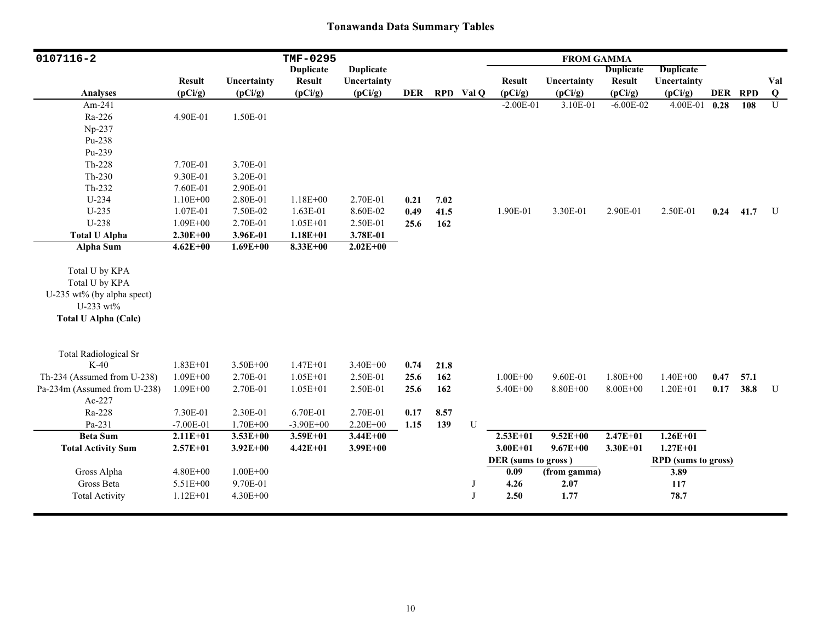| 0107116-2                    |               |              | TMF-0295         |                  |            |      |           |                     | <b>FROM GAMMA</b> |                  |                            |      |         |                         |
|------------------------------|---------------|--------------|------------------|------------------|------------|------|-----------|---------------------|-------------------|------------------|----------------------------|------|---------|-------------------------|
|                              |               |              | <b>Duplicate</b> | <b>Duplicate</b> |            |      |           |                     |                   | <b>Duplicate</b> | <b>Duplicate</b>           |      |         |                         |
|                              | <b>Result</b> | Uncertainty  | <b>Result</b>    | Uncertainty      |            |      |           | <b>Result</b>       | Uncertainty       | <b>Result</b>    | Uncertainty                |      |         | Val                     |
| <b>Analyses</b>              | (pCi/g)       | (pCi/g)      | (pCi/g)          | (pCi/g)          | <b>DER</b> |      | RPD Val Q | (pCi/g)             | (pCi/g)           | (pCi/g)          | (pCi/g)                    |      | DER RPD | $\overline{\mathbf{Q}}$ |
| Am-241                       |               |              |                  |                  |            |      |           | $-2.00E-01$         | 3.10E-01          | $-6.00E - 02$    | 4.00E-01                   | 0.28 | 108     | $\mathbf{U}$            |
| Ra-226                       | 4.90E-01      | 1.50E-01     |                  |                  |            |      |           |                     |                   |                  |                            |      |         |                         |
| Np-237                       |               |              |                  |                  |            |      |           |                     |                   |                  |                            |      |         |                         |
| Pu-238                       |               |              |                  |                  |            |      |           |                     |                   |                  |                            |      |         |                         |
| Pu-239                       |               |              |                  |                  |            |      |           |                     |                   |                  |                            |      |         |                         |
| $Th-228$                     | 7.70E-01      | 3.70E-01     |                  |                  |            |      |           |                     |                   |                  |                            |      |         |                         |
| Th-230                       | 9.30E-01      | 3.20E-01     |                  |                  |            |      |           |                     |                   |                  |                            |      |         |                         |
| Th-232                       | 7.60E-01      | 2.90E-01     |                  |                  |            |      |           |                     |                   |                  |                            |      |         |                         |
| U-234                        | $1.10E + 00$  | 2.80E-01     | $1.18E + 00$     | 2.70E-01         | 0.21       | 7.02 |           |                     |                   |                  |                            |      |         |                         |
| $U-235$                      | 1.07E-01      | 7.50E-02     | 1.63E-01         | 8.60E-02         | 0.49       | 41.5 |           | 1.90E-01            | 3.30E-01          | 2.90E-01         | 2.50E-01                   | 0.24 | 41.7    | U                       |
| U-238                        | $1.09E + 00$  | 2.70E-01     | $1.05E + 01$     | 2.50E-01         | 25.6       | 162  |           |                     |                   |                  |                            |      |         |                         |
| <b>Total U Alpha</b>         | $2.30E + 00$  | 3.96E-01     | $1.18E + 01$     | 3.78E-01         |            |      |           |                     |                   |                  |                            |      |         |                         |
| Alpha Sum                    | $4.62E + 00$  | $1.69E + 00$ | $8.33E + 00$     | $2.02E + 00$     |            |      |           |                     |                   |                  |                            |      |         |                         |
|                              |               |              |                  |                  |            |      |           |                     |                   |                  |                            |      |         |                         |
| Total U by KPA               |               |              |                  |                  |            |      |           |                     |                   |                  |                            |      |         |                         |
| Total U by KPA               |               |              |                  |                  |            |      |           |                     |                   |                  |                            |      |         |                         |
| U-235 wt% (by alpha spect)   |               |              |                  |                  |            |      |           |                     |                   |                  |                            |      |         |                         |
| U-233 $wt\%$                 |               |              |                  |                  |            |      |           |                     |                   |                  |                            |      |         |                         |
| <b>Total U Alpha (Calc)</b>  |               |              |                  |                  |            |      |           |                     |                   |                  |                            |      |         |                         |
|                              |               |              |                  |                  |            |      |           |                     |                   |                  |                            |      |         |                         |
|                              |               |              |                  |                  |            |      |           |                     |                   |                  |                            |      |         |                         |
| <b>Total Radiological Sr</b> |               |              |                  |                  |            |      |           |                     |                   |                  |                            |      |         |                         |
| $K-40$                       | $1.83E + 01$  | $3.50E + 00$ | $1.47E + 01$     | $3.40E + 00$     | 0.74       | 21.8 |           |                     |                   |                  |                            |      |         |                         |
| Th-234 (Assumed from U-238)  | $1.09E + 00$  | 2.70E-01     | $1.05E + 01$     | 2.50E-01         | 25.6       | 162  |           | $1.00E + 00$        | 9.60E-01          | $1.80E + 00$     | $1.40E + 00$               | 0.47 | 57.1    |                         |
| Pa-234m (Assumed from U-238) | $1.09E + 00$  | 2.70E-01     | $1.05E + 01$     | 2.50E-01         | 25.6       | 162  |           | 5.40E+00            | 8.80E+00          | $8.00E + 00$     | $1.20E + 01$               | 0.17 | 38.8    | U                       |
| $Ac-227$                     |               |              |                  |                  |            |      |           |                     |                   |                  |                            |      |         |                         |
| Ra-228                       | 7.30E-01      | 2.30E-01     | 6.70E-01         | 2.70E-01         | 0.17       | 8.57 |           |                     |                   |                  |                            |      |         |                         |
| Pa-231                       | $-7.00E - 01$ | 1.70E+00     | $-3.90E + 00$    | 2.20E+00         | 1.15       | 139  | U         |                     |                   |                  |                            |      |         |                         |
| <b>Beta Sum</b>              | $2.11E+01$    | $3.53E + 00$ | $3.59E + 01$     | $3.44E + 00$     |            |      |           | $2.53E+01$          | $9.52E + 00$      | $2.47E + 01$     | $1.26E + 01$               |      |         |                         |
| <b>Total Activity Sum</b>    | $2.57E + 01$  | $3.92E + 00$ | $4.42E + 01$     | $3.99E + 00$     |            |      |           | $3.00E + 01$        | $9.67E + 00$      | $3.30E + 01$     | $1.27E + 01$               |      |         |                         |
|                              |               |              |                  |                  |            |      |           | DER (sums to gross) |                   |                  | <b>RPD</b> (sums to gross) |      |         |                         |
| Gross Alpha                  | $4.80E + 00$  | $1.00E + 00$ |                  |                  |            |      |           | 0.09                | (from gamma)      |                  | 3.89                       |      |         |                         |
| Gross Beta                   | 5.51E+00      | 9.70E-01     |                  |                  |            |      | J         | 4.26                | 2.07              |                  | 117                        |      |         |                         |
| <b>Total Activity</b>        | $1.12E + 01$  | $4.30E + 00$ |                  |                  |            |      | J         | 2.50                | 1.77              |                  | 78.7                       |      |         |                         |
|                              |               |              |                  |                  |            |      |           |                     |                   |                  |                            |      |         |                         |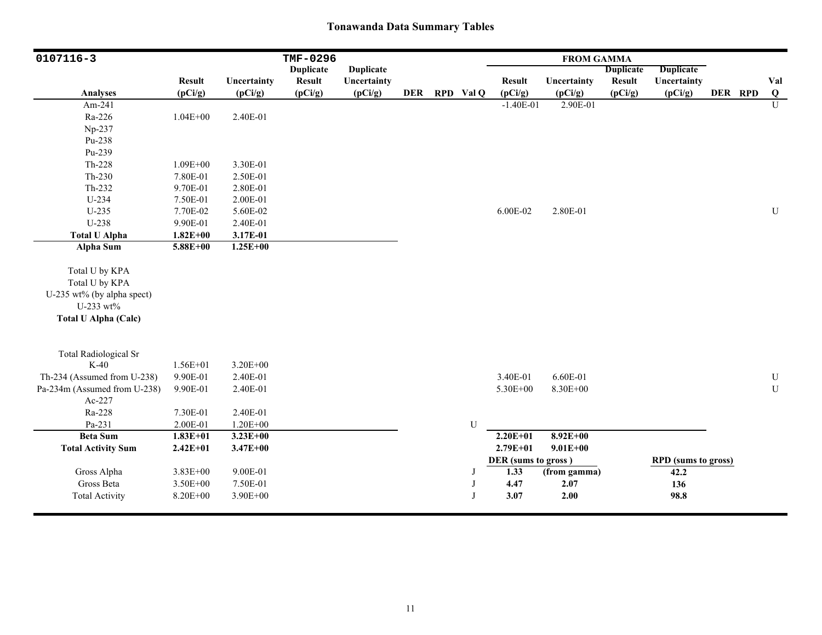| 0107116-3                    |                          |                        | TMF-0296                 |                        |            |              |                          | <b>FROM GAMMA</b>      |                          |                            |         |                |
|------------------------------|--------------------------|------------------------|--------------------------|------------------------|------------|--------------|--------------------------|------------------------|--------------------------|----------------------------|---------|----------------|
|                              |                          |                        | <b>Duplicate</b>         | <b>Duplicate</b>       |            |              |                          |                        | <b>Duplicate</b>         | <b>Duplicate</b>           |         |                |
| Analyses                     | <b>Result</b><br>(pCi/g) | Uncertainty<br>(pCi/g) | <b>Result</b><br>(pCi/g) | Uncertainty<br>(pCi/g) | <b>DER</b> | RPD Val Q    | <b>Result</b><br>(pCi/g) | Uncertainty<br>(pCi/g) | <b>Result</b><br>(pCi/g) | Uncertainty<br>(pCi/g)     | DER RPD | Val<br>Q       |
| Am-241                       |                          |                        |                          |                        |            |              | $-1.40E-01$              | 2.90E-01               |                          |                            |         | $\overline{U}$ |
| Ra-226                       | $1.04E + 00$             | 2.40E-01               |                          |                        |            |              |                          |                        |                          |                            |         |                |
| Np-237                       |                          |                        |                          |                        |            |              |                          |                        |                          |                            |         |                |
| Pu-238                       |                          |                        |                          |                        |            |              |                          |                        |                          |                            |         |                |
| Pu-239                       |                          |                        |                          |                        |            |              |                          |                        |                          |                            |         |                |
| $Th-228$                     | $1.09E + 00$             | 3.30E-01               |                          |                        |            |              |                          |                        |                          |                            |         |                |
| $Th-230$                     | 7.80E-01                 | 2.50E-01               |                          |                        |            |              |                          |                        |                          |                            |         |                |
| Th-232                       | 9.70E-01                 | 2.80E-01               |                          |                        |            |              |                          |                        |                          |                            |         |                |
| U-234                        | 7.50E-01                 | 2.00E-01               |                          |                        |            |              |                          |                        |                          |                            |         |                |
| $U-235$                      | 7.70E-02                 | 5.60E-02               |                          |                        |            |              | 6.00E-02                 | 2.80E-01               |                          |                            |         | ${\bf U}$      |
| U-238                        | 9.90E-01                 | 2.40E-01               |                          |                        |            |              |                          |                        |                          |                            |         |                |
| <b>Total U Alpha</b>         | $1.82E + 00$             | 3.17E-01               |                          |                        |            |              |                          |                        |                          |                            |         |                |
| <b>Alpha Sum</b>             | $5.88E + 00$             | $1.25E + 00$           |                          |                        |            |              |                          |                        |                          |                            |         |                |
| Total U by KPA               |                          |                        |                          |                        |            |              |                          |                        |                          |                            |         |                |
| Total U by KPA               |                          |                        |                          |                        |            |              |                          |                        |                          |                            |         |                |
| U-235 wt% (by alpha spect)   |                          |                        |                          |                        |            |              |                          |                        |                          |                            |         |                |
| U-233 wt%                    |                          |                        |                          |                        |            |              |                          |                        |                          |                            |         |                |
| <b>Total U Alpha (Calc)</b>  |                          |                        |                          |                        |            |              |                          |                        |                          |                            |         |                |
|                              |                          |                        |                          |                        |            |              |                          |                        |                          |                            |         |                |
| <b>Total Radiological Sr</b> |                          |                        |                          |                        |            |              |                          |                        |                          |                            |         |                |
| $K-40$                       | $1.56E + 01$             | $3.20E + 00$           |                          |                        |            |              |                          |                        |                          |                            |         |                |
| Th-234 (Assumed from U-238)  | 9.90E-01                 | 2.40E-01               |                          |                        |            |              | 3.40E-01                 | 6.60E-01               |                          |                            |         | ${\bf U}$      |
| Pa-234m (Assumed from U-238) | 9.90E-01                 | 2.40E-01               |                          |                        |            |              | 5.30E+00                 | 8.30E+00               |                          |                            |         | ${\bf U}$      |
| Ac-227                       |                          |                        |                          |                        |            |              |                          |                        |                          |                            |         |                |
| Ra-228                       | 7.30E-01                 | 2.40E-01               |                          |                        |            |              |                          |                        |                          |                            |         |                |
| Pa-231                       | 2.00E-01                 | $1.20E + 00$           |                          |                        |            | U            |                          |                        |                          |                            |         |                |
| <b>Beta Sum</b>              | $1.83E + 01$             | $3.23E+00$             |                          |                        |            |              | $2.20E+01$               | $8.92E+00$             |                          |                            |         |                |
| <b>Total Activity Sum</b>    | $2.42E + 01$             | $3.47E + 00$           |                          |                        |            |              | 2.79E+01                 | $9.01E + 00$           |                          |                            |         |                |
|                              |                          |                        |                          |                        |            |              | DER (sums to gross)      |                        |                          | <b>RPD</b> (sums to gross) |         |                |
| Gross Alpha                  | 3.83E+00                 | 9.00E-01               |                          |                        |            | J            | 1.33                     | (from gamma)           |                          | 42.2                       |         |                |
| Gross Beta                   | 3.50E+00                 | 7.50E-01               |                          |                        |            | J            | 4.47                     | 2.07                   |                          | 136                        |         |                |
| <b>Total Activity</b>        | 8.20E+00                 | 3.90E+00               |                          |                        |            | $\mathbf{J}$ | 3.07                     | 2.00                   |                          | 98.8                       |         |                |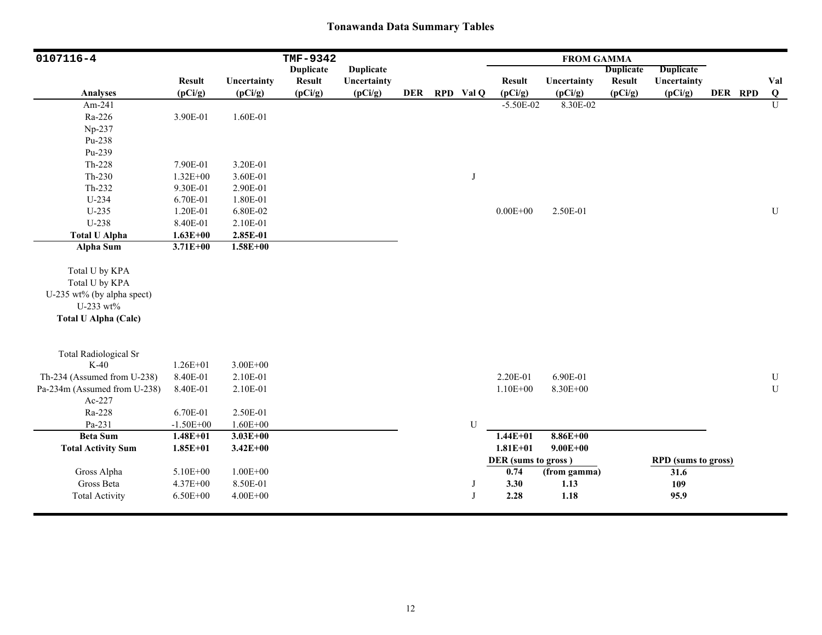| 0107116-4                    |                          |                        | TMF-9342                 |                        |            |              |                          | <b>FROM GAMMA</b>      |                          |                            |         |                 |
|------------------------------|--------------------------|------------------------|--------------------------|------------------------|------------|--------------|--------------------------|------------------------|--------------------------|----------------------------|---------|-----------------|
|                              |                          |                        | <b>Duplicate</b>         | <b>Duplicate</b>       |            |              |                          |                        | <b>Duplicate</b>         | <b>Duplicate</b>           |         |                 |
| Analyses                     | <b>Result</b><br>(pCi/g) | Uncertainty<br>(pCi/g) | <b>Result</b><br>(pCi/g) | Uncertainty<br>(pCi/g) | <b>DER</b> | RPD Val Q    | <b>Result</b><br>(pCi/g) | Uncertainty<br>(pCi/g) | <b>Result</b><br>(pCi/g) | Uncertainty<br>(pCi/g)     | DER RPD | Val<br>$\bf{Q}$ |
| Am-241                       |                          |                        |                          |                        |            |              | $-5.50E-02$              | 8.30E-02               |                          |                            |         | $\mathbf{U}$    |
| Ra-226                       | 3.90E-01                 | 1.60E-01               |                          |                        |            |              |                          |                        |                          |                            |         |                 |
| Np-237                       |                          |                        |                          |                        |            |              |                          |                        |                          |                            |         |                 |
| Pu-238                       |                          |                        |                          |                        |            |              |                          |                        |                          |                            |         |                 |
| Pu-239                       |                          |                        |                          |                        |            |              |                          |                        |                          |                            |         |                 |
| Th-228                       | 7.90E-01                 | 3.20E-01               |                          |                        |            |              |                          |                        |                          |                            |         |                 |
| $Th-230$                     | $1.32E + 00$             | 3.60E-01               |                          |                        |            | J            |                          |                        |                          |                            |         |                 |
| $Th-232$                     | 9.30E-01                 | 2.90E-01               |                          |                        |            |              |                          |                        |                          |                            |         |                 |
| U-234                        | 6.70E-01                 | 1.80E-01               |                          |                        |            |              |                          |                        |                          |                            |         |                 |
| $U-235$                      | 1.20E-01                 | 6.80E-02               |                          |                        |            |              | $0.00E + 00$             | 2.50E-01               |                          |                            |         | ${\bf U}$       |
| U-238                        | 8.40E-01                 | 2.10E-01               |                          |                        |            |              |                          |                        |                          |                            |         |                 |
| <b>Total U Alpha</b>         | $1.63E + 00$             | 2.85E-01               |                          |                        |            |              |                          |                        |                          |                            |         |                 |
| <b>Alpha Sum</b>             | $3.71E + 00$             | $1.58E + 00$           |                          |                        |            |              |                          |                        |                          |                            |         |                 |
|                              |                          |                        |                          |                        |            |              |                          |                        |                          |                            |         |                 |
| Total U by KPA               |                          |                        |                          |                        |            |              |                          |                        |                          |                            |         |                 |
| Total U by KPA               |                          |                        |                          |                        |            |              |                          |                        |                          |                            |         |                 |
| U-235 wt% (by alpha spect)   |                          |                        |                          |                        |            |              |                          |                        |                          |                            |         |                 |
| U-233 wt%                    |                          |                        |                          |                        |            |              |                          |                        |                          |                            |         |                 |
| <b>Total U Alpha (Calc)</b>  |                          |                        |                          |                        |            |              |                          |                        |                          |                            |         |                 |
|                              |                          |                        |                          |                        |            |              |                          |                        |                          |                            |         |                 |
| <b>Total Radiological Sr</b> |                          |                        |                          |                        |            |              |                          |                        |                          |                            |         |                 |
| $K-40$                       | $1.26E + 01$             | $3.00E + 00$           |                          |                        |            |              |                          |                        |                          |                            |         |                 |
| Th-234 (Assumed from U-238)  | 8.40E-01                 | 2.10E-01               |                          |                        |            |              | 2.20E-01                 | 6.90E-01               |                          |                            |         | ${\bf U}$       |
| Pa-234m (Assumed from U-238) | 8.40E-01                 | 2.10E-01               |                          |                        |            |              | $1.10E + 00$             | 8.30E+00               |                          |                            |         | U               |
| Ac-227                       |                          |                        |                          |                        |            |              |                          |                        |                          |                            |         |                 |
| Ra-228                       | 6.70E-01                 | 2.50E-01               |                          |                        |            |              |                          |                        |                          |                            |         |                 |
| Pa-231                       | $-1.50E + 00$            | $1.60E + 00$           |                          |                        |            | U            |                          |                        |                          |                            |         |                 |
| <b>Beta Sum</b>              | $1.48E + 01$             | $3.03E + 00$           |                          |                        |            |              | $1.44E + 01$             | $8.86E + 00$           |                          |                            |         |                 |
| <b>Total Activity Sum</b>    | $1.85E + 01$             | $3.42E + 00$           |                          |                        |            |              | $1.81E + 01$             | $9.00E + 00$           |                          |                            |         |                 |
|                              |                          |                        |                          |                        |            |              | DER (sums to gross)      |                        |                          | <b>RPD</b> (sums to gross) |         |                 |
| Gross Alpha                  | 5.10E+00                 | $1.00E + 00$           |                          |                        |            |              | 0.74                     | (from gamma)           |                          | 31.6                       |         |                 |
| Gross Beta                   | $4.37E + 00$             | 8.50E-01               |                          |                        |            | J            | 3.30                     | 1.13                   |                          | 109                        |         |                 |
| <b>Total Activity</b>        | $6.50E + 00$             | $4.00E + 00$           |                          |                        |            | $\mathbf{J}$ | 2.28                     | 1.18                   |                          | 95.9                       |         |                 |
|                              |                          |                        |                          |                        |            |              |                          |                        |                          |                            |         |                 |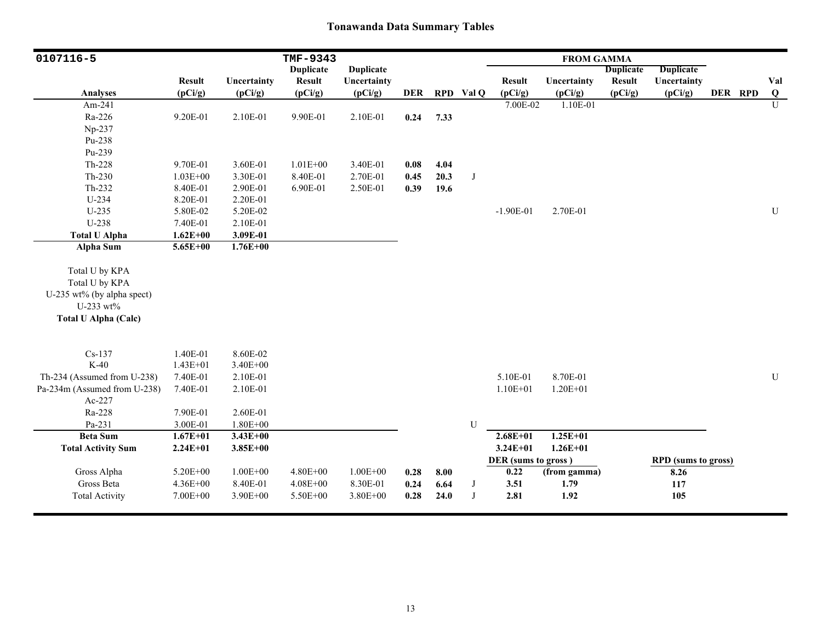| 0107116-5                                                                                                  |                          |                        | TMF-9343                 |                        |            |      |              |                          | <b>FROM GAMMA</b>      |                          |                            |         |                |
|------------------------------------------------------------------------------------------------------------|--------------------------|------------------------|--------------------------|------------------------|------------|------|--------------|--------------------------|------------------------|--------------------------|----------------------------|---------|----------------|
|                                                                                                            |                          |                        | <b>Duplicate</b>         | <b>Duplicate</b>       |            |      |              |                          |                        | <b>Duplicate</b>         | <b>Duplicate</b>           |         |                |
| <b>Analyses</b>                                                                                            | <b>Result</b><br>(pCi/g) | Uncertainty<br>(pCi/g) | <b>Result</b><br>(pCi/g) | Uncertainty<br>(pCi/g) | <b>DER</b> |      | RPD Val Q    | <b>Result</b><br>(pCi/g) | Uncertainty<br>(pCi/g) | <b>Result</b><br>(pCi/g) | Uncertainty<br>(pCi/g)     | DER RPD | Val<br>$\bf Q$ |
| Am-241                                                                                                     |                          |                        |                          |                        |            |      |              | 7.00E-02                 | 1.10E-01               |                          |                            |         | $\mathbf U$    |
| Ra-226                                                                                                     | 9.20E-01                 | 2.10E-01               | 9.90E-01                 | 2.10E-01               | 0.24       | 7.33 |              |                          |                        |                          |                            |         |                |
| Np-237                                                                                                     |                          |                        |                          |                        |            |      |              |                          |                        |                          |                            |         |                |
| Pu-238                                                                                                     |                          |                        |                          |                        |            |      |              |                          |                        |                          |                            |         |                |
| Pu-239                                                                                                     |                          |                        |                          |                        |            |      |              |                          |                        |                          |                            |         |                |
| Th-228                                                                                                     | 9.70E-01                 | 3.60E-01               | $1.01E + 00$             | 3.40E-01               | 0.08       | 4.04 |              |                          |                        |                          |                            |         |                |
| $Th-230$                                                                                                   | $1.03E + 00$             | 3.30E-01               | 8.40E-01                 | 2.70E-01               | 0.45       | 20.3 | $\mathbf{J}$ |                          |                        |                          |                            |         |                |
| Th-232                                                                                                     | 8.40E-01                 | 2.90E-01               | 6.90E-01                 | 2.50E-01               | 0.39       | 19.6 |              |                          |                        |                          |                            |         |                |
| U-234                                                                                                      | 8.20E-01                 | 2.20E-01               |                          |                        |            |      |              |                          |                        |                          |                            |         |                |
| U-235                                                                                                      | 5.80E-02                 | 5.20E-02               |                          |                        |            |      |              | $-1.90E-01$              | 2.70E-01               |                          |                            |         | ${\bf U}$      |
| U-238                                                                                                      | 7.40E-01                 | 2.10E-01               |                          |                        |            |      |              |                          |                        |                          |                            |         |                |
| <b>Total U Alpha</b>                                                                                       | $1.62E + 00$             | 3.09E-01               |                          |                        |            |      |              |                          |                        |                          |                            |         |                |
| Alpha Sum                                                                                                  | $5.65E + 00$             | $1.76E + 00$           |                          |                        |            |      |              |                          |                        |                          |                            |         |                |
| Total U by KPA<br>Total U by KPA<br>U-235 wt% (by alpha spect)<br>U-233 wt%<br><b>Total U Alpha (Calc)</b> |                          |                        |                          |                        |            |      |              |                          |                        |                          |                            |         |                |
| $Cs-137$                                                                                                   | 1.40E-01                 | 8.60E-02               |                          |                        |            |      |              |                          |                        |                          |                            |         |                |
| $K-40$                                                                                                     | $1.43E + 01$             | 3.40E+00               |                          |                        |            |      |              |                          |                        |                          |                            |         |                |
| Th-234 (Assumed from U-238)                                                                                | 7.40E-01                 | 2.10E-01               |                          |                        |            |      |              | 5.10E-01                 | 8.70E-01               |                          |                            |         | ${\bf U}$      |
| Pa-234m (Assumed from U-238)                                                                               | 7.40E-01                 | 2.10E-01               |                          |                        |            |      |              | $1.10E + 01$             | $1.20E + 01$           |                          |                            |         |                |
| Ac-227                                                                                                     |                          |                        |                          |                        |            |      |              |                          |                        |                          |                            |         |                |
| Ra-228                                                                                                     | 7.90E-01                 | 2.60E-01               |                          |                        |            |      |              |                          |                        |                          |                            |         |                |
| Pa-231                                                                                                     | 3.00E-01                 | 1.80E+00               |                          |                        |            |      | U            |                          |                        |                          |                            |         |                |
| <b>Beta Sum</b>                                                                                            | $1.67E + 01$             | $3.43E + 00$           |                          |                        |            |      |              | $2.68E + 01$             | $1.25E + 01$           |                          |                            |         |                |
| <b>Total Activity Sum</b>                                                                                  | $2.24E + 01$             | $3.85E + 00$           |                          |                        |            |      |              | $3.24E + 01$             | $1.26E + 01$           |                          |                            |         |                |
|                                                                                                            |                          |                        |                          |                        |            |      |              | DER (sums to gross)      |                        |                          | <b>RPD</b> (sums to gross) |         |                |
| Gross Alpha                                                                                                | $5.20E + 00$             | $1.00E + 00$           | 4.80E+00                 | $1.00E + 00$           | 0.28       | 8.00 |              | 0.22                     | (from gamma)           |                          | 8.26                       |         |                |
| Gross Beta                                                                                                 | $4.36E + 00$             | 8.40E-01               | $4.08E + 00$             | 8.30E-01               | 0.24       | 6.64 | J            | 3.51                     | 1.79                   |                          | 117                        |         |                |
| <b>Total Activity</b>                                                                                      | 7.00E+00                 | 3.90E+00               | 5.50E+00                 | 3.80E+00               | 0.28       | 24.0 | J            | 2.81                     | 1.92                   |                          | 105                        |         |                |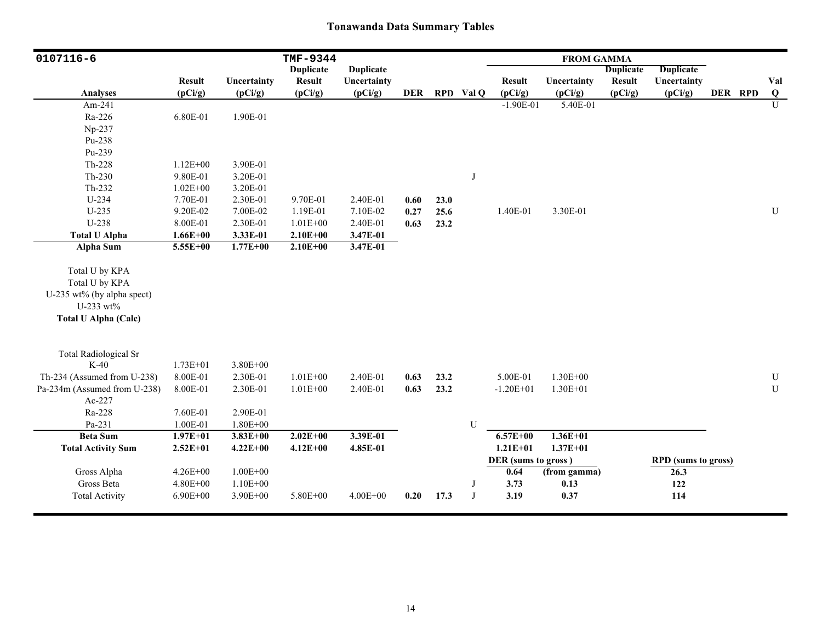| 0107116-6                    |                          |                          | TMF-9344                     |                        |            |      |           |                          | <b>FROM GAMMA</b>      |                   |                            |         |                       |
|------------------------------|--------------------------|--------------------------|------------------------------|------------------------|------------|------|-----------|--------------------------|------------------------|-------------------|----------------------------|---------|-----------------------|
|                              |                          |                          | <b>Duplicate</b>             | <b>Duplicate</b>       |            |      |           |                          |                        | <b>Duplicate</b>  | <b>Duplicate</b>           |         |                       |
| <b>Analyses</b>              | <b>Result</b><br>(pCi/g) | Uncertainty<br>(pCi/g)   | <b>Result</b><br>(pCi/g)     | Uncertainty<br>(pCi/g) | <b>DER</b> |      | RPD Val Q | <b>Result</b><br>(pCi/g) | Uncertainty<br>(pCi/g) | Result<br>(pCi/g) | Uncertainty<br>(pCi/g)     | DER RPD | Val<br>$\overline{Q}$ |
| Am-241                       |                          |                          |                              |                        |            |      |           | $-1.90E-01$              | 5.40E-01               |                   |                            |         | U                     |
| Ra-226                       | 6.80E-01                 | 1.90E-01                 |                              |                        |            |      |           |                          |                        |                   |                            |         |                       |
| Np-237                       |                          |                          |                              |                        |            |      |           |                          |                        |                   |                            |         |                       |
| Pu-238                       |                          |                          |                              |                        |            |      |           |                          |                        |                   |                            |         |                       |
| Pu-239                       |                          |                          |                              |                        |            |      |           |                          |                        |                   |                            |         |                       |
| Th-228                       | $1.12E + 00$             | 3.90E-01                 |                              |                        |            |      |           |                          |                        |                   |                            |         |                       |
| $Th-230$                     | 9.80E-01                 | 3.20E-01                 |                              |                        |            |      | J         |                          |                        |                   |                            |         |                       |
| Th-232                       | $1.02E + 00$             | 3.20E-01                 |                              |                        |            |      |           |                          |                        |                   |                            |         |                       |
| $U-234$                      | 7.70E-01                 | 2.30E-01                 | 9.70E-01                     | 2.40E-01               | 0.60       | 23.0 |           |                          |                        |                   |                            |         |                       |
| $U-235$                      | 9.20E-02                 | 7.00E-02                 | 1.19E-01                     | 7.10E-02               | 0.27       | 25.6 |           | 1.40E-01                 | 3.30E-01               |                   |                            |         | ${\bf U}$             |
| U-238                        | 8.00E-01                 | 2.30E-01                 | $1.01E + 00$                 | 2.40E-01               | 0.63       |      |           |                          |                        |                   |                            |         |                       |
|                              |                          |                          |                              |                        |            | 23.2 |           |                          |                        |                   |                            |         |                       |
| <b>Total U Alpha</b>         | $1.66E + 00$<br>5.55E+00 | 3.33E-01<br>$1.77E + 00$ | $2.10E + 00$<br>$2.10E + 00$ | 3.47E-01               |            |      |           |                          |                        |                   |                            |         |                       |
| <b>Alpha Sum</b>             |                          |                          |                              | 3.47E-01               |            |      |           |                          |                        |                   |                            |         |                       |
| Total U by KPA               |                          |                          |                              |                        |            |      |           |                          |                        |                   |                            |         |                       |
| Total U by KPA               |                          |                          |                              |                        |            |      |           |                          |                        |                   |                            |         |                       |
| U-235 wt% (by alpha spect)   |                          |                          |                              |                        |            |      |           |                          |                        |                   |                            |         |                       |
| U-233 wt%                    |                          |                          |                              |                        |            |      |           |                          |                        |                   |                            |         |                       |
| <b>Total U Alpha (Calc)</b>  |                          |                          |                              |                        |            |      |           |                          |                        |                   |                            |         |                       |
|                              |                          |                          |                              |                        |            |      |           |                          |                        |                   |                            |         |                       |
| <b>Total Radiological Sr</b> |                          |                          |                              |                        |            |      |           |                          |                        |                   |                            |         |                       |
| $K-40$                       | $1.73E + 01$             | 3.80E+00                 |                              |                        |            |      |           |                          |                        |                   |                            |         |                       |
| Th-234 (Assumed from U-238)  | 8.00E-01                 | 2.30E-01                 | $1.01E + 00$                 | 2.40E-01               | 0.63       | 23.2 |           | 5.00E-01                 | $1.30E + 00$           |                   |                            |         | U                     |
| Pa-234m (Assumed from U-238) | 8.00E-01                 | 2.30E-01                 | $1.01E + 00$                 | 2.40E-01               | 0.63       | 23.2 |           | $-1.20E + 01$            | $1.30E + 01$           |                   |                            |         | U                     |
| Ac-227                       |                          |                          |                              |                        |            |      |           |                          |                        |                   |                            |         |                       |
| Ra-228                       | 7.60E-01                 | 2.90E-01                 |                              |                        |            |      |           |                          |                        |                   |                            |         |                       |
| Pa-231                       | 1.00E-01                 | $1.80E + 00$             |                              |                        |            |      | ${\bf U}$ |                          |                        |                   |                            |         |                       |
| <b>Beta Sum</b>              | $1.97E + 01$             | $3.83E + 00$             | $2.02E + 00$                 | 3.39E-01               |            |      |           | $6.57E + 00$             | $1.36E + 01$           |                   |                            |         |                       |
| <b>Total Activity Sum</b>    | $2.52E+01$               | $4.22E + 00$             | $4.12E + 00$                 | 4.85E-01               |            |      |           | $1.21E + 01$             | $1.37E + 01$           |                   |                            |         |                       |
|                              |                          |                          |                              |                        |            |      |           | DER (sums to gross)      |                        |                   | <b>RPD</b> (sums to gross) |         |                       |
| Gross Alpha                  | $4.26E + 00$             | $1.00E + 00$             |                              |                        |            |      |           | 0.64                     | (from gamma)           |                   | 26.3                       |         |                       |
| Gross Beta                   | 4.80E+00                 | $1.10E + 00$             |                              |                        |            |      | J         | 3.73                     | 0.13                   |                   | 122                        |         |                       |
| <b>Total Activity</b>        | $6.90E + 00$             | 3.90E+00                 | 5.80E+00                     | $4.00E + 00$           | 0.20       | 17.3 | J         | 3.19                     | 0.37                   |                   | 114                        |         |                       |
|                              |                          |                          |                              |                        |            |      |           |                          |                        |                   |                            |         |                       |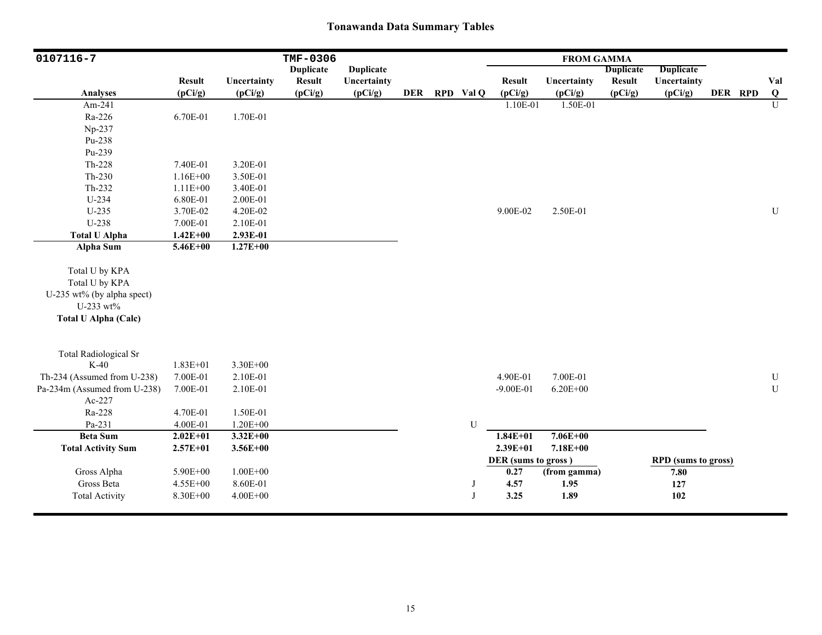| 0107116-7                               |                          |                          | TMF-0306                 |                        |            |              |                          | <b>FROM GAMMA</b>      |                          |                            |         |                 |
|-----------------------------------------|--------------------------|--------------------------|--------------------------|------------------------|------------|--------------|--------------------------|------------------------|--------------------------|----------------------------|---------|-----------------|
|                                         |                          |                          | <b>Duplicate</b>         | <b>Duplicate</b>       |            |              |                          |                        | <b>Duplicate</b>         | <b>Duplicate</b>           |         |                 |
| Analyses                                | <b>Result</b><br>(pCi/g) | Uncertainty<br>(pCi/g)   | <b>Result</b><br>(pCi/g) | Uncertainty<br>(pCi/g) | <b>DER</b> | RPD Val Q    | <b>Result</b><br>(pCi/g) | Uncertainty<br>(pCi/g) | <b>Result</b><br>(pCi/g) | Uncertainty<br>(pCi/g)     | DER RPD | Val<br>$\bf{Q}$ |
| Am-241                                  |                          |                          |                          |                        |            |              | 1.10E-01                 | 1.50E-01               |                          |                            |         | U               |
| Ra-226                                  | 6.70E-01                 | 1.70E-01                 |                          |                        |            |              |                          |                        |                          |                            |         |                 |
| Np-237                                  |                          |                          |                          |                        |            |              |                          |                        |                          |                            |         |                 |
| Pu-238                                  |                          |                          |                          |                        |            |              |                          |                        |                          |                            |         |                 |
| Pu-239                                  |                          |                          |                          |                        |            |              |                          |                        |                          |                            |         |                 |
| $Th-228$                                | 7.40E-01                 | 3.20E-01                 |                          |                        |            |              |                          |                        |                          |                            |         |                 |
| $Th-230$                                | $1.16E + 00$             | 3.50E-01                 |                          |                        |            |              |                          |                        |                          |                            |         |                 |
| Th-232                                  | $1.11E + 00$             | 3.40E-01                 |                          |                        |            |              |                          |                        |                          |                            |         |                 |
| U-234                                   | 6.80E-01                 | 2.00E-01                 |                          |                        |            |              |                          |                        |                          |                            |         |                 |
| $U-235$                                 | 3.70E-02                 | 4.20E-02                 |                          |                        |            |              | 9.00E-02                 | 2.50E-01               |                          |                            |         | ${\bf U}$       |
| U-238                                   | 7.00E-01                 | 2.10E-01                 |                          |                        |            |              |                          |                        |                          |                            |         |                 |
|                                         |                          |                          |                          |                        |            |              |                          |                        |                          |                            |         |                 |
| <b>Total U Alpha</b>                    | $1.42E + 00$             | 2.93E-01<br>$1.27E + 00$ |                          |                        |            |              |                          |                        |                          |                            |         |                 |
| <b>Alpha Sum</b>                        | $5.46E + 00$             |                          |                          |                        |            |              |                          |                        |                          |                            |         |                 |
| Total U by KPA                          |                          |                          |                          |                        |            |              |                          |                        |                          |                            |         |                 |
| Total U by KPA                          |                          |                          |                          |                        |            |              |                          |                        |                          |                            |         |                 |
|                                         |                          |                          |                          |                        |            |              |                          |                        |                          |                            |         |                 |
| U-235 wt% (by alpha spect)<br>U-233 wt% |                          |                          |                          |                        |            |              |                          |                        |                          |                            |         |                 |
| <b>Total U Alpha (Calc)</b>             |                          |                          |                          |                        |            |              |                          |                        |                          |                            |         |                 |
|                                         |                          |                          |                          |                        |            |              |                          |                        |                          |                            |         |                 |
| <b>Total Radiological Sr</b>            |                          |                          |                          |                        |            |              |                          |                        |                          |                            |         |                 |
| $K-40$                                  | $1.83E + 01$             | 3.30E+00                 |                          |                        |            |              |                          |                        |                          |                            |         |                 |
| Th-234 (Assumed from U-238)             | 7.00E-01                 | 2.10E-01                 |                          |                        |            |              | 4.90E-01                 | 7.00E-01               |                          |                            |         | U               |
| Pa-234m (Assumed from U-238)            | 7.00E-01                 | 2.10E-01                 |                          |                        |            |              | $-9.00E-01$              | $6.20E + 00$           |                          |                            |         | $\mathbf U$     |
| Ac-227                                  |                          |                          |                          |                        |            |              |                          |                        |                          |                            |         |                 |
| Ra-228                                  | 4.70E-01                 | 1.50E-01                 |                          |                        |            |              |                          |                        |                          |                            |         |                 |
| Pa-231                                  | 4.00E-01                 | $1.20E + 00$             |                          |                        |            | ${\bf U}$    |                          |                        |                          |                            |         |                 |
| <b>Beta Sum</b>                         | $2.02E + 01$             | $3.32E+00$               |                          |                        |            |              | $1.84E + 01$             | $7.06E + 00$           |                          |                            |         |                 |
| <b>Total Activity Sum</b>               | $2.57E + 01$             | $3.56E + 00$             |                          |                        |            |              | $2.39E + 01$             | $7.18E + 00$           |                          |                            |         |                 |
|                                         |                          |                          |                          |                        |            |              | DER (sums to gross)      |                        |                          | <b>RPD</b> (sums to gross) |         |                 |
| Gross Alpha                             | 5.90E+00                 | $1.00E + 00$             |                          |                        |            |              | 0.27                     | (from gamma)           |                          | 7.80                       |         |                 |
| Gross Beta                              | 4.55E+00                 | 8.60E-01                 |                          |                        |            | J            | 4.57                     | 1.95                   |                          | 127                        |         |                 |
| <b>Total Activity</b>                   | 8.30E+00                 | $4.00E + 00$             |                          |                        |            | $\mathbf{J}$ | 3.25                     | 1.89                   |                          | 102                        |         |                 |
|                                         |                          |                          |                          |                        |            |              |                          |                        |                          |                            |         |                 |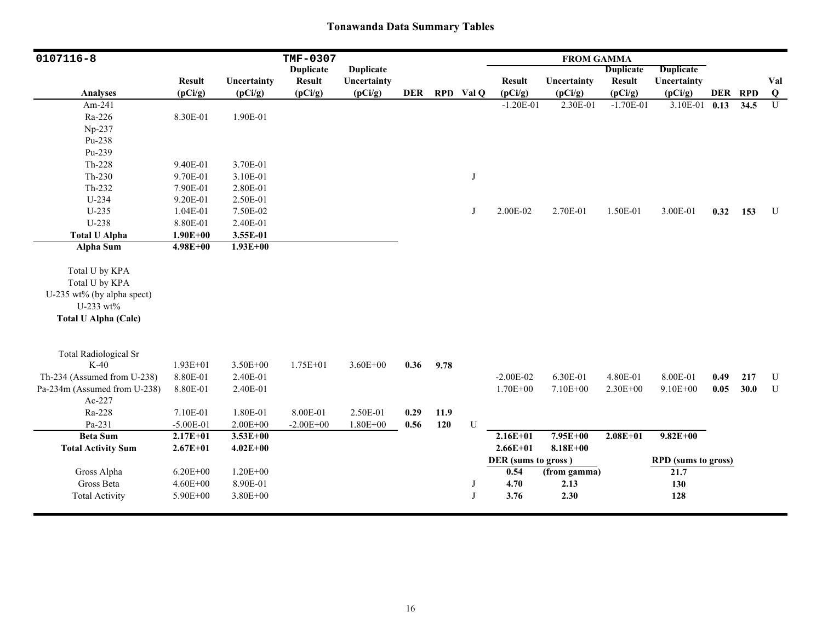| $0107116 - 8$                |               |              | TMF-0307         |                  |            |      |           |                     | <b>FROM GAMMA</b> |                  |                     |      |         |                         |
|------------------------------|---------------|--------------|------------------|------------------|------------|------|-----------|---------------------|-------------------|------------------|---------------------|------|---------|-------------------------|
|                              |               |              | <b>Duplicate</b> | <b>Duplicate</b> |            |      |           |                     |                   | <b>Duplicate</b> | <b>Duplicate</b>    |      |         |                         |
|                              | <b>Result</b> | Uncertainty  | <b>Result</b>    | Uncertainty      |            |      |           | <b>Result</b>       | Uncertainty       | <b>Result</b>    | Uncertainty         |      |         | Val                     |
| <b>Analyses</b>              | (pCi/g)       | (pCi/g)      | (pCi/g)          | (pCi/g)          | <b>DER</b> |      | RPD Val Q | (pCi/g)             | (pCi/g)           | (pCi/g)          | (pCi/g)             |      | DER RPD | $\overline{\mathbf{Q}}$ |
| Am-241                       |               |              |                  |                  |            |      |           | $-1.20E-01$         | 2.30E-01          | $-1.70E-01$      | 3.10E-01            | 0.13 | 34.5    | $\overline{U}$          |
| Ra-226                       | 8.30E-01      | 1.90E-01     |                  |                  |            |      |           |                     |                   |                  |                     |      |         |                         |
| Np-237                       |               |              |                  |                  |            |      |           |                     |                   |                  |                     |      |         |                         |
| Pu-238                       |               |              |                  |                  |            |      |           |                     |                   |                  |                     |      |         |                         |
| Pu-239                       |               |              |                  |                  |            |      |           |                     |                   |                  |                     |      |         |                         |
| $Th-228$                     | 9.40E-01      | 3.70E-01     |                  |                  |            |      |           |                     |                   |                  |                     |      |         |                         |
| $Th-230$                     | 9.70E-01      | 3.10E-01     |                  |                  |            |      | J         |                     |                   |                  |                     |      |         |                         |
| Th-232                       | 7.90E-01      | 2.80E-01     |                  |                  |            |      |           |                     |                   |                  |                     |      |         |                         |
| $U-234$                      | 9.20E-01      | 2.50E-01     |                  |                  |            |      |           |                     |                   |                  |                     |      |         |                         |
| $U-235$                      | 1.04E-01      | 7.50E-02     |                  |                  |            |      | J         | 2.00E-02            | 2.70E-01          | 1.50E-01         | 3.00E-01            | 0.32 | 153     | U                       |
| U-238                        | 8.80E-01      | 2.40E-01     |                  |                  |            |      |           |                     |                   |                  |                     |      |         |                         |
| <b>Total U Alpha</b>         | $1.90E + 00$  | 3.55E-01     |                  |                  |            |      |           |                     |                   |                  |                     |      |         |                         |
| Alpha Sum                    | $4.98E + 00$  | $1.93E + 00$ |                  |                  |            |      |           |                     |                   |                  |                     |      |         |                         |
|                              |               |              |                  |                  |            |      |           |                     |                   |                  |                     |      |         |                         |
| Total U by KPA               |               |              |                  |                  |            |      |           |                     |                   |                  |                     |      |         |                         |
| Total U by KPA               |               |              |                  |                  |            |      |           |                     |                   |                  |                     |      |         |                         |
| U-235 wt% (by alpha spect)   |               |              |                  |                  |            |      |           |                     |                   |                  |                     |      |         |                         |
| U-233 wt%                    |               |              |                  |                  |            |      |           |                     |                   |                  |                     |      |         |                         |
| <b>Total U Alpha (Calc)</b>  |               |              |                  |                  |            |      |           |                     |                   |                  |                     |      |         |                         |
|                              |               |              |                  |                  |            |      |           |                     |                   |                  |                     |      |         |                         |
|                              |               |              |                  |                  |            |      |           |                     |                   |                  |                     |      |         |                         |
| <b>Total Radiological Sr</b> |               |              |                  |                  |            |      |           |                     |                   |                  |                     |      |         |                         |
| $K-40$                       | $1.93E + 01$  | $3.50E + 00$ | $1.75E + 01$     | $3.60E + 00$     | 0.36       | 9.78 |           |                     |                   |                  |                     |      |         |                         |
| Th-234 (Assumed from U-238)  | 8.80E-01      | 2.40E-01     |                  |                  |            |      |           | $-2.00E-02$         | 6.30E-01          | 4.80E-01         | 8.00E-01            | 0.49 | 217     | U                       |
| Pa-234m (Assumed from U-238) | 8.80E-01      | 2.40E-01     |                  |                  |            |      |           | $1.70E + 00$        | 7.10E+00          | 2.30E+00         | $9.10E + 00$        | 0.05 | 30.0    | U                       |
| Ac-227                       |               |              |                  |                  |            |      |           |                     |                   |                  |                     |      |         |                         |
| Ra-228                       | 7.10E-01      | 1.80E-01     | 8.00E-01         | 2.50E-01         | 0.29       | 11.9 |           |                     |                   |                  |                     |      |         |                         |
| Pa-231                       | $-5.00E-01$   | $2.00E + 00$ | $-2.00E + 00$    | $1.80E + 00$     | 0.56       | 120  | U         |                     |                   |                  |                     |      |         |                         |
| <b>Beta Sum</b>              | $2.17E + 01$  | $3.53E+00$   |                  |                  |            |      |           | $2.16E + 01$        | 7.95E+00          | $2.08E + 01$     | $9.82E + 00$        |      |         |                         |
| <b>Total Activity Sum</b>    | $2.67E + 01$  | $4.02E + 00$ |                  |                  |            |      |           | $2.66E + 01$        | $8.18E + 00$      |                  |                     |      |         |                         |
|                              |               |              |                  |                  |            |      |           | DER (sums to gross) |                   |                  | RPD (sums to gross) |      |         |                         |
| Gross Alpha                  | $6.20E + 00$  | $1.20E + 00$ |                  |                  |            |      |           | 0.54                | (from gamma)      |                  | 21.7                |      |         |                         |
| Gross Beta                   | $4.60E + 00$  | 8.90E-01     |                  |                  |            |      | J         | 4.70                | 2.13              |                  | 130                 |      |         |                         |
| <b>Total Activity</b>        | 5.90E+00      | $3.80E + 00$ |                  |                  |            |      | J         | 3.76                | 2.30              |                  | 128                 |      |         |                         |
|                              |               |              |                  |                  |            |      |           |                     |                   |                  |                     |      |         |                         |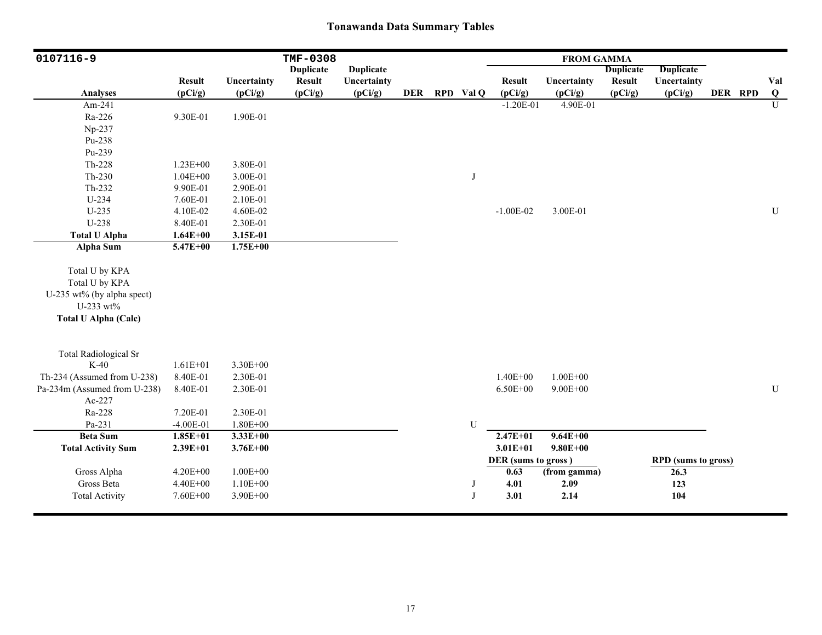| 0107116-9                    |                          |                        | <b>TMF-0308</b>          |                        |            |             |                          | <b>FROM GAMMA</b>      |                          |                            |         |           |
|------------------------------|--------------------------|------------------------|--------------------------|------------------------|------------|-------------|--------------------------|------------------------|--------------------------|----------------------------|---------|-----------|
|                              |                          |                        | <b>Duplicate</b>         | <b>Duplicate</b>       |            |             |                          |                        | <b>Duplicate</b>         | <b>Duplicate</b>           |         |           |
| <b>Analyses</b>              | <b>Result</b><br>(pCi/g) | Uncertainty<br>(pCi/g) | <b>Result</b><br>(pCi/g) | Uncertainty<br>(pCi/g) | <b>DER</b> | RPD Val Q   | <b>Result</b><br>(pCi/g) | Uncertainty<br>(pCi/g) | <b>Result</b><br>(pCi/g) | Uncertainty<br>(pCi/g)     | DER RPD | Val<br>Q  |
| Am-241                       |                          |                        |                          |                        |            |             | $-1.20E-01$              | 4.90E-01               |                          |                            |         | U         |
| Ra-226                       | 9.30E-01                 | 1.90E-01               |                          |                        |            |             |                          |                        |                          |                            |         |           |
| Np-237                       |                          |                        |                          |                        |            |             |                          |                        |                          |                            |         |           |
| Pu-238                       |                          |                        |                          |                        |            |             |                          |                        |                          |                            |         |           |
| Pu-239                       |                          |                        |                          |                        |            |             |                          |                        |                          |                            |         |           |
| Th-228                       | $1.23E + 00$             | 3.80E-01               |                          |                        |            |             |                          |                        |                          |                            |         |           |
| $Th-230$                     | $1.04E + 00$             | 3.00E-01               |                          |                        |            | $_{\rm J}$  |                          |                        |                          |                            |         |           |
| Th-232                       | 9.90E-01                 | 2.90E-01               |                          |                        |            |             |                          |                        |                          |                            |         |           |
| U-234                        | 7.60E-01                 | 2.10E-01               |                          |                        |            |             |                          |                        |                          |                            |         |           |
| $U-235$                      | 4.10E-02                 | 4.60E-02               |                          |                        |            |             | $-1.00E-02$              | 3.00E-01               |                          |                            |         | ${\bf U}$ |
| U-238                        | 8.40E-01                 | 2.30E-01               |                          |                        |            |             |                          |                        |                          |                            |         |           |
| <b>Total U Alpha</b>         | $1.64E + 00$             | 3.15E-01               |                          |                        |            |             |                          |                        |                          |                            |         |           |
| Alpha Sum                    | $5.47E + 00$             | $1.75E + 00$           |                          |                        |            |             |                          |                        |                          |                            |         |           |
| Total U by KPA               |                          |                        |                          |                        |            |             |                          |                        |                          |                            |         |           |
| Total U by KPA               |                          |                        |                          |                        |            |             |                          |                        |                          |                            |         |           |
| U-235 wt% (by alpha spect)   |                          |                        |                          |                        |            |             |                          |                        |                          |                            |         |           |
| U-233 wt%                    |                          |                        |                          |                        |            |             |                          |                        |                          |                            |         |           |
| <b>Total U Alpha (Calc)</b>  |                          |                        |                          |                        |            |             |                          |                        |                          |                            |         |           |
| <b>Total Radiological Sr</b> |                          |                        |                          |                        |            |             |                          |                        |                          |                            |         |           |
| $K-40$                       | $1.61E + 01$             | 3.30E+00               |                          |                        |            |             |                          |                        |                          |                            |         |           |
| Th-234 (Assumed from U-238)  | 8.40E-01                 | 2.30E-01               |                          |                        |            |             | $1.40E + 00$             | $1.00E + 00$           |                          |                            |         |           |
| Pa-234m (Assumed from U-238) | 8.40E-01                 | 2.30E-01               |                          |                        |            |             | $6.50E + 00$             | $9.00E + 00$           |                          |                            |         | ${\bf U}$ |
| Ac-227                       |                          |                        |                          |                        |            |             |                          |                        |                          |                            |         |           |
| Ra-228                       | 7.20E-01                 | 2.30E-01               |                          |                        |            |             |                          |                        |                          |                            |         |           |
| Pa-231                       | $-4.00E-01$              | $1.80E + 00$           |                          |                        |            | $\mathbf U$ |                          |                        |                          |                            |         |           |
| <b>Beta Sum</b>              | $1.85E+01$               | $3.33E+00$             |                          |                        |            |             | $2.47E+01$               | $9.64E + 00$           |                          |                            |         |           |
| <b>Total Activity Sum</b>    | $2.39E + 01$             | $3.76E + 00$           |                          |                        |            |             | $3.01E + 01$             | $9.80E + 00$           |                          |                            |         |           |
|                              |                          |                        |                          |                        |            |             | DER (sums to gross)      |                        |                          | <b>RPD</b> (sums to gross) |         |           |
| Gross Alpha                  | $4.20E + 00$             | $1.00E + 00$           |                          |                        |            |             | 0.63                     | (from gamma)           |                          | 26.3                       |         |           |
| Gross Beta                   | 4.40E+00                 | $1.10E + 00$           |                          |                        |            | J           | 4.01                     | 2.09                   |                          | 123                        |         |           |
| <b>Total Activity</b>        | 7.60E+00                 | 3.90E+00               |                          |                        |            | J           | 3.01                     | 2.14                   |                          | 104                        |         |           |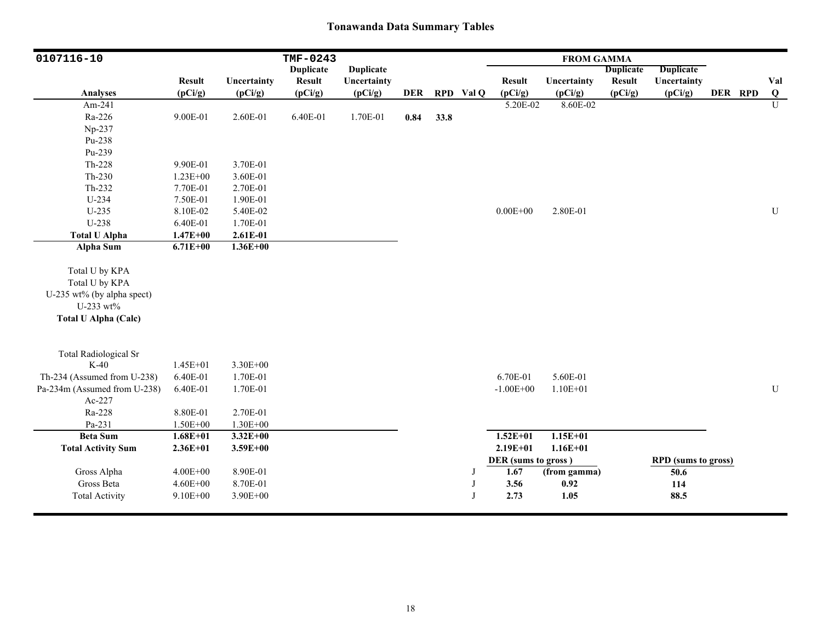| 0107116-10                   |               |              | TMF-0243         |                  |      |      |           |                     | <b>FROM GAMMA</b> |                  |                            |         |             |
|------------------------------|---------------|--------------|------------------|------------------|------|------|-----------|---------------------|-------------------|------------------|----------------------------|---------|-------------|
|                              |               |              | <b>Duplicate</b> | <b>Duplicate</b> |      |      |           |                     |                   | <b>Duplicate</b> | Duplicate                  |         |             |
|                              | <b>Result</b> | Uncertainty  | <b>Result</b>    | Uncertainty      |      |      |           | <b>Result</b>       | Uncertainty       | <b>Result</b>    | Uncertainty                |         | Val         |
| <b>Analyses</b>              | (pCi/g)       | (pCi/g)      | (pCi/g)          | (pCi/g)          | DER  |      | RPD Val Q | (pCi/g)             | (pCi/g)           | (pCi/g)          | (pCi/g)                    | DER RPD | Q           |
| Am-241                       |               |              |                  |                  |      |      |           | 5.20E-02            | 8.60E-02          |                  |                            |         | U           |
| Ra-226                       | 9.00E-01      | 2.60E-01     | 6.40E-01         | 1.70E-01         | 0.84 | 33.8 |           |                     |                   |                  |                            |         |             |
| Np-237                       |               |              |                  |                  |      |      |           |                     |                   |                  |                            |         |             |
| Pu-238                       |               |              |                  |                  |      |      |           |                     |                   |                  |                            |         |             |
| Pu-239                       |               |              |                  |                  |      |      |           |                     |                   |                  |                            |         |             |
| Th-228                       | 9.90E-01      | 3.70E-01     |                  |                  |      |      |           |                     |                   |                  |                            |         |             |
| $Th-230$                     | $1.23E + 00$  | 3.60E-01     |                  |                  |      |      |           |                     |                   |                  |                            |         |             |
| Th-232                       | 7.70E-01      | 2.70E-01     |                  |                  |      |      |           |                     |                   |                  |                            |         |             |
| U-234                        | 7.50E-01      | 1.90E-01     |                  |                  |      |      |           |                     |                   |                  |                            |         |             |
| $U-235$                      | 8.10E-02      | 5.40E-02     |                  |                  |      |      |           | $0.00E + 00$        | 2.80E-01          |                  |                            |         | $\mathbf U$ |
| U-238                        | 6.40E-01      | 1.70E-01     |                  |                  |      |      |           |                     |                   |                  |                            |         |             |
| <b>Total U Alpha</b>         | $1.47E + 00$  | 2.61E-01     |                  |                  |      |      |           |                     |                   |                  |                            |         |             |
| <b>Alpha Sum</b>             | $6.71E + 00$  | $1.36E + 00$ |                  |                  |      |      |           |                     |                   |                  |                            |         |             |
|                              |               |              |                  |                  |      |      |           |                     |                   |                  |                            |         |             |
| Total U by KPA               |               |              |                  |                  |      |      |           |                     |                   |                  |                            |         |             |
| Total U by KPA               |               |              |                  |                  |      |      |           |                     |                   |                  |                            |         |             |
| U-235 wt% (by alpha spect)   |               |              |                  |                  |      |      |           |                     |                   |                  |                            |         |             |
| U-233 wt%                    |               |              |                  |                  |      |      |           |                     |                   |                  |                            |         |             |
| <b>Total U Alpha (Calc)</b>  |               |              |                  |                  |      |      |           |                     |                   |                  |                            |         |             |
|                              |               |              |                  |                  |      |      |           |                     |                   |                  |                            |         |             |
|                              |               |              |                  |                  |      |      |           |                     |                   |                  |                            |         |             |
| <b>Total Radiological Sr</b> |               |              |                  |                  |      |      |           |                     |                   |                  |                            |         |             |
| $K-40$                       | $1.45E + 01$  | $3.30E + 00$ |                  |                  |      |      |           |                     |                   |                  |                            |         |             |
| Th-234 (Assumed from U-238)  | 6.40E-01      | 1.70E-01     |                  |                  |      |      |           | 6.70E-01            | 5.60E-01          |                  |                            |         |             |
| Pa-234m (Assumed from U-238) | 6.40E-01      | 1.70E-01     |                  |                  |      |      |           | $-1.00E + 00$       | $1.10E + 01$      |                  |                            |         | ${\bf U}$   |
| Ac-227                       |               |              |                  |                  |      |      |           |                     |                   |                  |                            |         |             |
| Ra-228                       | 8.80E-01      | 2.70E-01     |                  |                  |      |      |           |                     |                   |                  |                            |         |             |
| Pa-231                       | $1.50E + 00$  | $1.30E + 00$ |                  |                  |      |      |           |                     |                   |                  |                            |         |             |
| <b>Beta Sum</b>              | $1.68E + 01$  | $3.32E+00$   |                  |                  |      |      |           | $1.52E + 01$        | $1.15E+01$        |                  |                            |         |             |
| <b>Total Activity Sum</b>    | $2.36E + 01$  | $3.59E + 00$ |                  |                  |      |      |           | $2.19E + 01$        | $1.16E + 01$      |                  |                            |         |             |
|                              |               |              |                  |                  |      |      |           | DER (sums to gross) |                   |                  | <b>RPD</b> (sums to gross) |         |             |
| Gross Alpha                  | $4.00E + 00$  | 8.90E-01     |                  |                  |      |      | J         | 1.67                | (from gamma)      |                  | 50.6                       |         |             |
| Gross Beta                   | $4.60E + 00$  | 8.70E-01     |                  |                  |      |      | J         | 3.56                | 0.92              |                  | 114                        |         |             |
| <b>Total Activity</b>        | $9.10E + 00$  | 3.90E+00     |                  |                  |      |      | J         | 2.73                | 1.05              |                  | 88.5                       |         |             |
|                              |               |              |                  |                  |      |      |           |                     |                   |                  |                            |         |             |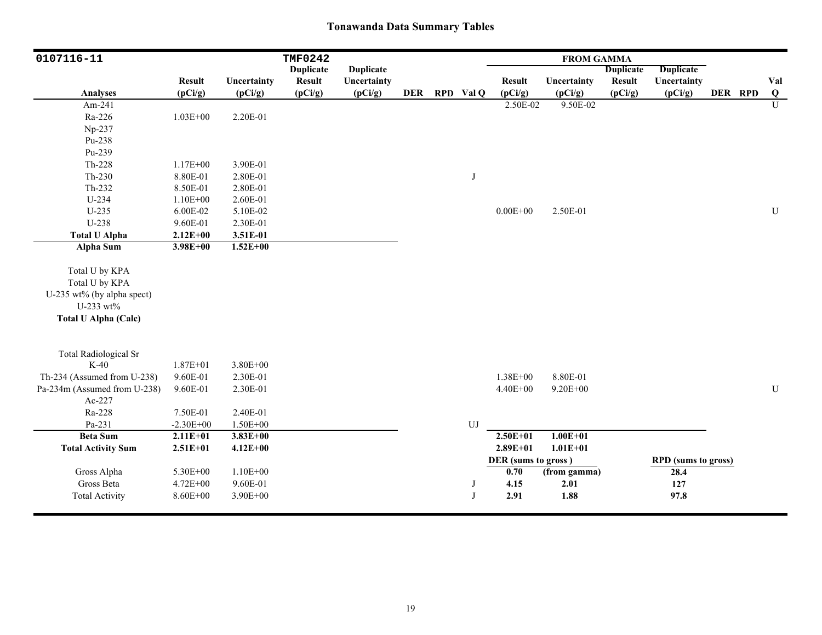| 0107116-11                                                  |                          |                        | <b>TMF0242</b>                    |                        |            |           |                          | <b>FROM GAMMA</b>      |                          |                            |         |                |
|-------------------------------------------------------------|--------------------------|------------------------|-----------------------------------|------------------------|------------|-----------|--------------------------|------------------------|--------------------------|----------------------------|---------|----------------|
|                                                             |                          |                        | <b>Duplicate</b><br><b>Result</b> | <b>Duplicate</b>       |            |           |                          |                        | <b>Duplicate</b>         | <b>Duplicate</b>           |         |                |
| <b>Analyses</b>                                             | <b>Result</b><br>(pCi/g) | Uncertainty<br>(pCi/g) | (pCi/g)                           | Uncertainty<br>(pCi/g) | <b>DER</b> | RPD Val Q | <b>Result</b><br>(pCi/g) | Uncertainty<br>(pCi/g) | <b>Result</b><br>(pCi/g) | Uncertainty<br>(pCi/g)     | DER RPD | Val<br>Q       |
| Am-241                                                      |                          |                        |                                   |                        |            |           | 2.50E-02                 | 9.50E-02               |                          |                            |         | $\overline{U}$ |
| Ra-226                                                      | $1.03E + 00$             | 2.20E-01               |                                   |                        |            |           |                          |                        |                          |                            |         |                |
| Np-237                                                      |                          |                        |                                   |                        |            |           |                          |                        |                          |                            |         |                |
| Pu-238                                                      |                          |                        |                                   |                        |            |           |                          |                        |                          |                            |         |                |
| Pu-239                                                      |                          |                        |                                   |                        |            |           |                          |                        |                          |                            |         |                |
| $Th-228$                                                    | $1.17E + 00$             | 3.90E-01               |                                   |                        |            |           |                          |                        |                          |                            |         |                |
| $Th-230$                                                    | 8.80E-01                 | 2.80E-01               |                                   |                        |            | J         |                          |                        |                          |                            |         |                |
| Th-232                                                      | 8.50E-01                 | 2.80E-01               |                                   |                        |            |           |                          |                        |                          |                            |         |                |
| U-234                                                       | $1.10E + 00$             | 2.60E-01               |                                   |                        |            |           |                          |                        |                          |                            |         |                |
| $U-235$                                                     | 6.00E-02                 | 5.10E-02               |                                   |                        |            |           | $0.00E + 00$             | 2.50E-01               |                          |                            |         | ${\bf U}$      |
| U-238                                                       | 9.60E-01                 | 2.30E-01               |                                   |                        |            |           |                          |                        |                          |                            |         |                |
| <b>Total U Alpha</b>                                        | $2.12E + 00$             | 3.51E-01               |                                   |                        |            |           |                          |                        |                          |                            |         |                |
| <b>Alpha Sum</b>                                            | $3.98E + 00$             | $1.52E + 00$           |                                   |                        |            |           |                          |                        |                          |                            |         |                |
| Total U by KPA                                              |                          |                        |                                   |                        |            |           |                          |                        |                          |                            |         |                |
| Total U by KPA                                              |                          |                        |                                   |                        |            |           |                          |                        |                          |                            |         |                |
| U-235 wt% (by alpha spect)                                  |                          |                        |                                   |                        |            |           |                          |                        |                          |                            |         |                |
| U-233 wt%                                                   |                          |                        |                                   |                        |            |           |                          |                        |                          |                            |         |                |
| <b>Total U Alpha (Calc)</b>                                 |                          |                        |                                   |                        |            |           |                          |                        |                          |                            |         |                |
|                                                             |                          |                        |                                   |                        |            |           |                          |                        |                          |                            |         |                |
| <b>Total Radiological Sr</b><br>$K-40$                      |                          | $3.80E + 00$           |                                   |                        |            |           |                          |                        |                          |                            |         |                |
|                                                             | $1.87E + 01$<br>9.60E-01 |                        |                                   |                        |            |           | 1.38E+00                 | 8.80E-01               |                          |                            |         |                |
| Th-234 (Assumed from U-238)<br>Pa-234m (Assumed from U-238) | 9.60E-01                 | 2.30E-01<br>2.30E-01   |                                   |                        |            |           | 4.40E+00                 | $9.20E + 00$           |                          |                            |         | $\mathbf U$    |
| Ac-227                                                      |                          |                        |                                   |                        |            |           |                          |                        |                          |                            |         |                |
| Ra-228                                                      | 7.50E-01                 | 2.40E-01               |                                   |                        |            |           |                          |                        |                          |                            |         |                |
| Pa-231                                                      | $-2.30E + 00$            | 1.50E+00               |                                   |                        |            | UJ        |                          |                        |                          |                            |         |                |
| <b>Beta Sum</b>                                             | $2.11E+01$               | $3.83E+00$             |                                   |                        |            |           | $2.50E+01$               | $1.00E + 01$           |                          |                            |         |                |
| <b>Total Activity Sum</b>                                   | $2.51E+01$               | $4.12E + 00$           |                                   |                        |            |           | $2.89E + 01$             | $1.01E + 01$           |                          |                            |         |                |
|                                                             |                          |                        |                                   |                        |            |           | DER (sums to gross)      |                        |                          | <b>RPD</b> (sums to gross) |         |                |
| Gross Alpha                                                 | 5.30E+00                 | $1.10E + 00$           |                                   |                        |            |           | 0.70                     | (from gamma)           |                          | 28.4                       |         |                |
| Gross Beta                                                  | 4.72E+00                 | 9.60E-01               |                                   |                        |            | J         | 4.15                     | 2.01                   |                          | 127                        |         |                |
| <b>Total Activity</b>                                       | 8.60E+00                 | 3.90E+00               |                                   |                        |            | J         | 2.91                     | 1.88                   |                          | 97.8                       |         |                |
|                                                             |                          |                        |                                   |                        |            |           |                          |                        |                          |                            |         |                |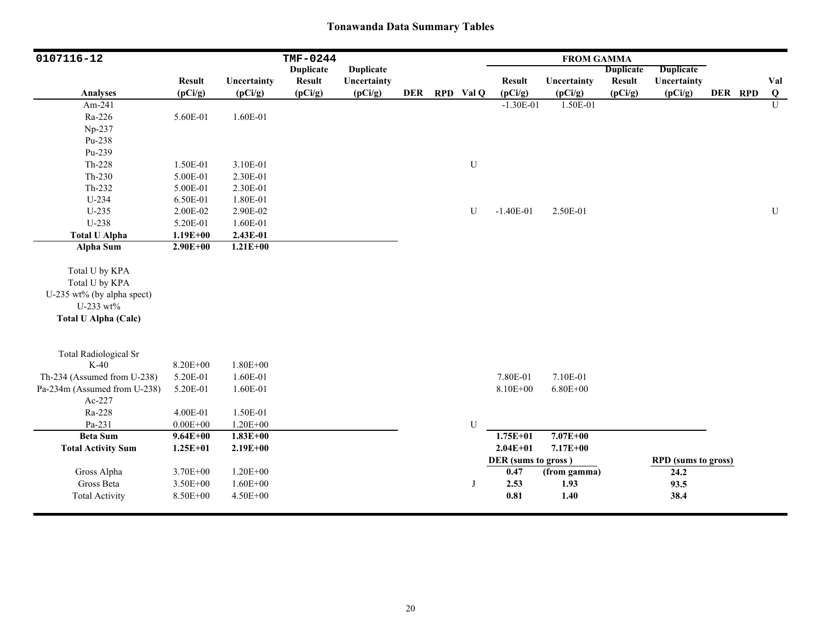| 0107116-12                   |                          |                        | <b>TMF-0244</b>          |                        |            |           |                          | <b>FROM GAMMA</b>      |                          |                            |         |                 |
|------------------------------|--------------------------|------------------------|--------------------------|------------------------|------------|-----------|--------------------------|------------------------|--------------------------|----------------------------|---------|-----------------|
|                              |                          |                        | <b>Duplicate</b>         | <b>Duplicate</b>       |            |           |                          |                        | <b>Duplicate</b>         | <b>Duplicate</b>           |         |                 |
| <b>Analyses</b>              | <b>Result</b><br>(pCi/g) | Uncertainty<br>(pCi/g) | <b>Result</b><br>(pCi/g) | Uncertainty<br>(pCi/g) | <b>DER</b> | RPD Val Q | <b>Result</b><br>(pCi/g) | Uncertainty<br>(pCi/g) | <b>Result</b><br>(pCi/g) | Uncertainty<br>(pCi/g)     | DER RPD | Val<br>$\bf{Q}$ |
| Am-241                       |                          |                        |                          |                        |            |           | $-1.30E-01$              | 1.50E-01               |                          |                            |         | $\mathbf U$     |
| Ra-226                       | 5.60E-01                 | 1.60E-01               |                          |                        |            |           |                          |                        |                          |                            |         |                 |
| Np-237                       |                          |                        |                          |                        |            |           |                          |                        |                          |                            |         |                 |
| Pu-238                       |                          |                        |                          |                        |            |           |                          |                        |                          |                            |         |                 |
| Pu-239                       |                          |                        |                          |                        |            |           |                          |                        |                          |                            |         |                 |
|                              |                          |                        |                          |                        |            |           |                          |                        |                          |                            |         |                 |
| Th-228                       | 1.50E-01                 | 3.10E-01               |                          |                        |            | ${\bf U}$ |                          |                        |                          |                            |         |                 |
| $Th-230$                     | 5.00E-01                 | 2.30E-01               |                          |                        |            |           |                          |                        |                          |                            |         |                 |
| $Th-232$                     | 5.00E-01                 | 2.30E-01               |                          |                        |            |           |                          |                        |                          |                            |         |                 |
| U-234                        | 6.50E-01                 | 1.80E-01               |                          |                        |            |           |                          |                        |                          |                            |         |                 |
| $U-235$                      | 2.00E-02                 | 2.90E-02               |                          |                        |            | U         | $-1.40E-01$              | 2.50E-01               |                          |                            |         | ${\bf U}$       |
| U-238                        | 5.20E-01                 | 1.60E-01               |                          |                        |            |           |                          |                        |                          |                            |         |                 |
| <b>Total U Alpha</b>         | $1.19E + 00$             | 2.43E-01               |                          |                        |            |           |                          |                        |                          |                            |         |                 |
| <b>Alpha Sum</b>             | $2.90E + 00$             | $1.21E+00$             |                          |                        |            |           |                          |                        |                          |                            |         |                 |
| Total U by KPA               |                          |                        |                          |                        |            |           |                          |                        |                          |                            |         |                 |
| Total U by KPA               |                          |                        |                          |                        |            |           |                          |                        |                          |                            |         |                 |
| U-235 wt% (by alpha spect)   |                          |                        |                          |                        |            |           |                          |                        |                          |                            |         |                 |
| U-233 wt%                    |                          |                        |                          |                        |            |           |                          |                        |                          |                            |         |                 |
| <b>Total U Alpha (Calc)</b>  |                          |                        |                          |                        |            |           |                          |                        |                          |                            |         |                 |
|                              |                          |                        |                          |                        |            |           |                          |                        |                          |                            |         |                 |
| <b>Total Radiological Sr</b> |                          |                        |                          |                        |            |           |                          |                        |                          |                            |         |                 |
| $K-40$                       | 8.20E+00                 | $1.80E + 00$           |                          |                        |            |           |                          |                        |                          |                            |         |                 |
| Th-234 (Assumed from U-238)  | 5.20E-01                 | 1.60E-01               |                          |                        |            |           | 7.80E-01                 | 7.10E-01               |                          |                            |         |                 |
| Pa-234m (Assumed from U-238) | 5.20E-01                 | 1.60E-01               |                          |                        |            |           | 8.10E+00                 | $6.80E + 00$           |                          |                            |         |                 |
| Ac-227                       |                          |                        |                          |                        |            |           |                          |                        |                          |                            |         |                 |
| Ra-228                       | 4.00E-01                 | 1.50E-01               |                          |                        |            |           |                          |                        |                          |                            |         |                 |
| Pa-231                       | $0.00E + 00$             | $1.20E + 00$           |                          |                        |            | ${\bf U}$ |                          |                        |                          |                            |         |                 |
| <b>Beta Sum</b>              | $9.64E + 00$             | $1.83E + 00$           |                          |                        |            |           | $1.75E+01$               | $7.07E + 00$           |                          |                            |         |                 |
| <b>Total Activity Sum</b>    | $1.25E + 01$             | $2.19E + 00$           |                          |                        |            |           | $2.04E + 01$             | $7.17E + 00$           |                          |                            |         |                 |
|                              |                          |                        |                          |                        |            |           | DER (sums to gross)      |                        |                          | <b>RPD</b> (sums to gross) |         |                 |
| Gross Alpha                  | 3.70E+00                 | $1.20E + 00$           |                          |                        |            |           | 0.47                     | (from gamma)           |                          | 24.2                       |         |                 |
| Gross Beta                   | 3.50E+00                 | $1.60E + 00$           |                          |                        |            | J         | 2.53                     | 1.93                   |                          | 93.5                       |         |                 |
| <b>Total Activity</b>        | 8.50E+00                 | 4.50E+00               |                          |                        |            |           | 0.81                     | 1.40                   |                          | 38.4                       |         |                 |
|                              |                          |                        |                          |                        |            |           |                          |                        |                          |                            |         |                 |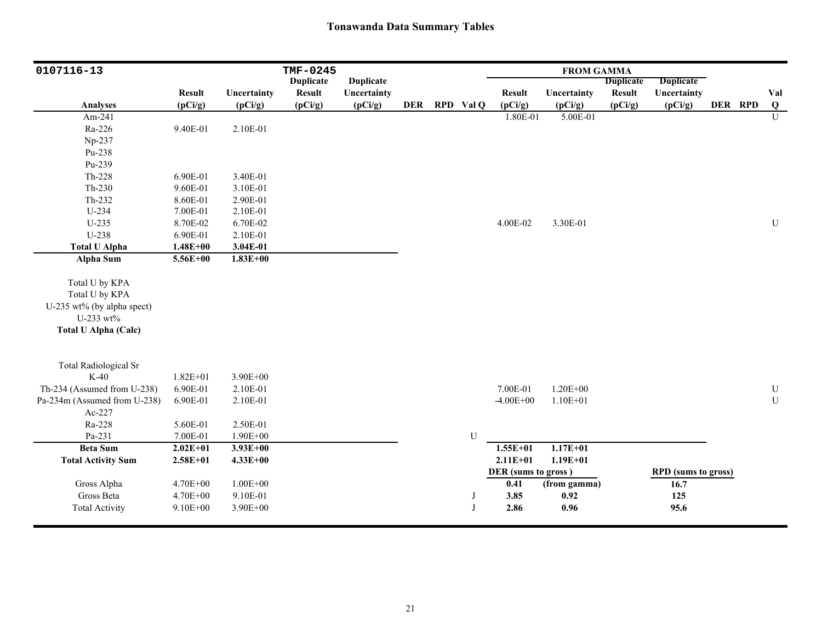| 0107116-13                             |               |              | TMF-0245         |                  |            |           |                     | <b>FROM GAMMA</b> |                  |                            |         |                          |
|----------------------------------------|---------------|--------------|------------------|------------------|------------|-----------|---------------------|-------------------|------------------|----------------------------|---------|--------------------------|
|                                        |               |              | <b>Duplicate</b> | <b>Duplicate</b> |            |           |                     |                   | <b>Duplicate</b> | <b>Duplicate</b>           |         |                          |
|                                        | <b>Result</b> | Uncertainty  | <b>Result</b>    | Uncertainty      |            |           | <b>Result</b>       | Uncertainty       | <b>Result</b>    | Uncertainty                |         | Val                      |
| <b>Analyses</b>                        | (pCi/g)       | (pCi/g)      | (pCi/g)          | (pCi/g)          | <b>DER</b> | RPD Val Q | (pCi/g)             | (pCi/g)           | (pCi/g)          | (pCi/g)                    | DER RPD | $\overline{\mathbf{Q}}$  |
| Am-241                                 |               |              |                  |                  |            |           | 1.80E-01            | 5.00E-01          |                  |                            |         | U                        |
| Ra-226                                 | 9.40E-01      | 2.10E-01     |                  |                  |            |           |                     |                   |                  |                            |         |                          |
| Np-237                                 |               |              |                  |                  |            |           |                     |                   |                  |                            |         |                          |
| Pu-238                                 |               |              |                  |                  |            |           |                     |                   |                  |                            |         |                          |
| Pu-239                                 |               |              |                  |                  |            |           |                     |                   |                  |                            |         |                          |
| Th-228                                 | 6.90E-01      | 3.40E-01     |                  |                  |            |           |                     |                   |                  |                            |         |                          |
| $Th-230$                               | 9.60E-01      | 3.10E-01     |                  |                  |            |           |                     |                   |                  |                            |         |                          |
| $Th-232$                               | 8.60E-01      | 2.90E-01     |                  |                  |            |           |                     |                   |                  |                            |         |                          |
| $U-234$                                | 7.00E-01      | 2.10E-01     |                  |                  |            |           |                     |                   |                  |                            |         |                          |
| $U-235$                                | 8.70E-02      | 6.70E-02     |                  |                  |            |           | 4.00E-02            | 3.30E-01          |                  |                            |         | ${\bf U}$                |
| U-238                                  | 6.90E-01      | 2.10E-01     |                  |                  |            |           |                     |                   |                  |                            |         |                          |
| <b>Total U Alpha</b>                   | $1.48E + 00$  | 3.04E-01     |                  |                  |            |           |                     |                   |                  |                            |         |                          |
| Alpha Sum                              | 5.56E+00      | $1.83E + 00$ |                  |                  |            |           |                     |                   |                  |                            |         |                          |
|                                        |               |              |                  |                  |            |           |                     |                   |                  |                            |         |                          |
| Total U by KPA                         |               |              |                  |                  |            |           |                     |                   |                  |                            |         |                          |
| Total U by KPA                         |               |              |                  |                  |            |           |                     |                   |                  |                            |         |                          |
| U-235 wt% (by alpha spect)             |               |              |                  |                  |            |           |                     |                   |                  |                            |         |                          |
| U-233 wt%                              |               |              |                  |                  |            |           |                     |                   |                  |                            |         |                          |
| <b>Total U Alpha (Calc)</b>            |               |              |                  |                  |            |           |                     |                   |                  |                            |         |                          |
|                                        |               |              |                  |                  |            |           |                     |                   |                  |                            |         |                          |
|                                        |               |              |                  |                  |            |           |                     |                   |                  |                            |         |                          |
| <b>Total Radiological Sr</b><br>$K-40$ |               |              |                  |                  |            |           |                     |                   |                  |                            |         |                          |
|                                        | $1.82E + 01$  | 3.90E+00     |                  |                  |            |           |                     |                   |                  |                            |         |                          |
| Th-234 (Assumed from U-238)            | 6.90E-01      | 2.10E-01     |                  |                  |            |           | 7.00E-01            | $1.20E + 00$      |                  |                            |         | ${\bf U}$<br>$\mathbf U$ |
| Pa-234m (Assumed from U-238)           | 6.90E-01      | 2.10E-01     |                  |                  |            |           | $-4.00E + 00$       | $1.10E + 01$      |                  |                            |         |                          |
| Ac-227                                 |               |              |                  |                  |            |           |                     |                   |                  |                            |         |                          |
| Ra-228                                 | 5.60E-01      | 2.50E-01     |                  |                  |            |           |                     |                   |                  |                            |         |                          |
| Pa-231                                 | 7.00E-01      | 1.90E+00     |                  |                  |            | U         |                     | $1.17E + 01$      |                  |                            |         |                          |
| <b>Beta Sum</b>                        | $2.02E + 01$  | $3.93E + 00$ |                  |                  |            |           | $1.55E + 01$        |                   |                  |                            |         |                          |
| <b>Total Activity Sum</b>              | $2.58E + 01$  | $4.33E + 00$ |                  |                  |            |           | $2.11E + 01$        | $1.19E + 01$      |                  |                            |         |                          |
|                                        |               |              |                  |                  |            |           | DER (sums to gross) |                   |                  | <b>RPD</b> (sums to gross) |         |                          |
| Gross Alpha                            | 4.70E+00      | $1.00E + 00$ |                  |                  |            |           | 0.41                | (from gamma)      |                  | 16.7                       |         |                          |
| Gross Beta                             | 4.70E+00      | 9.10E-01     |                  |                  |            | J         | 3.85                | 0.92              |                  | 125                        |         |                          |
| <b>Total Activity</b>                  | 9.10E+00      | 3.90E+00     |                  |                  |            | J         | 2.86                | 0.96              |                  | 95.6                       |         |                          |
|                                        |               |              |                  |                  |            |           |                     |                   |                  |                            |         |                          |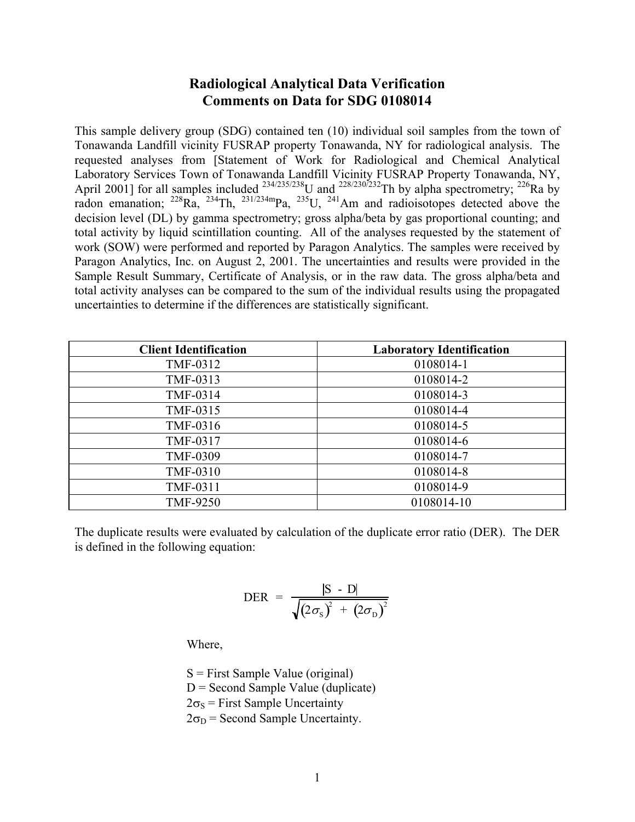# **Radiological Analytical Data Verification Comments on Data for SDG 0108014**

This sample delivery group (SDG) contained ten (10) individual soil samples from the town of Tonawanda Landfill vicinity FUSRAP property Tonawanda, NY for radiological analysis. The requested analyses from [Statement of Work for Radiological and Chemical Analytical Laboratory Services Town of Tonawanda Landfill Vicinity FUSRAP Property Tonawanda, NY, April 2001] for all samples included  $^{234/235/238}$ U and  $^{228/230/232}$ Th by alpha spectrometry;  $^{226}$ Ra by radon emanation;  $^{228}Ra$ ,  $^{234}Th$ ,  $^{231/234m}Pa$ ,  $^{235}U$ ,  $^{241}Am$  and radioisotopes detected above the decision level (DL) by gamma spectrometry; gross alpha/beta by gas proportional counting; and total activity by liquid scintillation counting. All of the analyses requested by the statement of work (SOW) were performed and reported by Paragon Analytics. The samples were received by Paragon Analytics, Inc. on August 2, 2001. The uncertainties and results were provided in the Sample Result Summary, Certificate of Analysis, or in the raw data. The gross alpha/beta and total activity analyses can be compared to the sum of the individual results using the propagated uncertainties to determine if the differences are statistically significant.

| <b>Client Identification</b> | <b>Laboratory Identification</b> |
|------------------------------|----------------------------------|
| TMF-0312                     | 0108014-1                        |
| TMF-0313                     | 0108014-2                        |
| TMF-0314                     | 0108014-3                        |
| TMF-0315                     | 0108014-4                        |
| TMF-0316                     | 0108014-5                        |
| TMF-0317                     | 0108014-6                        |
| <b>TMF-0309</b>              | 0108014-7                        |
| <b>TMF-0310</b>              | 0108014-8                        |
| TMF-0311                     | 0108014-9                        |
| <b>TMF-9250</b>              | 0108014-10                       |

The duplicate results were evaluated by calculation of the duplicate error ratio (DER). The DER is defined in the following equation:

$$
\text{DER} = \frac{|\text{S} - \text{D}|}{\sqrt{(2\sigma_{\text{S}})^{2} + (2\sigma_{\text{D}})^{2}}}
$$

Where,

 $S =$  First Sample Value (original)  $D =$  Second Sample Value (duplicate)  $2\sigma_s$  = First Sample Uncertainty  $2\sigma_D$  = Second Sample Uncertainty.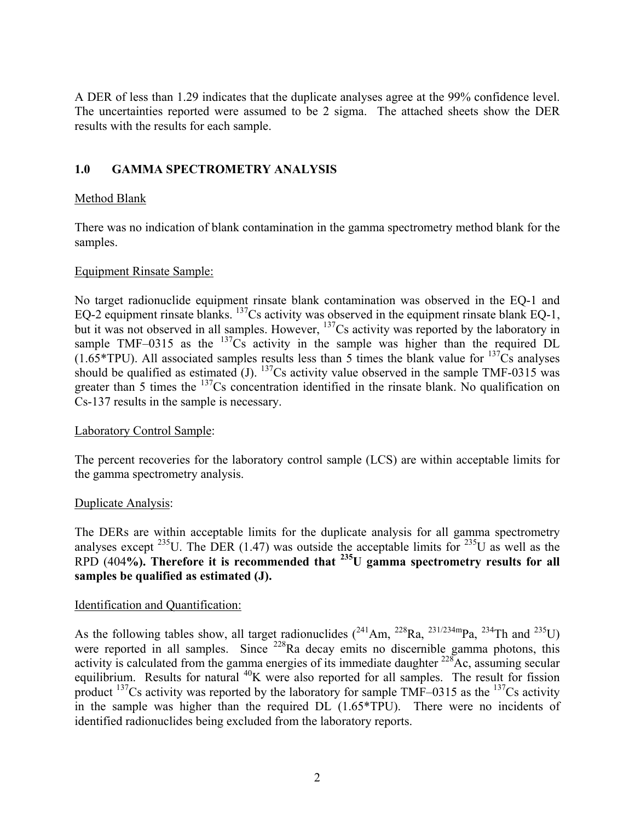A DER of less than 1.29 indicates that the duplicate analyses agree at the 99% confidence level. The uncertainties reported were assumed to be 2 sigma. The attached sheets show the DER results with the results for each sample.

## **1.0 GAMMA SPECTROMETRY ANALYSIS**

## Method Blank

There was no indication of blank contamination in the gamma spectrometry method blank for the samples.

### Equipment Rinsate Sample:

No target radionuclide equipment rinsate blank contamination was observed in the EQ-1 and EQ-2 equipment rinsate blanks.  $^{137}Cs$  activity was observed in the equipment rinsate blank EQ-1, but it was not observed in all samples. However, <sup>137</sup>Cs activity was reported by the laboratory in sample TMF–0315 as the  $137Cs$  activity in the sample was higher than the required DL  $(1.65*TPU)$ . All associated samples results less than 5 times the blank value for  $^{137}Cs$  analyses should be qualified as estimated (J).  $^{137}Cs$  activity value observed in the sample TMF-0315 was greater than 5 times the <sup>137</sup>Cs concentration identified in the rinsate blank. No qualification on Cs-137 results in the sample is necessary.

## Laboratory Control Sample:

The percent recoveries for the laboratory control sample (LCS) are within acceptable limits for the gamma spectrometry analysis.

### Duplicate Analysis:

The DERs are within acceptable limits for the duplicate analysis for all gamma spectrometry analyses except  $^{235}$ U. The DER (1.47) was outside the acceptable limits for  $^{235}$ U as well as the RPD (404**%). Therefore it is recommended that 235U gamma spectrometry results for all samples be qualified as estimated (J).**

### Identification and Quantification:

As the following tables show, all target radionuclides  $(^{241}Am, ^{228}Ra, ^{231/234m}Pa, ^{234}Th$  and  $^{235}U)$ were reported in all samples. Since <sup>228</sup>Ra decay emits no discernible gamma photons, this activity is calculated from the gamma energies of its immediate daughter  $^{228}$ Ac, assuming secular equilibrium. Results for natural <sup>40</sup>K were also reported for all samples. The result for fission product  $^{137}$ Cs activity was reported by the laboratory for sample TMF–0315 as the  $^{137}$ Cs activity in the sample was higher than the required DL (1.65\*TPU). There were no incidents of identified radionuclides being excluded from the laboratory reports.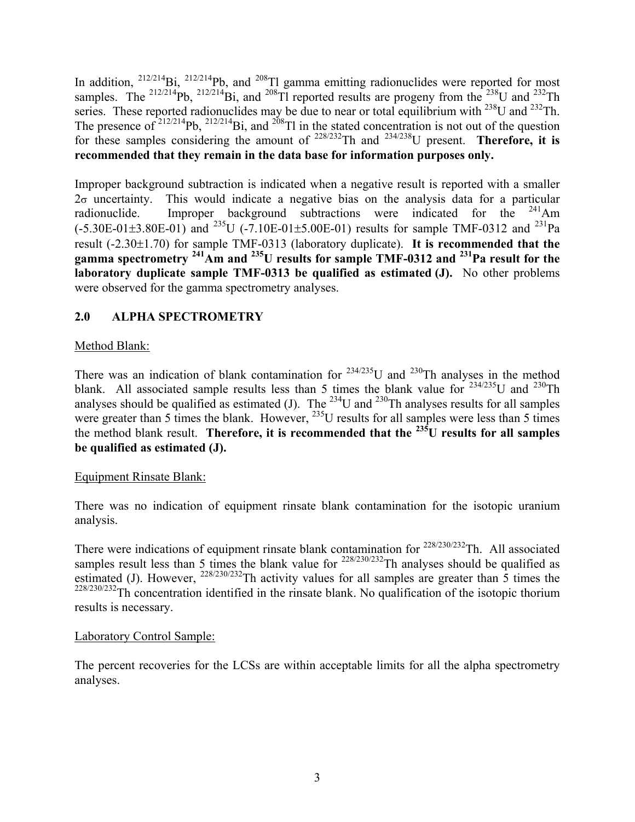In addition,  $^{212/214}$ Bi,  $^{212/214}$ Pb, and  $^{208}$ Tl gamma emitting radionuclides were reported for most samples. The <sup>212/214</sup>Pb, <sup>212/214</sup>Bi, and <sup>208</sup>Tl reported results are progeny from the <sup>238</sup>U and <sup>232</sup>Th series. These reported radionuclides may be due to near or total equilibrium with  $^{238}$ U and  $^{232}$ Th. The presence of  $212/214$ Pb,  $212/214$ Bi, and  $208$ Tl in the stated concentration is not out of the question for these samples considering the amount of <sup>228/232</sup>Th and <sup>234/238</sup>U present. **Therefore, it is recommended that they remain in the data base for information purposes only.**

Improper background subtraction is indicated when a negative result is reported with a smaller  $2\sigma$  uncertainty. This would indicate a negative bias on the analysis data for a particular radionuclide. Improper background subtractions were indicated for the  $241$ Am  $(-5.30E-01\pm3.80E-01)$  and <sup>235</sup>U (-7.10E-01 $\pm$ 5.00E-01) results for sample TMF-0312 and <sup>231</sup>Pa result (-2.30±1.70) for sample TMF-0313 (laboratory duplicate). **It is recommended that the gamma spectrometry 241Am and 235U results for sample TMF-0312 and 231Pa result for the laboratory duplicate sample TMF-0313 be qualified as estimated (J).** No other problems were observed for the gamma spectrometry analyses.

## **2.0 ALPHA SPECTROMETRY**

## Method Blank:

There was an indication of blank contamination for  $234/235$ U and  $230$ Th analyses in the method blank. All associated sample results less than 5 times the blank value for  $234/235$ U and  $230$ Th analyses should be qualified as estimated (J). The  $^{234}$ U and  $^{230}$ Th analyses results for all samples were greater than 5 times the blank. However, <sup>235</sup>U results for all samples were less than 5 times the method blank result. **Therefore, it is recommended that the** <sup>235</sup>U results for all samples **be qualified as estimated (J).**

### Equipment Rinsate Blank:

There was no indication of equipment rinsate blank contamination for the isotopic uranium analysis.

There were indications of equipment rinsate blank contamination for  $228/230/232$ Th. All associated samples result less than 5 times the blank value for  $^{228/230/232}$ Th analyses should be qualified as estimated (J). However,  $^{228/230/232}$ Th activity values for all samples are greater than 5 times the <sup>228/230/232</sup>Th concentration identified in the rinsate blank. No qualification of the isotopic thorium results is necessary.

### Laboratory Control Sample:

The percent recoveries for the LCSs are within acceptable limits for all the alpha spectrometry analyses.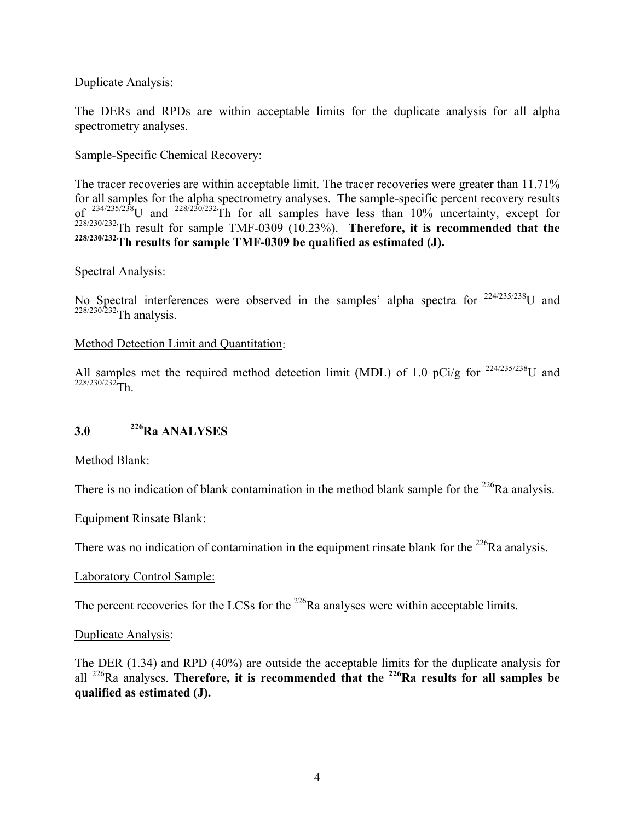### Duplicate Analysis:

The DERs and RPDs are within acceptable limits for the duplicate analysis for all alpha spectrometry analyses.

## Sample-Specific Chemical Recovery:

The tracer recoveries are within acceptable limit. The tracer recoveries were greater than 11.71% for all samples for the alpha spectrometry analyses. The sample-specific percent recovery results of  $^{234/235/238}$ U and  $^{228/230/232}$ Th for all samples have less than 10% uncertainty, except for 228/230/232Th result for sample TMF-0309 (10.23%). **Therefore, it is recommended that the 228/230/232Th results for sample TMF-0309 be qualified as estimated (J).** 

### Spectral Analysis:

No Spectral interferences were observed in the samples' alpha spectra for  $224/235/238$ U and  $228/230/232$ Th analysis.

#### Method Detection Limit and Quantitation:

All samples met the required method detection limit (MDL) of 1.0 pCi/g for  $^{224/235/238}$ U and  $228/230/232$ Th.

## **3.0 226Ra ANALYSES**

Method Blank:

There is no indication of blank contamination in the method blank sample for the  $^{226}$ Ra analysis.

#### Equipment Rinsate Blank:

There was no indication of contamination in the equipment rinsate blank for the  $^{226}$ Ra analysis.

#### Laboratory Control Sample:

The percent recoveries for the LCSs for the  $^{226}$ Ra analyses were within acceptable limits.

#### Duplicate Analysis:

The DER (1.34) and RPD (40%) are outside the acceptable limits for the duplicate analysis for all 226Ra analyses. **Therefore, it is recommended that the 226Ra results for all samples be qualified as estimated (J).**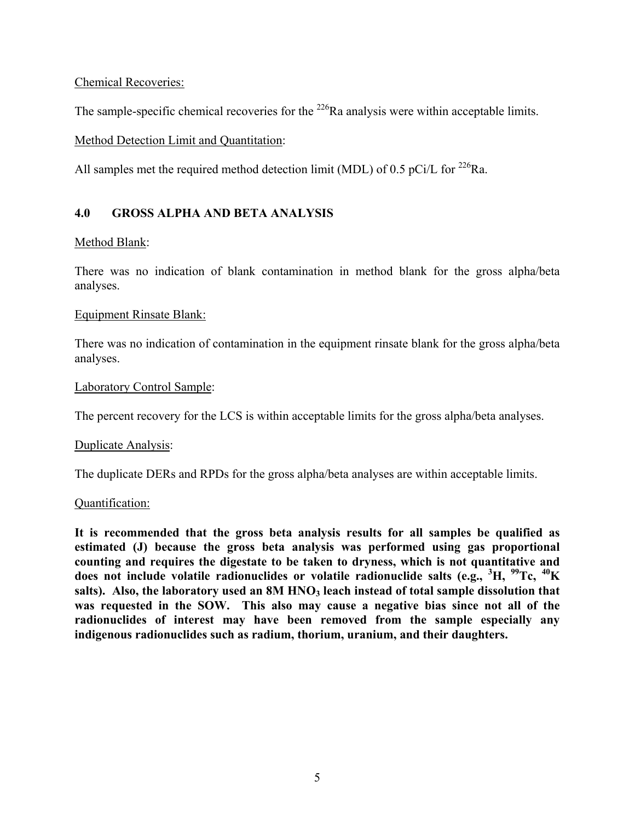Chemical Recoveries:

The sample-specific chemical recoveries for the  $^{226}$ Ra analysis were within acceptable limits.

## Method Detection Limit and Quantitation:

All samples met the required method detection limit (MDL) of 0.5 pCi/L for <sup>226</sup>Ra.

## **4.0 GROSS ALPHA AND BETA ANALYSIS**

## Method Blank:

There was no indication of blank contamination in method blank for the gross alpha/beta analyses.

### Equipment Rinsate Blank:

There was no indication of contamination in the equipment rinsate blank for the gross alpha/beta analyses.

## Laboratory Control Sample:

The percent recovery for the LCS is within acceptable limits for the gross alpha/beta analyses.

### Duplicate Analysis:

The duplicate DERs and RPDs for the gross alpha/beta analyses are within acceptable limits.

### Quantification:

**It is recommended that the gross beta analysis results for all samples be qualified as estimated (J) because the gross beta analysis was performed using gas proportional counting and requires the digestate to be taken to dryness, which is not quantitative and does not include volatile radionuclides or volatile radionuclide salts (e.g., <sup>3</sup> H, 99Tc, 40K**  salts). Also, the laboratory used an 8M HNO<sub>3</sub> leach instead of total sample dissolution that **was requested in the SOW. This also may cause a negative bias since not all of the radionuclides of interest may have been removed from the sample especially any indigenous radionuclides such as radium, thorium, uranium, and their daughters.**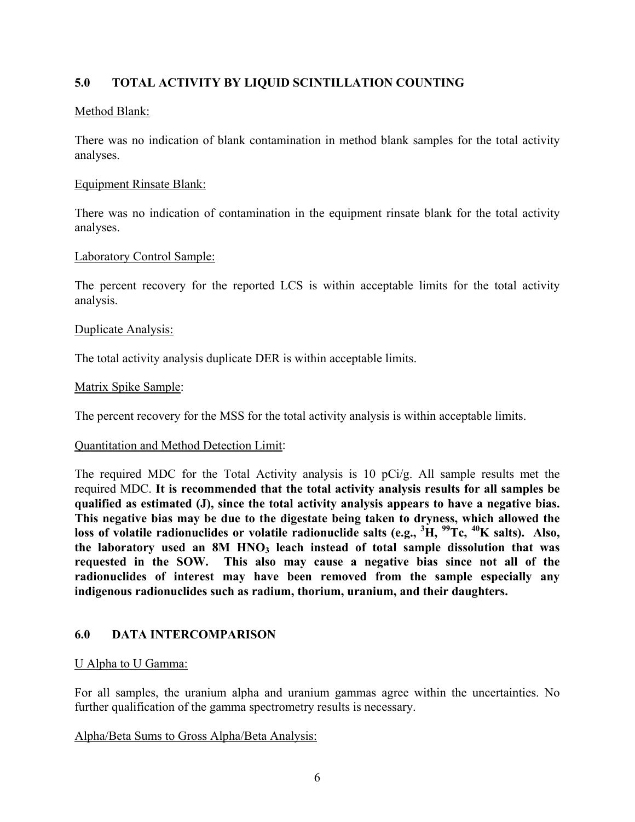## **5.0 TOTAL ACTIVITY BY LIQUID SCINTILLATION COUNTING**

## Method Blank:

There was no indication of blank contamination in method blank samples for the total activity analyses.

### Equipment Rinsate Blank:

There was no indication of contamination in the equipment rinsate blank for the total activity analyses.

## Laboratory Control Sample:

The percent recovery for the reported LCS is within acceptable limits for the total activity analysis.

### Duplicate Analysis:

The total activity analysis duplicate DER is within acceptable limits.

### Matrix Spike Sample:

The percent recovery for the MSS for the total activity analysis is within acceptable limits.

### Quantitation and Method Detection Limit:

The required MDC for the Total Activity analysis is 10 pCi/g. All sample results met the required MDC. **It is recommended that the total activity analysis results for all samples be qualified as estimated (J), since the total activity analysis appears to have a negative bias. This negative bias may be due to the digestate being taken to dryness, which allowed the loss of volatile radionuclides or volatile radionuclide salts (e.g., <sup>3</sup> H, 99Tc, 40K salts). Also,**  the laboratory used an 8M HNO<sub>3</sub> leach instead of total sample dissolution that was **requested in the SOW. This also may cause a negative bias since not all of the radionuclides of interest may have been removed from the sample especially any indigenous radionuclides such as radium, thorium, uranium, and their daughters.**

## **6.0 DATA INTERCOMPARISON**

### U Alpha to U Gamma:

For all samples, the uranium alpha and uranium gammas agree within the uncertainties. No further qualification of the gamma spectrometry results is necessary.

### Alpha/Beta Sums to Gross Alpha/Beta Analysis: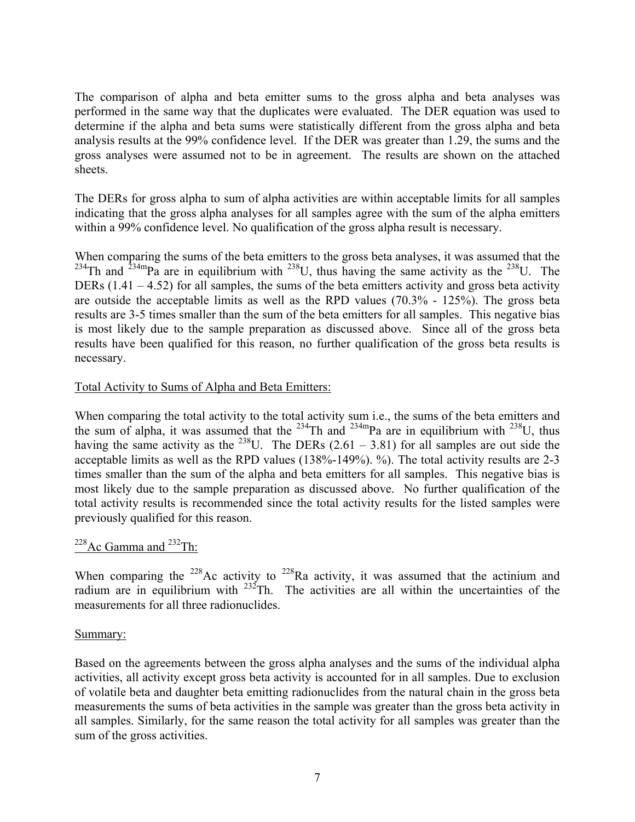The comparison of alpha and beta emitter sums to the gross alpha and beta analyses was performed in the same way that the duplicates were evaluated. The DER equation was used to determine if the alpha and beta sums were statistically different from the gross alpha and beta analysis results at the 99% confidence level. If the DER was greater than 1.29, the sums and the gross analyses were assumed not to be in agreement. The results are shown on the attached sheets.

The DERs for gross alpha to sum of alpha activities are within acceptable limits for all samples indicating that the gross alpha analyses for all samples agree with the sum of the alpha emitters within a 99% confidence level. No qualification of the gross alpha result is necessary.

When comparing the sums of the beta emitters to the gross beta analyses, it was assumed that the <sup>234</sup>Th and <sup>234m</sup>Pa are in equilibrium with <sup>238</sup>U, thus having the same activity as the <sup>238</sup>U. The DERs (1.41 – 4.52) for all samples, the sums of the beta emitters activity and gross beta activity are outside the acceptable limits as well as the RPD values (70.3% - 125%). The gross beta results are 3-5 times smaller than the sum of the beta emitters for all samples. This negative bias is most likely due to the sample preparation as discussed above. Since all of the gross beta results have been qualified for this reason, no further qualification of the gross beta results is necessary.

## Total Activity to Sums of Alpha and Beta Emitters:

When comparing the total activity to the total activity sum i.e., the sums of the beta emitters and the sum of alpha, it was assumed that the <sup>234</sup>Th and <sup>234m</sup>Pa are in equilibrium with <sup>238</sup>U, thus having the same activity as the <sup>238</sup>U. The DERs  $(2.61 - 3.81)$  for all samples are out side the acceptable limits as well as the RPD values (138%-149%). %). The total activity results are 2-3 times smaller than the sum of the alpha and beta emitters for all samples. This negative bias is most likely due to the sample preparation as discussed above. No further qualification of the total activity results is recommended since the total activity results for the listed samples were previously qualified for this reason.

## <sup>228</sup>Ac Gamma and <sup>232</sup>Th:

When comparing the  $228$ Ac activity to  $228$ Ra activity, it was assumed that the actinium and radium are in equilibrium with  $232$ Th. The activities are all within the uncertainties of the measurements for all three radionuclides.

### Summary:

Based on the agreements between the gross alpha analyses and the sums of the individual alpha activities, all activity except gross beta activity is accounted for in all samples. Due to exclusion of volatile beta and daughter beta emitting radionuclides from the natural chain in the gross beta measurements the sums of beta activities in the sample was greater than the gross beta activity in all samples. Similarly, for the same reason the total activity for all samples was greater than the sum of the gross activities.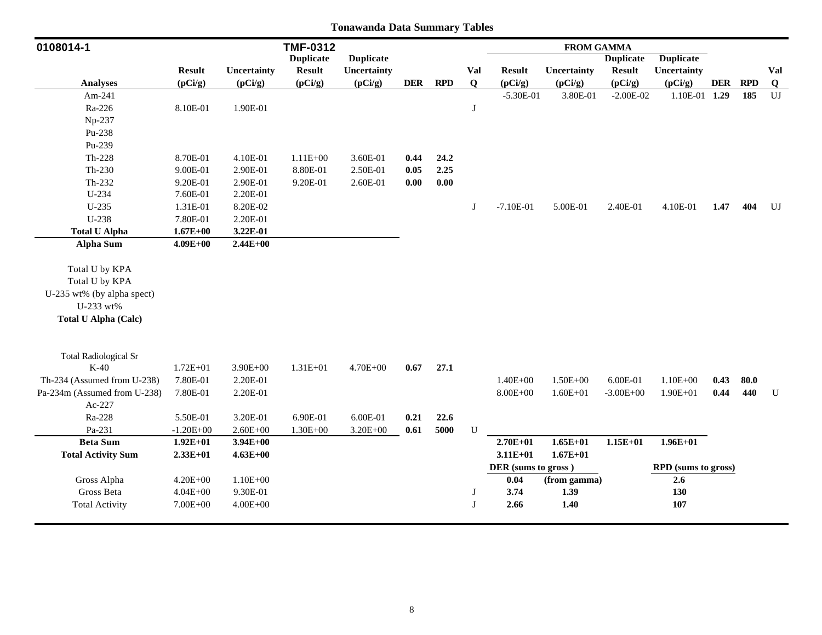| 0108014-1                              |               |              | <b>TMF-0312</b>  |                  |            |            |             |                     | <b>FROM GAMMA</b> |                  |                            |            |            |                        |
|----------------------------------------|---------------|--------------|------------------|------------------|------------|------------|-------------|---------------------|-------------------|------------------|----------------------------|------------|------------|------------------------|
|                                        |               |              | <b>Duplicate</b> | <b>Duplicate</b> |            |            |             |                     |                   | <b>Duplicate</b> | <b>Duplicate</b>           |            |            |                        |
|                                        | <b>Result</b> | Uncertainty  | <b>Result</b>    | Uncertainty      |            |            | <b>Val</b>  | <b>Result</b>       | Uncertainty       | <b>Result</b>    | <b>Uncertainty</b>         |            |            | Val                    |
| <b>Analyses</b>                        | (pCi/g)       | (pCi/g)      | (pCi/g)          | (pCi/g)          | <b>DER</b> | <b>RPD</b> | $\mathbf Q$ | (pCi/g)             | (pCi/g)           | (pCi/g)          | (pCi/g)                    | <b>DER</b> | <b>RPD</b> | $\bf{Q}$               |
| Am-241                                 |               |              |                  |                  |            |            |             | $-5.30E-01$         | 3.80E-01          | $-2.00E-02$      | 1.10E-01 1.29              |            | 185        | $\mathbf{U}\mathbf{J}$ |
| Ra-226                                 | 8.10E-01      | 1.90E-01     |                  |                  |            |            | J           |                     |                   |                  |                            |            |            |                        |
| Np-237                                 |               |              |                  |                  |            |            |             |                     |                   |                  |                            |            |            |                        |
| Pu-238                                 |               |              |                  |                  |            |            |             |                     |                   |                  |                            |            |            |                        |
| Pu-239                                 |               |              |                  |                  |            |            |             |                     |                   |                  |                            |            |            |                        |
| Th-228                                 | 8.70E-01      | 4.10E-01     | $1.11E + 00$     | 3.60E-01         | 0.44       | 24.2       |             |                     |                   |                  |                            |            |            |                        |
| $Th-230$                               | 9.00E-01      | 2.90E-01     | 8.80E-01         | 2.50E-01         | 0.05       | 2.25       |             |                     |                   |                  |                            |            |            |                        |
| Th-232                                 | 9.20E-01      | 2.90E-01     | 9.20E-01         | 2.60E-01         | $0.00\,$   | $0.00\,$   |             |                     |                   |                  |                            |            |            |                        |
| U-234                                  | 7.60E-01      | 2.20E-01     |                  |                  |            |            |             |                     |                   |                  |                            |            |            |                        |
| $U-235$                                | 1.31E-01      | 8.20E-02     |                  |                  |            |            | J           | $-7.10E-01$         | 5.00E-01          | 2.40E-01         | 4.10E-01                   | 1.47       | 404        | U                      |
| U-238                                  | 7.80E-01      | 2.20E-01     |                  |                  |            |            |             |                     |                   |                  |                            |            |            |                        |
| <b>Total U Alpha</b>                   | $1.67E + 00$  | 3.22E-01     |                  |                  |            |            |             |                     |                   |                  |                            |            |            |                        |
| <b>Alpha Sum</b>                       | $4.09E + 00$  | $2.44E + 00$ |                  |                  |            |            |             |                     |                   |                  |                            |            |            |                        |
|                                        |               |              |                  |                  |            |            |             |                     |                   |                  |                            |            |            |                        |
| Total U by KPA                         |               |              |                  |                  |            |            |             |                     |                   |                  |                            |            |            |                        |
| Total U by KPA                         |               |              |                  |                  |            |            |             |                     |                   |                  |                            |            |            |                        |
| U-235 wt% (by alpha spect)             |               |              |                  |                  |            |            |             |                     |                   |                  |                            |            |            |                        |
| U-233 wt%                              |               |              |                  |                  |            |            |             |                     |                   |                  |                            |            |            |                        |
| <b>Total U Alpha (Calc)</b>            |               |              |                  |                  |            |            |             |                     |                   |                  |                            |            |            |                        |
|                                        |               |              |                  |                  |            |            |             |                     |                   |                  |                            |            |            |                        |
| <b>Total Radiological Sr</b><br>$K-40$ |               |              |                  |                  |            |            |             |                     |                   |                  |                            |            |            |                        |
|                                        | $1.72E + 01$  | $3.90E + 00$ | $1.31E + 01$     | $4.70E + 00$     | 0.67       | 27.1       |             |                     |                   |                  |                            |            |            |                        |
| Th-234 (Assumed from U-238)            | 7.80E-01      | 2.20E-01     |                  |                  |            |            |             | $1.40E + 00$        | $1.50E + 00$      | 6.00E-01         | $1.10E + 00$               | 0.43       | 80.0       |                        |
| Pa-234m (Assumed from U-238)           | 7.80E-01      | 2.20E-01     |                  |                  |            |            |             | $8.00E + 00$        | $1.60E + 01$      | $-3.00E + 00$    | $1.90E + 01$               | 0.44       | 440        | U                      |
| Ac-227                                 |               |              |                  |                  |            |            |             |                     |                   |                  |                            |            |            |                        |
| Ra-228                                 | 5.50E-01      | 3.20E-01     | 6.90E-01         | 6.00E-01         | 0.21       | 22.6       |             |                     |                   |                  |                            |            |            |                        |
| Pa-231                                 | $-1.20E + 00$ | $2.60E + 00$ | $1.30E + 00$     | $3.20E + 00$     | 0.61       | 5000       | ${\bf U}$   |                     |                   |                  |                            |            |            |                        |
| <b>Beta Sum</b>                        | $1.92E + 01$  | $3.94E + 00$ |                  |                  |            |            |             | $2.70E + 01$        | $1.65E+01$        | $1.15E + 01$     | $1.96E + 01$               |            |            |                        |
| <b>Total Activity Sum</b>              | $2.33E+01$    | $4.63E + 00$ |                  |                  |            |            |             | $3.11E + 01$        | $1.67E + 01$      |                  |                            |            |            |                        |
|                                        |               |              |                  |                  |            |            |             | DER (sums to gross) |                   |                  | <b>RPD</b> (sums to gross) |            |            |                        |
| Gross Alpha                            | $4.20E + 00$  | $1.10E + 00$ |                  |                  |            |            |             | 0.04                | (from gamma)      |                  | 2.6                        |            |            |                        |
| Gross Beta                             | $4.04E + 00$  | 9.30E-01     |                  |                  |            |            | J           | 3.74                | 1.39              |                  | 130                        |            |            |                        |
| <b>Total Activity</b>                  | 7.00E+00      | $4.00E + 00$ |                  |                  |            |            | J           | 2.66                | 1.40              |                  | $107\,$                    |            |            |                        |
|                                        |               |              |                  |                  |            |            |             |                     |                   |                  |                            |            |            |                        |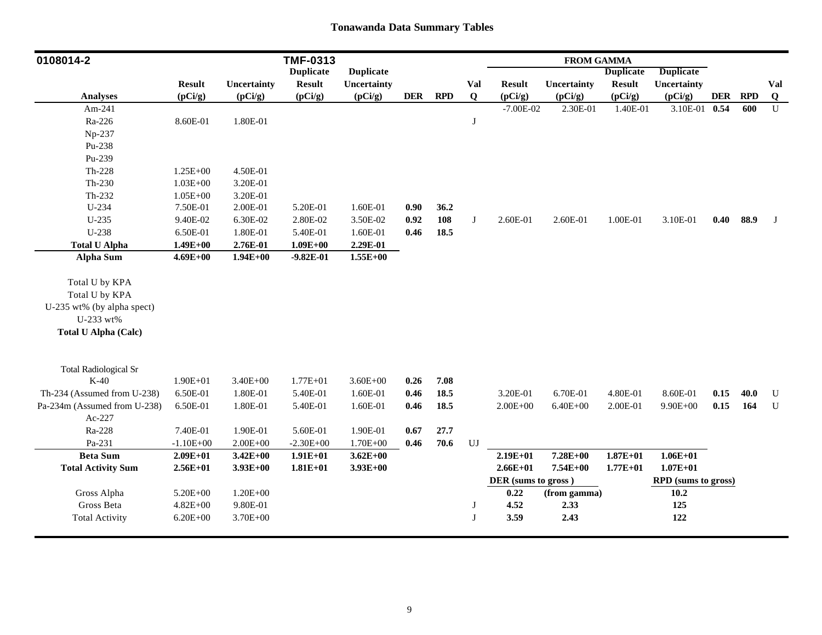| 0108014-2                    |               |              | <b>TMF-0313</b>  |                  |            |            |                        |                     | <b>FROM GAMMA</b> |                  |                            |            |            |             |
|------------------------------|---------------|--------------|------------------|------------------|------------|------------|------------------------|---------------------|-------------------|------------------|----------------------------|------------|------------|-------------|
|                              |               |              | <b>Duplicate</b> | <b>Duplicate</b> |            |            |                        |                     |                   | <b>Duplicate</b> | <b>Duplicate</b>           |            |            |             |
|                              | <b>Result</b> | Uncertainty  | <b>Result</b>    | Uncertainty      |            |            | Val                    | <b>Result</b>       | Uncertainty       | <b>Result</b>    | Uncertainty                |            |            | Val         |
| <b>Analyses</b>              | (pCi/g)       | (pCi/g)      | (pCi/g)          | (pCi/g)          | <b>DER</b> | <b>RPD</b> | $\bf{Q}$               | (pCi/g)             | (pCi/g)           | (pCi/g)          | (pCi/g)                    | <b>DER</b> | <b>RPD</b> | $\bf{Q}$    |
| Am-241                       |               |              |                  |                  |            |            |                        | $-7.00E-02$         | 2.30E-01          | 1.40E-01         | 3.10E-01 0.54              |            | 600        | $\mathbf U$ |
| Ra-226                       | 8.60E-01      | 1.80E-01     |                  |                  |            |            | $\bf J$                |                     |                   |                  |                            |            |            |             |
| Np-237                       |               |              |                  |                  |            |            |                        |                     |                   |                  |                            |            |            |             |
| Pu-238                       |               |              |                  |                  |            |            |                        |                     |                   |                  |                            |            |            |             |
| Pu-239                       |               |              |                  |                  |            |            |                        |                     |                   |                  |                            |            |            |             |
| $Th-228$                     | 1.25E+00      | 4.50E-01     |                  |                  |            |            |                        |                     |                   |                  |                            |            |            |             |
| Th-230                       | $1.03E + 00$  | 3.20E-01     |                  |                  |            |            |                        |                     |                   |                  |                            |            |            |             |
| Th-232                       | $1.05E + 00$  | 3.20E-01     |                  |                  |            |            |                        |                     |                   |                  |                            |            |            |             |
| U-234                        | 7.50E-01      | 2.00E-01     | 5.20E-01         | 1.60E-01         | 0.90       | 36.2       |                        |                     |                   |                  |                            |            |            |             |
| U-235                        | 9.40E-02      | 6.30E-02     | 2.80E-02         | 3.50E-02         | 0.92       | 108        | J                      | 2.60E-01            | 2.60E-01          | 1.00E-01         | 3.10E-01                   |            | 0.40 88.9  | J           |
| U-238                        | 6.50E-01      | 1.80E-01     | 5.40E-01         | 1.60E-01         | 0.46       | 18.5       |                        |                     |                   |                  |                            |            |            |             |
| <b>Total U Alpha</b>         | $1.49E + 00$  | 2.76E-01     | $1.09E + 00$     | 2.29E-01         |            |            |                        |                     |                   |                  |                            |            |            |             |
| Alpha Sum                    | $4.69E + 00$  | $1.94E+00$   | $-9.82E-01$      | $1.55E + 00$     |            |            |                        |                     |                   |                  |                            |            |            |             |
|                              |               |              |                  |                  |            |            |                        |                     |                   |                  |                            |            |            |             |
| Total U by KPA               |               |              |                  |                  |            |            |                        |                     |                   |                  |                            |            |            |             |
| Total U by KPA               |               |              |                  |                  |            |            |                        |                     |                   |                  |                            |            |            |             |
| U-235 wt% (by alpha spect)   |               |              |                  |                  |            |            |                        |                     |                   |                  |                            |            |            |             |
| U-233 wt%                    |               |              |                  |                  |            |            |                        |                     |                   |                  |                            |            |            |             |
| <b>Total U Alpha (Calc)</b>  |               |              |                  |                  |            |            |                        |                     |                   |                  |                            |            |            |             |
|                              |               |              |                  |                  |            |            |                        |                     |                   |                  |                            |            |            |             |
|                              |               |              |                  |                  |            |            |                        |                     |                   |                  |                            |            |            |             |
| <b>Total Radiological Sr</b> |               |              |                  |                  |            |            |                        |                     |                   |                  |                            |            |            |             |
| $K-40$                       | $1.90E + 01$  | $3.40E + 00$ | $1.77E + 01$     | $3.60E + 00$     | 0.26       | 7.08       |                        |                     |                   |                  |                            |            |            |             |
| Th-234 (Assumed from U-238)  | 6.50E-01      | 1.80E-01     | 5.40E-01         | 1.60E-01         | 0.46       | 18.5       |                        | 3.20E-01            | 6.70E-01          | 4.80E-01         | 8.60E-01                   | 0.15       | 40.0       | U           |
| Pa-234m (Assumed from U-238) | 6.50E-01      | 1.80E-01     | 5.40E-01         | 1.60E-01         | 0.46       | 18.5       |                        | $2.00E + 00$        | $6.40E + 00$      | 2.00E-01         | $9.90E + 00$               | 0.15       | 164        | $\mathbf U$ |
| Ac-227                       |               |              |                  |                  |            |            |                        |                     |                   |                  |                            |            |            |             |
| Ra-228                       | 7.40E-01      | 1.90E-01     | 5.60E-01         | 1.90E-01         | 0.67       | 27.7       |                        |                     |                   |                  |                            |            |            |             |
| Pa-231                       | $-1.10E + 00$ | $2.00E + 00$ | $-2.30E + 00$    | $1.70E + 00$     | 0.46       | 70.6       | $\mathbf{U}\mathbf{J}$ |                     |                   |                  |                            |            |            |             |
| <b>Beta Sum</b>              | $2.09E + 01$  | $3.42E + 00$ | $1.91E+01$       | $3.62E + 00$     |            |            |                        | $2.19E + 01$        | 7.28E+00          | $1.87E + 01$     | $1.06E + 01$               |            |            |             |
| <b>Total Activity Sum</b>    | $2.56E+01$    | $3.93E+00$   | $1.81E + 01$     | $3.93E+00$       |            |            |                        | $2.66E + 01$        | 7.54E+00          | $1.77E + 01$     | $1.07E + 01$               |            |            |             |
|                              |               |              |                  |                  |            |            |                        | DER (sums to gross) |                   |                  | <b>RPD</b> (sums to gross) |            |            |             |
| Gross Alpha                  | 5.20E+00      | $1.20E + 00$ |                  |                  |            |            |                        | 0.22                | (from gamma)      |                  | 10.2                       |            |            |             |
| Gross Beta                   | $4.82E + 00$  | 9.80E-01     |                  |                  |            |            | J                      | 4.52                | 2.33              |                  | 125                        |            |            |             |
| <b>Total Activity</b>        | $6.20E + 00$  | 3.70E+00     |                  |                  |            |            | J                      | 3.59                | 2.43              |                  | 122                        |            |            |             |
|                              |               |              |                  |                  |            |            |                        |                     |                   |                  |                            |            |            |             |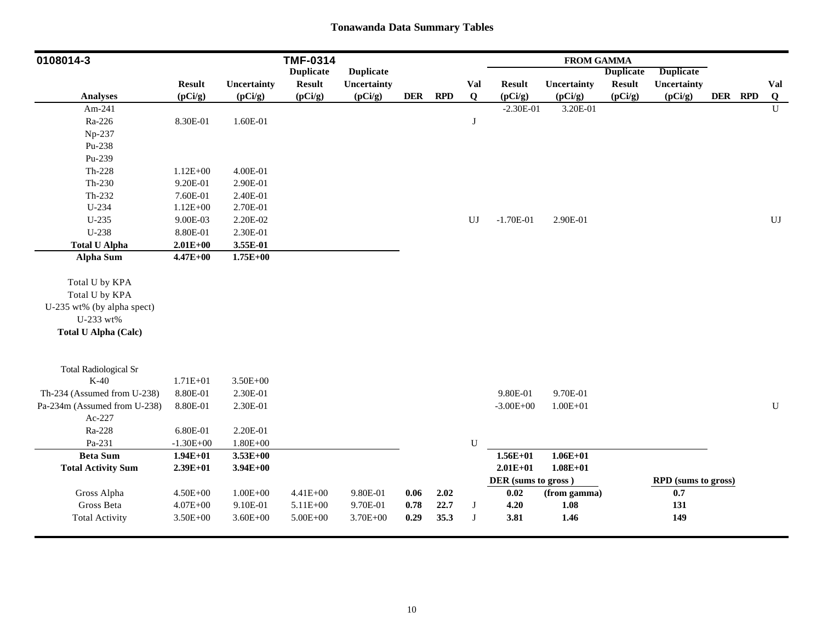| 0108014-3                    |               |              | <b>TMF-0314</b>  |                  |            |            |             |                     | <b>FROM GAMMA</b> |                  |                            |         |                        |
|------------------------------|---------------|--------------|------------------|------------------|------------|------------|-------------|---------------------|-------------------|------------------|----------------------------|---------|------------------------|
|                              |               |              | <b>Duplicate</b> | <b>Duplicate</b> |            |            |             |                     |                   | <b>Duplicate</b> | <b>Duplicate</b>           |         |                        |
|                              | <b>Result</b> | Uncertainty  | <b>Result</b>    | Uncertainty      |            |            | Val         | <b>Result</b>       | Uncertainty       | <b>Result</b>    | <b>Uncertainty</b>         |         | Val                    |
| <b>Analyses</b>              | (pCi/g)       | (pCi/g)      | (pCi/g)          | (pCi/g)          | <b>DER</b> | <b>RPD</b> | Q           | (pCi/g)             | (pCi/g)           | (pCi/g)          | (pCi/g)                    | DER RPD | Q                      |
| Am-241                       |               |              |                  |                  |            |            |             | $-2.30E-01$         | 3.20E-01          |                  |                            |         | $\mathbf U$            |
| Ra-226                       | 8.30E-01      | 1.60E-01     |                  |                  |            |            | J           |                     |                   |                  |                            |         |                        |
| Np-237                       |               |              |                  |                  |            |            |             |                     |                   |                  |                            |         |                        |
| Pu-238                       |               |              |                  |                  |            |            |             |                     |                   |                  |                            |         |                        |
| Pu-239                       |               |              |                  |                  |            |            |             |                     |                   |                  |                            |         |                        |
| $Th-228$                     | $1.12E + 00$  | 4.00E-01     |                  |                  |            |            |             |                     |                   |                  |                            |         |                        |
| $Th-230$                     | 9.20E-01      | 2.90E-01     |                  |                  |            |            |             |                     |                   |                  |                            |         |                        |
| Th-232                       | 7.60E-01      | 2.40E-01     |                  |                  |            |            |             |                     |                   |                  |                            |         |                        |
| U-234                        | $1.12E + 00$  | 2.70E-01     |                  |                  |            |            |             |                     |                   |                  |                            |         |                        |
| $U-235$                      | 9.00E-03      | 2.20E-02     |                  |                  |            |            | UJ          | $-1.70E-01$         | 2.90E-01          |                  |                            |         | $\mathbf{U}\mathbf{J}$ |
| $U-238$                      | 8.80E-01      | 2.30E-01     |                  |                  |            |            |             |                     |                   |                  |                            |         |                        |
| <b>Total U Alpha</b>         | $2.01E+00$    | 3.55E-01     |                  |                  |            |            |             |                     |                   |                  |                            |         |                        |
| <b>Alpha Sum</b>             | $4.47E + 00$  | $1.75E + 00$ |                  |                  |            |            |             |                     |                   |                  |                            |         |                        |
|                              |               |              |                  |                  |            |            |             |                     |                   |                  |                            |         |                        |
| Total U by KPA               |               |              |                  |                  |            |            |             |                     |                   |                  |                            |         |                        |
| Total U by KPA               |               |              |                  |                  |            |            |             |                     |                   |                  |                            |         |                        |
| U-235 wt% (by alpha spect)   |               |              |                  |                  |            |            |             |                     |                   |                  |                            |         |                        |
| U-233 wt%                    |               |              |                  |                  |            |            |             |                     |                   |                  |                            |         |                        |
| <b>Total U Alpha (Calc)</b>  |               |              |                  |                  |            |            |             |                     |                   |                  |                            |         |                        |
| <b>Total Radiological Sr</b> |               |              |                  |                  |            |            |             |                     |                   |                  |                            |         |                        |
| $K-40$                       | $1.71E + 01$  | $3.50E + 00$ |                  |                  |            |            |             |                     |                   |                  |                            |         |                        |
| Th-234 (Assumed from U-238)  | 8.80E-01      | 2.30E-01     |                  |                  |            |            |             | 9.80E-01            | 9.70E-01          |                  |                            |         |                        |
| Pa-234m (Assumed from U-238) | 8.80E-01      | 2.30E-01     |                  |                  |            |            |             | $-3.00E + 00$       | $1.00E + 01$      |                  |                            |         | ${\bf U}$              |
| Ac-227                       |               |              |                  |                  |            |            |             |                     |                   |                  |                            |         |                        |
| Ra-228                       | 6.80E-01      | 2.20E-01     |                  |                  |            |            |             |                     |                   |                  |                            |         |                        |
| Pa-231                       | $-1.30E + 00$ | $1.80E + 00$ |                  |                  |            |            | $\mathbf U$ |                     |                   |                  |                            |         |                        |
| <b>Beta Sum</b>              | $1.94E + 01$  | $3.53E+00$   |                  |                  |            |            |             | $1.56E + 01$        | $1.06E + 01$      |                  |                            |         |                        |
| <b>Total Activity Sum</b>    | $2.39E+01$    | $3.94E + 00$ |                  |                  |            |            |             | $2.01E + 01$        | $1.08E + 01$      |                  |                            |         |                        |
|                              |               |              |                  |                  |            |            |             | DER (sums to gross) |                   |                  | <b>RPD</b> (sums to gross) |         |                        |
| Gross Alpha                  | $4.50E + 00$  | $1.00E + 00$ | $4.41E + 00$     | 9.80E-01         | 0.06       | 2.02       |             | 0.02                | (from gamma)      |                  | 0.7                        |         |                        |
| Gross Beta                   | $4.07E + 00$  | 9.10E-01     | 5.11E+00         | 9.70E-01         | 0.78       | 22.7       | J           | 4.20                | 1.08              |                  | 131                        |         |                        |
| <b>Total Activity</b>        | $3.50E + 00$  | $3.60E + 00$ | $5.00E + 00$     | 3.70E+00         | 0.29       | 35.3       | $_{\rm J}$  | 3.81                | 1.46              |                  | 149                        |         |                        |
|                              |               |              |                  |                  |            |            |             |                     |                   |                  |                            |         |                        |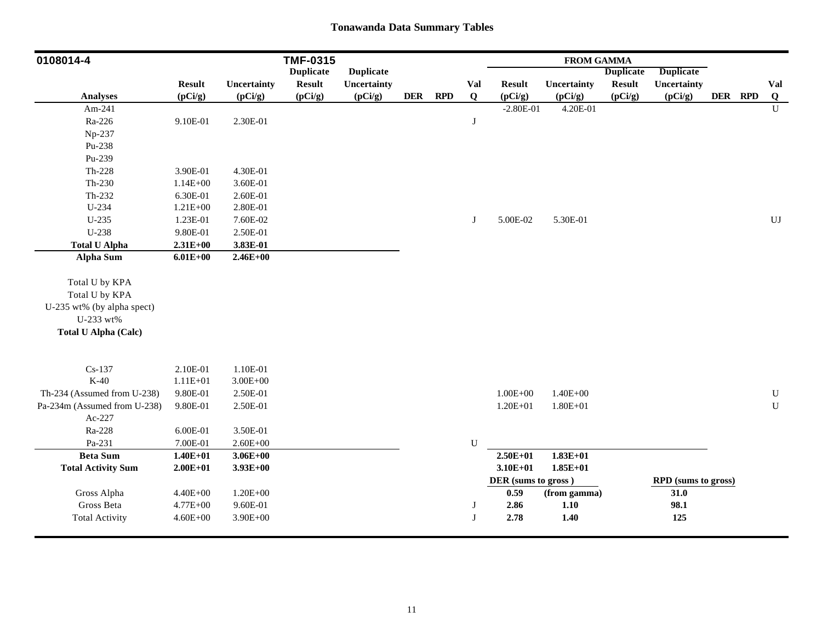| <b>Duplicate</b><br><b>Duplicate</b><br><b>Duplicate</b><br><b>Duplicate</b><br><b>Result</b><br>Uncertainty<br><b>Result</b><br>Uncertainty<br><b>Result</b><br><b>Result</b><br>Uncertainty<br>Val<br>Uncertainty<br>Val<br>(pCi/g)<br><b>RPD</b><br>$\bf{Q}$<br>DER RPD<br>Q<br><b>Analyses</b><br>(pCi/g)<br>(pCi/g)<br><b>DER</b><br>(pCi/g)<br>(pCi/g)<br>(pCi/g)<br>(pCi/g)<br>(pCi/g)<br>$\mathbf{U}$<br>$-2.80E-01$<br>4.20E-01<br>Am-241<br>Ra-226<br>9.10E-01<br>2.30E-01<br>J<br>Np-237<br>Pu-238<br>Pu-239<br>$Th-228$<br>4.30E-01<br>3.90E-01<br>$Th-230$<br>$1.14E + 00$<br>3.60E-01<br>$Th-232$<br>2.60E-01<br>6.30E-01<br>U-234<br>2.80E-01<br>$1.21E + 00$<br>$U-235$<br>1.23E-01<br>7.60E-02<br>5.00E-02<br>5.30E-01<br>UJ<br>J<br>U-238<br>9.80E-01<br>2.50E-01<br><b>Total U Alpha</b><br>$2.31E + 00$<br>3.83E-01<br><b>Alpha Sum</b><br>$2.46E + 00$<br>$6.01E + 00$<br>Total U by KPA<br>Total U by KPA<br>U-235 wt% (by alpha spect)<br>U-233 wt%<br><b>Total U Alpha (Calc)</b><br>$Cs-137$<br>2.10E-01<br>1.10E-01<br>$K-40$<br>$1.11E + 01$<br>$3.00E + 00$<br>Th-234 (Assumed from U-238)<br>9.80E-01<br>2.50E-01<br>$1.00E + 00$<br>$1.40E + 00$<br>${\bf U}$<br>${\bf U}$<br>Pa-234m (Assumed from U-238)<br>9.80E-01<br>2.50E-01<br>$1.20E + 01$<br>$1.80E + 01$<br>Ac-227<br>Ra-228<br>6.00E-01<br>3.50E-01<br>Pa-231<br>U<br>7.00E-01<br>$2.60E + 00$<br>$1.83E+01$<br><b>Beta Sum</b><br>$1.40E + 01$<br>$3.06E + 00$<br>$2.50E + 01$<br>$3.10E + 01$<br>$1.85E + 01$<br><b>Total Activity Sum</b><br>$2.00E + 01$<br>$3.93E+00$<br>DER (sums to gross)<br>RPD (sums to gross)<br>Gross Alpha<br>$1.20E + 00$<br>31.0<br>$4.40E + 00$<br>0.59<br>(from gamma)<br>Gross Beta<br>2.86<br>98.1<br>$4.77E + 00$<br>9.60E-01<br>1.10<br>J<br>$\bf J$<br>2.78<br>1.40<br>125<br><b>Total Activity</b><br>$4.60E + 00$<br>$3.90E + 00$ | 0108014-4 |  | <b>TMF-0315</b> |  |  | <b>FROM GAMMA</b> |  |  |  |
|--------------------------------------------------------------------------------------------------------------------------------------------------------------------------------------------------------------------------------------------------------------------------------------------------------------------------------------------------------------------------------------------------------------------------------------------------------------------------------------------------------------------------------------------------------------------------------------------------------------------------------------------------------------------------------------------------------------------------------------------------------------------------------------------------------------------------------------------------------------------------------------------------------------------------------------------------------------------------------------------------------------------------------------------------------------------------------------------------------------------------------------------------------------------------------------------------------------------------------------------------------------------------------------------------------------------------------------------------------------------------------------------------------------------------------------------------------------------------------------------------------------------------------------------------------------------------------------------------------------------------------------------------------------------------------------------------------------------------------------------------------------------------------------------------------------------------------------------------------------------|-----------|--|-----------------|--|--|-------------------|--|--|--|
|                                                                                                                                                                                                                                                                                                                                                                                                                                                                                                                                                                                                                                                                                                                                                                                                                                                                                                                                                                                                                                                                                                                                                                                                                                                                                                                                                                                                                                                                                                                                                                                                                                                                                                                                                                                                                                                                    |           |  |                 |  |  |                   |  |  |  |
|                                                                                                                                                                                                                                                                                                                                                                                                                                                                                                                                                                                                                                                                                                                                                                                                                                                                                                                                                                                                                                                                                                                                                                                                                                                                                                                                                                                                                                                                                                                                                                                                                                                                                                                                                                                                                                                                    |           |  |                 |  |  |                   |  |  |  |
|                                                                                                                                                                                                                                                                                                                                                                                                                                                                                                                                                                                                                                                                                                                                                                                                                                                                                                                                                                                                                                                                                                                                                                                                                                                                                                                                                                                                                                                                                                                                                                                                                                                                                                                                                                                                                                                                    |           |  |                 |  |  |                   |  |  |  |
|                                                                                                                                                                                                                                                                                                                                                                                                                                                                                                                                                                                                                                                                                                                                                                                                                                                                                                                                                                                                                                                                                                                                                                                                                                                                                                                                                                                                                                                                                                                                                                                                                                                                                                                                                                                                                                                                    |           |  |                 |  |  |                   |  |  |  |
|                                                                                                                                                                                                                                                                                                                                                                                                                                                                                                                                                                                                                                                                                                                                                                                                                                                                                                                                                                                                                                                                                                                                                                                                                                                                                                                                                                                                                                                                                                                                                                                                                                                                                                                                                                                                                                                                    |           |  |                 |  |  |                   |  |  |  |
|                                                                                                                                                                                                                                                                                                                                                                                                                                                                                                                                                                                                                                                                                                                                                                                                                                                                                                                                                                                                                                                                                                                                                                                                                                                                                                                                                                                                                                                                                                                                                                                                                                                                                                                                                                                                                                                                    |           |  |                 |  |  |                   |  |  |  |
|                                                                                                                                                                                                                                                                                                                                                                                                                                                                                                                                                                                                                                                                                                                                                                                                                                                                                                                                                                                                                                                                                                                                                                                                                                                                                                                                                                                                                                                                                                                                                                                                                                                                                                                                                                                                                                                                    |           |  |                 |  |  |                   |  |  |  |
|                                                                                                                                                                                                                                                                                                                                                                                                                                                                                                                                                                                                                                                                                                                                                                                                                                                                                                                                                                                                                                                                                                                                                                                                                                                                                                                                                                                                                                                                                                                                                                                                                                                                                                                                                                                                                                                                    |           |  |                 |  |  |                   |  |  |  |
|                                                                                                                                                                                                                                                                                                                                                                                                                                                                                                                                                                                                                                                                                                                                                                                                                                                                                                                                                                                                                                                                                                                                                                                                                                                                                                                                                                                                                                                                                                                                                                                                                                                                                                                                                                                                                                                                    |           |  |                 |  |  |                   |  |  |  |
|                                                                                                                                                                                                                                                                                                                                                                                                                                                                                                                                                                                                                                                                                                                                                                                                                                                                                                                                                                                                                                                                                                                                                                                                                                                                                                                                                                                                                                                                                                                                                                                                                                                                                                                                                                                                                                                                    |           |  |                 |  |  |                   |  |  |  |
|                                                                                                                                                                                                                                                                                                                                                                                                                                                                                                                                                                                                                                                                                                                                                                                                                                                                                                                                                                                                                                                                                                                                                                                                                                                                                                                                                                                                                                                                                                                                                                                                                                                                                                                                                                                                                                                                    |           |  |                 |  |  |                   |  |  |  |
|                                                                                                                                                                                                                                                                                                                                                                                                                                                                                                                                                                                                                                                                                                                                                                                                                                                                                                                                                                                                                                                                                                                                                                                                                                                                                                                                                                                                                                                                                                                                                                                                                                                                                                                                                                                                                                                                    |           |  |                 |  |  |                   |  |  |  |
|                                                                                                                                                                                                                                                                                                                                                                                                                                                                                                                                                                                                                                                                                                                                                                                                                                                                                                                                                                                                                                                                                                                                                                                                                                                                                                                                                                                                                                                                                                                                                                                                                                                                                                                                                                                                                                                                    |           |  |                 |  |  |                   |  |  |  |
|                                                                                                                                                                                                                                                                                                                                                                                                                                                                                                                                                                                                                                                                                                                                                                                                                                                                                                                                                                                                                                                                                                                                                                                                                                                                                                                                                                                                                                                                                                                                                                                                                                                                                                                                                                                                                                                                    |           |  |                 |  |  |                   |  |  |  |
|                                                                                                                                                                                                                                                                                                                                                                                                                                                                                                                                                                                                                                                                                                                                                                                                                                                                                                                                                                                                                                                                                                                                                                                                                                                                                                                                                                                                                                                                                                                                                                                                                                                                                                                                                                                                                                                                    |           |  |                 |  |  |                   |  |  |  |
|                                                                                                                                                                                                                                                                                                                                                                                                                                                                                                                                                                                                                                                                                                                                                                                                                                                                                                                                                                                                                                                                                                                                                                                                                                                                                                                                                                                                                                                                                                                                                                                                                                                                                                                                                                                                                                                                    |           |  |                 |  |  |                   |  |  |  |
|                                                                                                                                                                                                                                                                                                                                                                                                                                                                                                                                                                                                                                                                                                                                                                                                                                                                                                                                                                                                                                                                                                                                                                                                                                                                                                                                                                                                                                                                                                                                                                                                                                                                                                                                                                                                                                                                    |           |  |                 |  |  |                   |  |  |  |
|                                                                                                                                                                                                                                                                                                                                                                                                                                                                                                                                                                                                                                                                                                                                                                                                                                                                                                                                                                                                                                                                                                                                                                                                                                                                                                                                                                                                                                                                                                                                                                                                                                                                                                                                                                                                                                                                    |           |  |                 |  |  |                   |  |  |  |
|                                                                                                                                                                                                                                                                                                                                                                                                                                                                                                                                                                                                                                                                                                                                                                                                                                                                                                                                                                                                                                                                                                                                                                                                                                                                                                                                                                                                                                                                                                                                                                                                                                                                                                                                                                                                                                                                    |           |  |                 |  |  |                   |  |  |  |
|                                                                                                                                                                                                                                                                                                                                                                                                                                                                                                                                                                                                                                                                                                                                                                                                                                                                                                                                                                                                                                                                                                                                                                                                                                                                                                                                                                                                                                                                                                                                                                                                                                                                                                                                                                                                                                                                    |           |  |                 |  |  |                   |  |  |  |
|                                                                                                                                                                                                                                                                                                                                                                                                                                                                                                                                                                                                                                                                                                                                                                                                                                                                                                                                                                                                                                                                                                                                                                                                                                                                                                                                                                                                                                                                                                                                                                                                                                                                                                                                                                                                                                                                    |           |  |                 |  |  |                   |  |  |  |
|                                                                                                                                                                                                                                                                                                                                                                                                                                                                                                                                                                                                                                                                                                                                                                                                                                                                                                                                                                                                                                                                                                                                                                                                                                                                                                                                                                                                                                                                                                                                                                                                                                                                                                                                                                                                                                                                    |           |  |                 |  |  |                   |  |  |  |
|                                                                                                                                                                                                                                                                                                                                                                                                                                                                                                                                                                                                                                                                                                                                                                                                                                                                                                                                                                                                                                                                                                                                                                                                                                                                                                                                                                                                                                                                                                                                                                                                                                                                                                                                                                                                                                                                    |           |  |                 |  |  |                   |  |  |  |
|                                                                                                                                                                                                                                                                                                                                                                                                                                                                                                                                                                                                                                                                                                                                                                                                                                                                                                                                                                                                                                                                                                                                                                                                                                                                                                                                                                                                                                                                                                                                                                                                                                                                                                                                                                                                                                                                    |           |  |                 |  |  |                   |  |  |  |
|                                                                                                                                                                                                                                                                                                                                                                                                                                                                                                                                                                                                                                                                                                                                                                                                                                                                                                                                                                                                                                                                                                                                                                                                                                                                                                                                                                                                                                                                                                                                                                                                                                                                                                                                                                                                                                                                    |           |  |                 |  |  |                   |  |  |  |
|                                                                                                                                                                                                                                                                                                                                                                                                                                                                                                                                                                                                                                                                                                                                                                                                                                                                                                                                                                                                                                                                                                                                                                                                                                                                                                                                                                                                                                                                                                                                                                                                                                                                                                                                                                                                                                                                    |           |  |                 |  |  |                   |  |  |  |
|                                                                                                                                                                                                                                                                                                                                                                                                                                                                                                                                                                                                                                                                                                                                                                                                                                                                                                                                                                                                                                                                                                                                                                                                                                                                                                                                                                                                                                                                                                                                                                                                                                                                                                                                                                                                                                                                    |           |  |                 |  |  |                   |  |  |  |
|                                                                                                                                                                                                                                                                                                                                                                                                                                                                                                                                                                                                                                                                                                                                                                                                                                                                                                                                                                                                                                                                                                                                                                                                                                                                                                                                                                                                                                                                                                                                                                                                                                                                                                                                                                                                                                                                    |           |  |                 |  |  |                   |  |  |  |
|                                                                                                                                                                                                                                                                                                                                                                                                                                                                                                                                                                                                                                                                                                                                                                                                                                                                                                                                                                                                                                                                                                                                                                                                                                                                                                                                                                                                                                                                                                                                                                                                                                                                                                                                                                                                                                                                    |           |  |                 |  |  |                   |  |  |  |
|                                                                                                                                                                                                                                                                                                                                                                                                                                                                                                                                                                                                                                                                                                                                                                                                                                                                                                                                                                                                                                                                                                                                                                                                                                                                                                                                                                                                                                                                                                                                                                                                                                                                                                                                                                                                                                                                    |           |  |                 |  |  |                   |  |  |  |
|                                                                                                                                                                                                                                                                                                                                                                                                                                                                                                                                                                                                                                                                                                                                                                                                                                                                                                                                                                                                                                                                                                                                                                                                                                                                                                                                                                                                                                                                                                                                                                                                                                                                                                                                                                                                                                                                    |           |  |                 |  |  |                   |  |  |  |
|                                                                                                                                                                                                                                                                                                                                                                                                                                                                                                                                                                                                                                                                                                                                                                                                                                                                                                                                                                                                                                                                                                                                                                                                                                                                                                                                                                                                                                                                                                                                                                                                                                                                                                                                                                                                                                                                    |           |  |                 |  |  |                   |  |  |  |
|                                                                                                                                                                                                                                                                                                                                                                                                                                                                                                                                                                                                                                                                                                                                                                                                                                                                                                                                                                                                                                                                                                                                                                                                                                                                                                                                                                                                                                                                                                                                                                                                                                                                                                                                                                                                                                                                    |           |  |                 |  |  |                   |  |  |  |
|                                                                                                                                                                                                                                                                                                                                                                                                                                                                                                                                                                                                                                                                                                                                                                                                                                                                                                                                                                                                                                                                                                                                                                                                                                                                                                                                                                                                                                                                                                                                                                                                                                                                                                                                                                                                                                                                    |           |  |                 |  |  |                   |  |  |  |
|                                                                                                                                                                                                                                                                                                                                                                                                                                                                                                                                                                                                                                                                                                                                                                                                                                                                                                                                                                                                                                                                                                                                                                                                                                                                                                                                                                                                                                                                                                                                                                                                                                                                                                                                                                                                                                                                    |           |  |                 |  |  |                   |  |  |  |
|                                                                                                                                                                                                                                                                                                                                                                                                                                                                                                                                                                                                                                                                                                                                                                                                                                                                                                                                                                                                                                                                                                                                                                                                                                                                                                                                                                                                                                                                                                                                                                                                                                                                                                                                                                                                                                                                    |           |  |                 |  |  |                   |  |  |  |
|                                                                                                                                                                                                                                                                                                                                                                                                                                                                                                                                                                                                                                                                                                                                                                                                                                                                                                                                                                                                                                                                                                                                                                                                                                                                                                                                                                                                                                                                                                                                                                                                                                                                                                                                                                                                                                                                    |           |  |                 |  |  |                   |  |  |  |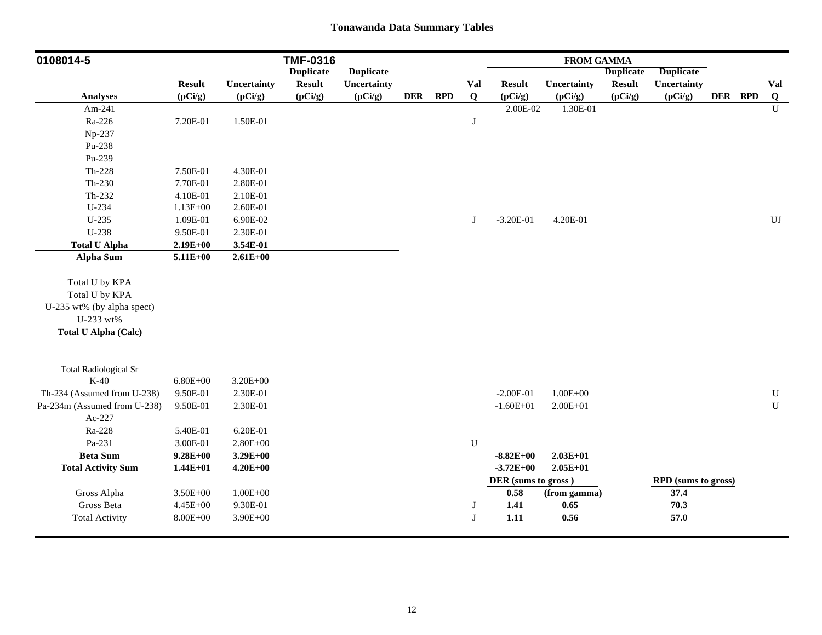| 0108014-5                    |               |              | <b>TMF-0316</b>  |                  |            |            |              |                     | <b>FROM GAMMA</b> |                  |                            |         |                        |
|------------------------------|---------------|--------------|------------------|------------------|------------|------------|--------------|---------------------|-------------------|------------------|----------------------------|---------|------------------------|
|                              |               |              | <b>Duplicate</b> | <b>Duplicate</b> |            |            |              |                     |                   | <b>Duplicate</b> | <b>Duplicate</b>           |         |                        |
|                              | <b>Result</b> | Uncertainty  | <b>Result</b>    | Uncertainty      |            |            | Val          | <b>Result</b>       | Uncertainty       | <b>Result</b>    | Uncertainty                |         | Val                    |
| <b>Analyses</b>              | (pCi/g)       | (pCi/g)      | (pCi/g)          | (pCi/g)          | <b>DER</b> | <b>RPD</b> | Q            | (pCi/g)             | (pCi/g)           | (pCi/g)          | (pCi/g)                    | DER RPD | Q                      |
| Am-241                       |               |              |                  |                  |            |            |              | 2.00E-02            | 1.30E-01          |                  |                            |         | U                      |
| Ra-226                       | 7.20E-01      | 1.50E-01     |                  |                  |            |            | J            |                     |                   |                  |                            |         |                        |
| Np-237                       |               |              |                  |                  |            |            |              |                     |                   |                  |                            |         |                        |
| Pu-238                       |               |              |                  |                  |            |            |              |                     |                   |                  |                            |         |                        |
| Pu-239                       |               |              |                  |                  |            |            |              |                     |                   |                  |                            |         |                        |
| $Th-228$                     | 7.50E-01      | 4.30E-01     |                  |                  |            |            |              |                     |                   |                  |                            |         |                        |
| $Th-230$                     | 7.70E-01      | 2.80E-01     |                  |                  |            |            |              |                     |                   |                  |                            |         |                        |
| Th-232                       | 4.10E-01      | 2.10E-01     |                  |                  |            |            |              |                     |                   |                  |                            |         |                        |
| U-234                        | $1.13E + 00$  | 2.60E-01     |                  |                  |            |            |              |                     |                   |                  |                            |         |                        |
| $U-235$                      | 1.09E-01      | 6.90E-02     |                  |                  |            |            | J            | $-3.20E-01$         | 4.20E-01          |                  |                            |         | $\mathbf{U}\mathbf{J}$ |
| $U-238$                      | 9.50E-01      | 2.30E-01     |                  |                  |            |            |              |                     |                   |                  |                            |         |                        |
| <b>Total U Alpha</b>         | $2.19E + 00$  | 3.54E-01     |                  |                  |            |            |              |                     |                   |                  |                            |         |                        |
| <b>Alpha Sum</b>             | $5.11E + 00$  | $2.61E+00$   |                  |                  |            |            |              |                     |                   |                  |                            |         |                        |
|                              |               |              |                  |                  |            |            |              |                     |                   |                  |                            |         |                        |
| Total U by KPA               |               |              |                  |                  |            |            |              |                     |                   |                  |                            |         |                        |
| Total U by KPA               |               |              |                  |                  |            |            |              |                     |                   |                  |                            |         |                        |
| U-235 wt% (by alpha spect)   |               |              |                  |                  |            |            |              |                     |                   |                  |                            |         |                        |
| U-233 wt%                    |               |              |                  |                  |            |            |              |                     |                   |                  |                            |         |                        |
| <b>Total U Alpha (Calc)</b>  |               |              |                  |                  |            |            |              |                     |                   |                  |                            |         |                        |
|                              |               |              |                  |                  |            |            |              |                     |                   |                  |                            |         |                        |
| <b>Total Radiological Sr</b> |               |              |                  |                  |            |            |              |                     |                   |                  |                            |         |                        |
| $K-40$                       | $6.80E + 00$  | $3.20E + 00$ |                  |                  |            |            |              |                     |                   |                  |                            |         |                        |
| Th-234 (Assumed from U-238)  | 9.50E-01      | 2.30E-01     |                  |                  |            |            |              | $-2.00E-01$         | $1.00E + 00$      |                  |                            |         | ${\bf U}$              |
| Pa-234m (Assumed from U-238) | 9.50E-01      | 2.30E-01     |                  |                  |            |            |              | $-1.60E + 01$       | $2.00E + 01$      |                  |                            |         | ${\bf U}$              |
| Ac-227                       |               |              |                  |                  |            |            |              |                     |                   |                  |                            |         |                        |
| Ra-228                       | 5.40E-01      | 6.20E-01     |                  |                  |            |            |              |                     |                   |                  |                            |         |                        |
| Pa-231                       | 3.00E-01      | $2.80E + 00$ |                  |                  |            |            | U            |                     |                   |                  |                            |         |                        |
| <b>Beta Sum</b>              | $9.28E + 00$  | $3.29E + 00$ |                  |                  |            |            |              | $-8.82E+00$         | $2.03E + 01$      |                  |                            |         |                        |
| <b>Total Activity Sum</b>    | $1.44E + 01$  | $4.20E + 00$ |                  |                  |            |            |              | $-3.72E+00$         | $2.05E + 01$      |                  |                            |         |                        |
|                              |               |              |                  |                  |            |            |              | DER (sums to gross) |                   |                  | <b>RPD</b> (sums to gross) |         |                        |
| Gross Alpha                  | $3.50E + 00$  | $1.00E + 00$ |                  |                  |            |            |              | $0.58\,$            | (from gamma)      |                  | 37.4                       |         |                        |
| Gross Beta                   | 4.45E+00      | 9.30E-01     |                  |                  |            |            | J            | 1.41                | 0.65              |                  | 70.3                       |         |                        |
| <b>Total Activity</b>        | $8.00E + 00$  | $3.90E + 00$ |                  |                  |            |            | $\mathbf{J}$ | $1.11$              | 0.56              |                  | 57.0                       |         |                        |
|                              |               |              |                  |                  |            |            |              |                     |                   |                  |                            |         |                        |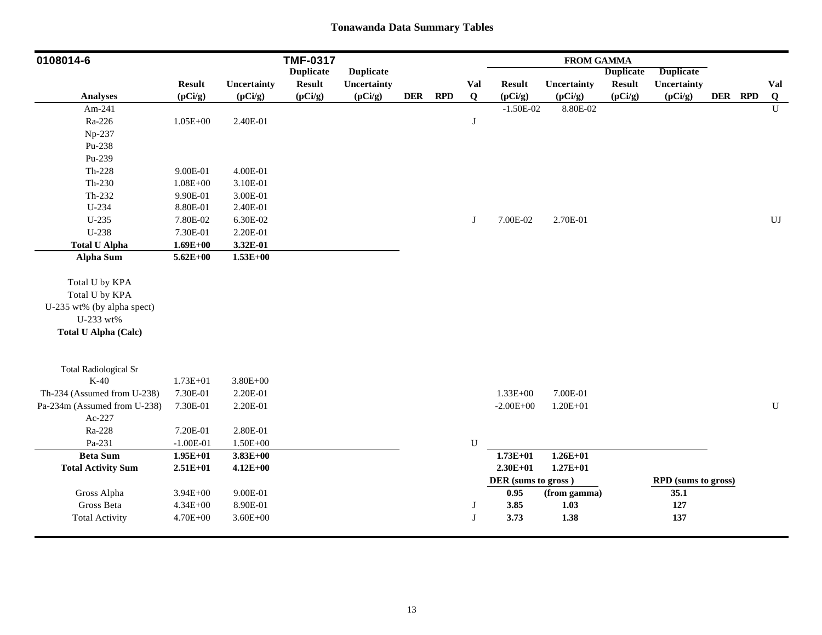| 0108014-6                    |               |              | <b>TMF-0317</b>  |                  |            |            |          |                     | <b>FROM GAMMA</b> |                  |                     |         |              |
|------------------------------|---------------|--------------|------------------|------------------|------------|------------|----------|---------------------|-------------------|------------------|---------------------|---------|--------------|
|                              |               |              | <b>Duplicate</b> | <b>Duplicate</b> |            |            |          |                     |                   | <b>Duplicate</b> | <b>Duplicate</b>    |         |              |
|                              | <b>Result</b> | Uncertainty  | <b>Result</b>    | Uncertainty      |            |            | Val      | <b>Result</b>       | Uncertainty       | <b>Result</b>    | Uncertainty         |         | Val          |
| <b>Analyses</b>              | (pCi/g)       | (pCi/g)      | (pCi/g)          | (pCi/g)          | <b>DER</b> | <b>RPD</b> | $\bf{Q}$ | (pCi/g)             | (pCi/g)           | (pCi/g)          | (pCi/g)             | DER RPD | Q            |
| Am-241                       |               |              |                  |                  |            |            |          | $-1.50E-02$         | 8.80E-02          |                  |                     |         | $\mathbf{U}$ |
| Ra-226                       | $1.05E + 00$  | 2.40E-01     |                  |                  |            |            | J        |                     |                   |                  |                     |         |              |
| Np-237                       |               |              |                  |                  |            |            |          |                     |                   |                  |                     |         |              |
| Pu-238                       |               |              |                  |                  |            |            |          |                     |                   |                  |                     |         |              |
| Pu-239                       |               |              |                  |                  |            |            |          |                     |                   |                  |                     |         |              |
| $Th-228$                     | 9.00E-01      | 4.00E-01     |                  |                  |            |            |          |                     |                   |                  |                     |         |              |
| $Th-230$                     | $1.08E + 00$  | 3.10E-01     |                  |                  |            |            |          |                     |                   |                  |                     |         |              |
| $Th-232$                     | 9.90E-01      | 3.00E-01     |                  |                  |            |            |          |                     |                   |                  |                     |         |              |
| U-234                        | 8.80E-01      | 2.40E-01     |                  |                  |            |            |          |                     |                   |                  |                     |         |              |
| $U-235$                      | 7.80E-02      | 6.30E-02     |                  |                  |            |            | J        | 7.00E-02            | 2.70E-01          |                  |                     |         | UJ           |
| U-238                        | 7.30E-01      | 2.20E-01     |                  |                  |            |            |          |                     |                   |                  |                     |         |              |
| <b>Total U Alpha</b>         | $1.69E + 00$  | 3.32E-01     |                  |                  |            |            |          |                     |                   |                  |                     |         |              |
| <b>Alpha Sum</b>             | $5.62E + 00$  | $1.53E+00$   |                  |                  |            |            |          |                     |                   |                  |                     |         |              |
|                              |               |              |                  |                  |            |            |          |                     |                   |                  |                     |         |              |
| Total U by KPA               |               |              |                  |                  |            |            |          |                     |                   |                  |                     |         |              |
| Total U by KPA               |               |              |                  |                  |            |            |          |                     |                   |                  |                     |         |              |
| U-235 wt% (by alpha spect)   |               |              |                  |                  |            |            |          |                     |                   |                  |                     |         |              |
| U-233 wt%                    |               |              |                  |                  |            |            |          |                     |                   |                  |                     |         |              |
| <b>Total U Alpha (Calc)</b>  |               |              |                  |                  |            |            |          |                     |                   |                  |                     |         |              |
|                              |               |              |                  |                  |            |            |          |                     |                   |                  |                     |         |              |
| <b>Total Radiological Sr</b> |               |              |                  |                  |            |            |          |                     |                   |                  |                     |         |              |
| $K-40$                       | $1.73E + 01$  | $3.80E + 00$ |                  |                  |            |            |          |                     |                   |                  |                     |         |              |
| Th-234 (Assumed from U-238)  | 7.30E-01      | 2.20E-01     |                  |                  |            |            |          | $1.33E + 00$        | 7.00E-01          |                  |                     |         |              |
| Pa-234m (Assumed from U-238) | 7.30E-01      | 2.20E-01     |                  |                  |            |            |          | $-2.00E + 00$       | $1.20E + 01$      |                  |                     |         | ${\bf U}$    |
| Ac-227                       |               |              |                  |                  |            |            |          |                     |                   |                  |                     |         |              |
| Ra-228                       | 7.20E-01      | 2.80E-01     |                  |                  |            |            |          |                     |                   |                  |                     |         |              |
| Pa-231                       | $-1.00E-01$   | $1.50E + 00$ |                  |                  |            |            | U        |                     |                   |                  |                     |         |              |
| <b>Beta Sum</b>              | $1.95E+01$    | $3.83E + 00$ |                  |                  |            |            |          | $1.73E + 01$        | $1.26E + 01$      |                  |                     |         |              |
| <b>Total Activity Sum</b>    | $2.51E+01$    | $4.12E + 00$ |                  |                  |            |            |          | $2.30E + 01$        | $1.27E + 01$      |                  |                     |         |              |
|                              |               |              |                  |                  |            |            |          | DER (sums to gross) |                   |                  | RPD (sums to gross) |         |              |
| Gross Alpha                  | $3.94E + 00$  | 9.00E-01     |                  |                  |            |            |          | 0.95                | (from gamma)      |                  | 35.1                |         |              |
| Gross Beta                   | $4.34E + 00$  | 8.90E-01     |                  |                  |            |            | J        | 3.85                | 1.03              |                  | 127                 |         |              |
| <b>Total Activity</b>        | 4.70E+00      | $3.60E + 00$ |                  |                  |            |            | J        | 3.73                | 1.38              |                  | 137                 |         |              |
|                              |               |              |                  |                  |            |            |          |                     |                   |                  |                     |         |              |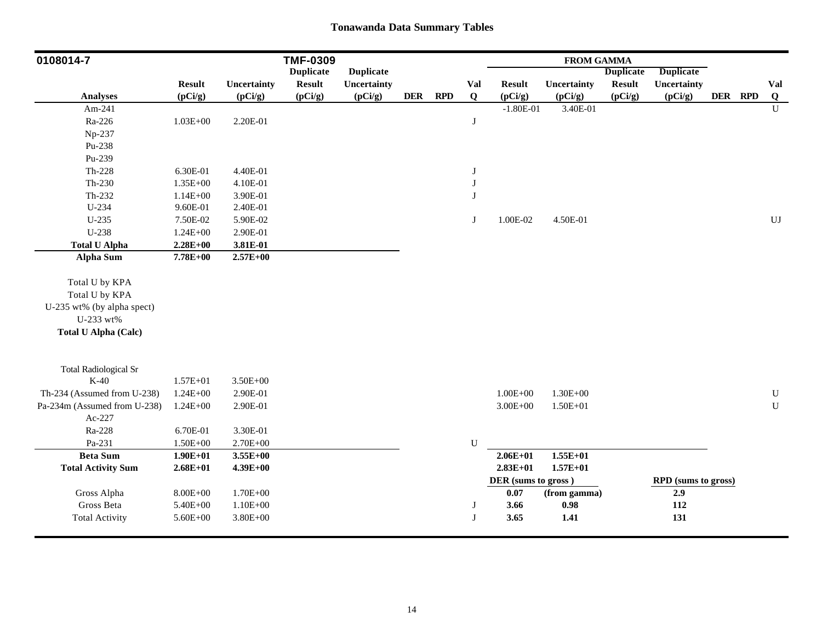| 0108014-7                    |               |              | <b>TMF-0309</b>  |                  |            |            |            |                     | <b>FROM GAMMA</b>  |                  |                            |         |                        |
|------------------------------|---------------|--------------|------------------|------------------|------------|------------|------------|---------------------|--------------------|------------------|----------------------------|---------|------------------------|
|                              |               |              | <b>Duplicate</b> | <b>Duplicate</b> |            |            |            |                     |                    | <b>Duplicate</b> | <b>Duplicate</b>           |         |                        |
|                              | <b>Result</b> | Uncertainty  | <b>Result</b>    | Uncertainty      |            |            | <b>Val</b> | <b>Result</b>       | <b>Uncertainty</b> | <b>Result</b>    | <b>Uncertainty</b>         |         | Val                    |
| <b>Analyses</b>              | (pCi/g)       | (pCi/g)      | (pCi/g)          | (pCi/g)          | <b>DER</b> | <b>RPD</b> | $\bf{Q}$   | (pCi/g)             | (pCi/g)            | (pCi/g)          | (pCi/g)                    | DER RPD | Q                      |
| Am-241                       |               |              |                  |                  |            |            |            | $-1.80E-01$         | 3.40E-01           |                  |                            |         | $\mathbf U$            |
| Ra-226                       | $1.03E + 00$  | 2.20E-01     |                  |                  |            |            | J          |                     |                    |                  |                            |         |                        |
| Np-237                       |               |              |                  |                  |            |            |            |                     |                    |                  |                            |         |                        |
| Pu-238                       |               |              |                  |                  |            |            |            |                     |                    |                  |                            |         |                        |
| Pu-239                       |               |              |                  |                  |            |            |            |                     |                    |                  |                            |         |                        |
| $Th-228$                     | 6.30E-01      | 4.40E-01     |                  |                  |            |            | J          |                     |                    |                  |                            |         |                        |
| $Th-230$                     | $1.35E + 00$  | 4.10E-01     |                  |                  |            |            | J          |                     |                    |                  |                            |         |                        |
| Th-232                       | $1.14E + 00$  | 3.90E-01     |                  |                  |            |            | J          |                     |                    |                  |                            |         |                        |
| U-234                        | 9.60E-01      | 2.40E-01     |                  |                  |            |            |            |                     |                    |                  |                            |         |                        |
| $U-235$                      | 7.50E-02      | 5.90E-02     |                  |                  |            |            | J          | 1.00E-02            | 4.50E-01           |                  |                            |         | $\mathbf{U}\mathbf{J}$ |
| $U-238$                      | $1.24E + 00$  | 2.90E-01     |                  |                  |            |            |            |                     |                    |                  |                            |         |                        |
| <b>Total U Alpha</b>         | $2.28E + 00$  | 3.81E-01     |                  |                  |            |            |            |                     |                    |                  |                            |         |                        |
| <b>Alpha Sum</b>             | 7.78E+00      | $2.57E + 00$ |                  |                  |            |            |            |                     |                    |                  |                            |         |                        |
|                              |               |              |                  |                  |            |            |            |                     |                    |                  |                            |         |                        |
| Total U by KPA               |               |              |                  |                  |            |            |            |                     |                    |                  |                            |         |                        |
| Total U by KPA               |               |              |                  |                  |            |            |            |                     |                    |                  |                            |         |                        |
| U-235 wt% (by alpha spect)   |               |              |                  |                  |            |            |            |                     |                    |                  |                            |         |                        |
| U-233 wt%                    |               |              |                  |                  |            |            |            |                     |                    |                  |                            |         |                        |
| <b>Total U Alpha (Calc)</b>  |               |              |                  |                  |            |            |            |                     |                    |                  |                            |         |                        |
| <b>Total Radiological Sr</b> |               |              |                  |                  |            |            |            |                     |                    |                  |                            |         |                        |
| $K-40$                       | $1.57E + 01$  | $3.50E + 00$ |                  |                  |            |            |            |                     |                    |                  |                            |         |                        |
| Th-234 (Assumed from U-238)  | $1.24E + 00$  | 2.90E-01     |                  |                  |            |            |            | $1.00E + 00$        | $1.30E + 00$       |                  |                            |         | ${\bf U}$              |
| Pa-234m (Assumed from U-238) | $1.24E + 00$  | 2.90E-01     |                  |                  |            |            |            | $3.00E + 00$        | $1.50E + 01$       |                  |                            |         | ${\bf U}$              |
| Ac-227                       |               |              |                  |                  |            |            |            |                     |                    |                  |                            |         |                        |
| Ra-228                       | 6.70E-01      | 3.30E-01     |                  |                  |            |            |            |                     |                    |                  |                            |         |                        |
| Pa-231                       | $1.50E + 00$  | 2.70E+00     |                  |                  |            |            | U          |                     |                    |                  |                            |         |                        |
| <b>Beta Sum</b>              | $1.90E + 01$  | $3.55E+00$   |                  |                  |            |            |            | $2.06E + 01$        | $1.55E + 01$       |                  |                            |         |                        |
| <b>Total Activity Sum</b>    | $2.68E + 01$  | $4.39E + 00$ |                  |                  |            |            |            | $2.83E+01$          | $1.57E + 01$       |                  |                            |         |                        |
|                              |               |              |                  |                  |            |            |            | DER (sums to gross) |                    |                  | <b>RPD</b> (sums to gross) |         |                        |
| Gross Alpha                  | $8.00E + 00$  | $1.70E + 00$ |                  |                  |            |            |            | 0.07                | (from gamma)       |                  | 2.9                        |         |                        |
| Gross Beta                   | 5.40E+00      | $1.10E + 00$ |                  |                  |            |            | J          | 3.66                | 0.98               |                  | 112                        |         |                        |
| <b>Total Activity</b>        | $5.60E + 00$  | $3.80E + 00$ |                  |                  |            |            | J          | 3.65                | 1.41               |                  | 131                        |         |                        |
|                              |               |              |                  |                  |            |            |            |                     |                    |                  |                            |         |                        |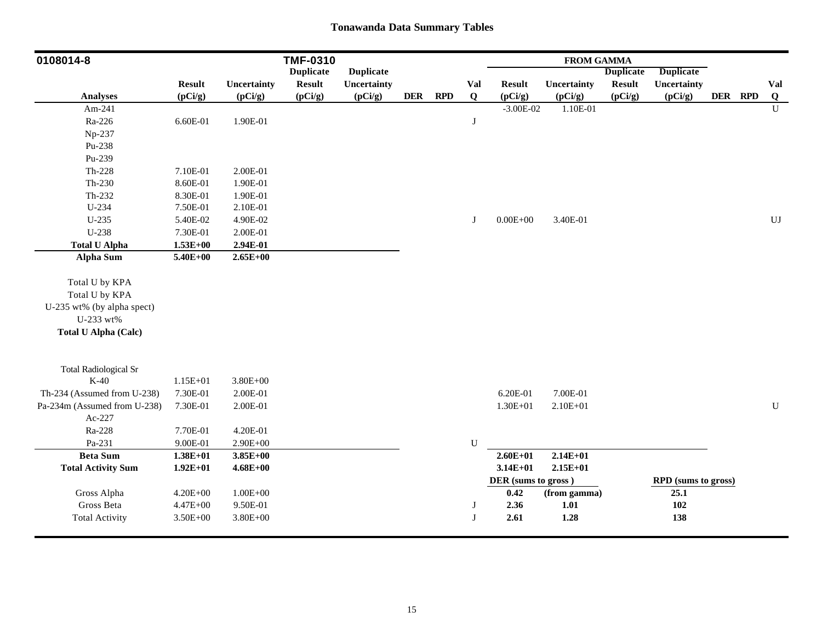| 0108014-8                    |               |                    | <b>TMF-0310</b>  |                  |            |            |             |                     | <b>FROM GAMMA</b> |                  |                     |         |              |
|------------------------------|---------------|--------------------|------------------|------------------|------------|------------|-------------|---------------------|-------------------|------------------|---------------------|---------|--------------|
|                              |               |                    | <b>Duplicate</b> | <b>Duplicate</b> |            |            |             |                     |                   | <b>Duplicate</b> | <b>Duplicate</b>    |         |              |
|                              | <b>Result</b> | <b>Uncertainty</b> | <b>Result</b>    | Uncertainty      |            |            | Val         | <b>Result</b>       | Uncertainty       | <b>Result</b>    | Uncertainty         |         | Val          |
| <b>Analyses</b>              | (pCi/g)       | (pCi/g)            | (pCi/g)          | (pCi/g)          | <b>DER</b> | <b>RPD</b> | $\bf{Q}$    | (pCi/g)             | (pCi/g)           | (pCi/g)          | (pCi/g)             | DER RPD | Q            |
| Am-241                       |               |                    |                  |                  |            |            |             | $-3.00E-02$         | 1.10E-01          |                  |                     |         | $\mathbf{U}$ |
| Ra-226                       | 6.60E-01      | 1.90E-01           |                  |                  |            |            | J           |                     |                   |                  |                     |         |              |
| Np-237                       |               |                    |                  |                  |            |            |             |                     |                   |                  |                     |         |              |
| Pu-238                       |               |                    |                  |                  |            |            |             |                     |                   |                  |                     |         |              |
| Pu-239                       |               |                    |                  |                  |            |            |             |                     |                   |                  |                     |         |              |
| $Th-228$                     | 7.10E-01      | 2.00E-01           |                  |                  |            |            |             |                     |                   |                  |                     |         |              |
| Th-230                       | 8.60E-01      | 1.90E-01           |                  |                  |            |            |             |                     |                   |                  |                     |         |              |
| Th-232                       | 8.30E-01      | 1.90E-01           |                  |                  |            |            |             |                     |                   |                  |                     |         |              |
| U-234                        | 7.50E-01      | 2.10E-01           |                  |                  |            |            |             |                     |                   |                  |                     |         |              |
| $U-235$                      | 5.40E-02      | 4.90E-02           |                  |                  |            |            | J           | $0.00E + 00$        | 3.40E-01          |                  |                     |         | UJ           |
| $U-238$                      | 7.30E-01      | 2.00E-01           |                  |                  |            |            |             |                     |                   |                  |                     |         |              |
| <b>Total U Alpha</b>         | $1.53E + 00$  | 2.94E-01           |                  |                  |            |            |             |                     |                   |                  |                     |         |              |
| <b>Alpha Sum</b>             | $5.40E + 00$  | $2.65E + 00$       |                  |                  |            |            |             |                     |                   |                  |                     |         |              |
|                              |               |                    |                  |                  |            |            |             |                     |                   |                  |                     |         |              |
| Total U by KPA               |               |                    |                  |                  |            |            |             |                     |                   |                  |                     |         |              |
| Total U by KPA               |               |                    |                  |                  |            |            |             |                     |                   |                  |                     |         |              |
| U-235 wt% (by alpha spect)   |               |                    |                  |                  |            |            |             |                     |                   |                  |                     |         |              |
| U-233 wt%                    |               |                    |                  |                  |            |            |             |                     |                   |                  |                     |         |              |
| <b>Total U Alpha (Calc)</b>  |               |                    |                  |                  |            |            |             |                     |                   |                  |                     |         |              |
| <b>Total Radiological Sr</b> |               |                    |                  |                  |            |            |             |                     |                   |                  |                     |         |              |
| $K-40$                       | $1.15E + 01$  | $3.80E + 00$       |                  |                  |            |            |             |                     |                   |                  |                     |         |              |
| Th-234 (Assumed from U-238)  | 7.30E-01      | 2.00E-01           |                  |                  |            |            |             | 6.20E-01            | 7.00E-01          |                  |                     |         |              |
| Pa-234m (Assumed from U-238) | 7.30E-01      | 2.00E-01           |                  |                  |            |            |             | $1.30E + 01$        | $2.10E + 01$      |                  |                     |         | ${\bf U}$    |
| Ac-227                       |               |                    |                  |                  |            |            |             |                     |                   |                  |                     |         |              |
| Ra-228                       | 7.70E-01      | 4.20E-01           |                  |                  |            |            |             |                     |                   |                  |                     |         |              |
| Pa-231                       | 9.00E-01      | $2.90E + 00$       |                  |                  |            |            | $\mathbf U$ |                     |                   |                  |                     |         |              |
| <b>Beta Sum</b>              | $1.38E + 01$  | $3.85E+00$         |                  |                  |            |            |             | $2.60E + 01$        | $2.14E + 01$      |                  |                     |         |              |
| <b>Total Activity Sum</b>    | $1.92E+01$    | $4.68E + 00$       |                  |                  |            |            |             | $3.14E + 01$        | $2.15E+01$        |                  |                     |         |              |
|                              |               |                    |                  |                  |            |            |             | DER (sums to gross) |                   |                  | RPD (sums to gross) |         |              |
| Gross Alpha                  | $4.20E + 00$  | $1.00E + 00$       |                  |                  |            |            |             | 0.42                | (from gamma)      |                  | 25.1                |         |              |
| Gross Beta                   | $4.47E + 00$  | 9.50E-01           |                  |                  |            |            | J           | 2.36                | 1.01              |                  | 102                 |         |              |
| <b>Total Activity</b>        | $3.50E + 00$  | $3.80E + 00$       |                  |                  |            |            | J           | 2.61                | 1.28              |                  | 138                 |         |              |
|                              |               |                    |                  |                  |            |            |             |                     |                   |                  |                     |         |              |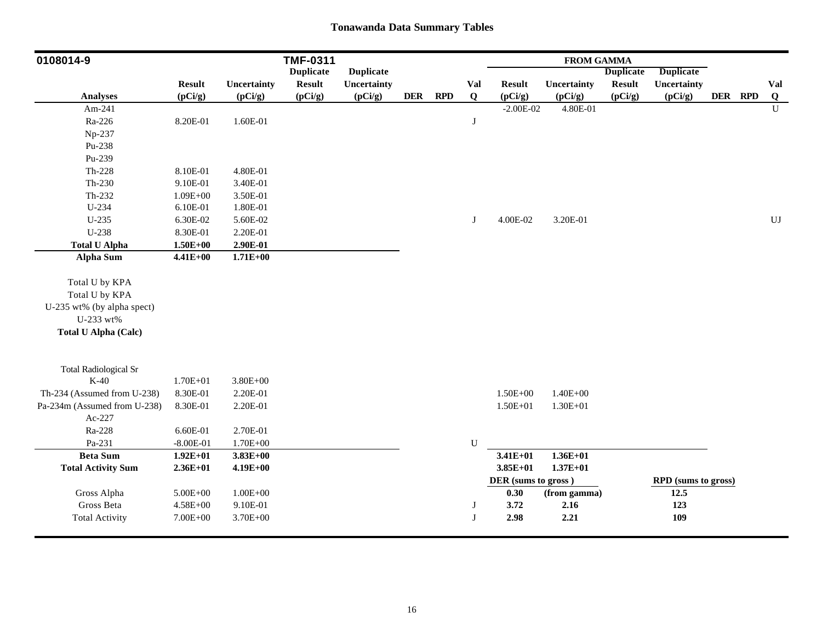| 0108014-9                    |               |                    | <b>TMF-0311</b>  |                  |            |            |              |                     | <b>FROM GAMMA</b> |                  |                     |         |                        |
|------------------------------|---------------|--------------------|------------------|------------------|------------|------------|--------------|---------------------|-------------------|------------------|---------------------|---------|------------------------|
|                              |               |                    | <b>Duplicate</b> | <b>Duplicate</b> |            |            |              |                     |                   | <b>Duplicate</b> | <b>Duplicate</b>    |         |                        |
|                              | <b>Result</b> | <b>Uncertainty</b> | <b>Result</b>    | Uncertainty      |            |            | Val          | <b>Result</b>       | Uncertainty       | <b>Result</b>    | Uncertainty         |         | Val                    |
| <b>Analyses</b>              | (pCi/g)       | (pCi/g)            | (pCi/g)          | (pCi/g)          | <b>DER</b> | <b>RPD</b> | $\bf{Q}$     | (pCi/g)             | (pCi/g)           | (pCi/g)          | (pCi/g)             | DER RPD | Q                      |
| Am-241                       |               |                    |                  |                  |            |            |              | $-2.00E-02$         | 4.80E-01          |                  |                     |         | $\overline{U}$         |
| Ra-226                       | 8.20E-01      | 1.60E-01           |                  |                  |            |            | J            |                     |                   |                  |                     |         |                        |
| Np-237                       |               |                    |                  |                  |            |            |              |                     |                   |                  |                     |         |                        |
| Pu-238                       |               |                    |                  |                  |            |            |              |                     |                   |                  |                     |         |                        |
| Pu-239                       |               |                    |                  |                  |            |            |              |                     |                   |                  |                     |         |                        |
| $Th-228$                     | 8.10E-01      | 4.80E-01           |                  |                  |            |            |              |                     |                   |                  |                     |         |                        |
| Th-230                       | 9.10E-01      | 3.40E-01           |                  |                  |            |            |              |                     |                   |                  |                     |         |                        |
| Th-232                       | $1.09E + 00$  | 3.50E-01           |                  |                  |            |            |              |                     |                   |                  |                     |         |                        |
| U-234                        | 6.10E-01      | 1.80E-01           |                  |                  |            |            |              |                     |                   |                  |                     |         |                        |
| $U-235$                      | 6.30E-02      | 5.60E-02           |                  |                  |            |            | J            | 4.00E-02            | 3.20E-01          |                  |                     |         | $\mathbf{U}\mathbf{J}$ |
| U-238                        | 8.30E-01      | 2.20E-01           |                  |                  |            |            |              |                     |                   |                  |                     |         |                        |
| <b>Total U Alpha</b>         | $1.50E + 00$  | 2.90E-01           |                  |                  |            |            |              |                     |                   |                  |                     |         |                        |
| <b>Alpha Sum</b>             | $4.41E + 00$  | $1.71E + 00$       |                  |                  |            |            |              |                     |                   |                  |                     |         |                        |
|                              |               |                    |                  |                  |            |            |              |                     |                   |                  |                     |         |                        |
| Total U by KPA               |               |                    |                  |                  |            |            |              |                     |                   |                  |                     |         |                        |
| Total U by KPA               |               |                    |                  |                  |            |            |              |                     |                   |                  |                     |         |                        |
| U-235 wt% (by alpha spect)   |               |                    |                  |                  |            |            |              |                     |                   |                  |                     |         |                        |
| U-233 wt%                    |               |                    |                  |                  |            |            |              |                     |                   |                  |                     |         |                        |
| <b>Total U Alpha (Calc)</b>  |               |                    |                  |                  |            |            |              |                     |                   |                  |                     |         |                        |
|                              |               |                    |                  |                  |            |            |              |                     |                   |                  |                     |         |                        |
| <b>Total Radiological Sr</b> |               |                    |                  |                  |            |            |              |                     |                   |                  |                     |         |                        |
| $K-40$                       | $1.70E + 01$  | $3.80E + 00$       |                  |                  |            |            |              |                     |                   |                  |                     |         |                        |
| Th-234 (Assumed from U-238)  | 8.30E-01      | 2.20E-01           |                  |                  |            |            |              | $1.50E + 00$        | $1.40E + 00$      |                  |                     |         |                        |
| Pa-234m (Assumed from U-238) | 8.30E-01      | 2.20E-01           |                  |                  |            |            |              | $1.50E + 01$        | $1.30E + 01$      |                  |                     |         |                        |
| Ac-227                       |               |                    |                  |                  |            |            |              |                     |                   |                  |                     |         |                        |
| Ra-228                       | 6.60E-01      | 2.70E-01           |                  |                  |            |            |              |                     |                   |                  |                     |         |                        |
| Pa-231                       | $-8.00E-01$   | $1.70E + 00$       |                  |                  |            |            | ${\bf U}$    |                     |                   |                  |                     |         |                        |
| <b>Beta Sum</b>              | $1.92E+01$    | $3.83E + 00$       |                  |                  |            |            |              | $3.41E + 01$        | $1.36E + 01$      |                  |                     |         |                        |
| <b>Total Activity Sum</b>    | $2.36E+01$    | $4.19E + 00$       |                  |                  |            |            |              | $3.85E+01$          | $1.37E + 01$      |                  |                     |         |                        |
|                              |               |                    |                  |                  |            |            |              | DER (sums to gross) |                   |                  | RPD (sums to gross) |         |                        |
| Gross Alpha                  | $5.00E + 00$  | $1.00E + 00$       |                  |                  |            |            |              | 0.30                | (from gamma)      |                  | 12.5                |         |                        |
| Gross Beta                   | $4.58E + 00$  | 9.10E-01           |                  |                  |            |            | J            | 3.72                | 2.16              |                  | 123                 |         |                        |
| <b>Total Activity</b>        | $7.00E + 00$  | 3.70E+00           |                  |                  |            |            | $\mathbf{J}$ | 2.98                | 2.21              |                  | 109                 |         |                        |
|                              |               |                    |                  |                  |            |            |              |                     |                   |                  |                     |         |                        |